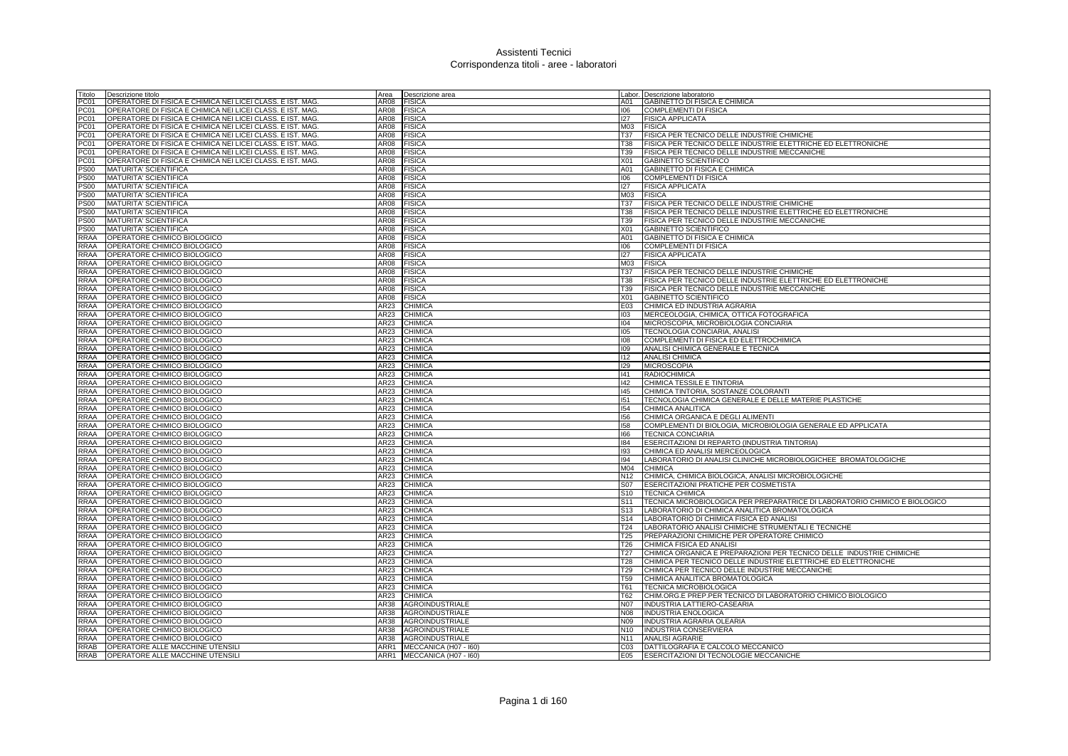| Titolo           | Descrizione titolo                                         | Area             | Descrizione area           |                  | Labor. Descrizione laboratorio                                             |
|------------------|------------------------------------------------------------|------------------|----------------------------|------------------|----------------------------------------------------------------------------|
| PC <sub>01</sub> | OPERATORE DI FISICA E CHIMICA NEI LICEI CLASS. E IST. MAG  | AR08             | <b>FISICA</b>              | A01              | <b>GABINETTO DI FISICA E CHIMICA</b>                                       |
| PC01             | OPERATORE DI FISICA E CHIMICA NEI LICEI CLASS. E IST. MAG  | AR08             | <b>FISICA</b>              | 106              | <b>COMPLEMENTI DI FISICA</b>                                               |
| PC01             | OPERATORE DI FISICA E CHIMICA NEI LICEI CLASS. E IST. MAG. | AR08             | <b>FISICA</b>              | 127              | <b>FISICA APPLICATA</b>                                                    |
| PC01             | OPERATORE DI FISICA E CHIMICA NEI LICEI CLASS. E IST. MAG  | AR08             | <b>FISICA</b>              | M03              | <b>FISICA</b>                                                              |
| PC01             | OPERATORE DI FISICA E CHIMICA NEI LICEI CLASS. E IST. MAG  | AR08             | <b>FISICA</b>              | T37              | FISICA PER TECNICO DELLE INDUSTRIE CHIMICHE                                |
| PC01             | OPERATORE DI FISICA E CHIMICA NEI LICEI CLASS. E IST. MAG  | AR08             | <b>FISICA</b>              | T38              | FISICA PER TECNICO DELLE INDUSTRIE ELETTRICHE ED ELETTRONICHE              |
|                  |                                                            |                  |                            |                  |                                                                            |
| PC01             | OPERATORE DI FISICA E CHIMICA NEI LICEI CLASS. E IST. MAG  | AR08             | <b>FISICA</b>              | T39              | FISICA PER TECNICO DELLE INDUSTRIE MECCANICHE                              |
| PC01             | OPERATORE DI FISICA E CHIMICA NEI LICEI CLASS. E IST. MAG. | AR08             | <b>FISICA</b>              | X01              | <b>GABINETTO SCIENTIFICO</b>                                               |
| <b>PS00</b>      | MATURITA' SCIENTIFICA                                      | AR08             | <b>FISICA</b>              | A01              | <b>GABINETTO DI FISICA E CHIMICA</b>                                       |
| <b>PS00</b>      | MATURITA' SCIENTIFICA                                      | AR08             | <b>FISICA</b>              | 106              | <b>COMPLEMENTI DI FISICA</b>                                               |
| <b>PS00</b>      | MATURITA' SCIENTIFICA                                      | AR08             | <b>FISICA</b>              | 127              | <b>FISICA APPLICATA</b>                                                    |
| <b>PS00</b>      | <b>MATURITA' SCIENTIFICA</b>                               | AR <sub>08</sub> | <b>FISICA</b>              | M03              | <b>FISICA</b>                                                              |
| <b>PS00</b>      | <b>MATURITA' SCIENTIFICA</b>                               | AR08             | <b>FISICA</b>              | <b>T37</b>       | FISICA PER TECNICO DELLE INDUSTRIE CHIMICHE                                |
| <b>PS00</b>      | <b>MATURITA' SCIENTIFICA</b>                               | AR08             | <b>FISICA</b>              | T38              | FISICA PER TECNICO DELLE INDUSTRIE ELETTRICHE ED ELETTRONICHE              |
| <b>PS00</b>      | <b>MATURITA' SCIENTIFICA</b>                               | AR08             | <b>FISICA</b>              | T39              | FISICA PER TECNICO DELLE INDUSTRIE MECCANICHE                              |
| <b>PS00</b>      | MATURITA' SCIENTIFICA                                      | AR08             | <b>FISICA</b>              | X01              | GABINETTO SCIENTIFICO                                                      |
| RRAA             | OPERATORE CHIMICO BIOLOGICO                                | AR08             | <b>FISICA</b>              | A01              | GABINETTO DI FISICA E CHIMICA                                              |
| <b>RRAA</b>      | OPERATORE CHIMICO BIOLOGICO                                | AR08             | <b>FISICA</b>              | 106              | <b>COMPLEMENTI DI FISICA</b>                                               |
| RRAA             | OPERATORE CHIMICO BIOLOGICO                                | AR08             | <b>FISICA</b>              | 127              | <b>FISICA APPLICATA</b>                                                    |
| <b>RRAA</b>      | OPERATORE CHIMICO BIOLOGICO                                | AR08             | <b>FISICA</b>              | M03              | <b>FISICA</b>                                                              |
| RRAA             | OPERATORE CHIMICO BIOLOGICO                                | AR08             | <b>FISICA</b>              | <b>T37</b>       | FISICA PER TECNICO DELLE INDUSTRIE CHIMICHE                                |
| <b>RRAA</b>      | OPERATORE CHIMICO BIOLOGICO                                | AR08             | <b>FISICA</b>              | T38              | FISICA PER TECNICO DELLE INDUSTRIE ELETTRICHE ED ELETTRONICHE              |
| <b>RRAA</b>      | OPERATORE CHIMICO BIOLOGICO                                | AR08             | <b>FISICA</b>              | T39              | FISICA PER TECNICO DELLE INDUSTRIE MECCANICHE                              |
| <b>RRAA</b>      | OPERATORE CHIMICO BIOLOGICO                                | AR08             | <b>FISICA</b>              | <b>X01</b>       | <b>GABINETTO SCIENTIFICO</b>                                               |
| <b>RRAA</b>      | OPERATORE CHIMICO BIOLOGICO                                | AR23             | CHIMICA                    | E03              | CHIMICA ED INDUSTRIA AGRARIA                                               |
|                  |                                                            |                  |                            |                  |                                                                            |
| <b>RRAA</b>      | OPERATORE CHIMICO BIOLOGICO                                | AR23             | CHIMICA                    | 103              | MERCEOLOGIA, CHIMICA, OTTICA FOTOGRAFICA                                   |
| <b>RRAA</b>      | OPERATORE CHIMICO BIOLOGICO                                | AR23             | CHIMICA                    | 104              | MICROSCOPIA, MICROBIOLOGIA CONCIARIA                                       |
| <b>RRAA</b>      | OPERATORE CHIMICO BIOLOGICO                                | AR23             | CHIMICA                    | 105              | TECNOLOGIA CONCIARIA, ANALISI                                              |
| <b>RRAA</b>      | OPERATORE CHIMICO BIOLOGICO                                | AR23             | CHIMICA                    | 801              | COMPLEMENTI DI FISICA ED ELETTROCHIMICA                                    |
| RRAA             | OPERATORE CHIMICO BIOLOGICO                                | AR23             | CHIMICA                    | 109              | ANALISI CHIMICA GENERALE E TECNICA                                         |
| <b>RRAA</b>      | OPERATORE CHIMICO BIOLOGICO                                | AR23             | CHIMICA                    | 112              | ANALISI CHIMICA                                                            |
| <b>RRAA</b>      | OPERATORE CHIMICO BIOLOGICO                                | AR23             | <b>CHIMICA</b>             | 129              | <b>MICROSCOPIA</b>                                                         |
| <b>RRAA</b>      | OPERATORE CHIMICO BIOLOGICO                                | AR23             | CHIMICA                    | 41               | <b>RADIOCHIMICA</b>                                                        |
| RRAA             | OPERATORE CHIMICO BIOLOGICO                                | AR23             | CHIMICA                    | 142              | CHIMICA TESSILE E TINTORIA                                                 |
| <b>RRAA</b>      | OPERATORE CHIMICO BIOLOGICO                                | AR23             | CHIMICA                    | 145              | CHIMICA TINTORIA, SOSTANZE COLORANTI                                       |
| <b>RRAA</b>      | OPERATORE CHIMICO BIOLOGICO                                | AR23             | <b>CHIMICA</b>             | 151              | TECNOLOGIA CHIMICA GENERALE E DELLE MATERIE PLASTICHE                      |
| <b>RRAA</b>      | OPERATORE CHIMICO BIOLOGICO                                | AR23             | CHIMICA                    | 154              | CHIMICA ANALITICA                                                          |
| <b>RRAA</b>      | OPERATORE CHIMICO BIOLOGICO                                | AR <sub>23</sub> | <b>CHIMICA</b>             | 156              | CHIMICA ORGANICA E DEGLI ALIMENTI                                          |
| <b>RRAA</b>      | OPERATORE CHIMICO BIOLOGICO                                | AR23             | CHIMICA                    | 158              | COMPLEMENTI DI BIOLOGIA, MICROBIOLOGIA GENERALE ED APPLICATA               |
| <b>RRAA</b>      | OPERATORE CHIMICO BIOLOGICO                                | AR23             | <b>CHIMICA</b>             | 166              | <b>TECNICA CONCIARIA</b>                                                   |
| <b>RRAA</b>      | OPERATORE CHIMICO BIOLOGICO                                | AR23             | CHIMICA                    | 184              | ESERCITAZIONI DI REPARTO (INDUSTRIA TINTORIA)                              |
| <b>RRAA</b>      | OPERATORE CHIMICO BIOLOGICO                                | AR23             | CHIMICA                    | 193              | CHIMICA ED ANALISI MERCEOLOGICA                                            |
| <b>RRAA</b>      | OPERATORE CHIMICO BIOLOGICO                                | AR23             | CHIMICA                    | 194              | LABORATORIO DI ANALISI CLINICHE MICROBIOLOGICHEE BROMATOLOGICHE            |
|                  |                                                            |                  |                            |                  |                                                                            |
| <b>RRAA</b>      | OPERATORE CHIMICO BIOLOGICO                                | AR23             | <b>CHIMICA</b>             | M04              | <b>CHIMICA</b>                                                             |
| <b>RRAA</b>      | OPERATORE CHIMICO BIOLOGICO                                | AR23             | CHIMICA                    | N <sub>12</sub>  | CHIMICA, CHIMICA BIOLOGICA, ANALISI MICROBIOLOGICHE                        |
| <b>RRAA</b>      | OPERATORE CHIMICO BIOLOGICO                                | AR23             | <b>CHIMICA</b>             | <b>S07</b>       | ESERCITAZIONI PRATICHE PER COSMETISTA                                      |
| <b>RRAA</b>      | OPERATORE CHIMICO BIOLOGICO                                | AR23             | <b>CHIMICA</b>             | S10              | <b>TECNICA CHIMICA</b>                                                     |
| <b>RRAA</b>      | OPERATORE CHIMICO BIOLOGICO                                | AR23             | <b>CHIMICA</b>             | S <sub>11</sub>  | TECNICA MICROBIOLOGICA PER PREPARATRICE DI LABORATORIO CHIMICO E BIOLOGICO |
| <b>RRAA</b>      | OPERATORE CHIMICO BIOLOGICO                                | AR23             | CHIMICA                    | S <sub>13</sub>  | LABORATORIO DI CHIMICA ANALITICA BROMATOLOGICA                             |
| <b>RRAA</b>      | OPERATORE CHIMICO BIOLOGICO                                | AR23             | CHIMICA                    | S <sub>14</sub>  | LABORATORIO DI CHIMICA FISICA ED ANALISI                                   |
| <b>RRAA</b>      | OPERATORE CHIMICO BIOLOGICO                                | AR23             | CHIMICA                    | T24              | LABORATORIO ANALISI CHIMICHE STRUMENTALI E TECNICHE                        |
| <b>RRAA</b>      | OPERATORE CHIMICO BIOLOGICO                                | AR23             | <b>CHIMICA</b>             | T <sub>25</sub>  | PREPARAZIONI CHIMICHE PER OPERATORE CHIMICO                                |
| <b>RRAA</b>      | OPERATORE CHIMICO BIOLOGICO                                | AR23             | CHIMICA                    | T26              | CHIMICA FISICA ED ANALISI                                                  |
| <b>RRAA</b>      | OPERATORE CHIMICO BIOLOGICO                                | AR23             | CHIMICA                    | $\overline{127}$ | CHIMICA ORGANICA E PREPARAZIONI PER TECNICO DELLE INDUSTRIE CHIMICHE       |
| <b>RRAA</b>      | OPERATORE CHIMICO BIOLOGICO                                | AR23             | CHIMICA                    | <b>T28</b>       | CHIMICA PER TECNICO DELLE INDUSTRIE ELETTRICHE ED ELETTRONICHE             |
| <b>RRAA</b>      | OPERATORE CHIMICO BIOLOGICO                                | AR23             | CHIMICA                    | T <sub>29</sub>  | CHIMICA PER TECNICO DELLE INDUSTRIE MECCANICHE                             |
| <b>RRAA</b>      | OPERATORE CHIMICO BIOLOGICO                                | AR23             | CHIMICA                    | T59              | CHIMICA ANALITICA BROMATOLOGICA                                            |
| <b>RRAA</b>      | OPERATORE CHIMICO BIOLOGICO                                | AR23             | CHIMICA                    | T61              | <b>TECNICA MICROBIOLOGICA</b>                                              |
| <b>RRAA</b>      | OPERATORE CHIMICO BIOLOGICO                                | AR23             | <b>CHIMICA</b>             | T62              | CHIM.ORG.E PREP.PER TECNICO DI LABORATORIO CHIMICO BIOLOGICO               |
| <b>RRAA</b>      | OPERATORE CHIMICO BIOLOGICO                                | AR38             | <b>AGROINDUSTRIALE</b>     | N07              | INDUSTRIA LATTIERO-CASEARIA                                                |
| <b>RRAA</b>      | OPERATORE CHIMICO BIOLOGICO                                | AR38             | <b>AGROINDUSTRIALE</b>     | N08              | <b>INDUSTRIA ENOLOGICA</b>                                                 |
| <b>RRAA</b>      | OPERATORE CHIMICO BIOLOGICO                                | AR38             | <b>AGROINDUSTRIALE</b>     | N09              | <b>INDUSTRIA AGRARIA OLEARIA</b>                                           |
| <b>RRAA</b>      |                                                            | AR38             | <b>AGROINDUSTRIALE</b>     | N10              | <b>INDUSTRIA CONSERVIERA</b>                                               |
| <b>RRAA</b>      | OPERATORE CHIMICO BIOLOGICO                                | AR38             |                            | N11              |                                                                            |
|                  | OPERATORE CHIMICO BIOLOGICO                                |                  | <b>AGROINDUSTRIALE</b>     |                  | <b>ANALISI AGRARIE</b>                                                     |
| <b>RRAB</b>      | OPERATORE ALLE MACCHINE UTENSILI                           |                  | ARR1 MECCANICA (H07 - 160) | CO <sub>3</sub>  | DATTILOGRAFIA E CALCOLO MECCANICO                                          |
| <b>RRAB</b>      | OPERATORE ALLE MACCHINE UTENSILI                           |                  | ARR1 MECCANICA (H07 - 160) | E05              | ESERCITAZIONI DI TECNOLOGIE MECCANICHE                                     |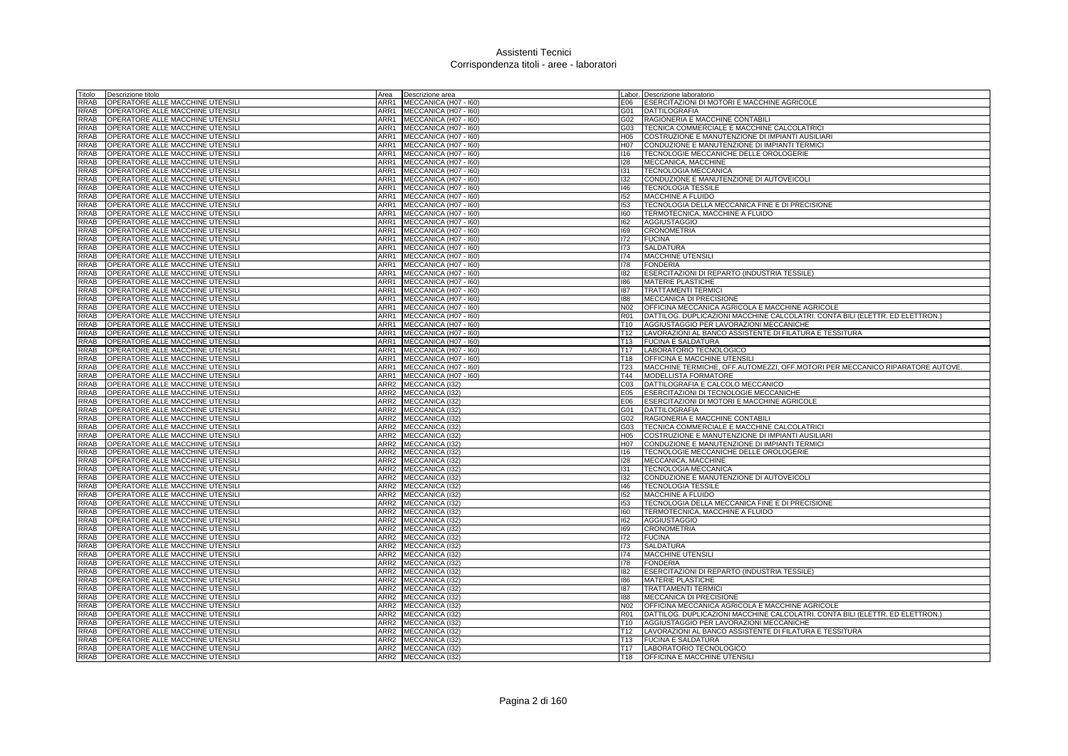| Titolo      | Descrizione titolo               | Area             | Descrizione area      |                 | Labor. Descrizione laboratorio                                                |
|-------------|----------------------------------|------------------|-----------------------|-----------------|-------------------------------------------------------------------------------|
| RRAB        | OPERATORE ALLE MACCHINE UTENSILI | ARR1             | MECCANICA (H07 - I60) | E06             | ESERCITAZIONI DI MOTORI E MACCHINE AGRICOLE                                   |
| RRAB        | OPERATORE ALLE MACCHINE UTENSILI | ARR1             | MECCANICA (H07 - I60) | G01             | <b>DATTILOGRAFIA</b>                                                          |
| RRAB        | OPERATORE ALLE MACCHINE UTENSILI | ARR1             | MECCANICA (H07 - I60) | G02             | RAGIONERIA E MACCHINE CONTABILI                                               |
| RRAB        | OPERATORE ALLE MACCHINE UTENSILI | ARR1             | MECCANICA (H07 - I60) | G03             | TECNICA COMMERCIALE E MACCHINE CALCOLATRICI                                   |
| RRAB        | OPERATORE ALLE MACCHINE UTENSILI | ARR1             | MECCANICA (H07 - I60) | H05             | COSTRUZIONE E MANUTENZIONE DI IMPIANTI AUSILIARI                              |
| <b>RRAB</b> | OPERATORE ALLE MACCHINE UTENSILI | ARR1             | MECCANICA (H07 - I60) | H07             | CONDUZIONE E MANUTENZIONE DI IMPIANTI TERMICI                                 |
| RRAB        | OPERATORE ALLE MACCHINE UTENSILI | ARR1             | MECCANICA (H07 - I60) | 116             | TECNOLOGIE MECCANICHE DELLE OROLOGERIE                                        |
|             |                                  |                  |                       |                 |                                                                               |
| RRAB        | OPERATORE ALLE MACCHINE UTENSILI | ARR1             | MECCANICA (H07 - I60) | 128             | MECCANICA, MACCHINE                                                           |
| RRAB        | OPERATORE ALLE MACCHINE UTENSILI | ARR1             | MECCANICA (H07 - I60) | 131             | <b>TECNOLOGIA MECCANICA</b>                                                   |
| RRAB        | OPERATORE ALLE MACCHINE UTENSILI | ARR1             | MECCANICA (H07 - I60) | 132             | CONDUZIONE E MANUTENZIONE DI AUTOVEICOLI                                      |
| RRAB        | OPERATORE ALLE MACCHINE UTENSILI | ARR1             | MECCANICA (H07 - I60) | $ 46\rangle$    | <b>TECNOLOGIA TESSILE</b>                                                     |
| <b>RRAB</b> | OPERATORE ALLE MACCHINE UTENSILI | ARR1             | MECCANICA (H07 - I60) | 152             | MACCHINE A FLUIDO                                                             |
| RRAB        | OPERATORE ALLE MACCHINE UTENSILI | ARR1             | MECCANICA (H07 - I60) | 153             | TECNOLOGIA DELLA MECCANICA FINE E DI PRECISIONE                               |
| RRAB        | OPERATORE ALLE MACCHINE UTENSILI | ARR1             | MECCANICA (H07 - I60) | 160             | TERMOTECNICA, MACCHINE A FLUIDO                                               |
| RRAB        | OPERATORE ALLE MACCHINE UTENSILI | ARR1             | MECCANICA (H07 - I60) | 162             | <b>AGGIUSTAGGIO</b>                                                           |
| RRAB        | OPERATORE ALLE MACCHINE UTENSILI | ARR1             | MECCANICA (H07 - I60) | 169             | <b>CRONOMETRIA</b>                                                            |
| RRAB        | OPERATORE ALLE MACCHINE UTENSILI | ARR1             | MECCANICA (H07 - I60) | 172             | <b>FUCINA</b>                                                                 |
| RRAB        | OPERATORE ALLE MACCHINE UTENSILI | ARR1             | MECCANICA (H07 - I60) | 173             | <b>SALDATURA</b>                                                              |
| RRAB        | OPERATORE ALLE MACCHINE UTENSILI | ARR1             | MECCANICA (H07 - I60) | 174             | <b>MACCHINE UTENSILI</b>                                                      |
| RRAB        | OPERATORE ALLE MACCHINE UTENSILI | ARR1             | MECCANICA (H07 - I60) | 178             | <b>FONDERIA</b>                                                               |
| RRAB        | OPERATORE ALLE MACCHINE UTENSILI | ARR1             | MECCANICA (H07 - I60) | 182             | ESERCITAZIONI DI REPARTO (INDUSTRIA TESSILE)                                  |
| RRAB        | OPERATORE ALLE MACCHINE UTENSILI | ARR1             | MECCANICA (H07 - I60) | 186             | MATERIE PLASTICHE                                                             |
| RRAB        | OPERATORE ALLE MACCHINE UTENSILI | ARR1             | MECCANICA (H07 - I60) | 187             | <b>TRATTAMENTI TERMICI</b>                                                    |
|             | OPERATORE ALLE MACCHINE UTENSILI | ARR1             | MECCANICA (H07 - I60) | 188             | MECCANICA DI PRECISIONE                                                       |
| RRAB        |                                  |                  |                       |                 |                                                                               |
| RRAB        | OPERATORE ALLE MACCHINE UTENSILI | ARR1             | MECCANICA (H07 - I60) | N <sub>02</sub> | OFFICINA MECCANICA AGRICOLA E MACCHINE AGRICOLE                               |
| RRAB        | OPERATORE ALLE MACCHINE UTENSILI | ARR1             | MECCANICA (H07 - I60) | <b>R01</b>      | DATTILOG. DUPLICAZIONI MACCHINE CALCOLATRI. CONTA BILI (ELETTR. ED ELETTRON.) |
| RRAB        | OPERATORE ALLE MACCHINE UTENSILI | ARR1             | MECCANICA (H07 - I60) | T <sub>10</sub> | AGGIUSTAGGIO PER LAVORAZIONI MECCANICHE                                       |
| RRAB        | OPERATORE ALLE MACCHINE UTENSILI | ARR1             | MECCANICA (H07 - I60) | T <sub>12</sub> | LAVORAZIONI AL BANCO ASSISTENTE DI FILATURA E TESSITURA                       |
| RRAB        | OPERATORE ALLE MACCHINE UTENSILI | ARR1             | MECCANICA (H07 - I60) | T <sub>13</sub> | <b>FUCINA E SALDATURA</b>                                                     |
| RRAB        | OPERATORE ALLE MACCHINE UTENSILI | ARR1             | MECCANICA (H07 - I60) | T <sub>17</sub> | LABORATORIO TECNOLOGICO                                                       |
| RRAB        | OPERATORE ALLE MACCHINE UTENSILI | ARR1             | MECCANICA (H07 - 160) | T18             | <b>OFFICINA E MACCHINE UTENSIL</b>                                            |
| <b>RRAB</b> | OPERATORE ALLE MACCHINE UTENSILI | ARR1             | MECCANICA (H07 - I60) | T <sub>23</sub> | MACCHINE TERMICHE, OFF.AUTOMEZZI, OFF.MOTORI PER MECCANICO RIPARATORE AUTOVE. |
| RRAB        | OPERATORE ALLE MACCHINE UTENSILI | ARR1             | MECCANICA (H07 - I60) | T44             | MODELLISTA FORMATORE                                                          |
| RRAB        | OPERATORE ALLE MACCHINE UTENSILI | ARR <sub>2</sub> | MECCANICA (I32)       | C03             | DATTILOGRAFIA E CALCOLO MECCANICO                                             |
| RRAB        | OPERATORE ALLE MACCHINE UTENSILI |                  | ARR2 MECCANICA (I32)  | E05             | ESERCITAZIONI DI TECNOLOGIE MECCANICHE                                        |
| <b>RRAB</b> | OPERATORE ALLE MACCHINE UTENSILI | ARR2             | MECCANICA (I32)       | E06             | ESERCITAZIONI DI MOTORI E MACCHINE AGRICOLE                                   |
| RRAB        | OPERATORE ALLE MACCHINE UTENSILI |                  | ARR2 MECCANICA (I32)  | G01             | <b>DATTILOGRAFIA</b>                                                          |
| RRAB        | OPERATORE ALLE MACCHINE UTENSILI |                  | ARR2 MECCANICA (I32)  | G02             | RAGIONERIA E MACCHINE CONTABILI                                               |
| RRAB        | OPERATORE ALLE MACCHINE UTENSILI |                  | ARR2 MECCANICA (I32)  | G03             | TECNICA COMMERCIALE E MACCHINE CALCOLATRICI                                   |
| <b>RRAB</b> | OPERATORE ALLE MACCHINE UTENSILI | ARR <sub>2</sub> | MECCANICA (I32)       | H <sub>05</sub> | COSTRUZIONE E MANUTENZIONE DI IMPIANTI AUSILIARI                              |
|             |                                  | ARR <sub>2</sub> |                       |                 |                                                                               |
| RRAB        | OPERATORE ALLE MACCHINE UTENSILI |                  | MECCANICA (I32)       | H07             | CONDUZIONE E MANUTENZIONE DI IMPIANTI TERMICI                                 |
| RRAB        | OPERATORE ALLE MACCHINE UTENSILI |                  | ARR2 MECCANICA (I32)  | 116             | TECNOLOGIE MECCANICHE DELLE OROLOGERIE                                        |
| RRAB        | OPERATORE ALLE MACCHINE UTENSILI |                  | ARR2 MECCANICA (I32)  | 128             | MECCANICA, MACCHINE                                                           |
| RRAB        | OPERATORE ALLE MACCHINE UTENSILI | ARR2             | MECCANICA (I32)       | 131             | TECNOLOGIA MECCANICA                                                          |
| RRAB        | OPERATORE ALLE MACCHINE UTENSILI | ARR <sub>2</sub> | MECCANICA (I32)       | 132             | CONDUZIONE E MANUTENZIONE DI AUTOVEICOLI                                      |
| RRAB        | OPERATORE ALLE MACCHINE UTENSILI |                  | ARR2 MECCANICA (I32)  | 146             | <b>TECNOLOGIA TESSILE</b>                                                     |
| RRAB        | OPERATORE ALLE MACCHINE UTENSILI |                  | ARR2 MECCANICA (I32)  | 152             | <b>MACCHINE A FLUIDO</b>                                                      |
| RRAB        | OPERATORE ALLE MACCHINE UTENSILI | ARR2             | MECCANICA (132)       | 153             | TECNOLOGIA DELLA MECCANICA FINE E DI PRECISIONE                               |
| RRAB        | OPERATORE ALLE MACCHINE UTENSILI | ARR <sub>2</sub> | MECCANICA (I32)       | 160             | TERMOTECNICA, MACCHINE A FLUIDO                                               |
| RRAB        | OPERATORE ALLE MACCHINE UTENSILI |                  | ARR2 MECCANICA (I32)  | 162             | AGGIUSTAGGIO                                                                  |
| RRAB        | OPERATORE ALLE MACCHINE UTENSILI |                  | ARR2 MECCANICA (I32)  | 169             | <b>CRONOMETRIA</b>                                                            |
| RRAB        | OPERATORE ALLE MACCHINE UTENSILI |                  | ARR2 MECCANICA (I32)  | 172             | <b>FUCINA</b>                                                                 |
| <b>RRAB</b> | OPERATORE ALLE MACCHINE UTENSILI | ARR2             | MECCANICA (I32)       | 173             | <b>SALDATURA</b>                                                              |
| RRAB        | OPERATORE ALLE MACCHINE UTENSILI |                  | ARR2 MECCANICA (I32)  | 174             | MACCHINE UTENSILI                                                             |
| RRAB        | OPERATORE ALLE MACCHINE UTENSILI |                  | ARR2 MECCANICA (I32)  | 178             | <b>FONDERIA</b>                                                               |
| RRAB        | OPERATORE ALLE MACCHINE UTENSILI |                  | ARR2 MECCANICA (I32)  | 182             | ESERCITAZIONI DI REPARTO (INDUSTRIA TESSILE)                                  |
| <b>RRAB</b> | OPERATORE ALLE MACCHINE UTENSILI | ARR2             | MECCANICA (132)       | 186             | <b>MATERIE PLASTICHE</b>                                                      |
| RRAB        | OPERATORE ALLE MACCHINE UTENSILI | ARR2             | MECCANICA (I32)       | 187             | <b>TRATTAMENTI TERMICI</b>                                                    |
| <b>RRAB</b> |                                  |                  |                       |                 |                                                                               |
|             | OPERATORE ALLE MACCHINE UTENSILI | ARR2             | MECCANICA (132)       | 188             | MECCANICA DI PRECISIONE                                                       |
| RRAB        | OPERATORE ALLE MACCHINE UTENSILI | ARR2             | MECCANICA (I32)       | N <sub>02</sub> | OFFICINA MECCANICA AGRICOLA E MACCHINE AGRICOLE                               |
| <b>RRAB</b> | OPERATORE ALLE MACCHINE UTENSILI | ARR2             | MECCANICA (I32)       | <b>R01</b>      | DATTILOG. DUPLICAZIONI MACCHINE CALCOLATRI. CONTA BILI (ELETTR. ED ELETTRON.) |
| <b>RRAB</b> | OPERATORE ALLE MACCHINE UTENSILI | ARR <sub>2</sub> | MECCANICA (I32)       | T <sub>10</sub> | AGGIUSTAGGIO PER LAVORAZIONI MECCANICHE                                       |
| <b>RRAB</b> | OPERATORE ALLE MACCHINE UTENSILI |                  | ARR2 MECCANICA (I32)  | T <sub>12</sub> | LAVORAZIONI AL BANCO ASSISTENTE DI FILATURA E TESSITURA                       |
| RRAB        | OPERATORE ALLE MACCHINE UTENSILI |                  | ARR2 MECCANICA (I32)  | T <sub>13</sub> | <b>FUCINA E SALDATURA</b>                                                     |
| RRAB        | OPERATORE ALLE MACCHINE UTENSILI |                  | ARR2 MECCANICA (I32)  | T17             | LABORATORIO TECNOLOGICO                                                       |
| RRAB        | OPERATORE ALLE MACCHINE UTENSILI |                  | ARR2 MECCANICA (I32)  |                 | T18 OFFICINA E MACCHINE UTENSILI                                              |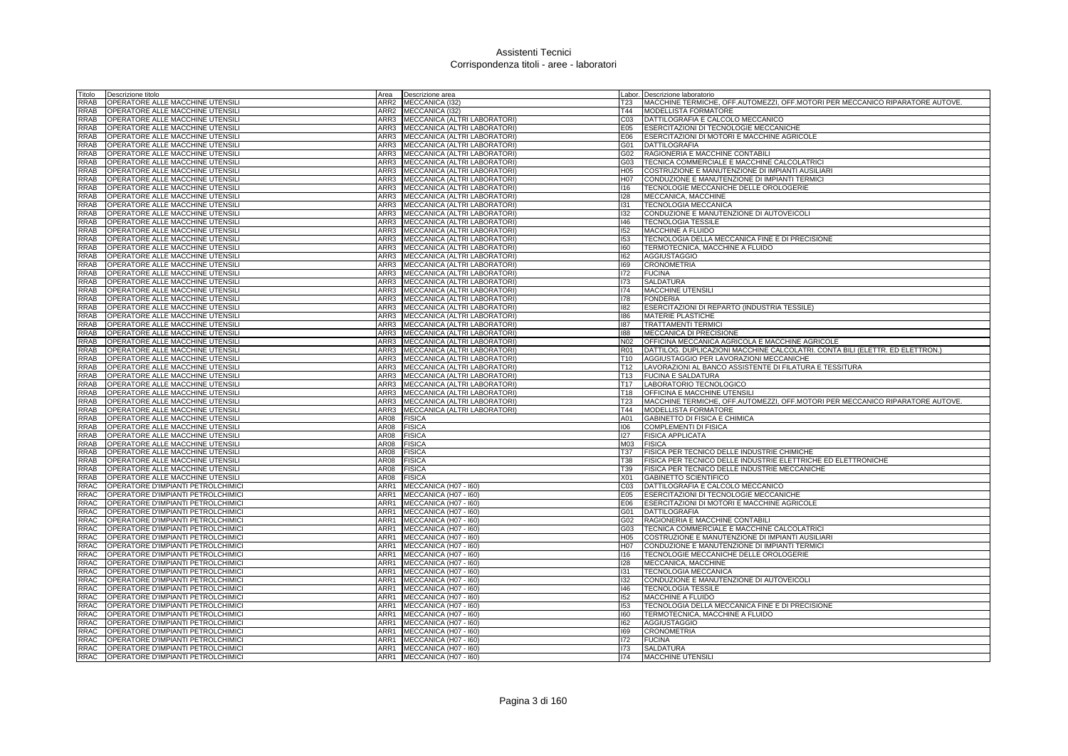| Titolo      | Descrizione titolo                 | Area             | Descrizione area                    |                 | Labor. Descrizione laboratorio                                                        |
|-------------|------------------------------------|------------------|-------------------------------------|-----------------|---------------------------------------------------------------------------------------|
| RRAB        | OPERATORE ALLE MACCHINE UTENSIL    | ARR2             | MECCANICA (I32)                     | T23             | MACCHINE TERMICHE, OFF.AUTOMEZZI, OFF.MOTORI PER MECCANICO RIPARATORE AUTOVE.         |
| RRAB        | OPERATORE ALLE MACCHINE UTENSILI   | ARR <sub>2</sub> | MECCANICA (I32)                     | T44             | <b>MODELLISTA FORMATORE</b>                                                           |
| RRAB        | OPERATORE ALLE MACCHINE UTENSIL    | ARR3             | MECCANICA (ALTRI LABORATORI)        | C <sub>03</sub> | DATTILOGRAFIA E CALCOLO MECCANICO                                                     |
| RRAB        | OPERATORE ALLE MACCHINE UTENSILI   |                  | ARR3 MECCANICA (ALTRI LABORATORI)   | E05             | ESERCITAZIONI DI TECNOLOGIE MECCANICHE                                                |
| RRAB        | OPERATORE ALLE MACCHINE UTENSIL    | ARR3             | MECCANICA (ALTRI LABORATORI)        | E06             | ESERCITAZIONI DI MOTORI E MACCHINE AGRICOLE                                           |
| <b>RRAB</b> | OPERATORE ALLE MACCHINE UTENSILI   | ARR3             | MECCANICA (ALTRI LABORATORI)        | G01             | <b>DATTILOGRAFIA</b>                                                                  |
| RRAB        | OPERATORE ALLE MACCHINE UTENSILI   | ARR3             | MECCANICA (ALTRI LABORATORI)        | G02             | RAGIONERIA E MACCHINE CONTABILI                                                       |
| RRAB        | OPERATORE ALLE MACCHINE UTENSILI   | ARR3             | MECCANICA (ALTRI LABORATORI)        | G03             | TECNICA COMMERCIALE E MACCHINE CALCOLATRICI                                           |
| RRAB        | OPERATORE ALLE MACCHINE UTENSILI   | ARR3             | MECCANICA (ALTRI LABORATORI)        | H <sub>05</sub> | COSTRUZIONE E MANUTENZIONE DI IMPIANTI AUSILIARI                                      |
| RRAB        | OPERATORE ALLE MACCHINE UTENSILI   | ARR3             | MECCANICA (ALTRI LABORATORI)        | H07             | CONDUZIONE E MANUTENZIONE DI IMPIANTI TERMICI                                         |
| RRAB        | OPERATORE ALLE MACCHINE UTENSIL    | ARR3             | MECCANICA (ALTRI LABORATORI)        | 116             | TECNOLOGIE MECCANICHE DELLE OROLOGERIE                                                |
| RRAB        |                                    | ARR3             |                                     | 128             |                                                                                       |
| RRAB        | OPERATORE ALLE MACCHINE UTENSILI   | ARR3             | MECCANICA (ALTRI LABORATORI)        | 131             | MECCANICA, MACCHINE                                                                   |
|             | OPERATORE ALLE MACCHINE UTENSILI   |                  | MECCANICA (ALTRI LABORATORI)        |                 | <b>TECNOLOGIA MECCANICA</b>                                                           |
| RRAB        | OPERATORE ALLE MACCHINE UTENSIL    | ARR3             | MECCANICA (ALTRI LABORATORI         | 132             | CONDUZIONE E MANUTENZIONE DI AUTOVEICOLI                                              |
| <b>RRAB</b> | OPERATORE ALLE MACCHINE UTENSIL    | ARR3             | MECCANICA (ALTRI LABORATORI)        | 146             | <b>TECNOLOGIA TESSILE</b>                                                             |
| RRAB        | OPERATORE ALLE MACCHINE UTENSILI   | ARR3             | MECCANICA (ALTRI LABORATORI)        | 152             | MACCHINE A FLUIDO                                                                     |
| RAB         | OPERATORE ALLE MACCHINE UTENSILI   | ARR3             | MECCANICA (ALTRI LABORATORI)        | 153             | TECNOLOGIA DELLA MECCANICA FINE E DI PRECISIONE                                       |
| RRAB        | OPERATORE ALLE MACCHINE UTENSIL    | ARR3             | MECCANICA (ALTRI LABORATORI)        | 160             | TERMOTECNICA, MACCHINE A FLUIDO                                                       |
| <b>RRAB</b> | OPERATORE ALLE MACCHINE UTENSIL    | ARR3             | MECCANICA (ALTRI LABORATORI)        | 162             | <b>AGGIUSTAGGIO</b>                                                                   |
| <b>RRAB</b> | OPERATORE ALLE MACCHINE UTENSILI   | ARR3             | MECCANICA (ALTRI LABORATORI)        | 169             | <b>CRONOMETRIA</b>                                                                    |
| RRAB        | OPERATORE ALLE MACCHINE UTENSILI   | ARR3             | <b>MECCANICA (ALTRI LABORATORI)</b> | 172             | <b>FUCINA</b>                                                                         |
| RRAB        | OPERATORE ALLE MACCHINE UTENSILI   | ARR3             | MECCANICA (ALTRI LABORATORI)        | 173             | <b>SALDATURA</b>                                                                      |
| RRAB        | OPERATORE ALLE MACCHINE UTENSILI   | ARR3             | MECCANICA (ALTRI LABORATORI)        | 174             | MACCHINE UTENSIL                                                                      |
| RRAB        | OPERATORE ALLE MACCHINE UTENSILI   | ARR3             | MECCANICA (ALTRI LABORATORI)        | 178             | <b>FONDERIA</b>                                                                       |
| RRAB        | OPERATORE ALLE MACCHINE UTENSILI   | ARR3             | MECCANICA (ALTRI LABORATORI)        | 182             | ESERCITAZIONI DI REPARTO (INDUSTRIA TESSILE)                                          |
| RRAB        | OPERATORE ALLE MACCHINE UTENSILI   | ARR3             | MECCANICA (ALTRI LABORATORI)        | 186             | <b>MATERIE PLASTICHE</b>                                                              |
| RRAB        | OPERATORE ALLE MACCHINE UTENSIL    | ARR3             | MECCANICA (ALTRI LABORATORI)        | 187             | <b>TRATTAMENTI TERMIC</b>                                                             |
| RRAB        | OPERATORE ALLE MACCHINE UTENSIL    | ARR3             | MECCANICA (ALTRI LABORATORI)        | 188             | MECCANICA DI PRECISIONE                                                               |
| RRAB        | OPERATORE ALLE MACCHINE UTENSILI   | ARR3             | MECCANICA (ALTRI LABORATORI)        | N <sub>02</sub> | OFFICINA MECCANICA AGRICOLA E MACCHINE AGRICOLE                                       |
| RRAB        | OPERATORE ALLE MACCHINE UTENSILI   | ARR3             | MECCANICA (ALTRI LABORATORI)        | R01             | DATTILOG. DUPLICAZIONI MACCHINE CALCOLATRI. CONTA BILI (ELETTR. ED ELETTRON.)         |
| RRAB        | OPERATORE ALLE MACCHINE UTENSIL    | ARR3             | MECCANICA (ALTRI LABORATORI         | T <sub>10</sub> | AGGIUSTAGGIO PER LAVORAZIONI MECCANICHE                                               |
| RRAB        | OPERATORE ALLE MACCHINE UTENSIL    | ARR3             | MECCANICA (ALTRI LABORATORI)        | T <sub>12</sub> | LAVORAZIONI AL BANCO ASSISTENTE DI FILATURA E TESSITURA                               |
| RRAB        | OPERATORE ALLE MACCHINE UTENSIL    | ARR3             | MECCANICA (ALTRI LABORATORI)        | T <sub>13</sub> | <b>FUCINA E SALDATURA</b>                                                             |
| RRAB        | OPERATORE ALLE MACCHINE UTENSILI   | ARR3             | MECCANICA (ALTRI LABORATORI)        | T <sub>17</sub> | LABORATORIO TECNOLOGICO                                                               |
| RRAB        | OPERATORE ALLE MACCHINE UTENSILI   | ARR3             | MECCANICA (ALTRI LABORATORI)        | T <sub>18</sub> | <b>OFFICINA E MACCHINE UTENSILI</b>                                                   |
| RRAB        | OPERATORE ALLE MACCHINE UTENSILI   | ARR3             | MECCANICA (ALTRI LABORATORI)        | T <sub>23</sub> | <b>IMACCHINE TERMICHE, OFF.AUTOMEZZI, OFF.MOTORI PER MECCANICO RIPARATORE AUTOVE.</b> |
| <b>RRAB</b> | OPERATORE ALLE MACCHINE UTENSILI   | ARR3             | MECCANICA (ALTRI LABORATORI)        | T44             | MODELLISTA FORMATORE                                                                  |
| RRAB        | OPERATORE ALLE MACCHINE UTENSILI   | AR08             |                                     | A01             | <b>GABINETTO DI FISICA E CHIMICA</b>                                                  |
| RRAB        | OPERATORE ALLE MACCHINE UTENSILI   | AR08             | <b>FISICA</b>                       |                 | <b>COMPLEMENTI DI FISICA</b>                                                          |
|             |                                    |                  | <b>FISICA</b>                       | 106             |                                                                                       |
| <b>RRAB</b> | OPERATORE ALLE MACCHINE UTENSILI   | AR08             | <b>FISICA</b>                       | 127             | <b>FISICA APPLICATA</b>                                                               |
| RRAB        | OPERATORE ALLE MACCHINE UTENSILI   | AR08             | <b>FISICA</b>                       | M <sub>03</sub> | <b>FISICA</b>                                                                         |
| RRAB        | OPERATORE ALLE MACCHINE UTENSILI   | AR08             | <b>FISICA</b>                       | <b>T37</b>      | <b>FISICA PER TECNICO DELLE INDUSTRIE CHIMICHE</b>                                    |
| RRAB        | OPERATORE ALLE MACCHINE UTENSILI   | AR08             | <b>FISICA</b>                       | <b>T38</b>      | FISICA PER TECNICO DELLE INDUSTRIE ELETTRICHE ED ELETTRONICHE                         |
| RRAB        | OPERATORE ALLE MACCHINE UTENSIL    | AR08             | <b>FISICA</b>                       | T39             | FISICA PER TECNICO DELLE INDUSTRIE MECCANICHE                                         |
| RRAB        | OPERATORE ALLE MACCHINE UTENSILI   | AR08             | <b>FISICA</b>                       | X01             | <b>GABINETTO SCIENTIFICO</b>                                                          |
| RRAC        | OPERATORE D'IMPIANTI PETROLCHIMICI | ARR1             | MECCANICA (H07 - I60)               | C <sub>03</sub> | DATTILOGRAFIA E CALCOLO MECCANICO                                                     |
| RRAC        | OPERATORE D'IMPIANTI PETROLCHIMICI | ARR1             | MECCANICA (H07 - I60)               | E05             | ESERCITAZIONI DI TECNOLOGIE MECCANICHE                                                |
| RRAC        | OPERATORE D'IMPIANTI PETROLCHIMICI | ARR1             | MECCANICA (H07 - I60)               | E06             | ESERCITAZIONI DI MOTORI E MACCHINE AGRICOLE                                           |
| <b>RRAC</b> | OPERATORE D'IMPIANTI PETROLCHIMICI | ARR1             | MECCANICA (H07 - I60)               | G01             | <b>DATTILOGRAFIA</b>                                                                  |
| RRAC        | OPERATORE D'IMPIANTI PETROLCHIMICI | ARR1             | MECCANICA (H07 - I60)               | G02             | RAGIONERIA E MACCHINE CONTABILI                                                       |
| RRAC        | OPERATORE D'IMPIANTI PETROLCHIMICI | ARR1             | MECCANICA (H07 - I60)               | G03             | TECNICA COMMERCIALE E MACCHINE CALCOLATRICI                                           |
| RRAC        | OPERATORE D'IMPIANTI PETROLCHIMICI | ARR1             | MECCANICA (H07 - I60)               | H <sub>05</sub> | COSTRUZIONE E MANUTENZIONE DI IMPIANTI AUSILIARI                                      |
| RRAC        | OPERATORE D'IMPIANTI PETROLCHIMICI | ARR1             | MECCANICA (H07 - I60)               | H07             | CONDUZIONE E MANUTENZIONE DI IMPIANTI TERMICI                                         |
| RRAC        | OPERATORE D'IMPIANTI PETROLCHIMICI | ARR1             | MECCANICA (H07 - 160)               | 116             | TECNOLOGIE MECCANICHE DELLE OROLOGERIE                                                |
| RRAC        | OPERATORE D'IMPIANTI PETROLCHIMICI | ARR1             | MECCANICA (H07 - I60)               | 128             | MECCANICA, MACCHINE                                                                   |
| <b>RRAC</b> | OPERATORE D'IMPIANTI PETROLCHIMICI | ARR1             | MECCANICA (H07 - I60)               | 131             | TECNOLOGIA MECCANICA                                                                  |
| <b>RRAC</b> | OPERATORE D'IMPIANTI PETROLCHIMICI | ARR1             | MECCANICA (H07 - I60)               | 132             | CONDUZIONE E MANUTENZIONE DI AUTOVEICOLI                                              |
| <b>RRAC</b> | OPERATORE D'IMPIANTI PETROLCHIMICI | ARR1             | MECCANICA (H07 - I60)               | 146             | <b>TECNOLOGIA TESSILE</b>                                                             |
| RRAC        | OPERATORE D'IMPIANTI PETROLCHIMICI | ARR1             | MECCANICA (H07 - I60)               | 152             | <b>MACCHINE A FLUIDO</b>                                                              |
| RRAC        | OPERATORE D'IMPIANTI PETROLCHIMICI | ARR1             | MECCANICA (H07 - I60)               | 153             | TECNOLOGIA DELLA MECCANICA FINE E DI PRECISIONE                                       |
| RRAC        | OPERATORE D'IMPIANTI PETROLCHIMICI | ARR1             | MECCANICA (H07 - I60)               | 160             | TERMOTECNICA, MACCHINE A FLUIDO                                                       |
| <b>RRAC</b> | OPERATORE D'IMPIANTI PETROLCHIMICI | ARR1             | MECCANICA (H07 - I60)               | 162             | <b>AGGIUSTAGGIO</b>                                                                   |
| RRAC        | OPERATORE D'IMPIANTI PETROLCHIMICI | ARR1             | MECCANICA (H07 - I60)               | 169             | <b>CRONOMETRIA</b>                                                                    |
| RAC         | OPERATORE D'IMPIANTI PETROLCHIMICI | ARR1             | MECCANICA (H07 - I60)               | 172             | <b>FUCINA</b>                                                                         |
| RRAC        | OPERATORE D'IMPIANTI PETROLCHIMICI |                  | ARR1 MECCANICA (H07 - 160)          | 173             | <b>SALDATURA</b>                                                                      |
| RRAC        | OPERATORE D'IMPIANTI PETROLCHIMICI |                  | ARR1 MECCANICA (H07 - 160)          | 174             | <b>MACCHINE UTENSIL</b>                                                               |
|             |                                    |                  |                                     |                 |                                                                                       |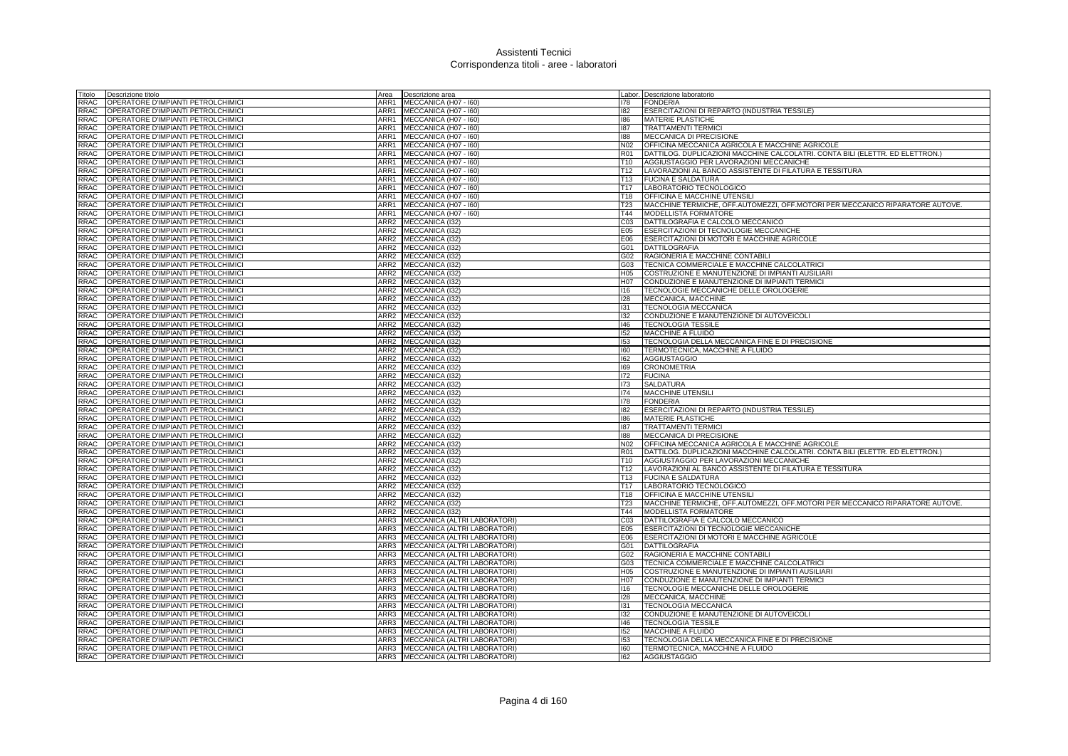| Titolo                     | Descrizione titolo                                                       | Area             | Descrizione area                             |                        | Labor. Descrizione laboratorio                                                                                           |
|----------------------------|--------------------------------------------------------------------------|------------------|----------------------------------------------|------------------------|--------------------------------------------------------------------------------------------------------------------------|
| <b>RRAC</b>                | OPERATORE D'IMPIANTI PETROLCHIMICI                                       | ARR1             | MECCANICA (H07 - I60)                        | 178                    | <b>FONDERIA</b>                                                                                                          |
| <b>RRAC</b>                | OPERATORE D'IMPIANTI PETROLCHIMICI                                       | ARR1             | MECCANICA (H07 - I60)                        | 182                    | ESERCITAZIONI DI REPARTO (INDUSTRIA TESSILE)                                                                             |
| RRAC                       | OPERATORE D'IMPIANTI PETROLCHIMICI                                       | ARR1             | MECCANICA (H07 - I60)                        | 186                    | <b>MATERIE PLASTICHE</b>                                                                                                 |
| RRAC                       | OPERATORE D'IMPIANTI PETROLCHIMICI                                       | ARR1             | MECCANICA (H07 - I60)                        | 187                    | <b>TRATTAMENTI TERMICI</b>                                                                                               |
| <b>RRAC</b>                | OPERATORE D'IMPIANTI PETROLCHIMICI                                       | ARR1             | MECCANICA (H07 - 160)                        | 188                    | MECCANICA DI PRECISIONE                                                                                                  |
| RRAC                       | OPERATORE D'IMPIANTI PETROLCHIMICI                                       | ARR1             | MECCANICA (H07 - I60)                        | N02                    | OFFICINA MECCANICA AGRICOLA E MACCHINE AGRICOLE                                                                          |
| <b>RRAC</b>                | OPERATORE D'IMPIANTI PETROLCHIMICI                                       | ARR1             | MECCANICA (H07 - I60)                        | <b>R01</b>             | DATTILOG. DUPLICAZIONI MACCHINE CALCOLATRI. CONTA BILI (ELETTR. ED ELETTRON.)                                            |
| RRAC                       | OPERATORE D'IMPIANTI PETROLCHIMICI                                       | ARR1             | MECCANICA (H07 - I60)                        | T10                    | AGGIUSTAGGIO PER LAVORAZIONI MECCANICHE                                                                                  |
| <b>RRAC</b>                | OPERATORE D'IMPIANTI PETROLCHIMICI                                       | ARR1             | MECCANICA (H07 - I60)                        | T <sub>12</sub>        | LAVORAZIONI AL BANCO ASSISTENTE DI FILATURA E TESSITURA                                                                  |
| RRAC                       | OPERATORE D'IMPIANTI PETROLCHIMICI                                       | ARR1             | MECCANICA (H07 - 160)                        | T <sub>13</sub>        | <b>FUCINA E SALDATURA</b>                                                                                                |
| RRAC                       | OPERATORE D'IMPIANTI PETROLCHIMICI                                       | ARR1             | MECCANICA (H07 - I60)                        | T <sub>17</sub>        | LABORATORIO TECNOLOGICO                                                                                                  |
| <b>RRAC</b>                | OPERATORE D'IMPIANTI PETROLCHIMICI                                       | ARR1             | MECCANICA (H07 - I60)                        | T18                    | OFFICINA E MACCHINE UTENSILI                                                                                             |
| <b>RRAC</b><br><b>RRAC</b> | OPERATORE D'IMPIANTI PETROLCHIMICI                                       | ARR1             | MECCANICA (H07 - I60)                        | T23                    | MACCHINE TERMICHE, OFF.AUTOMEZZI, OFF.MOTORI PER MECCANICO RIPARATORE AUTOVE.                                            |
| RRAC                       | OPERATORE D'IMPIANTI PETROLCHIMICI                                       | ARR1<br>ARR2     | MECCANICA (H07 - I60)                        | T44                    | MODELLISTA FORMATORE<br>DATTILOGRAFIA E CALCOLO MECCANICO                                                                |
| <b>RRAC</b>                | OPERATORE D'IMPIANTI PETROLCHIMICI<br>OPERATORE D'IMPIANTI PETROLCHIMICI | ARR <sub>2</sub> | MECCANICA (I32)                              | CO <sub>3</sub><br>E05 | ESERCITAZIONI DI TECNOLOGIE MECCANICHE                                                                                   |
| RRAC                       | OPERATORE D'IMPIANTI PETROLCHIMICI                                       |                  | MECCANICA (I32)<br>ARR2 MECCANICA (I32)      | E06                    | ESERCITAZIONI DI MOTORI E MACCHINE AGRICOLE                                                                              |
| <b>RRAC</b>                | OPERATORE D'IMPIANTI PETROLCHIMICI                                       | ARR2             | MECCANICA (I32)                              | G01                    | <b>DATTILOGRAFIA</b>                                                                                                     |
| RRAC                       | OPERATORE D'IMPIANTI PETROLCHIMICI                                       |                  | ARR2 MECCANICA (I32)                         | G02                    | RAGIONERIA E MACCHINE CONTABILI                                                                                          |
| <b>RRAC</b>                | OPERATORE D'IMPIANTI PETROLCHIMICI                                       |                  | ARR2 MECCANICA (I32)                         | G03                    | TECNICA COMMERCIALE E MACCHINE CALCOLATRICI                                                                              |
| RRAC                       | OPERATORE D'IMPIANTI PETROLCHIMICI                                       |                  | ARR2 MECCANICA (I32)                         | H05                    | COSTRUZIONE E MANUTENZIONE DI IMPIANTI AUSILIARI                                                                         |
| <b>RRAC</b>                | OPERATORE D'IMPIANTI PETROLCHIMICI                                       | ARR <sub>2</sub> | MECCANICA (132)                              | H07                    | CONDUZIONE E MANUTENZIONE DI IMPIANTI TERMICI                                                                            |
| RRAC                       | OPERATORE D'IMPIANTI PETROLCHIMICI                                       | ARR2             | MECCANICA (I32)                              | 116                    | TECNOLOGIE MECCANICHE DELLE OROLOGERIE                                                                                   |
| <b>RRAC</b>                | OPERATORE D'IMPIANTI PETROLCHIMICI                                       |                  | ARR2 MECCANICA (I32)                         | 128                    | MECCANICA, MACCHINE                                                                                                      |
| RRAC                       | OPERATORE D'IMPIANTI PETROLCHIMICI                                       |                  | ARR2 MECCANICA (I32)                         | 131                    | <b>TECNOLOGIA MECCANICA</b>                                                                                              |
| <b>RRAC</b>                | OPERATORE D'IMPIANTI PETROLCHIMICI                                       | ARR2             | MECCANICA (I32)                              | 132                    | CONDUZIONE E MANUTENZIONE DI AUTOVEICOL                                                                                  |
| RRAC                       | OPERATORE D'IMPIANTI PETROLCHIMICI                                       | ARR <sub>2</sub> | MECCANICA (I32)                              | 146                    | <b>TECNOLOGIA TESSILE</b>                                                                                                |
| RRAC                       | OPERATORE D'IMPIANTI PETROLCHIMICI                                       |                  | ARR2 MECCANICA (I32)                         | 152                    | MACCHINE A FLUIDO                                                                                                        |
| RRAC                       | OPERATORE D'IMPIANTI PETROLCHIMICI                                       |                  | ARR2 MECCANICA (I32)                         | 153                    | TECNOLOGIA DELLA MECCANICA FINE E DI PRECISIONE                                                                          |
| RRAC                       | OPERATORE D'IMPIANTI PETROLCHIMICI                                       |                  | ARR2 MECCANICA (I32)                         | 160                    | TERMOTECNICA, MACCHINE A FLUIDO                                                                                          |
| <b>RRAC</b>                | OPERATORE D'IMPIANTI PETROLCHIMICI                                       | ARR <sub>2</sub> | MECCANICA (I32)                              | 162                    | <b>AGGIUSTAGGIO</b>                                                                                                      |
| RRAC                       | OPERATORE D'IMPIANTI PETROLCHIMICI                                       |                  | ARR2 MECCANICA (I32)                         | 169                    | <b>CRONOMETRIA</b>                                                                                                       |
| RRAC                       | OPERATORE D'IMPIANTI PETROLCHIMICI                                       |                  | ARR2 MECCANICA (I32)                         | 172                    | <b>FUCINA</b>                                                                                                            |
| <b>RRAC</b>                | OPERATORE D'IMPIANTI PETROLCHIMICI                                       |                  | ARR2 MECCANICA (I32)                         | 173                    | <b>SALDATURA</b>                                                                                                         |
| <b>RRAC</b>                | OPERATORE D'IMPIANTI PETROLCHIMICI                                       | ARR2             | MECCANICA (132)                              | 174                    | MACCHINE UTENSILI                                                                                                        |
| <b>RRAC</b>                | OPERATORE D'IMPIANTI PETROLCHIMICI                                       | ARR <sub>2</sub> | MECCANICA (I32)                              | 178                    | <b>FONDERIA</b>                                                                                                          |
| RRAC                       | OPERATORE D'IMPIANTI PETROLCHIMICI                                       |                  | ARR2 MECCANICA (I32)                         | 182                    | ESERCITAZIONI DI REPARTO (INDUSTRIA TESSILE)                                                                             |
| <b>RRAC</b>                | OPERATORE D'IMPIANTI PETROLCHIMICI                                       | ARR2             | MECCANICA (I32)                              | 186                    | <b>MATERIE PLASTICHE</b>                                                                                                 |
| <b>RRAC</b>                | OPERATORE D'IMPIANTI PETROLCHIMICI                                       | ARR2             | MECCANICA (I32)                              | 187                    | <b>TRATTAMENTI TERMIC</b>                                                                                                |
| <b>RRAC</b>                | OPERATORE D'IMPIANTI PETROLCHIMICI                                       | ARR <sub>2</sub> | MECCANICA (I32)                              | 188                    | <b>MECCANICA DI PRECISIONE</b>                                                                                           |
| RRAC                       | OPERATORE D'IMPIANTI PETROLCHIMICI                                       |                  | ARR2 MECCANICA (I32)                         | N02                    | OFFICINA MECCANICA AGRICOLA E MACCHINE AGRICOLE                                                                          |
| RRAC<br>RRAC               | OPERATORE D'IMPIANTI PETROLCHIMICI<br>OPERATORE D'IMPIANTI PETROLCHIMICI |                  | ARR2 MECCANICA (I32)<br>ARR2 MECCANICA (I32) | R01<br>T10             | DATTILOG. DUPLICAZIONI MACCHINE CALCOLATRI. CONTA BILI (ELETTR. ED ELETTRON.)<br>AGGIUSTAGGIO PER LAVORAZIONI MECCANICHE |
| RRAC                       | OPERATORE D'IMPIANTI PETROLCHIMICI                                       |                  | ARR2 MECCANICA (132)                         | T12                    | LAVORAZIONI AL BANCO ASSISTENTE DI FILATURA E TESSITURA                                                                  |
| RRAC                       | OPERATORE D'IMPIANTI PETROLCHIMICI                                       | ARR2             | MECCANICA (I32)                              | T <sub>13</sub>        | <b>FUCINA E SALDATURA</b>                                                                                                |
| <b>RRAC</b>                | OPERATORE D'IMPIANTI PETROLCHIMICI                                       |                  | ARR2 MECCANICA (I32)                         | T <sub>17</sub>        | LABORATORIO TECNOLOGICO                                                                                                  |
| RRAC                       | OPERATORE D'IMPIANTI PETROLCHIMICI                                       |                  | ARR2 MECCANICA (I32)                         | T18                    | OFFICINA E MACCHINE UTENSILI                                                                                             |
| RRAC                       | OPERATORE D'IMPIANTI PETROLCHIMICI                                       | ARR <sub>2</sub> | MECCANICA (132)                              | T23                    | MACCHINE TERMICHE, OFF.AUTOMEZZI, OFF.MOTORI PER MECCANICO RIPARATORE AUTOVE                                             |
| RRAC                       | OPERATORE D'IMPIANTI PETROLCHIMICI                                       | ARR2             | MECCANICA (I32)                              | T44                    | MODELLISTA FORMATORE                                                                                                     |
| <b>RRAC</b>                | OPERATORE D'IMPIANTI PETROLCHIMICI                                       | ARR3             | MECCANICA (ALTRI LABORATORI)                 | CO <sub>3</sub>        | DATTILOGRAFIA E CALCOLO MECCANICO                                                                                        |
| <b>RRAC</b>                | OPERATORE D'IMPIANTI PETROLCHIMICI                                       | ARR3             | MECCANICA (ALTRI LABORATORI)                 | E05                    | ESERCITAZIONI DI TECNOLOGIE MECCANICHE                                                                                   |
| <b>RRAC</b>                | OPERATORE D'IMPIANTI PETROLCHIMICI                                       | ARR3             | MECCANICA (ALTRI LABORATORI)                 | E06                    | ESERCITAZIONI DI MOTORI E MACCHINE AGRICOLE                                                                              |
| <b>RRAC</b>                | OPERATORE D'IMPIANTI PETROLCHIMICI                                       | ARR3             | MECCANICA (ALTRI LABORATORI)                 | G01                    | <b>DATTILOGRAFIA</b>                                                                                                     |
| RRAC                       | OPERATORE D'IMPIANTI PETROLCHIMICI                                       |                  | ARR3 MECCANICA (ALTRI LABORATORI)            | G02                    | RAGIONERIA E MACCHINE CONTABILI                                                                                          |
| RRAC                       | OPERATORE D'IMPIANTI PETROLCHIMICI                                       |                  | ARR3 MECCANICA (ALTRI LABORATORI)            | G03                    | TECNICA COMMERCIALE E MACCHINE CALCOLATRICI                                                                              |
| RRAC                       | OPERATORE D'IMPIANTI PETROLCHIMICI                                       |                  | ARR3 MECCANICA (ALTRI LABORATORI)            | H05                    | COSTRUZIONE E MANUTENZIONE DI IMPIANTI AUSILIARI                                                                         |
| <b>RRAC</b>                | OPERATORE D'IMPIANTI PETROLCHIMICI                                       | ARR3             | MECCANICA (ALTRI LABORATORI)                 | H07                    | CONDUZIONE E MANUTENZIONE DI IMPIANTI TERMICI                                                                            |
| RRAC                       | OPERATORE D'IMPIANTI PETROLCHIMICI                                       | ARR3             | MECCANICA (ALTRI LABORATORI)                 | 116                    | TECNOLOGIE MECCANICHE DELLE OROLOGERIE                                                                                   |
| RRAC                       | OPERATORE D'IMPIANTI PETROLCHIMICI                                       |                  | ARR3 MECCANICA (ALTRI LABORATORI)            | 128                    | MECCANICA, MACCHINE                                                                                                      |
| RRAC                       | OPERATORE D'IMPIANTI PETROLCHIMICI                                       | ARR3             | MECCANICA (ALTRI LABORATORI)                 | 131                    | <b>TECNOLOGIA MECCANICA</b>                                                                                              |
| <b>RRAC</b>                | OPERATORE D'IMPIANTI PETROLCHIMICI                                       | ARR3             | MECCANICA (ALTRI LABORATORI)                 | 132                    | CONDUZIONE E MANUTENZIONE DI AUTOVEICOLI                                                                                 |
| <b>RRAC</b>                | OPERATORE D'IMPIANTI PETROLCHIMICI                                       | ARR3             | MECCANICA (ALTRI LABORATORI)                 | $ 46\rangle$           | <b>TECNOLOGIA TESSILE</b>                                                                                                |
| RRAC                       | OPERATORE D'IMPIANTI PETROLCHIMICI                                       |                  | ARR3 MECCANICA (ALTRI LABORATORI)            | 152                    | MACCHINE A FLUIDO                                                                                                        |
| RRAC                       | OPERATORE D'IMPIANTI PETROLCHIMICI                                       |                  | ARR3 MECCANICA (ALTRI LABORATORI)            | 153                    | TECNOLOGIA DELLA MECCANICA FINE E DI PRECISIONE                                                                          |
| RRAC                       | OPERATORE D'IMPIANTI PETROLCHIMICI                                       |                  | ARR3 MECCANICA (ALTRI LABORATORI)            | 160                    | TERMOTECNICA, MACCHINE A FLUIDO                                                                                          |
| RRAC                       | OPERATORE D'IMPIANTI PETROLCHIMICI                                       |                  | ARR3 MECCANICA (ALTRI LABORATORI)            | 162                    | <b>AGGIUSTAGGIO</b>                                                                                                      |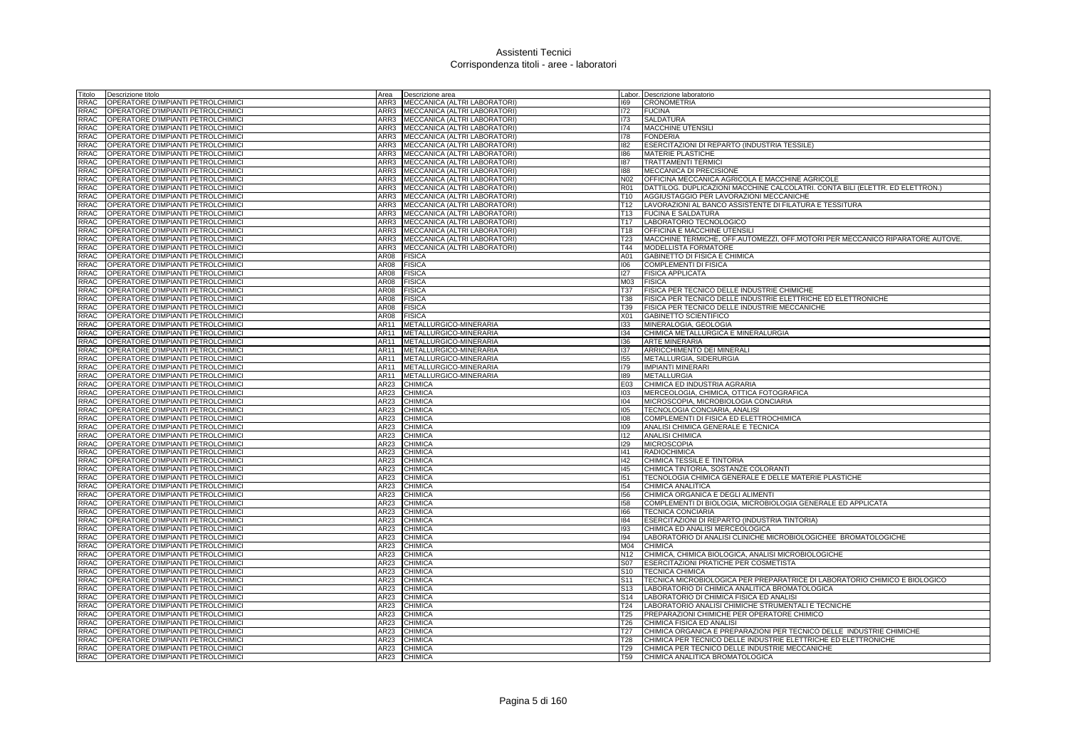| Titolo              | Descrizione titolo                                                       | Area         | Descrizione area                  |                 | Labor. Descrizione laboratorio                                                   |
|---------------------|--------------------------------------------------------------------------|--------------|-----------------------------------|-----------------|----------------------------------------------------------------------------------|
| RRAC                | OPERATORE D'IMPIANTI PETROLCHIMICI                                       |              | ARR3 MECCANICA (ALTRI LABORATORI) | 169             | <b>CRONOMETRIA</b>                                                               |
| RRAC                | OPERATORE D'IMPIANTI PETROLCHIMICI                                       |              | ARR3 MECCANICA (ALTRI LABORATORI) | 172             | <b>FUCINA</b>                                                                    |
| RRAC                | OPERATORE D'IMPIANTI PETROLCHIMICI                                       |              | ARR3 MECCANICA (ALTRI LABORATORI) | 173             | <b>SALDATURA</b>                                                                 |
| RRAC                | OPERATORE D'IMPIANTI PETROLCHIMICI                                       |              | ARR3 MECCANICA (ALTRI LABORATORI) | 174             | MACCHINE UTENSILI                                                                |
| RRAC                | OPERATORE D'IMPIANTI PETROLCHIMICI                                       | ARR3         | MECCANICA (ALTRI LABORATORI)      | 178             | <b>FONDERIA</b>                                                                  |
| RRAC                | OPERATORE D'IMPIANTI PETROLCHIMICI                                       |              | ARR3 MECCANICA (ALTRI LABORATORI) | 182             | ESERCITAZIONI DI REPARTO (INDUSTRIA TESSILE)                                     |
| RRAC                | OPERATORE D'IMPIANTI PETROLCHIMICI                                       | ARR3         | MECCANICA (ALTRI LABORATORI)      | 186             | <b>MATERIE PLASTICHE</b>                                                         |
| <b>RRAC</b>         | OPERATORE D'IMPIANTI PETROLCHIMICI                                       | ARR3         | MECCANICA (ALTRI LABORATORI)      | 187             | <b>TRATTAMENTI TERMICI</b>                                                       |
| RRAC                | OPERATORE D'IMPIANTI PETROLCHIMICI                                       | ARR3         | MECCANICA (ALTRI LABORATORI)      | 188             | MECCANICA DI PRECISIONE                                                          |
| <b>RRAC</b>         | OPERATORE D'IMPIANTI PETROLCHIMICI                                       | ARR3         | MECCANICA (ALTRI LABORATORI)      | N <sub>02</sub> | OFFICINA MECCANICA AGRICOLA E MACCHINE AGRICOLE                                  |
| RRAC                | OPERATORE D'IMPIANTI PETROLCHIMICI                                       | ARR3         | MECCANICA (ALTRI LABORATORI)      | <b>R01</b>      | DATTILOG. DUPLICAZIONI MACCHINE CALCOLATRI. CONTA BILI (ELETTR. ED ELETTRON.)    |
| RRAC                | OPERATORE D'IMPIANTI PETROLCHIMICI                                       |              | ARR3 MECCANICA (ALTRI LABORATORI) | T10             | AGGIUSTAGGIO PER LAVORAZIONI MECCANICHE                                          |
| <b>RRAC</b>         | OPERATORE D'IMPIANTI PETROLCHIMICI                                       |              | ARR3 MECCANICA (ALTRI LABORATORI) | T12             | LAVORAZIONI AL BANCO ASSISTENTE DI FILATURA E TESSITURA                          |
| <b>RRAC</b>         | OPERATORE D'IMPIANTI PETROLCHIMICI                                       | ARR3         | MECCANICA (ALTRI LABORATORI)      | T13             | <b>FUCINA E SALDATURA</b>                                                        |
| RRAC                | OPERATORE D'IMPIANTI PETROLCHIMICI                                       | ARR3         | MECCANICA (ALTRI LABORATORI)      | T17             | LABORATORIO TECNOLOGICO                                                          |
| <b>RRAC</b>         | OPERATORE D'IMPIANTI PETROLCHIMICI                                       | ARR3         | MECCANICA (ALTRI LABORATORI)      | T18             | OFFICINA E MACCHINE UTENSILI                                                     |
| <b>RRAC</b>         | OPERATORE D'IMPIANTI PETROLCHIMICI                                       | ARR3         | MECCANICA (ALTRI LABORATORI)      | T23             | MACCHINE TERMICHE, OFF.AUTOMEZZI, OFF.MOTORI PER MECCANICO RIPARATORE AUTOVE.    |
| <b>RRAC</b>         | OPERATORE D'IMPIANTI PETROLCHIMICI                                       | ARR3         | MECCANICA (ALTRI LABORATORI)      | T44             | MODELLISTA FORMATORE                                                             |
| RRAC                | OPERATORE D'IMPIANTI PETROLCHIMICI                                       | AR08         | <b>FISICA</b>                     | A01             | GABINETTO DI FISICA E CHIMICA                                                    |
| <b>RRAC</b>         | OPERATORE D'IMPIANTI PETROLCHIMICI                                       | AR08         | <b>FISICA</b>                     | 001             | <b>COMPLEMENTI DI FISICA</b>                                                     |
| <b>RRAC</b>         | OPERATORE D'IMPIANTI PETROLCHIMICI                                       | AR08         | <b>FISICA</b>                     | 127             | <b>FISICA APPLICATA</b>                                                          |
| <b>RRAC</b>         | OPERATORE D'IMPIANTI PETROLCHIMICI                                       | AR08         | <b>FISICA</b>                     | M03             | <b>FISICA</b>                                                                    |
| RRAC                | OPERATORE D'IMPIANTI PETROLCHIMICI                                       | AR08         | <b>FISICA</b>                     | T37             | FISICA PER TECNICO DELLE INDUSTRIE CHIMICHE                                      |
| RRAC                | OPERATORE D'IMPIANTI PETROLCHIMICI                                       | AR08         | <b>FISICA</b>                     | T38             | FISICA PER TECNICO DELLE INDUSTRIE ELETTRICHE ED ELETTRONICHE                    |
| RRAC                | OPERATORE D'IMPIANTI PETROLCHIMICI                                       | AR08         | <b>FISICA</b>                     | T39             | FISICA PER TECNICO DELLE INDUSTRIE MECCANICHE                                    |
| RRAC                | OPERATORE D'IMPIANTI PETROLCHIMICI                                       | AR08         | <b>FISICA</b>                     | X01             | GABINETTO SCIENTIFICO                                                            |
| <b>RRAC</b>         | OPERATORE D'IMPIANTI PETROLCHIMICI                                       | AR11         | METALLURGICO-MINERARIA            | 133             | MINERALOGIA, GEOLOGIA                                                            |
| RRAC                | OPERATORE D'IMPIANTI PETROLCHIMICI                                       | AR11         | METALLURGICO-MINERARIA            | 134             | CHIMICA METALLURGICA E MINERALURGIA                                              |
| <b>RRAC</b>         | OPERATORE D'IMPIANTI PETROLCHIMICI                                       | AR11         | METALLURGICO-MINERARIA            | 136             | <b>ARTE MINERARIA</b>                                                            |
| RRAC                | OPERATORE D'IMPIANTI PETROLCHIMICI                                       | AR11         | METALLURGICO-MINERARIA            | 137             | ARRICCHIMENTO DEI MINERALI                                                       |
| <b>RRAC</b>         | OPERATORE D'IMPIANTI PETROLCHIMICI                                       | AR11         | METALLURGICO-MINERARIA            | 155             | METALLURGIA, SIDERURGIA                                                          |
| RRAC                | OPERATORE D'IMPIANTI PETROLCHIMICI                                       | AR11         | METALLURGICO-MINERARIA            | 179             | <b>IMPIANTI MINERARI</b>                                                         |
| RRAC<br><b>RRAC</b> | OPERATORE D'IMPIANTI PETROLCHIMICI                                       | AR11<br>AR23 | METALLURGICO-MINERARIA            | 189<br>E03      | <b>METALLURGIA</b>                                                               |
|                     | OPERATORE D'IMPIANTI PETROLCHIMICI                                       |              | <b>CHIMICA</b>                    |                 | CHIMICA ED INDUSTRIA AGRARIA                                                     |
| RRAC<br>RRAC        | OPERATORE D'IMPIANTI PETROLCHIMICI<br>OPERATORE D'IMPIANTI PETROLCHIMICI | AR23<br>AR23 | <b>CHIMICA</b><br><b>CHIMICA</b>  | 103<br>104      | MERCEOLOGIA, CHIMICA, OTTICA FOTOGRAFICA<br>MICROSCOPIA, MICROBIOLOGIA CONCIARIA |
| <b>RRAC</b>         | OPERATORE D'IMPIANTI PETROLCHIMICI                                       | AR23         | <b>CHIMICA</b>                    | 105             | TECNOLOGIA CONCIARIA, ANALISI                                                    |
| <b>RRAC</b>         | OPERATORE D'IMPIANTI PETROLCHIMICI                                       | AR23         | CHIMICA                           | 108             | COMPLEMENTI DI FISICA ED ELETTROCHIMICA                                          |
| <b>RRAC</b>         | OPERATORE D'IMPIANTI PETROLCHIMICI                                       | AR23         | <b>CHIMICA</b>                    | 109             | ANALISI CHIMICA GENERALE E TECNICA                                               |
| <b>RRAC</b>         | OPERATORE D'IMPIANTI PETROLCHIMICI                                       | AR23         | <b>CHIMICA</b>                    | 112             | <b>ANALISI CHIMICA</b>                                                           |
| <b>RRAC</b>         | OPERATORE D'IMPIANTI PETROLCHIMICI                                       | <b>AR23</b>  | <b>CHIMICA</b>                    | 129             | <b>MICROSCOPIA</b>                                                               |
| <b>RRAC</b>         | OPERATORE D'IMPIANTI PETROLCHIMICI                                       | AR23         | <b>CHIMICA</b>                    | 141             | <b>RADIOCHIMICA</b>                                                              |
| <b>RRAC</b>         | OPERATORE D'IMPIANTI PETROLCHIMICI                                       | AR23         | <b>CHIMICA</b>                    | 42              | CHIMICA TESSILE E TINTORIA                                                       |
| <b>RRAC</b>         | OPERATORE D'IMPIANTI PETROLCHIMICI                                       | AR23         | <b>CHIMICA</b>                    | 145             | CHIMICA TINTORIA, SOSTANZE COLORANTI                                             |
| RRAC                | OPERATORE D'IMPIANTI PETROLCHIMICI                                       | AR23         | <b>CHIMICA</b>                    | 151             | TECNOLOGIA CHIMICA GENERALE E DELLE MATERIE PLASTICHE                            |
| RRAC                | OPERATORE D'IMPIANTI PETROLCHIMICI                                       | AR23         | <b>CHIMICA</b>                    | 154             | CHIMICA ANALITICA                                                                |
| RRAC                | OPERATORE D'IMPIANTI PETROLCHIMICI                                       | AR23         | <b>CHIMICA</b>                    | 156             | CHIMICA ORGANICA E DEGLI ALIMENTI                                                |
| RRAC                | OPERATORE D'IMPIANTI PETROLCHIMICI                                       | AR23         | <b>CHIMICA</b>                    | 158             | COMPLEMENTI DI BIOLOGIA, MICROBIOLOGIA GENERALE ED APPLICATA                     |
| RRAC                | OPERATORE D'IMPIANTI PETROLCHIMICI                                       | AR23         | <b>CHIMICA</b>                    | 166             | <b>TECNICA CONCIARIA</b>                                                         |
| RRAC                | OPERATORE D'IMPIANTI PETROLCHIMICI                                       | AR23         | <b>CHIMICA</b>                    | 184             | ESERCITAZIONI DI REPARTO (INDUSTRIA TINTORIA)                                    |
| <b>RRAC</b>         | OPERATORE D'IMPIANTI PETROLCHIMICI                                       | AR23         | <b>CHIMICA</b>                    | 193             | CHIMICA ED ANALISI MERCEOLOGICA                                                  |
| <b>RRAC</b>         | OPERATORE D'IMPIANTI PETROLCHIMICI                                       | AR23         | <b>CHIMICA</b>                    | 194             | LABORATORIO DI ANALISI CLINICHE MICROBIOLOGICHEE BROMATOLOGICHE                  |
| RRAC                | OPERATORE D'IMPIANTI PETROLCHIMICI                                       | AR23         | <b>CHIMICA</b>                    | M04             | <b>CHIMICA</b>                                                                   |
| RRAC                | OPERATORE D'IMPIANTI PETROLCHIMICI                                       | AR23         | <b>CHIMICA</b>                    | N <sub>12</sub> | CHIMICA, CHIMICA BIOLOGICA, ANALISI MICROBIOLOGICHE                              |
| RRAC                | OPERATORE D'IMPIANTI PETROLCHIMICI                                       | AR23         | <b>CHIMICA</b>                    | S07             | <b>ESERCITAZIONI PRATICHE PER COSMETISTA</b>                                     |
| <b>RRAC</b>         | OPERATORE D'IMPIANTI PETROLCHIMICI                                       | AR23         | <b>CHIMICA</b>                    | S <sub>10</sub> | <b>TECNICA CHIMICA</b>                                                           |
| <b>RRAC</b>         | OPERATORE D'IMPIANTI PETROLCHIMICI                                       | AR23         | <b>CHIMICA</b>                    | S <sub>11</sub> | TECNICA MICROBIOLOGICA PER PREPARATRICE DI LABORATORIO CHIMICO E BIOLOGICO       |
| RRAC                | OPERATORE D'IMPIANTI PETROLCHIMICI                                       | AR23         | <b>CHIMICA</b>                    | S <sub>13</sub> | LABORATORIO DI CHIMICA ANALITICA BROMATOLOGICA                                   |
| RRAC                | OPERATORE D'IMPIANTI PETROLCHIMICI                                       | AR23         | <b>CHIMICA</b>                    | S <sub>14</sub> | LABORATORIO DI CHIMICA FISICA ED ANALISI                                         |
| RRAC                | OPERATORE D'IMPIANTI PETROLCHIMICI                                       | AR23         | <b>CHIMICA</b>                    | T <sub>24</sub> | LABORATORIO ANALISI CHIMICHE STRUMENTALI E TECNICHE                              |
| RRAC                | OPERATORE D'IMPIANTI PETROLCHIMICI                                       | AR23         | <b>CHIMICA</b>                    | <b>T25</b>      | PREPARAZIONI CHIMICHE PER OPERATORE CHIMICO                                      |
| RRAC                | OPERATORE D'IMPIANTI PETROLCHIMICI                                       | <b>AR23</b>  | <b>CHIMICA</b>                    | T26             | CHIMICA FISICA ED ANALISI                                                        |
| <b>RRAC</b>         | OPERATORE D'IMPIANTI PETROLCHIMICI                                       | AR23         | <b>CHIMICA</b>                    | T <sub>27</sub> | CHIMICA ORGANICA E PREPARAZIONI PER TECNICO DELLE INDUSTRIE CHIMICHE             |
| RRAC                | OPERATORE D'IMPIANTI PETROLCHIMICI                                       | <b>AR23</b>  | <b>CHIMICA</b>                    | T28             | CHIMICA PER TECNICO DELLE INDUSTRIE ELETTRICHE ED ELETTRONICHE                   |
| RRAC                | OPERATORE D'IMPIANTI PETROLCHIMICI                                       | AR23         | <b>CHIMICA</b>                    | T29             | CHIMICA PER TECNICO DELLE INDUSTRIE MECCANICHE                                   |
| <b>RRAC</b>         | OPERATORE D'IMPIANTI PETROLCHIMICI                                       | <b>AR23</b>  | <b>CHIMICA</b>                    | T <sub>59</sub> | CHIMICA ANALITICA BROMATOLOGICA                                                  |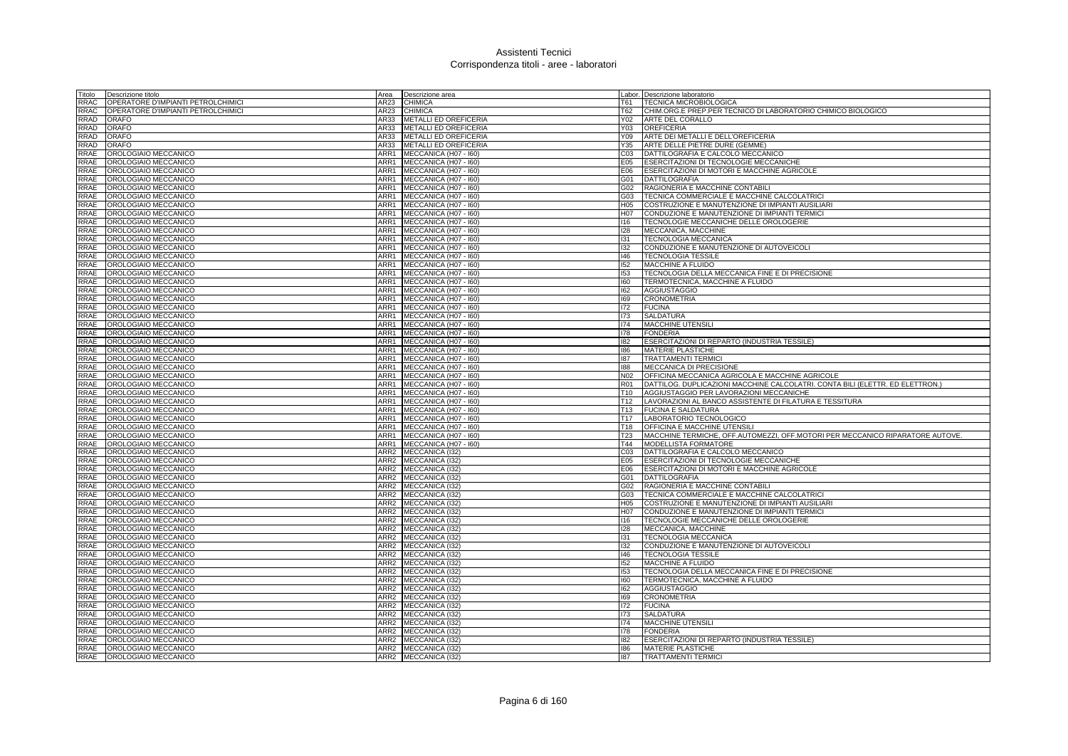| Fitolo | Descrizione titolo                 | Area             | Descrizione area             |                 | Labor. Descrizione laboratorio                                                |
|--------|------------------------------------|------------------|------------------------------|-----------------|-------------------------------------------------------------------------------|
| RRAC   | OPERATORE D'IMPIANTI PETROLCHIMICI | AR23             | <b>CHIMICA</b>               | T61             | TECNICA MICROBIOLOGICA                                                        |
| RRAC   | OPERATORE D'IMPIANTI PETROLCHIMICI | AR23             | <b>CHIMICA</b>               | T62             | CHIM.ORG.E PREP.PER TECNICO DI LABORATORIO CHIMICO BIOLOGICO                  |
| RRAD   | <b>ORAFO</b>                       | AR33             | METALLI ED OREFICERIA        | Y02             | ARTE DEL CORALLO                                                              |
| RRAD   | <b>ORAFO</b>                       | AR33             | METALLI ED OREFICERIA        | Y03             | <b>OREFICERIA</b>                                                             |
| RRAD   | <b>ORAFO</b>                       | AR33             | <b>METALLI ED OREFICERIA</b> | Y09             | ARTE DEI METALLI E DELL'OREFICERIA                                            |
| RRAD   | <b>ORAFO</b>                       | AR33             | METALLI ED OREFICERIA        | Y35             | ARTE DELLE PIETRE DURE (GEMME)                                                |
| RRAE   | OROLOGIAIO MECCANICO               | ARR1             | MECCANICA (H07 - I60)        | CO <sub>3</sub> | DATTILOGRAFIA E CALCOLO MECCANICO                                             |
| RRAE   | OROLOGIAIO MECCANICO               | ARR1             | MECCANICA (H07 - I60)        | E05             | ESERCITAZIONI DI TECNOLOGIE MECCANICHE                                        |
| RRAE   | OROLOGIAIO MECCANICO               | ARR1             | MECCANICA (H07 - I60)        | E06             | ESERCITAZIONI DI MOTORI E MACCHINE AGRICOLE                                   |
| RRAE   | OROLOGIAIO MECCANICO               | ARR1             | MECCANICA (H07 - 160)        | G01             | <b>DATTILOGRAFIA</b>                                                          |
| RRAE   | OROLOGIAIO MECCANICO               | ARR1             | MECCANICA (H07 - I60)        | G02             | RAGIONERIA E MACCHINE CONTABILI                                               |
| RRAE   | OROLOGIAIO MECCANICO               | ARR1             | MECCANICA (H07 - I60)        | G03             | TECNICA COMMERCIALE E MACCHINE CALCOLATRICI                                   |
| RRAE   | OROLOGIAIO MECCANICO               | ARR1             | MECCANICA (H07 - I60)        | H05             | COSTRUZIONE E MANUTENZIONE DI IMPIANTI AUSILIARI                              |
| RRAE   | OROLOGIAIO MECCANICO               | ARR1             | MECCANICA (H07 - I60)        | H07             | CONDUZIONE E MANUTENZIONE DI IMPIANTI TERMICI                                 |
| RRAE   | OROLOGIAIO MECCANICO               | ARR1             | MECCANICA (H07 - I60)        | 116             | TECNOLOGIE MECCANICHE DELLE OROLOGERIE                                        |
| RRAE   | OROLOGIAIO MECCANICO               | ARR1             | MECCANICA (H07 - I60)        | 128             | MECCANICA, MACCHINE                                                           |
| RRAE   | OROLOGIAIO MECCANICO               | ARR1             | MECCANICA (H07 - I60)        | 131             | TECNOLOGIA MECCANICA                                                          |
| RRAE   | OROLOGIAIO MECCANICO               | ARR1             | MECCANICA (H07 - I60)        | 132             | CONDUZIONE E MANUTENZIONE DI AUTOVEICOLI                                      |
| RRAE   | OROLOGIAIO MECCANICO               | ARR1             | MECCANICA (H07 - I60)        | 46              | <b>TECNOLOGIA TESSILE</b>                                                     |
| RRAE   | OROLOGIAIO MECCANICO               |                  | ARR1 MECCANICA (H07 - 160)   | 152             | <b>MACCHINE A FLUIDO</b>                                                      |
| RRAE   | OROLOGIAIO MECCANICO               |                  | ARR1 MECCANICA (H07 - 160)   | 153             | TECNOLOGIA DELLA MECCANICA FINE E DI PRECISIONE                               |
|        |                                    |                  |                              |                 |                                                                               |
| RRAE   | OROLOGIAIO MECCANICO               | ARR1             | MECCANICA (H07 - 160)        | 160             | TERMOTECNICA, MACCHINE A FLUIDO                                               |
| RRAE   | OROLOGIAIO MECCANICO               | ARR1             | MECCANICA (H07 - I60)        | 162<br>169      | <b>AGGIUSTAGGIO</b>                                                           |
| RRAE   | OROLOGIAIO MECCANICO               | ARR1             | MECCANICA (H07 - I60)        |                 | <b>CRONOMETRIA</b>                                                            |
| RRAE   | OROLOGIAIO MECCANICO               | ARR1             | MECCANICA (H07 - I60)        | 172             | <b>FUCINA</b>                                                                 |
| RRAE   | OROLOGIAIO MECCANICO               | ARR1             | MECCANICA (H07 - I60)        | 173             | <b>SALDATURA</b>                                                              |
| RRAE   | OROLOGIAIO MECCANICO               | ARR1             | MECCANICA (H07 - I60)        | 174             | <b>MACCHINE UTENSILI</b>                                                      |
| RRAE   | OROLOGIAIO MECCANICO               | ARR1             | MECCANICA (H07 - I60)        | 178             | <b>FONDERIA</b>                                                               |
| RRAE   | OROLOGIAIO MECCANICO               | ARR1             | MECCANICA (H07 - I60)        | 182             | ESERCITAZIONI DI REPARTO (INDUSTRIA TESSILE)                                  |
| RRAE   | OROLOGIAIO MECCANICO               | ARR1             | MECCANICA (H07 - I60)        | 186             | <b>MATERIE PLASTICHE</b>                                                      |
| RRAE   | OROLOGIAIO MECCANICO               | ARR1             | MECCANICA (H07 - I60)        | 187             | <b>TRATTAMENTI TERMIC</b>                                                     |
| RRAE   | OROLOGIAIO MECCANICO               | ARR1             | MECCANICA (H07 - 160)        | 188             | MECCANICA DI PRECISIONE                                                       |
| RRAE   | OROLOGIAIO MECCANICO               | ARR1             | MECCANICA (H07 - I60)        | N <sub>02</sub> | OFFICINA MECCANICA AGRICOLA E MACCHINE AGRICOLE                               |
| RRAE   | OROLOGIAIO MECCANICO               | ARR1             | MECCANICA (H07 - I60)        | <b>R01</b>      | DATTILOG. DUPLICAZIONI MACCHINE CALCOLATRI. CONTA BILI (ELETTR. ED ELETTRON.) |
| RRAE   | OROLOGIAIO MECCANICO               | ARR1             | MECCANICA (H07 - 160)        | T <sub>10</sub> | AGGIUSTAGGIO PER LAVORAZIONI MECCANICHE                                       |
| RRAE   | OROLOGIAIO MECCANICO               | ARR1             | MECCANICA (H07 - I60)        | T <sub>12</sub> | LAVORAZIONI AL BANCO ASSISTENTE DI FILATURA E TESSITURA                       |
| RRAE   | OROLOGIAIO MECCANICO               | ARR1             | MECCANICA (H07 - I60)        | T <sub>13</sub> | <b>FUCINA E SALDATURA</b>                                                     |
| RRAE   | OROLOGIAIO MECCANICO               | ARR1             | MECCANICA (H07 - I60)        | T <sub>17</sub> | LABORATORIO TECNOLOGICO                                                       |
| RRAE   | OROLOGIAIO MECCANICO               | ARR1             | MECCANICA (H07 - I60)        | T <sub>18</sub> | <b>OFFICINA E MACCHINE UTENSIL</b>                                            |
| RRAE   | OROLOGIAIO MECCANICO               | ARR1             | MECCANICA (H07 - I60)        | T <sub>23</sub> | MACCHINE TERMICHE, OFF.AUTOMEZZI, OFF.MOTORI PER MECCANICO RIPARATORE AUTOVE. |
| RRAE   | OROLOGIAIO MECCANICO               | ARR1             | MECCANICA (H07 - I60)        | T44             | MODELLISTA FORMATORE                                                          |
| RRAE   | OROLOGIAIO MECCANICO               | ARR2             | MECCANICA (I32)              | CO <sub>3</sub> | DATTILOGRAFIA E CALCOLO MECCANICO                                             |
| RRAE   | OROLOGIAIO MECCANICO               | ARR2             | MECCANICA (I32)              | E05             | ESERCITAZIONI DI TECNOLOGIE MECCANICHE                                        |
| RRAE   | OROLOGIAIO MECCANICO               | ARR2             | MECCANICA (I32)              | E06             | ESERCITAZIONI DI MOTORI E MACCHINE AGRICOLE                                   |
| RRAE   | OROLOGIAIO MECCANICO               | ARR <sub>2</sub> | MECCANICA (I32)              | G01             | <b>DATTILOGRAFIA</b>                                                          |
| RRAE   | OROLOGIAIO MECCANICO               | ARR2             | MECCANICA (132)              | G02             | RAGIONERIA E MACCHINE CONTABILI                                               |
| RRAE   | OROLOGIAIO MECCANICO               | ARR2             | MECCANICA (I32)              | G03             | TECNICA COMMERCIALE E MACCHINE CALCOLATRICI                                   |
| RRAE   | OROLOGIAIO MECCANICO               | ARR2             | MECCANICA (132)              | H <sub>05</sub> | COSTRUZIONE E MANUTENZIONE DI IMPIANTI AUSILIARI                              |
| RRAE   | OROLOGIAIO MECCANICO               | ARR <sub>2</sub> | MECCANICA (I32)              | H07             | CONDUZIONE E MANUTENZIONE DI IMPIANTI TERMICI                                 |
| RRAE   | OROLOGIAIO MECCANICO               | ARR2             | MECCANICA (I32)              | 116             | TECNOLOGIE MECCANICHE DELLE OROLOGERIE                                        |
| RRAE   | OROLOGIAIO MECCANICO               | ARR2             | MECCANICA (I32)              | 128             | MECCANICA, MACCHINE                                                           |
| RRAE   | OROLOGIAIO MECCANICO               | ARR2             | MECCANICA (I32)              | 131             | TECNOLOGIA MECCANICA                                                          |
| RRAE   | OROLOGIAIO MECCANICO               | ARR <sub>2</sub> | MECCANICA (I32)              | 132             | CONDUZIONE E MANUTENZIONE DI AUTOVEICOLI                                      |
| RRAE   | OROLOGIAIO MECCANICO               | ARR2             | MECCANICA (I32)              | 146             | <b>TECNOLOGIA TESSILE</b>                                                     |
| RRAE   | OROLOGIAIO MECCANICO               | ARR2             | MECCANICA (132)              | 152             | <b>MACCHINE A FLUIDO</b>                                                      |
| RRAE   | OROLOGIAIO MECCANICO               | ARR2             | MECCANICA (I32)              | 153             | TECNOLOGIA DELLA MECCANICA FINE E DI PRECISIONE                               |
| RRAE   | OROLOGIAIO MECCANICO               | ARR2             | MECCANICA (I32)              | 160             | TERMOTECNICA, MACCHINE A FLUIDO                                               |
| RRAE   | OROLOGIAIO MECCANICO               | ARR2             | MECCANICA (I32)              | 162             | <b>AGGIUSTAGGIO</b>                                                           |
| RRAE   | OROLOGIAIO MECCANICO               | ARR2             | MECCANICA (132)              | 169             | <b>CRONOMETRIA</b>                                                            |
| RRAE   | OROLOGIAIO MECCANICO               | ARR2             | MECCANICA (I32)              | 172             | <b>FUCINA</b>                                                                 |
| RRAE   | OROLOGIAIO MECCANICO               | ARR2             | MECCANICA (132)              | 173             | <b>SALDATURA</b>                                                              |
| RRAE   | OROLOGIAIO MECCANICO               | ARR <sub>2</sub> | MECCANICA (I32)              | 174             | <b>MACCHINE UTENSILI</b>                                                      |
| RRAE   | OROLOGIAIO MECCANICO               | ARR2             | MECCANICA (132)              | 178             | <b>FONDERIA</b>                                                               |
| RRAE   | OROLOGIAIO MECCANICO               | ARR2             | MECCANICA (132)              | 182             | ESERCITAZIONI DI REPARTO (INDUSTRIA TESSILE)                                  |
| RRAE   | OROLOGIAIO MECCANICO               |                  | ARR2 MECCANICA (I32)         | 186             | <b>MATERIE PLASTICHE</b>                                                      |
| RRAE   | OROLOGIAIO MECCANICO               |                  | ARR2 MECCANICA (I32)         | 187             | <b>TRATTAMENTI TERMIC</b>                                                     |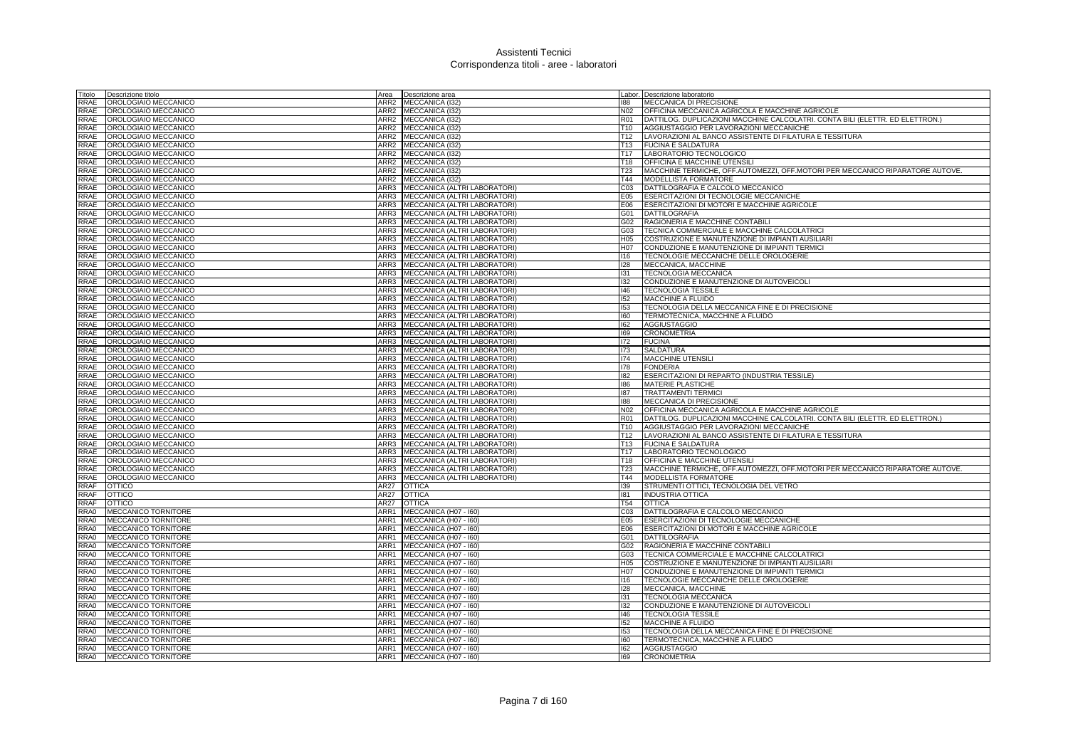| Titolo      | Descrizione titolo<br>Area               | Descrizione area                    |                 | abor. Descrizione laboratorio                                                 |
|-------------|------------------------------------------|-------------------------------------|-----------------|-------------------------------------------------------------------------------|
| RRAE        | OROLOGIAIO MECCANICO<br>ARR <sub>2</sub> | MECCANICA (132                      | 188             | MECCANICA DI PRECISIONE                                                       |
| RRAE        | ARR <sub>2</sub><br>OROLOGIAIO MECCANICO | MECCANICA (I32)                     | N02             | OFFICINA MECCANICA AGRICOLA E MACCHINE AGRICOLE                               |
| RRAE        | OROLOGIAIO MECCANICO<br>ARR2             | MECCANICA (I32)                     | R01             | DATTILOG. DUPLICAZIONI MACCHINE CALCOLATRI. CONTA BILI (ELETTR. ED ELETTRON.) |
| RRAE        | OROLOGIAIO MECCANICO<br>ARR2             | MECCANICA (I32)                     | T10             | AGGIUSTAGGIO PER LAVORAZIONI MECCANICHE                                       |
| RRAE        | ARR <sub>2</sub><br>OROLOGIAIO MECCANICO | MECCANICA (I32)                     | T12             | LAVORAZIONI AL BANCO ASSISTENTE DI FILATURA E TESSITURA                       |
| RRAE        | OROLOGIAIO MECCANICO<br>ARR <sub>2</sub> | MECCANICA (I32)                     | T <sub>13</sub> | <b>FUCINA E SALDATURA</b>                                                     |
| RRAE        | OROLOGIAIO MECCANICO<br>ARR <sub>2</sub> | MECCANICA (I32)                     | T17             | LABORATORIO TECNOLOGICO                                                       |
| RRAE        | OROLOGIAIO MECCANICO<br>ARR2             | MECCANICA (132)                     | T18             | OFFICINA E MACCHINE UTENSILI                                                  |
| RRAE        | OROLOGIAIO MECCANICO<br>ARR <sub>2</sub> |                                     |                 | MACCHINE TERMICHE, OFF.AUTOMEZZI, OFF.MOTORI PER MECCANICO RIPARATORE AUTOVE. |
| RRAE        | ARR <sub>2</sub>                         | MECCANICA (I32)                     | T23<br>T44      |                                                                               |
|             | OROLOGIAIO MECCANICO                     | MECCANICA (132)                     |                 | MODELLISTA FORMATORE                                                          |
| RRAE        | OROLOGIAIO MECCANICO<br>ARR3             | MECCANICA (ALTRI LABORATORI)        | C03             | DATTILOGRAFIA E CALCOLO MECCANICO                                             |
| RRAE        | OROLOGIAIO MECCANICO<br>ARR3             | MECCANICA (ALTRI LABORATORI)        | E05             | ESERCITAZIONI DI TECNOLOGIE MECCANICHE                                        |
| RRAE        | OROLOGIAIO MECCANICO<br>ARR3             | MECCANICA (ALTRI LABORATORI)        | E06             | ESERCITAZIONI DI MOTORI E MACCHINE AGRICOLE                                   |
| RRAE        | OROLOGIAIO MECCANICO<br>ARR3             | MECCANICA (ALTRI LABORATORI)        | G01             | <b>DATTILOGRAFIA</b>                                                          |
| RRAE        | OROLOGIAIO MECCANICO<br>ARR3             | MECCANICA (ALTRI LABORATORI)        | G02             | RAGIONERIA E MACCHINE CONTABILI                                               |
| RRAE        | OROLOGIAIO MECCANICO<br>ARR3             | MECCANICA (ALTRI LABORATORI)        | G03             | TECNICA COMMERCIALE E MACCHINE CALCOLATRICI                                   |
| RRAE        | OROLOGIAIO MECCANICO<br>ARR3             | MECCANICA (ALTRI LABORATORI)        | H05             | COSTRUZIONE E MANUTENZIONE DI IMPIANTI AUSILIARI                              |
| RRAE        | OROLOGIAIO MECCANICO<br>ARR3             | MECCANICA (ALTRI LABORATORI)        | H07             | CONDUZIONE E MANUTENZIONE DI IMPIANTI TERMICI                                 |
| RRAE        | OROLOGIAIO MECCANICO<br>ARR3             | MECCANICA (ALTRI LABORATORI)        | 116             | TECNOLOGIE MECCANICHE DELLE OROLOGERIE                                        |
| RRAE        | OROLOGIAIO MECCANICO<br>ARR3             | MECCANICA (ALTRI LABORATORI)        | 128             | MECCANICA, MACCHINE                                                           |
| RRAE        | OROLOGIAIO MECCANICO<br>ARR3             | <b>MECCANICA (ALTRI LABORATORI)</b> | 131             | TECNOLOGIA MECCANICA                                                          |
| RRAE        | ARR3<br>OROLOGIAIO MECCANICO             | MECCANICA (ALTRI LABORATORI)        | 132             | CONDUZIONE E MANUTENZIONE DI AUTOVEICOLI                                      |
| RRAE        | OROLOGIAIO MECCANICO<br>ARR3             | MECCANICA (ALTRI LABORATORI)        | 146             | <b>TECNOLOGIA TESSILE</b>                                                     |
| RRAE        | OROLOGIAIO MECCANICO<br>ARR3             | MECCANICA (ALTRI LABORATORI)        | 152             | MACCHINE A FLUIDO                                                             |
| RRAE        | OROLOGIAIO MECCANICO<br>ARR3             | MECCANICA (ALTRI LABORATORI)        | 153             | TECNOLOGIA DELLA MECCANICA FINE E DI PRECISIONE                               |
| RRAE        | OROLOGIAIO MECCANICO<br>ARR3             | MECCANICA (ALTRI LABORATORI)        | 160             | TERMOTECNICA, MACCHINE A FLUIDO                                               |
| RRAE        | OROLOGIAIO MECCANICO<br>ARR3             | MECCANICA (ALTRI LABORATORI)        | 162             | <b>AGGIUSTAGGIO</b>                                                           |
| RRAE        | OROLOGIAIO MECCANICO<br>ARR3             | MECCANICA (ALTRI LABORATORI)        | 169             | <b>CRONOMETRIA</b>                                                            |
|             |                                          |                                     |                 |                                                                               |
| RRAE        | OROLOGIAIO MECCANICO<br>ARR3             | MECCANICA (ALTRI LABORATORI)        | 172             | <b>FUCINA</b>                                                                 |
| RRAE        | OROLOGIAIO MECCANICO<br>ARR3             | MECCANICA (ALTRI LABORATORI)        | 173             | SALDATURA                                                                     |
| RRAE        | OROLOGIAIO MECCANICO<br>ARR3             | MECCANICA (ALTRI LABORATORI)        | 174             | <b>MACCHINE UTENSILI</b>                                                      |
| RRAE        | OROLOGIAIO MECCANICO<br>ARR3             | MECCANICA (ALTRI LABORATORI)        | 178             | <b>FONDERIA</b>                                                               |
| RRAE        | OROLOGIAIO MECCANICO<br>ARR3             | MECCANICA (ALTRI LABORATORI)        | 182             | ESERCITAZIONI DI REPARTO (INDUSTRIA TESSILE)                                  |
| RRAE        | OROLOGIAIO MECCANICO<br>ARR3             | MECCANICA (ALTRI LABORATORI)        | 186             | <b>MATERIE PLASTICHE</b>                                                      |
| RRAE        | OROLOGIAIO MECCANICO<br>ARR3             | MECCANICA (ALTRI LABORATORI)        | 187             | <b>TRATTAMENTI TERMICI</b>                                                    |
| RRAE        | OROLOGIAIO MECCANICO<br>ARR3             | MECCANICA (ALTRI LABORATORI)        | 188             | MECCANICA DI PRECISIONE                                                       |
| RRAE        | OROLOGIAIO MECCANICO<br>ARR3             | MECCANICA (ALTRI LABORATORI)        | N02             | OFFICINA MECCANICA AGRICOLA E MACCHINE AGRICOLE                               |
| RRAE        | OROLOGIAIO MECCANICO<br>ARR3             | MECCANICA (ALTRI LABORATORI)        | R01             | DATTILOG. DUPLICAZIONI MACCHINE CALCOLATRI. CONTA BILI (ELETTR. ED ELETTRON.) |
| RRAE        | OROLOGIAIO MECCANICO<br>ARR3             | MECCANICA (ALTRI LABORATORI)        | T10             | AGGIUSTAGGIO PER LAVORAZIONI MECCANICHE                                       |
| RRAE        | OROLOGIAIO MECCANICO<br>ARR3             | MECCANICA (ALTRI LABORATORI)        | T <sub>12</sub> | LAVORAZIONI AL BANCO ASSISTENTE DI FILATURA E TESSITURA                       |
| <b>RRAE</b> | OROLOGIAIO MECCANICO<br>ARR3             | MECCANICA (ALTRI LABORATORI)        | T <sub>13</sub> | <b>FUCINA E SALDATURA</b>                                                     |
| RRAE        | OROLOGIAIO MECCANICO<br>ARR3             | MECCANICA (ALTRI LABORATORI)        | T <sub>17</sub> | LABORATORIO TECNOLOGICO                                                       |
| RRAE        | OROLOGIAIO MECCANICO<br>ARR3             | MECCANICA (ALTRI LABORATORI)        | T <sub>18</sub> | OFFICINA E MACCHINE UTENSILI                                                  |
| RRAE        | OROLOGIAIO MECCANICO<br>ARR3             | MECCANICA (ALTRI LABORATORI)        | T23             | MACCHINE TERMICHE, OFF.AUTOMEZZI, OFF.MOTORI PER MECCANICO RIPARATORE AUTOVE. |
| RRAE        | OROLOGIAIO MECCANICO<br>ARR3             | MECCANICA (ALTRI LABORATORI)        | T44             | MODELLISTA FORMATORE                                                          |
| RRAF        | <b>OTTICO</b><br>AR27                    | <b>OTTICA</b>                       | 139             | STRUMENTI OTTICI, TECNOLOGIA DEL VETRO                                        |
| RRAF        | <b>OTTICO</b><br>AR27                    | <b>OTTICA</b>                       | 181             | <b>INDUSTRIA OTTICA</b>                                                       |
| RRAF        | <b>OTTICO</b><br>AR27                    | OTTICA                              | T54             | <b>OTTICA</b>                                                                 |
| RRA0        | MECCANICO TORNITORE<br>ARR1              | MECCANICA (H07 - 160)               | C03             | DATTILOGRAFIA E CALCOLO MECCANICO                                             |
| RRA0        | <b>MECCANICO TORNITORE</b><br>ARR1       | MECCANICA (H07 - 160)               | E05             | ESERCITAZIONI DI TECNOLOGIE MECCANICHE                                        |
| RRA0        | <b>MECCANICO TORNITORE</b><br>ARR1       | MECCANICA (H07 - I60)               | E06             | ESERCITAZIONI DI MOTORI E MACCHINE AGRICOLE                                   |
| RRA0        | <b>MECCANICO TORNITORE</b><br>ARR1       |                                     |                 | <b>DATTILOGRAFIA</b>                                                          |
|             |                                          | MECCANICA (H07 - 160)               | G01             |                                                                               |
| RRA0        | <b>MECCANICO TORNITORE</b><br>ARR1       | MECCANICA (H07 - I60)               | G02             | RAGIONERIA E MACCHINE CONTABILI                                               |
| RRA0        | <b>MECCANICO TORNITORE</b><br>ARR1       | MECCANICA (H07 - 160)               | G03             | TECNICA COMMERCIALE E MACCHINE CALCOLATRICI                                   |
| RRA0        | <b>MECCANICO TORNITORE</b><br>ARR1       | MECCANICA (H07 - I60)               | H05             | COSTRUZIONE E MANUTENZIONE DI IMPIANTI AUSILIARI                              |
| RRA0        | <b>MECCANICO TORNITORE</b><br>ARR1       | MECCANICA (H07 - I60)               | H07             | CONDUZIONE E MANUTENZIONE DI IMPIANTI TERMICI                                 |
| RRA0        | MECCANICO TORNITORE<br>ARR1              | MECCANICA (H07 - 160)               | 116             | TECNOLOGIE MECCANICHE DELLE OROLOGERIE                                        |
| RRA0        | <b>MECCANICO TORNITORE</b><br>ARR1       | MECCANICA (H07 - I60)               | 128             | MECCANICA, MACCHINE                                                           |
| RRA0        | MECCANICO TORNITORE<br>ARR1              | MECCANICA (H07 - I60)               | 131             | TECNOLOGIA MECCANICA                                                          |
| RRAO        | <b>MECCANICO TORNITORE</b><br>ARR1       | MECCANICA (H07 - I60)               | 132             | CONDUZIONE E MANUTENZIONE DI AUTOVEICOLI                                      |
| RRA0        | MECCANICO TORNITORE<br>ARR1              | MECCANICA (H07 - 160)               | 146             | <b>TECNOLOGIA TESSILE</b>                                                     |
| RRA0        | <b>MECCANICO TORNITORE</b><br>ARR1       | MECCANICA (H07 - I60)               | 152             | MACCHINE A FLUIDO                                                             |
| RRA0        | MECCANICO TORNITORE<br>ARR1              | MECCANICA (H07 - I60)               | 153             | TECNOLOGIA DELLA MECCANICA FINE E DI PRECISIONE                               |
| RAO         | <b>MECCANICO TORNITORE</b><br>ARR1       | MECCANICA (H07 - I60)               | 60              | TERMOTECNICA, MACCHINE A FLUIDO                                               |
| RRA0        | <b>MECCANICO TORNITORE</b><br>ARR1       | MECCANICA (H07 - I60)               | 162             | <b>AGGIUSTAGGIO</b>                                                           |
| RRA0        | MECCANICO TORNITORE<br>ARR1              | MECCANICA (H07 - 160)               | 169             | <b>CRONOMETRIA</b>                                                            |
|             |                                          |                                     |                 |                                                                               |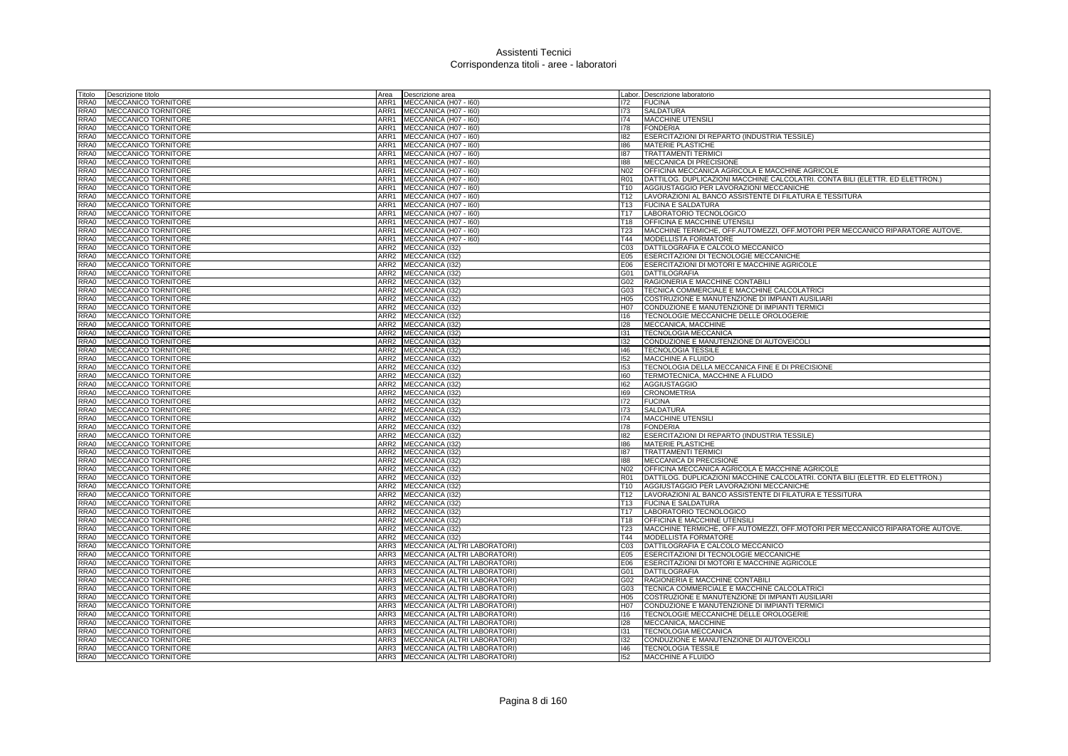| Titolo | Descrizione titolo         | Area             | Descrizione area                  |                 | Labor. Descrizione laboratorio                                                |
|--------|----------------------------|------------------|-----------------------------------|-----------------|-------------------------------------------------------------------------------|
| RRA0   | MECCANICO TORNITORE        | ARR1             | MECCANICA (H07 - I60)             | 172             | <b>FUCINA</b>                                                                 |
| RRA0   | <b>MECCANICO TORNITORE</b> | ARR1             | MECCANICA (H07 - I60)             | 173             | SALDATURA                                                                     |
| RRA0   | MECCANICO TORNITORE        | ARR1             | MECCANICA (H07 - I60)             | 174             | MACCHINE UTENSILI                                                             |
| RRA0   | MECCANICO TORNITORE        |                  | ARR1 MECCANICA (H07 - 160)        | 178             | <b>FONDERIA</b>                                                               |
| RRA0   | <b>MECCANICO TORNITORE</b> |                  | ARR1 MECCANICA (H07 - I60)        | 182             | ESERCITAZIONI DI REPARTO (INDUSTRIA TESSILE)                                  |
| RRA0   | <b>MECCANICO TORNITORE</b> | ARR1             | MECCANICA (H07 - I60)             | 186             | MATERIE PLASTICHE                                                             |
| RRA0   | <b>MECCANICO TORNITORE</b> | ARR1             | MECCANICA (H07 - I60)             | 187             | <b>TRATTAMENTI TERMICI</b>                                                    |
| RRA0   | MECCANICO TORNITORE        | ARR1             | MECCANICA (H07 - I60)             | 188             | MECCANICA DI PRECISIONE                                                       |
| RRA0   | <b>MECCANICO TORNITORE</b> | ARR1             | MECCANICA (H07 - I60)             | N02             | OFFICINA MECCANICA AGRICOLA E MACCHINE AGRICOLE                               |
| RRA0   | <b>MECCANICO TORNITORE</b> | ARR1             | MECCANICA (H07 - I60)             | <b>R01</b>      | DATTILOG. DUPLICAZIONI MACCHINE CALCOLATRI. CONTA BILI (ELETTR. ED ELETTRON.) |
| RRA0   | MECCANICO TORNITORE        | ARR1             | MECCANICA (H07 - I60)             | T <sub>10</sub> | AGGIUSTAGGIO PER LAVORAZIONI MECCANICHE                                       |
| RRA0   | MECCANICO TORNITORE        | ARR1             | MECCANICA (H07 - I60)             | T <sub>12</sub> | LAVORAZIONI AL BANCO ASSISTENTE DI FILATURA E TESSITURA                       |
| RRA0   | <b>MECCANICO TORNITORE</b> | ARR1             | MECCANICA (H07 - I60)             | T <sub>13</sub> | <b>FUCINA E SALDATURA</b>                                                     |
| RRA0   | <b>MECCANICO TORNITORE</b> | ARR1             | MECCANICA (H07 - I60)             | T <sub>17</sub> | LABORATORIO TECNOLOGICO                                                       |
| RRA0   | <b>MECCANICO TORNITORE</b> | ARR1             | MECCANICA (H07 - I60)             | T18             | OFFICINA E MACCHINE UTENSIL                                                   |
| RRA0   | MECCANICO TORNITORE        | ARR1             | MECCANICA (H07 - I60)             | T <sub>23</sub> | MACCHINE TERMICHE, OFF AUTOMEZZI, OFF MOTORI PER MECCANICO RIPARATORE AUTOVE. |
| RRA0   | <b>MECCANICO TORNITORE</b> | ARR1             |                                   | T44             | MODELLISTA FORMATORE                                                          |
|        |                            |                  | MECCANICA (H07 - I60)             |                 |                                                                               |
| RRA0   | <b>MECCANICO TORNITORE</b> | ARR2             | MECCANICA (132)                   | CO <sub>3</sub> | DATTILOGRAFIA E CALCOLO MECCANICO                                             |
| RRA0   | MECCANICO TORNITORE        | ARR2             | MECCANICA (I32)                   | E05             | ESERCITAZIONI DI TECNOLOGIE MECCANICHE                                        |
| RRA0   | MECCANICO TORNITORE        | ARR2             | <b>MECCANICA (I32)</b>            | E06             | ESERCITAZIONI DI MOTORI E MACCHINE AGRICOLE                                   |
| RRA0   | <b>MECCANICO TORNITORE</b> |                  | ARR2 MECCANICA (I32)              | G01             | <b>DATTILOGRAFIA</b>                                                          |
| RRA0   | MECCANICO TORNITORE        |                  | ARR2 MECCANICA (I32)              | G02             | RAGIONERIA E MACCHINE CONTABILI                                               |
| RRA0   | <b>MECCANICO TORNITORE</b> | ARR2             | MECCANICA (I32)                   | G03             | TECNICA COMMERCIALE E MACCHINE CALCOLATRICI                                   |
| RRA0   | MECCANICO TORNITORE        | ARR2             | MECCANICA (I32)                   | H <sub>05</sub> | COSTRUZIONE E MANUTENZIONE DI IMPIANTI AUSILIARI                              |
| RRA0   | <b>MECCANICO TORNITORE</b> | ARR2             | MECCANICA (I32)                   | <b>H07</b>      | CONDUZIONE E MANUTENZIONE DI IMPIANTI TERMICI                                 |
| RRA0   | MECCANICO TORNITORE        | ARR2             | MECCANICA (I32)                   | 116             | TECNOLOGIE MECCANICHE DELLE OROLOGERIE                                        |
| RRA0   | <b>MECCANICO TORNITORE</b> | ARR2             | MECCANICA (132)                   | 128             | MECCANICA, MACCHINE                                                           |
| RRA0   | <b>MECCANICO TORNITORE</b> | ARR <sub>2</sub> | MECCANICA (I32)                   | 131             | <b>TECNOLOGIA MECCANICA</b>                                                   |
| RRA0   | <b>MECCANICO TORNITORE</b> | ARR2             | MECCANICA (I32)                   | 132             | CONDUZIONE E MANUTENZIONE DI AUTOVEICOLI                                      |
| RRA0   | <b>MECCANICO TORNITORE</b> | ARR2             | MECCANICA (I32)                   | 146             | <b>TECNOLOGIA TESSILE</b>                                                     |
| RRA0   | <b>MECCANICO TORNITORE</b> | ARR2             | MECCANICA (I32)                   | 152             | <b>MACCHINE A FLUIDO</b>                                                      |
| RRA0   | <b>MECCANICO TORNITORE</b> | ARR2             | MECCANICA (I32)                   | 153             | TECNOLOGIA DELLA MECCANICA FINE E DI PRECISIONE                               |
| RRA0   | <b>MECCANICO TORNITORE</b> | ARR2             | MECCANICA (I32)                   | 160             | TERMOTECNICA, MACCHINE A FLUIDO                                               |
| RRA0   | MECCANICO TORNITORE        | ARR2             | MECCANICA (I32)                   | 162             | <b>AGGIUSTAGGIO</b>                                                           |
| RRA0   | MECCANICO TORNITORE        |                  | ARR2 MECCANICA (I32)              | 169             | <b>CRONOMETRIA</b>                                                            |
| RRA0   | MECCANICO TORNITORE        | ARR2             | MECCANICA (I32)                   | 172             | <b>FUCINA</b>                                                                 |
| RRA0   | MECCANICO TORNITORE        | ARR2             | MECCANICA (I32)                   | 173             | SALDATURA                                                                     |
| RRA0   | <b>MECCANICO TORNITORE</b> |                  | ARR2 MECCANICA (I32)              | 174             | MACCHINE UTENSILI                                                             |
| RRA0   | MECCANICO TORNITORE        |                  | ARR2 MECCANICA (I32)              | 178             | <b>FONDERIA</b>                                                               |
| RRA0   | <b>MECCANICO TORNITORE</b> | ARR2             | MECCANICA (132)                   | 182             | ESERCITAZIONI DI REPARTO (INDUSTRIA TESSILE)                                  |
| RRA0   | MECCANICO TORNITORE        | ARR2             | MECCANICA (I32)                   | 186             | MATERIE PLASTICHE                                                             |
| RRA0   | <b>MECCANICO TORNITORE</b> | ARR2             | MECCANICA (I32)                   | 187             | <b>TRATTAMENTI TERMICI</b>                                                    |
| RRA0   | <b>MECCANICO TORNITORE</b> |                  | ARR2 MECCANICA (132)              | 188             | MECCANICA DI PRECISIONE                                                       |
| RRA0   | <b>MECCANICO TORNITORE</b> |                  | ARR2 MECCANICA (I32)              | N02             | OFFICINA MECCANICA AGRICOLA E MACCHINE AGRICOLE                               |
| RRA0   | MECCANICO TORNITORE        |                  | ARR2 MECCANICA (I32)              | <b>R01</b>      | DATTILOG. DUPLICAZIONI MACCHINE CALCOLATRI. CONTA BILI (ELETTR. ED ELETTRON.) |
| RRA0   | <b>MECCANICO TORNITORE</b> |                  | ARR2 MECCANICA (I32)              | T <sub>10</sub> | AGGIUSTAGGIO PER LAVORAZIONI MECCANICHE                                       |
| RRA0   | MECCANICO TORNITORE        |                  | ARR2 MECCANICA (132)              | T <sub>12</sub> | LAVORAZIONI AL BANCO ASSISTENTE DI FILATURA E TESSITURA                       |
| RRA0   | <b>MECCANICO TORNITORE</b> |                  | ARR2 MECCANICA (I32)              | T13             | <b>FUCINA E SALDATURA</b>                                                     |
| RRA0   | <b>MECCANICO TORNITORE</b> |                  | ARR2 MECCANICA (I32)              | T <sub>17</sub> | LABORATORIO TECNOLOGICO                                                       |
| RRA0   | MECCANICO TORNITORE        |                  | ARR2 MECCANICA (I32)              | T18             | OFFICINA E MACCHINE UTENSILI                                                  |
| RRA0   | <b>MECCANICO TORNITORE</b> | ARR2             | MECCANICA (132)                   | T23             | MACCHINE TERMICHE, OFF.AUTOMEZZI, OFF.MOTORI PER MECCANICO RIPARATORE AUTOVE. |
| RRA0   | MECCANICO TORNITORE        |                  | ARR2 MECCANICA (I32)              | T44             | MODELLISTA FORMATORE                                                          |
| RRA0   | MECCANICO TORNITORE        | ARR3             | MECCANICA (ALTRI LABORATORI)      | CO <sub>3</sub> | DATTILOGRAFIA E CALCOLO MECCANICO                                             |
| RRA0   | MECCANICO TORNITORE        | ARR3             | MECCANICA (ALTRI LABORATORI)      | E05             | ESERCITAZIONI DI TECNOLOGIE MECCANICHE                                        |
| RRA0   | <b>MECCANICO TORNITORE</b> | ARR3             | MECCANICA (ALTRI LABORATORI)      | E06             | ESERCITAZIONI DI MOTORI E MACCHINE AGRICOLE                                   |
| RRA0   | <b>MECCANICO TORNITORE</b> |                  | ARR3 MECCANICA (ALTRI LABORATORI) | G01             | <b>DATTILOGRAFIA</b>                                                          |
| RRA0   | <b>MECCANICO TORNITORE</b> |                  | ARR3 MECCANICA (ALTRI LABORATORI) | G02             | RAGIONERIA E MACCHINE CONTABILI                                               |
| RRA0   | <b>MECCANICO TORNITORE</b> | ARR3             | MECCANICA (ALTRI LABORATORI)      | G03             | TECNICA COMMERCIALE E MACCHINE CALCOLATRICI                                   |
| RRA0   | <b>MECCANICO TORNITORE</b> | ARR3             | MECCANICA (ALTRI LABORATORI)      | H05             | COSTRUZIONE E MANUTENZIONE DI IMPIANTI AUSILIARI                              |
| RRA0   | <b>MECCANICO TORNITORE</b> |                  | ARR3 MECCANICA (ALTRI LABORATORI) | H07             | CONDUZIONE E MANUTENZIONE DI IMPIANTI TERMICI                                 |
| RRA0   | <b>MECCANICO TORNITORE</b> | ARR3             | MECCANICA (ALTRI LABORATORI)      | 116             | TECNOLOGIE MECCANICHE DELLE OROLOGERIE                                        |
| RRA0   | MECCANICO TORNITORE        | ARR3             | MECCANICA (ALTRI LABORATORI)      | 128             | MECCANICA, MACCHINE                                                           |
| RRA0   | <b>MECCANICO TORNITORE</b> | ARR3             | MECCANICA (ALTRI LABORATORI)      | 131             | <b>TECNOLOGIA MECCANICA</b>                                                   |
| RRA0   | <b>MECCANICO TORNITORE</b> |                  | ARR3 MECCANICA (ALTRI LABORATORI) | 132             | CONDUZIONE E MANUTENZIONE DI AUTOVEICOLI                                      |
| RRA0   | <b>MECCANICO TORNITORE</b> |                  | ARR3 MECCANICA (ALTRI LABORATORI) | 146             | <b>TECNOLOGIA TESSILE</b>                                                     |
| RRA0   | <b>MECCANICO TORNITORE</b> |                  | ARR3 MECCANICA (ALTRI LABORATORI) | 152             | MACCHINE A FLUIDO                                                             |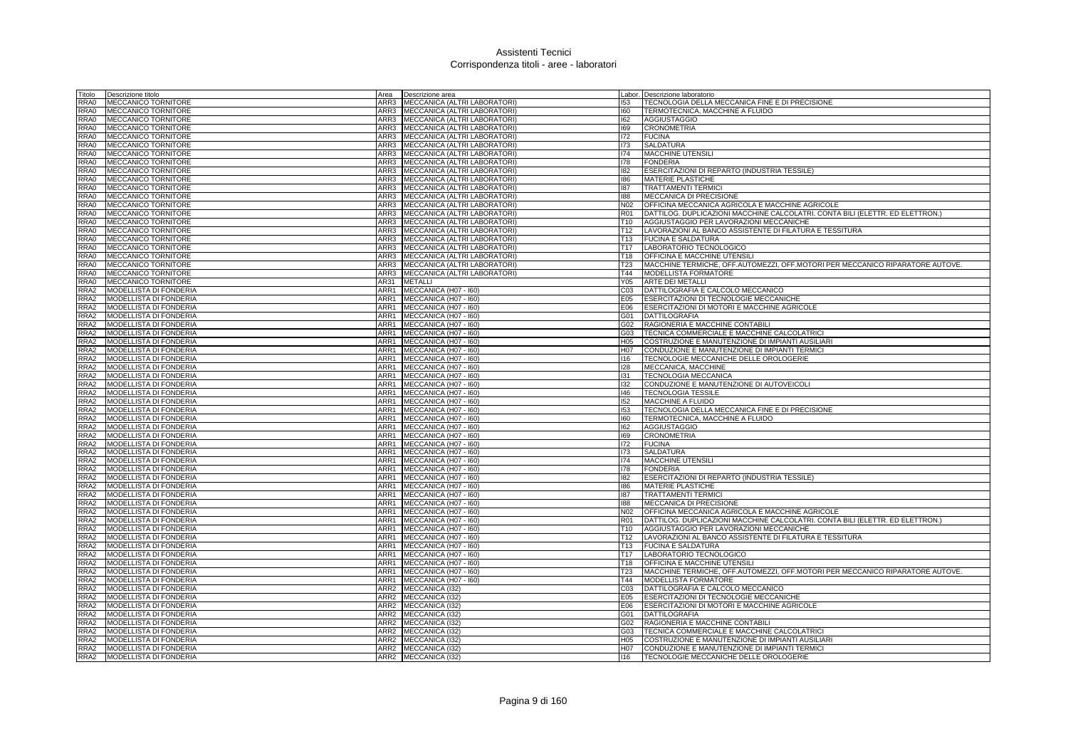| Fitolo           | Descrizione titolo            | Area             | Descrizione area             |                  | Labor. Descrizione laboratorio                                                |
|------------------|-------------------------------|------------------|------------------------------|------------------|-------------------------------------------------------------------------------|
| RRA0             | <b>MECCANICO TORNITORE</b>    | ARR3             | MECCANICA (ALTRI LABORATORI) | 153              | TECNOLOGIA DELLA MECCANICA FINE E DI PRECISIONE                               |
| RRA0             | MECCANICO TORNITORE           | ARR3             | MECCANICA (ALTRI LABORATORI) | 160              | TERMOTECNICA, MACCHINE A FLUIDO                                               |
| RRA0             | <b>MECCANICO TORNITORE</b>    | ARR3             | MECCANICA (ALTRI LABORATORI) | 162              | <b>AGGIUSTAGGIO</b>                                                           |
| RRA0             | <b>MECCANICO TORNITORE</b>    | ARR3             | MECCANICA (ALTRI LABORATORI) | 169              | <b>CRONOMETRIA</b>                                                            |
| RRA0             | MECCANICO TORNITORE           | ARR3             | MECCANICA (ALTRI LABORATORI) | 172              | <b>FUCINA</b>                                                                 |
| RRA0             | MECCANICO TORNITORE           | ARR3             | MECCANICA (ALTRI LABORATORI) | 173              | SALDATURA                                                                     |
| RRA0             | MECCANICO TORNITORE           | ARR3             | MECCANICA (ALTRI LABORATORI) | 174              | <b>MACCHINE UTENSILI</b>                                                      |
| RRA0             | <b>MECCANICO TORNITORE</b>    | ARR3             | MECCANICA (ALTRI LABORATORI) | 178              | <b>FONDERIA</b>                                                               |
| RRA0             | MECCANICO TORNITORE           | ARR3             | MECCANICA (ALTRI LABORATORI) | 182              | ESERCITAZIONI DI REPARTO (INDUSTRIA TESSILE)                                  |
| RRA0             | <b>MECCANICO TORNITORE</b>    | ARR3             | MECCANICA (ALTRI LABORATORI) | 186              | <b>MATERIE PLASTICHE</b>                                                      |
| RRA0             | <b>MECCANICO TORNITORE</b>    | ARR3             | MECCANICA (ALTRI LABORATORI) | 187              | <b>TRATTAMENTI TERMICI</b>                                                    |
| RRA0             | <b>MECCANICO TORNITORE</b>    | ARR3             | MECCANICA (ALTRI LABORATORI) | 188              | MECCANICA DI PRECISIONE                                                       |
| RRA0             | MECCANICO TORNITORE           | ARR3             | MECCANICA (ALTRI LABORATORI) | N02              | OFFICINA MECCANICA AGRICOLA E MACCHINE AGRICOLE                               |
| RRA0             | <b>MECCANICO TORNITORE</b>    | ARR3             | MECCANICA (ALTRI LABORATORI) | <b>R01</b>       | DATTILOG. DUPLICAZIONI MACCHINE CALCOLATRI. CONTA BILI (ELETTR. ED ELETTRON.) |
| RRA0             | MECCANICO TORNITORE           | ARR3             | MECCANICA (ALTRI LABORATORI) | T10              | AGGIUSTAGGIO PER LAVORAZIONI MECCANICHE                                       |
| RRA0             | MECCANICO TORNITORE           | ARR3             | MECCANICA (ALTRI LABORATORI) | T12              | LAVORAZIONI AL BANCO ASSISTENTE DI FILATURA E TESSITURA                       |
| RRA0             | MECCANICO TORNITORE           | ARR3             | MECCANICA (ALTRI LABORATORI) | T <sub>13</sub>  | <b>FUCINA E SALDATURA</b>                                                     |
| RRA0             | MECCANICO TORNITORE           | ARR3             | MECCANICA (ALTRI LABORATORI) | T <sub>17</sub>  | LABORATORIO TECNOLOGICO                                                       |
| RRA0             | MECCANICO TORNITORE           | ARR3             | MECCANICA (ALTRI LABORATORI) | T <sub>18</sub>  | OFFICINA E MACCHINE UTENSILI                                                  |
| RRA0             | <b>MECCANICO TORNITORE</b>    | ARR3             | MECCANICA (ALTRI LABORATORI) | T <sub>23</sub>  | MACCHINE TERMICHE, OFF.AUTOMEZZI, OFF.MOTORI PER MECCANICO RIPARATORE AUTOVE. |
| RRA0             | <b>MECCANICO TORNITORE</b>    | ARR3             | MECCANICA (ALTRI LABORATORI) | T44              | MODELLISTA FORMATORE                                                          |
| RRA0             | <b>MECCANICO TORNITORE</b>    | AR31             | <b>METALLI</b>               | Y05              | <b>ARTE DEI METALLI</b>                                                       |
| RRA2             | <b>MODELLISTA DI FONDERIA</b> | ARR1             | MECCANICA (H07 - I60)        | CO <sub>3</sub>  | DATTILOGRAFIA E CALCOLO MECCANICO                                             |
| RRA2             | MODELLISTA DI FONDERIA        | ARR1             | MECCANICA (H07 - I60)        | E05              | ESERCITAZIONI DI TECNOLOGIE MECCANICHE                                        |
| RRA2             | MODELLISTA DI FONDERIA        | ARR1             | MECCANICA (H07 - I60)        | E06              | ESERCITAZIONI DI MOTORI E MACCHINE AGRICOLE                                   |
| RRA2             | MODELLISTA DI FONDERIA        | ARR1             | MECCANICA (H07 - I60)        | G01              | DATTILOGRAFIA                                                                 |
| RRA2             | MODELLISTA DI FONDERIA        | ARR1             | MECCANICA (H07 - I60)        | G02              | RAGIONERIA E MACCHINE CONTABILI                                               |
| RRA2             | MODELLISTA DI FONDERIA        | ARR1             | MECCANICA (H07 - I60)        | G03              | TECNICA COMMERCIALE E MACCHINE CALCOLATRICI                                   |
| RRA2             | MODELLISTA DI FONDERIA        | ARR1             | MECCANICA (H07 - I60)        | H05              | COSTRUZIONE E MANUTENZIONE DI IMPIANTI AUSILIARI                              |
| RRA2             | MODELLISTA DI FONDERIA        |                  | ARR1 MECCANICA (H07 - 160)   | H07              | CONDUZIONE E MANUTENZIONE DI IMPIANTI TERMICI                                 |
| RRA2             | MODELLISTA DI FONDERIA        | ARR1             | MECCANICA (H07 - I60)        | 116              | TECNOLOGIE MECCANICHE DELLE OROLOGERIE                                        |
| RRA2             | <b>MODELLISTA DI FONDERIA</b> | ARR1             | MECCANICA (H07 - 160)        | 128              | MECCANICA, MACCHINE                                                           |
| RRA2             | MODELLISTA DI FONDERIA        | ARR1             | MECCANICA (H07 - I60)        | 131              | TECNOLOGIA MECCANICA                                                          |
| RRA2             | MODELLISTA DI FONDERIA        | ARR1             | MECCANICA (H07 - I60)        | 132              | CONDUZIONE E MANUTENZIONE DI AUTOVEICOLI                                      |
| RRA2             | MODELLISTA DI FONDERIA        | ARR1             | MECCANICA (H07 - I60)        | 146              | <b>TECNOLOGIA TESSILE</b>                                                     |
| RRA2             | MODELLISTA DI FONDERIA        | ARR1             | MECCANICA (H07 - I60)        | 152              | <b>MACCHINE A FLUIDO</b>                                                      |
| RRA <sub>2</sub> | MODELLISTA DI FONDERIA        | ARR1             | MECCANICA (H07 - I60)        | 153              | TECNOLOGIA DELLA MECCANICA FINE E DI PRECISIONE                               |
| RRA2             | <b>MODELLISTA DI FONDERIA</b> | ARR1             | MECCANICA (H07 - I60)        | 160              | TERMOTECNICA, MACCHINE A FLUIDO                                               |
| RRA2             | MODELLISTA DI FONDERIA        | ARR1             | MECCANICA (H07 - I60)        | 162              | <b>AGGIUSTAGGIO</b>                                                           |
| RRA2             | MODELLISTA DI FONDERIA        | ARR1             | MECCANICA (H07 - I60)        | 169              | <b>CRONOMETRIA</b>                                                            |
| RRA2             | MODELLISTA DI FONDERIA        | ARR1             | MECCANICA (H07 - I60)        | 172              | <b>FUCINA</b>                                                                 |
| RRA2             | MODELLISTA DI FONDERIA        | ARR1             | MECCANICA (H07 - I60)        | 173              | <b>SALDATURA</b>                                                              |
| RRA2             | MODELLISTA DI FONDERIA        |                  | ARR1 MECCANICA (H07 - 160)   | 174              | <b>MACCHINE UTENSILI</b>                                                      |
| RRA2             | MODELLISTA DI FONDERIA        | ARR1             | MECCANICA (H07 - I60)        | 178              | <b>FONDERIA</b>                                                               |
| RRA2             | MODELLISTA DI FONDERIA        | ARR1             | MECCANICA (H07 - I60)        | 182              | ESERCITAZIONI DI REPARTO (INDUSTRIA TESSILE)                                  |
| RRA2             | MODELLISTA DI FONDERIA        | ARR1             | MECCANICA (H07 - 160)        | 186              | <b>MATERIE PLASTICHE</b>                                                      |
| RRA2             | <b>MODELLISTA DI FONDERIA</b> | ARR1             | MECCANICA (H07 - I60)        | 187              | <b>TRATTAMENTI TERMICI</b>                                                    |
| RRA2             | <b>MODELLISTA DI FONDERIA</b> | ARR1             | MECCANICA (H07 - I60)        | 188              | MECCANICA DI PRECISIONE                                                       |
| RRA2             | MODELLISTA DI FONDERIA        | ARR1             | MECCANICA (H07 - I60)        | N <sub>02</sub>  | OFFICINA MECCANICA AGRICOLA E MACCHINE AGRICOLE                               |
| RRA2             | MODELLISTA DI FONDERIA        | ARR1             | MECCANICA (H07 - I60)        | R <sub>01</sub>  | DATTILOG. DUPLICAZIONI MACCHINE CALCOLATRI. CONTA BILI (ELETTR. ED ELETTRON.) |
| RRA2             | <b>MODELLISTA DI FONDERIA</b> | ARR1             | MECCANICA (H07 - I60)        | T <sub>10</sub>  | AGGIUSTAGGIO PER LAVORAZIONI MECCANICHE                                       |
| RRA2             | MODELLISTA DI FONDERIA        | ARR1             | MECCANICA (H07 - I60)        | T12              | LAVORAZIONI AL BANCO ASSISTENTE DI FILATURA E TESSITURA                       |
| RRA2             | MODELLISTA DI FONDERIA        | ARR1             | MECCANICA (H07 - I60)        | T <sub>13</sub>  | <b>FUCINA E SALDATURA</b>                                                     |
| RRA2             | MODELLISTA DI FONDERIA        | ARR1             | MECCANICA (H07 - 160)        | T17              | LABORATORIO TECNOLOGICO                                                       |
| RRA2             | <b>MODELLISTA DI FONDERIA</b> | ARR1             | MECCANICA (H07 - I60)        | T18              | OFFICINA E MACCHINE UTENSILI                                                  |
| RRA2             | MODELLISTA DI FONDERIA        |                  | ARR1 MECCANICA (H07 - 160)   | T <sub>23</sub>  | MACCHINE TERMICHE, OFF.AUTOMEZZI, OFF.MOTORI PER MECCANICO RIPARATORE AUTOVE. |
| RRA2             | MODELLISTA DI FONDERIA        | ARR1             | MECCANICA (H07 - I60)        | T44              | MODELLISTA FORMATORE                                                          |
| RRA2             | MODELLISTA DI FONDERIA        | ARR <sub>2</sub> | MECCANICA (I32)              | CO <sub>3</sub>  | DATTILOGRAFIA E CALCOLO MECCANICO                                             |
| RRA2             | MODELLISTA DI FONDERIA        | ARR2             | MECCANICA (I32)              | E05              | <b>ESERCITAZIONI DI TECNOLOGIE MECCANICHE</b>                                 |
| RRA2             | MODELLISTA DI FONDERIA        |                  | ARR2 MECCANICA (I32)         | E06              | ESERCITAZIONI DI MOTORI E MACCHINE AGRICOLE                                   |
| RRA2             | MODELLISTA DI FONDERIA        |                  | ARR2 MECCANICA (I32)         | G01              | <b>DATTILOGRAFIA</b>                                                          |
| RRA2             | MODELLISTA DI FONDERIA        | ARR2             | MECCANICA (I32)              | G02              | RAGIONERIA E MACCHINE CONTABILI                                               |
| RRA2             | MODELLISTA DI FONDERIA        |                  | ARR2 MECCANICA (I32)         | G03              | TECNICA COMMERCIALE E MACCHINE CALCOLATRICI                                   |
| RRA2             | <b>MODELLISTA DI FONDERIA</b> |                  | ARR2 MECCANICA (132)         | H05              | COSTRUZIONE E MANUTENZIONE DI IMPIANTI AUSILIARI                              |
| RRA2             | MODELLISTA DI FONDERIA        |                  | ARR2 MECCANICA (I32)         | H <sub>0</sub> 7 | CONDUZIONE E MANUTENZIONE DI IMPIANTI TERMICI                                 |
| RRA2             | MODELLISTA DI FONDERIA        |                  | ARR2 MECCANICA (I32)         | 116              | TECNOLOGIE MECCANICHE DELLE OROLOGERIE                                        |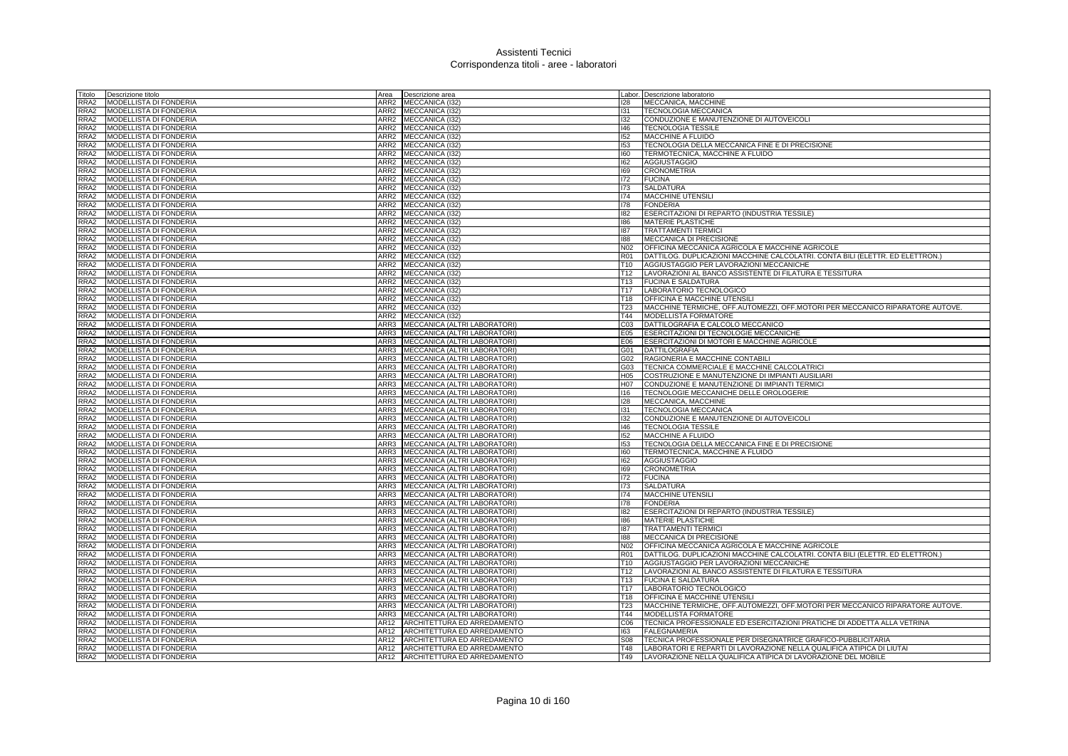| Titolo           | Descrizione titolo            | Area | Descrizione area                    |                 | Labor. Descrizione laboratorio                                                |
|------------------|-------------------------------|------|-------------------------------------|-----------------|-------------------------------------------------------------------------------|
| RRA2             | MODELLISTA DI FONDERIA        |      | ARR2 MECCANICA (I32                 | 128             | MECCANICA, MACCHINE                                                           |
| RRA2             | MODELLISTA DI FONDERIA        | ARR2 | MECCANICA (I32)                     | 131             | TECNOLOGIA MECCANICA                                                          |
| RRA2             | MODELLISTA DI FONDERIA        |      | ARR2 MECCANICA (I32)                | 132             | CONDUZIONE E MANUTENZIONE DI AUTOVEICOLI                                      |
| RRA2             | MODELLISTA DI FONDERIA        |      | ARR2 MECCANICA (I32)                | 146             | <b>TECNOLOGIA TESSILE</b>                                                     |
| RRA2             | MODELLISTA DI FONDERIA        |      | ARR2 MECCANICA (I32)                | 152             | MACCHINE A FLUIDO                                                             |
| RRA2             | MODELLISTA DI FONDERIA        |      | ARR2 MECCANICA (I32)                | 153             | TECNOLOGIA DELLA MECCANICA FINE E DI PRECISIONE                               |
| RRA2             | MODELLISTA DI FONDERIA        |      | ARR2 MECCANICA (I32)                | 160             | TERMOTECNICA, MACCHINE A FLUIDO                                               |
| RRA2             | MODELLISTA DI FONDERIA        |      | ARR2 MECCANICA (I32)                | 162             | <b>AGGIUSTAGGIO</b>                                                           |
| RRA2             | MODELLISTA DI FONDERIA        |      | ARR2 MECCANICA (I32)                | 169             | <b>CRONOMETRIA</b>                                                            |
| RRA2             | MODELLISTA DI FONDERIA        |      | ARR2 MECCANICA (I32)                | 172             | <b>FUCINA</b>                                                                 |
| RRA2             | MODELLISTA DI FONDERIA        |      | ARR2 MECCANICA (I32)                | 173             | <b>SALDATURA</b>                                                              |
| RRA2             | MODELLISTA DI FONDERIA        |      | ARR2 MECCANICA (I32)                | 174             | <b>MACCHINE UTENSILI</b>                                                      |
| RRA2             | MODELLISTA DI FONDERIA        |      | ARR2 MECCANICA (I32)                | 178             | <b>FONDERIA</b>                                                               |
| RRA2             | MODELLISTA DI FONDERIA        |      | ARR2 MECCANICA (132)                | 182             | ESERCITAZIONI DI REPARTO (INDUSTRIA TESSILE)                                  |
| RRA2             | MODELLISTA DI FONDERIA        |      | ARR2 MECCANICA (I32)                | 186             | MATERIE PLASTICHE                                                             |
| RRA2             | MODELLISTA DI FONDERIA        |      | ARR2 MECCANICA (I32)                | 187             | <b>TRATTAMENTI TERMICI</b>                                                    |
| RRA2             | MODELLISTA DI FONDERIA        |      | ARR2 MECCANICA (I32)                | 188             | <b>MECCANICA DI PRECISIONE</b>                                                |
| RRA2             | MODELLISTA DI FONDERIA        |      | ARR2 MECCANICA (132)                | N <sub>02</sub> | OFFICINA MECCANICA AGRICOLA E MACCHINE AGRICOLE                               |
| RRA2             | MODELLISTA DI FONDERIA        |      | ARR2 MECCANICA (I32)                | R01             | DATTILOG. DUPLICAZIONI MACCHINE CALCOLATRI. CONTA BILI (ELETTR. ED ELETTRON.) |
| RRA2             | MODELLISTA DI FONDERIA        |      | ARR2 MECCANICA (I32)                | T <sub>10</sub> | AGGIUSTAGGIO PER LAVORAZIONI MECCANICHE                                       |
| RRA2             | MODELLISTA DI FONDERIA        |      | ARR2 MECCANICA (132)                | T12             | LAVORAZIONI AL BANCO ASSISTENTE DI FILATURA E TESSITURA                       |
| RRA2             | MODELLISTA DI FONDERIA        |      | ARR2 MECCANICA (I32)                | T <sub>13</sub> | <b>FUCINA E SALDATURA</b>                                                     |
| RRA2             | MODELLISTA DI FONDERIA        |      | ARR2 MECCANICA (I32)                | T <sub>17</sub> | LABORATORIO TECNOLOGICO                                                       |
| RRA2             | MODELLISTA DI FONDERIA        |      | ARR2 MECCANICA (I32)                | T18             | OFFICINA E MACCHINE UTENSILI                                                  |
| RRA2             | MODELLISTA DI FONDERIA        |      | ARR2 MECCANICA (I32)                | T <sub>23</sub> | MACCHINE TERMICHE, OFF.AUTOMEZZI, OFF.MOTORI PER MECCANICO RIPARATORE AUTOVE. |
| RRA2             | MODELLISTA DI FONDERIA        |      | ARR2 MECCANICA (I32)                | T44             | MODELLISTA FORMATORE                                                          |
| RRA2             | MODELLISTA DI FONDERIA        |      | ARR3 MECCANICA (ALTRI LABORATORI)   | CO <sub>3</sub> | DATTILOGRAFIA E CALCOLO MECCANICO                                             |
| RRA2             | MODELLISTA DI FONDERIA        |      | ARR3 MECCANICA (ALTRI LABORATORI)   | E05             | ESERCITAZIONI DI TECNOLOGIE MECCANICHE                                        |
| RRA2             | MODELLISTA DI FONDERIA        |      | ARR3 MECCANICA (ALTRI LABORATORI)   | E06             | ESERCITAZIONI DI MOTORI E MACCHINE AGRICOLE                                   |
| RRA2             | MODELLISTA DI FONDERIA        |      | ARR3 MECCANICA (ALTRI LABORATORI)   | G01             | <b>DATTILOGRAFIA</b>                                                          |
| RRA2             | MODELLISTA DI FONDERIA        |      | ARR3 MECCANICA (ALTRI LABORATORI)   | G02             | RAGIONERIA E MACCHINE CONTABILI                                               |
| RRA <sub>2</sub> | MODELLISTA DI FONDERIA        |      | ARR3 MECCANICA (ALTRI LABORATORI)   | G03             | TECNICA COMMERCIALE E MACCHINE CALCOLATRICI                                   |
| RRA2             | MODELLISTA DI FONDERIA        | ARR3 | MECCANICA (ALTRI LABORATORI)        | H <sub>05</sub> | COSTRUZIONE E MANUTENZIONE DI IMPIANTI AUSILIARI                              |
| RRA2             | MODELLISTA DI FONDERIA        |      | ARR3 MECCANICA (ALTRI LABORATORI)   | H07             | CONDUZIONE E MANUTENZIONE DI IMPIANTI TERMICI                                 |
| RRA2             | MODELLISTA DI FONDERIA        | ARR3 | MECCANICA (ALTRI LABORATORI)        | 116             | TECNOLOGIE MECCANICHE DELLE OROLOGERIE                                        |
| RRA2             | MODELLISTA DI FONDERIA        | ARR3 | MECCANICA (ALTRI LABORATORI)        | 128             | MECCANICA, MACCHINE                                                           |
| RRA2             | MODELLISTA DI FONDERIA        | ARR3 | MECCANICA (ALTRI LABORATORI)        | 131             | <b>TECNOLOGIA MECCANICA</b>                                                   |
| RRA2             | MODELLISTA DI FONDERIA        |      | ARR3 MECCANICA (ALTRI LABORATORI)   | 132             | CONDUZIONE E MANUTENZIONE DI AUTOVEICOLI                                      |
| RRA2             | MODELLISTA DI FONDERIA        | ARR3 | MECCANICA (ALTRI LABORATORI)        | 146             | <b>TECNOLOGIA TESSILE</b>                                                     |
| RRA2             | MODELLISTA DI FONDERIA        | ARR3 | MECCANICA (ALTRI LABORATORI)        | 152             | MACCHINE A FLUIDO                                                             |
| RRA2             | MODELLISTA DI FONDERIA        | ARR3 | MECCANICA (ALTRI LABORATORI)        | 153             | TECNOLOGIA DELLA MECCANICA FINE E DI PRECISIONE                               |
| RRA2             | MODELLISTA DI FONDERIA        | ARR3 | MECCANICA (ALTRI LABORATORI)        | 160             | TERMOTECNICA, MACCHINE A FLUIDO                                               |
| RRA2             | MODELLISTA DI FONDERIA        |      | ARR3 MECCANICA (ALTRI LABORATORI)   | 162             | <b>AGGIUSTAGGIO</b>                                                           |
| RRA2             | MODELLISTA DI FONDERIA        | ARR3 | MECCANICA (ALTRI LABORATORI)        | 169             | <b>CRONOMETRIA</b>                                                            |
| RRA2             | MODELLISTA DI FONDERIA        |      | ARR3 MECCANICA (ALTRI LABORATORI)   | 172             | <b>FUCINA</b>                                                                 |
| RRA2             | MODELLISTA DI FONDERIA        |      | ARR3 MECCANICA (ALTRI LABORATORI)   | 173             | <b>SALDATURA</b>                                                              |
| RRA2             | MODELLISTA DI FONDERIA        |      | ARR3 MECCANICA (ALTRI LABORATORI)   | 174             | <b>MACCHINE UTENSILI</b>                                                      |
| RRA2             | MODELLISTA DI FONDERIA        |      | ARR3 MECCANICA (ALTRI LABORATORI)   | 178             | <b>FONDERIA</b>                                                               |
| RRA2             | MODELLISTA DI FONDERIA        | ARR3 | MECCANICA (ALTRI LABORATORI)        | 182             | ESERCITAZIONI DI REPARTO (INDUSTRIA TESSILE)                                  |
| RRA2             | MODELLISTA DI FONDERIA        |      | ARR3 MECCANICA (ALTRI LABORATORI)   | 186             | MATERIE PLASTICHE                                                             |
| RRA2             | MODELLISTA DI FONDERIA        |      | ARR3 MECCANICA (ALTRI LABORATORI)   | 187             | <b>TRATTAMENTI TERMICI</b>                                                    |
| RRA2             | MODELLISTA DI FONDERIA        | ARR3 | MECCANICA (ALTRI LABORATORI)        | 188             | MECCANICA DI PRECISIONE                                                       |
| RRA2             | MODELLISTA DI FONDERIA        | ARR3 | MECCANICA (ALTRI LABORATORI)        | N <sub>02</sub> | OFFICINA MECCANICA AGRICOLA E MACCHINE AGRICOLE                               |
| RRA2             | MODELLISTA DI FONDERIA        |      | ARR3   MECCANICA (ALTRI LABORATORI) | R <sub>01</sub> | DATTILOG. DUPLICAZIONI MACCHINE CALCOLATRI. CONTA BILI (ELETTR. ED ELETTRON.) |
| RRA <sub>2</sub> | MODELLISTA DI FONDERIA        |      | ARR3 MECCANICA (ALTRI LABORATORI)   | T <sub>10</sub> | AGGIUSTAGGIO PER LAVORAZIONI MECCANICHE                                       |
| RRA <sub>2</sub> | MODELLISTA DI FONDERIA        | ARR3 | MECCANICA (ALTRI LABORATORI)        | T <sub>12</sub> | LAVORAZIONI AL BANCO ASSISTENTE DI FILATURA E TESSITURA                       |
| RRA2             | MODELLISTA DI FONDERIA        | ARR3 | MECCANICA (ALTRI LABORATORI)        | T <sub>13</sub> | <b>FUCINA E SALDATURA</b>                                                     |
| RRA2             | MODELLISTA DI FONDERIA        | ARR3 | MECCANICA (ALTRI LABORATORI)        | T <sub>17</sub> | LABORATORIO TECNOLOGICO                                                       |
| RRA <sub>2</sub> | MODELLISTA DI FONDERIA        | ARR3 | MECCANICA (ALTRI LABORATORI)        | T <sub>18</sub> | OFFICINA E MACCHINE UTENSILI                                                  |
| RRA <sub>2</sub> | MODELLISTA DI FONDERIA        | ARR3 | MECCANICA (ALTRI LABORATORI)        | T <sub>23</sub> | MACCHINE TERMICHE, OFF.AUTOMEZZI, OFF.MOTORI PER MECCANICO RIPARATORE AUTOVE. |
| RRA2             | MODELLISTA DI FONDERIA        | ARR3 | MECCANICA (ALTRI LABORATORI)        | T44             | MODELLISTA FORMATORE                                                          |
| RRA2             | <b>MODELLISTA DI FONDERIA</b> | AR12 | ARCHITETTURA ED ARREDAMENTO         | C <sub>06</sub> | TECNICA PROFESSIONALE ED ESERCITAZIONI PRATICHE DI ADDETTA ALLA VETRINA       |
| RRA <sub>2</sub> | MODELLISTA DI FONDERIA        |      | AR12 ARCHITETTURA ED ARREDAMENTO    | 163             | <b>FALEGNAMERIA</b>                                                           |
| RRA2             | MODELLISTA DI FONDERIA        | AR12 | ARCHITETTURA ED ARREDAMENTO         | S08             | TECNICA PROFESSIONALE PER DISEGNATRICE GRAFICO-PUBBLICITARIA                  |
| RRA2             | MODELLISTA DI FONDERIA        |      | AR12 ARCHITETTURA ED ARREDAMENTO    | <b>T48</b>      | LABORATORI E REPARTI DI LAVORAZIONE NELLA QUALIFICA ATIPICA DI LIUTAI         |
|                  | RRA2 MODELLISTA DI FONDERIA   |      | AR12 ARCHITETTURA ED ARREDAMENTO    | T49             | LAVORAZIONE NELLA QUALIFICA ATIPICA DI LAVORAZIONE DEL MOBILE                 |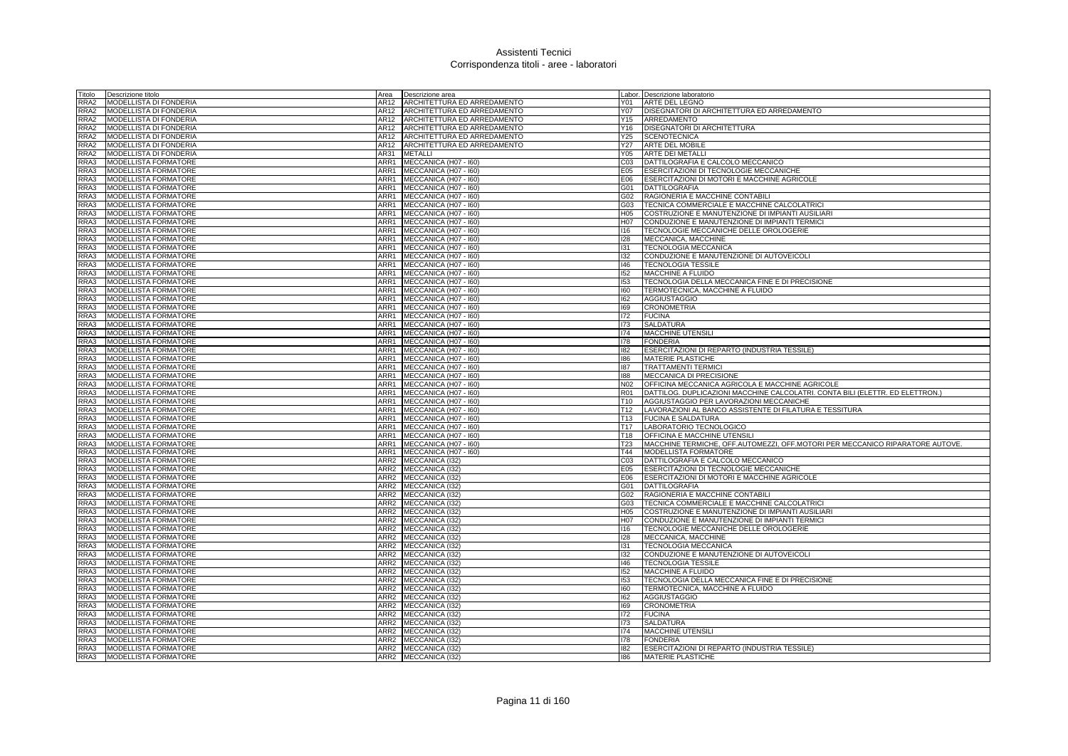| Titolo       | Descrizione titolo                                  | Area             | Descrizione area                               |                         | Labor. Descrizione laboratorio                                                          |
|--------------|-----------------------------------------------------|------------------|------------------------------------------------|-------------------------|-----------------------------------------------------------------------------------------|
| RRA2         | MODELLISTA DI FONDERIA                              | AR12             | ARCHITETTURA ED ARREDAMENTO                    | Y01                     | ARTE DEL LEGNO                                                                          |
| RRA2         | MODELLISTA DI FONDERIA                              | AR12             | ARCHITETTURA ED ARREDAMENTO                    | Y07                     | DISEGNATORI DI ARCHITETTURA ED ARREDAMENTO                                              |
| RRA2         | MODELLISTA DI FONDERIA                              | AR12             | ARCHITETTURA ED ARREDAMENTO                    | Y15                     | ARREDAMENTO                                                                             |
| RRA2         | MODELLISTA DI FONDERIA                              | AR12             | ARCHITETTURA ED ARREDAMENTO                    |                         | Y16 DISEGNATORI DI ARCHITETTURA                                                         |
| RRA2         | MODELLISTA DI FONDERIA                              | AR12             | ARCHITETTURA ED ARREDAMENTO                    | Y25                     | <b>SCENOTECNICA</b>                                                                     |
| RRA2         | MODELLISTA DI FONDERIA                              | AR12             | ARCHITETTURA ED ARREDAMENTO                    | Y27                     | ARTE DEL MOBILE                                                                         |
| RRA2         | MODELLISTA DI FONDERIA                              | AR31             | <b>METALLI</b>                                 | Y05                     | <b>ARTE DEI METALLI</b>                                                                 |
| RRA3         | MODELLISTA FORMATORE                                | ARR1             | MECCANICA (H07 - I60)                          |                         | C03 DATTILOGRAFIA E CALCOLO MECCANICO                                                   |
| RRA3         | <b>MODELLISTA FORMATORE</b>                         | ARR1             | MECCANICA (H07 - I60)                          | E05                     | <b>ESERCITAZIONI DI TECNOLOGIE MECCANICHE</b>                                           |
| RRA3         | MODELLISTA FORMATORE                                | ARR1             | MECCANICA (H07 - I60)                          | E06                     | ESERCITAZIONI DI MOTORI E MACCHINE AGRICOLE                                             |
| RRA3         | MODELLISTA FORMATORE                                | ARR1             | MECCANICA (H07 - I60)                          | G01                     | <b>DATTILOGRAFIA</b>                                                                    |
| RRA3         | <b>MODELLISTA FORMATORE</b>                         | ARR1             | MECCANICA (H07 - I60)                          | G <sub>02</sub>         | RAGIONERIA E MACCHINE CONTABILI                                                         |
| RRA3         | MODELLISTA FORMATORE                                | ARR1             | MECCANICA (H07 - I60)                          | G03                     | TECNICA COMMERCIALE E MACCHINE CALCOLATRICI                                             |
| RRA3         | MODELLISTA FORMATORE                                | ARR1             | MECCANICA (H07 - I60)                          | H05                     | COSTRUZIONE E MANUTENZIONE DI IMPIANTI AUSILIARI                                        |
| RRA3         | MODELLISTA FORMATORE                                | ARR1<br>ARR1     | MECCANICA (H07 - I60)                          | H07                     | CONDUZIONE E MANUTENZIONE DI IMPIANTI TERMICI                                           |
| RRA3<br>RRA3 | MODELLISTA FORMATORE<br>MODELLISTA FORMATORE        |                  | MECCANICA (H07 - I60)                          | 116                     | TECNOLOGIE MECCANICHE DELLE OROLOGERIE<br>MECCANICA, MACCHINE                           |
| RRA3         | MODELLISTA FORMATORE                                | ARR1<br>ARR1     | MECCANICA (H07 - I60)                          | 128<br>131              |                                                                                         |
| RRA3         | MODELLISTA FORMATORE                                | ARR1             | MECCANICA (H07 - I60)<br>MECCANICA (H07 - I60) | 132                     | TECNOLOGIA MECCANICA<br>CONDUZIONE E MANUTENZIONE DI AUTOVEICOLI                        |
| RRA3         | <b>MODELLISTA FORMATORE</b>                         |                  | ARR1 MECCANICA (H07 - 160)                     | 146                     | <b>TECNOLOGIA TESSILE</b>                                                               |
| RRA3         | MODELLISTA FORMATORE                                | ARR1             | MECCANICA (H07 - I60)                          | 152                     | MACCHINE A FLUIDO                                                                       |
| RRA3         | MODELLISTA FORMATORE                                | ARR1             | MECCANICA (H07 - I60)                          | 153                     | TECNOLOGIA DELLA MECCANICA FINE E DI PRECISIONE                                         |
| RRA3         | MODELLISTA FORMATORE                                | ARR1             | MECCANICA (H07 - I60)                          | 160                     | TERMOTECNICA, MACCHINE A FLUIDO                                                         |
| RRA3         | MODELLISTA FORMATORE                                | ARR1             | MECCANICA (H07 - I60)                          | 162                     | <b>AGGIUSTAGGIO</b>                                                                     |
| RRA3         | MODELLISTA FORMATORE                                | ARR1             | MECCANICA (H07 - I60)                          | 169                     | <b>CRONOMETRIA</b>                                                                      |
| RRA3         | <b>MODELLISTA FORMATORE</b>                         | ARR1             | MECCANICA (H07 - I60)                          | 172                     | <b>FUCINA</b>                                                                           |
| RRA3         | MODELLISTA FORMATORE                                | ARR1             | MECCANICA (H07 - I60)                          | 173                     | <b>SALDATURA</b>                                                                        |
| RRA3         | <b>MODELLISTA FORMATORE</b>                         | ARR1             | MECCANICA (H07 - I60)                          | 174                     | MACCHINE UTENSILI                                                                       |
| RRA3         | MODELLISTA FORMATORE                                | ARR1             | MECCANICA (H07 - I60)                          | 178                     | <b>FONDERIA</b>                                                                         |
| RRA3         | MODELLISTA FORMATORE                                | ARR1             | MECCANICA (H07 - I60)                          | 182                     | ESERCITAZIONI DI REPARTO (INDUSTRIA TESSILE)                                            |
| RRA3         | <b>MODELLISTA FORMATORE</b>                         | ARR1             | MECCANICA (H07 - I60)                          | 186                     | <b>MATERIE PLASTICHE</b>                                                                |
| RRA3         | MODELLISTA FORMATORE                                | ARR1             | MECCANICA (H07 - I60)                          | 187                     | <b>TRATTAMENTI TERMICI</b>                                                              |
| RRA3         | MODELLISTA FORMATORE                                | ARR1             | MECCANICA (H07 - I60)                          | 188                     | MECCANICA DI PRECISIONE                                                                 |
| RRA3         | MODELLISTA FORMATORE                                | ARR1             | MECCANICA (H07 - I60)                          | N02                     | OFFICINA MECCANICA AGRICOLA E MACCHINE AGRICOLE                                         |
| RRA3         | MODELLISTA FORMATORE                                | ARR1             | MECCANICA (H07 - I60)                          | <b>R01</b>              | DATTILOG. DUPLICAZIONI MACCHINE CALCOLATRI. CONTA BILI (ELETTR. ED ELETTRON.)           |
| RRA3         | MODELLISTA FORMATORE                                | ARR1             | MECCANICA (H07 - I60)                          | T <sub>10</sub>         | AGGIUSTAGGIO PER LAVORAZIONI MECCANICHE                                                 |
| RRA3         | <b>MODELLISTA FORMATORE</b>                         | ARR1             | MECCANICA (H07 - I60)                          | T <sub>12</sub>         | LAVORAZIONI AL BANCO ASSISTENTE DI FILATURA E TESSITURA                                 |
| RRA3         | MODELLISTA FORMATORE                                | ARR1             | MECCANICA (H07 - I60)                          | T <sub>13</sub>         | <b>FUCINA E SALDATURA</b>                                                               |
| RRA3         | MODELLISTA FORMATORE                                | ARR1             | MECCANICA (H07 - I60)                          | T <sub>17</sub>         | LABORATORIO TECNOLOGICO                                                                 |
| RRA3         | MODELLISTA FORMATORE                                | ARR1             | MECCANICA (H07 - I60)                          | T18                     | OFFICINA E MACCHINE UTENSILI                                                            |
| RRA3         | MODELLISTA FORMATORE                                | ARR1             | MECCANICA (H07 - I60)                          | <b>T23</b>              | MACCHINE TERMICHE, OFF.AUTOMEZZI, OFF.MOTORI PER MECCANICO RIPARATORE AUTOVE.           |
| RRA3         | MODELLISTA FORMATORE                                | ARR1             | MECCANICA (H07 - I60)                          | T44                     | MODELLISTA FORMATORE                                                                    |
| RRA3         | MODELLISTA FORMATORE                                | ARR2             | MECCANICA (132)                                |                         | C03   DATTILOGRAFIA E CALCOLO MECCANICO                                                 |
| RRA3         | <b>MODELLISTA FORMATORE</b>                         | ARR2             | MECCANICA (132)                                | E05                     | <b>ESERCITAZIONI DI TECNOLOGIE MECCANICHE</b>                                           |
| RRA3         | MODELLISTA FORMATORE                                | ARR2             | MECCANICA (I32)                                | E06                     | ESERCITAZIONI DI MOTORI E MACCHINE AGRICOLE                                             |
| RRA3         | MODELLISTA FORMATORE                                | ARR2             | MECCANICA (I32)                                | G01                     | DATTILOGRAFIA                                                                           |
| RRA3         | MODELLISTA FORMATORE                                | ARR2             | MECCANICA (I32)                                | G02                     | RAGIONERIA E MACCHINE CONTABILI                                                         |
| RRA3         | <b>MODELLISTA FORMATORE</b>                         | ARR2             | MECCANICA (132)                                | G03                     | TECNICA COMMERCIALE E MACCHINE CALCOLATRICI                                             |
| RRA3         | MODELLISTA FORMATORE                                | ARR <sub>2</sub> | MECCANICA (I32)                                | H05                     | COSTRUZIONE E MANUTENZIONE DI IMPIANTI AUSILIARI                                        |
| RRA3<br>RRA3 | MODELLISTA FORMATORE<br>MODELLISTA FORMATORE        | ARR2<br>ARR2     | MECCANICA (I32)<br>MECCANICA (I32)             | H <sub>0</sub> 7<br>116 | CONDUZIONE E MANUTENZIONE DI IMPIANTI TERMICI<br>TECNOLOGIE MECCANICHE DELLE OROLOGERIE |
|              |                                                     |                  |                                                |                         |                                                                                         |
| RRA3<br>RRA3 | <b>MODELLISTA FORMATORE</b><br>MODELLISTA FORMATORE | ARR2<br>ARR2     | MECCANICA (I32)<br>MECCANICA (I32)             | 128<br>131              | MECCANICA, MACCHINE<br>TECNOLOGIA MECCANICA                                             |
|              | MODELLISTA FORMATORE                                | ARR2             | MECCANICA (I32)                                | 132                     | CONDUZIONE E MANUTENZIONE DI AUTOVEICOLI                                                |
| RRA3<br>RRA3 | <b>MODELLISTA FORMATORE</b>                         | ARR2             | MECCANICA (I32)                                | 146                     | <b>TECNOLOGIA TESSILE</b>                                                               |
| RRA3         | MODELLISTA FORMATORE                                |                  | ARR2 MECCANICA (I32)                           | 152                     | MACCHINE A FLUIDO                                                                       |
| RRA3         | MODELLISTA FORMATORE                                | ARR2             | MECCANICA (132)                                | 153                     | TECNOLOGIA DELLA MECCANICA FINE E DI PRECISIONE                                         |
| RRA3         | MODELLISTA FORMATORE                                | ARR <sub>2</sub> | MECCANICA (I32)                                | 160                     | TERMOTECNICA, MACCHINE A FLUIDO                                                         |
| RRA3         | MODELLISTA FORMATORE                                | ARR2             | MECCANICA (I32)                                | 162                     | <b>AGGIUSTAGGIO</b>                                                                     |
| RRA3         | MODELLISTA FORMATORE                                | ARR2             | MECCANICA (I32)                                | 169                     | <b>CRONOMETRIA</b>                                                                      |
| RRA3         | MODELLISTA FORMATORE                                | ARR2             | MECCANICA (132)                                | 172                     | <b>FUCINA</b>                                                                           |
| RRA3         | MODELLISTA FORMATORE                                | ARR <sub>2</sub> | MECCANICA (I32)                                | 173                     | <b>SALDATURA</b>                                                                        |
| RRA3         | MODELLISTA FORMATORE                                | ARR2             | MECCANICA (I32)                                | 174                     | MACCHINE UTENSILI                                                                       |
| RRA3         | <b>MODELLISTA FORMATORE</b>                         |                  | ARR2 MECCANICA (132)                           | 178                     | <b>FONDERIA</b>                                                                         |
| RRA3         | <b>MODELLISTA FORMATORE</b>                         |                  | ARR2 MECCANICA (132)                           | 182                     | ESERCITAZIONI DI REPARTO (INDUSTRIA TESSILE)                                            |
|              | RRA3 MODELLISTA FORMATORE                           |                  | ARR2 MECCANICA (I32)                           | 186                     | <b>MATERIE PLASTICHE</b>                                                                |
|              |                                                     |                  |                                                |                         |                                                                                         |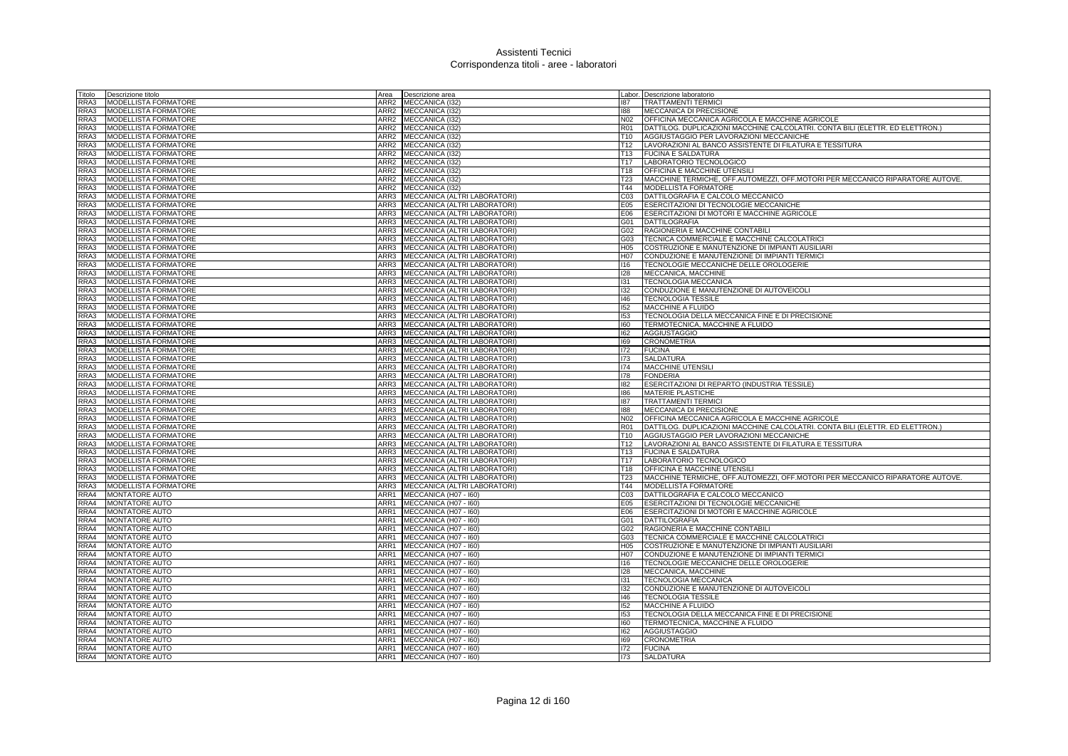| Titolo       | Descrizione titolo          | Area         | Descrizione area                               |                  | Labor. Descrizione laboratorio                                                |
|--------------|-----------------------------|--------------|------------------------------------------------|------------------|-------------------------------------------------------------------------------|
| RRA3         | MODELLISTA FORMATORE        |              | ARR2 MECCANICA (I32)                           | 187              | <b>TRATTAMENTI TERMICI</b>                                                    |
| RRA3         | <b>MODELLISTA FORMATORE</b> | ARR2         | MECCANICA (132)                                | 188              | MECCANICA DI PRECISIONE                                                       |
| RRA3         | MODELLISTA FORMATORE        | ARR2         | MECCANICA (I32)                                | N02              | OFFICINA MECCANICA AGRICOLA E MACCHINE AGRICOLE                               |
| RRA3         | <b>MODELLISTA FORMATORE</b> |              | ARR2 MECCANICA (132)                           | R01              | DATTILOG. DUPLICAZIONI MACCHINE CALCOLATRI. CONTA BILI (ELETTR. ED ELETTRON.) |
| RRA3         | MODELLISTA FORMATORE        |              | ARR2 MECCANICA (I32)                           |                  | T10 AGGIUSTAGGIO PER LAVORAZIONI MECCANICHE                                   |
| RRA3         | <b>MODELLISTA FORMATORE</b> | ARR2         | MECCANICA (I32)                                | T12              | LAVORAZIONI AL BANCO ASSISTENTE DI FILATURA E TESSITURA                       |
| RRA3         | MODELLISTA FORMATORE        | ARR2         | MECCANICA (I32)                                | T <sub>13</sub>  | <b>FUCINA E SALDATURA</b>                                                     |
| RRA3         | MODELLISTA FORMATORE        | ARR2         | MECCANICA (I32)                                | T17              | LABORATORIO TECNOLOGICO                                                       |
| RRA3         | MODELLISTA FORMATORE        | ARR2         | MECCANICA (I32)                                | T18              | <b>OFFICINA E MACCHINE UTENSILI</b>                                           |
| RRA3         | MODELLISTA FORMATORE        | ARR2         | MECCANICA (I32)                                | <b>T23</b>       | MACCHINE TERMICHE, OFF.AUTOMEZZI, OFF.MOTORI PER MECCANICO RIPARATORE AUTOVE. |
| RRA3         | MODELLISTA FORMATORE        | ARR2         | MECCANICA (I32)                                | T44              | MODELLISTA FORMATORE                                                          |
| RRA3         | MODELLISTA FORMATORE        | ARR3         | MECCANICA (ALTRI LABORATORI)                   | C <sub>03</sub>  | DATTILOGRAFIA E CALCOLO MECCANICO                                             |
| RRA3         | MODELLISTA FORMATORE        |              | ARR3 MECCANICA (ALTRI LABORATORI)              | E05              | ESERCITAZIONI DI TECNOLOGIE MECCANICHE                                        |
| RRA3         | MODELLISTA FORMATORE        | ARR3         | MECCANICA (ALTRI LABORATORI)                   | E06              | ESERCITAZIONI DI MOTORI E MACCHINE AGRICOLE                                   |
| RRA3         | MODELLISTA FORMATORE        | ARR3         | MECCANICA (ALTRI LABORATORI)                   | G01              | <b>DATTILOGRAFIA</b>                                                          |
| RRA3         | MODELLISTA FORMATORE        | ARR3         | MECCANICA (ALTRI LABORATORI)                   | G02              | RAGIONERIA E MACCHINE CONTABILI                                               |
| RRA3         | MODELLISTA FORMATORE        | ARR3         | MECCANICA (ALTRI LABORATORI)                   | G03              | TECNICA COMMERCIALE E MACCHINE CALCOLATRICI                                   |
| RRA3         | MODELLISTA FORMATORE        | ARR3         | MECCANICA (ALTRI LABORATORI)                   | H <sub>05</sub>  | COSTRUZIONE E MANUTENZIONE DI IMPIANTI AUSILIARI                              |
| RRA3         | MODELLISTA FORMATORE        | ARR3         | MECCANICA (ALTRI LABORATORI)                   | H07              | CONDUZIONE E MANUTENZIONE DI IMPIANTI TERMICI                                 |
| RRA3         | MODELLISTA FORMATORE        | ARR3         | MECCANICA (ALTRI LABORATORI)                   | 116              | TECNOLOGIE MECCANICHE DELLE OROLOGERIE                                        |
| RRA3         | <b>MODELLISTA FORMATORE</b> | ARR3         | MECCANICA (ALTRI LABORATORI)                   | 128              | MECCANICA, MACCHINE                                                           |
| RRA3         | MODELLISTA FORMATORE        | ARR3         | MECCANICA (ALTRI LABORATORI)                   | 131              | <b>TECNOLOGIA MECCANICA</b>                                                   |
| RRA3         | MODELLISTA FORMATORE        | ARR3         | MECCANICA (ALTRI LABORATORI)                   | 132              | CONDUZIONE E MANUTENZIONE DI AUTOVEICOLI                                      |
| RRA3         | MODELLISTA FORMATORE        | ARR3         | MECCANICA (ALTRI LABORATORI)                   | 146              | <b>TECNOLOGIA TESSILE</b>                                                     |
| RRA3         | MODELLISTA FORMATORE        | ARR3         | MECCANICA (ALTRI LABORATORI)                   | 152              | MACCHINE A FLUIDO                                                             |
| RRA3         | MODELLISTA FORMATORE        | ARR3         | MECCANICA (ALTRI LABORATORI)                   | 153              | TECNOLOGIA DELLA MECCANICA FINE E DI PRECISIONE                               |
| RRA3         | MODELLISTA FORMATORE        | ARR3         | MECCANICA (ALTRI LABORATORI)                   | 160              | TERMOTECNICA, MACCHINE A FLUIDO                                               |
| RRA3         | MODELLISTA FORMATORE        | ARR3         | MECCANICA (ALTRI LABORATORI)                   | 162              | <b>AGGIUSTAGGIO</b>                                                           |
| RRA3         | MODELLISTA FORMATORE        | ARR3         | MECCANICA (ALTRI LABORATORI)                   | 169              | <b>CRONOMETRIA</b>                                                            |
| RRA3         | MODELLISTA FORMATORE        | ARR3         | MECCANICA (ALTRI LABORATORI)                   | 172              | <b>FUCINA</b>                                                                 |
| RRA3         | MODELLISTA FORMATORE        | ARR3         | MECCANICA (ALTRI LABORATORI)                   | 173              | <b>SALDATURA</b>                                                              |
| RRA3         | MODELLISTA FORMATORE        | ARR3         | MECCANICA (ALTRI LABORATORI)                   | 174              | <b>MACCHINE UTENSILI</b>                                                      |
| RRA3         | MODELLISTA FORMATORE        | ARR3         | MECCANICA (ALTRI LABORATORI)                   | 178              | <b>FONDERIA</b>                                                               |
| RRA3         | MODELLISTA FORMATORE        | ARR3         | MECCANICA (ALTRI LABORATORI)                   | 182              | ESERCITAZIONI DI REPARTO (INDUSTRIA TESSILE)                                  |
| RRA3         | MODELLISTA FORMATORE        | ARR3         | MECCANICA (ALTRI LABORATORI)                   | 186              | <b>MATERIE PLASTICHE</b>                                                      |
| RRA3         | MODELLISTA FORMATORE        | ARR3         | MECCANICA (ALTRI LABORATORI)                   | 187              | <b>TRATTAMENTI TERMICI</b>                                                    |
| RRA3         | MODELLISTA FORMATORE        | ARR3         | MECCANICA (ALTRI LABORATORI)                   | 188              | MECCANICA DI PRECISIONE                                                       |
| RRA3         | MODELLISTA FORMATORE        |              | ARR3 MECCANICA (ALTRI LABORATORI)              | N <sub>02</sub>  | OFFICINA MECCANICA AGRICOLA E MACCHINE AGRICOLE                               |
| RRA3         | MODELLISTA FORMATORE        | ARR3         | MECCANICA (ALTRI LABORATORI)                   | <b>R01</b>       | DATTILOG. DUPLICAZIONI MACCHINE CALCOLATRI. CONTA BILI (ELETTR. ED ELETTRON.) |
| RRA3         | MODELLISTA FORMATORE        | ARR3         | MECCANICA (ALTRI LABORATORI)                   | T <sub>10</sub>  | AGGIUSTAGGIO PER LAVORAZIONI MECCANICHE                                       |
| RRA3         | MODELLISTA FORMATORE        | ARR3         | MECCANICA (ALTRI LABORATORI)                   | T12              | LAVORAZIONI AL BANCO ASSISTENTE DI FILATURA E TESSITURA                       |
| RRA3         | MODELLISTA FORMATORE        | ARR3         | MECCANICA (ALTRI LABORATORI)                   | T <sub>13</sub>  | <b>FUCINA E SALDATURA</b>                                                     |
| RRA3         | MODELLISTA FORMATORE        | ARR3         | MECCANICA (ALTRI LABORATORI)                   | T17              | LABORATORIO TECNOLOGICO                                                       |
| RRA3         | MODELLISTA FORMATORE        | ARR3         | MECCANICA (ALTRI LABORATORI)                   | T <sub>18</sub>  | <b>OFFICINA E MACCHINE UTENSILI</b>                                           |
| RRA3         | MODELLISTA FORMATORE        | ARR3         | MECCANICA (ALTRI LABORATORI)                   | <b>T23</b>       | MACCHINE TERMICHE, OFF.AUTOMEZZI, OFF.MOTORI PER MECCANICO RIPARATORE AUTOVE. |
| RRA3         | MODELLISTA FORMATORE        | ARR3         | MECCANICA (ALTRI LABORATORI)                   | T44              | MODELLISTA FORMATORE                                                          |
| RRA4         | <b>MONTATORE AUTO</b>       | ARR1         | MECCANICA (H07 - I60)                          | CO <sub>3</sub>  | DATTILOGRAFIA E CALCOLO MECCANICO                                             |
| RRA4         | MONTATORE AUTO              | ARR1         |                                                | E05              | <b>ESERCITAZIONI DI TECNOLOGIE MECCANICHE</b>                                 |
| RRA4         | MONTATORE AUTO              | ARR1         | MECCANICA (H07 - I60)<br>MECCANICA (H07 - I60) | E06              | ESERCITAZIONI DI MOTORI E MACCHINE AGRICOLE                                   |
| RRA4         | MONTATORE AUTO              | ARR1         | MECCANICA (H07 - I60)                          | G01              | <b>DATTILOGRAFIA</b>                                                          |
|              |                             | ARR1         |                                                |                  |                                                                               |
| RRA4<br>RRA4 | MONTATORE AUTO              |              | MECCANICA (H07 - I60)                          | G02              | RAGIONERIA E MACCHINE CONTABILI                                               |
|              | MONTATORE AUTO              | ARR1         | MECCANICA (H07 - I60)                          | G03              | TECNICA COMMERCIALE E MACCHINE CALCOLATRICI                                   |
| RRA4         | <b>MONTATORE AUTO</b>       | ARR1         | MECCANICA (H07 - I60)                          | H <sub>05</sub>  | COSTRUZIONE E MANUTENZIONE DI IMPIANTI AUSILIARI                              |
| RRA4<br>RRA4 | <b>MONTATORE AUTO</b>       | ARR1<br>ARR1 | MECCANICA (H07 - 160)<br>MECCANICA (H07 - I60) | H <sub>0</sub> 7 | CONDUZIONE E MANUTENZIONE DI IMPIANTI TERMICI                                 |
|              | <b>MONTATORE AUTO</b>       |              |                                                | 116              | TECNOLOGIE MECCANICHE DELLE OROLOGERIE                                        |
| RRA4         | <b>MONTATORE AUTO</b>       | ARR1         | MECCANICA (H07 - I60)                          | 128              | MECCANICA, MACCHINE                                                           |
| RRA4         | MONTATORE AUTO              | ARR1         | MECCANICA (H07 - I60)                          | 131              | <b>TECNOLOGIA MECCANICA</b>                                                   |
| RRA4         | MONTATORE AUTO              | ARR1         | MECCANICA (H07 - I60)                          | 132              | CONDUZIONE E MANUTENZIONE DI AUTOVEICOLI                                      |
| RRA4         | <b>MONTATORE AUTO</b>       | ARR1         | MECCANICA (H07 - I60)                          | 146              | <b>TECNOLOGIA TESSILE</b>                                                     |
| RRA4         | MONTATORE AUTO              | ARR1         | MECCANICA (H07 - I60)                          | 152              | MACCHINE A FLUIDO                                                             |
| RRA4         | <b>MONTATORE AUTO</b>       | ARR1         | MECCANICA (H07 - I60)                          | 153              | TECNOLOGIA DELLA MECCANICA FINE E DI PRECISIONE                               |
| RRA4         | MONTATORE AUTO              | ARR1         | MECCANICA (H07 - I60)                          | 160              | TERMOTECNICA, MACCHINE A FLUIDO                                               |
| RRA4         | MONTATORE AUTO              |              | ARR1 MECCANICA (H07 - 160)                     | 162              | AGGIUSTAGGIO                                                                  |
| RRA4         | <b>MONTATORE AUTO</b>       |              | ARR1 MECCANICA (H07 - 160)                     | 169              | <b>CRONOMETRIA</b>                                                            |
| RRA4         | <b>MONTATORE AUTO</b>       | ARR1         | MECCANICA (H07 - I60)                          | 172              | <b>FUCINA</b>                                                                 |
| RRA4         | <b>MONTATORE AUTO</b>       |              | ARR1 MECCANICA (H07 - 160)                     | 173              | <b>SALDATURA</b>                                                              |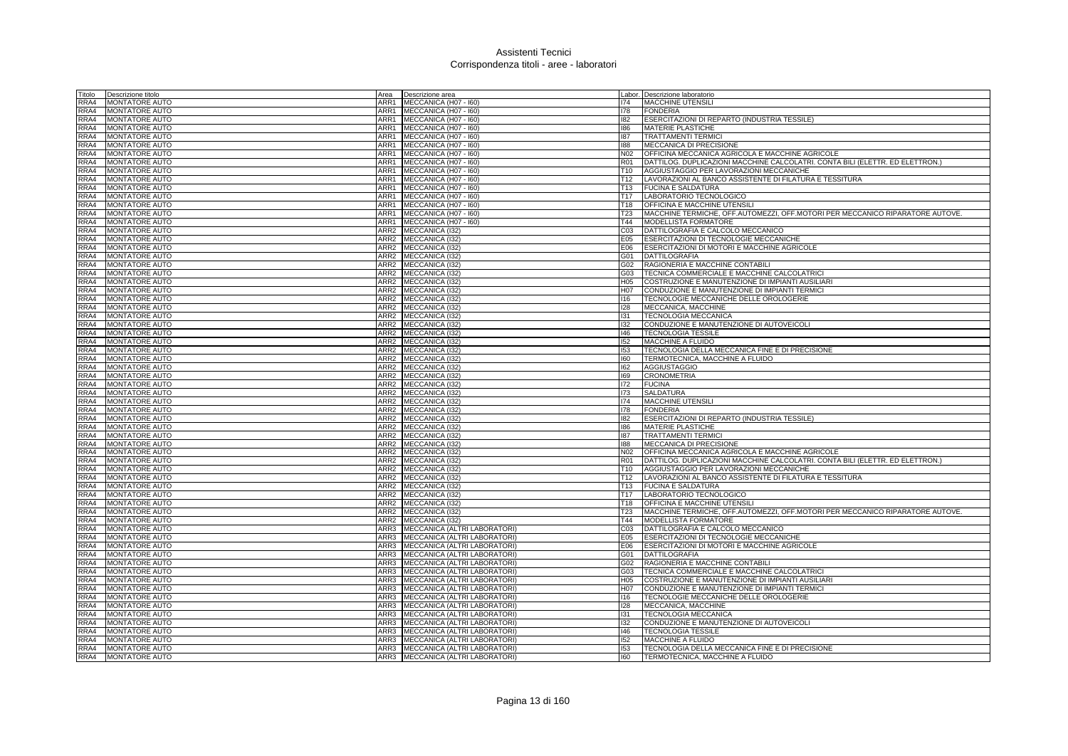| Titolo       | Descrizione titolo                             | Area         | Descrizione area                                |                                    | Labor. Descrizione laboratorio                                                          |
|--------------|------------------------------------------------|--------------|-------------------------------------------------|------------------------------------|-----------------------------------------------------------------------------------------|
| RRA4         | <b>MONTATORE AUTO</b>                          | ARR1         | MECCANICA (H07 - I60)                           | 174                                | <b>MACCHINE UTENSILI</b>                                                                |
| RRA4         | MONTATORE AUTO                                 | ARR1         | MECCANICA (H07 - I60)                           | 178                                | <b>FONDERIA</b>                                                                         |
| RRA4         | <b>MONTATORE AUTO</b>                          | ARR1         | MECCANICA (H07 - I60)                           | 182                                | ESERCITAZIONI DI REPARTO (INDUSTRIA TESSILE)                                            |
| RRA4         | <b>MONTATORE AUTO</b>                          |              | ARR1 MECCANICA (H07 - 160)                      | 186                                | MATERIE PLASTICHE                                                                       |
| RRA4         | <b>MONTATORE AUTO</b>                          | ARR1         | MECCANICA (H07 - I60)                           | 187                                | <b>TRATTAMENTI TERMIC</b>                                                               |
| RRA4         | MONTATORE AUTO                                 | ARR1         | MECCANICA (H07 - I60)                           | 188                                | MECCANICA DI PRECISIONE                                                                 |
| RRA4         | MONTATORE AUTO                                 | ARR1         | MECCANICA (H07 - I60)                           | N02                                | OFFICINA MECCANICA AGRICOLA E MACCHINE AGRICOLE                                         |
| RRA4         | MONTATORE AUTO                                 | ARR1         | MECCANICA (H07 - I60)                           | <b>R01</b>                         | DATTILOG. DUPLICAZIONI MACCHINE CALCOLATRI. CONTA BILI (ELETTR. ED ELETTRON.)           |
| RRA4         | <b>MONTATORE AUTO</b>                          | ARR1         | MECCANICA (H07 - I60)                           | T <sub>10</sub>                    | AGGIUSTAGGIO PER LAVORAZIONI MECCANICHE                                                 |
| RRA4<br>RRA4 | <b>MONTATORE AUTO</b><br><b>MONTATORE AUTO</b> | ARR1<br>ARR1 | MECCANICA (H07 - 160)<br>MECCANICA (H07 - I60)  | T <sub>12</sub><br>T <sub>13</sub> | LAVORAZIONI AL BANCO ASSISTENTE DI FILATURA E TESSITURA<br><b>FUCINA E SALDATURA</b>    |
| RRA4         | MONTATORE AUTO                                 |              | ARR1 MECCANICA (H07 - 160)                      | T <sub>17</sub>                    | LABORATORIO TECNOLOGICO                                                                 |
| RRA4         | MONTATORE AUTO                                 |              | ARR1 MECCANICA (H07 - I60)                      |                                    | T18 OFFICINA E MACCHINE UTENSILI                                                        |
| RRA4         | <b>MONTATORE AUTO</b>                          | ARR1         | MECCANICA (H07 - I60)                           | T <sub>23</sub>                    | <b>IMACCHINE TERMICHE, OFF, AUTOMEZZI, OFF, MOTORI PER MECCANICO RIPARATORE AUTOVE.</b> |
| RRA4         | <b>MONTATORE AUTO</b>                          | ARR1         | MECCANICA (H07 - I60)                           | T44                                | MODELLISTA FORMATORE                                                                    |
| RRA4         | MONTATORE AUTO                                 | ARR2         | MECCANICA (132)                                 | CO <sub>3</sub>                    | DATTILOGRAFIA E CALCOLO MECCANICO                                                       |
| RRA4         | MONTATORE AUTO                                 |              | ARR2 MECCANICA (I32)                            | E05                                | ESERCITAZIONI DI TECNOLOGIE MECCANICHE                                                  |
| RRA4         | <b>MONTATORE AUTO</b>                          | ARR2         | MECCANICA (I32)                                 | E06                                | ESERCITAZIONI DI MOTORI E MACCHINE AGRICOLE                                             |
| RRA4         | MONTATORE AUTO                                 | ARR2         | MECCANICA (I32)                                 | G01                                | <b>DATTILOGRAFIA</b>                                                                    |
| RRA4         | <b>MONTATORE AUTO</b>                          |              | ARR2 MECCANICA (132)                            | G02                                | RAGIONERIA E MACCHINE CONTABILI                                                         |
| RRA4         | MONTATORE AUTO                                 |              | ARR2 MECCANICA (I32)                            | G03                                | TECNICA COMMERCIALE E MACCHINE CALCOLATRICI                                             |
| RRA4         | MONTATORE AUTO                                 |              | ARR2 MECCANICA (I32)                            | H05                                | COSTRUZIONE E MANUTENZIONE DI IMPIANTI AUSILIARI                                        |
| RRA4         | MONTATORE AUTO                                 |              | ARR2 MECCANICA (I32)                            | H07                                | CONDUZIONE E MANUTENZIONE DI IMPIANTI TERMICI                                           |
| RRA4         | <b>MONTATORE AUTO</b>                          | ARR2         | MECCANICA (132)                                 | 116                                | TECNOLOGIE MECCANICHE DELLE OROLOGERIE                                                  |
| RRA4         | MONTATORE AUTO                                 |              | ARR2 MECCANICA (I32)                            | 128                                | MECCANICA, MACCHINE                                                                     |
| RRA4         | MONTATORE AUTO                                 |              | ARR2 MECCANICA (I32)                            | 131                                | TECNOLOGIA MECCANICA                                                                    |
| RRA4         | MONTATORE AUTO                                 |              | ARR2 MECCANICA (I32)                            | 132                                | CONDUZIONE E MANUTENZIONE DI AUTOVEICOLI                                                |
| RRA4         | <b>MONTATORE AUTO</b>                          |              | ARR2 MECCANICA (I32)                            | 146                                | <b>TECNOLOGIA TESSILE</b>                                                               |
| RRA4         | MONTATORE AUTO                                 |              | ARR2 MECCANICA (I32)                            | 152                                | <b>MACCHINE A FLUIDO</b>                                                                |
| RRA4         | MONTATORE AUTO                                 |              | ARR2 MECCANICA (I32)                            | 153                                | TECNOLOGIA DELLA MECCANICA FINE E DI PRECISIONE                                         |
| RRA4<br>RRA4 | <b>MONTATORE AUTO</b><br><b>MONTATORE AUTO</b> | ARR2         | ARR2 MECCANICA (132)<br>MECCANICA (132)         | 160<br>162                         | <b>TERMOTECNICA, MACCHINE A FLUIDO</b><br><b>AGGIUSTAGGIO</b>                           |
| RRA4         | MONTATORE AUTO                                 | ARR2         | MECCANICA (132)                                 | 169                                | <b>CRONOMETRIA</b>                                                                      |
| RRA4         | <b>MONTATORE AUTO</b>                          | ARR2         | MECCANICA (I32)                                 | 172                                | <b>FUCINA</b>                                                                           |
| RRA4         | <b>MONTATORE AUTO</b>                          | ARR2         | MECCANICA (I32)                                 | 173                                | <b>SALDATURA</b>                                                                        |
| RRA4         | MONTATORE AUTO                                 | ARR2         | MECCANICA (I32)                                 | 174                                | MACCHINE UTENSILI                                                                       |
| RRA4         | MONTATORE AUTO                                 | ARR2         | MECCANICA (132)                                 | 178                                | <b>FONDERIA</b>                                                                         |
| RRA4         | <b>MONTATORE AUTO</b>                          |              | ARR2 MECCANICA (I32)                            | 182                                | ESERCITAZIONI DI REPARTO (INDUSTRIA TESSILE)                                            |
| RRA4         | <b>MONTATORE AUTO</b>                          |              | ARR2 MECCANICA (I32)                            | 186                                | MATERIE PLASTICHE                                                                       |
| RRA4         | MONTATORE AUTO                                 | ARR2         | MECCANICA (I32)                                 | 187                                | <b>TRATTAMENTI TERMICI</b>                                                              |
| RRA4         | <b>MONTATORE AUTO</b>                          | ARR2         | MECCANICA (132)                                 | 188                                | <b>MECCANICA DI PRECISIONE</b>                                                          |
| RRA4         | MONTATORE AUTO                                 |              | ARR2 MECCANICA (I32)                            | N02                                | OFFICINA MECCANICA AGRICOLA E MACCHINE AGRICOLE                                         |
| RRA4         | <b>MONTATORE AUTO</b>                          | ARR2         | <b>MECCANICA (132)</b>                          | R01                                | DATTILOG. DUPLICAZIONI MACCHINE CALCOLATRI. CONTA BILI (ELETTR. ED ELETTRON.)           |
| RRA4         | <b>MONTATORE AUTO</b>                          | ARR2         | MECCANICA (132)                                 | T <sub>10</sub>                    | AGGIUSTAGGIO PER LAVORAZIONI MECCANICHE                                                 |
| RRA4         | MONTATORE AUTO                                 | ARR2         | MECCANICA (I32)                                 | T <sub>12</sub>                    | LAVORAZIONI AL BANCO ASSISTENTE DI FILATURA E TESSITURA                                 |
| RRA4         | <b>MONTATORE AUTO</b>                          | ARR2         | MECCANICA (I32)                                 | T <sub>13</sub>                    | <b>FUCINA E SALDATURA</b>                                                               |
| RRA4         | <b>MONTATORE AUTO</b>                          | ARR2         | MECCANICA (I32)                                 | T17                                | LABORATORIO TECNOLOGICO                                                                 |
| RRA4         | MONTATORE AUTO                                 | ARR2         | MECCANICA (I32)                                 | T <sub>18</sub>                    | <b>OFFICINA E MACCHINE UTENSIL</b>                                                      |
| RRA4         | <b>MONTATORE AUTO</b>                          | ARR2         | MECCANICA (I32)                                 | T <sub>23</sub>                    | MACCHINE TERMICHE, OFF.AUTOMEZZI, OFF.MOTORI PER MECCANICO RIPARATORE AUTOVE.           |
| RRA4<br>RRA4 | MONTATORE AUTO<br><b>MONTATORE AUTO</b>        | ARR2<br>ARR3 | MECCANICA (I32)<br>MECCANICA (ALTRI LABORATORI) | T44<br>C <sub>03</sub>             | MODELLISTA FORMATORE<br>DATTILOGRAFIA E CALCOLO MECCANICO                               |
| RRA4         | <b>MONTATORE AUTO</b>                          | ARR3         | MECCANICA (ALTRI LABORATORI)                    | E05                                | ESERCITAZIONI DI TECNOLOGIE MECCANICHE                                                  |
| RRA4         | MONTATORE AUTO                                 | ARR3         | MECCANICA (ALTRI LABORATORI)                    | E06                                | ESERCITAZIONI DI MOTORI E MACCHINE AGRICOLE                                             |
| RRA4         | MONTATORE AUTO                                 | ARR3         | MECCANICA (ALTRI LABORATORI)                    | G01                                | DATTILOGRAFIA                                                                           |
| RRA4         | <b>MONTATORE AUTO</b>                          | ARR3         | MECCANICA (ALTRI LABORATORI)                    | G02                                | RAGIONERIA E MACCHINE CONTABILI                                                         |
| RRA4         | MONTATORE AUTO                                 | ARR3         | MECCANICA (ALTRI LABORATORI)                    | G03                                | TECNICA COMMERCIALE E MACCHINE CALCOLATRICI                                             |
| RRA4         | MONTATORE AUTO                                 | ARR3         | MECCANICA (ALTRI LABORATORI)                    | H05                                | COSTRUZIONE E MANUTENZIONE DI IMPIANTI AUSILIARI                                        |
| RRA4         | MONTATORE AUTO                                 | ARR3         | MECCANICA (ALTRI LABORATORI)                    | H07                                | CONDUZIONE E MANUTENZIONE DI IMPIANTI TERMICI                                           |
| RRA4         | MONTATORE AUTO                                 | ARR3         | MECCANICA (ALTRI LABORATORI)                    | 116                                | TECNOLOGIE MECCANICHE DELLE OROLOGERIE                                                  |
| RRA4         | MONTATORE AUTO                                 | ARR3         | MECCANICA (ALTRI LABORATORI)                    | 128                                | MECCANICA, MACCHINE                                                                     |
| RRA4         | MONTATORE AUTO                                 | ARR3         | MECCANICA (ALTRI LABORATORI)                    | 131                                | <b>TECNOLOGIA MECCANICA</b>                                                             |
| RRA4         | <b>MONTATORE AUTO</b>                          | ARR3         | MECCANICA (ALTRI LABORATORI)                    | 132                                | CONDUZIONE E MANUTENZIONE DI AUTOVEICOLI                                                |
| RRA4         | <b>MONTATORE AUTO</b>                          | ARR3         | MECCANICA (ALTRI LABORATORI)                    | 146                                | <b>TECNOLOGIA TESSILE</b>                                                               |
| RRA4         | <b>MONTATORE AUTO</b>                          | ARR3         | MECCANICA (ALTRI LABORATORI)                    | 152                                | MACCHINE A FLUIDO                                                                       |
| RRA4         | <b>MONTATORE AUTO</b>                          |              | ARR3 MECCANICA (ALTRI LABORATORI)               | 153                                | TECNOLOGIA DELLA MECCANICA FINE E DI PRECISIONE                                         |
|              | RRA4 MONTATORE AUTO                            |              | ARR3 MECCANICA (ALTRI LABORATORI)               | 160                                | TERMOTECNICA, MACCHINE A FLUIDO                                                         |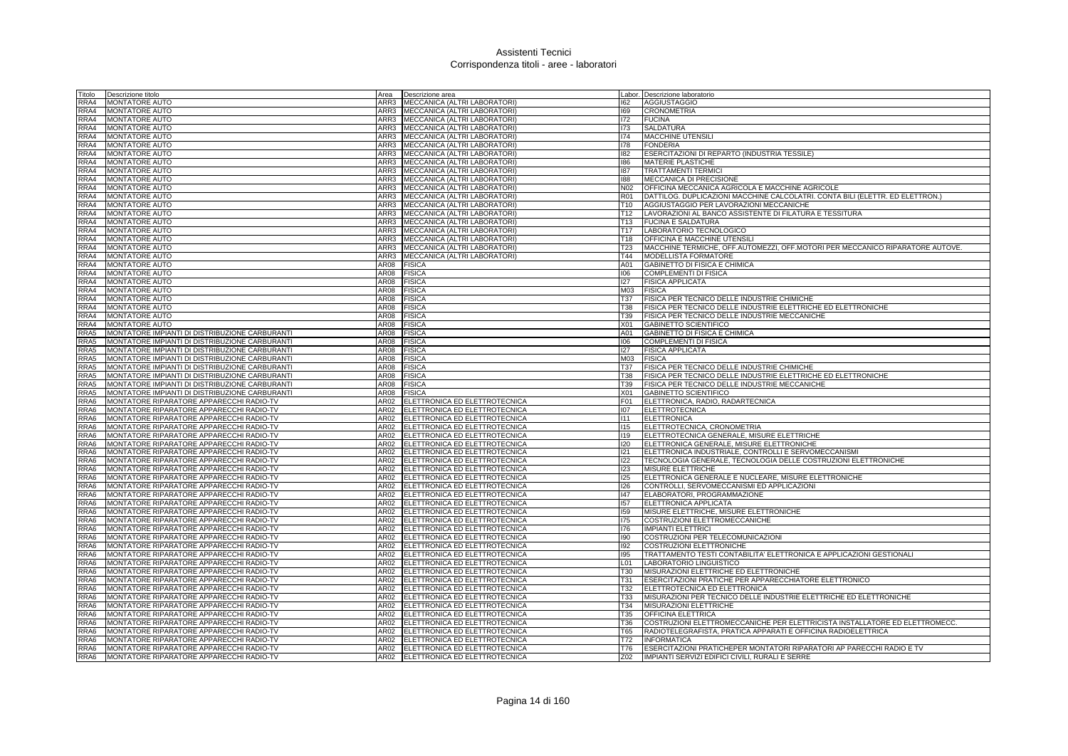| Fitolo       | Descrizione titolo                                                                               | Area         | Descrizione area                                                  |                   | Labor. Descrizione laboratorio                                                                                                   |
|--------------|--------------------------------------------------------------------------------------------------|--------------|-------------------------------------------------------------------|-------------------|----------------------------------------------------------------------------------------------------------------------------------|
| RRA4         | <b>MONTATORE AUTO</b>                                                                            | ARR3         | MECCANICA (ALTRI LABORATORI)                                      | 162               | <b>AGGIUSTAGGIO</b>                                                                                                              |
| RRA4         | <b>MONTATORE AUTO</b>                                                                            | ARR3         | MECCANICA (ALTRI LABORATORI)                                      | 169               | <b>CRONOMETRIA</b>                                                                                                               |
| RRA4         | MONTATORE AUTO                                                                                   | ARR3         | MECCANICA (ALTRI LABORATORI)                                      | 172               | <b>FUCINA</b>                                                                                                                    |
| RRA4         | <b>MONTATORE AUTO</b>                                                                            |              | ARR3 MECCANICA (ALTRI LABORATORI)                                 | 173               | <b>SALDATURA</b>                                                                                                                 |
| RRA4         | <b>MONTATORE AUTO</b>                                                                            | ARR3         | MECCANICA (ALTRI LABORATORI)                                      | 174               | <b>MACCHINE UTENSIL</b>                                                                                                          |
| RRA4         | MONTATORE AUTO                                                                                   | ARR3         | MECCANICA (ALTRI LABORATORI)                                      | 178               | <b>FONDERIA</b>                                                                                                                  |
| RRA4         | MONTATORE AUTO                                                                                   | ARR3         | MECCANICA (ALTRI LABORATORI)                                      | 182               | ESERCITAZIONI DI REPARTO (INDUSTRIA TESSILE)                                                                                     |
| RRA4         | MONTATORE AUTO                                                                                   | ARR3         | MECCANICA (ALTRI LABORATORI)                                      | 186               | <b>MATERIE PLASTICHE</b>                                                                                                         |
| RRA4         | <b>MONTATORE AUTO</b>                                                                            | ARR3         | MECCANICA (ALTRI LABORATORI)                                      | 187               | <b>TRATTAMENTI TERMIC</b>                                                                                                        |
| RRA4         | MONTATORE AUTO                                                                                   | ARR3<br>ARR3 | MECCANICA (ALTRI LABORATORI)                                      | 188               | MECCANICA DI PRECISIONE                                                                                                          |
| RRA4<br>RRA4 | <b>MONTATORE AUTO</b><br><b>MONTATORE AUTO</b>                                                   |              | MECCANICA (ALTRI LABORATORI)<br>ARR3 MECCANICA (ALTRI LABORATORI) | N02<br><b>R01</b> | OFFICINA MECCANICA AGRICOLA E MACCHINE AGRICOLE<br>DATTILOG. DUPLICAZIONI MACCHINE CALCOLATRI. CONTA BILI (ELETTR. ED ELETTRON.) |
| RRA4         | <b>MONTATORE AUTO</b>                                                                            | ARR3         | MECCANICA (ALTRI LABORATORI)                                      | T <sub>10</sub>   | AGGIUSTAGGIO PER LAVORAZIONI MECCANICHE                                                                                          |
| RRA4         | <b>MONTATORE AUTO</b>                                                                            | ARR3         | MECCANICA (ALTRI LABORATORI)                                      | T <sub>12</sub>   | LAVORAZIONI AL BANCO ASSISTENTE DI FILATURA E TESSITURA                                                                          |
| RRA4         | <b>MONTATORE AUTO</b>                                                                            | ARR3         | MECCANICA (ALTRI LABORATORI                                       | T <sub>13</sub>   | <b>FUCINA E SALDATURA</b>                                                                                                        |
| RRA4         | MONTATORE AUTO                                                                                   | ARR3         | MECCANICA (ALTRI LABORATORI)                                      | T <sub>17</sub>   | LABORATORIO TECNOLOGICO                                                                                                          |
| RRA4         | <b>MONTATORE AUTO</b>                                                                            | ARR3         | MECCANICA (ALTRI LABORATORI)                                      | T18               | <b>OFFICINA E MACCHINE UTENSILI</b>                                                                                              |
| RRA4         | <b>MONTATORE AUTO</b>                                                                            | ARR3         | MECCANICA (ALTRI LABORATORI)                                      | T <sub>23</sub>   | MACCHINE TERMICHE, OFF.AUTOMEZZI, OFF.MOTORI PER MECCANICO RIPARATORE AUTOVE.                                                    |
| RRA4         | <b>MONTATORE AUTO</b>                                                                            | ARR3         | MECCANICA (ALTRI LABORATORI)                                      | T44               | MODELLISTA FORMATORE                                                                                                             |
| RRA4         | <b>MONTATORE AUTO</b>                                                                            | AR08         | <b>FISICA</b>                                                     | A01               | <b>GABINETTO DI FISICA E CHIMICA</b>                                                                                             |
| RRA4         | <b>MONTATORE AUTO</b>                                                                            | AR08         | <b>FISICA</b>                                                     | 106               | <b>COMPLEMENTI DI FISICA</b>                                                                                                     |
| RRA4         | <b>MONTATORE AUTO</b>                                                                            | AR08         | <b>FISICA</b>                                                     | 127               | <b>FISICA APPLICATA</b>                                                                                                          |
| RRA4         | MONTATORE AUTO                                                                                   | AR08         | <b>FISICA</b>                                                     | M03               | <b>FISICA</b>                                                                                                                    |
| RRA4         | MONTATORE AUTO                                                                                   | AR08         | <b>FISICA</b>                                                     | T37               | FISICA PER TECNICO DELLE INDUSTRIE CHIMICHE                                                                                      |
| RRA4         | <b>MONTATORE AUTO</b>                                                                            | AR08         | <b>FISICA</b>                                                     | <b>T38</b>        | FISICA PER TECNICO DELLE INDUSTRIE ELETTRICHE ED ELETTRONICHE                                                                    |
| RRA4         | <b>MONTATORE AUTO</b>                                                                            | AR08         | <b>FISICA</b>                                                     | T39               | FISICA PER TECNICO DELLE INDUSTRIE MECCANICHE                                                                                    |
| RRA4         | <b>MONTATORE AUTO</b>                                                                            | AR08         | <b>FISICA</b>                                                     | X01               | <b>GABINETTO SCIENTIFICO</b>                                                                                                     |
| RRA5         | MONTATORE IMPIANTI DI DISTRIBUZIONE CARBURANTI                                                   | AR08         | <b>FISICA</b>                                                     | A01               | GABINETTO DI FISICA E CHIMICA                                                                                                    |
| RRA5         | MONTATORE IMPIANTI DI DISTRIBUZIONE CARBURANTI                                                   | AR08         | <b>FISICA</b>                                                     | 106               | <b>COMPLEMENTI DI FISICA</b>                                                                                                     |
| RRA5         | MONTATORE IMPIANTI DI DISTRIBUZIONE CARBURANTI                                                   | AR08         | <b>FISICA</b>                                                     | 127               | <b>FISICA APPLICATA</b>                                                                                                          |
| RRA5         | MONTATORE IMPIANTI DI DISTRIBUZIONE CARBURANTI                                                   | AR08         | <b>FISICA</b>                                                     | M03               | <b>FISICA</b>                                                                                                                    |
| RRA5<br>RRA5 | MONTATORE IMPIANTI DI DISTRIBUZIONE CARBURANTI                                                   | AR08         | <b>FISICA</b>                                                     | T37<br>T38        | FISICA PER TECNICO DELLE INDUSTRIE CHIMICHE                                                                                      |
| RRA5         | MONTATORE IMPIANTI DI DISTRIBUZIONE CARBURANTI<br>MONTATORE IMPIANTI DI DISTRIBUZIONE CARBURANTI | AR08<br>AR08 | <b>FISICA</b><br><b>FISICA</b>                                    | T39               | FISICA PER TECNICO DELLE INDUSTRIE ELETTRICHE ED ELETTRONICHE<br>FISICA PER TECNICO DELLE INDUSTRIE MECCANICHE                   |
| RRA5         | MONTATORE IMPIANTI DI DISTRIBUZIONE CARBURANTI                                                   | AR08         | <b>FISICA</b>                                                     | X01               | <b>GABINETTO SCIENTIFICO</b>                                                                                                     |
| RRA6         | MONTATORE RIPARATORE APPARECCHI RADIO-TV                                                         | AR02         | ELETTRONICA ED ELETTROTECNICA                                     | F01               | ELETTRONICA, RADIO, RADARTECNICA                                                                                                 |
| RRA6         | MONTATORE RIPARATORE APPARECCHI RADIO-TV                                                         | AR02         | ELETTRONICA ED ELETTROTECNICA                                     | 107               | <b>ELETTROTECNICA</b>                                                                                                            |
| RRA6         | MONTATORE RIPARATORE APPARECCHI RADIO-TV                                                         | AR02         | ELETTRONICA ED ELETTROTECNICA                                     | 111               | <b>ELETTRONICA</b>                                                                                                               |
| RRA6         | MONTATORE RIPARATORE APPARECCHI RADIO-TV                                                         | AR02         | ELETTRONICA ED ELETTROTECNICA                                     | 115               | ELETTROTECNICA, CRONOMETRIA                                                                                                      |
| RRA6         | MONTATORE RIPARATORE APPARECCHI RADIO-TV                                                         | AR02         | ELETTRONICA ED ELETTROTECNICA                                     | 119               | ELETTROTECNICA GENERALE, MISURE ELETTRICHE                                                                                       |
| RRA6         | MONTATORE RIPARATORE APPARECCHI RADIO-TV                                                         | AR02         | ELETTRONICA ED ELETTROTECNICA                                     | 120               | ELETTRONICA GENERALE, MISURE ELETTRONICHE                                                                                        |
| RRA6         | MONTATORE RIPARATORE APPARECCHI RADIO-TV                                                         | AR02         | ELETTRONICA ED ELETTROTECNICA                                     | 121               | ELETTRONICA INDUSTRIALE, CONTROLLI E SERVOMECCANISMI                                                                             |
| RRA6         | MONTATORE RIPARATORE APPARECCHI RADIO-TV                                                         | AR02         | ELETTRONICA ED ELETTROTECNICA                                     | 122               | TECNOLOGIA GENERALE, TECNOLOGIA DELLE COSTRUZIONI ELETTRONICHE                                                                   |
| RRA6         | MONTATORE RIPARATORE APPARECCHI RADIO-TV                                                         | AR02         | ELETTRONICA ED ELETTROTECNICA                                     | 123               | MISURE ELETTRICHE                                                                                                                |
| RRA6         | MONTATORE RIPARATORE APPARECCHI RADIO-TV                                                         | AR02         | ELETTRONICA ED ELETTROTECNICA                                     | 125               | ELETTRONICA GENERALE E NUCLEARE, MISURE ELETTRONICHE                                                                             |
| RRA6         | MONTATORE RIPARATORE APPARECCHI RADIO-TV                                                         | AR02         | ELETTRONICA ED ELETTROTECNICA                                     | 126               | CONTROLLI, SERVOMECCANISMI ED APPLICAZIONI                                                                                       |
| RRA6         | MONTATORE RIPARATORE APPARECCHI RADIO-TV                                                         | AR02         | ELETTRONICA ED ELETTROTECNICA                                     | 147               | ELABORATORI, PROGRAMMAZIONE                                                                                                      |
| RRA6         | MONTATORE RIPARATORE APPARECCHI RADIO-TV                                                         | AR02         | ELETTRONICA ED ELETTROTECNICA                                     | 157               | ELETTRONICA APPLICATA                                                                                                            |
| RRA6         | MONTATORE RIPARATORE APPARECCHI RADIO-TV                                                         | AR02         | ELETTRONICA ED ELETTROTECNICA                                     | 159               | MISURE ELETTRICHE, MISURE ELETTRONICHE                                                                                           |
| RRA6         | MONTATORE RIPARATORE APPARECCHI RADIO-TV                                                         | AR02         | ELETTRONICA ED ELETTROTECNICA                                     | 175               | COSTRUZIONI ELETTROMECCANICHE                                                                                                    |
| RRA6         | MONTATORE RIPARATORE APPARECCHI RADIO-TV                                                         | AR02         | ELETTRONICA ED ELETTROTECNICA                                     | 176               | <b>IMPIANTI ELETTRICI</b>                                                                                                        |
| RRA6         | MONTATORE RIPARATORE APPARECCHI RADIO-TV                                                         | AR02<br>AR02 | ELETTRONICA ED ELETTROTECNICA                                     | 190               | COSTRUZIONI PER TELECOMUNICAZIONI                                                                                                |
| RRA6<br>RRA6 | MONTATORE RIPARATORE APPARECCHI RADIO-TV<br>MONTATORE RIPARATORE APPARECCHI RADIO-TV             | AR02         | ELETTRONICA ED ELETTROTECNICA<br>ELETTRONICA ED ELETTROTECNICA    | 192<br>195        | COSTRUZIONI ELETTRONICHE<br>TRATTAMENTO TESTI CONTABILITA' ELETTRONICA E APPLICAZIONI GESTIONALI                                 |
| RRA6         | MONTATORE RIPARATORE APPARECCHI RADIO-TV                                                         | AR02         | ELETTRONICA ED ELETTROTECNICA                                     | L01               | LABORATORIO LINGUISTICO                                                                                                          |
| RRA6         | MONTATORE RIPARATORE APPARECCHI RADIO-TV                                                         | AR02         | ELETTRONICA ED ELETTROTECNICA                                     | <b>T30</b>        | MISURAZIONI ELETTRICHE ED ELETTRONICHE                                                                                           |
| RRA6         | MONTATORE RIPARATORE APPARECCHI RADIO-TV                                                         | AR02         | ELETTRONICA ED ELETTROTECNICA                                     | T31               | <b>ESERCITAZIONI PRATICHE PER APPARECCHIATORE ELETTRONICO</b>                                                                    |
| RRA6         | MONTATORE RIPARATORE APPARECCHI RADIO-TV                                                         | AR02         | ELETTRONICA ED ELETTROTECNICA                                     | T32               | ELETTROTECNICA ED ELETTRONICA                                                                                                    |
| RRA6         | MONTATORE RIPARATORE APPARECCHI RADIO-TV                                                         | AR02         | ELETTRONICA ED ELETTROTECNICA                                     | <b>T33</b>        | MISURAZIONI PER TECNICO DELLE INDUSTRIE ELETTRICHE ED ELETTRONICHE                                                               |
| RRA6         | MONTATORE RIPARATORE APPARECCHI RADIO-TV                                                         | AR02         | ELETTRONICA ED ELETTROTECNICA                                     | <b>T34</b>        | MISURAZIONI ELETTRICHE                                                                                                           |
| RRA6         | MONTATORE RIPARATORE APPARECCHI RADIO-TV                                                         | AR02         | ELETTRONICA ED ELETTROTECNICA                                     | T35               | OFFICINA ELETTRICA                                                                                                               |
| RRA6         | MONTATORE RIPARATORE APPARECCHI RADIO-TV                                                         | AR02         | ELETTRONICA ED ELETTROTECNICA                                     | T36               | COSTRUZIONI ELETTROMECCANICHE PER ELETTRICISTA INSTALLATORE ED ELETTROMECC.                                                      |
| RRA6         | MONTATORE RIPARATORE APPARECCHI RADIO-TV                                                         | AR02         | ELETTRONICA ED ELETTROTECNICA                                     | T65               | RADIOTELEGRAFISTA, PRATICA APPARATI E OFFICINA RADIOELETTRICA                                                                    |
| RRA6         | MONTATORE RIPARATORE APPARECCHI RADIO-TV                                                         |              | AR02 ELETTRONICA ED ELETTROTECNICA                                | T72               | <b>INFORMATICA</b>                                                                                                               |
| RRA6         | MONTATORE RIPARATORE APPARECCHI RADIO-TV                                                         | AR02         | ELETTRONICA ED ELETTROTECNICA                                     | T76               | ESERCITAZIONI PRATICHEPER MONTATORI RIPARATORI AP PARECCHI RADIO E TV                                                            |
| RRA6         | MONTATORE RIPARATORE APPARECCHI RADIO-TV                                                         | AR02         | ELETTRONICA ED ELETTROTECNICA                                     | Z02               | IMPIANTI SERVIZI EDIFICI CIVILI, RURALI E SERRE                                                                                  |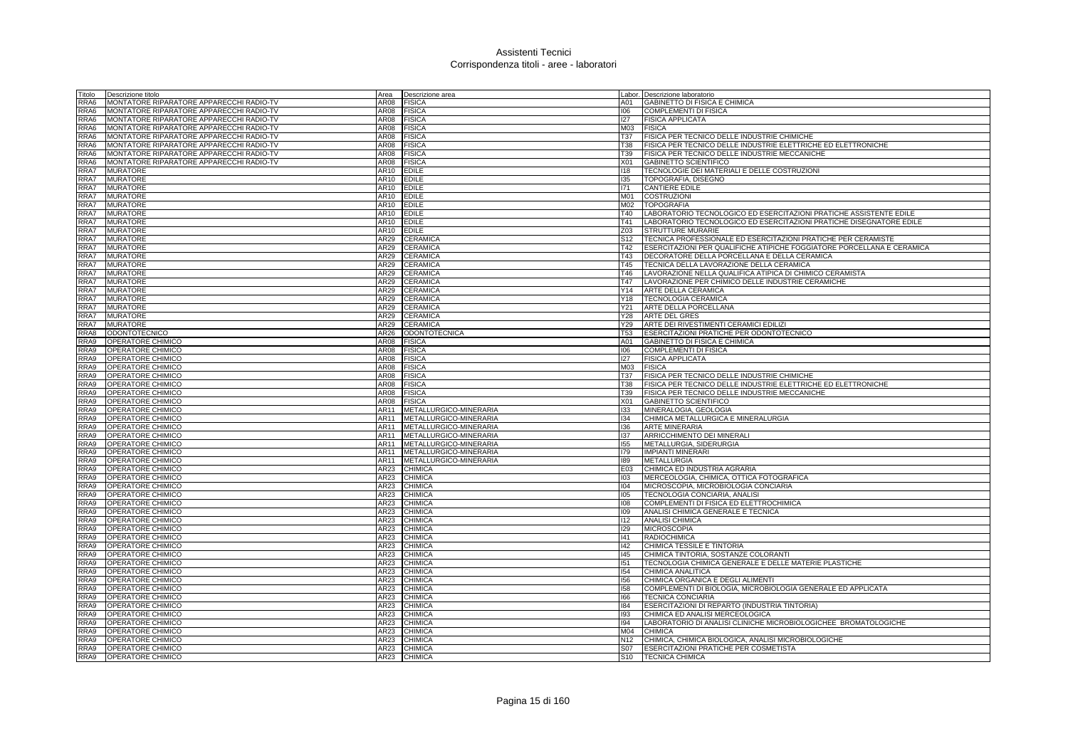| Titolo       | Descrizione titolo                       | Area             | Descrizione area                 |                 | Labor. Descrizione laboratorio                                                                              |
|--------------|------------------------------------------|------------------|----------------------------------|-----------------|-------------------------------------------------------------------------------------------------------------|
| RRA6         | MONTATORE RIPARATORE APPARECCHI RADIO-TV | AR08             | <b>FISICA</b>                    | A01             | GABINETTO DI FISICA E CHIMICA                                                                               |
| RRA6         | MONTATORE RIPARATORE APPARECCHI RADIO-TV | AR08             | <b>FISICA</b>                    | 106             | COMPLEMENTI DI FISICA                                                                                       |
| RRA6         | MONTATORE RIPARATORE APPARECCHI RADIO-TV | AR08             | <b>FISICA</b>                    | 127             | <b>FISICA APPLICATA</b>                                                                                     |
| RRA6         | MONTATORE RIPARATORE APPARECCHI RADIO-TV | AR08             | <b>FISICA</b>                    | M03 FISICA      |                                                                                                             |
| RRA6         | MONTATORE RIPARATORE APPARECCHI RADIO-TV | AR08             | <b>FISICA</b>                    | T37             | FISICA PER TECNICO DELLE INDUSTRIE CHIMICHE                                                                 |
| RRA6         | MONTATORE RIPARATORE APPARECCHI RADIO-TV | AR08             | <b>FISICA</b>                    | T38             | FISICA PER TECNICO DELLE INDUSTRIE ELETTRICHE ED ELETTRONICHE                                               |
| RRA6         | MONTATORE RIPARATORE APPARECCHI RADIO-TV | AR08             | <b>FISICA</b>                    | T39             | FISICA PER TECNICO DELLE INDUSTRIE MECCANICHE                                                               |
| RRA6         | MONTATORE RIPARATORE APPARECCHI RADIO-TV | AR08             | <b>FISICA</b>                    | X <sub>01</sub> | GABINETTO SCIENTIFICO                                                                                       |
| RRA7         | <b>MURATORE</b>                          | AR10             | <b>EDILE</b>                     | 118             | TECNOLOGIE DEI MATERIALI E DELLE COSTRUZIONI                                                                |
| RRA7         | <b>MURATORE</b>                          | AR10             | <b>EDILE</b>                     | 135             | TOPOGRAFIA, DISEGNO                                                                                         |
| RRA7         | <b>MURATORE</b>                          | AR10             | <b>EDILE</b>                     | 171             | <b>CANTIERE EDILE</b>                                                                                       |
| RRA7         | <b>MURATORE</b>                          | AR10             | <b>EDILE</b>                     | M01             | <b>COSTRUZIONI</b>                                                                                          |
| RRA7         | <b>MURATORE</b>                          | AR10             | <b>EDILE</b>                     |                 | M02   TOPOGRAFIA                                                                                            |
| RRA7         | <b>MURATORE</b>                          | AR10             | <b>EDILE</b>                     | T40             | LABORATORIO TECNOLOGICO ED ESERCITAZIONI PRATICHE ASSISTENTE EDILE                                          |
| RRA7         | <b>MURATORE</b>                          | AR10             | <b>EDILE</b>                     | T41             | LABORATORIO TECNOLOGICO ED ESERCITAZIONI PRATICHE DISEGNATORE EDILE                                         |
| RRA7         | <b>MURATORE</b>                          | AR10             | <b>EDILE</b>                     | Z03             | <b>STRUTTURE MURARIE</b>                                                                                    |
| RRA7         | <b>MURATORE</b>                          | AR29             | <b>CERAMICA</b>                  | S <sub>12</sub> | TECNICA PROFESSIONALE ED ESERCITAZIONI PRATICHE PER CERAMISTE                                               |
| RRA7         | <b>MURATORE</b>                          | AR29             | <b>CERAMICA</b>                  | T42             | <b>IESERCITAZIONI PER QUALIFICHE ATIPICHE FOGGIATORE PORCELLANA E CERAMICA</b>                              |
| RRA7         | <b>MURATORE</b>                          | AR29             | <b>CERAMICA</b>                  | T43             | DECORATORE DELLA PORCELLANA E DELLA CERAMICA                                                                |
| RRA7<br>RRA7 | <b>MURATORE</b><br><b>MURATORE</b>       | AR29<br>AR29     | <b>CERAMICA</b><br>CERAMICA      | T45<br>T46      | <b>TECNICA DELLA LAVORAZIONE DELLA CERAMICA</b><br>LAVORAZIONE NELLA QUALIFICA ATIPICA DI CHIMICO CERAMISTA |
| RRA7         |                                          |                  |                                  |                 | LAVORAZIONE PER CHIMICO DELLE INDUSTRIE CERAMICHE                                                           |
| RRA7         | <b>MURATORE</b><br><b>MURATORE</b>       | AR29<br>AR29     | <b>CERAMICA</b><br>CERAMICA      | T47<br>Y14      | ARTE DELLA CERAMICA                                                                                         |
| RRA7         | <b>MURATORE</b>                          | AR29             | <b>CERAMICA</b>                  | Y18             | <b>TECNOLOGIA CERAMICA</b>                                                                                  |
| RRA7         | <b>MURATORE</b>                          | AR29             | CERAMICA                         | Y21             | ARTE DELLA PORCELLANA                                                                                       |
| RRA7         | <b>MURATORE</b>                          | AR29             | <b>CERAMICA</b>                  | Y28             | <b>ARTE DEL GRES</b>                                                                                        |
| RRA7         | <b>MURATORE</b>                          | AR29             | CERAMICA                         | Y29             | ARTE DEI RIVESTIMENTI CERAMICI EDILIZI                                                                      |
| RRA8         | <b>ODONTOTECNICO</b>                     | AR <sub>26</sub> | <b>ODONTOTECNICA</b>             | T53             | ESERCITAZIONI PRATICHE PER ODONTOTECNICO                                                                    |
| RRA9         | OPERATORE CHIMICO                        | AR08             | <b>FISICA</b>                    | A01             | GABINETTO DI FISICA E CHIMICA                                                                               |
| RRA9         | OPERATORE CHIMICO                        | AR08             | <b>FISICA</b>                    | 106             | <b>COMPLEMENTI DI FISICA</b>                                                                                |
| RRA9         | OPERATORE CHIMICO                        | AR08             | <b>FISICA</b>                    | 127             | <b>FISICA APPLICATA</b>                                                                                     |
| RRA9         | OPERATORE CHIMICO                        | <b>AR08</b>      | <b>FISICA</b>                    | M <sub>03</sub> | <b>FISICA</b>                                                                                               |
| RRA9         | OPERATORE CHIMICO                        | AR08             | <b>FISICA</b>                    | <b>T37</b>      | FISICA PER TECNICO DELLE INDUSTRIE CHIMICHE                                                                 |
| RRA9         | OPERATORE CHIMICO                        | AR08             | <b>FISICA</b>                    | T38             | FISICA PER TECNICO DELLE INDUSTRIE ELETTRICHE ED ELETTRONICHE                                               |
| RRA9         | OPERATORE CHIMICO                        | AR08             | <b>FISICA</b>                    | T39             | FISICA PER TECNICO DELLE INDUSTRIE MECCANICHE                                                               |
| RRA9         | OPERATORE CHIMICO                        | AR08             | <b>FISICA</b>                    | X <sub>01</sub> | <b>GABINETTO SCIENTIFICO</b>                                                                                |
| RRA9         | OPERATORE CHIMICO                        | AR11             | METALLURGICO-MINERARIA           | 133             | MINERALOGIA, GEOLOGIA                                                                                       |
| RRA9         | OPERATORE CHIMICO                        | AR11             | METALLURGICO-MINERARIA           | 134             | CHIMICA METALLURGICA E MINERALURGIA                                                                         |
| RRA9         | OPERATORE CHIMICO                        | AR11             | METALLURGICO-MINERARIA           | 136             | <b>ARTE MINERARIA</b>                                                                                       |
| RRA9         | OPERATORE CHIMICO                        | AR11             | METALLURGICO-MINERARIA           | 137             | ARRICCHIMENTO DEI MINERALI                                                                                  |
| RRA9         | OPERATORE CHIMICO                        | AR11             | METALLURGICO-MINERARIA           | 155             | METALLURGIA, SIDERURGIA                                                                                     |
| RRA9         | OPERATORE CHIMICO                        | AR11             | METALLURGICO-MINERARIA           | 179             | <b>IMPIANTI MINERARI</b>                                                                                    |
| RRA9         | OPERATORE CHIMICO                        | AR11             | METALLURGICO-MINERARIA           | 189             | <b>METALLURGIA</b>                                                                                          |
| RRA9         | OPERATORE CHIMICO                        | AR23             | <b>CHIMICA</b>                   | E03             | CHIMICA ED INDUSTRIA AGRARIA                                                                                |
| RRA9         | OPERATORE CHIMICO                        | AR23             | <b>CHIMICA</b>                   | 103             | MERCEOLOGIA, CHIMICA, OTTICA FOTOGRAFICA                                                                    |
| RRA9         | OPERATORE CHIMICO                        | AR23             | <b>CHIMICA</b>                   | 104             | MICROSCOPIA, MICROBIOLOGIA CONCIARIA                                                                        |
| RRA9         | OPERATORE CHIMICO                        | AR23             | <b>CHIMICA</b>                   | 105             | TECNOLOGIA CONCIARIA, ANALISI                                                                               |
| RRA9         | OPERATORE CHIMICO                        | AR23             | <b>CHIMICA</b>                   | 108             | COMPLEMENTI DI FISICA ED ELETTROCHIMICA                                                                     |
| RRA9         | OPERATORE CHIMICO                        | AR23             | CHIMICA                          | 109             | ANALISI CHIMICA GENERALE E TECNICA                                                                          |
| RRA9         | OPERATORE CHIMICO                        | AR23             | <b>CHIMICA</b>                   | $ 112\rangle$   | <b>ANALISI CHIMICA</b>                                                                                      |
| RRA9         | OPERATORE CHIMICO                        | AR23             | <b>CHIMICA</b>                   | 129             | <b>MICROSCOPIA</b>                                                                                          |
| RRA9         | OPERATORE CHIMICO                        | AR23             | <b>CHIMICA</b>                   | 41              | <b>RADIOCHIMICA</b>                                                                                         |
| RRA9         | OPERATORE CHIMICO                        | AR23             | <b>CHIMICA</b>                   | $ 42\rangle$    | CHIMICA TESSILE E TINTORIA                                                                                  |
| RRA9         | OPERATORE CHIMICO                        | AR23             | <b>CHIMICA</b>                   | 145             | CHIMICA TINTORIA, SOSTANZE COLORANTI                                                                        |
| RRA9         | OPERATORE CHIMICO                        | AR23             | <b>CHIMICA</b>                   | 151             | TECNOLOGIA CHIMICA GENERALE E DELLE MATERIE PLASTICHE                                                       |
| RRA9         | OPERATORE CHIMICO                        | AR23             | <b>CHIMICA</b>                   | 154             | CHIMICA ANALITICA                                                                                           |
| RRA9         | OPERATORE CHIMICO                        | AR23             | <b>CHIMICA</b>                   | 156             | CHIMICA ORGANICA E DEGLI ALIMENTI                                                                           |
| RRA9         | OPERATORE CHIMICO                        | AR23             | <b>CHIMICA</b>                   | 158             | COMPLEMENTI DI BIOLOGIA, MICROBIOLOGIA GENERALE ED APPLICATA                                                |
| RRA9<br>RRA9 | OPERATORE CHIMICO                        | AR23             | <b>CHIMICA</b>                   | 166             | <b>TECNICA CONCIARIA</b>                                                                                    |
| RRA9         | OPERATORE CHIMICO                        | AR23<br>AR23     | <b>CHIMICA</b><br><b>CHIMICA</b> | 184<br>193      | ESERCITAZIONI DI REPARTO (INDUSTRIA TINTORIA)<br>CHIMICA ED ANALISI MERCEOLOGICA                            |
| RRA9         | OPERATORE CHIMICO<br>OPERATORE CHIMICO   | AR23             | <b>CHIMICA</b>                   | 194             | LABORATORIO DI ANALISI CLINICHE MICROBIOLOGICHEE BROMATOLOGICHE                                             |
| RRA9         | OPERATORE CHIMICO                        | AR23             | <b>CHIMICA</b>                   | M <sub>04</sub> | CHIMICA                                                                                                     |
| RRA9         | OPERATORE CHIMICO                        | AR23             | <b>CHIMICA</b>                   | N <sub>12</sub> | CHIMICA, CHIMICA BIOLOGICA, ANALISI MICROBIOLOGICHE                                                         |
| RRA9         | <b>OPERATORE CHIMICO</b>                 | AR23             | <b>CHIMICA</b>                   | S07             | <b>ESERCITAZIONI PRATICHE PER COSMETISTA</b>                                                                |
| RRA9         | OPERATORE CHIMICO                        | <b>AR23</b>      | <b>CHIMICA</b>                   |                 | S10 <b>TECNICA CHIMICA</b>                                                                                  |
|              |                                          |                  |                                  |                 |                                                                                                             |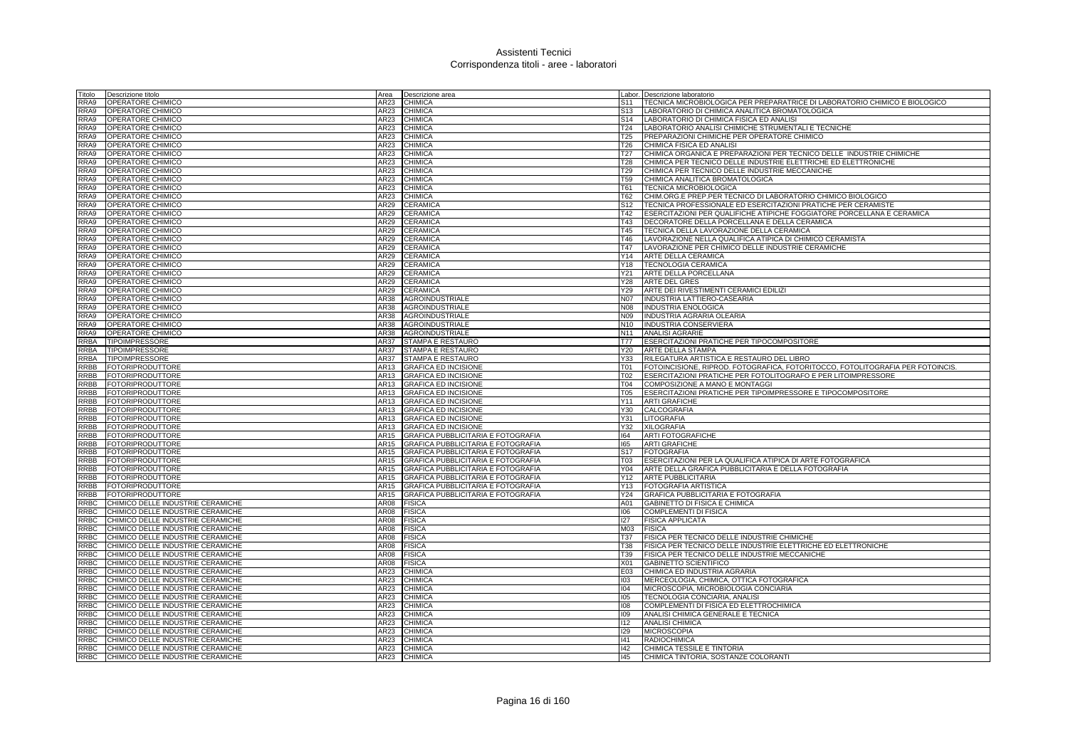| Titolo      | Descrizione titolo                | Area        | Descrizione area                          |                 | Labor. Descrizione laboratorio                                                 |
|-------------|-----------------------------------|-------------|-------------------------------------------|-----------------|--------------------------------------------------------------------------------|
| RRA9        | OPERATORE CHIMICO                 | AR23        | CHIMICA                                   | S11             | TECNICA MICROBIOLOGICA PER PREPARATRICE DI LABORATORIO CHIMICO E BIOLOGICO     |
| RRA9        | OPERATORE CHIMICO                 | AR23        | CHIMICA                                   | S <sub>13</sub> | LABORATORIO DI CHIMICA ANALITICA BROMATOLOGICA                                 |
| RRA9        | OPERATORE CHIMICO                 | AR23        | CHIMICA                                   | S14             | LABORATORIO DI CHIMICA FISICA ED ANALISI                                       |
| RRA9        | OPERATORE CHIMICO                 | AR23        | CHIMICA                                   | T24             | LABORATORIO ANALISI CHIMICHE STRUMENTALI E TECNICHE                            |
|             |                                   |             |                                           |                 |                                                                                |
| RRA9        | OPERATORE CHIMICO                 | AR23        | CHIMICA                                   | T25             | PREPARAZIONI CHIMICHE PER OPERATORE CHIMICO                                    |
| RRA9        | OPERATORE CHIMICO                 | AR23        | CHIMICA                                   | T26             | CHIMICA FISICA ED ANALISI                                                      |
| RRA9        | OPERATORE CHIMICO                 | AR23        | CHIMICA                                   | T <sub>27</sub> | CHIMICA ORGANICA E PREPARAZIONI PER TECNICO DELLE INDUSTRIE CHIMICHE           |
| RRA9        | OPERATORE CHIMICO                 | AR23        | CHIMICA                                   | T28             | CHIMICA PER TECNICO DELLE INDUSTRIE ELETTRICHE ED ELETTRONICHE                 |
| RRA9        | OPERATORE CHIMICO                 | AR23        | CHIMICA                                   | T29             | CHIMICA PER TECNICO DELLE INDUSTRIE MECCANICHE                                 |
| RRA9        | OPERATORE CHIMICO                 | AR23        | CHIMICA                                   | T59             | CHIMICA ANALITICA BROMATOLOGICA                                                |
| RRA9        | OPERATORE CHIMICO                 | AR23        | CHIMICA                                   | T61             | TECNICA MICROBIOLOGICA                                                         |
| RRA9        | OPERATORE CHIMICO                 | AR23        | CHIMICA                                   | T62             | CHIM.ORG.E PREP.PER TECNICO DI LABORATORIO CHIMICO BIOLOGICO                   |
| RRA9        | OPERATORE CHIMICO                 | AR29        | CERAMICA                                  | S <sub>12</sub> | TECNICA PROFESSIONALE ED ESERCITAZIONI PRATICHE PER CERAMISTE                  |
| RRA9        | OPERATORE CHIMICO                 | AR29        | CERAMICA                                  | T42             | ESERCITAZIONI PER QUALIFICHE ATIPICHE FOGGIATORE PORCELLANA E CERAMICA         |
| RRA9        | OPERATORE CHIMICO                 | AR29        | CERAMICA                                  | T43             | DECORATORE DELLA PORCELLANA E DELLA CERAMICA                                   |
| RRA9        | OPERATORE CHIMICO                 | AR29        | CERAMICA                                  | T45             | TECNICA DELLA LAVORAZIONE DELLA CERAMICA                                       |
| RRA9        | OPERATORE CHIMICO                 | AR29        | CERAMICA                                  | T46             | LAVORAZIONE NELLA QUALIFICA ATIPICA DI CHIMICO CERAMISTA                       |
| RRA9        | OPERATORE CHIMICC                 | AR29        | CERAMICA                                  | T47             | LAVORAZIONE PER CHIMICO DELLE INDUSTRIE CERAMICHE                              |
| RRA9        | OPERATORE CHIMICO                 | AR29        | CERAMICA                                  | Y14             | ARTE DELLA CERAMICA                                                            |
| RRA9        | OPERATORE CHIMICO                 | AR29        | <b>CERAMICA</b>                           | Y18             | <b>TECNOLOGIA CERAMICA</b>                                                     |
| RRA9        | OPERATORE CHIMICO                 | AR29        | <b>CERAMICA</b>                           | Y21             | ARTE DELLA PORCELLANA                                                          |
| RRA9        | OPERATORE CHIMICO                 | <b>AR29</b> | <b>CERAMICA</b>                           | Y28             | ARTE DEL GRES                                                                  |
|             |                                   |             |                                           |                 |                                                                                |
| RRA9        | OPERATORE CHIMICO                 | AR29        | CERAMICA                                  | Y29             | ARTE DEI RIVESTIMENTI CERAMICI EDILIZI                                         |
| RRA9        | OPERATORE CHIMICO                 | AR38        | <b>AGROINDUSTRIALE</b>                    | N07             | INDUSTRIA LATTIERO-CASEARIA                                                    |
| RRA9        | OPERATORE CHIMICO                 | AR38        | <b>AGROINDUSTRIALE</b>                    | N08             | <b>INDUSTRIA ENOLOGICA</b>                                                     |
| RRA9        | OPERATORE CHIMICO                 | AR38        | <b>AGROINDUSTRIALE</b>                    | N09             | INDUSTRIA AGRARIA OLEARIA                                                      |
| RRA9        | OPERATORE CHIMICO                 | AR38        | <b>AGROINDUSTRIALE</b>                    | N <sub>10</sub> | INDUSTRIA CONSERVIERA                                                          |
| RRA9        | OPERATORE CHIMICO                 | AR38        | <b>AGROINDUSTRIALE</b>                    | N11             | <b>ANALISI AGRARIE</b>                                                         |
| RRBA        | <b>TIPOIMPRESSORE</b>             | AR37        | <b>STAMPA E RESTAURO</b>                  | <b>T77</b>      | ESERCITAZIONI PRATICHE PER TIPOCOMPOSITORE                                     |
| RRBA        | <b>TIPOIMPRESSORE</b>             | <b>AR37</b> | STAMPA E RESTAURO                         | Y20             | ARTE DELLA STAMPA                                                              |
| <b>RRBA</b> | <b>TIPOIMPRESSORE</b>             | AR37        | <b>STAMPA E RESTAURO</b>                  | Y33             | RILEGATURA ARTISTICA E RESTAURO DEL LIBRO                                      |
| RRBB        | <b>FOTORIPRODUTTORE</b>           | <b>AR13</b> | <b>GRAFICA ED INCISIONE</b>               | T <sub>01</sub> | FOTOINCISIONE, RIPROD. FOTOGRAFICA, FOTORITOCCO, FOTOLITOGRAFIA PER FOTOINCIS. |
| <b>RRBB</b> | <b>FOTORIPRODUTTORE</b>           | <b>AR13</b> | <b>GRAFICA ED INCISIONE</b>               | T <sub>02</sub> | ESERCITAZIONI PRATICHE PER FOTOLITOGRAFO E PER LITOIMPRESSORE                  |
| RRBB        | <b>FOTORIPRODUTTORE</b>           | AR13        | <b>GRAFICA ED INCISIONE</b>               | T04             | COMPOSIZIONE A MANO E MONTAGGI                                                 |
| RRBB        | <b>FOTORIPRODUTTORE</b>           | AR13        | <b>GRAFICA ED INCISIONE</b>               | T05             | ESERCITAZIONI PRATICHE PER TIPOIMPRESSORE E TIPOCOMPOSITORE                    |
| RRBB        | <b>FOTORIPRODUTTORE</b>           | AR13        | <b>GRAFICA ED INCISIONE</b>               | Y11             | <b>ARTI GRAFICHE</b>                                                           |
| RRBB        | <b>FOTORIPRODUTTORE</b>           | AR13        | <b>GRAFICA ED INCISIONE</b>               | Y30             | CALCOGRAFIA                                                                    |
| RRBB        | <b>FOTORIPRODUTTORE</b>           | AR13        | <b>GRAFICA ED INCISIONE</b>               | Y31             | LITOGRAFIA                                                                     |
| RRBB        | <b>FOTORIPRODUTTORE</b>           | AR13        | <b>GRAFICA ED INCISIONE</b>               | Y32             | <b>XILOGRAFIA</b>                                                              |
| RRBB        | <b>FOTORIPRODUTTORE</b>           | AR15        | GRAFICA PUBBLICITARIA E FOTOGRAFIA        | 164             | <b>ARTI FOTOGRAFICHE</b>                                                       |
| RRBB        | <b>FOTORIPRODUTTORE</b>           | AR15        | GRAFICA PUBBLICITARIA E FOTOGRAFIA        | 165             | <b>ARTI GRAFICHE</b>                                                           |
| RRBB        | <b>FOTORIPRODUTTORE</b>           | AR15        | GRAFICA PUBBLICITARIA E FOTOGRAFIA        | S17             | <b>FOTOGRAFIA</b>                                                              |
| RRBB        | <b>FOTORIPRODUTTORE</b>           | AR15        | GRAFICA PUBBLICITARIA E FOTOGRAFIA        | тоз             | ESERCITAZIONI PER LA QUALIFICA ATIPICA DI ARTE FOTOGRAFICA                     |
| RRBB        | <b>FOTORIPRODUTTORE</b>           | AR15        | GRAFICA PUBBLICITARIA E FOTOGRAFIA        | Y04             | ARTE DELLA GRAFICA PUBBLICITARIA E DELLA FOTOGRAFIA                            |
| RRBB        | <b>FOTORIPRODUTTORE</b>           | AR15        | GRAFICA PUBBLICITARIA E FOTOGRAFIA        | Y12             | ARTE PUBBLICITARIA                                                             |
| RRBB        | <b>FOTORIPRODUTTORE</b>           | AR15        | <b>GRAFICA PUBBLICITARIA E FOTOGRAFIA</b> | Y13             | FOTOGRAFIA ARTISTICA                                                           |
| RRBB        | <b>FOTORIPRODUTTORE</b>           | AR15        | GRAFICA PUBBLICITARIA E FOTOGRAFIA        | Y24             | GRAFICA PUBBLICITARIA E FOTOGRAFIA                                             |
| <b>RRBC</b> | CHIMICO DELLE INDUSTRIE CERAMICHE | AR08        |                                           | A01             | GABINETTO DI FISICA E CHIMICA                                                  |
|             |                                   |             | <b>FISICA</b>                             | 106             |                                                                                |
| <b>RRBC</b> | CHIMICO DELLE INDUSTRIE CERAMICHE | AR08        | <b>FISICA</b>                             |                 | <b>COMPLEMENTI DI FISICA</b>                                                   |
| <b>RRBC</b> | CHIMICO DELLE INDUSTRIE CERAMICHE | AR08        | <b>FISICA</b>                             | 127             | <b>FISICA APPLICATA</b>                                                        |
| <b>RRBC</b> | CHIMICO DELLE INDUSTRIE CERAMICHE | AR08        | <b>FISICA</b>                             | M03             | <b>FISICA</b>                                                                  |
| <b>RRBC</b> | CHIMICO DELLE INDUSTRIE CERAMICHE | AR08        | FISICA                                    | T37             | FISICA PER TECNICO DELLE INDUSTRIE CHIMICHE                                    |
| <b>RRBC</b> | CHIMICO DELLE INDUSTRIE CERAMICHE | AR08        | <b>FISICA</b>                             | <b>T38</b>      | FISICA PER TECNICO DELLE INDUSTRIE ELETTRICHE ED ELETTRONICHE                  |
| <b>RRBC</b> | CHIMICO DELLE INDUSTRIE CERAMICHE | AR08        | <b>FISICA</b>                             | T39             | FISICA PER TECNICO DELLE INDUSTRIE MECCANICHE                                  |
| RRBC        | CHIMICO DELLE INDUSTRIE CERAMICHE | AR08        | <b>FISICA</b>                             | X01             | <b>GABINETTO SCIENTIFICO</b>                                                   |
| RRBC        | CHIMICO DELLE INDUSTRIE CERAMICHE | <b>AR23</b> | <b>CHIMICA</b>                            | E03             | CHIMICA ED INDUSTRIA AGRARIA                                                   |
| <b>RRBC</b> | CHIMICO DELLE INDUSTRIE CERAMICHE | AR23        | CHIMICA                                   | 103             | MERCEOLOGIA, CHIMICA, OTTICA FOTOGRAFICA                                       |
| RRBC        | CHIMICO DELLE INDUSTRIE CERAMICHE | <b>AR23</b> | CHIMICA                                   | 104             | MICROSCOPIA, MICROBIOLOGIA CONCIARIA                                           |
| RRBC        | CHIMICO DELLE INDUSTRIE CERAMICHE | AR23        | CHIMICA                                   | 105             | TECNOLOGIA CONCIARIA, ANALISI                                                  |
| RRBC        | CHIMICO DELLE INDUSTRIE CERAMICHE | <b>AR23</b> | CHIMICA                                   | 108             | COMPLEMENTI DI FISICA ED ELETTROCHIMICA                                        |
| RRBC        | CHIMICO DELLE INDUSTRIE CERAMICHE | AR23        | CHIMICA                                   | 109             | ANALISI CHIMICA GENERALE E TECNICA                                             |
| <b>RRBC</b> | CHIMICO DELLE INDUSTRIE CERAMICHE | AR23        | CHIMICA                                   | 112             | <b>ANALISI CHIMICA</b>                                                         |
| RRBC        | CHIMICO DELLE INDUSTRIE CERAMICHE | AR23        | <b>CHIMICA</b>                            | 129             | <b>MICROSCOPIA</b>                                                             |
| RRBC        | CHIMICO DELLE INDUSTRIE CERAMICHE | AR23        | <b>CHIMICA</b>                            | 141             | <b>RADIOCHIMICA</b>                                                            |
| RRBC        | CHIMICO DELLE INDUSTRIE CERAMICHE | AR23        | CHIMICA                                   | 142             | CHIMICA TESSILE E TINTORIA                                                     |
| RRBC        | CHIMICO DELLE INDUSTRIE CERAMICHE | AR23        | <b>CHIMICA</b>                            | 145             | CHIMICA TINTORIA, SOSTANZE COLORANTI                                           |
|             |                                   |             |                                           |                 |                                                                                |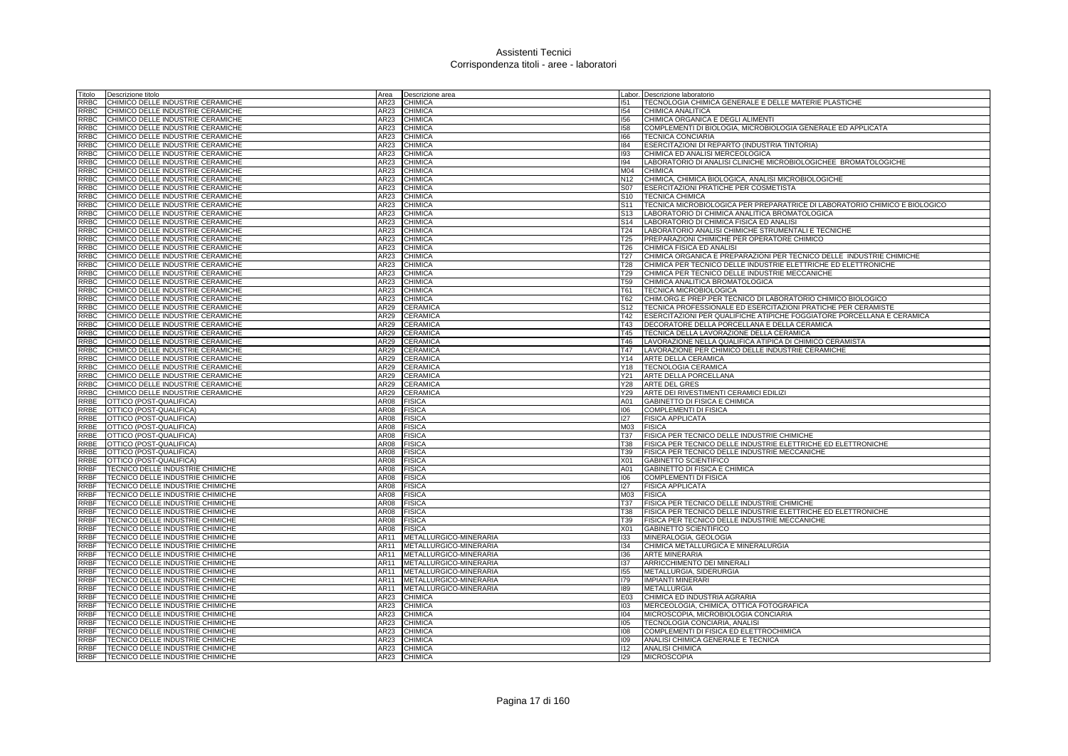| Titolo      | Descrizione titolo                | Area             | Descrizione area       |                 | Labor. Descrizione laboratorio                                             |
|-------------|-----------------------------------|------------------|------------------------|-----------------|----------------------------------------------------------------------------|
| RRBC        | CHIMICO DELLE INDUSTRIE CERAMICHE | AR23             | CHIMICA                | 151             | TECNOLOGIA CHIMICA GENERALE E DELLE MATERIE PLASTICHE                      |
| RRBC        | CHIMICO DELLE INDUSTRIE CERAMICHE | AR23             | <b>CHIMICA</b>         | 154             | CHIMICA ANALITICA                                                          |
| RRBC        | CHIMICO DELLE INDUSTRIE CERAMICHE | AR23             | <b>CHIMICA</b>         | 156             | CHIMICA ORGANICA E DEGLI ALIMENTI                                          |
| RRBC        | CHIMICO DELLE INDUSTRIE CERAMICHE | AR23             | <b>CHIMICA</b>         | 158             | COMPLEMENTI DI BIOLOGIA, MICROBIOLOGIA GENERALE ED APPLICATA               |
| RRBC        | CHIMICO DELLE INDUSTRIE CERAMICHE |                  | CHIMICA                |                 |                                                                            |
|             |                                   | AR23             |                        | 166             | <b>TECNICA CONCIARIA</b>                                                   |
| <b>RRBC</b> | CHIMICO DELLE INDUSTRIE CERAMICHE | AR23             | <b>CHIMICA</b>         | 184             | ESERCITAZIONI DI REPARTO (INDUSTRIA TINTORIA)                              |
| RRBC        | CHIMICO DELLE INDUSTRIE CERAMICHE | AR23             | CHIMICA                | 193             | CHIMICA ED ANALISI MERCEOLOGICA                                            |
| RRBC        | CHIMICO DELLE INDUSTRIE CERAMICHE | AR23             | <b>CHIMICA</b>         | 194             | LABORATORIO DI ANALISI CLINICHE MICROBIOLOGICHEE BROMATOLOGICHE            |
| RRBC        | CHIMICO DELLE INDUSTRIE CERAMICHE | AR23             | CHIMICA                | M04             | <b>CHIMICA</b>                                                             |
| RRBC        | CHIMICO DELLE INDUSTRIE CERAMICHE | AR23             | <b>CHIMICA</b>         | N <sub>12</sub> | CHIMICA, CHIMICA BIOLOGICA, ANALISI MICROBIOLOGICHE                        |
| <b>RRBC</b> | CHIMICO DELLE INDUSTRIE CERAMICHE | AR23             | <b>CHIMICA</b>         | S07             | <b>ESERCITAZIONI PRATICHE PER COSMETISTA</b>                               |
| <b>RRBC</b> | CHIMICO DELLE INDUSTRIE CERAMICHE | AR23             | <b>CHIMICA</b>         | S <sub>10</sub> | <b>TECNICA CHIMICA</b>                                                     |
| <b>RRBC</b> | CHIMICO DELLE INDUSTRIE CERAMICHE | AR23             | <b>CHIMICA</b>         | S <sub>11</sub> | TECNICA MICROBIOLOGICA PER PREPARATRICE DI LABORATORIO CHIMICO E BIOLOGICO |
| <b>RRBC</b> | CHIMICO DELLE INDUSTRIE CERAMICHE | AR23             | CHIMICA                | S <sub>13</sub> | LABORATORIO DI CHIMICA ANALITICA BROMATOLOGICA                             |
| <b>RRBC</b> | CHIMICO DELLE INDUSTRIE CERAMICHE | AR23             | <b>CHIMICA</b>         | S <sub>14</sub> | LABORATORIO DI CHIMICA FISICA ED ANALISI                                   |
| <b>RRBC</b> | CHIMICO DELLE INDUSTRIE CERAMICHE | AR23             | CHIMICA                | T <sub>24</sub> | LABORATORIO ANALISI CHIMICHE STRUMENTALI E TECNICHE                        |
|             |                                   |                  |                        |                 |                                                                            |
| <b>RRBC</b> | CHIMICO DELLE INDUSTRIE CERAMICHE | AR23             | CHIMICA                | T <sub>25</sub> | PREPARAZIONI CHIMICHE PER OPERATORE CHIMICO                                |
| <b>RRBC</b> | CHIMICO DELLE INDUSTRIE CERAMICHE | AR23             | CHIMICA                | T26             | CHIMICA FISICA ED ANALISI                                                  |
| <b>RRBC</b> | CHIMICO DELLE INDUSTRIE CERAMICHE | AR23             | <b>CHIMICA</b>         | T <sub>27</sub> | CHIMICA ORGANICA E PREPARAZIONI PER TECNICO DELLE INDUSTRIE CHIMICHE       |
| <b>RRBC</b> | CHIMICO DELLE INDUSTRIE CERAMICHE | AR23             | CHIMICA                | <b>T28</b>      | CHIMICA PER TECNICO DELLE INDUSTRIE ELETTRICHE ED ELETTRONICHE             |
| RRBC        | CHIMICO DELLE INDUSTRIE CERAMICHE | AR23             | <b>CHIMICA</b>         | T <sub>29</sub> | CHIMICA PER TECNICO DELLE INDUSTRIE MECCANICHE                             |
| RRBC        | CHIMICO DELLE INDUSTRIE CERAMICHE | AR23             | <b>CHIMICA</b>         | T <sub>59</sub> | CHIMICA ANALITICA BROMATOLOGICA                                            |
| RRBC        | CHIMICO DELLE INDUSTRIE CERAMICHE | AR23             | <b>CHIMICA</b>         | T61             | <b>TECNICA MICROBIOLOGICA</b>                                              |
| RRBC        | CHIMICO DELLE INDUSTRIE CERAMICHE | AR23             | CHIMICA                | <b>T62</b>      | CHIM.ORG.E PREP.PER TECNICO DI LABORATORIO CHIMICO BIOLOGICO               |
| RRBC        | CHIMICO DELLE INDUSTRIE CERAMICHE | AR29             | CERAMICA               | S <sub>12</sub> | TECNICA PROFESSIONALE ED ESERCITAZIONI PRATICHE PER CERAMISTE              |
| RRBC        | CHIMICO DELLE INDUSTRIE CERAMICHE | AR29             | CERAMICA               | T42             | ESERCITAZIONI PER QUALIFICHE ATIPICHE FOGGIATORE PORCELLANA E CERAMICA     |
| RRBC        | CHIMICO DELLE INDUSTRIE CERAMICHE | AR29             | CERAMICA               | T43             | DECORATORE DELLA PORCELLANA E DELLA CERAMICA                               |
|             |                                   |                  |                        |                 |                                                                            |
| RRBC        | CHIMICO DELLE INDUSTRIE CERAMICHE | AR29             | CERAMICA               | T45             | TECNICA DELLA LAVORAZIONE DELLA CERAMICA                                   |
| RRBC        | CHIMICO DELLE INDUSTRIE CERAMICHE | AR29             | <b>CERAMICA</b>        | T46             | LAVORAZIONE NELLA QUALIFICA ATIPICA DI CHIMICO CERAMISTA                   |
| RRBC        | CHIMICO DELLE INDUSTRIE CERAMICHE | AR29             | <b>CERAMICA</b>        | T47             | LAVORAZIONE PER CHIMICO DELLE INDUSTRIE CERAMICHE                          |
| <b>RRBC</b> | CHIMICO DELLE INDUSTRIE CERAMICHE | AR29             | CERAMICA               | Y14             | ARTE DELLA CERAMICA                                                        |
| <b>RRBC</b> | CHIMICO DELLE INDUSTRIE CERAMICHE | AR29             | <b>CERAMICA</b>        | Y18             | <b>TECNOLOGIA CERAMICA</b>                                                 |
| RRBC        | CHIMICO DELLE INDUSTRIE CERAMICHE | AR29             | CERAMICA               | Y21             | ARTE DELLA PORCELLANA                                                      |
| RRBC        | CHIMICO DELLE INDUSTRIE CERAMICHE | AR29             | <b>CERAMICA</b>        | Y28             | <b>ARTE DEL GRES</b>                                                       |
| RRBC        | CHIMICO DELLE INDUSTRIE CERAMICHE | AR29             | <b>CERAMICA</b>        | Y29             | ARTE DEI RIVESTIMENTI CERAMICI EDILIZI                                     |
| RRBE        | OTTICO (POST-QUALIFICA)           | AR08             | <b>FISICA</b>          | A01             | GABINETTO DI FISICA E CHIMICA                                              |
| RRBE        | OTTICO (POST-QUALIFICA)           | <b>AR08</b>      | <b>FISICA</b>          | 106             | <b>COMPLEMENTI DI FISICA</b>                                               |
| RRBE        | OTTICO (POST-QUALIFICA)           | AR08             | <b>FISICA</b>          | 127             | <b>FISICA APPLICATA</b>                                                    |
| RRBE        | OTTICO (POST-QUALIFICA)           | AR08             | <b>FISICA</b>          | M <sub>03</sub> | <b>FISICA</b>                                                              |
| RRBE        | OTTICO (POST-QUALIFICA)           | AR08             | <b>FISICA</b>          | <b>T37</b>      | <b>FISICA PER TECNICO DELLE INDUSTRIE CHIMICHE</b>                         |
|             |                                   |                  |                        |                 |                                                                            |
| RRBE        | OTTICO (POST-QUALIFICA)           | AR08             | <b>FISICA</b>          | <b>T38</b>      | FISICA PER TECNICO DELLE INDUSTRIE ELETTRICHE ED ELETTRONICHE              |
| RRBE        | OTTICO (POST-QUALIFICA)           | AR08             | <b>FISICA</b>          | T39             | FISICA PER TECNICO DELLE INDUSTRIE MECCANICHE                              |
| RRBE        | OTTICO (POST-QUALIFICA)           | AR08             | <b>FISICA</b>          | X01             | <b>GABINETTO SCIENTIFICO</b>                                               |
| RRBF        | TECNICO DELLE INDUSTRIE CHIMICHE  | AR08             | <b>FISICA</b>          | A01             | GABINETTO DI FISICA E CHIMICA                                              |
| RRBF        | TECNICO DELLE INDUSTRIE CHIMICHE  | AR08             | <b>FISICA</b>          | 106             | <b>COMPLEMENTI DI FISICA</b>                                               |
| RRBF        | TECNICO DELLE INDUSTRIE CHIMICHE  | AR08             | <b>FISICA</b>          | 127             | <b>FISICA APPLICATA</b>                                                    |
| RRBF        | TECNICO DELLE INDUSTRIE CHIMICHE  | AR08             | <b>FISICA</b>          | M <sub>03</sub> | <b>FISICA</b>                                                              |
| RRBF        | TECNICO DELLE INDUSTRIE CHIMICHE  | AR08             | <b>FISICA</b>          | T37             | FISICA PER TECNICO DELLE INDUSTRIE CHIMICHE                                |
| RRBF        | TECNICO DELLE INDUSTRIE CHIMICHE  | AR08             | <b>FISICA</b>          | <b>T38</b>      | FISICA PER TECNICO DELLE INDUSTRIE ELETTRICHE ED ELETTRONICHE              |
| RRBF        | TECNICO DELLE INDUSTRIE CHIMICHE  | AR08             | <b>FISICA</b>          | T39             | FISICA PER TECNICO DELLE INDUSTRIE MECCANICHE                              |
| RRBF        | TECNICO DELLE INDUSTRIE CHIMICHE  | AR08             | <b>FISICA</b>          | X01             | GABINETTO SCIENTIFICO                                                      |
| RRBF        | TECNICO DELLE INDUSTRIE CHIMICHE  | AR11             | METALLURGICO-MINERARIA | 133             |                                                                            |
|             |                                   |                  |                        |                 | MINERALOGIA, GEOLOGIA                                                      |
| RRBF        | TECNICO DELLE INDUSTRIE CHIMICHE  | AR11             | METALLURGICO-MINERARIA | 134             | CHIMICA METALLURGICA E MINERALURGIA                                        |
| <b>RRBF</b> | TECNICO DELLE INDUSTRIE CHIMICHE  | AR11             | METALLURGICO-MINERARIA | 136             | <b>ARTE MINERARIA</b>                                                      |
| RRBF        | TECNICO DELLE INDUSTRIE CHIMICHE  | AR11             | METALLURGICO-MINERARIA | 137             | ARRICCHIMENTO DEI MINERALI                                                 |
| RRBF        | TECNICO DELLE INDUSTRIE CHIMICHE  | AR11             | METALLURGICO-MINERARIA | 155             | METALLURGIA, SIDERURGIA                                                    |
| <b>RRBF</b> | TECNICO DELLE INDUSTRIE CHIMICHE  | AR11             | METALLURGICO-MINERARIA | 179             | <b>IMPIANTI MINERARI</b>                                                   |
| RRBF        | TECNICO DELLE INDUSTRIE CHIMICHE  | AR11             | METALLURGICO-MINERARIA | 189             | <b>METALLURGIA</b>                                                         |
| <b>RRBF</b> | TECNICO DELLE INDUSTRIE CHIMICHE  | AR <sub>23</sub> | CHIMICA                | E03             | CHIMICA ED INDUSTRIA AGRARIA                                               |
| RRBF        | TECNICO DELLE INDUSTRIE CHIMICHE  | AR23             | <b>CHIMICA</b>         | 103             | MERCEOLOGIA, CHIMICA, OTTICA FOTOGRAFICA                                   |
| RRBF        | TECNICO DELLE INDUSTRIE CHIMICHE  | AR23             | CHIMICA                | 104             | MICROSCOPIA, MICROBIOLOGIA CONCIARIA                                       |
| <b>RRBF</b> | TECNICO DELLE INDUSTRIE CHIMICHE  | AR23             | <b>CHIMICA</b>         | 105             | TECNOLOGIA CONCIARIA, ANALISI                                              |
| <b>RRBF</b> | TECNICO DELLE INDUSTRIE CHIMICHE  | AR23             | <b>CHIMICA</b>         | 108             | COMPLEMENTI DI FISICA ED ELETTROCHIMICA                                    |
| RRBF        | TECNICO DELLE INDUSTRIE CHIMICHE  | AR23             | <b>CHIMICA</b>         | 109             | ANALISI CHIMICA GENERALE E TECNICA                                         |
| <b>RRBF</b> | TECNICO DELLE INDUSTRIE CHIMICHE  | AR23             | <b>CHIMICA</b>         | 112             | <b>ANALISI CHIMICA</b>                                                     |
|             |                                   |                  |                        |                 |                                                                            |
| RRBF        | TECNICO DELLE INDUSTRIE CHIMICHE  |                  | AR23 CHIMICA           | 129             | <b>MICROSCOPIA</b>                                                         |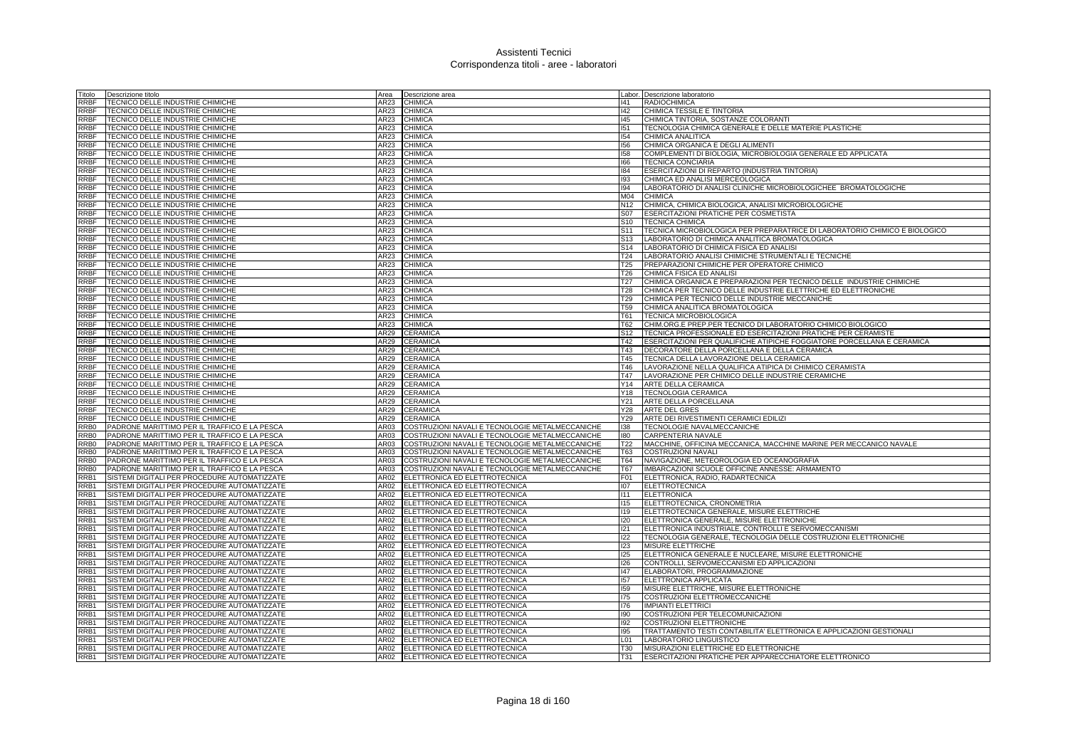| Fitolo           | Descrizione titolo                                                   | Area             | Descrizione area                                                                                   |                                    | Labor. Descrizione laboratorio                                             |
|------------------|----------------------------------------------------------------------|------------------|----------------------------------------------------------------------------------------------------|------------------------------------|----------------------------------------------------------------------------|
| RRBF             | TECNICO DELLE INDUSTRIE CHIMICHE                                     | AR23             | <b>CHIMICA</b>                                                                                     | 141                                | <b>RADIOCHIMICA</b>                                                        |
| RRBF             | TECNICO DELLE INDUSTRIE CHIMICHE                                     | AR23             | <b>CHIMICA</b>                                                                                     | 142                                | CHIMICA TESSILE E TINTORIA                                                 |
| RRBF             | TECNICO DELLE INDUSTRIE CHIMICHE                                     | AR23             | <b>CHIMICA</b>                                                                                     | 145                                | CHIMICA TINTORIA, SOSTANZE COLORANTI                                       |
| RRBF             | TECNICO DELLE INDUSTRIE CHIMICHE                                     | AR23             | <b>CHIMICA</b>                                                                                     | 151                                | TECNOLOGIA CHIMICA GENERALE E DELLE MATERIE PLASTICHE                      |
| RRBF             | TECNICO DELLE INDUSTRIE CHIMICHE                                     | AR23             | <b>CHIMICA</b>                                                                                     | 154                                | CHIMICA ANALITICA                                                          |
| RRBF             | TECNICO DELLE INDUSTRIE CHIMICHE                                     | AR23             | <b>CHIMICA</b>                                                                                     | 156                                | CHIMICA ORGANICA E DEGLI ALIMENTI                                          |
| RRBF             | TECNICO DELLE INDUSTRIE CHIMICHE                                     | AR23             | <b>CHIMICA</b>                                                                                     | 158                                | COMPLEMENTI DI BIOLOGIA, MICROBIOLOGIA GENERALE ED APPLICATA               |
| RRBF             | TECNICO DELLE INDUSTRIE CHIMICHE                                     | AR23             | <b>CHIMICA</b>                                                                                     | 166                                | <b>TECNICA CONCIARIA</b>                                                   |
| RRBF             | TECNICO DELLE INDUSTRIE CHIMICHE                                     | AR23             | CHIMICA                                                                                            | 184                                | ESERCITAZIONI DI REPARTO (INDUSTRIA TINTORIA)                              |
| <b>RRBF</b>      | TECNICO DELLE INDUSTRIE CHIMICHE                                     | AR23             | <b>CHIMICA</b>                                                                                     | 193                                | CHIMICA ED ANALISI MERCEOLOGICA                                            |
| <b>RRBF</b>      | TECNICO DELLE INDUSTRIE CHIMICHE                                     | AR23             | <b>CHIMICA</b>                                                                                     | 94                                 | LABORATORIO DI ANALISI CLINICHE MICROBIOLOGICHEE BROMATOLOGICHE            |
| RRBF             | TECNICO DELLE INDUSTRIE CHIMICHE                                     | AR23             | <b>CHIMICA</b>                                                                                     | M04                                | <b>CHIMICA</b>                                                             |
| <b>RRBF</b>      | TECNICO DELLE INDUSTRIE CHIMICHE                                     | AR23             | <b>CHIMICA</b>                                                                                     | N12                                | CHIMICA, CHIMICA BIOLOGICA, ANALISI MICROBIOLOGICHE                        |
| <b>RRBF</b>      | TECNICO DELLE INDUSTRIE CHIMICHE                                     | AR23             | <b>CHIMICA</b>                                                                                     | S07                                | <b>ESERCITAZIONI PRATICHE PER COSMETISTA</b>                               |
| <b>RRBF</b>      | TECNICO DELLE INDUSTRIE CHIMICHE                                     | AR <sub>23</sub> | CHIMICA                                                                                            | S <sub>10</sub>                    | <b>TECNICA CHIMICA</b>                                                     |
| RRBF             | TECNICO DELLE INDUSTRIE CHIMICHE                                     | AR23             | <b>CHIMICA</b>                                                                                     | S <sub>11</sub>                    | TECNICA MICROBIOLOGICA PER PREPARATRICE DI LABORATORIO CHIMICO E BIOLOGICO |
| RRBF             |                                                                      | AR23             | <b>CHIMICA</b>                                                                                     |                                    | LABORATORIO DI CHIMICA ANALITICA BROMATOLOGICA                             |
|                  | TECNICO DELLE INDUSTRIE CHIMICHE                                     |                  |                                                                                                    | S <sub>13</sub>                    | LABORATORIO DI CHIMICA FISICA ED ANALISI                                   |
| RRBF             | TECNICO DELLE INDUSTRIE CHIMICHE                                     | AR23             | <b>CHIMICA</b>                                                                                     | S14                                |                                                                            |
| <b>RRBF</b>      | TECNICO DELLE INDUSTRIE CHIMICHE                                     | AR23             | CHIMICA                                                                                            | T24                                | LABORATORIO ANALISI CHIMICHE STRUMENTALI E TECNICHE                        |
| RRBF<br>RRBF     | TECNICO DELLE INDUSTRIE CHIMICHE                                     | AR23<br>AR23     | <b>CHIMICA</b>                                                                                     | T <sub>25</sub><br>T <sub>26</sub> | PREPARAZIONI CHIMICHE PER OPERATORE CHIMICO                                |
|                  | TECNICO DELLE INDUSTRIE CHIMICHE                                     |                  | <b>CHIMICA</b>                                                                                     |                                    | CHIMICA FISICA ED ANALISI                                                  |
| RRBF             | TECNICO DELLE INDUSTRIE CHIMICHE                                     | AR23             | CHIMICA                                                                                            | T27                                | CHIMICA ORGANICA E PREPARAZIONI PER TECNICO DELLE INDUSTRIE CHIMICHE       |
| RRBF             | TECNICO DELLE INDUSTRIE CHIMICHE                                     | AR23             | <b>CHIMICA</b>                                                                                     | <b>T28</b>                         | CHIMICA PER TECNICO DELLE INDUSTRIE ELETTRICHE ED ELETTRONICHE             |
| RRBF             | TECNICO DELLE INDUSTRIE CHIMICHE                                     | AR23             | CHIMICA                                                                                            | T <sub>29</sub>                    | CHIMICA PER TECNICO DELLE INDUSTRIE MECCANICHE                             |
| RRBF             | TECNICO DELLE INDUSTRIE CHIMICHE                                     | AR23             | <b>CHIMICA</b>                                                                                     | <b>T59</b>                         | CHIMICA ANALITICA BROMATOLOGICA                                            |
| RRBF             | TECNICO DELLE INDUSTRIE CHIMICHE                                     | AR23             | CHIMICA                                                                                            | T61                                | TECNICA MICROBIOLOGICA                                                     |
| RRBF             | TECNICO DELLE INDUSTRIE CHIMICHE                                     | AR23             | <b>CHIMICA</b>                                                                                     | T62                                | CHIM.ORG.E PREP.PER TECNICO DI LABORATORIO CHIMICO BIOLOGICO               |
| RRBF             | TECNICO DELLE INDUSTRIE CHIMICHE                                     | AR29             | <b>CERAMICA</b>                                                                                    | S <sub>12</sub>                    | TECNICA PROFESSIONALE ED ESERCITAZIONI PRATICHE PER CERAMISTE              |
| RRBF             | TECNICO DELLE INDUSTRIE CHIMICHE                                     | AR29             | <b>CERAMICA</b>                                                                                    | T42                                | ESERCITAZIONI PER QUALIFICHE ATIPICHE FOGGIATORE PORCELLANA E CERAMICA     |
| RRBF             | TECNICO DELLE INDUSTRIE CHIMICHE                                     | AR29             | <b>CERAMICA</b>                                                                                    | T43                                | DECORATORE DELLA PORCELLANA E DELLA CERAMICA                               |
| RRBF             | TECNICO DELLE INDUSTRIE CHIMICHE                                     | AR29             | <b>CERAMICA</b>                                                                                    | T45                                | <b>TECNICA DELLA LAVORAZIONE DELLA CERAMICA</b>                            |
| <b>RRBF</b>      | TECNICO DELLE INDUSTRIE CHIMICHE                                     | AR29             | <b>CERAMICA</b>                                                                                    | T46                                | LAVORAZIONE NELLA QUALIFICA ATIPICA DI CHIMICO CERAMISTA                   |
| RRBF             | TECNICO DELLE INDUSTRIE CHIMICHE                                     | AR29             | CERAMICA                                                                                           | <b>T47</b>                         | LAVORAZIONE PER CHIMICO DELLE INDUSTRIE CERAMICHE                          |
| RRBF             | TECNICO DELLE INDUSTRIE CHIMICHE                                     | AR29             | <b>CERAMICA</b>                                                                                    | Y14                                | ARTE DELLA CERAMICA                                                        |
| RRBF             | TECNICO DELLE INDUSTRIE CHIMICHE                                     | AR29             | CERAMICA                                                                                           | Y18                                | <b>TECNOLOGIA CERAMICA</b>                                                 |
| RRBF             | TECNICO DELLE INDUSTRIE CHIMICHE                                     | AR29             | CERAMICA                                                                                           | Y21                                | ARTE DELLA PORCELLANA                                                      |
| RRBF<br>RRBF     | TECNICO DELLE INDUSTRIE CHIMICHE<br>TECNICO DELLE INDUSTRIE CHIMICHE | AR29<br>AR29     | CERAMICA<br><b>CERAMICA</b>                                                                        | Y28<br>Y29                         | <b>ARTE DEL GRES</b><br>ARTE DEI RIVESTIMENTI CERAMICI EDILIZI             |
| RRB <sub>0</sub> | PADRONE MARITTIMO PER IL TRAFFICO E LA PESCA                         | AR03             |                                                                                                    | 138                                | TECNOLOGIE NAVALMECCANICHE                                                 |
| RRB0             | PADRONE MARITTIMO PER IL TRAFFICO E LA PESCA                         | AR03             | COSTRUZIONI NAVALI E TECNOLOGIE METALMECCANICHE<br>COSTRUZIONI NAVALI E TECNOLOGIE METALMECCANICHE | 180                                | CARPENTERIA NAVALE                                                         |
| RRB0             | PADRONE MARITTIMO PER IL TRAFFICO E LA PESCA                         | AR03             | COSTRUZIONI NAVALI E TECNOLOGIE METALMECCANICHE                                                    | T22                                | MACCHINE, OFFICINA MECCANICA, MACCHINE MARINE PER MECCANICO NAVALE         |
| RRB0             | PADRONE MARITTIMO PER IL TRAFFICO E LA PESCA                         | AR03             | COSTRUZIONI NAVALI E TECNOLOGIE METALMECCANICHE                                                    | T63                                | <b>COSTRUZIONI NAVALI</b>                                                  |
| RRB0             | PADRONE MARITTIMO PER IL TRAFFICO E LA PESCA                         | AR03             | COSTRUZIONI NAVALI E TECNOLOGIE METALMECCANICHE                                                    | <b>T64</b>                         | NAVIGAZIONE, METEOROLOGIA ED OCEANOGRAFIA                                  |
| RRB0             | PADRONE MARITTIMO PER IL TRAFFICO E LA PESCA                         | AR03             | COSTRUZIONI NAVALI E TECNOLOGIE METALMECCANICHE                                                    | <b>T67</b>                         | IMBARCAZIONI SCUOLE OFFICINE ANNESSE: ARMAMENTO                            |
| RRB1             | SISTEMI DIGITALI PER PROCEDURE AUTOMATIZZATE                         | AR02             | ELETTRONICA ED ELETTROTECNICA                                                                      | F01                                | ELETTRONICA, RADIO, RADARTECNICA                                           |
| RRB1             | SISTEMI DIGITALI PER PROCEDURE AUTOMATIZZATE                         | AR02             | ELETTRONICA ED ELETTROTECNICA                                                                      | 107                                | <b>ELETTROTECNICA</b>                                                      |
| RRB1             | SISTEMI DIGITALI PER PROCEDURE AUTOMATIZZATE                         | AR02             | ELETTRONICA ED ELETTROTECNICA                                                                      | 1111                               | <b>ELETTRONICA</b>                                                         |
| RRB1             | SISTEMI DIGITALI PER PROCEDURE AUTOMATIZZATE                         | AR02             | ELETTRONICA ED ELETTROTECNICA                                                                      | 115                                | ELETTROTECNICA, CRONOMETRIA                                                |
| RRB1             | SISTEMI DIGITALI PER PROCEDURE AUTOMATIZZATE                         | AR02             | ELETTRONICA ED ELETTROTECNICA                                                                      | 119                                | ELETTROTECNICA GENERALE, MISURE ELETTRICHE                                 |
| RRB1             | SISTEMI DIGITALI PER PROCEDURE AUTOMATIZZATE                         | AR02             | ELETTRONICA ED ELETTROTECNICA                                                                      | 120                                | ELETTRONICA GENERALE, MISURE ELETTRONICHE                                  |
| RRB1             | SISTEMI DIGITALI PER PROCEDURE AUTOMATIZZATE                         | AR02             | ELETTRONICA ED ELETTROTECNICA                                                                      | 121                                | ELETTRONICA INDUSTRIALE, CONTROLLI E SERVOMECCANISMI                       |
| RRB1             | SISTEMI DIGITALI PER PROCEDURE AUTOMATIZZATE                         | AR02             | ELETTRONICA ED ELETTROTECNICA                                                                      | 122                                | TECNOLOGIA GENERALE, TECNOLOGIA DELLE COSTRUZIONI ELETTRONICHE             |
| RRB1             | SISTEMI DIGITALI PER PROCEDURE AUTOMATIZZATE                         | AR02             | ELETTRONICA ED ELETTROTECNICA                                                                      | 123                                | MISURE ELETTRICHE                                                          |
| RRB1             | SISTEMI DIGITALI PER PROCEDURE AUTOMATIZZATE                         | AR02             | ELETTRONICA ED ELETTROTECNICA                                                                      | 125                                | ELETTRONICA GENERALE E NUCLEARE, MISURE ELETTRONICHE                       |
| RRB1             | SISTEMI DIGITALI PER PROCEDURE AUTOMATIZZATE                         | AR02             | ELETTRONICA ED ELETTROTECNICA                                                                      | 126                                | CONTROLLI, SERVOMECCANISMI ED APPLICAZIONI                                 |
| RRB1             | SISTEMI DIGITALI PER PROCEDURE AUTOMATIZZATE                         | AR02             | ELETTRONICA ED ELETTROTECNICA                                                                      | 147                                | ELABORATORI, PROGRAMMAZIONE                                                |
| RRB1             | SISTEMI DIGITALI PER PROCEDURE AUTOMATIZZATE                         | AR02             | ELETTRONICA ED ELETTROTECNICA                                                                      | 157                                | <b>ELETTRONICA APPLICATA</b>                                               |
| RRB1             | SISTEMI DIGITALI PER PROCEDURE AUTOMATIZZATE                         | AR02             | ELETTRONICA ED ELETTROTECNICA                                                                      | 159                                | MISURE ELETTRICHE, MISURE ELETTRONICHE                                     |
| RRB1             | SISTEMI DIGITALI PER PROCEDURE AUTOMATIZZATE                         | AR <sub>02</sub> | ELETTRONICA ED ELETTROTECNICA                                                                      | 175                                | COSTRUZIONI ELETTROMECCANICHE                                              |
| RRB1             | SISTEMI DIGITALI PER PROCEDURE AUTOMATIZZATE                         | AR02             | ELETTRONICA ED ELETTROTECNICA                                                                      | 176                                | <b>IMPIANTI ELETTRICI</b>                                                  |
| RRB1             | SISTEMI DIGITALI PER PROCEDURE AUTOMATIZZATE                         | AR02             | ELETTRONICA ED ELETTROTECNICA                                                                      | 190                                | COSTRUZIONI PER TELECOMUNICAZIONI                                          |
| RRB1             | SISTEMI DIGITALI PER PROCEDURE AUTOMATIZZATE                         | AR02             | ELETTRONICA ED ELETTROTECNICA                                                                      | 192                                | COSTRUZIONI ELETTRONICHE                                                   |
| RRB1             | SISTEMI DIGITALI PER PROCEDURE AUTOMATIZZATE                         | AR02             | ELETTRONICA ED ELETTROTECNICA                                                                      | 195                                | TRATTAMENTO TESTI CONTABILITA' ELETTRONICA E APPLICAZIONI GESTIONALI       |
| RRB1             | SISTEMI DIGITALI PER PROCEDURE AUTOMATIZZATE                         | AR02             | ELETTRONICA ED ELETTROTECNICA                                                                      | L <sub>01</sub>                    | LABORATORIO LINGUISTICO                                                    |
| RRB1             | SISTEMI DIGITALI PER PROCEDURE AUTOMATIZZATE                         | AR02             | ELETTRONICA ED ELETTROTECNICA                                                                      | <b>T30</b>                         | MISURAZIONI ELETTRICHE ED ELETTRONICHE                                     |
| RRB1             | SISTEMI DIGITALI PER PROCEDURE AUTOMATIZZATE                         |                  | AR02 ELETTRONICA ED ELETTROTECNICA                                                                 | <b>T31</b>                         | ESERCITAZIONI PRATICHE PER APPARECCHIATORE ELETTRONICO                     |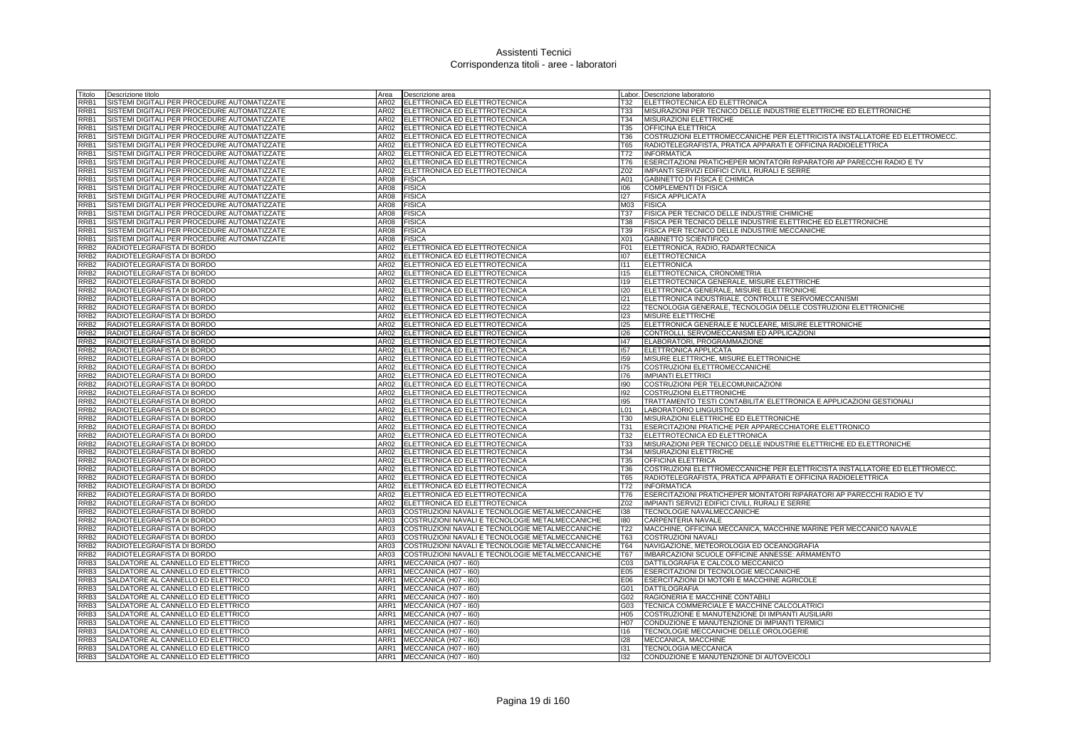| Titolo                               | Descrizione titolo                                       | Area             | Descrizione area                                                                                   |                 | Labor. Descrizione laboratorio                                              |
|--------------------------------------|----------------------------------------------------------|------------------|----------------------------------------------------------------------------------------------------|-----------------|-----------------------------------------------------------------------------|
| RRB1                                 | SISTEMI DIGITALI PER PROCEDURE AUTOMATIZZATE             | AR02             | ELETTRONICA ED ELETTROTECNICA                                                                      | T32             | ELETTROTECNICA ED ELETTRONICA                                               |
| RRB1                                 | SISTEMI DIGITALI PER PROCEDURE AUTOMATIZZATE             | AR02             | ELETTRONICA ED ELETTROTECNICA                                                                      | <b>T33</b>      | MISURAZIONI PER TECNICO DELLE INDUSTRIE ELETTRICHE ED ELETTRONICHE          |
| RRB1                                 | SISTEMI DIGITALI PER PROCEDURE AUTOMATIZZATE             |                  | AR02 ELETTRONICA ED ELETTROTECNICA                                                                 | T34             | MISURAZIONI ELETTRICHE                                                      |
| RRB1                                 | SISTEMI DIGITALI PER PROCEDURE AUTOMATIZZATE             | AR02             | ELETTRONICA ED ELETTROTECNICA                                                                      | <b>T35</b>      | <b>OFFICINA ELETTRICA</b>                                                   |
| RRB1                                 | SISTEMI DIGITALI PER PROCEDURE AUTOMATIZZATE             | AR02             | ELETTRONICA ED ELETTROTECNICA                                                                      | <b>T36</b>      | COSTRUZIONI ELETTROMECCANICHE PER ELETTRICISTA INSTALLATORE ED ELETTROMECC  |
| RRB1                                 | SISTEMI DIGITALI PER PROCEDURE AUTOMATIZZATE             | AR02             | ELETTRONICA ED ELETTROTECNICA                                                                      | <b>T65</b>      | RADIOTELEGRAFISTA, PRATICA APPARATI E OFFICINA RADIOELETTRICA               |
| RRB1                                 | SISTEMI DIGITALI PER PROCEDURE AUTOMATIZZATE             | AR02             | ELETTRONICA ED ELETTROTECNICA                                                                      | T72             | <b>INFORMATICA</b>                                                          |
| RRB1                                 | SISTEMI DIGITALI PER PROCEDURE AUTOMATIZZATE             | AR02             | ELETTRONICA ED ELETTROTECNICA                                                                      | T76             | ESERCITAZIONI PRATICHEPER MONTATORI RIPARATORI AP PARECCHI RADIO E TV       |
| RRB1                                 | SISTEMI DIGITALI PER PROCEDURE AUTOMATIZZATE             | AR02             | ELETTRONICA ED ELETTROTECNICA                                                                      | Z02             | IMPIANTI SERVIZI EDIFICI CIVILI, RURALI E SERRE                             |
| RRB1                                 | SISTEMI DIGITALI PER PROCEDURE AUTOMATIZZATE             | <b>AR08</b>      | <b>FISICA</b>                                                                                      | A01             | <b>GABINETTO DI FISICA E CHIMICA</b>                                        |
| RRB1                                 | SISTEMI DIGITALI PER PROCEDURE AUTOMATIZZATE             | AR08             | <b>FISICA</b>                                                                                      | 106             | <b>COMPLEMENTI DI FISICA</b>                                                |
| RRB1                                 | SISTEMI DIGITALI PER PROCEDURE AUTOMATIZZATE             | AR08             | <b>FISICA</b>                                                                                      | 127             | <b>FISICA APPLICATA</b>                                                     |
| RRB1                                 | SISTEMI DIGITALI PER PROCEDURE AUTOMATIZZATE             | AR08             | <b>FISICA</b>                                                                                      | M03             | <b>FISICA</b>                                                               |
| RRB1                                 | SISTEMI DIGITALI PER PROCEDURE AUTOMATIZZATE             | AR08             | <b>FISICA</b>                                                                                      | <b>T37</b>      | FISICA PER TECNICO DELLE INDUSTRIE CHIMICHE                                 |
| RRB1                                 | SISTEMI DIGITALI PER PROCEDURE AUTOMATIZZATE             | AR08             | <b>FISICA</b>                                                                                      | <b>T38</b>      | FISICA PER TECNICO DELLE INDUSTRIE ELETTRICHE ED ELETTRONICHE               |
| RRB1                                 | SISTEMI DIGITALI PER PROCEDURE AUTOMATIZZATE             | AR08             | <b>FISICA</b>                                                                                      | T39             | FISICA PER TECNICO DELLE INDUSTRIE MECCANICHE                               |
| RRB1                                 | SISTEMI DIGITALI PER PROCEDURE AUTOMATIZZATE             | AR08<br>AR02     | <b>FISICA</b>                                                                                      | X01<br>F01      | GABINETTO SCIENTIFICO                                                       |
| RRB <sub>2</sub><br>RRB <sub>2</sub> | RADIOTELEGRAFISTA DI BORDO<br>RADIOTELEGRAFISTA DI BORDO | AR02             | ELETTRONICA ED ELETTROTECNICA<br>ELETTRONICA ED ELETTROTECNICA                                     | 107             | ELETTRONICA, RADIO, RADARTECNICA                                            |
| RRB <sub>2</sub>                     | RADIOTELEGRAFISTA DI BORDO                               | AR02             | ELETTRONICA ED ELETTROTECNICA                                                                      | 1111            | <b>ELETTROTECNICA</b><br><b>ELETTRONICA</b>                                 |
| RRB <sub>2</sub>                     | RADIOTELEGRAFISTA DI BORDO                               | AR02             | ELETTRONICA ED ELETTROTECNICA                                                                      | 115             | ELETTROTECNICA, CRONOMETRIA                                                 |
| RRB <sub>2</sub>                     | RADIOTELEGRAFISTA DI BORDO                               | AR02             | ELETTRONICA ED ELETTROTECNICA                                                                      | 119             | ELETTROTECNICA GENERALE, MISURE ELETTRICHE                                  |
| RRB <sub>2</sub>                     | RADIOTELEGRAFISTA DI BORDO                               | AR02             | ELETTRONICA ED ELETTROTECNICA                                                                      | 120             | ELETTRONICA GENERALE, MISURE ELETTRONICHE                                   |
| RRB <sub>2</sub>                     | RADIOTELEGRAFISTA DI BORDO                               | AR02             | ELETTRONICA ED ELETTROTECNICA                                                                      | 121             | ELETTRONICA INDUSTRIALE, CONTROLLI E SERVOMECCANISMI                        |
| RRB <sub>2</sub>                     | RADIOTELEGRAFISTA DI BORDO                               | AR02             | ELETTRONICA ED ELETTROTECNICA                                                                      | 122             | TECNOLOGIA GENERALE, TECNOLOGIA DELLE COSTRUZIONI ELETTRONICHE              |
| RRB <sub>2</sub>                     | RADIOTELEGRAFISTA DI BORDO                               | AR02             | ELETTRONICA ED ELETTROTECNICA                                                                      | 123             | <b>MISURE ELETTRICHE</b>                                                    |
| RRB <sub>2</sub>                     | RADIOTELEGRAFISTA DI BORDO                               | AR02             | ELETTRONICA ED ELETTROTECNICA                                                                      | 125             | ELETTRONICA GENERALE E NUCLEARE, MISURE ELETTRONICHE                        |
| RRB <sub>2</sub>                     | RADIOTELEGRAFISTA DI BORDO                               | AR02             | ELETTRONICA ED ELETTROTECNICA                                                                      | 126             | CONTROLLI, SERVOMECCANISMI ED APPLICAZIONI                                  |
| RRB <sub>2</sub>                     | RADIOTELEGRAFISTA DI BORDO                               | AR02             | ELETTRONICA ED ELETTROTECNICA                                                                      | 47              | ELABORATORI, PROGRAMMAZIONE                                                 |
| RRB <sub>2</sub>                     | RADIOTELEGRAFISTA DI BORDO                               | AR02             | ELETTRONICA ED ELETTROTECNICA                                                                      | 157             | ELETTRONICA APPLICATA                                                       |
| RRB <sub>2</sub>                     | RADIOTELEGRAFISTA DI BORDO                               | AR02             | ELETTRONICA ED ELETTROTECNICA                                                                      | 159             | MISURE ELETTRICHE, MISURE ELETTRONICHE                                      |
| RRB <sub>2</sub>                     | RADIOTELEGRAFISTA DI BORDO                               | AR02             | ELETTRONICA ED ELETTROTECNICA                                                                      | 175             | COSTRUZIONI ELETTROMECCANICHE                                               |
| RRB <sub>2</sub>                     | RADIOTELEGRAFISTA DI BORDO                               | AR02             | ELETTRONICA ED ELETTROTECNICA                                                                      | 176             | <b>IMPIANTI ELETTRICI</b>                                                   |
| RRB <sub>2</sub>                     | RADIOTELEGRAFISTA DI BORDO                               | AR02             | ELETTRONICA ED ELETTROTECNICA                                                                      | 190             | COSTRUZIONI PER TELECOMUNICAZIONI                                           |
| RRB <sub>2</sub>                     | RADIOTELEGRAFISTA DI BORDO                               | AR02             | ELETTRONICA ED ELETTROTECNICA                                                                      | 192             | <b>COSTRUZIONI ELETTRONICHE</b>                                             |
| RRB <sub>2</sub>                     | RADIOTELEGRAFISTA DI BORDO                               | AR02             | ELETTRONICA ED ELETTROTECNICA                                                                      | 195             | TRATTAMENTO TESTI CONTABILITA' ELETTRONICA E APPLICAZIONI GESTIONALI        |
| RRB <sub>2</sub>                     | RADIOTELEGRAFISTA DI BORDO                               | AR02             | ELETTRONICA ED ELETTROTECNICA                                                                      | L <sub>01</sub> | LABORATORIO LINGUISTICO                                                     |
| RRB <sub>2</sub>                     | RADIOTELEGRAFISTA DI BORDO                               | AR02             | ELETTRONICA ED ELETTROTECNICA                                                                      | <b>T30</b>      | MISURAZIONI ELETTRICHE ED ELETTRONICHE                                      |
| RRB <sub>2</sub>                     | RADIOTELEGRAFISTA DI BORDO                               | AR02             | ELETTRONICA ED ELETTROTECNICA                                                                      | <b>T31</b>      | ESERCITAZIONI PRATICHE PER APPARECCHIATORE ELETTRONICO                      |
| RRB <sub>2</sub>                     | RADIOTELEGRAFISTA DI BORDO                               | AR02             | ELETTRONICA ED ELETTROTECNICA                                                                      | T32             | ELETTROTECNICA ED ELETTRONICA                                               |
| RRB <sub>2</sub>                     | RADIOTELEGRAFISTA DI BORDO                               | AR02             | ELETTRONICA ED ELETTROTECNICA                                                                      | T33             | MISURAZIONI PER TECNICO DELLE INDUSTRIE ELETTRICHE ED ELETTRONICHE          |
| RRB <sub>2</sub>                     | RADIOTELEGRAFISTA DI BORDO                               | <b>AR02</b>      | ELETTRONICA ED ELETTROTECNICA                                                                      | T34             | MISURAZIONI ELETTRICHE                                                      |
| RRB <sub>2</sub>                     | RADIOTELEGRAFISTA DI BORDO                               | AR <sub>02</sub> | ELETTRONICA ED ELETTROTECNICA                                                                      | <b>T35</b>      | <b>OFFICINA ELETTRICA</b>                                                   |
| RRB <sub>2</sub>                     | RADIOTELEGRAFISTA DI BORDO                               | AR02             | ELETTRONICA ED ELETTROTECNICA                                                                      | T36             | COSTRUZIONI ELETTROMECCANICHE PER ELETTRICISTA INSTALLATORE ED ELETTROMECC. |
| RRB <sub>2</sub>                     | RADIOTELEGRAFISTA DI BORDO                               | AR02             | ELETTRONICA ED ELETTROTECNICA                                                                      | T65             | RADIOTELEGRAFISTA, PRATICA APPARATI E OFFICINA RADIOELETTRICA               |
| RRB <sub>2</sub>                     | RADIOTELEGRAFISTA DI BORDO                               | AR02             | ELETTRONICA ED ELETTROTECNICA                                                                      | T72             | <b>INFORMATICA</b>                                                          |
| RRB <sub>2</sub>                     | RADIOTELEGRAFISTA DI BORDO                               | AR02             | ELETTRONICA ED ELETTROTECNICA                                                                      | T76             | ESERCITAZIONI PRATICHEPER MONTATORI RIPARATORI AP PARECCHI RADIO E TV       |
| RRB <sub>2</sub>                     | RADIOTELEGRAFISTA DI BORDO                               | AR02             | ELETTRONICA ED ELETTROTECNICA                                                                      | Z02             | IMPIANTI SERVIZI EDIFICI CIVILI, RURALI E SERRE                             |
| RRB <sub>2</sub>                     | RADIOTELEGRAFISTA DI BORDO<br>RADIOTELEGRAFISTA DI BORDO | AR03<br>AR03     | COSTRUZIONI NAVALI E TECNOLOGIE METALMECCANICHE<br>COSTRUZIONI NAVALI E TECNOLOGIE METALMECCANICHE | 138<br>180      | TECNOLOGIE NAVALMECCANICHE<br>CARPENTERIA NAVALE                            |
| RRB <sub>2</sub><br>RRB <sub>2</sub> | RADIOTELEGRAFISTA DI BORDO                               | AR03             | COSTRUZIONI NAVALI E TECNOLOGIE METALMECCANICHE                                                    | T22             | MACCHINE, OFFICINA MECCANICA, MACCHINE MARINE PER MECCANICO NAVALE          |
| RRB <sub>2</sub>                     | RADIOTELEGRAFISTA DI BORDO                               | AR03             | COSTRUZIONI NAVALI E TECNOLOGIE METALMECCANICHE                                                    | T63             | <b>COSTRUZIONI NAVALI</b>                                                   |
| RRB <sub>2</sub>                     | RADIOTELEGRAFISTA DI BORDO                               | AR03             | COSTRUZIONI NAVALI E TECNOLOGIE METALMECCANICHE                                                    | <b>T64</b>      | NAVIGAZIONE, METEOROLOGIA ED OCEANOGRAFIA                                   |
| RRB <sub>2</sub>                     | RADIOTELEGRAFISTA DI BORDO                               | AR03             | COSTRUZIONI NAVALI E TECNOLOGIE METALMECCANICHE                                                    | <b>T67</b>      | IMBARCAZIONI SCUOLE OFFICINE ANNESSE: ARMAMENTO                             |
| RRB3                                 | SALDATORE AL CANNELLO ED ELETTRICO                       | ARR1             | MECCANICA (H07 - I60)                                                                              | CO <sub>3</sub> | DATTILOGRAFIA E CALCOLO MECCANICO                                           |
| RRB3                                 | SALDATORE AL CANNELLO ED ELETTRICO                       | ARR1             | MECCANICA (H07 - I60)                                                                              | E05             | ESERCITAZIONI DI TECNOLOGIE MECCANICHE                                      |
| RRB3                                 | SALDATORE AL CANNELLO ED ELETTRICO                       | ARR1             | MECCANICA (H07 - I60)                                                                              | E06             | ESERCITAZIONI DI MOTORI E MACCHINE AGRICOLE                                 |
| RRB3                                 | SALDATORE AL CANNELLO ED ELETTRICO                       | ARR1             | MECCANICA (H07 - I60)                                                                              | G01             | <b>DATTILOGRAFIA</b>                                                        |
| RRB3                                 | SALDATORE AL CANNELLO ED ELETTRICO                       | ARR1             | MECCANICA (H07 - I60)                                                                              | G02             | RAGIONERIA E MACCHINE CONTABILI                                             |
| RRB3                                 | SALDATORE AL CANNELLO ED ELETTRICO                       | ARR1             | MECCANICA (H07 - I60)                                                                              | G03             | TECNICA COMMERCIALE E MACCHINE CALCOLATRICI                                 |
| RRB3                                 | SALDATORE AL CANNELLO ED ELETTRICO                       | ARR1             | MECCANICA (H07 - I60)                                                                              | H <sub>05</sub> | COSTRUZIONE E MANUTENZIONE DI IMPIANTI AUSILIARI                            |
| RRB3                                 | SALDATORE AL CANNELLO ED ELETTRICO                       | ARR1             | MECCANICA (H07 - I60)                                                                              | H07             | CONDUZIONE E MANUTENZIONE DI IMPIANTI TERMICI                               |
| RRB3                                 | SALDATORE AL CANNELLO ED ELETTRICO                       | ARR1             | MECCANICA (H07 - I60)                                                                              | 116             | TECNOLOGIE MECCANICHE DELLE OROLOGERIE                                      |
| RRB <sub>3</sub>                     | SALDATORE AL CANNELLO ED ELETTRICO                       |                  | ARR1 MECCANICA (H07 - 160)                                                                         | 128             | MECCANICA, MACCHINE                                                         |
| RRB3                                 | SALDATORE AL CANNELLO ED ELETTRICO                       |                  | ARR1 MECCANICA (H07 - 160)                                                                         | 131             | <b>TECNOLOGIA MECCANICA</b>                                                 |
| RRB3                                 | SALDATORE AL CANNELLO ED ELETTRICO                       |                  | ARR1 MECCANICA (H07 - 160)                                                                         | 132             | CONDUZIONE E MANUTENZIONE DI AUTOVEICOLI                                    |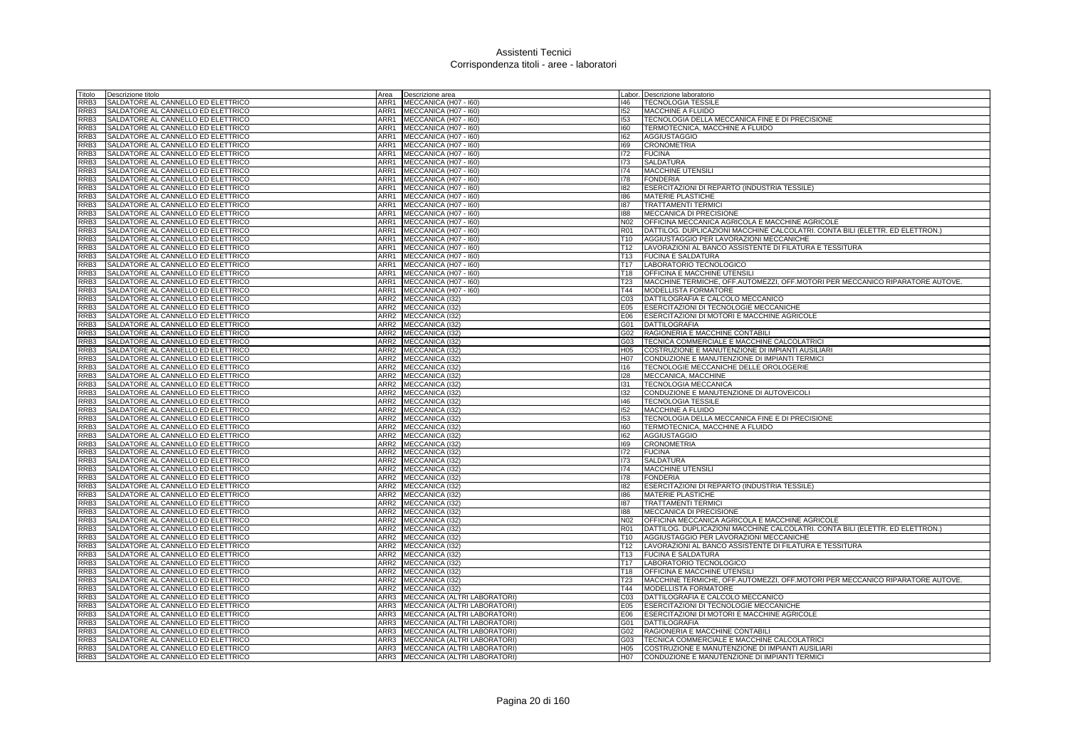| Titolo           | Descrizione titolo                 | Area             | Descrizione area                    |                 | Labor. Descrizione laboratorio                                                |
|------------------|------------------------------------|------------------|-------------------------------------|-----------------|-------------------------------------------------------------------------------|
| RRB3             | SALDATORE AL CANNELLO ED ELETTRICO | ARR1             | MECCANICA (H07 - I60)               | 146             | <b>TECNOLOGIA TESSILE</b>                                                     |
| RRB3             | SALDATORE AL CANNELLO ED ELETTRICO | ARR1             | MECCANICA (H07 - I60)               | 152             | MACCHINE A FLUIDO                                                             |
| RRB3             | SALDATORE AL CANNELLO ED ELETTRICO | ARR1             | MECCANICA (H07 - I60)               | 153             | TECNOLOGIA DELLA MECCANICA FINE E DI PRECISIONE                               |
| RB3              | SALDATORE AL CANNELLO ED ELETTRICO | ARR1             | MECCANICA (H07 - I60)               | 160             | TERMOTECNICA, MACCHINE A FLUIDO                                               |
| RRB3             | SALDATORE AL CANNELLO ED ELETTRICO | ARR1             | MECCANICA (H07 - I60)               | 162             | <b>AGGIUSTAGGIO</b>                                                           |
| RRB3             | SALDATORE AL CANNELLO ED ELETTRICO | ARR1             | MECCANICA (H07 - I60)               | 169             | <b>CRONOMETRIA</b>                                                            |
| RRB3             | SALDATORE AL CANNELLO ED ELETTRICO | ARR1             | MECCANICA (H07 - I60)               | 172             | <b>FUCINA</b>                                                                 |
| RRB3             | SALDATORE AL CANNELLO ED ELETTRICO | ARR1             | MECCANICA (H07 - I60)               | 173             | <b>SALDATURA</b>                                                              |
|                  |                                    |                  |                                     |                 |                                                                               |
| RRB3             | SALDATORE AL CANNELLO ED ELETTRICO | ARR1             | MECCANICA (H07 - I60)               | 174             | MACCHINE UTENSIL                                                              |
| RRB3             | SALDATORE AL CANNELLO ED ELETTRICO | ARR1             | MECCANICA (H07 - I60)               | 178             | <b>FONDERIA</b>                                                               |
| RRB3             | SALDATORE AL CANNELLO ED ELETTRICO | ARR1             | MECCANICA (H07 - I60)               | 182             | ESERCITAZIONI DI REPARTO (INDUSTRIA TESSILE)                                  |
| RRB3             | SALDATORE AL CANNELLO ED ELETTRICO | ARR1             | MECCANICA (H07 - I60)               | 186             | <b>MATERIE PLASTICHE</b>                                                      |
| RB3              | SALDATORE AL CANNELLO ED ELETTRICO | ARR1             | MECCANICA (H07 - I60)               | 187             | <b>TRATTAMENTI TERMICI</b>                                                    |
| RRB3             | SALDATORE AL CANNELLO ED ELETTRICO | ARR1             | MECCANICA (H07 - I60)               | 188             | <b>MECCANICA DI PRECISIONE</b>                                                |
| RRB3             | SALDATORE AL CANNELLO ED ELETTRICO | ARR1             | MECCANICA (H07 - I60)               | N02             | OFFICINA MECCANICA AGRICOLA E MACCHINE AGRICOLE                               |
| RRB3             | SALDATORE AL CANNELLO ED ELETTRICO | ARR1             | MECCANICA (H07 - I60)               | <b>R01</b>      | DATTILOG. DUPLICAZIONI MACCHINE CALCOLATRI. CONTA BILI (ELETTR. ED ELETTRON.) |
| RB3              | SALDATORE AL CANNELLO ED ELETTRICO | ARR1             | MECCANICA (H07 - I60)               | T <sub>10</sub> | AGGIUSTAGGIO PER LAVORAZIONI MECCANICHE                                       |
| RRB3             | SALDATORE AL CANNELLO ED ELETTRICO | ARR1             | MECCANICA (H07 - 160)               | T12             | LAVORAZIONI AL BANCO ASSISTENTE DI FILATURA E TESSITURA                       |
| RRB3             | SALDATORE AL CANNELLO ED ELETTRICO | ARR1             | MECCANICA (H07 - 160)               | T <sub>13</sub> | <b>FUCINA E SALDATURA</b>                                                     |
| RRB3             | SALDATORE AL CANNELLO ED ELETTRICO | ARR1             | MECCANICA (H07 - I60)               | T <sub>17</sub> | LABORATORIO TECNOLOGICO                                                       |
| RRB3             | SALDATORE AL CANNELLO ED ELETTRICO | ARR1             | MECCANICA (H07 - I60)               | T18             | OFFICINA E MACCHINE UTENSILI                                                  |
| RB3              | SALDATORE AL CANNELLO ED ELETTRICO | ARR1             | MECCANICA (H07 - I60)               | T <sub>23</sub> | MACCHINE TERMICHE, OFF.AUTOMEZZI, OFF.MOTORI PER MECCANICO RIPARATORE AUTOVE. |
| RRB3             | SALDATORE AL CANNELLO ED ELETTRICO | ARR1             | MECCANICA (H07 - I60)               | T44             | <b>MODELLISTA FORMATORE</b>                                                   |
| RRB3             | SALDATORE AL CANNELLO ED ELETTRICO | ARR <sub>2</sub> | MECCANICA (132)                     | C <sub>03</sub> | DATTILOGRAFIA E CALCOLO MECCANICO                                             |
| RRB3             | SALDATORE AL CANNELLO ED ELETTRICO | ARR <sub>2</sub> | MECCANICA (132)                     | E05             | ESERCITAZIONI DI TECNOLOGIE MECCANICHE                                        |
| RB3              | SALDATORE AL CANNELLO ED ELETTRICO | ARR <sub>2</sub> | MECCANICA (132)                     | E06             | ESERCITAZIONI DI MOTORI E MACCHINE AGRICOLE                                   |
|                  |                                    |                  |                                     |                 |                                                                               |
| RRB3             | SALDATORE AL CANNELLO ED ELETTRICO | ARR2             | MECCANICA (I32)                     | G01             | <b>DATTILOGRAFIA</b>                                                          |
| RRB3             | SALDATORE AL CANNELLO ED ELETTRICO | ARR2             | MECCANICA (I32)                     | G02             | RAGIONERIA E MACCHINE CONTABILI                                               |
| RRB3             | SALDATORE AL CANNELLO ED ELETTRICO | ARR2             | MECCANICA (I32)                     | G03             | TECNICA COMMERCIALE E MACCHINE CALCOLATRICI                                   |
| RB3              | SALDATORE AL CANNELLO ED ELETTRICO | ARR2             | MECCANICA (132)                     | H05             | COSTRUZIONE E MANUTENZIONE DI IMPIANTI AUSILIARI                              |
| RRB3             | SALDATORE AL CANNELLO ED ELETTRICO | ARR <sub>2</sub> | MECCANICA (132)                     | H07             | CONDUZIONE E MANUTENZIONE DI IMPIANTI TERMICI                                 |
| RRB3             | SALDATORE AL CANNELLO ED ELETTRICO | ARR <sub>2</sub> | MECCANICA (132)                     | 116             | TECNOLOGIE MECCANICHE DELLE OROLOGERIE                                        |
| RRB3             | SALDATORE AL CANNELLO ED ELETTRICO | ARR2             | MECCANICA (I32)                     | 128             | MECCANICA, MACCHINE                                                           |
| RRB3             | SALDATORE AL CANNELLO ED ELETTRICO | ARR <sub>2</sub> | MECCANICA (132)                     | 131             | TECNOLOGIA MECCANICA                                                          |
| RRB3             | SALDATORE AL CANNELLO ED ELETTRICO | ARR <sub>2</sub> | MECCANICA (I32)                     | 132             | CONDUZIONE E MANUTENZIONE DI AUTOVEICOLI                                      |
| RRB3             | SALDATORE AL CANNELLO ED ELETTRICO | ARR <sub>2</sub> | MECCANICA (I32)                     | 146             | <b>TECNOLOGIA TESSILE</b>                                                     |
| RRB3             | SALDATORE AL CANNELLO ED ELETTRICO | ARR <sub>2</sub> | <b>MECCANICA (I32)</b>              | 152             | MACCHINE A FLUIDO                                                             |
| RRB3             | SALDATORE AL CANNELLO ED ELETTRICO | ARR <sub>2</sub> | MECCANICA (I32)                     | 153             | TECNOLOGIA DELLA MECCANICA FINE E DI PRECISIONE                               |
| RRB3             | SALDATORE AL CANNELLO ED ELETTRICO | ARR <sub>2</sub> | MECCANICA (I32)                     | 160             | TERMOTECNICA, MACCHINE A FLUIDO                                               |
| RRB3             | SALDATORE AL CANNELLO ED ELETTRICO | ARR2             | MECCANICA (I32)                     | 162             | <b>AGGIUSTAGGIO</b>                                                           |
| RRB3             | SALDATORE AL CANNELLO ED ELETTRICO | ARR2             | MECCANICA (I32)                     | 169             | CRONOMETRIA                                                                   |
| RRB3             | SALDATORE AL CANNELLO ED ELETTRICO | ARR2             | MECCANICA (I32)                     | 172             | <b>FUCINA</b>                                                                 |
| RRB3             | SALDATORE AL CANNELLO ED ELETTRICO | ARR <sub>2</sub> | MECCANICA (I32)                     | 173             | <b>SALDATURA</b>                                                              |
| RRB3             | SALDATORE AL CANNELLO ED ELETTRICO | ARR <sub>2</sub> | MECCANICA (I32)                     | 174             | <b>MACCHINE UTENSILI</b>                                                      |
| RRB3             | SALDATORE AL CANNELLO ED ELETTRICO | ARR <sub>2</sub> | MECCANICA (I32)                     | 178             | <b>FONDERIA</b>                                                               |
| RRB3             | SALDATORE AL CANNELLO ED ELETTRICO | ARR <sub>2</sub> | MECCANICA (132)                     | 182             | ESERCITAZIONI DI REPARTO (INDUSTRIA TESSILE)                                  |
| RRB3             | SALDATORE AL CANNELLO ED ELETTRICO | ARR <sub>2</sub> | MECCANICA (I32)                     | 186             | <b>MATERIE PLASTICHE</b>                                                      |
| RRB3             | SALDATORE AL CANNELLO ED ELETTRICO | ARR <sub>2</sub> | MECCANICA (I32)                     | 187             | <b>TRATTAMENTI TERMICI</b>                                                    |
| RRB3             | SALDATORE AL CANNELLO ED ELETTRICO | ARR <sub>2</sub> | MECCANICA (I32)                     | 188             | MECCANICA DI PRECISIONE                                                       |
| RRB3             | SALDATORE AL CANNELLO ED ELETTRICO | ARR <sub>2</sub> | MECCANICA (I32)                     | <b>N02</b>      | OFFICINA MECCANICA AGRICOLA E MACCHINE AGRICOLE                               |
| RRB3             | SALDATORE AL CANNELLO ED ELETTRICO | ARR <sub>2</sub> | MECCANICA (132)                     | <b>R01</b>      | DATTILOG. DUPLICAZIONI MACCHINE CALCOLATRI. CONTA BILI (ELETTR. ED ELETTRON.) |
|                  |                                    |                  |                                     |                 |                                                                               |
| RRB3             | SALDATORE AL CANNELLO ED ELETTRICO | ARR <sub>2</sub> | MECCANICA (132)                     | T <sub>10</sub> | AGGIUSTAGGIO PER LAVORAZIONI MECCANICHE                                       |
| RRB3             | SALDATORE AL CANNELLO ED ELETTRICO | ARR2             | MECCANICA (I32)                     | T12             | LAVORAZIONI AL BANCO ASSISTENTE DI FILATURA E TESSITURA                       |
| RRB3             | SALDATORE AL CANNELLO ED ELETTRICO | ARR <sub>2</sub> | MECCANICA (I32)                     | <b>T13</b>      | <b>FUCINA E SALDATURA</b>                                                     |
| RRB3             | SALDATORE AL CANNELLO ED ELETTRICO | ARR2             | MECCANICA (132)                     | T17             | LABORATORIO TECNOLOGICO                                                       |
| RRB3             | SALDATORE AL CANNELLO ED ELETTRICO | ARR <sub>2</sub> | MECCANICA (I32)                     | T18             | OFFICINA E MACCHINE UTENSILI                                                  |
| RRB3             | SALDATORE AL CANNELLO ED ELETTRICO | ARR <sub>2</sub> | MECCANICA (132)                     | <b>T23</b>      | MACCHINE TERMICHE, OFF.AUTOMEZZI, OFF.MOTORI PER MECCANICO RIPARATORE AUTOVE. |
| RRB3             | SALDATORE AL CANNELLO ED ELETTRICO | ARR <sub>2</sub> | MECCANICA (I32)                     | T44             | MODELLISTA FORMATORE                                                          |
| RRB3             | SALDATORE AL CANNELLO ED ELETTRICO | ARR3             | MECCANICA (ALTRI LABORATORI)        | C <sub>03</sub> | DATTILOGRAFIA E CALCOLO MECCANICO                                             |
| RRB3             | SALDATORE AL CANNELLO ED ELETTRICO | ARR3             | MECCANICA (ALTRI LABORATORI)        | E05             | ESERCITAZIONI DI TECNOLOGIE MECCANICHE                                        |
| RRB3             | SALDATORE AL CANNELLO ED ELETTRICO | ARR3             | MECCANICA (ALTRI LABORATORI)        | E06             | ESERCITAZIONI DI MOTORI E MACCHINE AGRICOLE                                   |
| RRB3             | SALDATORE AL CANNELLO ED ELETTRICO | ARR3             | MECCANICA (ALTRI LABORATORI)        | G01             | DATTILOGRAFIA                                                                 |
| RRB3             | SALDATORE AL CANNELLO ED ELETTRICO | ARR3             | MECCANICA (ALTRI LABORATORI)        | G02             | RAGIONERIA E MACCHINE CONTABILI                                               |
| RRB3             | SALDATORE AL CANNELLO ED ELETTRICO | ARR3             | <b>MECCANICA (ALTRI LABORATORI)</b> | G03             | TECNICA COMMERCIALE E MACCHINE CALCOLATRICI                                   |
| RRB3             | SALDATORE AL CANNELLO ED ELETTRICO |                  | ARR3   MECCANICA (ALTRI LABORATORI) | H <sub>05</sub> | COSTRUZIONE E MANUTENZIONE DI IMPIANTI AUSILIARI                              |
| RRB <sub>3</sub> | SALDATORE AL CANNELLO ED ELETTRICO |                  | ARR3 MECCANICA (ALTRI LABORATORI)   | H07             | CONDUZIONE E MANUTENZIONE DI IMPIANTI TERMICI                                 |
|                  |                                    |                  |                                     |                 |                                                                               |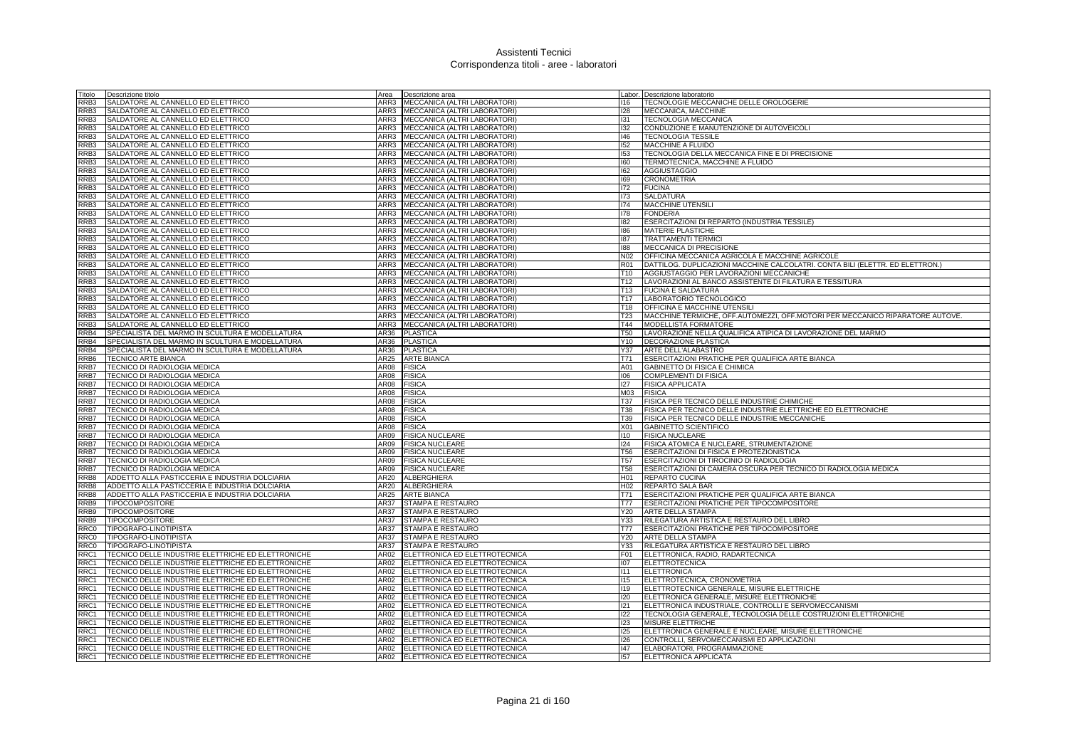| Titolo           | Descrizione titolo                                                                                       | Area        | Descrizione area                                                         |                 | Labor. Descrizione laboratorio                                                |
|------------------|----------------------------------------------------------------------------------------------------------|-------------|--------------------------------------------------------------------------|-----------------|-------------------------------------------------------------------------------|
| RRB3             | SALDATORE AL CANNELLO ED ELETTRICO                                                                       |             | ARR3 MECCANICA (ALTRI LABORATORI)                                        | 116             | TECNOLOGIE MECCANICHE DELLE OROLOGERIE                                        |
| RRB3             | SALDATORE AL CANNELLO ED ELETTRICO                                                                       | ARR3        | MECCANICA (ALTRI LABORATORI)                                             | 128             | MECCANICA, MACCHINE                                                           |
| RRB3             | SALDATORE AL CANNELLO ED ELETTRICO                                                                       |             | ARR3 MECCANICA (ALTRI LABORATORI)                                        | 131             | <b>TECNOLOGIA MECCANICA</b>                                                   |
| RRB3             | SALDATORE AL CANNELLO ED ELETTRICO                                                                       |             | ARR3 MECCANICA (ALTRI LABORATORI)                                        | 132             | CONDUZIONE E MANUTENZIONE DI AUTOVEICOLI                                      |
| RRB3             | SALDATORE AL CANNELLO ED ELETTRICO                                                                       |             | ARR3 MECCANICA (ALTRI LABORATORI)                                        | 146             | <b>TECNOLOGIA TESSILE</b>                                                     |
| RRB3             | SALDATORE AL CANNELLO ED ELETTRICO                                                                       | ARR3        | MECCANICA (ALTRI LABORATORI)                                             | 152             | MACCHINE A FLUIDO                                                             |
| RRB3             | SALDATORE AL CANNELLO ED ELETTRICO                                                                       | ARR3        | MECCANICA (ALTRI LABORATORI)                                             | 153             | TECNOLOGIA DELLA MECCANICA FINE E DI PRECISIONE                               |
| RRB3             | SALDATORE AL CANNELLO ED ELETTRICO                                                                       | ARR3        | MECCANICA (ALTRI LABORATORI)                                             | 160             | TERMOTECNICA, MACCHINE A FLUIDO                                               |
| RRB3             | SALDATORE AL CANNELLO ED ELETTRICO                                                                       | ARR3        | MECCANICA (ALTRI LABORATORI)                                             | 162             | <b>AGGIUSTAGGIO</b>                                                           |
| RRB <sub>3</sub> | SALDATORE AL CANNELLO ED ELETTRICO                                                                       | ARR3        | MECCANICA (ALTRI LABORATORI)                                             | 169             | <b>CRONOMETRIA</b>                                                            |
| RRB3             | SALDATORE AL CANNELLO ED ELETTRICO                                                                       | ARR3        | MECCANICA (ALTRI LABORATORI)                                             | 172             | <b>FUCINA</b>                                                                 |
| RRB3             | SALDATORE AL CANNELLO ED ELETTRICO                                                                       |             | ARR3 MECCANICA (ALTRI LABORATORI)                                        | 173             | <b>SALDATURA</b>                                                              |
| RRB3             | SALDATORE AL CANNELLO ED ELETTRICO                                                                       |             | ARR3 MECCANICA (ALTRI LABORATORI)                                        | 174             | MACCHINE UTENSILI                                                             |
| RRB3             | SALDATORE AL CANNELLO ED ELETTRICO                                                                       | ARR3        | MECCANICA (ALTRI LABORATORI)                                             | 178             | <b>FONDERIA</b>                                                               |
| RRB3             | SALDATORE AL CANNELLO ED ELETTRICO                                                                       | ARR3        | MECCANICA (ALTRI LABORATORI)                                             | 182             | ESERCITAZIONI DI REPARTO (INDUSTRIA TESSILE)                                  |
| RRB3             | SALDATORE AL CANNELLO ED ELETTRICO                                                                       | ARR3        | MECCANICA (ALTRI LABORATORI)                                             | 186             | <b>MATERIE PLASTICHE</b>                                                      |
| RRB3             | SALDATORE AL CANNELLO ED ELETTRICO                                                                       | ARR3        | MECCANICA (ALTRI LABORATORI)                                             | 187             | <b>TRATTAMENTI TERMICI</b>                                                    |
| RRB3             | SALDATORE AL CANNELLO ED ELETTRICO                                                                       | ARR3        | MECCANICA (ALTRI LABORATORI)                                             | 188             | MECCANICA DI PRECISIONE                                                       |
| RRB3             | SALDATORE AL CANNELLO ED ELETTRICO                                                                       | ARR3        | MECCANICA (ALTRI LABORATORI)                                             | N <sub>02</sub> | OFFICINA MECCANICA AGRICOLA E MACCHINE AGRICOLE                               |
| RRB3             | SALDATORE AL CANNELLO ED ELETTRICO                                                                       | ARR3        | MECCANICA (ALTRI LABORATORI)                                             | <b>R01</b>      | DATTILOG. DUPLICAZIONI MACCHINE CALCOLATRI. CONTA BILI (ELETTR. ED ELETTRON.) |
| RRB <sub>3</sub> | SALDATORE AL CANNELLO ED ELETTRICO                                                                       |             | ARR3   MECCANICA (ALTRI LABORATORI)                                      | T10.            | AGGIUSTAGGIO PER LAVORAZIONI MECCANICHE                                       |
| RRB3             | SALDATORE AL CANNELLO ED ELETTRICO                                                                       | ARR3        | MECCANICA (ALTRI LABORATORI)                                             | T12             | LAVORAZIONI AL BANCO ASSISTENTE DI FILATURA E TESSITURA                       |
| RRB3             | SALDATORE AL CANNELLO ED ELETTRICO                                                                       | ARR3        | MECCANICA (ALTRI LABORATORI)                                             | T13             | <b>FUCINA E SALDATURA</b>                                                     |
| RRB3             | SALDATORE AL CANNELLO ED ELETTRICO                                                                       | ARR3        | MECCANICA (ALTRI LABORATORI)                                             | T17             | LABORATORIO TECNOLOGICO                                                       |
| RRB3             | SALDATORE AL CANNELLO ED ELETTRICO                                                                       | ARR3        | MECCANICA (ALTRI LABORATORI)                                             | T18             | OFFICINA E MACCHINE UTENSILI                                                  |
| RRB3             | SALDATORE AL CANNELLO ED ELETTRICO                                                                       | ARR3        | MECCANICA (ALTRI LABORATORI)                                             | <b>T23</b>      | MACCHINE TERMICHE, OFF.AUTOMEZZI, OFF.MOTORI PER MECCANICO RIPARATORE AUTOVE. |
| RRB3             | SALDATORE AL CANNELLO ED ELETTRICO                                                                       | ARR3        | MECCANICA (ALTRI LABORATORI)                                             | T44             | MODELLISTA FORMATORE                                                          |
| RRB4             | SPECIALISTA DEL MARMO IN SCULTURA E MODELLATURA                                                          | AR36        | <b>PLASTICA</b>                                                          | T50             | LAVORAZIONE NELLA QUALIFICA ATIPICA DI LAVORAZIONE DEL MARMO                  |
| RRB4             | SPECIALISTA DEL MARMO IN SCULTURA E MODELLATURA                                                          | AR36        | <b>PLASTICA</b>                                                          | Y10             | DECORAZIONE PLASTICA                                                          |
| RRB4             | SPECIALISTA DEL MARMO IN SCULTURA E MODELLATURA                                                          | AR36        | <b>PLASTICA</b>                                                          | Y37             | ARTE DELL'ALABASTRO                                                           |
| RRB <sub>6</sub> | TECNICO ARTE BIANCA                                                                                      | AR25        | <b>ARTE BIANCA</b>                                                       | T71             | ESERCITAZIONI PRATICHE PER QUALIFICA ARTE BIANCA                              |
| RRB7             | TECNICO DI RADIOLOGIA MEDICA                                                                             | <b>AR08</b> | <b>FISICA</b>                                                            | A01             | GABINETTO DI FISICA E CHIMICA                                                 |
| RRB7             | TECNICO DI RADIOLOGIA MEDICA                                                                             | AR08        | <b>FISICA</b>                                                            | 106             | <b>COMPLEMENTI DI FISICA</b>                                                  |
| RRB7             | TECNICO DI RADIOLOGIA MEDICA                                                                             | AR08        | <b>FISICA</b>                                                            | 127             | <b>FISICA APPLICATA</b>                                                       |
| RRB7             | TECNICO DI RADIOLOGIA MEDICA                                                                             | AR08        | <b>FISICA</b>                                                            | M03             | <b>FISICA</b>                                                                 |
| RRB7             | TECNICO DI RADIOLOGIA MEDICA                                                                             | AR08        | <b>FISICA</b>                                                            | <b>T37</b>      | FISICA PER TECNICO DELLE INDUSTRIE CHIMICHE                                   |
| RRB7             | TECNICO DI RADIOLOGIA MEDICA                                                                             | AR08        | <b>FISICA</b>                                                            | <b>T38</b>      | FISICA PER TECNICO DELLE INDUSTRIE ELETTRICHE ED ELETTRONICHE                 |
| RRB7             | TECNICO DI RADIOLOGIA MEDICA                                                                             | AR08        | <b>FISICA</b>                                                            | T39             | FISICA PER TECNICO DELLE INDUSTRIE MECCANICHE                                 |
| RRB7             | TECNICO DI RADIOLOGIA MEDICA                                                                             | AR08        | <b>FISICA</b>                                                            | X01             | GABINETTO SCIENTIFICO                                                         |
| RRB7             | TECNICO DI RADIOLOGIA MEDICA                                                                             | AR09        | <b>FISICA NUCLEARE</b>                                                   | 110             | <b>FISICA NUCLEARE</b>                                                        |
| RRB7             | TECNICO DI RADIOLOGIA MEDICA                                                                             | AR09        | <b>FISICA NUCLEARE</b>                                                   | 124             | FISICA ATOMICA E NUCLEARE, STRUMENTAZIONE                                     |
| RRB7             | TECNICO DI RADIOLOGIA MEDICA                                                                             | AR09        | <b>FISICA NUCLEARE</b>                                                   | <b>T56</b>      | ESERCITAZIONI DI FISICA E PROTEZIONISTICA                                     |
| RRB7             | TECNICO DI RADIOLOGIA MEDICA                                                                             | AR09        | <b>FISICA NUCLEARE</b>                                                   | T <sub>57</sub> | ESERCITAZIONI DI TIROCINIO DI RADIOLOGIA                                      |
| RRB7             | TECNICO DI RADIOLOGIA MEDICA                                                                             | AR09        | <b>FISICA NUCLEARE</b>                                                   | <b>T58</b>      | ESERCITAZIONI DI CAMERA OSCURA PER TECNICO DI RADIOLOGIA MEDICA               |
| RRB8             | ADDETTO ALLA PASTICCERIA E INDUSTRIA DOLCIARIA                                                           | AR20        | ALBERGHIERA                                                              | H <sub>01</sub> | REPARTO CUCINA                                                                |
| RRB8             | ADDETTO ALLA PASTICCERIA E INDUSTRIA DOLCIARIA                                                           | AR20        | ALBERGHIERA                                                              | H <sub>02</sub> | <b>REPARTO SALA BAR</b>                                                       |
| RRB8             | ADDETTO ALLA PASTICCERIA E INDUSTRIA DOLCIARIA                                                           | AR25        | <b>ARTE BIANCA</b>                                                       | T71             | ESERCITAZIONI PRATICHE PER QUALIFICA ARTE BIANCA                              |
| RRB9             | <b>TIPOCOMPOSITORE</b>                                                                                   | AR37        | <b>STAMPA E RESTAURO</b>                                                 | T77             | ESERCITAZIONI PRATICHE PER TIPOCOMPOSITORE                                    |
| RRB9             | TIPOCOMPOSITORE                                                                                          | AR37        | STAMPA E RESTAURO                                                        | Y20             | ARTE DELLA STAMPA                                                             |
| RRB9             | TIPOCOMPOSITORE                                                                                          | AR37        | STAMPA E RESTAURO                                                        | Y33             | RILEGATURA ARTISTICA E RESTAURO DEL LIBRO                                     |
| RRC0             | TIPOGRAFO-LINOTIPISTA                                                                                    | AR37        | STAMPA E RESTAURO                                                        | T77             | ESERCITAZIONI PRATICHE PER TIPOCOMPOSITORE                                    |
| RRC0             | TIPOGRAFO-LINOTIPISTA                                                                                    | AR37        | STAMPA E RESTAURO                                                        | Y20             | ARTE DELLA STAMPA                                                             |
| RRC0             | TIPOGRAFO-LINOTIPISTA                                                                                    | AR37        | STAMPA E RESTAURO                                                        | Y33             | RILEGATURA ARTISTICA E RESTAURO DEL LIBRO                                     |
| RRC1             | TECNICO DELLE INDUSTRIE ELETTRICHE ED ELETTRONICHE                                                       | AR02        | ELETTRONICA ED ELETTROTECNICA                                            | F <sub>01</sub> | ELETTRONICA, RADIO, RADARTECNICA                                              |
| RRC1             | TECNICO DELLE INDUSTRIE ELETTRICHE ED ELETTRONICHE                                                       |             | AR02 ELETTRONICA ED ELETTROTECNICA                                       | 107             | <b>ELETTROTECNICA</b>                                                         |
| RRC1             | TECNICO DELLE INDUSTRIE ELETTRICHE ED ELETTRONICHE                                                       |             | AR02 ELETTRONICA ED ELETTROTECNICA                                       | 111             | <b>ELETTRONICA</b>                                                            |
| RRC1             | TECNICO DELLE INDUSTRIE ELETTRICHE ED ELETTRONICHE                                                       | AR02        | ELETTRONICA ED ELETTROTECNICA                                            | 115             | ELETTROTECNICA, CRONOMETRIA                                                   |
| RRC1             | TECNICO DELLE INDUSTRIE ELETTRICHE ED ELETTRONICHE                                                       | AR02        | ELETTRONICA ED ELETTROTECNICA                                            | <b>I19</b>      | ELETTROTECNICA GENERALE, MISURE ELETTRICHE                                    |
| RRC1             | TECNICO DELLE INDUSTRIE ELETTRICHE ED ELETTRONICHE                                                       |             | AR02 ELETTRONICA ED ELETTROTECNICA                                       | 120             | ELETTRONICA GENERALE, MISURE ELETTRONICHE                                     |
| RRC1             | TECNICO DELLE INDUSTRIE ELETTRICHE ED ELETTRONICHE                                                       |             | AR02 ELETTRONICA ED ELETTROTECNICA                                       | 121             | ELETTRONICA INDUSTRIALE, CONTROLLI E SERVOMECCANISMI                          |
| RRC1             | TECNICO DELLE INDUSTRIE ELETTRICHE ED ELETTRONICHE                                                       |             | AR02 ELETTRONICA ED ELETTROTECNICA                                       | 122             | TECNOLOGIA GENERALE, TECNOLOGIA DELLE COSTRUZIONI ELETTRONICHE                |
| RRC1             | TECNICO DELLE INDUSTRIE ELETTRICHE ED ELETTRONICHE                                                       | AR02        | ELETTRONICA ED ELETTROTECNICA                                            | 123             | MISURE ELETTRICHE                                                             |
| RRC1             | TECNICO DELLE INDUSTRIE ELETTRICHE ED ELETTRONICHE                                                       |             | AR02 ELETTRONICA ED ELETTROTECNICA                                       | 125             | ELETTRONICA GENERALE E NUCLEARE, MISURE ELETTRONICHE                          |
| RRC1<br>RRC1     | TECNICO DELLE INDUSTRIE ELETTRICHE ED ELETTRONICHE<br>TECNICO DELLE INDUSTRIE ELETTRICHE ED ELETTRONICHE |             | AR02 ELETTRONICA ED ELETTROTECNICA<br>AR02 ELETTRONICA ED ELETTROTECNICA | 126<br>147      | CONTROLLI, SERVOMECCANISMI ED APPLICAZIONI<br>ELABORATORI, PROGRAMMAZIONE     |
| RRC1             |                                                                                                          |             | AR02 ELETTRONICA ED ELETTROTECNICA                                       | 157             | <b>ELETTRONICA APPLICATA</b>                                                  |
|                  | TECNICO DELLE INDUSTRIE ELETTRICHE ED ELETTRONICHE                                                       |             |                                                                          |                 |                                                                               |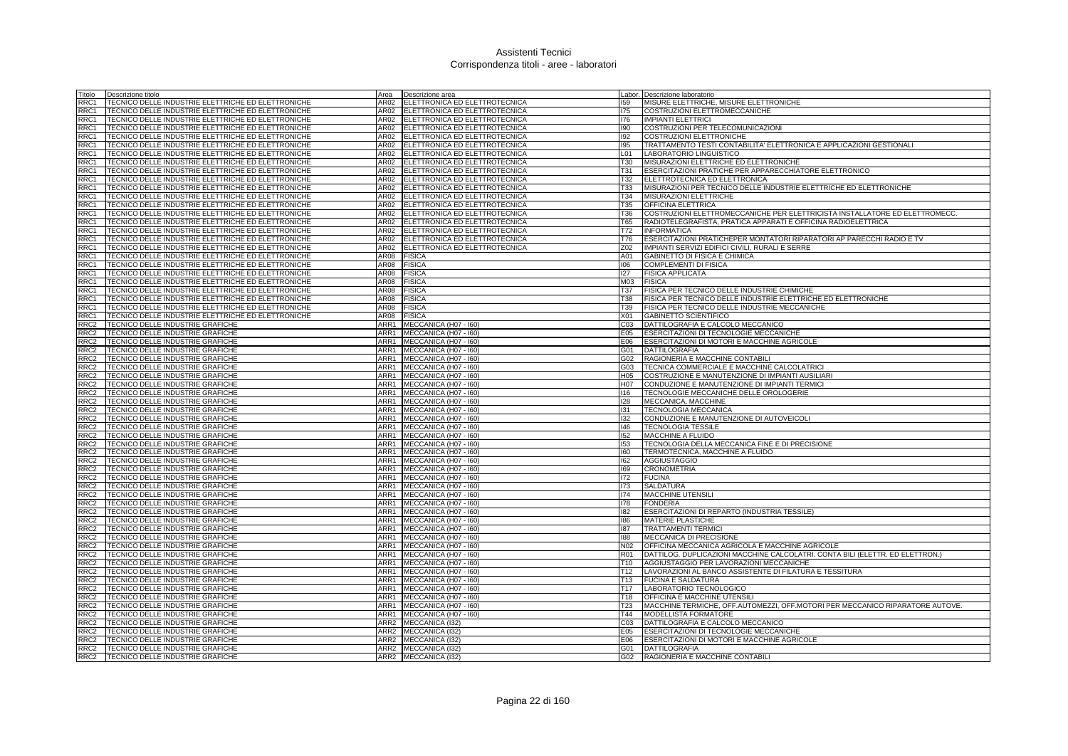| Titolo                               | Descrizione titolo                                                                                       | Area         | Descrizione area                             | Labor.                 | Descrizione laboratorio                                                       |
|--------------------------------------|----------------------------------------------------------------------------------------------------------|--------------|----------------------------------------------|------------------------|-------------------------------------------------------------------------------|
| RRC1                                 | TECNICO DELLE INDUSTRIE ELETTRICHE ED ELETTRONICHE                                                       | AR02         | ELETTRONICA ED ELETTROTECNICA                | 159                    | MISURE ELETTRICHE, MISURE ELETTRONICHE                                        |
| RRC1                                 | TECNICO DELLE INDUSTRIE ELETTRICHE ED ELETTRONICHE                                                       |              | AR02 ELETTRONICA ED ELETTROTECNICA           | 175                    | COSTRUZIONI ELETTROMECCANICHE                                                 |
| RRC1                                 | TECNICO DELLE INDUSTRIE ELETTRICHE ED ELETTRONICHE                                                       |              | AR02 ELETTRONICA ED ELETTROTECNICA           | 176                    | <b>IMPIANTI ELETTRICI</b>                                                     |
| RRC1                                 | TECNICO DELLE INDUSTRIE ELETTRICHE ED ELETTRONICHE                                                       |              | AR02 ELETTRONICA ED ELETTROTECNICA           | 190                    | COSTRUZIONI PER TELECOMUNICAZIONI                                             |
| RRC1                                 | TECNICO DELLE INDUSTRIE ELETTRICHE ED ELETTRONICHE                                                       | AR02         | ELETTRONICA ED ELETTROTECNICA                | 192                    | COSTRUZIONI ELETTRONICHE                                                      |
| RRC1                                 | TECNICO DELLE INDUSTRIE ELETTRICHE ED ELETTRONICHE                                                       | AR02         | ELETTRONICA ED ELETTROTECNICA                | 195                    | TRATTAMENTO TESTI CONTABILITA' ELETTRONICA E APPLICAZIONI GESTIONALI          |
| RRC1                                 | TECNICO DELLE INDUSTRIE ELETTRICHE ED ELETTRONICHE                                                       | AR02         | ELETTRONICA ED ELETTROTECNICA                | L <sub>01</sub>        | LABORATORIO LINGUISTICO                                                       |
| RRC1                                 | TECNICO DELLE INDUSTRIE ELETTRICHE ED ELETTRONICHE                                                       | AR02         | ELETTRONICA ED ELETTROTECNICA                | T30                    | MISURAZIONI ELETTRICHE ED ELETTRONICHE                                        |
| RRC1                                 | TECNICO DELLE INDUSTRIE ELETTRICHE ED ELETTRONICHE                                                       | AR02         | ELETTRONICA ED ELETTROTECNICA                | T31                    | ESERCITAZIONI PRATICHE PER APPARECCHIATORE ELETTRONICO                        |
| RRC1                                 | TECNICO DELLE INDUSTRIE ELETTRICHE ED ELETTRONICHE                                                       | AR02         | ELETTRONICA ED ELETTROTECNICA                | T32                    | ELETTROTECNICA ED ELETTRONICA                                                 |
| RRC1                                 | TECNICO DELLE INDUSTRIE ELETTRICHE ED ELETTRONICHE                                                       | 4R02         | ELETTRONICA ED ELETTROTECNICA                | <b>T33</b>             | MISURAZIONI PER TECNICO DELLE INDUSTRIE ELETTRICHE ED ELETTRONICHE            |
| RRC1                                 | TECNICO DELLE INDUSTRIE ELETTRICHE ED ELETTRONICHE                                                       |              | AR02 ELETTRONICA ED ELETTROTECNICA           | T34                    | MISURAZIONI ELETTRICHE                                                        |
| RRC1                                 | TECNICO DELLE INDUSTRIE ELETTRICHE ED ELETTRONICHE                                                       | AR02         | ELETTRONICA ED ELETTROTECNICA                | T35                    | OFFICINA ELETTRICA                                                            |
| RRC1                                 | TECNICO DELLE INDUSTRIE ELETTRICHE ED ELETTRONICHE                                                       | AR02         | ELETTRONICA ED ELETTROTECNICA                | T36                    | COSTRUZIONI ELETTROMECCANICHE PER ELETTRICISTA INSTALLATORE ED ELETTROMECC    |
| RRC1                                 | TECNICO DELLE INDUSTRIE ELETTRICHE ED ELETTRONICHE                                                       | AR02         | ELETTRONICA ED ELETTROTECNICA                | T65                    | RADIOTELEGRAFISTA, PRATICA APPARATI E OFFICINA RADIOELETTRICA                 |
| RRC1                                 | TECNICO DELLE INDUSTRIE ELETTRICHE ED ELETTRONICHE                                                       |              | AR02 ELETTRONICA ED ELETTROTECNICA           | T72                    | <b>INFORMATICA</b>                                                            |
| RRC1                                 | TECNICO DELLE INDUSTRIE ELETTRICHE ED ELETTRONICHE                                                       | AR02         | ELETTRONICA ED ELETTROTECNICA                | T76                    | ESERCITAZIONI PRATICHEPER MONTATORI RIPARATORI AP PARECCHI RADIO E TV         |
| RRC1                                 | TECNICO DELLE INDUSTRIE ELETTRICHE ED ELETTRONICHE                                                       | AR02         | ELETTRONICA ED ELETTROTECNICA                | Z02                    | IMPIANTI SERVIZI EDIFICI CIVILI. RURALI E SERRE                               |
| RRC1                                 | TECNICO DELLE INDUSTRIE ELETTRICHE ED ELETTRONICHE                                                       | AR08         | <b>FISICA</b>                                | A01                    | GABINETTO DI FISICA E CHIMICA                                                 |
| RRC1                                 | TECNICO DELLE INDUSTRIE ELETTRICHE ED ELETTRONICHE                                                       | AR08         | <b>FISICA</b>                                | 106                    | COMPLEMENTI DI FISICA                                                         |
| RRC1                                 | TECNICO DELLE INDUSTRIE ELETTRICHE ED ELETTRONICHE                                                       | 4R08         | <b>FISICA</b>                                | 127                    | <b>FISICA APPLICATA</b>                                                       |
| RRC1<br>RRC1                         | TECNICO DELLE INDUSTRIE ELETTRICHE ED ELETTRONICHE<br>TECNICO DELLE INDUSTRIE ELETTRICHE ED ELETTRONICHE | AR08<br>AR08 | <b>FISICA</b><br><b>FISICA</b>               | M03<br><b>T37</b>      | <b>FISICA</b><br>FISICA PER TECNICO DELLE INDUSTRIE CHIMICHE                  |
| RRC1                                 | TECNICO DELLE INDUSTRIE ELETTRICHE ED ELETTRONICHE                                                       | AR08         | <b>FISICA</b>                                | <b>T38</b>             | FISICA PER TECNICO DELLE INDUSTRIE ELETTRICHE ED ELETTRONICHE                 |
| RRC1                                 | TECNICO DELLE INDUSTRIE ELETTRICHE ED ELETTRONICHE                                                       | AR08         | <b>FISICA</b>                                | T39                    | FISICA PER TECNICO DELLE INDUSTRIE MECCANICHE                                 |
| RRC1                                 | TECNICO DELLE INDUSTRIE ELETTRICHE ED ELETTRONICHE                                                       | AR08         | <b>FISICA</b>                                | X01                    | <b>GABINETTO SCIENTIFICO</b>                                                  |
| RRC <sub>2</sub>                     | TECNICO DELLE INDUSTRIE GRAFICHE                                                                         | ARR1         | MECCANICA (H07 - I60)                        | CO <sub>3</sub>        | DATTILOGRAFIA E CALCOLO MECCANICO                                             |
| RRC <sub>2</sub>                     | TECNICO DELLE INDUSTRIE GRAFICHE                                                                         | ARR1         | MECCANICA (H07 - I60)                        | E05                    | ESERCITAZIONI DI TECNOLOGIE MECCANICHE                                        |
| RRC <sub>2</sub>                     | TECNICO DELLE INDUSTRIE GRAFICHE                                                                         | ARR1         | MECCANICA (H07 - I60)                        | E06                    | ESERCITAZIONI DI MOTORI E MACCHINE AGRICOLE                                   |
| RRC <sub>2</sub>                     | TECNICO DELLE INDUSTRIE GRAFICHE                                                                         |              | ARR1 MECCANICA (H07 - 160)                   | G01                    | DATTILOGRAFIA                                                                 |
| RRC <sub>2</sub>                     | TECNICO DELLE INDUSTRIE GRAFICHE                                                                         |              | ARR1 MECCANICA (H07 - 160)                   | G02                    | RAGIONERIA E MACCHINE CONTABILI                                               |
| RRC <sub>2</sub>                     | TECNICO DELLE INDUSTRIE GRAFICHE                                                                         |              | ARR1 MECCANICA (H07 - 160)                   | G03                    | TECNICA COMMERCIALE E MACCHINE CALCOLATRICI                                   |
| RRC <sub>2</sub>                     | TECNICO DELLE INDUSTRIE GRAFICHE                                                                         | ARR1         | MECCANICA (H07 - I60)                        | H <sub>05</sub>        | COSTRUZIONE E MANUTENZIONE DI IMPIANTI AUSILIARI                              |
| RRC <sub>2</sub>                     | TECNICO DELLE INDUSTRIE GRAFICHE                                                                         |              | ARR1 MECCANICA (H07 - 160)                   | H07                    | CONDUZIONE E MANUTENZIONE DI IMPIANTI TERMICI                                 |
| RRC <sub>2</sub>                     | TECNICO DELLE INDUSTRIE GRAFICHE                                                                         | ARR1         | MECCANICA (H07 - I60)                        | 116                    | TECNOLOGIE MECCANICHE DELLE OROLOGERIE                                        |
| RRC <sub>2</sub>                     | TECNICO DELLE INDUSTRIE GRAFICHE                                                                         | ARR1         | MECCANICA (H07 - I60)                        | <b>I28</b>             | MECCANICA, MACCHINE                                                           |
| RRC <sub>2</sub>                     | TECNICO DELLE INDUSTRIE GRAFICHE                                                                         |              | ARR1 MECCANICA (H07 - 160)                   | 131                    | <b>TECNOLOGIA MECCANICA</b>                                                   |
| RRC <sub>2</sub>                     | TECNICO DELLE INDUSTRIE GRAFICHE                                                                         |              | ARR1 MECCANICA (H07 - 160)                   | 132                    | CONDUZIONE E MANUTENZIONE DI AUTOVEICOLI                                      |
| RRC <sub>2</sub>                     | TECNICO DELLE INDUSTRIE GRAFICHE                                                                         |              | ARR1 MECCANICA (H07 - I60)                   | 146                    | <b>TECNOLOGIA TESSILE</b>                                                     |
| RRC <sub>2</sub>                     | TECNICO DELLE INDUSTRIE GRAFICHE                                                                         |              | ARR1 MECCANICA (H07 - 160)                   | 152                    | MACCHINE A FLUIDO                                                             |
| RRC2                                 | TECNICO DELLE INDUSTRIE GRAFICHE                                                                         |              | ARR1 MECCANICA (H07 - 160)                   | 153                    | TECNOLOGIA DELLA MECCANICA FINE E DI PRECISIONE                               |
| RRC <sub>2</sub>                     | TECNICO DELLE INDUSTRIE GRAFICHE                                                                         |              | ARR1 MECCANICA (H07 - 160)                   | 160                    | TERMOTECNICA, MACCHINE A FLUIDO                                               |
| RRC <sub>2</sub>                     | TECNICO DELLE INDUSTRIE GRAFICHE                                                                         |              | ARR1 MECCANICA (H07 - 160)                   | 162                    | <b>AGGIUSTAGGIO</b>                                                           |
| RRC <sub>2</sub>                     | TECNICO DELLE INDUSTRIE GRAFICHE                                                                         | ARR1         | MECCANICA (H07 - I60)                        | 169                    | <b>CRONOMETRIA</b>                                                            |
| RRC <sub>2</sub>                     | TECNICO DELLE INDUSTRIE GRAFICHE                                                                         | ARR1         | MECCANICA (H07 - I60)                        | 172                    | <b>FUCINA</b>                                                                 |
| RRC <sub>2</sub>                     | TECNICO DELLE INDUSTRIE GRAFICHE                                                                         |              | ARR1 MECCANICA (H07 - 160)                   | 173                    | <b>SALDATURA</b>                                                              |
| RRC <sub>2</sub>                     | TECNICO DELLE INDUSTRIE GRAFICHE                                                                         |              | ARR1 MECCANICA (H07 - 160)                   | 174                    | MACCHINE UTENSILI                                                             |
| RRC <sub>2</sub>                     | TECNICO DELLE INDUSTRIE GRAFICHE                                                                         |              | ARR1 MECCANICA (H07 - I60)                   | 178                    | <b>FONDERIA</b>                                                               |
| RRC <sub>2</sub>                     | TECNICO DELLE INDUSTRIE GRAFICHE                                                                         |              | ARR1 MECCANICA (H07 - 160)                   | 182                    | ESERCITAZIONI DI REPARTO (INDUSTRIA TESSILE)                                  |
| RRC <sub>2</sub>                     | TECNICO DELLE INDUSTRIE GRAFICHE                                                                         |              | ARR1 MECCANICA (H07 - 160)                   | 186                    | MATERIE PLASTICHE                                                             |
| RRC <sub>2</sub>                     | TECNICO DELLE INDUSTRIE GRAFICHE                                                                         |              | ARR1 MECCANICA (H07 - 160)                   | 187                    | <b>TRATTAMENTI TERMICI</b>                                                    |
| RRC2                                 | TECNICO DELLE INDUSTRIE GRAFICHE                                                                         |              | ARR1 MECCANICA (H07 - I60)                   | 188                    | MECCANICA DI PRECISIONE                                                       |
| RRC <sub>2</sub>                     | TECNICO DELLE INDUSTRIE GRAFICHE                                                                         |              | ARR1 MECCANICA (H07 - 160)                   | N <sub>02</sub>        | OFFICINA MECCANICA AGRICOLA E MACCHINE AGRICOLE                               |
| RRC <sub>2</sub>                     | TECNICO DELLE INDUSTRIE GRAFICHE                                                                         |              | ARR1 MECCANICA (H07 - 160)                   | R <sub>01</sub>        | DATTILOG. DUPLICAZIONI MACCHINE CALCOLATRI. CONTA BILI (ELETTR. ED ELETTRON.) |
| RRC <sub>2</sub>                     | TECNICO DELLE INDUSTRIE GRAFICHE                                                                         |              | ARR1 MECCANICA (H07 - 160)                   | T <sub>10</sub>        | AGGIUSTAGGIO PER LAVORAZIONI MECCANICHE                                       |
| RRC <sub>2</sub>                     | TECNICO DELLE INDUSTRIE GRAFICHE                                                                         |              | ARR1 MECCANICA (H07 - 160)                   | T <sub>12</sub>        | LAVORAZIONI AL BANCO ASSISTENTE DI FILATURA E TESSITURA                       |
| RRC <sub>2</sub>                     | TECNICO DELLE INDUSTRIE GRAFICHE                                                                         |              | ARR1 MECCANICA (H07 - 160)                   | T <sub>13</sub>        | <b>FUCINA E SALDATURA</b>                                                     |
| RRC <sub>2</sub>                     | TECNICO DELLE INDUSTRIE GRAFICHE                                                                         |              | ARR1 MECCANICA (H07 - 160)                   | T <sub>17</sub>        | LABORATORIO TECNOLOGICO                                                       |
| RRC2                                 | TECNICO DELLE INDUSTRIE GRAFICHE                                                                         |              | ARR1 MECCANICA (H07 - 160)                   | T18                    | OFFICINA E MACCHINE UTENSILI                                                  |
| RRC <sub>2</sub>                     | TECNICO DELLE INDUSTRIE GRAFICHE                                                                         |              | ARR1 MECCANICA (H07 - 160)                   | T <sub>23</sub>        | MACCHINE TERMICHE, OFF.AUTOMEZZI, OFF.MOTORI PER MECCANICO RIPARATORE AUTOVE. |
| RRC2                                 | TECNICO DELLE INDUSTRIE GRAFICHE                                                                         |              | ARR1 MECCANICA (H07 - 160)                   | T44                    | MODELLISTA FORMATORE                                                          |
| RRC2                                 | TECNICO DELLE INDUSTRIE GRAFICHE                                                                         |              | ARR2 MECCANICA (I32)                         | CO <sub>3</sub>        | DATTILOGRAFIA E CALCOLO MECCANICO                                             |
| RRC <sub>2</sub>                     | TECNICO DELLE INDUSTRIE GRAFICHE                                                                         |              | ARR2 MECCANICA (I32)                         | E05                    | ESERCITAZIONI DI TECNOLOGIE MECCANICHE                                        |
| RRC <sub>2</sub><br>RRC <sub>2</sub> | TECNICO DELLE INDUSTRIE GRAFICHE                                                                         |              | ARR2 MECCANICA (132)                         | E06<br>G <sub>01</sub> | ESERCITAZIONI DI MOTORI E MACCHINE AGRICOLE                                   |
| RRC2                                 | TECNICO DELLE INDUSTRIE GRAFICHE<br>TECNICO DELLE INDUSTRIE GRAFICHE                                     |              | ARR2 MECCANICA (I32)<br>ARR2 MECCANICA (I32) | G02                    | <b>DATTILOGRAFIA</b><br>RAGIONERIA E MACCHINE CONTABILI                       |
|                                      |                                                                                                          |              |                                              |                        |                                                                               |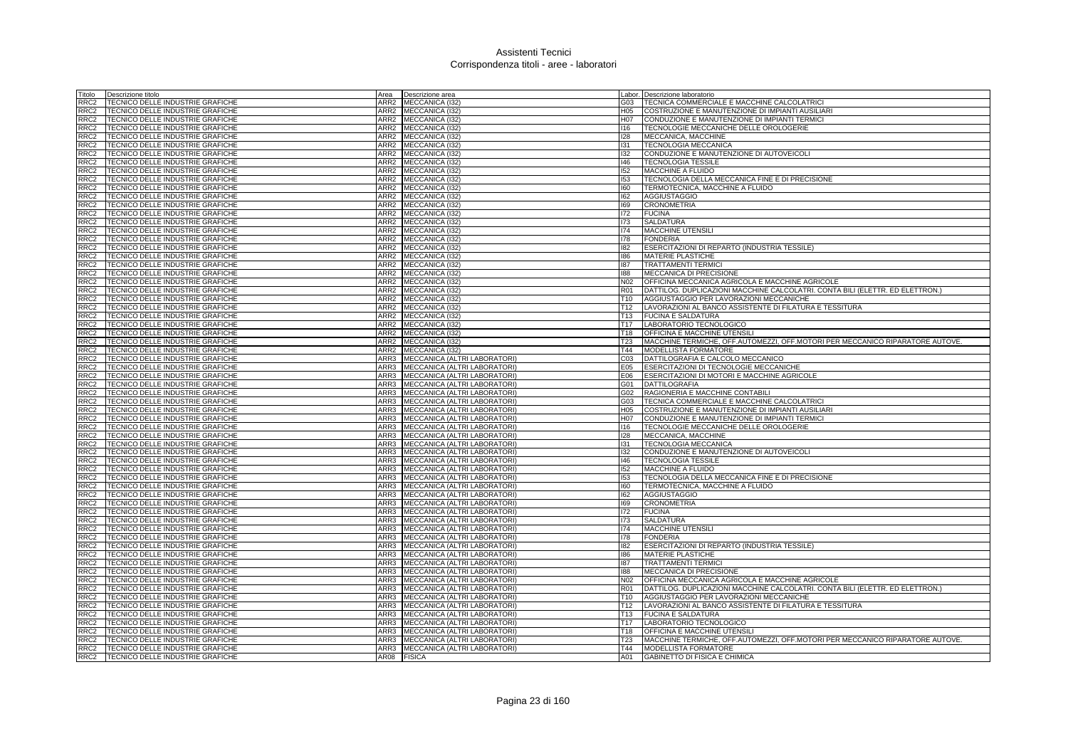| Fitolo           | Descrizione titolo                                                   | Area             | Descrizione area                                             |                 | Labor. Descrizione laboratorio                                                               |
|------------------|----------------------------------------------------------------------|------------------|--------------------------------------------------------------|-----------------|----------------------------------------------------------------------------------------------|
| RRC2             | TECNICO DELLE INDUSTRIE GRAFICHE                                     | ARR2             | MECCANICA (I32)                                              | G03             | TECNICA COMMERCIALE E MACCHINE CALCOLATRIC                                                   |
| RRC2             | TECNICO DELLE INDUSTRIE GRAFICHE                                     | ARR <sub>2</sub> | MECCANICA (I32)                                              | H05             | COSTRUZIONE E MANUTENZIONE DI IMPIANTI AUSILIARI                                             |
| RRC2             | TECNICO DELLE INDUSTRIE GRAFICHE                                     | ARR <sub>2</sub> | MECCANICA (I32)                                              | H07             | CONDUZIONE E MANUTENZIONE DI IMPIANTI TERMICI                                                |
| RRC2             | TECNICO DELLE INDUSTRIE GRAFICHE                                     |                  | ARR2 MECCANICA (132)                                         | 116             | TECNOLOGIE MECCANICHE DELLE OROLOGERIE                                                       |
| RRC2             | TECNICO DELLE INDUSTRIE GRAFICHE                                     | ARR2             | MECCANICA (132)                                              | 128             | MECCANICA, MACCHINE                                                                          |
| RRC2             | TECNICO DELLE INDUSTRIE GRAFICHE                                     | ARR2             | MECCANICA (I32)                                              | 131             | <b>TECNOLOGIA MECCANICA</b>                                                                  |
| RRC2             | TECNICO DELLE INDUSTRIE GRAFICHE                                     | ARR2             | MECCANICA (I32)                                              | 132             | CONDUZIONE E MANUTENZIONE DI AUTOVEICOLI                                                     |
| RRC2             | TECNICO DELLE INDUSTRIE GRAFICHE                                     |                  | ARR2 MECCANICA (I32)                                         | 146             | <b>TECNOLOGIA TESSILE</b>                                                                    |
| RRC2             | TECNICO DELLE INDUSTRIE GRAFICHE                                     |                  | ARR2 MECCANICA (I32)                                         | 152             | MACCHINE A FLUIDO                                                                            |
| RRC2             | TECNICO DELLE INDUSTRIE GRAFICHE                                     | ARR2             | MECCANICA (132)                                              | 153             | TECNOLOGIA DELLA MECCANICA FINE E DI PRECISIONE                                              |
| RRC2             | TECNICO DELLE INDUSTRIE GRAFICHE                                     | ARR2             | MECCANICA (I32)                                              | 160             | TERMOTECNICA, MACCHINE A FLUIDO                                                              |
| RRC2             | TECNICO DELLE INDUSTRIE GRAFICHE                                     | ARR2             | MECCANICA (132)                                              | 162             | <b>AGGIUSTAGGIO</b>                                                                          |
| RRC <sub>2</sub> | TECNICO DELLE INDUSTRIE GRAFICHE                                     | ARR2             | MECCANICA (I32)                                              | 169             | <b>CRONOMETRIA</b>                                                                           |
| RRC <sub>2</sub> | TECNICO DELLE INDUSTRIE GRAFICHE                                     | ARR2             | MECCANICA (I32)                                              | 172             | <b>FUCINA</b>                                                                                |
| RRC2             | TECNICO DELLE INDUSTRIE GRAFICHE                                     | ARR <sub>2</sub> | MECCANICA (I32)                                              | 173             | <b>SALDATURA</b>                                                                             |
| RRC2             | TECNICO DELLE INDUSTRIE GRAFICHE                                     | ARR2             | MECCANICA (I32)                                              | 174             | <b>MACCHINE UTENSILI</b>                                                                     |
| RRC2             | TECNICO DELLE INDUSTRIE GRAFICHE                                     | ARR2             | MECCANICA (I32)                                              | 178             | <b>FONDERIA</b>                                                                              |
| RRC2             | TECNICO DELLE INDUSTRIE GRAFICHE                                     | ARR2             | MECCANICA (132)                                              | 182             | ESERCITAZIONI DI REPARTO (INDUSTRIA TESSILE)                                                 |
| RRC2             | TECNICO DELLE INDUSTRIE GRAFICHE                                     | ARR <sub>2</sub> | MECCANICA (I32)                                              | 186             | <b>MATERIE PLASTICHE</b>                                                                     |
| RRC <sub>2</sub> | TECNICO DELLE INDUSTRIE GRAFICHE                                     |                  | ARR2 MECCANICA (I32)                                         | 87              | <b>TRATTAMENTI TERMICI</b>                                                                   |
| RRC2             | TECNICO DELLE INDUSTRIE GRAFICHE                                     | ARR2             | MECCANICA (132)                                              | 188             | <b>MECCANICA DI PRECISIONE</b>                                                               |
| RRC2             | TECNICO DELLE INDUSTRIE GRAFICHE                                     |                  | ARR2 MECCANICA (I32)                                         | N02             | OFFICINA MECCANICA AGRICOLA E MACCHINE AGRICOLE                                              |
| RRC2             | TECNICO DELLE INDUSTRIE GRAFICHE                                     | ARR2             |                                                              | <b>R01</b>      | DATTILOG. DUPLICAZIONI MACCHINE CALCOLATRI. CONTA BILI (ELETTR. ED ELETTRON.)                |
|                  |                                                                      | ARR2             | MECCANICA (I32)                                              | T10             |                                                                                              |
| RRC2             | TECNICO DELLE INDUSTRIE GRAFICHE                                     |                  | MECCANICA (I32)                                              |                 | AGGIUSTAGGIO PER LAVORAZIONI MECCANICHE                                                      |
| RRC2             | TECNICO DELLE INDUSTRIE GRAFICHE                                     | ARR2             | MECCANICA (I32)                                              | T12             | LAVORAZIONI AL BANCO ASSISTENTE DI FILATURA E TESSITURA                                      |
| RRC2             | TECNICO DELLE INDUSTRIE GRAFICHE                                     |                  | ARR2 MECCANICA (I32)                                         | T <sub>13</sub> | <b>FUCINA E SALDATURA</b>                                                                    |
| RRC2             | TECNICO DELLE INDUSTRIE GRAFICHE                                     | ARR2             | MECCANICA (I32)                                              | T17             | LABORATORIO TECNOLOGICO                                                                      |
| RRC2             | TECNICO DELLE INDUSTRIE GRAFICHE                                     | ARR <sub>2</sub> | MECCANICA (I32)                                              | T18             | OFFICINA E MACCHINE UTENSILI                                                                 |
| RRC2             | TECNICO DELLE INDUSTRIE GRAFICHE                                     | ARR2             | MECCANICA (132)                                              | T23             | MACCHINE TERMICHE, OFF.AUTOMEZZI, OFF.MOTORI PER MECCANICO RIPARATORE AUTOVE.                |
| RRC2             | TECNICO DELLE INDUSTRIE GRAFICHE                                     | ARR2             | MECCANICA (I32)                                              | T44             | MODELLISTA FORMATORE                                                                         |
| RRC2             | TECNICO DELLE INDUSTRIE GRAFICHE                                     | ARR3<br>ARR3     | MECCANICA (ALTRI LABORATORI)                                 | C <sub>03</sub> | DATTILOGRAFIA E CALCOLO MECCANICO                                                            |
| RRC2<br>RRC2     | TECNICO DELLE INDUSTRIE GRAFICHE<br>TECNICO DELLE INDUSTRIE GRAFICHE | ARR3             | MECCANICA (ALTRI LABORATORI)<br>MECCANICA (ALTRI LABORATORI) | E05<br>E06      | <b>ESERCITAZIONI DI TECNOLOGIE MECCANICHE</b><br>ESERCITAZIONI DI MOTORI E MACCHINE AGRICOLE |
| RRC2             | TECNICO DELLE INDUSTRIE GRAFICHE                                     | ARR3             | MECCANICA (ALTRI LABORATORI)                                 | G01             | <b>DATTILOGRAFIA</b>                                                                         |
| RRC2             | TECNICO DELLE INDUSTRIE GRAFICHE                                     | ARR3             | MECCANICA (ALTRI LABORATORI)                                 | G02             | RAGIONERIA E MACCHINE CONTABILI                                                              |
| RRC2             | TECNICO DELLE INDUSTRIE GRAFICHE                                     | ARR3             | MECCANICA (ALTRI LABORATORI)                                 | G03             | TECNICA COMMERCIALE E MACCHINE CALCOLATRICI                                                  |
| RRC2             | TECNICO DELLE INDUSTRIE GRAFICHE                                     | ARR3             | MECCANICA (ALTRI LABORATORI)                                 | H05             | COSTRUZIONE E MANUTENZIONE DI IMPIANTI AUSILIARI                                             |
| RRC2             | TECNICO DELLE INDUSTRIE GRAFICHE                                     |                  | ARR3 MECCANICA (ALTRI LABORATORI)                            | H07             | CONDUZIONE E MANUTENZIONE DI IMPIANTI TERMICI                                                |
| RRC2             | TECNICO DELLE INDUSTRIE GRAFICHE                                     | ARR3             | MECCANICA (ALTRI LABORATORI)                                 | 116             | TECNOLOGIE MECCANICHE DELLE OROLOGERIE                                                       |
| RRC2             | TECNICO DELLE INDUSTRIE GRAFICHE                                     | ARR3             | MECCANICA (ALTRI LABORATORI)                                 | 128             | MECCANICA, MACCHINE                                                                          |
| RRC2             | TECNICO DELLE INDUSTRIE GRAFICHE                                     | ARR3             | MECCANICA (ALTRI LABORATORI                                  | 131             | <b>TECNOLOGIA MECCANICA</b>                                                                  |
| RRC2             | TECNICO DELLE INDUSTRIE GRAFICHE                                     | ARR3             | MECCANICA (ALTRI LABORATORI)                                 | 132             | CONDUZIONE E MANUTENZIONE DI AUTOVEICOLI                                                     |
| RRC2             | TECNICO DELLE INDUSTRIE GRAFICHE                                     | ARR3             | MECCANICA (ALTRI LABORATORI)                                 | $ 46\rangle$    | <b>TECNOLOGIA TESSILE</b>                                                                    |
| RRC2             | TECNICO DELLE INDUSTRIE GRAFICHE                                     | ARR3             | MECCANICA (ALTRI LABORATORI)                                 | 152             | MACCHINE A FLUIDO                                                                            |
| RRC2             | TECNICO DELLE INDUSTRIE GRAFICHE                                     | ARR3             | MECCANICA (ALTRI LABORATORI)                                 | 153             | TECNOLOGIA DELLA MECCANICA FINE E DI PRECISIONE                                              |
| RRC2             | TECNICO DELLE INDUSTRIE GRAFICHE                                     | ARR3             | MECCANICA (ALTRI LABORATORI)                                 | 160             | TERMOTECNICA, MACCHINE A FLUIDO                                                              |
| RRC2             | TECNICO DELLE INDUSTRIE GRAFICHE                                     | ARR3             | MECCANICA (ALTRI LABORATORI)                                 | 162             | <b>AGGIUSTAGGIO</b>                                                                          |
| RRC2             |                                                                      | ARR3             |                                                              |                 |                                                                                              |
| RRC2             | TECNICO DELLE INDUSTRIE GRAFICHE<br>TECNICO DELLE INDUSTRIE GRAFICHE | ARR3             | MECCANICA (ALTRI LABORATORI)<br>MECCANICA (ALTRI LABORATORI) | 169<br>172      | <b>CRONOMETRIA</b><br><b>FUCINA</b>                                                          |
| RRC2             | TECNICO DELLE INDUSTRIE GRAFICHE                                     | ARR3             | MECCANICA (ALTRI LABORATORI)                                 | 173             | SALDATURA                                                                                    |
| RRC2             |                                                                      | ARR3             | MECCANICA (ALTRI LABORATORI)                                 | 174             |                                                                                              |
|                  | TECNICO DELLE INDUSTRIE GRAFICHE                                     | ARR3             |                                                              |                 | MACCHINE UTENSILI                                                                            |
| RRC2<br>RRC2     | TECNICO DELLE INDUSTRIE GRAFICHE                                     | ARR3             | MECCANICA (ALTRI LABORATORI)                                 | 178<br>182      | <b>FONDERIA</b>                                                                              |
| RRC2             | TECNICO DELLE INDUSTRIE GRAFICHE<br>TECNICO DELLE INDUSTRIE GRAFICHE | ARR3             | MECCANICA (ALTRI LABORATORI)<br>MECCANICA (ALTRI LABORATORI) | 186             | ESERCITAZIONI DI REPARTO (INDUSTRIA TESSILE)<br><b>MATERIE PLASTICHE</b>                     |
| RRC2             | TECNICO DELLE INDUSTRIE GRAFICHE                                     | ARR3             | MECCANICA (ALTRI LABORATORI)                                 | 187             | <b>TRATTAMENTI TERMICI</b>                                                                   |
| RC2              | TECNICO DELLE INDUSTRIE GRAFICHE                                     | ARR3             | MECCANICA (ALTRI LABORATORI)                                 | 188             | MECCANICA DI PRECISIONE                                                                      |
| RRC2             | TECNICO DELLE INDUSTRIE GRAFICHE                                     | ARR3             | MECCANICA (ALTRI LABORATORI)                                 | N <sub>02</sub> | OFFICINA MECCANICA AGRICOLA E MACCHINE AGRICOLE                                              |
| RRC2             | TECNICO DELLE INDUSTRIE GRAFICHE                                     | ARR3             | MECCANICA (ALTRI LABORATORI)                                 | <b>R01</b>      | DATTILOG. DUPLICAZIONI MACCHINE CALCOLATRI. CONTA BILI (ELETTR. ED ELETTRON.)                |
| RRC2             | TECNICO DELLE INDUSTRIE GRAFICHE                                     | ARR3             | MECCANICA (ALTRI LABORATORI)                                 | T <sub>10</sub> | AGGIUSTAGGIO PER LAVORAZIONI MECCANICHE                                                      |
| RRC2             | TECNICO DELLE INDUSTRIE GRAFICHE                                     | ARR3             | MECCANICA (ALTRI LABORATORI)                                 | T <sub>12</sub> | LAVORAZIONI AL BANCO ASSISTENTE DI FILATURA E TESSITURA                                      |
| RRC2             | TECNICO DELLE INDUSTRIE GRAFICHE                                     | ARR3             | MECCANICA (ALTRI LABORATORI)                                 | T <sub>13</sub> | <b>FUCINA E SALDATURA</b>                                                                    |
| RRC2             | TECNICO DELLE INDUSTRIE GRAFICHE                                     | ARR3             | MECCANICA (ALTRI LABORATORI)                                 | T <sub>17</sub> | LABORATORIO TECNOLOGICO                                                                      |
| RRC <sub>2</sub> | TECNICO DELLE INDUSTRIE GRAFICHE                                     | ARR3             | MECCANICA (ALTRI LABORATORI)                                 | T <sub>18</sub> | OFFICINA E MACCHINE UTENSILI                                                                 |
| RRC <sub>2</sub> | TECNICO DELLE INDUSTRIE GRAFICHE                                     | ARR3             | MECCANICA (ALTRI LABORATORI)                                 | T <sub>23</sub> | MACCHINE TERMICHE, OFF, AUTOMEZZI, OFF, MOTORI PER MECCANICO RIPARATORE AUTOVE.              |
| RRC2             | TECNICO DELLE INDUSTRIE GRAFICHE                                     | ARR3             | MECCANICA (ALTRI LABORATORI)                                 | T44             | <b>MODELLISTA FORMATORE</b>                                                                  |
| RRC2             | TECNICO DELLE INDUSTRIE GRAFICHE                                     | AR08             | <b>FISICA</b>                                                | A01             | <b>GABINETTO DI FISICA E CHIMICA</b>                                                         |
|                  |                                                                      |                  |                                                              |                 |                                                                                              |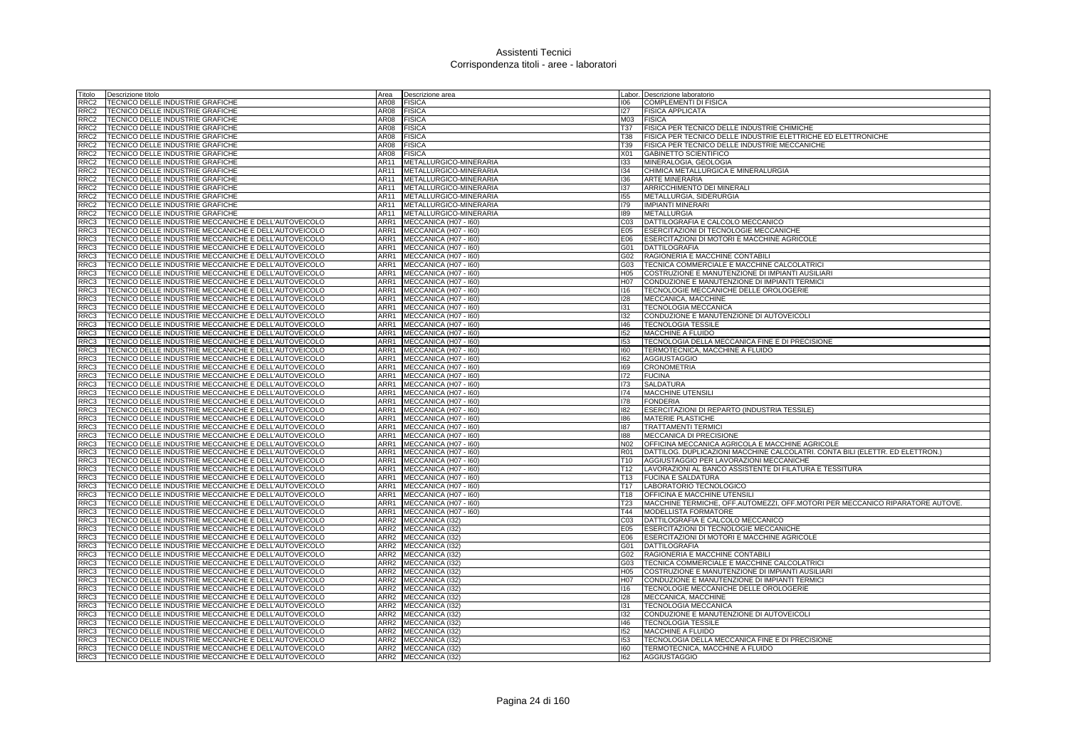| Titolo           | Descrizione titolo                                    | Area             | Descrizione area       |                 | Labor. Descrizione laboratorio                                                |
|------------------|-------------------------------------------------------|------------------|------------------------|-----------------|-------------------------------------------------------------------------------|
| RRC <sub>2</sub> | TECNICO DELLE INDUSTRIE GRAFICHE                      | AR08             | <b>FISICA</b>          | 106             | <b>COMPLEMENTI DI FISICA</b>                                                  |
| RRC2             | TECNICO DELLE INDUSTRIE GRAFICHE                      | AR08             | <b>FISICA</b>          | 127             | <b>FISICA APPLICATA</b>                                                       |
| RRC <sub>2</sub> | TECNICO DELLE INDUSTRIE GRAFICHE                      | AR08             | <b>FISICA</b>          | M03             | <b>FISICA</b>                                                                 |
| RRC <sub>2</sub> | TECNICO DELLE INDUSTRIE GRAFICHE                      | AR08             | <b>FISICA</b>          | <b>T37</b>      | FISICA PER TECNICO DELLE INDUSTRIE CHIMICHE                                   |
| RRC <sub>2</sub> | TECNICO DELLE INDUSTRIE GRAFICHE                      | AR08             | <b>FISICA</b>          | <b>T38</b>      | FISICA PER TECNICO DELLE INDUSTRIE ELETTRICHE ED ELETTRONICHE                 |
| RRC <sub>2</sub> | TECNICO DELLE INDUSTRIE GRAFICHE                      | AR08             | <b>FISICA</b>          | T39             | FISICA PER TECNICO DELLE INDUSTRIE MECCANICHE                                 |
| RRC <sub>2</sub> | TECNICO DELLE INDUSTRIE GRAFICHE                      | AR08             | <b>FISICA</b>          | X01             | GABINETTO SCIENTIFICO                                                         |
| RRC <sub>2</sub> | TECNICO DELLE INDUSTRIE GRAFICHE                      | AR11             | METALLURGICO-MINERARIA | 133             | MINERALOGIA, GEOLOGIA                                                         |
| RRC <sub>2</sub> | TECNICO DELLE INDUSTRIE GRAFICHE                      | AR11             | METALLURGICO-MINERARIA | 134             | CHIMICA METALLURGICA E MINERALURGIA                                           |
| RRC <sub>2</sub> | TECNICO DELLE INDUSTRIE GRAFICHE                      | AR11             | METALLURGICO-MINERARIA | 136             | <b>ARTE MINERARIA</b>                                                         |
| RRC <sub>2</sub> | TECNICO DELLE INDUSTRIE GRAFICHE                      | AR11             | METALLURGICO-MINERARIA | 137             | ARRICCHIMENTO DEI MINERALI                                                    |
| RRC <sub>2</sub> | TECNICO DELLE INDUSTRIE GRAFICHE                      | AR11             | METALLURGICO-MINERARIA | 155             | METALLURGIA, SIDERURGIA                                                       |
| RRC2             | TECNICO DELLE INDUSTRIE GRAFICHE                      | AR11             | METALLURGICO-MINERARIA | 179             | <b>IMPIANTI MINERARI</b>                                                      |
| RRC <sub>2</sub> | TECNICO DELLE INDUSTRIE GRAFICHE                      | AR11             | METALLURGICO-MINERARIA | 189             | <b>METALLURGIA</b>                                                            |
| RRC3             | TECNICO DELLE INDUSTRIE MECCANICHE E DELL'AUTOVEICOLO | ARR1             | MECCANICA (H07 - I60)  | CO <sub>3</sub> | DATTILOGRAFIA E CALCOLO MECCANICO                                             |
| RRC3             | TECNICO DELLE INDUSTRIE MECCANICHE E DELL'AUTOVEICOLO | ARR1             | MECCANICA (H07 - I60)  | E05             | ESERCITAZIONI DI TECNOLOGIE MECCANICHE                                        |
| RRC3             | TECNICO DELLE INDUSTRIE MECCANICHE E DELL'AUTOVEICOLO | ARR1             | MECCANICA (H07 - I60)  | E06             | ESERCITAZIONI DI MOTORI E MACCHINE AGRICOLE                                   |
| RRC3             | TECNICO DELLE INDUSTRIE MECCANICHE E DELL'AUTOVEICOLO | ARR1             | MECCANICA (H07 - I60)  | G01             | <b>DATTILOGRAFIA</b>                                                          |
| RRC3             | TECNICO DELLE INDUSTRIE MECCANICHE E DELL'AUTOVEICOLO | ARR1             | MECCANICA (H07 - I60)  | G02             | RAGIONERIA E MACCHINE CONTABILI                                               |
| RRC3             | TECNICO DELLE INDUSTRIE MECCANICHE E DELL'AUTOVEICOLO | ARR1             | MECCANICA (H07 - I60)  | G03             | TECNICA COMMERCIALE E MACCHINE CALCOLATRICI                                   |
| RRC3             | TECNICO DELLE INDUSTRIE MECCANICHE E DELL'AUTOVEICOLO | ARR1             | MECCANICA (H07 - I60)  | H05             | COSTRUZIONE E MANUTENZIONE DI IMPIANTI AUSILIARI                              |
| RRC3             | TECNICO DELLE INDUSTRIE MECCANICHE E DELL'AUTOVEICOLO | ARR1             | MECCANICA (H07 - I60)  | H07             | CONDUZIONE E MANUTENZIONE DI IMPIANTI TERMICI                                 |
| RRC3             | TECNICO DELLE INDUSTRIE MECCANICHE E DELL'AUTOVEICOLO | ARR1             | MECCANICA (H07 - I60)  | 116             | TECNOLOGIE MECCANICHE DELLE OROLOGERIE                                        |
| RRC3             | TECNICO DELLE INDUSTRIE MECCANICHE E DELL'AUTOVEICOLO | ARR1             | MECCANICA (H07 - I60)  | 128             | MECCANICA, MACCHINE                                                           |
| RRC3             | TECNICO DELLE INDUSTRIE MECCANICHE E DELL'AUTOVEICOLO | ARR1             | MECCANICA (H07 - I60)  | 131             | <b>TECNOLOGIA MECCANICA</b>                                                   |
| RRC3             | TECNICO DELLE INDUSTRIE MECCANICHE E DELL'AUTOVEICOLO | ARR1             | MECCANICA (H07 - I60)  | 132             | CONDUZIONE E MANUTENZIONE DI AUTOVEICOLI                                      |
| RRC3             | TECNICO DELLE INDUSTRIE MECCANICHE E DELL'AUTOVEICOLO | ARR1             | MECCANICA (H07 - I60)  | 146             | <b>TECNOLOGIA TESSILE</b>                                                     |
| RRC3             | TECNICO DELLE INDUSTRIE MECCANICHE E DELL'AUTOVEICOLO | ARR1             | MECCANICA (H07 - I60)  | 152             | MACCHINE A FLUIDO                                                             |
| RRC3             | TECNICO DELLE INDUSTRIE MECCANICHE E DELL'AUTOVEICOLO | ARR1             | MECCANICA (H07 - I60)  | 153             | TECNOLOGIA DELLA MECCANICA FINE E DI PRECISIONE                               |
| RRC3             | TECNICO DELLE INDUSTRIE MECCANICHE E DELL'AUTOVEICOLO | ARR1             | MECCANICA (H07 - I60)  | 160             | TERMOTECNICA, MACCHINE A FLUIDO                                               |
| RRC3             | TECNICO DELLE INDUSTRIE MECCANICHE E DELL'AUTOVEICOLO | ARR1             | MECCANICA (H07 - I60)  | 162             | <b>AGGIUSTAGGIO</b>                                                           |
| RRC3             | TECNICO DELLE INDUSTRIE MECCANICHE E DELL'AUTOVEICOLO | ARR1             | MECCANICA (H07 - I60)  | 169             | <b>CRONOMETRIA</b>                                                            |
| RRC3             | TECNICO DELLE INDUSTRIE MECCANICHE E DELL'AUTOVEICOLO | ARR1             | MECCANICA (H07 - I60)  | 172             | <b>FUCINA</b>                                                                 |
| RRC3             | TECNICO DELLE INDUSTRIE MECCANICHE E DELL'AUTOVEICOLO | ARR1             | MECCANICA (H07 - I60)  | 173             | <b>SALDATURA</b>                                                              |
| RRC3             | TECNICO DELLE INDUSTRIE MECCANICHE E DELL'AUTOVEICOLO | ARR1             | MECCANICA (H07 - I60)  | 174             | MACCHINE UTENSILI                                                             |
| RRC3             | TECNICO DELLE INDUSTRIE MECCANICHE E DELL'AUTOVEICOLO | ARR1             | MECCANICA (H07 - I60)  | 178             | <b>FONDERIA</b>                                                               |
| RRC3             | TECNICO DELLE INDUSTRIE MECCANICHE E DELL'AUTOVEICOLO | ARR1             | MECCANICA (H07 - I60)  | 182             | ESERCITAZIONI DI REPARTO (INDUSTRIA TESSILE)                                  |
| RRC3             | TECNICO DELLE INDUSTRIE MECCANICHE E DELL'AUTOVEICOLO | ARR1             | MECCANICA (H07 - I60)  | 186             | <b>MATERIE PLASTICHE</b>                                                      |
| RRC3             | TECNICO DELLE INDUSTRIE MECCANICHE E DELL'AUTOVEICOLO | ARR1             | MECCANICA (H07 - I60)  | 187             | <b>TRATTAMENTI TERMICI</b>                                                    |
| RRC3             | TECNICO DELLE INDUSTRIE MECCANICHE E DELL'AUTOVEICOLO | ARR1             | MECCANICA (H07 - I60)  | 188             | <b>MECCANICA DI PRECISIONE</b>                                                |
| RRC3             | TECNICO DELLE INDUSTRIE MECCANICHE E DELL'AUTOVEICOLO | ARR1             | MECCANICA (H07 - I60)  | N02             | OFFICINA MECCANICA AGRICOLA E MACCHINE AGRICOLE                               |
| RRC3             | TECNICO DELLE INDUSTRIE MECCANICHE E DELL'AUTOVEICOLO | ARR1             | MECCANICA (H07 - I60)  | <b>R01</b>      | DATTILOG. DUPLICAZIONI MACCHINE CALCOLATRI. CONTA BILI (ELETTR. ED ELETTRON.) |
| RRC3             | TECNICO DELLE INDUSTRIE MECCANICHE E DELL'AUTOVEICOLO | ARR1             | MECCANICA (H07 - I60)  | T <sub>10</sub> | AGGIUSTAGGIO PER LAVORAZIONI MECCANICHE                                       |
| RRC3             | TECNICO DELLE INDUSTRIE MECCANICHE E DELL'AUTOVEICOLO | ARR1             | MECCANICA (H07 - I60)  | T <sub>12</sub> | LAVORAZIONI AL BANCO ASSISTENTE DI FILATURA E TESSITURA                       |
| RRC3             | TECNICO DELLE INDUSTRIE MECCANICHE E DELL'AUTOVEICOLO | ARR1             | MECCANICA (H07 - I60)  | T <sub>13</sub> | <b>FUCINA E SALDATURA</b>                                                     |
| RRC3             | TECNICO DELLE INDUSTRIE MECCANICHE E DELL'AUTOVEICOLO | ARR1             | MECCANICA (H07 - I60)  | T <sub>17</sub> | LABORATORIO TECNOLOGICO                                                       |
| RRC3             | TECNICO DELLE INDUSTRIE MECCANICHE E DELL'AUTOVEICOLO | ARR1             | MECCANICA (H07 - I60)  | T <sub>18</sub> | OFFICINA E MACCHINE UTENSILI                                                  |
| RRC3             | TECNICO DELLE INDUSTRIE MECCANICHE E DELL'AUTOVEICOLO | ARR1             | MECCANICA (H07 - I60)  | T <sub>23</sub> | MACCHINE TERMICHE, OFF.AUTOMEZZI, OFF.MOTORI PER MECCANICO RIPARATORE AUTOVE. |
| RRC3             | TECNICO DELLE INDUSTRIE MECCANICHE E DELL'AUTOVEICOLO | ARR1             | MECCANICA (H07 - I60)  | T44             | MODELLISTA FORMATORE                                                          |
| RRC3             | TECNICO DELLE INDUSTRIE MECCANICHE E DELL'AUTOVEICOLO | ARR2             | MECCANICA (I32)        | C <sub>03</sub> | DATTILOGRAFIA E CALCOLO MECCANICO                                             |
| RRC3             | TECNICO DELLE INDUSTRIE MECCANICHE E DELL'AUTOVEICOLO | ARR2             | MECCANICA (I32)        | E05             | ESERCITAZIONI DI TECNOLOGIE MECCANICHE                                        |
| RRC3             | TECNICO DELLE INDUSTRIE MECCANICHE E DELL'AUTOVEICOLO | ARR2             | MECCANICA (I32)        | E06             | ESERCITAZIONI DI MOTORI E MACCHINE AGRICOLE                                   |
| RRC3             | TECNICO DELLE INDUSTRIE MECCANICHE E DELL'AUTOVEICOLO | ARR <sub>2</sub> | MECCANICA (I32)        | G01             | <b>DATTILOGRAFIA</b>                                                          |
| RRC3             | TECNICO DELLE INDUSTRIE MECCANICHE E DELL'AUTOVEICOLO | ARR2             | MECCANICA (I32)        | G02             | RAGIONERIA E MACCHINE CONTABILI                                               |
| RRC3             | TECNICO DELLE INDUSTRIE MECCANICHE E DELL'AUTOVEICOLO | ARR2             | MECCANICA (132)        | G03             | TECNICA COMMERCIALE E MACCHINE CALCOLATRICI                                   |
| RRC3             | TECNICO DELLE INDUSTRIE MECCANICHE E DELL'AUTOVEICOLO | ARR2             | MECCANICA (I32)        | H05             | COSTRUZIONE E MANUTENZIONE DI IMPIANTI AUSILIARI                              |
| RRC3             | TECNICO DELLE INDUSTRIE MECCANICHE E DELL'AUTOVEICOLO | ARR2             | MECCANICA (132)        | H07             | CONDUZIONE E MANUTENZIONE DI IMPIANTI TERMICI                                 |
| RRC3             | TECNICO DELLE INDUSTRIE MECCANICHE E DELL'AUTOVEICOLO | ARR <sub>2</sub> | MECCANICA (I32)        | 116             | TECNOLOGIE MECCANICHE DELLE OROLOGERIE                                        |
| RRC3             | TECNICO DELLE INDUSTRIE MECCANICHE E DELL'AUTOVEICOLO | ARR2             | MECCANICA (I32)        | 128             | MECCANICA, MACCHINE                                                           |
| RRC3             | TECNICO DELLE INDUSTRIE MECCANICHE E DELL'AUTOVEICOLO | ARR2             | MECCANICA (I32)        | 131             | <b>TECNOLOGIA MECCANICA</b>                                                   |
| RRC3             | TECNICO DELLE INDUSTRIE MECCANICHE E DELL'AUTOVEICOLO | ARR2             | MECCANICA (I32)        | 132             | CONDUZIONE E MANUTENZIONE DI AUTOVEICOLI                                      |
| RRC3             | TECNICO DELLE INDUSTRIE MECCANICHE E DELL'AUTOVEICOLO | ARR <sub>2</sub> | MECCANICA (I32)        | 146             | <b>TECNOLOGIA TESSILE</b>                                                     |
| RRC3             | TECNICO DELLE INDUSTRIE MECCANICHE E DELL'AUTOVEICOLO | ARR2             | MECCANICA (I32)        | 152             | MACCHINE A FLUIDO                                                             |
| RRC3             | TECNICO DELLE INDUSTRIE MECCANICHE E DELL'AUTOVEICOLO | ARR2             | MECCANICA (132)        | 153             | TECNOLOGIA DELLA MECCANICA FINE E DI PRECISIONE                               |
| RRC3             | TECNICO DELLE INDUSTRIE MECCANICHE E DELL'AUTOVEICOLO |                  | ARR2 MECCANICA (132)   | 160             | TERMOTECNICA, MACCHINE A FLUIDO                                               |
| RRC3             | TECNICO DELLE INDUSTRIE MECCANICHE E DELL'AUTOVEICOLO |                  | ARR2 MECCANICA (132)   | 162             | <b>AGGIUSTAGGIO</b>                                                           |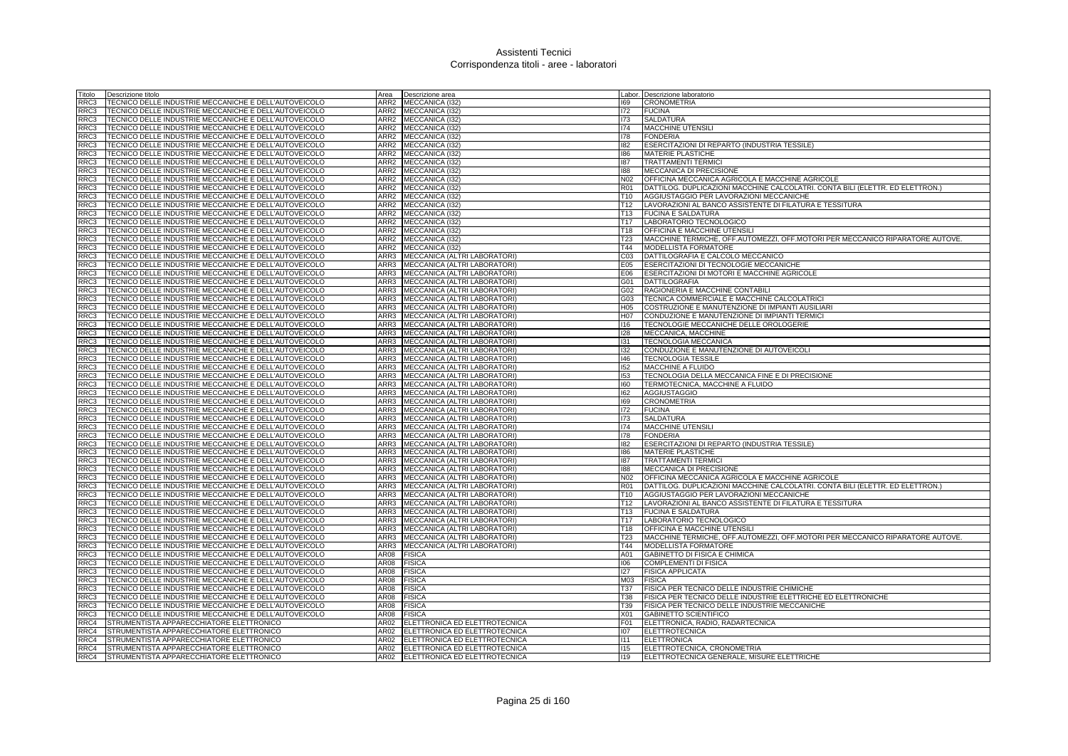| Fitolo | Descrizione titolo                                    | Area             | Descrizione area              |                 | Labor. Descrizione laboratorio                                                |
|--------|-------------------------------------------------------|------------------|-------------------------------|-----------------|-------------------------------------------------------------------------------|
| RRC3   | TECNICO DELLE INDUSTRIE MECCANICHE E DELL'AUTOVEICOLO | ARR2             | MECCANICA (I32                | 169             | <b>CRONOMETRIA</b>                                                            |
| RRC3   | TECNICO DELLE INDUSTRIE MECCANICHE E DELL'AUTOVEICOLO |                  | ARR2 MECCANICA (I32)          | 172             | <b>FUCINA</b>                                                                 |
| RRC3   | TECNICO DELLE INDUSTRIE MECCANICHE E DELL'AUTOVEICOLO | ARR2             | MECCANICA (132)               | 173             | <b>SALDATURA</b>                                                              |
| RRC3   | TECNICO DELLE INDUSTRIE MECCANICHE E DELL'AUTOVEICOLO |                  | ARR2 MECCANICA (I32)          | 174             | MACCHINE UTENSILI                                                             |
| RRC3   | TECNICO DELLE INDUSTRIE MECCANICHE E DELL'AUTOVEICOLO | ARR2             | MECCANICA (132)               | 178             | <b>FONDERIA</b>                                                               |
| RRC3   | TECNICO DELLE INDUSTRIE MECCANICHE E DELL'AUTOVEICOLO | ARR2             | MECCANICA (I32)               | 182             | ESERCITAZIONI DI REPARTO (INDUSTRIA TESSILE)                                  |
| RRC3   | TECNICO DELLE INDUSTRIE MECCANICHE E DELL'AUTOVEICOLO | ARR2             | MECCANICA (I32)               | 186             | <b>MATERIE PLASTICHE</b>                                                      |
| RRC3   | TECNICO DELLE INDUSTRIE MECCANICHE E DELL'AUTOVEICOLO | ARR2             | MECCANICA (I32)               | 187             | <b>TRATTAMENTI TERMICI</b>                                                    |
| RRC3   | TECNICO DELLE INDUSTRIE MECCANICHE E DELL'AUTOVEICOLO | ARR2             | MECCANICA (I32)               | 188             | MECCANICA DI PRECISIONE                                                       |
| RRC3   | TECNICO DELLE INDUSTRIE MECCANICHE E DELL'AUTOVEICOLO | ARR2             | MECCANICA (I32)               | N <sub>02</sub> | OFFICINA MECCANICA AGRICOLA E MACCHINE AGRICOLE                               |
| RRC3   | TECNICO DELLE INDUSTRIE MECCANICHE E DELL'AUTOVEICOLO | ARR2             | MECCANICA (I32)               | <b>R01</b>      | DATTILOG. DUPLICAZIONI MACCHINE CALCOLATRI. CONTA BILI (ELETTR. ED ELETTRON.) |
| RRC3   | TECNICO DELLE INDUSTRIE MECCANICHE E DELL'AUTOVEICOLO |                  | ARR2 MECCANICA (I32)          | T <sub>10</sub> | AGGIUSTAGGIO PER LAVORAZIONI MECCANICHE                                       |
| RRC3   | TECNICO DELLE INDUSTRIE MECCANICHE E DELL'AUTOVEICOLO | ARR2             | MECCANICA (I32)               | T12             | LAVORAZIONI AL BANCO ASSISTENTE DI FILATURA E TESSITURA                       |
| RRC3   | TECNICO DELLE INDUSTRIE MECCANICHE E DELL'AUTOVEICOLO | ARR <sub>2</sub> | MECCANICA (I32)               | T <sub>13</sub> | <b>FUCINA E SALDATURA</b>                                                     |
| RRC3   | TECNICO DELLE INDUSTRIE MECCANICHE E DELL'AUTOVEICOLO | ARR2             | MECCANICA (I32)               | T17             | LABORATORIO TECNOLOGICO                                                       |
| RRC3   | TECNICO DELLE INDUSTRIE MECCANICHE E DELL'AUTOVEICOLO | ARR2             | MECCANICA (I32)               | T <sub>18</sub> | OFFICINA E MACCHINE UTENSILI                                                  |
| RRC3   | TECNICO DELLE INDUSTRIE MECCANICHE E DELL'AUTOVEICOLO | ARR2             | MECCANICA (I32)               | T23             | MACCHINE TERMICHE, OFF.AUTOMEZZI, OFF.MOTORI PER MECCANICO RIPARATORE AUTOVE. |
| RRC3   | TECNICO DELLE INDUSTRIE MECCANICHE E DELL'AUTOVEICOLO | ARR2             | MECCANICA (I32)               | T44             | MODELLISTA FORMATORE                                                          |
| RRC3   | TECNICO DELLE INDUSTRIE MECCANICHE E DELL'AUTOVEICOLO | ARR3             | MECCANICA (ALTRI LABORATORI)  | CO <sub>3</sub> | DATTILOGRAFIA E CALCOLO MECCANICO                                             |
| RRC3   | TECNICO DELLE INDUSTRIE MECCANICHE E DELL'AUTOVEICOLO | ARR3             | MECCANICA (ALTRI LABORATORI)  | E05             | ESERCITAZIONI DI TECNOLOGIE MECCANICHE                                        |
| RRC3   | TECNICO DELLE INDUSTRIE MECCANICHE E DELL'AUTOVEICOLO | ARR3             | MECCANICA (ALTRI LABORATORI)  | E06             | ESERCITAZIONI DI MOTORI E MACCHINE AGRICOLE                                   |
| RRC3   | TECNICO DELLE INDUSTRIE MECCANICHE E DELL'AUTOVEICOLO | ARR3             | MECCANICA (ALTRI LABORATORI)  | G01             | <b>DATTILOGRAFIA</b>                                                          |
| RRC3   | TECNICO DELLE INDUSTRIE MECCANICHE E DELL'AUTOVEICOLO | ARR3             | MECCANICA (ALTRI LABORATORI)  | G02             | RAGIONERIA E MACCHINE CONTABILI                                               |
|        | TECNICO DELLE INDUSTRIE MECCANICHE E DELL'AUTOVEICOLO | ARR3             |                               |                 |                                                                               |
| RRC3   |                                                       | ARR3             | MECCANICA (ALTRI LABORATORI)  | G03<br>H05      | TECNICA COMMERCIALE E MACCHINE CALCOLATRICI                                   |
| RRC3   | TECNICO DELLE INDUSTRIE MECCANICHE E DELL'AUTOVEICOLO |                  | MECCANICA (ALTRI LABORATORI)  |                 | COSTRUZIONE E MANUTENZIONE DI IMPIANTI AUSILIARI                              |
| RRC3   | TECNICO DELLE INDUSTRIE MECCANICHE E DELL'AUTOVEICOLO | ARR3             | MECCANICA (ALTRI LABORATORI   | H07             | CONDUZIONE E MANUTENZIONE DI IMPIANTI TERMICI                                 |
| RRC3   | TECNICO DELLE INDUSTRIE MECCANICHE E DELL'AUTOVEICOLO | ARR3             | MECCANICA (ALTRI LABORATORI)  | 116             | TECNOLOGIE MECCANICHE DELLE OROLOGERIE                                        |
| RRC3   | TECNICO DELLE INDUSTRIE MECCANICHE E DELL'AUTOVEICOLO | ARR3             | MECCANICA (ALTRI LABORATORI)  | 128             | MECCANICA, MACCHINE                                                           |
| RRC3   | TECNICO DELLE INDUSTRIE MECCANICHE E DELL'AUTOVEICOLO | ARR3             | MECCANICA (ALTRI LABORATORI)  | 131             | <b>TECNOLOGIA MECCANICA</b>                                                   |
| RRC3   | TECNICO DELLE INDUSTRIE MECCANICHE E DELL'AUTOVEICOLO | ARR3             | MECCANICA (ALTRI LABORATORI   | 132             | CONDUZIONE E MANUTENZIONE DI AUTOVEICOLI                                      |
| RRC3   | TECNICO DELLE INDUSTRIE MECCANICHE E DELL'AUTOVEICOLO | ARR3             | MECCANICA (ALTRI LABORATORI)  | 146             | <b>TECNOLOGIA TESSILE</b>                                                     |
| RRC3   | TECNICO DELLE INDUSTRIE MECCANICHE E DELL'AUTOVEICOLO | ARR3             | MECCANICA (ALTRI LABORATORI)  | 152             | MACCHINE A FLUIDO                                                             |
| RRC3   | TECNICO DELLE INDUSTRIE MECCANICHE E DELL'AUTOVEICOLO | ARR3             | MECCANICA (ALTRI LABORATORI)  | 153             | TECNOLOGIA DELLA MECCANICA FINE E DI PRECISIONE                               |
| RRC3   | TECNICO DELLE INDUSTRIE MECCANICHE E DELL'AUTOVEICOLO | ARR3             | MECCANICA (ALTRI LABORATORI)  | 160             | TERMOTECNICA, MACCHINE A FLUIDO                                               |
| RRC3   | TECNICO DELLE INDUSTRIE MECCANICHE E DELL'AUTOVEICOLO | ARR3             | MECCANICA (ALTRI LABORATORI)  | 162             | <b>AGGIUSTAGGIO</b>                                                           |
| RRC3   | TECNICO DELLE INDUSTRIE MECCANICHE E DELL'AUTOVEICOLO | ARR3             | MECCANICA (ALTRI LABORATORI)  | 169             | <b>CRONOMETRIA</b>                                                            |
| RRC3   | TECNICO DELLE INDUSTRIE MECCANICHE E DELL'AUTOVEICOLO | ARR3             | MECCANICA (ALTRI LABORATORI)  | 172             | <b>FUCINA</b>                                                                 |
| RRC3   | TECNICO DELLE INDUSTRIE MECCANICHE E DELL'AUTOVEICOLO | ARR3             | MECCANICA (ALTRI LABORATORI)  | 173             | SALDATURA                                                                     |
| RRC3   | TECNICO DELLE INDUSTRIE MECCANICHE E DELL'AUTOVEICOLO | ARR3             | MECCANICA (ALTRI LABORATORI)  | 174             | MACCHINE UTENSIL                                                              |
| RRC3   | TECNICO DELLE INDUSTRIE MECCANICHE E DELL'AUTOVEICOLO | ARR3             | MECCANICA (ALTRI LABORATORI)  | 178             | <b>FONDERIA</b>                                                               |
| RRC3   | TECNICO DELLE INDUSTRIE MECCANICHE E DELL'AUTOVEICOLO | ARR3             | MECCANICA (ALTRI LABORATORI)  | 182             | ESERCITAZIONI DI REPARTO (INDUSTRIA TESSILE)                                  |
| RC3    | TECNICO DELLE INDUSTRIE MECCANICHE E DELL'AUTOVEICOLO | ARR3             | MECCANICA (ALTRI LABORATORI)  | 186             | MATERIE PLASTICHE                                                             |
| RRC3   | TECNICO DELLE INDUSTRIE MECCANICHE E DELL'AUTOVEICOLO | ARR3             | MECCANICA (ALTRI LABORATORI)  | 187             | <b>TRATTAMENTI TERMIC</b>                                                     |
| RRC3   | TECNICO DELLE INDUSTRIE MECCANICHE E DELL'AUTOVEICOLO | ARR3             | MECCANICA (ALTRI LABORATORI)  | 188             | MECCANICA DI PRECISIONE                                                       |
| RRC3   | TECNICO DELLE INDUSTRIE MECCANICHE E DELL'AUTOVEICOLO | ARR3             | MECCANICA (ALTRI LABORATORI)  | N02             | OFFICINA MECCANICA AGRICOLA E MACCHINE AGRICOLE                               |
| RRC3   | TECNICO DELLE INDUSTRIE MECCANICHE E DELL'AUTOVEICOLO | ARR3             | MECCANICA (ALTRI LABORATORI)  | <b>R01</b>      | DATTILOG. DUPLICAZIONI MACCHINE CALCOLATRI. CONTA BILI (ELETTR. ED ELETTRON.) |
| RRC3   | TECNICO DELLE INDUSTRIE MECCANICHE E DELL'AUTOVEICOLO | ARR3             | MECCANICA (ALTRI LABORATORI)  | T <sub>10</sub> | AGGIUSTAGGIO PER LAVORAZIONI MECCANICHE                                       |
| RRC3   | TECNICO DELLE INDUSTRIE MECCANICHE E DELL'AUTOVEICOLO | ARR3             | MECCANICA (ALTRI LABORATORI)  | T <sub>12</sub> | LAVORAZIONI AL BANCO ASSISTENTE DI FILATURA E TESSITURA                       |
| RRC3   | TECNICO DELLE INDUSTRIE MECCANICHE E DELL'AUTOVEICOLO | ARR3             | MECCANICA (ALTRI LABORATORI)  | T13             | <b>FUCINA E SALDATURA</b>                                                     |
| RRC3   | TECNICO DELLE INDUSTRIE MECCANICHE E DELL'AUTOVEICOLO | ARR3             | MECCANICA (ALTRI LABORATORI)  | T <sub>17</sub> | LABORATORIO TECNOLOGICO                                                       |
| RRC3   | TECNICO DELLE INDUSTRIE MECCANICHE E DELL'AUTOVEICOLO | ARR3             | MECCANICA (ALTRI LABORATORI)  | T18             | OFFICINA E MACCHINE UTENSILI                                                  |
| RRC3   | TECNICO DELLE INDUSTRIE MECCANICHE E DELL'AUTOVEICOLO | ARR3             | MECCANICA (ALTRI LABORATORI)  | T <sub>23</sub> | MACCHINE TERMICHE, OFF.AUTOMEZZI, OFF.MOTORI PER MECCANICO RIPARATORE AUTOVE. |
| RRC3   | TECNICO DELLE INDUSTRIE MECCANICHE E DELL'AUTOVEICOLO | ARR3             | MECCANICA (ALTRI LABORATORI)  | T44             | MODELLISTA FORMATORE                                                          |
| RRC3   | TECNICO DELLE INDUSTRIE MECCANICHE E DELL'AUTOVEICOLO | AR08             | <b>FISICA</b>                 | A01             | <b>GABINETTO DI FISICA E CHIMICA</b>                                          |
| RRC3   | TECNICO DELLE INDUSTRIE MECCANICHE E DELL'AUTOVEICOLO | AR08             | <b>FISICA</b>                 | 106             | <b>COMPLEMENTI DI FISICA</b>                                                  |
| RRC3   | TECNICO DELLE INDUSTRIE MECCANICHE E DELL'AUTOVEICOLO | AR08             | <b>FISICA</b>                 | 127             | <b>FISICA APPLICATA</b>                                                       |
| RRC3   | TECNICO DELLE INDUSTRIE MECCANICHE E DELL'AUTOVEICOLO | AR08             | <b>FISICA</b>                 | M03             | <b>FISICA</b>                                                                 |
| RRC3   | TECNICO DELLE INDUSTRIE MECCANICHE E DELL'AUTOVEICOLO | AR08             | <b>FISICA</b>                 | <b>T37</b>      | FISICA PER TECNICO DELLE INDUSTRIE CHIMICHE                                   |
| RC3    | TECNICO DELLE INDUSTRIE MECCANICHE E DELL'AUTOVEICOLO | AR08             | <b>FISICA</b>                 | <b>T38</b>      | FISICA PER TECNICO DELLE INDUSTRIE ELETTRICHE ED ELETTRONICHE                 |
| RRC3   | TECNICO DELLE INDUSTRIE MECCANICHE E DELL'AUTOVEICOLO | AR08             | <b>FISICA</b>                 | T39             | FISICA PER TECNICO DELLE INDUSTRIE MECCANICHE                                 |
| RRC3   | TECNICO DELLE INDUSTRIE MECCANICHE E DELL'AUTOVEICOLO | AR08             | <b>FISICA</b>                 | <b>X01</b>      | <b>GABINETTO SCIENTIFICO</b>                                                  |
| RRC4   | STRUMENTISTA APPARECCHIATORE ELETTRONICO              | AR02             | ELETTRONICA ED ELETTROTECNICA | F01             | ELETTRONICA, RADIO, RADARTECNICA                                              |
| RRC4   | STRUMENTISTA APPARECCHIATORE ELETTRONICO              | AR02             | ELETTRONICA ED ELETTROTECNICA | 107             | <b>ELETTROTECNICA</b>                                                         |
| RRC4   | STRUMENTISTA APPARECCHIATORE ELETTRONICO              | AR02             | ELETTRONICA ED ELETTROTECNICA | 1111            | <b>ELETTRONICA</b>                                                            |
| RRC4   | STRUMENTISTA APPARECCHIATORE ELETTRONICO              | AR02             | ELETTRONICA ED ELETTROTECNICA | 115             | ELETTROTECNICA, CRONOMETRIA                                                   |
| RRC4   | STRUMENTISTA APPARECCHIATORE ELETTRONICO              | AR <sub>02</sub> | ELETTRONICA ED ELETTROTECNICA | 119             | ELETTROTECNICA GENERALE, MISURE ELETTRICHE                                    |
|        |                                                       |                  |                               |                 |                                                                               |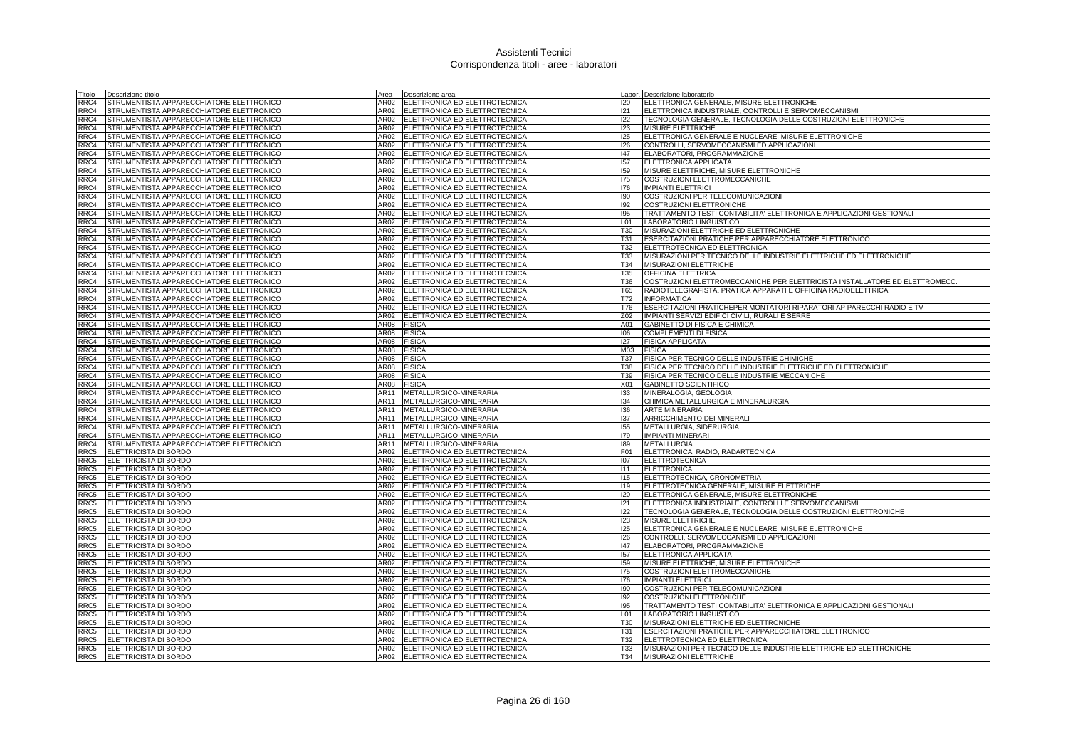| Titolo       | Descrizione titolo                                                                   | Area             | Descrizione area                                               |                   | Labor. Descrizione laboratorio                                             |
|--------------|--------------------------------------------------------------------------------------|------------------|----------------------------------------------------------------|-------------------|----------------------------------------------------------------------------|
| RRC4         | STRUMENTISTA APPARECCHIATORE ELETTRONICO                                             | AR02             | ELETTRONICA ED ELETTROTECNICA                                  | 120               | ELETTRONICA GENERALE, MISURE ELETTRONICHE                                  |
| RRC4         | STRUMENTISTA APPARECCHIATORE ELETTRONICO                                             | AR02             | ELETTRONICA ED ELETTROTECNICA                                  | 121               | ELETTRONICA INDUSTRIALE, CONTROLLI E SERVOMECCANISMI                       |
| RRC4         | STRUMENTISTA APPARECCHIATORE ELETTRONICO                                             |                  | AR02 ELETTRONICA ED ELETTROTECNICA                             | 122               | TECNOLOGIA GENERALE, TECNOLOGIA DELLE COSTRUZIONI ELETTRONICHE             |
| RRC4         | STRUMENTISTA APPARECCHIATORE ELETTRONICO                                             | AR02             | ELETTRONICA ED ELETTROTECNICA                                  | 123               | <b>MISURE ELETTRICHE</b>                                                   |
| RRC4         | STRUMENTISTA APPARECCHIATORE ELETTRONICO                                             | AR02             | ELETTRONICA ED ELETTROTECNICA                                  | 125               | ELETTRONICA GENERALE E NUCLEARE, MISURE ELETTRONICHE                       |
| RRC4         | STRUMENTISTA APPARECCHIATORE ELETTRONICO                                             | AR02             | ELETTRONICA ED ELETTROTECNICA                                  | 126               | CONTROLLI, SERVOMECCANISMI ED APPLICAZIONI                                 |
| RRC4         | STRUMENTISTA APPARECCHIATORE ELETTRONICO                                             | AR02             | ELETTRONICA ED ELETTROTECNICA                                  | 147               | ELABORATORI, PROGRAMMAZIONE                                                |
| RRC4         | STRUMENTISTA APPARECCHIATORE ELETTRONICO                                             | AR02             | ELETTRONICA ED ELETTROTECNICA                                  | 157               | ELETTRONICA APPLICATA                                                      |
| RRC4         | STRUMENTISTA APPARECCHIATORE ELETTRONICO                                             | AR02             | ELETTRONICA ED ELETTROTECNICA                                  | 159               | MISURE ELETTRICHE, MISURE ELETTRONICHE                                     |
| RRC4         | STRUMENTISTA APPARECCHIATORE ELETTRONICO                                             | AR02             | ELETTRONICA ED ELETTROTECNICA                                  | 175               | COSTRUZIONI ELETTROMECCANICHE                                              |
| RRC4         | STRUMENTISTA APPARECCHIATORE ELETTRONICO                                             | AR02             | ELETTRONICA ED ELETTROTECNICA                                  | 176               | <b>IMPIANTI ELETTRICI</b>                                                  |
| RRC4         | STRUMENTISTA APPARECCHIATORE ELETTRONICO                                             | AR02             | ELETTRONICA ED ELETTROTECNICA                                  | 190               | COSTRUZIONI PER TELECOMUNICAZIONI                                          |
| RRC4         | STRUMENTISTA APPARECCHIATORE ELETTRONICO                                             | AR02             | ELETTRONICA ED ELETTROTECNICA                                  | 192               | COSTRUZIONI ELETTRONICHE                                                   |
| RRC4         | STRUMENTISTA APPARECCHIATORE ELETTRONICO                                             | AR02             | ELETTRONICA ED ELETTROTECNICA                                  | 195               | TRATTAMENTO TESTI CONTABILITA' ELETTRONICA E APPLICAZIONI GESTIONALI       |
| RRC4         | STRUMENTISTA APPARECCHIATORE ELETTRONICO                                             | AR02             | ELETTRONICA ED ELETTROTECNICA                                  | L <sub>01</sub>   | LABORATORIO LINGUISTICO                                                    |
| RRC4         | STRUMENTISTA APPARECCHIATORE ELETTRONICO                                             | AR02             | ELETTRONICA ED ELETTROTECNICA                                  | <b>T30</b>        | MISURAZIONI ELETTRICHE ED ELETTRONICHE                                     |
| RRC4         | STRUMENTISTA APPARECCHIATORE ELETTRONICO                                             | AR02             | ELETTRONICA ED ELETTROTECNICA                                  | <b>T31</b>        | ESERCITAZIONI PRATICHE PER APPARECCHIATORE ELETTRONICO                     |
| RRC4         | STRUMENTISTA APPARECCHIATORE ELETTRONICO                                             | AR02             | ELETTRONICA ED ELETTROTECNICA                                  | T32               | ELETTROTECNICA ED ELETTRONICA                                              |
| RRC4         | STRUMENTISTA APPARECCHIATORE ELETTRONICO                                             | AR02             | ELETTRONICA ED ELETTROTECNICA                                  | T33               | MISURAZIONI PER TECNICO DELLE INDUSTRIE ELETTRICHE ED ELETTRONICHE         |
| RRC4<br>RRC4 | STRUMENTISTA APPARECCHIATORE ELETTRONICO<br>STRUMENTISTA APPARECCHIATORE ELETTRONICO | AR02<br>AR02     | ELETTRONICA ED ELETTROTECNICA<br>ELETTRONICA ED ELETTROTECNICA | T34               | MISURAZIONI ELETTRICHE<br><b>OFFICINA ELETTRICA</b>                        |
| RRC4         | STRUMENTISTA APPARECCHIATORE ELETTRONICO                                             | AR02             | ELETTRONICA ED ELETTROTECNICA                                  | T35<br><b>T36</b> | COSTRUZIONI ELETTROMECCANICHE PER ELETTRICISTA INSTALLATORE ED ELETTROMECC |
| RRC4         | STRUMENTISTA APPARECCHIATORE ELETTRONICO                                             | AR02             | ELETTRONICA ED ELETTROTECNICA                                  | <b>T65</b>        | RADIOTELEGRAFISTA, PRATICA APPARATI E OFFICINA RADIOELETTRICA              |
| RRC4         | STRUMENTISTA APPARECCHIATORE ELETTRONICO                                             | AR02             | ELETTRONICA ED ELETTROTECNICA                                  | T72               | <b>INFORMATICA</b>                                                         |
| RRC4         | STRUMENTISTA APPARECCHIATORE ELETTRONICO                                             | AR02             | ELETTRONICA ED ELETTROTECNICA                                  | T76               | ESERCITAZIONI PRATICHEPER MONTATORI RIPARATORI AP PARECCHI RADIO E TV      |
| RRC4         | STRUMENTISTA APPARECCHIATORE ELETTRONICO                                             | AR02             | ELETTRONICA ED ELETTROTECNICA                                  | Z02               | IMPIANTI SERVIZI EDIFICI CIVILI, RURALI E SERRE                            |
| RRC4         | STRUMENTISTA APPARECCHIATORE ELETTRONICO                                             | AR08             | <b>FISICA</b>                                                  | A01               | GABINETTO DI FISICA E CHIMICA                                              |
| RRC4         | STRUMENTISTA APPARECCHIATORE ELETTRONICO                                             | AR08             | <b>FISICA</b>                                                  | 106               | <b>COMPLEMENTI DI FISICA</b>                                               |
| RRC4         | STRUMENTISTA APPARECCHIATORE ELETTRONICO                                             | AR08             | <b>FISICA</b>                                                  | 127               | <b>FISICA APPLICATA</b>                                                    |
| RRC4         | STRUMENTISTA APPARECCHIATORE ELETTRONICO                                             | AR08             | <b>FISICA</b>                                                  | M03               | <b>FISICA</b>                                                              |
| RRC4         | STRUMENTISTA APPARECCHIATORE ELETTRONICO                                             | <b>AR08</b>      | <b>FISICA</b>                                                  | <b>T37</b>        | FISICA PER TECNICO DELLE INDUSTRIE CHIMICHE                                |
| RRC4         | STRUMENTISTA APPARECCHIATORE ELETTRONICO                                             | AR08             | <b>FISICA</b>                                                  | <b>T38</b>        | FISICA PER TECNICO DELLE INDUSTRIE ELETTRICHE ED ELETTRONICHE              |
| RRC4         | STRUMENTISTA APPARECCHIATORE ELETTRONICO                                             | AR08             | <b>FISICA</b>                                                  | T39               | FISICA PER TECNICO DELLE INDUSTRIE MECCANICHE                              |
| RRC4         | STRUMENTISTA APPARECCHIATORE ELETTRONICO                                             | AR08             | <b>FISICA</b>                                                  | X01               | <b>GABINETTO SCIENTIFICO</b>                                               |
| RRC4         | STRUMENTISTA APPARECCHIATORE ELETTRONICO                                             | AR11             | METALLURGICO-MINERARIA                                         | 133               | MINERALOGIA, GEOLOGIA                                                      |
| RRC4         | STRUMENTISTA APPARECCHIATORE ELETTRONICO                                             | AR11             | METALLURGICO-MINERARIA                                         | 134               | CHIMICA METALLURGICA E MINERALURGIA                                        |
| RRC4         | STRUMENTISTA APPARECCHIATORE ELETTRONICO                                             | AR11             | METALLURGICO-MINERARIA                                         | 136               | <b>ARTE MINERARIA</b>                                                      |
| RRC4         | STRUMENTISTA APPARECCHIATORE ELETTRONICO                                             | AR11             | METALLURGICO-MINERARIA                                         | 137               | ARRICCHIMENTO DEI MINERALI                                                 |
| RRC4         | STRUMENTISTA APPARECCHIATORE ELETTRONICO                                             | AR11             | METALLURGICO-MINERARIA                                         | 155               | METALLURGIA, SIDERURGIA                                                    |
| RRC4         | STRUMENTISTA APPARECCHIATORE ELETTRONICO                                             | AR11             | METALLURGICO-MINERARIA                                         | 179               | <b>IMPIANTI MINERARI</b>                                                   |
| RRC4         | STRUMENTISTA APPARECCHIATORE ELETTRONICO                                             | AR11             | METALLURGICO-MINERARIA                                         | 189               | <b>METALLURGIA</b>                                                         |
| RRC5         | ELETTRICISTA DI BORDO                                                                | AR02             | ELETTRONICA ED ELETTROTECNICA                                  | F01               | ELETTRONICA, RADIO, RADARTECNICA                                           |
| RRC5         | <b>ELETTRICISTA DI BORDO</b>                                                         | AR <sub>02</sub> | ELETTRONICA ED ELETTROTECNICA                                  | 107               | <b>ELETTROTECNICA</b>                                                      |
| RRC5         | <b>ELETTRICISTA DI BORDO</b>                                                         | AR02             | ELETTRONICA ED ELETTROTECNICA                                  | 111               | <b>ELETTRONICA</b>                                                         |
| RRC5         | <b>ELETTRICISTA DI BORDO</b>                                                         | AR02             | ELETTRONICA ED ELETTROTECNICA                                  | 115               | ELETTROTECNICA, CRONOMETRIA                                                |
| RRC5         | <b>ELETTRICISTA DI BORDO</b>                                                         | AR02             | ELETTRONICA ED ELETTROTECNICA                                  | 119               | ELETTROTECNICA GENERALE, MISURE ELETTRICHE                                 |
| RRC5         | <b>ELETTRICISTA DI BORDO</b>                                                         | AR02             | ELETTRONICA ED ELETTROTECNICA                                  | 120               | ELETTRONICA GENERALE, MISURE ELETTRONICHE                                  |
| RRC5         | ELETTRICISTA DI BORDO                                                                | AR02             | ELETTRONICA ED ELETTROTECNICA                                  | 121               | ELETTRONICA INDUSTRIALE, CONTROLLI E SERVOMECCANISMI                       |
| RRC5         | ELETTRICISTA DI BORDO                                                                | AR02             | ELETTRONICA ED ELETTROTECNICA                                  | 122               | TECNOLOGIA GENERALE, TECNOLOGIA DELLE COSTRUZIONI ELETTRONICHE             |
| RRC5         | <b>ELETTRICISTA DI BORDO</b>                                                         | AR02             | ELETTRONICA ED ELETTROTECNICA                                  | 123               | MISURE ELETTRICHE                                                          |
| RRC5         | ELETTRICISTA DI BORDO                                                                | AR02             | ELETTRONICA ED ELETTROTECNICA                                  | 125               | ELETTRONICA GENERALE E NUCLEARE, MISURE ELETTRONICHE                       |
| RRC5         | ELETTRICISTA DI BORDO                                                                | AR02             | ELETTRONICA ED ELETTROTECNICA                                  | 126               | CONTROLLI, SERVOMECCANISMI ED APPLICAZIONI                                 |
| RRC5         | <b>ELETTRICISTA DI BORDO</b>                                                         | AR02             | ELETTRONICA ED ELETTROTECNICA                                  | 147               | ELABORATORI, PROGRAMMAZIONE                                                |
| RRC5         | <b>ELETTRICISTA DI BORDO</b>                                                         | AR02             | ELETTRONICA ED ELETTROTECNICA                                  | 157<br>159        | <b>ELETTRONICA APPLICATA</b>                                               |
| RRC5         | ELETTRICISTA DI BORDO                                                                | AR02             | ELETTRONICA ED ELETTROTECNICA                                  |                   | MISURE ELETTRICHE, MISURE ELETTRONICHE                                     |
| RRC5         | <b>ELETTRICISTA DI BORDO</b>                                                         | AR02             | ELETTRONICA ED ELETTROTECNICA<br>ELETTRONICA ED ELETTROTECNICA | 175               | COSTRUZIONI ELETTROMECCANICHE                                              |
| RRC5<br>RRC5 | <b>ELETTRICISTA DI BORDO</b><br>ELETTRICISTA DI BORDO                                | AR02<br>AR02     | ELETTRONICA ED ELETTROTECNICA                                  | 176<br>190        | <b>IMPIANTI ELETTRICI</b><br>COSTRUZIONI PER TELECOMUNICAZIONI             |
| RRC5         | ELETTRICISTA DI BORDO                                                                | AR02             | ELETTRONICA ED ELETTROTECNICA                                  | 192               | COSTRUZIONI ELETTRONICHE                                                   |
| RRC5         | ELETTRICISTA DI BORDO                                                                | AR02             | ELETTRONICA ED ELETTROTECNICA                                  | 195               | TRATTAMENTO TESTI CONTABILITA' ELETTRONICA E APPLICAZIONI GESTIONALI       |
| RRC5         | ELETTRICISTA DI BORDO                                                                | AR02             | ELETTRONICA ED ELETTROTECNICA                                  | L01               | LABORATORIO LINGUISTICO                                                    |
| RRC5         | ELETTRICISTA DI BORDO                                                                | AR02             | ELETTRONICA ED ELETTROTECNICA                                  | <b>T30</b>        | MISURAZIONI ELETTRICHE ED ELETTRONICHE                                     |
| RRC5         | <b>ELETTRICISTA DI BORDO</b>                                                         | AR02             | ELETTRONICA ED ELETTROTECNICA                                  | T31               | ESERCITAZIONI PRATICHE PER APPARECCHIATORE ELETTRONICO                     |
| RRC5         | ELETTRICISTA DI BORDO                                                                | AR02             | ELETTRONICA ED ELETTROTECNICA                                  | T32               | ELETTROTECNICA ED ELETTRONICA                                              |
|              | RRC5 ELETTRICISTA DI BORDO                                                           | AR02             | ELETTRONICA ED ELETTROTECNICA                                  | <b>T33</b>        | MISURAZIONI PER TECNICO DELLE INDUSTRIE ELETTRICHE ED ELETTRONICHE         |
|              | RRC5 ELETTRICISTA DI BORDO                                                           | AR02             | ELETTRONICA ED ELETTROTECNICA                                  | <b>T34</b>        | MISURAZIONI ELETTRICHE                                                     |
|              |                                                                                      |                  |                                                                |                   |                                                                            |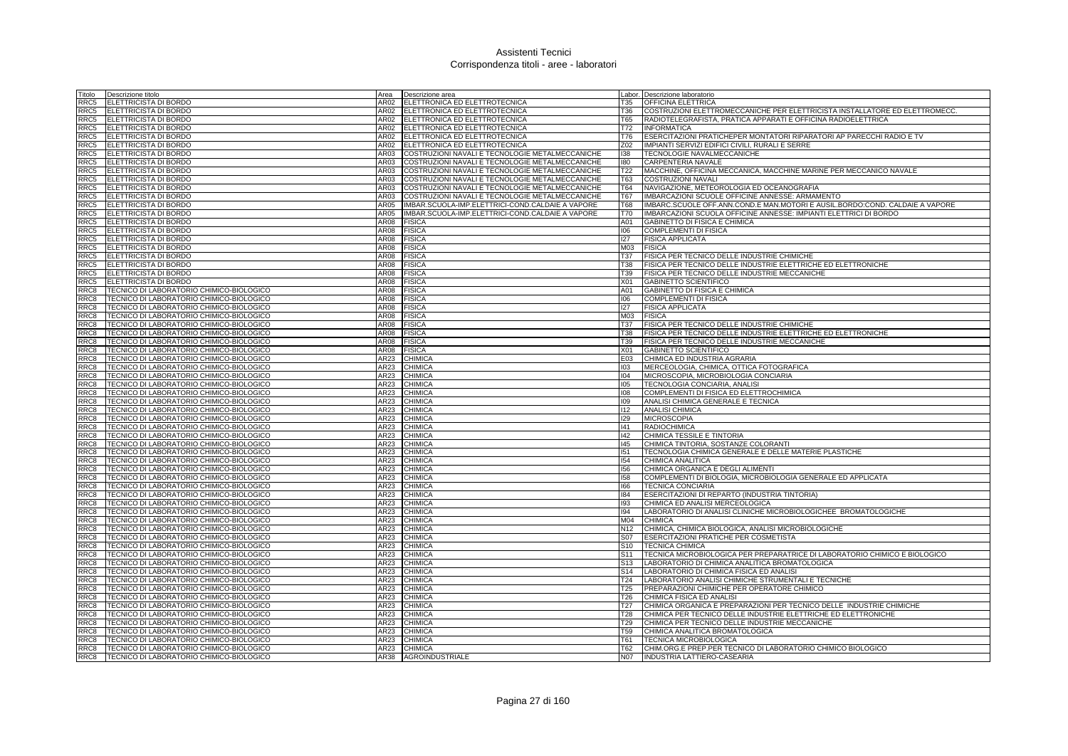| Titolo           | Descrizione titolo                                                                   | Area         | Descrizione area                                 |                 | Labor. Descrizione laboratorio                                               |
|------------------|--------------------------------------------------------------------------------------|--------------|--------------------------------------------------|-----------------|------------------------------------------------------------------------------|
| RRC5             | ELETTRICISTA DI BORDO                                                                | AR02         | ELETTRONICA ED ELETTROTECNICA                    | T35             | <b>OFFICINA ELETTRICA</b>                                                    |
| RRC5             | <b>ELETTRICISTA DI BORDO</b>                                                         | AR02         | ELETTRONICA ED ELETTROTECNICA                    | T36             | COSTRUZIONI ELETTROMECCANICHE PER ELETTRICISTA INSTALLATORE ED ELETTROMECC.  |
| RRC5             | <b>ELETTRICISTA DI BORDO</b>                                                         |              | AR02 ELETTRONICA ED ELETTROTECNICA               | T65             | RADIOTELEGRAFISTA, PRATICA APPARATI E OFFICINA RADIOELETTRICA                |
|                  | RRC5 ELETTRICISTA DI BORDO                                                           | AR02         | ELETTRONICA ED ELETTROTECNICA                    | T72             | <b>INFORMATICA</b>                                                           |
| RRC5             | <b>ELETTRICISTA DI BORDO</b>                                                         | AR02         | ELETTRONICA ED ELETTROTECNICA                    | <b>T76</b>      | ESERCITAZIONI PRATICHEPER MONTATORI RIPARATORI AP PARECCHI RADIO E TV        |
| RRC5             | <b>ELETTRICISTA DI BORDO</b>                                                         | AR02         | ELETTRONICA ED ELETTROTECNICA                    | Z02             | IMPIANTI SERVIZI EDIFICI CIVILI, RURALI E SERRE                              |
| RRC5             | ELETTRICISTA DI BORDO                                                                | AR03         | COSTRUZIONI NAVALI E TECNOLOGIE METALMECCANICHE  | 138             | TECNOLOGIE NAVALMECCANICHE                                                   |
|                  | RRC5 ELETTRICISTA DI BORDO                                                           | AR03         | COSTRUZIONI NAVALI E TECNOLOGIE METALMECCANICHE  | 180             | CARPENTERIA NAVALE                                                           |
| RRC <sub>5</sub> | <b>ELETTRICISTA DI BORDO</b>                                                         | AR03         | COSTRUZIONI NAVALI E TECNOLOGIE METALMECCANICHE  | T <sub>22</sub> | MACCHINE, OFFICINA MECCANICA, MACCHINE MARINE PER MECCANICO NAVALE           |
| RRC5             | <b>ELETTRICISTA DI BORDO</b>                                                         | AR03         | COSTRUZIONI NAVALI E TECNOLOGIE METALMECCANICHE  | T63             | <b>COSTRUZIONI NAVALI</b>                                                    |
| RRC5             | <b>ELETTRICISTA DI BORDO</b>                                                         | AR03         | COSTRUZIONI NAVALI E TECNOLOGIE METALMECCANICHE  | <b>T64</b>      | NAVIGAZIONE, METEOROLOGIA ED OCEANOGRAFIA                                    |
| RRC5             | ELETTRICISTA DI BORDO                                                                | AR03         | COSTRUZIONI NAVALI E TECNOLOGIE METALMECCANICHE  | <b>T67</b>      | IMBARCAZIONI SCUOLE OFFICINE ANNESSE: ARMAMENTO                              |
| RRC5             | ELETTRICISTA DI BORDO                                                                | AR05         | IMBAR.SCUOLA-IMP.ELETTRICI-COND.CALDAIE A VAPORE | T68             | IMBARC.SCUOLE OFF.ANN.COND.E MAN.MOTORI E AUSIL.BORDO:COND. CALDAIE A VAPORE |
| RRC5             | ELETTRICISTA DI BORDO                                                                | AR05         | IMBAR.SCUOLA-IMP.ELETTRICI-COND.CALDAIE A VAPORE | <b>T70</b>      | IMBARCAZIONI SCUOLA OFFICINE ANNESSE: IMPIANTI ELETTRICI DI BORDO            |
| RRC5             | <b>ELETTRICISTA DI BORDO</b>                                                         | AR08         | <b>FISICA</b>                                    | A01             | GABINETTO DI FISICA E CHIMICA                                                |
| RRC5             | ELETTRICISTA DI BORDO                                                                | AR08         | <b>FISICA</b>                                    | 106             | COMPLEMENTI DI FISICA                                                        |
| RRC5             | <b>ELETTRICISTA DI BORDO</b>                                                         | AR08         | <b>FISICA</b>                                    | 127             | <b>FISICA APPLICATA</b>                                                      |
| RRC5             | ELETTRICISTA DI BORDO                                                                | AR08         | <b>FISICA</b>                                    | M03             | <b>FISICA</b>                                                                |
| RRC5             | <b>ELETTRICISTA DI BORDO</b>                                                         | AR08         | <b>FISICA</b>                                    | T37             | FISICA PER TECNICO DELLE INDUSTRIE CHIMICHE                                  |
| RRC5             | <b>ELETTRICISTA DI BORDO</b>                                                         | AR08         | <b>FISICA</b>                                    | <b>T38</b>      | FISICA PER TECNICO DELLE INDUSTRIE ELETTRICHE ED ELETTRONICHE                |
| RRC5             | <b>ELETTRICISTA DI BORDO</b>                                                         | AR08         | <b>FISICA</b>                                    | T39             | FISICA PER TECNICO DELLE INDUSTRIE MECCANICHE                                |
| RRC5             | ELETTRICISTA DI BORDO                                                                | AR08         | <b>FISICA</b>                                    | X01             | <b>GABINETTO SCIENTIFICO</b>                                                 |
| RRC8             | TECNICO DI LABORATORIO CHIMICO-BIOLOGICO                                             | AR08         | <b>FISICA</b>                                    | A01             | GABINETTO DI FISICA E CHIMICA                                                |
| RRC8             | TECNICO DI LABORATORIO CHIMICO-BIOLOGICO                                             | AR08         | <b>FISICA</b>                                    | 106             | <b>COMPLEMENTI DI FISICA</b>                                                 |
| RRC8             | TECNICO DI LABORATORIO CHIMICO-BIOLOGICO                                             | <b>AR08</b>  | <b>FISICA</b>                                    | 127             | <b>FISICA APPLICATA</b>                                                      |
| RRC8             | TECNICO DI LABORATORIO CHIMICO-BIOLOGICO                                             | AR08         | <b>FISICA</b>                                    | M03             | <b>FISICA</b>                                                                |
| RRC8             | TECNICO DI LABORATORIO CHIMICO-BIOLOGICO                                             | AR08         | <b>FISICA</b>                                    | <b>T37</b>      | FISICA PER TECNICO DELLE INDUSTRIE CHIMICHE                                  |
| RRC8             | TECNICO DI LABORATORIO CHIMICO-BIOLOGICO                                             | AR08         | <b>FISICA</b>                                    | <b>T38</b>      | FISICA PER TECNICO DELLE INDUSTRIE ELETTRICHE ED ELETTRONICHE                |
| RRC8             | TECNICO DI LABORATORIO CHIMICO-BIOLOGICO                                             | AR08         | <b>FISICA</b>                                    | T39             | FISICA PER TECNICO DELLE INDUSTRIE MECCANICHE                                |
| RRC8             | TECNICO DI LABORATORIO CHIMICO-BIOLOGICO                                             | AR08         | <b>FISICA</b>                                    | X01             | GABINETTO SCIENTIFICO                                                        |
| RRC8             | TECNICO DI LABORATORIO CHIMICO-BIOLOGICO<br>TECNICO DI LABORATORIO CHIMICO-BIOLOGICO | AR23<br>AR23 | <b>CHIMICA</b><br><b>CHIMICA</b>                 | E03<br>103      | CHIMICA ED INDUSTRIA AGRARIA                                                 |
| RRC8             |                                                                                      | AR23         | <b>CHIMICA</b>                                   | 104             | MERCEOLOGIA, CHIMICA, OTTICA FOTOGRAFICA                                     |
| RRC8<br>RRC8     | TECNICO DI LABORATORIO CHIMICO-BIOLOGICO<br>TECNICO DI LABORATORIO CHIMICO-BIOLOGICO | AR23         | <b>CHIMICA</b>                                   | 105             | MICROSCOPIA, MICROBIOLOGIA CONCIARIA<br>TECNOLOGIA CONCIARIA, ANALISI        |
| RRC8             | TECNICO DI LABORATORIO CHIMICO-BIOLOGICO                                             | AR23         | <b>CHIMICA</b>                                   | 108             | COMPLEMENTI DI FISICA ED ELETTROCHIMICA                                      |
| RRC8             | TECNICO DI LABORATORIO CHIMICO-BIOLOGICO                                             | AR23         | <b>CHIMICA</b>                                   | 109             | ANALISI CHIMICA GENERALE E TECNICA                                           |
| RRC8             | TECNICO DI LABORATORIO CHIMICO-BIOLOGICO                                             | AR23         | <b>CHIMICA</b>                                   | 112             | <b>ANALISI CHIMICA</b>                                                       |
| RRC8             | TECNICO DI LABORATORIO CHIMICO-BIOLOGICO                                             | AR23         | <b>CHIMICA</b>                                   | 129             | <b>MICROSCOPIA</b>                                                           |
| RRC8             | TECNICO DI LABORATORIO CHIMICO-BIOLOGICO                                             | AR23         | CHIMICA                                          | 41              | <b>RADIOCHIMICA</b>                                                          |
| RRC <sub>8</sub> | TECNICO DI LABORATORIO CHIMICO-BIOLOGICO                                             | <b>AR23</b>  | <b>CHIMICA</b>                                   | 142             | CHIMICA TESSILE E TINTORIA                                                   |
| RRC8             | TECNICO DI LABORATORIO CHIMICO-BIOLOGICO                                             | AR23         | CHIMICA                                          | 145             | CHIMICA TINTORIA, SOSTANZE COLORANTI                                         |
| RRC8             | TECNICO DI LABORATORIO CHIMICO-BIOLOGICO                                             | AR23         | <b>CHIMICA</b>                                   | 151             | TECNOLOGIA CHIMICA GENERALE E DELLE MATERIE PLASTICHE                        |
| RRC8             | TECNICO DI LABORATORIO CHIMICO-BIOLOGICO                                             | AR23         | <b>CHIMICA</b>                                   | 154             | CHIMICA ANALITICA                                                            |
| RRC8             | TECNICO DI LABORATORIO CHIMICO-BIOLOGICO                                             | AR23         | <b>CHIMICA</b>                                   | 156             | CHIMICA ORGANICA E DEGLI ALIMENTI                                            |
| RRC8             | TECNICO DI LABORATORIO CHIMICO-BIOLOGICO                                             | AR23         | <b>CHIMICA</b>                                   | 158             | COMPLEMENTI DI BIOLOGIA, MICROBIOLOGIA GENERALE ED APPLICATA                 |
| RRC8             | TECNICO DI LABORATORIO CHIMICO-BIOLOGICO                                             | AR23         | <b>CHIMICA</b>                                   | 166             | <b>TECNICA CONCIARIA</b>                                                     |
| RRC8             | TECNICO DI LABORATORIO CHIMICO-BIOLOGICO                                             | AR23         | <b>CHIMICA</b>                                   | 184             | ESERCITAZIONI DI REPARTO (INDUSTRIA TINTORIA)                                |
| RRC8             | TECNICO DI LABORATORIO CHIMICO-BIOLOGICO                                             | AR23         | CHIMICA                                          | 193             | CHIMICA ED ANALISI MERCEOLOGICA                                              |
| RRC8             | TECNICO DI LABORATORIO CHIMICO-BIOLOGICO                                             | AR23         | <b>CHIMICA</b>                                   | 194             | LABORATORIO DI ANALISI CLINICHE MICROBIOLOGICHEE BROMATOLOGICHE              |
| RRC8             | TECNICO DI LABORATORIO CHIMICO-BIOLOGICO                                             | AR23         | <b>CHIMICA</b>                                   | M04             | <b>CHIMICA</b>                                                               |
| RRC8             | TECNICO DI LABORATORIO CHIMICO-BIOLOGICO                                             | AR23         | <b>CHIMICA</b>                                   | N12             | CHIMICA, CHIMICA BIOLOGICA, ANALISI MICROBIOLOGICHE                          |
| RRC8             | TECNICO DI LABORATORIO CHIMICO-BIOLOGICO                                             | AR23         | CHIMICA                                          | S07             | ESERCITAZIONI PRATICHE PER COSMETISTA                                        |
| RRC8             | TECNICO DI LABORATORIO CHIMICO-BIOLOGICO                                             | <b>AR23</b>  | <b>CHIMICA</b>                                   | S <sub>10</sub> | <b>TECNICA CHIMICA</b>                                                       |
| RRC8             | TECNICO DI LABORATORIO CHIMICO-BIOLOGICO                                             | AR23         | <b>CHIMICA</b>                                   | S11             | TECNICA MICROBIOLOGICA PER PREPARATRICE DI LABORATORIO CHIMICO E BIOLOGICO   |
| RRC8             | TECNICO DI LABORATORIO CHIMICO-BIOLOGICO                                             | AR23         | <b>CHIMICA</b>                                   | S <sub>13</sub> | LABORATORIO DI CHIMICA ANALITICA BROMATOLOGICA                               |
| RRC8             | TECNICO DI LABORATORIO CHIMICO-BIOLOGICO                                             | AR23         | <b>CHIMICA</b>                                   | S14             | LABORATORIO DI CHIMICA FISICA ED ANALISI                                     |
| RRC8             | TECNICO DI LABORATORIO CHIMICO-BIOLOGICO                                             | AR23         | <b>CHIMICA</b>                                   | T24             | LABORATORIO ANALISI CHIMICHE STRUMENTALI E TECNICHE                          |
| RRC8             | TECNICO DI LABORATORIO CHIMICO-BIOLOGICO                                             | AR23         | <b>CHIMICA</b>                                   | T <sub>25</sub> | PREPARAZIONI CHIMICHE PER OPERATORE CHIMICO                                  |
| RRC8             | TECNICO DI LABORATORIO CHIMICO-BIOLOGICO                                             | AR23         | <b>CHIMICA</b>                                   | T26             | CHIMICA FISICA ED ANALISI                                                    |
| RRC8             | TECNICO DI LABORATORIO CHIMICO-BIOLOGICO                                             | AR23         | <b>CHIMICA</b>                                   | T <sub>27</sub> | CHIMICA ORGANICA E PREPARAZIONI PER TECNICO DELLE INDUSTRIE CHIMICHE         |
| RRC8             | TECNICO DI LABORATORIO CHIMICO-BIOLOGICO                                             | AR23         | CHIMICA                                          | <b>T28</b>      | CHIMICA PER TECNICO DELLE INDUSTRIE ELETTRICHE ED ELETTRONICHE               |
| RRC8             | TECNICO DI LABORATORIO CHIMICO-BIOLOGICO                                             | AR23         | <b>CHIMICA</b>                                   | T29             | CHIMICA PER TECNICO DELLE INDUSTRIE MECCANICHE                               |
| RRC8             | TECNICO DI LABORATORIO CHIMICO-BIOLOGICO                                             | AR23         | <b>CHIMICA</b>                                   | <b>T59</b>      | CHIMICA ANALITICA BROMATOLOGICA                                              |
| RRC8             | TECNICO DI LABORATORIO CHIMICO-BIOLOGICO                                             | AR23         | <b>CHIMICA</b>                                   | T61             | <b>TECNICA MICROBIOLOGICA</b>                                                |
| RRC8             | TECNICO DI LABORATORIO CHIMICO-BIOLOGICO                                             | AR23         | <b>CHIMICA</b>                                   | T62             | CHIM.ORG.E PREP.PER TECNICO DI LABORATORIO CHIMICO BIOLOGICO                 |
| RRC8             | TECNICO DI LABORATORIO CHIMICO-BIOLOGICO                                             |              | AR38 AGROINDUSTRIALE                             | <b>N07</b>      | <b>INDUSTRIA LATTIERO-CASEARIA</b>                                           |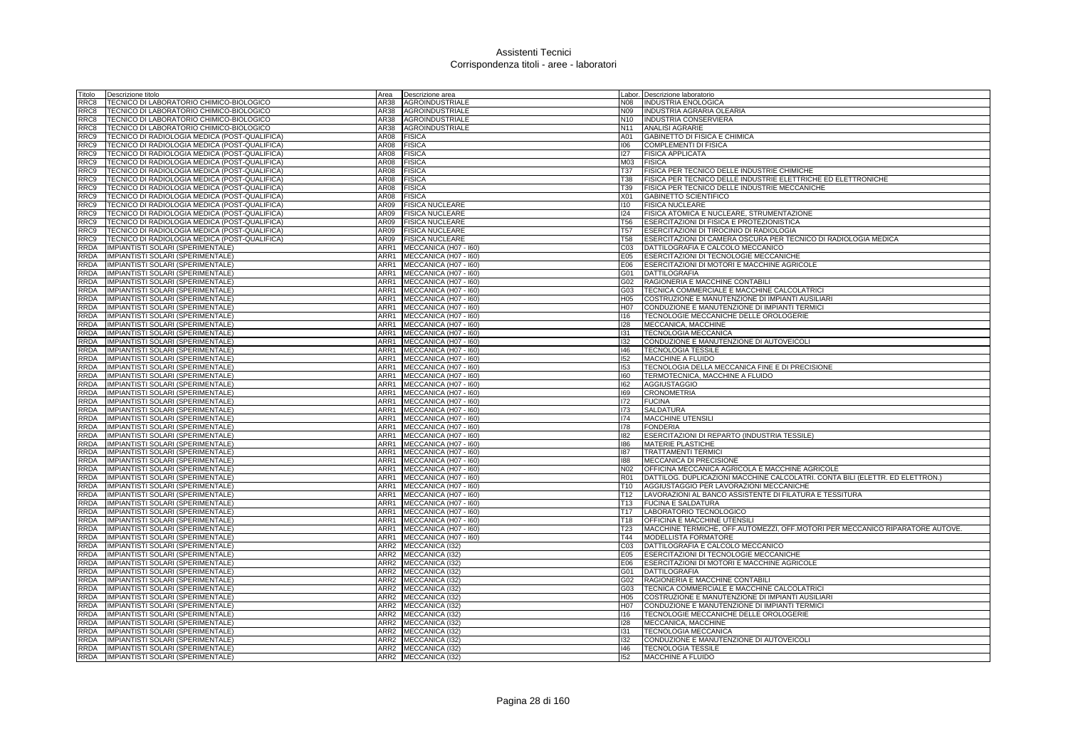| Fitolo      | Descrizione titolo                            | Area             | Descrizione area           |                 | Labor. Descrizione laboratorio                                                |
|-------------|-----------------------------------------------|------------------|----------------------------|-----------------|-------------------------------------------------------------------------------|
| RRC8        | TECNICO DI LABORATORIO CHIMICO-BIOLOGICO      | AR38             | <b>AGROINDUSTRIALE</b>     | N08             | <b>INDUSTRIA ENOLOGICA</b>                                                    |
| RRC8        | TECNICO DI LABORATORIO CHIMICO-BIOLOGICO      | AR38             | <b>AGROINDUSTRIALE</b>     | N09             | INDUSTRIA AGRARIA OLEARIA                                                     |
| RRC8        | TECNICO DI LABORATORIO CHIMICO-BIOLOGICO      | AR38             | <b>AGROINDUSTRIALE</b>     | N10             | INDUSTRIA CONSERVIERA                                                         |
| RRC8        | TECNICO DI LABORATORIO CHIMICO-BIOLOGICO      | AR38             | <b>AGROINDUSTRIALE</b>     | N11             | <b>ANALISI AGRARIE</b>                                                        |
| RRC9        | TECNICO DI RADIOLOGIA MEDICA (POST-QUALIFICA) | AR08             | <b>FISICA</b>              | A01             | GABINETTO DI FISICA E CHIMICA                                                 |
| RRC9        | TECNICO DI RADIOLOGIA MEDICA (POST-QUALIFICA) | AR08             | <b>FISICA</b>              | 106             | <b>COMPLEMENTI DI FISICA</b>                                                  |
| RRC9        | TECNICO DI RADIOLOGIA MEDICA (POST-QUALIFICA) | AR08             | <b>FISICA</b>              | 127             | <b>FISICA APPLICATA</b>                                                       |
| RRC9        | TECNICO DI RADIOLOGIA MEDICA (POST-QUALIFICA) | AR08             | <b>FISICA</b>              | M03             | <b>FISICA</b>                                                                 |
| RRC9        | TECNICO DI RADIOLOGIA MEDICA (POST-QUALIFICA) | AR08             | <b>FISICA</b>              | <b>T37</b>      | <b>FISICA PER TECNICO DELLE INDUSTRIE CHIMICHE</b>                            |
| RRC9        | TECNICO DI RADIOLOGIA MEDICA (POST-QUALIFICA) | AR08             | <b>FISICA</b>              | <b>T38</b>      | FISICA PER TECNICO DELLE INDUSTRIE ELETTRICHE ED ELETTRONICHE                 |
| RRC9        | TECNICO DI RADIOLOGIA MEDICA (POST-QUALIFICA) | AR08             | <b>FISICA</b>              | T39             | FISICA PER TECNICO DELLE INDUSTRIE MECCANICHE                                 |
| RRC9        | TECNICO DI RADIOLOGIA MEDICA (POST-QUALIFICA) | AR08             | <b>FISICA</b>              | X01             | <b>GABINETTO SCIENTIFICO</b>                                                  |
| RRC9        | TECNICO DI RADIOLOGIA MEDICA (POST-QUALIFICA) | AR09             | <b>FISICA NUCLEARE</b>     | 110             | <b>FISICA NUCLEARE</b>                                                        |
| RRC9        | TECNICO DI RADIOLOGIA MEDICA (POST-QUALIFICA) | AR09             | <b>FISICA NUCLEARE</b>     | 124             | FISICA ATOMICA E NUCLEARE, STRUMENTAZIONE                                     |
| RRC9        | TECNICO DI RADIOLOGIA MEDICA (POST-QUALIFICA) | AR09             | <b>FISICA NUCLEARE</b>     | <b>T56</b>      | ESERCITAZIONI DI FISICA E PROTEZIONISTICA                                     |
| RRC9        | TECNICO DI RADIOLOGIA MEDICA (POST-QUALIFICA) | AR09             | <b>FISICA NUCLEARE</b>     | T <sub>57</sub> | ESERCITAZIONI DI TIROCINIO DI RADIOLOGIA                                      |
| RRC9        | TECNICO DI RADIOLOGIA MEDICA (POST-QUALIFICA) | AR09             | <b>FISICA NUCLEARE</b>     | <b>T58</b>      | ESERCITAZIONI DI CAMERA OSCURA PER TECNICO DI RADIOLOGIA MEDICA               |
| <b>RRDA</b> | IMPIANTISTI SOLARI (SPERIMENTALE)             | ARR1             | MECCANICA (H07 - I60)      | CO <sub>3</sub> | DATTILOGRAFIA E CALCOLO MECCANICO                                             |
| RRDA        | IMPIANTISTI SOLARI (SPERIMENTALE)             | ARR1             | MECCANICA (H07 - I60)      | E05             | ESERCITAZIONI DI TECNOLOGIE MECCANICHE                                        |
| RRDA        | IMPIANTISTI SOLARI (SPERIMENTALE)             |                  | ARR1 MECCANICA (H07 - 160) | E06             | ESERCITAZIONI DI MOTORI E MACCHINE AGRICOLE                                   |
| RRDA        | IMPIANTISTI SOLARI (SPERIMENTALE)             |                  | ARR1 MECCANICA (H07 - 160) | G01             | <b>DATTILOGRAFIA</b>                                                          |
| <b>RRDA</b> | IMPIANTISTI SOLARI (SPERIMENTALE)             | ARR1             | MECCANICA (H07 - 160)      | G02             | RAGIONERIA E MACCHINE CONTABILI                                               |
| <b>RRDA</b> | IMPIANTISTI SOLARI (SPERIMENTALE)             | ARR1             | MECCANICA (H07 - I60)      | G03             | TECNICA COMMERCIALE E MACCHINE CALCOLATRICI                                   |
| <b>RRDA</b> | IMPIANTISTI SOLARI (SPERIMENTALE)             | ARR1             | MECCANICA (H07 - I60)      | H05             | COSTRUZIONE E MANUTENZIONE DI IMPIANTI AUSILIARI                              |
| RDA         | IMPIANTISTI SOLARI (SPERIMENTALE)             | ARR1             | MECCANICA (H07 - I60)      | H <sub>07</sub> | CONDUZIONE E MANUTENZIONE DI IMPIANTI TERMICI                                 |
| RRDA        | IMPIANTISTI SOLARI (SPERIMENTALE)             | ARR1             | MECCANICA (H07 - I60)      | 116             | TECNOLOGIE MECCANICHE DELLE OROLOGERIE                                        |
| <b>RRDA</b> | IMPIANTISTI SOLARI (SPERIMENTALE)             | ARR1             | MECCANICA (H07 - I60)      | 128             | MECCANICA, MACCHINE                                                           |
| RRDA        | IMPIANTISTI SOLARI (SPERIMENTALE)             | ARR1             | MECCANICA (H07 - I60)      | 131             | TECNOLOGIA MECCANICA                                                          |
| RRDA        | IMPIANTISTI SOLARI (SPERIMENTALE)             | ARR1             | MECCANICA (H07 - I60)      | 132             | CONDUZIONE E MANUTENZIONE DI AUTOVEICOLI                                      |
| RRDA        | IMPIANTISTI SOLARI (SPERIMENTALE)             | ARR1             | MECCANICA (H07 - I60)      | 146             | <b>TECNOLOGIA TESSILE</b>                                                     |
| <b>RRDA</b> | IMPIANTISTI SOLARI (SPERIMENTALE)             | ARR1             | MECCANICA (H07 - I60)      | 152             | <b>MACCHINE A FLUIDO</b>                                                      |
| <b>RRDA</b> | IMPIANTISTI SOLARI (SPERIMENTALE)             | ARR1             | MECCANICA (H07 - 160)      | 153             | TECNOLOGIA DELLA MECCANICA FINE E DI PRECISIONE                               |
| <b>RRDA</b> | IMPIANTISTI SOLARI (SPERIMENTALE)             | ARR1             | MECCANICA (H07 - I60)      | 160             | TERMOTECNICA, MACCHINE A FLUIDO                                               |
| RRDA        | IMPIANTISTI SOLARI (SPERIMENTALE)             | ARR1             | MECCANICA (H07 - I60)      | 162             | <b>AGGIUSTAGGIO</b>                                                           |
| <b>RRDA</b> | IMPIANTISTI SOLARI (SPERIMENTALE)             | ARR1             | MECCANICA (H07 - 160)      | 169             | <b>CRONOMETRIA</b>                                                            |
| <b>RRDA</b> | IMPIANTISTI SOLARI (SPERIMENTALE)             | ARR1             | MECCANICA (H07 - I60)      | 172             | <b>FUCINA</b>                                                                 |
| <b>RRDA</b> | IMPIANTISTI SOLARI (SPERIMENTALE)             | ARR1             | MECCANICA (H07 - I60)      | 173             | <b>SALDATURA</b>                                                              |
| RRDA        | IMPIANTISTI SOLARI (SPERIMENTALE)             | ARR1             | MECCANICA (H07 - I60)      | 174             | <b>MACCHINE UTENSILI</b>                                                      |
| <b>RRDA</b> | IMPIANTISTI SOLARI (SPERIMENTALE)             | ARR1             | MECCANICA (H07 - I60)      | 178             | <b>FONDERIA</b>                                                               |
| <b>RRDA</b> | IMPIANTISTI SOLARI (SPERIMENTALE)             | ARR1             | MECCANICA (H07 - I60)      | 182             | ESERCITAZIONI DI REPARTO (INDUSTRIA TESSILE)                                  |
| RRDA        | <b>IMPIANTISTI SOLARI (SPERIMENTALE)</b>      | ARR1             | MECCANICA (H07 - I60)      | 186             | <b>MATERIE PLASTICHE</b>                                                      |
| RRDA        | IMPIANTISTI SOLARI (SPERIMENTALE)             | ARR1             | MECCANICA (H07 - I60)      | 187             | <b>TRATTAMENTI TERMIC</b>                                                     |
| RRDA        | IMPIANTISTI SOLARI (SPERIMENTALE)             | ARR1             | MECCANICA (H07 - I60)      | 188             | MECCANICA DI PRECISIONE                                                       |
| RRDA        | IMPIANTISTI SOLARI (SPERIMENTALE)             | ARR1             | MECCANICA (H07 - I60)      | N <sub>02</sub> | OFFICINA MECCANICA AGRICOLA E MACCHINE AGRICOLE                               |
| <b>RRDA</b> | IMPIANTISTI SOLARI (SPERIMENTALE)             | ARR1             | MECCANICA (H07 - I60)      | <b>R01</b>      | DATTILOG. DUPLICAZIONI MACCHINE CALCOLATRI. CONTA BILI (ELETTR. ED ELETTRON.) |
| RRDA        | IMPIANTISTI SOLARI (SPERIMENTALE)             | ARR1             | MECCANICA (H07 - I60)      | T <sub>10</sub> | AGGIUSTAGGIO PER LAVORAZIONI MECCANICHE                                       |
| RRDA        | IMPIANTISTI SOLARI (SPERIMENTALE)             | ARR1             | MECCANICA (H07 - I60)      | T <sub>12</sub> | LAVORAZIONI AL BANCO ASSISTENTE DI FILATURA E TESSITURA                       |
| <b>RRDA</b> | IMPIANTISTI SOLARI (SPERIMENTALE)             | ARR1             | MECCANICA (H07 - I60)      | T <sub>13</sub> | <b>FUCINA E SALDATURA</b>                                                     |
| <b>RRDA</b> | IMPIANTISTI SOLARI (SPERIMENTALE)             | ARR1             | MECCANICA (H07 - I60)      | T <sub>17</sub> | LABORATORIO TECNOLOGICO                                                       |
| <b>RRDA</b> | IMPIANTISTI SOLARI (SPERIMENTALE)             | ARR1             | MECCANICA (H07 - I60)      | T <sub>18</sub> | OFFICINA E MACCHINE UTENSILI                                                  |
| RRDA        | IMPIANTISTI SOLARI (SPERIMENTALE)             | ARR1             | MECCANICA (H07 - I60)      | T <sub>23</sub> | MACCHINE TERMICHE, OFF.AUTOMEZZI, OFF.MOTORI PER MECCANICO RIPARATORE AUTOVE. |
| <b>RRDA</b> | IMPIANTISTI SOLARI (SPERIMENTALE)             | ARR1             | MECCANICA (H07 - I60)      | T44             | <b>MODELLISTA FORMATORE</b>                                                   |
| <b>RRDA</b> | IMPIANTISTI SOLARI (SPERIMENTALE)             | ARR <sub>2</sub> | <b>MECCANICA (I32)</b>     | CO <sub>3</sub> | DATTILOGRAFIA E CALCOLO MECCANICO                                             |
| RRDA        | IMPIANTISTI SOLARI (SPERIMENTALE)             | ARR2             | MECCANICA (I32)            | E05             | ESERCITAZIONI DI TECNOLOGIE MECCANICHE                                        |
| RRDA        | IMPIANTISTI SOLARI (SPERIMENTALE)             | ARR2             | MECCANICA (132)            | E06             | ESERCITAZIONI DI MOTORI E MACCHINE AGRICOLE                                   |
| RDA         | IMPIANTISTI SOLARI (SPERIMENTALE)             | ARR2             | MECCANICA (I32)            | G01             | DATTILOGRAFIA                                                                 |
| RRDA        | IMPIANTISTI SOLARI (SPERIMENTALE)             | ARR2             | MECCANICA (132)            | G02             | RAGIONERIA E MACCHINE CONTABILI                                               |
| RRDA        | IMPIANTISTI SOLARI (SPERIMENTALE)             | ARR2             | MECCANICA (I32)            | G03             | TECNICA COMMERCIALE E MACCHINE CALCOLATRICI                                   |
| RRDA        | IMPIANTISTI SOLARI (SPERIMENTALE)             | ARR2             | MECCANICA (I32)            | H05             | COSTRUZIONE E MANUTENZIONE DI IMPIANTI AUSILIARI                              |
| RRDA        | IMPIANTISTI SOLARI (SPERIMENTALE)             | ARR2             | MECCANICA (I32)            | H07             | CONDUZIONE E MANUTENZIONE DI IMPIANTI TERMICI                                 |
| RRDA        | IMPIANTISTI SOLARI (SPERIMENTALE)             | ARR2             | MECCANICA (132)            | 116             | TECNOLOGIE MECCANICHE DELLE OROLOGERIE                                        |
| <b>RRDA</b> | IMPIANTISTI SOLARI (SPERIMENTALE)             | ARR <sub>2</sub> | MECCANICA (I32)            | 128             | MECCANICA, MACCHINE                                                           |
| <b>RRDA</b> | IMPIANTISTI SOLARI (SPERIMENTALE)             | ARR2             | MECCANICA (132)            | 131             | <b>TECNOLOGIA MECCANICA</b>                                                   |
| RRDA        | IMPIANTISTI SOLARI (SPERIMENTALE)             |                  | ARR2 MECCANICA (132)       | 132             | CONDUZIONE E MANUTENZIONE DI AUTOVEICOLI                                      |
| RRDA        | IMPIANTISTI SOLARI (SPERIMENTALE)             |                  | ARR2 MECCANICA (I32)       | 146             | <b>TECNOLOGIA TESSILE</b>                                                     |
| RRDA        | IMPIANTISTI SOLARI (SPERIMENTALE)             |                  | ARR2 MECCANICA (I32)       | 152             | <b>MACCHINE A FLUIDO</b>                                                      |
|             |                                               |                  |                            |                 |                                                                               |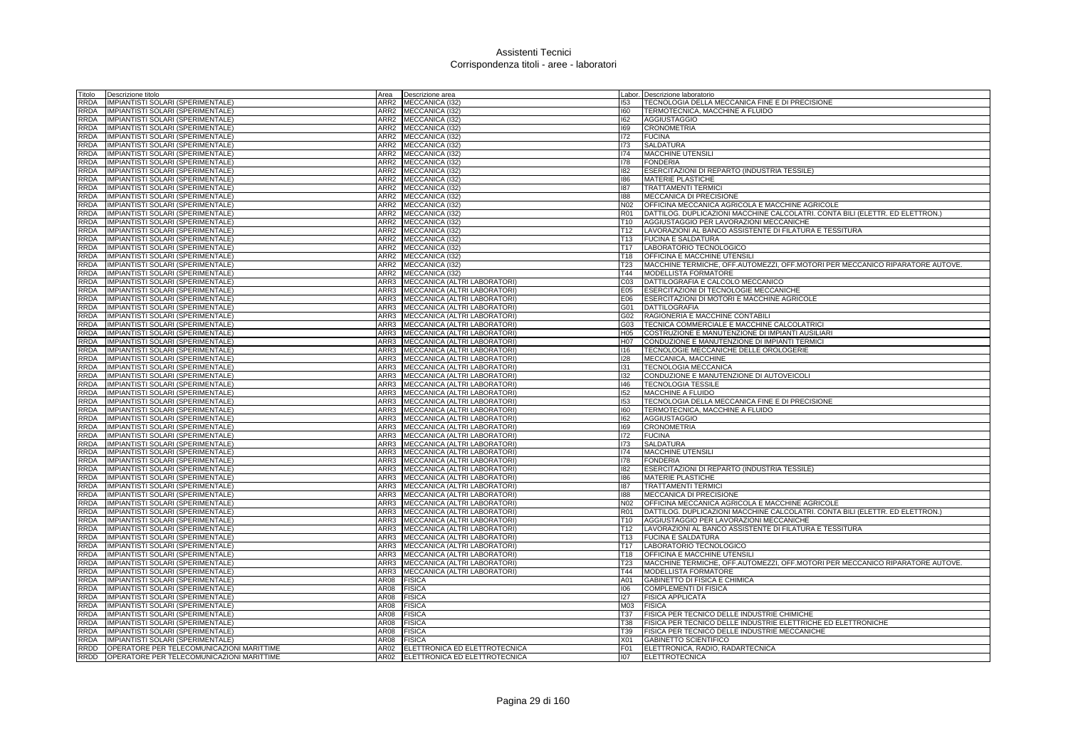| Titolo      | Descrizione titolo                        | Area | Descrizione area                    |                 | Labor. Descrizione laboratorio                                                |
|-------------|-------------------------------------------|------|-------------------------------------|-----------------|-------------------------------------------------------------------------------|
| <b>RRDA</b> | IMPIANTISTI SOLARI (SPERIMENTALE)         | ARR2 | MECCANICA (I32                      | 153             | TECNOLOGIA DELLA MECCANICA FINE E DI PRECISIONE                               |
| <b>RRDA</b> | IMPIANTISTI SOLARI (SPERIMENTALE)         |      | ARR2 MECCANICA (I32)                | 160             | TERMOTECNICA, MACCHINE A FLUIDO                                               |
| <b>RRDA</b> | IMPIANTISTI SOLARI (SPERIMENTALE)         |      | ARR2 MECCANICA (I32)                | 162             | <b>AGGIUSTAGGIO</b>                                                           |
| <b>RRDA</b> | IMPIANTISTI SOLARI (SPERIMENTALE)         |      | ARR2 MECCANICA (I32)                | 169             | <b>CRONOMETRIA</b>                                                            |
| <b>RRDA</b> | IMPIANTISTI SOLARI (SPERIMENTALE)         |      | ARR2 MECCANICA (I32)                | 172             | <b>FUCINA</b>                                                                 |
| <b>RRDA</b> | IMPIANTISTI SOLARI (SPERIMENTALE)         |      | ARR2 MECCANICA (I32)                | 173             | <b>SALDATURA</b>                                                              |
| <b>RRDA</b> | IMPIANTISTI SOLARI (SPERIMENTALE)         |      | ARR2 MECCANICA (I32)                | 174             | <b>MACCHINE UTENSILI</b>                                                      |
| <b>RRDA</b> | IMPIANTISTI SOLARI (SPERIMENTALE)         |      | ARR2 MECCANICA (I32)                | 178             | <b>FONDERIA</b>                                                               |
| <b>RRDA</b> | IMPIANTISTI SOLARI (SPERIMENTALE)         |      | ARR2 MECCANICA (I32)                | 182             | ESERCITAZIONI DI REPARTO (INDUSTRIA TESSILE)                                  |
| <b>RRDA</b> | IMPIANTISTI SOLARI (SPERIMENTALE)         |      | ARR2 MECCANICA (132)                | 186             | <b>MATERIE PLASTICHE</b>                                                      |
| <b>RRDA</b> | IMPIANTISTI SOLARI (SPERIMENTALE)         |      | ARR2 MECCANICA (I32)                | 187             | <b>TRATTAMENTI TERMICI</b>                                                    |
| <b>RRDA</b> | IMPIANTISTI SOLARI (SPERIMENTALE)         |      | ARR2 MECCANICA (I32)                | 188             | MECCANICA DI PRECISIONE                                                       |
| <b>RRDA</b> | IMPIANTISTI SOLARI (SPERIMENTALE)         | ARR2 | MECCANICA (I32)                     | N <sub>02</sub> | OFFICINA MECCANICA AGRICOLA E MACCHINE AGRICOLE                               |
| <b>RRDA</b> | IMPIANTISTI SOLARI (SPERIMENTALE)         | ARR2 | MECCANICA (I32)                     | R01             | DATTILOG. DUPLICAZIONI MACCHINE CALCOLATRI. CONTA BILI (ELETTR. ED ELETTRON.) |
| <b>RRDA</b> | <b>IMPIANTISTI SOLARI (SPERIMENTALE)</b>  | ARR2 | MECCANICA (I32)                     | T <sub>10</sub> | AGGIUSTAGGIO PER LAVORAZIONI MECCANICHE                                       |
| <b>RRDA</b> | IMPIANTISTI SOLARI (SPERIMENTALE)         | ARR2 | MECCANICA (I32)                     | T <sub>12</sub> | LAVORAZIONI AL BANCO ASSISTENTE DI FILATURA E TESSITURA                       |
| <b>RRDA</b> | MPIANTISTI SOLARI (SPERIMENTALE)          | ARR2 | MECCANICA (I32)                     | T <sub>13</sub> | <b>FUCINA E SALDATURA</b>                                                     |
| <b>RRDA</b> | IMPIANTISTI SOLARI (SPERIMENTALE)         |      | ARR2 MECCANICA (I32)                | T <sub>17</sub> | LABORATORIO TECNOLOGICO                                                       |
| <b>RRDA</b> | <b>IMPIANTISTI SOLARI (SPERIMENTALE)</b>  |      | ARR2 MECCANICA (I32)                | T18             | OFFICINA E MACCHINE UTENSILI                                                  |
| <b>RRDA</b> | <b>IMPIANTISTI SOLARI (SPERIMENTALE)</b>  |      | ARR2 MECCANICA (I32)                | T <sub>23</sub> | MACCHINE TERMICHE, OFF.AUTOMEZZI, OFF.MOTORI PER MECCANICO RIPARATORE AUTOVE. |
| <b>RRDA</b> | IMPIANTISTI SOLARI (SPERIMENTALE)         |      | ARR2 MECCANICA (132)                | T44             | <b>MODELLISTA FORMATORE</b>                                                   |
| <b>RRDA</b> | IMPIANTISTI SOLARI (SPERIMENTALE)         |      | ARR3 MECCANICA (ALTRI LABORATORI)   | C <sub>03</sub> | DATTILOGRAFIA E CALCOLO MECCANICO                                             |
| <b>RRDA</b> | IMPIANTISTI SOLARI (SPERIMENTALE)         |      | ARR3 MECCANICA (ALTRI LABORATORI)   | E05             | <b>ESERCITAZIONI DI TECNOLOGIE MECCANICHE</b>                                 |
| <b>RRDA</b> | IMPIANTISTI SOLARI (SPERIMENTALE)         | ARR3 | MECCANICA (ALTRI LABORATORI)        | E06             | ESERCITAZIONI DI MOTORI E MACCHINE AGRICOLE                                   |
| <b>RRDA</b> | IMPIANTISTI SOLARI (SPERIMENTALE)         |      | ARR3   MECCANICA (ALTRI LABORATORI) | G01             | DATTILOGRAFIA                                                                 |
| <b>RRDA</b> | IMPIANTISTI SOLARI (SPERIMENTALE)         |      | ARR3 MECCANICA (ALTRI LABORATORI)   | G02             | RAGIONERIA E MACCHINE CONTABILI                                               |
| <b>RRDA</b> | IMPIANTISTI SOLARI (SPERIMENTALE)         | ARR3 | MECCANICA (ALTRI LABORATORI)        | G03             | TECNICA COMMERCIALE E MACCHINE CALCOLATRICI                                   |
| <b>RRDA</b> | IMPIANTISTI SOLARI (SPERIMENTALE)         | ARR3 | MECCANICA (ALTRI LABORATORI)        | H <sub>05</sub> | COSTRUZIONE E MANUTENZIONE DI IMPIANTI AUSILIARI                              |
| <b>RRDA</b> | <b>IMPIANTISTI SOLARI (SPERIMENTALE)</b>  |      | ARR3 MECCANICA (ALTRI LABORATORI)   | H07             | CONDUZIONE E MANUTENZIONE DI IMPIANTI TERMICI                                 |
| <b>RRDA</b> | IMPIANTISTI SOLARI (SPERIMENTALE)         |      | ARR3 MECCANICA (ALTRI LABORATORI)   | 116             | TECNOLOGIE MECCANICHE DELLE OROLOGERIE                                        |
| <b>RRDA</b> | IMPIANTISTI SOLARI (SPERIMENTALE)         |      | ARR3 MECCANICA (ALTRI LABORATORI)   | 128             | MECCANICA, MACCHINE                                                           |
| <b>RRDA</b> | IMPIANTISTI SOLARI (SPERIMENTALE)         | ARR3 | MECCANICA (ALTRI LABORATORI)        | 131             | <b>TECNOLOGIA MECCANICA</b>                                                   |
| <b>RRDA</b> | <b>IMPIANTISTI SOLARI (SPERIMENTALE)</b>  |      | ARR3 MECCANICA (ALTRI LABORATORI)   | 132             | CONDUZIONE E MANUTENZIONE DI AUTOVEICOLI                                      |
| <b>RRDA</b> | IMPIANTISTI SOLARI (SPERIMENTALE)         |      | ARR3 MECCANICA (ALTRI LABORATORI)   | 146             | <b>TECNOLOGIA TESSILE</b>                                                     |
| <b>RRDA</b> | IMPIANTISTI SOLARI (SPERIMENTALE)         |      | ARR3 MECCANICA (ALTRI LABORATORI)   | 152             | MACCHINE A FLUIDO                                                             |
| <b>RRDA</b> | IMPIANTISTI SOLARI (SPERIMENTALE)         |      | ARR3 MECCANICA (ALTRI LABORATORI)   | 153             | TECNOLOGIA DELLA MECCANICA FINE E DI PRECISIONE                               |
| <b>RRDA</b> | <b>IMPIANTISTI SOLARI (SPERIMENTALE)</b>  |      | ARR3 MECCANICA (ALTRI LABORATORI)   | 160             | TERMOTECNICA, MACCHINE A FLUIDO                                               |
| <b>RRDA</b> | IMPIANTISTI SOLARI (SPERIMENTALE)         |      | ARR3 MECCANICA (ALTRI LABORATORI)   | 162             | <b>AGGIUSTAGGIO</b>                                                           |
| <b>RRDA</b> | IMPIANTISTI SOLARI (SPERIMENTALE)         |      | ARR3 MECCANICA (ALTRI LABORATORI)   | 169             | <b>CRONOMETRIA</b>                                                            |
| <b>RRDA</b> | IMPIANTISTI SOLARI (SPERIMENTALE)         |      | ARR3 MECCANICA (ALTRI LABORATORI)   | 172             | <b>FUCINA</b>                                                                 |
| <b>RRDA</b> | <b>IMPIANTISTI SOLARI (SPERIMENTALE)</b>  | ARR3 | MECCANICA (ALTRI LABORATORI)        | 173             | <b>SALDATURA</b>                                                              |
| <b>RRDA</b> | IMPIANTISTI SOLARI (SPERIMENTALE)         |      | ARR3 MECCANICA (ALTRI LABORATORI)   | 174             | MACCHINE UTENSILI                                                             |
| <b>RRDA</b> | IMPIANTISTI SOLARI (SPERIMENTALE)         |      | ARR3 MECCANICA (ALTRI LABORATORI)   | 178             | <b>FONDERIA</b>                                                               |
| <b>RRDA</b> | IMPIANTISTI SOLARI (SPERIMENTALE)         |      | ARR3 MECCANICA (ALTRI LABORATORI)   | 182             | ESERCITAZIONI DI REPARTO (INDUSTRIA TESSILE)                                  |
| <b>RRDA</b> | IMPIANTISTI SOLARI (SPERIMENTALE)         | ARR3 | MECCANICA (ALTRI LABORATORI)        | 186             | MATERIE PLASTICHE                                                             |
| <b>RRDA</b> | IMPIANTISTI SOLARI (SPERIMENTALE)         |      | ARR3 MECCANICA (ALTRI LABORATORI)   | 187             | <b>TRATTAMENTI TERMICI</b>                                                    |
| <b>RRDA</b> | IMPIANTISTI SOLARI (SPERIMENTALE)         |      | ARR3 MECCANICA (ALTRI LABORATORI)   | 188             | MECCANICA DI PRECISIONE                                                       |
| <b>RRDA</b> | <b>IMPIANTISTI SOLARI (SPERIMENTALE)</b>  |      | ARR3 MECCANICA (ALTRI LABORATORI)   | N02             | OFFICINA MECCANICA AGRICOLA E MACCHINE AGRICOLE                               |
| <b>RRDA</b> | <b>IMPIANTISTI SOLARI (SPERIMENTALE)</b>  | ARR3 | MECCANICA (ALTRI LABORATORI)        | R01             | DATTILOG. DUPLICAZIONI MACCHINE CALCOLATRI. CONTA BILI (ELETTR. ED ELETTRON.) |
| <b>RRDA</b> | IMPIANTISTI SOLARI (SPERIMENTALE)         |      | ARR3 MECCANICA (ALTRI LABORATORI)   | T10             | AGGIUSTAGGIO PER LAVORAZIONI MECCANICHE                                       |
| <b>RRDA</b> | IMPIANTISTI SOLARI (SPERIMENTALE)         |      | ARR3 MECCANICA (ALTRI LABORATORI)   | T <sub>12</sub> | LAVORAZIONI AL BANCO ASSISTENTE DI FILATURA E TESSITURA                       |
| <b>RRDA</b> | IMPIANTISTI SOLARI (SPERIMENTALE)         |      | ARR3 MECCANICA (ALTRI LABORATORI)   | T <sub>13</sub> | <b>FUCINA E SALDATURA</b>                                                     |
| <b>RRDA</b> | IMPIANTISTI SOLARI (SPERIMENTALE)         | ARR3 | MECCANICA (ALTRI LABORATORI)        | T <sub>17</sub> | LABORATORIO TECNOLOGICO                                                       |
| <b>RRDA</b> | IMPIANTISTI SOLARI (SPERIMENTALE)         |      | ARR3 MECCANICA (ALTRI LABORATORI)   | T <sub>18</sub> | <b>OFFICINA E MACCHINE UTENSILI</b>                                           |
| <b>RRDA</b> | IMPIANTISTI SOLARI (SPERIMENTALE)         | ARR3 | MECCANICA (ALTRI LABORATORI)        | T <sub>23</sub> | MACCHINE TERMICHE, OFF.AUTOMEZZI, OFF.MOTORI PER MECCANICO RIPARATORE AUTOVE. |
| <b>RRDA</b> | IMPIANTISTI SOLARI (SPERIMENTALE)         | ARR3 | MECCANICA (ALTRI LABORATORI)        | T44             | MODELLISTA FORMATORE                                                          |
| <b>RRDA</b> | IMPIANTISTI SOLARI (SPERIMENTALE)         | AR08 | <b>FISICA</b>                       | A01             | GABINETTO DI FISICA E CHIMICA                                                 |
| <b>RRDA</b> | <b>IMPIANTISTI SOLARI (SPERIMENTALE)</b>  | AR08 | <b>FISICA</b>                       | 106             | <b>COMPLEMENTI DI FISICA</b>                                                  |
| <b>RRDA</b> | <b>IMPIANTISTI SOLARI (SPERIMENTALE)</b>  | AR08 | <b>FISICA</b>                       | 127             | <b>FISICA APPLICATA</b>                                                       |
| <b>RRDA</b> | MPIANTISTI SOLARI (SPERIMENTALE)          | AR08 | <b>FISICA</b>                       | M03             | <b>FISICA</b>                                                                 |
| <b>RRDA</b> | IMPIANTISTI SOLARI (SPERIMENTALE)         | AR08 | <b>FISICA</b>                       | <b>T37</b>      | FISICA PER TECNICO DELLE INDUSTRIE CHIMICHE                                   |
| <b>RRDA</b> | <b>IMPIANTISTI SOLARI (SPERIMENTALE)</b>  | AR08 | <b>FISICA</b>                       | T38             | FISICA PER TECNICO DELLE INDUSTRIE ELETTRICHE ED ELETTRONICHE                 |
| <b>RRDA</b> | IMPIANTISTI SOLARI (SPERIMENTALE)         | AR08 | <b>FISICA</b>                       | T39             | FISICA PER TECNICO DELLE INDUSTRIE MECCANICHE                                 |
| <b>RRDA</b> | IMPIANTISTI SOLARI (SPERIMENTALE)         | AR08 | <b>FISICA</b>                       | X <sub>01</sub> | <b>GABINETTO SCIENTIFICO</b>                                                  |
| <b>RRDD</b> | OPERATORE PER TELECOMUNICAZIONI MARITTIME |      | AR02 ELETTRONICA ED ELETTROTECNICA  | F01             | ELETTRONICA, RADIO, RADARTECNICA                                              |
| RRDD        | OPERATORE PER TELECOMUNICAZIONI MARITTIME |      | AR02 ELETTRONICA ED ELETTROTECNICA  | 107             | <b>ELETTROTECNICA</b>                                                         |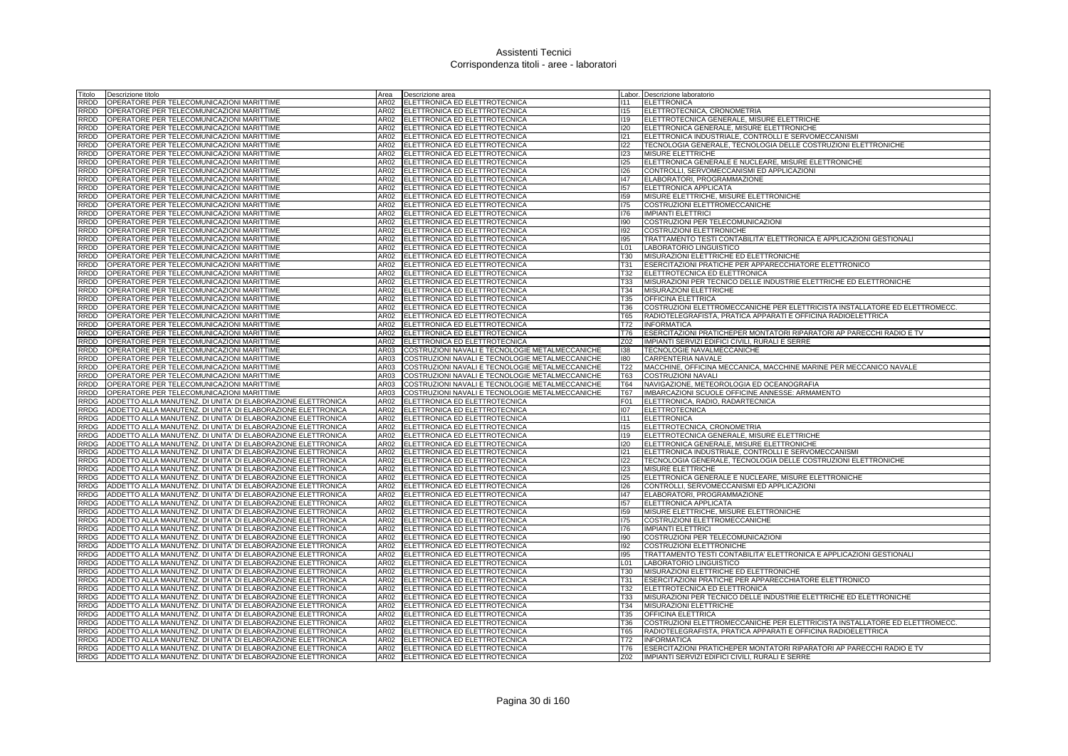| Titolo<br>Descrizione titolo                                                                                                                        | Area<br>Descrizione area                                                       |                        | Labor. Descrizione laboratorio                                                                  |
|-----------------------------------------------------------------------------------------------------------------------------------------------------|--------------------------------------------------------------------------------|------------------------|-------------------------------------------------------------------------------------------------|
| RRDD<br>OPERATORE PER TELECOMUNICAZIONI MARITTIME                                                                                                   | ELETTRONICA ED ELETTROTECNICA<br>AR02                                          | 111                    | <b>ELETTRONICA</b>                                                                              |
| OPERATORE PER TELECOMUNICAZIONI MARITTIME<br>RRDD                                                                                                   | AR02<br>ELETTRONICA ED ELETTROTECNICA                                          | 115                    | ELETTROTECNICA, CRONOMETRIA                                                                     |
| RRDD<br>OPERATORE PER TELECOMUNICAZIONI MARITTIME                                                                                                   | AR02<br>ELETTRONICA ED ELETTROTECNICA                                          | 119                    | ELETTROTECNICA GENERALE, MISURE ELETTRICHE                                                      |
| RRDD<br>OPERATORE PER TELECOMUNICAZIONI MARITTIME                                                                                                   | AR02<br>ELETTRONICA ED ELETTROTECNICA                                          | 120                    | ELETTRONICA GENERALE, MISURE ELETTRONICHE                                                       |
| RRDD<br>OPERATORE PER TELECOMUNICAZIONI MARITTIME                                                                                                   | AR02<br>ELETTRONICA ED ELETTROTECNICA                                          | 121                    | ELETTRONICA INDUSTRIALE, CONTROLLI E SERVOMECCANISMI                                            |
| RRDD<br>OPERATORE PER TELECOMUNICAZIONI MARITTIME                                                                                                   | AR02<br>ELETTRONICA ED ELETTROTECNICA                                          | 122                    | TECNOLOGIA GENERALE, TECNOLOGIA DELLE COSTRUZIONI ELETTRONICHE                                  |
| OPERATORE PER TELECOMUNICAZIONI MARITTIME<br><b>RRDD</b>                                                                                            | AR02<br>ELETTRONICA ED ELETTROTECNICA                                          | 123                    | <b>MISURE ELETTRICHE</b>                                                                        |
| <b>RRDD</b><br>OPERATORE PER TELECOMUNICAZIONI MARITTIME                                                                                            | AR02<br>ELETTRONICA ED ELETTROTECNICA                                          | 125                    | ELETTRONICA GENERALE E NUCLEARE, MISURE ELETTRONICHE                                            |
| OPERATORE PER TELECOMUNICAZIONI MARITTIME<br><b>RRDD</b>                                                                                            | ELETTRONICA ED ELETTROTECNICA<br>AR02                                          | 126                    | CONTROLLI, SERVOMECCANISMI ED APPLICAZIONI                                                      |
| OPERATORE PER TELECOMUNICAZIONI MARITTIME<br><b>RRDD</b>                                                                                            | AR <sub>02</sub><br>ELETTRONICA ED ELETTROTECNICA                              | 47                     | ELABORATORI, PROGRAMMAZIONE                                                                     |
| RRDD<br>OPERATORE PER TELECOMUNICAZIONI MARITTIME                                                                                                   | AR02<br>ELETTRONICA ED ELETTROTECNICA                                          | 157                    | ELETTRONICA APPLICATA                                                                           |
| OPERATORE PER TELECOMUNICAZIONI MARITTIME<br>RRDD                                                                                                   | AR02<br>ELETTRONICA ED ELETTROTECNICA                                          | 159                    | MISURE ELETTRICHE, MISURE ELETTRONICHE                                                          |
| RRDD<br>OPERATORE PER TELECOMUNICAZIONI MARITTIME                                                                                                   | AR02<br>ELETTRONICA ED ELETTROTECNICA                                          | 175                    | COSTRUZIONI ELETTROMECCANICHE                                                                   |
| RRDD<br>OPERATORE PER TELECOMUNICAZIONI MARITTIME                                                                                                   | AR02<br>ELETTRONICA ED ELETTROTECNICA                                          | 176                    | <b>IMPIANTI ELETTRICI</b>                                                                       |
| RRDD<br>OPERATORE PER TELECOMUNICAZIONI MARITTIME                                                                                                   | AR02<br>ELETTRONICA ED ELETTROTECNICA                                          | 190                    | COSTRUZIONI PER TELECOMUNICAZIONI                                                               |
| RRDD<br>OPERATORE PER TELECOMUNICAZIONI MARITTIME<br><b>RRDD</b>                                                                                    | AR02<br>ELETTRONICA ED ELETTROTECNICA                                          | 192                    | COSTRUZIONI ELETTRONICHE                                                                        |
| OPERATORE PER TELECOMUNICAZIONI MARITTIME<br>OPERATORE PER TELECOMUNICAZIONI MARITTIME<br>RRDD                                                      | ELETTRONICA ED ELETTROTECNICA<br>AR02<br>AR02                                  | 195<br>L <sub>01</sub> | TRATTAMENTO TESTI CONTABILITA' ELETTRONICA E APPLICAZIONI GESTIONALI<br>LABORATORIO LINGUISTICO |
| <b>RRDD</b><br>OPERATORE PER TELECOMUNICAZIONI MARITTIME                                                                                            | ELETTRONICA ED ELETTROTECNICA<br>AR02<br>ELETTRONICA ED ELETTROTECNICA         | <b>T30</b>             | MISURAZIONI ELETTRICHE ED ELETTRONICHE                                                          |
| OPERATORE PER TELECOMUNICAZIONI MARITTIME<br><b>RRDD</b>                                                                                            | ELETTRONICA ED ELETTROTECNICA<br>AR02                                          | T31                    | ESERCITAZIONI PRATICHE PER APPARECCHIATORE ELETTRONICO                                          |
| <b>RRDD</b><br>OPERATORE PER TELECOMUNICAZIONI MARITTIME                                                                                            | AR02<br>ELETTRONICA ED ELETTROTECNICA                                          | T32                    | ELETTROTECNICA ED ELETTRONICA                                                                   |
| <b>RRDD</b><br>OPERATORE PER TELECOMUNICAZIONI MARITTIME                                                                                            | AR02<br>ELETTRONICA ED ELETTROTECNICA                                          | <b>T33</b>             | MISURAZIONI PER TECNICO DELLE INDUSTRIE ELETTRICHE ED ELETTRONICHE                              |
| RRDD<br>OPERATORE PER TELECOMUNICAZIONI MARITTIME                                                                                                   | AR02<br>ELETTRONICA ED ELETTROTECNICA                                          | T34                    | MISURAZIONI ELETTRICHE                                                                          |
| RRDD<br>OPERATORE PER TELECOMUNICAZIONI MARITTIME                                                                                                   | AR02<br>ELETTRONICA ED ELETTROTECNICA                                          | T35                    | <b>OFFICINA ELETTRICA</b>                                                                       |
| RRDD<br>OPERATORE PER TELECOMUNICAZIONI MARITTIME                                                                                                   | AR02<br>ELETTRONICA ED ELETTROTECNICA                                          | T36                    | COSTRUZIONI ELETTROMECCANICHE PER ELETTRICISTA INSTALLATORE ED ELETTROMECC.                     |
| RRDD<br>OPERATORE PER TELECOMUNICAZIONI MARITTIME                                                                                                   | AR02<br>ELETTRONICA ED ELETTROTECNICA                                          | <b>T65</b>             | RADIOTELEGRAFISTA, PRATICA APPARATI E OFFICINA RADIOELETTRICA                                   |
| RRDD<br>OPERATORE PER TELECOMUNICAZIONI MARITTIME                                                                                                   | AR02<br>ELETTRONICA ED ELETTROTECNICA                                          | T72                    | <b>INFORMATICA</b>                                                                              |
| <b>RRDD</b><br>OPERATORE PER TELECOMUNICAZIONI MARITTIME                                                                                            | ELETTRONICA ED ELETTROTECNICA<br>AR02                                          | T76                    | ESERCITAZIONI PRATICHEPER MONTATORI RIPARATORI AP PARECCHI RADIO E TV                           |
| OPERATORE PER TELECOMUNICAZIONI MARITTIME<br><b>RRDD</b>                                                                                            | AR02<br>ELETTRONICA ED ELETTROTECNICA                                          | Z02                    | IMPIANTI SERVIZI EDIFICI CIVILI, RURALI E SERRE                                                 |
| <b>RRDD</b><br>OPERATORE PER TELECOMUNICAZIONI MARITTIME                                                                                            | AR03<br>COSTRUZIONI NAVALI E TECNOLOGIE METALMECCANICHE                        | 138                    | TECNOLOGIE NAVALMECCANICHE                                                                      |
| OPERATORE PER TELECOMUNICAZIONI MARITTIME<br><b>RRDD</b>                                                                                            | AR03<br>COSTRUZIONI NAVALI E TECNOLOGIE METALMECCANICHE                        | 180                    | CARPENTERIA NAVALE                                                                              |
| OPERATORE PER TELECOMUNICAZIONI MARITTIME<br><b>RRDD</b>                                                                                            | COSTRUZIONI NAVALI E TECNOLOGIE METALMECCANICHE<br>AR03                        | T <sub>22</sub>        | MACCHINE, OFFICINA MECCANICA, MACCHINE MARINE PER MECCANICO NAVALE                              |
| OPERATORE PER TELECOMUNICAZIONI MARITTIME<br>RRDD                                                                                                   | AR03<br>COSTRUZIONI NAVALI E TECNOLOGIE METALMECCANICHE                        | <b>T63</b>             | <b>COSTRUZIONI NAVALI</b>                                                                       |
| RRDD<br>OPERATORE PER TELECOMUNICAZIONI MARITTIME                                                                                                   | AR03<br>COSTRUZIONI NAVALI E TECNOLOGIE METALMECCANICHE                        | <b>T64</b>             | NAVIGAZIONE, METEOROLOGIA ED OCEANOGRAFIA                                                       |
| RRDD<br>OPERATORE PER TELECOMUNICAZIONI MARITTIME                                                                                                   | COSTRUZIONI NAVALI E TECNOLOGIE METALMECCANICHE<br>AR03                        | <b>T67</b>             | IMBARCAZIONI SCUOLE OFFICINE ANNESSE: ARMAMENTO                                                 |
| <b>RRDG</b><br>ADDETTO ALLA MANUTENZ. DI UNITA' DI ELABORAZIONE ELETTRONICA                                                                         | AR02<br>ELETTRONICA ED ELETTROTECNICA                                          | F01                    | ELETTRONICA, RADIO, RADARTECNICA                                                                |
| ADDETTO ALLA MANUTENZ. DI UNITA' DI ELABORAZIONE ELETTRONICA<br><b>RRDG</b>                                                                         | AR02<br>ELETTRONICA ED ELETTROTECNICA                                          | 107                    | <b>ELETTROTECNICA</b>                                                                           |
| <b>RRDG</b><br>ADDETTO ALLA MANUTENZ. DI UNITA' DI ELABORAZIONE ELETTRONICA                                                                         | AR02<br>ELETTRONICA ED ELETTROTECNICA                                          | 111                    | <b>ELETTRONICA</b>                                                                              |
| <b>RRDG</b><br>ADDETTO ALLA MANUTENZ. DI UNITA' DI ELABORAZIONE ELETTRONICA                                                                         | AR02<br>ELETTRONICA ED ELETTROTECNICA                                          | 115                    | ELETTROTECNICA, CRONOMETRIA                                                                     |
| ADDETTO ALLA MANUTENZ. DI UNITA' DI ELABORAZIONE ELETTRONICA<br><b>RRDG</b>                                                                         | AR02<br>ELETTRONICA ED ELETTROTECNICA                                          | 119                    | ELETTROTECNICA GENERALE, MISURE ELETTRICHE                                                      |
| ADDETTO ALLA MANUTENZ. DI UNITA' DI ELABORAZIONE ELETTRONICA<br><b>RRDG</b>                                                                         | AR02<br>ELETTRONICA ED ELETTROTECNICA                                          | 120                    | ELETTRONICA GENERALE, MISURE ELETTRONICHE                                                       |
| ADDETTO ALLA MANUTENZ. DI UNITA' DI ELABORAZIONE ELETTRONICA<br><b>RRDG</b>                                                                         | AR02<br>ELETTRONICA ED ELETTROTECNICA                                          | 121                    | ELETTRONICA INDUSTRIALE, CONTROLLI E SERVOMECCANISMI                                            |
| <b>RRDG</b><br>ADDETTO ALLA MANUTENZ. DI UNITA' DI ELABORAZIONE ELETTRONICA                                                                         | ELETTRONICA ED ELETTROTECNICA<br>AR02                                          | 122                    | TECNOLOGIA GENERALE, TECNOLOGIA DELLE COSTRUZIONI ELETTRONICHE                                  |
| <b>RRDG</b><br>ADDETTO ALLA MANUTENZ. DI UNITA' DI ELABORAZIONE ELETTRONICA                                                                         | AR02<br>ELETTRONICA ED ELETTROTECNICA                                          | 123                    | MISURE ELETTRICHE                                                                               |
| RRDG<br>ADDETTO ALLA MANUTENZ. DI UNITA' DI ELABORAZIONE ELETTRONICA                                                                                | AR02<br>ELETTRONICA ED ELETTROTECNICA                                          | 125                    | ELETTRONICA GENERALE E NUCLEARE, MISURE ELETTRONICHE                                            |
| ADDETTO ALLA MANUTENZ. DI UNITA' DI ELABORAZIONE ELETTRONICA<br><b>RRDG</b>                                                                         | AR02<br>ELETTRONICA ED ELETTROTECNICA                                          | 126                    | CONTROLLI, SERVOMECCANISMI ED APPLICAZIONI                                                      |
| <b>RRDG</b><br>ADDETTO ALLA MANUTENZ. DI UNITA' DI ELABORAZIONE ELETTRONICA                                                                         | AR02<br>ELETTRONICA ED ELETTROTECNICA                                          | 147                    | ELABORATORI, PROGRAMMAZIONE                                                                     |
| <b>RRDG</b><br>ADDETTO ALLA MANUTENZ. DI UNITA' DI ELABORAZIONE ELETTRONICA<br>RRDG                                                                 | AR02<br>ELETTRONICA ED ELETTROTECNICA<br>AR02                                  | 157<br>159             | <b>ELETTRONICA APPLICATA</b>                                                                    |
| ADDETTO ALLA MANUTENZ. DI UNITA' DI ELABORAZIONE ELETTRONICA                                                                                        | ELETTRONICA ED ELETTROTECNICA                                                  |                        | MISURE ELETTRICHE, MISURE ELETTRONICHE                                                          |
| RRDG<br>ADDETTO ALLA MANUTENZ. DI UNITA' DI ELABORAZIONE ELETTRONICA<br><b>RRDG</b><br>ADDETTO ALLA MANUTENZ. DI UNITA' DI ELABORAZIONE ELETTRONICA | AR02<br>ELETTRONICA ED ELETTROTECNICA<br>AR02<br>ELETTRONICA ED ELETTROTECNICA | 175<br>176             | COSTRUZIONI ELETTROMECCANICHE<br><b>IMPIANTI ELETTRICI</b>                                      |
| <b>RRDG</b><br>ADDETTO ALLA MANUTENZ. DI UNITA' DI ELABORAZIONE ELETTRONICA                                                                         | AR02<br>ELETTRONICA ED ELETTROTECNICA                                          | 190                    | COSTRUZIONI PER TELECOMUNICAZIONI                                                               |
| ADDETTO ALLA MANUTENZ. DI UNITA' DI ELABORAZIONE ELETTRONICA<br><b>RRDG</b>                                                                         | ELETTRONICA ED ELETTROTECNICA<br>AR02                                          | 192                    | <b>COSTRUZIONI ELETTRONICHE</b>                                                                 |
| ADDETTO ALLA MANUTENZ. DI UNITA' DI ELABORAZIONE ELETTRONICA<br><b>RRDG</b>                                                                         | AR <sub>02</sub><br>ELETTRONICA ED ELETTROTECNICA                              | 195                    | TRATTAMENTO TESTI CONTABILITA' ELETTRONICA E APPLICAZIONI GESTIONALI                            |
| <b>RRDG</b><br>ADDETTO ALLA MANUTENZ. DI UNITA' DI ELABORAZIONE ELETTRONICA                                                                         | AR02<br>ELETTRONICA ED ELETTROTECNICA                                          | L <sub>01</sub>        | LABORATORIO LINGUISTICO                                                                         |
| ADDETTO ALLA MANUTENZ. DI UNITA' DI ELABORAZIONE ELETTRONICA<br><b>RRDG</b>                                                                         | ELETTRONICA ED ELETTROTECNICA<br>AR02                                          | <b>T30</b>             | MISURAZIONI ELETTRICHE ED ELETTRONICHE                                                          |
| <b>RRDG</b><br>ADDETTO ALLA MANUTENZ. DI UNITA' DI ELABORAZIONE ELETTRONICA                                                                         | AR02<br>ELETTRONICA ED ELETTROTECNICA                                          | <b>T31</b>             | ESERCITAZIONI PRATICHE PER APPARECCHIATORE ELETTRONICO                                          |
| RRDG<br>ADDETTO ALLA MANUTENZ. DI UNITA' DI ELABORAZIONE ELETTRONICA                                                                                | AR02<br>ELETTRONICA ED ELETTROTECNICA                                          | T32                    | ELETTROTECNICA ED ELETTRONICA                                                                   |
| <b>RRDG</b><br>ADDETTO ALLA MANUTENZ. DI UNITA' DI ELABORAZIONE ELETTRONICA                                                                         | ELETTRONICA ED ELETTROTECNICA<br>AR02                                          | <b>T33</b>             | MISURAZIONI PER TECNICO DELLE INDUSTRIE ELETTRICHE ED ELETTRONICHE                              |
| <b>RRDG</b><br>ADDETTO ALLA MANUTENZ. DI UNITA' DI ELABORAZIONE ELETTRONICA                                                                         | AR02<br>ELETTRONICA ED ELETTROTECNICA                                          | <b>T34</b>             | MISURAZIONI ELETTRICHE                                                                          |
| <b>RRDG</b><br>ADDETTO ALLA MANUTENZ. DI UNITA' DI ELABORAZIONE ELETTRONICA                                                                         | ELETTRONICA ED ELETTROTECNICA<br>AR02                                          | <b>T35</b>             | <b>OFFICINA ELETTRICA</b>                                                                       |
| <b>RRDG</b><br>ADDETTO ALLA MANUTENZ. DI UNITA' DI ELABORAZIONE ELETTRONICA                                                                         | AR02<br>ELETTRONICA ED ELETTROTECNICA                                          | T36                    | COSTRUZIONI ELETTROMECCANICHE PER ELETTRICISTA INSTALLATORE ED ELETTROMECC.                     |
| RRDG<br>ADDETTO ALLA MANUTENZ. DI UNITA' DI ELABORAZIONE ELETTRONICA                                                                                | ELETTRONICA ED ELETTROTECNICA<br>AR02                                          | <b>T65</b>             | RADIOTELEGRAFISTA, PRATICA APPARATI E OFFICINA RADIOELETTRICA                                   |
| ADDETTO ALLA MANUTENZ. DI UNITA' DI ELABORAZIONE ELETTRONICA<br><b>RRDG</b>                                                                         | AR02<br>ELETTRONICA ED ELETTROTECNICA                                          | T72                    | <b>INFORMATICA</b>                                                                              |
| <b>RRDG</b><br>ADDETTO ALLA MANUTENZ. DI UNITA' DI ELABORAZIONE ELETTRONICA                                                                         | ELETTRONICA ED ELETTROTECNICA<br>AR02                                          | T76                    | ESERCITAZIONI PRATICHEPER MONTATORI RIPARATORI AP PARECCHI RADIO E TV                           |
| RRDG ADDETTO ALLA MANUTENZ. DI UNITA' DI ELABORAZIONE ELETTRONICA                                                                                   | AR02<br>ELETTRONICA ED ELETTROTECNICA                                          | Z02                    | IMPIANTI SERVIZI EDIFICI CIVILI, RURALI E SERRE                                                 |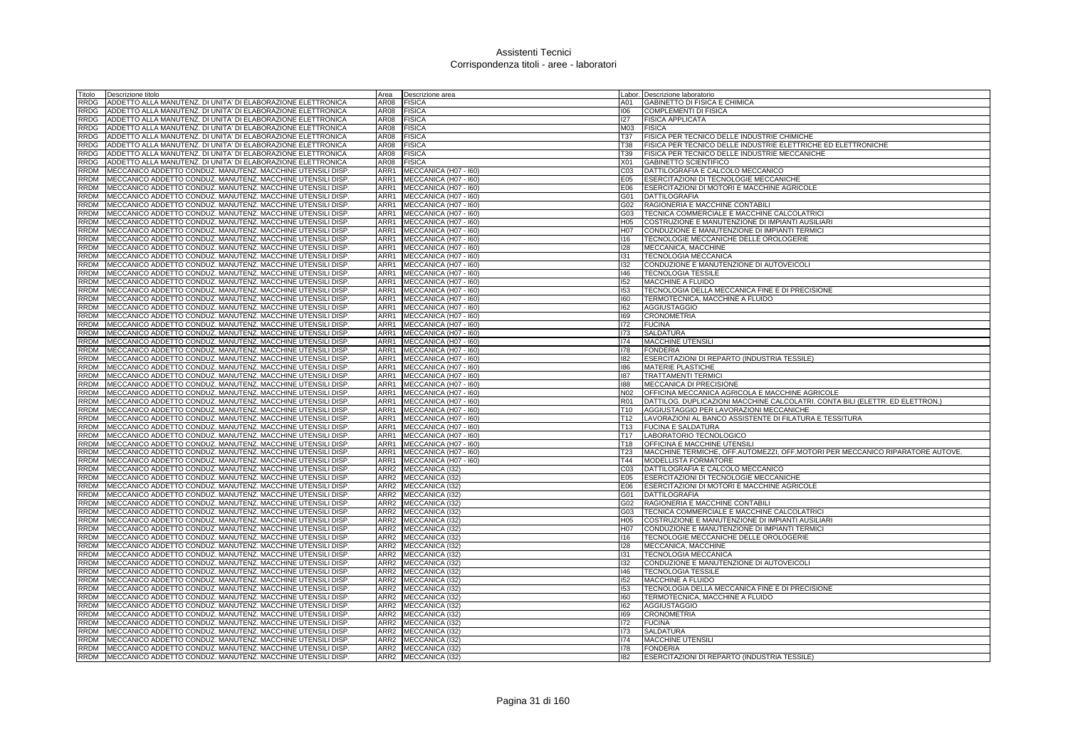| Fitolo      | Descrizione titolo                                           | Area             | Descrizione area       |                 | Labor. Descrizione laboratorio                                                |
|-------------|--------------------------------------------------------------|------------------|------------------------|-----------------|-------------------------------------------------------------------------------|
| RRDG        | ADDETTO ALLA MANUTENZ. DI UNITA' DI ELABORAZIONE ELETTRONICA | AR08             | <b>FISICA</b>          | A01             | GABINETTO DI FISICA E CHIMICA                                                 |
| RRDG        | ADDETTO ALLA MANUTENZ. DI UNITA' DI ELABORAZIONE ELETTRONICA | AR08             | <b>FISICA</b>          | 106             | <b>COMPLEMENTI DI FISICA</b>                                                  |
| RRDG        | ADDETTO ALLA MANUTENZ. DI UNITA' DI ELABORAZIONE ELETTRONICA | AR08             | <b>FISICA</b>          | 127             | <b>FISICA APPLICATA</b>                                                       |
| RRDG        | ADDETTO ALLA MANUTENZ. DI UNITA' DI ELABORAZIONE ELETTRONICA | AR08             | <b>FISICA</b>          | M03             | <b>FISICA</b>                                                                 |
| RRDG        | ADDETTO ALLA MANUTENZ. DI UNITA' DI ELABORAZIONE ELETTRONICA | AR08             | <b>FISICA</b>          | T37             | FISICA PER TECNICO DELLE INDUSTRIE CHIMICHE                                   |
| RRDG        | ADDETTO ALLA MANUTENZ. DI UNITA' DI ELABORAZIONE ELETTRONICA | AR08             | <b>FISICA</b>          | T38             | FISICA PER TECNICO DELLE INDUSTRIE ELETTRICHE ED ELETTRONICHE                 |
| RRDG        | ADDETTO ALLA MANUTENZ. DI UNITA' DI ELABORAZIONE ELETTRONICA | AR08             | <b>FISICA</b>          | T39             | FISICA PER TECNICO DELLE INDUSTRIE MECCANICHE                                 |
| RRDG        | ADDETTO ALLA MANUTENZ. DI UNITA' DI ELABORAZIONE ELETTRONICA | AR08             | <b>FISICA</b>          | X01             | <b>GABINETTO SCIENTIFICO</b>                                                  |
| RRDM        | IMECCANICO ADDETTO CONDUZ, MANUTENZ, MACCHINE UTENSILI DISP  | ARR1             | MECCANICA (H07 - I60)  | CO <sub>3</sub> | DATTILOGRAFIA E CALCOLO MECCANICO                                             |
| RRDM        | MECCANICO ADDETTO CONDUZ. MANUTENZ. MACCHINE UTENSILI DISP   | ARR1             | MECCANICA (H07 - I60)  | E05             | ESERCITAZIONI DI TECNOLOGIE MECCANICHE                                        |
| RRDM        | MECCANICO ADDETTO CONDUZ. MANUTENZ. MACCHINE UTENSILI DISP   | ARR1             | MECCANICA (H07 - I60)  | E06             | ESERCITAZIONI DI MOTORI E MACCHINE AGRICOLE                                   |
| RRDM        | MECCANICO ADDETTO CONDUZ. MANUTENZ. MACCHINE UTENSILI DISP   | ARR1             | MECCANICA (H07 - I60)  | 301             | <b>DATTILOGRAFIA</b>                                                          |
| RRDM        |                                                              | ARR1             |                        |                 | RAGIONERIA E MACCHINE CONTABILI                                               |
| <b>RRDM</b> | MECCANICO ADDETTO CONDUZ. MANUTENZ. MACCHINE UTENSILI DISP   | ARR1             | MECCANICA (H07 - I60)  | G02             |                                                                               |
|             | MECCANICO ADDETTO CONDUZ. MANUTENZ. MACCHINE UTENSILI DISP   |                  | MECCANICA (H07 - 160)  | G03             | TECNICA COMMERCIALE E MACCHINE CALCOLATRICI                                   |
| RRDM        | MECCANICO ADDETTO CONDUZ. MANUTENZ. MACCHINE UTENSILI DISP   | ARR1             | MECCANICA (H07 - I60)  | H05             | COSTRUZIONE E MANUTENZIONE DI IMPIANTI AUSILIARI                              |
| RRDM        | MECCANICO ADDETTO CONDUZ. MANUTENZ. MACCHINE UTENSILI DISP   | ARR1             | MECCANICA (H07 - I60)  | H07             | CONDUZIONE E MANUTENZIONE DI IMPIANTI TERMICI                                 |
| RRDM        | MECCANICO ADDETTO CONDUZ. MANUTENZ. MACCHINE UTENSILI DISP   | ARR1             | MECCANICA (H07 - I60)  | 116             | TECNOLOGIE MECCANICHE DELLE OROLOGERIE                                        |
| RRDM        | MECCANICO ADDETTO CONDUZ. MANUTENZ. MACCHINE UTENSILI DISP   | ARR1             | MECCANICA (H07 - I60)  | 128             | MECCANICA, MACCHINE                                                           |
| <b>RRDM</b> | MECCANICO ADDETTO CONDUZ. MANUTENZ. MACCHINE UTENSILI DISP   | ARR1             | MECCANICA (H07 - I60)  | 131             | TECNOLOGIA MECCANICA                                                          |
| RRDM        | IMECCANICO ADDETTO CONDUZ, MANUTENZ, MACCHINE UTENSILI DISP  | ARR1             | MECCANICA (H07 - I60)  | 132             | CONDUZIONE E MANUTENZIONE DI AUTOVEICOLI                                      |
| RRDM        | MECCANICO ADDETTO CONDUZ. MANUTENZ. MACCHINE UTENSILI DISP   | ARR1             | MECCANICA (H07 - 160)  | 146             | <b>TECNOLOGIA TESSILE</b>                                                     |
| RRDM        | MECCANICO ADDETTO CONDUZ. MANUTENZ. MACCHINE UTENSILI DISP   | ARR1             | MECCANICA (H07 - I60)  | 152             | MACCHINE A FLUIDO                                                             |
| <b>RRDM</b> | MECCANICO ADDETTO CONDUZ. MANUTENZ. MACCHINE UTENSILI DISP   | ARR1             | MECCANICA (H07 - 160)  | 153             | TECNOLOGIA DELLA MECCANICA FINE E DI PRECISIONE                               |
| RRDM        | MECCANICO ADDETTO CONDUZ. MANUTENZ. MACCHINE UTENSILI DISP   | ARR1             | MECCANICA (H07 - I60)  | 160             | TERMOTECNICA, MACCHINE A FLUIDO                                               |
| RRDM        | MECCANICO ADDETTO CONDUZ. MANUTENZ. MACCHINE UTENSILI DISP   | ARR1             | MECCANICA (H07 - I60)  | 162             | AGGIUSTAGGIO                                                                  |
| RRDM        | MECCANICO ADDETTO CONDUZ. MANUTENZ. MACCHINE UTENSILI DISP   | ARR1             | MECCANICA (H07 - I60)  | 169             | <b>CRONOMETRIA</b>                                                            |
| RRDM        | MECCANICO ADDETTO CONDUZ. MANUTENZ. MACCHINE UTENSILI DISP   | ARR1             | MECCANICA (H07 - I60)  | 172             | <b>FUCINA</b>                                                                 |
| RRDM        | MECCANICO ADDETTO CONDUZ. MANUTENZ. MACCHINE UTENSILI DISP   | ARR1             | MECCANICA (H07 - I60)  | 173             | <b>SALDATURA</b>                                                              |
| RRDM        | MECCANICO ADDETTO CONDUZ. MANUTENZ. MACCHINE UTENSILI DISP   | ARR1             | MECCANICA (H07 - I60)  | 174             | <b>MACCHINE UTENSILI</b>                                                      |
| RRDM        | MECCANICO ADDETTO CONDUZ. MANUTENZ. MACCHINE UTENSILI DISP.  | ARR1             | MECCANICA (H07 - I60)  | 178             | <b>FONDERIA</b>                                                               |
| RRDM        | IMECCANICO ADDETTO CONDUZ, MANUTENZ, MACCHINE UTENSILI DISP  | ARR1             | MECCANICA (H07 - I60)  | 182             | ESERCITAZIONI DI REPARTO (INDUSTRIA TESSILE)                                  |
| RRDM        | MECCANICO ADDETTO CONDUZ. MANUTENZ. MACCHINE UTENSILI DISP   | ARR1             | MECCANICA (H07 - I60)  | 186             | <b>MATERIE PLASTICHE</b>                                                      |
| RRDM        | MECCANICO ADDETTO CONDUZ. MANUTENZ. MACCHINE UTENSILI DISP   | ARR1             | MECCANICA (H07 - I60)  | 187             | <b>TRATTAMENTI TERMIC</b>                                                     |
| RRDM        | MECCANICO ADDETTO CONDUZ. MANUTENZ. MACCHINE UTENSILI DISP   | ARR1             | MECCANICA (H07 - I60)  | 188             | MECCANICA DI PRECISIONE                                                       |
| RRDM        | MECCANICO ADDETTO CONDUZ. MANUTENZ. MACCHINE UTENSILI DISP   | ARR1             | MECCANICA (H07 - I60)  | N02             | OFFICINA MECCANICA AGRICOLA E MACCHINE AGRICOLE                               |
| RRDM        | MECCANICO ADDETTO CONDUZ. MANUTENZ. MACCHINE UTENSILI DISP   | ARR1             | MECCANICA (H07 - 160)  | R01             | DATTILOG. DUPLICAZIONI MACCHINE CALCOLATRI. CONTA BILI (ELETTR. ED ELETTRON.) |
| RRDM        | MECCANICO ADDETTO CONDUZ. MANUTENZ. MACCHINE UTENSILI DISP   | ARR1             | MECCANICA (H07 - I60)  | T10             | AGGIUSTAGGIO PER LAVORAZIONI MECCANICHE                                       |
| RRDM        | MECCANICO ADDETTO CONDUZ. MANUTENZ. MACCHINE UTENSILI DISP   | ARR1             | MECCANICA (H07 - I60)  | T12             | LAVORAZIONI AL BANCO ASSISTENTE DI FILATURA E TESSITURA                       |
| RRDM        | MECCANICO ADDETTO CONDUZ. MANUTENZ. MACCHINE UTENSILI DISP   | ARR1             | MECCANICA (H07 - I60)  | T13             | <b>FUCINA E SALDATURA</b>                                                     |
| <b>RRDM</b> |                                                              | ARR1             |                        | T <sub>17</sub> |                                                                               |
|             | MECCANICO ADDETTO CONDUZ. MANUTENZ. MACCHINE UTENSILI DISP   |                  | MECCANICA (H07 - I60)  |                 | LABORATORIO TECNOLOGICO                                                       |
| RRDM        | MECCANICO ADDETTO CONDUZ. MANUTENZ. MACCHINE UTENSILI DISP   | ARR1             | MECCANICA (H07 - I60)  | T18             | OFFICINA E MACCHINE UTENSILI                                                  |
| RRDM        | MECCANICO ADDETTO CONDUZ. MANUTENZ. MACCHINE UTENSILI DISP   | ARR1<br>ARR1     | MECCANICA (H07 - I60)  | T23             | MACCHINE TERMICHE, OFF.AUTOMEZZI, OFF.MOTORI PER MECCANICO RIPARATORE AUTOVE. |
| RRDM        | MECCANICO ADDETTO CONDUZ. MANUTENZ. MACCHINE UTENSILI DISP   |                  | MECCANICA (H07 - I60)  | T44             | MODELLISTA FORMATORE                                                          |
| RRDM        | MECCANICO ADDETTO CONDUZ. MANUTENZ. MACCHINE UTENSILI DISP   | ARR2             | MECCANICA (I32)        | C03             | DATTILOGRAFIA E CALCOLO MECCANICO                                             |
| RRDM        | MECCANICO ADDETTO CONDUZ. MANUTENZ. MACCHINE UTENSILI DISP   | ARR <sub>2</sub> | MECCANICA (132)        | E05             | ESERCITAZIONI DI TECNOLOGIE MECCANICHE                                        |
| RRDM        | MECCANICO ADDETTO CONDUZ. MANUTENZ. MACCHINE UTENSILI DISP   | ARR <sub>2</sub> | MECCANICA (I32)        | E06             | ESERCITAZIONI DI MOTORI E MACCHINE AGRICOLE                                   |
| RRDM        | MECCANICO ADDETTO CONDUZ. MANUTENZ. MACCHINE UTENSILI DISP   | ARR <sub>2</sub> | MECCANICA (I32)        | 301             | <b>DATTILOGRAFIA</b>                                                          |
| RRDM        | MECCANICO ADDETTO CONDUZ. MANUTENZ. MACCHINE UTENSILI DISP.  | ARR <sub>2</sub> | MECCANICA (I32)        | G02             | RAGIONERIA E MACCHINE CONTABILI                                               |
| <b>RRDM</b> | MECCANICO ADDETTO CONDUZ. MANUTENZ. MACCHINE UTENSILI DISP   | ARR <sub>2</sub> | MECCANICA (I32)        | G03             | TECNICA COMMERCIALE E MACCHINE CALCOLATRICI                                   |
| RRDM        | MECCANICO ADDETTO CONDUZ. MANUTENZ. MACCHINE UTENSILI DISP   | ARR <sub>2</sub> | MECCANICA (I32)        | H05             | COSTRUZIONE E MANUTENZIONE DI IMPIANTI AUSILIARI                              |
| RRDM        | MECCANICO ADDETTO CONDUZ. MANUTENZ. MACCHINE UTENSILI DISP   | ARR <sub>2</sub> | MECCANICA (132)        | H07             | CONDUZIONE E MANUTENZIONE DI IMPIANTI TERMICI                                 |
| RRDM        | MECCANICO ADDETTO CONDUZ. MANUTENZ. MACCHINE UTENSILI DISP   | ARR <sub>2</sub> | MECCANICA (132)        | 116             | TECNOLOGIE MECCANICHE DELLE OROLOGERIE                                        |
| RRDM        | IMECCANICO ADDETTO CONDUZ, MANUTENZ, MACCHINE UTENSILI DISP  | ARR <sub>2</sub> | MECCANICA (132)        | 128             | MECCANICA, MACCHINE                                                           |
| RRDM        | MECCANICO ADDETTO CONDUZ. MANUTENZ. MACCHINE UTENSILI DISP   | ARR <sub>2</sub> | <b>MECCANICA (I32)</b> | 131             | <b>TECNOLOGIA MECCANICA</b>                                                   |
| <b>RRDM</b> | MECCANICO ADDETTO CONDUZ. MANUTENZ. MACCHINE UTENSILI DISP   | ARR <sub>2</sub> | MECCANICA (132)        | 132             | CONDUZIONE E MANUTENZIONE DI AUTOVEICOLI                                      |
| RRDM        | MECCANICO ADDETTO CONDUZ. MANUTENZ. MACCHINE UTENSILI DISP   | ARR2             | MECCANICA (132)        | 146             | <b>TECNOLOGIA TESSILE</b>                                                     |
| RRDM        | MECCANICO ADDETTO CONDUZ. MANUTENZ. MACCHINE UTENSILI DISP   | ARR <sub>2</sub> | MECCANICA (132)        | 152             | MACCHINE A FLUIDO                                                             |
| RRDM        | MECCANICO ADDETTO CONDUZ. MANUTENZ. MACCHINE UTENSILI DISP   | ARR <sub>2</sub> | MECCANICA (I32)        | 153             | TECNOLOGIA DELLA MECCANICA FINE E DI PRECISIONE                               |
| RRDM        | MECCANICO ADDETTO CONDUZ. MANUTENZ. MACCHINE UTENSILI DISP   | ARR <sub>2</sub> | MECCANICA (132)        | 160             | TERMOTECNICA, MACCHINE A FLUIDO                                               |
| RRDM        | MECCANICO ADDETTO CONDUZ. MANUTENZ. MACCHINE UTENSILI DISP   | ARR <sub>2</sub> | MECCANICA (132)        | 162             | <b>AGGIUSTAGGIO</b>                                                           |
| RRDM        | MECCANICO ADDETTO CONDUZ. MANUTENZ. MACCHINE UTENSILI DISP   | ARR <sub>2</sub> | MECCANICA (I32)        | 169             | <b>CRONOMETRIA</b>                                                            |
| RRDM        | MECCANICO ADDETTO CONDUZ. MANUTENZ. MACCHINE UTENSILI DISP   | ARR <sub>2</sub> | MECCANICA (I32)        | 172             | <b>FUCINA</b>                                                                 |
| RRDM        | MECCANICO ADDETTO CONDUZ. MANUTENZ. MACCHINE UTENSILI DISP   | ARR <sub>2</sub> | MECCANICA (I32)        | 173             | <b>SALDATURA</b>                                                              |
| RRDM        | IMECCANICO ADDETTO CONDUZ, MANUTENZ, MACCHINE UTENSILI DISP  |                  | ARR2 MECCANICA (132)   | 174             | <b>MACCHINE UTENSILI</b>                                                      |
| RRDM        | MECCANICO ADDETTO CONDUZ. MANUTENZ. MACCHINE UTENSILI DISP.  |                  | ARR2 MECCANICA (I32)   | 178             | <b>FONDERIA</b>                                                               |
| RRDM        | MECCANICO ADDETTO CONDUZ. MANUTENZ. MACCHINE UTENSILI DISP   |                  | ARR2 MECCANICA (I32)   | 182             | ESERCITAZIONI DI REPARTO (INDUSTRIA TESSILE)                                  |
|             |                                                              |                  |                        |                 |                                                                               |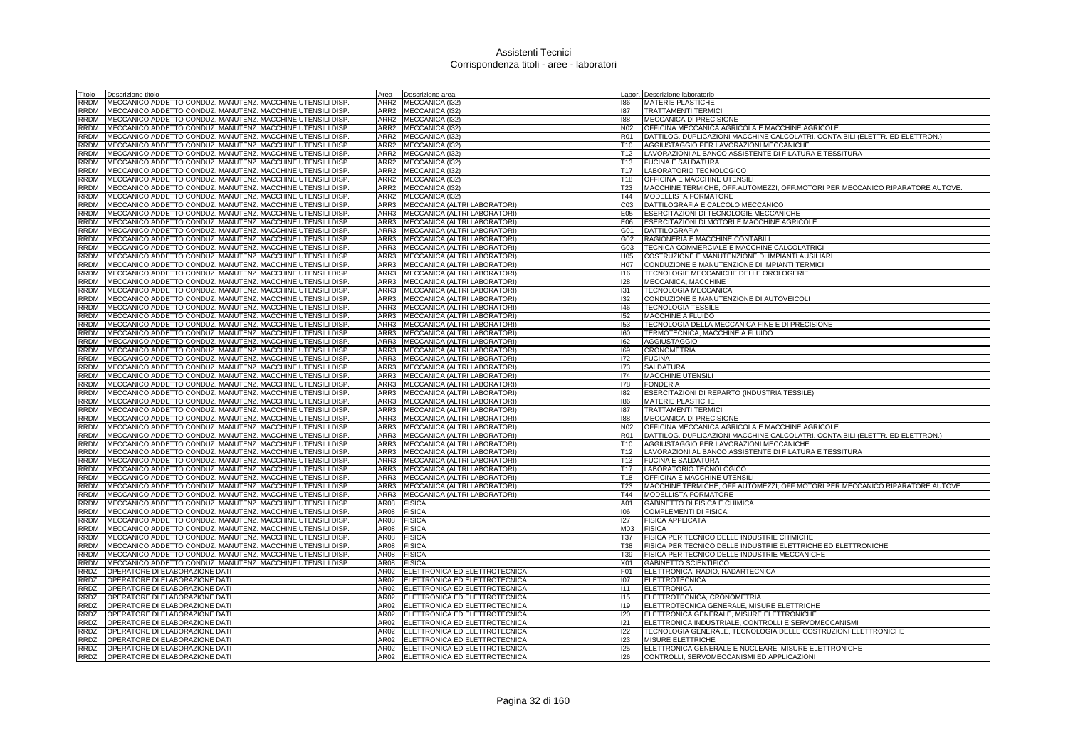| Fitolo      | Descrizione titolo                                         | Area             | Descrizione area              |                 | Labor. Descrizione laboratorio                                                |
|-------------|------------------------------------------------------------|------------------|-------------------------------|-----------------|-------------------------------------------------------------------------------|
| RRDM        | MECCANICO ADDETTO CONDUZ. MANUTENZ. MACCHINE UTENSILI DISP | ARR2             | MECCANICA (I32)               | 186             | <b>MATERIE PLASTICHE</b>                                                      |
| RRDM        | MECCANICO ADDETTO CONDUZ. MANUTENZ. MACCHINE UTENSILI DISP | ARR <sub>2</sub> | MECCANICA (I32)               | 187             | <b>TRATTAMENTI TERMICI</b>                                                    |
| RRDM        | MECCANICO ADDETTO CONDUZ. MANUTENZ. MACCHINE UTENSILI DISP | ARR2             | MECCANICA (I32)               | 188             | MECCANICA DI PRECISIONE                                                       |
| RRDM        | MECCANICO ADDETTO CONDUZ. MANUTENZ. MACCHINE UTENSILI DISP | ARR <sub>2</sub> | MECCANICA (132)               | N02             | OFFICINA MECCANICA AGRICOLA E MACCHINE AGRICOLE                               |
| RRDM        |                                                            | ARR <sub>2</sub> |                               | <b>R01</b>      | DATTILOG. DUPLICAZIONI MACCHINE CALCOLATRI. CONTA BILI (ELETTR. ED ELETTRON.) |
|             | MECCANICO ADDETTO CONDUZ. MANUTENZ. MACCHINE UTENSILI DISP |                  | MECCANICA (132)               |                 |                                                                               |
| RRDM        | MECCANICO ADDETTO CONDUZ. MANUTENZ. MACCHINE UTENSILI DISP | ARR2             | MECCANICA (132)               | T <sub>10</sub> | AGGIUSTAGGIO PER LAVORAZIONI MECCANICHE                                       |
| RRDM        | MECCANICO ADDETTO CONDUZ. MANUTENZ. MACCHINE UTENSILI DISP | ARR <sub>2</sub> | MECCANICA (I32)               | T12             | LAVORAZIONI AL BANCO ASSISTENTE DI FILATURA E TESSITURA                       |
| RRDM        | MECCANICO ADDETTO CONDUZ. MANUTENZ. MACCHINE UTENSILI DISP | ARR2             | MECCANICA (I32)               | T <sub>13</sub> | <b>FUCINA E SALDATURA</b>                                                     |
| RRDM        | MECCANICO ADDETTO CONDUZ. MANUTENZ. MACCHINE UTENSILI DISP | ARR <sub>2</sub> | MECCANICA (132)               | T <sub>17</sub> | LABORATORIO TECNOLOGICO                                                       |
| <b>RRDM</b> | MECCANICO ADDETTO CONDUZ. MANUTENZ. MACCHINE UTENSILI DISP | ARR <sub>2</sub> | MECCANICA (I32)               | T <sub>18</sub> | OFFICINA E MACCHINE UTENSILI                                                  |
| <b>RRDM</b> | MECCANICO ADDETTO CONDUZ. MANUTENZ. MACCHINE UTENSILI DISP | ARR <sub>2</sub> | <b>MECCANICA (I32)</b>        | T <sub>23</sub> | MACCHINE TERMICHE, OFF.AUTOMEZZI, OFF.MOTORI PER MECCANICO RIPARATORE AUTOVE. |
| RRDM        | MECCANICO ADDETTO CONDUZ. MANUTENZ. MACCHINE UTENSILI DISP | ARR <sub>2</sub> | MECCANICA (132)               | T44             | <b>MODELLISTA FORMATORE</b>                                                   |
| RRDM        | MECCANICO ADDETTO CONDUZ. MANUTENZ. MACCHINE UTENSILI DISP | ARR3             | MECCANICA (ALTRI LABORATORI)  | C03             | DATTILOGRAFIA E CALCOLO MECCANICO                                             |
| <b>RRDM</b> | MECCANICO ADDETTO CONDUZ, MANUTENZ, MACCHINE UTENSILI DISP | ARR3             | MECCANICA (ALTRI LABORATORI)  | E05             | ESERCITAZIONI DI TECNOLOGIE MECCANICHE                                        |
|             |                                                            |                  |                               |                 |                                                                               |
| <b>RRDM</b> | MECCANICO ADDETTO CONDUZ. MANUTENZ. MACCHINE UTENSILI DISP | ARR3             | MECCANICA (ALTRI LABORATORI)  | E06             | ESERCITAZIONI DI MOTORI E MACCHINE AGRICOLE                                   |
| RRDM        | MECCANICO ADDETTO CONDUZ. MANUTENZ. MACCHINE UTENSILI DISP | ARR3             | MECCANICA (ALTRI LABORATORI)  | G01             | <b>DATTILOGRAFIA</b>                                                          |
| RRDM        | MECCANICO ADDETTO CONDUZ. MANUTENZ. MACCHINE UTENSILI DISP | ARR3             | MECCANICA (ALTRI LABORATORI)  | G02             | RAGIONERIA E MACCHINE CONTABILI                                               |
| RRDM        | MECCANICO ADDETTO CONDUZ. MANUTENZ. MACCHINE UTENSILI DISP | ARR3             | MECCANICA (ALTRI LABORATORI)  | G03             | TECNICA COMMERCIALE E MACCHINE CALCOLATRICI                                   |
| RRDM        | MECCANICO ADDETTO CONDUZ. MANUTENZ. MACCHINE UTENSILI DISP | ARR3             | MECCANICA (ALTRI LABORATORI)  | H05             | COSTRUZIONE E MANUTENZIONE DI IMPIANTI AUSILIARI                              |
| RRDM        | MECCANICO ADDETTO CONDUZ. MANUTENZ. MACCHINE UTENSILI DISP | ARR3             | MECCANICA (ALTRI LABORATORI)  | H07             | CONDUZIONE E MANUTENZIONE DI IMPIANTI TERMICI                                 |
| RRDM        | MECCANICO ADDETTO CONDUZ. MANUTENZ. MACCHINE UTENSILI DISP | ARR3             | MECCANICA (ALTRI LABORATORI)  | 116             | TECNOLOGIE MECCANICHE DELLE OROLOGERIE                                        |
| RRDM        | MECCANICO ADDETTO CONDUZ. MANUTENZ. MACCHINE UTENSILI DISP | ARR3             | MECCANICA (ALTRI LABORATORI)  | 128             | MECCANICA, MACCHINE                                                           |
| <b>RRDM</b> | MECCANICO ADDETTO CONDUZ. MANUTENZ. MACCHINE UTENSILI DISP | ARR3             | MECCANICA (ALTRI LABORATORI)  | 131             | TECNOLOGIA MECCANICA                                                          |
|             |                                                            | ARR3             |                               |                 |                                                                               |
| RRDM        | MECCANICO ADDETTO CONDUZ. MANUTENZ. MACCHINE UTENSILI DISP |                  | MECCANICA (ALTRI LABORATORI)  | 132             | CONDUZIONE E MANUTENZIONE DI AUTOVEICOLI                                      |
| RRDM        | MECCANICO ADDETTO CONDUZ. MANUTENZ. MACCHINE UTENSILI DISP | ARR3             | MECCANICA (ALTRI LABORATORI)  | 146             | TECNOLOGIA TESSILE                                                            |
| RRDM        | MECCANICO ADDETTO CONDUZ. MANUTENZ. MACCHINE UTENSILI DISP | ARR3             | MECCANICA (ALTRI LABORATORI)  | 152             | MACCHINE A FLUIDO                                                             |
| RRDM        | MECCANICO ADDETTO CONDUZ. MANUTENZ. MACCHINE UTENSILI DISP | ARR3             | MECCANICA (ALTRI LABORATORI)  | 153             | TECNOLOGIA DELLA MECCANICA FINE E DI PRECISIONE                               |
| RRDM        | MECCANICO ADDETTO CONDUZ. MANUTENZ. MACCHINE UTENSILI DISP | ARR3             | MECCANICA (ALTRI LABORATORI)  | 160             | TERMOTECNICA, MACCHINE A FLUIDO                                               |
| RRDM        | MECCANICO ADDETTO CONDUZ. MANUTENZ. MACCHINE UTENSILI DISP | ARR3             | MECCANICA (ALTRI LABORATORI)  | 162             | <b>AGGIUSTAGGIO</b>                                                           |
| RRDM        | MECCANICO ADDETTO CONDUZ. MANUTENZ. MACCHINE UTENSILI DISP | ARR3             | MECCANICA (ALTRI LABORATORI)  | 169             | <b>CRONOMETRIA</b>                                                            |
| <b>RRDM</b> | MECCANICO ADDETTO CONDUZ, MANUTENZ, MACCHINE UTENSILI DISP | ARR3             | MECCANICA (ALTRI LABORATORI)  | 172             | <b>FUCINA</b>                                                                 |
| RRDM        | MECCANICO ADDETTO CONDUZ. MANUTENZ. MACCHINE UTENSILI DISP | ARR3             | MECCANICA (ALTRI LABORATORI)  | 173             | <b>SALDATURA</b>                                                              |
| RRDM        | MECCANICO ADDETTO CONDUZ. MANUTENZ. MACCHINE UTENSILI DISP | ARR3             | MECCANICA (ALTRI LABORATORI)  | 174             | MACCHINE UTENSILI                                                             |
| RRDM        | MECCANICO ADDETTO CONDUZ. MANUTENZ. MACCHINE UTENSILI DISP | ARR3             | MECCANICA (ALTRI LABORATORI)  | 178             | <b>FONDERIA</b>                                                               |
|             |                                                            |                  |                               |                 |                                                                               |
| RRDM        | MECCANICO ADDETTO CONDUZ. MANUTENZ. MACCHINE UTENSILI DISP | ARR3             | MECCANICA (ALTRI LABORATORI)  | 182             | ESERCITAZIONI DI REPARTO (INDUSTRIA TESSILE)                                  |
| RRDM        | MECCANICO ADDETTO CONDUZ. MANUTENZ. MACCHINE UTENSILI DISP | ARR3             | MECCANICA (ALTRI LABORATORI)  | 186             | MATERIE PLASTICHE                                                             |
| RRDM        | MECCANICO ADDETTO CONDUZ. MANUTENZ. MACCHINE UTENSILI DISP | ARR3             | MECCANICA (ALTRI LABORATORI)  | 187             | <b>TRATTAMENTI TERMICI</b>                                                    |
| RRDM        | MECCANICO ADDETTO CONDUZ. MANUTENZ. MACCHINE UTENSILI DISP | ARR3             | MECCANICA (ALTRI LABORATORI)  | 188             | <b>MECCANICA DI PRECISIONE</b>                                                |
| RRDM        | MECCANICO ADDETTO CONDUZ. MANUTENZ. MACCHINE UTENSILI DISP | ARR3             | MECCANICA (ALTRI LABORATORI)  | N02             | OFFICINA MECCANICA AGRICOLA E MACCHINE AGRICOLE                               |
| <b>RRDM</b> | MECCANICO ADDETTO CONDUZ. MANUTENZ. MACCHINE UTENSILI DISP | ARR3             | MECCANICA (ALTRI LABORATORI)  | R01             | DATTILOG. DUPLICAZIONI MACCHINE CALCOLATRI. CONTA BILI (ELETTR. ED ELETTRON.) |
| RRDM        | MECCANICO ADDETTO CONDUZ. MANUTENZ. MACCHINE UTENSILI DISP | ARR3             | MECCANICA (ALTRI LABORATORI)  | T10             | AGGIUSTAGGIO PER LAVORAZIONI MECCANICHE                                       |
| RRDM        | MECCANICO ADDETTO CONDUZ. MANUTENZ. MACCHINE UTENSILI DISP | ARR3             | MECCANICA (ALTRI LABORATORI)  | T <sub>12</sub> | LAVORAZIONI AL BANCO ASSISTENTE DI FILATURA E TESSITURA                       |
| RRDM        | MECCANICO ADDETTO CONDUZ. MANUTENZ. MACCHINE UTENSILI DISP | ARR3             | MECCANICA (ALTRI LABORATORI)  | T <sub>13</sub> | <b>FUCINA E SALDATURA</b>                                                     |
| RRDM        | MECCANICO ADDETTO CONDUZ. MANUTENZ. MACCHINE UTENSILI DISP | ARR3             | MECCANICA (ALTRI LABORATORI)  | T <sub>17</sub> | LABORATORIO TECNOLOGICO                                                       |
| RRDM        | MECCANICO ADDETTO CONDUZ. MANUTENZ. MACCHINE UTENSILI DISP | ARR3             | MECCANICA (ALTRI LABORATORI)  | T18             | OFFICINA E MACCHINE UTENSILI                                                  |
|             |                                                            |                  |                               |                 |                                                                               |
| <b>RRDM</b> | MECCANICO ADDETTO CONDUZ. MANUTENZ. MACCHINE UTENSILI DISP | ARR3             | MECCANICA (ALTRI LABORATORI)  | T23             | MACCHINE TERMICHE, OFF.AUTOMEZZI, OFF.MOTORI PER MECCANICO RIPARATORE AUTOVE. |
| RRDM        | MECCANICO ADDETTO CONDUZ. MANUTENZ. MACCHINE UTENSILI DISP | ARR3             | MECCANICA (ALTRI LABORATORI)  | T44             | <b>MODELLISTA FORMATORE</b>                                                   |
| <b>RRDM</b> | MECCANICO ADDETTO CONDUZ. MANUTENZ. MACCHINE UTENSILI DISP | AR08             | <b>FISICA</b>                 | A01             | GABINETTO DI FISICA E CHIMICA                                                 |
| <b>RRDM</b> | MECCANICO ADDETTO CONDUZ. MANUTENZ. MACCHINE UTENSILI DISP | <b>AR08</b>      | <b>FISICA</b>                 | 106             | <b>COMPLEMENTI DI FISICA</b>                                                  |
| RRDM        | MECCANICO ADDETTO CONDUZ. MANUTENZ. MACCHINE UTENSILI DISP | <b>AR08</b>      | <b>FISICA</b>                 | 127             | <b>FISICA APPLICATA</b>                                                       |
| RRDM        | MECCANICO ADDETTO CONDUZ. MANUTENZ. MACCHINE UTENSILI DISP | AR08             | <b>FISICA</b>                 | M03             | <b>FISICA</b>                                                                 |
| RRDM        | MECCANICO ADDETTO CONDUZ. MANUTENZ. MACCHINE UTENSILI DISP | AR08             | FISICA                        | T37             | FISICA PER TECNICO DELLE INDUSTRIE CHIMICHE                                   |
| RRDM        | MECCANICO ADDETTO CONDUZ. MANUTENZ. MACCHINE UTENSILI DISP | <b>AR08</b>      | <b>FISICA</b>                 | T38             | FISICA PER TECNICO DELLE INDUSTRIE ELETTRICHE ED ELETTRONICHE                 |
| RRDM        | MECCANICO ADDETTO CONDUZ. MANUTENZ. MACCHINE UTENSILI DISP | <b>AR08</b>      | <b>FISICA</b>                 | T39             | FISICA PER TECNICO DELLE INDUSTRIE MECCANICHE                                 |
| RRDM        | MECCANICO ADDETTO CONDUZ. MANUTENZ. MACCHINE UTENSILI DISP | AR08             | FISICA                        | X01             | <b>GABINETTO SCIENTIFICO</b>                                                  |
| RRDZ        |                                                            | AR02             | ELETTRONICA ED ELETTROTECNICA | F01             |                                                                               |
|             | OPERATORE DI ELABORAZIONE DATI                             |                  |                               |                 | ELETTRONICA, RADIO, RADARTECNICA                                              |
| <b>RRDZ</b> | OPERATORE DI ELABORAZIONE DATI                             | AR02             | ELETTRONICA ED ELETTROTECNICA | 107             | <b>ELETTROTECNICA</b>                                                         |
| RRDZ        | OPERATORE DI ELABORAZIONE DATI                             | AR02             | ELETTRONICA ED ELETTROTECNICA | 111             | <b>ELETTRONICA</b>                                                            |
| RRDZ        | OPERATORE DI ELABORAZIONE DATI                             | AR02             | ELETTRONICA ED ELETTROTECNICA | 115             | ELETTROTECNICA, CRONOMETRIA                                                   |
| RRDZ        | OPERATORE DI ELABORAZIONE DATI                             | AR02             | ELETTRONICA ED ELETTROTECNICA | 119             | ELETTROTECNICA GENERALE, MISURE ELETTRICHE                                    |
| RRDZ        | OPERATORE DI ELABORAZIONE DATI                             | AR02             | ELETTRONICA ED ELETTROTECNICA | 120             | ELETTRONICA GENERALE, MISURE ELETTRONICHE                                     |
| RRDZ        | OPERATORE DI ELABORAZIONE DATI                             | AR02             | ELETTRONICA ED ELETTROTECNICA | 121             | ELETTRONICA INDUSTRIALE, CONTROLLI E SERVOMECCANISMI                          |
| <b>RRDZ</b> | OPERATORE DI ELABORAZIONE DATI                             | AR02             | ELETTRONICA ED ELETTROTECNICA | 122             | TECNOLOGIA GENERALE, TECNOLOGIA DELLE COSTRUZIONI ELETTRONICHE                |
| RRDZ        | OPERATORE DI ELABORAZIONE DATI                             | AR02             | ELETTRONICA ED ELETTROTECNICA | 123             | <b>MISURE ELETTRICHE</b>                                                      |
| RRDZ        | OPERATORE DI ELABORAZIONE DATI                             | AR02             | ELETTRONICA ED ELETTROTECNICA | 125             | ELETTRONICA GENERALE E NUCLEARE, MISURE ELETTRONICHE                          |
| RRDZ        | OPERATORE DI ELABORAZIONE DATI                             | AR02             | ELETTRONICA ED ELETTROTECNICA | 126             | CONTROLLI. SERVOMECCANISMI ED APPLICAZIONI                                    |
|             |                                                            |                  |                               |                 |                                                                               |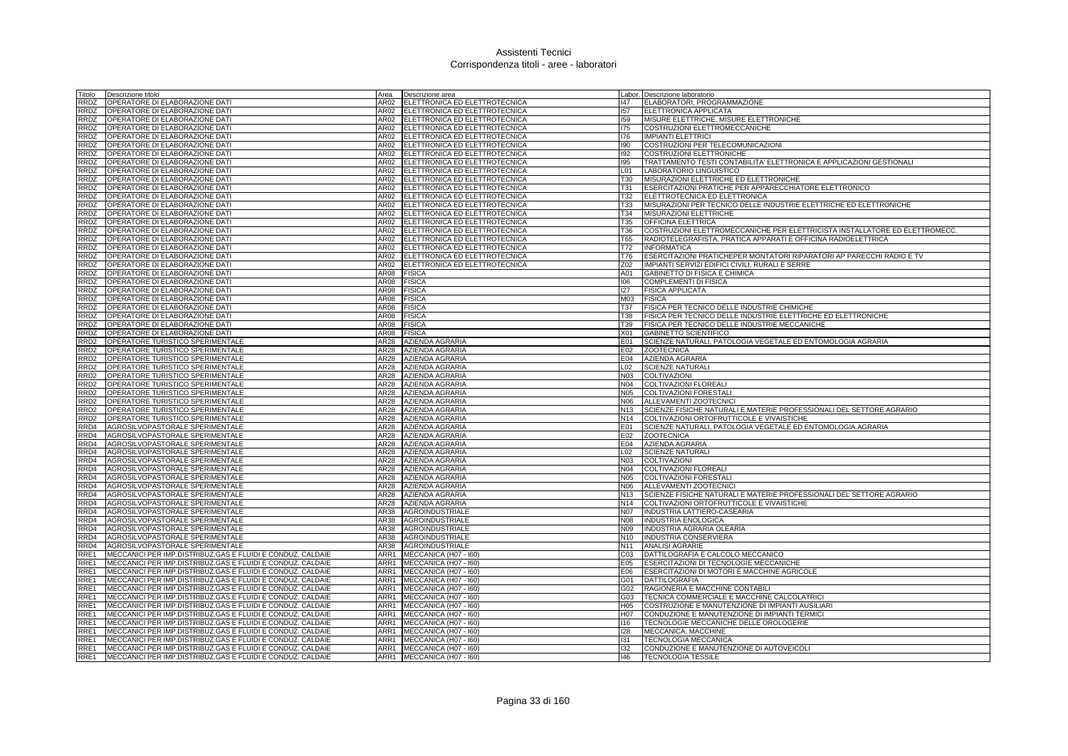| Titolo           | Descrizione titolo                                         | Area             | Descrizione area              |                 | Labor. Descrizione laboratorio                                              |
|------------------|------------------------------------------------------------|------------------|-------------------------------|-----------------|-----------------------------------------------------------------------------|
| RRDZ             | OPERATORE DI ELABORAZIONE DATI                             | AR02             | ELETTRONICA ED ELETTROTECNICA | 147             | ELABORATORI, PROGRAMMAZIONE                                                 |
| RRDZ             | OPERATORE DI ELABORAZIONE DATI                             | AR02             | ELETTRONICA ED ELETTROTECNICA | 157             | <b>ELETTRONICA APPLICATA</b>                                                |
| RRDZ             | OPERATORE DI ELABORAZIONE DATI                             | AR02             | ELETTRONICA ED ELETTROTECNICA | 159             | MISURE ELETTRICHE, MISURE ELETTRONICHE                                      |
| RRDZ             | OPERATORE DI ELABORAZIONE DATI                             | AR02             | ELETTRONICA ED ELETTROTECNICA | 175             | COSTRUZIONI ELETTROMECCANICHE                                               |
| RRDZ             | OPERATORE DI ELABORAZIONE DATI                             | AR02             | ELETTRONICA ED ELETTROTECNICA | 176             | <b>IMPIANTI ELETTRICI</b>                                                   |
| RRDZ             | OPERATORE DI ELABORAZIONE DATI                             | AR02             | ELETTRONICA ED ELETTROTECNICA | 190             | COSTRUZIONI PER TELECOMUNICAZIONI                                           |
| RRDZ             | OPERATORE DI ELABORAZIONE DATI                             | AR02             | ELETTRONICA ED ELETTROTECNICA | 192             | <b>COSTRUZIONI ELETTRONICHE</b>                                             |
| <b>RRDZ</b>      | OPERATORE DI ELABORAZIONE DATI                             | AR02             | ELETTRONICA ED ELETTROTECNICA | 195             | TRATTAMENTO TESTI CONTABILITA' ELETTRONICA E APPLICAZIONI GESTIONALI        |
| RRDZ             | OPERATORE DI ELABORAZIONE DATI                             | AR02             | ELETTRONICA ED ELETTROTECNICA | L <sub>01</sub> | LABORATORIO LINGUISTICO                                                     |
| <b>RRDZ</b>      | OPERATORE DI ELABORAZIONE DATI                             | AR02             | ELETTRONICA ED ELETTROTECNICA | <b>T30</b>      | MISURAZIONI ELETTRICHE ED ELETTRONICHE                                      |
| RRDZ             | OPERATORE DI ELABORAZIONE DATI                             | AR02             | ELETTRONICA ED ELETTROTECNICA | <b>T31</b>      | ESERCITAZIONI PRATICHE PER APPARECCHIATORE ELETTRONICO                      |
| RRDZ             | OPERATORE DI ELABORAZIONE DATI                             | AR02             | ELETTRONICA ED ELETTROTECNICA | T32             | ELETTROTECNICA ED ELETTRONICA                                               |
|                  | RRDZ OPERATORE DI ELABORAZIONE DATI                        | AR02             | ELETTRONICA ED ELETTROTECNICA | T33             | MISURAZIONI PER TECNICO DELLE INDUSTRIE ELETTRICHE ED ELETTRONICHE          |
| RRDZ             | OPERATORE DI ELABORAZIONE DATI                             | AR02             | ELETTRONICA ED ELETTROTECNICA | T34             | MISURAZIONI ELETTRICHE                                                      |
| RRDZ             | OPERATORE DI ELABORAZIONE DATI                             | AR02             | ELETTRONICA ED ELETTROTECNICA | T35             | OFFICINA ELETTRICA                                                          |
| RRDZ             | OPERATORE DI ELABORAZIONE DATI                             | AR02             | ELETTRONICA ED ELETTROTECNICA | <b>T36</b>      | COSTRUZIONI ELETTROMECCANICHE PER ELETTRICISTA INSTALLATORE ED ELETTROMECC. |
| RRDZ             | OPERATORE DI ELABORAZIONE DATI                             | AR02             | ELETTRONICA ED ELETTROTECNICA | T65             | RADIOTELEGRAFISTA, PRATICA APPARATI E OFFICINA RADIOELETTRICA               |
| RRDZ             | OPERATORE DI ELABORAZIONE DATI                             | AR02             | ELETTRONICA ED ELETTROTECNICA | T72             | <b>INFORMATICA</b>                                                          |
| RRDZ             | OPERATORE DI ELABORAZIONE DATI                             | AR02             | ELETTRONICA ED ELETTROTECNICA | T76             | ESERCITAZIONI PRATICHEPER MONTATORI RIPARATORI AP PARECCHI RADIO E TV       |
| RRDZ             | OPERATORE DI ELABORAZIONE DATI                             | AR02             | ELETTRONICA ED ELETTROTECNICA | Z02             | IMPIANTI SERVIZI EDIFICI CIVILI, RURALI E SERRE                             |
| RRDZ             | OPERATORE DI ELABORAZIONE DATI                             | AR08             | <b>FISICA</b>                 | A01             | GABINETTO DI FISICA E CHIMICA                                               |
| RRDZ             | OPERATORE DI ELABORAZIONE DATI                             | AR08             | <b>FISICA</b>                 | 106             | <b>COMPLEMENTI DI FISICA</b>                                                |
| RRDZ             | OPERATORE DI ELABORAZIONE DATI                             | AR08             | <b>FISICA</b>                 | 127             | <b>FISICA APPLICATA</b>                                                     |
| RRDZ             | OPERATORE DI ELABORAZIONE DATI                             | AR08             | <b>FISICA</b>                 | M <sub>03</sub> | <b>FISICA</b>                                                               |
| RRDZ             | OPERATORE DI ELABORAZIONE DATI                             | AR08             | <b>FISICA</b>                 | <b>T37</b>      | FISICA PER TECNICO DELLE INDUSTRIE CHIMICHE                                 |
| RRDZ             | OPERATORE DI ELABORAZIONE DATI                             | AR08             | <b>FISICA</b>                 | <b>T38</b>      | FISICA PER TECNICO DELLE INDUSTRIE ELETTRICHE ED ELETTRONICHE               |
| RRDZ             | OPERATORE DI ELABORAZIONE DATI                             | AR08             | <b>FISICA</b>                 | T39             | FISICA PER TECNICO DELLE INDUSTRIE MECCANICHE                               |
| RRDZ             | OPERATORE DI ELABORAZIONE DATI                             | AR08             | <b>FISICA</b>                 | X01             | <b>GABINETTO SCIENTIFICO</b>                                                |
| RRD <sub>2</sub> | <b>OPERATORE TURISTICO SPERIMENTALE</b>                    | AR28             | <b>AZIENDA AGRARIA</b>        | E01             | SCIENZE NATURALI, PATOLOGIA VEGETALE ED ENTOMOLOGIA AGRARIA                 |
| RRD <sub>2</sub> | OPERATORE TURISTICO SPERIMENTALE                           | AR <sub>28</sub> | AZIENDA AGRARIA               | E02             | <b>ZOOTECNICA</b>                                                           |
| RRD <sub>2</sub> | OPERATORE TURISTICO SPERIMENTALE                           | AR28             | <b>AZIENDA AGRARIA</b>        | E04             | <b>AZIENDA AGRARIA</b>                                                      |
| RRD <sub>2</sub> | OPERATORE TURISTICO SPERIMENTALE                           | AR28             | <b>AZIENDA AGRARIA</b>        | L <sub>02</sub> | <b>SCIENZE NATURALI</b>                                                     |
| RRD <sub>2</sub> | OPERATORE TURISTICO SPERIMENTALE                           | AR28             | <b>AZIENDA AGRARIA</b>        | N <sub>03</sub> | <b>COLTIVAZIONI</b>                                                         |
| RRD <sub>2</sub> | OPERATORE TURISTICO SPERIMENTALE                           | AR28             | AZIENDA AGRARIA               | N04             | COLTIVAZIONI FLOREALI                                                       |
| RRD <sub>2</sub> | OPERATORE TURISTICO SPERIMENTALE                           | AR28             | AZIENDA AGRARIA               | <b>N05</b>      | <b>COLTIVAZIONI FORESTALI</b>                                               |
| RRD <sub>2</sub> | OPERATORE TURISTICO SPERIMENTALE                           | AR28             | <b>AZIENDA AGRARIA</b>        | N06             | ALLEVAMENTI ZOOTECNICI                                                      |
| RRD <sub>2</sub> | OPERATORE TURISTICO SPERIMENTALE                           | AR28             | <b>AZIENDA AGRARIA</b>        | N <sub>13</sub> | SCIENZE FISICHE NATURALI E MATERIE PROFESSIONALI DEL SETTORE AGRARIO        |
| RRD <sub>2</sub> | OPERATORE TURISTICO SPERIMENTALE                           | AR28             | AZIENDA AGRARIA               | N14             | COLTIVAZIONI ORTOFRUTTICOLE E VIVAISTICHE                                   |
| RRD4             | AGROSILVOPASTORALE SPERIMENTALE                            | AR28             | <b>AZIENDA AGRARIA</b>        | E01             | SCIENZE NATURALI, PATOLOGIA VEGETALE ED ENTOMOLOGIA AGRARIA                 |
| RRD4             | AGROSILVOPASTORALE SPERIMENTALE                            | AR28             | AZIENDA AGRARIA               | E02             | <b>ZOOTECNICA</b>                                                           |
| RRD4             | AGROSILVOPASTORALE SPERIMENTALE                            | AR28             | AZIENDA AGRARIA               | E04             | <b>AZIENDA AGRARIA</b>                                                      |
| RRD4             | AGROSILVOPASTORALE SPERIMENTALE                            | AR28             | AZIENDA AGRARIA               | L02             | <b>SCIENZE NATURALI</b>                                                     |
| RRD4             | AGROSILVOPASTORALE SPERIMENTALE                            | AR28             | AZIENDA AGRARIA               | N <sub>03</sub> | <b>COLTIVAZIONI</b>                                                         |
| RRD4             | AGROSILVOPASTORALE SPERIMENTALE                            | AR28             | AZIENDA AGRARIA               | N04             | <b>COLTIVAZIONI FLOREALI</b>                                                |
| RRD4             | AGROSILVOPASTORALE SPERIMENTALE                            | AR28             | <b>AZIENDA AGRARIA</b>        | <b>N05</b>      | COLTIVAZIONI FORESTALI                                                      |
| RRD4             | AGROSILVOPASTORALE SPERIMENTALE                            | AR28             | <b>AZIENDA AGRARIA</b>        | N06             | ALLEVAMENTI ZOOTECNICI                                                      |
| RRD4             | AGROSILVOPASTORALE SPERIMENTALE                            | AR28             | <b>AZIENDA AGRARIA</b>        | N <sub>13</sub> | SCIENZE FISICHE NATURALI E MATERIE PROFESSIONALI DEL SETTORE AGRARIO        |
| RRD4             | AGROSILVOPASTORALE SPERIMENTALE                            | AR28             | <b>AZIENDA AGRARIA</b>        | N <sub>14</sub> | COLTIVAZIONI ORTOFRUTTICOLE E VIVAISTICHE                                   |
| RRD4             | AGROSILVOPASTORALE SPERIMENTALE                            | AR38             | <b>AGROINDUSTRIALE</b>        | <b>N07</b>      | <b>INDUSTRIA LATTIERO-CASEARIA</b>                                          |
| RRD4             | AGROSILVOPASTORALE SPERIMENTALE                            | AR38             | AGROINDUSTRIALE               | <b>N08</b>      | <b>INDUSTRIA ENOLOGICA</b>                                                  |
| RRD4             | AGROSILVOPASTORALE SPERIMENTALE                            | AR38             | <b>AGROINDUSTRIALE</b>        | N09             | INDUSTRIA AGRARIA OLEARIA                                                   |
| RRD4             | AGROSILVOPASTORALE SPERIMENTALE                            | AR38             | <b>AGROINDUSTRIALE</b>        |                 | N10 INDUSTRIA CONSERVIERA                                                   |
| RRD4             | AGROSILVOPASTORALE SPERIMENTALE                            | AR38             | AGROINDUSTRIALE               | N <sub>11</sub> | <b>ANALISI AGRARIE</b>                                                      |
| RRE1             | MECCANICI PER IMP.DISTRIBUZ.GAS E FLUIDI E CONDUZ. CALDAIE | ARR1             | MECCANICA (H07 - 160)         | CO <sub>3</sub> | DATTILOGRAFIA E CALCOLO MECCANICO                                           |
| RRE1             | MECCANICI PER IMP.DISTRIBUZ.GAS E FLUIDI E CONDUZ. CALDAIE | ARR1             | MECCANICA (H07 - I60)         | E05             | ESERCITAZIONI DI TECNOLOGIE MECCANICHE                                      |
| RRE1             | MECCANICI PER IMP.DISTRIBUZ.GAS E FLUIDI E CONDUZ. CALDAIE | ARR1             | MECCANICA (H07 - I60)         | E06             | ESERCITAZIONI DI MOTORI E MACCHINE AGRICOLE                                 |
| RRE1             | MECCANICI PER IMP.DISTRIBUZ.GAS E FLUIDI E CONDUZ. CALDAIE | ARR1             | MECCANICA (H07 - I60)         | G01             | <b>DATTILOGRAFIA</b>                                                        |
| RRE1             | MECCANICI PER IMP.DISTRIBUZ.GAS E FLUIDI E CONDUZ. CALDAIE | ARR1             | MECCANICA (H07 - I60)         | G02             | RAGIONERIA E MACCHINE CONTABILI                                             |
| RRE1             | MECCANICI PER IMP.DISTRIBUZ.GAS E FLUIDI E CONDUZ. CALDAIE | ARR1             | MECCANICA (H07 - I60)         | G03             | TECNICA COMMERCIALE E MACCHINE CALCOLATRICI                                 |
| RRE1             | MECCANICI PER IMP.DISTRIBUZ.GAS E FLUIDI E CONDUZ. CALDAIE | ARR1             | MECCANICA (H07 - I60)         | H <sub>05</sub> | COSTRUZIONE E MANUTENZIONE DI IMPIANTI AUSILIARI                            |
| RRE1             | MECCANICI PER IMP.DISTRIBUZ.GAS E FLUIDI E CONDUZ. CALDAIE | ARR1             | MECCANICA (H07 - I60)         | H07             | CONDUZIONE E MANUTENZIONE DI IMPIANTI TERMICI                               |
| RRE1             | MECCANICI PER IMP.DISTRIBUZ.GAS E FLUIDI E CONDUZ. CALDAIE | ARR1             | MECCANICA (H07 - I60)         | 116             | TECNOLOGIE MECCANICHE DELLE OROLOGERIE                                      |
| RRE1             | MECCANICI PER IMP.DISTRIBUZ.GAS E FLUIDI E CONDUZ. CALDAIE | ARR1             | MECCANICA (H07 - I60)         | 128             | MECCANICA, MACCHINE                                                         |
| RRE1             | MECCANICI PER IMP.DISTRIBUZ.GAS E FLUIDI E CONDUZ. CALDAIE | ARR1             | MECCANICA (H07 - I60)         | 131             | TECNOLOGIA MECCANICA                                                        |
| RRE1             | MECCANICI PER IMP.DISTRIBUZ.GAS E FLUIDI E CONDUZ. CALDAIE | ARR1             | MECCANICA (H07 - I60)         | 132             | CONDUZIONE E MANUTENZIONE DI AUTOVEICOLI                                    |
| RRE1             | MECCANICI PER IMP.DISTRIBUZ.GAS E FLUIDI E CONDUZ. CALDAIE | ARR1             | MECCANICA (H07 - I60)         | 146             | <b>TECNOLOGIA TESSILE</b>                                                   |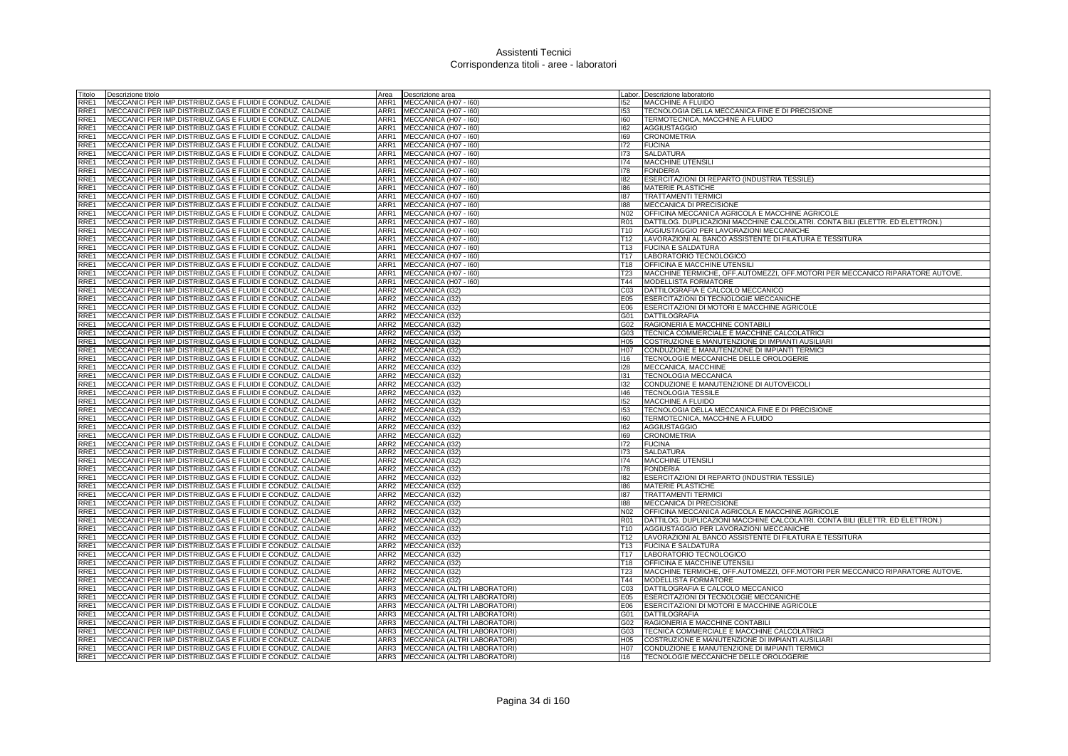| Titolo           | Descrizione titolo                                                                                                       | Area                     | Descrizione area                   |                 | Labor. Descrizione laboratorio                                                |
|------------------|--------------------------------------------------------------------------------------------------------------------------|--------------------------|------------------------------------|-----------------|-------------------------------------------------------------------------------|
| RRE1             | MECCANICI PER IMP.DISTRIBUZ.GAS E FLUIDI E CONDUZ. CALDAIE                                                               | ARR1                     | MECCANICA (H07 - I60)              | 152             | MACCHINE A FLUIDO                                                             |
| RRE1             | MECCANICI PER IMP.DISTRIBUZ.GAS E FLUIDI E CONDUZ. CALDAIE                                                               | ARR1                     | MECCANICA (H07 - I60)              | 153             | TECNOLOGIA DELLA MECCANICA FINE E DI PRECISIONE                               |
| RRE1             | MECCANICI PER IMP.DISTRIBUZ.GAS E FLUIDI E CONDUZ. CALDAIE                                                               | ARR1                     | MECCANICA (H07 - I60)              | 160             | TERMOTECNICA, MACCHINE A FLUIDO                                               |
| RRE1             | MECCANICI PER IMP.DISTRIBUZ.GAS E FLUIDI E CONDUZ. CALDAIE                                                               | ARR1                     | MECCANICA (H07 - I60)              | 162             | <b>AGGIUSTAGGIO</b>                                                           |
| RRE1             | MECCANICI PER IMP.DISTRIBUZ.GAS E FLUIDI E CONDUZ. CALDAIE                                                               | ARR1                     | MECCANICA (H07 - I60)              | 169             | <b>CRONOMETRIA</b>                                                            |
| RRE1             | MECCANICI PER IMP.DISTRIBUZ.GAS E FLUIDI E CONDUZ. CALDAIE                                                               | ARR1                     | MECCANICA (H07 - I60)              | 172             | <b>FUCINA</b>                                                                 |
| RRE1             | MECCANICI PER IMP.DISTRIBUZ.GAS E FLUIDI E CONDUZ. CALDAIE                                                               | ARR1                     | MECCANICA (H07 - I60)              | 173             | <b>SALDATURA</b>                                                              |
| RRE1             | MECCANICI PER IMP.DISTRIBUZ.GAS E FLUIDI E CONDUZ. CALDAIE                                                               | ARR1                     | MECCANICA (H07 - I60)              | 174             | <b>MACCHINE UTENSILI</b>                                                      |
| RRE1             | MECCANICI PER IMP.DISTRIBUZ.GAS E FLUIDI E CONDUZ. CALDAIE                                                               | ARR1                     | MECCANICA (H07 - 160)              | I78             | <b>FONDERIA</b>                                                               |
| RRE1             | MECCANICI PER IMP.DISTRIBUZ.GAS E FLUIDI E CONDUZ. CALDAIE                                                               | ARR1                     | MECCANICA (H07 - I60)              | 182             | ESERCITAZIONI DI REPARTO (INDUSTRIA TESSILE)                                  |
| RRE1             | MECCANICI PER IMP.DISTRIBUZ.GAS E FLUIDI E CONDUZ. CALDAIE                                                               | ARR1                     | MECCANICA (H07 - I60)              | 186             | <b>MATERIE PLASTICHE</b>                                                      |
| RRE1             | MECCANICI PER IMP.DISTRIBUZ.GAS E FLUIDI E CONDUZ. CALDAIE                                                               | ARR1                     | MECCANICA (H07 - I60)              | 187             | <b>TRATTAMENTI TERMICI</b>                                                    |
| RRE1             | MECCANICI PER IMP.DISTRIBUZ.GAS E FLUIDI E CONDUZ. CALDAIE                                                               | ARR1                     | MECCANICA (H07 - I60)              | 188             | MECCANICA DI PRECISIONE                                                       |
| RRE1             | MECCANICI PER IMP.DISTRIBUZ.GAS E FLUIDI E CONDUZ. CALDAIE                                                               | ARR1                     | MECCANICA (H07 - I60)              | N02             | OFFICINA MECCANICA AGRICOLA E MACCHINE AGRICOLE                               |
| RRE1             | MECCANICI PER IMP.DISTRIBUZ.GAS E FLUIDI E CONDUZ. CALDAIE                                                               | ARR1                     | MECCANICA (H07 - I60)              | <b>R01</b>      | DATTILOG. DUPLICAZIONI MACCHINE CALCOLATRI. CONTA BILI (ELETTR. ED ELETTRON.) |
| RRE1             | MECCANICI PER IMP.DISTRIBUZ.GAS E FLUIDI E CONDUZ. CALDAIE                                                               | ARR1                     | MECCANICA (H07 - I60)              | T <sub>10</sub> | AGGIUSTAGGIO PER LAVORAZIONI MECCANICHE                                       |
| RRE1             | MECCANICI PER IMP.DISTRIBUZ.GAS E FLUIDI E CONDUZ. CALDAIE                                                               | ARR1                     | MECCANICA (H07 - I60)              | T <sub>12</sub> | LAVORAZIONI AL BANCO ASSISTENTE DI FILATURA E TESSITURA                       |
| RRE1             | MECCANICI PER IMP.DISTRIBUZ.GAS E FLUIDI E CONDUZ. CALDAIE                                                               | ARR1                     | MECCANICA (H07 - I60)              | T <sub>13</sub> | <b>FUCINA E SALDATURA</b>                                                     |
| RRE1             | MECCANICI PER IMP.DISTRIBUZ.GAS E FLUIDI E CONDUZ. CALDAIE                                                               | ARR1                     | MECCANICA (H07 - I60)              | T17             | LABORATORIO TECNOLOGICO                                                       |
| RRE1             | MECCANICI PER IMP.DISTRIBUZ.GAS E FLUIDI E CONDUZ. CALDAIE                                                               |                          | ARR1 MECCANICA (H07 - 160)         | T18             | <b>OFFICINA E MACCHINE UTENSILI</b>                                           |
| RRE1             | MECCANICI PER IMP.DISTRIBUZ.GAS E FLUIDI E CONDUZ. CALDAIE                                                               | ARR1                     | MECCANICA (H07 - I60)              | T23             | MACCHINE TERMICHE, OFF.AUTOMEZZI, OFF.MOTORI PER MECCANICO RIPARATORE AUTOVE. |
| RRE1             | MECCANICI PER IMP.DISTRIBUZ.GAS E FLUIDI E CONDUZ. CALDAIE                                                               | ARR1                     | MECCANICA (H07 - I60)              | T44             | MODELLISTA FORMATORE                                                          |
| RRE1             | MECCANICI PER IMP.DISTRIBUZ.GAS E FLUIDI E CONDUZ. CALDAIE                                                               | ARR <sub>2</sub>         | MECCANICA (I32)                    | C <sub>03</sub> | DATTILOGRAFIA E CALCOLO MECCANICO                                             |
| RRE1             | MECCANICI PER IMP.DISTRIBUZ.GAS E FLUIDI E CONDUZ. CALDAIE                                                               | ARR2                     | MECCANICA (I32)                    | E05             | ESERCITAZIONI DI TECNOLOGIE MECCANICHE                                        |
| RRE1             | MECCANICI PER IMP.DISTRIBUZ.GAS E FLUIDI E CONDUZ. CALDAIE                                                               | ARR2                     | MECCANICA (I32)                    | E06             | ESERCITAZIONI DI MOTORI E MACCHINE AGRICOLE                                   |
| RRE <sub>1</sub> | MECCANICI PER IMP.DISTRIBUZ.GAS E FLUIDI E CONDUZ. CALDAIE                                                               | ARR2                     | MECCANICA (132)                    | G01             | <b>DATTILOGRAFIA</b>                                                          |
| RRE1             | MECCANICI PER IMP.DISTRIBUZ.GAS E FLUIDI E CONDUZ. CALDAIE                                                               | ARR <sub>2</sub>         | MECCANICA (I32)                    | G02             | RAGIONERIA E MACCHINE CONTABILI                                               |
| RRE1             | MECCANICI PER IMP.DISTRIBUZ.GAS E FLUIDI E CONDUZ. CALDAIE                                                               | ARR2                     | MECCANICA (132)                    | G03             | TECNICA COMMERCIALE E MACCHINE CALCOLATRICI                                   |
| RRE1             | MECCANICI PER IMP.DISTRIBUZ.GAS E FLUIDI E CONDUZ. CALDAIE                                                               | ARR2                     | MECCANICA (I32)                    | H05             | COSTRUZIONE E MANUTENZIONE DI IMPIANTI AUSILIARI                              |
| RRE1             | MECCANICI PER IMP.DISTRIBUZ.GAS E FLUIDI E CONDUZ. CALDAIE                                                               | ARR2                     | MECCANICA (I32)                    | H07             | CONDUZIONE E MANUTENZIONE DI IMPIANTI TERMICI                                 |
| RRE1             | MECCANICI PER IMP.DISTRIBUZ.GAS E FLUIDI E CONDUZ. CALDAIE                                                               | ARR2                     | MECCANICA (I32)                    | 116             | TECNOLOGIE MECCANICHE DELLE OROLOGERIE                                        |
| RRE1             | MECCANICI PER IMP.DISTRIBUZ.GAS E FLUIDI E CONDUZ. CALDAIE                                                               | ARR2                     | <b>MECCANICA (132)</b>             | 128             | MECCANICA, MACCHINE                                                           |
| RRE1             | MECCANICI PER IMP.DISTRIBUZ.GAS E FLUIDI E CONDUZ. CALDAIE                                                               | ARR2                     | MECCANICA (I32)                    | 131             | TECNOLOGIA MECCANICA                                                          |
| RRE1             | MECCANICI PER IMP.DISTRIBUZ.GAS E FLUIDI E CONDUZ. CALDAIE                                                               | ARR2                     | MECCANICA (I32)                    | 132             | CONDUZIONE E MANUTENZIONE DI AUTOVEICOLI                                      |
| RRE <sub>1</sub> | MECCANICI PER IMP.DISTRIBUZ.GAS E FLUIDI E CONDUZ. CALDAIE                                                               | ARR2                     | MECCANICA (132)                    | 146             | <b>TECNOLOGIA TESSILE</b>                                                     |
| RRE1             | MECCANICI PER IMP.DISTRIBUZ.GAS E FLUIDI E CONDUZ. CALDAIE                                                               | ARR <sub>2</sub>         | MECCANICA (I32)                    | 152             | <b>MACCHINE A FLUIDO</b>                                                      |
| RRE1             | MECCANICI PER IMP.DISTRIBUZ.GAS E FLUIDI E CONDUZ. CALDAIE                                                               | ARR2                     | MECCANICA (132)                    | 153             | TECNOLOGIA DELLA MECCANICA FINE E DI PRECISIONE                               |
| RRE1             | MECCANICI PER IMP.DISTRIBUZ.GAS E FLUIDI E CONDUZ. CALDAIE                                                               | ARR2                     | MECCANICA (I32)                    | 160             | TERMOTECNICA, MACCHINE A FLUIDO                                               |
| RRE1             | MECCANICI PER IMP.DISTRIBUZ.GAS E FLUIDI E CONDUZ. CALDAIE                                                               | ARR2                     | MECCANICA (132)                    | 162             | <b>AGGIUSTAGGIO</b>                                                           |
| RRE1             | MECCANICI PER IMP.DISTRIBUZ.GAS E FLUIDI E CONDUZ. CALDAIE                                                               | ARR2                     | MECCANICA (I32)                    | 169             | <b>CRONOMETRIA</b>                                                            |
| RRE1             | MECCANICI PER IMP.DISTRIBUZ.GAS E FLUIDI E CONDUZ. CALDAIE                                                               | ARR2                     | MECCANICA (132)                    | 172             | <b>FUCINA</b>                                                                 |
| RRE1             | MECCANICI PER IMP.DISTRIBUZ.GAS E FLUIDI E CONDUZ. CALDAIE                                                               | ARR2                     | MECCANICA (I32)                    | 173             | <b>SALDATURA</b>                                                              |
| RRE1             | MECCANICI PER IMP.DISTRIBUZ.GAS E FLUIDI E CONDUZ. CALDAIE                                                               | ARR2                     | MECCANICA (132)                    | 174             | <b>MACCHINE UTENSILI</b>                                                      |
| RRE1             | MECCANICI PER IMP.DISTRIBUZ.GAS E FLUIDI E CONDUZ. CALDAIE                                                               | ARR2<br>ARR <sub>2</sub> | MECCANICA (132)                    | 178             | <b>FONDERIA</b>                                                               |
| RRE1<br>RRE1     | MECCANICI PER IMP.DISTRIBUZ.GAS E FLUIDI E CONDUZ. CALDAIE                                                               | ARR2                     | MECCANICA (I32)                    | 182<br>186      | ESERCITAZIONI DI REPARTO (INDUSTRIA TESSILE)<br><b>MATERIE PLASTICHE</b>      |
| RRE1             | MECCANICI PER IMP.DISTRIBUZ.GAS E FLUIDI E CONDUZ. CALDAIE<br>MECCANICI PER IMP.DISTRIBUZ.GAS E FLUIDI E CONDUZ. CALDAIE | ARR2                     | MECCANICA (132)                    | 187             | <b>TRATTAMENTI TERMIC</b>                                                     |
| RRE1             | MECCANICI PER IMP.DISTRIBUZ.GAS E FLUIDI E CONDUZ. CALDAIE                                                               | ARR2                     | MECCANICA (I32)<br>MECCANICA (132) | 188             | MECCANICA DI PRECISIONE                                                       |
| RRE1             | MECCANICI PER IMP.DISTRIBUZ.GAS E FLUIDI E CONDUZ. CALDAIE                                                               | ARR2                     | MECCANICA (I32)                    | N02             | OFFICINA MECCANICA AGRICOLA E MACCHINE AGRICOLE                               |
| RRE1             | MECCANICI PER IMP.DISTRIBUZ.GAS E FLUIDI E CONDUZ. CALDAIE                                                               | ARR2                     | MECCANICA (I32)                    | R01             | DATTILOG. DUPLICAZIONI MACCHINE CALCOLATRI. CONTA BILI (ELETTR. ED ELETTRON.) |
| RRE1             | MECCANICI PER IMP.DISTRIBUZ.GAS E FLUIDI E CONDUZ. CALDAIE                                                               | ARR2                     | MECCANICA (I32)                    | T <sub>10</sub> | AGGIUSTAGGIO PER LAVORAZIONI MECCANICHE                                       |
| RRE1             | MECCANICI PER IMP.DISTRIBUZ.GAS E FLUIDI E CONDUZ. CALDAIE                                                               | ARR2                     | MECCANICA (132)                    | T <sub>12</sub> | LAVORAZIONI AL BANCO ASSISTENTE DI FILATURA E TESSITURA                       |
| RRE1             | IMECCANICI PER IMP.DISTRIBUZ.GAS E FLUIDI E CONDUZ. CALDAIE                                                              | ARR2                     | MECCANICA (I32)                    | T <sub>13</sub> | <b>FUCINA E SALDATURA</b>                                                     |
| RRE1             | MECCANICI PER IMP.DISTRIBUZ.GAS E FLUIDI E CONDUZ. CALDAIE                                                               | ARR2                     | <b>MECCANICA (I32)</b>             | T <sub>17</sub> | LABORATORIO TECNOLOGICO                                                       |
| RRE1             | MECCANICI PER IMP.DISTRIBUZ.GAS E FLUIDI E CONDUZ. CALDAIE                                                               | ARR2                     | MECCANICA (I32)                    | T18             | OFFICINA E MACCHINE UTENSIL                                                   |
| RRE1             | MECCANICI PER IMP.DISTRIBUZ.GAS E FLUIDI E CONDUZ. CALDAIE                                                               | ARR2                     | MECCANICA (I32)                    | T <sub>23</sub> | MACCHINE TERMICHE, OFF.AUTOMEZZI, OFF.MOTORI PER MECCANICO RIPARATORE AUTOVE. |
| RRE1             | MECCANICI PER IMP.DISTRIBUZ.GAS E FLUIDI E CONDUZ. CALDAIE                                                               | ARR2                     | MECCANICA (I32)                    | T44             | MODELLISTA FORMATORE                                                          |
| RRE1             | MECCANICI PER IMP.DISTRIBUZ.GAS E FLUIDI E CONDUZ. CALDAIE                                                               | ARR3                     | MECCANICA (ALTRI LABORATORI)       | CO <sub>3</sub> | DATTILOGRAFIA E CALCOLO MECCANICO                                             |
| RRE1             | MECCANICI PER IMP.DISTRIBUZ.GAS E FLUIDI E CONDUZ. CALDAIE                                                               | ARR3                     | MECCANICA (ALTRI LABORATORI)       | E05             | ESERCITAZIONI DI TECNOLOGIE MECCANICHE                                        |
| RRE1             | MECCANICI PER IMP.DISTRIBUZ.GAS E FLUIDI E CONDUZ. CALDAIE                                                               | ARR3                     | MECCANICA (ALTRI LABORATORI)       | E06             | ESERCITAZIONI DI MOTORI E MACCHINE AGRICOLE                                   |
| RRE1             | MECCANICI PER IMP.DISTRIBUZ.GAS E FLUIDI E CONDUZ. CALDAIE                                                               | ARR3                     | MECCANICA (ALTRI LABORATORI)       | G01             | <b>DATTILOGRAFIA</b>                                                          |
| RRE1             | MECCANICI PER IMP.DISTRIBUZ.GAS E FLUIDI E CONDUZ. CALDAIE                                                               | ARR3                     | MECCANICA (ALTRI LABORATORI)       | G02             | RAGIONERIA E MACCHINE CONTABILI                                               |
| RRE1             | MECCANICI PER IMP.DISTRIBUZ.GAS E FLUIDI E CONDUZ. CALDAIE                                                               | ARR3                     | MECCANICA (ALTRI LABORATORI)       | G03             | TECNICA COMMERCIALE E MACCHINE CALCOLATRICI                                   |
| RRE1             | IMECCANICI PER IMP.DISTRIBUZ.GAS E FLUIDI E CONDUZ. CALDAIE                                                              |                          | ARR3 MECCANICA (ALTRI LABORATORI)  | H <sub>05</sub> | <b>COSTRUZIONE E MANUTENZIONE DI IMPIANTI AUSILIARI</b>                       |
| RRE1             | MECCANICI PER IMP.DISTRIBUZ.GAS E FLUIDI E CONDUZ. CALDAIE                                                               |                          | ARR3 MECCANICA (ALTRI LABORATORI)  | H <sub>07</sub> | CONDUZIONE E MANUTENZIONE DI IMPIANTI TERMICI                                 |
| RRE1             | MECCANICI PER IMP.DISTRIBUZ.GAS E FLUIDI E CONDUZ. CALDAIE                                                               |                          | ARR3 MECCANICA (ALTRI LABORATORI)  | 116             | TECNOLOGIE MECCANICHE DELLE OROLOGERIE                                        |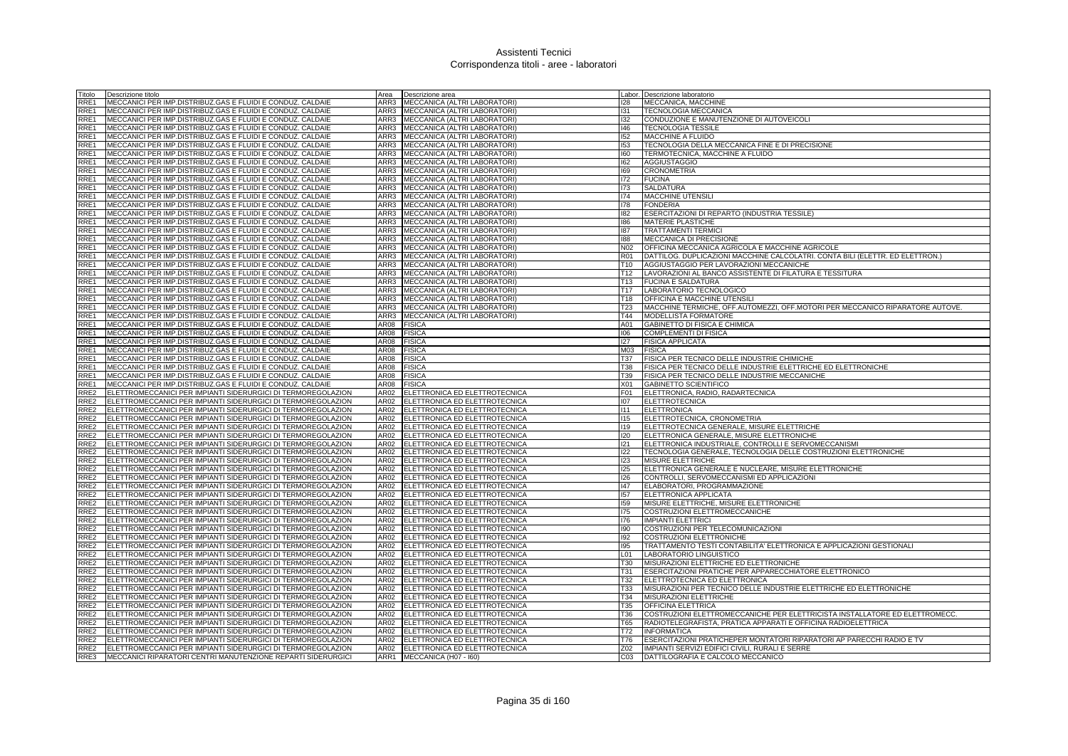| Titolo           | Descrizione titolo                                                | Area        | Descrizione area                    |                  | Labor. Descrizione laboratorio                                                |
|------------------|-------------------------------------------------------------------|-------------|-------------------------------------|------------------|-------------------------------------------------------------------------------|
| RRE1             | MECCANICI PER IMP.DISTRIBUZ.GAS E FLUIDI E CONDUZ. CALDAIE        | ARR3        | MECCANICA (ALTRI LABORATORI)        | 128              | MECCANICA, MACCHINE                                                           |
| RRE1             | MECCANICI PER IMP.DISTRIBUZ.GAS E FLUIDI E CONDUZ. CALDAIE        | ARR3        | MECCANICA (ALTRI LABORATORI)        | 131              | <b>TECNOLOGIA MECCANICA</b>                                                   |
| RRE1             | MECCANICI PER IMP.DISTRIBUZ.GAS E FLUIDI E CONDUZ. CALDAIE        |             | ARR3 MECCANICA (ALTRI LABORATORI)   | 132              | CONDUZIONE E MANUTENZIONE DI AUTOVEICOLI                                      |
| RRE1             | MECCANICI PER IMP.DISTRIBUZ.GAS E FLUIDI E CONDUZ. CALDAIE        | ARR3        | MECCANICA (ALTRI LABORATORI)        | 146              | <b>TECNOLOGIA TESSILE</b>                                                     |
| RRE1             | MECCANICI PER IMP.DISTRIBUZ.GAS E FLUIDI E CONDUZ. CALDAIE        | ARR3        | MECCANICA (ALTRI LABORATORI)        | 152              | <b>MACCHINE A FLUIDO</b>                                                      |
| RRE1             | MECCANICI PER IMP.DISTRIBUZ.GAS E FLUIDI E CONDUZ. CALDAIE        | ARR3        | MECCANICA (ALTRI LABORATORI)        | 153              | TECNOLOGIA DELLA MECCANICA FINE E DI PRECISIONE                               |
| RRE1             | MECCANICI PER IMP.DISTRIBUZ.GAS E FLUIDI E CONDUZ. CALDAIE        | ARR3        | MECCANICA (ALTRI LABORATORI)        | 160              | TERMOTECNICA, MACCHINE A FLUIDO                                               |
| RRE1             | MECCANICI PER IMP.DISTRIBUZ.GAS E FLUIDI E CONDUZ. CALDAIE        | ARR3        | MECCANICA (ALTRI LABORATORI)        | 162              | <b>AGGIUSTAGGIO</b>                                                           |
| RRE1             | IMECCANICI PER IMP.DISTRIBUZ.GAS E FLUIDI E CONDUZ. CALDAIE       | ARR3        | MECCANICA (ALTRI LABORATORI)        | 169              | <b>CRONOMETRIA</b>                                                            |
| RRE1             | MECCANICI PER IMP.DISTRIBUZ.GAS E FLUIDI E CONDUZ. CALDAIE        | ARR3        | MECCANICA (ALTRI LABORATORI)        | 172              | <b>FUCINA</b>                                                                 |
| RRE1             | MECCANICI PER IMP.DISTRIBUZ.GAS E FLUIDI E CONDUZ. CALDAIE        | ARR3        | MECCANICA (ALTRI LABORATORI)        | 173              | <b>SALDATURA</b>                                                              |
| RRE1             | MECCANICI PER IMP.DISTRIBUZ.GAS E FLUIDI E CONDUZ. CALDAIE        | ARR3        | MECCANICA (ALTRI LABORATORI)        | 174              | MACCHINE UTENSILI                                                             |
| RRE1             | MECCANICI PER IMP.DISTRIBUZ.GAS E FLUIDI E CONDUZ. CALDAIE        | ARR3        | MECCANICA (ALTRI LABORATORI)        | 178              | <b>FONDERIA</b>                                                               |
| RRE1             | MECCANICI PER IMP.DISTRIBUZ.GAS E FLUIDI E CONDUZ. CALDAIE        | ARR3        | MECCANICA (ALTRI LABORATORI)        | 182              | ESERCITAZIONI DI REPARTO (INDUSTRIA TESSILE)                                  |
| RRE1             | MECCANICI PER IMP.DISTRIBUZ.GAS E FLUIDI E CONDUZ. CALDAIE        | ARR3        | MECCANICA (ALTRI LABORATORI)        | 186              | <b>MATERIE PLASTICHE</b>                                                      |
| RRE1             | MECCANICI PER IMP.DISTRIBUZ.GAS E FLUIDI E CONDUZ. CALDAIE        | ARR3        | MECCANICA (ALTRI LABORATORI)        | 187              | <b>TRATTAMENTI TERMIC</b>                                                     |
| RRE1             | MECCANICI PER IMP.DISTRIBUZ.GAS E FLUIDI E CONDUZ. CALDAIE        | ARR3        | MECCANICA (ALTRI LABORATORI)        | 188              | MECCANICA DI PRECISIONE                                                       |
| RRE1             | MECCANICI PER IMP.DISTRIBUZ.GAS E FLUIDI E CONDUZ. CALDAIE        | ARR3        | MECCANICA (ALTRI LABORATORI)        | N <sub>02</sub>  | OFFICINA MECCANICA AGRICOLA E MACCHINE AGRICOLE                               |
| RRE1             | MECCANICI PER IMP.DISTRIBUZ.GAS E FLUIDI E CONDUZ. CALDAIE        | ARR3        | MECCANICA (ALTRI LABORATORI)        | <b>R01</b>       | DATTILOG. DUPLICAZIONI MACCHINE CALCOLATRI. CONTA BILI (ELETTR. ED ELETTRON.) |
| RRE1             | MECCANICI PER IMP.DISTRIBUZ.GAS E FLUIDI E CONDUZ. CALDAIE        |             | ARR3 MECCANICA (ALTRI LABORATORI)   | T <sub>10</sub>  | AGGIUSTAGGIO PER LAVORAZIONI MECCANICHE                                       |
| RRE1             | MECCANICI PER IMP.DISTRIBUZ.GAS E FLUIDI E CONDUZ. CALDAIE        |             | ARR3   MECCANICA (ALTRI LABORATORI) | T12              | LAVORAZIONI AL BANCO ASSISTENTE DI FILATURA E TESSITURA                       |
| RRE1             | MECCANICI PER IMP.DISTRIBUZ.GAS E FLUIDI E CONDUZ. CALDAIE        | ARR3        | MECCANICA (ALTRI LABORATORI)        | T <sub>13</sub>  | <b>FUCINA E SALDATURA</b>                                                     |
| RRE1             | MECCANICI PER IMP.DISTRIBUZ.GAS E FLUIDI E CONDUZ. CALDAIE        | ARR3        | MECCANICA (ALTRI LABORATORI)        | T <sub>17</sub>  | LABORATORIO TECNOLOGICO                                                       |
| RRE1             | MECCANICI PER IMP.DISTRIBUZ.GAS E FLUIDI E CONDUZ. CALDAIE        | ARR3        | MECCANICA (ALTRI LABORATORI)        | T <sub>18</sub>  | OFFICINA E MACCHINE UTENSIL                                                   |
| RRE1             | MECCANICI PER IMP.DISTRIBUZ.GAS E FLUIDI E CONDUZ. CALDAIE        | ARR3        | MECCANICA (ALTRI LABORATORI)        | T <sub>23</sub>  | MACCHINE TERMICHE, OFF.AUTOMEZZI, OFF.MOTORI PER MECCANICO RIPARATORE AUTOVE. |
| RRE1             | MECCANICI PER IMP.DISTRIBUZ.GAS E FLUIDI E CONDUZ. CALDAIE        | ARR3        | MECCANICA (ALTRI LABORATORI)        | T44              | MODELLISTA FORMATORE                                                          |
| RRE1             | MECCANICI PER IMP.DISTRIBUZ.GAS E FLUIDI E CONDUZ. CALDAIE        | AR08        | <b>FISICA</b>                       | A01              | GABINETTO DI FISICA E CHIMICA                                                 |
| RRE1             | MECCANICI PER IMP.DISTRIBUZ.GAS E FLUIDI E CONDUZ. CALDAIE        | AR08        | <b>FISICA</b>                       | 106              | <b>COMPLEMENTI DI FISICA</b>                                                  |
| RRE1             | MECCANICI PER IMP.DISTRIBUZ.GAS E FLUIDI E CONDUZ. CALDAIE        | AR08        | <b>FISICA</b>                       | 127              | <b>FISICA APPLICATA</b>                                                       |
| RRE1             | MECCANICI PER IMP.DISTRIBUZ.GAS E FLUIDI E CONDUZ. CALDAIE        | AR08        | <b>FISICA</b>                       | M03              | <b>FISICA</b>                                                                 |
| RRE1             | MECCANICI PER IMP.DISTRIBUZ.GAS E FLUIDI E CONDUZ. CALDAIE        | AR08        | <b>FISICA</b>                       | <b>T37</b>       | FISICA PER TECNICO DELLE INDUSTRIE CHIMICHE                                   |
| RRE1             | MECCANICI PER IMP.DISTRIBUZ.GAS E FLUIDI E CONDUZ. CALDAIE        | <b>AR08</b> | <b>FISICA</b>                       | <b>T38</b>       | FISICA PER TECNICO DELLE INDUSTRIE ELETTRICHE ED ELETTRONICHE                 |
| RRE1             | MECCANICI PER IMP.DISTRIBUZ.GAS E FLUIDI E CONDUZ. CALDAIE        | AR08        | FISICA                              | T39              | FISICA PER TECNICO DELLE INDUSTRIE MECCANICHE                                 |
| RRE1             | MECCANICI PER IMP.DISTRIBUZ.GAS E FLUIDI E CONDUZ. CALDAIE        | AR08        | <b>FISICA</b>                       | X01              | <b>GABINETTO SCIENTIFICO</b>                                                  |
| RRE <sub>2</sub> | ELETTROMECCANICI PER IMPIANTI SIDERURGICI DI TERMOREGOLAZION      | AR02        | ELETTRONICA ED ELETTROTECNICA       | F01              | ELETTRONICA, RADIO, RADARTECNICA                                              |
| RRE2             | ELETTROMECCANICI PER IMPIANTI SIDERURGICI DI TERMOREGOLAZION      | AR02        | ELETTRONICA ED ELETTROTECNICA       | 107              | <b>ELETTROTECNICA</b>                                                         |
| RRE2             | ELETTROMECCANICI PER IMPIANTI SIDERURGICI DI TERMOREGOLAZION      | AR02        | ELETTRONICA ED ELETTROTECNICA       | 111              | <b>ELETTRONICA</b>                                                            |
| RRE2             | ELETTROMECCANICI PER IMPIANTI SIDERURGICI DI TERMOREGOLAZION      | AR02        | ELETTRONICA ED ELETTROTECNICA       | 115              | ELETTROTECNICA, CRONOMETRIA                                                   |
| RRE <sub>2</sub> | ELETTROMECCANICI PER IMPIANTI SIDERURGICI DI TERMOREGOLAZION      | AR02        | ELETTRONICA ED ELETTROTECNICA       | 119              | ELETTROTECNICA GENERALE, MISURE ELETTRICHE                                    |
| RRE2             | ELETTROMECCANICI PER IMPIANTI SIDERURGICI DI TERMOREGOLAZION      | <b>AR02</b> | ELETTRONICA ED ELETTROTECNICA       | 120              | ELETTRONICA GENERALE, MISURE ELETTRONICHE                                     |
| RRE2             | ELETTROMECCANICI PER IMPIANTI SIDERURGICI DI TERMOREGOLAZION      | AR02        | ELETTRONICA ED ELETTROTECNICA       | 121              | ELETTRONICA INDUSTRIALE, CONTROLLI E SERVOMECCANISMI                          |
| RRE2             | ELETTROMECCANICI PER IMPIANTI SIDERURGICI DI TERMOREGOLAZION      | AR02        | ELETTRONICA ED ELETTROTECNICA       | 122              | TECNOLOGIA GENERALE, TECNOLOGIA DELLE COSTRUZIONI ELETTRONICHE                |
| RRE2             | ELETTROMECCANICI PER IMPIANTI SIDERURGICI DI TERMOREGOLAZION      | AR02        | ELETTRONICA ED ELETTROTECNICA       | 123              | <b>MISURE ELETTRICHE</b>                                                      |
| RRE2             | ELETTROMECCANICI PER IMPIANTI SIDERURGICI DI TERMOREGOLAZION      | AR02        | ELETTRONICA ED ELETTROTECNICA       | 125              | ELETTRONICA GENERALE E NUCLEARE, MISURE ELETTRONICHE                          |
| RRE2             | ELETTROMECCANICI PER IMPIANTI SIDERURGICI DI TERMOREGOLAZION      | AR02        | ELETTRONICA ED ELETTROTECNICA       | 126              | CONTROLLI, SERVOMECCANISMI ED APPLICAZIONI                                    |
| RRE2             | ELETTROMECCANICI PER IMPIANTI SIDERURGICI DI TERMOREGOLAZION      | AR02        | ELETTRONICA ED ELETTROTECNICA       | 147              | ELABORATORI, PROGRAMMAZIONE                                                   |
| RRE2             | ELETTROMECCANICI PER IMPIANTI SIDERURGICI DI TERMOREGOLAZION      | AR02        | ELETTRONICA ED ELETTROTECNICA       | 157              | ELETTRONICA APPLICATA                                                         |
| RRE2             | ELETTROMECCANICI PER IMPIANTI SIDERURGICI DI TERMOREGOLAZION      | AR02        | ELETTRONICA ED ELETTROTECNICA       | 159              | MISURE ELETTRICHE, MISURE ELETTRONICHE                                        |
| RRE2             | ELETTROMECCANICI PER IMPIANTI SIDERURGICI DI TERMOREGOLAZION      | AR02        | ELETTRONICA ED ELETTROTECNICA       | 175              | COSTRUZIONI ELETTROMECCANICHE                                                 |
| RRE2             | ELETTROMECCANICI PER IMPIANTI SIDERURGICI DI TERMOREGOLAZION      | AR02        | ELETTRONICA ED ELETTROTECNICA       | 176              | <b>IMPIANTI ELETTRICI</b>                                                     |
| RRE2             | ELETTROMECCANICI PER IMPIANTI SIDERURGICI DI TERMOREGOLAZION      | AR02        | ELETTRONICA ED ELETTROTECNICA       | 190 <sub>1</sub> | COSTRUZIONI PER TELECOMUNICAZIONI                                             |
| RRE <sub>2</sub> | ELETTROMECCANICI PER IMPIANTI SIDERURGICI DI TERMOREGOLAZION      | AR02        | ELETTRONICA ED ELETTROTECNICA       | 192              | <b>COSTRUZIONI ELETTRONICHE</b>                                               |
| RRE2             | ELETTROMECCANICI PER IMPIANTI SIDERURGICI DI TERMOREGOLAZION      | AR02        | ELETTRONICA ED ELETTROTECNICA       | 195              | TRATTAMENTO TESTI CONTABILITA' ELETTRONICA E APPLICAZIONI GESTIONALI          |
| RRE2             | ELETTROMECCANICI PER IMPIANTI SIDERURGICI DI TERMOREGOLAZION      | AR02        | ELETTRONICA ED ELETTROTECNICA       | L <sub>01</sub>  | LABORATORIO LINGUISTICO                                                       |
| RRE2             | ELETTROMECCANICI PER IMPIANTI SIDERURGICI DI TERMOREGOLAZION      | AR02        | ELETTRONICA ED ELETTROTECNICA       | <b>T30</b>       | MISURAZIONI ELETTRICHE ED ELETTRONICHE                                        |
| RRE2             | ELETTROMECCANICI PER IMPIANTI SIDERURGICI DI TERMOREGOLAZION      | AR02        | ELETTRONICA ED ELETTROTECNICA       | <b>T31</b>       | ESERCITAZIONI PRATICHE PER APPARECCHIATORE ELETTRONICO                        |
| RRE2             | ELETTROMECCANICI PER IMPIANTI SIDERURGICI DI TERMOREGOLAZION      | AR02        | ELETTRONICA ED ELETTROTECNICA       | T32              | ELETTROTECNICA ED ELETTRONICA                                                 |
| RRE <sub>2</sub> | ELETTROMECCANICI PER IMPIANTI SIDERURGICI DI TERMOREGOLAZION      | AR02        | ELETTRONICA ED ELETTROTECNICA       | <b>T33</b>       | MISURAZIONI PER TECNICO DELLE INDUSTRIE ELETTRICHE ED ELETTRONICHE            |
| RRE2             | ELETTROMECCANICI PER IMPIANTI SIDERURGICI DI TERMOREGOLAZION      | AR02        | ELETTRONICA ED ELETTROTECNICA       | T34              | MISURAZIONI ELETTRICHE                                                        |
| RRE2             | ELETTROMECCANICI PER IMPIANTI SIDERURGICI DI TERMOREGOLAZION      | AR02        | ELETTRONICA ED ELETTROTECNICA       | T35              | OFFICINA ELETTRICA                                                            |
| RRE2             | ELETTROMECCANICI PER IMPIANTI SIDERURGICI DI TERMOREGOLAZION      | AR02        | ELETTRONICA ED ELETTROTECNICA       | T36              | COSTRUZIONI ELETTROMECCANICHE PER ELETTRICISTA INSTALLATORE ED ELETTROMECC    |
| RRE2             | ELETTROMECCANICI PER IMPIANTI SIDERURGICI DI TERMOREGOLAZION      | AR02        | ELETTRONICA ED ELETTROTECNICA       | T65              | RADIOTELEGRAFISTA, PRATICA APPARATI E OFFICINA RADIOELETTRICA                 |
| RRE <sub>2</sub> | ELETTROMECCANICI PER IMPIANTI SIDERURGICI DI TERMOREGOLAZION      | AR02        | ELETTRONICA ED ELETTROTECNICA       | T72              | <b>INFORMATICA</b>                                                            |
| RRE2             | ELETTROMECCANICI PER IMPIANTI SIDERURGICI DI TERMOREGOLAZION      | AR02        | ELETTRONICA ED ELETTROTECNICA       | T76              | ESERCITAZIONI PRATICHEPER MONTATORI RIPARATORI AP PARECCHI RADIO E TV         |
| RRE2             | ELETTROMECCANICI PER IMPIANTI SIDERURGICI DI TERMOREGOLAZION      | AR02        | ELETTRONICA ED ELETTROTECNICA       | Z02              | IMPIANTI SERVIZI EDIFICI CIVILI, RURALI E SERRE                               |
|                  | RRE3 MECCANICI RIPARATORI CENTRI MANUTENZIONE REPARTI SIDERURGICI |             | ARR1 MECCANICA (H07 - 160)          | CO <sub>3</sub>  | DATTILOGRAFIA E CALCOLO MECCANICO                                             |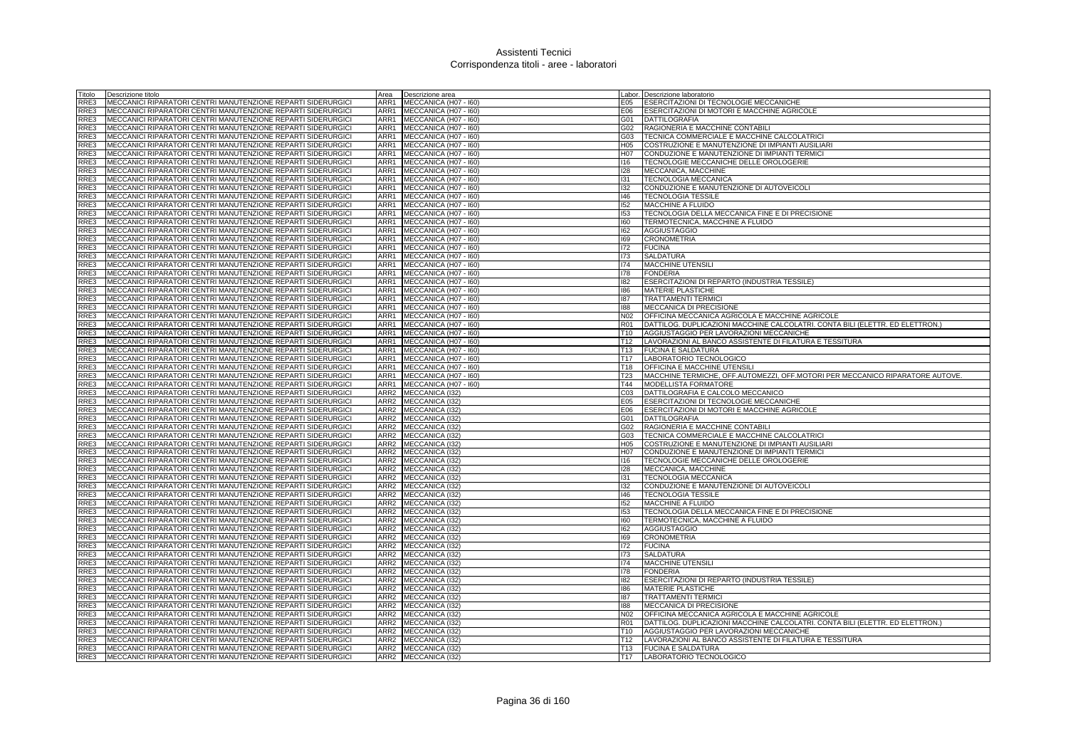| Titolo       | Descrizione titolo                                           | Area             | Descrizione area       |                  | Labor. Descrizione laboratorio                                                |
|--------------|--------------------------------------------------------------|------------------|------------------------|------------------|-------------------------------------------------------------------------------|
| RRE3         | MECCANICI RIPARATORI CENTRI MANUTENZIONE REPARTI SIDERURGICI | ARR1             | MECCANICA (H07 - I60)  | E05              | ESERCITAZIONI DI TECNOLOGIE MECCANICHE                                        |
| RRE3         | MECCANICI RIPARATORI CENTRI MANUTENZIONE REPARTI SIDERURGICI | ARR1             | MECCANICA (H07 - I60)  | E06              | ESERCITAZIONI DI MOTORI E MACCHINE AGRICOLE                                   |
| RRE3         | MECCANICI RIPARATORI CENTRI MANUTENZIONE REPARTI SIDERURGICI | ARR1             | MECCANICA (H07 - I60)  | G01              | <b>DATTILOGRAFIA</b>                                                          |
| RRE3         | MECCANICI RIPARATORI CENTRI MANUTENZIONE REPARTI SIDERURGICI | ARR1             | MECCANICA (H07 - I60)  | G02              | RAGIONERIA E MACCHINE CONTABILI                                               |
| RRE3         | MECCANICI RIPARATORI CENTRI MANUTENZIONE REPARTI SIDERURGICI | ARR1             | MECCANICA (H07 - I60)  | G03              | TECNICA COMMERCIALE E MACCHINE CALCOLATRICI                                   |
| RRE3         | MECCANICI RIPARATORI CENTRI MANUTENZIONE REPARTI SIDERURGICI | ARR1             | MECCANICA (H07 - I60)  | H05              | COSTRUZIONE E MANUTENZIONE DI IMPIANTI AUSILIARI                              |
| RRE3         | MECCANICI RIPARATORI CENTRI MANUTENZIONE REPARTI SIDERURGICI | ARR1             | MECCANICA (H07 - I60)  | H <sub>0</sub> 7 | CONDUZIONE E MANUTENZIONE DI IMPIANTI TERMICI                                 |
| RRE3         | MECCANICI RIPARATORI CENTRI MANUTENZIONE REPARTI SIDERURGICI | ARR1             | MECCANICA (H07 - I60)  | 116              | TECNOLOGIE MECCANICHE DELLE OROLOGERIE                                        |
| RRE3         | MECCANICI RIPARATORI CENTRI MANUTENZIONE REPARTI SIDERURGIC  | ARR1             | MECCANICA (H07 - I60)  | 128              | MECCANICA, MACCHINE                                                           |
| RRE3         | MECCANICI RIPARATORI CENTRI MANUTENZIONE REPARTI SIDERURGICI | ARR1             | MECCANICA (H07 - 160)  | 131              | TECNOLOGIA MECCANICA                                                          |
| RRE3         | MECCANICI RIPARATORI CENTRI MANUTENZIONE REPARTI SIDERURGICI | ARR1             | MECCANICA (H07 - I60)  | 132              | CONDUZIONE E MANUTENZIONE DI AUTOVEICOLI                                      |
| RRE3         | MECCANICI RIPARATORI CENTRI MANUTENZIONE REPARTI SIDERURGICI | ARR1             | MECCANICA (H07 - I60)  | 146              | <b>TECNOLOGIA TESSILE</b>                                                     |
| RRE3         | MECCANICI RIPARATORI CENTRI MANUTENZIONE REPARTI SIDERURGICI | ARR1             | MECCANICA (H07 - I60)  | 152              | MACCHINE A FLUIDO                                                             |
| RRE3         | MECCANICI RIPARATORI CENTRI MANUTENZIONE REPARTI SIDERURGICI | ARR1             | MECCANICA (H07 - I60)  | 153              | TECNOLOGIA DELLA MECCANICA FINE E DI PRECISIONE                               |
| RRE3         | MECCANICI RIPARATORI CENTRI MANUTENZIONE REPARTI SIDERURGICI | ARR1             | MECCANICA (H07 - 160)  | 160              | TERMOTECNICA, MACCHINE A FLUIDO                                               |
| RRE3         | MECCANICI RIPARATORI CENTRI MANUTENZIONE REPARTI SIDERURGICI | ARR1             | MECCANICA (H07 - I60)  | 162              | <b>AGGIUSTAGGIO</b>                                                           |
| RRE3         | MECCANICI RIPARATORI CENTRI MANUTENZIONE REPARTI SIDERURGICI | ARR1             |                        | 169              | <b>CRONOMETRIA</b>                                                            |
|              |                                                              |                  | MECCANICA (H07 - I60)  |                  |                                                                               |
| RRE3         | MECCANICI RIPARATORI CENTRI MANUTENZIONE REPARTI SIDERURGIC  | ARR1             | MECCANICA (H07 - 160)  | 172              | <b>FUCINA</b>                                                                 |
| RRE3         | MECCANICI RIPARATORI CENTRI MANUTENZIONE REPARTI SIDERURGICI | ARR1             | MECCANICA (H07 - I60)  | 173              | <b>SALDATURA</b>                                                              |
| RRE3         | MECCANICI RIPARATORI CENTRI MANUTENZIONE REPARTI SIDERURGICI | ARR1             | MECCANICA (H07 - I60)  | 174              | <b>MACCHINE UTENSILI</b>                                                      |
| RRE3         | MECCANICI RIPARATORI CENTRI MANUTENZIONE REPARTI SIDERURGICI | ARR1             | MECCANICA (H07 - 160)  | 178              | <b>FONDERIA</b>                                                               |
| RRE3         | MECCANICI RIPARATORI CENTRI MANUTENZIONE REPARTI SIDERURGICI | ARR1             | MECCANICA (H07 - I60)  | 182              | ESERCITAZIONI DI REPARTO (INDUSTRIA TESSILE)                                  |
| RRE3         | MECCANICI RIPARATORI CENTRI MANUTENZIONE REPARTI SIDERURGICI | ARR1             | MECCANICA (H07 - I60)  | 186              | <b>MATERIE PLASTICHE</b>                                                      |
| RRE3         | MECCANICI RIPARATORI CENTRI MANUTENZIONE REPARTI SIDERURGICI | ARR1             | MECCANICA (H07 - I60)  | 187              | <b>TRATTAMENTI TERMICI</b>                                                    |
| RRE3         | MECCANICI RIPARATORI CENTRI MANUTENZIONE REPARTI SIDERURGICI | ARR1             | MECCANICA (H07 - I60)  | 188              | MECCANICA DI PRECISIONE                                                       |
| RRE3         | MECCANICI RIPARATORI CENTRI MANUTENZIONE REPARTI SIDERURGICI | ARR1             | MECCANICA (H07 - I60)  | N02              | OFFICINA MECCANICA AGRICOLA E MACCHINE AGRICOLE                               |
| RRE3         | MECCANICI RIPARATORI CENTRI MANUTENZIONE REPARTI SIDERURGICI | ARR1             | MECCANICA (H07 - I60)  | <b>R01</b>       | DATTILOG. DUPLICAZIONI MACCHINE CALCOLATRI. CONTA BILI (ELETTR. ED ELETTRON.) |
| RRE3         | MECCANICI RIPARATORI CENTRI MANUTENZIONE REPARTI SIDERURGICI | ARR1             | MECCANICA (H07 - I60)  | T10              | AGGIUSTAGGIO PER LAVORAZIONI MECCANICHE                                       |
| RRE3         | MECCANICI RIPARATORI CENTRI MANUTENZIONE REPARTI SIDERURGICI | ARR1             | MECCANICA (H07 - I60)  | T <sub>12</sub>  | LAVORAZIONI AL BANCO ASSISTENTE DI FILATURA E TESSITURA                       |
| RRE3         | MECCANICI RIPARATORI CENTRI MANUTENZIONE REPARTI SIDERURGICI | ARR1             | MECCANICA (H07 - I60)  | T13              | <b>FUCINA E SALDATURA</b>                                                     |
| RRE3         | MECCANICI RIPARATORI CENTRI MANUTENZIONE REPARTI SIDERURGICI | ARR1             | MECCANICA (H07 - I60)  | T <sub>17</sub>  | LABORATORIO TECNOLOGICO                                                       |
| RRE3         | MECCANICI RIPARATORI CENTRI MANUTENZIONE REPARTI SIDERURGICI | ARR1             | MECCANICA (H07 - 160)  | T <sub>18</sub>  | OFFICINA E MACCHINE UTENSILI                                                  |
| RRE3         | MECCANICI RIPARATORI CENTRI MANUTENZIONE REPARTI SIDERURGICI | ARR1             | MECCANICA (H07 - I60)  | T <sub>23</sub>  | MACCHINE TERMICHE, OFF.AUTOMEZZI, OFF.MOTORI PER MECCANICO RIPARATORE AUTOVE. |
| RRE3         | MECCANICI RIPARATORI CENTRI MANUTENZIONE REPARTI SIDERURGICI | ARR1             | MECCANICA (H07 - I60)  | T44              | <b>MODELLISTA FORMATORE</b>                                                   |
| RRE3         | MECCANICI RIPARATORI CENTRI MANUTENZIONE REPARTI SIDERURGICI | ARR2             | MECCANICA (I32)        | CO <sub>3</sub>  | DATTILOGRAFIA E CALCOLO MECCANICO                                             |
| RRE3         | MECCANICI RIPARATORI CENTRI MANUTENZIONE REPARTI SIDERURGICI | ARR <sub>2</sub> | MECCANICA (I32)        | E05              | <b>ESERCITAZIONI DI TECNOLOGIE MECCANICHE</b>                                 |
| RRE3         | MECCANICI RIPARATORI CENTRI MANUTENZIONE REPARTI SIDERURGICI |                  | ARR2 MECCANICA (I32)   | E06              | ESERCITAZIONI DI MOTORI E MACCHINE AGRICOLE                                   |
| RRE3         | MECCANICI RIPARATORI CENTRI MANUTENZIONE REPARTI SIDERURGICI |                  | ARR2 MECCANICA (I32)   | G01              | <b>DATTILOGRAFIA</b>                                                          |
| RRE3         | MECCANICI RIPARATORI CENTRI MANUTENZIONE REPARTI SIDERURGICI |                  | ARR2 MECCANICA (I32)   | G02              | RAGIONERIA E MACCHINE CONTABILI                                               |
| RRE3         | MECCANICI RIPARATORI CENTRI MANUTENZIONE REPARTI SIDERURGICI | ARR2             | MECCANICA (I32)        | G03              | TECNICA COMMERCIALE E MACCHINE CALCOLATRICI                                   |
| RRE3         | MECCANICI RIPARATORI CENTRI MANUTENZIONE REPARTI SIDERURGICI | ARR <sub>2</sub> | <b>MECCANICA (I32)</b> | H05              | COSTRUZIONE E MANUTENZIONE DI IMPIANTI AUSILIARI                              |
| RRE3         | MECCANICI RIPARATORI CENTRI MANUTENZIONE REPARTI SIDERURGICI |                  | ARR2 MECCANICA (I32)   | H07              | CONDUZIONE E MANUTENZIONE DI IMPIANTI TERMICI                                 |
| RRE3         | MECCANICI RIPARATORI CENTRI MANUTENZIONE REPARTI SIDERURGICI |                  | ARR2 MECCANICA (I32)   | 116              | TECNOLOGIE MECCANICHE DELLE OROLOGERIE                                        |
| RRE3         | MECCANICI RIPARATORI CENTRI MANUTENZIONE REPARTI SIDERURGIC  | ARR2             | MECCANICA (I32)        | 128              | MECCANICA, MACCHINE                                                           |
| RRE3         | MECCANICI RIPARATORI CENTRI MANUTENZIONE REPARTI SIDERURGICI | ARR <sub>2</sub> | MECCANICA (I32)        | 131              | <b>TECNOLOGIA MECCANICA</b>                                                   |
| RRE3         | MECCANICI RIPARATORI CENTRI MANUTENZIONE REPARTI SIDERURGICI |                  | ARR2 MECCANICA (I32)   | 132              | CONDUZIONE E MANUTENZIONE DI AUTOVEICOLI                                      |
| RRE3         | MECCANICI RIPARATORI CENTRI MANUTENZIONE REPARTI SIDERURGICI | ARR2             | MECCANICA (132)        | 146              | <b>TECNOLOGIA TESSILE</b>                                                     |
| RRE3         | MECCANICI RIPARATORI CENTRI MANUTENZIONE REPARTI SIDERURGICI | ARR <sub>2</sub> | MECCANICA (132)        | 152              | <b>MACCHINE A FLUIDO</b>                                                      |
| RRE3         | MECCANICI RIPARATORI CENTRI MANUTENZIONE REPARTI SIDERURGICI | ARR2             | MECCANICA (I32)        | 153              | TECNOLOGIA DELLA MECCANICA FINE E DI PRECISIONE                               |
| RRE3         | MECCANICI RIPARATORI CENTRI MANUTENZIONE REPARTI SIDERURGICI |                  | ARR2 MECCANICA (I32)   | 160              | TERMOTECNICA, MACCHINE A FLUIDO                                               |
| RRE3         | MECCANICI RIPARATORI CENTRI MANUTENZIONE REPARTI SIDERURGICI |                  | ARR2 MECCANICA (I32)   | 162              | <b>AGGIUSTAGGIO</b>                                                           |
| RRE3         | MECCANICI RIPARATORI CENTRI MANUTENZIONE REPARTI SIDERURGICI | ARR <sub>2</sub> | MECCANICA (I32)        | 169              | <b>CRONOMETRIA</b>                                                            |
| RRE3         | MECCANICI RIPARATORI CENTRI MANUTENZIONE REPARTI SIDERURGIC  | ARR <sub>2</sub> | MECCANICA (I32)        | 172              | <b>FUCINA</b>                                                                 |
| RRE3         | MECCANICI RIPARATORI CENTRI MANUTENZIONE REPARTI SIDERURGICI | ARR <sub>2</sub> | MECCANICA (I32)        | 173              | <b>SALDATURA</b>                                                              |
| RRE3         | MECCANICI RIPARATORI CENTRI MANUTENZIONE REPARTI SIDERURGICI |                  | ARR2 MECCANICA (I32)   | 174              | <b>MACCHINE UTENSILI</b>                                                      |
|              |                                                              |                  |                        | 178              | <b>FONDERIA</b>                                                               |
| RRE3<br>RRE3 | MECCANICI RIPARATORI CENTRI MANUTENZIONE REPARTI SIDERURGICI |                  | ARR2 MECCANICA (I32)   |                  | ESERCITAZIONI DI REPARTO (INDUSTRIA TESSILE)                                  |
|              | MECCANICI RIPARATORI CENTRI MANUTENZIONE REPARTI SIDERURGICI | ARR <sub>2</sub> | ARR2 MECCANICA (I32)   | 182              |                                                                               |
| RRE3         | MECCANICI RIPARATORI CENTRI MANUTENZIONE REPARTI SIDERURGICI |                  | MECCANICA (I32)        | 186              | MATERIE PLASTICHE                                                             |
| RRE3         | MECCANICI RIPARATORI CENTRI MANUTENZIONE REPARTI SIDERURGICI | ARR2             | MECCANICA (I32)        | 187              | <b>TRATTAMENTI TERMICI</b>                                                    |
| RRE3         | MECCANICI RIPARATORI CENTRI MANUTENZIONE REPARTI SIDERURGICI |                  | ARR2 MECCANICA (I32)   | 188              | MECCANICA DI PRECISIONE                                                       |
| RRE3         | MECCANICI RIPARATORI CENTRI MANUTENZIONE REPARTI SIDERURGICI |                  | ARR2 MECCANICA (I32)   | N02              | OFFICINA MECCANICA AGRICOLA E MACCHINE AGRICOLE                               |
| RRE3         | MECCANICI RIPARATORI CENTRI MANUTENZIONE REPARTI SIDERURGICI | ARR <sub>2</sub> | MECCANICA (I32)        | <b>R01</b>       | DATTILOG. DUPLICAZIONI MACCHINE CALCOLATRI. CONTA BILI (ELETTR. ED ELETTRON.) |
| RRE3         | MECCANICI RIPARATORI CENTRI MANUTENZIONE REPARTI SIDERURGICI |                  | ARR2 MECCANICA (I32)   | T10              | AGGIUSTAGGIO PER LAVORAZIONI MECCANICHE                                       |
| RRE3         | MECCANICI RIPARATORI CENTRI MANUTENZIONE REPARTI SIDERURGICI |                  | ARR2 MECCANICA (I32)   | T <sub>12</sub>  | LAVORAZIONI AL BANCO ASSISTENTE DI FILATURA E TESSITURA                       |
| RRE3         | MECCANICI RIPARATORI CENTRI MANUTENZIONE REPARTI SIDERURGICI |                  | ARR2 MECCANICA (I32)   | T13              | <b>FUCINA E SALDATURA</b>                                                     |
| RRE3         | MECCANICI RIPARATORI CENTRI MANUTENZIONE REPARTI SIDERURGICI |                  | ARR2 MECCANICA (I32)   | T <sub>17</sub>  | LABORATORIO TECNOLOGICO                                                       |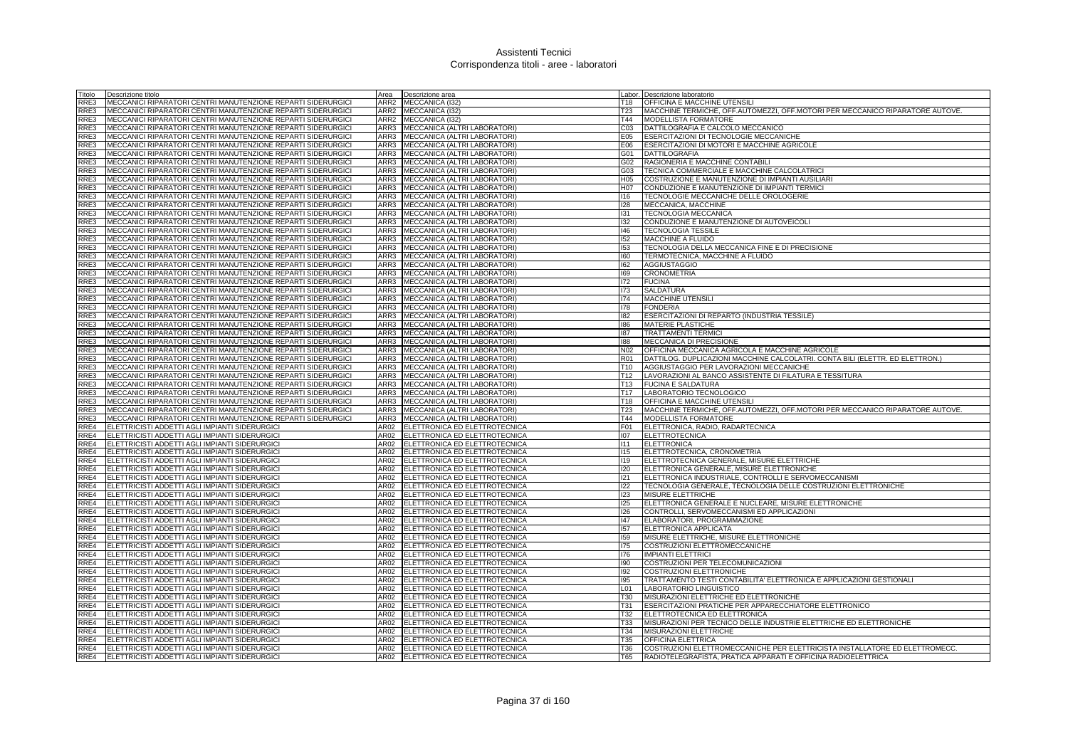| Fitolo       | Descrizione titolo                                                                                                           | Area             | Descrizione area                                               |                 | Labor. Descrizione laboratorio                                                          |
|--------------|------------------------------------------------------------------------------------------------------------------------------|------------------|----------------------------------------------------------------|-----------------|-----------------------------------------------------------------------------------------|
| RRE3         | MECCANICI RIPARATORI CENTRI MANUTENZIONE REPARTI SIDERURGICI                                                                 | ARR <sub>2</sub> | MECCANICA (I32)                                                | T18             | OFFICINA E MACCHINE UTENSILI                                                            |
| RRE3         | MECCANICI RIPARATORI CENTRI MANUTENZIONE REPARTI SIDERURGICI                                                                 |                  | ARR2 MECCANICA (I32)                                           | T <sub>23</sub> | MACCHINE TERMICHE, OFF.AUTOMEZZI, OFF.MOTORI PER MECCANICO RIPARATORE AUTOVE.           |
| RRE3         | MECCANICI RIPARATORI CENTRI MANUTENZIONE REPARTI SIDERURGICI                                                                 |                  | ARR2 MECCANICA (I32)                                           | T44             | MODELLISTA FORMATORE                                                                    |
| RRE3         | MECCANICI RIPARATORI CENTRI MANUTENZIONE REPARTI SIDERURGICI                                                                 | ARR3             | MECCANICA (ALTRI LABORATORI)                                   | C <sub>03</sub> | DATTILOGRAFIA E CALCOLO MECCANICO                                                       |
| RRE3         | MECCANICI RIPARATORI CENTRI MANUTENZIONE REPARTI SIDERURGICI                                                                 | ARR3             | MECCANICA (ALTRI LABORATORI)                                   | E05             | ESERCITAZIONI DI TECNOLOGIE MECCANICHE                                                  |
| RRE3         | MECCANICI RIPARATORI CENTRI MANUTENZIONE REPARTI SIDERURGICI                                                                 | ARR3             | MECCANICA (ALTRI LABORATORI)                                   | E06             | ESERCITAZIONI DI MOTORI E MACCHINE AGRICOLE                                             |
| RRE3         | MECCANICI RIPARATORI CENTRI MANUTENZIONE REPARTI SIDERURGICI                                                                 | ARR3             | MECCANICA (ALTRI LABORATORI)                                   | G01             | <b>DATTILOGRAFIA</b>                                                                    |
| RRE3         | MECCANICI RIPARATORI CENTRI MANUTENZIONE REPARTI SIDERURGICI                                                                 | ARR3             | MECCANICA (ALTRI LABORATORI)                                   | G02             | RAGIONERIA E MACCHINE CONTABILI                                                         |
| RRE3         | MECCANICI RIPARATORI CENTRI MANUTENZIONE REPARTI SIDERURGICI                                                                 | ARR3             | MECCANICA (ALTRI LABORATORI)                                   | G03             | TECNICA COMMERCIALE E MACCHINE CALCOLATRICI                                             |
| RRE3         | MECCANICI RIPARATORI CENTRI MANUTENZIONE REPARTI SIDERURGICI                                                                 | ARR3             | MECCANICA (ALTRI LABORATORI)                                   | H <sub>05</sub> | COSTRUZIONE E MANUTENZIONE DI IMPIANTI AUSILIARI                                        |
| RRE3         | MECCANICI RIPARATORI CENTRI MANUTENZIONE REPARTI SIDERURGICI                                                                 | ARR3             | MECCANICA (ALTRI LABORATORI)                                   | H <sub>07</sub> | CONDUZIONE E MANUTENZIONE DI IMPIANTI TERMICI                                           |
| RRE3         | MECCANICI RIPARATORI CENTRI MANUTENZIONE REPARTI SIDERURGICI                                                                 | ARR3             | MECCANICA (ALTRI LABORATORI)                                   | 116             | TECNOLOGIE MECCANICHE DELLE OROLOGERIE                                                  |
| RRE3<br>RRE3 | MECCANICI RIPARATORI CENTRI MANUTENZIONE REPARTI SIDERURGICI                                                                 | ARR3<br>ARR3     | MECCANICA (ALTRI LABORATORI)                                   | 128<br>131      | MECCANICA, MACCHINE                                                                     |
| RRE3         | MECCANICI RIPARATORI CENTRI MANUTENZIONE REPARTI SIDERURGICI                                                                 | ARR3             | MECCANICA (ALTRI LABORATORI)                                   | 132             | TECNOLOGIA MECCANICA                                                                    |
| RRE3         | MECCANICI RIPARATORI CENTRI MANUTENZIONE REPARTI SIDERURGICI<br>MECCANICI RIPARATORI CENTRI MANUTENZIONE REPARTI SIDERURGICI | ARR3             | MECCANICA (ALTRI LABORATORI)<br>MECCANICA (ALTRI LABORATORI)   | 146             | CONDUZIONE E MANUTENZIONE DI AUTOVEICOLI<br><b>TECNOLOGIA TESSILE</b>                   |
| RRE3         | MECCANICI RIPARATORI CENTRI MANUTENZIONE REPARTI SIDERURGICI                                                                 | ARR3             | MECCANICA (ALTRI LABORATORI)                                   | 152             | MACCHINE A FLUIDO                                                                       |
| RRE3         | MECCANICI RIPARATORI CENTRI MANUTENZIONE REPARTI SIDERURGICI                                                                 | ARR3             | MECCANICA (ALTRI LABORATORI)                                   | 153             | TECNOLOGIA DELLA MECCANICA FINE E DI PRECISIONE                                         |
| RRE3         | MECCANICI RIPARATORI CENTRI MANUTENZIONE REPARTI SIDERURGICI                                                                 | ARR3             | MECCANICA (ALTRI LABORATORI)                                   | 160             | TERMOTECNICA, MACCHINE A FLUIDO                                                         |
| RRE3         | MECCANICI RIPARATORI CENTRI MANUTENZIONE REPARTI SIDERURGICI                                                                 | ARR3             | MECCANICA (ALTRI LABORATORI)                                   | 162             | <b>AGGIUSTAGGIO</b>                                                                     |
| RRE3         | MECCANICI RIPARATORI CENTRI MANUTENZIONE REPARTI SIDERURGICI                                                                 | ARR3             | MECCANICA (ALTRI LABORATORI)                                   | 169             | <b>CRONOMETRIA</b>                                                                      |
| RRE3         | MECCANICI RIPARATORI CENTRI MANUTENZIONE REPARTI SIDERURGICI                                                                 | ARR3             | MECCANICA (ALTRI LABORATORI)                                   | 172             | <b>FUCINA</b>                                                                           |
| RRE3         | MECCANICI RIPARATORI CENTRI MANUTENZIONE REPARTI SIDERURGICI                                                                 | ARR3             | MECCANICA (ALTRI LABORATORI)                                   | 173             | SALDATURA                                                                               |
| RRE3         | MECCANICI RIPARATORI CENTRI MANUTENZIONE REPARTI SIDERURGICI                                                                 | ARR3             | MECCANICA (ALTRI LABORATORI)                                   | 174             | <b>MACCHINE UTENSILI</b>                                                                |
| RRE3         | MECCANICI RIPARATORI CENTRI MANUTENZIONE REPARTI SIDERURGICI                                                                 | ARR3             | MECCANICA (ALTRI LABORATORI)                                   | 178             | <b>FONDERIA</b>                                                                         |
| RRE3         | MECCANICI RIPARATORI CENTRI MANUTENZIONE REPARTI SIDERURGICI                                                                 | ARR3             | MECCANICA (ALTRI LABORATORI)                                   | 182             | ESERCITAZIONI DI REPARTO (INDUSTRIA TESSILE)                                            |
| RRE3         | MECCANICI RIPARATORI CENTRI MANUTENZIONE REPARTI SIDERURGICI                                                                 | ARR3             | MECCANICA (ALTRI LABORATORI)                                   | 186             | <b>MATERIE PLASTICHE</b>                                                                |
| RRE3         | MECCANICI RIPARATORI CENTRI MANUTENZIONE REPARTI SIDERURGICI                                                                 | ARR3             | MECCANICA (ALTRI LABORATORI)                                   | 187             | <b>TRATTAMENTI TERMICI</b>                                                              |
| RRE3         | MECCANICI RIPARATORI CENTRI MANUTENZIONE REPARTI SIDERURGICI                                                                 | ARR3             | MECCANICA (ALTRI LABORATORI)                                   | 188             | MECCANICA DI PRECISIONE                                                                 |
| RRE3         | MECCANICI RIPARATORI CENTRI MANUTENZIONE REPARTI SIDERURGICI                                                                 | ARR3             | MECCANICA (ALTRI LABORATORI)                                   | N <sub>02</sub> | OFFICINA MECCANICA AGRICOLA E MACCHINE AGRICOLE                                         |
| RRE3         | MECCANICI RIPARATORI CENTRI MANUTENZIONE REPARTI SIDERURGICI                                                                 | ARR3             | MECCANICA (ALTRI LABORATORI)                                   | R <sub>01</sub> | DATTILOG. DUPLICAZIONI MACCHINE CALCOLATRI. CONTA BILI (ELETTR. ED ELETTRON.)           |
| RRE3         | MECCANICI RIPARATORI CENTRI MANUTENZIONE REPARTI SIDERURGICI                                                                 | ARR3             | MECCANICA (ALTRI LABORATORI)                                   | T10             | AGGIUSTAGGIO PER LAVORAZIONI MECCANICHE                                                 |
| RRE3         | MECCANICI RIPARATORI CENTRI MANUTENZIONE REPARTI SIDERURGICI                                                                 | ARR3             | MECCANICA (ALTRI LABORATORI)                                   | T12             | LAVORAZIONI AL BANCO ASSISTENTE DI FILATURA E TESSITURA                                 |
| RRE3         | MECCANICI RIPARATORI CENTRI MANUTENZIONE REPARTI SIDERURGICI                                                                 | ARR3             | MECCANICA (ALTRI LABORATORI)                                   | T13             | <b>FUCINA E SALDATURA</b>                                                               |
| RRE3         | MECCANICI RIPARATORI CENTRI MANUTENZIONE REPARTI SIDERURGICI                                                                 | ARR3             | MECCANICA (ALTRI LABORATORI)                                   | T17             | LABORATORIO TECNOLOGICO                                                                 |
| RRE3         | MECCANICI RIPARATORI CENTRI MANUTENZIONE REPARTI SIDERURGICI                                                                 | ARR3             | MECCANICA (ALTRI LABORATORI)                                   | T18             | OFFICINA E MACCHINE UTENSILI                                                            |
| RRE3         | MECCANICI RIPARATORI CENTRI MANUTENZIONE REPARTI SIDERURGICI                                                                 | ARR3             | MECCANICA (ALTRI LABORATORI)                                   | T23             | MACCHINE TERMICHE, OFF.AUTOMEZZI, OFF.MOTORI PER MECCANICO RIPARATORE AUTOVE.           |
| RRE3         | MECCANICI RIPARATORI CENTRI MANUTENZIONE REPARTI SIDERURGICI                                                                 | ARR3             | MECCANICA (ALTRI LABORATORI)                                   | T44             | MODELLISTA FORMATORE                                                                    |
| RRE4         | ELETTRICISTI ADDETTI AGLI IMPIANTI SIDERURGICI                                                                               | AR02             | ELETTRONICA ED ELETTROTECNICA                                  | F01             | ELETTRONICA, RADIO, RADARTECNICA                                                        |
| RRE4         | ELETTRICISTI ADDETTI AGLI IMPIANTI SIDERURGICI                                                                               | AR02             | ELETTRONICA ED ELETTROTECNICA                                  | 107             | <b>ELETTROTECNICA</b>                                                                   |
| RRE4         | ELETTRICISTI ADDETTI AGLI IMPIANTI SIDERURGICI                                                                               | AR02             | ELETTRONICA ED ELETTROTECNICA                                  | 111             | <b>ELETTRONICA</b>                                                                      |
| RRE4         | ELETTRICISTI ADDETTI AGLI IMPIANTI SIDERURGICI                                                                               | AR02             | ELETTRONICA ED ELETTROTECNICA                                  | 115             | ELETTROTECNICA, CRONOMETRIA                                                             |
| RRE4<br>RRE4 | ELETTRICISTI ADDETTI AGLI IMPIANTI SIDERURGICI<br>ELETTRICISTI ADDETTI AGLI IMPIANTI SIDERURGICI                             | AR02<br>AR02     | ELETTRONICA ED ELETTROTECNICA<br>ELETTRONICA ED ELETTROTECNICA | 119<br>120      | ELETTROTECNICA GENERALE, MISURE ELETTRICHE<br>ELETTRONICA GENERALE, MISURE ELETTRONICHE |
| RRE4         | ELETTRICISTI ADDETTI AGLI IMPIANTI SIDERURGICI                                                                               | AR02             | ELETTRONICA ED ELETTROTECNICA                                  | 121             | ELETTRONICA INDUSTRIALE, CONTROLLI E SERVOMECCANISMI                                    |
| RRE4         | ELETTRICISTI ADDETTI AGLI IMPIANTI SIDERURGICI                                                                               | AR02             | ELETTRONICA ED ELETTROTECNICA                                  | 122             | TECNOLOGIA GENERALE, TECNOLOGIA DELLE COSTRUZIONI ELETTRONICHE                          |
| RRE4         | ELETTRICISTI ADDETTI AGLI IMPIANTI SIDERURGICI                                                                               | AR02             | ELETTRONICA ED ELETTROTECNICA                                  | 123             | MISURE ELETTRICHE                                                                       |
| RRE4         | ELETTRICISTI ADDETTI AGLI IMPIANTI SIDERURGICI                                                                               | AR02             | ELETTRONICA ED ELETTROTECNICA                                  | 125             | ELETTRONICA GENERALE E NUCLEARE, MISURE ELETTRONICHE                                    |
| RRE4         | ELETTRICISTI ADDETTI AGLI IMPIANTI SIDERURGICI                                                                               | <b>AR02</b>      | ELETTRONICA ED ELETTROTECNICA                                  | 126             | CONTROLLI, SERVOMECCANISMI ED APPLICAZIONI                                              |
| RRE4         | ELETTRICISTI ADDETTI AGLI IMPIANTI SIDERURGICI                                                                               | AR02             | ELETTRONICA ED ELETTROTECNICA                                  | 47              | ELABORATORI, PROGRAMMAZIONE                                                             |
| RRE4         | ELETTRICISTI ADDETTI AGLI IMPIANTI SIDERURGICI                                                                               | AR02             | ELETTRONICA ED ELETTROTECNICA                                  | 157             | ELETTRONICA APPLICATA                                                                   |
| RRE4         | ELETTRICISTI ADDETTI AGLI IMPIANTI SIDERURGICI                                                                               | AR02             | ELETTRONICA ED ELETTROTECNICA                                  | 159             | MISURE ELETTRICHE, MISURE ELETTRONICHE                                                  |
| RRE4         | ELETTRICISTI ADDETTI AGLI IMPIANTI SIDERURGICI                                                                               | AR02             | ELETTRONICA ED ELETTROTECNICA                                  | 175             | COSTRUZIONI ELETTROMECCANICHE                                                           |
| RRE4         | ELETTRICISTI ADDETTI AGLI IMPIANTI SIDERURGICI                                                                               | AR02             | ELETTRONICA ED ELETTROTECNICA                                  | 176             | <b>IMPIANTI ELETTRICI</b>                                                               |
| RRE4         | ELETTRICISTI ADDETTI AGLI IMPIANTI SIDERURGICI                                                                               | AR02             | ELETTRONICA ED ELETTROTECNICA                                  | 190             | COSTRUZIONI PER TELECOMUNICAZIONI                                                       |
| RRE4         | ELETTRICISTI ADDETTI AGLI IMPIANTI SIDERURGICI                                                                               | AR02             | ELETTRONICA ED ELETTROTECNICA                                  | 192             | COSTRUZIONI ELETTRONICHE                                                                |
| RRE4         | ELETTRICISTI ADDETTI AGLI IMPIANTI SIDERURGICI                                                                               | AR02             | ELETTRONICA ED ELETTROTECNICA                                  | 195             | TRATTAMENTO TESTI CONTABILITA' ELETTRONICA E APPLICAZIONI GESTIONALI                    |
| RRE4         | ELETTRICISTI ADDETTI AGLI IMPIANTI SIDERURGICI                                                                               | AR02             | ELETTRONICA ED ELETTROTECNICA                                  | L01             | LABORATORIO LINGUISTICO                                                                 |
| RRE4         | ELETTRICISTI ADDETTI AGLI IMPIANTI SIDERURGICI                                                                               | AR02             | ELETTRONICA ED ELETTROTECNICA                                  | <b>T30</b>      | MISURAZIONI ELETTRICHE ED ELETTRONICHE                                                  |
| RRE4         | ELETTRICISTI ADDETTI AGLI IMPIANTI SIDERURGICI                                                                               | AR02             | ELETTRONICA ED ELETTROTECNICA                                  | <b>T31</b>      | <b>ESERCITAZIONI PRATICHE PER APPARECCHIATORE ELETTRONICO</b>                           |
| RRE4         | ELETTRICISTI ADDETTI AGLI IMPIANTI SIDERURGICI                                                                               | AR02             | ELETTRONICA ED ELETTROTECNICA                                  | T32             | ELETTROTECNICA ED ELETTRONICA                                                           |
| RRE4         | ELETTRICISTI ADDETTI AGLI IMPIANTI SIDERURGICI                                                                               | AR02             | ELETTRONICA ED ELETTROTECNICA                                  | <b>T33</b>      | MISURAZIONI PER TECNICO DELLE INDUSTRIE ELETTRICHE ED ELETTRONICHE                      |
| RRE4         | ELETTRICISTI ADDETTI AGLI IMPIANTI SIDERURGICI                                                                               | AR02             | ELETTRONICA ED ELETTROTECNICA                                  | T34             | <b>MISURAZIONI ELETTRICHE</b>                                                           |
| RRE4         | ELETTRICISTI ADDETTI AGLI IMPIANTI SIDERURGICI                                                                               | AR02             | ELETTRONICA ED ELETTROTECNICA                                  | T35             | <b>OFFICINA ELETTRICA</b>                                                               |
| RRE4         | ELETTRICISTI ADDETTI AGLI IMPIANTI SIDERURGICI                                                                               | AR02             | ELETTRONICA ED ELETTROTECNICA                                  | T36             | COSTRUZIONI ELETTROMECCANICHE PER ELETTRICISTA INSTALLATORE ED ELETTROMECC.             |
| RRE4         | ELETTRICISTI ADDETTI AGLI IMPIANTI SIDERURGICI                                                                               | <b>AR02</b>      | ELETTRONICA ED ELETTROTECNICA                                  | <b>T65</b>      | RADIOTELEGRAFISTA, PRATICA APPARATI E OFFICINA RADIOELETTRICA                           |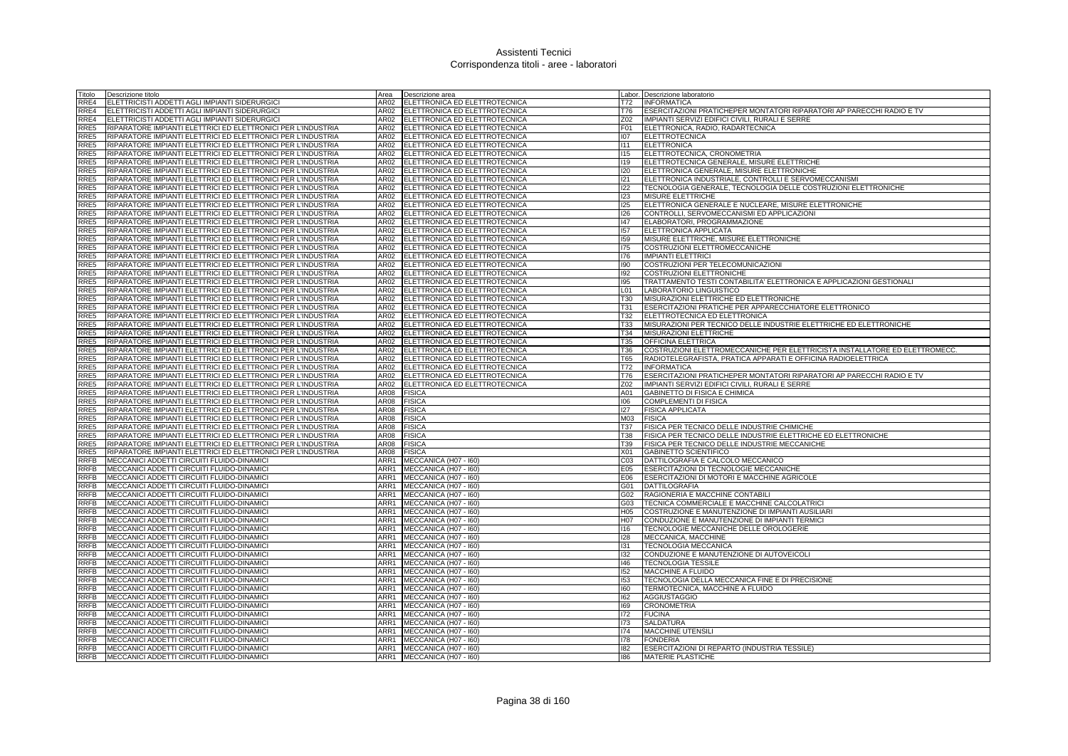| Titolo           | Descrizione titolo                                           | Area | Descrizione area                   | Labor.          | Descrizione laboratorio                                                     |
|------------------|--------------------------------------------------------------|------|------------------------------------|-----------------|-----------------------------------------------------------------------------|
| RRE4             | ELETTRICISTI ADDETTI AGLI IMPIANTI SIDERURGICI               | AR02 | ELETTRONICA ED ELETTROTECNICA      | T72             | <b>INFORMATICA</b>                                                          |
| RRE4             | ELETTRICISTI ADDETTI AGLI IMPIANTI SIDERURGICI               |      | AR02 ELETTRONICA ED ELETTROTECNICA | T76             | ESERCITAZIONI PRATICHEPER MONTATORI RIPARATORI AP PARECCHI RADIO E TV       |
| RRE4             | ELETTRICISTI ADDETTI AGLI IMPIANTI SIDERURGICI               |      | AR02 ELETTRONICA ED ELETTROTECNICA | Z02             | IMPIANTI SERVIZI EDIFICI CIVILI, RURALI E SERRE                             |
| RRE5             | RIPARATORE IMPIANTI ELETTRICI ED ELETTRONICI PER L'INDUSTRIA |      | AR02 ELETTRONICA ED ELETTROTECNICA | F01             | ELETTRONICA, RADIO, RADARTECNICA                                            |
| RRE5             | RIPARATORE IMPIANTI ELETTRICI ED ELETTRONICI PER L'INDUSTRIA | AR02 | ELETTRONICA ED ELETTROTECNICA      | 107             | <b>ELETTROTECNICA</b>                                                       |
| RRE5             | RIPARATORE IMPIANTI ELETTRICI ED ELETTRONICI PER L'INDUSTRIA |      | AR02 ELETTRONICA ED ELETTROTECNICA | 111             | <b>ELETTRONICA</b>                                                          |
| RRE5             | RIPARATORE IMPIANTI ELETTRICI ED ELETTRONICI PER L'INDUSTRIA |      | AR02 ELETTRONICA ED ELETTROTECNICA | 115             | ELETTROTECNICA, CRONOMETRIA                                                 |
| RRE5             | RIPARATORE IMPIANTI ELETTRICI ED ELETTRONICI PER L'INDUSTRIA | AR02 | ELETTRONICA ED ELETTROTECNICA      | 119             | ELETTROTECNICA GENERALE, MISURE ELETTRICHE                                  |
| RRE5             | RIPARATORE IMPIANTI ELETTRICI ED ELETTRONICI PER L'INDUSTRIA | AR02 | ELETTRONICA ED ELETTROTECNICA      | 120             | ELETTRONICA GENERALE, MISURE ELETTRONICHE                                   |
| RRE <sub>5</sub> | RIPARATORE IMPIANTI ELETTRICI ED ELETTRONICI PER L'INDUSTRIA | AR02 | ELETTRONICA ED ELETTROTECNICA      | 121             | ELETTRONICA INDUSTRIALE, CONTROLLI E SERVOMECCANISMI                        |
| RRE5             | RIPARATORE IMPIANTI ELETTRICI ED ELETTRONICI PER L'INDUSTRIA |      | AR02 ELETTRONICA ED ELETTROTECNICA | 122             | TECNOLOGIA GENERALE, TECNOLOGIA DELLE COSTRUZIONI ELETTRONICHE              |
| RRE5             | RIPARATORE IMPIANTI ELETTRICI ED ELETTRONICI PER L'INDUSTRIA | 4R02 | ELETTRONICA ED ELETTROTECNICA      | 123             | <b>MISURE ELETTRICHE</b>                                                    |
| RRE5             | RIPARATORE IMPIANTI ELETTRICI ED ELETTRONICI PER L'INDUSTRIA | AR02 | ELETTRONICA ED ELETTROTECNICA      | <b>I25</b>      | ELETTRONICA GENERALE E NUCLEARE, MISURE ELETTRONICHE                        |
| RRE5             | RIPARATORE IMPIANTI ELETTRICI ED ELETTRONICI PER L'INDUSTRIA | AR02 | ELETTRONICA ED ELETTROTECNICA      | 126             | CONTROLLI, SERVOMECCANISMI ED APPLICAZIONI                                  |
| RRE5             | RIPARATORE IMPIANTI ELETTRICI ED ELETTRONICI PER L'INDUSTRIA |      | AR02 ELETTRONICA ED ELETTROTECNICA | 147             | ELABORATORI, PROGRAMMAZIONE                                                 |
|                  |                                                              |      |                                    | 157             |                                                                             |
| RRE5             | RIPARATORE IMPIANTI ELETTRICI ED ELETTRONICI PER L'INDUSTRIA |      | AR02 ELETTRONICA ED ELETTROTECNICA |                 | ELETTRONICA APPLICATA                                                       |
| RRE5             | RIPARATORE IMPIANTI ELETTRICI ED ELETTRONICI PER L'INDUSTRIA | AR02 | ELETTRONICA ED ELETTROTECNICA      | 159             | MISURE ELETTRICHE, MISURE ELETTRONICHE                                      |
| RRE5             | RIPARATORE IMPIANTI ELETTRICI ED ELETTRONICI PER L'INDUSTRIA | AR02 | ELETTRONICA ED ELETTROTECNICA      | 175             | COSTRUZIONI ELETTROMECCANICHE                                               |
| RRE5             | RIPARATORE IMPIANTI ELETTRICI ED ELETTRONICI PER L'INDUSTRIA |      | AR02 ELETTRONICA ED ELETTROTECNICA | 176             | <b>IMPIANTI ELETTRICI</b>                                                   |
| RRE5             | RIPARATORE IMPIANTI ELETTRICI ED ELETTRONICI PER L'INDUSTRIA |      | AR02 ELETTRONICA ED ELETTROTECNICA | 190             | COSTRUZIONI PER TELECOMUNICAZIONI                                           |
| RRE5             | RIPARATORE IMPIANTI ELETTRICI ED ELETTRONICI PER L'INDUSTRIA | AR02 | ELETTRONICA ED ELETTROTECNICA      | 192             | <b>COSTRUZIONI ELETTRONICHE</b>                                             |
| RRE5             | RIPARATORE IMPIANTI ELETTRICI ED ELETTRONICI PER L'INDUSTRIA | AR02 | ELETTRONICA ED ELETTROTECNICA      | 195             | TRATTAMENTO TESTI CONTABILITA' ELETTRONICA E APPLICAZIONI GESTIONALI        |
| RRE5             | RIPARATORE IMPIANTI ELETTRICI ED ELETTRONICI PER L'INDUSTRIA | AR02 | ELETTRONICA ED ELETTROTECNICA      | L01             | LABORATORIO LINGUISTICO                                                     |
| RRE5             | RIPARATORE IMPIANTI ELETTRICI ED ELETTRONICI PER L'INDUSTRIA | AR02 | ELETTRONICA ED ELETTROTECNICA      | T30             | MISURAZIONI ELETTRICHE ED ELETTRONICHE                                      |
| RRE5             | RIPARATORE IMPIANTI ELETTRICI ED ELETTRONICI PER L'INDUSTRIA | AR02 | ELETTRONICA ED ELETTROTECNICA      | <b>T31</b>      | ESERCITAZIONI PRATICHE PER APPARECCHIATORE ELETTRONICO                      |
| RRE5             | RIPARATORE IMPIANTI ELETTRICI ED ELETTRONICI PER L'INDUSTRIA | AR02 | ELETTRONICA ED ELETTROTECNICA      | T32             | ELETTROTECNICA ED ELETTRONICA                                               |
| RRE5             | RIPARATORE IMPIANTI ELETTRICI ED ELETTRONICI PER L'INDUSTRIA | AR02 | ELETTRONICA ED ELETTROTECNICA      | <b>T33</b>      | MISURAZIONI PER TECNICO DELLE INDUSTRIE ELETTRICHE ED ELETTRONICHE          |
| RRE5             | RIPARATORE IMPIANTI ELETTRICI ED ELETTRONICI PER L'INDUSTRIA |      | AR02 ELETTRONICA ED ELETTROTECNICA | T34             | MISURAZIONI ELETTRICHE                                                      |
| RRE5             | RIPARATORE IMPIANTI ELETTRICI ED ELETTRONICI PER L'INDUSTRIA |      | AR02 ELETTRONICA ED ELETTROTECNICA | T35             | <b>OFFICINA ELETTRICA</b>                                                   |
| RRE5             | RIPARATORE IMPIANTI ELETTRICI ED ELETTRONICI PER L'INDUSTRIA | AR02 | ELETTRONICA ED ELETTROTECNICA      | T36             | COSTRUZIONI ELETTROMECCANICHE PER ELETTRICISTA INSTALLATORE ED ELETTROMECC. |
| RRE5             | RIPARATORE IMPIANTI ELETTRICI ED ELETTRONICI PER L'INDUSTRIA | AR02 | ELETTRONICA ED ELETTROTECNICA      | <b>T65</b>      | RADIOTELEGRAFISTA, PRATICA APPARATI E OFFICINA RADIOELETTRICA               |
| RRE <sub>5</sub> | RIPARATORE IMPIANTI ELETTRICI ED ELETTRONICI PER L'INDUSTRIA | AR02 | ELETTRONICA ED ELETTROTECNICA      | T72             | <b>INFORMATICA</b>                                                          |
| RRE5             | RIPARATORE IMPIANTI ELETTRICI ED ELETTRONICI PER L'INDUSTRIA | AR02 | ELETTRONICA ED ELETTROTECNICA      | <b>T76</b>      | ESERCITAZIONI PRATICHEPER MONTATORI RIPARATORI AP PARECCHI RADIO E TV       |
| RRE5             | RIPARATORE IMPIANTI ELETTRICI ED ELETTRONICI PER L'INDUSTRIA | 4R02 | ELETTRONICA ED ELETTROTECNICA      | Z02             | IMPIANTI SERVIZI EDIFICI CIVILI, RURALI E SERRE                             |
| RRE5             | RIPARATORE IMPIANTI ELETTRICI ED ELETTRONICI PER L'INDUSTRIA | AR08 | <b>FISICA</b>                      | A01             | GABINETTO DI FISICA E CHIMICA                                               |
| RRE5             | RIPARATORE IMPIANTI ELETTRICI ED ELETTRONICI PER L'INDUSTRIA | AR08 | <b>FISICA</b>                      | 106             | COMPLEMENTI DI FISICA                                                       |
| RRE5             | RIPARATORE IMPIANTI ELETTRICI ED ELETTRONICI PER L'INDUSTRIA | AR08 | <b>FISICA</b>                      | 127             | <b>FISICA APPLICATA</b>                                                     |
| RRE5             | RIPARATORE IMPIANTI ELETTRICI ED ELETTRONICI PER L'INDUSTRIA | AR08 | <b>FISICA</b>                      | M03             | <b>FISICA</b>                                                               |
| RRE5             | RIPARATORE IMPIANTI ELETTRICI ED ELETTRONICI PER L'INDUSTRIA | AR08 | <b>FISICA</b>                      | T37             | FISICA PER TECNICO DELLE INDUSTRIE CHIMICHE                                 |
| RRE5             | RIPARATORE IMPIANTI ELETTRICI ED ELETTRONICI PER L'INDUSTRIA | AR08 | <b>FISICA</b>                      | <b>T38</b>      | FISICA PER TECNICO DELLE INDUSTRIE ELETTRICHE ED ELETTRONICHE               |
| RRE5             | RIPARATORE IMPIANTI ELETTRICI ED ELETTRONICI PER L'INDUSTRIA | AR08 | <b>FISICA</b>                      | T39             | FISICA PER TECNICO DELLE INDUSTRIE MECCANICHE                               |
| RRE5             | RIPARATORE IMPIANTI ELETTRICI ED ELETTRONICI PER L'INDUSTRIA | AR08 | <b>FISICA</b>                      | X01             | GABINETTO SCIENTIFICO                                                       |
| <b>RRFB</b>      | MECCANICI ADDETTI CIRCUITI FLUIDO-DINAMICI                   | ARR1 | MECCANICA (H07 - I60)              | C <sub>03</sub> | DATTILOGRAFIA E CALCOLO MECCANICO                                           |
| RRFB             | MECCANICI ADDETTI CIRCUITI FLUIDO-DINAMICI                   | ARR1 | MECCANICA (H07 - I60)              | E05             | ESERCITAZIONI DI TECNOLOGIE MECCANICHE                                      |
| RRFB             | MECCANICI ADDETTI CIRCUITI FLUIDO-DINAMICI                   |      | ARR1 MECCANICA (H07 - 160)         | E06             | ESERCITAZIONI DI MOTORI E MACCHINE AGRICOLE                                 |
| RRFB             | MECCANICI ADDETTI CIRCUITI FLUIDO-DINAMICI                   |      | ARR1 MECCANICA (H07 - 160)         | G01             | DATTILOGRAFIA                                                               |
| RRFB             | MECCANICI ADDETTI CIRCUITI FLUIDO-DINAMICI                   |      | ARR1 MECCANICA (H07 - I60)         | G02             | RAGIONERIA E MACCHINE CONTABILI                                             |
| RRFB             | MECCANICI ADDETTI CIRCUITI FLUIDO-DINAMICI                   |      | ARR1 MECCANICA (H07 - 160)         | G03             | TECNICA COMMERCIALE E MACCHINE CALCOLATRICI                                 |
| RRFB             | MECCANICI ADDETTI CIRCUITI FLUIDO-DINAMICI                   |      | ARR1 MECCANICA (H07 - 160)         | H <sub>05</sub> | COSTRUZIONE E MANUTENZIONE DI IMPIANTI AUSILIARI                            |
| RRFB             | MECCANICI ADDETTI CIRCUITI FLUIDO-DINAMICI                   |      | ARR1 MECCANICA (H07 - I60)         | <b>H07</b>      | CONDUZIONE E MANUTENZIONE DI IMPIANTI TERMICI                               |
|                  | RRFB MECCANICI ADDETTI CIRCUITI FLUIDO-DINAMICI              |      | ARR1 MECCANICA (H07 - I60)         | 116             | TECNOLOGIE MECCANICHE DELLE OROLOGERIE                                      |
| <b>RRFB</b>      | MECCANICI ADDETTI CIRCUITI FLUIDO-DINAMICI                   |      | ARR1 MECCANICA (H07 - 160)         | 128             | MECCANICA, MACCHINE                                                         |
| RRFB             | MECCANICI ADDETTI CIRCUITI FLUIDO-DINAMICI                   |      | ARR1 MECCANICA (H07 - 160)         | 131             | TECNOLOGIA MECCANICA                                                        |
| <b>RRFB</b>      | MECCANICI ADDETTI CIRCUITI FLUIDO-DINAMICI                   |      | ARR1 MECCANICA (H07 - 160)         | 132             | CONDUZIONE E MANUTENZIONE DI AUTOVEICOLI                                    |
| <b>RRFB</b>      | MECCANICI ADDETTI CIRCUITI FLUIDO-DINAMICI                   |      | ARR1 MECCANICA (H07 - 160)         | 146             | <b>TECNOLOGIA TESSILE</b>                                                   |
| RRFB             | MECCANICI ADDETTI CIRCUITI FLUIDO-DINAMICI                   |      | ARR1 MECCANICA (H07 - 160)         | 152             | MACCHINE A FLUIDO                                                           |
| RRFB             | MECCANICI ADDETTI CIRCUITI FLUIDO-DINAMICI                   |      | ARR1 MECCANICA (H07 - 160)         | 153             | TECNOLOGIA DELLA MECCANICA FINE E DI PRECISIONE                             |
| RRFB             | MECCANICI ADDETTI CIRCUITI FLUIDO-DINAMICI                   |      | ARR1 MECCANICA (H07 - 160)         | 160             | TERMOTECNICA, MACCHINE A FLUIDO                                             |
| <b>RRFB</b>      | MECCANICI ADDETTI CIRCUITI FLUIDO-DINAMICI                   |      | ARR1 MECCANICA (H07 - 160)         | 162             | <b>AGGIUSTAGGIO</b>                                                         |
|                  | RRFB MECCANICI ADDETTI CIRCUITI FLUIDO-DINAMICI              |      | ARR1 MECCANICA (H07 - 160)         | 169             | <b>CRONOMETRIA</b>                                                          |
| RRFB             | MECCANICI ADDETTI CIRCUITI FLUIDO-DINAMICI                   |      | ARR1 MECCANICA (H07 - 160)         | 172             | <b>FUCINA</b>                                                               |
| RRFB             | MECCANICI ADDETTI CIRCUITI FLUIDO-DINAMICI                   |      | ARR1 MECCANICA (H07 - 160)         | 173             | <b>SALDATURA</b>                                                            |
| <b>RRFB</b>      | <b>IMECCANICI ADDETTI CIRCUITI FLUIDO-DINAMICI</b>           |      | ARR1 MECCANICA (H07 - 160)         | 174             | <b>MACCHINE UTENSILI</b>                                                    |
| RRFB             | MECCANICI ADDETTI CIRCUITI FLUIDO-DINAMICI                   |      | ARR1 MECCANICA (H07 - I60)         | 178             | <b>FONDERIA</b>                                                             |
| <b>RRFB</b>      | MECCANICI ADDETTI CIRCUITI FLUIDO-DINAMICI                   |      | ARR1 MECCANICA (H07 - I60)         | 182             | ESERCITAZIONI DI REPARTO (INDUSTRIA TESSILE)                                |
| <b>RRFB</b>      | MECCANICI ADDETTI CIRCUITI FLUIDO-DINAMICI                   |      | ARR1 MECCANICA (H07 - 160)         | 186             | MATERIE PLASTICHE                                                           |
|                  |                                                              |      |                                    |                 |                                                                             |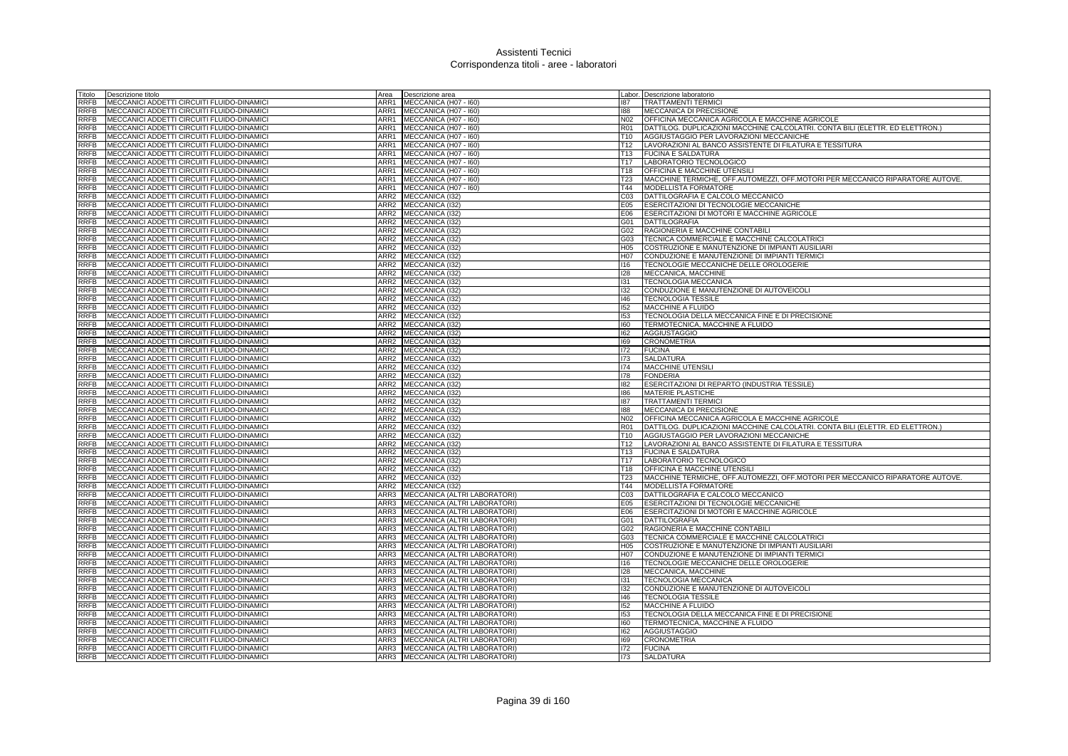| Titolo      | Descrizione titolo                                | Area             | Descrizione area                  |                                    | Labor. Descrizione laboratorio                                                |
|-------------|---------------------------------------------------|------------------|-----------------------------------|------------------------------------|-------------------------------------------------------------------------------|
| RRFB        | MECCANICI ADDETTI CIRCUITI FLUIDO-DINAMICI        | ARR1             | MECCANICA (H07 - I60)             | 187                                | <b>TRATTAMENTI TERMIC</b>                                                     |
| RRFB        | MECCANICI ADDETTI CIRCUITI FLUIDO-DINAMICI        | ARR1             | MECCANICA (H07 - I60)             | 188                                | MECCANICA DI PRECISIONE                                                       |
| RRFB        | MECCANICI ADDETTI CIRCUITI FLUIDO-DINAMICI        |                  | ARR1 MECCANICA (H07 - 160)        | N02                                | OFFICINA MECCANICA AGRICOLA E MACCHINE AGRICOLE                               |
| RRFB        | MECCANICI ADDETTI CIRCUITI FLUIDO-DINAMICI        |                  | ARR1 MECCANICA (H07 - 160)        | <b>R01</b>                         | DATTILOG. DUPLICAZIONI MACCHINE CALCOLATRI. CONTA BILI (ELETTR. ED ELETTRON.) |
| RRFB        | MECCANICI ADDETTI CIRCUITI FLUIDO-DINAMICI        |                  | ARR1 MECCANICA (H07 - 160)        | T <sub>10</sub>                    | AGGIUSTAGGIO PER LAVORAZIONI MECCANICHE                                       |
| <b>RRFB</b> | MECCANICI ADDETTI CIRCUITI FLUIDO-DINAMICI        | ARR1             | MECCANICA (H07 - I60)             | T <sub>12</sub>                    | LAVORAZIONI AL BANCO ASSISTENTE DI FILATURA E TESSITURA                       |
| RRFB        | MECCANICI ADDETTI CIRCUITI FLUIDO-DINAMICI        | ARR1             | MECCANICA (H07 - I60)             | T <sub>13</sub>                    | <b>FUCINA E SALDATURA</b>                                                     |
| <b>RRFB</b> | MECCANICI ADDETTI CIRCUITI FLUIDO-DINAMICI        |                  | ARR1 MECCANICA (H07 - 160)        | T <sub>17</sub>                    | LABORATORIO TECNOLOGICO                                                       |
| <b>RRFB</b> | MECCANICI ADDETTI CIRCUITI FLUIDO-DINAMICI        | ARR1             | MECCANICA (H07 - I60)             | T <sub>18</sub>                    | <b>OFFICINA E MACCHINE UTENSILI</b>                                           |
| RRFB        | MECCANICI ADDETTI CIRCUITI FLUIDO-DINAMICI        | ARR1             | MECCANICA (H07 - I60)             | <b>T23</b>                         | MACCHINE TERMICHE, OFF.AUTOMEZZI, OFF.MOTORI PER MECCANICO RIPARATORE AUTOVE. |
| <b>RRFB</b> | MECCANICI ADDETTI CIRCUITI FLUIDO-DINAMICI        | ARR1             | MECCANICA (H07 - I60)             | T44                                | MODELLISTA FORMATORE                                                          |
| RRFB        | MECCANICI ADDETTI CIRCUITI FLUIDO-DINAMICI        | ARR2             | MECCANICA (I32)                   | CO <sub>3</sub>                    | DATTILOGRAFIA E CALCOLO MECCANICO                                             |
| <b>RRFB</b> | MECCANICI ADDETTI CIRCUITI FLUIDO-DINAMICI        |                  | ARR2 MECCANICA (I32)              | E05                                | ESERCITAZIONI DI TECNOLOGIE MECCANICHE                                        |
| <b>RRFB</b> | MECCANICI ADDETTI CIRCUITI FLUIDO-DINAMICI        | ARR2             |                                   | E06                                | ESERCITAZIONI DI MOTORI E MACCHINE AGRICOLE                                   |
|             |                                                   | ARR2             | MECCANICA (I32)                   |                                    |                                                                               |
| <b>RRFB</b> | MECCANICI ADDETTI CIRCUITI FLUIDO-DINAMICI        |                  | MECCANICA (I32)                   | G01                                | <b>DATTILOGRAFIA</b>                                                          |
| <b>RRFB</b> | MECCANICI ADDETTI CIRCUITI FLUIDO-DINAMICI        | ARR2             | MECCANICA (I32)                   | G02                                | RAGIONERIA E MACCHINE CONTABILI                                               |
| <b>RRFB</b> | MECCANICI ADDETTI CIRCUITI FLUIDO-DINAMICI        | ARR2             | MECCANICA (I32)                   | G03                                | TECNICA COMMERCIALE E MACCHINE CALCOLATRICI                                   |
| <b>RRFB</b> | MECCANICI ADDETTI CIRCUITI FLUIDO-DINAMICI        | ARR2             | MECCANICA (I32)                   | H05                                | COSTRUZIONE E MANUTENZIONE DI IMPIANTI AUSILIARI                              |
| <b>RRFB</b> | MECCANICI ADDETTI CIRCUITI FLUIDO-DINAMICI        | ARR2             | MECCANICA (I32)                   | H <sub>07</sub>                    | CONDUZIONE E MANUTENZIONE DI IMPIANTI TERMICI                                 |
| <b>RRFB</b> | MECCANICI ADDETTI CIRCUITI FLUIDO-DINAMICI        |                  | ARR2 MECCANICA (I32)              | 116                                | TECNOLOGIE MECCANICHE DELLE OROLOGERIE                                        |
| <b>RRFB</b> | MECCANICI ADDETTI CIRCUITI FLUIDO-DINAMICI        |                  | ARR2 MECCANICA (I32)              | 128                                | MECCANICA, MACCHINE                                                           |
| <b>RRFB</b> | MECCANICI ADDETTI CIRCUITI FLUIDO-DINAMICI        |                  | ARR2 MECCANICA (I32)              | 131                                | TECNOLOGIA MECCANICA                                                          |
| RRFB        | MECCANICI ADDETTI CIRCUITI FLUIDO-DINAMICI        | ARR2             | MECCANICA (I32)                   | 132                                | CONDUZIONE E MANUTENZIONE DI AUTOVEICOLI                                      |
| <b>RRFB</b> | MECCANICI ADDETTI CIRCUITI FLUIDO-DINAMICI        | ARR2             | MECCANICA (I32)                   | 146                                | <b>TECNOLOGIA TESSILE</b>                                                     |
| RRFB        | MECCANICI ADDETTI CIRCUITI FLUIDO-DINAMICI        | ARR2             | MECCANICA (I32)                   | 152                                | <b>MACCHINE A FLUIDO</b>                                                      |
| RRFB        | MECCANICI ADDETTI CIRCUITI FLUIDO-DINAMICI        |                  | ARR2 MECCANICA (I32)              | 153                                | TECNOLOGIA DELLA MECCANICA FINE E DI PRECISIONE                               |
| RRFB        | MECCANICI ADDETTI CIRCUITI FLUIDO-DINAMICI        | ARR2             | MECCANICA (132)                   | 160                                | TERMOTECNICA, MACCHINE A FLUIDO                                               |
| <b>RRFB</b> | MECCANICI ADDETTI CIRCUITI FLUIDO-DINAMICI        | ARR2             | MECCANICA (I32)                   | 162                                | AGGIUSTAGGIO                                                                  |
| <b>RRFB</b> | MECCANICI ADDETTI CIRCUITI FLUIDO-DINAMICI        |                  | ARR2 MECCANICA (I32)              | 169                                | <b>CRONOMETRIA</b>                                                            |
| RRFB        | MECCANICI ADDETTI CIRCUITI FLUIDO-DINAMICI        |                  | ARR2 MECCANICA (I32)              | 172                                | <b>FUCINA</b>                                                                 |
| RRFB        | MECCANICI ADDETTI CIRCUITI FLUIDO-DINAMICI        | ARR2             | MECCANICA (I32)                   | 173                                | <b>SALDATURA</b>                                                              |
| <b>RRFB</b> | MECCANICI ADDETTI CIRCUITI FLUIDO-DINAMICI        | ARR2             | MECCANICA (132)                   | 174                                | <b>MACCHINE UTENSILI</b>                                                      |
| <b>RRFB</b> | MECCANICI ADDETTI CIRCUITI FLUIDO-DINAMICI        |                  | ARR2 MECCANICA (I32)              | 178                                | <b>FONDERIA</b>                                                               |
| <b>RRFB</b> | MECCANICI ADDETTI CIRCUITI FLUIDO-DINAMICI        |                  | ARR2 MECCANICA (I32)              | 182                                | ESERCITAZIONI DI REPARTO (INDUSTRIA TESSILE)                                  |
| <b>RRFB</b> | MECCANICI ADDETTI CIRCUITI FLUIDO-DINAMICI        |                  | ARR2 MECCANICA (I32)              | 186                                | MATERIE PLASTICHE                                                             |
| <b>RRFB</b> | MECCANICI ADDETTI CIRCUITI FLUIDO-DINAMICI        |                  | ARR2 MECCANICA (I32)              | 187                                | <b>TRATTAMENTI TERMICI</b>                                                    |
| <b>RRFB</b> | MECCANICI ADDETTI CIRCUITI FLUIDO-DINAMICI        |                  | ARR2 MECCANICA (I32)              | 188                                | MECCANICA DI PRECISIONE                                                       |
| <b>RRFB</b> | <b>MECCANICI ADDETTI CIRCUITI FLUIDO-DINAMICI</b> |                  | ARR2 MECCANICA (I32)              | N <sub>02</sub>                    | OFFICINA MECCANICA AGRICOLA E MACCHINE AGRICOLE                               |
| <b>RRFB</b> | MECCANICI ADDETTI CIRCUITI FLUIDO-DINAMICI        |                  | ARR2 MECCANICA (I32)              | <b>R01</b>                         | DATTILOG. DUPLICAZIONI MACCHINE CALCOLATRI. CONTA BILI (ELETTR. ED ELETTRON.) |
| <b>RRFB</b> | MECCANICI ADDETTI CIRCUITI FLUIDO-DINAMICI        | ARR <sub>2</sub> | MECCANICA (I32)                   | T <sub>10</sub>                    | AGGIUSTAGGIO PER LAVORAZIONI MECCANICHE                                       |
|             |                                                   |                  |                                   |                                    |                                                                               |
| <b>RRFB</b> | MECCANICI ADDETTI CIRCUITI FLUIDO-DINAMICI        | ARR <sub>2</sub> | MECCANICA (I32)                   | T <sub>12</sub>                    | LAVORAZIONI AL BANCO ASSISTENTE DI FILATURA E TESSITURA                       |
| <b>RRFB</b> | MECCANICI ADDETTI CIRCUITI FLUIDO-DINAMICI        | ARR2             | MECCANICA (I32)                   | T <sub>13</sub><br>T <sub>17</sub> | <b>FUCINA E SALDATURA</b>                                                     |
| <b>RRFB</b> | MECCANICI ADDETTI CIRCUITI FLUIDO-DINAMICI        |                  | ARR2 MECCANICA (I32)              |                                    | LABORATORIO TECNOLOGICO                                                       |
| <b>RRFB</b> | MECCANICI ADDETTI CIRCUITI FLUIDO-DINAMICI        | ARR2             | MECCANICA (I32)                   | T18                                | <b>OFFICINA E MACCHINE UTENSILI</b>                                           |
| <b>RRFB</b> | MECCANICI ADDETTI CIRCUITI FLUIDO-DINAMICI        | ARR2             | MECCANICA (I32)                   | <b>T23</b>                         | MACCHINE TERMICHE, OFF.AUTOMEZZI, OFF.MOTORI PER MECCANICO RIPARATORE AUTOVE. |
| RRFB        | MECCANICI ADDETTI CIRCUITI FLUIDO-DINAMICI        | ARR2             | MECCANICA (I32)                   | T44                                | MODELLISTA FORMATORE                                                          |
| <b>RRFB</b> | MECCANICI ADDETTI CIRCUITI FLUIDO-DINAMICI        |                  | ARR3 MECCANICA (ALTRI LABORATORI) | CO <sub>3</sub>                    | DATTILOGRAFIA E CALCOLO MECCANICO                                             |
| RRFB        | MECCANICI ADDETTI CIRCUITI FLUIDO-DINAMICI        | ARR3             | MECCANICA (ALTRI LABORATORI)      | E05                                | <b>ESERCITAZIONI DI TECNOLOGIE MECCANICHE</b>                                 |
| <b>RRFB</b> | MECCANICI ADDETTI CIRCUITI FLUIDO-DINAMICI        | ARR3             | MECCANICA (ALTRI LABORATORI)      | E06                                | ESERCITAZIONI DI MOTORI E MACCHINE AGRICOLE                                   |
| RRFB        | MECCANICI ADDETTI CIRCUITI FLUIDO-DINAMICI        | ARR3             | MECCANICA (ALTRI LABORATORI)      | G01                                | <b>DATTILOGRAFIA</b>                                                          |
| <b>RRFB</b> | MECCANICI ADDETTI CIRCUITI FLUIDO-DINAMICI        |                  | ARR3 MECCANICA (ALTRI LABORATORI) | G02                                | RAGIONERIA E MACCHINE CONTABILI                                               |
| <b>RRFB</b> | MECCANICI ADDETTI CIRCUITI FLUIDO-DINAMICI        | ARR3             | MECCANICA (ALTRI LABORATORI)      | G03                                | TECNICA COMMERCIALE E MACCHINE CALCOLATRICI                                   |
| <b>RRFB</b> | MECCANICI ADDETTI CIRCUITI FLUIDO-DINAMICI        | ARR3             | MECCANICA (ALTRI LABORATORI)      | H <sub>05</sub>                    | COSTRUZIONE E MANUTENZIONE DI IMPIANTI AUSILIARI                              |
| <b>RRFB</b> | MECCANICI ADDETTI CIRCUITI FLUIDO-DINAMICI        | ARR3             | MECCANICA (ALTRI LABORATORI)      | H <sub>0</sub> 7                   | CONDUZIONE E MANUTENZIONE DI IMPIANTI TERMICI                                 |
| RRFB        | MECCANICI ADDETTI CIRCUITI FLUIDO-DINAMICI        | ARR3             | MECCANICA (ALTRI LABORATORI)      | 116                                | TECNOLOGIE MECCANICHE DELLE OROLOGERIE                                        |
| <b>RRFB</b> | MECCANICI ADDETTI CIRCUITI FLUIDO-DINAMICI        | ARR3             | MECCANICA (ALTRI LABORATORI)      | 128                                | MECCANICA, MACCHINE                                                           |
| <b>RRFB</b> | MECCANICI ADDETTI CIRCUITI FLUIDO-DINAMICI        | ARR3             | MECCANICA (ALTRI LABORATORI)      | 131                                | <b>TECNOLOGIA MECCANICA</b>                                                   |
| <b>RRFB</b> | MECCANICI ADDETTI CIRCUITI FLUIDO-DINAMICI        | ARR3             | MECCANICA (ALTRI LABORATORI)      | 132                                | CONDUZIONE E MANUTENZIONE DI AUTOVEICOLI                                      |
| <b>RRFB</b> | MECCANICI ADDETTI CIRCUITI FLUIDO-DINAMICI        | ARR3             | MECCANICA (ALTRI LABORATORI)      | 146                                | <b>TECNOLOGIA TESSILE</b>                                                     |
| <b>RRFB</b> | MECCANICI ADDETTI CIRCUITI FLUIDO-DINAMICI        | ARR3             | MECCANICA (ALTRI LABORATORI)      | 152                                | MACCHINE A FLUIDO                                                             |
| <b>RRFB</b> | MECCANICI ADDETTI CIRCUITI FLUIDO-DINAMICI        | ARR3             | MECCANICA (ALTRI LABORATORI)      | 153                                | TECNOLOGIA DELLA MECCANICA FINE E DI PRECISIONE                               |
| <b>RRFB</b> | MECCANICI ADDETTI CIRCUITI FLUIDO-DINAMICI        | ARR3             | MECCANICA (ALTRI LABORATORI)      | 160                                | TERMOTECNICA, MACCHINE A FLUIDO                                               |
| <b>RRFB</b> | MECCANICI ADDETTI CIRCUITI FLUIDO-DINAMICI        | ARR3             | MECCANICA (ALTRI LABORATORI)      | 162                                | <b>AGGIUSTAGGIO</b>                                                           |
| <b>RRFB</b> | MECCANICI ADDETTI CIRCUITI FLUIDO-DINAMICI        |                  | ARR3 MECCANICA (ALTRI LABORATORI) | 169                                | <b>CRONOMETRIA</b>                                                            |
| <b>RRFB</b> | MECCANICI ADDETTI CIRCUITI FLUIDO-DINAMICI        |                  | ARR3 MECCANICA (ALTRI LABORATORI) | 172                                | <b>FUCINA</b>                                                                 |
| <b>RRFB</b> | MECCANICI ADDETTI CIRCUITI FLUIDO-DINAMICI        |                  | ARR3 MECCANICA (ALTRI LABORATORI) | 173                                | <b>SALDATURA</b>                                                              |
|             |                                                   |                  |                                   |                                    |                                                                               |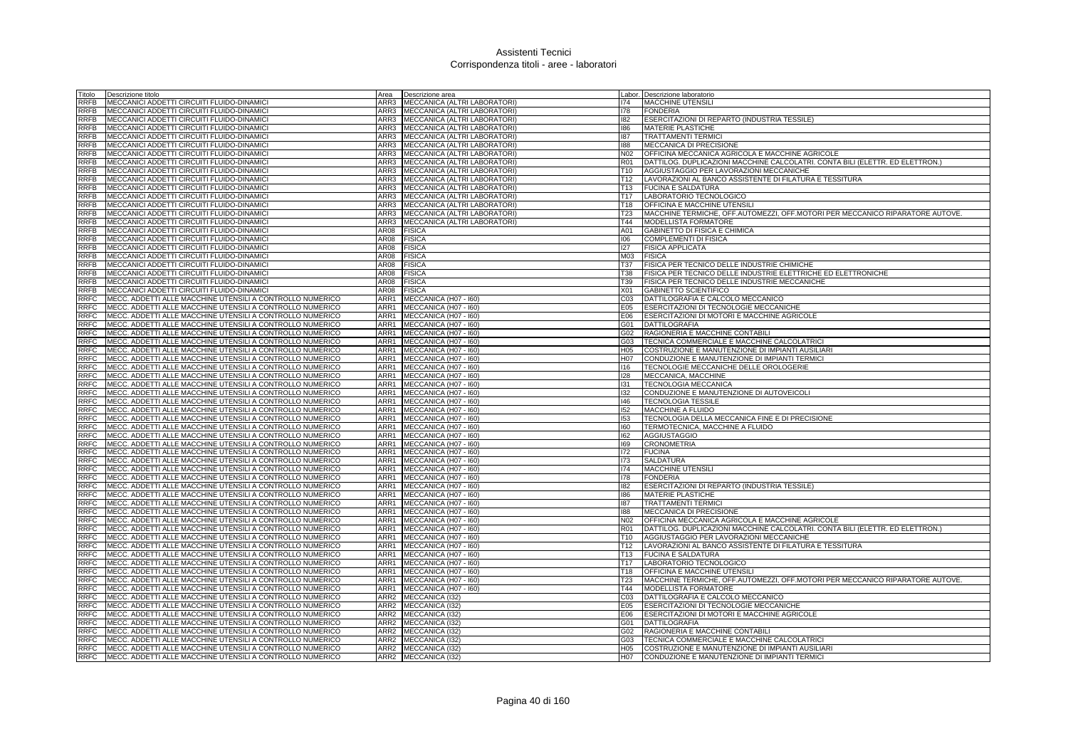| Fitolo                     | Descrizione titolo                                                                                                     | Area             | Descrizione area                               |                 | Labor. Descrizione laboratorio                                                |
|----------------------------|------------------------------------------------------------------------------------------------------------------------|------------------|------------------------------------------------|-----------------|-------------------------------------------------------------------------------|
| RRFB                       | MECCANICI ADDETTI CIRCUITI FLUIDO-DINAMICI                                                                             | ARR3             | MECCANICA (ALTRI LABORATORI)                   | 174             | <b>MACCHINE UTENSIL</b>                                                       |
| RRFB                       | MECCANICI ADDETTI CIRCUITI FLUIDO-DINAMICI                                                                             | ARR3             | MECCANICA (ALTRI LABORATORI)                   | 178             | <b>FONDERIA</b>                                                               |
| <b>RRFB</b>                | MECCANICI ADDETTI CIRCUITI FLUIDO-DINAMICI                                                                             | ARR3             | MECCANICA (ALTRI LABORATORI)                   | 182             | ESERCITAZIONI DI REPARTO (INDUSTRIA TESSILE)                                  |
| <b>RRFB</b>                | MECCANICI ADDETTI CIRCUITI FLUIDO-DINAMICI                                                                             | ARR3             | MECCANICA (ALTRI LABORATORI)                   | 186             | <b>MATERIE PLASTICHE</b>                                                      |
| <b>RRFB</b>                | MECCANICI ADDETTI CIRCUITI FLUIDO-DINAMICI                                                                             | ARR3             | MECCANICA (ALTRI LABORATORI                    | 187             | <b>TRATTAMENTI TERMIC</b>                                                     |
| RRFB                       | MECCANICI ADDETTI CIRCUITI FLUIDO-DINAMICI                                                                             | ARR3             | MECCANICA (ALTRI LABORATORI)                   | 188             | MECCANICA DI PRECISIONE                                                       |
| <b>RRFB</b>                | MECCANICI ADDETTI CIRCUITI FLUIDO-DINAMICI                                                                             | ARR3             | MECCANICA (ALTRI LABORATORI)                   | N <sub>02</sub> | OFFICINA MECCANICA AGRICOLA E MACCHINE AGRICOLE                               |
| RRFB                       | MECCANICI ADDETTI CIRCUITI FLUIDO-DINAMICI                                                                             | ARR3             | MECCANICA (ALTRI LABORATORI)                   | <b>R01</b>      | DATTILOG. DUPLICAZIONI MACCHINE CALCOLATRI. CONTA BILI (ELETTR. ED ELETTRON.) |
| RRFB                       | MECCANICI ADDETTI CIRCUITI FLUIDO-DINAMICI                                                                             | ARR3             | MECCANICA (ALTRI LABORATORI                    | T <sub>10</sub> | AGGIUSTAGGIO PER LAVORAZIONI MECCANICHE                                       |
| <b>RRFB</b>                | MECCANICI ADDETTI CIRCUITI FLUIDO-DINAMICI                                                                             | ARR3             | MECCANICA (ALTRI LABORATORI)                   | T <sub>12</sub> | LAVORAZIONI AL BANCO ASSISTENTE DI FILATURA E TESSITURA                       |
| <b>RRFB</b>                | MECCANICI ADDETTI CIRCUITI FLUIDO-DINAMICI                                                                             | ARR3             | MECCANICA (ALTRI LABORATORI                    | T <sub>13</sub> | <b>FUCINA E SALDATURA</b>                                                     |
| RRFB                       | MECCANICI ADDETTI CIRCUITI FLUIDO-DINAMICI                                                                             | ARR3             | MECCANICA (ALTRI LABORATORI)                   | T <sub>17</sub> | LABORATORIO TECNOLOGICO                                                       |
| RRFB                       | MECCANICI ADDETTI CIRCUITI FLUIDO-DINAMICI                                                                             | ARR3             | MECCANICA (ALTRI LABORATORI)                   | T18             | OFFICINA E MACCHINE UTENSILI                                                  |
| RRFB                       | MECCANICI ADDETTI CIRCUITI FLUIDO-DINAMICI                                                                             | ARR3             | MECCANICA (ALTRI LABORATORI)                   | <b>T23</b>      | MACCHINE TERMICHE, OFF.AUTOMEZZI, OFF.MOTORI PER MECCANICO RIPARATORE AUTOVE. |
| RRFB                       | MECCANICI ADDETTI CIRCUITI FLUIDO-DINAMICI                                                                             | ARR3             | MECCANICA (ALTRI LABORATORI)                   | T44             | MODELLISTA FORMATORE                                                          |
| RRFB                       | MECCANICI ADDETTI CIRCUITI FLUIDO-DINAMICI                                                                             | AR08             | <b>FISICA</b>                                  | A01             | GABINETTO DI FISICA E CHIMICA                                                 |
| RRFB                       | MECCANICI ADDETTI CIRCUITI FLUIDO-DINAMICI                                                                             | AR08             | <b>FISICA</b>                                  | 106             | COMPLEMENTI DI FISICA                                                         |
| RRFB                       | MECCANICI ADDETTI CIRCUITI FLUIDO-DINAMICI                                                                             | AR08             | <b>FISICA</b>                                  | 127             | <b>FISICA APPLICATA</b>                                                       |
| <b>RRFB</b>                | MECCANICI ADDETTI CIRCUITI FLUIDO-DINAMICI                                                                             | AR08             | <b>FISICA</b>                                  | M03             | <b>FISICA</b>                                                                 |
| <b>RRFB</b>                | MECCANICI ADDETTI CIRCUITI FLUIDO-DINAMICI                                                                             | AR08             | <b>FISICA</b>                                  | <b>T37</b>      | FISICA PER TECNICO DELLE INDUSTRIE CHIMICHE                                   |
| RRFB                       | MECCANICI ADDETTI CIRCUITI FLUIDO-DINAMICI                                                                             | <b>AR08</b>      | <b>FISICA</b>                                  | T38             | FISICA PER TECNICO DELLE INDUSTRIE ELETTRICHE ED ELETTRONICHE                 |
| RRFB                       | MECCANICI ADDETTI CIRCUITI FLUIDO-DINAMICI                                                                             | AR08             | <b>FISICA</b>                                  | T39             | FISICA PER TECNICO DELLE INDUSTRIE MECCANICHE                                 |
| <b>RRFB</b>                | MECCANICI ADDETTI CIRCUITI FLUIDO-DINAMICI                                                                             | AR08             | <b>FISICA</b>                                  | <b>X01</b>      | <b>GABINETTO SCIENTIFICO</b>                                                  |
| <b>RRFC</b>                | MECC. ADDETTI ALLE MACCHINE UTENSILI A CONTROLLO NUMERICO                                                              | ARR1             | MECCANICA (H07 - I60)                          | CO <sub>3</sub> | DATTILOGRAFIA E CALCOLO MECCANICO                                             |
| <b>RRFC</b>                | MECC. ADDETTI ALLE MACCHINE UTENSILI A CONTROLLO NUMERICO                                                              | ARR1             | MECCANICA (H07 - I60)                          | E05             | ESERCITAZIONI DI TECNOLOGIE MECCANICHE                                        |
|                            |                                                                                                                        | ARR1             |                                                |                 |                                                                               |
| RRFC                       | MECC. ADDETTI ALLE MACCHINE UTENSILI A CONTROLLO NUMERICO                                                              |                  | MECCANICA (H07 - I60)                          | E06             | ESERCITAZIONI DI MOTORI E MACCHINE AGRICOLE                                   |
| RRFC                       | MECC. ADDETTI ALLE MACCHINE UTENSILI A CONTROLLO NUMERICO                                                              | ARR1             | MECCANICA (H07 - I60)                          | G01             | <b>DATTILOGRAFIA</b>                                                          |
| <b>RRFC</b>                | MECC. ADDETTI ALLE MACCHINE UTENSILI A CONTROLLO NUMERICO                                                              | ARR1             | MECCANICA (H07 - I60)                          | G02             | RAGIONERIA E MACCHINE CONTABILI                                               |
| RRFC                       | MECC. ADDETTI ALLE MACCHINE UTENSILI A CONTROLLO NUMERICO                                                              | ARR1             | MECCANICA (H07 - I60)                          | G03             | TECNICA COMMERCIALE E MACCHINE CALCOLATRICI                                   |
| RRFC                       | MECC. ADDETTI ALLE MACCHINE UTENSILI A CONTROLLO NUMERICO                                                              | ARR1             | MECCANICA (H07 - I60)                          | H05             | COSTRUZIONE E MANUTENZIONE DI IMPIANTI AUSILIARI                              |
| <b>RRFC</b><br><b>RRFC</b> | MECC. ADDETTI ALLE MACCHINE UTENSILI A CONTROLLO NUMERICO                                                              | ARR1             | MECCANICA (H07 - I60)                          | H07             | CONDUZIONE E MANUTENZIONE DI IMPIANTI TERMICI                                 |
| <b>RRFC</b>                | MECC. ADDETTI ALLE MACCHINE UTENSILI A CONTROLLO NUMERICO<br>MECC. ADDETTI ALLE MACCHINE UTENSILI A CONTROLLO NUMERICO | ARR1<br>ARR1     | MECCANICA (H07 - I60)                          | 116<br>128      | TECNOLOGIE MECCANICHE DELLE OROLOGERIE<br>MECCANICA, MACCHINE                 |
| <b>RRFC</b>                | MECC. ADDETTI ALLE MACCHINE UTENSILI A CONTROLLO NUMERICO                                                              | ARR1             | MECCANICA (H07 - I60)<br>MECCANICA (H07 - I60) | 131             | TECNOLOGIA MECCANICA                                                          |
| <b>RRFC</b>                | MECC. ADDETTI ALLE MACCHINE UTENSILI A CONTROLLO NUMERICO                                                              | ARR1             | MECCANICA (H07 - I60)                          | 132             | CONDUZIONE E MANUTENZIONE DI AUTOVEICOLI                                      |
| <b>RRFC</b>                | MECC. ADDETTI ALLE MACCHINE UTENSILI A CONTROLLO NUMERICO                                                              | ARR1             | MECCANICA (H07 - I60)                          | 146             | <b>TECNOLOGIA TESSILE</b>                                                     |
| <b>RRFC</b>                | MECC. ADDETTI ALLE MACCHINE UTENSILI A CONTROLLO NUMERICO                                                              | ARR1             | MECCANICA (H07 - I60)                          | 152             | <b>MACCHINE A FLUIDO</b>                                                      |
| <b>RRFC</b>                | MECC. ADDETTI ALLE MACCHINE UTENSILI A CONTROLLO NUMERICO                                                              | ARR1             | MECCANICA (H07 - I60)                          | 153             | TECNOLOGIA DELLA MECCANICA FINE E DI PRECISIONE                               |
| <b>RRFC</b>                | MECC. ADDETTI ALLE MACCHINE UTENSILI A CONTROLLO NUMERICO                                                              | ARR1             | MECCANICA (H07 - I60)                          | 160             | TERMOTECNICA, MACCHINE A FLUIDO                                               |
| <b>RRFC</b>                | MECC. ADDETTI ALLE MACCHINE UTENSILI A CONTROLLO NUMERICO                                                              | ARR1             | MECCANICA (H07 - I60)                          | 162             | <b>AGGIUSTAGGIO</b>                                                           |
| <b>RRFC</b>                | MECC. ADDETTI ALLE MACCHINE UTENSILI A CONTROLLO NUMERICO                                                              | ARR1             | MECCANICA (H07 - I60)                          | 169             | <b>CRONOMETRIA</b>                                                            |
| RRFC                       | MECC. ADDETTI ALLE MACCHINE UTENSILI A CONTROLLO NUMERICO                                                              | ARR1             | MECCANICA (H07 - I60)                          | 172             | <b>FUCINA</b>                                                                 |
| RRFC                       | MECC. ADDETTI ALLE MACCHINE UTENSILI A CONTROLLO NUMERICO                                                              | ARR1             | MECCANICA (H07 - I60)                          | 173             | <b>SALDATURA</b>                                                              |
| RRFC                       | MECC. ADDETTI ALLE MACCHINE UTENSILI A CONTROLLO NUMERICO                                                              | ARR1             | MECCANICA (H07 - I60)                          | 174             | MACCHINE UTENSILI                                                             |
| <b>RRFC</b>                | MECC. ADDETTI ALLE MACCHINE UTENSILI A CONTROLLO NUMERICO                                                              | ARR1             | MECCANICA (H07 - I60)                          | 178             | <b>FONDERIA</b>                                                               |
| <b>RRFC</b>                | MECC. ADDETTI ALLE MACCHINE UTENSILI A CONTROLLO NUMERICO                                                              | ARR1             | MECCANICA (H07 - 160)                          | 182             | ESERCITAZIONI DI REPARTO (INDUSTRIA TESSILE)                                  |
| <b>RRFC</b>                | MECC. ADDETTI ALLE MACCHINE UTENSILI A CONTROLLO NUMERICO                                                              | ARR1             | MECCANICA (H07 - I60)                          | 186             | <b>MATERIE PLASTICHE</b>                                                      |
| <b>RRFC</b>                | MECC. ADDETTI ALLE MACCHINE UTENSILI A CONTROLLO NUMERICO                                                              | ARR1             | MECCANICA (H07 - I60)                          | 187             | <b>TRATTAMENTI TERMIC</b>                                                     |
| <b>RRFC</b>                | MECC. ADDETTI ALLE MACCHINE UTENSILI A CONTROLLO NUMERICO                                                              | ARR1             | MECCANICA (H07 - I60)                          | 188             | <b>MECCANICA DI PRECISIONE</b>                                                |
| <b>RRFC</b>                | MECC. ADDETTI ALLE MACCHINE UTENSILI A CONTROLLO NUMERICO                                                              | ARR1             | MECCANICA (H07 - I60)                          | <b>N02</b>      | OFFICINA MECCANICA AGRICOLA E MACCHINE AGRICOLE                               |
| <b>RRFC</b>                | MECC. ADDETTI ALLE MACCHINE UTENSILI A CONTROLLO NUMERICO                                                              | ARR1             | MECCANICA (H07 - I60)                          | <b>R01</b>      | DATTILOG. DUPLICAZIONI MACCHINE CALCOLATRI. CONTA BILI (ELETTR. ED ELETTRON.) |
| <b>RRFC</b>                | MECC. ADDETTI ALLE MACCHINE UTENSILI A CONTROLLO NUMERICO                                                              | ARR1             | MECCANICA (H07 - I60)                          | T <sub>10</sub> | AGGIUSTAGGIO PER LAVORAZIONI MECCANICHE                                       |
| <b>RRFC</b>                | MECC. ADDETTI ALLE MACCHINE UTENSILI A CONTROLLO NUMERICO                                                              | ARR1             | MECCANICA (H07 - I60)                          | T <sub>12</sub> | LAVORAZIONI AL BANCO ASSISTENTE DI FILATURA E TESSITURA                       |
| RRFC                       | MECC. ADDETTI ALLE MACCHINE UTENSILI A CONTROLLO NUMERICO                                                              | ARR1             | MECCANICA (H07 - I60)                          | <b>T13</b>      | <b>FUCINA E SALDATURA</b>                                                     |
| RRFC                       | MECC. ADDETTI ALLE MACCHINE UTENSILI A CONTROLLO NUMERICO                                                              | ARR1             | MECCANICA (H07 - I60)                          | T17             | LABORATORIO TECNOLOGICO                                                       |
| <b>RRFC</b>                | MECC. ADDETTI ALLE MACCHINE UTENSILI A CONTROLLO NUMERICO                                                              | ARR1             | MECCANICA (H07 - I60)                          | T18             | <b>OFFICINA E MACCHINE UTENSILI</b>                                           |
| <b>RRFC</b>                | MECC. ADDETTI ALLE MACCHINE UTENSILI A CONTROLLO NUMERICO                                                              | ARR1             | MECCANICA (H07 - I60)                          | T <sub>23</sub> | MACCHINE TERMICHE, OFF.AUTOMEZZI, OFF.MOTORI PER MECCANICO RIPARATORE AUTOVE. |
| <b>RRFC</b>                | MECC. ADDETTI ALLE MACCHINE UTENSILI A CONTROLLO NUMERICO                                                              | ARR1             | MECCANICA (H07 - I60)                          | T44             | <b>MODELLISTA FORMATORE</b>                                                   |
| <b>RRFC</b>                | MECC. ADDETTI ALLE MACCHINE UTENSILI A CONTROLLO NUMERICO                                                              | ARR <sub>2</sub> | MECCANICA (I32)                                | C <sub>03</sub> | DATTILOGRAFIA E CALCOLO MECCANICO                                             |
| <b>RRFC</b>                | MECC. ADDETTI ALLE MACCHINE UTENSILI A CONTROLLO NUMERICO                                                              | ARR2             | MECCANICA (I32)                                | E05             | ESERCITAZIONI DI TECNOLOGIE MECCANICHE                                        |
| <b>RRFC</b>                | MECC. ADDETTI ALLE MACCHINE UTENSILI A CONTROLLO NUMERICO                                                              | ARR2             | MECCANICA (I32)                                | E06             | ESERCITAZIONI DI MOTORI E MACCHINE AGRICOLE                                   |
| <b>RRFC</b>                | MECC. ADDETTI ALLE MACCHINE UTENSILI A CONTROLLO NUMERICO                                                              | ARR2             | MECCANICA (I32)                                | G01             | <b>DATTILOGRAFIA</b>                                                          |
| <b>RRFC</b>                | MECC. ADDETTI ALLE MACCHINE UTENSILI A CONTROLLO NUMERICO                                                              | ARR2             | MECCANICA (I32)                                | G02             | RAGIONERIA E MACCHINE CONTABILI                                               |
| <b>RRFC</b>                | MECC. ADDETTI ALLE MACCHINE UTENSILI A CONTROLLO NUMERICO                                                              |                  | ARR2 MECCANICA (132)                           | G03             | TECNICA COMMERCIALE E MACCHINE CALCOLATRICI                                   |
| RRFC                       | MECC. ADDETTI ALLE MACCHINE UTENSILI A CONTROLLO NUMERICO                                                              |                  | ARR2 MECCANICA (I32)                           | H <sub>05</sub> | COSTRUZIONE E MANUTENZIONE DI IMPIANTI AUSILIARI                              |
| <b>RRFC</b>                | MECC. ADDETTI ALLE MACCHINE UTENSILI A CONTROLLO NUMERICO                                                              |                  | ARR2 MECCANICA (I32)                           | H07             | CONDUZIONE E MANUTENZIONE DI IMPIANTI TERMICI                                 |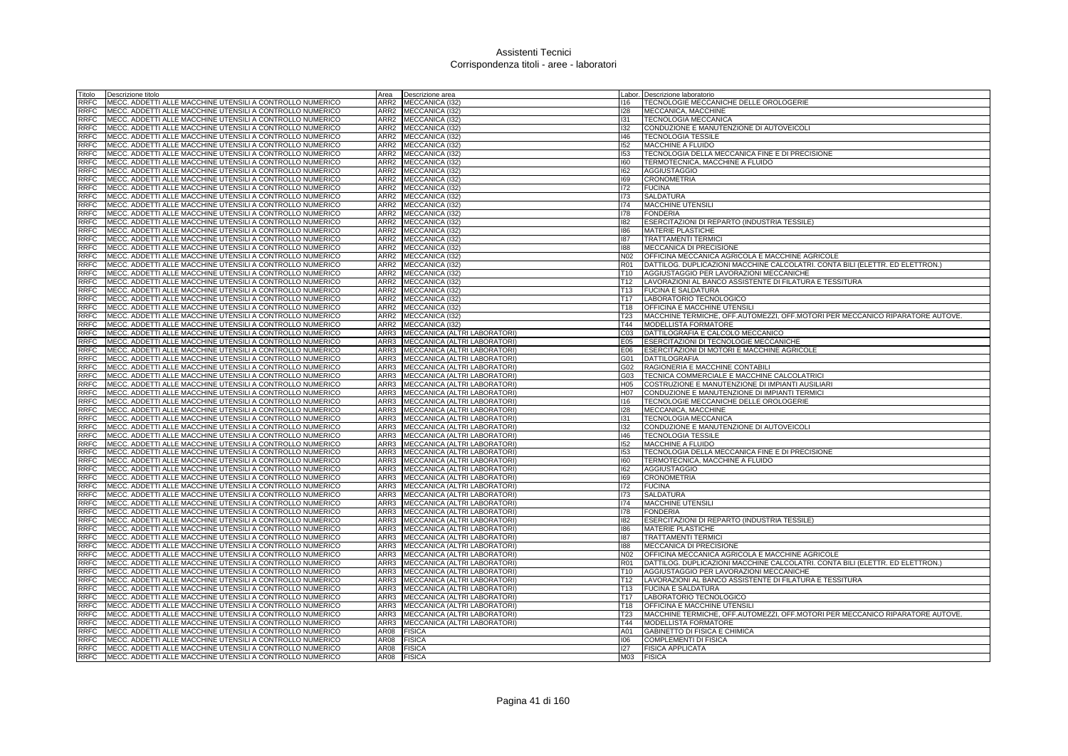| Fitolo      | Descrizione titolo                                        | Area             | Descrizione area                    |                 | Labor. Descrizione laboratorio                                                |
|-------------|-----------------------------------------------------------|------------------|-------------------------------------|-----------------|-------------------------------------------------------------------------------|
| RRFC        | MECC. ADDETTI ALLE MACCHINE UTENSILI A CONTROLLO NUMERICO | ARR2             | MECCANICA (I32                      | 116             | TECNOLOGIE MECCANICHE DELLE OROLOGERIE                                        |
| <b>RRFC</b> | MECC. ADDETTI ALLE MACCHINE UTENSILI A CONTROLLO NUMERICO | ARR2             | MECCANICA (I32)                     | 128             | MECCANICA, MACCHINE                                                           |
| RRFC        | MECC. ADDETTI ALLE MACCHINE UTENSILI A CONTROLLO NUMERICO | ARR2             | MECCANICA (I32)                     | 131             | <b>TECNOLOGIA MECCANICA</b>                                                   |
| <b>RRFC</b> | MECC. ADDETTI ALLE MACCHINE UTENSILI A CONTROLLO NUMERICO |                  | ARR2 MECCANICA (I32)                | 132             | CONDUZIONE E MANUTENZIONE DI AUTOVEICOLI                                      |
| <b>RRFC</b> | MECC. ADDETTI ALLE MACCHINE UTENSILI A CONTROLLO NUMERICO | ARR2             | MECCANICA (I32)                     | 146             | <b>TECNOLOGIA TESSILE</b>                                                     |
| <b>RRFC</b> | MECC. ADDETTI ALLE MACCHINE UTENSILI A CONTROLLO NUMERICO | ARR <sub>2</sub> | MECCANICA (I32)                     | 152             | MACCHINE A FLUIDO                                                             |
| <b>RRFC</b> | MECC. ADDETTI ALLE MACCHINE UTENSILI A CONTROLLO NUMERICO | ARR <sub>2</sub> | MECCANICA (I32)                     | 153             | TECNOLOGIA DELLA MECCANICA FINE E DI PRECISIONE                               |
| <b>RRFC</b> | MECC. ADDETTI ALLE MACCHINE UTENSILI A CONTROLLO NUMERICO | ARR <sub>2</sub> | MECCANICA (I32)                     | 160             | TERMOTECNICA, MACCHINE A FLUIDO                                               |
| <b>RRFC</b> | MECC. ADDETTI ALLE MACCHINE UTENSILI A CONTROLLO NUMERICO | ARR2             | MECCANICA (I32)                     | 162             | <b>AGGIUSTAGGIO</b>                                                           |
| <b>RRFC</b> | MECC. ADDETTI ALLE MACCHINE UTENSILI A CONTROLLO NUMERICO | ARR <sub>2</sub> | <b>MECCANICA (I32)</b>              | 169             | <b>CRONOMETRIA</b>                                                            |
| <b>RRFC</b> | MECC. ADDETTI ALLE MACCHINE UTENSILI A CONTROLLO NUMERICO | ARR2             | MECCANICA (I32)                     | 172             | <b>FUCINA</b>                                                                 |
| <b>RRFC</b> | MECC. ADDETTI ALLE MACCHINE UTENSILI A CONTROLLO NUMERICO |                  | ARR2 MECCANICA (132)                | 173             | <b>SALDATURA</b>                                                              |
| <b>RRFC</b> | MECC. ADDETTI ALLE MACCHINE UTENSILI A CONTROLLO NUMERICO | ARR2             | MECCANICA (I32)                     | 174             | MACCHINE UTENSILI                                                             |
| <b>RRFC</b> | MECC. ADDETTI ALLE MACCHINE UTENSILI A CONTROLLO NUMERICO | ARR2             | MECCANICA (132)                     | 178             | <b>FONDERIA</b>                                                               |
| <b>RRFC</b> | MECC. ADDETTI ALLE MACCHINE UTENSILI A CONTROLLO NUMERICO | ARR <sub>2</sub> | <b>MECCANICA (I32)</b>              | 182             | ESERCITAZIONI DI REPARTO (INDUSTRIA TESSILE)                                  |
| RRFC        | MECC. ADDETTI ALLE MACCHINE UTENSILI A CONTROLLO NUMERICO | ARR2             | MECCANICA (I32)                     | 186             | <b>MATERIE PLASTICHE</b>                                                      |
| RRFC        | MECC. ADDETTI ALLE MACCHINE UTENSILI A CONTROLLO NUMERICO | ARR2             | MECCANICA (I32)                     | 187             | <b>TRATTAMENTI TERMICI</b>                                                    |
| RRFC        | MECC. ADDETTI ALLE MACCHINE UTENSILI A CONTROLLO NUMERICO | ARR2             | MECCANICA (I32)                     | 188             | MECCANICA DI PRECISIONE                                                       |
| <b>RRFC</b> | MECC. ADDETTI ALLE MACCHINE UTENSILI A CONTROLLO NUMERICO | ARR2             | MECCANICA (I32)                     | N <sub>02</sub> | OFFICINA MECCANICA AGRICOLA E MACCHINE AGRICOLE                               |
| RRFC        | MECC. ADDETTI ALLE MACCHINE UTENSILI A CONTROLLO NUMERICO | ARR2             | MECCANICA (I32)                     | <b>R01</b>      | DATTILOG. DUPLICAZIONI MACCHINE CALCOLATRI. CONTA BILI (ELETTR. ED ELETTRON.) |
| <b>RFC</b>  | MECC. ADDETTI ALLE MACCHINE UTENSILI A CONTROLLO NUMERICO | ARR2             | MECCANICA (132)                     | T10             | AGGIUSTAGGIO PER LAVORAZIONI MECCANICHE                                       |
| <b>RRFC</b> | MECC. ADDETTI ALLE MACCHINE UTENSILI A CONTROLLO NUMERICO | ARR2             | MECCANICA (I32)                     | T12             | LAVORAZIONI AL BANCO ASSISTENTE DI FILATURA E TESSITURA                       |
| <b>RRFC</b> | MECC. ADDETTI ALLE MACCHINE UTENSILI A CONTROLLO NUMERICO | ARR2             | MECCANICA (I32)                     | T <sub>13</sub> | <b>FUCINA E SALDATURA</b>                                                     |
| <b>RRFC</b> | MECC. ADDETTI ALLE MACCHINE UTENSILI A CONTROLLO NUMERICO | ARR2             | MECCANICA (I32)                     | T17             | LABORATORIO TECNOLOGICO                                                       |
| <b>RRFC</b> | MECC. ADDETTI ALLE MACCHINE UTENSILI A CONTROLLO NUMERICO | ARR2             | MECCANICA (I32)                     | T <sub>18</sub> | OFFICINA E MACCHINE UTENSILI                                                  |
| <b>RRFC</b> | MECC. ADDETTI ALLE MACCHINE UTENSILI A CONTROLLO NUMERICO | ARR2             | MECCANICA (I32)                     | T <sub>23</sub> | MACCHINE TERMICHE, OFF.AUTOMEZZI, OFF.MOTORI PER MECCANICO RIPARATORE AUTOVE. |
| <b>RRFC</b> | MECC. ADDETTI ALLE MACCHINE UTENSILI A CONTROLLO NUMERICO | ARR2             | MECCANICA (132)                     | T44             | <b>MODELLISTA FORMATORE</b>                                                   |
| <b>RRFC</b> | MECC. ADDETTI ALLE MACCHINE UTENSILI A CONTROLLO NUMERICO | ARR3             | MECCANICA (ALTRI LABORATORI)        | CO <sub>3</sub> | DATTILOGRAFIA E CALCOLO MECCANICO                                             |
| <b>RRFC</b> | MECC. ADDETTI ALLE MACCHINE UTENSILI A CONTROLLO NUMERICO | ARR3             | MECCANICA (ALTRI LABORATORI)        | E05             | <b>ESERCITAZIONI DI TECNOLOGIE MECCANICHE</b>                                 |
| <b>RRFC</b> | MECC. ADDETTI ALLE MACCHINE UTENSILI A CONTROLLO NUMERICO | ARR3             | MECCANICA (ALTRI LABORATORI)        | E06             | ESERCITAZIONI DI MOTORI E MACCHINE AGRICOLE                                   |
| <b>RRFC</b> | MECC. ADDETTI ALLE MACCHINE UTENSILI A CONTROLLO NUMERICO | ARR3             | MECCANICA (ALTRI LABORATORI)        | G01             | <b>DATTILOGRAFIA</b>                                                          |
| <b>RRFC</b> | MECC. ADDETTI ALLE MACCHINE UTENSILI A CONTROLLO NUMERICO | ARR3             | MECCANICA (ALTRI LABORATORI)        | G02             | RAGIONERIA E MACCHINE CONTABILI                                               |
| <b>RRFC</b> | MECC. ADDETTI ALLE MACCHINE UTENSILI A CONTROLLO NUMERICO | ARR3             | MECCANICA (ALTRI LABORATORI)        | G03             | TECNICA COMMERCIALE E MACCHINE CALCOLATRICI                                   |
| <b>RRFC</b> | MECC. ADDETTI ALLE MACCHINE UTENSILI A CONTROLLO NUMERICO | ARR3             | MECCANICA (ALTRI LABORATORI)        | H05             | COSTRUZIONE E MANUTENZIONE DI IMPIANTI AUSILIARI                              |
| RRFC        | MECC. ADDETTI ALLE MACCHINE UTENSILI A CONTROLLO NUMERICO | ARR3             | MECCANICA (ALTRI LABORATORI)        | H07             | CONDUZIONE E MANUTENZIONE DI IMPIANTI TERMICI                                 |
| <b>RRFC</b> | MECC. ADDETTI ALLE MACCHINE UTENSILI A CONTROLLO NUMERICO | ARR3             | MECCANICA (ALTRI LABORATORI)        | 116             | TECNOLOGIE MECCANICHE DELLE OROLOGERIE                                        |
| <b>RRFC</b> | MECC. ADDETTI ALLE MACCHINE UTENSILI A CONTROLLO NUMERICO | ARR3             | MECCANICA (ALTRI LABORATORI)        | 128             | MECCANICA, MACCHINE                                                           |
| <b>RRFC</b> | MECC. ADDETTI ALLE MACCHINE UTENSILI A CONTROLLO NUMERICO | ARR3             | MECCANICA (ALTRI LABORATORI)        | 131             | <b>TECNOLOGIA MECCANICA</b>                                                   |
| <b>RRFC</b> | MECC. ADDETTI ALLE MACCHINE UTENSILI A CONTROLLO NUMERICO | ARR3             | MECCANICA (ALTRI LABORATORI)        | 132             | CONDUZIONE E MANUTENZIONE DI AUTOVEICOLI                                      |
| <b>RRFC</b> | MECC. ADDETTI ALLE MACCHINE UTENSILI A CONTROLLO NUMERICO | ARR3             | MECCANICA (ALTRI LABORATORI)        | 146             | <b>TECNOLOGIA TESSILE</b>                                                     |
| <b>RRFC</b> | MECC. ADDETTI ALLE MACCHINE UTENSILI A CONTROLLO NUMERICO | ARR3             | MECCANICA (ALTRI LABORATORI)        | 152             | MACCHINE A FLUIDO                                                             |
| <b>RRFC</b> | MECC. ADDETTI ALLE MACCHINE UTENSILI A CONTROLLO NUMERICO | ARR3             | MECCANICA (ALTRI LABORATORI)        | 153             | TECNOLOGIA DELLA MECCANICA FINE E DI PRECISIONE                               |
| RRFC        | MECC. ADDETTI ALLE MACCHINE UTENSILI A CONTROLLO NUMERICO | ARR3             | <b>MECCANICA (ALTRI LABORATORI)</b> | 160             | TERMOTECNICA, MACCHINE A FLUIDO                                               |
| <b>RRFC</b> | MECC. ADDETTI ALLE MACCHINE UTENSILI A CONTROLLO NUMERICO | ARR3             | MECCANICA (ALTRI LABORATORI)        | 162             | <b>AGGIUSTAGGIO</b>                                                           |
| <b>RRFC</b> | MECC. ADDETTI ALLE MACCHINE UTENSILI A CONTROLLO NUMERICO | ARR3             | MECCANICA (ALTRI LABORATORI)        | 169             | <b>CRONOMETRIA</b>                                                            |
| <b>RRFC</b> | MECC. ADDETTI ALLE MACCHINE UTENSILI A CONTROLLO NUMERICO | ARR3             | MECCANICA (ALTRI LABORATORI)        | 172             | <b>FUCINA</b>                                                                 |
| <b>RRFC</b> | MECC. ADDETTI ALLE MACCHINE UTENSILI A CONTROLLO NUMERICO | ARR3             | MECCANICA (ALTRI LABORATORI)        | 173             | <b>SALDATURA</b>                                                              |
| <b>RRFC</b> | MECC. ADDETTI ALLE MACCHINE UTENSILI A CONTROLLO NUMERICO | ARR3             | <b>MECCANICA (ALTRI LABORATORI</b>  | 174             | <b>MACCHINE UTENSIL</b>                                                       |
| <b>RRFC</b> | MECC. ADDETTI ALLE MACCHINE UTENSILI A CONTROLLO NUMERICO | ARR3             | MECCANICA (ALTRI LABORATORI)        | 178             | <b>FONDERIA</b>                                                               |
| <b>RRFC</b> | MECC. ADDETTI ALLE MACCHINE UTENSILI A CONTROLLO NUMERICO | ARR3             | MECCANICA (ALTRI LABORATORI)        | 182             | ESERCITAZIONI DI REPARTO (INDUSTRIA TESSILE)                                  |
| <b>RRFC</b> | MECC. ADDETTI ALLE MACCHINE UTENSILI A CONTROLLO NUMERICO | ARR3             | MECCANICA (ALTRI LABORATORI)        | 186             | <b>MATERIE PLASTICHE</b>                                                      |
| RRFC        | MECC. ADDETTI ALLE MACCHINE UTENSILI A CONTROLLO NUMERICO | ARR3             | MECCANICA (ALTRI LABORATORI)        | 187             | <b>TRATTAMENTI TERMIC</b>                                                     |
| <b>RRFC</b> | MECC. ADDETTI ALLE MACCHINE UTENSILI A CONTROLLO NUMERICO | ARR3             | MECCANICA (ALTRI LABORATORI)        | 188             | MECCANICA DI PRECISIONE                                                       |
| <b>RRFC</b> | MECC. ADDETTI ALLE MACCHINE UTENSILI A CONTROLLO NUMERICO | ARR3             | MECCANICA (ALTRI LABORATORI)        | N <sub>02</sub> | OFFICINA MECCANICA AGRICOLA E MACCHINE AGRICOLE                               |
| RRFC        | MECC. ADDETTI ALLE MACCHINE UTENSILI A CONTROLLO NUMERICO | ARR3             | MECCANICA (ALTRI LABORATORI)        | <b>R01</b>      | DATTILOG. DUPLICAZIONI MACCHINE CALCOLATRI. CONTA BILI (ELETTR. ED ELETTRON.) |
| RRFC        | MECC. ADDETTI ALLE MACCHINE UTENSILI A CONTROLLO NUMERICO | ARR3             | MECCANICA (ALTRI LABORATORI)        | T10             | AGGIUSTAGGIO PER LAVORAZIONI MECCANICHE                                       |
| <b>RRFC</b> | MECC. ADDETTI ALLE MACCHINE UTENSILI A CONTROLLO NUMERICO | ARR3             | MECCANICA (ALTRI LABORATORI)        | T <sub>12</sub> | LAVORAZIONI AL BANCO ASSISTENTE DI FILATURA E TESSITURA                       |
| <b>RRFC</b> | MECC. ADDETTI ALLE MACCHINE UTENSILI A CONTROLLO NUMERICO | ARR3             | MECCANICA (ALTRI LABORATORI)        | T <sub>13</sub> | <b>FUCINA E SALDATURA</b>                                                     |
| <b>RRFC</b> | MECC. ADDETTI ALLE MACCHINE UTENSILI A CONTROLLO NUMERICO | ARR3             | MECCANICA (ALTRI LABORATORI)        | T <sub>17</sub> | LABORATORIO TECNOLOGICO                                                       |
| RRFC        | MECC. ADDETTI ALLE MACCHINE UTENSILI A CONTROLLO NUMERICO | ARR3             | MECCANICA (ALTRI LABORATORI)        | T <sub>18</sub> | OFFICINA E MACCHINE UTENSILI                                                  |
| <b>RRFC</b> | MECC. ADDETTI ALLE MACCHINE UTENSILI A CONTROLLO NUMERICO | ARR3             | MECCANICA (ALTRI LABORATORI         | T <sub>23</sub> | MACCHINE TERMICHE, OFF.AUTOMEZZI, OFF.MOTORI PER MECCANICO RIPARATORE AUTOVE  |
| <b>RRFC</b> | MECC. ADDETTI ALLE MACCHINE UTENSILI A CONTROLLO NUMERICO | ARR3             | MECCANICA (ALTRI LABORATORI)        | T44             | MODELLISTA FORMATORE                                                          |
| <b>RRFC</b> | MECC. ADDETTI ALLE MACCHINE UTENSILI A CONTROLLO NUMERICO | AR08             | <b>FISICA</b>                       | A01             | GABINETTO DI FISICA E CHIMICA                                                 |
| RRFC        | MECC. ADDETTI ALLE MACCHINE UTENSILI A CONTROLLO NUMERICO | AR08             | <b>FISICA</b>                       | 106             | <b>COMPLEMENTI DI FISICA</b>                                                  |
| RRFC        | MECC. ADDETTI ALLE MACCHINE UTENSILI A CONTROLLO NUMERICO | AR08             | <b>FISICA</b>                       | 127             | <b>FISICA APPLICATA</b>                                                       |
| <b>RRFC</b> | MECC. ADDETTI ALLE MACCHINE UTENSILI A CONTROLLO NUMERICO | AR08             | <b>FISICA</b>                       | M03             | <b>FISICA</b>                                                                 |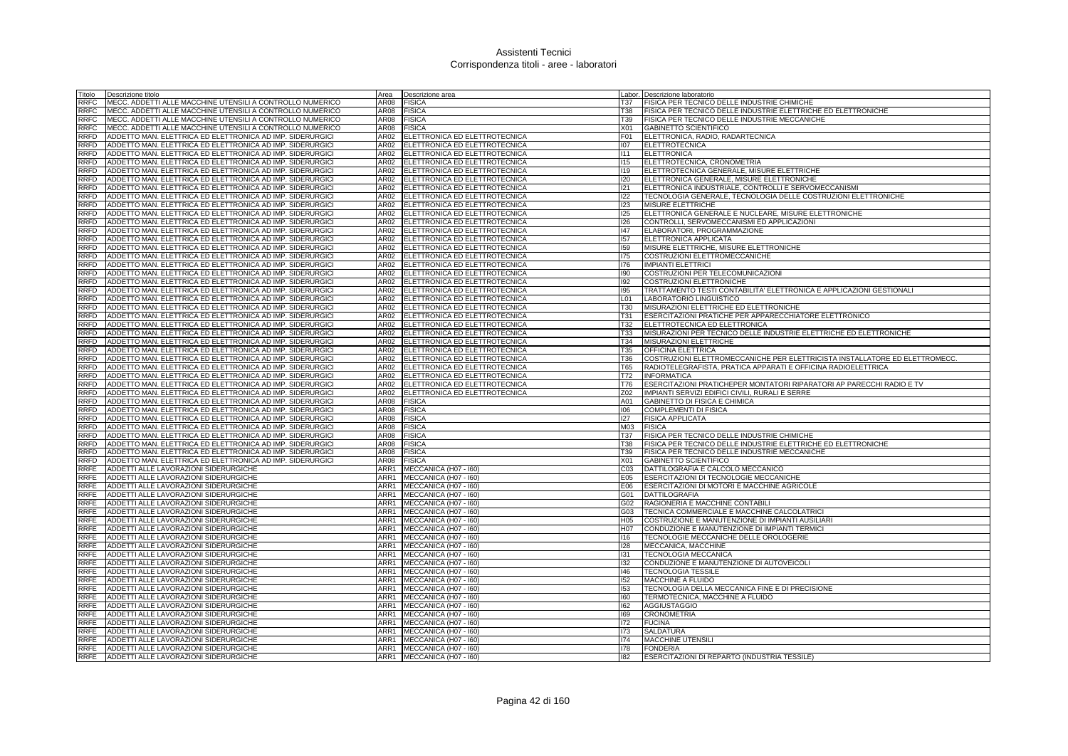| Titolo      | Descrizione titolo                                        | Area | Descrizione area                     |                  | Labor. Descrizione laboratorio                                             |
|-------------|-----------------------------------------------------------|------|--------------------------------------|------------------|----------------------------------------------------------------------------|
| RRFC        | MECC. ADDETTI ALLE MACCHINE UTENSILI A CONTROLLO NUMERICO | AR08 | <b>FISICA</b>                        | T37              | FISICA PER TECNICO DELLE INDUSTRIE CHIMICHE                                |
| <b>RRFC</b> | MECC. ADDETTI ALLE MACCHINE UTENSILI A CONTROLLO NUMERICO | AR08 | <b>FISICA</b>                        | T38              | FISICA PER TECNICO DELLE INDUSTRIE ELETTRICHE ED ELETTRONICHE              |
| RRFC        | MECC. ADDETTI ALLE MACCHINE UTENSILI A CONTROLLO NUMERICO | AR08 | <b>FISICA</b>                        | T39              | FISICA PER TECNICO DELLE INDUSTRIE MECCANICHE                              |
| <b>RRFC</b> | MECC. ADDETTI ALLE MACCHINE UTENSILI A CONTROLLO NUMERICO | AR08 | <b>FISICA</b>                        | X01              | <b>GABINETTO SCIENTIFICO</b>                                               |
| RRFD        | ADDETTO MAN. ELETTRICA ED ELETTRONICA AD IMP. SIDERURGICI | AR02 | ELETTRONICA ED ELETTROTECNICA        | F <sub>01</sub>  | ELETTRONICA, RADIO, RADARTECNICA                                           |
| RRFD        | ADDETTO MAN. ELETTRICA ED ELETTRONICA AD IMP. SIDERURGICI | AR02 | ELETTRONICA ED ELETTROTECNICA        | 107              | <b>ELETTROTECNICA</b>                                                      |
| RRFD        | ADDETTO MAN. ELETTRICA ED ELETTRONICA AD IMP. SIDERURGICI | AR02 | ELETTRONICA ED ELETTROTECNICA        | 1111             | <b>ELETTRONICA</b>                                                         |
| <b>RRFD</b> | ADDETTO MAN. ELETTRICA ED ELETTRONICA AD IMP. SIDERURGICI | AR02 | ELETTRONICA ED ELETTROTECNICA        | 115              | ELETTROTECNICA, CRONOMETRIA                                                |
| RRFD        | ADDETTO MAN. ELETTRICA ED ELETTRONICA AD IMP. SIDERURGICI | AR02 | ELETTRONICA ED ELETTROTECNICA        | <b>I19</b>       | ELETTROTECNICA GENERALE, MISURE ELETTRICHE                                 |
| <b>RRFD</b> | ADDETTO MAN. ELETTRICA ED ELETTRONICA AD IMP. SIDERURGICI | AR02 | ELETTRONICA ED ELETTROTECNICA        | 120              | ELETTRONICA GENERALE, MISURE ELETTRONICHE                                  |
| RRFD        | ADDETTO MAN. ELETTRICA ED ELETTRONICA AD IMP. SIDERURGICI | AR02 | ELETTRONICA ED ELETTROTECNICA        | 121              | ELETTRONICA INDUSTRIALE, CONTROLLI E SERVOMECCANISMI                       |
| RRFD        | ADDETTO MAN. ELETTRICA ED ELETTRONICA AD IMP. SIDERURGICI | AR02 | ELETTRONICA ED ELETTROTECNICA        | 122              | TECNOLOGIA GENERALE, TECNOLOGIA DELLE COSTRUZIONI ELETTRONICHE             |
| RRFD        | ADDETTO MAN. ELETTRICA ED ELETTRONICA AD IMP. SIDERURGICI | AR02 | ELETTRONICA ED ELETTROTECNICA        | 123              | MISURE ELETTRICHE                                                          |
| RRFD        | ADDETTO MAN. ELETTRICA ED ELETTRONICA AD IMP. SIDERURGICI | AR02 | ELETTRONICA ED ELETTROTECNICA        | 125              | ELETTRONICA GENERALE E NUCLEARE, MISURE ELETTRONICHE                       |
| RRFD        | ADDETTO MAN. ELETTRICA ED ELETTRONICA AD IMP. SIDERURGICI | AR02 | ELETTRONICA ED ELETTROTECNICA        | 126              | CONTROLLI, SERVOMECCANISMI ED APPLICAZIONI                                 |
| RRFD        | ADDETTO MAN. ELETTRICA ED ELETTRONICA AD IMP. SIDERURGICI | AR02 | ELETTRONICA ED ELETTROTECNICA        | 47               | ELABORATORI, PROGRAMMAZIONE                                                |
| <b>RRFD</b> | ADDETTO MAN. ELETTRICA ED ELETTRONICA AD IMP. SIDERURGICI | AR02 | ELETTRONICA ED ELETTROTECNICA        | 157              | ELETTRONICA APPLICATA                                                      |
| RRFD        | ADDETTO MAN. ELETTRICA ED ELETTRONICA AD IMP. SIDERURGICI | AR02 | ELETTRONICA ED ELETTROTECNICA        | 159              | MISURE ELETTRICHE, MISURE ELETTRONICHE                                     |
| RRFD        | ADDETTO MAN, ELETTRICA ED ELETTRONICA AD IMP. SIDERURGICI | AR02 | <b>ELETTRONICA ED ELETTROTECNICA</b> | 175              | COSTRUZIONI ELETTROMECCANICHE                                              |
| RRFD        | ADDETTO MAN. ELETTRICA ED ELETTRONICA AD IMP. SIDERURGICI | AR02 | ELETTRONICA ED ELETTROTECNICA        | 176              | <b>IMPIANTI ELETTRICI</b>                                                  |
| RRFD        | ADDETTO MAN. ELETTRICA ED ELETTRONICA AD IMP. SIDERURGICI | AR02 | ELETTRONICA ED ELETTROTECNICA        | 190              | COSTRUZIONI PER TELECOMUNICAZIONI                                          |
| <b>RRFD</b> | ADDETTO MAN. ELETTRICA ED ELETTRONICA AD IMP. SIDERURGICI | AR02 | ELETTRONICA ED ELETTROTECNICA        | 192              | COSTRUZIONI ELETTRONICHE                                                   |
| RRFD        | ADDETTO MAN. ELETTRICA ED ELETTRONICA AD IMP. SIDERURGICI | AR02 | ELETTRONICA ED ELETTROTECNICA        | 195              | TRATTAMENTO TESTI CONTABILITA' ELETTRONICA E APPLICAZIONI GESTIONALI       |
| RRFD        | ADDETTO MAN. ELETTRICA ED ELETTRONICA AD IMP. SIDERURGICI | AR02 | ELETTRONICA ED ELETTROTECNICA        | L <sub>01</sub>  | LABORATORIO LINGUISTICO                                                    |
| RRFD        | ADDETTO MAN. ELETTRICA ED ELETTRONICA AD IMP. SIDERURGICI | AR02 | ELETTRONICA ED ELETTROTECNICA        | <b>T30</b>       | MISURAZIONI ELETTRICHE ED ELETTRONICHE                                     |
| <b>RRFD</b> | ADDETTO MAN. ELETTRICA ED ELETTRONICA AD IMP. SIDERURGICI | AR02 | ELETTRONICA ED ELETTROTECNICA        | T31              | ESERCITAZIONI PRATICHE PER APPARECCHIATORE ELETTRONICO                     |
| RRFD        | ADDETTO MAN. ELETTRICA ED ELETTRONICA AD IMP. SIDERURGICI | AR02 | ELETTRONICA ED ELETTROTECNICA        | T32              | ELETTROTECNICA ED ELETTRONICA                                              |
| RRFD        | ADDETTO MAN. ELETTRICA ED ELETTRONICA AD IMP. SIDERURGICI | AR02 | ELETTRONICA ED ELETTROTECNICA        | T33              | MISURAZIONI PER TECNICO DELLE INDUSTRIE ELETTRICHE ED ELETTRONICHE         |
| RRFD        | ADDETTO MAN. ELETTRICA ED ELETTRONICA AD IMP. SIDERURGICI | AR02 | ELETTRONICA ED ELETTROTECNICA        | T34              | MISURAZIONI ELETTRICHE                                                     |
| <b>RRFD</b> | ADDETTO MAN, ELETTRICA ED ELETTRONICA AD IMP. SIDERURGICI | AR02 | ELETTRONICA ED ELETTROTECNICA        | T35              | <b>OFFICINA ELETTRICA</b>                                                  |
| RRFD        | ADDETTO MAN. ELETTRICA ED ELETTRONICA AD IMP. SIDERURGICI | AR02 | ELETTRONICA ED ELETTROTECNICA        | T36              | COSTRUZIONI ELETTROMECCANICHE PER ELETTRICISTA INSTALLATORE ED ELETTROMECC |
| RRFD        | ADDETTO MAN. ELETTRICA ED ELETTRONICA AD IMP. SIDERURGICI | AR02 | ELETTRONICA ED ELETTROTECNICA        | T65              | RADIOTELEGRAFISTA, PRATICA APPARATI E OFFICINA RADIOELETTRICA              |
| <b>RRFD</b> | ADDETTO MAN. ELETTRICA ED ELETTRONICA AD IMP. SIDERURGICI | AR02 | ELETTRONICA ED ELETTROTECNICA        | T72              | <b>INFORMATICA</b>                                                         |
| RRFD        | ADDETTO MAN. ELETTRICA ED ELETTRONICA AD IMP. SIDERURGICI | AR02 | ELETTRONICA ED ELETTROTECNICA        | T76              | ESERCITAZIONI PRATICHEPER MONTATORI RIPARATORI AP PARECCHI RADIO E TV      |
| RRFD        | ADDETTO MAN. ELETTRICA ED ELETTRONICA AD IMP. SIDERURGICI | AR02 | ELETTRONICA ED ELETTROTECNICA        | Z02              | IMPIANTI SERVIZI EDIFICI CIVILI, RURALI E SERRE                            |
| RRFD        | ADDETTO MAN. ELETTRICA ED ELETTRONICA AD IMP. SIDERURGICI | AR08 | <b>FISICA</b>                        | A01              | GABINETTO DI FISICA E CHIMICA                                              |
| <b>RRFD</b> | ADDETTO MAN. ELETTRICA ED ELETTRONICA AD IMP. SIDERURGICI | AR08 | <b>FISICA</b>                        | 106              | <b>COMPLEMENTI DI FISICA</b>                                               |
| RRFD        | ADDETTO MAN. ELETTRICA ED ELETTRONICA AD IMP. SIDERURGICI | AR08 | <b>FISICA</b>                        | 127              | <b>FISICA APPLICATA</b>                                                    |
| <b>RRFD</b> | ADDETTO MAN. ELETTRICA ED ELETTRONICA AD IMP. SIDERURGICI | AR08 | <b>FISICA</b>                        | M03              | <b>FISICA</b>                                                              |
| RRFD        | ADDETTO MAN. ELETTRICA ED ELETTRONICA AD IMP. SIDERURGICI | AR08 | <b>FISICA</b>                        | T37              | FISICA PER TECNICO DELLE INDUSTRIE CHIMICHE                                |
| RRFD        | ADDETTO MAN. ELETTRICA ED ELETTRONICA AD IMP. SIDERURGICI | AR08 | <b>FISICA</b>                        | <b>T38</b>       | FISICA PER TECNICO DELLE INDUSTRIE ELETTRICHE ED ELETTRONICHE              |
| RRFD        | ADDETTO MAN. ELETTRICA ED ELETTRONICA AD IMP. SIDERURGICI | AR08 | <b>FISICA</b>                        | T39              | FISICA PER TECNICO DELLE INDUSTRIE MECCANICHE                              |
| RRFD        | ADDETTO MAN. ELETTRICA ED ELETTRONICA AD IMP. SIDERURGICI | AR08 | <b>FISICA</b>                        | X01              | <b>GABINETTO SCIENTIFICO</b>                                               |
| RRFE        | ADDETTI ALLE LAVORAZIONI SIDERURGICHE                     | ARR1 | MECCANICA (H07 - I60)                | CO <sub>3</sub>  | DATTILOGRAFIA E CALCOLO MECCANICO                                          |
| RRFE        | ADDETTI ALLE LAVORAZIONI SIDERURGICHE                     | ARR1 | MECCANICA (H07 - I60)                | E05              | ESERCITAZIONI DI TECNOLOGIE MECCANICHE                                     |
| RRFE        | ADDETTI ALLE LAVORAZIONI SIDERURGICHE                     | ARR1 | MECCANICA (H07 - I60)                | E06              | ESERCITAZIONI DI MOTORI E MACCHINE AGRICOLE                                |
| RRFE        | ADDETTI ALLE LAVORAZIONI SIDERURGICHE                     | ARR1 | MECCANICA (H07 - I60)                | G01              | <b>DATTILOGRAFIA</b>                                                       |
| RRFE        | ADDETTI ALLE LAVORAZIONI SIDERURGICHE                     | ARR1 | MECCANICA (H07 - I60)                | G02              | RAGIONERIA E MACCHINE CONTABILI                                            |
| RRFE        | ADDETTI ALLE LAVORAZIONI SIDERURGICHE                     | ARR1 | MECCANICA (H07 - I60)                | G03              | TECNICA COMMERCIALE E MACCHINE CALCOLATRICI                                |
| RRFE        | ADDETTI ALLE LAVORAZIONI SIDERURGICHE                     |      | ARR1 MECCANICA (H07 - 160)           | H <sub>05</sub>  | COSTRUZIONE E MANUTENZIONE DI IMPIANTI AUSILIARI                           |
| RRFE        | ADDETTI ALLE LAVORAZIONI SIDERURGICHE                     |      | ARR1 MECCANICA (H07 - 160)           | H <sub>0</sub> 7 | CONDUZIONE E MANUTENZIONE DI IMPIANTI TERMICI                              |
| RRFE        | ADDETTI ALLE LAVORAZIONI SIDERURGICHE                     | ARR1 | MECCANICA (H07 - I60)                | 116              | TECNOLOGIE MECCANICHE DELLE OROLOGERIE                                     |
| RRFE        | ADDETTI ALLE LAVORAZIONI SIDERURGICHE                     | ARR1 | MECCANICA (H07 - I60)                | 128              | MECCANICA, MACCHINE                                                        |
| <b>RRFE</b> | ADDETTI ALLE LAVORAZIONI SIDERURGICHE                     | ARR1 | MECCANICA (H07 - I60)                | 131              | <b>TECNOLOGIA MECCANICA</b>                                                |
| RRFE        | ADDETTI ALLE LAVORAZIONI SIDERURGICHE                     |      | ARR1 MECCANICA (H07 - 160)           | 132              | CONDUZIONE E MANUTENZIONE DI AUTOVEICOLI                                   |
| RRFE        | ADDETTI ALLE LAVORAZIONI SIDERURGICHE                     | ARR1 | MECCANICA (H07 - I60)                | 146              | <b>TECNOLOGIA TESSILE</b>                                                  |
| RRFE        | ADDETTI ALLE LAVORAZIONI SIDERURGICHE                     | ARR1 | MECCANICA (H07 - I60)                | 152              | MACCHINE A FLUIDO                                                          |
| RRFE        | ADDETTI ALLE LAVORAZIONI SIDERURGICHE                     | ARR1 | MECCANICA (H07 - I60)                | 153              | TECNOLOGIA DELLA MECCANICA FINE E DI PRECISIONE                            |
| RRFE        | ADDETTI ALLE LAVORAZIONI SIDERURGICHE                     |      | ARR1 MECCANICA (H07 - 160)           | 160              | TERMOTECNICA, MACCHINE A FLUIDO                                            |
| RRFE        | ADDETTI ALLE LAVORAZIONI SIDERURGICHE                     |      | ARR1 MECCANICA (H07 - 160)           | 162              | <b>AGGIUSTAGGIO</b>                                                        |
| RRFE        | ADDETTI ALLE LAVORAZIONI SIDERURGICHE                     | ARR1 | MECCANICA (H07 - 160)                | 169              | <b>CRONOMETRIA</b>                                                         |
| RRFE        | ADDETTI ALLE LAVORAZIONI SIDERURGICHE                     | ARR1 | MECCANICA (H07 - I60)                | 172              | <b>FUCINA</b>                                                              |
| RRFE        | ADDETTI ALLE LAVORAZIONI SIDERURGICHE                     |      | ARR1 MECCANICA (H07 - 160)           | 173              | <b>SALDATURA</b>                                                           |
| RRFE        | ADDETTI ALLE LAVORAZIONI SIDERURGICHE                     |      | ARR1 MECCANICA (H07 - 160)           | 174              | <b>MACCHINE UTENSILI</b>                                                   |
| RRFE        | ADDETTI ALLE LAVORAZIONI SIDERURGICHE                     |      | ARR1 MECCANICA (H07 - 160)           | 178              | <b>FONDERIA</b>                                                            |
| RRFE        | ADDETTI ALLE LAVORAZIONI SIDERURGICHE                     |      | ARR1 MECCANICA (H07 - 160)           | 182              | ESERCITAZIONI DI REPARTO (INDUSTRIA TESSILE)                               |
|             |                                                           |      |                                      |                  |                                                                            |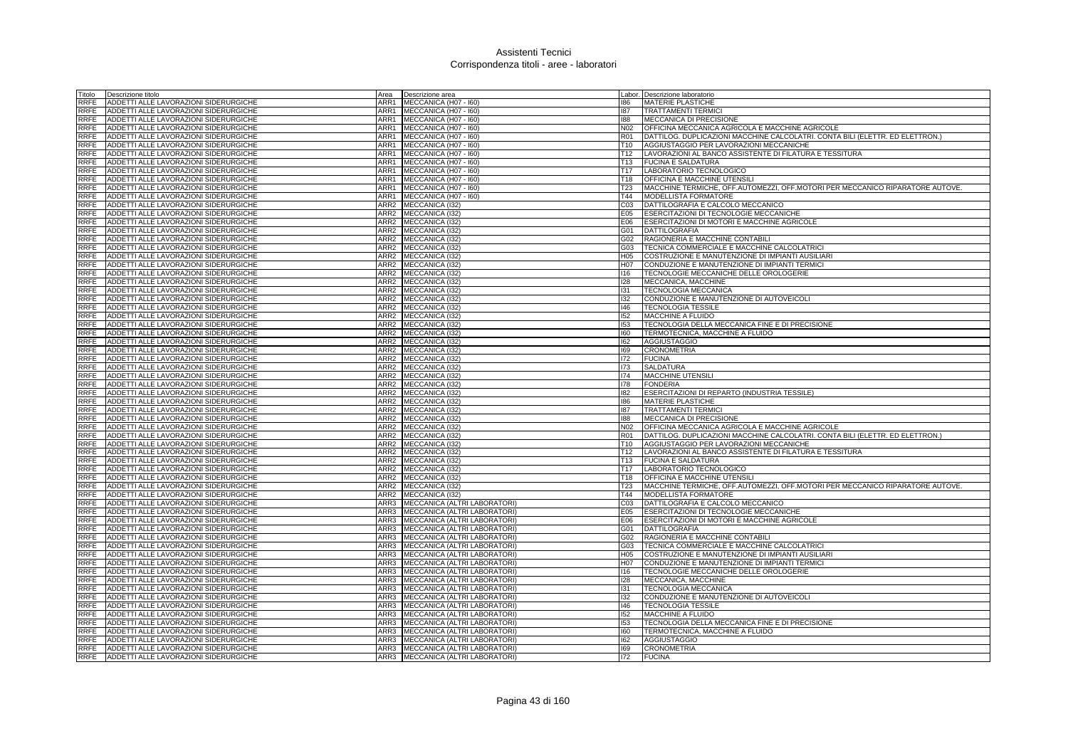| Titolo              | Descrizione titolo                                                             | Area             | Descrizione area                   |                  | Labor. Descrizione laboratorio                                                |
|---------------------|--------------------------------------------------------------------------------|------------------|------------------------------------|------------------|-------------------------------------------------------------------------------|
| RRFE                | ADDETTI ALLE LAVORAZIONI SIDERURGICHE                                          | ARR1             | MECCANICA (H07 - I60)              | 186              | <b>MATERIE PLASTICHE</b>                                                      |
| RRFE                | ADDETTI ALLE LAVORAZIONI SIDERURGICHE                                          | ARR1             | MECCANICA (H07 - I60)              | 187              | <b>TRATTAMENTI TERMICI</b>                                                    |
| RRFE                | ADDETTI ALLE LAVORAZIONI SIDERURGICHE                                          | ARR1             | MECCANICA (H07 - I60)              | 188              | MECCANICA DI PRECISIONE                                                       |
| RRFE                | ADDETTI ALLE LAVORAZIONI SIDERURGICHE                                          | ARR1             | MECCANICA (H07 - I60)              | N02              | OFFICINA MECCANICA AGRICOLA E MACCHINE AGRICOLE                               |
| RRFE                | ADDETTI ALLE LAVORAZIONI SIDERURGICHE                                          | ARR1             | MECCANICA (H07 - I60)              | R01              | DATTILOG. DUPLICAZIONI MACCHINE CALCOLATRI. CONTA BILI (ELETTR. ED ELETTRON.) |
| RRFE                | ADDETTI ALLE LAVORAZIONI SIDERURGICHE                                          | ARR1             | MECCANICA (H07 - I60)              | T10              | AGGIUSTAGGIO PER LAVORAZIONI MECCANICHE                                       |
| RRFE                | ADDETTI ALLE LAVORAZIONI SIDERURGICHE                                          | ARR1             | MECCANICA (H07 - I60)              | T12              | LAVORAZIONI AL BANCO ASSISTENTE DI FILATURA E TESSITURA                       |
| RRFE                | ADDETTI ALLE LAVORAZIONI SIDERURGICHE                                          | ARR1             | MECCANICA (H07 - I60)              | T <sub>13</sub>  | <b>FUCINA E SALDATURA</b>                                                     |
| RRFE                | ADDETTI ALLE LAVORAZIONI SIDERURGICHE                                          | ARR1             | MECCANICA (H07 - I60)              | T <sub>17</sub>  | LABORATORIO TECNOLOGICO                                                       |
| <b>RRFE</b>         | ADDETTI ALLE LAVORAZIONI SIDERURGICHE                                          | ARR1             | MECCANICA (H07 - I60)              | T18              | <b>OFFICINA E MACCHINE UTENSILI</b>                                           |
| <b>RRFE</b>         | ADDETTI ALLE LAVORAZIONI SIDERURGICHE                                          | ARR1             | MECCANICA (H07 - I60)              | <b>T23</b>       | MACCHINE TERMICHE, OFF.AUTOMEZZI, OFF.MOTORI PER MECCANICO RIPARATORE AUTOVE. |
| <b>RRFE</b>         | ADDETTI ALLE LAVORAZIONI SIDERURGICHE                                          | ARR1             | MECCANICA (H07 - I60)              | T44              | <b>MODELLISTA FORMATORE</b>                                                   |
| <b>RRFE</b>         | ADDETTI ALLE LAVORAZIONI SIDERURGICHE                                          | ARR2             | MECCANICA (I32)                    | CO <sub>3</sub>  | DATTILOGRAFIA E CALCOLO MECCANICO                                             |
| <b>RRFE</b>         | ADDETTI ALLE LAVORAZIONI SIDERURGICHE                                          | ARR <sub>2</sub> | MECCANICA (132)                    | E05              | <b>ESERCITAZIONI DI TECNOLOGIE MECCANICHE</b>                                 |
| <b>RRFE</b>         | ADDETTI ALLE LAVORAZIONI SIDERURGICHE                                          | ARR <sub>2</sub> | MECCANICA (I32)                    | E06              | ESERCITAZIONI DI MOTORI E MACCHINE AGRICOLE                                   |
| <b>RRFE</b>         | ADDETTI ALLE LAVORAZIONI SIDERURGICHE                                          | ARR2             | MECCANICA (I32)                    | G01              | <b>DATTILOGRAFIA</b>                                                          |
| <b>RRFE</b>         | ADDETTI ALLE LAVORAZIONI SIDERURGICHE                                          | ARR2             | MECCANICA (I32)                    | G02              | RAGIONERIA E MACCHINE CONTABILI                                               |
| <b>RRFE</b>         | ADDETTI ALLE LAVORAZIONI SIDERURGICHE                                          | ARR2             | MECCANICA (I32)                    | G03              | TECNICA COMMERCIALE E MACCHINE CALCOLATRICI                                   |
| RRFE                | ADDETTI ALLE LAVORAZIONI SIDERURGICHE                                          | ARR <sub>2</sub> | MECCANICA (I32)                    | H <sub>05</sub>  | COSTRUZIONE E MANUTENZIONE DI IMPIANTI AUSILIARI                              |
| <b>RRFE</b>         | ADDETTI ALLE LAVORAZIONI SIDERURGICHE                                          | ARR <sub>2</sub> | MECCANICA (I32)                    | H <sub>0</sub> 7 | CONDUZIONE E MANUTENZIONE DI IMPIANTI TERMICI                                 |
| <b>RRFE</b>         | ADDETTI ALLE LAVORAZIONI SIDERURGICHE                                          | ARR2             | <b>MECCANICA (I32)</b>             | 116              | TECNOLOGIE MECCANICHE DELLE OROLOGERIE                                        |
| RRFE                | ADDETTI ALLE LAVORAZIONI SIDERURGICHE                                          | ARR2             | MECCANICA (I32)                    | 128              | MECCANICA, MACCHINE                                                           |
| RRFE                | ADDETTI ALLE LAVORAZIONI SIDERURGICHE                                          | ARR2             | MECCANICA (132)                    | 131              | <b>TECNOLOGIA MECCANICA</b>                                                   |
| RRFE                | ADDETTI ALLE LAVORAZIONI SIDERURGICHE                                          | ARR2             | MECCANICA (I32)                    | 132              | CONDUZIONE E MANUTENZIONE DI AUTOVEICOLI                                      |
| RRFE                | ADDETTI ALLE LAVORAZIONI SIDERURGICHE                                          | ARR2             | MECCANICA (I32)                    | 146              | <b>TECNOLOGIA TESSILE</b>                                                     |
| RRFE                | ADDETTI ALLE LAVORAZIONI SIDERURGICHE                                          | ARR2             | MECCANICA (I32)                    | 152              | MACCHINE A FLUIDO                                                             |
| RRFE                | ADDETTI ALLE LAVORAZIONI SIDERURGICHE                                          | ARR2             | MECCANICA (132)                    | 153              |                                                                               |
| <b>RRFE</b>         |                                                                                | ARR <sub>2</sub> |                                    | 160              | TECNOLOGIA DELLA MECCANICA FINE E DI PRECISIONE                               |
|                     | ADDETTI ALLE LAVORAZIONI SIDERURGICHE<br>ADDETTI ALLE LAVORAZIONI SIDERURGICHE |                  | MECCANICA (I32)                    | 162              | TERMOTECNICA, MACCHINE A FLUIDO                                               |
| RRFE                |                                                                                | ARR2             | MECCANICA (I32)                    | 169              | AGGIUSTAGGIO                                                                  |
| RRFE<br><b>RRFE</b> | ADDETTI ALLE LAVORAZIONI SIDERURGICHE<br>ADDETTI ALLE LAVORAZIONI SIDERURGICHE | ARR2             | ARR2 MECCANICA (I32)               | 172              | <b>CRONOMETRIA</b>                                                            |
| <b>RRFE</b>         | ADDETTI ALLE LAVORAZIONI SIDERURGICHE                                          | ARR2             | MECCANICA (132)<br>MECCANICA (I32) | 173              | <b>FUCINA</b><br><b>SALDATURA</b>                                             |
| RRFE                | ADDETTI ALLE LAVORAZIONI SIDERURGICHE                                          | ARR2             | MECCANICA (I32)                    | 174              | <b>MACCHINE UTENSILI</b>                                                      |
| RRFE                | ADDETTI ALLE LAVORAZIONI SIDERURGICHE                                          | ARR2             | MECCANICA (I32)                    | 178              | <b>FONDERIA</b>                                                               |
| RRFE                | ADDETTI ALLE LAVORAZIONI SIDERURGICHE                                          | ARR2             | MECCANICA (I32)                    | 182              | ESERCITAZIONI DI REPARTO (INDUSTRIA TESSILE)                                  |
| <b>RRFE</b>         | ADDETTI ALLE LAVORAZIONI SIDERURGICHE                                          | ARR2             | MECCANICA (I32)                    | 186              | MATERIE PLASTICHE                                                             |
| <b>RRFE</b>         | ADDETTI ALLE LAVORAZIONI SIDERURGICHE                                          | ARR2             | <b>MECCANICA (I32)</b>             | 187              | <b>TRATTAMENTI TERMICI</b>                                                    |
| RRFE                | ADDETTI ALLE LAVORAZIONI SIDERURGICHE                                          |                  | ARR2 MECCANICA (I32)               | 188              | MECCANICA DI PRECISIONE                                                       |
| <b>RRFE</b>         | ADDETTI ALLE LAVORAZIONI SIDERURGICHE                                          | ARR2             | MECCANICA (I32)                    | N <sub>02</sub>  | OFFICINA MECCANICA AGRICOLA E MACCHINE AGRICOLE                               |
| <b>RRFE</b>         | ADDETTI ALLE LAVORAZIONI SIDERURGICHE                                          | ARR2             | MECCANICA (I32)                    | <b>R01</b>       | DATTILOG, DUPLICAZIONI MACCHINE CALCOLATRI, CONTA BILI (ELETTR, ED ELETTRON.) |
| <b>RRFE</b>         | ADDETTI ALLE LAVORAZIONI SIDERURGICHE                                          | ARR <sub>2</sub> | MECCANICA (I32)                    | T <sub>10</sub>  | AGGIUSTAGGIO PER LAVORAZIONI MECCANICHE                                       |
| <b>RRFE</b>         | ADDETTI ALLE LAVORAZIONI SIDERURGICHE                                          | ARR2             | MECCANICA (I32)                    | T <sub>12</sub>  | LAVORAZIONI AL BANCO ASSISTENTE DI FILATURA E TESSITURA                       |
| <b>RRFE</b>         | ADDETTI ALLE LAVORAZIONI SIDERURGICHE                                          | ARR2             | <b>MECCANICA (I32)</b>             | T13              | <b>FUCINA E SALDATURA</b>                                                     |
| <b>RRFE</b>         | ADDETTI ALLE LAVORAZIONI SIDERURGICHE                                          | ARR2             | MECCANICA (I32)                    | T17              | LABORATORIO TECNOLOGICO                                                       |
| RRFE                | ADDETTI ALLE LAVORAZIONI SIDERURGICHE                                          | ARR2             | MECCANICA (I32)                    | <b>T18</b>       | OFFICINA E MACCHINE UTENSILI                                                  |
| RRFE                | ADDETTI ALLE LAVORAZIONI SIDERURGICHE                                          | ARR2             | MECCANICA (I32)                    | <b>T23</b>       | MACCHINE TERMICHE, OFF.AUTOMEZZI, OFF.MOTORI PER MECCANICO RIPARATORE AUTOVE. |
| <b>RRFE</b>         | ADDETTI ALLE LAVORAZIONI SIDERURGICHE                                          |                  | ARR2 MECCANICA (132)               | T44              | MODELLISTA FORMATORE                                                          |
| RRFE                | ADDETTI ALLE LAVORAZIONI SIDERURGICHE                                          | ARR3             | MECCANICA (ALTRI LABORATORI)       | CO <sub>3</sub>  | DATTILOGRAFIA E CALCOLO MECCANICO                                             |
| RRFE                | ADDETTI ALLE LAVORAZIONI SIDERURGICHE                                          | ARR3             | MECCANICA (ALTRI LABORATORI)       | E05              | ESERCITAZIONI DI TECNOLOGIE MECCANICHE                                        |
| RRFE                | ADDETTI ALLE LAVORAZIONI SIDERURGICHE                                          | ARR3             | MECCANICA (ALTRI LABORATORI)       | E06              | ESERCITAZIONI DI MOTORI E MACCHINE AGRICOLE                                   |
| RRFE                | ADDETTI ALLE LAVORAZIONI SIDERURGICHE                                          | ARR3             | MECCANICA (ALTRI LABORATORI)       | G01              | DATTILOGRAFIA                                                                 |
| RRFE                | ADDETTI ALLE LAVORAZIONI SIDERURGICHE                                          | ARR3             | MECCANICA (ALTRI LABORATORI)       | G02              | RAGIONERIA E MACCHINE CONTABILI                                               |
| RRFE                | ADDETTI ALLE LAVORAZIONI SIDERURGICHE                                          | ARR3             | MECCANICA (ALTRI LABORATORI)       | G03              | TECNICA COMMERCIALE E MACCHINE CALCOLATRICI                                   |
| <b>RRFE</b>         | ADDETTI ALLE LAVORAZIONI SIDERURGICHE                                          | ARR3             | MECCANICA (ALTRI LABORATORI)       | H <sub>05</sub>  | COSTRUZIONE E MANUTENZIONE DI IMPIANTI AUSILIARI                              |
| <b>RRFE</b>         | ADDETTI ALLE LAVORAZIONI SIDERURGICHE                                          | ARR3             | MECCANICA (ALTRI LABORATORI)       | H07              | CONDUZIONE E MANUTENZIONE DI IMPIANTI TERMICI                                 |
| <b>RRFE</b>         | ADDETTI ALLE LAVORAZIONI SIDERURGICHE                                          | ARR3             | MECCANICA (ALTRI LABORATORI)       | 116              | TECNOLOGIE MECCANICHE DELLE OROLOGERIE                                        |
| <b>RRFE</b>         | ADDETTI ALLE LAVORAZIONI SIDERURGICHE                                          | ARR3             | MECCANICA (ALTRI LABORATORI)       | 128              | MECCANICA, MACCHINE                                                           |
| <b>RRFE</b>         | ADDETTI ALLE LAVORAZIONI SIDERURGICHE                                          | ARR3             | MECCANICA (ALTRI LABORATORI)       | 131              | <b>TECNOLOGIA MECCANICA</b>                                                   |
| <b>RRFE</b>         | ADDETTI ALLE LAVORAZIONI SIDERURGICHE                                          | ARR3             | MECCANICA (ALTRI LABORATORI)       | 132              | CONDUZIONE E MANUTENZIONE DI AUTOVEICOLI                                      |
| <b>RRFE</b>         | ADDETTI ALLE LAVORAZIONI SIDERURGICHE                                          | ARR3             | MECCANICA (ALTRI LABORATORI)       | 146              | <b>TECNOLOGIA TESSILE</b>                                                     |
| <b>RRFE</b>         | ADDETTI ALLE LAVORAZIONI SIDERURGICHE                                          | ARR3             | MECCANICA (ALTRI LABORATORI)       | 152              | <b>MACCHINE A FLUIDO</b>                                                      |
| <b>RRFE</b>         | ADDETTI ALLE LAVORAZIONI SIDERURGICHE                                          | ARR3             | MECCANICA (ALTRI LABORATORI)       | 153              | TECNOLOGIA DELLA MECCANICA FINE E DI PRECISIONE                               |
| <b>RRFE</b>         | ADDETTI ALLE LAVORAZIONI SIDERURGICHE                                          | ARR3             | MECCANICA (ALTRI LABORATORI)       | 160              | TERMOTECNICA, MACCHINE A FLUIDO                                               |
| RRFE                | ADDETTI ALLE LAVORAZIONI SIDERURGICHE                                          | ARR3             | MECCANICA (ALTRI LABORATORI)       | 162              | <b>AGGIUSTAGGIO</b>                                                           |
| <b>RRFE</b>         | ADDETTI ALLE LAVORAZIONI SIDERURGICHE                                          | ARR3             | MECCANICA (ALTRI LABORATORI)       | 169              | <b>CRONOMETRIA</b>                                                            |
|                     | RRFE ADDETTI ALLE LAVORAZIONI SIDERURGICHE                                     | ARR3             | MECCANICA (ALTRI LABORATORI)       | 172              | <b>FUCINA</b>                                                                 |
|                     |                                                                                |                  |                                    |                  |                                                                               |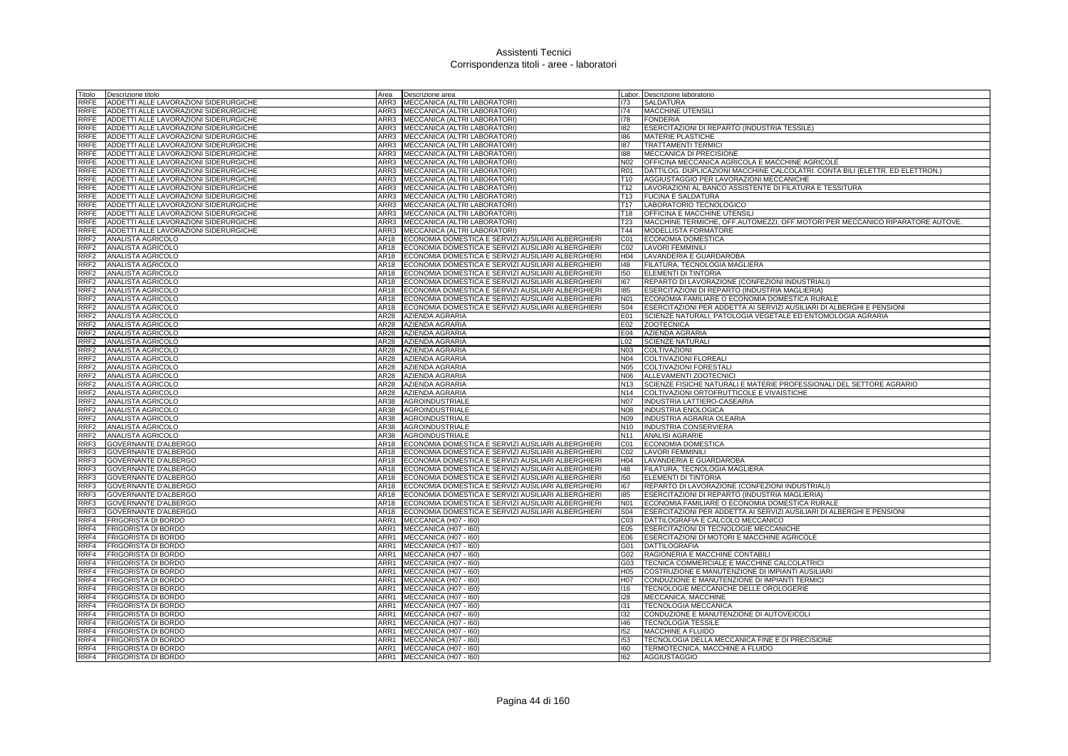| Titolo           | Descrizione titolo                     | Area         | Descrizione area                                   |                 | Labor. Descrizione laboratorio                                                |
|------------------|----------------------------------------|--------------|----------------------------------------------------|-----------------|-------------------------------------------------------------------------------|
| RRFE             | ADDETTI ALLE LAVORAZIONI SIDERURGICHE  | ARR3         | MECCANICA (ALTRI LABORATORI)                       | 173             | <b>SALDATURA</b>                                                              |
| RRFE             | ADDETTI ALLE LAVORAZIONI SIDERURGICHE  | ARR3         | MECCANICA (ALTRI LABORATORI)                       | 174             | MACCHINE UTENSILI                                                             |
| RRFE             | ADDETTI ALLE LAVORAZIONI SIDERURGICHE  | ARR3         | MECCANICA (ALTRI LABORATORI)                       | 178             | <b>FONDERIA</b>                                                               |
| RRFE             | ADDETTI ALLE LAVORAZIONI SIDERURGICHE  |              | ARR3 MECCANICA (ALTRI LABORATORI)                  | 182             | ESERCITAZIONI DI REPARTO (INDUSTRIA TESSILE)                                  |
| RRFE             | ADDETTI ALLE LAVORAZIONI SIDERURGICHE  | ARR3         | MECCANICA (ALTRI LABORATORI)                       | 186             | <b>MATERIE PLASTICHE</b>                                                      |
| RRFE             | ADDETTI ALLE LAVORAZIONI SIDERURGICHE  | ARR3         | MECCANICA (ALTRI LABORATORI)                       | 187             | <b>TRATTAMENTI TERMICI</b>                                                    |
| RRFE             | ADDETTI ALLE LAVORAZIONI SIDERURGICHE  | ARR3         | MECCANICA (ALTRI LABORATORI)                       | 188             | MECCANICA DI PRECISIONE                                                       |
| RRFE             | ADDETTI ALLE LAVORAZIONI SIDERURGICHE  | ARR3         | MECCANICA (ALTRI LABORATORI)                       | N <sub>02</sub> | OFFICINA MECCANICA AGRICOLA E MACCHINE AGRICOLE                               |
| RRFE             | ADDETTI ALLE LAVORAZIONI SIDERURGICHE  | ARR3         | MECCANICA (ALTRI LABORATORI)                       | <b>R01</b>      | DATTILOG. DUPLICAZIONI MACCHINE CALCOLATRI. CONTA BILI (ELETTR. ED ELETTRON.) |
| RRFE             | ADDETTI ALLE LAVORAZIONI SIDERURGICHE  | ARR3         | MECCANICA (ALTRI LABORATORI)                       | T <sub>10</sub> | AGGIUSTAGGIO PER LAVORAZIONI MECCANICHE                                       |
| RRFE             | ADDETTI ALLE LAVORAZIONI SIDERURGICHE  | ARR3         | MECCANICA (ALTRI LABORATORI)                       | T12             | LAVORAZIONI AL BANCO ASSISTENTE DI FILATURA E TESSITURA                       |
| RRFE             | ADDETTI ALLE LAVORAZIONI SIDERURGICHE  |              | ARR3 MECCANICA (ALTRI LABORATORI)                  | T <sub>13</sub> | <b>FUCINA E SALDATURA</b>                                                     |
| RRFE             | ADDETTI ALLE LAVORAZIONI SIDERURGICHE  |              | ARR3 MECCANICA (ALTRI LABORATORI)                  | T17             | LABORATORIO TECNOLOGICO                                                       |
| RRFE             | ADDETTI ALLE LAVORAZIONI SIDERURGICHE  | ARR3         | MECCANICA (ALTRI LABORATORI)                       | T <sub>18</sub> | OFFICINA E MACCHINE UTENSIL                                                   |
| RRFE             | ADDETTI ALLE LAVORAZIONI SIDERURGICHE  | ARR3         | MECCANICA (ALTRI LABORATORI)                       | T <sub>23</sub> | MACCHINE TERMICHE, OFF.AUTOMEZZI, OFF.MOTORI PER MECCANICO RIPARATORE AUTOVE. |
| RRFE             | ADDETTI ALLE LAVORAZIONI SIDERURGICHE  | ARR3         | MECCANICA (ALTRI LABORATORI)                       | T44             | MODELLISTA FORMATORE                                                          |
| RRF2             |                                        | AR18         | ECONOMIA DOMESTICA E SERVIZI AUSILIARI ALBERGHIERI | C01             |                                                                               |
|                  | ANALISTA AGRICOLO                      |              |                                                    |                 | ECONOMIA DOMESTICA                                                            |
| RRF2             | ANALISTA AGRICOLO                      | AR18         | ECONOMIA DOMESTICA E SERVIZI AUSILIARI ALBERGHIERI | CO <sub>2</sub> | <b>LAVORI FEMMINILI</b>                                                       |
| RRF2             | ANALISTA AGRICOLO                      | AR18         | ECONOMIA DOMESTICA E SERVIZI AUSILIARI ALBERGHIERI | H04             | LAVANDERIA E GUARDAROBA                                                       |
| RRF2             | ANALISTA AGRICOLO                      | AR18         | ECONOMIA DOMESTICA E SERVIZI AUSILIARI ALBERGHIERI | 148             | FILATURA, TECNOLOGIA MAGLIERA                                                 |
| RRF2             | ANALISTA AGRICOLO                      | AR18         | ECONOMIA DOMESTICA E SERVIZI AUSILIARI ALBERGHIERI | 150             | ELEMENTI DI TINTORIA                                                          |
| RRF2             | ANALISTA AGRICOLO                      | AR18         | ECONOMIA DOMESTICA E SERVIZI AUSILIARI ALBERGHIERI | 167             | REPARTO DI LAVORAZIONE (CONFEZIONI INDUSTRIALI)                               |
| RRF2             | ANALISTA AGRICOLO                      | AR18         | ECONOMIA DOMESTICA E SERVIZI AUSILIARI ALBERGHIERI | 185             | ESERCITAZIONI DI REPARTO (INDUSTRIA MAGLIERIA)                                |
| RRF2             | ANALISTA AGRICOLO                      | AR18         | ECONOMIA DOMESTICA E SERVIZI AUSILIARI ALBERGHIERI | N01             | ECONOMIA FAMILIARE O ECONOMIA DOMESTICA RURALE                                |
| RRF <sub>2</sub> | ANALISTA AGRICOLO                      | AR18         | ECONOMIA DOMESTICA E SERVIZI AUSILIARI ALBERGHIERI | S04             | ESERCITAZIONI PER ADDETTA AI SERVIZI AUSILIARI DI ALBERGHI E PENSIONI         |
| RRF2             | <b>ANALISTA AGRICOLO</b>               | AR28         | <b>AZIENDA AGRARIA</b>                             | E01             | SCIENZE NATURALI, PATOLOGIA VEGETALE ED ENTOMOLOGIA AGRARIA                   |
| RRF <sub>2</sub> | ANALISTA AGRICOLO                      | AR28         | AZIENDA AGRARIA                                    | E02             | <b>ZOOTECNICA</b>                                                             |
| RRF2             | <b>ANALISTA AGRICOLO</b>               | AR28         | <b>AZIENDA AGRARIA</b>                             | E04             | <b>AZIENDA AGRARIA</b>                                                        |
| RRF <sub>2</sub> | ANALISTA AGRICOLO                      | AR28         | <b>AZIENDA AGRARIA</b>                             | L02             | <b>SCIENZE NATURALI</b>                                                       |
| RRF2             | ANALISTA AGRICOLO                      | <b>AR28</b>  | <b>AZIENDA AGRARIA</b>                             | N03             | <b>COLTIVAZIONI</b>                                                           |
| RRF <sub>2</sub> | ANALISTA AGRICOLO                      | AR28         | <b>AZIENDA AGRARIA</b>                             | N04             | <b>COLTIVAZIONI FLOREALI</b>                                                  |
| RRF2             | <b>ANALISTA AGRICOLO</b>               | <b>AR28</b>  | AZIENDA AGRARIA                                    | N <sub>05</sub> | <b>COLTIVAZIONI FORESTALI</b>                                                 |
| RRF2             | ANALISTA AGRICOLO                      | <b>AR28</b>  | AZIENDA AGRARIA                                    | N06             | ALLEVAMENTI ZOOTECNICI                                                        |
| RRF2             | ANALISTA AGRICOLO                      | AR28         | AZIENDA AGRARIA                                    | N13             | SCIENZE FISICHE NATURALI E MATERIE PROFESSIONALI DEL SETTORE AGRARIO          |
| RRF2             | ANALISTA AGRICOLO                      | AR28         | AZIENDA AGRARIA                                    | N14             | COLTIVAZIONI ORTOFRUTTICOLE E VIVAISTICHE                                     |
| RRF <sub>2</sub> | ANALISTA AGRICOLO                      | AR38         | <b>AGROINDUSTRIALE</b>                             | <b>N07</b>      | <b>INDUSTRIA LATTIERO-CASEARIA</b>                                            |
| RRF2             | ANALISTA AGRICOLO<br>ANALISTA AGRICOLO | AR38<br>AR38 | <b>AGROINDUSTRIALE</b><br>AGROINDUSTRIALE          | N08<br>N09      | <b>INDUSTRIA ENOLOGICA</b><br>INDUSTRIA AGRARIA OLEARIA                       |
| RRF2<br>RRF2     | ANALISTA AGRICOLO                      | AR38         | <b>AGROINDUSTRIALE</b>                             | N10             | <b>INDUSTRIA CONSERVIERA</b>                                                  |
| RRF <sub>2</sub> | ANALISTA AGRICOLO                      | AR38         | <b>AGROINDUSTRIALE</b>                             | N <sub>11</sub> | <b>ANALISI AGRARIE</b>                                                        |
| RRF3             | GOVERNANTE D'ALBERGO                   | AR18         | ECONOMIA DOMESTICA E SERVIZI AUSILIARI ALBERGHIERI | C01             | ECONOMIA DOMESTICA                                                            |
| RRF3             | GOVERNANTE D'ALBERGO                   | AR18         | ECONOMIA DOMESTICA E SERVIZI AUSILIARI ALBERGHIERI | CO <sub>2</sub> | LAVORI FEMMINILI                                                              |
| RRF3             | <b>GOVERNANTE D'ALBERGO</b>            | AR18         | ECONOMIA DOMESTICA E SERVIZI AUSILIARI ALBERGHIERI | H <sub>04</sub> | LAVANDERIA E GUARDAROBA                                                       |
| RRF3             | <b>GOVERNANTE D'ALBERGO</b>            | AR18         | ECONOMIA DOMESTICA E SERVIZI AUSILIARI ALBERGHIERI | 148             | FILATURA, TECNOLOGIA MAGLIERA                                                 |
| RRF3             | <b>GOVERNANTE D'ALBERGO</b>            | AR18         | ECONOMIA DOMESTICA E SERVIZI AUSILIARI ALBERGHIERI | 150             | ELEMENTI DI TINTORIA                                                          |
| RRF3             | <b>GOVERNANTE D'ALBERGO</b>            | AR18         | ECONOMIA DOMESTICA E SERVIZI AUSILIARI ALBERGHIERI | 167             | REPARTO DI LAVORAZIONE (CONFEZIONI INDUSTRIALI)                               |
| RRF3             | <b>GOVERNANTE D'ALBERGO</b>            | AR18         | ECONOMIA DOMESTICA E SERVIZI AUSILIARI ALBERGHIERI | 185             | ESERCITAZIONI DI REPARTO (INDUSTRIA MAGLIERIA)                                |
| RRF3             | <b>GOVERNANTE D'ALBERGO</b>            | AR18         | ECONOMIA DOMESTICA E SERVIZI AUSILIARI ALBERGHIERI | N01             | ECONOMIA FAMILIARE O ECONOMIA DOMESTICA RURALE                                |
| RRF3             | GOVERNANTE D'ALBERGO                   | AR18         | ECONOMIA DOMESTICA E SERVIZI AUSILIARI ALBERGHIERI | S04             | ESERCITAZIONI PER ADDETTA AI SERVIZI AUSILIARI DI ALBERGHI E PENSIONI         |
| RRF4             | <b>FRIGORISTA DI BORDO</b>             | ARR1         | MECCANICA (H07 - I60)                              | C <sub>03</sub> | DATTILOGRAFIA E CALCOLO MECCANICO                                             |
| RRF4             | FRIGORISTA DI BORDO                    | ARR1         | MECCANICA (H07 - I60)                              | E05             | ESERCITAZIONI DI TECNOLOGIE MECCANICHE                                        |
| RRF4             | <b>FRIGORISTA DI BORDO</b>             | ARR1         | MECCANICA (H07 - I60)                              | E06             | ESERCITAZIONI DI MOTORI E MACCHINE AGRICOLE                                   |
| RRF4             | <b>FRIGORISTA DI BORDO</b>             | ARR1         | MECCANICA (H07 - I60)                              | G01             | <b>DATTILOGRAFIA</b>                                                          |
|                  | RRF4 FRIGORISTA DI BORDO               | ARR1         | MECCANICA (H07 - 160)                              | G02             | RAGIONERIA E MACCHINE CONTABILI                                               |
| RRF4             | <b>FRIGORISTA DI BORDO</b>             | ARR1         | MECCANICA (H07 - I60)                              | G03             | TECNICA COMMERCIALE E MACCHINE CALCOLATRICI                                   |
| RRF4             | FRIGORISTA DI BORDO                    | ARR1         | MECCANICA (H07 - I60)                              | H05             | COSTRUZIONE E MANUTENZIONE DI IMPIANTI AUSILIARI                              |
| RRF4             | <b>FRIGORISTA DI BORDO</b>             | ARR1         | MECCANICA (H07 - I60)                              | H07             | CONDUZIONE E MANUTENZIONE DI IMPIANTI TERMICI                                 |
| RRF4             | FRIGORISTA DI BORDO                    | ARR1         | MECCANICA (H07 - 160)                              | 116             | TECNOLOGIE MECCANICHE DELLE OROLOGERIE                                        |
| RRF4             | <b>FRIGORISTA DI BORDO</b>             | ARR1         | MECCANICA (H07 - I60)                              | 128             | MECCANICA, MACCHINE                                                           |
| RRF4             | <b>FRIGORISTA DI BORDO</b>             | ARR1         | MECCANICA (H07 - I60)                              | 131             | TECNOLOGIA MECCANICA                                                          |
| RRF4             | <b>FRIGORISTA DI BORDO</b>             | ARR1         | MECCANICA (H07 - I60)                              | 132             | CONDUZIONE E MANUTENZIONE DI AUTOVEICOLI                                      |
| RRF4             | <b>FRIGORISTA DI BORDO</b>             | ARR1         | MECCANICA (H07 - I60)                              | 146             | <b>TECNOLOGIA TESSILE</b>                                                     |
| RRF4             | <b>FRIGORISTA DI BORDO</b>             | ARR1         | MECCANICA (H07 - I60)                              | 152             | MACCHINE A FLUIDO                                                             |
| RRF4             | <b>FRIGORISTA DI BORDO</b>             | ARR1         | MECCANICA (H07 - I60)                              | 153             | TECNOLOGIA DELLA MECCANICA FINE E DI PRECISIONE                               |
|                  | RRF4 FRIGORISTA DI BORDO               |              | ARR1 MECCANICA (H07 - 160)                         | 160             | TERMOTECNICA, MACCHINE A FLUIDO                                               |
|                  | RRF4 FRIGORISTA DI BORDO               |              | ARR1 MECCANICA (H07 - 160)                         | 162             | <b>AGGIUSTAGGIO</b>                                                           |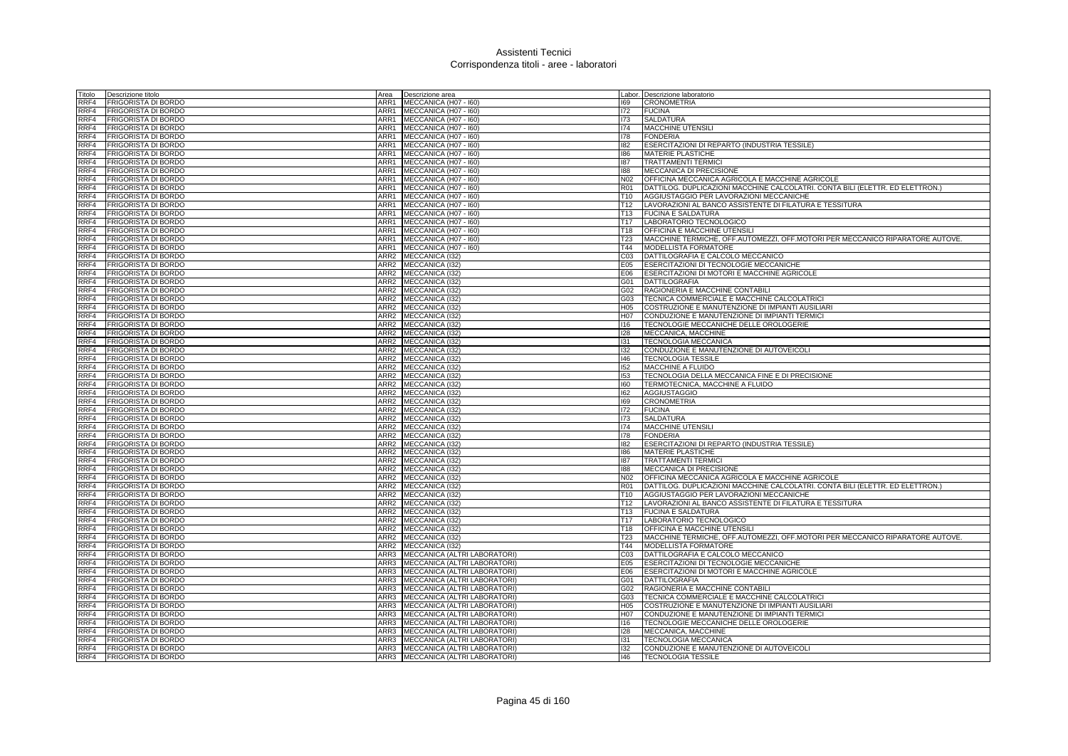| Titolo | Descrizione titolo         | Area | Descrizione area                  |                 | Labor. Descrizione laboratorio                                                |
|--------|----------------------------|------|-----------------------------------|-----------------|-------------------------------------------------------------------------------|
| RRF4   | FRIGORISTA DI BORDO        | ARR1 | MECCANICA (H07 - I60)             | 169             | <b>CRONOMETRIA</b>                                                            |
| RRF4   | <b>FRIGORISTA DI BORDO</b> |      | ARR1 MECCANICA (H07 - 160)        | 172             | <b>FUCINA</b>                                                                 |
| RRF4   | <b>FRIGORISTA DI BORDO</b> |      | ARR1 MECCANICA (H07 - 160)        | 173             | SALDATURA                                                                     |
| RRF4   | <b>FRIGORISTA DI BORDO</b> |      | ARR1 MECCANICA (H07 - I60)        | 174             | MACCHINE UTENSILI                                                             |
| RRF4   | FRIGORISTA DI BORDO        |      | ARR1 MECCANICA (H07 - I60)        | 178             | <b>FONDERIA</b>                                                               |
| RRF4   | FRIGORISTA DI BORDO        |      | ARR1 MECCANICA (H07 - 160)        | 182             | ESERCITAZIONI DI REPARTO (INDUSTRIA TESSILE)                                  |
| RRF4   | <b>FRIGORISTA DI BORDO</b> |      | ARR1 MECCANICA (H07 - 160)        | 186             | MATERIE PLASTICHE                                                             |
| RRF4   | FRIGORISTA DI BORDO        |      | ARR1 MECCANICA (H07 - 160)        | 187             | <b>TRATTAMENTI TERMICI</b>                                                    |
| RRF4   | FRIGORISTA DI BORDO        |      | ARR1 MECCANICA (H07 - 160)        | 188             | MECCANICA DI PRECISIONE                                                       |
| RRF4   | <b>FRIGORISTA DI BORDO</b> | ARR1 | MECCANICA (H07 - I60)             | N02             | OFFICINA MECCANICA AGRICOLA E MACCHINE AGRICOLE                               |
| RRF4   | FRIGORISTA DI BORDO        | ARR1 | MECCANICA (H07 - 160)             | <b>R01</b>      | DATTILOG. DUPLICAZIONI MACCHINE CALCOLATRI. CONTA BILI (ELETTR. ED ELETTRON.) |
| RRF4   | <b>FRIGORISTA DI BORDO</b> |      | ARR1 MECCANICA (H07 - I60)        | T <sub>10</sub> | AGGIUSTAGGIO PER LAVORAZIONI MECCANICHE                                       |
| RRF4   | <b>FRIGORISTA DI BORDO</b> |      | ARR1 MECCANICA (H07 - 160)        | T <sub>12</sub> | LAVORAZIONI AL BANCO ASSISTENTE DI FILATURA E TESSITURA                       |
| RRF4   | FRIGORISTA DI BORDO        |      | ARR1 MECCANICA (H07 - 160)        | T <sub>13</sub> | <b>FUCINA E SALDATURA</b>                                                     |
| RRF4   | FRIGORISTA DI BORDO        | ARR1 | MECCANICA (H07 - I60)             | T <sub>17</sub> | LABORATORIO TECNOLOGICO                                                       |
| RRF4   | <b>FRIGORISTA DI BORDO</b> | ARR1 | MECCANICA (H07 - I60)             | T18             | OFFICINA E MACCHINE UTENSILI                                                  |
| RRF4   | FRIGORISTA DI BORDO        | ARR1 | MECCANICA (H07 - I60)             | T <sub>23</sub> | MACCHINE TERMICHE, OFF.AUTOMEZZI, OFF.MOTORI PER MECCANICO RIPARATORE AUTOVE. |
| RRF4   | FRIGORISTA DI BORDO        | ARR1 | MECCANICA (H07 - I60)             | T44             | <b>MODELLISTA FORMATORE</b>                                                   |
| RRF4   | <b>FRIGORISTA DI BORDO</b> | ARR2 | MECCANICA (I32)                   | CO <sub>3</sub> | DATTILOGRAFIA E CALCOLO MECCANICO                                             |
| RRF4   | <b>FRIGORISTA DI BORDO</b> |      | ARR2 MECCANICA (I32)              | E05             | ESERCITAZIONI DI TECNOLOGIE MECCANICHE                                        |
| RRF4   | <b>FRIGORISTA DI BORDO</b> |      | ARR2 MECCANICA (132)              | E06             | ESERCITAZIONI DI MOTORI E MACCHINE AGRICOLE                                   |
| RRF4   | FRIGORISTA DI BORDO        |      | ARR2 MECCANICA (I32)              | G01             | <b>DATTILOGRAFIA</b>                                                          |
| RRF4   | <b>FRIGORISTA DI BORDO</b> |      | ARR2 MECCANICA (I32)              | G02             | RAGIONERIA E MACCHINE CONTABILI                                               |
| RRF4   | FRIGORISTA DI BORDO        |      | ARR2 MECCANICA (I32)              | G03             | TECNICA COMMERCIALE E MACCHINE CALCOLATRICI                                   |
| RRF4   | <b>FRIGORISTA DI BORDO</b> |      | ARR2 MECCANICA (I32)              | H <sub>05</sub> | COSTRUZIONE E MANUTENZIONE DI IMPIANTI AUSILIARI                              |
| RRF4   | FRIGORISTA DI BORDO        |      | ARR2 MECCANICA (I32)              | H07             | CONDUZIONE E MANUTENZIONE DI IMPIANTI TERMICI                                 |
| RRF4   | FRIGORISTA DI BORDO        |      | ARR2 MECCANICA (I32)              | 116             | TECNOLOGIE MECCANICHE DELLE OROLOGERIE                                        |
| RRF4   | FRIGORISTA DI BORDO        |      | ARR2 MECCANICA (I32)              | 128             | MECCANICA, MACCHINE                                                           |
| RRF4   | FRIGORISTA DI BORDO        |      | ARR2 MECCANICA (132)              | 131             | <b>TECNOLOGIA MECCANICA</b>                                                   |
| RRF4   | FRIGORISTA DI BORDO        |      | ARR2 MECCANICA (I32)              | 132             | CONDUZIONE E MANUTENZIONE DI AUTOVEICOLI                                      |
| RRF4   | FRIGORISTA DI BORDO        |      | ARR2 MECCANICA (I32)              | 146             | <b>TECNOLOGIA TESSILE</b>                                                     |
| RRF4   | <b>FRIGORISTA DI BORDO</b> |      | ARR2 MECCANICA (I32)              | 152             | <b>MACCHINE A FLUIDO</b>                                                      |
| RRF4   | <b>FRIGORISTA DI BORDO</b> |      | ARR2 MECCANICA (I32)              | 153             | TECNOLOGIA DELLA MECCANICA FINE E DI PRECISIONE                               |
| RRF4   | FRIGORISTA DI BORDO        |      | ARR2 MECCANICA (I32)              | 160             | TERMOTECNICA, MACCHINE A FLUIDO                                               |
| RRF4   | FRIGORISTA DI BORDO        |      | ARR2 MECCANICA (I32)              | 162             | <b>AGGIUSTAGGIO</b>                                                           |
| RRF4   | <b>FRIGORISTA DI BORDO</b> |      | ARR2 MECCANICA (I32)              | 169             | <b>CRONOMETRIA</b>                                                            |
| RRF4   | <b>FRIGORISTA DI BORDO</b> |      | ARR2 MECCANICA (I32)              | 172             | <b>FUCINA</b>                                                                 |
| RRF4   | FRIGORISTA DI BORDO        |      | ARR2 MECCANICA (132)              | 173             | <b>SALDATURA</b>                                                              |
| RRF4   | <b>FRIGORISTA DI BORDO</b> |      | ARR2 MECCANICA (I32)              | 174             | <b>MACCHINE UTENSILI</b>                                                      |
| RRF4   | FRIGORISTA DI BORDO        |      | ARR2 MECCANICA (I32)              | 178             | <b>FONDERIA</b>                                                               |
| RRF4   | <b>FRIGORISTA DI BORDO</b> |      | ARR2 MECCANICA (I32)              | 182             | ESERCITAZIONI DI REPARTO (INDUSTRIA TESSILE)                                  |
| RRF4   | <b>FRIGORISTA DI BORDO</b> |      | ARR2 MECCANICA (I32)              | 186             | MATERIE PLASTICHE                                                             |
| RRF4   | <b>FRIGORISTA DI BORDO</b> |      | ARR2 MECCANICA (I32)              | 187             | <b>TRATTAMENTI TERMICI</b>                                                    |
| RRF4   | FRIGORISTA DI BORDO        |      | ARR2 MECCANICA (I32)              | 188             | MECCANICA DI PRECISIONE                                                       |
| RRF4   | FRIGORISTA DI BORDO        | ARR2 | MECCANICA (I32)                   | N02             | OFFICINA MECCANICA AGRICOLA E MACCHINE AGRICOLE                               |
| RRF4   | <b>FRIGORISTA DI BORDO</b> |      | ARR2 MECCANICA (I32)              | R01             | DATTILOG. DUPLICAZIONI MACCHINE CALCOLATRI. CONTA BILI (ELETTR. ED ELETTRON.) |
| RRF4   | <b>FRIGORISTA DI BORDO</b> |      | ARR2 MECCANICA (I32)              | T <sub>10</sub> | AGGIUSTAGGIO PER LAVORAZIONI MECCANICHE                                       |
| RRF4   | FRIGORISTA DI BORDO        |      | ARR2 MECCANICA (I32)              | T <sub>12</sub> | LAVORAZIONI AL BANCO ASSISTENTE DI FILATURA E TESSITURA                       |
| RRF4   | FRIGORISTA DI BORDO        |      | ARR2 MECCANICA (I32)              | T13             | <b>FUCINA E SALDATURA</b>                                                     |
| RRF4   | <b>FRIGORISTA DI BORDO</b> |      | ARR2 MECCANICA (I32)              | T17             | LABORATORIO TECNOLOGICO                                                       |
| RRF4   | FRIGORISTA DI BORDO        |      | ARR2 MECCANICA (I32)              | T18             | <b>OFFICINA E MACCHINE UTENSILI</b>                                           |
| RRF4   | FRIGORISTA DI BORDO        |      | ARR2 MECCANICA (I32)              | T <sub>23</sub> | MACCHINE TERMICHE, OFF.AUTOMEZZI, OFF.MOTORI PER MECCANICO RIPARATORE AUTOVE. |
| RRF4   | FRIGORISTA DI BORDO        |      | ARR2 MECCANICA (I32)              | T44             | MODELLISTA FORMATORE                                                          |
| RRF4   | <b>FRIGORISTA DI BORDO</b> |      | ARR3 MECCANICA (ALTRI LABORATORI) | C <sub>03</sub> | DATTILOGRAFIA E CALCOLO MECCANICO                                             |
| RRF4   | <b>FRIGORISTA DI BORDO</b> | ARR3 | MECCANICA (ALTRI LABORATORI)      | E05             | ESERCITAZIONI DI TECNOLOGIE MECCANICHE                                        |
| RRF4   | <b>FRIGORISTA DI BORDO</b> | ARR3 | MECCANICA (ALTRI LABORATORI)      | E06             | ESERCITAZIONI DI MOTORI E MACCHINE AGRICOLE                                   |
| RRF4   | FRIGORISTA DI BORDO        | ARR3 | MECCANICA (ALTRI LABORATORI)      | G01             | <b>DATTILOGRAFIA</b>                                                          |
| RRF4   | FRIGORISTA DI BORDO        | ARR3 | MECCANICA (ALTRI LABORATORI)      | G02             | RAGIONERIA E MACCHINE CONTABILI                                               |
| RRF4   | <b>FRIGORISTA DI BORDO</b> | ARR3 | MECCANICA (ALTRI LABORATORI)      | G03             | TECNICA COMMERCIALE E MACCHINE CALCOLATRICI                                   |
| RRF4   | FRIGORISTA DI BORDO        | ARR3 | MECCANICA (ALTRI LABORATORI)      | H05             | COSTRUZIONE E MANUTENZIONE DI IMPIANTI AUSILIARI                              |
| RRF4   | FRIGORISTA DI BORDO        | ARR3 | MECCANICA (ALTRI LABORATORI)      | <b>H07</b>      | CONDUZIONE E MANUTENZIONE DI IMPIANTI TERMICI                                 |
| RRF4   | FRIGORISTA DI BORDO        | ARR3 | MECCANICA (ALTRI LABORATORI)      | 116             | TECNOLOGIE MECCANICHE DELLE OROLOGERIE                                        |
| RRF4   | <b>FRIGORISTA DI BORDO</b> |      | ARR3 MECCANICA (ALTRI LABORATORI) | 128             | MECCANICA, MACCHINE                                                           |
| RRF4   | <b>FRIGORISTA DI BORDO</b> |      | ARR3 MECCANICA (ALTRI LABORATORI) | 131             | <b>TECNOLOGIA MECCANICA</b>                                                   |
| RRF4   | <b>FRIGORISTA DI BORDO</b> |      | ARR3 MECCANICA (ALTRI LABORATORI) | 132             | CONDUZIONE E MANUTENZIONE DI AUTOVEICOLI                                      |
| RRF4   | <b>FRIGORISTA DI BORDO</b> |      | ARR3 MECCANICA (ALTRI LABORATORI) | 146             | <b>TECNOLOGIA TESSILE</b>                                                     |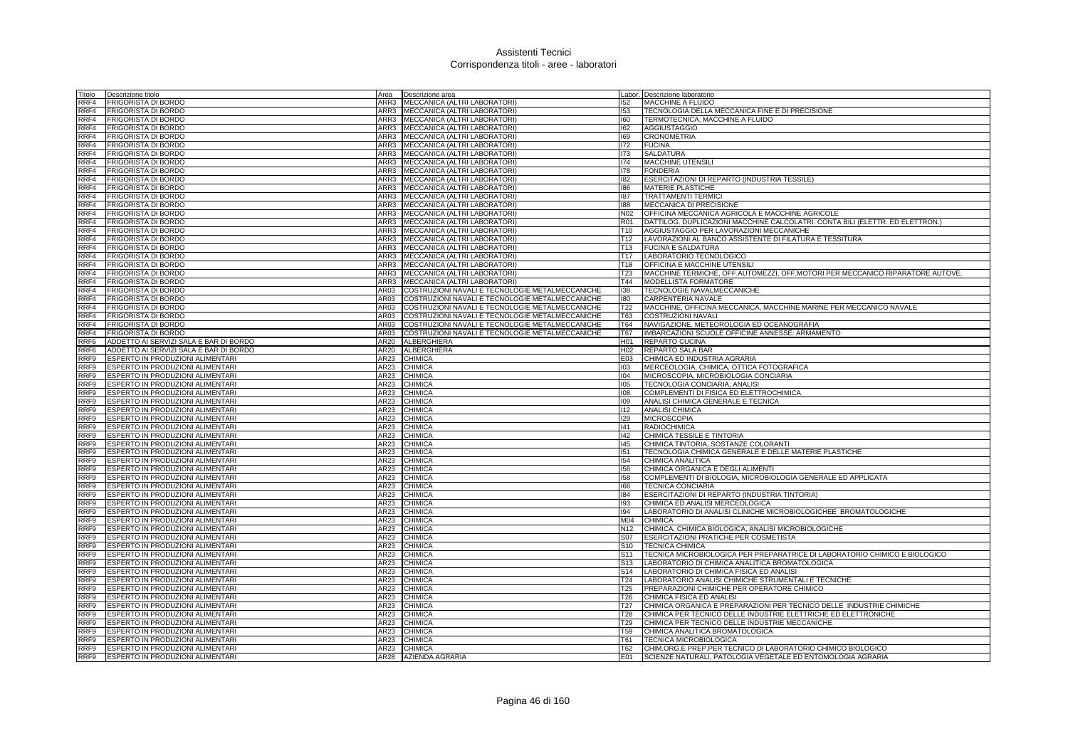| Fitolo                   | Descrizione titolo                                                         | Area         | Descrizione area                                |                          | Labor. Descrizione laboratorio                                                |
|--------------------------|----------------------------------------------------------------------------|--------------|-------------------------------------------------|--------------------------|-------------------------------------------------------------------------------|
| RRF4                     | <b>FRIGORISTA DI BORDO</b>                                                 | ARR3         | MECCANICA (ALTRI LABORATORI)                    | 152                      | <b>MACCHINE A FLUIDO</b>                                                      |
| RRF4                     | <b>FRIGORISTA DI BORDO</b>                                                 | ARR3         | MECCANICA (ALTRI LABORATORI)                    | 153                      | TECNOLOGIA DELLA MECCANICA FINE E DI PRECISIONE                               |
| RRF4                     | <b>FRIGORISTA DI BORDO</b>                                                 | ARR3         | MECCANICA (ALTRI LABORATORI)                    | 160                      | TERMOTECNICA, MACCHINE A FLUIDO                                               |
| RRF4                     | <b>FRIGORISTA DI BORDO</b>                                                 |              | ARR3 MECCANICA (ALTRI LABORATORI)               | 162                      | AGGIUSTAGGIO                                                                  |
| RRF4                     | <b>FRIGORISTA DI BORDO</b>                                                 | ARR3         | MECCANICA (ALTRI LABORATORI)                    | 169                      | <b>CRONOMETRIA</b>                                                            |
| RRF4                     | <b>FRIGORISTA DI BORDO</b>                                                 | ARR3         | MECCANICA (ALTRI LABORATORI)                    | 172                      | <b>FUCINA</b>                                                                 |
| RRF4                     | FRIGORISTA DI BORDO                                                        | ARR3         | MECCANICA (ALTRI LABORATORI)                    | 173                      | <b>SALDATURA</b>                                                              |
| RRF4                     | FRIGORISTA DI BORDO                                                        | ARR3         | MECCANICA (ALTRI LABORATORI)                    | 174                      | MACCHINE UTENSILI                                                             |
| RRF4                     | <b>FRIGORISTA DI BORDO</b>                                                 | ARR3         | MECCANICA (ALTRI LABORATORI)                    | 178                      | <b>FONDERIA</b>                                                               |
| RRF4                     | <b>FRIGORISTA DI BORDO</b>                                                 | ARR3         | MECCANICA (ALTRI LABORATORI)                    | 182                      | ESERCITAZIONI DI REPARTO (INDUSTRIA TESSILE)                                  |
| RRF4                     | <b>FRIGORISTA DI BORDO</b>                                                 | ARR3         | MECCANICA (ALTRI LABORATORI)                    | 186                      | <b>MATERIE PLASTICHE</b>                                                      |
| RRF4                     | <b>FRIGORISTA DI BORDO</b>                                                 |              | ARR3 MECCANICA (ALTRI LABORATORI)               | 187                      | <b>TRATTAMENTI TERMICI</b>                                                    |
| RRF4                     | <b>FRIGORISTA DI BORDO</b>                                                 | ARR3         | MECCANICA (ALTRI LABORATORI)                    | 188                      | MECCANICA DI PRECISIONE                                                       |
| RRF4                     | <b>FRIGORISTA DI BORDO</b>                                                 | ARR3         | MECCANICA (ALTRI LABORATORI)                    | N <sub>02</sub>          | OFFICINA MECCANICA AGRICOLA E MACCHINE AGRICOLE                               |
| RRF4                     | <b>FRIGORISTA DI BORDO</b>                                                 | ARR3         | MECCANICA (ALTRI LABORATORI)                    | <b>R01</b>               | DATTILOG. DUPLICAZIONI MACCHINE CALCOLATRI. CONTA BILI (ELETTR. ED ELETTRON.) |
| RRF4                     | <b>FRIGORISTA DI BORDO</b>                                                 | ARR3         | MECCANICA (ALTRI LABORATORI)                    | T <sub>10</sub>          | AGGIUSTAGGIO PER LAVORAZIONI MECCANICHE                                       |
| RRF4                     | <b>FRIGORISTA DI BORDO</b>                                                 | ARR3         | MECCANICA (ALTRI LABORATORI)                    | T <sub>12</sub>          | LAVORAZIONI AL BANCO ASSISTENTE DI FILATURA E TESSITURA                       |
| RRF4                     | <b>FRIGORISTA DI BORDO</b>                                                 | ARR3         | MECCANICA (ALTRI LABORATORI)                    | T <sub>13</sub>          | <b>FUCINA E SALDATURA</b>                                                     |
| RRF4                     | <b>FRIGORISTA DI BORDO</b>                                                 | ARR3         | MECCANICA (ALTRI LABORATORI)                    | T <sub>17</sub>          | LABORATORIO TECNOLOGICO                                                       |
| RRF4                     | <b>FRIGORISTA DI BORDO</b>                                                 |              | ARR3 MECCANICA (ALTRI LABORATORI)               | T18                      | <b>OFFICINA E MACCHINE UTENSILI</b>                                           |
| RRF4                     | <b>FRIGORISTA DI BORDO</b>                                                 | ARR3         | MECCANICA (ALTRI LABORATORI)                    | T <sub>23</sub>          | MACCHINE TERMICHE, OFF.AUTOMEZZI, OFF.MOTORI PER MECCANICO RIPARATORE AUTOVE. |
| RRF4                     | <b>FRIGORISTA DI BORDO</b>                                                 | ARR3<br>AR03 | MECCANICA (ALTRI LABORATORI)                    | T44                      | <b>MODELLISTA FORMATORE</b>                                                   |
| RRF4                     | FRIGORISTA DI BORDO                                                        |              | COSTRUZIONI NAVALI E TECNOLOGIE METALMECCANICHE | 138<br>180               | TECNOLOGIE NAVALMECCANICHE                                                    |
| RRF4                     | <b>FRIGORISTA DI BORDO</b>                                                 | AR03<br>AR03 | COSTRUZIONI NAVALI E TECNOLOGIE METALMECCANICHE |                          | CARPENTERIA NAVALE                                                            |
| RRF4<br>RRF4             | <b>FRIGORISTA DI BORDO</b>                                                 |              | COSTRUZIONI NAVALI E TECNOLOGIE METALMECCANICHE | T22                      | MACCHINE, OFFICINA MECCANICA, MACCHINE MARINE PER MECCANICO NAVALE            |
|                          | <b>FRIGORISTA DI BORDO</b>                                                 | AR03<br>AR03 | COSTRUZIONI NAVALI E TECNOLOGIE METALMECCANICHE | T63                      | <b>COSTRUZIONI NAVALI</b>                                                     |
| RRF4                     | FRIGORISTA DI BORDO                                                        |              | COSTRUZIONI NAVALI E TECNOLOGIE METALMECCANICHE | <b>T64</b><br><b>T67</b> | NAVIGAZIONE, METEOROLOGIA ED OCEANOGRAFIA                                     |
| RRF4<br>RRF <sub>6</sub> | <b>FRIGORISTA DI BORDO</b>                                                 | AR03<br>AR20 | COSTRUZIONI NAVALI E TECNOLOGIE METALMECCANICHE | H <sub>01</sub>          | IMBARCAZIONI SCUOLE OFFICINE ANNESSE: ARMAMENTO                               |
| RRF <sub>6</sub>         | ADDETTO AI SERVIZI SALA E BAR DI BORDO                                     |              | <b>ALBERGHIERA</b>                              |                          | REPARTO CUCINA                                                                |
| RRF <sub>9</sub>         | ADDETTO AI SERVIZI SALA E BAR DI BORDO<br>ESPERTO IN PRODUZIONI ALIMENTARI | AR20<br>AR23 | <b>ALBERGHIERA</b><br><b>CHIMICA</b>            | H <sub>02</sub>          | <b>REPARTO SALA BAR</b><br>CHIMICA ED INDUSTRIA AGRARIA                       |
| RRF9                     | ESPERTO IN PRODUZIONI ALIMENTARI                                           | AR23         | <b>CHIMICA</b>                                  | E03<br>103               | MERCEOLOGIA, CHIMICA, OTTICA FOTOGRAFICA                                      |
| RRF9                     | ESPERTO IN PRODUZIONI ALIMENTARI                                           | AR23         | <b>CHIMICA</b>                                  | 104                      | MICROSCOPIA, MICROBIOLOGIA CONCIARIA                                          |
| RRF9                     | ESPERTO IN PRODUZIONI ALIMENTARI                                           | AR23         | <b>CHIMICA</b>                                  | 105                      | TECNOLOGIA CONCIARIA, ANALISI                                                 |
| RRF9                     | ESPERTO IN PRODUZIONI ALIMENTARI                                           | AR23         | <b>CHIMICA</b>                                  | 108                      | COMPLEMENTI DI FISICA ED ELETTROCHIMICA                                       |
| RRF9                     | ESPERTO IN PRODUZIONI ALIMENTARI                                           | AR23         | <b>CHIMICA</b>                                  | 109                      | ANALISI CHIMICA GENERALE E TECNICA                                            |
| RRF9                     | ESPERTO IN PRODUZIONI ALIMENTARI                                           | AR23         | <b>CHIMICA</b>                                  | 112                      | <b>ANALISI CHIMICA</b>                                                        |
| RRF9                     | ESPERTO IN PRODUZIONI ALIMENTARI                                           | AR23         | <b>CHIMICA</b>                                  | 129                      | <b>MICROSCOPIA</b>                                                            |
| RRF9                     | ESPERTO IN PRODUZIONI ALIMENTARI                                           | AR23         | <b>CHIMICA</b>                                  | 141                      | <b>RADIOCHIMICA</b>                                                           |
| RRF9                     | ESPERTO IN PRODUZIONI ALIMENTARI                                           | AR23         | <b>CHIMICA</b>                                  | 142                      | CHIMICA TESSILE E TINTORIA                                                    |
| RRF9                     | ESPERTO IN PRODUZIONI ALIMENTARI                                           | AR23         | <b>CHIMICA</b>                                  | 145                      | CHIMICA TINTORIA, SOSTANZE COLORANTI                                          |
| RRF9                     | ESPERTO IN PRODUZIONI ALIMENTARI                                           | AR23         | <b>CHIMICA</b>                                  | 151                      | TECNOLOGIA CHIMICA GENERALE E DELLE MATERIE PLASTICHE                         |
| RRF9                     | ESPERTO IN PRODUZIONI ALIMENTARI                                           | AR23         | <b>CHIMICA</b>                                  | 154                      | CHIMICA ANALITICA                                                             |
| RRF9                     | ESPERTO IN PRODUZIONI ALIMENTARI                                           | AR23         | <b>CHIMICA</b>                                  | 156                      | CHIMICA ORGANICA E DEGLI ALIMENTI                                             |
| RRF9                     | ESPERTO IN PRODUZIONI ALIMENTARI                                           | AR23         | <b>CHIMICA</b>                                  | 158                      | COMPLEMENTI DI BIOLOGIA, MICROBIOLOGIA GENERALE ED APPLICATA                  |
| RRF9                     | ESPERTO IN PRODUZIONI ALIMENTARI                                           | AR23         | <b>CHIMICA</b>                                  | 166                      | <b>TECNICA CONCIARIA</b>                                                      |
| RRF9                     | ESPERTO IN PRODUZIONI ALIMENTARI                                           | AR23         | CHIMICA                                         | 184                      | ESERCITAZIONI DI REPARTO (INDUSTRIA TINTORIA)                                 |
| RRF9                     | ESPERTO IN PRODUZIONI ALIMENTARI                                           | AR23         | <b>CHIMICA</b>                                  | 193                      | CHIMICA ED ANALISI MERCEOLOGICA                                               |
| RRF9                     | ESPERTO IN PRODUZIONI ALIMENTARI                                           | AR23         | CHIMICA                                         | 194                      | LABORATORIO DI ANALISI CLINICHE MICROBIOLOGICHEE BROMATOLOGICHE               |
| RRF9                     | ESPERTO IN PRODUZIONI ALIMENTARI                                           | AR23         | <b>CHIMICA</b>                                  | M04                      | <b>CHIMICA</b>                                                                |
| RRF9                     | ESPERTO IN PRODUZIONI ALIMENTARI                                           | AR23         | <b>CHIMICA</b>                                  | N <sub>12</sub>          | CHIMICA, CHIMICA BIOLOGICA, ANALISI MICROBIOLOGICHE                           |
| RRF9                     | ESPERTO IN PRODUZIONI ALIMENTARI                                           | AR23         | <b>CHIMICA</b>                                  | S07                      | <b>ESERCITAZIONI PRATICHE PER COSMETISTA</b>                                  |
| RRF9                     | ESPERTO IN PRODUZIONI ALIMENTARI                                           | AR23         | <b>CHIMICA</b>                                  | S <sub>10</sub>          | <b>TECNICA CHIMICA</b>                                                        |
| RRF9                     | ESPERTO IN PRODUZIONI ALIMENTARI                                           | AR23         | <b>CHIMICA</b>                                  | S11                      | TECNICA MICROBIOLOGICA PER PREPARATRICE DI LABORATORIO CHIMICO E BIOLOGICO    |
| RRF9                     | ESPERTO IN PRODUZIONI ALIMENTARI                                           | AR23         | <b>CHIMICA</b>                                  | S <sub>13</sub>          | LABORATORIO DI CHIMICA ANALITICA BROMATOLOGICA                                |
| RRF9                     | ESPERTO IN PRODUZIONI ALIMENTARI                                           | AR23         | CHIMICA                                         | S <sub>14</sub>          | LABORATORIO DI CHIMICA FISICA ED ANALISI                                      |
| RRF9                     | ESPERTO IN PRODUZIONI ALIMENTARI                                           | AR23         | <b>CHIMICA</b>                                  | T24                      | LABORATORIO ANALISI CHIMICHE STRUMENTALI E TECNICHE                           |
| RRF9                     | ESPERTO IN PRODUZIONI ALIMENTARI                                           | AR23         | <b>CHIMICA</b>                                  | T <sub>25</sub>          | PREPARAZIONI CHIMICHE PER OPERATORE CHIMICO                                   |
| RRF9                     | ESPERTO IN PRODUZIONI ALIMENTARI                                           | AR23         | <b>CHIMICA</b>                                  | T <sub>26</sub>          | CHIMICA FISICA ED ANALISI                                                     |
| RRF9                     | ESPERTO IN PRODUZIONI ALIMENTARI                                           | AR23         | CHIMICA                                         | T <sub>27</sub>          | CHIMICA ORGANICA E PREPARAZIONI PER TECNICO DELLE INDUSTRIE CHIMICHE          |
| RRF9                     | ESPERTO IN PRODUZIONI ALIMENTARI                                           | AR23         | <b>CHIMICA</b>                                  | <b>T28</b>               | CHIMICA PER TECNICO DELLE INDUSTRIE ELETTRICHE ED ELETTRONICHE                |
| RRF9                     | ESPERTO IN PRODUZIONI ALIMENTARI                                           | AR23         | <b>CHIMICA</b>                                  | T <sub>29</sub>          | CHIMICA PER TECNICO DELLE INDUSTRIE MECCANICHE                                |
| RRF <sub>9</sub>         | ESPERTO IN PRODUZIONI ALIMENTARI                                           | AR23         | <b>CHIMICA</b>                                  | T <sub>59</sub>          | CHIMICA ANALITICA BROMATOLOGICA                                               |
| RRF9                     | ESPERTO IN PRODUZIONI ALIMENTARI                                           | AR23         | CHIMICA                                         | T61                      | <b>TECNICA MICROBIOLOGICA</b>                                                 |
| RRF9                     | ESPERTO IN PRODUZIONI ALIMENTARI                                           | AR23         | <b>CHIMICA</b>                                  | T62                      | ICHIM.ORG.E PREP.PER TECNICO DI LABORATORIO CHIMICO BIOLOGICO                 |
| RRF9                     | ESPERTO IN PRODUZIONI ALIMENTARI                                           |              | AR28 AZIENDA AGRARIA                            | E01                      | SCIENZE NATURALI, PATOLOGIA VEGETALE ED ENTOMOLOGIA AGRARIA                   |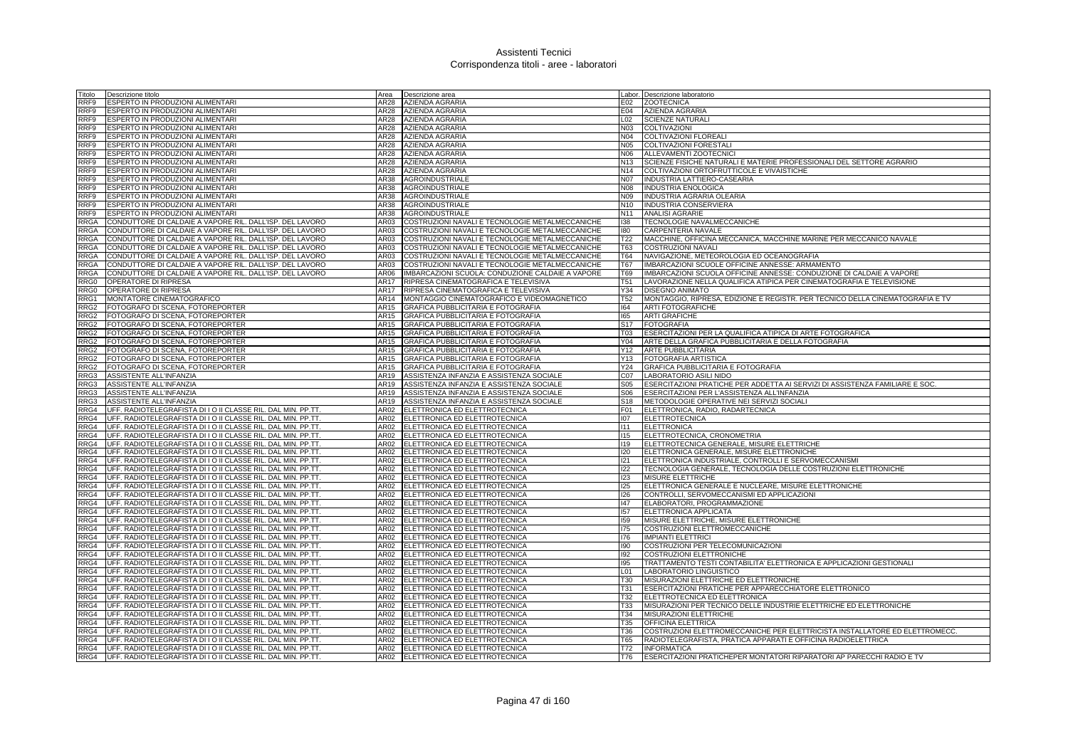| Titolo                  | Descrizione titolo                                                                                                           | Area             | Descrizione area                                               |                   | Labor. Descrizione laboratorio                                                          |
|-------------------------|------------------------------------------------------------------------------------------------------------------------------|------------------|----------------------------------------------------------------|-------------------|-----------------------------------------------------------------------------------------|
| RRF9                    | SPERTO IN PRODUZIONI ALIMENTARI:                                                                                             | AR28             | AZIENDA AGRARIA                                                | E02               | <b>ZOOTECNICA</b>                                                                       |
| RRF9                    | ESPERTO IN PRODUZIONI ALIMENTARI                                                                                             | AR28             | AZIENDA AGRARIA                                                | E04               | AZIENDA AGRARIA                                                                         |
| RRF9                    | SPERTO IN PRODUZIONI ALIMENTARI                                                                                              | AR28             | AZIENDA AGRARIA                                                | L02               | <b>SCIENZE NATURALI</b>                                                                 |
| RF9                     | ESPERTO IN PRODUZIONI ALIMENTARI                                                                                             | AR28             | AZIENDA AGRARIA                                                | <b>N03</b>        | <b>COLTIVAZIONI</b>                                                                     |
| RRF9                    | ESPERTO IN PRODUZIONI ALIMENTARI                                                                                             | AR28             | AZIENDA AGRARIA                                                | N04               | COLTIVAZIONI FLOREALI                                                                   |
| RRF9                    | <b>ESPERTO IN PRODUZIONI ALIMENTARI</b>                                                                                      | AR28             | AZIENDA AGRARIA                                                | <b>N05</b>        | COLTIVAZIONI FORESTALI                                                                  |
| RRF9                    | SPERTO IN PRODUZIONI ALIMENTARI                                                                                              | AR28             | AZIENDA AGRARIA                                                | N06               | ALLEVAMENTI ZOOTECNICI                                                                  |
| RRF9                    | <b>ESPERTO IN PRODUZIONI ALIMENTARI</b>                                                                                      | AR28             | AZIENDA AGRARIA                                                | N <sub>13</sub>   | SCIENZE FISICHE NATURALI E MATERIE PROFESSIONALI DEL SETTORE AGRARIO                    |
| RRF9                    | SPERTO IN PRODUZIONI ALIMENTARI:                                                                                             | AR28             | AZIENDA AGRARIA                                                | N <sub>14</sub>   | COLTIVAZIONI ORTOFRUTTICOLE E VIVAISTICHE                                               |
| RRF9                    | <b>ESPERTO IN PRODUZIONI ALIMENTARI</b>                                                                                      | <b>AR38</b>      | <b>AGROINDUSTRIALE</b>                                         | N <sub>07</sub>   | INDUSTRIA LATTIERO-CASEARIA                                                             |
| RRF9                    | <b>ESPERTO IN PRODUZIONI ALIMENTARI</b>                                                                                      | AR38             | <b>AGROINDUSTRIALE</b>                                         | <b>N08</b>        | <b>INDUSTRIA ENOLOGICA</b>                                                              |
| RRF9                    | ESPERTO IN PRODUZIONI ALIMENTARI                                                                                             | AR38             | <b>AGROINDUSTRIALE</b>                                         | N09               | INDUSTRIA AGRARIA OLEARIA                                                               |
| RRF9                    | ESPERTO IN PRODUZIONI ALIMENTARI                                                                                             | <b>AR38</b>      | <b>AGROINDUSTRIALE</b>                                         | N <sub>10</sub>   | <b>INDUSTRIA CONSERVIERA</b>                                                            |
| RRF9                    | ESPERTO IN PRODUZIONI ALIMENTARI                                                                                             | AR38             | <b>AGROINDUSTRIALE</b>                                         | N <sub>11</sub>   | <b>ANALISI AGRARIE</b>                                                                  |
| RRGA                    | CONDUTTORE DI CALDAIE A VAPORE RIL. DALL'ISP. DEL LAVORO                                                                     | AR03             | COSTRUZIONI NAVALI E TECNOLOGIE METALMECCANICHE                | 138               | TECNOLOGIE NAVALMECCANICHE                                                              |
| <b>RRGA</b>             | CONDUTTORE DI CALDAIE A VAPORE RIL. DALL'ISP. DEL LAVORO                                                                     | AR03             | COSTRUZIONI NAVALI E TECNOLOGIE METALMECCANICHE                | 180               | <b>CARPENTERIA NAVALE</b>                                                               |
| RRGA                    | CONDUTTORE DI CALDAIE A VAPORE RIL. DALL'ISP. DEL LAVORO                                                                     | AR03             | COSTRUZIONI NAVALI E TECNOLOGIE METALMECCANICHE                | T22               | MACCHINE, OFFICINA MECCANICA, MACCHINE MARINE PER MECCANICO NAVALE                      |
| <b>RRGA</b>             | CONDUTTORE DI CALDAIE A VAPORE RIL. DALL'ISP. DEL LAVORO                                                                     | AR03             | COSTRUZIONI NAVALI E TECNOLOGIE METALMECCANICHE                | T63               | <b>COSTRUZIONI NAVALI</b>                                                               |
| <b>RRGA</b>             | CONDUTTORE DI CALDAIE A VAPORE RIL. DALL'ISP. DEL LAVORO                                                                     | AR03             | COSTRUZIONI NAVALI E TECNOLOGIE METALMECCANICHE                | <b>T64</b>        | NAVIGAZIONE, METEOROLOGIA ED OCEANOGRAFIA                                               |
| RRGA                    | CONDUTTORE DI CALDAIE A VAPORE RIL. DALL'ISP. DEL LAVORO                                                                     | AR03             | COSTRUZIONI NAVALI E TECNOLOGIE METALMECCANICHE                | <b>T67</b>        | IMBARCAZIONI SCUOLE OFFICINE ANNESSE: ARMAMENTO                                         |
| RRGA                    | CONDUTTORE DI CALDAIE A VAPORE RIL. DALL'ISP. DEL LAVORO                                                                     | AR06             | <b>IMBARCAZIONI SCUOLA: CONDUZIONE CALDAIE A VAPORE</b>        | T69               | IMBARCAZIONI SCUOLA OFFICINE ANNESSE: CONDUZIONE DI CALDAIE A VAPORE                    |
| $\overline{\text{RGO}}$ | OPERATORE DI RIPRESA                                                                                                         | AR17             | RIPRESA CINEMATOGRAFICA E TELEVISIVA                           | <b>T51</b>        | LAVORAZIONE NELLA QUALIFICA ATIPICA PER CINEMATOGRAFIA E TELEVISIONE                    |
| RRG0                    | OPERATORE DI RIPRESA                                                                                                         | AR17             | RIPRESA CINEMATOGRAFICA E TELEVISIVA                           | Y34               | <b>DISEGNO ANIMATO</b>                                                                  |
| RRG1                    | MONTATORE CINEMATOGRAFICO                                                                                                    | AR14             | MONTAGGIO CINEMATOGRAFICO E VIDEOMAGNETICO                     | <b>T52</b>        | MONTAGGIO, RIPRESA, EDIZIONE E REGISTR. PER TECNICO DELLA CINEMATOGRAFIA E TV           |
| RRG2                    | FOTOGRAFO DI SCENA, FOTOREPORTER                                                                                             | AR15             | GRAFICA PUBBLICITARIA E FOTOGRAFIA                             | 164               | <b>ARTI FOTOGRAFICHE</b>                                                                |
| RRG2                    | FOTOGRAFO DI SCENA, FOTOREPORTER                                                                                             | AR15             | GRAFICA PUBBLICITARIA E FOTOGRAFIA                             | 165               | <b>ARTI GRAFICHE</b>                                                                    |
| RRG2                    | FOTOGRAFO DI SCENA, FOTOREPORTER                                                                                             | AR15             | GRAFICA PUBBLICITARIA E FOTOGRAFIA                             | <b>S17</b>        | <b>FOTOGRAFIA</b>                                                                       |
| RRG2                    | FOTOGRAFO DI SCENA, FOTOREPORTER                                                                                             | AR15             | GRAFICA PUBBLICITARIA E FOTOGRAFIA                             | T03               | ESERCITAZIONI PER LA QUALIFICA ATIPICA DI ARTE FOTOGRAFICA                              |
| RRG2                    | FOTOGRAFO DI SCENA, FOTOREPORTER                                                                                             | AR15             | GRAFICA PUBBLICITARIA E FOTOGRAFIA                             | Y04               | ARTE DELLA GRAFICA PUBBLICITARIA E DELLA FOTOGRAFIA                                     |
| RRG2                    | FOTOGRAFO DI SCENA, FOTOREPORTER                                                                                             | AR15             | GRAFICA PUBBLICITARIA E FOTOGRAFIA                             | Y12               | <b>ARTE PUBBLICITARIA</b>                                                               |
| RRG <sub>2</sub>        | FOTOGRAFO DI SCENA, FOTOREPORTER                                                                                             | AR15             | GRAFICA PUBBLICITARIA E FOTOGRAFIA                             | Y13               | <b>FOTOGRAFIA ARTISTICA</b>                                                             |
| RRG2                    | FOTOGRAFO DI SCENA, FOTOREPORTER                                                                                             | <b>AR15</b>      | GRAFICA PUBBLICITARIA E FOTOGRAFIA                             | Y24               | GRAFICA PUBBLICITARIA E FOTOGRAFIA                                                      |
| RRG3                    | ASSISTENTE ALL'INFANZIA                                                                                                      | AR19             | ASSISTENZA INFANZIA E ASSISTENZA SOCIALE                       | C07               | LABORATORIO ASILI NIDO                                                                  |
| RRG3                    | ASSISTENTE ALL'INFANZIA                                                                                                      | AR19             | ASSISTENZA INFANZIA E ASSISTENZA SOCIALE                       | <b>S05</b>        | ESERCITAZIONI PRATICHE PER ADDETTA AI SERVIZI DI ASSISTENZA FAMILIARE E SOC             |
| RRG3                    | ASSISTENTE ALL'INFANZIA                                                                                                      | AR19             | ASSISTENZA INFANZIA E ASSISTENZA SOCIALE                       | S06               | ESERCITAZIONI PER L'ASSISTENZA ALL'INFANZIA                                             |
| RRG3                    | ASSISTENTE ALL'INFANZIA                                                                                                      | AR19             | ASSISTENZA INFANZIA E ASSISTENZA SOCIALE                       | S <sub>18</sub>   | METODOLOGIE OPERATIVE NEI SERVIZI SOCIALI                                               |
| RRG4                    | UFF. RADIOTELEGRAFISTA DI I O II CLASSE RIL. DAL MIN. PP.TT.                                                                 | AR02             | ELETTRONICA ED ELETTROTECNICA                                  | F01               | ELETTRONICA, RADIO, RADARTECNICA                                                        |
| RRG4                    | UFF. RADIOTELEGRAFISTA DI IO II CLASSE RIL. DAL MIN. PP.TT                                                                   | AR02             | ELETTRONICA ED ELETTROTECNICA                                  | 107               | <b>ELETTROTECNICA</b>                                                                   |
| RRG4                    | JFF. RADIOTELEGRAFISTA DI I O II CLASSE RIL. DAL MIN. PP.TT                                                                  | AR02             | ELETTRONICA ED ELETTROTECNICA                                  | 1111              | <b>ELETTRONICA</b>                                                                      |
| RRG4                    | JFF. RADIOTELEGRAFISTA DI I O II CLASSE RIL. DAL MIN. PP.TT.                                                                 | AR02             | ELETTRONICA ED ELETTROTECNICA                                  | 115               | ELETTROTECNICA, CRONOMETRIA                                                             |
| RRG4                    | JFF. RADIOTELEGRAFISTA DI I O II CLASSE RIL. DAL MIN. PP.TT.                                                                 | AR02             | ELETTRONICA ED ELETTROTECNICA                                  | 119               | ELETTROTECNICA GENERALE, MISURE ELETTRICHE                                              |
| RRG4                    | JFF. RADIOTELEGRAFISTA DI I O II CLASSE RIL. DAL MIN. PP.TT                                                                  | <b>AR02</b>      | ELETTRONICA ED ELETTROTECNICA                                  | 120               | ELETTRONICA GENERALE, MISURE ELETTRONICHE                                               |
| RRG4                    | JFF. RADIOTELEGRAFISTA DI I O II CLASSE RIL. DAL MIN. PP.TT                                                                  | AR02             | ELETTRONICA ED ELETTROTECNICA                                  | 121               | ELETTRONICA INDUSTRIALE, CONTROLLI E SERVOMECCANISMI                                    |
| RRG4                    | UFF. RADIOTELEGRAFISTA DI I O II CLASSE RIL. DAL MIN. PP.TT                                                                  | AR02             | ELETTRONICA ED ELETTROTECNICA                                  | 122               | TECNOLOGIA GENERALE, TECNOLOGIA DELLE COSTRUZIONI ELETTRONICHE                          |
| RRG4                    | JFF. RADIOTELEGRAFISTA DI I O II CLASSE RIL. DAL MIN. PP.TT                                                                  | AR02             | ELETTRONICA ED ELETTROTECNICA                                  | 123               | MISURE ELETTRICHE                                                                       |
| RRG4                    | UFF. RADIOTELEGRAFISTA DI I O II CLASSE RIL. DAL MIN. PP.TT.                                                                 | AR02             | ELETTRONICA ED ELETTROTECNICA                                  | 125               | ELETTRONICA GENERALE E NUCLEARE, MISURE ELETTRONICHE                                    |
| RRG4                    | UFF. RADIOTELEGRAFISTA DI I O II CLASSE RIL. DAL MIN. PP.TT.                                                                 | AR02             | ELETTRONICA ED ELETTROTECNICA                                  | 126               | CONTROLLI, SERVOMECCANISMI ED APPLICAZIONI                                              |
| RRG4                    | UFF. RADIOTELEGRAFISTA DI I O II CLASSE RIL. DAL MIN. PP.TT                                                                  | AR02             | ELETTRONICA ED ELETTROTECNICA                                  | 147               | ELABORATORI, PROGRAMMAZIONE                                                             |
| RRG4                    | JFF. RADIOTELEGRAFISTA DI I O II CLASSE RIL. DAL MIN. PP.TT.                                                                 | AR02             | ELETTRONICA ED ELETTROTECNICA                                  | 157               | ELETTRONICA APPLICATA                                                                   |
| RRG4                    | UFF. RADIOTELEGRAFISTA DI I O II CLASSE RIL. DAL MIN. PP.TT.                                                                 | AR02             | ELETTRONICA ED ELETTROTECNICA                                  | 159               | MISURE ELETTRICHE, MISURE ELETTRONICHE                                                  |
| RRG4                    | JFF. RADIOTELEGRAFISTA DI I O II CLASSE RIL. DAL MIN. PP.TT                                                                  | AR02             | ELETTRONICA ED ELETTROTECNICA                                  | 175               | COSTRUZIONI ELETTROMECCANICHE                                                           |
| RRG4                    | UFF. RADIOTELEGRAFISTA DI I O II CLASSE RIL. DAL MIN. PP.TT                                                                  | AR02             | ELETTRONICA ED ELETTROTECNICA                                  | 176               | <b>IMPIANTI ELETTRICI</b>                                                               |
| RRG4                    | UFF. RADIOTELEGRAFISTA DI I O II CLASSE RIL. DAL MIN. PP.TT.                                                                 | AR02             | ELETTRONICA ED ELETTROTECNICA                                  | 190               | COSTRUZIONI PER TELECOMUNICAZIONI                                                       |
| RRG4<br>RRG4            | UFF. RADIOTELEGRAFISTA DI I O II CLASSE RIL. DAL MIN. PP.TT                                                                  | AR02<br>AR02     | ELETTRONICA ED ELETTROTECNICA                                  | 192               | <b>COSTRUZIONI ELETTRONICHE</b>                                                         |
|                         | UFF. RADIOTELEGRAFISTA DI I O II CLASSE RIL. DAL MIN. PP.TT.                                                                 |                  | ELETTRONICA ED ELETTROTECNICA                                  | 195               | TRATTAMENTO TESTI CONTABILITA' ELETTRONICA E APPLICAZIONI GESTIONALI                    |
| RRG4<br>RRG4            | UFF. RADIOTELEGRAFISTA DI I O II CLASSE RIL. DAL MIN. PP.TT<br>UFF. RADIOTELEGRAFISTA DI I O II CLASSE RIL. DAL MIN. PP.TT.  | AR02<br>AR02     | ELETTRONICA ED ELETTROTECNICA<br>ELETTRONICA ED ELETTROTECNICA | L01<br><b>T30</b> | LABORATORIO LINGUISTICO<br>MISURAZIONI ELETTRICHE ED ELETTRONICHE                       |
|                         | JFF. RADIOTELEGRAFISTA DI I O II CLASSE RIL. DAL MIN. PP.TT.                                                                 |                  |                                                                |                   |                                                                                         |
| RRG4<br>RRG4            |                                                                                                                              | AR02<br>AR02     | ELETTRONICA ED ELETTROTECNICA<br>ELETTRONICA ED ELETTROTECNICA | T31<br>T32        | ESERCITAZIONI PRATICHE PER APPARECCHIATORE ELETTRONICO<br>ELETTROTECNICA ED ELETTRONICA |
| RRG4                    | UFF. RADIOTELEGRAFISTA DI I O II CLASSE RIL. DAL MIN. PP.TT.<br>UFF. RADIOTELEGRAFISTA DI I O II CLASSE RIL. DAL MIN. PP.TT. | AR02             | ELETTRONICA ED ELETTROTECNICA                                  | <b>T33</b>        | MISURAZIONI PER TECNICO DELLE INDUSTRIE ELETTRICHE ED ELETTRONICHE                      |
| RRG4                    | UFF. RADIOTELEGRAFISTA DI I O II CLASSE RIL. DAL MIN. PP.TT.                                                                 | AR02             | ELETTRONICA ED ELETTROTECNICA                                  | T34               | MISURAZIONI ELETTRICHE                                                                  |
| RRG4                    | UFF. RADIOTELEGRAFISTA DI I O II CLASSE RIL. DAL MIN. PP.TT                                                                  | AR02             | ELETTRONICA ED ELETTROTECNICA                                  | T35               | OFFICINA ELETTRICA                                                                      |
| RRG4                    | UFF. RADIOTELEGRAFISTA DI I O II CLASSE RIL. DAL MIN. PP.TT.                                                                 | AR02             | ELETTRONICA ED ELETTROTECNICA                                  | T36               | COSTRUZIONI ELETTROMECCANICHE PER ELETTRICISTA INSTALLATORE ED ELETTROMECC.             |
| RRG4                    | UFF. RADIOTELEGRAFISTA DI I O II CLASSE RIL. DAL MIN. PP.TT.                                                                 | AR02             | ELETTRONICA ED ELETTROTECNICA                                  | T65               | RADIOTELEGRAFISTA, PRATICA APPARATI E OFFICINA RADIOELETTRICA                           |
| RRG4                    | UFF. RADIOTELEGRAFISTA DI I O II CLASSE RIL. DAL MIN. PP.TT                                                                  | AR <sub>02</sub> | ELETTRONICA ED ELETTROTECNICA                                  | T72               | <b>INFORMATICA</b>                                                                      |
| RRG4                    | UFF. RADIOTELEGRAFISTA DI I O II CLASSE RIL. DAL MIN. PP.TT.                                                                 | <b>AR02</b>      | ELETTRONICA ED ELETTROTECNICA                                  | T76               | ESERCITAZIONI PRATICHEPER MONTATORI RIPARATORI AP PARECCHI RADIO E TV                   |
|                         |                                                                                                                              |                  |                                                                |                   |                                                                                         |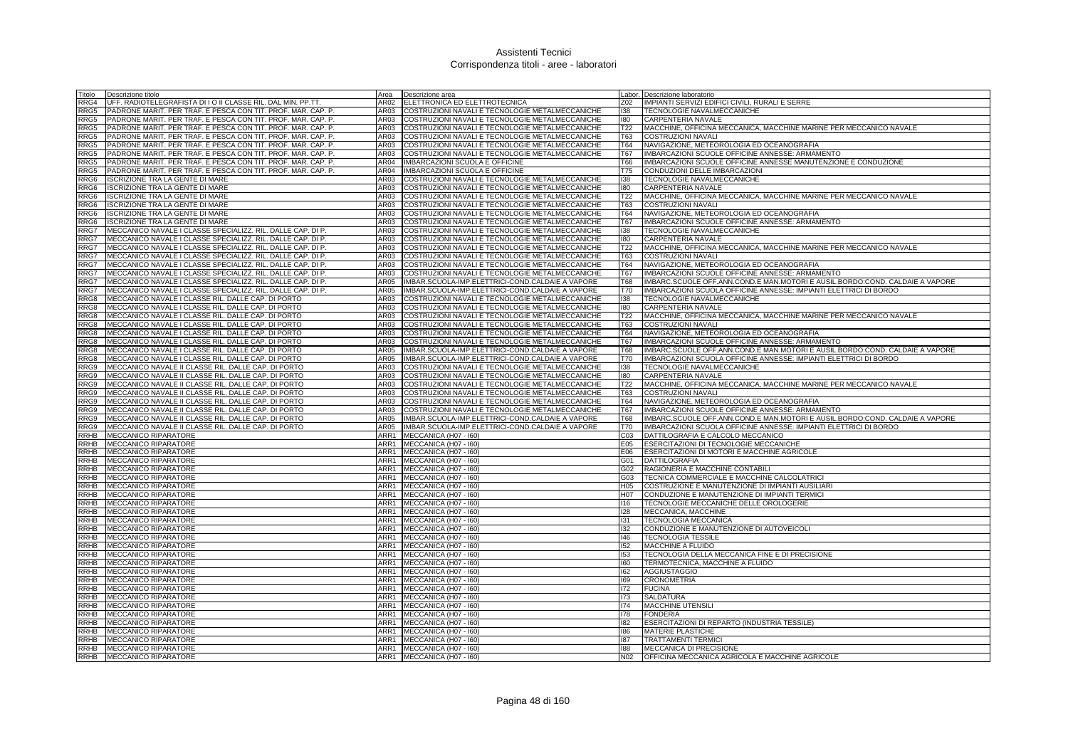| Titolo                     | Descrizione titolo                                                                                                       | Area         | Descrizione area                                                                                   | Labor.                 | Descrizione laboratorio                                                                  |
|----------------------------|--------------------------------------------------------------------------------------------------------------------------|--------------|----------------------------------------------------------------------------------------------------|------------------------|------------------------------------------------------------------------------------------|
| RRG4                       | UFF. RADIOTELEGRAFISTA DI I O II CLASSE RIL. DAL MIN. PP.TT.                                                             | AR02         | ELETTRONICA ED ELETTROTECNICA                                                                      | Z02                    | IMPIANTI SERVIZI EDIFICI CIVILI, RURALI E SERRE                                          |
| RRG5                       | PADRONE MARIT. PER TRAF. E PESCA CON TIT. PROF. MAR. CAP. P.                                                             | AR03         | COSTRUZIONI NAVALI E TECNOLOGIE METALMECCANICHE                                                    | 138                    | TECNOLOGIE NAVALMECCANICHE                                                               |
| RRG5                       | PADRONE MARIT. PER TRAF. E PESCA CON TIT. PROF. MAR. CAP. P.                                                             | AR03         | COSTRUZIONI NAVALI E TECNOLOGIE METALMECCANICHE                                                    | 180                    | CARPENTERIA NAVALE                                                                       |
| RRG5                       | PADRONE MARIT. PER TRAF. E PESCA CON TIT. PROF. MAR. CAP. P                                                              | AR03         | COSTRUZIONI NAVALI E TECNOLOGIE METALMECCANICHE                                                    | T22                    | MACCHINE, OFFICINA MECCANICA, MACCHINE MARINE PER MECCANICO NAVALE                       |
| RRG5                       | PADRONE MARIT. PER TRAF. E PESCA CON TIT. PROF. MAR. CAP. P                                                              | AR03         | COSTRUZIONI NAVALI E TECNOLOGIE METALMECCANICHE                                                    | T63                    | <b>COSTRUZIONI NAVALI</b>                                                                |
| RRG5                       | PADRONE MARIT. PER TRAF. E PESCA CON TIT. PROF. MAR. CAP. P.                                                             | AR03         | COSTRUZIONI NAVALI E TECNOLOGIE METALMECCANICHE                                                    | <b>T64</b>             | NAVIGAZIONE, METEOROLOGIA ED OCEANOGRAFIA                                                |
| RRG5                       | PADRONE MARIT. PER TRAF. E PESCA CON TIT. PROF. MAR. CAP. P.                                                             | AR03         | COSTRUZIONI NAVALI E TECNOLOGIE METALMECCANICHE                                                    | <b>T67</b>             | IMBARCAZIONI SCUOLE OFFICINE ANNESSE: ARMAMENTO                                          |
| RRG5                       | PADRONE MARIT. PER TRAF. E PESCA CON TIT. PROF. MAR. CAP. P                                                              | AR04         | IMBARCAZIONI SCUOLA E OFFICINE                                                                     | <b>T66</b>             | IMBARCAZIONI SCUOLE OFFICINE ANNESSE MANUTENZIONE E CONDUZIONE                           |
| RRG5                       | PADRONE MARIT. PER TRAF. E PESCA CON TIT. PROF. MAR. CAP. P.                                                             | AR04         | IMBARCAZIONI SCUOLA E OFFICINE                                                                     | T75                    | CONDUZIONI DELLE IMBARCAZIONI                                                            |
| RRG6                       | <b>ISCRIZIONE TRA LA GENTE DI MARE</b>                                                                                   | AR03         | COSTRUZIONI NAVALI E TECNOLOGIE METALMECCANICHE                                                    | 138                    | TECNOLOGIE NAVALMECCANICHE                                                               |
| RRG <sub>6</sub>           | <b>ISCRIZIONE TRA LA GENTE DI MARE</b>                                                                                   | AR03         | COSTRUZIONI NAVALI E TECNOLOGIE METALMECCANICHE                                                    | 180                    | CARPENTERIA NAVALE                                                                       |
| RRG6                       | <b>ISCRIZIONE TRA LA GENTE DI MARE</b>                                                                                   | AR03         | COSTRUZIONI NAVALI E TECNOLOGIE METALMECCANICHE                                                    | T22                    | MACCHINE, OFFICINA MECCANICA, MACCHINE MARINE PER MECCANICO NAVALE                       |
| RRG <sub>6</sub>           | <b>ISCRIZIONE TRA LA GENTE DI MARE</b>                                                                                   | AR03         | COSTRUZIONI NAVALI E TECNOLOGIE METALMECCANICHE                                                    | <b>T63</b>             | <b>COSTRUZIONI NAVALI</b>                                                                |
| RRG6                       | <b>ISCRIZIONE TRA LA GENTE DI MARE</b>                                                                                   | AR03         | COSTRUZIONI NAVALI E TECNOLOGIE METALMECCANICHE                                                    | <b>T64</b>             | NAVIGAZIONE, METEOROLOGIA ED OCEANOGRAFIA                                                |
| RRG6                       | <b>ISCRIZIONE TRA LA GENTE DI MARE</b>                                                                                   | AR03         | COSTRUZIONI NAVALI E TECNOLOGIE METALMECCANICHE                                                    | <b>T67</b>             | IMBARCAZIONI SCUOLE OFFICINE ANNESSE: ARMAMENTO                                          |
| RRG7                       | MECCANICO NAVALE I CLASSE SPECIALIZZ. RIL. DALLE CAP. DI P.                                                              | AR03         | COSTRUZIONI NAVALI E TECNOLOGIE METALMECCANICHE                                                    | 138                    | TECNOLOGIE NAVALMECCANICHE                                                               |
| RRG7<br>RRG7               | MECCANICO NAVALE I CLASSE SPECIALIZZ. RIL. DALLE CAP. DI P                                                               | AR03<br>AR03 | COSTRUZIONI NAVALI E TECNOLOGIE METALMECCANICHE                                                    | 180<br>T <sub>22</sub> | CARPENTERIA NAVALE<br>MACCHINE, OFFICINA MECCANICA, MACCHINE MARINE PER MECCANICO NAVALE |
|                            | MECCANICO NAVALE I CLASSE SPECIALIZZ. RIL. DALLE CAP. DI P                                                               | AR03         | COSTRUZIONI NAVALI E TECNOLOGIE METALMECCANICHE<br>COSTRUZIONI NAVALI E TECNOLOGIE METALMECCANICHE | <b>T63</b>             | <b>COSTRUZIONI NAVALI</b>                                                                |
| RRG7<br>RRG7               | MECCANICO NAVALE I CLASSE SPECIALIZZ. RIL. DALLE CAP. DI P<br>MECCANICO NAVALE I CLASSE SPECIALIZZ. RIL. DALLE CAP. DI P | AR03         | COSTRUZIONI NAVALI E TECNOLOGIE METALMECCANICHE                                                    | T64                    | NAVIGAZIONE, METEOROLOGIA ED OCEANOGRAFIA                                                |
| RRG7                       | MECCANICO NAVALE I CLASSE SPECIALIZZ. RIL. DALLE CAP. DI P                                                               | AR03         | COSTRUZIONI NAVALI E TECNOLOGIE METALMECCANICHE                                                    | T67                    | IMBARCAZIONI SCUOLE OFFICINE ANNESSE: ARMAMENTO                                          |
| RRG7                       | MECCANICO NAVALE I CLASSE SPECIALIZZ. RIL. DALLE CAP. DI P.                                                              | AR05         | IMBAR.SCUOLA-IMP.ELETTRICI-COND.CALDAIE A VAPORE                                                   | <b>T68</b>             | IMBARC.SCUOLE OFF.ANN.COND.E MAN.MOTORI E AUSIL.BORDO:COND. CALDAIE A VAPORE             |
| RRG7                       | MECCANICO NAVALE I CLASSE SPECIALIZZ. RIL. DALLE CAP. DI P.                                                              | AR05         | IMBAR.SCUOLA-IMP.ELETTRICI-COND.CALDAIE A VAPORE                                                   | T70                    | IMBARCAZIONI SCUOLA OFFICINE ANNESSE: IMPIANTI ELETTRICI DI BORDO                        |
| RRG8                       | MECCANICO NAVALE I CLASSE RIL. DALLE CAP. DI PORTO                                                                       | AR03         | COSTRUZIONI NAVALI E TECNOLOGIE METALMECCANICHE                                                    | 138                    | TECNOLOGIE NAVALMECCANICHE                                                               |
| RRG8                       | MECCANICO NAVALE I CLASSE RIL. DALLE CAP. DI PORTO                                                                       | AR03         | COSTRUZIONI NAVALI E TECNOLOGIE METALMECCANICHE                                                    | 180                    | CARPENTERIA NAVALE                                                                       |
| RRG8                       | MECCANICO NAVALE I CLASSE RIL. DALLE CAP. DI PORTO                                                                       | AR03         | COSTRUZIONI NAVALI E TECNOLOGIE METALMECCANICHE                                                    | T22                    | MACCHINE, OFFICINA MECCANICA, MACCHINE MARINE PER MECCANICO NAVALE                       |
| RRG8                       | MECCANICO NAVALE I CLASSE RIL. DALLE CAP. DI PORTO                                                                       | AR03         | COSTRUZIONI NAVALI E TECNOLOGIE METALMECCANICHE                                                    | <b>T63</b>             | <b>COSTRUZIONI NAVALI</b>                                                                |
| RRG8                       | MECCANICO NAVALE I CLASSE RIL. DALLE CAP. DI PORTO                                                                       | AR03         | <b>COSTRUZIONI NAVALI E TECNOLOGIE METALMECCANICHE</b>                                             | T64                    | NAVIGAZIONE, METEOROLOGIA ED OCEANOGRAFIA                                                |
| RRG8                       | MECCANICO NAVALE I CLASSE RIL. DALLE CAP. DI PORTO                                                                       | AR03         | COSTRUZIONI NAVALI E TECNOLOGIE METALMECCANICHE                                                    | <b>T67</b>             | IMBARCAZIONI SCUOLE OFFICINE ANNESSE: ARMAMENTO                                          |
| RRG8                       | MECCANICO NAVALE I CLASSE RIL. DALLE CAP. DI PORTO                                                                       | AR05         | IMBAR.SCUOLA-IMP.ELETTRICI-COND.CALDAIE A VAPORE                                                   | T68                    | IMBARC.SCUOLE OFF.ANN.COND.E MAN.MOTORI E AUSIL.BORDO:COND. CALDAIE A VAPORE             |
| RRG8                       | MECCANICO NAVALE I CLASSE RIL. DALLE CAP. DI PORTO                                                                       | AR05         | IMBAR.SCUOLA-IMP.ELETTRICI-COND.CALDAIE A VAPORE                                                   | T70                    | IMBARCAZIONI SCUOLA OFFICINE ANNESSE: IMPIANTI ELETTRICI DI BORDO                        |
| RRG9                       | MECCANICO NAVALE II CLASSE RIL. DALLE CAP. DI PORTO                                                                      | AR03         | COSTRUZIONI NAVALI E TECNOLOGIE METALMECCANICHE                                                    | 138                    | TECNOLOGIE NAVALMECCANICHE                                                               |
| RRG9                       | MECCANICO NAVALE II CLASSE RIL. DALLE CAP. DI PORTO                                                                      | AR03         | COSTRUZIONI NAVALI E TECNOLOGIE METALMECCANICHE                                                    | 180                    | CARPENTERIA NAVALE                                                                       |
| RRG9                       | MECCANICO NAVALE II CLASSE RIL. DALLE CAP. DI PORTO                                                                      | AR03         | COSTRUZIONI NAVALI E TECNOLOGIE METALMECCANICHE                                                    | T22                    | MACCHINE, OFFICINA MECCANICA, MACCHINE MARINE PER MECCANICO NAVALE                       |
| RRG9                       | MECCANICO NAVALE II CLASSE RIL. DALLE CAP. DI PORTO                                                                      | AR03         | COSTRUZIONI NAVALI E TECNOLOGIE METALMECCANICHE                                                    | T63                    | <b>COSTRUZIONI NAVALI</b>                                                                |
| RRG9                       | MECCANICO NAVALE II CLASSE RIL. DALLE CAP. DI PORTO                                                                      | AR03         | COSTRUZIONI NAVALI E TECNOLOGIE METALMECCANICHE                                                    | <b>T64</b>             | NAVIGAZIONE, METEOROLOGIA ED OCEANOGRAFIA                                                |
| RRG9                       | MECCANICO NAVALE II CLASSE RIL. DALLE CAP. DI PORTO                                                                      | AR03         | COSTRUZIONI NAVALI E TECNOLOGIE METALMECCANICHE                                                    | T67                    | IMBARCAZIONI SCUOLE OFFICINE ANNESSE: ARMAMENTO                                          |
| RRG9                       | MECCANICO NAVALE II CLASSE RIL. DALLE CAP. DI PORTO                                                                      | AR05         | IMBAR.SCUOLA-IMP.ELETTRICI-COND.CALDAIE A VAPORE                                                   | T68                    | IMBARC.SCUOLE OFF.ANN.COND.E MAN.MOTORI E AUSIL.BORDO:COND. CALDAIE A VAPORE             |
| RRG9                       | MECCANICO NAVALE II CLASSE RIL. DALLE CAP. DI PORTO                                                                      | AR05         | IMBAR.SCUOLA-IMP.ELETTRICI-COND.CALDAIE A VAPORE                                                   | <b>T70</b>             | IMBARCAZIONI SCUOLA OFFICINE ANNESSE: IMPIANTI ELETTRICI DI BORDO                        |
| RRHB                       | MECCANICO RIPARATORE                                                                                                     | ARR1         | MECCANICA (H07 - I60)                                                                              | C <sub>03</sub>        | DATTILOGRAFIA E CALCOLO MECCANICO                                                        |
| RRHB                       | MECCANICO RIPARATORE                                                                                                     | ARR1         | MECCANICA (H07 - I60)                                                                              | E05                    | ESERCITAZIONI DI TECNOLOGIE MECCANICHE                                                   |
| RRHB<br><b>RRHB</b>        | MECCANICO RIPARATORE<br><b>MECCANICO RIPARATORE</b>                                                                      | ARR1<br>ARR1 | MECCANICA (H07 - I60)<br>MECCANICA (H07 - I60)                                                     | E06<br>G01             | ESERCITAZIONI DI MOTORI E MACCHINE AGRICOLE<br><b>DATTILOGRAFIA</b>                      |
| <b>RRHB</b>                | MECCANICO RIPARATORE                                                                                                     | ARR1         | MECCANICA (H07 - I60)                                                                              | G02                    | RAGIONERIA E MACCHINE CONTABILI                                                          |
| <b>RRHB</b>                | MECCANICO RIPARATORE                                                                                                     | ARR1         | MECCANICA (H07 - I60)                                                                              | G03                    | TECNICA COMMERCIALE E MACCHINE CALCOLATRICI                                              |
| <b>RRHB</b>                | MECCANICO RIPARATORE                                                                                                     | ARR1         | MECCANICA (H07 - I60)                                                                              | H <sub>05</sub>        | COSTRUZIONE E MANUTENZIONE DI IMPIANTI AUSILIARI                                         |
| <b>RRHB</b>                | <b>MECCANICO RIPARATORE</b>                                                                                              | ARR1         | MECCANICA (H07 - I60)                                                                              | H <sub>0</sub> 7       | CONDUZIONE E MANUTENZIONE DI IMPIANTI TERMICI                                            |
| <b>RRHB</b>                | <b>MECCANICO RIPARATORE</b>                                                                                              | ARR1         | MECCANICA (H07 - I60)                                                                              | 116                    | TECNOLOGIE MECCANICHE DELLE OROLOGERIE                                                   |
| RRHB                       | <b>MECCANICO RIPARATORE</b>                                                                                              | ARR1         | MECCANICA (H07 - I60)                                                                              | 128                    | MECCANICA, MACCHINE                                                                      |
| RRHB                       | <b>MECCANICO RIPARATORE</b>                                                                                              | ARR1         | MECCANICA (H07 - I60)                                                                              | 131                    | <b>TECNOLOGIA MECCANICA</b>                                                              |
| RRHB                       | <b>MECCANICO RIPARATORE</b>                                                                                              | ARR1         | MECCANICA (H07 - I60)                                                                              | 132                    | CONDUZIONE E MANUTENZIONE DI AUTOVEICOLI                                                 |
| RRHB                       | MECCANICO RIPARATORE                                                                                                     | ARR1         | MECCANICA (H07 - 160)                                                                              | 146                    | <b>TECNOLOGIA TESSILE</b>                                                                |
| RRHB                       | MECCANICO RIPARATORE                                                                                                     | ARR1         | MECCANICA (H07 - I60)                                                                              | 152                    | MACCHINE A FLUIDO                                                                        |
| RRHB                       | MECCANICO RIPARATORE                                                                                                     | ARR1         | MECCANICA (H07 - I60)                                                                              | 153                    | TECNOLOGIA DELLA MECCANICA FINE E DI PRECISIONE                                          |
| RRHB                       | MECCANICO RIPARATORE                                                                                                     | ARR1         | MECCANICA (H07 - I60)                                                                              | 160                    | TERMOTECNICA, MACCHINE A FLUIDO                                                          |
| RRHB                       | <b>MECCANICO RIPARATORE</b>                                                                                              | ARR1         | MECCANICA (H07 - I60)                                                                              | 162                    | AGGIUSTAGGIO                                                                             |
| RRHB                       | MECCANICO RIPARATORE                                                                                                     | ARR1         | MECCANICA (H07 - I60)                                                                              | 169                    | CRONOMETRIA                                                                              |
| RRHB                       | MECCANICO RIPARATORE                                                                                                     | ARR1         | MECCANICA (H07 - I60)                                                                              | 172                    | <b>FUCINA</b>                                                                            |
| RRHB                       | MECCANICO RIPARATORE                                                                                                     | ARR1         | MECCANICA (H07 - I60)                                                                              | 173                    | SALDATURA                                                                                |
| <b>RRHB</b>                | MECCANICO RIPARATORE                                                                                                     | ARR1         | MECCANICA (H07 - I60)                                                                              | 174                    | MACCHINE UTENSILI                                                                        |
| <b>RRHB</b>                | MECCANICO RIPARATORE                                                                                                     | ARR1         | MECCANICA (H07 - I60)                                                                              | 178                    | <b>FONDERIA</b>                                                                          |
| RRHB                       | MECCANICO RIPARATORE                                                                                                     | ARR1         | MECCANICA (H07 - I60)                                                                              | 182                    | ESERCITAZIONI DI REPARTO (INDUSTRIA TESSILE)                                             |
| <b>RRHB</b>                | MECCANICO RIPARATORE                                                                                                     | ARR1         | MECCANICA (H07 - I60)                                                                              | 186                    | <b>MATERIE PLASTICHE</b>                                                                 |
| <b>RRHB</b><br><b>RRHB</b> | <b>MECCANICO RIPARATORE</b><br><b>MECCANICO RIPARATORE</b>                                                               | ARR1<br>ARR1 | MECCANICA (H07 - I60)<br>MECCANICA (H07 - 160)                                                     | 187<br>188             | TRATTAMENTI TERMIC<br><b>MECCANICA DI PRECISIONE</b>                                     |
|                            | RRHB MECCANICO RIPARATORE                                                                                                |              | ARR1 MECCANICA (H07 - 160)                                                                         | N <sub>02</sub>        | OFFICINA MECCANICA AGRICOLA E MACCHINE AGRICOLE                                          |
|                            |                                                                                                                          |              |                                                                                                    |                        |                                                                                          |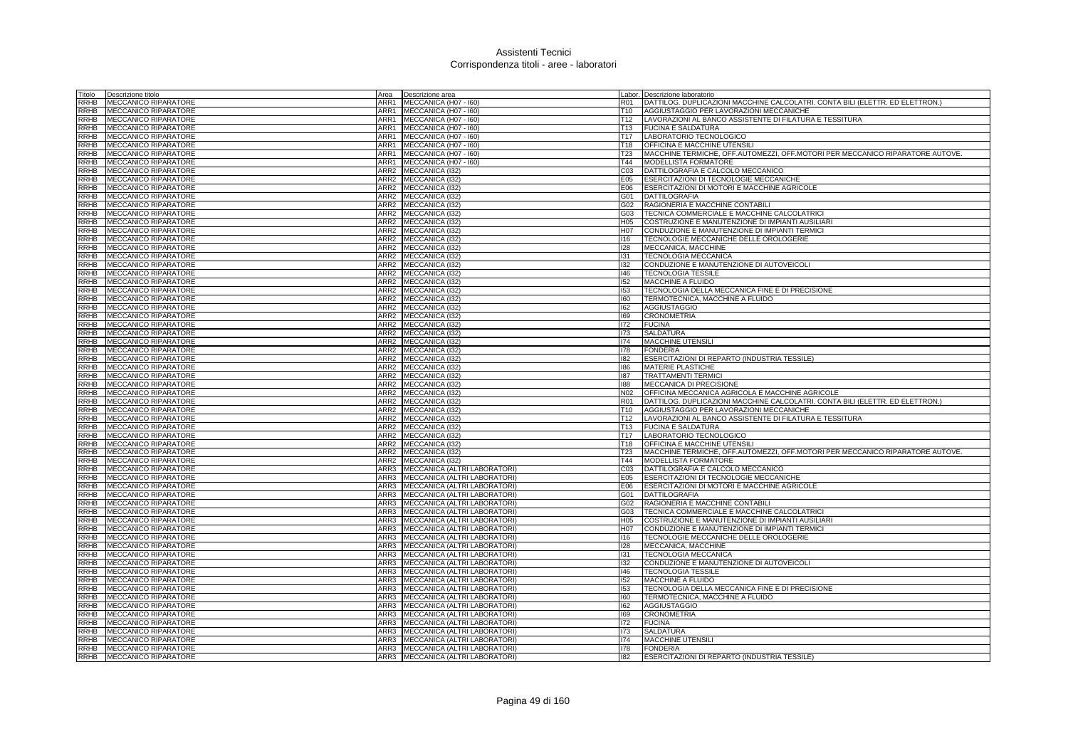| Titolo                     | Descrizione titolo                                         | Area             | Descrizione area                                             |                 | Labor. Descrizione laboratorio                                                |
|----------------------------|------------------------------------------------------------|------------------|--------------------------------------------------------------|-----------------|-------------------------------------------------------------------------------|
| RRHB                       | <b>MECCANICO RIPARATORE</b>                                | ARR1             | MECCANICA (H07 - I60)                                        | R01             | DATTILOG. DUPLICAZIONI MACCHINE CALCOLATRI. CONTA BILI (ELETTR. ED ELETTRON.) |
| RRHB                       | <b>MECCANICO RIPARATORE</b>                                | ARR1             | MECCANICA (H07 - I60)                                        | T <sub>10</sub> | AGGIUSTAGGIO PER LAVORAZIONI MECCANICHE                                       |
| RRHB                       | <b>MECCANICO RIPARATORE</b>                                | ARR1             | MECCANICA (H07 - I60)                                        | T12             | LAVORAZIONI AL BANCO ASSISTENTE DI FILATURA E TESSITURA                       |
|                            | RRHB MECCANICO RIPARATORE                                  |                  | ARR1 MECCANICA (H07 - I60)                                   | T13             | <b>FUCINA E SALDATURA</b>                                                     |
| RRHB                       | <b>MECCANICO RIPARATORE</b>                                | ARR1             | MECCANICA (H07 - I60)                                        | T17             | LABORATORIO TECNOLOGICO                                                       |
| <b>RRHB</b>                | <b>MECCANICO RIPARATORE</b>                                | ARR1             | MECCANICA (H07 - I60)                                        | T <sub>18</sub> | <b>OFFICINA E MACCHINE UTENSIL</b>                                            |
| RRHB                       | <b>MECCANICO RIPARATORE</b>                                | ARR1             | MECCANICA (H07 - I60)                                        | T <sub>23</sub> | MACCHINE TERMICHE, OFF.AUTOMEZZI, OFF.MOTORI PER MECCANICO RIPARATORE AUTOVE. |
| RRHB                       | <b>MECCANICO RIPARATORE</b>                                |                  | ARR1 MECCANICA (H07 - 160)                                   | T44             | MODELLISTA FORMATORE                                                          |
|                            | RRHB MECCANICO RIPARATORE                                  | ARR2             | MECCANICA (I32)                                              | C <sub>03</sub> | DATTILOGRAFIA E CALCOLO MECCANICO                                             |
| RRHB                       | <b>MECCANICO RIPARATORE</b>                                | ARR2             | MECCANICA (I32)                                              | E05             | <b>ESERCITAZIONI DI TECNOLOGIE MECCANICHE</b>                                 |
| RRHB                       | MECCANICO RIPARATORE                                       | ARR2             | MECCANICA (I32)                                              | E06             | ESERCITAZIONI DI MOTORI E MACCHINE AGRICOLE                                   |
| RRHB                       | <b>MECCANICO RIPARATORE</b>                                | ARR2             | MECCANICA (I32)                                              | G01             | <b>DATTILOGRAFIA</b>                                                          |
| <b>RRHB</b>                | <b>MECCANICO RIPARATORE</b>                                | ARR2             | MECCANICA (I32)                                              | G02             | RAGIONERIA E MACCHINE CONTABILI                                               |
| <b>RRHB</b>                | <b>MECCANICO RIPARATORE</b>                                | ARR2             | MECCANICA (132)                                              | G03             | TECNICA COMMERCIALE E MACCHINE CALCOLATRIC                                    |
| <b>RRHB</b>                | MECCANICO RIPARATORE                                       | ARR2             | MECCANICA (I32)                                              | H <sub>05</sub> | COSTRUZIONE E MANUTENZIONE DI IMPIANTI AUSILIARI                              |
| <b>RRHB</b>                | <b>MECCANICO RIPARATORE</b>                                | ARR2             | MECCANICA (I32)                                              | H07             | CONDUZIONE E MANUTENZIONE DI IMPIANTI TERMICI                                 |
| RRHB                       | <b>MECCANICO RIPARATORE</b>                                | ARR2             | MECCANICA (I32)                                              | 116             | TECNOLOGIE MECCANICHE DELLE OROLOGERIE                                        |
| <b>RRHB</b>                | MECCANICO RIPARATORE                                       | ARR2             | MECCANICA (132)                                              | 128             | MECCANICA, MACCHINE                                                           |
| <b>RRHB</b>                | <b>MECCANICO RIPARATORE</b>                                | ARR <sub>2</sub> | MECCANICA (I32)                                              | 131             | <b>TECNOLOGIA MECCANICA</b>                                                   |
| <b>RRHB</b>                | <b>MECCANICO RIPARATORE</b>                                | ARR2             | MECCANICA (132)                                              | 132             | CONDUZIONE E MANUTENZIONE DI AUTOVEICOLI                                      |
| <b>RRHB</b>                | <b>MECCANICO RIPARATORE</b>                                |                  | ARR2 MECCANICA (I32)                                         | 146             | <b>TECNOLOGIA TESSILE</b>                                                     |
| RRHB                       | MECCANICO RIPARATORE                                       |                  | ARR2 MECCANICA (I32)                                         | 152             | MACCHINE A FLUIDO                                                             |
| RRHB                       | <b>MECCANICO RIPARATORE</b>                                | ARR2             | MECCANICA (I32)                                              | 153             | TECNOLOGIA DELLA MECCANICA FINE E DI PRECISIONE                               |
| RRHB                       | MECCANICO RIPARATORE                                       | ARR2             | MECCANICA (I32)                                              | 160             | TERMOTECNICA, MACCHINE A FLUIDO                                               |
| RRHB                       | <b>MECCANICO RIPARATORE</b>                                | ARR2             | MECCANICA (132)                                              | 162             | <b>AGGIUSTAGGIO</b>                                                           |
| RRHB                       | MECCANICO RIPARATORE                                       |                  | ARR2 MECCANICA (I32)                                         | 169             | <b>CRONOMETRIA</b>                                                            |
| RRHB                       | <b>MECCANICO RIPARATORE</b>                                | ARR2             | MECCANICA (I32)                                              | 172             | <b>FUCINA</b>                                                                 |
| RRHB                       | MECCANICO RIPARATORE                                       | ARR2             | MECCANICA (I32)                                              | 173             | <b>SALDATURA</b>                                                              |
| RRHB                       | <b>MECCANICO RIPARATORE</b>                                | ARR2             | MECCANICA (I32)                                              | 174             | MACCHINE UTENSILI                                                             |
| <b>RRHB</b>                | MECCANICO RIPARATORE                                       | ARR2             | MECCANICA (I32)                                              | 178             | <b>FONDERIA</b>                                                               |
| <b>RRHB</b>                | <b>MECCANICO RIPARATORE</b>                                | ARR2             | MECCANICA (I32)                                              | 182             | ESERCITAZIONI DI REPARTO (INDUSTRIA TESSILE)                                  |
| RRHB                       | <b>MECCANICO RIPARATORE</b>                                | ARR2             | <b>MECCANICA (I32</b>                                        | 186             | <b>MATERIE PLASTICHE</b>                                                      |
| RRHB                       | <b>MECCANICO RIPARATORE</b>                                | ARR2             | MECCANICA (I32)                                              | 187             | <b>TRATTAMENTI TERMIC</b>                                                     |
| <b>RRHB</b>                | <b>MECCANICO RIPARATORE</b>                                |                  | ARR2 MECCANICA (I32)                                         | 188             | MECCANICA DI PRECISIONE                                                       |
|                            | RRHB MECCANICO RIPARATORE                                  |                  | ARR2 MECCANICA (I32)                                         | N02             | OFFICINA MECCANICA AGRICOLA E MACCHINE AGRICOLE                               |
| <b>RRHB</b>                | <b>MECCANICO RIPARATORE</b>                                |                  | ARR2 MECCANICA (I32)                                         | <b>R01</b>      | DATTILOG. DUPLICAZIONI MACCHINE CALCOLATRI. CONTA BILI (ELETTR. ED ELETTRON.) |
| <b>RRHB</b>                | <b>MECCANICO RIPARATORE</b>                                |                  | ARR2 MECCANICA (I32)                                         | T <sub>10</sub> | AGGIUSTAGGIO PER LAVORAZIONI MECCANICHE                                       |
| <b>RRHB</b>                | <b>MECCANICO RIPARATORE</b>                                |                  | ARR2 MECCANICA (132)                                         | T <sub>12</sub> | LAVORAZIONI AL BANCO ASSISTENTE DI FILATURA E TESSITURA                       |
|                            | RRHB MECCANICO RIPARATORE                                  |                  | ARR2 MECCANICA (I32)                                         | T <sub>13</sub> | <b>FUCINA E SALDATURA</b>                                                     |
| <b>RRHB</b>                | <b>MECCANICO RIPARATORE</b>                                | ARR2             | MECCANICA (I32)                                              | T <sub>17</sub> | LABORATORIO TECNOLOGICO                                                       |
| <b>RRHB</b>                | <b>MECCANICO RIPARATORE</b>                                | ARR2             | MECCANICA (I32)                                              | T18             | OFFICINA E MACCHINE UTENSIL                                                   |
| <b>RRHB</b>                | <b>MECCANICO RIPARATORE</b>                                | ARR2             | MECCANICA (I32)                                              | T23             | MACCHINE TERMICHE, OFF AUTOMEZZI, OFF MOTORI PER MECCANICO RIPARATORE AUTOVE. |
| RRHB                       | <b>MECCANICO RIPARATORE</b>                                |                  | ARR2 MECCANICA (I32)                                         | T44             | <b>MODELLISTA FORMATORE</b>                                                   |
| <b>RRHB</b>                | <b>MECCANICO RIPARATORE</b>                                | ARR3             | MECCANICA (ALTRI LABORATORI)                                 | C <sub>03</sub> | DATTILOGRAFIA E CALCOLO MECCANICO                                             |
| RRHB                       | MECCANICO RIPARATORE                                       | ARR3             | MECCANICA (ALTRI LABORATORI)                                 | E05             | ESERCITAZIONI DI TECNOLOGIE MECCANICHE                                        |
| RRHB                       | MECCANICO RIPARATORE                                       | ARR3             | MECCANICA (ALTRI LABORATORI)                                 | E06             | ESERCITAZIONI DI MOTORI E MACCHINE AGRICOLE                                   |
| RRHB                       | <b>MECCANICO RIPARATORE</b>                                |                  | ARR3 MECCANICA (ALTRI LABORATORI)                            | G01             | <b>DATTILOGRAFIA</b>                                                          |
| RRHB                       | <b>MECCANICO RIPARATORE</b>                                | ARR3             | MECCANICA (ALTRI LABORATORI)                                 | G02             | RAGIONERIA E MACCHINE CONTABILI                                               |
| RRHB                       | <b>MECCANICO RIPARATORE</b>                                | ARR3             | MECCANICA (ALTRI LABORATORI)                                 | G03             | TECNICA COMMERCIALE E MACCHINE CALCOLATRICI                                   |
| RRHB                       | MECCANICO RIPARATORE                                       | ARR3             | MECCANICA (ALTRI LABORATORI)                                 | H <sub>05</sub> | COSTRUZIONE E MANUTENZIONE DI IMPIANTI AUSILIARI                              |
| <b>RRHB</b>                | MECCANICO RIPARATORE                                       | ARR3             | MECCANICA (ALTRI LABORATORI)                                 | <b>H07</b>      | CONDUZIONE E MANUTENZIONE DI IMPIANTI TERMICI                                 |
|                            | RRHB MECCANICO RIPARATORE                                  | ARR3             | MECCANICA (ALTRI LABORATORI)                                 | 116             | TECNOLOGIE MECCANICHE DELLE OROLOGERIE                                        |
| <b>RRHB</b>                | <b>MECCANICO RIPARATORE</b>                                | ARR3             | MECCANICA (ALTRI LABORATORI)                                 | 128             | MECCANICA, MACCHINE                                                           |
| RRHB                       | MECCANICO RIPARATORE                                       | ARR3             | MECCANICA (ALTRI LABORATORI)                                 | 131             | <b>TECNOLOGIA MECCANICA</b>                                                   |
| RRHB                       | <b>MECCANICO RIPARATORE</b>                                | ARR3             | MECCANICA (ALTRI LABORATORI)                                 | 132             | CONDUZIONE E MANUTENZIONE DI AUTOVEICOLI                                      |
| RRHB                       | <b>MECCANICO RIPARATORE</b>                                | ARR3             | MECCANICA (ALTRI LABORATORI)                                 | 146             | <b>TECNOLOGIA TESSILE</b>                                                     |
| <b>RRHB</b>                | <b>MECCANICO RIPARATORE</b>                                | ARR3             | MECCANICA (ALTRI LABORATORI)                                 | 152             | <b>MACCHINE A FLUIDO</b>                                                      |
| RRHB                       | MECCANICO RIPARATORE                                       | ARR3             | MECCANICA (ALTRI LABORATORI)                                 | 153             | TECNOLOGIA DELLA MECCANICA FINE E DI PRECISIONE                               |
| RRHB                       | <b>MECCANICO RIPARATORE</b>                                | ARR3             | MECCANICA (ALTRI LABORATORI)                                 | 160             | TERMOTECNICA, MACCHINE A FLUIDO                                               |
| RRHB                       | <b>MECCANICO RIPARATORE</b>                                | ARR3             | MECCANICA (ALTRI LABORATORI)                                 | 162             | <b>AGGIUSTAGGIO</b>                                                           |
| <b>RRHB</b>                | MECCANICO RIPARATORE                                       | ARR3<br>ARR3     | MECCANICA (ALTRI LABORATORI)                                 | 169             | <b>CRONOMETRIA</b>                                                            |
| <b>RRHB</b>                | <b>MECCANICO RIPARATORE</b>                                |                  | MECCANICA (ALTRI LABORATORI)                                 | 172<br>173      | <b>FUCINA</b>                                                                 |
| <b>RRHB</b><br><b>RRHB</b> | <b>MECCANICO RIPARATORE</b><br><b>MECCANICO RIPARATORE</b> | ARR3<br>ARR3     | MECCANICA (ALTRI LABORATORI)<br>MECCANICA (ALTRI LABORATORI) | 174             | <b>SALDATURA</b><br><b>MACCHINE UTENSILI</b>                                  |
|                            | RRHB MECCANICO RIPARATORE                                  |                  | ARR3 MECCANICA (ALTRI LABORATORI)                            | 178             | <b>FONDERIA</b>                                                               |
|                            | RRHB MECCANICO RIPARATORE                                  |                  | ARR3 MECCANICA (ALTRI LABORATORI)                            | 182             | ESERCITAZIONI DI REPARTO (INDUSTRIA TESSILE)                                  |
|                            |                                                            |                  |                                                              |                 |                                                                               |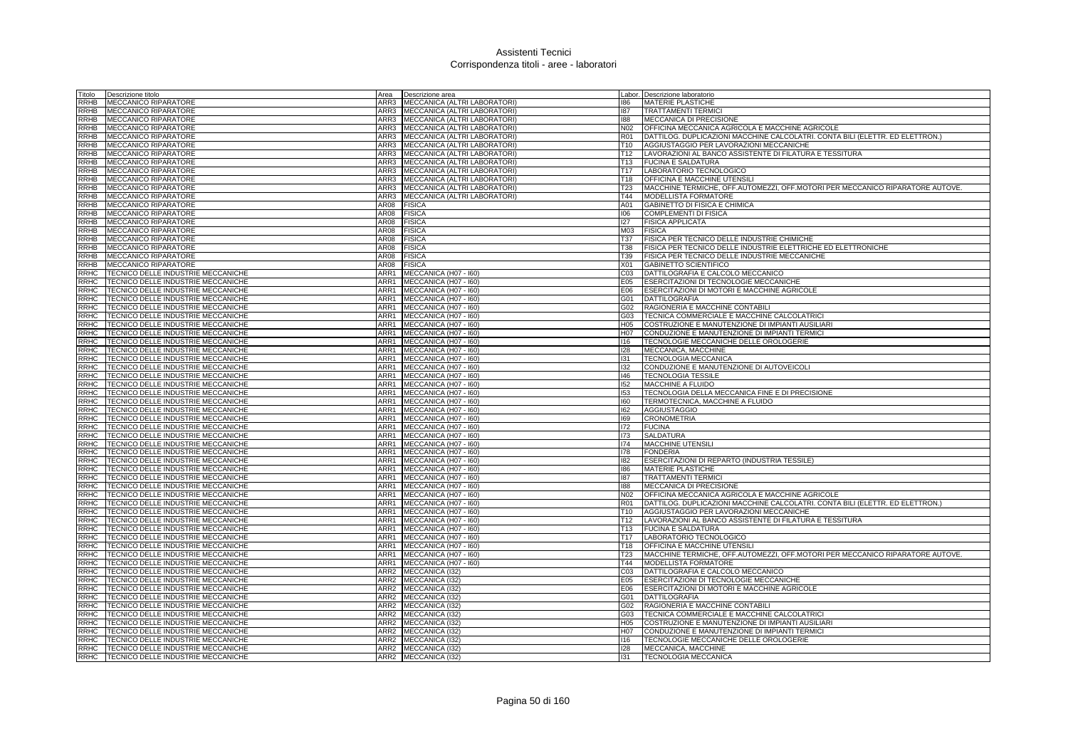| Fitolo      | Descrizione titolo                 | Area             | Descrizione area             |                 | abor. Descrizione laboratorio                                                 |
|-------------|------------------------------------|------------------|------------------------------|-----------------|-------------------------------------------------------------------------------|
| RRHB        | <b>MECCANICO RIPARATORE</b>        | ARR3             | MECCANICA (ALTRI LABORATORI) | 186             | <b>MATERIE PLASTICHE</b>                                                      |
| <b>RRHB</b> | <b>MECCANICO RIPARATORE</b>        | ARR3             | MECCANICA (ALTRI LABORATORI) | 187             | <b>TRATTAMENTI TERMIC</b>                                                     |
| RRHB        | <b>MECCANICO RIPARATORE</b>        | ARR3             | MECCANICA (ALTRI LABORATORI) | 188             | MECCANICA DI PRECISIONE                                                       |
| RRHB        | <b>MECCANICO RIPARATORE</b>        | ARR3             | MECCANICA (ALTRI LABORATORI) | N02             | OFFICINA MECCANICA AGRICOLA E MACCHINE AGRICOLE                               |
| RRHB        | <b>MECCANICO RIPARATORE</b>        | ARR3             | MECCANICA (ALTRI LABORATORI) | R01             | DATTILOG. DUPLICAZIONI MACCHINE CALCOLATRI. CONTA BILI (ELETTR. ED ELETTRON.) |
| <b>RRHB</b> | <b>MECCANICO RIPARATORE</b>        | ARR3             | MECCANICA (ALTRI LABORATORI) | T10             | AGGIUSTAGGIO PER LAVORAZIONI MECCANICHE                                       |
| RRHB        | <b>MECCANICO RIPARATORE</b>        | ARR3             | MECCANICA (ALTRI LABORATORI) | T12             | LAVORAZIONI AL BANCO ASSISTENTE DI FILATURA E TESSITURA                       |
| RRHB        | <b>MECCANICO RIPARATORE</b>        | ARR3             | MECCANICA (ALTRI LABORATORI) | T13             | <b>FUCINA E SALDATURA</b>                                                     |
| RRHB        | <b>MECCANICO RIPARATORE</b>        | ARR3             | MECCANICA (ALTRI LABORATORI) | T17             | LABORATORIO TECNOLOGICO                                                       |
| RRHB        | <b>MECCANICO RIPARATORE</b>        | ARR3             | MECCANICA (ALTRI LABORATORI) | T18             | OFFICINA E MACCHINE UTENSILI                                                  |
| RRHB        | MECCANICO RIPARATORE               | ARR3             | MECCANICA (ALTRI LABORATORI) | <b>T23</b>      | MACCHINE TERMICHE, OFF.AUTOMEZZI, OFF.MOTORI PER MECCANICO RIPARATORE AUTOVE. |
| RRHB        | <b>MECCANICO RIPARATORE</b>        | ARR3             | MECCANICA (ALTRI LABORATORI) | T44             | MODELLISTA FORMATORE                                                          |
| RRHB        | <b>MECCANICO RIPARATORE</b>        | AR08             | FISICA                       | A01             | <b>GABINETTO DI FISICA E CHIMICA</b>                                          |
| <b>RRHB</b> |                                    | AR08             |                              | 106             | <b>COMPLEMENTI DI FISICA</b>                                                  |
|             | MECCANICO RIPARATORE               | AR08             | FISICA                       | 127             |                                                                               |
| RRHB        | <b>MECCANICO RIPARATORE</b>        |                  | <b>FISICA</b>                |                 | <b>FISICA APPLICATA</b>                                                       |
| <b>RRHB</b> | <b>MECCANICO RIPARATORE</b>        | AR08             | <b>FISICA</b>                | M03             | <b>FISICA</b>                                                                 |
| RRHB        | <b>MECCANICO RIPARATORE</b>        | AR08             | <b>FISICA</b>                | T37             | FISICA PER TECNICO DELLE INDUSTRIE CHIMICHE                                   |
| RRHB        | MECCANICO RIPARATORE               | AR08             | FISICA                       | T38             | FISICA PER TECNICO DELLE INDUSTRIE ELETTRICHE ED ELETTRONICHE                 |
| <b>RRHB</b> | <b>MECCANICO RIPARATORE</b>        | AR08             | <b>FISICA</b>                | T39             | FISICA PER TECNICO DELLE INDUSTRIE MECCANICHE                                 |
| <b>RRHB</b> | MECCANICO RIPARATORE               | AR08             | <b>FISICA</b>                | X01             | <b>GABINETTO SCIENTIFICO</b>                                                  |
| RRHC        | TECNICO DELLE INDUSTRIE MECCANICHE | ARR1             | MECCANICA (H07 - 160)        | C03             | DATTILOGRAFIA E CALCOLO MECCANICO                                             |
| RRHC        | TECNICO DELLE INDUSTRIE MECCANICHE | ARR1             | MECCANICA (H07 - I60)        | E05             | ESERCITAZIONI DI TECNOLOGIE MECCANICHE                                        |
| RRHC        | TECNICO DELLE INDUSTRIE MECCANICHE | ARR1             | MECCANICA (H07 - I60)        | E06             | ESERCITAZIONI DI MOTORI E MACCHINE AGRICOLE                                   |
| <b>RRHC</b> | TECNICO DELLE INDUSTRIE MECCANICHE | ARR1             | MECCANICA (H07 - I60)        | G01             | DATTILOGRAFIA                                                                 |
| RRHC        | TECNICO DELLE INDUSTRIE MECCANICHE | ARR1             | MECCANICA (H07 - I60)        | G02             | RAGIONERIA E MACCHINE CONTABILI                                               |
| २RHC        | TECNICO DELLE INDUSTRIE MECCANICHE | ARR1             | MECCANICA (H07 - I60)        | G03             | TECNICA COMMERCIALE E MACCHINE CALCOLATRICI                                   |
| RRHC        | TECNICO DELLE INDUSTRIE MECCANICHE | ARR1             | MECCANICA (H07 - I60)        | H05             | COSTRUZIONE E MANUTENZIONE DI IMPIANTI AUSILIARI                              |
| <b>RRHC</b> | TECNICO DELLE INDUSTRIE MECCANICHE | ARR1             | MECCANICA (H07 - 160)        | H07             | CONDUZIONE E MANUTENZIONE DI IMPIANTI TERMICI                                 |
| RRHC        | TECNICO DELLE INDUSTRIE MECCANICHE | ARR1             | MECCANICA (H07 - I60)        | 116             | TECNOLOGIE MECCANICHE DELLE OROLOGERIE                                        |
| RRHC        | TECNICO DELLE INDUSTRIE MECCANICHE | ARR1             | MECCANICA (H07 - I60)        | 128             | MECCANICA, MACCHINE                                                           |
| <b>RRHC</b> | TECNICO DELLE INDUSTRIE MECCANICHE | ARR1             | MECCANICA (H07 - I60)        | 131             | <b>TECNOLOGIA MECCANICA</b>                                                   |
| RRHC        | TECNICO DELLE INDUSTRIE MECCANICHE | ARR1             | MECCANICA (H07 - I60)        | 132             | CONDUZIONE E MANUTENZIONE DI AUTOVEICOLI                                      |
| RRHC        | TECNICO DELLE INDUSTRIE MECCANICHE | ARR1             | MECCANICA (H07 - 160)        | 146             | <b>TECNOLOGIA TESSILE</b>                                                     |
| RRHC        | TECNICO DELLE INDUSTRIE MECCANICHE | ARR1             | MECCANICA (H07 - I60)        | 152             | MACCHINE A FLUIDO                                                             |
| RRHC        | TECNICO DELLE INDUSTRIE MECCANICHE | ARR1             | MECCANICA (H07 - I60)        | 153             | TECNOLOGIA DELLA MECCANICA FINE E DI PRECISIONE                               |
| RRHC        | TECNICO DELLE INDUSTRIE MECCANICHE | ARR1             | MECCANICA (H07 - I60)        | 160             | TERMOTECNICA, MACCHINE A FLUIDO                                               |
| RRHC        | TECNICO DELLE INDUSTRIE MECCANICHE | ARR1             | MECCANICA (H07 - I60)        | 162             | <b>AGGIUSTAGGIO</b>                                                           |
| RRHC        | TECNICO DELLE INDUSTRIE MECCANICHE | ARR1             | MECCANICA (H07 - I60)        | 169             | <b>CRONOMETRIA</b>                                                            |
| RRHC        | TECNICO DELLE INDUSTRIE MECCANICHE | ARR1             | MECCANICA (H07 - I60)        | 172             | <b>FUCINA</b>                                                                 |
| <b>RRHC</b> | TECNICO DELLE INDUSTRIE MECCANICHE | ARR1             | MECCANICA (H07 - I60)        | 173             | <b>SALDATURA</b>                                                              |
| <b>RRHC</b> | TECNICO DELLE INDUSTRIE MECCANICHE | ARR1             | MECCANICA (H07 - I60)        | 174             | <b>MACCHINE UTENSILI</b>                                                      |
| RRHC        | TECNICO DELLE INDUSTRIE MECCANICHE | ARR1             | MECCANICA (H07 - I60)        | 178             | <b>FONDERIA</b>                                                               |
| RRHC        | TECNICO DELLE INDUSTRIE MECCANICHE | ARR1             | MECCANICA (H07 - 160)        | 182             | ESERCITAZIONI DI REPARTO (INDUSTRIA TESSILE)                                  |
| RRHC        | TECNICO DELLE INDUSTRIE MECCANICHE | ARR1             | MECCANICA (H07 - I60)        | 186             | <b>MATERIE PLASTICHE</b>                                                      |
| RRHC        | TECNICO DELLE INDUSTRIE MECCANICHE | ARR1             | MECCANICA (H07 - 160)        | 187             | <b>TRATTAMENTI TERMICI</b>                                                    |
| RRHC        | TECNICO DELLE INDUSTRIE MECCANICHE | ARR1             | MECCANICA (H07 - 160)        | 188             | MECCANICA DI PRECISIONE                                                       |
| <b>RRHC</b> | TECNICO DELLE INDUSTRIE MECCANICHE | ARR1             | MECCANICA (H07 - I60)        | N02             | OFFICINA MECCANICA AGRICOLA E MACCHINE AGRICOLE                               |
| RRHC        | TECNICO DELLE INDUSTRIE MECCANICHE | ARR1             | MECCANICA (H07 - I60)        | R01             | DATTILOG. DUPLICAZIONI MACCHINE CALCOLATRI. CONTA BILI (ELETTR. ED ELETTRON.) |
| RRHC        | TECNICO DELLE INDUSTRIE MECCANICHE | ARR1             | MECCANICA (H07 - 160)        | T10             | AGGIUSTAGGIO PER LAVORAZIONI MECCANICHE                                       |
| RRHC        | TECNICO DELLE INDUSTRIE MECCANICHE | ARR1             | MECCANICA (H07 - I60)        | T12             | LAVORAZIONI AL BANCO ASSISTENTE DI FILATURA E TESSITURA                       |
| RRHC        | TECNICO DELLE INDUSTRIE MECCANICHE | ARR1             | MECCANICA (H07 - 160)        | T <sub>13</sub> | <b>FUCINA E SALDATURA</b>                                                     |
| RRHC        | TECNICO DELLE INDUSTRIE MECCANICHE | ARR1             | MECCANICA (H07 - I60)        | T17             | LABORATORIO TECNOLOGICO                                                       |
| RRHC        | TECNICO DELLE INDUSTRIE MECCANICHE | ARR1             | MECCANICA (H07 - 160)        | T <sub>18</sub> | OFFICINA E MACCHINE UTENSILI                                                  |
| RRHC        | TECNICO DELLE INDUSTRIE MECCANICHE | ARR1             | MECCANICA (H07 - 160)        | T23             | MACCHINE TERMICHE, OFF.AUTOMEZZI, OFF.MOTORI PER MECCANICO RIPARATORE AUTOVE. |
| RRHC        | TECNICO DELLE INDUSTRIE MECCANICHE | ARR1             | MECCANICA (H07 - I60)        | T44             | MODELLISTA FORMATORE                                                          |
| RRHC        | TECNICO DELLE INDUSTRIE MECCANICHE | ARR2             | MECCANICA (I32)              | C03             | DATTILOGRAFIA E CALCOLO MECCANICO                                             |
| <b>RRHC</b> | TECNICO DELLE INDUSTRIE MECCANICHE | ARR <sub>2</sub> | MECCANICA (132)              | E05             | ESERCITAZIONI DI TECNOLOGIE MECCANICHE                                        |
| <b>RRHC</b> | TECNICO DELLE INDUSTRIE MECCANICHE | ARR <sub>2</sub> | MECCANICA (132)              | E06             | ESERCITAZIONI DI MOTORI E MACCHINE AGRICOLE                                   |
| <b>RRHC</b> | TECNICO DELLE INDUSTRIE MECCANICHE | ARR <sub>2</sub> | MECCANICA (I32)              | G01             | <b>DATTILOGRAFIA</b>                                                          |
| RRHC        | TECNICO DELLE INDUSTRIE MECCANICHE | ARR2             | MECCANICA (I32)              | G02             | RAGIONERIA E MACCHINE CONTABILI                                               |
| RRHC        | TECNICO DELLE INDUSTRIE MECCANICHE | ARR <sub>2</sub> | MECCANICA (132)              | G03             | TECNICA COMMERCIALE E MACCHINE CALCOLATRIC                                    |
| <b>RRHC</b> | TECNICO DELLE INDUSTRIE MECCANICHE | ARR <sub>2</sub> | MECCANICA (I32)              | H05             | COSTRUZIONE E MANUTENZIONE DI IMPIANTI AUSILIARI                              |
| <b>RRHC</b> | TECNICO DELLE INDUSTRIE MECCANICHE | ARR <sub>2</sub> | MECCANICA (I32)              | H07             | CONDUZIONE E MANUTENZIONE DI IMPIANTI TERMICI                                 |
| RRHC        | TECNICO DELLE INDUSTRIE MECCANICHE | ARR <sub>2</sub> | MECCANICA (I32)              | 16              | TECNOLOGIE MECCANICHE DELLE OROLOGERIE                                        |
| RRHC        | TECNICO DELLE INDUSTRIE MECCANICHE |                  | ARR2 MECCANICA (I32)         | 128             | MECCANICA, MACCHINE                                                           |
| RRHC        | TECNICO DELLE INDUSTRIE MECCANICHE |                  | ARR2 MECCANICA (132)         | 131             | TECNOLOGIA MECCANICA                                                          |
|             |                                    |                  |                              |                 |                                                                               |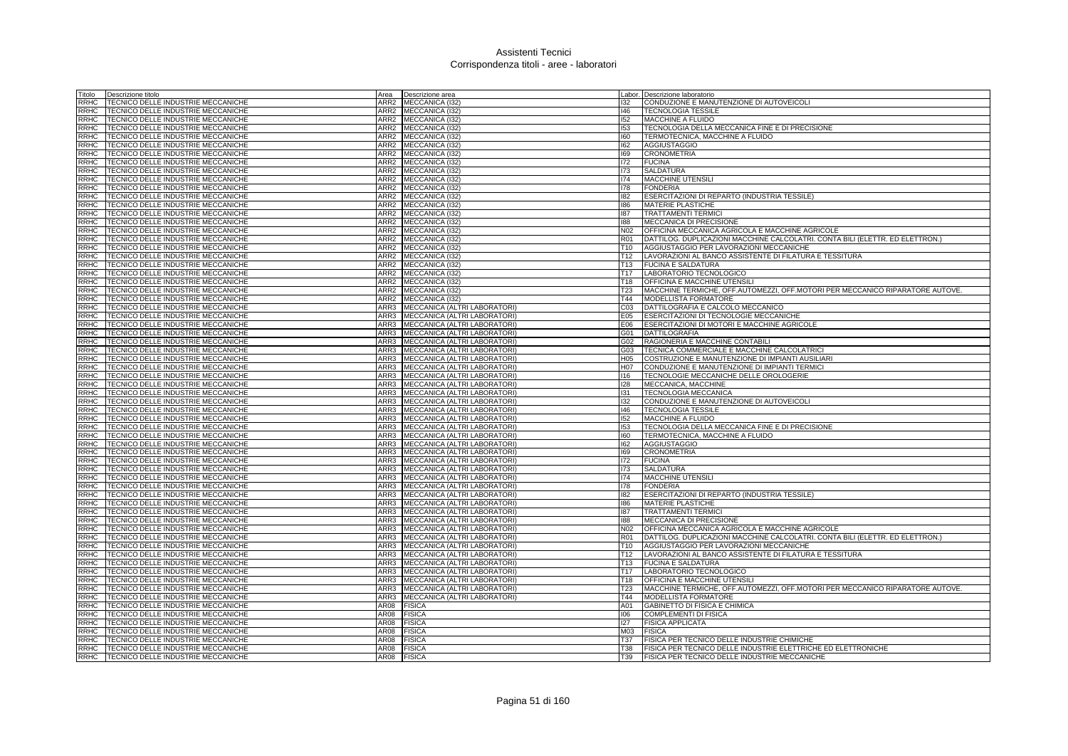| Titolo      | Descrizione titolo                               | Area             | Descrizione area             |                  | Labor. Descrizione laboratorio                                                |
|-------------|--------------------------------------------------|------------------|------------------------------|------------------|-------------------------------------------------------------------------------|
| <b>RRHC</b> | TECNICO DELLE INDUSTRIE MECCANICHE               | ARR2             | MECCANICA (132)              | 132              | CONDUZIONE E MANUTENZIONE DI AUTOVEICOLI                                      |
| RRHC        | TECNICO DELLE INDUSTRIE MECCANICHE               | ARR2             | MECCANICA (I32)              | 146              | <b>TECNOLOGIA TESSILE</b>                                                     |
| RRHC        | TECNICO DELLE INDUSTRIE MECCANICHE               | ARR2             | MECCANICA (I32)              | 152              | <b>MACCHINE A FLUIDO</b>                                                      |
| RRHC        | TECNICO DELLE INDUSTRIE MECCANICHE               | ARR2             | MECCANICA (I32)              | 153              | TECNOLOGIA DELLA MECCANICA FINE E DI PRECISIONE                               |
| RRHC        | TECNICO DELLE INDUSTRIE MECCANICHE               | ARR2             | MECCANICA (132)              | 160              | TERMOTECNICA, MACCHINE A FLUIDO                                               |
| RRHC        | TECNICO DELLE INDUSTRIE MECCANICHE               | ARR2             | MECCANICA (I32)              | 162              | <b>AGGIUSTAGGIO</b>                                                           |
| RRHC        | TECNICO DELLE INDUSTRIE MECCANICHE               | ARR2             | MECCANICA (132)              | 169              | <b>CRONOMETRIA</b>                                                            |
| RRHC        | TECNICO DELLE INDUSTRIE MECCANICHE               | ARR <sub>2</sub> | MECCANICA (132)              | 172              | <b>FUCINA</b>                                                                 |
| <b>RRHC</b> | TECNICO DELLE INDUSTRIE MECCANICHE               | ARR <sub>2</sub> | MECCANICA (132)              | 173              | <b>SALDATURA</b>                                                              |
| <b>RRHC</b> | TECNICO DELLE INDUSTRIE MECCANICHE               | ARR <sub>2</sub> | MECCANICA (I32)              | 174              | <b>MACCHINE UTENSILI</b>                                                      |
| RRHC        | TECNICO DELLE INDUSTRIE MECCANICHE               | ARR <sub>2</sub> | MECCANICA (I32)              | 178              | <b>FONDERIA</b>                                                               |
| RRHC        | TECNICO DELLE INDUSTRIE MECCANICHE               | ARR <sub>2</sub> | MECCANICA (I32)              | 182              | ESERCITAZIONI DI REPARTO (INDUSTRIA TESSILE)                                  |
| <b>RRHC</b> | TECNICO DELLE INDUSTRIE MECCANICHE               | ARR <sub>2</sub> | MECCANICA (I32)              | 186              | <b>MATERIE PLASTICHE</b>                                                      |
| <b>RRHC</b> | TECNICO DELLE INDUSTRIE MECCANICHE               | ARR <sub>2</sub> | MECCANICA (I32)              | 187              | <b>TRATTAMENTI TERMICI</b>                                                    |
| RRHC        | TECNICO DELLE INDUSTRIE MECCANICHE               | ARR <sub>2</sub> | MECCANICA (I32)              | 188              | MECCANICA DI PRECISIONE                                                       |
| <b>RRHC</b> | TECNICO DELLE INDUSTRIE MECCANICHE               | ARR <sub>2</sub> | MECCANICA (132)              | N <sub>02</sub>  | OFFICINA MECCANICA AGRICOLA E MACCHINE AGRICOLE                               |
| RRHC        | TECNICO DELLE INDUSTRIE MECCANICHE               | ARR <sub>2</sub> | MECCANICA (132)              | <b>R01</b>       | DATTILOG. DUPLICAZIONI MACCHINE CALCOLATRI. CONTA BILI (ELETTR. ED ELETTRON.) |
| RRHC        | TECNICO DELLE INDUSTRIE MECCANICHE               | ARR <sub>2</sub> | MECCANICA (I32)              | T <sub>10</sub>  | AGGIUSTAGGIO PER LAVORAZIONI MECCANICHE                                       |
| <b>RRHC</b> | TECNICO DELLE INDUSTRIE MECCANICHE               | ARR <sub>2</sub> | MECCANICA (I32)              | T <sub>12</sub>  | LAVORAZIONI AL BANCO ASSISTENTE DI FILATURA E TESSITURA                       |
| <b>RRHC</b> | <b>TECNICO DELLE INDUSTRIE MECCANICHE</b>        | ARR <sub>2</sub> | MECCANICA (132)              | T <sub>13</sub>  | <b>FUCINA E SALDATURA</b>                                                     |
| RRHC        | TECNICO DELLE INDUSTRIE MECCANICHE               | ARR <sub>2</sub> | MECCANICA (I32)              | <b>T17</b>       | LABORATORIO TECNOLOGICO                                                       |
| <b>RRHC</b> | <b><i>TECNICO DELLE INDUSTRIE MECCANICHE</i></b> | ARR2             | MECCANICA (I32)              | T <sub>18</sub>  | OFFICINA E MACCHINE UTENSILI                                                  |
| RRHC        | TECNICO DELLE INDUSTRIE MECCANICHE               | ARR <sub>2</sub> | MECCANICA (I32)              | <b>T23</b>       | MACCHINE TERMICHE, OFF.AUTOMEZZI, OFF.MOTORI PER MECCANICO RIPARATORE AUTOVE. |
| RRHC        | TECNICO DELLE INDUSTRIE MECCANICHE               | ARR <sub>2</sub> | MECCANICA (132)              | T44              | <b>MODELLISTA FORMATORE</b>                                                   |
| RRHC        | TECNICO DELLE INDUSTRIE MECCANICHE               | ARR3             | MECCANICA (ALTRI LABORATORI) | C <sub>03</sub>  | DATTILOGRAFIA E CALCOLO MECCANICO                                             |
| RRHC        | TECNICO DELLE INDUSTRIE MECCANICHE               | ARR3             | MECCANICA (ALTRI LABORATORI) | E05              | ESERCITAZIONI DI TECNOLOGIE MECCANICHE                                        |
| <b>RRHC</b> | TECNICO DELLE INDUSTRIE MECCANICHE               | ARR3             | MECCANICA (ALTRI LABORATORI) | E06              | ESERCITAZIONI DI MOTORI E MACCHINE AGRICOLE                                   |
| RRHC        | TECNICO DELLE INDUSTRIE MECCANICHE               | ARR3             | MECCANICA (ALTRI LABORATORI) | G01              | <b>DATTILOGRAFIA</b>                                                          |
| RRHC        | TECNICO DELLE INDUSTRIE MECCANICHE               | ARR3             | MECCANICA (ALTRI LABORATORI) | G02              | RAGIONERIA E MACCHINE CONTABILI                                               |
| RRHC        | TECNICO DELLE INDUSTRIE MECCANICHE               | ARR3             | MECCANICA (ALTRI LABORATORI) | G03              | TECNICA COMMERCIALE E MACCHINE CALCOLATRICI                                   |
| <b>RRHC</b> | TECNICO DELLE INDUSTRIE MECCANICHE               | ARR3             | MECCANICA (ALTRI LABORATORI) | H <sub>05</sub>  | COSTRUZIONE E MANUTENZIONE DI IMPIANTI AUSILIARI                              |
| RRHC        | TECNICO DELLE INDUSTRIE MECCANICHE               | ARR3             | MECCANICA (ALTRI LABORATORI) | H <sub>0</sub> 7 | CONDUZIONE E MANUTENZIONE DI IMPIANTI TERMICI                                 |
| RRHC        | TECNICO DELLE INDUSTRIE MECCANICHE               | ARR3             | MECCANICA (ALTRI LABORATORI) | 116              | TECNOLOGIE MECCANICHE DELLE OROLOGERIE                                        |
| <b>RRHC</b> | TECNICO DELLE INDUSTRIE MECCANICHE               | ARR3             | MECCANICA (ALTRI LABORATORI) | 128              | MECCANICA, MACCHINE                                                           |
| <b>RRHC</b> | TECNICO DELLE INDUSTRIE MECCANICHE               | ARR3             | MECCANICA (ALTRI LABORATORI) | 131              | <b>TECNOLOGIA MECCANICA</b>                                                   |
| <b>RRHC</b> | TECNICO DELLE INDUSTRIE MECCANICHE               | ARR3             | MECCANICA (ALTRI LABORATORI) | 132              | CONDUZIONE E MANUTENZIONE DI AUTOVEICOLI                                      |
| <b>RRHC</b> | TECNICO DELLE INDUSTRIE MECCANICHE               | ARR3             | MECCANICA (ALTRI LABORATORI) | 146              | <b>TECNOLOGIA TESSILE</b>                                                     |
| RRHC        | TECNICO DELLE INDUSTRIE MECCANICHE               | ARR3             | MECCANICA (ALTRI LABORATORI) | 152              | <b>MACCHINE A FLUIDO</b>                                                      |
| <b>RRHC</b> | TECNICO DELLE INDUSTRIE MECCANICHE               | ARR3             | MECCANICA (ALTRI LABORATORI) | 153              | TECNOLOGIA DELLA MECCANICA FINE E DI PRECISIONE                               |
| <b>RRHC</b> | TECNICO DELLE INDUSTRIE MECCANICHE               | ARR3             | MECCANICA (ALTRI LABORATORI) | 160              | TERMOTECNICA, MACCHINE A FLUIDO                                               |
| <b>RRHC</b> | TECNICO DELLE INDUSTRIE MECCANICHE               | ARR3             | MECCANICA (ALTRI LABORATORI) | 162              | <b>AGGIUSTAGGIO</b>                                                           |
| RRHC        | <b>TECNICO DELLE INDUSTRIE MECCANICHE</b>        | ARR3             | MECCANICA (ALTRI LABORATORI) | 169              | <b>CRONOMETRIA</b>                                                            |
| RRHC        | <b>TECNICO DELLE INDUSTRIE MECCANICHE</b>        | ARR3             | MECCANICA (ALTRI LABORATORI) | 172              | <b>FUCINA</b>                                                                 |
| RRHC        | TECNICO DELLE INDUSTRIE MECCANICHE               | ARR3             | MECCANICA (ALTRI LABORATORI) | 173              | <b>SALDATURA</b>                                                              |
| RRHC        | TECNICO DELLE INDUSTRIE MECCANICHE               | ARR3             | MECCANICA (ALTRI LABORATORI) | 174              | MACCHINE UTENSILI                                                             |
| RRHC        | TECNICO DELLE INDUSTRIE MECCANICHE               | ARR3             | MECCANICA (ALTRI LABORATORI) | 178              | <b>FONDERIA</b>                                                               |
| RRHC        | TECNICO DELLE INDUSTRIE MECCANICHE               | ARR3             | MECCANICA (ALTRI LABORATORI) | 182              | ESERCITAZIONI DI REPARTO (INDUSTRIA TESSILE)                                  |
| RRHC        | TECNICO DELLE INDUSTRIE MECCANICHE               | ARR3             | MECCANICA (ALTRI LABORATORI) | 186              | <b>MATERIE PLASTICHE</b>                                                      |
| RRHC        | TECNICO DELLE INDUSTRIE MECCANICHE               | ARR3             | MECCANICA (ALTRI LABORATORI) | 187              | <b>TRATTAMENTI TERMICI</b>                                                    |
| RRHC        | TECNICO DELLE INDUSTRIE MECCANICHE               | ARR3             | MECCANICA (ALTRI LABORATORI) | 188              | <b>MECCANICA DI PRECISIONE</b>                                                |
| RRHC        | TECNICO DELLE INDUSTRIE MECCANICHE               | ARR3             | MECCANICA (ALTRI LABORATORI) | N02              | OFFICINA MECCANICA AGRICOLA E MACCHINE AGRICOLE                               |
| RRHC        | TECNICO DELLE INDUSTRIE MECCANICHE               | ARR3             | MECCANICA (ALTRI LABORATORI  | <b>R01</b>       | DATTILOG. DUPLICAZIONI MACCHINE CALCOLATRI. CONTA BILI (ELETTR. ED ELETTRON.) |
| RRHC        | TECNICO DELLE INDUSTRIE MECCANICHE               | ARR3             | MECCANICA (ALTRI LABORATORI) | T <sub>10</sub>  | AGGIUSTAGGIO PER LAVORAZIONI MECCANICHE                                       |
| <b>RRHC</b> | TECNICO DELLE INDUSTRIE MECCANICHE               | ARR3             | MECCANICA (ALTRI LABORATORI) | T12              | LAVORAZIONI AL BANCO ASSISTENTE DI FILATURA E TESSITURA                       |
| RRHC        | TECNICO DELLE INDUSTRIE MECCANICHE               | ARR3             | MECCANICA (ALTRI LABORATORI) | T13              | <b>FUCINA E SALDATURA</b>                                                     |
| <b>RRHC</b> | TECNICO DELLE INDUSTRIE MECCANICHE               | ARR3             | MECCANICA (ALTRI LABORATORI) | T <sub>17</sub>  | LABORATORIO TECNOLOGICO                                                       |
| <b>RRHC</b> | TECNICO DELLE INDUSTRIE MECCANICHE               | ARR3             | MECCANICA (ALTRI LABORATORI) | T <sub>18</sub>  | <b>OFFICINA E MACCHINE UTENSILI</b>                                           |
| RRHC        | TECNICO DELLE INDUSTRIE MECCANICHE               | ARR3             | MECCANICA (ALTRI LABORATORI) | <b>T23</b>       | MACCHINE TERMICHE, OFF.AUTOMEZZI, OFF.MOTORI PER MECCANICO RIPARATORE AUTOVE. |
| RRHC        | TECNICO DELLE INDUSTRIE MECCANICHE               | ARR3             | MECCANICA (ALTRI LABORATORI) | T44              | <b>MODELLISTA FORMATORE</b>                                                   |
| RRHC        | TECNICO DELLE INDUSTRIE MECCANICHE               | AR08             | <b>FISICA</b>                | A01              | GABINETTO DI FISICA E CHIMICA                                                 |
| <b>RRHC</b> | TECNICO DELLE INDUSTRIE MECCANICHE               | AR08             | <b>FISICA</b>                | 106              | COMPLEMENTI DI FISICA                                                         |
| RRHC        | TECNICO DELLE INDUSTRIE MECCANICHE               | <b>AR08</b>      | <b>FISICA</b>                | 127              | <b>FISICA APPLICATA</b>                                                       |
| RRHC        | TECNICO DELLE INDUSTRIE MECCANICHE               | AR08             | <b>FISICA</b>                | M03              | <b>FISICA</b>                                                                 |
| RRHC        | TECNICO DELLE INDUSTRIE MECCANICHE               | AR08             | <b>FISICA</b>                | T37              | FISICA PER TECNICO DELLE INDUSTRIE CHIMICHE                                   |
| RRHC        | TECNICO DELLE INDUSTRIE MECCANICHE               | <b>AR08</b>      | <b>FISICA</b>                | <b>T38</b>       | FISICA PER TECNICO DELLE INDUSTRIE ELETTRICHE ED ELETTRONICHE                 |
| <b>RRHC</b> | TECNICO DELLE INDUSTRIE MECCANICHE               | <b>AR08</b>      | <b>FISICA</b>                | T39              | FISICA PER TECNICO DELLE INDUSTRIE MECCANICHE                                 |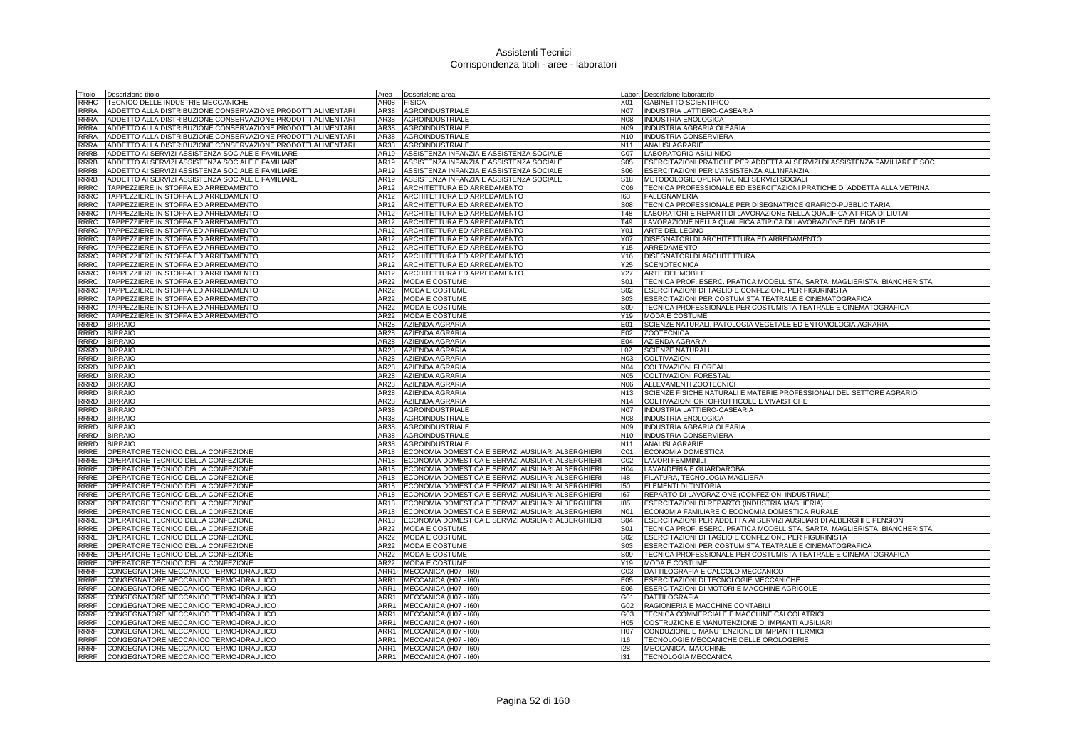| Titolo      | Descrizione titolo                                           | Area        | Descrizione area                                        |                 | Labor. Descrizione laboratorio                                              |
|-------------|--------------------------------------------------------------|-------------|---------------------------------------------------------|-----------------|-----------------------------------------------------------------------------|
| RRHC        | TECNICO DELLE INDUSTRIE MECCANICHE                           | AR08        | <b>FISICA</b>                                           | X01             | <b>GABINETTO SCIENTIFICO</b>                                                |
| RRRA        | ADDETTO ALLA DISTRIBUZIONE CONSERVAZIONE PRODOTTI ALIMENTARI | AR38        | <b>AGROINDUSTRIALE</b>                                  | <b>N07</b>      | INDUSTRIA LATTIERO-CASEARIA                                                 |
| <b>RRRA</b> | ADDETTO ALLA DISTRIBUZIONE CONSERVAZIONE PRODOTTI ALIMENTARI | AR38        | <b>AGROINDUSTRIALE</b>                                  | N08             | <b>INDUSTRIA ENOLOGICA</b>                                                  |
| <b>RRRA</b> | ADDETTO ALLA DISTRIBUZIONE CONSERVAZIONE PRODOTTI ALIMENTARI | AR38        | <b>AGROINDUSTRIALE</b>                                  | N09             | INDUSTRIA AGRARIA OLEARIA                                                   |
| <b>RRRA</b> | ADDETTO ALLA DISTRIBUZIONE CONSERVAZIONE PRODOTTI ALIMENTARI | AR38        | AGROINDUSTRIALE                                         | N <sub>10</sub> | <b>INDUSTRIA CONSERVIERA</b>                                                |
| <b>RRRA</b> | ADDETTO ALLA DISTRIBUZIONE CONSERVAZIONE PRODOTTI ALIMENTARI | AR38        | AGROINDUSTRIALE                                         | N <sub>11</sub> | <b>ANALISI AGRARIE</b>                                                      |
| <b>RRRB</b> | ADDETTO AI SERVIZI ASSISTENZA SOCIALE E FAMILIARE            | AR19        | ASSISTENZA INFANZIA E ASSISTENZA SOCIALE                | C07             | LABORATORIO ASILI NIDO                                                      |
| <b>RRRB</b> | ADDETTO AI SERVIZI ASSISTENZA SOCIALE E FAMILIARE            | AR19        | ASSISTENZA INFANZIA E ASSISTENZA SOCIALE                | S <sub>05</sub> | ESERCITAZIONI PRATICHE PER ADDETTA AI SERVIZI DI ASSISTENZA FAMILIARE E SOC |
| <b>RRRB</b> | ADDETTO AI SERVIZI ASSISTENZA SOCIALE E FAMILIARE            | AR19        | ASSISTENZA INFANZIA E ASSISTENZA SOCIALE                | S06             | ESERCITAZIONI PER L'ASSISTENZA ALL'INFANZIA                                 |
| <b>RRRB</b> | ADDETTO AI SERVIZI ASSISTENZA SOCIALE E FAMILIARE            | AR19        | ASSISTENZA INFANZIA E ASSISTENZA SOCIALE                | S <sub>18</sub> | METODOLOGIE OPERATIVE NEI SERVIZI SOCIALI                                   |
| <b>RRRC</b> | TAPPEZZIERE IN STOFFA ED ARREDAMENTO                         | AR12        | ARCHITETTURA ED ARREDAMENTO                             | C <sub>06</sub> | TECNICA PROFESSIONALE ED ESERCITAZIONI PRATICHE DI ADDETTA ALLA VETRINA     |
| <b>RRRC</b> | TAPPEZZIERE IN STOFFA ED ARREDAMENTO                         | AR12        | ARCHITETTURA ED ARREDAMENTO                             | 163             | <b>FALEGNAMERIA</b>                                                         |
| RRRC        | TAPPEZZIERE IN STOFFA ED ARREDAMENTO                         | AR12        | ARCHITETTURA ED ARREDAMENTO                             | <b>S08</b>      | TECNICA PROFESSIONALE PER DISEGNATRICE GRAFICO-PUBBLICITARIA                |
|             |                                                              |             |                                                         |                 |                                                                             |
| RRRC        | TAPPEZZIERE IN STOFFA ED ARREDAMENTO                         | AR12        | ARCHITETTURA ED ARREDAMENTO                             | T48             | LABORATORI E REPARTI DI LAVORAZIONE NELLA QUALIFICA ATIPICA DI LIUTAI       |
| RRRC        | TAPPEZZIERE IN STOFFA ED ARREDAMENTO                         | AR12        | ARCHITETTURA ED ARREDAMENTO                             | T49             | LAVORAZIONE NELLA QUALIFICA ATIPICA DI LAVORAZIONE DEL MOBILE               |
| RRRC        | TAPPEZZIERE IN STOFFA ED ARREDAMENTO                         | AR12        | ARCHITETTURA ED ARREDAMENTO                             | Y01             | <b>ARTE DEL LEGNO</b>                                                       |
| RRRC        | TAPPEZZIERE IN STOFFA ED ARREDAMENTO                         | AR12        | ARCHITETTURA ED ARREDAMENTO                             | Y07             | DISEGNATORI DI ARCHITETTURA ED ARREDAMENTO                                  |
| <b>RRRC</b> | TAPPEZZIERE IN STOFFA ED ARREDAMENTO                         | AR12        | ARCHITETTURA ED ARREDAMENTO                             | Y15             | ARREDAMENTO                                                                 |
| <b>RRRC</b> | TAPPEZZIERE IN STOFFA ED ARREDAMENTO                         | AR12        | ARCHITETTURA ED ARREDAMENTO                             | Y16             | DISEGNATORI DI ARCHITETTURA                                                 |
| <b>RRRC</b> | TAPPEZZIERE IN STOFFA ED ARREDAMENTO                         | AR12        | ARCHITETTURA ED ARREDAMENTO                             | Y25             | <b>SCENOTECNICA</b>                                                         |
| RRRC        | TAPPEZZIERE IN STOFFA ED ARREDAMENTO                         | AR12        | ARCHITETTURA ED ARREDAMENTO                             | Y27             | <b>ARTE DEL MOBILE</b>                                                      |
| <b>RRRC</b> | TAPPEZZIERE IN STOFFA ED ARREDAMENTO                         | AR22        | MODA E COSTUME                                          | S01             | TECNICA PROF. ESERC. PRATICA MODELLISTA, SARTA, MAGLIERISTA, BIANCHERISTA   |
| <b>RRRC</b> | TAPPEZZIERE IN STOFFA ED ARREDAMENTO                         | AR22        | MODA E COSTUME                                          | S <sub>02</sub> | ESERCITAZIONI DI TAGLIO E CONFEZIONE PER FIGURINISTA                        |
| RRRC        | TAPPEZZIERE IN STOFFA ED ARREDAMENTO                         | <b>AR22</b> | <b>MODA E COSTUME</b>                                   | S03             | ESERCITAZIONI PER COSTUMISTA TEATRALE E CINEMATOGRAFICA                     |
| <b>RRRC</b> | TAPPEZZIERE IN STOFFA ED ARREDAMENTO                         | AR22        | MODA E COSTUME                                          | S09             | TECNICA PROFESSIONALE PER COSTUMISTA TEATRALE E CINEMATOGRAFICA             |
| <b>RRRC</b> | TAPPEZZIERE IN STOFFA ED ARREDAMENTO                         | AR22        | MODA E COSTUME                                          | Y19             | MODA E COSTUME                                                              |
| RRRD        | <b>BIRRAIO</b>                                               | AR28        | AZIENDA AGRARIA                                         | E01             | SCIENZE NATURALI, PATOLOGIA VEGETALE ED ENTOMOLOGIA AGRARIA                 |
| RRRD        | <b>BIRRAIO</b>                                               | AR28        | AZIENDA AGRARIA                                         | E02             | <b>ZOOTECNICA</b>                                                           |
| RRRD        | <b>BIRRAIO</b>                                               | AR28        | <b>AZIENDA AGRARIA</b>                                  | E04             | AZIENDA AGRARIA                                                             |
| <b>RRRD</b> | <b>BIRRAIO</b>                                               |             | AR28 AZIENDA AGRARIA                                    | L <sub>02</sub> | <b>SCIENZE NATURALI</b>                                                     |
| <b>RRRD</b> | <b>BIRRAIO</b>                                               | AR28        | <b>AZIENDA AGRARIA</b>                                  | <b>N03</b>      | <b>COLTIVAZIONI</b>                                                         |
| <b>RRRD</b> | <b>BIRRAIO</b>                                               | AR28        | <b>AZIENDA AGRARIA</b>                                  | N04             | <b>COLTIVAZIONI FLOREALI</b>                                                |
| RRRD        | <b>BIRRAIO</b>                                               | AR28        | <b>AZIENDA AGRARIA</b>                                  | N05             | <b>COLTIVAZIONI FORESTALI</b>                                               |
| <b>RRRD</b> | <b>BIRRAIO</b>                                               | AR28        | AZIENDA AGRARIA                                         | N06             | ALLEVAMENTI ZOOTECNICI                                                      |
| RRRD        | <b>BIRRAIO</b>                                               | AR28        | <b>AZIENDA AGRARIA</b>                                  | N <sub>13</sub> | SCIENZE FISICHE NATURALI E MATERIE PROFESSIONALI DEL SETTORE AGRARIO        |
| <b>RRRD</b> | <b>BIRRAIO</b>                                               | AR28        | <b>AZIENDA AGRARIA</b>                                  |                 | N14 COLTIVAZIONI ORTOFRUTTICOLE E VIVAISTICHE                               |
| RRRD        | <b>BIRRAIO</b>                                               | AR38        | <b>AGROINDUSTRIALE</b>                                  | <b>N07</b>      | <b>INDUSTRIA LATTIERO-CASEARIA</b>                                          |
| <b>RRRD</b> | <b>BIRRAIO</b>                                               | AR38        | AGROINDUSTRIALE                                         | N08             | <b>INDUSTRIA ENOLOGICA</b>                                                  |
| <b>RRRD</b> | <b>BIRRAIO</b>                                               | AR38        | <b>AGROINDUSTRIALE</b>                                  | N09             | INDUSTRIA AGRARIA OLEARIA                                                   |
| RRRD        | <b>BIRRAIO</b>                                               | AR38        | <b>AGROINDUSTRIALE</b>                                  | N <sub>10</sub> | INDUSTRIA CONSERVIERA                                                       |
| RRRD        | <b>BIRRAIO</b>                                               | AR38        | AGROINDUSTRIALE                                         | N11             | <b>ANALISI AGRARIE</b>                                                      |
| RRRE        | OPERATORE TECNICO DELLA CONFEZIONE                           | AR18        | ECONOMIA DOMESTICA E SERVIZI AUSILIARI ALBERGHIERI      | C01             | ECONOMIA DOMESTICA                                                          |
| RRRE        | OPERATORE TECNICO DELLA CONFEZIONE                           | AR18        | ECONOMIA DOMESTICA E SERVIZI AUSILIARI ALBERGHIERI      | CO <sub>2</sub> | <b>LAVORI FEMMINILI</b>                                                     |
| RRRE        | OPERATORE TECNICO DELLA CONFEZIONE                           | AR18        | ECONOMIA DOMESTICA E SERVIZI AUSILIARI ALBERGHIERI      | H <sub>04</sub> | LAVANDERIA E GUARDAROBA                                                     |
| RRRE        | OPERATORE TECNICO DELLA CONFEZIONE                           | AR18        | ECONOMIA DOMESTICA E SERVIZI AUSILIARI ALBERGHIERI      | $ 148\rangle$   | FILATURA, TECNOLOGIA MAGLIERA                                               |
| RRRE        | OPERATORE TECNICO DELLA CONFEZIONE                           | AR18        | ECONOMIA DOMESTICA E SERVIZI AUSILIARI ALBERGHIERI      | 150             | ELEMENTI DI TINTORIA                                                        |
| RRRE        | OPERATORE TECNICO DELLA CONFEZIONE                           |             | AR18 ECONOMIA DOMESTICA E SERVIZI AUSILIARI ALBERGHIERI | 167             | REPARTO DI LAVORAZIONE (CONFEZIONI INDUSTRIALI)                             |
| RRRE        | OPERATORE TECNICO DELLA CONFEZIONE                           | AR18        | ECONOMIA DOMESTICA E SERVIZI AUSILIARI ALBERGHIERI      | 185             | ESERCITAZIONI DI REPARTO (INDUSTRIA MAGLIERIA)                              |
| RRRE        | OPERATORE TECNICO DELLA CONFEZIONE                           | AR18        | ECONOMIA DOMESTICA E SERVIZI AUSILIARI ALBERGHIERI      | N01             | ECONOMIA FAMILIARE O ECONOMIA DOMESTICA RURALE                              |
| RRRE        | OPERATORE TECNICO DELLA CONFEZIONE                           | AR18        | ECONOMIA DOMESTICA E SERVIZI AUSILIARI ALBERGHIERI      | <b>S04</b>      | ESERCITAZIONI PER ADDETTA AI SERVIZI AUSILIARI DI ALBERGHI E PENSIONI       |
| RRRE        | OPERATORE TECNICO DELLA CONFEZIONE                           | AR22        | MODA E COSTUME                                          | S01             | TECNICA PROF. ESERC. PRATICA MODELLISTA, SARTA, MAGLIERISTA, BIANCHERISTA   |
| RRRE        | OPERATORE TECNICO DELLA CONFEZIONE                           | <b>AR22</b> | <b>MODA E COSTUME</b>                                   | S02             | ESERCITAZIONI DI TAGLIO E CONFEZIONE PER FIGURINISTA                        |
| RRRE        | OPERATORE TECNICO DELLA CONFEZIONE                           | AR22        | <b>MODA E COSTUME</b>                                   | S03             | ESERCITAZIONI PER COSTUMISTA TEATRALE E CINEMATOGRAFICA                     |
| RRRE        | OPERATORE TECNICO DELLA CONFEZIONE                           | AR22        | MODA E COSTUME                                          | S09             | TECNICA PROFESSIONALE PER COSTUMISTA TEATRALE E CINEMATOGRAFICA             |
| RRRE        | OPERATORE TECNICO DELLA CONFEZIONE                           | AR22        | <b>MODA E COSTUME</b>                                   | Y19             | MODA E COSTUME                                                              |
| <b>RRRF</b> | CONGEGNATORE MECCANICO TERMO-IDRAULICO                       |             | ARR1 MECCANICA (H07 - 160)                              | CO <sub>3</sub> | DATTILOGRAFIA E CALCOLO MECCANICO                                           |
| <b>RRRF</b> | CONGEGNATORE MECCANICO TERMO-IDRAULICO                       |             | ARR1 MECCANICA (H07 - 160)                              | E05             | ESERCITAZIONI DI TECNOLOGIE MECCANICHE                                      |
| <b>RRRF</b> | CONGEGNATORE MECCANICO TERMO-IDRAULICO                       | ARR1        | MECCANICA (H07 - I60)                                   | E06             | ESERCITAZIONI DI MOTORI E MACCHINE AGRICOLE                                 |
| <b>RRRF</b> | CONGEGNATORE MECCANICO TERMO-IDRAULICO                       | ARR1        | MECCANICA (H07 - I60)                                   | G01             | <b>DATTILOGRAFIA</b>                                                        |
| <b>RRRF</b> | CONGEGNATORE MECCANICO TERMO-IDRAULICO                       |             | ARR1 MECCANICA (H07 - 160)                              | G02             | RAGIONERIA E MACCHINE CONTABILI                                             |
| <b>RRRF</b> | CONGEGNATORE MECCANICO TERMO-IDRAULICO                       |             | ARR1 MECCANICA (H07 - 160)                              | G03             | TECNICA COMMERCIALE E MACCHINE CALCOLATRICI                                 |
| <b>RRRF</b> | CONGEGNATORE MECCANICO TERMO-IDRAULICO                       | ARR1        | MECCANICA (H07 - I60)                                   | H <sub>05</sub> | COSTRUZIONE E MANUTENZIONE DI IMPIANTI AUSILIARI                            |
| <b>RRRF</b> | CONGEGNATORE MECCANICO TERMO-IDRAULICO                       | ARR1        | MECCANICA (H07 - I60)                                   | H <sub>07</sub> | CONDUZIONE E MANUTENZIONE DI IMPIANTI TERMICI                               |
| <b>RRRF</b> | CONGEGNATORE MECCANICO TERMO-IDRAULICO                       |             | ARR1 MECCANICA (H07 - 160)                              | 116             | TECNOLOGIE MECCANICHE DELLE OROLOGERIE                                      |
| <b>RRRF</b> | CONGEGNATORE MECCANICO TERMO-IDRAULICO                       |             | ARR1 MECCANICA (H07 - 160)                              | 128             | MECCANICA, MACCHINE                                                         |
| <b>RRRF</b> | CONGEGNATORE MECCANICO TERMO-IDRAULICO                       |             | ARR1 MECCANICA (H07 - 160)                              | 131             | <b>TECNOLOGIA MECCANICA</b>                                                 |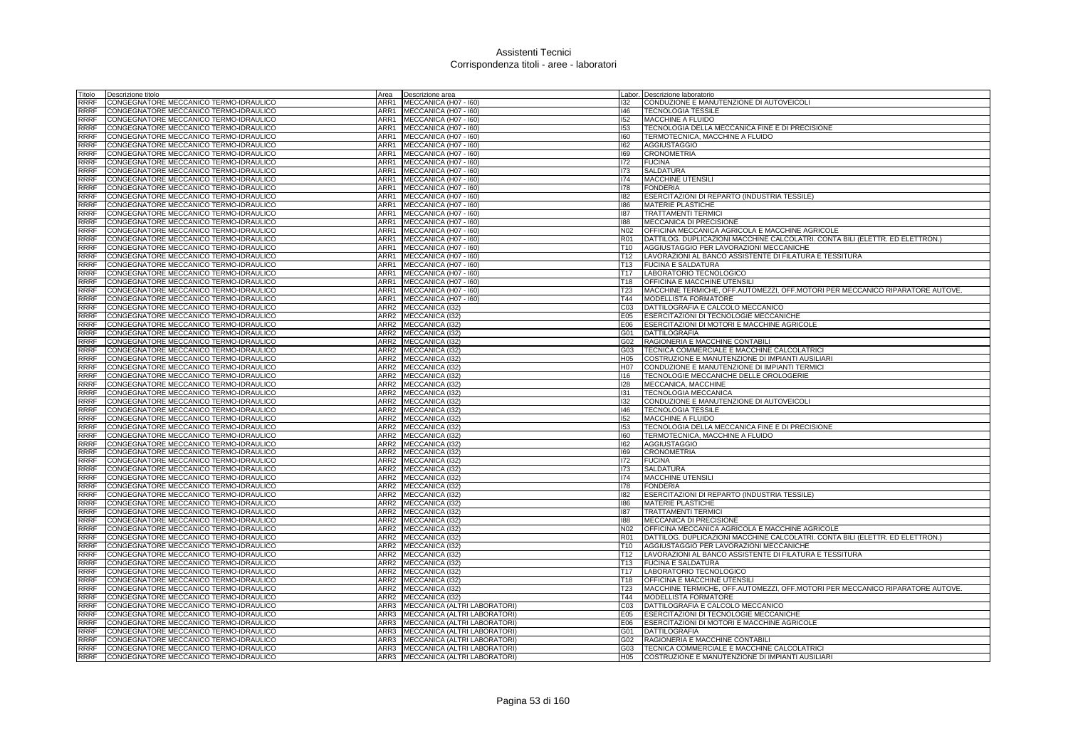| Titolo                     | Descrizione titolo                                                               | Area                     | Descrizione area                                                    |                        | Labor. Descrizione laboratorio                                                                                                   |
|----------------------------|----------------------------------------------------------------------------------|--------------------------|---------------------------------------------------------------------|------------------------|----------------------------------------------------------------------------------------------------------------------------------|
| RRRF                       | CONGEGNATORE MECCANICO TERMO-IDRAULICO                                           | ARR1                     | MECCANICA (H07 - I60)                                               | 132                    | CONDUZIONE E MANUTENZIONE DI AUTOVEICOLI                                                                                         |
| RRRF                       | CONGEGNATORE MECCANICO TERMO-IDRAULICO                                           | ARR1                     | MECCANICA (H07 - I60)                                               | 146                    | <b>TECNOLOGIA TESSILE</b>                                                                                                        |
| RRRF                       | CONGEGNATORE MECCANICO TERMO-IDRAULICO                                           |                          | ARR1 MECCANICA (H07 - 160)                                          | 152                    | MACCHINE A FLUIDO                                                                                                                |
| RRRF                       | CONGEGNATORE MECCANICO TERMO-IDRAULICO                                           |                          | ARR1 MECCANICA (H07 - 160)                                          | 153                    | TECNOLOGIA DELLA MECCANICA FINE E DI PRECISIONE                                                                                  |
| RRRF                       | CONGEGNATORE MECCANICO TERMO-IDRAULICO                                           | ARR1                     | MECCANICA (H07 - I60)                                               | 160                    | TERMOTECNICA, MACCHINE A FLUIDO                                                                                                  |
| RRRF                       | CONGEGNATORE MECCANICO TERMO-IDRAULICO                                           | ARR1                     | MECCANICA (H07 - 160)                                               | 162                    | AGGIUSTAGGIO                                                                                                                     |
| <b>RRRF</b>                | CONGEGNATORE MECCANICO TERMO-IDRAULICO                                           | ARR1                     | MECCANICA (H07 - I60)                                               | 169                    | <b>CRONOMETRIA</b>                                                                                                               |
| <b>RRRF</b>                | CONGEGNATORE MECCANICO TERMO-IDRAULICO                                           | ARR1                     | MECCANICA (H07 - I60)                                               | 172                    | <b>FUCINA</b>                                                                                                                    |
| RRRF                       | CONGEGNATORE MECCANICO TERMO-IDRAULICO                                           | ARR1                     | MECCANICA (H07 - I60)                                               | 173                    | <b>SALDATURA</b>                                                                                                                 |
| <b>RRRF</b>                | CONGEGNATORE MECCANICO TERMO-IDRAULICO                                           | ARR1                     | MECCANICA (H07 - 160)                                               | 174                    | <b>MACCHINE UTENSILI</b>                                                                                                         |
| <b>RRRF</b>                | CONGEGNATORE MECCANICO TERMO-IDRAULICO                                           | ARR1                     | MECCANICA (H07 - I60)                                               | 178                    | <b>FONDERIA</b>                                                                                                                  |
| <b>RRRF</b>                | CONGEGNATORE MECCANICO TERMO-IDRAULICO                                           | ARR1                     | MECCANICA (H07 - I60)                                               | 182                    | ESERCITAZIONI DI REPARTO (INDUSTRIA TESSILE)                                                                                     |
| RRRF                       | CONGEGNATORE MECCANICO TERMO-IDRAULICO                                           | ARR1                     | MECCANICA (H07 - 160)                                               | 186                    | <b>MATERIE PLASTICHE</b>                                                                                                         |
| RRRF                       | CONGEGNATORE MECCANICO TERMO-IDRAULICO                                           | ARR1                     | MECCANICA (H07 - I60)                                               | 187                    | <b>TRATTAMENTI TERMICI</b>                                                                                                       |
| RRRF<br><b>RRRF</b>        | CONGEGNATORE MECCANICO TERMO-IDRAULICO                                           | ARR1<br>ARR1             | MECCANICA (H07 - I60)                                               | 188<br>N <sub>02</sub> | MECCANICA DI PRECISIONE                                                                                                          |
| RRRF                       | CONGEGNATORE MECCANICO TERMO-IDRAULICO                                           | ARR1                     | MECCANICA (H07 - I60)<br>MECCANICA (H07 - I60)                      | <b>R01</b>             | OFFICINA MECCANICA AGRICOLA E MACCHINE AGRICOLE<br>DATTILOG. DUPLICAZIONI MACCHINE CALCOLATRI. CONTA BILI (ELETTR. ED ELETTRON.) |
| RRRF                       | CONGEGNATORE MECCANICO TERMO-IDRAULICO<br>CONGEGNATORE MECCANICO TERMO-IDRAULICO | ARR1                     | MECCANICA (H07 - I60)                                               | T <sub>10</sub>        | AGGIUSTAGGIO PER LAVORAZIONI MECCANICHE                                                                                          |
| <b>RRRF</b>                | CONGEGNATORE MECCANICO TERMO-IDRAULICO                                           | ARR1                     | MECCANICA (H07 - I60)                                               | T <sub>12</sub>        | LAVORAZIONI AL BANCO ASSISTENTE DI FILATURA E TESSITURA                                                                          |
| <b>RRRF</b>                | CONGEGNATORE MECCANICO TERMO-IDRAULICO                                           | ARR1                     | MECCANICA (H07 - I60)                                               | T <sub>13</sub>        | <b>FUCINA E SALDATURA</b>                                                                                                        |
| RRRF                       | CONGEGNATORE MECCANICO TERMO-IDRAULICO                                           |                          | ARR1 MECCANICA (H07 - 160)                                          | T17                    | LABORATORIO TECNOLOGICO                                                                                                          |
| <b>RRRF</b>                | CONGEGNATORE MECCANICO TERMO-IDRAULICO                                           | ARR1                     | MECCANICA (H07 - I60)                                               | T18                    | OFFICINA E MACCHINE UTENSIL                                                                                                      |
| RRRF                       | CONGEGNATORE MECCANICO TERMO-IDRAULICO                                           | ARR1                     | MECCANICA (H07 - 160)                                               | T23                    | MACCHINE TERMICHE, OFF.AUTOMEZZI, OFF.MOTORI PER MECCANICO RIPARATORE AUTOVE.                                                    |
| RRRF                       | CONGEGNATORE MECCANICO TERMO-IDRAULICO                                           | ARR1                     | MECCANICA (H07 - I60)                                               | T44                    | MODELLISTA FORMATORE                                                                                                             |
| RRRF                       | CONGEGNATORE MECCANICO TERMO-IDRAULICO                                           | ARR <sub>2</sub>         | MECCANICA (I32)                                                     | C <sub>03</sub>        | DATTILOGRAFIA E CALCOLO MECCANICO                                                                                                |
| RRRF                       | CONGEGNATORE MECCANICO TERMO-IDRAULICO                                           | ARR <sub>2</sub>         | MECCANICA (132)                                                     | E05                    | ESERCITAZIONI DI TECNOLOGIE MECCANICHE                                                                                           |
| RRRF                       | CONGEGNATORE MECCANICO TERMO-IDRAULICO                                           | ARR <sub>2</sub>         | MECCANICA (I32)                                                     | E06                    | ESERCITAZIONI DI MOTORI E MACCHINE AGRICOLE                                                                                      |
| RRRF                       | CONGEGNATORE MECCANICO TERMO-IDRAULICO                                           | ARR <sub>2</sub>         | MECCANICA (I32)                                                     | G01                    | DATTILOGRAFIA                                                                                                                    |
| RRRF                       | CONGEGNATORE MECCANICO TERMO-IDRAULICO                                           |                          | ARR2 MECCANICA (I32)                                                | G02                    | RAGIONERIA E MACCHINE CONTABILI                                                                                                  |
| <b>RRRF</b>                | CONGEGNATORE MECCANICO TERMO-IDRAULICO                                           |                          | ARR2 MECCANICA (I32)                                                | G03                    | TECNICA COMMERCIALE E MACCHINE CALCOLATRICI                                                                                      |
| RRRF                       | CONGEGNATORE MECCANICO TERMO-IDRAULICO                                           | ARR <sub>2</sub>         | MECCANICA (132)                                                     | H05                    | COSTRUZIONE E MANUTENZIONE DI IMPIANTI AUSILIARI                                                                                 |
| <b>RRRF</b>                | CONGEGNATORE MECCANICO TERMO-IDRAULICO                                           | ARR <sub>2</sub>         | MECCANICA (132)                                                     | H <sub>0</sub> 7       | CONDUZIONE E MANUTENZIONE DI IMPIANTI TERMICI                                                                                    |
| RRRF                       | CONGEGNATORE MECCANICO TERMO-IDRAULICO                                           | ARR <sub>2</sub>         | MECCANICA (132)                                                     | 116                    | TECNOLOGIE MECCANICHE DELLE OROLOGERIE                                                                                           |
| RRRF                       | CONGEGNATORE MECCANICO TERMO-IDRAULICO                                           | ARR <sub>2</sub>         | MECCANICA (I32)                                                     | 128                    | MECCANICA, MACCHINE                                                                                                              |
| RRRF                       | CONGEGNATORE MECCANICO TERMO-IDRAULICO                                           | ARR <sub>2</sub>         | MECCANICA (I32)                                                     | 131                    | TECNOLOGIA MECCANICA                                                                                                             |
| RRRF                       | CONGEGNATORE MECCANICO TERMO-IDRAULICO                                           | ARR <sub>2</sub>         | MECCANICA (I32)                                                     | 132                    | CONDUZIONE E MANUTENZIONE DI AUTOVEICOLI                                                                                         |
| RRRF                       | CONGEGNATORE MECCANICO TERMO-IDRAULICO                                           | ARR <sub>2</sub>         | MECCANICA (I32)                                                     | 146                    | <b>TECNOLOGIA TESSILE</b>                                                                                                        |
| <b>RRRF</b>                | CONGEGNATORE MECCANICO TERMO-IDRAULICO                                           |                          | ARR2 MECCANICA (I32)                                                | 152                    | <b>MACCHINE A FLUIDO</b>                                                                                                         |
| RRRF                       | CONGEGNATORE MECCANICO TERMO-IDRAULICO                                           |                          | ARR2 MECCANICA (I32)                                                | 153                    | TECNOLOGIA DELLA MECCANICA FINE E DI PRECISIONE                                                                                  |
| <b>RRRF</b>                | CONGEGNATORE MECCANICO TERMO-IDRAULICO                                           | ARR <sub>2</sub>         | MECCANICA (I32)                                                     | 160                    | TERMOTECNICA, MACCHINE A FLUIDO                                                                                                  |
| RRRF                       | CONGEGNATORE MECCANICO TERMO-IDRAULICO                                           | ARR <sub>2</sub>         | <b>MECCANICA (I32)</b>                                              | 162                    | <b>AGGIUSTAGGIO</b>                                                                                                              |
| <b>RRRF</b><br><b>RRRF</b> | CONGEGNATORE MECCANICO TERMO-IDRAULICO<br>CONGEGNATORE MECCANICO TERMO-IDRAULICO | ARR <sub>2</sub><br>ARR2 | MECCANICA (I32)<br>MECCANICA (I32)                                  | 169<br>172             | <b>CRONOMETRIA</b><br><b>FUCINA</b>                                                                                              |
| RRRF                       | CONGEGNATORE MECCANICO TERMO-IDRAULICO                                           | ARR <sub>2</sub>         | MECCANICA (I32)                                                     | 173                    | SALDATURA                                                                                                                        |
| RRRF                       | CONGEGNATORE MECCANICO TERMO-IDRAULICO                                           | ARR <sub>2</sub>         | MECCANICA (I32)                                                     | 174                    | MACCHINE UTENSILI                                                                                                                |
| RRRF                       | CONGEGNATORE MECCANICO TERMO-IDRAULICO                                           | ARR2                     | MECCANICA (I32)                                                     | 178                    | <b>FONDERIA</b>                                                                                                                  |
| RRRF                       | CONGEGNATORE MECCANICO TERMO-IDRAULICO                                           | ARR2                     | MECCANICA (I32)                                                     | 182                    | ESERCITAZIONI DI REPARTO (INDUSTRIA TESSILE)                                                                                     |
| RRRF                       | CONGEGNATORE MECCANICO TERMO-IDRAULICO                                           | ARR2                     | MECCANICA (I32)                                                     | 186                    | MATERIE PLASTICHE                                                                                                                |
| RRRF                       | CONGEGNATORE MECCANICO TERMO-IDRAULICO                                           | ARR <sub>2</sub>         | MECCANICA (I32)                                                     | 187                    | <b>TRATTAMENTI TERMICI</b>                                                                                                       |
| RRRF                       | CONGEGNATORE MECCANICO TERMO-IDRAULICO                                           | ARR <sub>2</sub>         | MECCANICA (I32)                                                     | 188                    | MECCANICA DI PRECISIONE                                                                                                          |
| RRRF                       | CONGEGNATORE MECCANICO TERMO-IDRAULICO                                           | ARR <sub>2</sub>         | MECCANICA (132)                                                     | N02                    | OFFICINA MECCANICA AGRICOLA E MACCHINE AGRICOLE                                                                                  |
| RRRF                       | CONGEGNATORE MECCANICO TERMO-IDRAULICO                                           |                          | ARR2 MECCANICA (I32)                                                | <b>R01</b>             | DATTILOG. DUPLICAZIONI MACCHINE CALCOLATRI. CONTA BILI (ELETTR. ED ELETTRON.)                                                    |
| RRRF                       | CONGEGNATORE MECCANICO TERMO-IDRAULICO                                           | ARR <sub>2</sub>         | MECCANICA (I32)                                                     | T <sub>10</sub>        | AGGIUSTAGGIO PER LAVORAZIONI MECCANICHE                                                                                          |
| <b>RRRF</b>                | CONGEGNATORE MECCANICO TERMO-IDRAULICO                                           | ARR2                     | <b>MECCANICA (I32)</b>                                              | T <sub>12</sub>        | LAVORAZIONI AL BANCO ASSISTENTE DI FILATURA E TESSITURA                                                                          |
| <b>RRRF</b>                | CONGEGNATORE MECCANICO TERMO-IDRAULICO                                           | ARR <sub>2</sub>         | MECCANICA (I32)                                                     | T <sub>13</sub>        | <b>FUCINA E SALDATURA</b>                                                                                                        |
| <b>RRRF</b>                | CONGEGNATORE MECCANICO TERMO-IDRAULICO                                           | ARR2                     | MECCANICA (I32)                                                     | T17                    | LABORATORIO TECNOLOGICO                                                                                                          |
| RRRF                       | CONGEGNATORE MECCANICO TERMO-IDRAULICO                                           | ARR2                     | MECCANICA (I32)                                                     | T18                    | OFFICINA E MACCHINE UTENSIL                                                                                                      |
| RRRF                       | CONGEGNATORE MECCANICO TERMO-IDRAULICO                                           | ARR <sub>2</sub>         | MECCANICA (I32)                                                     | T23                    | MACCHINE TERMICHE, OFF.AUTOMEZZI, OFF.MOTORI PER MECCANICO RIPARATORE AUTOVE.                                                    |
| RRRF                       | CONGEGNATORE MECCANICO TERMO-IDRAULICO                                           | ARR <sub>2</sub>         | MECCANICA (132)                                                     | T44                    | MODELLISTA FORMATORE                                                                                                             |
| RRRF                       | CONGEGNATORE MECCANICO TERMO-IDRAULICO                                           | ARR3                     | MECCANICA (ALTRI LABORATORI)                                        | CO <sub>3</sub>        | DATTILOGRAFIA E CALCOLO MECCANICO                                                                                                |
| RRRF                       | CONGEGNATORE MECCANICO TERMO-IDRAULICO                                           |                          | ARR3 MECCANICA (ALTRI LABORATORI)                                   | E05                    | ESERCITAZIONI DI TECNOLOGIE MECCANICHE                                                                                           |
| RRRF                       | CONGEGNATORE MECCANICO TERMO-IDRAULICO                                           | ARR3                     | MECCANICA (ALTRI LABORATORI)                                        | E06                    | ESERCITAZIONI DI MOTORI E MACCHINE AGRICOLE                                                                                      |
| RRRF                       | CONGEGNATORE MECCANICO TERMO-IDRAULICO                                           | ARR3                     | MECCANICA (ALTRI LABORATORI)                                        | G01                    | <b>DATTILOGRAFIA</b>                                                                                                             |
| <b>RRRF</b><br><b>RRRF</b> | CONGEGNATORE MECCANICO TERMO-IDRAULICO                                           | ARR3                     | MECCANICA (ALTRI LABORATORI)<br>ARR3   MECCANICA (ALTRI LABORATORI) | G02<br>G03             | RAGIONERIA E MACCHINE CONTABILI<br>TECNICA COMMERCIALE E MACCHINE CALCOLATRICI                                                   |
| <b>RRRF</b>                | CONGEGNATORE MECCANICO TERMO-IDRAULICO<br>CONGEGNATORE MECCANICO TERMO-IDRAULICO | ARR3                     | MECCANICA (ALTRI LABORATORI)                                        | H <sub>05</sub>        | COSTRUZIONE E MANUTENZIONE DI IMPIANTI AUSILIARI                                                                                 |
|                            |                                                                                  |                          |                                                                     |                        |                                                                                                                                  |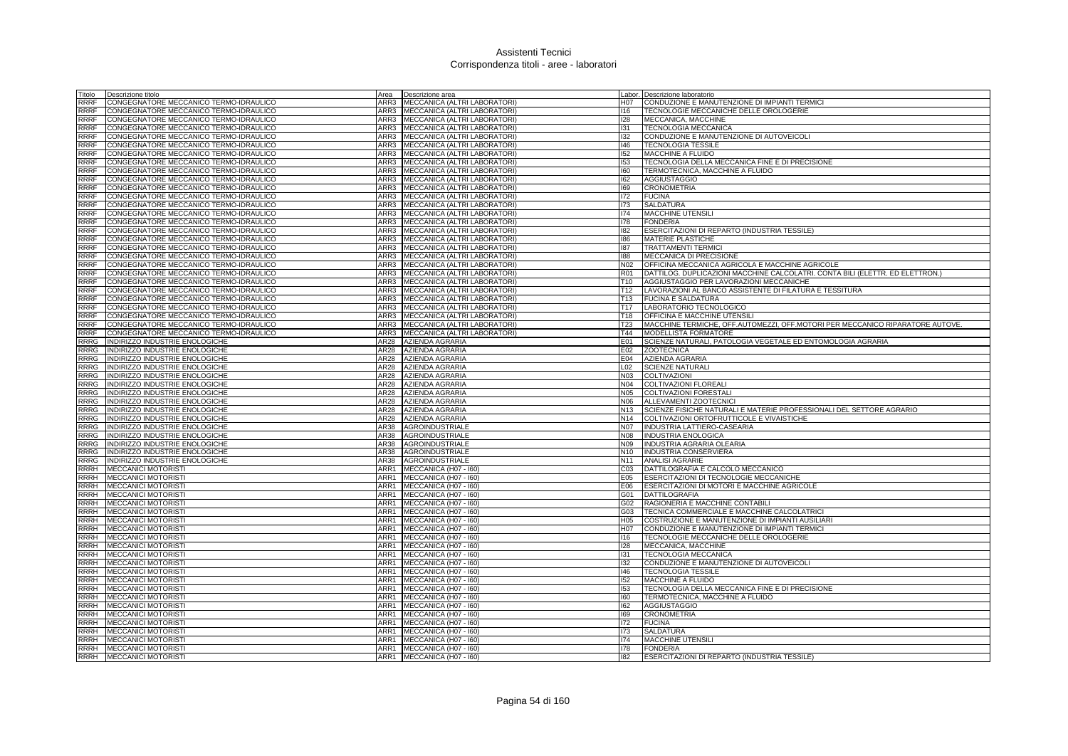| Titolo              | Descrizione titolo                                               | Area         | Descrizione area                          |                   | Labor. Descrizione laboratorio                                                |
|---------------------|------------------------------------------------------------------|--------------|-------------------------------------------|-------------------|-------------------------------------------------------------------------------|
| RRRF                | CONGEGNATORE MECCANICO TERMO-IDRAULICO                           |              | ARR3 MECCANICA (ALTRI LABORATORI)         | H07               | CONDUZIONE E MANUTENZIONE DI IMPIANTI TERMICI                                 |
| RRRF                | CONGEGNATORE MECCANICO TERMO-IDRAULICO                           | ARR3         | MECCANICA (ALTRI LABORATORI)              | 116               | TECNOLOGIE MECCANICHE DELLE OROLOGERIE                                        |
| RRRF                | CONGEGNATORE MECCANICO TERMO-IDRAULICO                           | ARR3         | MECCANICA (ALTRI LABORATORI)              | 128               | MECCANICA, MACCHINE                                                           |
| <b>RRRF</b>         | CONGEGNATORE MECCANICO TERMO-IDRAULICO                           |              | ARR3 MECCANICA (ALTRI LABORATORI)         | 131               | <b>TECNOLOGIA MECCANICA</b>                                                   |
| RRRF                | CONGEGNATORE MECCANICO TERMO-IDRAULICO                           |              | ARR3 MECCANICA (ALTRI LABORATORI)         | 132               | CONDUZIONE E MANUTENZIONE DI AUTOVEICOLI                                      |
| RRRF                | CONGEGNATORE MECCANICO TERMO-IDRAULICO                           | ARR3         | MECCANICA (ALTRI LABORATORI)              | 146               | <b>TECNOLOGIA TESSILE</b>                                                     |
| RRRF                | CONGEGNATORE MECCANICO TERMO-IDRAULICO                           | ARR3         | MECCANICA (ALTRI LABORATORI)              | 152               | MACCHINE A FLUIDO                                                             |
| <b>RRRF</b>         | CONGEGNATORE MECCANICO TERMO-IDRAULICO                           | ARR3         | MECCANICA (ALTRI LABORATORI)              | 153               | TECNOLOGIA DELLA MECCANICA FINE E DI PRECISIONE                               |
| RRRF                | CONGEGNATORE MECCANICO TERMO-IDRAULICO                           | ARR3         | MECCANICA (ALTRI LABORATORI)              | 160               | TERMOTECNICA, MACCHINE A FLUIDO                                               |
| <b>RRRF</b>         | CONGEGNATORE MECCANICO TERMO-IDRAULICO                           | ARR3         | MECCANICA (ALTRI LABORATORI)              | 162               | <b>AGGIUSTAGGIO</b>                                                           |
| <b>RRRF</b>         | CONGEGNATORE MECCANICO TERMO-IDRAULICO                           | ARR3         | MECCANICA (ALTRI LABORATORI)              | 169               | <b>CRONOMETRIA</b>                                                            |
| <b>RRRF</b>         | CONGEGNATORE MECCANICO TERMO-IDRAULICO                           |              | ARR3 MECCANICA (ALTRI LABORATORI)         | 172               | <b>FUCINA</b>                                                                 |
| RRRF                | CONGEGNATORE MECCANICO TERMO-IDRAULICO                           |              | ARR3 MECCANICA (ALTRI LABORATORI)         | 173               | <b>SALDATURA</b>                                                              |
| <b>RRRF</b>         | CONGEGNATORE MECCANICO TERMO-IDRAULICO                           | ARR3         | MECCANICA (ALTRI LABORATORI)              | 174               | <b>MACCHINE UTENSILI</b>                                                      |
| <b>RRRF</b>         | CONGEGNATORE MECCANICO TERMO-IDRAULICO                           | ARR3         | MECCANICA (ALTRI LABORATORI)              | 178               | <b>FONDERIA</b>                                                               |
| <b>RRRF</b>         | CONGEGNATORE MECCANICO TERMO-IDRAULICO                           | ARR3         | MECCANICA (ALTRI LABORATORI)              | 182               | ESERCITAZIONI DI REPARTO (INDUSTRIA TESSILE)                                  |
| RRRF                | CONGEGNATORE MECCANICO TERMO-IDRAULICO                           |              | ARR3 MECCANICA (ALTRI LABORATORI)         | 186               | MATERIE PLASTICHE                                                             |
| <b>RRRF</b>         | CONGEGNATORE MECCANICO TERMO-IDRAULICO                           | ARR3         | MECCANICA (ALTRI LABORATORI)              | 187               | <b>TRATTAMENTI TERMICI</b>                                                    |
| <b>RRRF</b>         | CONGEGNATORE MECCANICO TERMO-IDRAULICO                           | ARR3         | MECCANICA (ALTRI LABORATORI)              | 188               | MECCANICA DI PRECISIONE                                                       |
| <b>RRRF</b>         | CONGEGNATORE MECCANICO TERMO-IDRAULICO                           | ARR3         | MECCANICA (ALTRI LABORATORI)              | N <sub>02</sub>   | OFFICINA MECCANICA AGRICOLA E MACCHINE AGRICOLE                               |
| <b>RRRF</b>         | CONGEGNATORE MECCANICO TERMO-IDRAULICO                           |              | ARR3 MECCANICA (ALTRI LABORATORI)         | <b>R01</b>        | DATTILOG. DUPLICAZIONI MACCHINE CALCOLATRI. CONTA BILI (ELETTR. ED ELETTRON.) |
| <b>RRRF</b>         | CONGEGNATORE MECCANICO TERMO-IDRAULICO                           |              | ARR3 MECCANICA (ALTRI LABORATORI)         | T10               | AGGIUSTAGGIO PER LAVORAZIONI MECCANICHE                                       |
| <b>RRRF</b>         | CONGEGNATORE MECCANICO TERMO-IDRAULICO                           | ARR3         | MECCANICA (ALTRI LABORATORI)              | T12               | LAVORAZIONI AL BANCO ASSISTENTE DI FILATURA E TESSITURA                       |
| RRRF                | CONGEGNATORE MECCANICO TERMO-IDRAULICO                           | ARR3         | MECCANICA (ALTRI LABORATORI)              | T13               | <b>FUCINA E SALDATURA</b>                                                     |
| <b>RRRF</b>         | CONGEGNATORE MECCANICO TERMO-IDRAULICO                           | ARR3         | MECCANICA (ALTRI LABORATORI)              | T <sub>17</sub>   | LABORATORIO TECNOLOGICO                                                       |
| RRRF                | CONGEGNATORE MECCANICO TERMO-IDRAULICO                           |              | ARR3 MECCANICA (ALTRI LABORATORI)         | T18               | <b>OFFICINA E MACCHINE UTENSILI</b>                                           |
| <b>RRRF</b>         | CONGEGNATORE MECCANICO TERMO-IDRAULICO                           | ARR3         | MECCANICA (ALTRI LABORATORI)              | <b>T23</b>        | MACCHINE TERMICHE, OFF.AUTOMEZZI, OFF.MOTORI PER MECCANICO RIPARATORE AUTOVE. |
| <b>RRRF</b>         | CONGEGNATORE MECCANICO TERMO-IDRAULICO                           | ARR3         | MECCANICA (ALTRI LABORATORI)              | T44               | <b>MODELLISTA FORMATORE</b>                                                   |
| <b>RRRG</b>         | INDIRIZZO INDUSTRIE ENOLOGICHE                                   | AR28         | AZIENDA AGRARIA                           | E01               | SCIENZE NATURALI, PATOLOGIA VEGETALE ED ENTOMOLOGIA AGRARIA                   |
| RRRG                | INDIRIZZO INDUSTRIE ENOLOGICHE                                   | AR28         | AZIENDA AGRARIA                           | E02               | <b>ZOOTECNICA</b>                                                             |
| <b>RRRG</b>         | INDIRIZZO INDUSTRIE ENOLOGICHE                                   | AR28         | <b>AZIENDA AGRARIA</b>                    | E04               | <b>AZIENDA AGRARIA</b>                                                        |
| <b>RRRG</b>         | INDIRIZZO INDUSTRIE ENOLOGICHE                                   | AR28         | AZIENDA AGRARIA                           | L <sub>02</sub>   | <b>SCIENZE NATURALI</b>                                                       |
| RRRG                | INDIRIZZO INDUSTRIE ENOLOGICHE                                   | AR28         | AZIENDA AGRARIA                           | N03               | COLTIVAZIONI                                                                  |
| RRRG<br><b>RRRG</b> | INDIRIZZO INDUSTRIE ENOLOGICHE                                   | AR28         | AZIENDA AGRARIA                           | N04               | COLTIVAZIONI FLOREALI                                                         |
| <b>RRRG</b>         | INDIRIZZO INDUSTRIE ENOLOGICHE                                   | AR28<br>AR28 | AZIENDA AGRARIA<br><b>AZIENDA AGRARIA</b> | <b>N05</b><br>N06 | <b>COLTIVAZIONI FORESTAL</b><br>ALLEVAMENTI ZOOTECNICI                        |
| <b>RRRG</b>         | INDIRIZZO INDUSTRIE ENOLOGICHE<br>INDIRIZZO INDUSTRIE ENOLOGICHE | AR28         | <b>AZIENDA AGRARIA</b>                    | N <sub>13</sub>   | SCIENZE FISICHE NATURALI E MATERIE PROFESSIONALI DEL SETTORE AGRARIO          |
| <b>RRRG</b>         | INDIRIZZO INDUSTRIE ENOLOGICHE                                   | AR28         | <b>AZIENDA AGRARIA</b>                    | N <sub>14</sub>   | COLTIVAZIONI ORTOFRUTTICOLE E VIVAISTICHE                                     |
| <b>RRRG</b>         | INDIRIZZO INDUSTRIE ENOLOGICHE                                   | AR38         | <b>AGROINDUSTRIALE</b>                    | N07               | INDUSTRIA LATTIERO-CASEARIA                                                   |
| RRRG                | INDIRIZZO INDUSTRIE ENOLOGICHE                                   | AR38         | <b>AGROINDUSTRIALE</b>                    | N08               | <b>INDUSTRIA ENOLOGICA</b>                                                    |
| <b>RRRG</b>         | INDIRIZZO INDUSTRIE ENOLOGICHE                                   | AR38         | AGROINDUSTRIALE                           | N09               | INDUSTRIA AGRARIA OLEARIA                                                     |
| <b>RRRG</b>         | INDIRIZZO INDUSTRIE ENOLOGICHE                                   | AR38         | <b>AGROINDUSTRIALE</b>                    | N10               | <b>INDUSTRIA CONSERVIERA</b>                                                  |
| RRRG                | INDIRIZZO INDUSTRIE ENOLOGICHE                                   | AR38         | <b>AGROINDUSTRIALE</b>                    |                   | N11 ANALISI AGRARIE                                                           |
| RRRH                | <b>MECCANICI MOTORISTI</b>                                       | ARR1         | MECCANICA (H07 - I60)                     | CO <sub>3</sub>   | DATTILOGRAFIA E CALCOLO MECCANICO                                             |
| RRRH                | MECCANICI MOTORISTI                                              | ARR1         | MECCANICA (H07 - 160)                     | E05               | ESERCITAZIONI DI TECNOLOGIE MECCANICHE                                        |
| RRRH                | <b>MECCANICI MOTORISTI</b>                                       | ARR1         | MECCANICA (H07 - I60)                     | E06               | ESERCITAZIONI DI MOTORI E MACCHINE AGRICOLE                                   |
| RRRH                | <b>MECCANICI MOTORISTI</b>                                       | ARR1         | MECCANICA (H07 - I60)                     | G01               | <b>DATTILOGRAFIA</b>                                                          |
| RRRH                | <b>MECCANICI MOTORISTI</b>                                       | ARR1         | MECCANICA (H07 - 160)                     | G02               | RAGIONERIA E MACCHINE CONTABILI                                               |
| RRRH                | MECCANICI MOTORISTI                                              | ARR1         | MECCANICA (H07 - 160)                     | G03               | TECNICA COMMERCIALE E MACCHINE CALCOLATRICI                                   |
| RRRH                | <b>MECCANICI MOTORISTI</b>                                       | ARR1         | MECCANICA (H07 - I60)                     | H05               | COSTRUZIONE E MANUTENZIONE DI IMPIANTI AUSILIARI                              |
| RRRH                | <b>MECCANICI MOTORISTI</b>                                       | ARR1         | MECCANICA (H07 - I60)                     | H07               | CONDUZIONE E MANUTENZIONE DI IMPIANTI TERMICI                                 |
| RRRH                | <b>MECCANICI MOTORISTI</b>                                       | ARR1         | MECCANICA (H07 - I60)                     | 116               | TECNOLOGIE MECCANICHE DELLE OROLOGERIE                                        |
| <b>RRRH</b>         | <b>MECCANICI MOTORISTI</b>                                       | ARR1         | MECCANICA (H07 - I60)                     | 128               | MECCANICA, MACCHINE                                                           |
| <b>RRRH</b>         | <b>MECCANICI MOTORISTI</b>                                       | ARR1         | MECCANICA (H07 - I60)                     | 131               | <b>TECNOLOGIA MECCANICA</b>                                                   |
| <b>RRRH</b>         | <b>MECCANICI MOTORISTI</b>                                       |              | ARR1 MECCANICA (H07 - 160)                | 132               | CONDUZIONE E MANUTENZIONE DI AUTOVEICOLI                                      |
| RRRH                | <b>MECCANICI MOTORISTI</b>                                       |              | ARR1 MECCANICA (H07 - 160)                | 146               | <b>TECNOLOGIA TESSILE</b>                                                     |
| RRRH                | <b>MECCANICI MOTORISTI</b>                                       | ARR1         | MECCANICA (H07 - 160)                     | 152               | MACCHINE A FLUIDO                                                             |
| RRRH                | <b>MECCANICI MOTORISTI</b>                                       | ARR1         | MECCANICA (H07 - I60)                     | 153               | TECNOLOGIA DELLA MECCANICA FINE E DI PRECISIONE                               |
| <b>RRRH</b>         | <b>MECCANICI MOTORISTI</b>                                       |              | ARR1 MECCANICA (H07 - 160)                | 160               | TERMOTECNICA, MACCHINE A FLUIDO                                               |
| <b>RRRH</b>         | <b>MECCANICI MOTORISTI</b>                                       | ARR1         | MECCANICA (H07 - I60)                     | 162               | <b>AGGIUSTAGGIO</b>                                                           |
| <b>RRRH</b>         | <b>MECCANICI MOTORISTI</b>                                       | ARR1         | MECCANICA (H07 - I60)                     | 169               | <b>CRONOMETRIA</b>                                                            |
| RRRH                | <b>MECCANICI MOTORISTI</b>                                       | ARR1         | MECCANICA (H07 - I60)                     | 172               | <b>FUCINA</b>                                                                 |
| <b>RRRH</b>         | <b>MECCANICI MOTORISTI</b>                                       |              | ARR1 MECCANICA (H07 - 160)                | 173               | <b>SALDATURA</b>                                                              |
| <b>RRRH</b>         | <b>MECCANICI MOTORISTI</b>                                       |              | ARR1 MECCANICA (H07 - 160)                | 174               | <b>MACCHINE UTENSILI</b>                                                      |
|                     | RRRH <b>IMECCANICI MOTORISTI</b>                                 |              | ARR1 MECCANICA (H07 - I60)                | 178               | <b>FONDERIA</b>                                                               |
| <b>RRRH</b>         | <b>MECCANICI MOTORISTI</b>                                       |              | ARR1 MECCANICA (H07 - 160)                | 182               | ESERCITAZIONI DI REPARTO (INDUSTRIA TESSILE)                                  |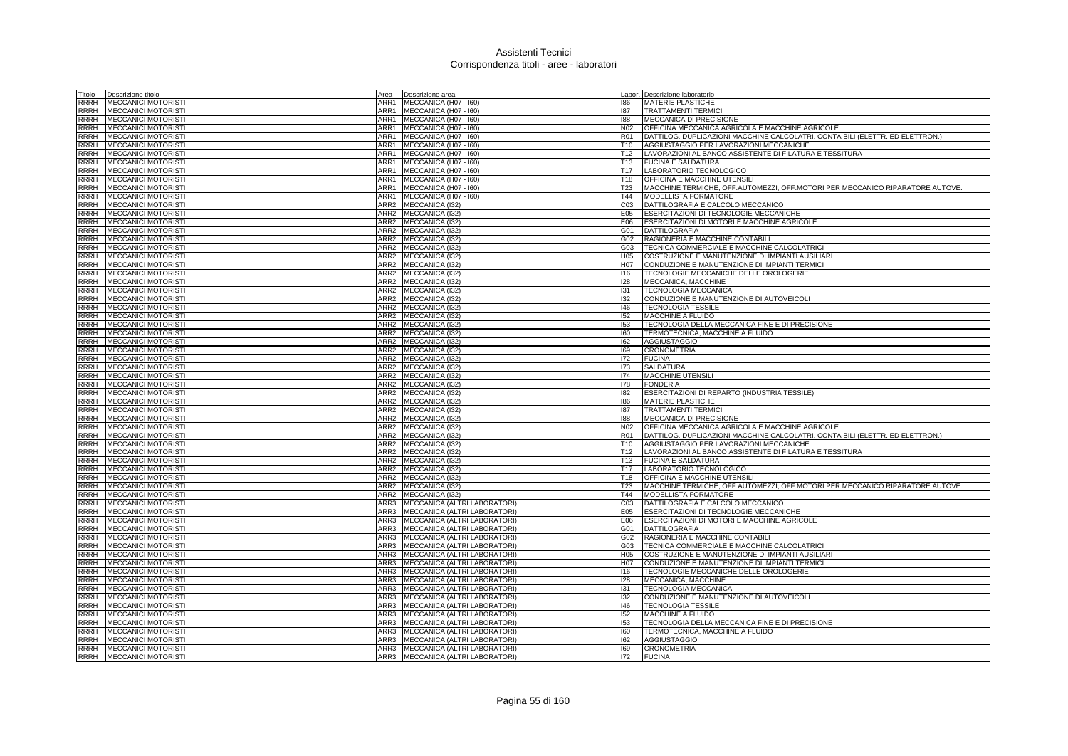| Titolo<br>Descrizione titolo                                                   | Area                     | Descrizione area                   |                  | Labor. Descrizione laboratorio                                                |
|--------------------------------------------------------------------------------|--------------------------|------------------------------------|------------------|-------------------------------------------------------------------------------|
| <b>RRRH</b><br><b>MECCANICI MOTORISTI</b>                                      | ARR1                     | MECCANICA (H07 - I60)              | 186              | <b>MATERIE PLASTICHE</b>                                                      |
| <b>MECCANICI MOTORISTI</b><br>RRRH                                             | ARR1                     | MECCANICA (H07 - I60)              | 187              | <b>TRATTAMENTI TERMICI</b>                                                    |
| <b>RRRH</b><br><b>MECCANICI MOTORISTI</b>                                      | ARR1                     | MECCANICA (H07 - I60)              | 188              | MECCANICA DI PRECISIONE                                                       |
| <b>MECCANICI MOTORISTI</b><br><b>RRRH</b>                                      | ARR1                     | MECCANICA (H07 - I60)              | N02              | OFFICINA MECCANICA AGRICOLA E MACCHINE AGRICOLE                               |
| RRRH<br><b>MECCANICI MOTORISTI</b>                                             | ARR1                     | MECCANICA (H07 - I60)              | R01              | DATTILOG. DUPLICAZIONI MACCHINE CALCOLATRI. CONTA BILI (ELETTR. ED ELETTRON.) |
| <b>RRRH</b><br><b>MECCANICI MOTORISTI</b>                                      | ARR1                     | MECCANICA (H07 - I60)              | T10              | AGGIUSTAGGIO PER LAVORAZIONI MECCANICHE                                       |
| <b>MECCANICI MOTORISTI</b><br><b>RRRH</b>                                      | ARR1                     | MECCANICA (H07 - I60)              | T12              | LAVORAZIONI AL BANCO ASSISTENTE DI FILATURA E TESSITURA                       |
| <b>MECCANICI MOTORISTI</b><br><b>RRRH</b>                                      | ARR1                     | MECCANICA (H07 - I60)              | T <sub>13</sub>  | <b>FUCINA E SALDATURA</b>                                                     |
| RRRH<br><b>MECCANICI MOTORISTI</b>                                             | ARR1                     | MECCANICA (H07 - I60)              | T <sub>17</sub>  | LABORATORIO TECNOLOGICO                                                       |
| <b>RRRH</b><br><b>MECCANICI MOTORISTI</b>                                      | ARR1                     | MECCANICA (H07 - I60)              | T18              | <b>OFFICINA E MACCHINE UTENSILI</b>                                           |
| <b>RRRH</b><br><b>MECCANICI MOTORISTI</b>                                      | ARR1                     | MECCANICA (H07 - I60)              | <b>T23</b>       | MACCHINE TERMICHE, OFF.AUTOMEZZI, OFF.MOTORI PER MECCANICO RIPARATORE AUTOVE. |
| <b>RRRH</b><br><b>MECCANICI MOTORISTI</b>                                      | ARR1                     | MECCANICA (H07 - I60)              | T44              | <b>MODELLISTA FORMATORE</b>                                                   |
| <b>RRRH</b><br><b>MECCANICI MOTORISTI</b>                                      | ARR2                     | MECCANICA (I32)                    | CO <sub>3</sub>  | DATTILOGRAFIA E CALCOLO MECCANICO                                             |
| <b>RRRH</b><br>MECCANICI MOTORIST                                              | ARR2                     | MECCANICA (132)                    | E05              | <b>ESERCITAZIONI DI TECNOLOGIE MECCANICHE</b>                                 |
| <b>RRRH</b><br><b>MECCANICI MOTORISTI</b>                                      | ARR <sub>2</sub>         | MECCANICA (132)                    | E06              | ESERCITAZIONI DI MOTORI E MACCHINE AGRICOLE                                   |
| <b>RRRH</b><br><b>MECCANICI MOTORISTI</b>                                      | ARR2                     | MECCANICA (132)                    | G01              | <b>DATTILOGRAFIA</b>                                                          |
| <b>RRRH</b><br><b>MECCANICI MOTORISTI</b>                                      | ARR2                     | MECCANICA (I32)                    | G02              | RAGIONERIA E MACCHINE CONTABILI                                               |
| <b>RRRH</b><br><b>MECCANICI MOTORIST</b>                                       | ARR2                     | MECCANICA (132)                    | G03              | TECNICA COMMERCIALE E MACCHINE CALCOLATRICI                                   |
| <b>RRRH</b><br><b>MECCANICI MOTORISTI</b>                                      | ARR <sub>2</sub>         | MECCANICA (I32)                    | H <sub>05</sub>  | COSTRUZIONE E MANUTENZIONE DI IMPIANTI AUSILIARI                              |
| <b>RRRH</b><br><b>MECCANICI MOTORISTI</b>                                      | ARR <sub>2</sub>         | MECCANICA (I32)                    | H <sub>0</sub> 7 | CONDUZIONE E MANUTENZIONE DI IMPIANTI TERMICI                                 |
| <b>RRRH</b><br><b>MECCANICI MOTORISTI</b>                                      | ARR2                     | MECCANICA (I32)                    | 116              | TECNOLOGIE MECCANICHE DELLE OROLOGERIE                                        |
| <b>RRRH</b><br><b>MECCANICI MOTORISTI</b>                                      | ARR2                     | MECCANICA (I32)                    | 128              | MECCANICA, MACCHINE                                                           |
| <b>RRRH</b><br><b>MECCANICI MOTORIST</b>                                       | ARR2                     | MECCANICA (132)                    | 131              | <b>TECNOLOGIA MECCANICA</b>                                                   |
| <b>RRRH</b><br>MECCANICI MOTORISTI                                             | ARR2                     | MECCANICA (I32)                    | 132              | CONDUZIONE E MANUTENZIONE DI AUTOVEICOLI                                      |
|                                                                                |                          |                                    |                  |                                                                               |
| RRRH<br><b>MECCANICI MOTORISTI</b>                                             | ARR2                     | MECCANICA (I32)                    | 146              | <b>TECNOLOGIA TESSILE</b>                                                     |
| <b>MECCANICI MOTORISTI</b><br>RRRH                                             | ARR2                     | MECCANICA (I32)                    | 152              | MACCHINE A FLUIDO                                                             |
| RRRH<br><b>MECCANICI MOTORIST</b>                                              | ARR2<br>ARR <sub>2</sub> | MECCANICA (132)                    | 153              | TECNOLOGIA DELLA MECCANICA FINE E DI PRECISIONE                               |
| <b>RRRH</b><br><b>MECCANICI MOTORISTI</b><br><b>RRRH</b>                       |                          | MECCANICA (I32)                    | 160<br>162       | TERMOTECNICA, MACCHINE A FLUIDO                                               |
| <b>MECCANICI MOTORISTI</b>                                                     | ARR2<br>ARR2             | MECCANICA (I32)                    | 169              | AGGIUSTAGGIO                                                                  |
| <b>MECCANICI MOTORISTI</b><br>RRRH<br><b>RRRH</b><br><b>MECCANICI MOTORIST</b> | ARR2                     | MECCANICA (I32)                    | 172              | <b>CRONOMETRIA</b>                                                            |
| <b>MECCANICI MOTORISTI</b><br><b>RRRH</b>                                      | ARR2                     | MECCANICA (132)<br>MECCANICA (I32) | 173              | <b>FUCINA</b><br><b>SALDATURA</b>                                             |
| <b>MECCANICI MOTORISTI</b><br><b>RRRH</b>                                      | ARR2                     | MECCANICA (I32)                    | 174              | <b>MACCHINE UTENSILI</b>                                                      |
| <b>RRRH</b><br><b>MECCANICI MOTORISTI</b>                                      | ARR2                     | MECCANICA (I32)                    | 178              | <b>FONDERIA</b>                                                               |
| RRRH<br><b>MECCANICI MOTORISTI</b>                                             | ARR2                     | MECCANICA (I32)                    | 182              | ESERCITAZIONI DI REPARTO (INDUSTRIA TESSILE)                                  |
| <b>RRRH</b><br><b>MECCANICI MOTORISTI</b>                                      | ARR2                     | MECCANICA (I32)                    | 186              | MATERIE PLASTICHE                                                             |
| <b>RRRH</b><br><b>MECCANICI MOTORISTI</b>                                      | ARR2                     | MECCANICA (I32)                    | 187              | <b>TRATTAMENTI TERMICI</b>                                                    |
| <b>RRRH</b><br><b>MECCANICI MOTORISTI</b>                                      |                          | ARR2 MECCANICA (132)               | 188              | MECCANICA DI PRECISIONE                                                       |
| <b>RRRH</b><br><b>MECCANICI MOTORISTI</b>                                      | ARR2                     | MECCANICA (I32)                    | N02              | OFFICINA MECCANICA AGRICOLA E MACCHINE AGRICOLE                               |
| <b>RRRH</b><br><b>MECCANICI MOTORISTI</b>                                      | ARR2                     | MECCANICA (I32)                    | <b>R01</b>       | DATTILOG, DUPLICAZIONI MACCHINE CALCOLATRI, CONTA BILI (ELETTR, ED ELETTRON.) |
| <b>RRRH</b><br><b>MECCANICI MOTORISTI</b>                                      | ARR <sub>2</sub>         | MECCANICA (I32)                    | T <sub>10</sub>  | AGGIUSTAGGIO PER LAVORAZIONI MECCANICHE                                       |
| <b>RRRH</b><br><b>MECCANICI MOTORISTI</b>                                      | ARR2                     | MECCANICA (I32)                    | T <sub>12</sub>  | LAVORAZIONI AL BANCO ASSISTENTE DI FILATURA E TESSITURA                       |
| <b>RRRH</b><br><b>MECCANICI MOTORISTI</b>                                      | ARR2                     | <b>MECCANICA (I32)</b>             | T13              | <b>FUCINA E SALDATURA</b>                                                     |
| <b>RRRH</b><br>MECCANICI MOTORIST                                              | ARR2                     | MECCANICA (I32)                    | T17              | LABORATORIO TECNOLOGICO                                                       |
| <b>MECCANICI MOTORISTI</b><br><b>RRRH</b>                                      | ARR2                     | MECCANICA (I32)                    | <b>T18</b>       | OFFICINA E MACCHINE UTENSILI                                                  |
| <b>RRRH</b><br><b>MECCANICI MOTORISTI</b>                                      | ARR2                     | MECCANICA (I32)                    | <b>T23</b>       | MACCHINE TERMICHE, OFF.AUTOMEZZI, OFF.MOTORI PER MECCANICO RIPARATORE AUTOVE. |
| <b>MECCANICI MOTORISTI</b><br><b>RRRH</b>                                      |                          | ARR2 MECCANICA (132)               | T44              | MODELLISTA FORMATORE                                                          |
| <b>RRRH</b><br><b>MECCANICI MOTORISTI</b>                                      | ARR3                     | MECCANICA (ALTRI LABORATORI)       | C <sub>03</sub>  | DATTILOGRAFIA E CALCOLO MECCANICO                                             |
| <b>RRRH</b><br><b>MECCANICI MOTORISTI</b>                                      | ARR3                     | MECCANICA (ALTRI LABORATORI)       | E05              | ESERCITAZIONI DI TECNOLOGIE MECCANICHE                                        |
| <b>RRRH</b><br><b>MECCANICI MOTORISTI</b>                                      | ARR3                     | MECCANICA (ALTRI LABORATORI)       | E06              | ESERCITAZIONI DI MOTORI E MACCHINE AGRICOLE                                   |
| <b>RRRH</b><br><b>MECCANICI MOTORISTI</b>                                      | ARR3                     | MECCANICA (ALTRI LABORATORI)       | G01              | DATTILOGRAFIA                                                                 |
| RRRH<br><b>MECCANICI MOTORISTI</b>                                             | ARR3                     | MECCANICA (ALTRI LABORATORI)       |                  | G02 RAGIONERIA E MACCHINE CONTABILI                                           |
| <b>RRRH</b><br><b>MECCANICI MOTORISTI</b>                                      | ARR3                     | MECCANICA (ALTRI LABORATORI)       | G03              | TECNICA COMMERCIALE E MACCHINE CALCOLATRICI                                   |
| <b>RRRH</b><br><b>MECCANICI MOTORISTI</b>                                      | ARR3                     | MECCANICA (ALTRI LABORATORI)       | H <sub>05</sub>  | COSTRUZIONE E MANUTENZIONE DI IMPIANTI AUSILIARI                              |
| <b>RRRH</b><br><b>MECCANICI MOTORISTI</b>                                      | ARR3                     | MECCANICA (ALTRI LABORATORI)       | H <sub>0</sub> 7 | CONDUZIONE E MANUTENZIONE DI IMPIANTI TERMICI                                 |
| <b>RRRH</b><br><b>MECCANICI MOTORISTI</b>                                      | ARR3                     | MECCANICA (ALTRI LABORATORI)       | 116              | TECNOLOGIE MECCANICHE DELLE OROLOGERIE                                        |
| <b>RRRH</b><br><b>MECCANICI MOTORIST</b>                                       | ARR3                     | MECCANICA (ALTRI LABORATORI)       | 128              | MECCANICA, MACCHINE                                                           |
| <b>RRRH</b><br>MECCANICI MOTORISTI                                             | ARR3                     | MECCANICA (ALTRI LABORATORI)       | 131              | <b>TECNOLOGIA MECCANICA</b>                                                   |
| <b>RRRH</b><br><b>MECCANICI MOTORISTI</b>                                      | ARR3                     | MECCANICA (ALTRI LABORATORI)       | 132              | CONDUZIONE E MANUTENZIONE DI AUTOVEICOLI                                      |
| <b>RRRH</b><br><b>MECCANICI MOTORISTI</b>                                      | ARR3                     | MECCANICA (ALTRI LABORATORI)       | 146              | <b>TECNOLOGIA TESSILE</b>                                                     |
| <b>RRRH</b><br>MECCANICI MOTORIST                                              | ARR3                     | MECCANICA (ALTRI LABORATORI)       | 152              | <b>MACCHINE A FLUIDO</b>                                                      |
| <b>RRRH</b><br><b>MECCANICI MOTORISTI</b>                                      | ARR3                     | MECCANICA (ALTRI LABORATORI)       | 153              | TECNOLOGIA DELLA MECCANICA FINE E DI PRECISIONE                               |
| <b>RRRH</b><br><b>MECCANICI MOTORISTI</b>                                      | ARR3                     | MECCANICA (ALTRI LABORATORI)       | 160              | TERMOTECNICA, MACCHINE A FLUIDO                                               |
| <b>RRRH</b><br><b>MECCANICI MOTORISTI</b>                                      | ARR3                     | MECCANICA (ALTRI LABORATORI)       | 162              | <b>AGGIUSTAGGIO</b>                                                           |
| <b>RRRH</b><br><b>MECCANICI MOTORISTI</b>                                      | ARR3                     | MECCANICA (ALTRI LABORATORI)       | 169              | <b>CRONOMETRIA</b>                                                            |
| RRRH MECCANICI MOTORISTI                                                       | ARR3                     | MECCANICA (ALTRI LABORATORI)       | 172              | <b>FUCINA</b>                                                                 |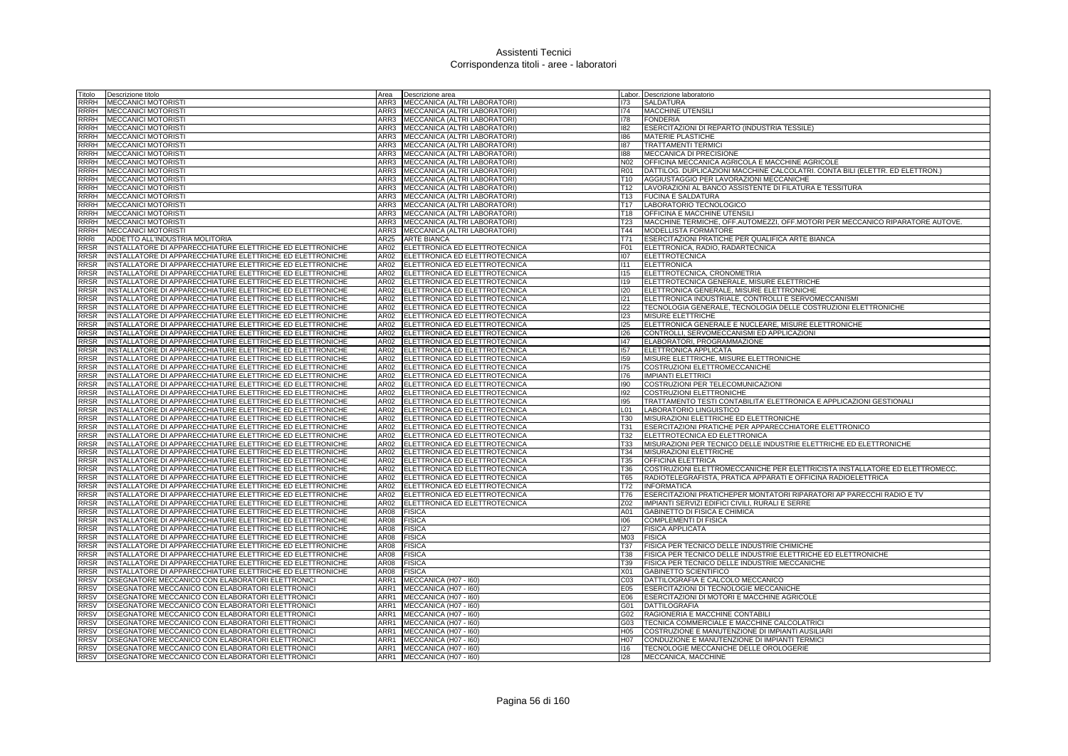| Titolo      | Descrizione titolo                                         | Area | Descrizione area                   |                  | Labor. Descrizione laboratorio                                                |
|-------------|------------------------------------------------------------|------|------------------------------------|------------------|-------------------------------------------------------------------------------|
| RRRH        | <b>MECCANICI MOTORISTI</b>                                 | ARR3 | MECCANICA (ALTRI LABORATORI)       | 173              | <b>SALDATURA</b>                                                              |
| RRRH        | <b>MECCANICI MOTORISTI</b>                                 |      | ARR3 MECCANICA (ALTRI LABORATORI)  | 174              | MACCHINE UTENSILI                                                             |
| <b>RRRH</b> | <b>MECCANICI MOTORISTI</b>                                 |      | ARR3 MECCANICA (ALTRI LABORATORI)  | 178              | <b>FONDERIA</b>                                                               |
|             | RRRH MECCANICI MOTORISTI                                   |      | ARR3 MECCANICA (ALTRI LABORATORI)  | 182              | ESERCITAZIONI DI REPARTO (INDUSTRIA TESSILE)                                  |
| <b>RRRH</b> | <b>MECCANICI MOTORISTI</b>                                 | ARR3 | MECCANICA (ALTRI LABORATORI)       | 186              | <b>MATERIE PLASTICHE</b>                                                      |
| <b>RRRH</b> | <b>MECCANICI MOTORISTI</b>                                 | ARR3 | MECCANICA (ALTRI LABORATORI)       | 187              | <b>TRATTAMENTI TERMICI</b>                                                    |
| <b>RRRH</b> | <b>MECCANICI MOTORISTI</b>                                 | ARR3 | MECCANICA (ALTRI LABORATORI)       | 88               | MECCANICA DI PRECISIONE                                                       |
| <b>RRRH</b> | <b>MECCANICI MOTORISTI</b>                                 | ARR3 | MECCANICA (ALTRI LABORATORI)       | N <sub>0</sub> 2 | OFFICINA MECCANICA AGRICOLA E MACCHINE AGRICOLE                               |
| RRRH        | <b>MECCANICI MOTORISTI</b>                                 | ARR3 | MECCANICA (ALTRI LABORATORI)       | <b>R01</b>       | DATTILOG. DUPLICAZIONI MACCHINE CALCOLATRI. CONTA BILI (ELETTR. ED ELETTRON.) |
| RRRH        | <b>MECCANICI MOTORISTI</b>                                 | ARR3 | MECCANICA (ALTRI LABORATORI)       | T10              | AGGIUSTAGGIO PER LAVORAZIONI MECCANICHE                                       |
| RRRH        | <b>MECCANICI MOTORISTI</b>                                 | ARR3 | MECCANICA (ALTRI LABORATORI)       | T12              | LAVORAZIONI AL BANCO ASSISTENTE DI FILATURA E TESSITURA                       |
| <b>RRRH</b> | <b>MECCANICI MOTORISTI</b>                                 | ARR3 | MECCANICA (ALTRI LABORATORI)       | T <sub>13</sub>  | <b>FUCINA E SALDATURA</b>                                                     |
| RRRH        | <b>MECCANICI MOTORISTI</b>                                 |      | ARR3 MECCANICA (ALTRI LABORATORI)  | T <sub>17</sub>  | LABORATORIO TECNOLOGICO                                                       |
| <b>RRRH</b> | <b>MECCANICI MOTORISTI</b>                                 | ARR3 | MECCANICA (ALTRI LABORATORI)       | T18              | OFFICINA E MACCHINE UTENSILI                                                  |
| RRRH        | <b>MECCANICI MOTORISTI</b>                                 | ARR3 | MECCANICA (ALTRI LABORATORI)       | <b>T23</b>       | MACCHINE TERMICHE, OFF.AUTOMEZZI, OFF.MOTORI PER MECCANICO RIPARATORE AUTOVE. |
| <b>RRRH</b> | <b>MECCANICI MOTORISTI</b>                                 | ARR3 | MECCANICA (ALTRI LABORATORI)       | T44              | <b>MODELLISTA FORMATORE</b>                                                   |
| RRRI        | ADDETTO ALL'INDUSTRIA MOLITORIA                            | AR25 | <b>ARTE BIANCA</b>                 | T71              | ESERCITAZIONI PRATICHE PER QUALIFICA ARTE BIANCA                              |
| <b>RRSR</b> | INSTALLATORE DI APPARECCHIATURE ELETTRICHE ED ELETTRONICHE | AR02 | ELETTRONICA ED ELETTROTECNICA      | F01              | ELETTRONICA, RADIO, RADARTECNICA                                              |
| RRSR        | INSTALLATORE DI APPARECCHIATURE ELETTRICHE ED ELETTRONICHE | AR02 | ELETTRONICA ED ELETTROTECNICA      | 107              | <b>ELETTROTECNICA</b>                                                         |
| RRSR        | INSTALLATORE DI APPARECCHIATURE ELETTRICHE ED ELETTRONICHE | AR02 | ELETTRONICA ED ELETTROTECNICA      | 111              | <b>ELETTRONICA</b>                                                            |
| RRSR        | INSTALLATORE DI APPARECCHIATURE ELETTRICHE ED ELETTRONICHE | AR02 | ELETTRONICA ED ELETTROTECNICA      | 115              | ELETTROTECNICA, CRONOMETRIA                                                   |
| RRSR        | INSTALLATORE DI APPARECCHIATURE ELETTRICHE ED ELETTRONICHE | AR02 | ELETTRONICA ED ELETTROTECNICA      | 119              | ELETTROTECNICA GENERALE, MISURE ELETTRICHE                                    |
| <b>RRSR</b> | INSTALLATORE DI APPARECCHIATURE ELETTRICHE ED ELETTRONICHE | AR02 | ELETTRONICA ED ELETTROTECNICA      | 120              | ELETTRONICA GENERALE, MISURE ELETTRONICHE                                     |
| RRSR        | INSTALLATORE DI APPARECCHIATURE ELETTRICHE ED ELETTRONICHE | AR02 | ELETTRONICA ED ELETTROTECNICA      | 121              | ELETTRONICA INDUSTRIALE, CONTROLLI E SERVOMECCANISMI                          |
| <b>RRSR</b> | INSTALLATORE DI APPARECCHIATURE ELETTRICHE ED ELETTRONICHE |      | AR02 ELETTRONICA ED ELETTROTECNICA | 122              | TECNOLOGIA GENERALE, TECNOLOGIA DELLE COSTRUZIONI ELETTRONICHE                |
| <b>RRSR</b> | INSTALLATORE DI APPARECCHIATURE ELETTRICHE ED ELETTRONICHE | AR02 | ELETTRONICA ED ELETTROTECNICA      | 123              | MISURE ELETTRICHE                                                             |
| <b>RRSR</b> | INSTALLATORE DI APPARECCHIATURE ELETTRICHE ED ELETTRONICHE | AR02 | ELETTRONICA ED ELETTROTECNICA      | 125              | ELETTRONICA GENERALE E NUCLEARE, MISURE ELETTRONICHE                          |
| <b>RRSR</b> | INSTALLATORE DI APPARECCHIATURE ELETTRICHE ED ELETTRONICHE | AR02 | ELETTRONICA ED ELETTROTECNICA      | 126              | CONTROLLI, SERVOMECCANISMI ED APPLICAZIONI                                    |
| RRSR        | INSTALLATORE DI APPARECCHIATURE ELETTRICHE ED ELETTRONICHE | AR02 | ELETTRONICA ED ELETTROTECNICA      | 147              | ELABORATORI, PROGRAMMAZIONE                                                   |
| RRSR        | INSTALLATORE DI APPARECCHIATURE ELETTRICHE ED ELETTRONICHE | AR02 | ELETTRONICA ED ELETTROTECNICA      | 157              | ELETTRONICA APPLICATA                                                         |
| RRSR        | INSTALLATORE DI APPARECCHIATURE ELETTRICHE ED ELETTRONICHE | AR02 | ELETTRONICA ED ELETTROTECNICA      | 159              | MISURE ELETTRICHE, MISURE ELETTRONICHE                                        |
| <b>RRSR</b> | INSTALLATORE DI APPARECCHIATURE ELETTRICHE ED ELETTRONICHE | AR02 | ELETTRONICA ED ELETTROTECNICA      | 175              | COSTRUZIONI ELETTROMECCANICHE                                                 |
| RRSR        | INSTALLATORE DI APPARECCHIATURE ELETTRICHE ED ELETTRONICHE | AR02 | ELETTRONICA ED ELETTROTECNICA      | 176              | <b>IMPIANTI ELETTRICI</b>                                                     |
| <b>RRSR</b> | INSTALLATORE DI APPARECCHIATURE ELETTRICHE ED ELETTRONICHE | AR02 | ELETTRONICA ED ELETTROTECNICA      | 190              | COSTRUZIONI PER TELECOMUNICAZIONI                                             |
| RRSR        | INSTALLATORE DI APPARECCHIATURE ELETTRICHE ED ELETTRONICHE | AR02 | ELETTRONICA ED ELETTROTECNICA      | 192              | COSTRUZIONI ELETTRONICHE                                                      |
| <b>RRSR</b> | INSTALLATORE DI APPARECCHIATURE ELETTRICHE ED ELETTRONICHE | AR02 | ELETTRONICA ED ELETTROTECNICA      | 195              | TRATTAMENTO TESTI CONTABILITA' ELETTRONICA E APPLICAZIONI GESTIONALI          |
| <b>RRSR</b> | INSTALLATORE DI APPARECCHIATURE ELETTRICHE ED ELETTRONICHE | AR02 | ELETTRONICA ED ELETTROTECNICA      | L <sub>01</sub>  | LABORATORIO LINGUISTICO                                                       |
| RRSR        | INSTALLATORE DI APPARECCHIATURE ELETTRICHE ED ELETTRONICHE | AR02 | ELETTRONICA ED ELETTROTECNICA      | T30              | MISURAZIONI ELETTRICHE ED ELETTRONICHE                                        |
| RRSR        | INSTALLATORE DI APPARECCHIATURE ELETTRICHE ED ELETTRONICHE | AR02 | ELETTRONICA ED ELETTROTECNICA      | <b>T31</b>       | ESERCITAZIONI PRATICHE PER APPARECCHIATORE ELETTRONICO                        |
| RRSR        | INSTALLATORE DI APPARECCHIATURE ELETTRICHE ED ELETTRONICHE | AR02 | ELETTRONICA ED ELETTROTECNICA      | T32              | ELETTROTECNICA ED ELETTRONICA                                                 |
| RRSR        | INSTALLATORE DI APPARECCHIATURE ELETTRICHE ED ELETTRONICHE | AR02 | ELETTRONICA ED ELETTROTECNICA      | <b>T33</b>       | MISURAZIONI PER TECNICO DELLE INDUSTRIE ELETTRICHE ED ELETTRONICHE            |
| RRSR        | INSTALLATORE DI APPARECCHIATURE ELETTRICHE ED ELETTRONICHE | AR02 | ELETTRONICA ED ELETTROTECNICA      | T34              | MISURAZIONI ELETTRICHE                                                        |
| <b>RRSR</b> | INSTALLATORE DI APPARECCHIATURE ELETTRICHE ED ELETTRONICHE |      | AR02 ELETTRONICA ED ELETTROTECNICA | <b>T35</b>       | <b>OFFICINA ELETTRICA</b>                                                     |
| RRSR        | INSTALLATORE DI APPARECCHIATURE ELETTRICHE ED ELETTRONICHE | AR02 | ELETTRONICA ED ELETTROTECNICA      | T36              | COSTRUZIONI ELETTROMECCANICHE PER ELETTRICISTA INSTALLATORE ED ELETTROMECC.   |
| <b>RRSR</b> | INSTALLATORE DI APPARECCHIATURE ELETTRICHE ED ELETTRONICHE | AR02 | ELETTRONICA ED ELETTROTECNICA      | T65              | RADIOTELEGRAFISTA, PRATICA APPARATI E OFFICINA RADIOELETTRICA                 |
| <b>RRSR</b> | INSTALLATORE DI APPARECCHIATURE ELETTRICHE ED ELETTRONICHE | AR02 | ELETTRONICA ED ELETTROTECNICA      | T72              | <b>INFORMATICA</b>                                                            |
| <b>RRSR</b> | INSTALLATORE DI APPARECCHIATURE ELETTRICHE ED ELETTRONICHE | AR02 | ELETTRONICA ED ELETTROTECNICA      | T76              | <b>ESERCITAZIONI PRATICHEPER MONTATORI RIPARATORI AP PARECCHI RADIO E TV</b>  |
| RRSR        | INSTALLATORE DI APPARECCHIATURE ELETTRICHE ED ELETTRONICHE | AR02 | ELETTRONICA ED ELETTROTECNICA      | Z02              | IMPIANTI SERVIZI EDIFICI CIVILI, RURALI E SERRE                               |
| RRSR        | INSTALLATORE DI APPARECCHIATURE ELETTRICHE ED ELETTRONICHE | AR08 | <b>FISICA</b>                      | A01              | GABINETTO DI FISICA E CHIMICA                                                 |
| RRSR        | INSTALLATORE DI APPARECCHIATURE ELETTRICHE ED ELETTRONICHE | AR08 | <b>FISICA</b>                      | 106              | COMPLEMENTI DI FISICA                                                         |
| RRSR        | INSTALLATORE DI APPARECCHIATURE ELETTRICHE ED ELETTRONICHE | AR08 | <b>FISICA</b>                      | 127              | <b>FISICA APPLICATA</b>                                                       |
| RRSR        | INSTALLATORE DI APPARECCHIATURE ELETTRICHE ED ELETTRONICHE | AR08 | <b>FISICA</b>                      | M03              | <b>FISICA</b>                                                                 |
| <b>RRSR</b> | INSTALLATORE DI APPARECCHIATURE ELETTRICHE ED ELETTRONICHE | AR08 | <b>FISICA</b>                      | T37              | FISICA PER TECNICO DELLE INDUSTRIE CHIMICHE                                   |
| <b>RRSR</b> | INSTALLATORE DI APPARECCHIATURE ELETTRICHE ED ELETTRONICHE | AR08 | <b>FISICA</b>                      | <b>T38</b>       | FISICA PER TECNICO DELLE INDUSTRIE ELETTRICHE ED ELETTRONICHE                 |
| <b>RRSR</b> | INSTALLATORE DI APPARECCHIATURE ELETTRICHE ED ELETTRONICHE | AR08 | <b>FISICA</b>                      | T39              | FISICA PER TECNICO DELLE INDUSTRIE MECCANICHE                                 |
| <b>RRSR</b> | INSTALLATORE DI APPARECCHIATURE ELETTRICHE ED ELETTRONICHE | AR08 | <b>FISICA</b>                      | X01              | <b>GABINETTO SCIENTIFICO</b>                                                  |
| RRSV        | DISEGNATORE MECCANICO CON ELABORATORI ELETTRONICI          | ARR1 | MECCANICA (H07 - I60)              | C <sub>03</sub>  | DATTILOGRAFIA E CALCOLO MECCANICO                                             |
| RRSV        | DISEGNATORE MECCANICO CON ELABORATORI ELETTRONICI          | ARR1 | MECCANICA (H07 - 160)              | E05              | ESERCITAZIONI DI TECNOLOGIE MECCANICHE                                        |
| <b>RRSV</b> | DISEGNATORE MECCANICO CON ELABORATORI ELETTRONICI          | ARR1 | MECCANICA (H07 - 160)              | E06              | ESERCITAZIONI DI MOTORI E MACCHINE AGRICOLE                                   |
| RRSV        | DISEGNATORE MECCANICO CON ELABORATORI ELETTRONICI          |      | ARR1 MECCANICA (H07 - 160)         | G01              | DATTILOGRAFIA                                                                 |
| RRSV        | DISEGNATORE MECCANICO CON ELABORATORI ELETTRONICI          | ARR1 | MECCANICA (H07 - I60)              | G02              | RAGIONERIA E MACCHINE CONTABILI                                               |
| RRSV        | DISEGNATORE MECCANICO CON ELABORATORI ELETTRONICI          | ARR1 | MECCANICA (H07 - I60)              | G03              | TECNICA COMMERCIALE E MACCHINE CALCOLATRICI                                   |
| <b>RRSV</b> | DISEGNATORE MECCANICO CON ELABORATORI ELETTRONICI          | ARR1 | MECCANICA (H07 - I60)              | H <sub>05</sub>  | COSTRUZIONE E MANUTENZIONE DI IMPIANTI AUSILIARI                              |
| <b>RRSV</b> | DISEGNATORE MECCANICO CON ELABORATORI ELETTRONICI          | ARR1 | MECCANICA (H07 - I60)              | H <sub>0</sub> 7 | CONDUZIONE E MANUTENZIONE DI IMPIANTI TERMICI                                 |
| <b>RRSV</b> | DISEGNATORE MECCANICO CON ELABORATORI ELETTRONICI          |      | ARR1 MECCANICA (H07 - I60)         | 116              | TECNOLOGIE MECCANICHE DELLE OROLOGERIE                                        |
|             | RRSV DISEGNATORE MECCANICO CON ELABORATORI ELETTRONICI     |      | ARR1 MECCANICA (H07 - 160)         | 128              | MECCANICA, MACCHINE                                                           |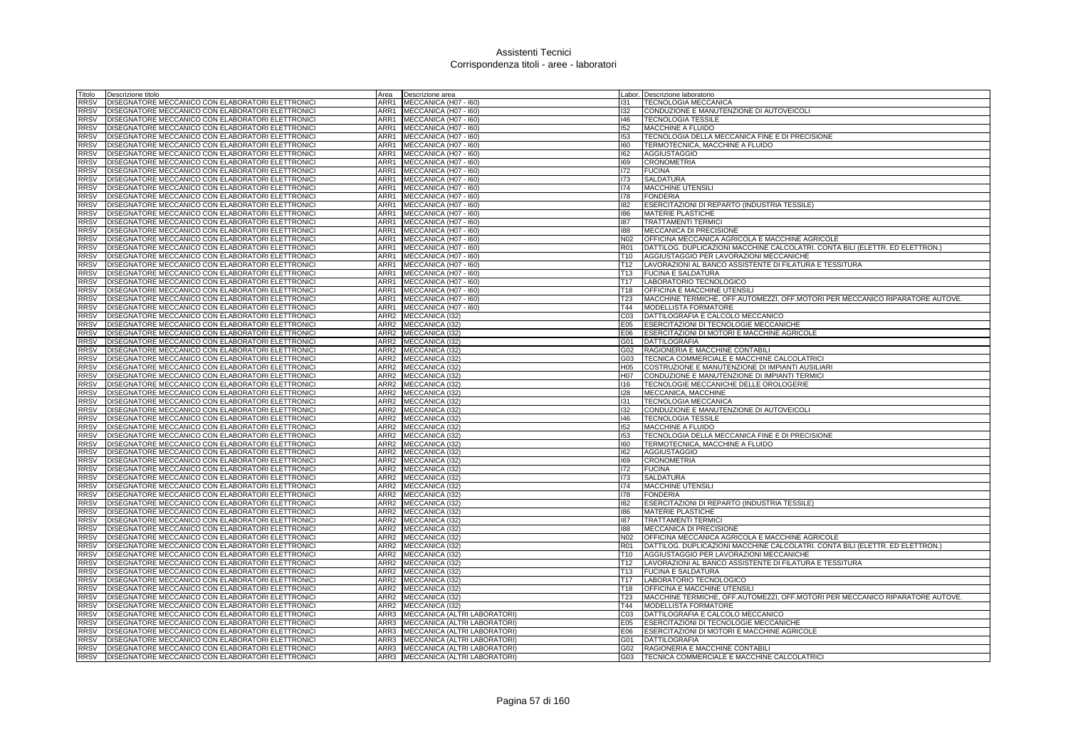| Titolo      | Descrizione titolo                                | Area             | Descrizione area                  |                 | Labor. Descrizione laboratorio                                                |
|-------------|---------------------------------------------------|------------------|-----------------------------------|-----------------|-------------------------------------------------------------------------------|
| <b>RRSV</b> | DISEGNATORE MECCANICO CON ELABORATORI ELETTRONICI | ARR1             | MECCANICA (H07 - I60)             | 131             | TECNOLOGIA MECCANICA                                                          |
| <b>RRSV</b> | DISEGNATORE MECCANICO CON ELABORATORI ELETTRONICI | ARR1             | MECCANICA (H07 - I60)             | 132             | CONDUZIONE E MANUTENZIONE DI AUTOVEICOLI                                      |
| <b>RRSV</b> | DISEGNATORE MECCANICO CON ELABORATORI ELETTRONICI |                  | ARR1 MECCANICA (H07 - 160)        | 146             | <b>TECNOLOGIA TESSILE</b>                                                     |
| <b>RRSV</b> | DISEGNATORE MECCANICO CON ELABORATORI ELETTRONICI | ARR1             | MECCANICA (H07 - I60)             | 152             | MACCHINE A FLUIDO                                                             |
| <b>RRSV</b> | DISEGNATORE MECCANICO CON ELABORATORI ELETTRONICI | ARR1             | MECCANICA (H07 - I60)             | 153             | TECNOLOGIA DELLA MECCANICA FINE E DI PRECISIONE                               |
| <b>RRSV</b> | DISEGNATORE MECCANICO CON ELABORATORI ELETTRONICI | ARR1             | MECCANICA (H07 - I60)             | 160             | TERMOTECNICA, MACCHINE A FLUIDO                                               |
| <b>RRSV</b> | DISEGNATORE MECCANICO CON ELABORATORI ELETTRONICI | ARR1             | MECCANICA (H07 - I60)             | 162             | <b>AGGIUSTAGGIO</b>                                                           |
| <b>RRSV</b> | DISEGNATORE MECCANICO CON ELABORATORI ELETTRONIC  | ARR1             | MECCANICA (H07 - I60)             | 169             | <b>CRONOMETRIA</b>                                                            |
| <b>RRSV</b> | DISEGNATORE MECCANICO CON ELABORATORI ELETTRONICI | ARR1             | MECCANICA (H07 - 160)             | 172             | <b>FUCINA</b>                                                                 |
| <b>RRSV</b> | DISEGNATORE MECCANICO CON ELABORATORI ELETTRONICI | ARR1             | MECCANICA (H07 - 160)             | 173             | <b>SALDATURA</b>                                                              |
| <b>RRSV</b> | DISEGNATORE MECCANICO CON ELABORATORI ELETTRONICI | ARR1             | MECCANICA (H07 - I60)             | 174             | <b>MACCHINE UTENSILI</b>                                                      |
| <b>RRSV</b> | DISEGNATORE MECCANICO CON ELABORATORI ELETTRONICI | ARR1             | MECCANICA (H07 - I60)             | 178             | <b>FONDERIA</b>                                                               |
| <b>RRSV</b> | DISEGNATORE MECCANICO CON ELABORATORI ELETTRONICI | ARR1             | MECCANICA (H07 - I60)             | 182             | <b>ESERCITAZIONI DI REPARTO (INDUSTRIA TESSILE)</b>                           |
| <b>RRSV</b> | DISEGNATORE MECCANICO CON ELABORATORI ELETTRONICI | ARR1             | MECCANICA (H07 - I60)             | 186             | <b>MATERIE PLASTICHE</b>                                                      |
| <b>RRSV</b> | DISEGNATORE MECCANICO CON ELABORATORI ELETTRONICI | ARR1             | MECCANICA (H07 - I60)             | 187             | <b>TRATTAMENTI TERMICI</b>                                                    |
| <b>RRSV</b> | DISEGNATORE MECCANICO CON ELABORATORI ELETTRONICI | ARR1             | MECCANICA (H07 - I60)             | 188             | MECCANICA DI PRECISIONE                                                       |
| <b>RRSV</b> | DISEGNATORE MECCANICO CON ELABORATORI ELETTRONICI | ARR1             | MECCANICA (H07 - I60)             | N <sub>02</sub> | OFFICINA MECCANICA AGRICOLA E MACCHINE AGRICOLE                               |
| <b>RRSV</b> | DISEGNATORE MECCANICO CON ELABORATORI ELETTRONIC  | ARR1             | MECCANICA (H07 - I60)             | <b>R01</b>      | DATTILOG. DUPLICAZIONI MACCHINE CALCOLATRI. CONTA BILI (ELETTR. ED ELETTRON.) |
| <b>RRSV</b> | DISEGNATORE MECCANICO CON ELABORATORI ELETTRONICI | ARR1             | MECCANICA (H07 - I60)             | T <sub>10</sub> | AGGIUSTAGGIO PER LAVORAZIONI MECCANICHE                                       |
| <b>RRSV</b> | DISEGNATORE MECCANICO CON ELABORATORI ELETTRONICI | ARR1             | MECCANICA (H07 - I60)             | T <sub>12</sub> | LAVORAZIONI AL BANCO ASSISTENTE DI FILATURA E TESSITURA                       |
| <b>RRSV</b> | DISEGNATORE MECCANICO CON ELABORATORI ELETTRONICI | ARR1             | MECCANICA (H07 - 160)             | T <sub>13</sub> | <b>FUCINA E SALDATURA</b>                                                     |
| <b>RRSV</b> | DISEGNATORE MECCANICO CON ELABORATORI ELETTRONICI | ARR1             | MECCANICA (H07 - I60)             | T <sub>17</sub> | LABORATORIO TECNOLOGICO                                                       |
| <b>RRSV</b> | DISEGNATORE MECCANICO CON ELABORATORI ELETTRONICI | ARR1             | MECCANICA (H07 - I60)             | T <sub>18</sub> | OFFICINA E MACCHINE UTENSILI                                                  |
| <b>RRSV</b> | DISEGNATORE MECCANICO CON ELABORATORI ELETTRONICI | ARR1             | MECCANICA (H07 - I60)             | <b>T23</b>      | MACCHINE TERMICHE, OFF.AUTOMEZZI, OFF.MOTORI PER MECCANICO RIPARATORE AUTOVE. |
| <b>RRSV</b> | DISEGNATORE MECCANICO CON ELABORATORI ELETTRONICI | ARR1             | MECCANICA (H07 - I60)             | T44             | MODELLISTA FORMATORE                                                          |
| <b>RRSV</b> | DISEGNATORE MECCANICO CON ELABORATORI ELETTRONIC  | ARR2             | MECCANICA (132)                   | C <sub>03</sub> | DATTILOGRAFIA E CALCOLO MECCANICO                                             |
| <b>RRSV</b> | DISEGNATORE MECCANICO CON ELABORATORI ELETTRONICI | ARR2             | MECCANICA (I32)                   | E05             | ESERCITAZIONI DI TECNOLOGIE MECCANICHE                                        |
| <b>RRSV</b> | DISEGNATORE MECCANICO CON ELABORATORI ELETTRONICI | ARR2             | MECCANICA (132)                   | E06             | ESERCITAZIONI DI MOTORI E MACCHINE AGRICOLE                                   |
| <b>RRSV</b> | DISEGNATORE MECCANICO CON ELABORATORI ELETTRONICI | ARR2             | MECCANICA (I32)                   | G01             | <b>DATTILOGRAFIA</b>                                                          |
| <b>RRSV</b> | DISEGNATORE MECCANICO CON ELABORATORI ELETTRONIC  | ARR2             | MECCANICA (132)                   | G02             | RAGIONERIA E MACCHINE CONTABILI                                               |
| <b>RRSV</b> | DISEGNATORE MECCANICO CON ELABORATORI ELETTRONICI | ARR <sub>2</sub> | MECCANICA (132)                   | G03             | TECNICA COMMERCIALE E MACCHINE CALCOLATRICI                                   |
| <b>RRSV</b> | DISEGNATORE MECCANICO CON ELABORATORI ELETTRONICI | ARR <sub>2</sub> | MECCANICA (132)                   | H <sub>05</sub> | COSTRUZIONE E MANUTENZIONE DI IMPIANTI AUSILIARI                              |
| <b>RRSV</b> | DISEGNATORE MECCANICO CON ELABORATORI ELETTRONICI | ARR2             | MECCANICA (I32)                   | H07             | CONDUZIONE E MANUTENZIONE DI IMPIANTI TERMICI                                 |
| <b>RRSV</b> | DISEGNATORE MECCANICO CON ELABORATORI ELETTRONICI |                  | ARR2 MECCANICA (I32)              | 116             | TECNOLOGIE MECCANICHE DELLE OROLOGERIE                                        |
| <b>RRSV</b> | DISEGNATORE MECCANICO CON ELABORATORI ELETTRONIC  | ARR2             | MECCANICA (I32)                   | 128             | MECCANICA, MACCHINE                                                           |
| <b>RRSV</b> | DISEGNATORE MECCANICO CON ELABORATORI ELETTRONICI | ARR2             | MECCANICA (I32)                   | 131             | <b>TECNOLOGIA MECCANICA</b>                                                   |
| <b>RRSV</b> | DISEGNATORE MECCANICO CON ELABORATORI ELETTRONICI | ARR2             | MECCANICA (132)                   | 132             | CONDUZIONE E MANUTENZIONE DI AUTOVEICOLI                                      |
| <b>RRSV</b> | DISEGNATORE MECCANICO CON ELABORATORI ELETTRONICI |                  | ARR2 MECCANICA (I32)              | 146             | <b>TECNOLOGIA TESSILE</b>                                                     |
| <b>RRSV</b> | DISEGNATORE MECCANICO CON ELABORATORI ELETTRONICI | ARR2             | MECCANICA (132)                   | 152             | MACCHINE A FLUIDO                                                             |
| <b>RRSV</b> | DISEGNATORE MECCANICO CON ELABORATORI ELETTRONICI | ARR <sub>2</sub> | MECCANICA (I32)                   | 153             | TECNOLOGIA DELLA MECCANICA FINE E DI PRECISIONE                               |
| <b>RRSV</b> | DISEGNATORE MECCANICO CON ELABORATORI ELETTRONICI | ARR2             | MECCANICA (I32)                   | 160             | TERMOTECNICA, MACCHINE A FLUIDO                                               |
| <b>RRSV</b> | DISEGNATORE MECCANICO CON ELABORATORI ELETTRONICI | ARR2             | MECCANICA (I32)                   | 162             | <b>AGGIUSTAGGIO</b>                                                           |
| <b>RRSV</b> | DISEGNATORE MECCANICO CON ELABORATORI ELETTRONICI | ARR2             | <b>MECCANICA (I32)</b>            | 169             | <b>CRONOMETRIA</b>                                                            |
| <b>RRSV</b> | DISEGNATORE MECCANICO CON ELABORATORI ELETTRONIC  | ARR2             | MECCANICA (I32)                   | 172             | <b>FUCINA</b>                                                                 |
| <b>RRSV</b> | DISEGNATORE MECCANICO CON ELABORATORI ELETTRONICI | ARR2             | MECCANICA (I32)                   | 173             | SALDATURA                                                                     |
| <b>RRSV</b> | DISEGNATORE MECCANICO CON ELABORATORI ELETTRONICI |                  | ARR2 MECCANICA (I32)              | 174             | <b>MACCHINE UTENSILI</b>                                                      |
| <b>RRSV</b> | DISEGNATORE MECCANICO CON ELABORATORI ELETTRONICI |                  | ARR2 MECCANICA (I32)              | 178             | <b>FONDERIA</b>                                                               |
| <b>RRSV</b> | DISEGNATORE MECCANICO CON ELABORATORI ELETTRONICI | ARR2             | MECCANICA (I32)                   | 182             | ESERCITAZIONI DI REPARTO (INDUSTRIA TESSILE)                                  |
| <b>RRSV</b> | DISEGNATORE MECCANICO CON ELABORATORI ELETTRONICI | ARR2             | MECCANICA (I32)                   | 186             | <b>MATERIE PLASTICHE</b>                                                      |
| <b>RRSV</b> | DISEGNATORE MECCANICO CON ELABORATORI ELETTRONICI | ARR2             | MECCANICA (I32)                   | 187             | <b>TRATTAMENTI TERMIC</b>                                                     |
| <b>RRSV</b> | DISEGNATORE MECCANICO CON ELABORATORI ELETTRONICI | ARR2             | MECCANICA (I32)                   | 188             | MECCANICA DI PRECISIONE                                                       |
| <b>RRSV</b> | DISEGNATORE MECCANICO CON ELABORATORI ELETTRONIC  | ARR2             | MECCANICA (132)                   | N <sub>02</sub> | OFFICINA MECCANICA AGRICOLA E MACCHINE AGRICOLE                               |
| <b>RRSV</b> | DISEGNATORE MECCANICO CON ELABORATORI ELETTRONIC  | ARR <sub>2</sub> | MECCANICA (I32)                   | <b>R01</b>      | DATTILOG. DUPLICAZIONI MACCHINE CALCOLATRI. CONTA BILI (ELETTR. ED ELETTRON.) |
| <b>RRSV</b> | DISEGNATORE MECCANICO CON ELABORATORI ELETTRONICI |                  | ARR2 MECCANICA (I32)              | T <sub>10</sub> | AGGIUSTAGGIO PER LAVORAZIONI MECCANICHE                                       |
| <b>RRSV</b> | DISEGNATORE MECCANICO CON ELABORATORI ELETTRONICI | ARR2             | MECCANICA (132)                   | T <sub>12</sub> | LAVORAZIONI AL BANCO ASSISTENTE DI FILATURA E TESSITURA                       |
| <b>RRSV</b> | DISEGNATORE MECCANICO CON ELABORATORI ELETTRONICI |                  | ARR2 MECCANICA (I32)              | T13             | <b>FUCINA E SALDATURA</b>                                                     |
| <b>RRSV</b> | DISEGNATORE MECCANICO CON ELABORATORI ELETTRONICI | ARR2             | MECCANICA (132)                   | T <sub>17</sub> | LABORATORIO TECNOLOGICO                                                       |
| <b>RRSV</b> | DISEGNATORE MECCANICO CON ELABORATORI ELETTRONICI | ARR2             | MECCANICA (I32)                   | T18             | OFFICINA E MACCHINE UTENSILI                                                  |
| <b>RRSV</b> | DISEGNATORE MECCANICO CON ELABORATORI ELETTRONICI | ARR2             | MECCANICA (I32)                   | T <sub>23</sub> | MACCHINE TERMICHE, OFF.AUTOMEZZI, OFF.MOTORI PER MECCANICO RIPARATORE AUTOVE. |
| <b>RRSV</b> | DISEGNATORE MECCANICO CON ELABORATORI ELETTRONICI |                  | ARR2 MECCANICA (I32)              | T44             | MODELLISTA FORMATORE                                                          |
| <b>RRSV</b> | DISEGNATORE MECCANICO CON ELABORATORI ELETTRONICI | ARR3             | MECCANICA (ALTRI LABORATORI)      | CO <sub>3</sub> | DATTILOGRAFIA E CALCOLO MECCANICO                                             |
| <b>RRSV</b> | DISEGNATORE MECCANICO CON ELABORATORI ELETTRONIC  | ARR3             | MECCANICA (ALTRI LABORATORI)      | E05             | <b>ESERCITAZIONI DI TECNOLOGIE MECCANICHE</b>                                 |
| <b>RRSV</b> | DISEGNATORE MECCANICO CON ELABORATORI ELETTRONICI | ARR3             | MECCANICA (ALTRI LABORATORI)      | E06             | ESERCITAZIONI DI MOTORI E MACCHINE AGRICOLE                                   |
| <b>RRSV</b> | DISEGNATORE MECCANICO CON ELABORATORI ELETTRONICI |                  | ARR3 MECCANICA (ALTRI LABORATORI) | G <sub>01</sub> | <b>DATTILOGRAFIA</b>                                                          |
| <b>RRSV</b> | DISEGNATORE MECCANICO CON ELABORATORI ELETTRONICI |                  | ARR3 MECCANICA (ALTRI LABORATORI) | G02             | RAGIONERIA E MACCHINE CONTABILI                                               |
| <b>RRSV</b> | DISEGNATORE MECCANICO CON ELABORATORI ELETTRONICI |                  | ARR3 MECCANICA (ALTRI LABORATORI) | G03             | <b>TECNICA COMMERCIALE E MACCHINE CALCOLATRICI</b>                            |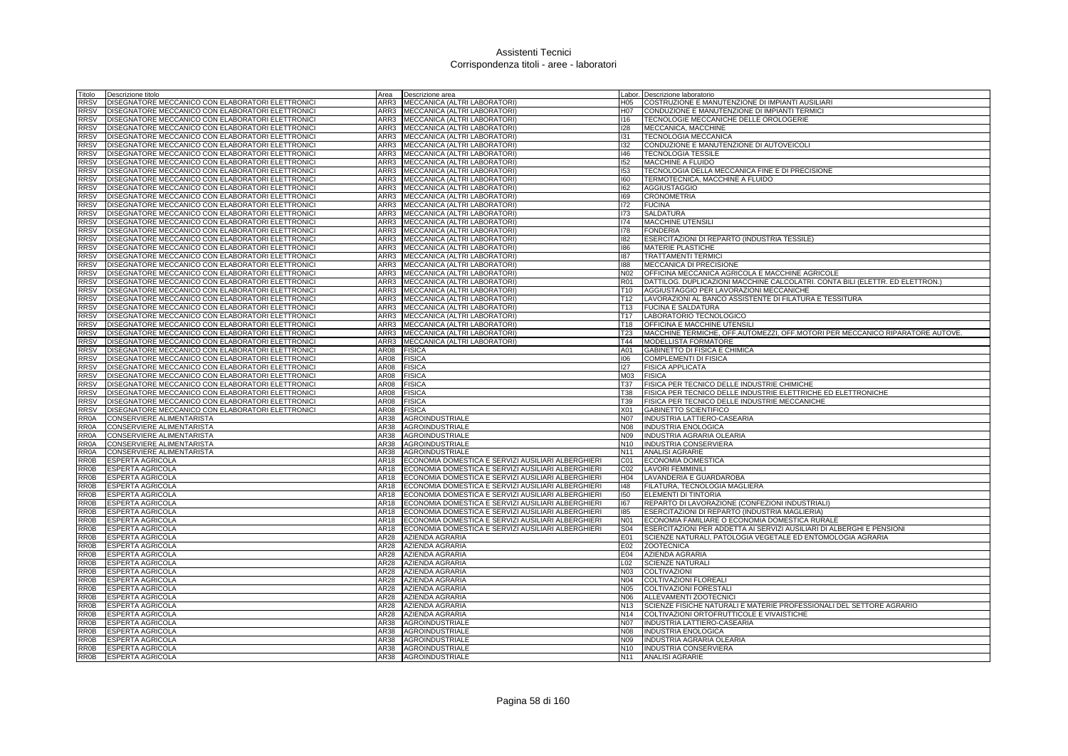| Titolo<br>Descrizione titolo                                                                                                                                           | Area<br>Descrizione area                                         |                 | Labor. Descrizione laboratorio                                                |
|------------------------------------------------------------------------------------------------------------------------------------------------------------------------|------------------------------------------------------------------|-----------------|-------------------------------------------------------------------------------|
| <b>RRSV</b><br>DISEGNATORE MECCANICO CON ELABORATORI ELETTRONICI                                                                                                       | MECCANICA (ALTRI LABORATORI)<br>ARR3                             | H05             | COSTRUZIONE E MANUTENZIONE DI IMPIANTI AUSILIARI                              |
| <b>RRSV</b><br>DISEGNATORE MECCANICO CON ELABORATORI ELETTRONICI                                                                                                       | MECCANICA (ALTRI LABORATORI)<br>ARR3                             | H07             | CONDUZIONE E MANUTENZIONE DI IMPIANTI TERMICI                                 |
| DISEGNATORE MECCANICO CON ELABORATORI ELETTRONICI<br><b>RRSV</b>                                                                                                       | ARR3 MECCANICA (ALTRI LABORATORI)                                | 116             | TECNOLOGIE MECCANICHE DELLE OROLOGERIE                                        |
| <b>RRSV</b><br>DISEGNATORE MECCANICO CON ELABORATORI ELETTRONICI                                                                                                       | ARR3<br>MECCANICA (ALTRI LABORATORI)                             | 128             | MECCANICA, MACCHINE                                                           |
| <b>RRSV</b><br>DISEGNATORE MECCANICO CON ELABORATORI ELETTRONICI                                                                                                       | ARR3<br>MECCANICA (ALTRI LABORATORI)                             | 131             | <b>TECNOLOGIA MECCANICA</b>                                                   |
| DISEGNATORE MECCANICO CON ELABORATORI ELETTRONICI<br><b>RRSV</b>                                                                                                       | MECCANICA (ALTRI LABORATORI)<br>ARR3                             | 132             | CONDUZIONE E MANUTENZIONE DI AUTOVEICOLI                                      |
| <b>RRSV</b><br>DISEGNATORE MECCANICO CON ELABORATORI ELETTRONICI                                                                                                       | ARR3<br>MECCANICA (ALTRI LABORATORI)                             | 146             | <b>TECNOLOGIA TESSILE</b>                                                     |
| DISEGNATORE MECCANICO CON ELABORATORI ELETTRONICI<br><b>RRSV</b>                                                                                                       | ARR3<br>MECCANICA (ALTRI LABORATORI)                             | 152             | MACCHINE A FLUIDO                                                             |
| <b>RRSV</b><br>DISEGNATORE MECCANICO CON ELABORATORI ELETTRONICI                                                                                                       | ARR3<br>MECCANICA (ALTRI LABORATORI)                             | 153             | TECNOLOGIA DELLA MECCANICA FINE E DI PRECISIONE                               |
| DISEGNATORE MECCANICO CON ELABORATORI ELETTRONICI<br><b>RRSV</b>                                                                                                       | MECCANICA (ALTRI LABORATORI)<br>ARR3                             | 160             | TERMOTECNICA, MACCHINE A FLUIDO                                               |
| <b>RRSV</b><br>DISEGNATORE MECCANICO CON ELABORATORI ELETTRONICI                                                                                                       | ARR3<br>MECCANICA (ALTRI LABORATORI)                             | 162             | <b>AGGIUSTAGGIO</b>                                                           |
| DISEGNATORE MECCANICO CON ELABORATORI ELETTRONICI<br><b>RRSV</b>                                                                                                       | MECCANICA (ALTRI LABORATORI)<br>ARR3                             | 169             | <b>CRONOMETRIA</b>                                                            |
| DISEGNATORE MECCANICO CON ELABORATORI ELETTRONICI<br><b>RRSV</b>                                                                                                       | MECCANICA (ALTRI LABORATORI)<br>ARR3                             | 172             | <b>FUCINA</b>                                                                 |
| DISEGNATORE MECCANICO CON ELABORATORI ELETTRONICI<br><b>RRSV</b>                                                                                                       | ARR3<br>MECCANICA (ALTRI LABORATORI)                             | 173             | <b>SALDATURA</b>                                                              |
| DISEGNATORE MECCANICO CON ELABORATORI ELETTRONICI<br><b>RRSV</b>                                                                                                       | MECCANICA (ALTRI LABORATORI)<br>ARR3                             | 174             | <b>MACCHINE UTENSILI</b>                                                      |
| DISEGNATORE MECCANICO CON ELABORATORI ELETTRONICI<br><b>RRSV</b>                                                                                                       | ARR3<br>MECCANICA (ALTRI LABORATORI)                             | 178             | <b>FONDERIA</b>                                                               |
| <b>RRSV</b><br>DISEGNATORE MECCANICO CON ELABORATORI ELETTRONICI                                                                                                       | ARR3<br>MECCANICA (ALTRI LABORATORI)                             | 182             | ESERCITAZIONI DI REPARTO (INDUSTRIA TESSILE)                                  |
| <b>RRSV</b><br>DISEGNATORE MECCANICO CON ELABORATORI ELETTRONICI                                                                                                       | ARR3<br>MECCANICA (ALTRI LABORATORI)                             | 186             | MATERIE PLASTICHE                                                             |
| DISEGNATORE MECCANICO CON ELABORATORI ELETTRONICI<br><b>RRSV</b>                                                                                                       | ARR3<br>MECCANICA (ALTRI LABORATORI)                             | 187             | <b>TRATTAMENTI TERMICI</b>                                                    |
| <b>RRSV</b><br>DISEGNATORE MECCANICO CON ELABORATORI ELETTRONICI                                                                                                       | ARR3<br>MECCANICA (ALTRI LABORATORI)                             | 188             | MECCANICA DI PRECISIONE                                                       |
| <b>RRSV</b><br>DISEGNATORE MECCANICO CON ELABORATORI ELETTRONICI                                                                                                       | ARR3<br>MECCANICA (ALTRI LABORATORI)                             | N <sub>02</sub> | OFFICINA MECCANICA AGRICOLA E MACCHINE AGRICOLE                               |
| <b>RRSV</b><br>DISEGNATORE MECCANICO CON ELABORATORI ELETTRONICI                                                                                                       | ARR3<br>MECCANICA (ALTRI LABORATORI)                             | <b>R01</b>      | DATTILOG. DUPLICAZIONI MACCHINE CALCOLATRI. CONTA BILI (ELETTR. ED ELETTRON.) |
| DISEGNATORE MECCANICO CON ELABORATORI ELETTRONICI<br><b>RRSV</b>                                                                                                       | MECCANICA (ALTRI LABORATORI)<br>ARR3                             | T <sub>10</sub> | AGGIUSTAGGIO PER LAVORAZIONI MECCANICHE                                       |
| <b>RRSV</b><br>DISEGNATORE MECCANICO CON ELABORATORI ELETTRONICI                                                                                                       | ARR3<br>MECCANICA (ALTRI LABORATORI)                             | T12             | LAVORAZIONI AL BANCO ASSISTENTE DI FILATURA E TESSITURA                       |
| DISEGNATORE MECCANICO CON ELABORATORI ELETTRONICI<br><b>RRSV</b>                                                                                                       | ARR3<br>MECCANICA (ALTRI LABORATORI)                             | T <sub>13</sub> | <b>FUCINA E SALDATURA</b>                                                     |
| <b>RRSV</b><br>DISEGNATORE MECCANICO CON ELABORATORI ELETTRONICI                                                                                                       | ARR3<br>MECCANICA (ALTRI LABORATORI)                             | T17             | LABORATORIO TECNOLOGICO                                                       |
| DISEGNATORE MECCANICO CON ELABORATORI ELETTRONICI<br><b>RRSV</b>                                                                                                       | MECCANICA (ALTRI LABORATORI)<br>ARR3                             | T18             | <b>OFFICINA E MACCHINE UTENSILI</b>                                           |
| <b>RRSV</b><br>DISEGNATORE MECCANICO CON ELABORATORI ELETTRONICI                                                                                                       | MECCANICA (ALTRI LABORATORI)<br>ARR3                             | T <sub>23</sub> | MACCHINE TERMICHE, OFF.AUTOMEZZI, OFF.MOTORI PER MECCANICO RIPARATORE AUTOVE. |
| DISEGNATORE MECCANICO CON ELABORATORI ELETTRONICI<br><b>RRSV</b>                                                                                                       | MECCANICA (ALTRI LABORATORI)<br>ARR3                             | T44             | MODELLISTA FORMATORE                                                          |
| <b>RRSV</b><br>DISEGNATORE MECCANICO CON ELABORATORI ELETTRONICI                                                                                                       | AR08<br><b>FISICA</b>                                            | A01             | GABINETTO DI FISICA E CHIMICA                                                 |
| <b>RRSV</b><br>DISEGNATORE MECCANICO CON ELABORATORI ELETTRONICI                                                                                                       | AR08<br><b>FISICA</b>                                            | 106             | COMPLEMENTI DI FISICA                                                         |
| DISEGNATORE MECCANICO CON ELABORATORI ELETTRONICI<br><b>RRSV</b>                                                                                                       | AR08<br><b>FISICA</b>                                            | 127             | <b>FISICA APPLICATA</b>                                                       |
| <b>RRSV</b><br>DISEGNATORE MECCANICO CON ELABORATORI ELETTRONICI                                                                                                       | <b>FISICA</b><br>AR08                                            | M03             | <b>FISICA</b>                                                                 |
| <b>RRSV</b><br>DISEGNATORE MECCANICO CON ELABORATORI ELETTRONICI                                                                                                       | AR08<br><b>FISICA</b>                                            | <b>T37</b>      | FISICA PER TECNICO DELLE INDUSTRIE CHIMICHE                                   |
| <b>RRSV</b><br>DISEGNATORE MECCANICO CON ELABORATORI ELETTRONICI                                                                                                       | <b>FISICA</b><br>AR08                                            | <b>T38</b>      | FISICA PER TECNICO DELLE INDUSTRIE ELETTRICHE ED ELETTRONICHE                 |
| <b>RRSV</b><br>DISEGNATORE MECCANICO CON ELABORATORI ELETTRONICI                                                                                                       | AR08<br><b>FISICA</b>                                            | T39             | FISICA PER TECNICO DELLE INDUSTRIE MECCANICHE                                 |
| <b>RRSV</b><br>DISEGNATORE MECCANICO CON ELABORATORI ELETTRONICI                                                                                                       | <b>FISICA</b><br>AR08                                            | X01             | <b>GABINETTO SCIENTIFICO</b>                                                  |
| CONSERVIERE ALIMENTARISTA<br><b>RR0A</b>                                                                                                                               | <b>AGROINDUSTRIALE</b><br>AR38                                   | <b>N07</b>      | INDUSTRIA LATTIERO-CASEARIA                                                   |
| <b>RR0A</b><br>CONSERVIERE ALIMENTARISTA                                                                                                                               | AR38<br><b>AGROINDUSTRIALE</b>                                   | <b>N08</b>      | <b>INDUSTRIA ENOLOGICA</b>                                                    |
| CONSERVIERE ALIMENTARISTA<br>RR <sub>0</sub> A                                                                                                                         | AR38<br><b>AGROINDUSTRIALE</b>                                   | N09             | INDUSTRIA AGRARIA OLEARIA                                                     |
| CONSERVIERE ALIMENTARISTA<br>RR <sub>0</sub> A                                                                                                                         | AR38<br>AGROINDUSTRIALE                                          | N <sub>10</sub> | INDUSTRIA CONSERVIERA                                                         |
| CONSERVIERE ALIMENTARISTA<br>RR <sub>0</sub> A                                                                                                                         | AR38<br><b>AGROINDUSTRIALE</b>                                   | N <sub>11</sub> | <b>ANALISI AGRARIE</b>                                                        |
| ESPERTA AGRICOLA<br><b>RR0B</b>                                                                                                                                        | ECONOMIA DOMESTICA E SERVIZI AUSILIARI ALBERGHIERI<br>AR18       | C <sub>01</sub> | <b>ECONOMIA DOMESTICA</b>                                                     |
| <b>RR0B</b><br>ESPERTA AGRICOLA                                                                                                                                        | AR18<br>ECONOMIA DOMESTICA E SERVIZI AUSILIARI ALBERGHIERI       | CO <sub>2</sub> | <b>LAVORI FEMMINILI</b>                                                       |
| <b>RR0B</b><br>ESPERTA AGRICOLA                                                                                                                                        | AR18<br>ECONOMIA DOMESTICA E SERVIZI AUSILIARI ALBERGHIERI       | H04             | LAVANDERIA E GUARDAROBA                                                       |
| <b>ESPERTA AGRICOLA</b><br><b>RR0B</b>                                                                                                                                 | ECONOMIA DOMESTICA E SERVIZI AUSILIARI ALBERGHIERI<br>AR18       | 148             | FILATURA, TECNOLOGIA MAGLIERA                                                 |
| <b>RR0B</b><br>ESPERTA AGRICOLA                                                                                                                                        | AR18<br>ECONOMIA DOMESTICA E SERVIZI AUSILIARI ALBERGHIERI       | 150             | ELEMENTI DI TINTORIA                                                          |
| <b>RR0B</b><br>ESPERTA AGRICOLA                                                                                                                                        | AR18<br>ECONOMIA DOMESTICA E SERVIZI AUSILIARI ALBERGHIERI       | 167             | REPARTO DI LAVORAZIONE (CONFEZIONI INDUSTRIALI)                               |
| <b>RR0B</b><br>ESPERTA AGRICOLA                                                                                                                                        | ECONOMIA DOMESTICA E SERVIZI AUSILIARI ALBERGHIERI<br>AR18       | 185             | ESERCITAZIONI DI REPARTO (INDUSTRIA MAGLIERIA)                                |
| <b>RR0B</b><br><b>ESPERTA AGRICOLA</b>                                                                                                                                 |                                                                  |                 | ECONOMIA FAMILIARE O ECONOMIA DOMESTICA RURALE                                |
| <b>RR0B</b><br><b>ESPERTA AGRICOLA</b>                                                                                                                                 | ECONOMIA DOMESTICA E SERVIZI AUSILIARI ALBERGHIERI<br>AR18       | N01             |                                                                               |
|                                                                                                                                                                        | ECONOMIA DOMESTICA E SERVIZI AUSILIARI ALBERGHIERI<br>AR18       | S04             | ESERCITAZIONI PER ADDETTA AI SERVIZI AUSILIARI DI ALBERGHI E PENSIONI         |
| ESPERTA AGRICOLA                                                                                                                                                       | AR28<br><b>AZIENDA AGRARIA</b>                                   | E01             | SCIENZE NATURALI, PATOLOGIA VEGETALE ED ENTOMOLOGIA AGRARIA                   |
| <b>ESPERTA AGRICOLA</b>                                                                                                                                                | AZIENDA AGRARIA<br>AR28                                          | E02             | <b>ZOOTECNICA</b>                                                             |
| <b>ESPERTA AGRICOLA</b>                                                                                                                                                | AZIENDA AGRARIA<br>AR28                                          | E04             | AZIENDA AGRARIA                                                               |
| ESPERTA AGRICOLA                                                                                                                                                       | AR28<br>AZIENDA AGRARIA                                          | L02             | <b>SCIENZE NATURALI</b>                                                       |
| ESPERTA AGRICOLA                                                                                                                                                       | AR28<br>AZIENDA AGRARIA                                          | <b>N03</b>      | <b>COLTIVAZIONI</b>                                                           |
| ESPERTA AGRICOLA                                                                                                                                                       | AR28<br>AZIENDA AGRARIA                                          | N04             | <b>COLTIVAZIONI FLOREALI</b>                                                  |
| ESPERTA AGRICOLA                                                                                                                                                       | AR28<br>AZIENDA AGRARIA                                          | <b>N05</b>      | COLTIVAZIONI FORESTAL                                                         |
| ESPERTA AGRICOLA                                                                                                                                                       | AZIENDA AGRARIA<br>AR28                                          | N06             | ALLEVAMENTI ZOOTECNICI                                                        |
| ESPERTA AGRICOLA                                                                                                                                                       | AR28<br>AZIENDA AGRARIA                                          | N <sub>13</sub> | SCIENZE FISICHE NATURALI E MATERIE PROFESSIONALI DEL SETTORE AGRARIO          |
| <b>RR0B</b><br><b>RR0B</b><br><b>RR0B</b><br><b>RR0B</b><br><b>RR0B</b><br><b>RR0B</b><br><b>RR0B</b><br><b>RR0B</b><br><b>RR0B</b><br><b>RR0B</b><br>ESPERTA AGRICOLA | AR28<br>AZIENDA AGRARIA                                          | N <sub>14</sub> | COLTIVAZIONI ORTOFRUTTICOLE E VIVAISTICHE                                     |
| <b>RR0B</b><br>ESPERTA AGRICOLA                                                                                                                                        | AR38<br><b>AGROINDUSTRIALE</b>                                   | <b>N07</b>      | INDUSTRIA LATTIERO-CASEARIA                                                   |
| <b>RR0B</b><br>ESPERTA AGRICOLA                                                                                                                                        | <b>AGROINDUSTRIALE</b><br>AR38                                   | N08             | <b>INDUSTRIA ENOLOGICA</b>                                                    |
| <b>RR0B</b><br>ESPERTA AGRICOLA                                                                                                                                        | AR38<br><b>AGROINDUSTRIALE</b>                                   | N <sub>09</sub> | INDUSTRIA AGRARIA OLEARIA                                                     |
| <b>RR0B</b><br><b>ESPERTA AGRICOLA</b><br>RR0B<br><b>ESPERTA AGRICOLA</b>                                                                                              | <b>AGROINDUSTRIALE</b><br>AR38<br>AR38<br><b>AGROINDUSTRIALE</b> | N <sub>10</sub> | <b>INDUSTRIA CONSERVIERA</b><br>N11 ANALISI AGRARIE                           |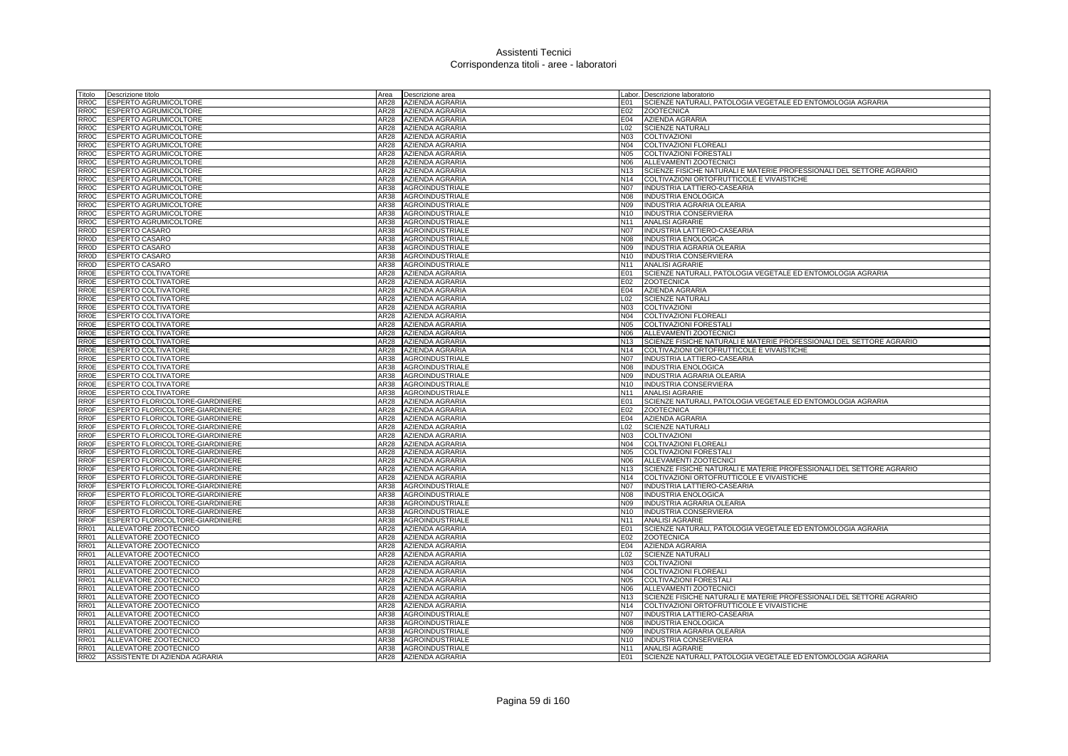| Fitolo            | Descrizione titolo                                       | Area         | Descrizione area                                 |                        | Labor. Descrizione laboratorio                                                                 |
|-------------------|----------------------------------------------------------|--------------|--------------------------------------------------|------------------------|------------------------------------------------------------------------------------------------|
| RR0C              | ESPERTO AGRUMICOLTORE                                    | AR28         | <b>AZIENDA AGRARIA</b>                           | E01                    | SCIENZE NATURALI, PATOLOGIA VEGETALE ED ENTOMOLOGIA AGRARIA                                    |
| RR0C              | <b>ESPERTO AGRUMICOLTORE</b>                             | AR28         | AZIENDA AGRARIA                                  | E02                    | <b>ZOOTECNICA</b>                                                                              |
| RR0C              | <b>ESPERTO AGRUMICOLTORE</b>                             | AR28         | AZIENDA AGRARIA                                  | E04                    | AZIENDA AGRARIA                                                                                |
| RR0C              | <b>ESPERTO AGRUMICOLTORE</b>                             | AR28         | AZIENDA AGRARIA                                  | L02                    | <b>SCIENZE NATURALI</b>                                                                        |
| RR0C              | <b>ESPERTO AGRUMICOLTORE</b>                             | AR28         | <b>AZIENDA AGRARIA</b>                           | <b>N03</b>             | <b>COLTIVAZION</b>                                                                             |
| RR <sub>0</sub> C | ESPERTO AGRUMICOLTORE                                    | AR28         | AZIENDA AGRARIA                                  | N04                    | COLTIVAZIONI FLOREALI                                                                          |
| RR0C              | ESPERTO AGRUMICOLTORE                                    | AR28         | AZIENDA AGRARIA                                  | N05                    | COLTIVAZIONI FORESTALI                                                                         |
| RR0C              | ESPERTO AGRUMICOLTORE                                    | AR28         | AZIENDA AGRARIA                                  | N06                    | ALLEVAMENTI ZOOTECNICI                                                                         |
| RR0C              | <b>ESPERTO AGRUMICOLTORE</b>                             | AR28         | <b>AZIENDA AGRARIA</b>                           | N <sub>13</sub>        | SCIENZE FISICHE NATURALI E MATERIE PROFESSIONALI DEL SETTORE AGRARIO                           |
| <b>RR0C</b>       | <b>ESPERTO AGRUMICOLTORE</b>                             | AR28         | AZIENDA AGRARIA                                  | N <sub>14</sub>        | COLTIVAZIONI ORTOFRUTTICOLE E VIVAISTICHE                                                      |
| RR0C              | <b>ESPERTO AGRUMICOLTORE</b>                             | AR38         | AGROINDUSTRIALE                                  | <b>N07</b>             | INDUSTRIA LATTIERO-CASEARIA                                                                    |
| RROC              | <b>ESPERTO AGRUMICOLTORE</b>                             | AR38         | <b>AGROINDUSTRIALE</b>                           | N08                    | <b>INDUSTRIA ENOLOGICA</b>                                                                     |
| RR0C              | ESPERTO AGRUMICOLTORE                                    | AR38         | <b>AGROINDUSTRIALE</b>                           | N09                    | INDUSTRIA AGRARIA OLEARIA                                                                      |
| <b>RROC</b>       | ESPERTO AGRUMICOLTORE                                    | AR38         | <b>AGROINDUSTRIALE</b>                           | N <sub>10</sub>        | <b>INDUSTRIA CONSERVIERA</b>                                                                   |
| RR0C              | <b>ESPERTO AGRUMICOLTORE</b>                             | AR38         | <b>AGROINDUSTRIALE</b>                           | N11                    | <b>ANALISI AGRARIE</b>                                                                         |
| RROD              | <b>ESPERTO CASARO</b>                                    | AR38         | <b>AGROINDUSTRIALE</b>                           | <b>N07</b>             | INDUSTRIA LATTIERO-CASEARIA                                                                    |
| RR0D              | <b>ESPERTO CASARO</b>                                    | AR38         | <b>AGROINDUSTRIALE</b>                           | <b>N08</b>             | <b>INDUSTRIA ENOLOGICA</b>                                                                     |
| <b>RROD</b>       | <b>ESPERTO CASARO</b>                                    | AR38         | <b>AGROINDUSTRIALE</b>                           | N09                    | INDUSTRIA AGRARIA OLEARIA                                                                      |
| RR0D              | <b>ESPERTO CASARO</b>                                    | AR38         | <b>AGROINDUSTRIALE</b>                           | N <sub>10</sub>        | <b>INDUSTRIA CONSERVIERA</b>                                                                   |
| RROD              | <b>ESPERTO CASARO</b>                                    | AR38         | <b>AGROINDUSTRIALE</b>                           | N <sub>11</sub>        | <b>ANALISI AGRARIE</b>                                                                         |
| <b>RROE</b>       | <b>ESPERTO COLTIVATORE</b>                               | AR28         | AZIENDA AGRARIA                                  | E01                    | SCIENZE NATURALI, PATOLOGIA VEGETALE ED ENTOMOLOGIA AGRARIA                                    |
| RR0E              | <b>ESPERTO COLTIVATORE</b>                               | AR28         | AZIENDA AGRARIA                                  | E02                    | <b>ZOOTECNICA</b>                                                                              |
| <b>RR0E</b>       | <b>ESPERTO COLTIVATORE</b>                               | AR28         | AZIENDA AGRARIA                                  | E04                    | AZIENDA AGRARIA                                                                                |
| <b>RR0E</b>       | <b>ESPERTO COLTIVATORE</b>                               | AR28         | AZIENDA AGRARIA                                  | L02                    | <b>SCIENZE NATURALI</b>                                                                        |
| RROE              | <b>ESPERTO COLTIVATORE</b>                               | AR28         | <b>AZIENDA AGRARIA</b>                           | N03                    | <b>COLTIVAZION</b>                                                                             |
| RROE              | <b>ESPERTO COLTIVATORE</b>                               | AR28         | AZIENDA AGRARIA                                  | N04                    | <b>COLTIVAZIONI FLOREALI</b>                                                                   |
| RR0E              | <b>ESPERTO COLTIVATORE</b>                               | AR28         | AZIENDA AGRARIA                                  | <b>N05</b>             | COLTIVAZIONI FORESTAL                                                                          |
| RR0E<br>RROE      | <b>ESPERTO COLTIVATORE</b>                               | AR28<br>AR28 | <b>AZIENDA AGRARIA</b><br><b>AZIENDA AGRARIA</b> | N06<br>N <sub>13</sub> | ALLEVAMENTI ZOOTECNICI<br>SCIENZE FISICHE NATURALI E MATERIE PROFESSIONALI DEL SETTORE AGRARIO |
| RR0E              | <b>ESPERTO COLTIVATORE</b>                               | AR28         | <b>AZIENDA AGRARIA</b>                           | N <sub>14</sub>        |                                                                                                |
| RR <sub>0</sub> E | <b>ESPERTO COLTIVATORE</b><br><b>ESPERTO COLTIVATORE</b> | AR38         | <b>AGROINDUSTRIALE</b>                           | N <sub>07</sub>        | COLTIVAZIONI ORTOFRUTTICOLE E VIVAISTICHE<br><b>INDUSTRIA LATTIERO-CASEARIA</b>                |
| <b>RR0E</b>       | <b>ESPERTO COLTIVATORE</b>                               | AR38         | <b>AGROINDUSTRIALE</b>                           | <b>N08</b>             | <b>INDUSTRIA ENOLOGICA</b>                                                                     |
| RR0E              | ESPERTO COLTIVATORE                                      | AR38         | <b>AGROINDUSTRIALE</b>                           | N09                    | INDUSTRIA AGRARIA OLEARIA                                                                      |
| RR0E              | <b>ESPERTO COLTIVATORE</b>                               | AR38         | <b>AGROINDUSTRIALE</b>                           |                        | N10 INDUSTRIA CONSERVIERA                                                                      |
| RROE              | <b>ESPERTO COLTIVATORE</b>                               | AR38         | <b>AGROINDUSTRIALE</b>                           | N <sub>11</sub>        | <b>ANALISI AGRARIE</b>                                                                         |
| <b>RR0F</b>       | ESPERTO FLORICOLTORE-GIARDINIERE                         | <b>AR28</b>  | AZIENDA AGRARIA                                  | E01                    | SCIENZE NATURALI, PATOLOGIA VEGETALE ED ENTOMOLOGIA AGRARIA                                    |
| <b>RR0F</b>       | ESPERTO FLORICOLTORE-GIARDINIERE                         | AR28         | AZIENDA AGRARIA                                  | E02                    | <b>ZOOTECNICA</b>                                                                              |
| <b>RROF</b>       | ESPERTO FLORICOLTORE-GIARDINIERE                         | AR28         | AZIENDA AGRARIA                                  | E04                    | AZIENDA AGRARIA                                                                                |
| <b>RR0F</b>       | ESPERTO FLORICOLTORE-GIARDINIERE                         | AR28         | <b>AZIENDA AGRARIA</b>                           | L02                    | <b>SCIENZE NATURALI</b>                                                                        |
| <b>RR0F</b>       | ESPERTO FLORICOLTORE-GIARDINIERE                         | AR28         | AZIENDA AGRARIA                                  | N03                    | COLTIVAZION                                                                                    |
| <b>RR0F</b>       | ESPERTO FLORICOLTORE-GIARDINIERE                         | AR28         | AZIENDA AGRARIA                                  | N04                    | <b>COLTIVAZIONI FLOREALI</b>                                                                   |
| RROF              | ESPERTO FLORICOLTORE-GIARDINIERE                         | AR28         | AZIENDA AGRARIA                                  | N05                    | COLTIVAZIONI FORESTALI                                                                         |
| RR0F              | ESPERTO FLORICOLTORE-GIARDINIERE                         | AR28         | AZIENDA AGRARIA                                  | N06                    | ALLEVAMENTI ZOOTECNICI                                                                         |
| <b>RROF</b>       | ESPERTO FLORICOLTORE-GIARDINIERE                         | AR28         | AZIENDA AGRARIA                                  | N <sub>13</sub>        | SCIENZE FISICHE NATURALI E MATERIE PROFESSIONALI DEL SETTORE AGRARIO                           |
| <b>RR0F</b>       | ESPERTO FLORICOLTORE-GIARDINIERE                         | AR28         | <b>AZIENDA AGRARIA</b>                           | N <sub>14</sub>        | COLTIVAZIONI ORTOFRUTTICOLE E VIVAISTICHE                                                      |
| <b>RROF</b>       | ESPERTO FLORICOLTORE-GIARDINIERE                         | AR38         | <b>AGROINDUSTRIALE</b>                           | <b>N07</b>             | <b>INDUSTRIA LATTIERO-CASEARIA</b>                                                             |
| <b>RROF</b>       | ESPERTO FLORICOLTORE-GIARDINIERE                         | AR38         | <b>AGROINDUSTRIALE</b>                           | N08                    | <b>INDUSTRIA ENOLOGICA</b>                                                                     |
| <b>RROF</b>       | ESPERTO FLORICOLTORE-GIARDINIERE                         | AR38         | <b>AGROINDUSTRIALE</b>                           | N09                    | INDUSTRIA AGRARIA OLEARIA                                                                      |
| <b>RR0F</b>       | ESPERTO FLORICOLTORE-GIARDINIERE                         | AR38         | <b>AGROINDUSTRIALE</b>                           | N10                    | INDUSTRIA CONSERVIERA                                                                          |
| RROF              | ESPERTO FLORICOLTORE-GIARDINIERE                         | AR38         | <b>AGROINDUSTRIALE</b>                           | N11                    | <b>ANALISI AGRARIE</b>                                                                         |
| RR01              | ALLEVATORE ZOOTECNICO                                    | AR28         | AZIENDA AGRARIA                                  | E01                    | SCIENZE NATURALI, PATOLOGIA VEGETALE ED ENTOMOLOGIA AGRARIA                                    |
| <b>RR01</b>       | ALLEVATORE ZOOTECNICO                                    | AR28         | AZIENDA AGRARIA                                  | E02                    | <b>ZOOTECNICA</b>                                                                              |
| <b>RR01</b>       | ALLEVATORE ZOOTECNICO                                    | AR28         | <b>AZIENDA AGRARIA</b>                           | E04                    | <b>AZIENDA AGRARIA</b>                                                                         |
| RR01              | ALLEVATORE ZOOTECNICO                                    | AR28         | AZIENDA AGRARIA                                  | L02                    | <b>SCIENZE NATURALI</b>                                                                        |
| <b>RR01</b>       | ALLEVATORE ZOOTECNICO                                    | AR28         | <b>AZIENDA AGRARIA</b>                           | N03                    | <b>COLTIVAZION</b>                                                                             |
| <b>RR01</b>       | ALLEVATORE ZOOTECNICO                                    | AR28         | AZIENDA AGRARIA                                  | N04                    | <b>COLTIVAZIONI FLOREAL</b>                                                                    |
| <b>RR01</b>       | ALLEVATORE ZOOTECNICO                                    | AR28         | <b>AZIENDA AGRARIA</b>                           | N05                    | <b>COLTIVAZIONI FORESTAL</b>                                                                   |
| <b>RR01</b>       | ALLEVATORE ZOOTECNICO                                    | AR28         | AZIENDA AGRARIA                                  | N06                    | ALLEVAMENTI ZOOTECNICI                                                                         |
| RR <sub>01</sub>  | ALLEVATORE ZOOTECNICO                                    | AR28         | AZIENDA AGRARIA                                  | N <sub>13</sub>        | SCIENZE FISICHE NATURALI E MATERIE PROFESSIONALI DEL SETTORE AGRARIO                           |
| <b>RR01</b>       | ALLEVATORE ZOOTECNICO                                    | AR28         | AZIENDA AGRARIA                                  | N <sub>14</sub>        | COLTIVAZIONI ORTOFRUTTICOLE E VIVAISTICHE                                                      |
| <b>RR01</b>       | ALLEVATORE ZOOTECNICO                                    | AR38         | <b>AGROINDUSTRIALE</b>                           | <b>N07</b>             | INDUSTRIA LATTIERO-CASEARIA                                                                    |
| <b>RR01</b>       | ALLEVATORE ZOOTECNICO                                    | AR38         | <b>AGROINDUSTRIALE</b>                           | N08                    | <b>INDUSTRIA ENOLOGICA</b>                                                                     |
| <b>R01</b>        | ALLEVATORE ZOOTECNICO                                    | AR38         | <b>AGROINDUSTRIALE</b>                           | N09                    | INDUSTRIA AGRARIA OLEARIA                                                                      |
| <b>RR01</b>       | ALLEVATORE ZOOTECNICO                                    | AR38         | <b>AGROINDUSTRIALE</b>                           | N10                    | INDUSTRIA CONSERVIERA                                                                          |
| <b>RR01</b>       | ALLEVATORE ZOOTECNICO                                    | AR38         | <b>AGROINDUSTRIALE</b>                           | N <sub>11</sub>        | <b>ANALISI AGRARIE</b>                                                                         |
| <b>RR02</b>       | ASSISTENTE DI AZIENDA AGRARIA                            |              | AR28 AZIENDA AGRARIA                             | E01                    | SCIENZE NATURALI, PATOLOGIA VEGETALE ED ENTOMOLOGIA AGRARIA                                    |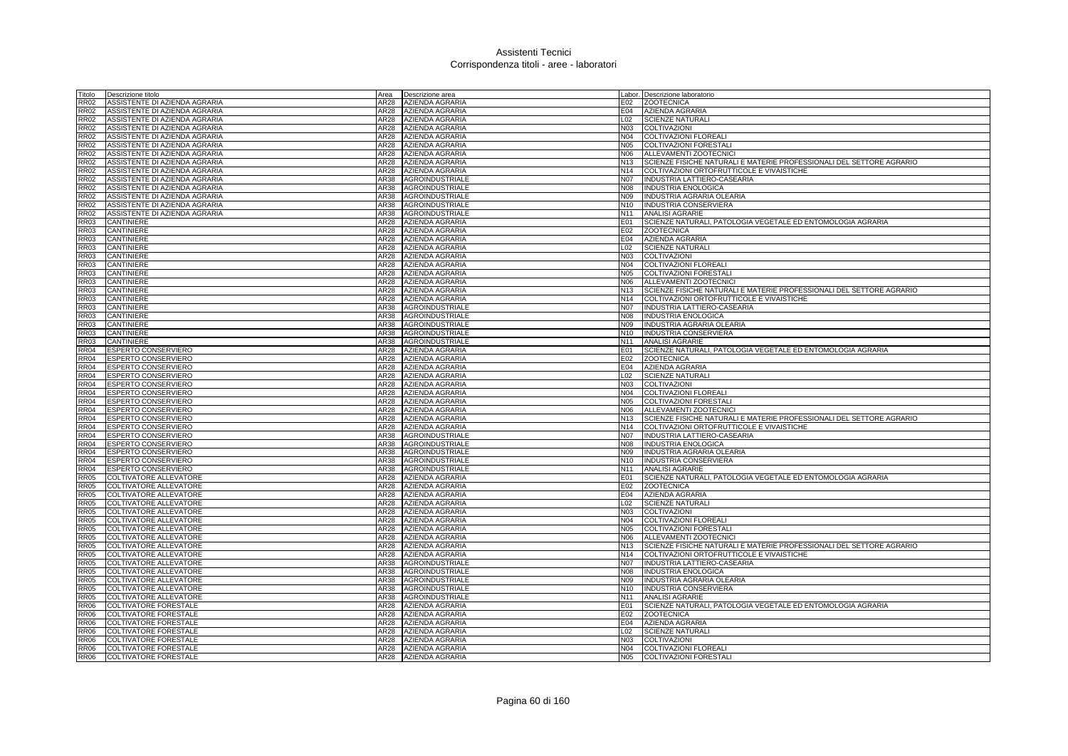| Titolo                     | Descrizione titolo            | Area         | Descrizione area                                 |                               | Labor. Descrizione laboratorio                                           |
|----------------------------|-------------------------------|--------------|--------------------------------------------------|-------------------------------|--------------------------------------------------------------------------|
| <b>RR02</b>                | ASSISTENTE DI AZIENDA AGRARIA | AR28         | AZIENDA AGRARIA                                  | E02                           | <b>ZOOTECNICA</b>                                                        |
| <b>RR02</b>                | ASSISTENTE DI AZIENDA AGRARIA | AR28         | AZIENDA AGRARIA                                  | E04                           | AZIENDA AGRARIA                                                          |
| <b>RR02</b>                | ASSISTENTE DI AZIENDA AGRARIA | AR28         | AZIENDA AGRARIA                                  | L02                           | <b>SCIENZE NATURALI</b>                                                  |
| <b>RR02</b>                | ASSISTENTE DI AZIENDA AGRARIA |              | AR28 AZIENDA AGRARIA                             | N03                           | COLTIVAZIONI                                                             |
| <b>RR02</b>                | ASSISTENTE DI AZIENDA AGRARIA | AR28         | AZIENDA AGRARIA                                  | N04                           | <b>COLTIVAZIONI FLOREALI</b>                                             |
| <b>RR02</b>                | ASSISTENTE DI AZIENDA AGRARIA | AR28         | AZIENDA AGRARIA                                  | <b>N05</b>                    | COLTIVAZIONI FORESTALI                                                   |
| <b>RR02</b>                | ASSISTENTE DI AZIENDA AGRARIA | AR28         | AZIENDA AGRARIA                                  | N06                           | ALLEVAMENTI ZOOTECNICI                                                   |
| <b>RR02</b>                | ASSISTENTE DI AZIENDA AGRARIA | AR28         | <b>AZIENDA AGRARIA</b>                           | N <sub>13</sub>               | SCIENZE FISICHE NATURALI E MATERIE PROFESSIONALI DEL SETTORE AGRARIO     |
| <b>RR02</b>                | ASSISTENTE DI AZIENDA AGRARIA | AR28         | <b>AZIENDA AGRARIA</b>                           | N <sub>14</sub>               | COLTIVAZIONI ORTOFRUTTICOLE E VIVAISTICHE                                |
| <b>RR02</b>                | ASSISTENTE DI AZIENDA AGRARIA | AR38         | <b>AGROINDUSTRIALE</b>                           | N07                           | <b>INDUSTRIA LATTIERO-CASEARIA</b>                                       |
| <b>RR02</b>                | ASSISTENTE DI AZIENDA AGRARIA | AR38         | <b>AGROINDUSTRIALE</b>                           | <b>N08</b>                    | <b>INDUSTRIA ENOLOGICA</b>                                               |
| <b>RR02</b>                | ASSISTENTE DI AZIENDA AGRARIA |              | AR38 AGROINDUSTRIALE                             | N09                           | INDUSTRIA AGRARIA OLEARIA                                                |
| <b>RR02</b>                | ASSISTENTE DI AZIENDA AGRARIA |              | AR38 AGROINDUSTRIALE                             | N <sub>10</sub>               | <b>INDUSTRIA CONSERVIERA</b>                                             |
| <b>RR02</b>                | ASSISTENTE DI AZIENDA AGRARIA | AR38         | <b>AGROINDUSTRIALE</b>                           | N <sub>11</sub>               | <b>ANALISI AGRARIE</b>                                                   |
| <b>RR03</b>                | CANTINIERE                    | AR28         | <b>AZIENDA AGRARIA</b>                           | E01                           | SCIENZE NATURALI, PATOLOGIA VEGETALE ED ENTOMOLOGIA AGRARIA              |
| <b>RR03</b>                | CANTINIERE                    | AR28         | AZIENDA AGRARIA                                  | E02                           | <b>ZOOTECNICA</b>                                                        |
| <b>RR03</b>                | CANTINIERE                    | AR28         | AZIENDA AGRARIA                                  |                               | E04 AZIENDA AGRARIA                                                      |
| <b>RR03</b>                | CANTINIERE                    | AR28         | AZIENDA AGRARIA                                  | L02                           | <b>SCIENZE NATURALI</b>                                                  |
| <b>RR03</b>                | CANTINIERE                    | AR28         | AZIENDA AGRARIA                                  | N03                           | COLTIVAZIONI                                                             |
| <b>RR03</b>                | CANTINIERE                    |              | AR28 AZIENDA AGRARIA                             | N04                           | COLTIVAZIONI FLOREALI                                                    |
| <b>RR03</b>                | CANTINIERE                    |              | AR28 AZIENDA AGRARIA                             | N05                           | <b>COLTIVAZIONI FORESTALI</b>                                            |
| <b>RR03</b>                | CANTINIERE                    | AR28         | <b>AZIENDA AGRARIA</b>                           | N06                           | ALLEVAMENTI ZOOTECNICI                                                   |
| <b>RR03</b>                | CANTINIERE                    | AR28         | AZIENDA AGRARIA                                  | N <sub>13</sub>               | SCIENZE FISICHE NATURALI E MATERIE PROFESSIONALI DEL SETTORE AGRARIO     |
| <b>RR03</b><br><b>RR03</b> | CANTINIERE<br>CANTINIERE      | AR28<br>AR38 | <b>AZIENDA AGRARIA</b><br>AGROINDUSTRIALE        | N <sub>14</sub><br><b>N07</b> | COLTIVAZIONI ORTOFRUTTICOLE E VIVAISTICHE<br>INDUSTRIA LATTIERO-CASEARIA |
|                            |                               |              |                                                  |                               |                                                                          |
| <b>RR03</b><br><b>RR03</b> | CANTINIERE                    | AR38<br>AR38 | <b>AGROINDUSTRIALE</b>                           | <b>N08</b><br>N09             | <b>INDUSTRIA ENOLOGICA</b>                                               |
| <b>RR03</b>                | CANTINIERE<br>CANTINIERE      | AR38         | <b>AGROINDUSTRIALE</b><br><b>AGROINDUSTRIALE</b> | N <sub>10</sub>               | INDUSTRIA AGRARIA OLEARIA<br><b>INDUSTRIA CONSERVIERA</b>                |
| <b>RR03</b>                | CANTINIERE                    |              | AR38 AGROINDUSTRIALE                             | N <sub>11</sub>               | <b>ANALISI AGRARIE</b>                                                   |
| <b>RR04</b>                | ESPERTO CONSERVIERO           | AR28         | AZIENDA AGRARIA                                  | E01                           | SCIENZE NATURALI, PATOLOGIA VEGETALE ED ENTOMOLOGIA AGRARIA              |
| <b>RR04</b>                | <b>ESPERTO CONSERVIERO</b>    | AR28         | <b>AZIENDA AGRARIA</b>                           | E02                           | <b>ZOOTECNICA</b>                                                        |
| <b>RR04</b>                | ESPERTO CONSERVIERO           | <b>AR28</b>  | AZIENDA AGRARIA                                  | E04                           | AZIENDA AGRARIA                                                          |
| <b>RR04</b>                | ESPERTO CONSERVIERO           | <b>AR28</b>  | AZIENDA AGRARIA                                  | L02                           | <b>SCIENZE NATURALI</b>                                                  |
| RR04                       | ESPERTO CONSERVIERO           | AR28         | AZIENDA AGRARIA                                  | N03                           | COLTIVAZIONI                                                             |
| <b>RR04</b>                | ESPERTO CONSERVIERO           | AR28         | <b>AZIENDA AGRARIA</b>                           | N04                           | <b>COLTIVAZIONI FLOREALI</b>                                             |
| <b>RR04</b>                | ESPERTO CONSERVIERO           | AR28         | AZIENDA AGRARIA                                  |                               | N05 COLTIVAZIONI FORESTALI                                               |
| <b>RR04</b>                | ESPERTO CONSERVIERO           |              | AR28 AZIENDA AGRARIA                             | N06                           | ALLEVAMENTI ZOOTECNICI                                                   |
| <b>RR04</b>                | ESPERTO CONSERVIERO           |              | AR28 AZIENDA AGRARIA                             | N <sub>13</sub>               | SCIENZE FISICHE NATURALI E MATERIE PROFESSIONALI DEL SETTORE AGRARIO     |
| <b>RR04</b>                | ESPERTO CONSERVIERO           | AR28         | AZIENDA AGRARIA                                  |                               | N14 COLTIVAZIONI ORTOFRUTTICOLE E VIVAISTICHE                            |
| <b>RR04</b>                | ESPERTO CONSERVIERO           | AR38         | <b>AGROINDUSTRIALE</b>                           | <b>N07</b>                    | INDUSTRIA LATTIERO-CASEARIA                                              |
| <b>RR04</b>                | ESPERTO CONSERVIERO           | AR38         | <b>AGROINDUSTRIALE</b>                           | <b>N08</b>                    | <b>INDUSTRIA ENOLOGICA</b>                                               |
| <b>RR04</b>                | ESPERTO CONSERVIERO           | AR38         | AGROINDUSTRIALE                                  | N09                           | INDUSTRIA AGRARIA OLEARIA                                                |
| <b>RR04</b>                | <b>ESPERTO CONSERVIERO</b>    | AR38         | <b>AGROINDUSTRIALE</b>                           |                               | N10  INDUSTRIA CONSERVIERA                                               |
| <b>RR04</b>                | ESPERTO CONSERVIERO           | AR38         | AGROINDUSTRIALE                                  | N <sub>11</sub>               | <b>ANALISI AGRARIE</b>                                                   |
| <b>RR05</b>                | COLTIVATORE ALLEVATORE        | AR28         | <b>AZIENDA AGRARIA</b>                           | E01                           | SCIENZE NATURALI, PATOLOGIA VEGETALE ED ENTOMOLOGIA AGRARIA              |
| <b>RR05</b>                | COLTIVATORE ALLEVATORE        | AR28         | <b>AZIENDA AGRARIA</b>                           | E02                           | <b>ZOOTECNICA</b>                                                        |
| <b>RR05</b>                | COLTIVATORE ALLEVATORE        | AR28         | <b>AZIENDA AGRARIA</b>                           | E04                           | <b>AZIENDA AGRARIA</b>                                                   |
| <b>RR05</b>                | COLTIVATORE ALLEVATORE        | AR28         | <b>AZIENDA AGRARIA</b>                           | L <sub>02</sub>               | <b>SCIENZE NATURALI</b>                                                  |
| <b>RR05</b>                | COLTIVATORE ALLEVATORE        | AR28         | AZIENDA AGRARIA                                  | N03                           | <b>COLTIVAZIONI</b>                                                      |
| <b>RR05</b>                | COLTIVATORE ALLEVATORE        | AR28         | AZIENDA AGRARIA                                  | N <sub>04</sub>               | <b>COLTIVAZIONI FLOREALI</b>                                             |
| <b>RR05</b>                | <b>COLTIVATORE ALLEVATORE</b> | AR28         | AZIENDA AGRARIA                                  | N05                           | COLTIVAZIONI FORESTALI                                                   |
| <b>RR05</b>                | <b>COLTIVATORE ALLEVATORE</b> | AR28         | AZIENDA AGRARIA                                  | N06                           | ALLEVAMENTI ZOOTECNICI                                                   |
| <b>RR05</b>                | COLTIVATORE ALLEVATORE        | AR28         | AZIENDA AGRARIA                                  | N <sub>13</sub>               | SCIENZE FISICHE NATURALI E MATERIE PROFESSIONALI DEL SETTORE AGRARIO     |
| <b>RR05</b>                | COLTIVATORE ALLEVATORE        |              | AR28 AZIENDA AGRARIA                             |                               | N14 COLTIVAZIONI ORTOFRUTTICOLE E VIVAISTICHE                            |
| <b>RR05</b>                | COLTIVATORE ALLEVATORE        | AR38         | AGROINDUSTRIALE                                  | <b>N07</b>                    | INDUSTRIA LATTIERO-CASEARIA                                              |
| <b>RR05</b>                | COLTIVATORE ALLEVATORE        |              | AR38 AGROINDUSTRIALE                             | N08                           | INDUSTRIA ENOLOGICA                                                      |
| <b>RR05</b>                | COLTIVATORE ALLEVATORE        | AR38         | <b>AGROINDUSTRIALE</b>                           | N09                           | INDUSTRIA AGRARIA OLEARIA                                                |
| <b>RR05</b>                | COLTIVATORE ALLEVATORE        | AR38         | AGROINDUSTRIALE                                  | N <sub>10</sub>               | INDUSTRIA CONSERVIERA                                                    |
| <b>RR05</b>                | COLTIVATORE ALLEVATORE        | AR38         | AGROINDUSTRIALE                                  | N <sub>11</sub>               | <b>ANALISI AGRARIE</b>                                                   |
| <b>RR06</b>                | COLTIVATORE FORESTALE         | AR28         | AZIENDA AGRARIA                                  | E01                           | SCIENZE NATURALI, PATOLOGIA VEGETALE ED ENTOMOLOGIA AGRARIA              |
| <b>RR06</b>                | COLTIVATORE FORESTALE         | AR28         | AZIENDA AGRARIA                                  | E02                           | <b>ZOOTECNICA</b>                                                        |
| <b>RR06</b>                | COLTIVATORE FORESTALE         | AR28         | <b>AZIENDA AGRARIA</b>                           | E04                           | AZIENDA AGRARIA                                                          |
| <b>RR06</b>                | COLTIVATORE FORESTALE         |              | AR28 AZIENDA AGRARIA                             | L02                           | <b>SCIENZE NATURALI</b>                                                  |
| RR <sub>06</sub>           | COLTIVATORE FORESTALE         | AR28         | AZIENDA AGRARIA                                  | N <sub>0</sub> 3              | <b>COLTIVAZIONI</b>                                                      |
| <b>RR06</b>                | <b>COLTIVATORE FORESTALE</b>  |              | AR28 AZIENDA AGRARIA                             | N04                           | <b>COLTIVAZIONI FLOREALI</b>                                             |
| <b>RR06</b>                | <b>COLTIVATORE FORESTALE</b>  |              | AR28 AZIENDA AGRARIA                             | <b>N05</b>                    | <b>COLTIVAZIONI FORESTALI</b>                                            |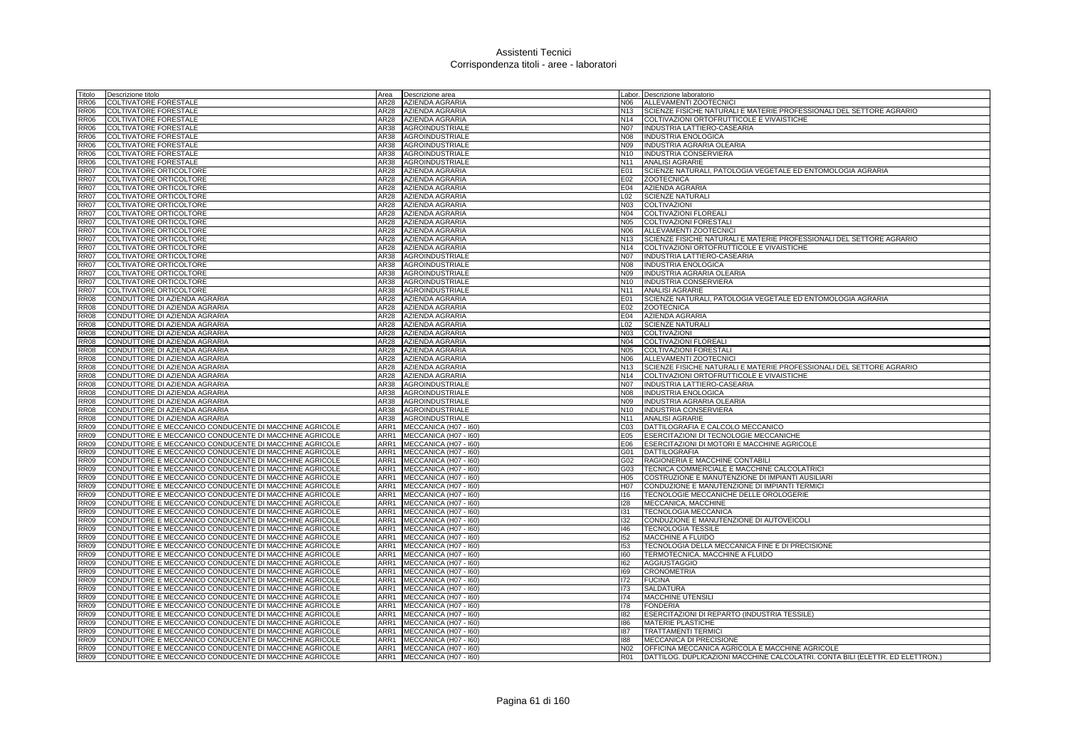| Titolo      | Descrizione titolo                                     | Area | Descrizione area                                         |                  | Labor. Descrizione laboratorio                                                |
|-------------|--------------------------------------------------------|------|----------------------------------------------------------|------------------|-------------------------------------------------------------------------------|
| <b>RR06</b> | <b>COLTIVATORE FORESTALE</b>                           | AR28 | AZIENDA AGRARIA                                          | N06              | ALLEVAMENTI ZOOTECNICI                                                        |
| <b>RR06</b> | <b>COLTIVATORE FORESTALE</b>                           | AR28 | <b>AZIENDA AGRARIA</b>                                   | N <sub>13</sub>  | SCIENZE FISICHE NATURALI E MATERIE PROFESSIONALI DEL SETTORE AGRARIO          |
| <b>RR06</b> | <b>COLTIVATORE FORESTALE</b>                           | AR28 | <b>AZIENDA AGRARIA</b>                                   | N14              | COLTIVAZIONI ORTOFRUTTICOLE E VIVAISTICHE                                     |
| <b>RR06</b> | COLTIVATORE FORESTALE                                  | AR38 | <b>AGROINDUSTRIALE</b>                                   | N07              | INDUSTRIA LATTIERO-CASEARIA                                                   |
| <b>RR06</b> | <b>COLTIVATORE FORESTALE</b>                           | AR38 | AGROINDUSTRIALE                                          | <b>N08</b>       | <b>INDUSTRIA ENOLOGICA</b>                                                    |
| <b>RR06</b> | <b>COLTIVATORE FORESTALE</b>                           | AR38 | <b>AGROINDUSTRIALE</b>                                   | N09              | INDUSTRIA AGRARIA OLEARIA                                                     |
| <b>RR06</b> | COLTIVATORE FORESTALE                                  | AR38 | AGROINDUSTRIALE                                          | N <sub>10</sub>  | INDUSTRIA CONSERVIERA                                                         |
| <b>RR06</b> | <b>COLTIVATORE FORESTALE</b>                           | AR38 | AGROINDUSTRIALE                                          | N <sub>11</sub>  | <b>ANALISI AGRARIE</b>                                                        |
| <b>RR07</b> | <b>COLTIVATORE ORTICOLTORE</b>                         | AR28 | AZIENDA AGRARIA                                          | E01              | SCIENZE NATURALI, PATOLOGIA VEGETALE ED ENTOMOLOGIA AGRARIA                   |
| <b>RR07</b> | <b>COLTIVATORE ORTICOLTORE</b>                         | AR28 | <b>AZIENDA AGRARIA</b>                                   | E02              | <b>ZOOTECNICA</b>                                                             |
| <b>RR07</b> | COLTIVATORE ORTICOLTORE                                | AR28 | <b>AZIENDA AGRARIA</b>                                   | E04              | AZIENDA AGRARIA                                                               |
| <b>RR07</b> | COLTIVATORE ORTICOLTORE                                | AR28 | <b>AZIENDA AGRARIA</b>                                   | L <sub>02</sub>  | <b>SCIENZE NATURALI</b>                                                       |
| <b>RR07</b> | COLTIVATORE ORTICOLTORE                                | AR28 | <b>AZIENDA AGRARIA</b>                                   | N03              | <b>COLTIVAZIONI</b>                                                           |
| <b>RR07</b> | <b>COLTIVATORE ORTICOLTORE</b>                         | AR28 | <b>AZIENDA AGRARIA</b>                                   | <b>N04</b>       | <b>COLTIVAZIONI FLOREALI</b>                                                  |
| <b>RR07</b> | COLTIVATORE ORTICOLTORE                                | AR28 | <b>AZIENDA AGRARIA</b>                                   | <b>N05</b>       | <b>COLTIVAZIONI FORESTAL</b>                                                  |
| <b>RR07</b> | COLTIVATORE ORTICOLTORE                                | AR28 | AZIENDA AGRARIA                                          | N06              | ALLEVAMENTI ZOOTECNICI                                                        |
| <b>RR07</b> | COLTIVATORE ORTICOLTORE                                | AR28 | AZIENDA AGRARIA                                          | N <sub>13</sub>  | SCIENZE FISICHE NATURALI E MATERIE PROFESSIONALI DEL SETTORE AGRARIO          |
| <b>RR07</b> | <b>COLTIVATORE ORTICOLTORE</b>                         | AR28 | AZIENDA AGRARIA                                          | N14              | COLTIVAZIONI ORTOFRUTTICOLE E VIVAISTICHE                                     |
| <b>RR07</b> | COLTIVATORE ORTICOLTORE                                | AR38 | <b>AGROINDUSTRIALE</b>                                   | <b>N07</b>       | INDUSTRIA LATTIERO-CASEARIA                                                   |
| <b>RR07</b> | COLTIVATORE ORTICOLTORE                                | AR38 | <b>AGROINDUSTRIALE</b>                                   | N08              | <b>INDUSTRIA ENOLOGICA</b>                                                    |
| <b>RR07</b> | COLTIVATORE ORTICOLTORE                                | AR38 | <b>AGROINDUSTRIALE</b>                                   | N09              | <b>INDUSTRIA AGRARIA OLEARIA</b>                                              |
| <b>RR07</b> | COLTIVATORE ORTICOLTORE                                | AR38 | <b>AGROINDUSTRIALE</b>                                   | N <sub>10</sub>  | INDUSTRIA CONSERVIERA                                                         |
| <b>RR07</b> | COLTIVATORE ORTICOLTORE                                | AR38 | <b>AGROINDUSTRIALE</b>                                   | N <sub>11</sub>  | <b>ANALISI AGRARIE</b>                                                        |
| <b>RR08</b> | CONDUTTORE DI AZIENDA AGRARIA                          | AR28 | <b>AZIENDA AGRARIA</b>                                   | E01              | SCIENZE NATURALI, PATOLOGIA VEGETALE ED ENTOMOLOGIA AGRARIA                   |
| <b>RR08</b> | CONDUTTORE DI AZIENDA AGRARIA                          | AR28 | AZIENDA AGRARIA                                          | E02              | <b>ZOOTECNICA</b>                                                             |
| <b>RR08</b> | CONDUTTORE DI AZIENDA AGRARIA                          | AR28 | AZIENDA AGRARIA                                          | E04              | AZIENDA AGRARIA                                                               |
| <b>RR08</b> | CONDUTTORE DI AZIENDA AGRARIA                          | AR28 | <b>AZIENDA AGRARIA</b>                                   | L02              | <b>SCIENZE NATURALI</b>                                                       |
| <b>RR08</b> | CONDUTTORE DI AZIENDA AGRARIA                          | AR28 | <b>AZIENDA AGRARIA</b>                                   | N03              | <b>COLTIVAZIONI</b>                                                           |
| <b>RR08</b> | CONDUTTORE DI AZIENDA AGRARIA                          | AR28 | <b>AZIENDA AGRARIA</b>                                   | N04              | COLTIVAZIONI FLOREALI                                                         |
| <b>RR08</b> | CONDUTTORE DI AZIENDA AGRARIA                          |      | AR28 AZIENDA AGRARIA                                     | N05              | <b>COLTIVAZIONI FORESTALI</b>                                                 |
| <b>RR08</b> | CONDUTTORE DI AZIENDA AGRARIA                          | AR28 | <b>AZIENDA AGRARIA</b>                                   | N06              | ALLEVAMENTI ZOOTECNICI                                                        |
| <b>RR08</b> | CONDUTTORE DI AZIENDA AGRARIA                          | AR28 | AZIENDA AGRARIA                                          | N <sub>13</sub>  | SCIENZE FISICHE NATURALI E MATERIE PROFESSIONALI DEL SETTORE AGRARIO          |
| <b>RR08</b> | CONDUTTORE DI AZIENDA AGRARIA                          | AR28 | AZIENDA AGRARIA                                          | N <sub>14</sub>  | COLTIVAZIONI ORTOFRUTTICOLE E VIVAISTICHE                                     |
| <b>RR08</b> | CONDUTTORE DI AZIENDA AGRARIA                          | AR38 | AGROINDUSTRIALE                                          | <b>N07</b>       | INDUSTRIA LATTIERO-CASEARIA                                                   |
| <b>RR08</b> | CONDUTTORE DI AZIENDA AGRARIA                          | AR38 | <b>AGROINDUSTRIALE</b>                                   | <b>N08</b>       | <b>INDUSTRIA ENOLOGICA</b>                                                    |
| <b>RR08</b> | CONDUTTORE DI AZIENDA AGRARIA                          | AR38 | <b>AGROINDUSTRIALE</b>                                   | N09              | INDUSTRIA AGRARIA OLEARIA                                                     |
| <b>RR08</b> | CONDUTTORE DI AZIENDA AGRARIA                          | AR38 | <b>AGROINDUSTRIALE</b>                                   | N <sub>10</sub>  | INDUSTRIA CONSERVIERA                                                         |
| <b>RR08</b> | CONDUTTORE DI AZIENDA AGRARIA                          |      | AR38 AGROINDUSTRIALE                                     | N <sub>11</sub>  | <b>ANALISI AGRARIE</b>                                                        |
| <b>RR09</b> | CONDUTTORE E MECCANICO CONDUCENTE DI MACCHINE AGRICOLE |      | ARR1 MECCANICA (H07 - 160)                               | C <sub>03</sub>  | DATTILOGRAFIA E CALCOLO MECCANICO                                             |
| <b>RR09</b> | CONDUTTORE E MECCANICO CONDUCENTE DI MACCHINE AGRICOLE |      | ARR1 MECCANICA (H07 - 160)                               | E05              | ESERCITAZIONI DI TECNOLOGIE MECCANICHE                                        |
| <b>RR09</b> | CONDUTTORE E MECCANICO CONDUCENTE DI MACCHINE AGRICOLE |      | ARR1 MECCANICA (H07 - 160)                               | E06              | ESERCITAZIONI DI MOTORI E MACCHINE AGRICOLE                                   |
| <b>RR09</b> | CONDUTTORE E MECCANICO CONDUCENTE DI MACCHINE AGRICOLE |      | ARR1 MECCANICA (H07 - 160)                               | G01              | <b>DATTILOGRAFIA</b>                                                          |
| <b>RR09</b> | CONDUTTORE E MECCANICO CONDUCENTE DI MACCHINE AGRICOLE | ARR1 | MECCANICA (H07 - I60)                                    | G02              | RAGIONERIA E MACCHINE CONTABILI                                               |
| <b>RR09</b> | CONDUTTORE E MECCANICO CONDUCENTE DI MACCHINE AGRICOLE | ARR1 | MECCANICA (H07 - I60)                                    | G03              | TECNICA COMMERCIALE E MACCHINE CALCOLATRICI                                   |
| <b>RR09</b> | CONDUTTORE E MECCANICO CONDUCENTE DI MACCHINE AGRICOLE | ARR1 | MECCANICA (H07 - I60)                                    | H <sub>05</sub>  | COSTRUZIONE E MANUTENZIONE DI IMPIANTI AUSILIARI                              |
| <b>RR09</b> | CONDUTTORE E MECCANICO CONDUCENTE DI MACCHINE AGRICOLE |      | ARR1 MECCANICA (H07 - 160)                               | H <sub>0</sub> 7 | CONDUZIONE E MANUTENZIONE DI IMPIANTI TERMICI                                 |
| <b>RR09</b> | CONDUTTORE E MECCANICO CONDUCENTE DI MACCHINE AGRICOLE |      | ARR1 MECCANICA (H07 - 160)                               | 116              | TECNOLOGIE MECCANICHE DELLE OROLOGERIE                                        |
| <b>RR09</b> | CONDUTTORE E MECCANICO CONDUCENTE DI MACCHINE AGRICOLE | ARR1 | MECCANICA (H07 - I60)                                    | <b>I28</b>       | MECCANICA, MACCHINE                                                           |
| <b>RR09</b> | CONDUTTORE E MECCANICO CONDUCENTE DI MACCHINE AGRICOLE | ARR1 | MECCANICA (H07 - I60)                                    | 131              | <b>TECNOLOGIA MECCANICA</b>                                                   |
| <b>RR09</b> | CONDUTTORE E MECCANICO CONDUCENTE DI MACCHINE AGRICOLE | ARR1 | MECCANICA (H07 - I60)                                    | 132              | CONDUZIONE E MANUTENZIONE DI AUTOVEICOLI                                      |
| <b>RR09</b> | CONDUTTORE E MECCANICO CONDUCENTE DI MACCHINE AGRICOLE |      | ARR1 MECCANICA (H07 - 160)                               | 146              | TECNOLOGIA TESSILE                                                            |
| <b>RR09</b> | CONDUTTORE E MECCANICO CONDUCENTE DI MACCHINE AGRICOLE | ARR1 | MECCANICA (H07 - I60)                                    | 152              | MACCHINE A FLUIDO                                                             |
| <b>RR09</b> | CONDUTTORE E MECCANICO CONDUCENTE DI MACCHINE AGRICOLE | ARR1 | MECCANICA (H07 - I60)                                    | 153              | TECNOLOGIA DELLA MECCANICA FINE E DI PRECISIONE                               |
| <b>RR09</b> | CONDUTTORE E MECCANICO CONDUCENTE DI MACCHINE AGRICOLE |      | ARR1 MECCANICA (H07 - 160)                               | 160              | TERMOTECNICA, MACCHINE A FLUIDO                                               |
| <b>RR09</b> | CONDUTTORE E MECCANICO CONDUCENTE DI MACCHINE AGRICOLE | ARR1 | MECCANICA (H07 - 160)                                    | 162              | <b>AGGIUSTAGGIO</b>                                                           |
| <b>RR09</b> | CONDUTTORE E MECCANICO CONDUCENTE DI MACCHINE AGRICOLE | ARR1 | MECCANICA (H07 - I60)                                    | 169              | <b>CRONOMETRIA</b>                                                            |
| <b>RR09</b> | CONDUTTORE E MECCANICO CONDUCENTE DI MACCHINE AGRICOLE | ARR1 | MECCANICA (H07 - I60)                                    | 172              | <b>FUCINA</b>                                                                 |
| <b>RR09</b> | CONDUTTORE E MECCANICO CONDUCENTE DI MACCHINE AGRICOLE | ARR1 | MECCANICA (H07 - I60)                                    | 173              | SALDATURA                                                                     |
| <b>RR09</b> | CONDUTTORE E MECCANICO CONDUCENTE DI MACCHINE AGRICOLE | ARR1 | MECCANICA (H07 - I60)                                    | 174              | MACCHINE UTENSILI                                                             |
| <b>RR09</b> | CONDUTTORE E MECCANICO CONDUCENTE DI MACCHINE AGRICOLE | ARR1 | MECCANICA (H07 - I60)                                    | 178              | <b>FONDERIA</b>                                                               |
| <b>RR09</b> | CONDUTTORE E MECCANICO CONDUCENTE DI MACCHINE AGRICOLE | ARR1 | MECCANICA (H07 - I60)                                    | 182              | ESERCITAZIONI DI REPARTO (INDUSTRIA TESSILE)                                  |
| <b>RR09</b> | CONDUTTORE E MECCANICO CONDUCENTE DI MACCHINE AGRICOLE | ARR1 | MECCANICA (H07 - I60)                                    | 186              | MATERIE PLASTICHE                                                             |
| <b>RR09</b> | CONDUTTORE E MECCANICO CONDUCENTE DI MACCHINE AGRICOLE |      |                                                          | 187              | <b>TRATTAMENTI TERMICI</b>                                                    |
| <b>RR09</b> | CONDUTTORE E MECCANICO CONDUCENTE DI MACCHINE AGRICOLE |      | ARR1 MECCANICA (H07 - 160)<br>ARR1 MECCANICA (H07 - 160) | 188              | MECCANICA DI PRECISIONE                                                       |
| <b>RR09</b> | CONDUTTORE E MECCANICO CONDUCENTE DI MACCHINE AGRICOLE |      | ARR1 MECCANICA (H07 - I60)                               | N <sub>02</sub>  | OFFICINA MECCANICA AGRICOLA E MACCHINE AGRICOLE                               |
| RR09        |                                                        |      |                                                          | <b>R01</b>       |                                                                               |
|             | CONDUTTORE E MECCANICO CONDUCENTE DI MACCHINE AGRICOLE |      | ARR1 MECCANICA (H07 - 160)                               |                  | DATTILOG. DUPLICAZIONI MACCHINE CALCOLATRI. CONTA BILI (ELETTR. ED ELETTRON.) |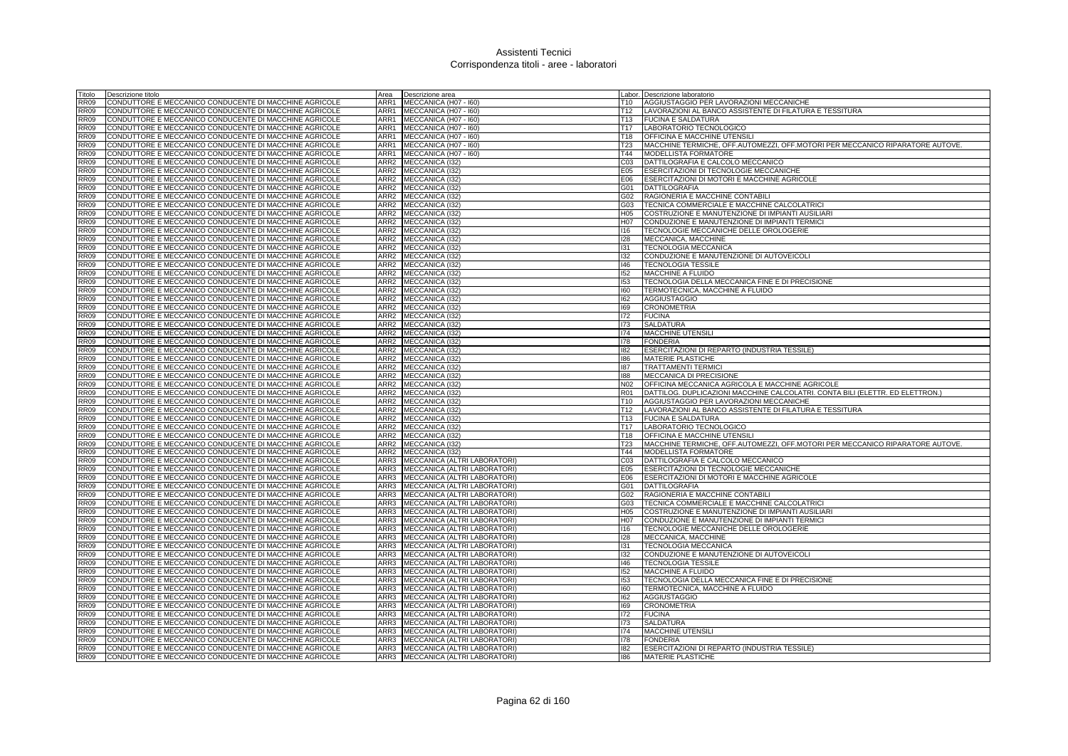| Titolo      | Descrizione titolo                                     | Area             | Descrizione area                  |                 | Labor. Descrizione laboratorio                                                |
|-------------|--------------------------------------------------------|------------------|-----------------------------------|-----------------|-------------------------------------------------------------------------------|
| <b>RR09</b> | CONDUTTORE E MECCANICO CONDUCENTE DI MACCHINE AGRICOLE | ARR1             | MECCANICA (H07 - I60)             | T10             | AGGIUSTAGGIO PER LAVORAZIONI MECCANICHE                                       |
| <b>RR09</b> | CONDUTTORE E MECCANICO CONDUCENTE DI MACCHINE AGRICOLE | ARR1             | MECCANICA (H07 - I60)             | T12             | LAVORAZIONI AL BANCO ASSISTENTE DI FILATURA E TESSITURA                       |
| <b>RR09</b> | CONDUTTORE E MECCANICO CONDUCENTE DI MACCHINE AGRICOLE |                  | ARR1 MECCANICA (H07 - 160)        | T13             | <b>FUCINA E SALDATURA</b>                                                     |
| <b>RR09</b> | CONDUTTORE E MECCANICO CONDUCENTE DI MACCHINE AGRICOLE |                  | ARR1 MECCANICA (H07 - 160)        | T17             | LABORATORIO TECNOLOGICO                                                       |
| <b>RR09</b> | CONDUTTORE E MECCANICO CONDUCENTE DI MACCHINE AGRICOLE | ARR1             | MECCANICA (H07 - I60)             | T <sub>18</sub> | <b>OFFICINA E MACCHINE UTENSIL</b>                                            |
| <b>RR09</b> | CONDUTTORE E MECCANICO CONDUCENTE DI MACCHINE AGRICOLE | ARR1             | MECCANICA (H07 - I60)             | T <sub>23</sub> | MACCHINE TERMICHE, OFF.AUTOMEZZI, OFF.MOTORI PER MECCANICO RIPARATORE AUTOVE. |
| <b>RR09</b> | CONDUTTORE E MECCANICO CONDUCENTE DI MACCHINE AGRICOLE | ARR1             | MECCANICA (H07 - I60)             | T44             | MODELLISTA FORMATORE                                                          |
| <b>RR09</b> | CONDUTTORE E MECCANICO CONDUCENTE DI MACCHINE AGRICOLE | ARR <sub>2</sub> | MECCANICA (I32)                   | CO <sub>3</sub> | DATTILOGRAFIA E CALCOLO MECCANICO                                             |
| <b>RR09</b> | CONDUTTORE E MECCANICO CONDUCENTE DI MACCHINE AGRICOLE | ARR <sub>2</sub> | MECCANICA (I32)                   | E05             | ESERCITAZIONI DI TECNOLOGIE MECCANICHE                                        |
| <b>RR09</b> | CONDUTTORE E MECCANICO CONDUCENTE DI MACCHINE AGRICOLE | ARR <sub>2</sub> | MECCANICA (I32)                   | E06             | ESERCITAZIONI DI MOTORI E MACCHINE AGRICOLE                                   |
| <b>RR09</b> | CONDUTTORE E MECCANICO CONDUCENTE DI MACCHINE AGRICOLE | ARR <sub>2</sub> | MECCANICA (I32)                   | G01             | DATTILOGRAFIA                                                                 |
| <b>RR09</b> | CONDUTTORE E MECCANICO CONDUCENTE DI MACCHINE AGRICOLE | ARR2             | MECCANICA (I32)                   | G <sub>02</sub> | RAGIONERIA E MACCHINE CONTABILI                                               |
| <b>RR09</b> | CONDUTTORE E MECCANICO CONDUCENTE DI MACCHINE AGRICOLE | ARR <sub>2</sub> | MECCANICA (I32)                   | G03             | TECNICA COMMERCIALE E MACCHINE CALCOLATRICI                                   |
| <b>RR09</b> | CONDUTTORE E MECCANICO CONDUCENTE DI MACCHINE AGRICOLE | ARR <sub>2</sub> | MECCANICA (I32)                   | H05             | COSTRUZIONE E MANUTENZIONE DI IMPIANTI AUSILIARI                              |
| <b>RR09</b> | CONDUTTORE E MECCANICO CONDUCENTE DI MACCHINE AGRICOLE | ARR <sub>2</sub> | MECCANICA (132)                   | H07             | CONDUZIONE E MANUTENZIONE DI IMPIANTI TERMICI                                 |
| <b>RR09</b> | CONDUTTORE E MECCANICO CONDUCENTE DI MACCHINE AGRICOLE | ARR2             | MECCANICA (I32)                   | 116             | TECNOLOGIE MECCANICHE DELLE OROLOGERIE                                        |
| <b>RR09</b> | CONDUTTORE E MECCANICO CONDUCENTE DI MACCHINE AGRICOLE | ARR2             | MECCANICA (I32)                   | 128             | MECCANICA, MACCHINE                                                           |
| <b>RR09</b> | CONDUTTORE E MECCANICO CONDUCENTE DI MACCHINE AGRICOLE | ARR <sub>2</sub> | MECCANICA (I32)                   | 131             | <b>TECNOLOGIA MECCANICA</b>                                                   |
| <b>RR09</b> | CONDUTTORE E MECCANICO CONDUCENTE DI MACCHINE AGRICOLE | ARR2             | MECCANICA (I32)                   | 132             | CONDUZIONE E MANUTENZIONE DI AUTOVEICOLI                                      |
| <b>RR09</b> | CONDUTTORE E MECCANICO CONDUCENTE DI MACCHINE AGRICOLE | ARR2             | MECCANICA (132)                   | 146             | <b>TECNOLOGIA TESSILE</b>                                                     |
| <b>RR09</b> | CONDUTTORE E MECCANICO CONDUCENTE DI MACCHINE AGRICOLE | ARR2             | MECCANICA (I32)                   | 152             | <b>MACCHINE A FLUIDO</b>                                                      |
| <b>RR09</b> | CONDUTTORE E MECCANICO CONDUCENTE DI MACCHINE AGRICOLE | ARR <sub>2</sub> | MECCANICA (132)                   | 153             | TECNOLOGIA DELLA MECCANICA FINE E DI PRECISIONE                               |
| <b>RR09</b> | CONDUTTORE E MECCANICO CONDUCENTE DI MACCHINE AGRICOLE | ARR <sub>2</sub> | MECCANICA (I32)                   | 160             | TERMOTECNICA, MACCHINE A FLUIDO                                               |
| <b>RR09</b> | CONDUTTORE E MECCANICO CONDUCENTE DI MACCHINE AGRICOLE | ARR <sub>2</sub> | MECCANICA (I32)                   | 162             | <b>AGGIUSTAGGIO</b>                                                           |
| <b>RR09</b> | CONDUTTORE E MECCANICO CONDUCENTE DI MACCHINE AGRICOLE | ARR <sub>2</sub> | MECCANICA (I32)                   | 169             | <b>CRONOMETRIA</b>                                                            |
| <b>RR09</b> | CONDUTTORE E MECCANICO CONDUCENTE DI MACCHINE AGRICOLE | ARR2             | MECCANICA (I32)                   | 172             | <b>FUCINA</b>                                                                 |
| <b>RR09</b> | CONDUTTORE E MECCANICO CONDUCENTE DI MACCHINE AGRICOLE | ARR2             | MECCANICA (I32)                   | 173             | SALDATURA                                                                     |
| <b>RR09</b> | CONDUTTORE E MECCANICO CONDUCENTE DI MACCHINE AGRICOLE | ARR2             | MECCANICA (I32)                   | 174             | MACCHINE UTENSILI                                                             |
| <b>RR09</b> | CONDUTTORE E MECCANICO CONDUCENTE DI MACCHINE AGRICOLE | ARR2             | MECCANICA (132)                   | 178             | <b>FONDERIA</b>                                                               |
| <b>RR09</b> | CONDUTTORE E MECCANICO CONDUCENTE DI MACCHINE AGRICOLE | ARR2             | MECCANICA (132)                   | 182             | ESERCITAZIONI DI REPARTO (INDUSTRIA TESSILE)                                  |
| <b>RR09</b> | CONDUTTORE E MECCANICO CONDUCENTE DI MACCHINE AGRICOLE | ARR <sub>2</sub> | MECCANICA (I32)                   | 186             | <b>MATERIE PLASTICHE</b>                                                      |
| <b>RR09</b> | CONDUTTORE E MECCANICO CONDUCENTE DI MACCHINE AGRICOLE | ARR2             | MECCANICA (132)                   | 187             | <b>TRATTAMENTI TERMIC</b>                                                     |
| <b>RR09</b> | CONDUTTORE E MECCANICO CONDUCENTE DI MACCHINE AGRICOLE | ARR2             | MECCANICA (I32)                   | 188             | MECCANICA DI PRECISIONE                                                       |
| <b>RR09</b> | CONDUTTORE E MECCANICO CONDUCENTE DI MACCHINE AGRICOLE | ARR2             | MECCANICA (I32)                   | N <sub>02</sub> | OFFICINA MECCANICA AGRICOLA E MACCHINE AGRICOLE                               |
| <b>RR09</b> | CONDUTTORE E MECCANICO CONDUCENTE DI MACCHINE AGRICOLE | ARR <sub>2</sub> | MECCANICA (132)                   | <b>R01</b>      | DATTILOG. DUPLICAZIONI MACCHINE CALCOLATRI. CONTA BILI (ELETTR. ED ELETTRON.) |
| <b>RR09</b> | CONDUTTORE E MECCANICO CONDUCENTE DI MACCHINE AGRICOLE | ARR <sub>2</sub> | MECCANICA (I32)                   | T <sub>10</sub> | AGGIUSTAGGIO PER LAVORAZIONI MECCANICHE                                       |
| <b>RR09</b> | CONDUTTORE E MECCANICO CONDUCENTE DI MACCHINE AGRICOLE | ARR <sub>2</sub> | MECCANICA (I32)                   | T <sub>12</sub> | LAVORAZIONI AL BANCO ASSISTENTE DI FILATURA E TESSITURA                       |
| <b>RR09</b> | CONDUTTORE E MECCANICO CONDUCENTE DI MACCHINE AGRICOLE | ARR2             | MECCANICA (I32)                   | T <sub>13</sub> | <b>FUCINA E SALDATURA</b>                                                     |
| <b>RR09</b> | CONDUTTORE E MECCANICO CONDUCENTE DI MACCHINE AGRICOLE | ARR <sub>2</sub> | MECCANICA (132)                   | T <sub>17</sub> | LABORATORIO TECNOLOGICO                                                       |
| <b>RR09</b> | CONDUTTORE E MECCANICO CONDUCENTE DI MACCHINE AGRICOLE | ARR <sub>2</sub> | MECCANICA (I32)                   | T <sub>18</sub> | OFFICINA E MACCHINE UTENSIL                                                   |
| <b>RR09</b> | CONDUTTORE E MECCANICO CONDUCENTE DI MACCHINE AGRICOLE | ARR <sub>2</sub> | MECCANICA (I32)                   | T23             | MACCHINE TERMICHE, OFF.AUTOMEZZI, OFF.MOTORI PER MECCANICO RIPARATORE AUTOVE. |
| <b>RR09</b> | CONDUTTORE E MECCANICO CONDUCENTE DI MACCHINE AGRICOLE | ARR2             | MECCANICA (132)                   | T44             | MODELLISTA FORMATORE                                                          |
| <b>RR09</b> | CONDUTTORE E MECCANICO CONDUCENTE DI MACCHINE AGRICOLE | ARR3             | MECCANICA (ALTRI LABORATORI)      | C <sub>03</sub> | DATTILOGRAFIA E CALCOLO MECCANICO                                             |
| <b>RR09</b> | CONDUTTORE E MECCANICO CONDUCENTE DI MACCHINE AGRICOLE | ARR3             | MECCANICA (ALTRI LABORATORI)      | E05             | <b>ESERCITAZIONI DI TECNOLOGIE MECCANICHE</b>                                 |
| <b>RR09</b> | CONDUTTORE E MECCANICO CONDUCENTE DI MACCHINE AGRICOLE | ARR3             | MECCANICA (ALTRI LABORATORI)      | E06             | ESERCITAZIONI DI MOTORI E MACCHINE AGRICOLE                                   |
| <b>RR09</b> | CONDUTTORE E MECCANICO CONDUCENTE DI MACCHINE AGRICOLE | ARR3             | MECCANICA (ALTRI LABORATORI)      | G01             | <b>DATTILOGRAFIA</b>                                                          |
| <b>RR09</b> | CONDUTTORE E MECCANICO CONDUCENTE DI MACCHINE AGRICOLE | ARR3             | MECCANICA (ALTRI LABORATORI)      | G02             | RAGIONERIA E MACCHINE CONTABILI                                               |
| <b>RR09</b> | CONDUTTORE E MECCANICO CONDUCENTE DI MACCHINE AGRICOLE | ARR3             | MECCANICA (ALTRI LABORATORI)      | G03             | TECNICA COMMERCIALE E MACCHINE CALCOLATRICI                                   |
| <b>RR09</b> | CONDUTTORE E MECCANICO CONDUCENTE DI MACCHINE AGRICOLE | ARR3             | MECCANICA (ALTRI LABORATORI)      | H05             | COSTRUZIONE E MANUTENZIONE DI IMPIANTI AUSILIARI                              |
| <b>RR09</b> | CONDUTTORE E MECCANICO CONDUCENTE DI MACCHINE AGRICOLE | ARR3             | MECCANICA (ALTRI LABORATORI)      | H <sub>07</sub> | CONDUZIONE E MANUTENZIONE DI IMPIANTI TERMICI                                 |
| <b>RR09</b> | CONDUTTORE E MECCANICO CONDUCENTE DI MACCHINE AGRICOLE | ARR3             | MECCANICA (ALTRI LABORATORI)      | 116             | TECNOLOGIE MECCANICHE DELLE OROLOGERIE                                        |
| <b>RR09</b> | CONDUTTORE E MECCANICO CONDUCENTE DI MACCHINE AGRICOLE | ARR3             | MECCANICA (ALTRI LABORATORI)      | 128             | MECCANICA, MACCHINE                                                           |
| <b>RR09</b> | CONDUTTORE E MECCANICO CONDUCENTE DI MACCHINE AGRICOLE | ARR3             | MECCANICA (ALTRI LABORATORI)      | 131             | <b>TECNOLOGIA MECCANICA</b>                                                   |
| <b>RR09</b> | CONDUTTORE E MECCANICO CONDUCENTE DI MACCHINE AGRICOLE | ARR3             | MECCANICA (ALTRI LABORATORI)      | 132             | CONDUZIONE E MANUTENZIONE DI AUTOVEICOLI                                      |
| <b>RR09</b> | CONDUTTORE E MECCANICO CONDUCENTE DI MACCHINE AGRICOLE | ARR3             | MECCANICA (ALTRI LABORATORI)      | 146             | <b>TECNOLOGIA TESSILE</b>                                                     |
| <b>RR09</b> | CONDUTTORE E MECCANICO CONDUCENTE DI MACCHINE AGRICOLE | ARR3             | MECCANICA (ALTRI LABORATORI)      | 152             | MACCHINE A FLUIDO                                                             |
| <b>RR09</b> | CONDUTTORE E MECCANICO CONDUCENTE DI MACCHINE AGRICOLE | ARR3             | MECCANICA (ALTRI LABORATORI)      | 153             | TECNOLOGIA DELLA MECCANICA FINE E DI PRECISIONE                               |
| <b>RR09</b> | CONDUTTORE E MECCANICO CONDUCENTE DI MACCHINE AGRICOLE | ARR3             | MECCANICA (ALTRI LABORATORI)      | 160             | TERMOTECNICA, MACCHINE A FLUIDO                                               |
| <b>RR09</b> | CONDUTTORE E MECCANICO CONDUCENTE DI MACCHINE AGRICOLE | ARR3             | MECCANICA (ALTRI LABORATORI)      | 162             | <b>AGGIUSTAGGIO</b>                                                           |
| <b>RR09</b> | CONDUTTORE E MECCANICO CONDUCENTE DI MACCHINE AGRICOLE | ARR3             | MECCANICA (ALTRI LABORATORI)      | 169             | <b>CRONOMETRIA</b>                                                            |
| <b>RR09</b> | CONDUTTORE E MECCANICO CONDUCENTE DI MACCHINE AGRICOLE | ARR3             | MECCANICA (ALTRI LABORATORI)      | 172             | <b>FUCINA</b>                                                                 |
| <b>RR09</b> | CONDUTTORE E MECCANICO CONDUCENTE DI MACCHINE AGRICOLE | ARR3             | MECCANICA (ALTRI LABORATORI)      | 173             | <b>SALDATURA</b>                                                              |
| <b>RR09</b> | CONDUTTORE E MECCANICO CONDUCENTE DI MACCHINE AGRICOLE | ARR3             | MECCANICA (ALTRI LABORATORI)      | 174             | <b>MACCHINE UTENSILI</b>                                                      |
| <b>RR09</b> | CONDUTTORE E MECCANICO CONDUCENTE DI MACCHINE AGRICOLE | ARR3             | MECCANICA (ALTRI LABORATORI)      | 178             | <b>FONDERIA</b>                                                               |
| <b>RR09</b> | CONDUTTORE E MECCANICO CONDUCENTE DI MACCHINE AGRICOLE | ARR3 I           | MECCANICA (ALTRI LABORATORI)      | 182             | ESERCITAZIONI DI REPARTO (INDUSTRIA TESSILE)                                  |
| RR09        | CONDUTTORE E MECCANICO CONDUCENTE DI MACCHINE AGRICOLE |                  | ARR3 MECCANICA (ALTRI LABORATORI) | 186             | <b>MATERIE PLASTICHE</b>                                                      |
|             |                                                        |                  |                                   |                 |                                                                               |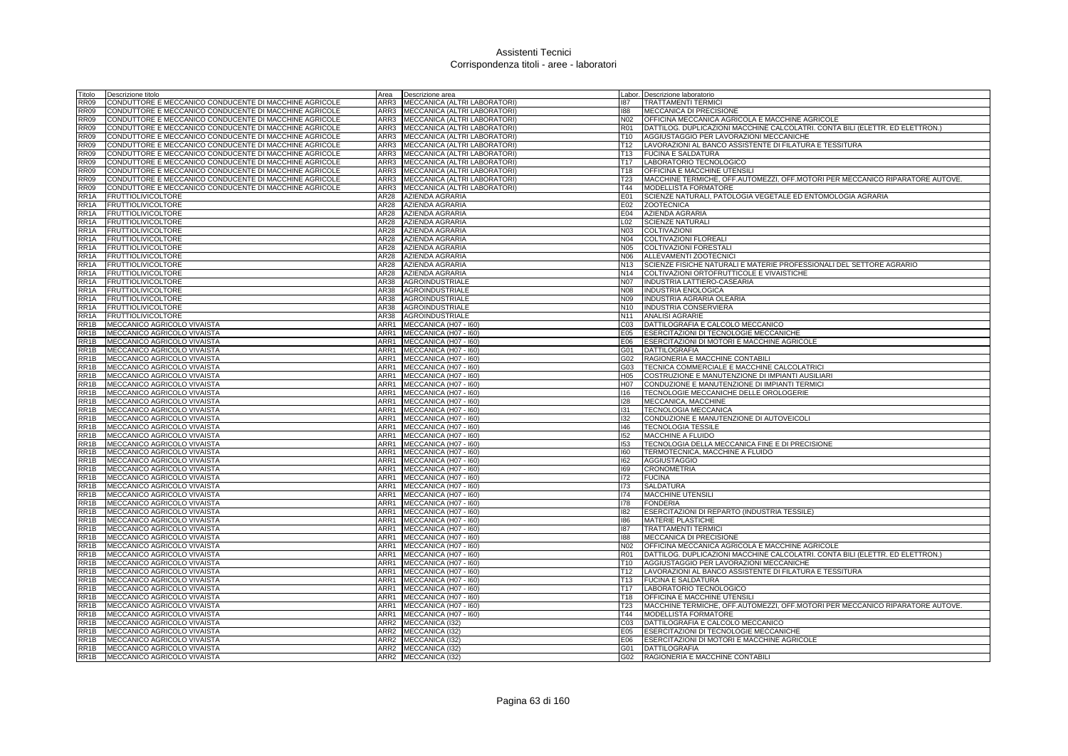| Titolo                                 | Descrizione titolo                                         | Area             | Descrizione area                                 |                        | Labor. Descrizione laboratorio                                                                 |
|----------------------------------------|------------------------------------------------------------|------------------|--------------------------------------------------|------------------------|------------------------------------------------------------------------------------------------|
| <b>RR09</b>                            | CONDUTTORE E MECCANICO CONDUCENTE DI MACCHINE AGRICOLE     | ARR3             | MECCANICA (ALTRI LABORATORI)                     | 187                    | <b>TRATTAMENTI TERMICI</b>                                                                     |
| <b>RR09</b>                            | CONDUTTORE E MECCANICO CONDUCENTE DI MACCHINE AGRICOLE     | ARR3             | MECCANICA (ALTRI LABORATORI)                     | 188                    | MECCANICA DI PRECISIONE                                                                        |
| <b>RR09</b>                            | CONDUTTORE E MECCANICO CONDUCENTE DI MACCHINE AGRICOLE     |                  | ARR3 MECCANICA (ALTRI LABORATORI)                | N02                    | OFFICINA MECCANICA AGRICOLA E MACCHINE AGRICOLE                                                |
| <b>RR09</b>                            | CONDUTTORE E MECCANICO CONDUCENTE DI MACCHINE AGRICOLE     | ARR3             | MECCANICA (ALTRI LABORATORI)                     | <b>R01</b>             | DATTILOG. DUPLICAZIONI MACCHINE CALCOLATRI. CONTA BILI (ELETTR. ED ELETTRON.)                  |
| <b>RR09</b>                            | CONDUTTORE E MECCANICO CONDUCENTE DI MACCHINE AGRICOLE     | ARR3             | MECCANICA (ALTRI LABORATORI)                     | T <sub>10</sub>        | AGGIUSTAGGIO PER LAVORAZIONI MECCANICHE                                                        |
| <b>RR09</b>                            | CONDUTTORE E MECCANICO CONDUCENTE DI MACCHINE AGRICOLE     | ARR3             | MECCANICA (ALTRI LABORATORI)                     | T <sub>12</sub>        | LAVORAZIONI AL BANCO ASSISTENTE DI FILATURA E TESSITURA                                        |
| <b>RR09</b>                            | CONDUTTORE E MECCANICO CONDUCENTE DI MACCHINE AGRICOLE     | ARR3             | MECCANICA (ALTRI LABORATORI)                     | T <sub>13</sub>        | <b>FUCINA E SALDATURA</b>                                                                      |
| <b>RR09</b>                            | CONDUTTORE E MECCANICO CONDUCENTE DI MACCHINE AGRICOLE     | ARR3             | MECCANICA (ALTRI LABORATORI)                     | T <sub>17</sub>        | LABORATORIO TECNOLOGICO                                                                        |
| <b>RR09</b>                            | CONDUTTORE E MECCANICO CONDUCENTE DI MACCHINE AGRICOLE     | ARR3             | MECCANICA (ALTRI LABORATORI)                     | T <sub>18</sub>        | OFFICINA E MACCHINE UTENSILI                                                                   |
| <b>RR09</b>                            | CONDUTTORE E MECCANICO CONDUCENTE DI MACCHINE AGRICOLE     | ARR3             | MECCANICA (ALTRI LABORATORI)                     | T <sub>23</sub>        | MACCHINE TERMICHE, OFF.AUTOMEZZI, OFF.MOTORI PER MECCANICO RIPARATORE AUTOVE.                  |
| <b>RR09</b>                            | CONDUTTORE E MECCANICO CONDUCENTE DI MACCHINE AGRICOLE     | ARR3             | MECCANICA (ALTRI LABORATORI)                     | T44                    | <b>MODELLISTA FORMATORE</b>                                                                    |
| RR <sub>1</sub> A                      | <b>FRUTTIOLIVICOLTORE</b>                                  | AR28             | AZIENDA AGRARIA                                  | E01                    | SCIENZE NATURALI, PATOLOGIA VEGETALE ED ENTOMOLOGIA AGRARIA                                    |
| RR <sub>1</sub> A                      | <b>FRUTTIOLIVICOLTORE</b>                                  | AR28             | AZIENDA AGRARIA                                  | E02                    | <b>ZOOTECNICA</b>                                                                              |
| RR <sub>1</sub> A                      | <b>FRUTTIOLIVICOLTORE</b>                                  | AR28             | AZIENDA AGRARIA                                  | E04                    | <b>AZIENDA AGRARIA</b>                                                                         |
| RR <sub>1</sub> A                      | <b>FRUTTIOLIVICOLTORE</b>                                  | AR28             | AZIENDA AGRARIA                                  | L02                    | <b>SCIENZE NATURALI</b>                                                                        |
| RR <sub>1</sub> A                      | <b>FRUTTIOLIVICOLTORE</b>                                  | AR28             | AZIENDA AGRARIA                                  | N03                    | COLTIVAZIONI                                                                                   |
| RR <sub>1</sub> A                      | <b>FRUTTIOLIVICOLTORE</b>                                  | AR28<br>AR28     | AZIENDA AGRARIA                                  | N04                    | <b>COLTIVAZIONI FLOREALI</b>                                                                   |
| RR <sub>1</sub> A<br>RR <sub>1</sub> A | <b>FRUTTIOLIVICOLTORE</b>                                  | AR28             | <b>AZIENDA AGRARIA</b>                           | <b>N05</b>             | COLTIVAZIONI FORESTAL                                                                          |
| RR <sub>1</sub> A                      | <b>FRUTTIOLIVICOLTORE</b><br><b>FRUTTIOLIVICOLTORE</b>     | AR28             | <b>AZIENDA AGRARIA</b><br><b>AZIENDA AGRARIA</b> | N06<br>N <sub>13</sub> | ALLEVAMENTI ZOOTECNICI<br>SCIENZE FISICHE NATURALI E MATERIE PROFESSIONALI DEL SETTORE AGRARIO |
| RR <sub>1</sub> A                      | <b>FRUTTIOLIVICOLTORE</b>                                  | AR28             | <b>AZIENDA AGRARIA</b>                           | N <sub>14</sub>        | COLTIVAZIONI ORTOFRUTTICOLE E VIVAISTICHE                                                      |
| RR <sub>1</sub> A                      | <b>FRUTTIOLIVICOLTORE</b>                                  | AR38             | AGROINDUSTRIALE                                  | <b>N07</b>             | INDUSTRIA LATTIERO-CASEARIA                                                                    |
| RR <sub>1</sub> A                      | <b>FRUTTIOLIVICOLTORE</b>                                  | AR38             | AGROINDUSTRIALE                                  | <b>N08</b>             | <b>INDUSTRIA ENOLOGICA</b>                                                                     |
| RR <sub>1</sub> A                      | <b>FRUTTIOLIVICOLTORE</b>                                  | AR38             | AGROINDUSTRIALE                                  | N09                    | INDUSTRIA AGRARIA OLEARIA                                                                      |
| RR <sub>1</sub> A                      | <b>FRUTTIOLIVICOLTORE</b>                                  | AR38             | AGROINDUSTRIALE                                  |                        | N10 INDUSTRIA CONSERVIERA                                                                      |
| RR <sub>1</sub> A                      | <b>FRUTTIOLIVICOLTORE</b>                                  | AR38             | AGROINDUSTRIALE                                  | N <sub>11</sub>        | <b>ANALISI AGRARIE</b>                                                                         |
| RR1B                                   | MECCANICO AGRICOLO VIVAISTA                                | ARR1             | MECCANICA (H07 - I60)                            | C <sub>03</sub>        | DATTILOGRAFIA E CALCOLO MECCANICO                                                              |
| RR <sub>1</sub> B                      | MECCANICO AGRICOLO VIVAISTA                                | ARR1             | MECCANICA (H07 - I60)                            | E05                    | ESERCITAZIONI DI TECNOLOGIE MECCANICHE                                                         |
| RR1B                                   | MECCANICO AGRICOLO VIVAISTA                                | ARR1             | MECCANICA (H07 - I60)                            | E06                    | ESERCITAZIONI DI MOTORI E MACCHINE AGRICOLE                                                    |
| RR <sub>1</sub> B                      | MECCANICO AGRICOLO VIVAISTA                                | ARR1             | MECCANICA (H07 - I60)                            | G01                    | <b>DATTILOGRAFIA</b>                                                                           |
| RR <sub>1</sub> B                      | MECCANICO AGRICOLO VIVAISTA                                | ARR1             | MECCANICA (H07 - 160)                            | G02                    | RAGIONERIA E MACCHINE CONTABILI                                                                |
| RR <sub>1</sub> B                      | MECCANICO AGRICOLO VIVAISTA                                | ARR1             | MECCANICA (H07 - 160)                            | G03                    | TECNICA COMMERCIALE E MACCHINE CALCOLATRICI                                                    |
| RR1B                                   | MECCANICO AGRICOLO VIVAISTA                                | ARR1             | MECCANICA (H07 - I60)                            | H05                    | COSTRUZIONE E MANUTENZIONE DI IMPIANTI AUSILIARI                                               |
| RR1B                                   | MECCANICO AGRICOLO VIVAISTA                                | ARR1             | MECCANICA (H07 - I60)                            | H07                    | CONDUZIONE E MANUTENZIONE DI IMPIANTI TERMICI                                                  |
| RR1B                                   | MECCANICO AGRICOLO VIVAISTA                                | ARR1             | MECCANICA (H07 - I60)                            | 116                    | TECNOLOGIE MECCANICHE DELLE OROLOGERIE                                                         |
| RR1B                                   | MECCANICO AGRICOLO VIVAISTA                                | ARR1             | MECCANICA (H07 - I60)                            | 128                    | MECCANICA, MACCHINE                                                                            |
| RR <sub>1</sub> B                      | MECCANICO AGRICOLO VIVAISTA                                | ARR1             | MECCANICA (H07 - I60)                            | 131                    | <b>TECNOLOGIA MECCANICA</b>                                                                    |
| RR1B                                   | MECCANICO AGRICOLO VIVAISTA                                | ARR1             | MECCANICA (H07 - I60)                            | 132                    | CONDUZIONE E MANUTENZIONE DI AUTOVEICOLI                                                       |
| RR <sub>1</sub> B                      | MECCANICO AGRICOLO VIVAISTA                                | ARR1             | MECCANICA (H07 - I60)                            | 146                    | <b>TECNOLOGIA TESSILE</b>                                                                      |
| RR1B                                   | MECCANICO AGRICOLO VIVAISTA                                | ARR1             | MECCANICA (H07 - I60)                            | 152                    | MACCHINE A FLUIDO                                                                              |
| RR <sub>1</sub> B                      | MECCANICO AGRICOLO VIVAISTA                                | ARR1             | MECCANICA (H07 - I60)                            | 153                    | TECNOLOGIA DELLA MECCANICA FINE E DI PRECISIONE                                                |
| RR <sub>1</sub> B                      | MECCANICO AGRICOLO VIVAISTA                                | ARR1             | MECCANICA (H07 - I60)                            | 160                    | TERMOTECNICA, MACCHINE A FLUIDO                                                                |
| RR1B                                   | MECCANICO AGRICOLO VIVAISTA                                | ARR1             | MECCANICA (H07 - I60)                            | 162                    | <b>AGGIUSTAGGIO</b>                                                                            |
| RR1B                                   | MECCANICO AGRICOLO VIVAISTA                                | ARR1             | MECCANICA (H07 - I60)                            | 169                    | <b>CRONOMETRIA</b>                                                                             |
| RR1B                                   | MECCANICO AGRICOLO VIVAISTA                                | ARR1             | MECCANICA (H07 - I60)                            | 172                    | <b>FUCINA</b>                                                                                  |
| RR <sub>1</sub> B                      | MECCANICO AGRICOLO VIVAISTA                                | ARR1             | MECCANICA (H07 - I60)                            | 173                    | <b>SALDATURA</b>                                                                               |
| RR1B                                   | MECCANICO AGRICOLO VIVAISTA                                | ARR1             | MECCANICA (H07 - I60)                            | 174                    | MACCHINE UTENSILI                                                                              |
| RR1B                                   | MECCANICO AGRICOLO VIVAISTA                                | ARR1             | MECCANICA (H07 - I60)                            | 178                    | <b>FONDERIA</b>                                                                                |
| RR1B                                   | MECCANICO AGRICOLO VIVAISTA                                | ARR1             | MECCANICA (H07 - I60)                            | 182                    | ESERCITAZIONI DI REPARTO (INDUSTRIA TESSILE)                                                   |
| RR <sub>1</sub> B                      | MECCANICO AGRICOLO VIVAISTA                                | ARR1             | MECCANICA (H07 - I60)                            | 186                    | <b>MATERIE PLASTICHE</b>                                                                       |
| RR <sub>1</sub> B                      | MECCANICO AGRICOLO VIVAISTA                                | ARR1             | MECCANICA (H07 - I60)                            | 187                    | <b>TRATTAMENTI TERMIC</b>                                                                      |
| RR <sub>1</sub> B<br>RR <sub>1</sub> B | MECCANICO AGRICOLO VIVAISTA<br>MECCANICO AGRICOLO VIVAISTA | ARR1<br>ARR1     | MECCANICA (H07 - I60)<br>MECCANICA (H07 - I60)   | 188<br>N <sub>02</sub> | MECCANICA DI PRECISIONE<br>OFFICINA MECCANICA AGRICOLA E MACCHINE AGRICOLE                     |
| RR <sub>1</sub> B                      | MECCANICO AGRICOLO VIVAISTA                                | ARR1             | MECCANICA (H07 - 160)                            | <b>R01</b>             | DATTILOG. DUPLICAZIONI MACCHINE CALCOLATRI. CONTA BILI (ELETTR. ED ELETTRON.)                  |
| RR <sub>1</sub> B                      | MECCANICO AGRICOLO VIVAISTA                                | ARR1             | MECCANICA (H07 - I60)                            | T <sub>10</sub>        | AGGIUSTAGGIO PER LAVORAZIONI MECCANICHE                                                        |
| RR1B                                   | MECCANICO AGRICOLO VIVAISTA                                | ARR1             | MECCANICA (H07 - I60)                            | T12                    | LAVORAZIONI AL BANCO ASSISTENTE DI FILATURA E TESSITURA                                        |
| RR1B                                   | MECCANICO AGRICOLO VIVAISTA                                | ARR1             | MECCANICA (H07 - I60)                            | T13                    | <b>FUCINA E SALDATURA</b>                                                                      |
| RR1B                                   | MECCANICO AGRICOLO VIVAISTA                                | ARR1             | MECCANICA (H07 - I60)                            | T17                    | LABORATORIO TECNOLOGICO                                                                        |
| RR <sub>1</sub> B                      | MECCANICO AGRICOLO VIVAISTA                                | ARR1             | MECCANICA (H07 - I60)                            | T18                    | OFFICINA E MACCHINE UTENSILI                                                                   |
| RR1B                                   | MECCANICO AGRICOLO VIVAISTA                                | ARR1             | MECCANICA (H07 - I60)                            | <b>T23</b>             | MACCHINE TERMICHE, OFF AUTOMEZZI, OFF MOTORI PER MECCANICO RIPARATORE AUTOVE.                  |
| RR <sub>1</sub> B                      | MECCANICO AGRICOLO VIVAISTA                                | ARR1             | MECCANICA (H07 - I60)                            | T44                    | MODELLISTA FORMATORE                                                                           |
| RR1B                                   | MECCANICO AGRICOLO VIVAISTA                                | ARR <sub>2</sub> | MECCANICA (I32)                                  | CO <sub>3</sub>        | DATTILOGRAFIA E CALCOLO MECCANICO                                                              |
| RR <sub>1</sub> B                      | MECCANICO AGRICOLO VIVAISTA                                | ARR2             | MECCANICA (I32)                                  | E05                    | ESERCITAZIONI DI TECNOLOGIE MECCANICHE                                                         |
| RR <sub>1</sub> B                      | MECCANICO AGRICOLO VIVAISTA                                | ARR2             | MECCANICA (132)                                  | E06                    | ESERCITAZIONI DI MOTORI E MACCHINE AGRICOLE                                                    |
| RR1B                                   | MECCANICO AGRICOLO VIVAISTA                                |                  | ARR2 MECCANICA (132)                             | G01                    | DATTILOGRAFIA                                                                                  |
| RR <sub>1</sub> B                      | MECCANICO AGRICOLO VIVAISTA                                |                  | ARR2 MECCANICA (I32)                             | G02                    | RAGIONERIA E MACCHINE CONTABILI                                                                |
|                                        |                                                            |                  |                                                  |                        |                                                                                                |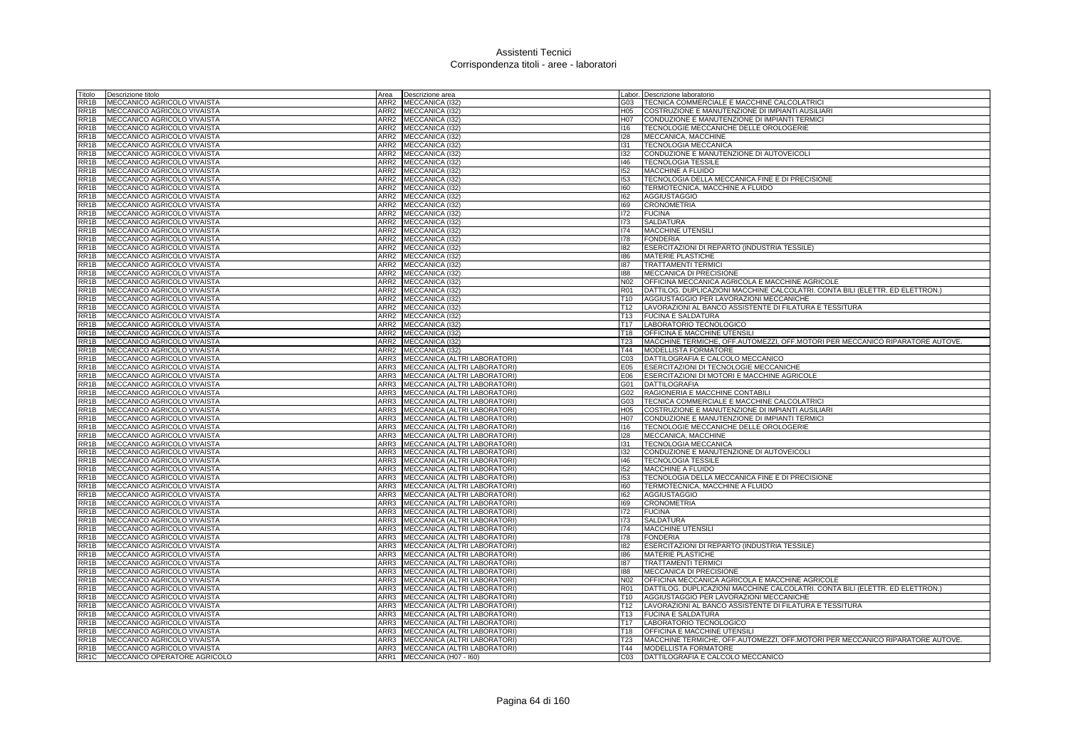| Titolo                      | Descrizione titolo                 | Area             | Descrizione area                  |                 | abor. Descrizione laboratorio                                                 |
|-----------------------------|------------------------------------|------------------|-----------------------------------|-----------------|-------------------------------------------------------------------------------|
| RR1B                        | MECCANICO AGRICOLO VIVAISTA        | ARR2             | MECCANICA (I32)                   | G03             | TECNICA COMMERCIALE E MACCHINE CALCOLATRICI                                   |
| RR1B                        | MECCANICO AGRICOLO VIVAISTA        |                  | ARR2 MECCANICA (I32)              | H05             | COSTRUZIONE E MANUTENZIONE DI IMPIANTI AUSILIARI                              |
| RR1B                        | MECCANICO AGRICOLO VIVAISTA        |                  | ARR2 MECCANICA (I32)              | H07             | CONDUZIONE E MANUTENZIONE DI IMPIANTI TERMICI                                 |
| RR1B                        | MECCANICO AGRICOLO VIVAISTA        |                  | ARR2 MECCANICA (I32)              | 16              | TECNOLOGIE MECCANICHE DELLE OROLOGERIE                                        |
| RR1B                        | MECCANICO AGRICOLO VIVAISTA        |                  | ARR2 MECCANICA (132)              | 128             | MECCANICA, MACCHINE                                                           |
| RR1B                        | MECCANICO AGRICOLO VIVAISTA        |                  | ARR2 MECCANICA (I32)              | 131             | TECNOLOGIA MECCANICA                                                          |
| RR1B                        | MECCANICO AGRICOLO VIVAISTA        |                  | ARR2 MECCANICA (I32)              | 132             | CONDUZIONE E MANUTENZIONE DI AUTOVEICOLI                                      |
| RR1B                        | MECCANICO AGRICOLO VIVAISTA        | ARR2             | MECCANICA (I32)                   | 146             | <b>TECNOLOGIA TESSILE</b>                                                     |
| RR <sub>1</sub> B           | MECCANICO AGRICOLO VIVAISTA        | ARR2             | MECCANICA (132)                   | 152             | <b>MACCHINE A FLUIDO</b>                                                      |
| RR <sub>1</sub> B           | MECCANICO AGRICOLO VIVAISTA        | ARR <sub>2</sub> | MECCANICA (132)                   | 153             | TECNOLOGIA DELLA MECCANICA FINE E DI PRECISIONE                               |
| RR1B                        | MECCANICO AGRICOLO VIVAISTA        |                  | ARR2 MECCANICA (I32)              | 160             | TERMOTECNICA, MACCHINE A FLUIDO                                               |
| RR1B                        | MECCANICO AGRICOLO VIVAISTA        |                  | ARR2 MECCANICA (I32)              | 162             | <b>AGGIUSTAGGIO</b>                                                           |
| RR <sub>1</sub> B           | MECCANICO AGRICOLO VIVAISTA        |                  | ARR2 MECCANICA (I32)              | 169             | <b>CRONOMETRIA</b>                                                            |
| RR <sub>1</sub> B           | <b>MECCANICO AGRICOLO VIVAISTA</b> | ARR <sub>2</sub> | MECCANICA (I32)                   | 172             | <b>FUCINA</b>                                                                 |
| RR <sub>1</sub> B           | MECCANICO AGRICOLO VIVAISTA        | ARR <sub>2</sub> | MECCANICA (I32)                   | 173             | <b>SALDATURA</b>                                                              |
| RR <sub>1</sub> B           | MECCANICO AGRICOLO VIVAISTA        |                  | ARR2 MECCANICA (I32)              | 174             | MACCHINE UTENSILI                                                             |
| RR1B                        | MECCANICO AGRICOLO VIVAISTA        |                  | ARR2 MECCANICA (I32)              | 178             | <b>FONDERIA</b>                                                               |
| RR1B                        | MECCANICO AGRICOLO VIVAISTA        |                  | ARR2 MECCANICA (I32)              | 182             | ESERCITAZIONI DI REPARTO (INDUSTRIA TESSILE)                                  |
| RR1B                        | MECCANICO AGRICOLO VIVAISTA        |                  | ARR2 MECCANICA (I32)              | 186             | MATERIE PLASTICHE                                                             |
| RR1B                        | MECCANICO AGRICOLO VIVAISTA        |                  | ARR2 MECCANICA (I32)              | 187             | TRATTAMENTI TERMIC                                                            |
| RR <sub>1</sub> B           | MECCANICO AGRICOLO VIVAISTA        |                  | ARR2 MECCANICA (I32)              | 188             | MECCANICA DI PRECISIONE                                                       |
| RR1B                        | MECCANICO AGRICOLO VIVAISTA        |                  | ARR2 MECCANICA (I32)              | N02             | OFFICINA MECCANICA AGRICOLA E MACCHINE AGRICOLE                               |
| RR <sub>1</sub> B           | MECCANICO AGRICOLO VIVAISTA        | ARR <sub>2</sub> | MECCANICA (I32)                   | R01             | DATTILOG. DUPLICAZIONI MACCHINE CALCOLATRI. CONTA BILI (ELETTR. ED ELETTRON.) |
| RR1B                        | MECCANICO AGRICOLO VIVAISTA        |                  | ARR2 MECCANICA (I32)              | T10             | AGGIUSTAGGIO PER LAVORAZIONI MECCANICHE                                       |
| RR1B                        | MECCANICO AGRICOLO VIVAISTA        |                  | ARR2 MECCANICA (I32)              | T <sub>12</sub> | LAVORAZIONI AL BANCO ASSISTENTE DI FILATURA E TESSITURA                       |
| $\overline{RR1B}$           | MECCANICO AGRICOLO VIVAISTA        |                  | ARR2 MECCANICA (I32)              |                 | T13 FUCINA E SALDATURA                                                        |
| RR1B                        | MECCANICO AGRICOLO VIVAISTA        | ARR <sub>2</sub> | MECCANICA (I32)                   | T <sub>17</sub> | LABORATORIO TECNOLOGICO                                                       |
| $\overline{\mathsf{RR}}$ 1B | MECCANICO AGRICOLO VIVAISTA        |                  | ARR2 MECCANICA (I32)              | T18             | OFFICINA E MACCHINE UTENSILI                                                  |
| RR1B                        | MECCANICO AGRICOLO VIVAISTA        |                  | ARR2 MECCANICA (I32)              | T <sub>23</sub> | MACCHINE TERMICHE, OFF.AUTOMEZZI, OFF.MOTORI PER MECCANICO RIPARATORE AUTOVE. |
| RR <sub>1</sub> B           | MECCANICO AGRICOLO VIVAISTA        |                  | ARR2 MECCANICA (I32)              | T44             | MODELLISTA FORMATORE                                                          |
| RR <sub>1</sub> B           | <b>MECCANICO AGRICOLO VIVAISTA</b> | ARR3             | MECCANICA (ALTRI LABORATORI)      | CO <sub>3</sub> | DATTILOGRAFIA E CALCOLO MECCANICO                                             |
| RR <sub>1</sub> B           | MECCANICO AGRICOLO VIVAISTA        | ARR3             | MECCANICA (ALTRI LABORATORI)      | E05             | ESERCITAZIONI DI TECNOLOGIE MECCANICHE                                        |
| RR <sub>1</sub> B           | MECCANICO AGRICOLO VIVAISTA        | ARR3             | MECCANICA (ALTRI LABORATORI)      | E06             | ESERCITAZIONI DI MOTORI E MACCHINE AGRICOLE                                   |
| RR1B                        | MECCANICO AGRICOLO VIVAISTA        |                  | ARR3 MECCANICA (ALTRI LABORATORI) | G01             | DATTILOGRAFIA                                                                 |
| RR1B                        | MECCANICO AGRICOLO VIVAISTA        | ARR3             | MECCANICA (ALTRI LABORATORI)      | G02             | RAGIONERIA E MACCHINE CONTABILI                                               |
| RR1B                        | MECCANICO AGRICOLO VIVAISTA        | ARR3             | MECCANICA (ALTRI LABORATORI)      | G03             | TECNICA COMMERCIALE E MACCHINE CALCOLATRICI                                   |
| RR1B                        | MECCANICO AGRICOLO VIVAISTA        |                  | ARR3 MECCANICA (ALTRI LABORATORI) | H05             | COSTRUZIONE E MANUTENZIONE DI IMPIANTI AUSILIARI                              |
| RR1B                        | MECCANICO AGRICOLO VIVAISTA        |                  | ARR3 MECCANICA (ALTRI LABORATORI) | H07             | CONDUZIONE E MANUTENZIONE DI IMPIANTI TERMICI                                 |
| RR1B                        | MECCANICO AGRICOLO VIVAISTA        |                  | ARR3 MECCANICA (ALTRI LABORATORI) | 116             | TECNOLOGIE MECCANICHE DELLE OROLOGERIE                                        |
| RR1B                        | MECCANICO AGRICOLO VIVAISTA        | ARR3             | MECCANICA (ALTRI LABORATORI)      | 128             | MECCANICA, MACCHINE                                                           |
| RR1B                        | MECCANICO AGRICOLO VIVAISTA        | ARR3             | MECCANICA (ALTRI LABORATORI)      | 131             | TECNOLOGIA MECCANICA                                                          |
| RR1B                        | MECCANICO AGRICOLO VIVAISTA        |                  | ARR3 MECCANICA (ALTRI LABORATORI) | 132             | CONDUZIONE E MANUTENZIONE DI AUTOVEICOLI                                      |
| RR <sub>1</sub> B           | MECCANICO AGRICOLO VIVAISTA        | ARR3             | MECCANICA (ALTRI LABORATORI)      | 146             | <b>TECNOLOGIA TESSILE</b>                                                     |
| RR <sub>1</sub> B           | MECCANICO AGRICOLO VIVAISTA        | ARR3             | MECCANICA (ALTRI LABORATORI)      | 152             | <b>MACCHINE A FLUIDO</b>                                                      |
| RR <sub>1</sub> B           | MECCANICO AGRICOLO VIVAISTA        | ARR3             | MECCANICA (ALTRI LABORATORI)      | 153             | TECNOLOGIA DELLA MECCANICA FINE E DI PRECISIONE                               |
| RR <sub>1</sub> B           | MECCANICO AGRICOLO VIVAISTA        |                  | ARR3 MECCANICA (ALTRI LABORATORI) | 160             | TERMOTECNICA, MACCHINE A FLUIDO                                               |
| RR <sub>1</sub> B           | MECCANICO AGRICOLO VIVAISTA        | ARR3             | MECCANICA (ALTRI LABORATORI)      | 162             | <b>AGGIUSTAGGIO</b>                                                           |
| RR <sub>1</sub> B           | MECCANICO AGRICOLO VIVAISTA        | ARR3             | MECCANICA (ALTRI LABORATORI)      | 169             | <b>CRONOMETRIA</b>                                                            |
| RR <sub>1</sub> B           | MECCANICO AGRICOLO VIVAISTA        | ARR3             | MECCANICA (ALTRI LABORATORI)      | 172             | <b>FUCINA</b>                                                                 |
| RR <sub>1</sub> B           | MECCANICO AGRICOLO VIVAISTA        | ARR3             | MECCANICA (ALTRI LABORATORI)      | 173             | <b>SALDATURA</b>                                                              |
| RR1B                        | MECCANICO AGRICOLO VIVAISTA        | ARR3             | MECCANICA (ALTRI LABORATORI)      | 174             | MACCHINE UTENSILI                                                             |
| RR1B                        | MECCANICO AGRICOLO VIVAISTA        | ARR3             | MECCANICA (ALTRI LABORATORI)      | 178             | <b>FONDERIA</b>                                                               |
| RR <sub>1</sub> B           | MECCANICO AGRICOLO VIVAISTA        | ARR3             | MECCANICA (ALTRI LABORATORI)      | 182             | ESERCITAZIONI DI REPARTO (INDUSTRIA TESSILE)                                  |
| RR <sub>1</sub> B           | MECCANICO AGRICOLO VIVAISTA        | ARR3             | MECCANICA (ALTRI LABORATORI)      | 186             | MATERIE PLASTICHE                                                             |
| RR1B                        | MECCANICO AGRICOLO VIVAISTA        |                  | ARR3 MECCANICA (ALTRI LABORATORI) | 187             | <b>TRATTAMENTI TERMICI</b>                                                    |
| RR1B                        | MECCANICO AGRICOLO VIVAISTA        | ARR3             | MECCANICA (ALTRI LABORATORI)      | 881             | MECCANICA DI PRECISIONE                                                       |
| RR1B                        | MECCANICO AGRICOLO VIVAISTA        | ARR3             | MECCANICA (ALTRI LABORATORI)      | N02             | OFFICINA MECCANICA AGRICOLA E MACCHINE AGRICOLE                               |
| RR1B                        | MECCANICO AGRICOLO VIVAISTA        | ARR3             | MECCANICA (ALTRI LABORATORI)      | <b>R01</b>      | DATTILOG. DUPLICAZIONI MACCHINE CALCOLATRI. CONTA BILI (ELETTR. ED ELETTRON.) |
| RR1B                        | MECCANICO AGRICOLO VIVAISTA        |                  | ARR3 MECCANICA (ALTRI LABORATORI) | T <sub>10</sub> | AGGIUSTAGGIO PER LAVORAZIONI MECCANICHE                                       |
| RR <sub>1</sub> B           | MECCANICO AGRICOLO VIVAISTA        | ARR3             | MECCANICA (ALTRI LABORATORI)      | T <sub>12</sub> | LAVORAZIONI AL BANCO ASSISTENTE DI FILATURA E TESSITURA                       |
| RR <sub>1</sub> B           | MECCANICO AGRICOLO VIVAISTA        | ARR3             | MECCANICA (ALTRI LABORATORI)      | T <sub>13</sub> | <b>FUCINA E SALDATURA</b>                                                     |
| RR <sub>1</sub> B           | MECCANICO AGRICOLO VIVAISTA        | ARR3             | MECCANICA (ALTRI LABORATORI)      | T <sub>17</sub> | LABORATORIO TECNOLOGICO                                                       |
| RR1B                        | MECCANICO AGRICOLO VIVAISTA        |                  | ARR3 MECCANICA (ALTRI LABORATORI) | T18             | OFFICINA E MACCHINE UTENSILI                                                  |
| RR <sub>1</sub> B           | <b>MECCANICO AGRICOLO VIVAISTA</b> | ARR3             | MECCANICA (ALTRI LABORATORI)      | T <sub>23</sub> | MACCHINE TERMICHE, OFF.AUTOMEZZI, OFF.MOTORI PER MECCANICO RIPARATORE AUTOVE. |
| RR <sub>1</sub> B           | MECCANICO AGRICOLO VIVAISTA        |                  | ARR3 MECCANICA (ALTRI LABORATORI) | T44             | MODELLISTA FORMATORE                                                          |
| RR <sub>1</sub> C           | MECCANICO OPERATORE AGRICOLO       |                  | ARR1 MECCANICA (H07 - 160)        | CO <sub>3</sub> | DATTILOGRAFIA E CALCOLO MECCANICO                                             |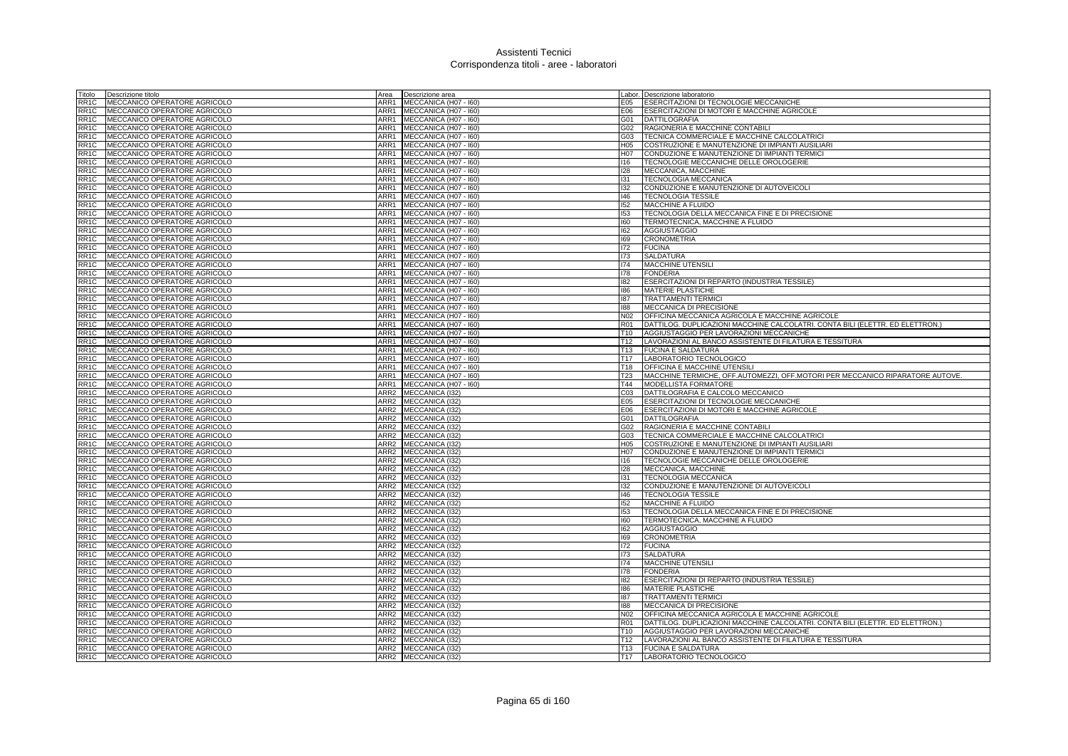| Titolo                                 | Descrizione titolo                                           | Area                     | Descrizione area                        |                                    | Labor. Descrizione laboratorio                                                                     |
|----------------------------------------|--------------------------------------------------------------|--------------------------|-----------------------------------------|------------------------------------|----------------------------------------------------------------------------------------------------|
| RR <sub>1</sub> C                      | MECCANICO OPERATORE AGRICOLO                                 | ARR1                     | MECCANICA (H07 - I60)                   | E05                                | ESERCITAZIONI DI TECNOLOGIE MECCANICHE                                                             |
| RR <sub>1</sub> C                      | MECCANICO OPERATORE AGRICOLO                                 | ARR1                     | MECCANICA (H07 - I60)                   | E06                                | ESERCITAZIONI DI MOTORI E MACCHINE AGRICOLE                                                        |
| RR <sub>1</sub> C                      | MECCANICO OPERATORE AGRICOLO                                 | ARR1                     | MECCANICA (H07 - I60)                   | G01                                | <b>DATTILOGRAFIA</b>                                                                               |
| RR <sub>1</sub> C                      | MECCANICO OPERATORE AGRICOLO                                 |                          | ARR1 MECCANICA (H07 - 160)              | G02                                | RAGIONERIA E MACCHINE CONTABILI                                                                    |
| RR <sub>1</sub> C                      | MECCANICO OPERATORE AGRICOLO                                 | ARR1                     | MECCANICA (H07 - I60)                   | G03                                | TECNICA COMMERCIALE E MACCHINE CALCOLATRICI                                                        |
| RR <sub>1</sub> C                      | MECCANICO OPERATORE AGRICOLO                                 | ARR1                     | MECCANICA (H07 - I60)                   | H05                                | COSTRUZIONE E MANUTENZIONE DI IMPIANTI AUSILIARI                                                   |
| RR <sub>1</sub> C                      | MECCANICO OPERATORE AGRICOLO                                 | ARR1                     | MECCANICA (H07 - I60)                   | H07                                | CONDUZIONE E MANUTENZIONE DI IMPIANTI TERMICI                                                      |
| RR <sub>1</sub> C                      | MECCANICO OPERATORE AGRICOLO                                 | ARR1                     | MECCANICA (H07 - I60)                   | 116                                | TECNOLOGIE MECCANICHE DELLE OROLOGERIE                                                             |
| RR <sub>1</sub> C                      | MECCANICO OPERATORE AGRICOLO                                 | ARR1                     | MECCANICA (H07 - I60)                   | 128                                | MECCANICA, MACCHINE                                                                                |
| RR <sub>1</sub> C                      | MECCANICO OPERATORE AGRICOLO                                 | ARR1                     | MECCANICA (H07 - I60)                   | 131                                | TECNOLOGIA MECCANICA                                                                               |
| RR1C                                   | MECCANICO OPERATORE AGRICOLO                                 | ARR1                     | MECCANICA (H07 - I60)                   | 132                                | CONDUZIONE E MANUTENZIONE DI AUTOVEICOLI                                                           |
| RR <sub>1</sub> C                      | MECCANICO OPERATORE AGRICOLO                                 | ARR1                     | MECCANICA (H07 - I60)                   | 146                                | <b>TECNOLOGIA TESSILE</b>                                                                          |
| RR <sub>1</sub> C                      | MECCANICO OPERATORE AGRICOLO                                 | ARR1                     | MECCANICA (H07 - I60)                   | 152                                | <b>MACCHINE A FLUIDO</b>                                                                           |
| RR <sub>1</sub> C                      | MECCANICO OPERATORE AGRICOLO                                 | ARR1                     | MECCANICA (H07 - I60)                   | 153                                | TECNOLOGIA DELLA MECCANICA FINE E DI PRECISIONE                                                    |
| RR1C                                   | MECCANICO OPERATORE AGRICOLO                                 | ARR1                     | MECCANICA (H07 - I60)                   | 160                                | TERMOTECNICA, MACCHINE A FLUIDO                                                                    |
| RR <sub>1</sub> C                      | MECCANICO OPERATORE AGRICOLO                                 | ARR1                     | MECCANICA (H07 - I60)                   | 162                                | <b>AGGIUSTAGGIO</b>                                                                                |
| RR <sub>1</sub> C                      | MECCANICO OPERATORE AGRICOLO                                 | ARR1                     | MECCANICA (H07 - I60)                   | 169                                | <b>CRONOMETRIA</b>                                                                                 |
| RR <sub>1</sub> C                      | MECCANICO OPERATORE AGRICOLO                                 | ARR1                     | MECCANICA (H07 - I60)                   | 172                                | <b>FUCINA</b>                                                                                      |
| RR <sub>1</sub> C                      | MECCANICO OPERATORE AGRICOLO                                 | ARR1                     | MECCANICA (H07 - I60)                   | 173                                | <b>SALDATURA</b>                                                                                   |
| RR <sub>1</sub> C                      | MECCANICO OPERATORE AGRICOLO                                 | ARR1                     | MECCANICA (H07 - I60)                   | 174                                | <b>MACCHINE UTENSILI</b>                                                                           |
| RR <sub>1</sub> C                      | MECCANICO OPERATORE AGRICOLO                                 | ARR1                     | MECCANICA (H07 - I60)                   | 178                                | <b>FONDERIA</b>                                                                                    |
| RR <sub>1</sub> C                      | MECCANICO OPERATORE AGRICOLO                                 |                          | ARR1 MECCANICA (H07 - 160)              | 182                                | ESERCITAZIONI DI REPARTO (INDUSTRIA TESSILE)                                                       |
| RR <sub>1</sub> C                      | MECCANICO OPERATORE AGRICOLO                                 | ARR1                     | MECCANICA (H07 - I60)                   | 186                                | <b>MATERIE PLASTICHE</b>                                                                           |
| RR <sub>1</sub> C                      | MECCANICO OPERATORE AGRICOLO                                 | ARR1                     | MECCANICA (H07 - I60)                   | 187                                | <b>TRATTAMENTI TERMICI</b>                                                                         |
| RR <sub>1</sub> C                      | MECCANICO OPERATORE AGRICOLO                                 | ARR1                     | MECCANICA (H07 - I60)                   | 188                                | <b>MECCANICA DI PRECISIONE</b>                                                                     |
| RR <sub>1</sub> C                      | MECCANICO OPERATORE AGRICOLO                                 | ARR1                     | MECCANICA (H07 - I60)                   | N02                                | OFFICINA MECCANICA AGRICOLA E MACCHINE AGRICOLE                                                    |
| RR <sub>1</sub> C                      | MECCANICO OPERATORE AGRICOLO                                 | ARR1                     | MECCANICA (H07 - I60)                   | <b>R01</b>                         | DATTILOG. DUPLICAZIONI MACCHINE CALCOLATRI. CONTA BILI (ELETTR. ED ELETTRON.)                      |
| RR1C                                   | MECCANICO OPERATORE AGRICOLO                                 | ARR1                     | MECCANICA (H07 - I60)                   | T <sub>10</sub>                    | AGGIUSTAGGIO PER LAVORAZIONI MECCANICHE                                                            |
| RR <sub>1</sub> C                      | MECCANICO OPERATORE AGRICOLO                                 | ARR1                     | MECCANICA (H07 - I60)                   | T <sub>12</sub>                    | LAVORAZIONI AL BANCO ASSISTENTE DI FILATURA E TESSITURA                                            |
| RR <sub>1</sub> C                      | MECCANICO OPERATORE AGRICOLO                                 |                          | ARR1 MECCANICA (H07 - 160)              | T <sub>13</sub>                    | <b>FUCINA E SALDATURA</b>                                                                          |
| RR <sub>1</sub> C                      | MECCANICO OPERATORE AGRICOLO                                 | ARR1                     | MECCANICA (H07 - I60)                   | T <sub>17</sub>                    | LABORATORIO TECNOLOGICO                                                                            |
| RR <sub>1</sub> C                      | MECCANICO OPERATORE AGRICOLO                                 | ARR1                     | MECCANICA (H07 - 160)                   | T18                                | <b>OFFICINA E MACCHINE UTENSILI</b>                                                                |
| RR <sub>1</sub> C                      | MECCANICO OPERATORE AGRICOLO                                 | ARR1                     | MECCANICA (H07 - I60)                   | T <sub>23</sub>                    | MACCHINE TERMICHE, OFF.AUTOMEZZI, OFF.MOTORI PER MECCANICO RIPARATORE AUTOVE.                      |
| RR <sub>1</sub> C                      | MECCANICO OPERATORE AGRICOLO                                 | ARR1                     | MECCANICA (H07 - I60)                   | T44                                | MODELLISTA FORMATORE                                                                               |
| RR <sub>1</sub> C                      | MECCANICO OPERATORE AGRICOLO                                 | ARR2                     | MECCANICA (I32)                         | C <sub>03</sub>                    | DATTILOGRAFIA E CALCOLO MECCANICO                                                                  |
| RR <sub>1</sub> C                      | MECCANICO OPERATORE AGRICOLO                                 | ARR2                     | MECCANICA (I32)                         | E05                                | ESERCITAZIONI DI TECNOLOGIE MECCANICHE                                                             |
| RR <sub>1</sub> C                      | MECCANICO OPERATORE AGRICOLO                                 |                          | ARR2 MECCANICA (I32)                    | E06                                | ESERCITAZIONI DI MOTORI E MACCHINE AGRICOLE                                                        |
| RR <sub>1</sub> C                      | MECCANICO OPERATORE AGRICOLO                                 |                          | ARR2 MECCANICA (I32)                    | G01                                | <b>DATTILOGRAFIA</b>                                                                               |
| RR <sub>1C</sub>                       | MECCANICO OPERATORE AGRICOLO                                 |                          | ARR2 MECCANICA (I32)                    | G02                                | RAGIONERIA E MACCHINE CONTABILI                                                                    |
| RR <sub>1</sub> C                      | MECCANICO OPERATORE AGRICOLO                                 | ARR2                     | MECCANICA (132)                         | G03                                | <b>TECNICA COMMERCIALE E MACCHINE CALCOLATRICI</b>                                                 |
| RR <sub>1</sub> C                      | MECCANICO OPERATORE AGRICOLO                                 | ARR <sub>2</sub>         | <b>MECCANICA (I32)</b>                  | H <sub>05</sub>                    | COSTRUZIONE E MANUTENZIONE DI IMPIANTI AUSILIARI                                                   |
| RR <sub>1</sub> C                      | MECCANICO OPERATORE AGRICOLO                                 | ARR2                     | MECCANICA (I32)                         | H <sub>0</sub> 7                   | CONDUZIONE E MANUTENZIONE DI IMPIANTI TERMICI                                                      |
| RR <sub>1</sub> C                      | MECCANICO OPERATORE AGRICOLO                                 |                          | ARR2 MECCANICA (I32)                    | 116                                | TECNOLOGIE MECCANICHE DELLE OROLOGERIE                                                             |
| RR <sub>1</sub> C                      | MECCANICO OPERATORE AGRICOLO                                 | ARR2                     | MECCANICA (I32)                         | 128                                | MECCANICA, MACCHINE                                                                                |
| RR1C                                   | MECCANICO OPERATORE AGRICOLO                                 | ARR2                     | MECCANICA (I32)                         | 131                                | TECNOLOGIA MECCANICA                                                                               |
| RR <sub>1</sub> C                      | MECCANICO OPERATORE AGRICOLO                                 | ARR2                     | MECCANICA (I32)                         | 132                                | CONDUZIONE E MANUTENZIONE DI AUTOVEICOLI                                                           |
| RR <sub>1</sub> C                      | MECCANICO OPERATORE AGRICOLO                                 |                          | ARR2 MECCANICA (I32)                    | 146                                | <b>TECNOLOGIA TESSILE</b>                                                                          |
| RR <sub>1</sub> C                      | MECCANICO OPERATORE AGRICOLO                                 | ARR2                     | MECCANICA (I32)                         | 152                                | MACCHINE A FLUIDO                                                                                  |
| RR1C                                   | MECCANICO OPERATORE AGRICOLO                                 | ARR2                     | MECCANICA (I32)                         | 153                                | TECNOLOGIA DELLA MECCANICA FINE E DI PRECISIONE                                                    |
| RR <sub>1</sub> C                      | MECCANICO OPERATORE AGRICOLO                                 | ARR2                     | MECCANICA (I32)                         | 160                                | TERMOTECNICA, MACCHINE A FLUIDO                                                                    |
| RR <sub>1</sub> C                      | MECCANICO OPERATORE AGRICOLO                                 |                          | ARR2 MECCANICA (I32)                    | 162                                | <b>AGGIUSTAGGIO</b>                                                                                |
| RR <sub>1</sub> C                      | MECCANICO OPERATORE AGRICOLO                                 |                          | ARR2 MECCANICA (I32)                    | 169                                | <b>CRONOMETRIA</b>                                                                                 |
| RR <sub>1</sub> C                      | MECCANICO OPERATORE AGRICOLO                                 | ARR <sub>2</sub>         | MECCANICA (I32)                         | 172                                | <b>FUCINA</b>                                                                                      |
| RR <sub>1</sub> C                      | MECCANICO OPERATORE AGRICOLO                                 | ARR2                     | MECCANICA (I32)                         | 173                                | <b>SALDATURA</b>                                                                                   |
| RR <sub>1</sub> C                      | MECCANICO OPERATORE AGRICOLO                                 | ARR2                     | MECCANICA (I32)                         | 174                                | <b>MACCHINE UTENSILI</b>                                                                           |
| RR <sub>1</sub> C                      | MECCANICO OPERATORE AGRICOLO                                 | ARR2                     | MECCANICA (I32)                         | 178                                | <b>FONDERIA</b>                                                                                    |
| RR <sub>1</sub> C                      | MECCANICO OPERATORE AGRICOLO                                 | ARR2                     | MECCANICA (132)                         | 182                                | ESERCITAZIONI DI REPARTO (INDUSTRIA TESSILE)                                                       |
| RR <sub>1</sub> C                      | MECCANICO OPERATORE AGRICOLO                                 | ARR <sub>2</sub>         | MECCANICA (I32)                         | 186                                | <b>MATERIE PLASTICHE</b>                                                                           |
| RR <sub>1</sub> C                      | MECCANICO OPERATORE AGRICOLO                                 | ARR2                     | MECCANICA (132)                         | 187                                | <b>TRATTAMENTI TERMIC</b>                                                                          |
| RR <sub>1</sub> C                      | MECCANICO OPERATORE AGRICOLO                                 | ARR2                     | MECCANICA (I32)                         | 188                                | MECCANICA DI PRECISIONE                                                                            |
| RR <sub>1</sub> C                      | MECCANICO OPERATORE AGRICOLO                                 | ARR2<br>ARR <sub>2</sub> | MECCANICA (132)                         | N <sub>02</sub><br><b>R01</b>      | OFFICINA MECCANICA AGRICOLA E MACCHINE AGRICOLE                                                    |
| RR <sub>1</sub> C                      | MECCANICO OPERATORE AGRICOLO                                 |                          | MECCANICA (I32)                         |                                    | DATTILOG. DUPLICAZIONI MACCHINE CALCOLATRI. CONTA BILI (ELETTR. ED ELETTRON.)                      |
| RR <sub>1</sub> C<br>RR <sub>1</sub> C | MECCANICO OPERATORE AGRICOLO<br>MECCANICO OPERATORE AGRICOLO | ARR2                     | MECCANICA (I32)<br>ARR2 MECCANICA (132) | T <sub>10</sub><br>T <sub>12</sub> | AGGIUSTAGGIO PER LAVORAZIONI MECCANICHE<br>LAVORAZIONI AL BANCO ASSISTENTE DI FILATURA E TESSITURA |
| RR <sub>1</sub> C                      | MECCANICO OPERATORE AGRICOLO                                 |                          | ARR2 MECCANICA (I32)                    | T13                                | <b>FUCINA E SALDATURA</b>                                                                          |
|                                        | RR1C MECCANICO OPERATORE AGRICOLO                            |                          | ARR2 MECCANICA (132)                    | T <sub>17</sub>                    | LABORATORIO TECNOLOGICO                                                                            |
|                                        |                                                              |                          |                                         |                                    |                                                                                                    |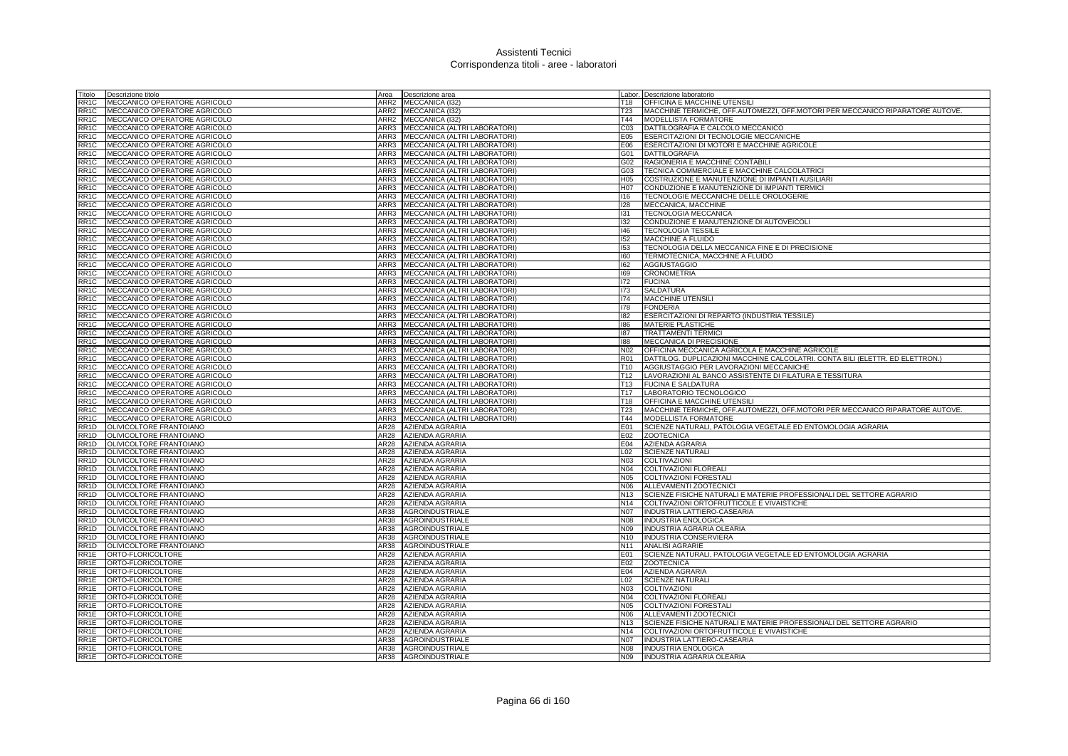| Titolo            | Descrizione titolo                                           | Area | Descrizione area                                             |                 | Labor. Descrizione laboratorio                                                |
|-------------------|--------------------------------------------------------------|------|--------------------------------------------------------------|-----------------|-------------------------------------------------------------------------------|
| RR <sub>1</sub> C | MECCANICO OPERATORE AGRICOLO                                 | ARR2 | MECCANICA (132)                                              | T18             | <b>OFFICINA E MACCHINE UTENSILI</b>                                           |
| RR <sub>1</sub> C | MECCANICO OPERATORE AGRICOLO                                 | ARR2 | MECCANICA (I32)                                              | <b>T23</b>      | MACCHINE TERMICHE, OFF.AUTOMEZZI, OFF.MOTORI PER MECCANICO RIPARATORE AUTOVE. |
| RR <sub>1</sub> C | MECCANICO OPERATORE AGRICOLO                                 | ARR2 | MECCANICA (I32)                                              | T44             | <b>MODELLISTA FORMATORE</b>                                                   |
| RR <sub>1</sub> C | MECCANICO OPERATORE AGRICOLO                                 | ARR3 | MECCANICA (ALTRI LABORATORI)                                 | CO <sub>3</sub> | DATTILOGRAFIA E CALCOLO MECCANICO                                             |
| RR <sub>1</sub> C | MECCANICO OPERATORE AGRICOLO                                 | ARR3 | MECCANICA (ALTRI LABORATORI)                                 | E05             | <b>ESERCITAZIONI DI TECNOLOGIE MECCANICHE</b>                                 |
| RR <sub>1</sub> C | MECCANICO OPERATORE AGRICOLO                                 | ARR3 | MECCANICA (ALTRI LABORATORI)                                 | E06             | ESERCITAZIONI DI MOTORI E MACCHINE AGRICOLE                                   |
| RR <sub>1</sub> C | MECCANICO OPERATORE AGRICOLO                                 | ARR3 | MECCANICA (ALTRI LABORATORI)                                 | G01             | DATTILOGRAFIA                                                                 |
| RR <sub>1</sub> C | MECCANICO OPERATORE AGRICOLO                                 | ARR3 | MECCANICA (ALTRI LABORATORI)                                 | G02             | RAGIONERIA E MACCHINE CONTABILI                                               |
| RR <sub>1</sub> C | MECCANICO OPERATORE AGRICOLO                                 | ARR3 | MECCANICA (ALTRI LABORATORI)                                 | G03             | TECNICA COMMERCIALE E MACCHINE CALCOLATRICI                                   |
| RR <sub>1</sub> C | MECCANICO OPERATORE AGRICOLO                                 | ARR3 | MECCANICA (ALTRI LABORATORI)                                 | H <sub>05</sub> | COSTRUZIONE E MANUTENZIONE DI IMPIANTI AUSILIARI                              |
| RR <sub>1</sub> C | MECCANICO OPERATORE AGRICOLO                                 | ARR3 | MECCANICA (ALTRI LABORATORI)                                 | H07             | CONDUZIONE E MANUTENZIONE DI IMPIANTI TERMICI                                 |
| RR <sub>1</sub> C | MECCANICO OPERATORE AGRICOLO                                 | ARR3 | MECCANICA (ALTRI LABORATORI)                                 | 116             | TECNOLOGIE MECCANICHE DELLE OROLOGERIE                                        |
| RR <sub>1</sub> C | MECCANICO OPERATORE AGRICOLO                                 | ARR3 | MECCANICA (ALTRI LABORATORI)                                 | 128             | MECCANICA, MACCHINE                                                           |
| RR <sub>1</sub> C | MECCANICO OPERATORE AGRICOLO                                 | ARR3 | MECCANICA (ALTRI LABORATORI)                                 | 131             | <b>TECNOLOGIA MECCANICA</b>                                                   |
| RR <sub>1</sub> C | MECCANICO OPERATORE AGRICOLO                                 | ARR3 | MECCANICA (ALTRI LABORATORI                                  | 132             | CONDUZIONE E MANUTENZIONE DI AUTOVEICOLI                                      |
| RR <sub>1</sub> C | MECCANICO OPERATORE AGRICOLO                                 | ARR3 | MECCANICA (ALTRI LABORATORI)                                 | 146             | <b>TECNOLOGIA TESSILE</b>                                                     |
| RR <sub>1</sub> C | MECCANICO OPERATORE AGRICOLO                                 | ARR3 | MECCANICA (ALTRI LABORATORI)                                 | 152             | MACCHINE A FLUIDO                                                             |
| RR <sub>1</sub> C | MECCANICO OPERATORE AGRICOLO                                 | ARR3 | MECCANICA (ALTRI LABORATORI)                                 | 153             | TECNOLOGIA DELLA MECCANICA FINE E DI PRECISIONE                               |
| RR <sub>1</sub> C | MECCANICO OPERATORE AGRICOLO                                 | ARR3 | MECCANICA (ALTRI LABORATORI)                                 | 160             | TERMOTECNICA, MACCHINE A FLUIDO                                               |
| RR <sub>1</sub> C | MECCANICO OPERATORE AGRICOLO                                 | ARR3 | MECCANICA (ALTRI LABORATORI)                                 | 162             |                                                                               |
| RR <sub>1</sub> C | MECCANICO OPERATORE AGRICOLO                                 | ARR3 | MECCANICA (ALTRI LABORATORI)                                 | 169             | AGGIUSTAGGIO<br><b>CRONOMETRIA</b>                                            |
| RR <sub>1</sub> C |                                                              | ARR3 | MECCANICA (ALTRI LABORATORI)                                 | 172             | <b>FUCINA</b>                                                                 |
| RR <sub>1</sub> C | MECCANICO OPERATORE AGRICOLO<br>MECCANICO OPERATORE AGRICOLO | ARR3 | MECCANICA (ALTRI LABORATORI)                                 | 173             | <b>SALDATURA</b>                                                              |
| RR <sub>1</sub> C |                                                              | ARR3 |                                                              | 174             | <b>MACCHINE UTENSILI</b>                                                      |
| RR <sub>1</sub> C | MECCANICO OPERATORE AGRICOLO<br>MECCANICO OPERATORE AGRICOLO | ARR3 | MECCANICA (ALTRI LABORATORI)<br>MECCANICA (ALTRI LABORATORI) | 178             | <b>FONDERIA</b>                                                               |
| RR <sub>1</sub> C | MECCANICO OPERATORE AGRICOLO                                 | ARR3 | MECCANICA (ALTRI LABORATORI)                                 | 182             | ESERCITAZIONI DI REPARTO (INDUSTRIA TESSILE)                                  |
| RR <sub>1</sub> C | MECCANICO OPERATORE AGRICOLO                                 | ARR3 | MECCANICA (ALTRI LABORATORI)                                 | 186             | MATERIE PLASTICHE                                                             |
| RR <sub>1</sub> C | MECCANICO OPERATORE AGRICOLO                                 | ARR3 | MECCANICA (ALTRI LABORATORI)                                 | 187             | <b>TRATTAMENTI TERMICI</b>                                                    |
| RR <sub>1</sub> C | MECCANICO OPERATORE AGRICOLO                                 | ARR3 | MECCANICA (ALTRI LABORATORI)                                 | 188             | MECCANICA DI PRECISIONE                                                       |
| RR <sub>1</sub> C | MECCANICO OPERATORE AGRICOLO                                 | ARR3 | MECCANICA (ALTRI LABORATORI)                                 | N <sub>02</sub> | OFFICINA MECCANICA AGRICOLA E MACCHINE AGRICOLE                               |
| RR <sub>1</sub> C | MECCANICO OPERATORE AGRICOLO                                 | ARR3 | MECCANICA (ALTRI LABORATORI)                                 | <b>R01</b>      | DATTILOG. DUPLICAZIONI MACCHINE CALCOLATRI. CONTA BILI (ELETTR. ED ELETTRON.) |
| RR <sub>1</sub> C | MECCANICO OPERATORE AGRICOLO                                 | ARR3 | MECCANICA (ALTRI LABORATORI)                                 | T <sub>10</sub> | AGGIUSTAGGIO PER LAVORAZIONI MECCANICHE                                       |
| RR <sub>1</sub> C | MECCANICO OPERATORE AGRICOLO                                 | ARR3 | MECCANICA (ALTRI LABORATORI)                                 | T12             | LAVORAZIONI AL BANCO ASSISTENTE DI FILATURA E TESSITURA                       |
| RR <sub>1</sub> C | MECCANICO OPERATORE AGRICOLO                                 | ARR3 | MECCANICA (ALTRI LABORATORI)                                 | T <sub>13</sub> | <b>FUCINA E SALDATURA</b>                                                     |
| RR <sub>1</sub> C | MECCANICO OPERATORE AGRICOLO                                 | ARR3 | MECCANICA (ALTRI LABORATORI)                                 | T17             | LABORATORIO TECNOLOGICO                                                       |
| RR <sub>1</sub> C | MECCANICO OPERATORE AGRICOLO                                 | ARR3 | MECCANICA (ALTRI LABORATORI)                                 | T18             | <b>OFFICINA E MACCHINE UTENSILI</b>                                           |
| RR <sub>1</sub> C | MECCANICO OPERATORE AGRICOLO                                 | ARR3 | MECCANICA (ALTRI LABORATORI)                                 | <b>T23</b>      | MACCHINE TERMICHE, OFF.AUTOMEZZI, OFF.MOTORI PER MECCANICO RIPARATORE AUTOVE. |
| RR <sub>1</sub> C | MECCANICO OPERATORE AGRICOLO                                 | ARR3 | MECCANICA (ALTRI LABORATORI)                                 | T44             | MODELLISTA FORMATORE                                                          |
| RR1D              | OLIVICOLTORE FRANTOIANO                                      | AR28 | AZIENDA AGRARIA                                              | E01             | SCIENZE NATURALI, PATOLOGIA VEGETALE ED ENTOMOLOGIA AGRARIA                   |
| RR <sub>1</sub> D | OLIVICOLTORE FRANTOIANO                                      | AR28 | AZIENDA AGRARIA                                              | E02             | <b>ZOOTECNICA</b>                                                             |
| RR <sub>1</sub> D | OLIVICOLTORE FRANTOIANO                                      | AR28 | AZIENDA AGRARIA                                              | E04             | <b>AZIENDA AGRARIA</b>                                                        |
| RR <sub>1</sub> D | OLIVICOLTORE FRANTOIANO                                      | AR28 | AZIENDA AGRARIA                                              | L02             | <b>SCIENZE NATURALI</b>                                                       |
| RR <sub>1</sub> D | OLIVICOLTORE FRANTOIANO                                      | AR28 | AZIENDA AGRARIA                                              | N <sub>03</sub> | COLTIVAZIONI                                                                  |
| RR <sub>1</sub> D | OLIVICOLTORE FRANTOIANO                                      | AR28 | AZIENDA AGRARIA                                              | N04             | <b>COLTIVAZIONI FLOREALI</b>                                                  |
| RR <sub>1</sub> D | OLIVICOLTORE FRANTOIANO                                      | AR28 | <b>AZIENDA AGRARIA</b>                                       | <b>N05</b>      | COLTIVAZIONI FORESTALI                                                        |
| RR <sub>1</sub> D | OLIVICOLTORE FRANTOIANO                                      | AR28 | <b>AZIENDA AGRARIA</b>                                       | N06             | ALLEVAMENTI ZOOTECNICI                                                        |
| RR <sub>1</sub> D | OLIVICOLTORE FRANTOIANO                                      | AR28 | <b>AZIENDA AGRARIA</b>                                       | N <sub>13</sub> | SCIENZE FISICHE NATURALI E MATERIE PROFESSIONALI DEL SETTORE AGRARIO          |
| RR <sub>1</sub> D | OLIVICOLTORE FRANTOIANO                                      | AR28 | <b>AZIENDA AGRARIA</b>                                       | N <sub>14</sub> | COLTIVAZIONI ORTOFRUTTICOLE E VIVAISTICHE                                     |
| RR <sub>1</sub> D | OLIVICOLTORE FRANTOIANO                                      | AR38 | <b>AGROINDUSTRIALE</b>                                       | <b>N07</b>      | <b>INDUSTRIA LATTIERO-CASEARIA</b>                                            |
| RR <sub>1</sub> D | OLIVICOLTORE FRANTOIANO                                      | AR38 | AGROINDUSTRIALE                                              | <b>N08</b>      | <b>INDUSTRIA ENOLOGICA</b>                                                    |
| RR <sub>1</sub> D | OLIVICOLTORE FRANTOIANO                                      | AR38 | <b>AGROINDUSTRIALE</b>                                       | N09             | <b>INDUSTRIA AGRARIA OLEARIA</b>                                              |
| RR <sub>1</sub> D | OLIVICOLTORE FRANTOIANO                                      | AR38 | <b>AGROINDUSTRIALE</b>                                       |                 | N10 INDUSTRIA CONSERVIERA                                                     |
| RR <sub>1</sub> D | OLIVICOLTORE FRANTOIANO                                      | AR38 | <b>AGROINDUSTRIALE</b>                                       | N <sub>11</sub> | <b>ANALISI AGRARIE</b>                                                        |
| RR1E              | ORTO-FLORICOLTORE                                            | AR28 | AZIENDA AGRARIA                                              | E01             | SCIENZE NATURALI, PATOLOGIA VEGETALE ED ENTOMOLOGIA AGRARIA                   |
| RR1E              | ORTO-FLORICOLTORE                                            | AR28 | AZIENDA AGRARIA                                              | E02             | <b>ZOOTECNICA</b>                                                             |
| RR1E              | ORTO-FLORICOLTORE                                            | AR28 | AZIENDA AGRARIA                                              | E04             | AZIENDA AGRARIA                                                               |
| RR1E              | ORTO-FLORICOLTORE                                            | AR28 | AZIENDA AGRARIA                                              | L <sub>02</sub> | <b>SCIENZE NATURALI</b>                                                       |
| RR1E              | ORTO-FLORICOLTORE                                            | AR28 | AZIENDA AGRARIA                                              | <b>N03</b>      | COLTIVAZION                                                                   |
| RR1E              | ORTO-FLORICOLTORE                                            | AR28 | AZIENDA AGRARIA                                              | N04             | <b>COLTIVAZIONI FLOREALI</b>                                                  |
| RR1E              | ORTO-FLORICOLTORE                                            | AR28 | AZIENDA AGRARIA                                              | N05             | COLTIVAZIONI FORESTALI                                                        |
| RR <sub>1</sub> E | ORTO-FLORICOLTORE                                            | AR28 | AZIENDA AGRARIA                                              | N06             | ALLEVAMENTI ZOOTECNICI                                                        |
| RR1E              | ORTO-FLORICOLTORE                                            | AR28 | <b>AZIENDA AGRARIA</b>                                       | N <sub>13</sub> | SCIENZE FISICHE NATURALI E MATERIE PROFESSIONALI DEL SETTORE AGRARIO          |
| RR1E              | ORTO-FLORICOLTORE                                            | AR28 | AZIENDA AGRARIA                                              | N <sub>14</sub> | COLTIVAZIONI ORTOFRUTTICOLE E VIVAISTICHE                                     |
| RR <sub>1</sub> E | ORTO-FLORICOLTORE                                            | AR38 | <b>AGROINDUSTRIALE</b>                                       | <b>N07</b>      | INDUSTRIA LATTIERO-CASEARIA                                                   |
| RR1E              | ORTO-FLORICOLTORE                                            | AR38 | <b>AGROINDUSTRIALE</b>                                       | N08             | <b>INDUSTRIA ENOLOGICA</b>                                                    |
| RR <sub>1</sub> E | ORTO-FLORICOLTORE                                            | AR38 | AGROINDUSTRIALE                                              | N09             | INDUSTRIA AGRARIA OLEARIA                                                     |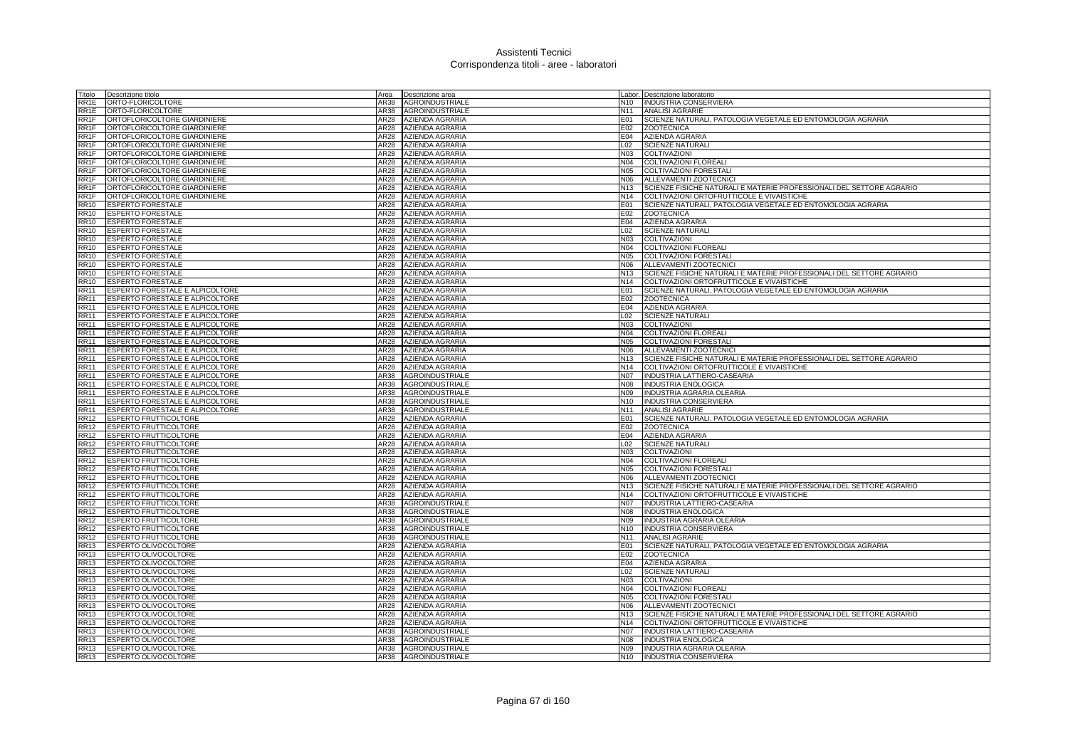| Fitolo                     | Descrizione titolo                                                 | Area                     | Descrizione area                   |                        | Labor. Descrizione laboratorio                                           |
|----------------------------|--------------------------------------------------------------------|--------------------------|------------------------------------|------------------------|--------------------------------------------------------------------------|
| RR1E                       | ORTO-FLORICOLTORE                                                  | AR38                     | <b>AGROINDUSTRIALE</b>             | N <sub>10</sub>        | <b>INDUSTRIA CONSERVIERA</b>                                             |
| RR1E                       | ORTO-FLORICOLTORE                                                  | AR38                     | <b>AGROINDUSTRIALE</b>             | N <sub>11</sub>        | <b>ANALISI AGRARIE</b>                                                   |
| RR1F                       | ORTOFLORICOLTORE GIARDINIERE                                       | AR28                     | AZIENDA AGRARIA                    | E01                    | SCIENZE NATURALI, PATOLOGIA VEGETALE ED ENTOMOLOGIA AGRARIA              |
| RR1F                       | ORTOFLORICOLTORE GIARDINIERE                                       | AR28                     | <b>AZIENDA AGRARIA</b>             | E02                    | <b>ZOOTECNICA</b>                                                        |
| RR1F                       | ORTOFLORICOLTORE GIARDINIERE                                       | AR28                     | AZIENDA AGRARIA                    | E04                    | <b>AZIENDA AGRARIA</b>                                                   |
| RR1F                       | ORTOFLORICOLTORE GIARDINIERE                                       | AR28                     | <b>AZIENDA AGRARIA</b>             | L02                    | <b>SCIENZE NATURALI</b>                                                  |
| RR1F                       | ORTOFLORICOLTORE GIARDINIERE                                       | AR28                     | AZIENDA AGRARIA                    | N03                    | COLTIVAZIONI                                                             |
| RR1F                       | ORTOFLORICOLTORE GIARDINIERE                                       | AR28                     | <b>AZIENDA AGRARIA</b>             | N04                    | <b>COLTIVAZIONI FLOREALI</b>                                             |
| RR1F                       | ORTOFLORICOLTORE GIARDINIERE                                       | AR28                     | AZIENDA AGRARIA                    | <b>N05</b>             | <b>COLTIVAZIONI FORESTALI</b>                                            |
| RR <sub>1</sub> F          | ORTOFLORICOLTORE GIARDINIERE                                       | AR28                     | AZIENDA AGRARIA                    | N <sub>06</sub>        | ALLEVAMENTI ZOOTECNICI                                                   |
| RR <sub>1</sub> F          | ORTOFLORICOLTORE GIARDINIERE                                       | AR28                     | <b>AZIENDA AGRARIA</b>             | N <sub>13</sub>        | SCIENZE FISICHE NATURALI E MATERIE PROFESSIONALI DEL SETTORE AGRARIO     |
| RR1F                       | ORTOFLORICOLTORE GIARDINIERE                                       | AR28                     | <b>AZIENDA AGRARIA</b>             | N14                    | COLTIVAZIONI ORTOFRUTTICOLE E VIVAISTICHE                                |
| $\overline{RR10}$          | <b>ESPERTO FORESTALE</b>                                           | AR28                     | <b>AZIENDA AGRARIA</b>             | E01                    | SCIENZE NATURALI, PATOLOGIA VEGETALE ED ENTOMOLOGIA AGRARIA              |
| <b>RR10</b>                | <b>ESPERTO FORESTALE</b>                                           | AR28                     | <b>AZIENDA AGRARIA</b>             | E02                    | <b>ZOOTECNICA</b>                                                        |
| <b>RR10</b>                | <b>ESPERTO FORESTALE</b>                                           | AR28                     | AZIENDA AGRARIA                    | E04                    | AZIENDA AGRARIA                                                          |
| RR10                       | <b>ESPERTO FORESTALE</b>                                           | AR28                     | AZIENDA AGRARIA                    | L02                    | <b>SCIENZE NATURALI</b>                                                  |
| RR10                       | <b>ESPERTO FORESTALE</b>                                           | AR28                     | <b>AZIENDA AGRARIA</b>             | <b>N03</b>             | COLTIVAZIONI                                                             |
| <b>RR10</b>                | <b>ESPERTO FORESTALE</b>                                           | AR28                     | AZIENDA AGRARIA                    | N04                    | COLTIVAZIONI FLOREALI                                                    |
| <b>RR10</b>                | <b>ESPERTO FORESTALE</b>                                           | AR28                     | <b>AZIENDA AGRARIA</b>             | N05                    | <b>COLTIVAZIONI FORESTALI</b>                                            |
| RR10                       | <b>ESPERTO FORESTALE</b>                                           | AR28                     | AZIENDA AGRARIA                    | N06                    | ALLEVAMENTI ZOOTECNICI                                                   |
| RR10                       | <b>ESPERTO FORESTALE</b>                                           | AR28                     | AZIENDA AGRARIA                    | N13                    | SCIENZE FISICHE NATURALI E MATERIE PROFESSIONALI DEL SETTORE AGRARIO     |
| <b>RR10</b>                | <b>ESPERTO FORESTALE</b>                                           | AR28                     | AZIENDA AGRARIA                    | N14                    | COLTIVAZIONI ORTOFRUTTICOLE E VIVAISTICHE                                |
| <b>RR11</b>                | ESPERTO FORESTALE E ALPICOLTORE                                    | AR28                     | <b>AZIENDA AGRARIA</b>             | E01                    | SCIENZE NATURALI, PATOLOGIA VEGETALE ED ENTOMOLOGIA AGRARIA              |
| <b>RR11</b>                | ESPERTO FORESTALE E ALPICOLTORE                                    | AR28                     | AZIENDA AGRARIA                    | E02                    | <b>ZOOTECNICA</b>                                                        |
| <b>RR11</b>                | ESPERTO FORESTALE E ALPICOLTORE                                    | AR28                     | <b>AZIENDA AGRARIA</b>             | E04                    | <b>AZIENDA AGRARIA</b>                                                   |
| $\overline{RR11}$          | ESPERTO FORESTALE E ALPICOLTORE                                    | AR28                     | AZIENDA AGRARIA                    | L <sub>02</sub>        | <b>SCIENZE NATURALI</b>                                                  |
| <b>RR11</b>                | ESPERTO FORESTALE E ALPICOLTORE                                    | AR28                     | <b>AZIENDA AGRARIA</b>             | N03                    | COLTIVAZIONI                                                             |
| <b>RR11</b>                | ESPERTO FORESTALE E ALPICOLTORE                                    | AR28                     | <b>AZIENDA AGRARIA</b>             | N04                    | COLTIVAZIONI FLOREALI                                                    |
| <b>RR11</b>                | <b>ESPERTO FORESTALE E ALPICOLTORE</b>                             | AR28                     | AZIENDA AGRARIA                    | N05                    | COLTIVAZIONI FORESTALI                                                   |
| RR11                       | ESPERTO FORESTALE E ALPICOLTORE                                    | AR28                     | <b>AZIENDA AGRARIA</b>             | N06                    | ALLEVAMENTI ZOOTECNICI                                                   |
| <b>RR11</b>                | ESPERTO FORESTALE E ALPICOLTORE                                    | AR28<br>AR <sub>28</sub> | AZIENDA AGRARIA                    | N <sub>13</sub><br>N14 | SCIENZE FISICHE NATURALI E MATERIE PROFESSIONALI DEL SETTORE AGRARIO     |
| <b>RR11</b><br><b>RR11</b> | ESPERTO FORESTALE E ALPICOLTORE<br>ESPERTO FORESTALE E ALPICOLTORE |                          | AZIENDA AGRARIA<br>AGROINDUSTRIALE | N07                    | COLTIVAZIONI ORTOFRUTTICOLE E VIVAISTICHE<br>INDUSTRIA LATTIERO-CASEARIA |
| RR11                       | ESPERTO FORESTALE E ALPICOLTORE                                    | AR38<br>AR38             | <b>AGROINDUSTRIALE</b>             | N08                    | INDUSTRIA ENOLOGICA                                                      |
| RR11                       | ESPERTO FORESTALE E ALPICOLTORE                                    | AR38                     | AGROINDUSTRIALE                    | N09                    | INDUSTRIA AGRARIA OLEARIA                                                |
| <b>RR11</b>                | ESPERTO FORESTALE E ALPICOLTORE                                    | AR38                     | <b>AGROINDUSTRIALE</b>             | N <sub>10</sub>        | INDUSTRIA CONSERVIERA                                                    |
| <b>RR11</b>                | ESPERTO FORESTALE E ALPICOLTORE                                    | AR38                     | <b>AGROINDUSTRIALE</b>             | N <sub>11</sub>        | <b>ANALISI AGRARIE</b>                                                   |
| <b>RR12</b>                | <b>ESPERTO FRUTTICOLTORE</b>                                       | AR28                     | <b>AZIENDA AGRARIA</b>             | E01                    | SCIENZE NATURALI, PATOLOGIA VEGETALE ED ENTOMOLOGIA AGRARIA              |
| <b>RR12</b>                | <b>ESPERTO FRUTTICOLTORE</b>                                       | AR28                     | <b>AZIENDA AGRARIA</b>             | E02                    | <b>ZOOTECNICA</b>                                                        |
| <b>RR12</b>                | <b>ESPERTO FRUTTICOLTORE</b>                                       | <b>AR28</b>              | AZIENDA AGRARIA                    | E04                    | AZIENDA AGRARIA                                                          |
| RR12                       | ESPERTO FRUTTICOLTORE                                              | AR28                     | AZIENDA AGRARIA                    | L02                    | <b>SCIENZE NATURALI</b>                                                  |
| RR12                       | <b>ESPERTO FRUTTICOLTORE</b>                                       | AR28                     | AZIENDA AGRARIA                    | N03                    | COLTIVAZIONI                                                             |
| RR12                       | <b>ESPERTO FRUTTICOLTORE</b>                                       | AR28                     | AZIENDA AGRARIA                    | N04                    | <b>COLTIVAZIONI FLOREALI</b>                                             |
| RR12                       | <b>ESPERTO FRUTTICOLTORE</b>                                       | AR28                     | AZIENDA AGRARIA                    | <b>N05</b>             | COLTIVAZIONI FORESTAL                                                    |
| <b>RR12</b>                | ESPERTO FRUTTICOLTORE                                              | AR28                     | AZIENDA AGRARIA                    | N06                    | ALLEVAMENTI ZOOTECNICI                                                   |
| <b>RR12</b>                | ESPERTO FRUTTICOLTORE                                              | AR28                     | AZIENDA AGRARIA                    | N <sub>13</sub>        | SCIENZE FISICHE NATURALI E MATERIE PROFESSIONALI DEL SETTORE AGRARIO     |
| RR12                       | <b>ESPERTO FRUTTICOLTORE</b>                                       | AR28                     | <b>AZIENDA AGRARIA</b>             | N <sub>14</sub>        | COLTIVAZIONI ORTOFRUTTICOLE E VIVAISTICHE                                |
| <b>RR12</b>                | <b>ESPERTO FRUTTICOLTORE</b>                                       | AR38                     | <b>AGROINDUSTRIALE</b>             | <b>N07</b>             | INDUSTRIA LATTIERO-CASEARIA                                              |
| <b>RR12</b>                | ESPERTO FRUTTICOLTORE                                              | AR38                     | <b>AGROINDUSTRIALE</b>             | N08                    | <b>INDUSTRIA ENOLOGICA</b>                                               |
| <b>RR12</b>                | <b>ESPERTO FRUTTICOLTORE</b>                                       | AR38                     | AGROINDUSTRIALE                    | N09                    | INDUSTRIA AGRARIA OLEARIA                                                |
| RR12                       | <b>ESPERTO FRUTTICOLTORE</b>                                       | AR38                     | <b>AGROINDUSTRIALE</b>             | N <sub>10</sub>        | INDUSTRIA CONSERVIERA                                                    |
| RR12                       | <b>ESPERTO FRUTTICOLTORE</b>                                       | AR38                     | AGROINDUSTRIALE                    | N <sub>11</sub>        | <b>ANALISI AGRARIE</b>                                                   |
| <b>RR13</b>                | <b>ESPERTO OLIVOCOLTORE</b>                                        | <b>AR28</b>              | AZIENDA AGRARIA                    | E01                    | SCIENZE NATURALI, PATOLOGIA VEGETALE ED ENTOMOLOGIA AGRARIA              |
| <b>RR13</b>                | <b>ESPERTO OLIVOCOLTORE</b>                                        | <b>AR28</b>              | AZIENDA AGRARIA                    | E02                    | <b>ZOOTECNICA</b>                                                        |
| RR13                       | <b>ESPERTO OLIVOCOLTORE</b>                                        | AR28                     | AZIENDA AGRARIA                    | E04                    | AZIENDA AGRARIA                                                          |
| RR13                       | ESPERTO OLIVOCOLTORE                                               | AR28                     | <b>AZIENDA AGRARIA</b>             | L02                    | <b>SCIENZE NATURALI</b>                                                  |
| RR13                       | <b>ESPERTO OLIVOCOLTORE</b>                                        | AR28                     | <b>AZIENDA AGRARIA</b>             | <b>N03</b>             | <b>COLTIVAZION</b>                                                       |
| RR13                       | ESPERTO OLIVOCOLTORE                                               | AR28                     | AZIENDA AGRARIA                    | N04                    | COLTIVAZIONI FLOREALI                                                    |
| RR13                       | <b>ESPERTO OLIVOCOLTORE</b>                                        | AR28                     | AZIENDA AGRARIA                    | N05                    | <b>COLTIVAZIONI FORESTALI</b>                                            |
| RR13                       | ESPERTO OLIVOCOLTORE                                               | AR28                     | AZIENDA AGRARIA                    | N06                    | ALLEVAMENTI ZOOTECNICI                                                   |
| RR13                       | <b>ESPERTO OLIVOCOLTORE</b>                                        | AR28                     | AZIENDA AGRARIA                    | N <sub>13</sub>        | SCIENZE FISICHE NATURALI E MATERIE PROFESSIONALI DEL SETTORE AGRARIO     |
| <b>RR13</b>                | ESPERTO OLIVOCOLTORE                                               | AR28                     | <b>AZIENDA AGRARIA</b>             | <b>N14</b>             | COLTIVAZIONI ORTOFRUTTICOLE E VIVAISTICHE                                |
| <b>RR13</b>                | ESPERTO OLIVOCOLTORE                                               | AR38                     | AGROINDUSTRIALE                    | N07                    | INDUSTRIA LATTIERO-CASEARIA                                              |
| RR13                       | <b>ESPERTO OLIVOCOLTORE</b>                                        | AR38                     | <b>AGROINDUSTRIALE</b>             | 80N                    | <b>INDUSTRIA ENOLOGICA</b>                                               |
| RR13                       | <b>ESPERTO OLIVOCOLTORE</b>                                        | AR38                     | <b>AGROINDUSTRIALE</b>             | N09                    | INDUSTRIA AGRARIA OLEARIA                                                |
| RR13                       | <b>ESPERTO OLIVOCOLTORE</b>                                        |                          | AR38 AGROINDUSTRIALE               | N <sub>10</sub>        | <b>INDUSTRIA CONSERVIERA</b>                                             |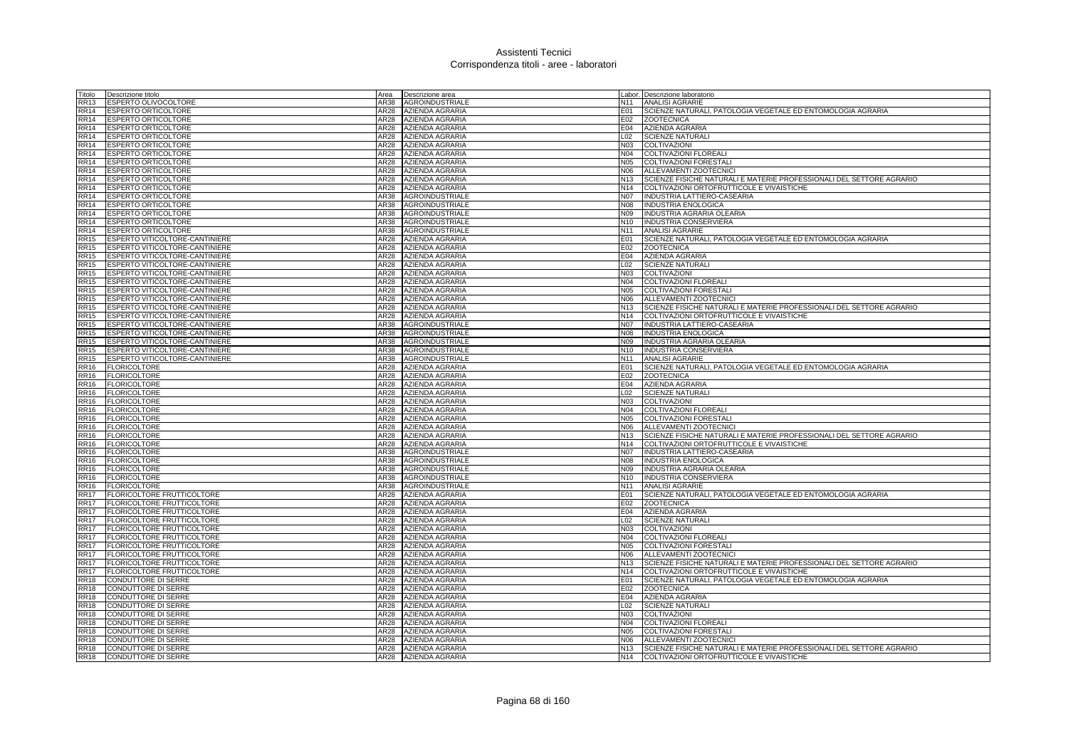| Titolo                     | Descrizione titolo                                    | Area         | Descrizione area                                 |                        | Labor. Descrizione laboratorio                                                        |
|----------------------------|-------------------------------------------------------|--------------|--------------------------------------------------|------------------------|---------------------------------------------------------------------------------------|
| <b>RR13</b>                | ESPERTO OLIVOCOLTORE                                  | AR38         | <b>AGROINDUSTRIALE</b>                           | N11                    | <b>ANALISI AGRARIE</b>                                                                |
| <b>RR14</b>                | <b>ESPERTO ORTICOLTORE</b>                            | AR28         | <b>AZIENDA AGRARIA</b>                           | E01                    | SCIENZE NATURALI, PATOLOGIA VEGETALE ED ENTOMOLOGIA AGRARIA                           |
| <b>RR14</b>                | <b>ESPERTO ORTICOLTORE</b>                            | AR28         | <b>AZIENDA AGRARIA</b>                           | E02                    | <b>ZOOTECNICA</b>                                                                     |
| <b>RR14</b>                | <b>ESPERTO ORTICOLTORE</b>                            | AR28         | <b>AZIENDA AGRARIA</b>                           | E04                    | <b>AZIENDA AGRARIA</b>                                                                |
| <b>RR14</b>                | ESPERTO ORTICOLTORE                                   | AR28         | AZIENDA AGRARIA                                  | L02                    | <b>SCIENZE NATURALI</b>                                                               |
| <b>RR14</b>                | <b>ESPERTO ORTICOLTORE</b>                            | AR28         | <b>AZIENDA AGRARIA</b>                           | <b>N03</b>             | COLTIVAZIONI                                                                          |
| <b>RR14</b>                | ESPERTO ORTICOLTORE                                   | AR28         | <b>AZIENDA AGRARIA</b>                           | N04                    | <b>COLTIVAZIONI FLOREALI</b>                                                          |
| <b>RR14</b>                | <b>ESPERTO ORTICOLTORE</b>                            | AR28         | <b>AZIENDA AGRARIA</b>                           | <b>N05</b>             | COLTIVAZIONI FORESTALI                                                                |
| <b>RR14</b>                | <b>ESPERTO ORTICOLTORE</b>                            | AR28         | <b>AZIENDA AGRARIA</b>                           | N06                    | ALLEVAMENTI ZOOTECNICI                                                                |
| <b>RR14</b>                | <b>ESPERTO ORTICOLTORE</b>                            |              | AR28 AZIENDA AGRARIA                             | N <sub>13</sub>        | SCIENZE FISICHE NATURALI E MATERIE PROFESSIONALI DEL SETTORE AGRARIO                  |
| <b>RR14</b>                | <b>ESPERTO ORTICOLTORE</b>                            | AR28         | AZIENDA AGRARIA                                  | N14                    | COLTIVAZIONI ORTOFRUTTICOLE E VIVAISTICHE                                             |
| <b>RR14</b>                | <b>ESPERTO ORTICOLTORE</b>                            | AR38         | <b>AGROINDUSTRIALE</b>                           | N07                    | INDUSTRIA LATTIERO-CASEARIA                                                           |
| <b>RR14</b>                | <b>ESPERTO ORTICOLTORE</b>                            | AR38         | <b>AGROINDUSTRIALE</b>                           | <b>N08</b>             | <b>INDUSTRIA ENOLOGICA</b>                                                            |
| <b>RR14</b>                | ESPERTO ORTICOLTORE                                   | AR38         | <b>AGROINDUSTRIALE</b>                           | N09                    | INDUSTRIA AGRARIA OLEARIA                                                             |
| <b>RR14</b>                | <b>ESPERTO ORTICOLTORE</b>                            | AR38         | AGROINDUSTRIALE                                  | N <sub>10</sub>        | <b>INDUSTRIA CONSERVIERA</b>                                                          |
| <b>RR14</b>                | <b>ESPERTO ORTICOLTORE</b>                            | AR38         | <b>AGROINDUSTRIALE</b>                           | N <sub>11</sub>        | <b>ANALISI AGRARIE</b>                                                                |
| <b>RR15</b>                | ESPERTO VITICOLTORE-CANTINIERE                        | AR28         | AZIENDA AGRARIA                                  | E01                    | SCIENZE NATURALI, PATOLOGIA VEGETALE ED ENTOMOLOGIA AGRARIA                           |
| <b>RR15</b>                | ESPERTO VITICOLTORE-CANTINIERE                        | AR28         | <b>AZIENDA AGRARIA</b>                           | E02                    | <b>ZOOTECNICA</b>                                                                     |
| <b>RR15</b>                | ESPERTO VITICOLTORE-CANTINIERE                        | AR28         | <b>AZIENDA AGRARIA</b>                           | E04                    | <b>AZIENDA AGRARIA</b>                                                                |
| <b>RR15</b>                | ESPERTO VITICOLTORE-CANTINIERE                        | AR28         | <b>AZIENDA AGRARIA</b>                           | L <sub>02</sub>        | <b>SCIENZE NATURALI</b>                                                               |
| <b>RR15</b>                | ESPERTO VITICOLTORE-CANTINIERE                        | AR28         | <b>AZIENDA AGRARIA</b>                           | N03                    | <b>COLTIVAZIONI</b>                                                                   |
| <b>RR15</b>                | ESPERTO VITICOLTORE-CANTINIERE                        | AR28         | <b>AZIENDA AGRARIA</b>                           | N04                    | COLTIVAZIONI FLOREALI                                                                 |
| <b>RR15</b>                | ESPERTO VITICOLTORE-CANTINIERE                        | AR28         | <b>AZIENDA AGRARIA</b>                           | <b>N05</b>             | COLTIVAZIONI FORESTALI                                                                |
| <b>RR15</b>                | ESPERTO VITICOLTORE-CANTINIERE                        | AR28         | AZIENDA AGRARIA                                  | N06                    | ALLEVAMENTI ZOOTECNICI                                                                |
| <b>RR15</b>                | ESPERTO VITICOLTORE-CANTINIERE                        | AR28         | AZIENDA AGRARIA                                  | N <sub>13</sub>        | SCIENZE FISICHE NATURALI E MATERIE PROFESSIONALI DEL SETTORE AGRARIO                  |
| <b>RR15</b>                | ESPERTO VITICOLTORE-CANTINIERE                        | AR28         | AZIENDA AGRARIA                                  | N14                    | COLTIVAZIONI ORTOFRUTTICOLE E VIVAISTICHE                                             |
| <b>RR15</b>                | ESPERTO VITICOLTORE-CANTINIERE                        | AR38         | <b>AGROINDUSTRIALE</b>                           | <b>N07</b>             | INDUSTRIA LATTIERO-CASEARIA                                                           |
| <b>RR15</b>                | ESPERTO VITICOLTORE-CANTINIERE                        | AR38         | <b>AGROINDUSTRIALE</b>                           | <b>N08</b>             | <b>INDUSTRIA ENOLOGICA</b>                                                            |
| <b>RR15</b>                | ESPERTO VITICOLTORE-CANTINIERE                        | AR38         | <b>AGROINDUSTRIALE</b>                           | N <sub>09</sub>        | INDUSTRIA AGRARIA OLEARIA                                                             |
| <b>RR15</b>                | ESPERTO VITICOLTORE-CANTINIERE                        | AR38         | <b>AGROINDUSTRIALE</b>                           | N <sub>10</sub>        | INDUSTRIA CONSERVIERA                                                                 |
| <b>RR15</b><br><b>RR16</b> | ESPERTO VITICOLTORE-CANTINIERE<br><b>FLORICOLTORE</b> | AR38<br>AR28 | <b>AGROINDUSTRIALE</b><br><b>AZIENDA AGRARIA</b> | N <sub>11</sub><br>E01 | <b>ANALISI AGRARIE</b><br>SCIENZE NATURALI, PATOLOGIA VEGETALE ED ENTOMOLOGIA AGRARIA |
| <b>RR16</b>                | <b>FLORICOLTORE</b>                                   | AR28         | AZIENDA AGRARIA                                  | E02                    | <b>ZOOTECNICA</b>                                                                     |
| <b>RR16</b>                | <b>FLORICOLTORE</b>                                   | AR28         | AZIENDA AGRARIA                                  |                        | E04 AZIENDA AGRARIA                                                                   |
| <b>RR16</b>                | <b>FLORICOLTORE</b>                                   | AR28         | AZIENDA AGRARIA                                  | L <sub>02</sub>        | <b>SCIENZE NATURALI</b>                                                               |
| <b>RR16</b>                | <b>FLORICOLTORE</b>                                   | AR28         | AZIENDA AGRARIA                                  | <b>N03</b>             | COLTIVAZIONI                                                                          |
| <b>RR16</b>                | <b>FLORICOLTORE</b>                                   | AR28         | AZIENDA AGRARIA                                  | N04                    | COLTIVAZIONI FLOREALI                                                                 |
| <b>RR16</b>                | <b>FLORICOLTORE</b>                                   | AR28         | <b>AZIENDA AGRARIA</b>                           | N05                    | COLTIVAZIONI FORESTALI                                                                |
| <b>RR16</b>                | <b>FLORICOLTORE</b>                                   | AR28         | <b>AZIENDA AGRARIA</b>                           | N06                    | ALLEVAMENTI ZOOTECNICI                                                                |
| <b>RR16</b>                | <b>FLORICOLTORE</b>                                   | AR28         | AZIENDA AGRARIA                                  | N <sub>13</sub>        | SCIENZE FISICHE NATURALI E MATERIE PROFESSIONALI DEL SETTORE AGRARIO                  |
| <b>RR16</b>                | <b>FLORICOLTORE</b>                                   | AR28         | AZIENDA AGRARIA                                  | N <sub>14</sub>        | COLTIVAZIONI ORTOFRUTTICOLE E VIVAISTICHE                                             |
| <b>RR16</b>                | <b>FLORICOLTORE</b>                                   | AR38         | <b>AGROINDUSTRIALE</b>                           | <b>N07</b>             | INDUSTRIA LATTIERO-CASEARIA                                                           |
| <b>RR16</b>                | <b>FLORICOLTORE</b>                                   | AR38         | <b>AGROINDUSTRIALE</b>                           | <b>N08</b>             | <b>INDUSTRIA ENOLOGICA</b>                                                            |
| <b>RR16</b>                | <b>FLORICOLTORE</b>                                   | AR38         | AGROINDUSTRIALE                                  | N09                    | INDUSTRIA AGRARIA OLEARIA                                                             |
| <b>RR16</b>                | <b>FLORICOLTORE</b>                                   | AR38         | <b>AGROINDUSTRIALE</b>                           | N <sub>10</sub>        | INDUSTRIA CONSERVIERA                                                                 |
| <b>RR16</b>                | <b>FLORICOLTORE</b>                                   | AR38         | <b>AGROINDUSTRIALE</b>                           | N11                    | <b>ANALISI AGRARIE</b>                                                                |
| <b>RR17</b>                | FLORICOLTORE FRUTTICOLTORE                            | AR28         | AZIENDA AGRARIA                                  | E01                    | SCIENZE NATURALI, PATOLOGIA VEGETALE ED ENTOMOLOGIA AGRARIA                           |
| <b>RR17</b>                | FLORICOLTORE FRUTTICOLTORE                            | AR28         | <b>AZIENDA AGRARIA</b>                           | E02                    | <b>ZOOTECNICA</b>                                                                     |
| <b>RR17</b>                | FLORICOLTORE FRUTTICOLTORE                            | AR28         | <b>AZIENDA AGRARIA</b>                           | E04                    | AZIENDA AGRARIA                                                                       |
| <b>RR17</b>                | FLORICOLTORE FRUTTICOLTORE                            | AR28         | AZIENDA AGRARIA                                  | L <sub>02</sub>        | <b>SCIENZE NATURALI</b>                                                               |
| <b>RR17</b>                | FLORICOLTORE FRUTTICOLTORE                            | AR28         | <b>AZIENDA AGRARIA</b>                           | N03                    | COLTIVAZIONI                                                                          |
| <b>RR17</b>                | FLORICOLTORE FRUTTICOLTORE                            | AR28         | <b>AZIENDA AGRARIA</b>                           | N04                    | <b>COLTIVAZIONI FLOREALI</b>                                                          |
| <b>RR17</b>                | FLORICOLTORE FRUTTICOLTORE                            | AR28         | <b>AZIENDA AGRARIA</b>                           | <b>N05</b>             | <b>COLTIVAZIONI FORESTALI</b>                                                         |
| <b>RR17</b>                | FLORICOLTORE FRUTTICOLTORE                            |              | AR28 AZIENDA AGRARIA                             | N06                    | ALLEVAMENTI ZOOTECNICI                                                                |
| <b>RR17</b>                | FLORICOLTORE FRUTTICOLTORE                            | AR28         | <b>AZIENDA AGRARIA</b>                           | N <sub>13</sub>        | SCIENZE FISICHE NATURALI E MATERIE PROFESSIONALI DEL SETTORE AGRARIO                  |
| <b>RR17</b>                | FLORICOLTORE FRUTTICOLTORE                            | AR28         | AZIENDA AGRARIA                                  | N14                    | COLTIVAZIONI ORTOFRUTTICOLE E VIVAISTICHE                                             |
| <b>RR18</b>                | CONDUTTORE DI SERRE                                   | AR28         | AZIENDA AGRARIA                                  | E01                    | SCIENZE NATURALI, PATOLOGIA VEGETALE ED ENTOMOLOGIA AGRARIA                           |
| <b>RR18</b>                | CONDUTTORE DI SERRE                                   | AR28         | <b>AZIENDA AGRARIA</b>                           | E02                    | <b>ZOOTECNICA</b>                                                                     |
| <b>RR18</b>                | CONDUTTORE DI SERRE                                   | AR28         | AZIENDA AGRARIA                                  | E04                    | AZIENDA AGRARIA                                                                       |
| <b>RR18</b>                | CONDUTTORE DI SERRE                                   | AR28         | AZIENDA AGRARIA                                  | L <sub>02</sub>        | <b>SCIENZE NATURALI</b>                                                               |
| <b>RR18</b>                | <b>CONDUTTORE DI SERRE</b>                            | AR28         | AZIENDA AGRARIA                                  | <b>N03</b>             | <b>COLTIVAZIONI</b>                                                                   |
| <b>RR18</b>                | CONDUTTORE DI SERRE                                   | AR28         | <b>AZIENDA AGRARIA</b>                           | N04                    | COLTIVAZIONI FLOREALI                                                                 |
| <b>RR18</b>                | <b>CONDUTTORE DI SERRE</b>                            | AR28         | <b>AZIENDA AGRARIA</b>                           | N05                    | COLTIVAZIONI FORESTALI                                                                |
| <b>RR18</b>                | CONDUTTORE DI SERRE                                   | AR28         | <b>AZIENDA AGRARIA</b>                           | N <sub>06</sub>        | ALLEVAMENTI ZOOTECNICI                                                                |
| <b>RR18</b>                | <b>CONDUTTORE DI SERRE</b>                            |              | AR28 AZIENDA AGRARIA                             | N <sub>13</sub>        | SCIENZE FISICHE NATURALI E MATERIE PROFESSIONALI DEL SETTORE AGRARIO                  |
| <b>RR18</b>                | <b>CONDUTTORE DI SERRE</b>                            |              | AR28 AZIENDA AGRARIA                             | N <sub>14</sub>        | COLTIVAZIONI ORTOFRUTTICOLE E VIVAISTICHE                                             |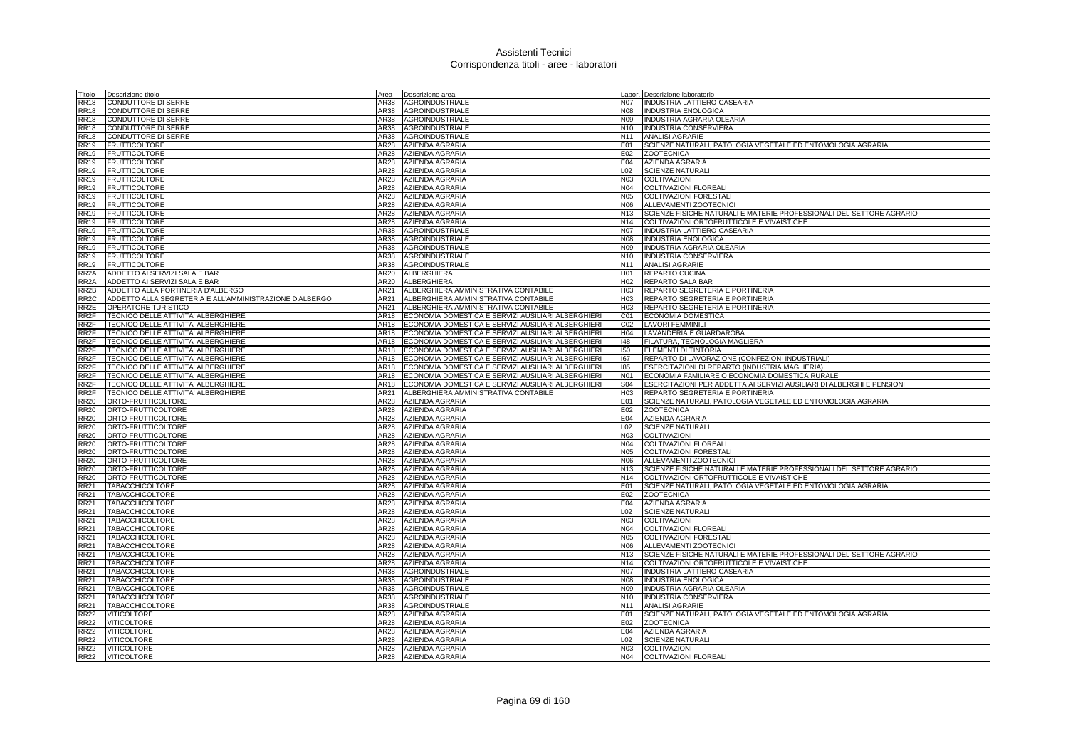| Titolo                     | Descrizione titolo                                      | Area         | Descrizione area                                   |                                    | Labor. Descrizione laboratorio                                                                                    |
|----------------------------|---------------------------------------------------------|--------------|----------------------------------------------------|------------------------------------|-------------------------------------------------------------------------------------------------------------------|
| <b>RR18</b>                | CONDUTTORE DI SERRE                                     | AR38         | AGROINDUSTRIALE                                    | <b>N07</b>                         | INDUSTRIA LATTIERO-CASEARIA                                                                                       |
| <b>RR18</b>                | CONDUTTORE DI SERRE                                     | AR38         | AGROINDUSTRIALE                                    | <b>N08</b>                         | <b>INDUSTRIA ENOLOGICA</b>                                                                                        |
| <b>RR18</b>                | CONDUTTORE DI SERRE                                     | AR38         | AGROINDUSTRIALE                                    | N09                                | INDUSTRIA AGRARIA OLEARIA                                                                                         |
| <b>RR18</b>                | CONDUTTORE DI SERRE                                     |              | AR38 AGROINDUSTRIALE                               | N <sub>10</sub>                    | INDUSTRIA CONSERVIERA                                                                                             |
| <b>RR18</b>                | CONDUTTORE DI SERRE                                     | AR38         | <b>AGROINDUSTRIALE</b>                             | N <sub>11</sub>                    | <b>ANALISI AGRARIE</b>                                                                                            |
| <b>RR19</b>                | <b>FRUTTICOLTORE</b>                                    | AR28         | AZIENDA AGRARIA                                    | E01                                | SCIENZE NATURALI, PATOLOGIA VEGETALE ED ENTOMOLOGIA AGRARIA                                                       |
| <b>RR19</b>                | <b>FRUTTICOLTORE</b>                                    | AR28         | <b>AZIENDA AGRARIA</b>                             | E02                                | <b>ZOOTECNICA</b>                                                                                                 |
| <b>RR19</b>                | <b>FRUTTICOLTORE</b>                                    | AR28         | AZIENDA AGRARIA                                    | E04                                | <b>AZIENDA AGRARIA</b>                                                                                            |
| <b>RR19</b>                | <b>FRUTTICOLTORE</b>                                    | AR28         | AZIENDA AGRARIA                                    | L <sub>02</sub>                    | <b>SCIENZE NATURALI</b>                                                                                           |
| <b>RR19</b>                | <b>FRUTTICOLTORE</b>                                    | AR28         | <b>AZIENDA AGRARIA</b>                             | N03                                | COLTIVAZIONI                                                                                                      |
| <b>RR19</b>                | <b>FRUTTICOLTORE</b>                                    | AR28         | <b>AZIENDA AGRARIA</b>                             | N04                                | <b>COLTIVAZIONI FLOREALI</b>                                                                                      |
| <b>RR19</b>                | <b>FRUTTICOLTORE</b>                                    |              | AR28 AZIENDA AGRARIA                               | N05                                | COLTIVAZIONI FORESTALI                                                                                            |
| <b>RR19</b>                | <b>FRUTTICOLTORE</b>                                    |              | AR28 AZIENDA AGRARIA                               | N06                                | ALLEVAMENTI ZOOTECNICI                                                                                            |
| <b>RR19</b>                | <b>FRUTTICOLTORE</b><br><b>FRUTTICOLTORE</b>            | AR28<br>AR28 | <b>AZIENDA AGRARIA</b><br><b>AZIENDA AGRARIA</b>   | N <sub>13</sub><br>N <sub>14</sub> | SCIENZE FISICHE NATURALI E MATERIE PROFESSIONALI DEL SETTORE AGRARIO<br>COLTIVAZIONI ORTOFRUTTICOLE E VIVAISTICHE |
| <b>RR19</b><br><b>RR19</b> |                                                         | AR38         |                                                    | <b>N07</b>                         |                                                                                                                   |
| RR <sub>19</sub>           | <b>FRUTTICOLTORE</b>                                    | AR38         | AGROINDUSTRIALE                                    | <b>N08</b>                         | INDUSTRIA LATTIERO-CASEARIA<br><b>INDUSTRIA ENOLOGICA</b>                                                         |
| RR19                       | <b>FRUTTICOLTORE</b><br>FRUTTICOLTORE                   | AR38         | <b>AGROINDUSTRIALE</b><br><b>AGROINDUSTRIALE</b>   | N09                                | INDUSTRIA AGRARIA OLEARIA                                                                                         |
|                            | <b>FRUTTICOLTORE</b>                                    | AR38         | AGROINDUSTRIALE                                    | N <sub>10</sub>                    | <b>INDUSTRIA CONSERVIERA</b>                                                                                      |
| <b>RR19</b><br>RR19        | <b>FRUTTICOLTORE</b>                                    | AR38         | AGROINDUSTRIALE                                    | N <sub>11</sub>                    | <b>ANALISI AGRARIE</b>                                                                                            |
| RR <sub>2</sub> A          | ADDETTO AI SERVIZI SALA E BAR                           |              | AR20 ALBERGHIERA                                   | H <sub>01</sub>                    | <b>REPARTO CUCINA</b>                                                                                             |
| RR <sub>2</sub> A          | ADDETTO AI SERVIZI SALA E BAR                           | AR20         | ALBERGHIERA                                        | H <sub>02</sub>                    | <b>REPARTO SALA BAR</b>                                                                                           |
| RR2B                       | ADDETTO ALLA PORTINERIA D'ALBERGO                       | AR21         | ALBERGHIERA AMMINISTRATIVA CONTABILE               | H <sub>03</sub>                    | REPARTO SEGRETERIA E PORTINERIA                                                                                   |
| RR <sub>2</sub> C          | ADDETTO ALLA SEGRETERIA E ALL'AMMINISTRAZIONE D'ALBERGO | AR21         | ALBERGHIERA AMMINISTRATIVA CONTABILE               | H <sub>03</sub>                    | REPARTO SEGRETERIA E PORTINERIA                                                                                   |
| RR2E                       | OPERATORE TURISTICO                                     | AR21         | ALBERGHIERA AMMINISTRATIVA CONTABILE               | H <sub>03</sub>                    | REPARTO SEGRETERIA E PORTINERIA                                                                                   |
| RR2F                       | TECNICO DELLE ATTIVITA' ALBERGHIERE                     | AR18         | ECONOMIA DOMESTICA E SERVIZI AUSILIARI ALBERGHIERI | CO1                                | <b>ECONOMIA DOMESTICA</b>                                                                                         |
| RR2F                       | TECNICO DELLE ATTIVITA' ALBERGHIERE                     | AR18         | ECONOMIA DOMESTICA E SERVIZI AUSILIARI ALBERGHIERI | CO <sub>2</sub>                    | <b>LAVORI FEMMINILI</b>                                                                                           |
| RR <sub>2</sub> F          | TECNICO DELLE ATTIVITA' ALBERGHIERE                     | AR18         | ECONOMIA DOMESTICA E SERVIZI AUSILIARI ALBERGHIERI | H04                                | LAVANDERIA E GUARDAROBA                                                                                           |
| RR <sub>2</sub> F          | TECNICO DELLE ATTIVITA' ALBERGHIERE                     | AR18         | ECONOMIA DOMESTICA E SERVIZI AUSILIARI ALBERGHIERI | 48                                 | FILATURA, TECNOLOGIA MAGLIERA                                                                                     |
| RR <sub>2</sub> F          | TECNICO DELLE ATTIVITA' ALBERGHIERE                     | AR18         | ECONOMIA DOMESTICA E SERVIZI AUSILIARI ALBERGHIERI | 150                                | <b>ELEMENTI DI TINTORIA</b>                                                                                       |
| RR <sub>2</sub> F          | TECNICO DELLE ATTIVITA' ALBERGHIERE                     | AR18         | ECONOMIA DOMESTICA E SERVIZI AUSILIARI ALBERGHIERI | 167                                | REPARTO DI LAVORAZIONE (CONFEZIONI INDUSTRIALI)                                                                   |
| RR <sub>2</sub> F          | TECNICO DELLE ATTIVITA' ALBERGHIERE                     | AR18         | ECONOMIA DOMESTICA E SERVIZI AUSILIARI ALBERGHIERI | 185                                | ESERCITAZIONI DI REPARTO (INDUSTRIA MAGLIERIA)                                                                    |
| RR <sub>2</sub> F          | TECNICO DELLE ATTIVITA' ALBERGHIERE                     | AR18         | ECONOMIA DOMESTICA E SERVIZI AUSILIARI ALBERGHIERI | N <sub>01</sub>                    | ECONOMIA FAMILIARE O ECONOMIA DOMESTICA RURALE                                                                    |
| RR2F                       | TECNICO DELLE ATTIVITA' ALBERGHIERE                     | AR18         | ECONOMIA DOMESTICA E SERVIZI AUSILIARI ALBERGHIERI | <b>S04</b>                         | ESERCITAZIONI PER ADDETTA AI SERVIZI AUSILIARI DI ALBERGHI E PENSIONI                                             |
| RR2F                       | TECNICO DELLE ATTIVITA' ALBERGHIERE                     | AR21         | ALBERGHIERA AMMINISTRATIVA CONTABILE               | H <sub>03</sub>                    | REPARTO SEGRETERIA E PORTINERIA                                                                                   |
| <b>RR20</b>                | ORTO-FRUTTICOLTORE                                      | AR28         | <b>AZIENDA AGRARIA</b>                             | E01                                | SCIENZE NATURALI, PATOLOGIA VEGETALE ED ENTOMOLOGIA AGRARIA                                                       |
| <b>RR20</b>                | ORTO-FRUTTICOLTORE                                      | AR28         | <b>AZIENDA AGRARIA</b>                             | E02                                | <b>ZOOTECNICA</b>                                                                                                 |
| <b>RR20</b>                | ORTO-FRUTTICOLTORE                                      |              | AR28 AZIENDA AGRARIA                               | E04                                | AZIENDA AGRARIA                                                                                                   |
| <b>RR20</b>                | ORTO-FRUTTICOLTORE                                      | AR28         | <b>AZIENDA AGRARIA</b>                             | L02                                | <b>SCIENZE NATURALI</b>                                                                                           |
| <b>RR20</b>                | ORTO-FRUTTICOLTORE                                      | AR28         | <b>AZIENDA AGRARIA</b>                             | N03                                | COLTIVAZIONI                                                                                                      |
| <b>RR20</b>                | ORTO-FRUTTICOLTORE                                      | AR28         | AZIENDA AGRARIA                                    | N04                                | <b>COLTIVAZIONI FLOREALI</b>                                                                                      |
| <b>RR20</b>                | ORTO-FRUTTICOLTORE                                      | AR28         | AZIENDA AGRARIA                                    | <b>N05</b>                         | COLTIVAZIONI FORESTALI                                                                                            |
| <b>RR20</b>                | ORTO-FRUTTICOLTORE                                      | AR28         | AZIENDA AGRARIA                                    |                                    | N06 ALLEVAMENTI ZOOTECNICI                                                                                        |
| <b>RR20</b>                | ORTO-FRUTTICOLTORE                                      | AR28         | AZIENDA AGRARIA                                    | N <sub>13</sub>                    | SCIENZE FISICHE NATURALI E MATERIE PROFESSIONALI DEL SETTORE AGRARIO                                              |
| <b>RR20</b>                | ORTO-FRUTTICOLTORE                                      | AR28         | AZIENDA AGRARIA                                    | N <sub>14</sub>                    | COLTIVAZIONI ORTOFRUTTICOLE E VIVAISTICHE                                                                         |
| <b>RR21</b>                | <b>TABACCHICOLTORE</b>                                  | AR28         | <b>AZIENDA AGRARIA</b>                             | E01                                | SCIENZE NATURALI, PATOLOGIA VEGETALE ED ENTOMOLOGIA AGRARIA                                                       |
| <b>RR21</b>                | <b>TABACCHICOLTORE</b>                                  | AR28         | <b>AZIENDA AGRARIA</b>                             | E02                                | <b>ZOOTECNICA</b>                                                                                                 |
| <b>RR21</b>                | <b>TABACCHICOLTORE</b>                                  | AR28         | <b>AZIENDA AGRARIA</b>                             | E04                                | <b>AZIENDA AGRARIA</b>                                                                                            |
| <b>RR21</b>                | <b>TABACCHICOLTORE</b>                                  | AR28         | AZIENDA AGRARIA                                    | L <sub>02</sub>                    | <b>SCIENZE NATURALI</b>                                                                                           |
| <b>RR21</b>                | <b>TABACCHICOLTORE</b>                                  | AR28         | AZIENDA AGRARIA                                    | N <sub>03</sub>                    | <b>COLTIVAZIONI</b>                                                                                               |
| <b>RR21</b>                | <b>TABACCHICOLTORE</b>                                  | AR28         | AZIENDA AGRARIA                                    | N04                                | COLTIVAZIONI FLOREALI                                                                                             |
| <b>RR21</b>                | <b>TABACCHICOLTORE</b>                                  | AR28         | AZIENDA AGRARIA                                    | <b>N05</b>                         | <b>COLTIVAZIONI FORESTALI</b>                                                                                     |
| <b>RR21</b>                | <b>TABACCHICOLTORE</b>                                  | AR28         | AZIENDA AGRARIA                                    | N06                                | ALLEVAMENTI ZOOTECNICI                                                                                            |
| RR21                       | <b>TABACCHICOLTORE</b>                                  |              | AR28 AZIENDA AGRARIA                               | N <sub>13</sub><br>N <sub>14</sub> | SCIENZE FISICHE NATURALI E MATERIE PROFESSIONALI DEL SETTORE AGRARIO                                              |
| RR21<br>RR21               | <b>TABACCHICOLTORE</b><br><b>TABACCHICOLTORE</b>        | AR28<br>AR38 | AZIENDA AGRARIA<br>AGROINDUSTRIALE                 | N07                                | COLTIVAZIONI ORTOFRUTTICOLE E VIVAISTICHE<br>INDUSTRIA LATTIERO-CASEARIA                                          |
| RR21                       | <b>TABACCHICOLTORE</b>                                  | AR38         | AGROINDUSTRIALE                                    | <b>N08</b>                         | INDUSTRIA ENOLOGICA                                                                                               |
| <b>RR21</b>                | <b>TABACCHICOLTORE</b>                                  | AR38         | AGROINDUSTRIALE                                    | N09                                | INDUSTRIA AGRARIA OLEARIA                                                                                         |
| <b>RR21</b>                | <b>TABACCHICOLTORE</b>                                  | AR38         | AGROINDUSTRIALE                                    | N <sub>10</sub>                    | INDUSTRIA CONSERVIERA                                                                                             |
| <b>RR21</b>                | <b>TABACCHICOLTORE</b>                                  | AR38         | <b>AGROINDUSTRIALE</b>                             | N <sub>11</sub>                    | <b>ANALISI AGRARIE</b>                                                                                            |
| <b>RR22</b>                | VITICOLTORE                                             | AR28         | AZIENDA AGRARIA                                    | E01                                | SCIENZE NATURALI, PATOLOGIA VEGETALE ED ENTOMOLOGIA AGRARIA                                                       |
| <b>RR22</b>                | <b>VITICOLTORE</b>                                      | AR28         | <b>AZIENDA AGRARIA</b>                             | E02                                | <b>ZOOTECNICA</b>                                                                                                 |
| <b>RR22</b>                | VITICOLTORE                                             | AR28         | <b>AZIENDA AGRARIA</b>                             | E04                                | <b>AZIENDA AGRARIA</b>                                                                                            |
| <b>RR22</b>                | <b>VITICOLTORE</b>                                      | AR28         | <b>AZIENDA AGRARIA</b>                             | L <sub>02</sub>                    | <b>SCIENZE NATURALI</b>                                                                                           |
| <b>RR22</b>                | VITICOLTORE                                             |              | AR28 AZIENDA AGRARIA                               | N03                                | <b>COLTIVAZIONI</b>                                                                                               |
| <b>RR22</b>                | <b>VITICOLTORE</b>                                      |              | AR28 AZIENDA AGRARIA                               |                                    | N04 COLTIVAZIONI FLOREALI                                                                                         |
|                            |                                                         |              |                                                    |                                    |                                                                                                                   |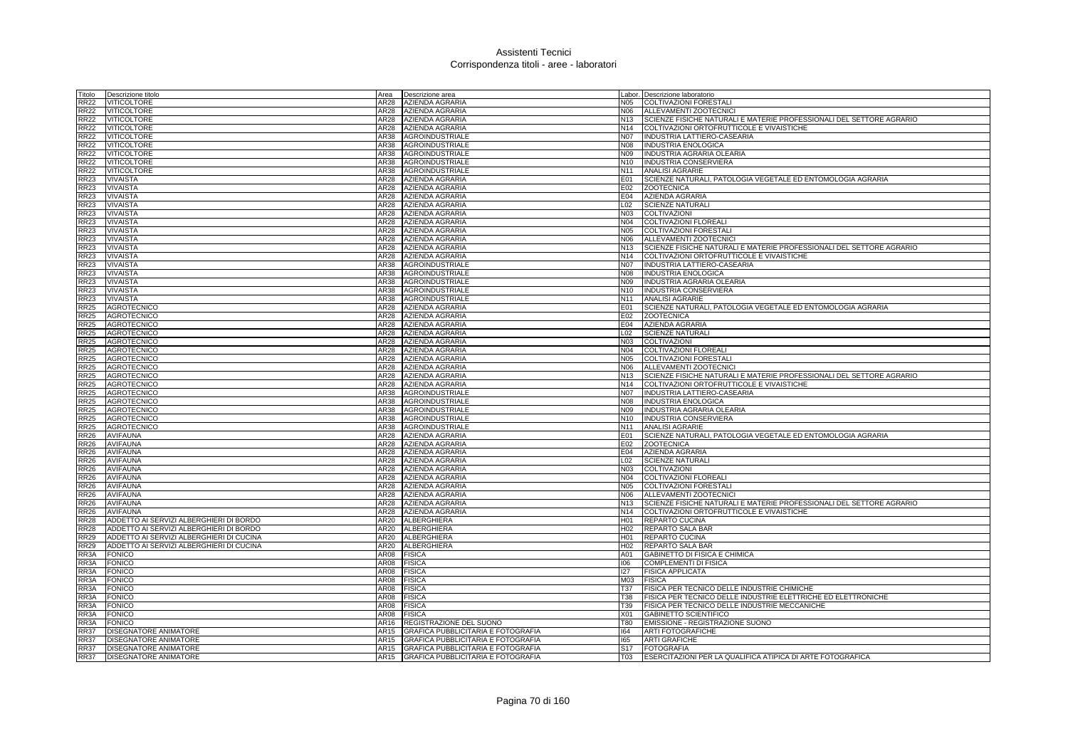| Titolo                     | Descrizione titolo                                    | Area         | Descrizione area                                                                       |                        | Labor. Descrizione laboratorio                                           |
|----------------------------|-------------------------------------------------------|--------------|----------------------------------------------------------------------------------------|------------------------|--------------------------------------------------------------------------|
| <b>RR22</b>                | <b>VITICOLTORE</b>                                    | AR28         | <b>AZIENDA AGRARIA</b>                                                                 |                        | N05 COLTIVAZIONI FORESTALI                                               |
| <b>RR22</b>                | <b>VITICOLTORE</b>                                    | AR28         | AZIENDA AGRARIA                                                                        | N06                    | ALLEVAMENTI ZOOTECNICI                                                   |
| <b>RR22</b>                | <b>VITICOLTORE</b>                                    |              | AR28 AZIENDA AGRARIA                                                                   |                        | N13 SCIENZE FISICHE NATURALI E MATERIE PROFESSIONALI DEL SETTORE AGRARIO |
| <b>RR22</b>                | <b>VITICOLTORE</b>                                    | AR28         | <b>AZIENDA AGRARIA</b>                                                                 |                        | N14 COLTIVAZIONI ORTOFRUTTICOLE E VIVAISTICHE                            |
| <b>RR22</b>                | VITICOLTORE                                           | AR38         | AGROINDUSTRIALE                                                                        |                        | N07 INDUSTRIA LATTIERO-CASEARIA                                          |
| <b>RR22</b>                | VITICOLTORE                                           | AR38         | AGROINDUSTRIALE                                                                        | <b>N08</b>             | <b>INDUSTRIA ENOLOGICA</b>                                               |
| <b>RR22</b>                | VITICOLTORE                                           | AR38         | AGROINDUSTRIALE                                                                        | N09                    | INDUSTRIA AGRARIA OLEARIA                                                |
| <b>RR22</b>                | VITICOLTORE                                           | AR38         | AGROINDUSTRIALE                                                                        |                        | N10 INDUSTRIA CONSERVIERA                                                |
| <b>RR22</b>                | <b>VITICOLTORE</b>                                    | AR38         | <b>AGROINDUSTRIALE</b>                                                                 |                        | N11 ANALISI AGRARIE                                                      |
| <b>RR23</b>                | <b>VIVAISTA</b>                                       | AR28         | AZIENDA AGRARIA                                                                        | E01                    | SCIENZE NATURALI, PATOLOGIA VEGETALE ED ENTOMOLOGIA AGRARIA              |
| <b>RR23</b>                | <b>VIVAISTA</b>                                       |              | AR28 AZIENDA AGRARIA                                                                   | E02                    | <b>ZOOTECNICA</b>                                                        |
| <b>RR23</b>                | <b>VIVAISTA</b>                                       |              | AR28 AZIENDA AGRARIA                                                                   | E04                    | <b>AZIENDA AGRARIA</b>                                                   |
| <b>RR23</b>                | <b>VIVAISTA</b>                                       | AR28         | AZIENDA AGRARIA                                                                        | L02                    | <b>SCIENZE NATURALI</b>                                                  |
| <b>RR23</b>                | VIVAISTA                                              | AR28         | AZIENDA AGRARIA                                                                        | N03                    | COLTIVAZIONI                                                             |
| <b>RR23</b>                | <b>VIVAISTA</b>                                       | AR28         | <b>AZIENDA AGRARIA</b>                                                                 | N04                    | COLTIVAZIONI FLOREALI                                                    |
| <b>RR23</b>                | VIVAISTA                                              | AR28         | <b>AZIENDA AGRARIA</b>                                                                 | N <sub>05</sub>        | <b>COLTIVAZIONI FORESTALI</b>                                            |
| <b>RR23</b>                | VIVAISTA                                              | AR28         | <b>AZIENDA AGRARIA</b>                                                                 | N06                    | ALLEVAMENTI ZOOTECNICI                                                   |
| <b>RR23</b>                | <b>VIVAISTA</b>                                       | AR28         | <b>AZIENDA AGRARIA</b>                                                                 | N <sub>13</sub>        | SCIENZE FISICHE NATURALI E MATERIE PROFESSIONALI DEL SETTORE AGRARIO     |
| <b>RR23</b>                | <b>VIVAISTA</b>                                       | AR28         | <b>AZIENDA AGRARIA</b>                                                                 | N <sub>14</sub>        | COLTIVAZIONI ORTOFRUTTICOLE E VIVAISTICHE                                |
| <b>RR23</b>                | VIVAISTA                                              | AR38         | <b>AGROINDUSTRIALE</b>                                                                 | <b>N07</b>             | <b>INDUSTRIA LATTIERO-CASEARIA</b>                                       |
| <b>RR23</b>                | <b>VIVAISTA</b>                                       | AR38         | <b>AGROINDUSTRIALE</b>                                                                 | N <sub>08</sub>        | <b>INDUSTRIA ENOLOGICA</b>                                               |
| <b>RR23</b>                | VIVAISTA                                              | AR38         | <b>AGROINDUSTRIALE</b>                                                                 | N09                    | <b>INDUSTRIA AGRARIA OLEARIA</b>                                         |
| <b>RR23</b>                | VIVAISTA                                              | AR38         | AGROINDUSTRIALE                                                                        | N <sub>10</sub>        | <b>INDUSTRIA CONSERVIERA</b>                                             |
| <b>RR23</b>                | VIVAISTA                                              | AR38         | AGROINDUSTRIALE                                                                        | N11                    | <b>ANALISI AGRARIE</b>                                                   |
| <b>RR25</b>                | AGROTECNICO                                           |              | AR28 AZIENDA AGRARIA                                                                   |                        | E01 SCIENZE NATURALI, PATOLOGIA VEGETALE ED ENTOMOLOGIA AGRARIA          |
| <b>RR25</b>                | <b>AGROTECNICO</b>                                    | AR28         | <b>AZIENDA AGRARIA</b>                                                                 |                        | E02 ZOOTECNICA                                                           |
| <b>RR25</b>                | AGROTECNICO                                           | AR28         | <b>AZIENDA AGRARIA</b>                                                                 | E04                    | AZIENDA AGRARIA                                                          |
| <b>RR25</b>                | <b>AGROTECNICO</b>                                    |              | AR28 AZIENDA AGRARIA                                                                   | L <sub>02</sub>        | <b>SCIENZE NATURALI</b>                                                  |
| <b>RR25</b>                | AGROTECNICO                                           |              | AR28 AZIENDA AGRARIA                                                                   | <b>N03</b>             | COLTIVAZIONI                                                             |
| <b>RR25</b>                | AGROTECNICO                                           | AR28         | <b>AZIENDA AGRARIA</b>                                                                 | N04                    | <b>COLTIVAZIONI FLOREALI</b>                                             |
| <b>RR25</b>                | <b>AGROTECNICO</b>                                    | AR28         | AZIENDA AGRARIA                                                                        | N05                    | <b>COLTIVAZIONI FORESTALI</b>                                            |
| <b>RR25</b>                | <b>AGROTECNICO</b>                                    | AR28         | AZIENDA AGRARIA                                                                        | N06                    | ALLEVAMENTI ZOOTECNICI                                                   |
| <b>RR25</b>                | <b>AGROTECNICO</b>                                    |              | AR28 AZIENDA AGRARIA                                                                   | N <sub>13</sub>        | SCIENZE FISICHE NATURALI E MATERIE PROFESSIONALI DEL SETTORE AGRARIO     |
| <b>RR25</b>                | <b>AGROTECNICO</b>                                    |              | AR28 AZIENDA AGRARIA                                                                   |                        | N14 COLTIVAZIONI ORTOFRUTTICOLE E VIVAISTICHE                            |
| <b>RR25</b>                | <b>AGROTECNICO</b>                                    | AR38         | AGROINDUSTRIALE                                                                        |                        | N07 INDUSTRIA LATTIERO-CASEARIA                                          |
| <b>RR25</b>                | <b>AGROTECNICO</b>                                    |              | AR38 AGROINDUSTRIALE                                                                   | <b>N08</b>             | <b>INDUSTRIA ENOLOGICA</b>                                               |
| <b>RR25</b>                | <b>AGROTECNICO</b>                                    |              | AR38 AGROINDUSTRIALE                                                                   | N <sub>09</sub>        | INDUSTRIA AGRARIA OLEARIA                                                |
| <b>RR25</b>                | <b>AGROTECNICO</b>                                    |              | AR38 AGROINDUSTRIALE                                                                   |                        | N10 INDUSTRIA CONSERVIERA                                                |
| <b>RR25</b>                | <b>AGROTECNICO</b>                                    | AR38         | <b>AGROINDUSTRIALE</b>                                                                 | N <sub>11</sub>        | <b>ANALISI AGRARIE</b>                                                   |
| <b>RR26</b>                | <b>AVIFAUNA</b>                                       | AR28         | <b>AZIENDA AGRARIA</b>                                                                 | E01                    | SCIENZE NATURALI, PATOLOGIA VEGETALE ED ENTOMOLOGIA AGRARIA              |
| <b>RR26</b>                | <b>AVIFAUNA</b>                                       | AR28         | <b>AZIENDA AGRARIA</b>                                                                 | E02                    | <b>ZOOTECNICA</b>                                                        |
| <b>RR26</b>                | <b>AVIFAUNA</b>                                       |              | AR28 AZIENDA AGRARIA                                                                   |                        | E04 AZIENDA AGRARIA                                                      |
| <b>RR26</b>                | <b>AVIFAUNA</b>                                       | AR28         | <b>AZIENDA AGRARIA</b>                                                                 | L02                    | <b>SCIENZE NATURALI</b>                                                  |
| <b>RR26</b>                | <b>AVIFAUNA</b>                                       | AR28         | <b>AZIENDA AGRARIA</b>                                                                 | N03                    | COLTIVAZIONI                                                             |
| <b>RR26</b>                | <b>AVIFAUNA</b>                                       |              | AR28 AZIENDA AGRARIA                                                                   | N04                    | <b>COLTIVAZIONI FLOREALI</b>                                             |
| <b>RR26</b>                | <b>AVIFAUNA</b>                                       |              | AR28 AZIENDA AGRARIA                                                                   |                        | N05 COLTIVAZIONI FORESTALI                                               |
| <b>RR26</b>                | <b>AVIFAUNA</b>                                       | AR28         | <b>AZIENDA AGRARIA</b>                                                                 | N06                    | ALLEVAMENTI ZOOTECNICI                                                   |
| <b>RR26</b>                | <b>AVIFAUNA</b>                                       | AR28         | AZIENDA AGRARIA                                                                        | N <sub>13</sub>        | SCIENZE FISICHE NATURALI E MATERIE PROFESSIONALI DEL SETTORE AGRARIO     |
| <b>RR26</b>                | <b>AVIFAUNA</b>                                       | AR28         | AZIENDA AGRARIA                                                                        |                        | N14 COLTIVAZIONI ORTOFRUTTICOLE E VIVAISTICHE                            |
| <b>RR28</b>                | ADDETTO AI SERVIZI ALBERGHIERI DI BORDO               |              | AR20 ALBERGHIERA                                                                       |                        | H01 REPARTO CUCINA                                                       |
| <b>RR28</b>                | ADDETTO AI SERVIZI ALBERGHIERI DI BORDO               | AR20         | ALBERGHIERA                                                                            |                        | H02 REPARTO SALA BAR                                                     |
| <b>RR29</b>                | ADDETTO AI SERVIZI ALBERGHIERI DI CUCINA              | AR20         | ALBERGHIERA                                                                            | H <sub>01</sub>        | <b>REPARTO CUCINA</b>                                                    |
| <b>RR29</b>                | ADDETTO AI SERVIZI ALBERGHIERI DI CUCINA              | AR20         | <b>ALBERGHIERA</b>                                                                     | H <sub>02</sub>        | REPARTO SALA BAR                                                         |
| RR3A                       | FONICO                                                | AR08         | <b>FISICA</b>                                                                          | A01                    | GABINETTO DI FISICA E CHIMICA                                            |
| RR3A                       | <b>FONICO</b>                                         | AR08         | <b>FISICA</b>                                                                          | 106                    | COMPLEMENTI DI FISICA                                                    |
| RR3A                       | <b>FONICO</b>                                         | AR08         | <b>FISICA</b>                                                                          | 127                    | <b>FISICA APPLICATA</b>                                                  |
| RR3A                       | FONICO                                                | AR08         | <b>FISICA</b>                                                                          | M03                    | <b>FISICA</b>                                                            |
| RR3A                       | FONICO                                                | AR08         | <b>FISICA</b>                                                                          | T37                    | FISICA PER TECNICO DELLE INDUSTRIE CHIMICHE                              |
| RR3A                       | FONICO                                                | AR08         | <b>FISICA</b>                                                                          | T38                    | FISICA PER TECNICO DELLE INDUSTRIE ELETTRICHE ED ELETTRONICHE            |
| RR3A                       | <b>FONICO</b>                                         | AR08         | <b>FISICA</b>                                                                          | T39                    | FISICA PER TECNICO DELLE INDUSTRIE MECCANICHE                            |
| RR3A                       | <b>FONICO</b>                                         | AR08         | <b>FISICA</b>                                                                          | X <sub>01</sub>        | <b>GABINETTO SCIENTIFICO</b>                                             |
| RR3A                       | <b>FONICO</b>                                         | AR16<br>AR15 | REGISTRAZIONE DEL SUONO                                                                | <b>T80</b><br>164      | EMISSIONE - REGISTRAZIONE SUONO                                          |
| <b>RR37</b>                | DISEGNATORE ANIMATORE                                 |              | GRAFICA PUBBLICITARIA E FOTOGRAFIA                                                     |                        | ARTI FOTOGRAFICHE                                                        |
| <b>RR37</b><br><b>RR37</b> | DISEGNATORE ANIMATORE<br><b>DISEGNATORE ANIMATORE</b> | AR15<br>AR15 | <b>GRAFICA PUBBLICITARIA E FOTOGRAFIA</b><br><b>GRAFICA PUBBLICITARIA E FOTOGRAFIA</b> | 165<br>S <sub>17</sub> | <b>ARTI GRAFICHE</b><br><b>FOTOGRAFIA</b>                                |
|                            | DISEGNATORE ANIMATORE                                 | <b>AR15</b>  |                                                                                        |                        |                                                                          |
| <b>RR37</b>                |                                                       |              | GRAFICA PUBBLICITARIA E FOTOGRAFIA                                                     | T03                    | ESERCITAZIONI PER LA QUALIFICA ATIPICA DI ARTE FOTOGRAFICA               |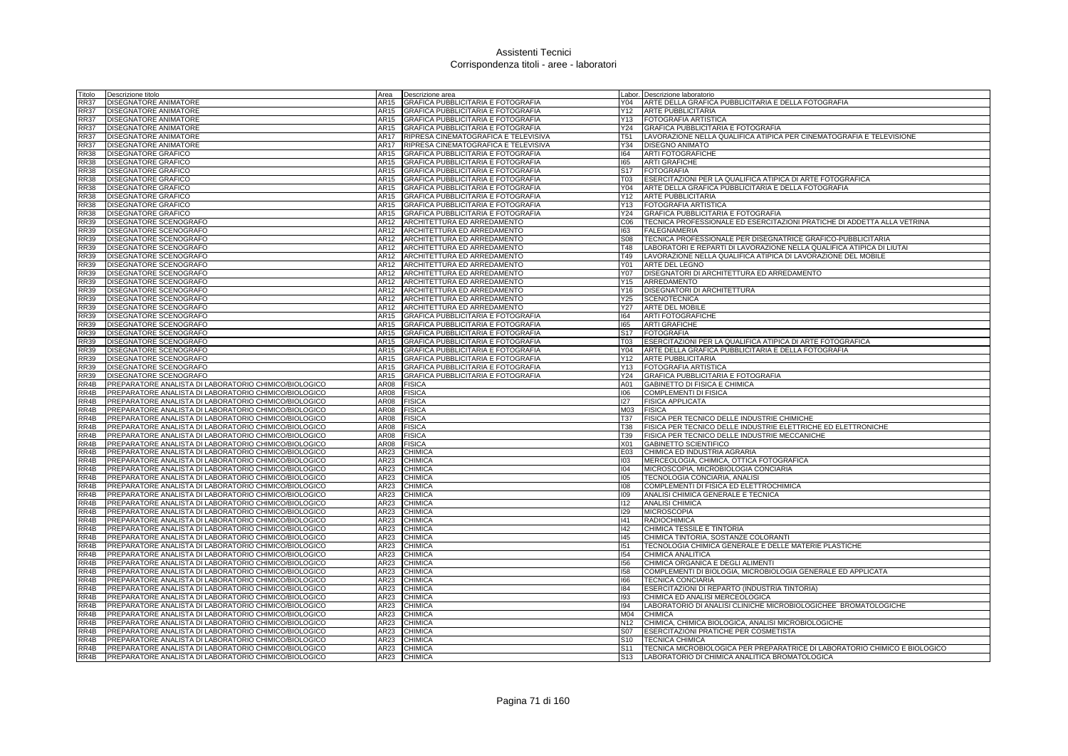| Titolo       | Descrizione titolo                                                                                             | Area         | Descrizione area                          |                 | Labor. Descrizione laboratorio                                             |
|--------------|----------------------------------------------------------------------------------------------------------------|--------------|-------------------------------------------|-----------------|----------------------------------------------------------------------------|
| <b>RR37</b>  | DISEGNATORE ANIMATORE                                                                                          | AR15         | GRAFICA PUBBLICITARIA E FOTOGRAFIA        | Y04             | ARTE DELLA GRAFICA PUBBLICITARIA E DELLA FOTOGRAFIA                        |
| <b>RR37</b>  | <b>DISEGNATORE ANIMATORE</b>                                                                                   | AR15         | <b>GRAFICA PUBBLICITARIA E FOTOGRAFIA</b> | Y12             | <b>ARTE PUBBLICITARIA</b>                                                  |
| <b>RR37</b>  | <b>DISEGNATORE ANIMATORE</b>                                                                                   | AR15         | GRAFICA PUBBLICITARIA E FOTOGRAFIA        | Y13             | <b>FOTOGRAFIA ARTISTICA</b>                                                |
| <b>RR37</b>  | DISEGNATORE ANIMATORE                                                                                          | AR15         | <b>GRAFICA PUBBLICITARIA E FOTOGRAFIA</b> | Y24             | GRAFICA PUBBLICITARIA E FOTOGRAFIA                                         |
| <b>RR37</b>  | DISEGNATORE ANIMATORE                                                                                          | AR17         | RIPRESA CINEMATOGRAFICA E TELEVISIVA      | <b>T51</b>      | LAVORAZIONE NELLA QUALIFICA ATIPICA PER CINEMATOGRAFIA E TELEVISIONE       |
| <b>RR37</b>  | DISEGNATORE ANIMATORE                                                                                          | AR17         | RIPRESA CINEMATOGRAFICA E TELEVISIVA      | Y34             | <b>DISEGNO ANIMATO</b>                                                     |
| <b>RR38</b>  | <b>DISEGNATORE GRAFICO</b>                                                                                     | AR15         | GRAFICA PUBBLICITARIA E FOTOGRAFIA        | 164             | <b>ARTI FOTOGRAFICHE</b>                                                   |
| <b>RR38</b>  | DISEGNATORE GRAFICO                                                                                            | AR15         | GRAFICA PUBBLICITARIA E FOTOGRAFIA        | 165             | <b>ARTI GRAFICHE</b>                                                       |
| <b>RR38</b>  | <b>DISEGNATORE GRAFICO</b>                                                                                     | AR15         | GRAFICA PUBBLICITARIA E FOTOGRAFIA        | S <sub>17</sub> | <b>FOTOGRAFIA</b>                                                          |
| <b>RR38</b>  | <b>DISEGNATORE GRAFICO</b>                                                                                     | AR15         | GRAFICA PUBBLICITARIA E FOTOGRAFIA        | T <sub>03</sub> | ESERCITAZIONI PER LA QUALIFICA ATIPICA DI ARTE FOTOGRAFICA                 |
| <b>RR38</b>  | <b>DISEGNATORE GRAFICO</b>                                                                                     | AR15         | <b>GRAFICA PUBBLICITARIA E FOTOGRAFIA</b> | Y04             | ARTE DELLA GRAFICA PUBBLICITARIA E DELLA FOTOGRAFIA                        |
| <b>RR38</b>  | <b>DISEGNATORE GRAFICO</b>                                                                                     | AR15         | GRAFICA PUBBLICITARIA E FOTOGRAFIA        | Y12             | <b>ARTE PUBBLICITARIA</b>                                                  |
| <b>RR38</b>  | <b>DISEGNATORE GRAFICO</b>                                                                                     | AR15         | GRAFICA PUBBLICITARIA E FOTOGRAFIA        | Y13             | <b>FOTOGRAFIA ARTISTICA</b>                                                |
| <b>RR38</b>  | DISEGNATORE GRAFICO                                                                                            | AR15         | GRAFICA PUBBLICITARIA E FOTOGRAFIA        | Y24             | GRAFICA PUBBLICITARIA E FOTOGRAFIA                                         |
| <b>RR39</b>  | DISEGNATORE SCENOGRAFO                                                                                         | AR12         | ARCHITETTURA ED ARREDAMENTO               | C <sub>06</sub> | TECNICA PROFESSIONALE ED ESERCITAZIONI PRATICHE DI ADDETTA ALLA VETRINA    |
| <b>RR39</b>  | DISEGNATORE SCENOGRAFO                                                                                         | AR12         | ARCHITETTURA ED ARREDAMENTO               | 163             | <b>FALEGNAMERIA</b>                                                        |
| <b>RR39</b>  | DISEGNATORE SCENOGRAFO                                                                                         | AR12         | ARCHITETTURA ED ARREDAMENTO               | <b>S08</b>      | TECNICA PROFESSIONALE PER DISEGNATRICE GRAFICO-PUBBLICITARIA               |
| <b>RR39</b>  | DISEGNATORE SCENOGRAFO                                                                                         | AR12         | ARCHITETTURA ED ARREDAMENTO               | <b>T48</b>      | LABORATORI E REPARTI DI LAVORAZIONE NELLA QUALIFICA ATIPICA DI LIUTAI      |
| <b>RR39</b>  | DISEGNATORE SCENOGRAFO                                                                                         | AR12         | ARCHITETTURA ED ARREDAMENTO               | T49             | LAVORAZIONE NELLA QUALIFICA ATIPICA DI LAVORAZIONE DEL MOBILE              |
| <b>RR39</b>  | DISEGNATORE SCENOGRAFO                                                                                         | AR12         | ARCHITETTURA ED ARREDAMENTO               | Y01             | <b>ARTE DEL LEGNO</b>                                                      |
| <b>RR39</b>  | DISEGNATORE SCENOGRAFO                                                                                         | AR12         | ARCHITETTURA ED ARREDAMENTO               | Y07             | DISEGNATORI DI ARCHITETTURA ED ARREDAMENTO                                 |
| <b>RR39</b>  | DISEGNATORE SCENOGRAFO                                                                                         | AR12         | ARCHITETTURA ED ARREDAMENTO               | Y15             | ARREDAMENTO                                                                |
| <b>RR39</b>  | DISEGNATORE SCENOGRAFO                                                                                         | AR12         | ARCHITETTURA ED ARREDAMENTO               | Y16             | <b>DISEGNATORI DI ARCHITETTURA</b>                                         |
| <b>RR39</b>  | DISEGNATORE SCENOGRAFO                                                                                         | AR12         | ARCHITETTURA ED ARREDAMENTO               | Y25             | <b>SCENOTECNICA</b>                                                        |
| <b>RR39</b>  | DISEGNATORE SCENOGRAFO                                                                                         | AR12         | ARCHITETTURA ED ARREDAMENTO               | <b>Y27</b>      | ARTE DEL MOBILE                                                            |
| <b>RR39</b>  | DISEGNATORE SCENOGRAFO                                                                                         | AR15         | GRAFICA PUBBLICITARIA E FOTOGRAFIA        | 164             | <b>ARTI FOTOGRAFICHE</b>                                                   |
| <b>RR39</b>  | DISEGNATORE SCENOGRAFO                                                                                         | AR15         | GRAFICA PUBBLICITARIA E FOTOGRAFIA        | 165             | <b>ARTI GRAFICHE</b>                                                       |
| <b>RR39</b>  | DISEGNATORE SCENOGRAFO                                                                                         | AR15         | GRAFICA PUBBLICITARIA E FOTOGRAFIA        | <b>S17</b>      | <b>FOTOGRAFIA</b>                                                          |
| <b>RR39</b>  | DISEGNATORE SCENOGRAFO                                                                                         | AR15         | GRAFICA PUBBLICITARIA E FOTOGRAFIA        | <b>T03</b>      | ESERCITAZIONI PER LA QUALIFICA ATIPICA DI ARTE FOTOGRAFICA                 |
| <b>RR39</b>  | DISEGNATORE SCENOGRAFO                                                                                         | AR15         | GRAFICA PUBBLICITARIA E FOTOGRAFIA        | Y04             | ARTE DELLA GRAFICA PUBBLICITARIA E DELLA FOTOGRAFIA                        |
| <b>RR39</b>  | DISEGNATORE SCENOGRAFO                                                                                         | AR15         | GRAFICA PUBBLICITARIA E FOTOGRAFIA        | Y12             | <b>ARTE PUBBLICITARIA</b>                                                  |
| <b>RR39</b>  | DISEGNATORE SCENOGRAFO                                                                                         | AR15         | GRAFICA PUBBLICITARIA E FOTOGRAFIA        | Y13             | <b>FOTOGRAFIA ARTISTICA</b>                                                |
| <b>RR39</b>  | DISEGNATORE SCENOGRAFO                                                                                         | AR15<br>AR08 | GRAFICA PUBBLICITARIA E FOTOGRAFIA        | Y24<br>A01      | GRAFICA PUBBLICITARIA E FOTOGRAFIA                                         |
| RR4B<br>RR4B | PREPARATORE ANALISTA DI LABORATORIO CHIMICO/BIOLOGICO<br>PREPARATORE ANALISTA DI LABORATORIO CHIMICO/BIOLOGICO | AR08         | <b>FISICA</b><br><b>FISICA</b>            | 106             | GABINETTO DI FISICA E CHIMICA<br>COMPLEMENTI DI FISICA                     |
| RR4B         | PREPARATORE ANALISTA DI LABORATORIO CHIMICO/BIOLOGICO                                                          | AR08         | <b>FISICA</b>                             | 127             | <b>FISICA APPLICATA</b>                                                    |
| RR4B         | PREPARATORE ANALISTA DI LABORATORIO CHIMICO/BIOLOGICO                                                          | AR08         | <b>FISICA</b>                             | M03             | <b>FISICA</b>                                                              |
| RR4B         | PREPARATORE ANALISTA DI LABORATORIO CHIMICO/BIOLOGICO                                                          | AR08         | <b>FISICA</b>                             | T37             | FISICA PER TECNICO DELLE INDUSTRIE CHIMICHE                                |
| RR4B         | PREPARATORE ANALISTA DI LABORATORIO CHIMICO/BIOLOGICO                                                          | AR08         | <b>FISICA</b>                             | <b>T38</b>      | FISICA PER TECNICO DELLE INDUSTRIE ELETTRICHE ED ELETTRONICHE              |
| RR4B         | PREPARATORE ANALISTA DI LABORATORIO CHIMICO/BIOLOGICO                                                          | AR08         | <b>FISICA</b>                             | T39             | FISICA PER TECNICO DELLE INDUSTRIE MECCANICHE                              |
| RR4B         | PREPARATORE ANALISTA DI LABORATORIO CHIMICO/BIOLOGICO                                                          | AR08         | FISICA                                    | X01             | GABINETTO SCIENTIFICO                                                      |
| RR4B         | PREPARATORE ANALISTA DI LABORATORIO CHIMICO/BIOLOGICO                                                          | AR23         | CHIMICA                                   | E03             | CHIMICA ED INDUSTRIA AGRARIA                                               |
| RR4B         | PREPARATORE ANALISTA DI LABORATORIO CHIMICO/BIOLOGICO                                                          | AR23         | CHIMICA                                   | 103             | MERCEOLOGIA, CHIMICA, OTTICA FOTOGRAFICA                                   |
| RR4B         | PREPARATORE ANALISTA DI LABORATORIO CHIMICO/BIOLOGICO                                                          | AR23         | CHIMICA                                   | 104             | MICROSCOPIA, MICROBIOLOGIA CONCIARIA                                       |
| RR4B         | PREPARATORE ANALISTA DI LABORATORIO CHIMICO/BIOLOGICO                                                          | AR23         | <b>CHIMICA</b>                            | 105             | TECNOLOGIA CONCIARIA, ANALISI                                              |
| RR4B         | PREPARATORE ANALISTA DI LABORATORIO CHIMICO/BIOLOGICO                                                          | AR23         | <b>CHIMICA</b>                            | 108             | COMPLEMENTI DI FISICA ED ELETTROCHIMICA                                    |
| RR4B         | PREPARATORE ANALISTA DI LABORATORIO CHIMICO/BIOLOGICO                                                          | AR23         | CHIMICA                                   | 109             | ANALISI CHIMICA GENERALE E TECNICA                                         |
| RR4B         | PREPARATORE ANALISTA DI LABORATORIO CHIMICO/BIOLOGICO                                                          | AR23         | CHIMICA                                   | 112             | <b>ANALISI CHIMICA</b>                                                     |
| RR4B         | PREPARATORE ANALISTA DI LABORATORIO CHIMICO/BIOLOGICO                                                          | AR23         | CHIMICA                                   | 129             | <b>MICROSCOPIA</b>                                                         |
| RR4B         | PREPARATORE ANALISTA DI LABORATORIO CHIMICO/BIOLOGICO                                                          | AR23         | <b>CHIMICA</b>                            | 41              | <b>RADIOCHIMICA</b>                                                        |
| RR4B         | PREPARATORE ANALISTA DI LABORATORIO CHIMICO/BIOLOGICO                                                          | AR23         | <b>CHIMICA</b>                            | 142             | CHIMICA TESSILE E TINTORIA                                                 |
| RR4B         | PREPARATORE ANALISTA DI LABORATORIO CHIMICO/BIOLOGICO                                                          | AR23         | CHIMICA                                   | 145             | CHIMICA TINTORIA, SOSTANZE COLORANTI                                       |
| RR4B         | PREPARATORE ANALISTA DI LABORATORIO CHIMICO/BIOLOGICO                                                          | AR23         | <b>CHIMICA</b>                            | 151             | TECNOLOGIA CHIMICA GENERALE E DELLE MATERIE PLASTICHE                      |
| RR4B         | PREPARATORE ANALISTA DI LABORATORIO CHIMICO/BIOLOGICO                                                          | AR23         | <b>CHIMICA</b>                            | 154             | CHIMICA ANALITICA                                                          |
| RR4B         | PREPARATORE ANALISTA DI LABORATORIO CHIMICO/BIOLOGICO                                                          | AR23         | CHIMICA                                   | 156             | CHIMICA ORGANICA E DEGLI ALIMENTI                                          |
| RR4B         | PREPARATORE ANALISTA DI LABORATORIO CHIMICO/BIOLOGICO                                                          | AR23         | CHIMICA                                   | 158             | COMPLEMENTI DI BIOLOGIA, MICROBIOLOGIA GENERALE ED APPLICATA               |
| RR4B         | PREPARATORE ANALISTA DI LABORATORIO CHIMICO/BIOLOGICO                                                          | AR23         | CHIMICA                                   | 166             | <b>TECNICA CONCIARIA</b>                                                   |
| RR4B         | PREPARATORE ANALISTA DI LABORATORIO CHIMICO/BIOLOGICO                                                          | AR23         | CHIMICA                                   | 184             | ESERCITAZIONI DI REPARTO (INDUSTRIA TINTORIA)                              |
| RR4B         | PREPARATORE ANALISTA DI LABORATORIO CHIMICO/BIOLOGICO                                                          | AR23         | <b>CHIMICA</b>                            | 193             | CHIMICA ED ANALISI MERCEOLOGICA                                            |
| RR4B         | PREPARATORE ANALISTA DI LABORATORIO CHIMICO/BIOLOGICO                                                          | AR23         | CHIMICA                                   | 194             | LABORATORIO DI ANALISI CLINICHE MICROBIOLOGICHEE BROMATOLOGICHE            |
| RR4B         | PREPARATORE ANALISTA DI LABORATORIO CHIMICO/BIOLOGICO                                                          | AR23         | <b>CHIMICA</b>                            | M04             | <b>CHIMICA</b>                                                             |
| RR4B         | PREPARATORE ANALISTA DI LABORATORIO CHIMICO/BIOLOGICO                                                          | AR23         | <b>CHIMICA</b>                            | N <sub>12</sub> | CHIMICA, CHIMICA BIOLOGICA, ANALISI MICROBIOLOGICHE                        |
| RR4B         | PREPARATORE ANALISTA DI LABORATORIO CHIMICO/BIOLOGICO                                                          | AR23         | <b>CHIMICA</b>                            | S <sub>07</sub> | <b>ESERCITAZIONI PRATICHE PER COSMETISTA</b>                               |
| RR4B         | PREPARATORE ANALISTA DI LABORATORIO CHIMICO/BIOLOGICO                                                          | AR23         | CHIMICA                                   | S <sub>10</sub> | <b>TECNICA CHIMICA</b>                                                     |
| RR4B         | PREPARATORE ANALISTA DI LABORATORIO CHIMICO/BIOLOGICO                                                          | AR23         | CHIMICA                                   | S <sub>11</sub> | TECNICA MICROBIOLOGICA PER PREPARATRICE DI LABORATORIO CHIMICO E BIOLOGICO |
| RR4B         | PREPARATORE ANALISTA DI LABORATORIO CHIMICO/BIOLOGICO                                                          | AR23         | <b>CHIMICA</b>                            | S <sub>13</sub> | LABORATORIO DI CHIMICA ANALITICA BROMATOLOGICA                             |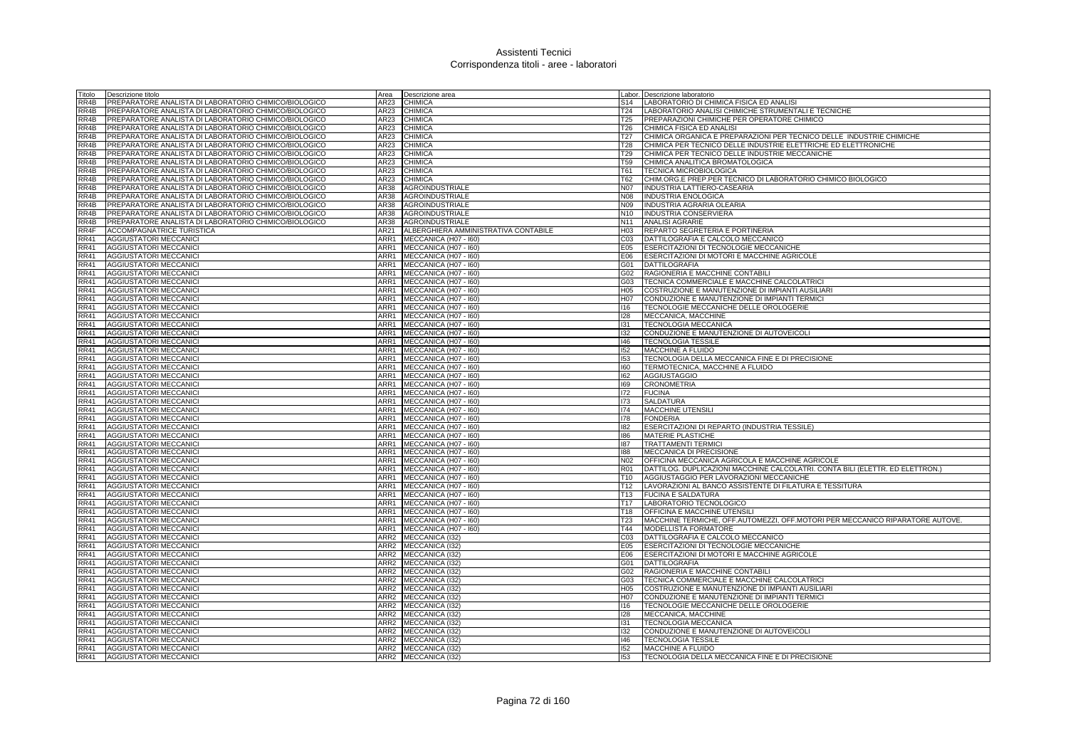| Titolo              | Descrizione titolo                                    | Area             | Descrizione area                     |                  | Labor. Descrizione laboratorio                                                |
|---------------------|-------------------------------------------------------|------------------|--------------------------------------|------------------|-------------------------------------------------------------------------------|
| RR4B                | PREPARATORE ANALISTA DI LABORATORIO CHIMICO/BIOLOGICO | AR23             | <b>CHIMICA</b>                       | S14              | LABORATORIO DI CHIMICA FISICA ED ANALISI                                      |
| RR4B                | PREPARATORE ANALISTA DI LABORATORIO CHIMICO/BIOLOGICO | AR23             | <b>CHIMICA</b>                       | T24              | LABORATORIO ANALISI CHIMICHE STRUMENTALI E TECNICHE                           |
| RR4B                | PREPARATORE ANALISTA DI LABORATORIO CHIMICO/BIOLOGICO | AR23             | <b>CHIMICA</b>                       | T25              | PREPARAZIONI CHIMICHE PER OPERATORE CHIMICO                                   |
| RR4B                | PREPARATORE ANALISTA DI LABORATORIO CHIMICO/BIOLOGICO | AR23             | <b>CHIMICA</b>                       | T26              | CHIMICA FISICA ED ANALISI                                                     |
| RR4B                | PREPARATORE ANALISTA DI LABORATORIO CHIMICO/BIOLOGICO | AR23             | <b>CHIMICA</b>                       | T <sub>27</sub>  | CHIMICA ORGANICA E PREPARAZIONI PER TECNICO DELLE INDUSTRIE CHIMICHE          |
| RR4B                | PREPARATORE ANALISTA DI LABORATORIO CHIMICO/BIOLOGICO | AR23             | <b>CHIMICA</b>                       | <b>T28</b>       | CHIMICA PER TECNICO DELLE INDUSTRIE ELETTRICHE ED ELETTRONICHE                |
| RR4B                | PREPARATORE ANALISTA DI LABORATORIO CHIMICO/BIOLOGICO | AR23             | <b>CHIMICA</b>                       | T29              | CHIMICA PER TECNICO DELLE INDUSTRIE MECCANICHE                                |
| RR4B                | PREPARATORE ANALISTA DI LABORATORIO CHIMICO/BIOLOGICO | AR23             | <b>CHIMICA</b>                       | T59              | CHIMICA ANALITICA BROMATOLOGICA                                               |
| RR4B                | PREPARATORE ANALISTA DI LABORATORIO CHIMICO/BIOLOGICO | AR23             | <b>CHIMICA</b>                       | T61              | <b>TECNICA MICROBIOLOGICA</b>                                                 |
| RR4B                | PREPARATORE ANALISTA DI LABORATORIO CHIMICO/BIOLOGICO | AR23             | <b>CHIMICA</b>                       | T62              | CHIM.ORG.E PREP.PER TECNICO DI LABORATORIO CHIMICO BIOLOGICO                  |
| RR4B                | PREPARATORE ANALISTA DI LABORATORIO CHIMICO/BIOLOGICO | AR38             | AGROINDUSTRIALE                      | N07              | INDUSTRIA LATTIERO-CASEARIA                                                   |
| RAB                 | PREPARATORE ANALISTA DI LABORATORIO CHIMICO/BIOLOGICO | <b>AR38</b>      | <b>AGROINDUSTRIALE</b>               | N08              | <b>INDUSTRIA ENOLOGICA</b>                                                    |
| RR4B                | PREPARATORE ANALISTA DI LABORATORIO CHIMICO/BIOLOGICO | AR38             | <b>AGROINDUSTRIALE</b>               | N09              | <b>INDUSTRIA AGRARIA OLEARIA</b>                                              |
| RR4B                | PREPARATORE ANALISTA DI LABORATORIO CHIMICO/BIOLOGICO | <b>AR38</b>      | <b>AGROINDUSTRIALE</b>               | N10              | <b>INDUSTRIA CONSERVIERA</b>                                                  |
| RR4B                |                                                       | AR38             |                                      | N <sub>11</sub>  |                                                                               |
|                     | PREPARATORE ANALISTA DI LABORATORIO CHIMICO/BIOLOGICO |                  | <b>AGROINDUSTRIALE</b>               |                  | <b>ANALISI AGRARIE</b>                                                        |
| RR4F                | ACCOMPAGNATRICE TURISTICA                             | AR21             | ALBERGHIERA AMMINISTRATIVA CONTABILE | H <sub>0</sub> 3 | REPARTO SEGRETERIA E PORTINERIA                                               |
| <b>RR41</b>         | <b>AGGIUSTATORI MECCANICI</b>                         | ARR1             | MECCANICA (H07 - I60)                | CO <sub>3</sub>  | DATTILOGRAFIA E CALCOLO MECCANICO                                             |
| RR41                | <b>AGGIUSTATORI MECCANICI</b>                         | ARR1             | MECCANICA (H07 - I60)                | E05              | ESERCITAZIONI DI TECNOLOGIE MECCANICHE                                        |
| RR41                | <b>AGGIUSTATORI MECCANICI</b>                         | ARR1             | MECCANICA (H07 - I60)                | E06              | ESERCITAZIONI DI MOTORI E MACCHINE AGRICOLE                                   |
| RR41                | AGGIUSTATORI MECCANICI                                | ARR1             | MECCANICA (H07 - I60)                |                  | G01 DATTILOGRAFIA                                                             |
| RR41                | AGGIUSTATORI MECCANICI                                | ARR1             | MECCANICA (H07 - I60)                | G02              | RAGIONERIA E MACCHINE CONTABILI                                               |
| <b>RR41</b>         | AGGIUSTATORI MECCANICI                                | ARR1             | MECCANICA (H07 - I60)                | G03              | TECNICA COMMERCIALE E MACCHINE CALCOLATRICI                                   |
| <b>RR41</b>         | <b>AGGIUSTATORI MECCANICI</b>                         | ARR1             | MECCANICA (H07 - I60)                | H05              | COSTRUZIONE E MANUTENZIONE DI IMPIANTI AUSILIARI                              |
| RR41                | AGGIUSTATORI MECCANICI                                | ARR1             | MECCANICA (H07 - I60)                | H07              | CONDUZIONE E MANUTENZIONE DI IMPIANTI TERMICI                                 |
| RR41                | AGGIUSTATORI MECCANICI                                | ARR1             | MECCANICA (H07 - I60)                | 116              | TECNOLOGIE MECCANICHE DELLE OROLOGERIE                                        |
| <b>RR41</b>         | AGGIUSTATORI MECCANICI                                | ARR1             | MECCANICA (H07 - I60)                | 128              | MECCANICA, MACCHINE                                                           |
| RR41                | <b>AGGIUSTATORI MECCANICI</b>                         | ARR1             | MECCANICA (H07 - I60)                | 131              | TECNOLOGIA MECCANICA                                                          |
| RR41                | AGGIUSTATORI MECCANICI                                | ARR1             | MECCANICA (H07 - 160)                | 132              | CONDUZIONE E MANUTENZIONE DI AUTOVEICOLI                                      |
| RR41                | <b>AGGIUSTATORI MECCANICI</b>                         | ARR1             | MECCANICA (H07 - I60)                | 146              | <b>TECNOLOGIA TESSILE</b>                                                     |
| <b>RR41</b>         | <b>AGGIUSTATORI MECCANICI</b>                         | ARR1             | MECCANICA (H07 - I60)                | 152              | <b>MACCHINE A FLUIDO</b>                                                      |
| RR41                | <b>AGGIUSTATORI MECCANICI</b>                         | ARR1             | MECCANICA (H07 - I60)                | 153              | TECNOLOGIA DELLA MECCANICA FINE E DI PRECISIONE                               |
| <b>RR41</b>         | <b>AGGIUSTATORI MECCANICI</b>                         | ARR1             | MECCANICA (H07 - I60)                | 160              | TERMOTECNICA, MACCHINE A FLUIDO                                               |
| RR41                | <b>AGGIUSTATORI MECCANICI</b>                         | ARR1             | MECCANICA (H07 - I60)                | 162              | <b>AGGIUSTAGGIO</b>                                                           |
| RR41                | AGGIUSTATORI MECCANICI                                | ARR1             | MECCANICA (H07 - I60)                | 169              | <b>CRONOMETRIA</b>                                                            |
| RR41                | <b>AGGIUSTATORI MECCANICI</b>                         | ARR1             | MECCANICA (H07 - I60)                | 172              | <b>FUCINA</b>                                                                 |
| <b>RR41</b>         | <b>AGGIUSTATORI MECCANICI</b>                         | ARR1             | MECCANICA (H07 - I60)                | 173              | <b>SALDATURA</b>                                                              |
| RR41                | AGGIUSTATORI MECCANICI                                | ARR1             | MECCANICA (H07 - I60)                | 174              | <b>MACCHINE UTENSILI</b>                                                      |
| RR41                | <b>AGGIUSTATORI MECCANICI</b>                         | ARR1             | MECCANICA (H07 - I60)                | 178              | <b>FONDERIA</b>                                                               |
| <b>RR41</b>         | <b>AGGIUSTATORI MECCANICI</b>                         | ARR1             | MECCANICA (H07 - I60)                | 182              | ESERCITAZIONI DI REPARTO (INDUSTRIA TESSILE)                                  |
| <b>RR41</b>         | <b>AGGIUSTATORI MECCANICI</b>                         | ARR1             | MECCANICA (H07 - 160)                | 186              | <b>MATERIE PLASTICHE</b>                                                      |
| RR41                | <b>AGGIUSTATORI MECCANICI</b>                         | ARR1             | MECCANICA (H07 - I60)                | 187              | <b>TRATTAMENTI TERMICI</b>                                                    |
| RR41                | AGGIUSTATORI MECCANICI                                | ARR1             | MECCANICA (H07 - I60)                | 188              | MECCANICA DI PRECISIONE                                                       |
| RR41                | <b>AGGIUSTATORI MECCANICI</b>                         | ARR1             | MECCANICA (H07 - 160)                | N02              | OFFICINA MECCANICA AGRICOLA E MACCHINE AGRICOLE                               |
| RR41                | AGGIUSTATORI MECCANICI                                | ARR1             | MECCANICA (H07 - I60)                | <b>R01</b>       | DATTILOG. DUPLICAZIONI MACCHINE CALCOLATRI. CONTA BILI (ELETTR. ED ELETTRON.) |
| <b>RR41</b>         |                                                       | ARR1             |                                      | T <sub>10</sub>  | AGGIUSTAGGIO PER LAVORAZIONI MECCANICHE                                       |
|                     | <b>AGGIUSTATORI MECCANICI</b>                         |                  | MECCANICA (H07 - I60)                | T <sub>12</sub>  |                                                                               |
| RR41<br><b>RR41</b> | AGGIUSTATORI MECCANICI                                | ARR1             | MECCANICA (H07 - I60)                |                  | LAVORAZIONI AL BANCO ASSISTENTE DI FILATURA E TESSITURA                       |
|                     | <b>AGGIUSTATORI MECCANICI</b>                         | ARR1             | MECCANICA (H07 - 160)                | T13              | <b>FUCINA E SALDATURA</b>                                                     |
| <b>RR41</b>         | AGGIUSTATORI MECCANICI                                | ARR1             | MECCANICA (H07 - I60)                | T <sub>17</sub>  | LABORATORIO TECNOLOGICO                                                       |
| <b>RR41</b>         | <b>AGGIUSTATORI MECCANICI</b>                         | ARR1             | MECCANICA (H07 - I60)                | T18              | OFFICINA E MACCHINE UTENSILI                                                  |
| RR41                | <b>AGGIUSTATORI MECCANICI</b>                         | ARR1             | MECCANICA (H07 - I60)                | T23              | MACCHINE TERMICHE, OFF.AUTOMEZZI, OFF.MOTORI PER MECCANICO RIPARATORE AUTOVE. |
| RR41                | AGGIUSTATORI MECCANICI                                | ARR1             | MECCANICA (H07 - I60)                | T44              | MODELLISTA FORMATORE                                                          |
| <b>RR41</b>         | <b>AGGIUSTATORI MECCANICI</b>                         | ARR <sub>2</sub> | MECCANICA (I32)                      | C03              | DATTILOGRAFIA E CALCOLO MECCANICO                                             |
| <b>RR41</b>         | <b>AGGIUSTATORI MECCANICI</b>                         |                  | ARR2 MECCANICA (I32)                 | E05              | ESERCITAZIONI DI TECNOLOGIE MECCANICHE                                        |
| RR41                | AGGIUSTATORI MECCANICI                                |                  | ARR2 MECCANICA (I32)                 | E06              | ESERCITAZIONI DI MOTORI E MACCHINE AGRICOLE                                   |
| RR41                | <b>AGGIUSTATORI MECCANICI</b>                         |                  | ARR2 MECCANICA (I32)                 |                  | G01 DATTILOGRAFIA                                                             |
| <b>RR41</b>         | <b>AGGIUSTATORI MECCANICI</b>                         | ARR2             | MECCANICA (132)                      | G02              | RAGIONERIA E MACCHINE CONTABILI                                               |
| RR41                | AGGIUSTATORI MECCANICI                                |                  | ARR2 MECCANICA (I32)                 | G03              | TECNICA COMMERCIALE E MACCHINE CALCOLATRICI                                   |
| RR41                | <b>AGGIUSTATORI MECCANICI</b>                         |                  | ARR2 MECCANICA (I32)                 | H <sub>05</sub>  | COSTRUZIONE E MANUTENZIONE DI IMPIANTI AUSILIARI                              |
| RR41                | <b>AGGIUSTATORI MECCANICI</b>                         |                  | ARR2 MECCANICA (I32)                 | H07              | CONDUZIONE E MANUTENZIONE DI IMPIANTI TERMICI                                 |
| RR41                | <b>AGGIUSTATORI MECCANICI</b>                         | ARR2             | MECCANICA (132)                      | 116              | TECNOLOGIE MECCANICHE DELLE OROLOGERIE                                        |
| RR41                | AGGIUSTATORI MECCANICI                                | ARR <sub>2</sub> | MECCANICA (I32)                      | 128              | MECCANICA, MACCHINE                                                           |
| <b>RR41</b>         | <b>AGGIUSTATORI MECCANICI</b>                         |                  | ARR2 MECCANICA (I32)                 | 131              | <b>TECNOLOGIA MECCANICA</b>                                                   |
| RR41                | <b>AGGIUSTATORI MECCANICI</b>                         |                  | ARR2 MECCANICA (I32)                 | 132              | CONDUZIONE E MANUTENZIONE DI AUTOVEICOLI                                      |
| RR41                | <b>AGGIUSTATORI MECCANICI</b>                         | ARR2             | MECCANICA (132)                      | 146              | <b>TECNOLOGIA TESSILE</b>                                                     |
| <b>RR41</b>         | <b>AGGIUSTATORI MECCANICI</b>                         |                  | ARR2 MECCANICA (132)                 | 152              | <b>MACCHINE A FLUIDO</b>                                                      |
| RR41                | <b>AGGIUSTATORI MECCANICI</b>                         |                  | ARR2 MECCANICA (I32)                 | 153              | TECNOLOGIA DELLA MECCANICA FINE E DI PRECISIONE                               |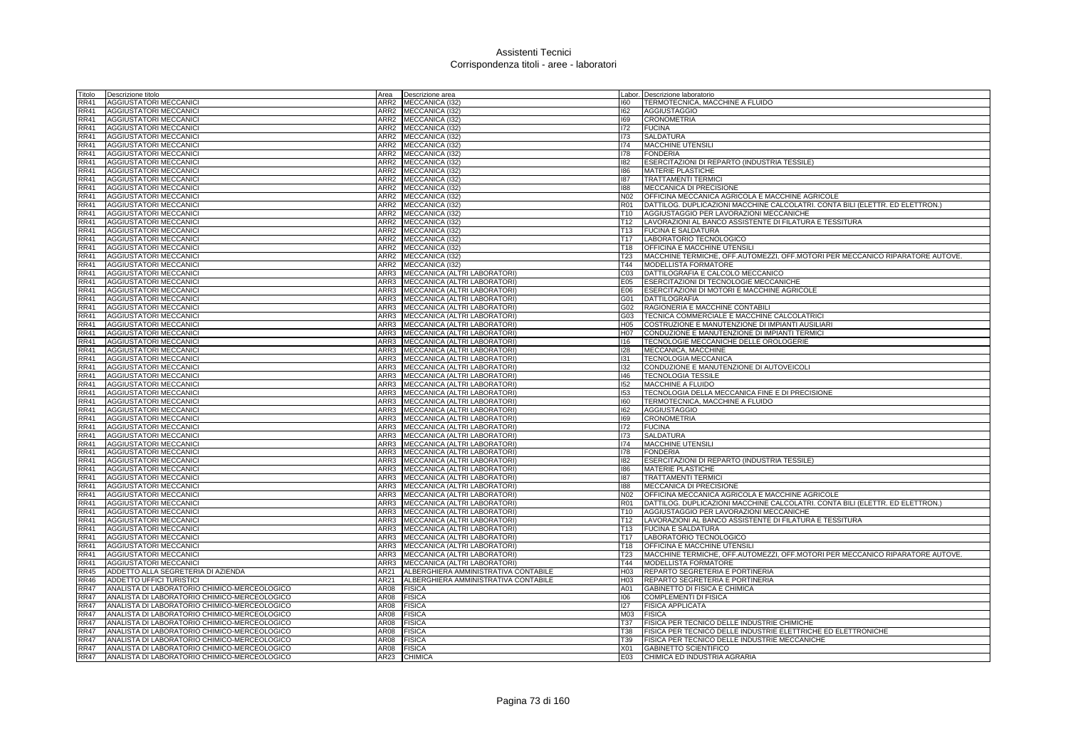| Titolo            | Descrizione titolo                           | Area             | Descrizione area                     |                 | abor. Descrizione laboratorio                                                 |
|-------------------|----------------------------------------------|------------------|--------------------------------------|-----------------|-------------------------------------------------------------------------------|
| RR41              | <b>AGGIUSTATORI MECCANICI</b>                | ARR2             | MECCANICA (132)                      | 160             | TERMOTECNICA, MACCHINE A FLUIDO                                               |
| <b>RR41</b>       | <b>AGGIUSTATORI MECCANICI</b>                | ARR <sub>2</sub> | MECCANICA (I32)                      | 162             | <b>AGGIUSTAGGIO</b>                                                           |
| <b>RR41</b>       | <b>AGGIUSTATORI MECCANICI</b>                | ARR <sub>2</sub> | MECCANICA (132)                      | 169             | <b>CRONOMETRIA</b>                                                            |
| RR41              | <b>AGGIUSTATORI MECCANICI</b>                | ARR <sub>2</sub> | MECCANICA (132)                      | 172             | <b>FUCINA</b>                                                                 |
| RR41              | <b>AGGIUSTATORI MECCANICI</b>                | ARR2             | MECCANICA (132)                      | 173             | <b>SALDATURA</b>                                                              |
| <b>RR41</b>       | <b>AGGIUSTATORI MECCANICI</b>                | ARR <sub>2</sub> | MECCANICA (I32)                      | 174             | <b>MACCHINE UTENSILI</b>                                                      |
| <b>RR41</b>       | <b>AGGIUSTATORI MECCANICI</b>                | ARR2             | MECCANICA (132)                      | 178             | <b>FONDERIA</b>                                                               |
| RR41              | <b>AGGIUSTATORI MECCANICI</b>                | ARR <sub>2</sub> | MECCANICA (132)                      | 182             | ESERCITAZIONI DI REPARTO (INDUSTRIA TESSILE)                                  |
| RR41              | <b>AGGIUSTATORI MECCANICI</b>                | ARR <sub>2</sub> | MECCANICA (I32)                      | 186             | <b>MATERIE PLASTICHE</b>                                                      |
| RR41              | <b>AGGIUSTATORI MECCANICI</b>                | ARR <sub>2</sub> | MECCANICA (132)                      | 187             | <b>TRATTAMENTI TERMICI</b>                                                    |
| RR41              | AGGIUSTATORI MECCANICI                       | ARR <sub>2</sub> | MECCANICA (I32)                      | 188             | MECCANICA DI PRECISIONE                                                       |
| <b>RR41</b>       | <b>AGGIUSTATORI MECCANICI</b>                | ARR <sub>2</sub> | MECCANICA (I32)                      | N02             | OFFICINA MECCANICA AGRICOLA E MACCHINE AGRICOLE                               |
| RR41              | <b>AGGIUSTATORI MECCANICI</b>                | ARR <sub>2</sub> | MECCANICA (132)                      | R01             | DATTILOG. DUPLICAZIONI MACCHINE CALCOLATRI. CONTA BILI (ELETTR. ED ELETTRON.) |
| <b>RR41</b>       | AGGIUSTATORI MECCANIC                        | ARR <sub>2</sub> | MECCANICA (132)                      | T10             | AGGIUSTAGGIO PER LAVORAZIONI MECCANICHE                                       |
| RR41              | AGGIUSTATORI MECCANICI                       | ARR <sub>2</sub> | MECCANICA (I32)                      | T <sub>12</sub> | LAVORAZIONI AL BANCO ASSISTENTE DI FILATURA E TESSITURA                       |
| <b>RR41</b>       | AGGIUSTATORI MECCANICI                       | ARR <sub>2</sub> | MECCANICA (I32)                      | T <sub>13</sub> | <b>FUCINA E SALDATURA</b>                                                     |
| RR41              | AGGIUSTATORI MECCANICI                       | ARR <sub>2</sub> | MECCANICA (I32)                      | T <sub>17</sub> | LABORATORIO TECNOLOGICO                                                       |
| RR41              | AGGIUSTATORI MECCANIC                        | ARR2             | MECCANICA (132)                      | T18             | OFFICINA E MACCHINE UTENSILI                                                  |
| <b>RR41</b>       | AGGIUSTATORI MECCANICI                       | ARR <sub>2</sub> | MECCANICA (I32)                      | T <sub>23</sub> | MACCHINE TERMICHE, OFF.AUTOMEZZI, OFF.MOTORI PER MECCANICO RIPARATORE AUTOVE. |
| <b>RR41</b>       | <b>AGGIUSTATORI MECCANICI</b>                | ARR <sub>2</sub> | MECCANICA (I32)                      | T44             | <b>MODELLISTA FORMATORE</b>                                                   |
| RR41              | <b>AGGIUSTATORI MECCANICI</b>                | ARR3             | MECCANICA (ALTRI LABORATORI)         | C03             | DATTILOGRAFIA E CALCOLO MECCANICO                                             |
| RR41              | <b>AGGIUSTATORI MECCANICI</b>                | ARR3             | MECCANICA (ALTRI LABORATORI)         | E05             | ESERCITAZIONI DI TECNOLOGIE MECCANICHE                                        |
| <b>RR41</b>       | <b>AGGIUSTATORI MECCANICI</b>                | ARR3             | MECCANICA (ALTRI LABORATORI)         | E06             | ESERCITAZIONI DI MOTORI E MACCHINE AGRICOLE                                   |
| RR41              | <b>AGGIUSTATORI MECCANICI</b>                | ARR3             | MECCANICA (ALTRI LABORATORI)         | G01             | <b>DATTILOGRAFIA</b>                                                          |
| RR41              | AGGIUSTATORI MECCANICI                       | ARR3             | MECCANICA (ALTRI LABORATORI)         | G02             | RAGIONERIA E MACCHINE CONTABILI                                               |
| RR41              | <b>AGGIUSTATORI MECCANICI</b>                | ARR3             | MECCANICA (ALTRI LABORATORI)         | G03             | TECNICA COMMERCIALE E MACCHINE CALCOLATRICI                                   |
| RR41              | <b>AGGIUSTATORI MECCANICI</b>                | ARR3             | MECCANICA (ALTRI LABORATORI)         | H05             | COSTRUZIONE E MANUTENZIONE DI IMPIANTI AUSILIARI                              |
| RR41              | <b>AGGIUSTATORI MECCANICI</b>                | ARR3             | MECCANICA (ALTRI LABORATORI)         | H07             | CONDUZIONE E MANUTENZIONE DI IMPIANTI TERMICI                                 |
| RR41              | <b>AGGIUSTATORI MECCANICI</b>                | ARR3             | MECCANICA (ALTRI LABORATORI)         | 116             | TECNOLOGIE MECCANICHE DELLE OROLOGERIE                                        |
| RR41              | <b>AGGIUSTATORI MECCANICI</b>                | ARR3             | MECCANICA (ALTRI LABORATORI)         | 128             | MECCANICA, MACCHINE                                                           |
| RR41              | AGGIUSTATORI MECCANIC                        | ARR3             | MECCANICA (ALTRI LABORATORI)         | 131             | TECNOLOGIA MECCANICA                                                          |
| <b>RR41</b>       | <b>AGGIUSTATORI MECCANICI</b>                | ARR3             | MECCANICA (ALTRI LABORATORI)         | 132             | CONDUZIONE E MANUTENZIONE DI AUTOVEICOLI                                      |
| RR41              | <b>AGGIUSTATORI MECCANICI</b>                | ARR3             | MECCANICA (ALTRI LABORATORI)         | 146             | <b>TECNOLOGIA TESSILE</b>                                                     |
| RR41              | <b>AGGIUSTATORI MECCANICI</b>                | ARR3             | MECCANICA (ALTRI LABORATORI)         | 152             | <b>MACCHINE A FLUIDO</b>                                                      |
| RR41              | <b>AGGIUSTATORI MECCANICI</b>                | ARR3             | MECCANICA (ALTRI LABORATORI)         | 153             | TECNOLOGIA DELLA MECCANICA FINE E DI PRECISIONE                               |
| <b>RR41</b>       | <b>AGGIUSTATORI MECCANICI</b>                | ARR3             | MECCANICA (ALTRI LABORATORI)         | 160             | TERMOTECNICA, MACCHINE A FLUIDO                                               |
| RR41              | <b>AGGIUSTATORI MECCANICI</b>                | ARR3             | MECCANICA (ALTRI LABORATORI)         | 162             | <b>AGGIUSTAGGIO</b>                                                           |
| RR41              | <b>AGGIUSTATORI MECCANICI</b>                | ARR3             | MECCANICA (ALTRI LABORATORI)         | 169             | <b>CRONOMETRIA</b>                                                            |
| <b>RR41</b>       | <b>AGGIUSTATORI MECCANICI</b>                | ARR3             | MECCANICA (ALTRI LABORATORI)         | 172             | <b>FUCINA</b>                                                                 |
| <b>RR41</b>       | <b>AGGIUSTATORI MECCANICI</b>                | ARR3             | MECCANICA (ALTRI LABORATORI)         | 173             | <b>SALDATURA</b>                                                              |
| <b>RR41</b>       | <b>AGGIUSTATORI MECCANICI</b>                | ARR3             | MECCANICA (ALTRI LABORATORI)         | 174             | <b>MACCHINE UTENSIL</b>                                                       |
| RR41              | <b>AGGIUSTATORI MECCANICI</b>                | ARR3             | MECCANICA (ALTRI LABORATORI)         | 178             | <b>FONDERIA</b>                                                               |
| RR41              | <b>AGGIUSTATORI MECCANICI</b>                | ARR3             | MECCANICA (ALTRI LABORATORI)         | 182             | ESERCITAZIONI DI REPARTO (INDUSTRIA TESSILE)                                  |
| RR41              | <b>AGGIUSTATORI MECCANICI</b>                | ARR3             | MECCANICA (ALTRI LABORATORI)         | 186             | <b>MATERIE PLASTICHE</b>                                                      |
| <b>RR41</b>       | <b>AGGIUSTATORI MECCANICI</b>                | ARR3             | MECCANICA (ALTRI LABORATORI)         | 187             | <b>TRATTAMENTI TERMICI</b>                                                    |
| RR41              | <b>AGGIUSTATORI MECCANICI</b>                | ARR3             | MECCANICA (ALTRI LABORATORI)         | 188             | MECCANICA DI PRECISIONE                                                       |
| RR41              | <b>AGGIUSTATORI MECCANICI</b>                | ARR3             | MECCANICA (ALTRI LABORATORI)         | N02             | OFFICINA MECCANICA AGRICOLA E MACCHINE AGRICOLE                               |
| RR41              | <b>AGGIUSTATORI MECCANICI</b>                | ARR3             | MECCANICA (ALTRI LABORATORI)         | R01             | DATTILOG. DUPLICAZIONI MACCHINE CALCOLATRI. CONTA BILI (ELETTR. ED ELETTRON.) |
| <b>RR41</b>       | <b>AGGIUSTATORI MECCANICI</b>                | ARR3             | MECCANICA (ALTRI LABORATORI)         | T <sub>10</sub> | AGGIUSTAGGIO PER LAVORAZIONI MECCANICHE                                       |
| <b>RR41</b>       | <b>AGGIUSTATORI MECCANICI</b>                | ARR3             | MECCANICA (ALTRI LABORATORI)         | T12             | LAVORAZIONI AL BANCO ASSISTENTE DI FILATURA E TESSITURA                       |
| RR41              | <b>AGGIUSTATORI MECCANICI</b>                | ARR3             | MECCANICA (ALTRI LABORATORI)         | T <sub>13</sub> | <b>FUCINA E SALDATURA</b>                                                     |
| RR41              | <b>AGGIUSTATORI MECCANICI</b>                | ARR3             | MECCANICA (ALTRI LABORATORI)         | T17             | LABORATORIO TECNOLOGICO                                                       |
| <b>RR41</b>       | <b>AGGIUSTATORI MECCANICI</b>                | ARR3             | MECCANICA (ALTRI LABORATORI)         | T <sub>18</sub> | OFFICINA E MACCHINE UTENSILI                                                  |
| RR41              | <b>AGGIUSTATORI MECCANICI</b>                | ARR3             | MECCANICA (ALTRI LABORATORI)         | T23             | MACCHINE TERMICHE, OFF.AUTOMEZZI, OFF.MOTORI PER MECCANICO RIPARATORE AUTOVE. |
| RR41              | <b>AGGIUSTATORI MECCANICI</b>                | ARR3             | MECCANICA (ALTRI LABORATORI)         | T44             | MODELLISTA FORMATORE                                                          |
| RR45              | ADDETTO ALLA SEGRETERIA DI AZIENDA           | AR21             | ALBERGHIERA AMMINISTRATIVA CONTABILE | H03             | REPARTO SEGRETERIA E PORTINERIA                                               |
| <b>RR46</b>       | ADDETTO UFFICI TURISTICI                     | AR21             | ALBERGHIERA AMMINISTRATIVA CONTABILE | H03             | REPARTO SEGRETERIA E PORTINERIA                                               |
| RR47              | ANALISTA DI LABORATORIO CHIMICO-MERCEOLOGICO | AR08             | <b>FISICA</b>                        | A01             | GABINETTO DI FISICA E CHIMICA                                                 |
| <b>RR47</b>       | ANALISTA DI LABORATORIO CHIMICO-MERCEOLOGICO | AR08             | <b>FISICA</b>                        | 106             | <b>COMPLEMENTI DI FISICA</b>                                                  |
| <b>RR47</b>       | ANALISTA DI LABORATORIO CHIMICO-MERCEOLOGICO | AR08             | <b>FISICA</b>                        | 127             | <b>FISICA APPLICATA</b>                                                       |
| <b>RR47</b>       | ANALISTA DI LABORATORIO CHIMICO-MERCEOLOGICO | AR08             | <b>FISICA</b>                        | M03             | <b>FISICA</b>                                                                 |
| <b>RR47</b>       | ANALISTA DI LABORATORIO CHIMICO-MERCEOLOGICO | <b>AR08</b>      | <b>FISICA</b>                        | T37             | FISICA PER TECNICO DELLE INDUSTRIE CHIMICHE                                   |
| <b>RR47</b>       | ANALISTA DI LABORATORIO CHIMICO-MERCEOLOGICO | <b>AR08</b>      | <b>FISICA</b>                        | T38             | FISICA PER TECNICO DELLE INDUSTRIE ELETTRICHE ED ELETTRONICHE                 |
| <b>RR47</b>       | ANALISTA DI LABORATORIO CHIMICO-MERCEOLOGICO | <b>AR08</b>      | <b>FISICA</b>                        | T39             | FISICA PER TECNICO DELLE INDUSTRIE MECCANICHE                                 |
| RR47              | ANALISTA DI LABORATORIO CHIMICO-MERCEOLOGICO | AR08             | <b>FISICA</b>                        | X <sub>01</sub> | <b>GABINETTO SCIENTIFICO</b>                                                  |
| $R\overline{R47}$ | ANALISTA DI LABORATORIO CHIMICO-MERCEOLOGICO | AR23             | <b>CHIMICA</b>                       | E03             | CHIMICA ED INDUSTRIA AGRARIA                                                  |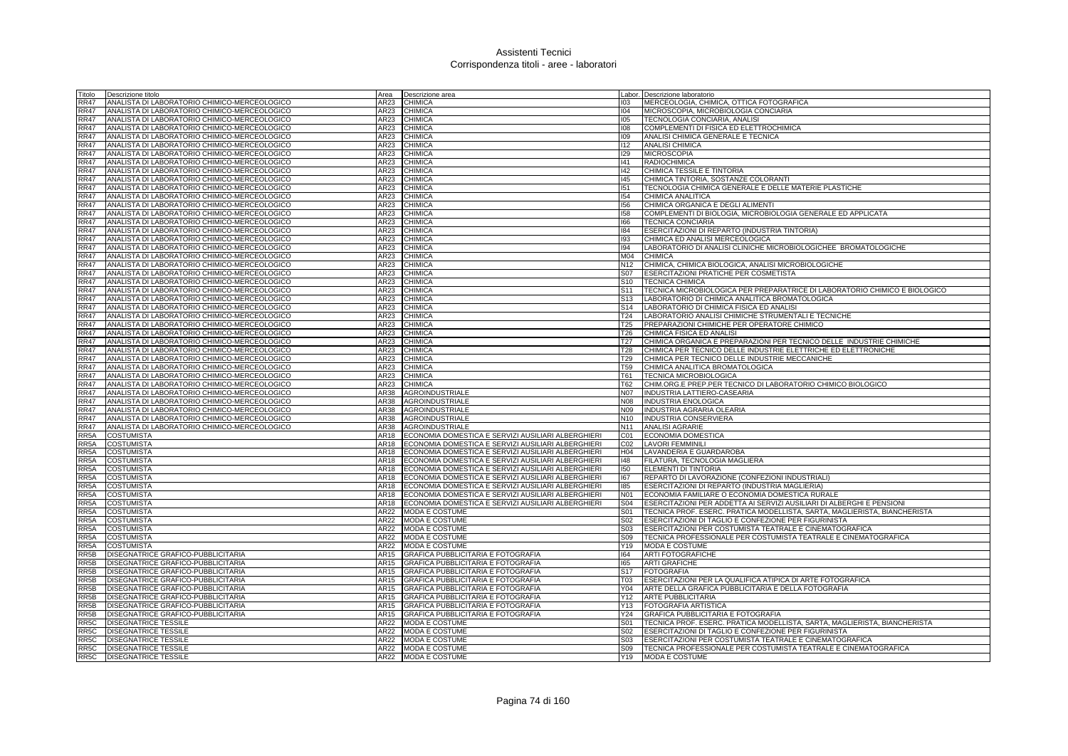| Titolo            | Descrizione titolo                           | Area         | Descrizione area                                                                                         |                                    | Labor. Descrizione laboratorio                                             |
|-------------------|----------------------------------------------|--------------|----------------------------------------------------------------------------------------------------------|------------------------------------|----------------------------------------------------------------------------|
| RR47              | ANALISTA DI LABORATORIO CHIMICO-MERCEOLOGICO | AR23         | <b>CHIMICA</b>                                                                                           | 103                                | MERCEOLOGIA, CHIMICA, OTTICA FOTOGRAFICA                                   |
| <b>RR47</b>       | ANALISTA DI LABORATORIO CHIMICO-MERCEOLOGICO | AR23         | <b>CHIMICA</b>                                                                                           | 104                                | MICROSCOPIA, MICROBIOLOGIA CONCIARIA                                       |
| <b>RR47</b>       | ANALISTA DI LABORATORIO CHIMICO-MERCEOLOGICO | AR23         | <b>CHIMICA</b>                                                                                           | 105                                | TECNOLOGIA CONCIARIA, ANALISI                                              |
| RR47              | ANALISTA DI LABORATORIO CHIMICO-MERCEOLOGICO | AR23         | <b>CHIMICA</b>                                                                                           | 108                                | COMPLEMENTI DI FISICA ED ELETTROCHIMICA                                    |
| RR47              | ANALISTA DI LABORATORIO CHIMICO-MERCEOLOGICO | AR23         | <b>CHIMICA</b>                                                                                           | 109                                | ANALISI CHIMICA GENERALE E TECNICA                                         |
| <b>RR47</b>       | ANALISTA DI LABORATORIO CHIMICO-MERCEOLOGICO | AR23         | <b>CHIMICA</b>                                                                                           | $ 112\rangle$                      | <b>ANALISI CHIMICA</b>                                                     |
| <b>RR47</b>       | ANALISTA DI LABORATORIO CHIMICO-MERCEOLOGICO | AR23         | <b>CHIMICA</b>                                                                                           | 129                                | <b>MICROSCOPIA</b>                                                         |
| RR47              | ANALISTA DI LABORATORIO CHIMICO-MERCEOLOGICO | AR23         | <b>CHIMICA</b>                                                                                           | 141                                | <b>RADIOCHIMICA</b>                                                        |
| <b>RR47</b>       | ANALISTA DI LABORATORIO CHIMICO-MERCEOLOGICO | <b>AR23</b>  | <b>CHIMICA</b>                                                                                           | $ 42\rangle$                       | CHIMICA TESSILE E TINTORIA                                                 |
| RR47              | ANALISTA DI LABORATORIO CHIMICO-MERCEOLOGICO | AR23         | <b>CHIMICA</b>                                                                                           | 145                                | CHIMICA TINTORIA, SOSTANZE COLORANTI                                       |
| RR47              | ANALISTA DI LABORATORIO CHIMICO-MERCEOLOGICO | AR23         | <b>CHIMICA</b>                                                                                           | 151                                | TECNOLOGIA CHIMICA GENERALE E DELLE MATERIE PLASTICHE                      |
| RR47              | ANALISTA DI LABORATORIO CHIMICO-MERCEOLOGICO | AR23         | <b>CHIMICA</b>                                                                                           | 154                                | CHIMICA ANALITICA                                                          |
| <b>RR47</b>       | ANALISTA DI LABORATORIO CHIMICO-MERCEOLOGICO | AR23         | <b>CHIMICA</b>                                                                                           | 156                                | CHIMICA ORGANICA E DEGLI ALIMENTI                                          |
| RR47              | ANALISTA DI LABORATORIO CHIMICO-MERCEOLOGICO | AR23         | <b>CHIMICA</b>                                                                                           | 158                                | COMPLEMENTI DI BIOLOGIA, MICROBIOLOGIA GENERALE ED APPLICATA               |
| <b>RR47</b>       | ANALISTA DI LABORATORIO CHIMICO-MERCEOLOGICO | AR23         | <b>CHIMICA</b>                                                                                           | 166                                | <b>TECNICA CONCIARIA</b>                                                   |
| RR47              | ANALISTA DI LABORATORIO CHIMICO-MERCEOLOGICO | AR23         | <b>CHIMICA</b>                                                                                           | 184                                | ESERCITAZIONI DI REPARTO (INDUSTRIA TINTORIA)                              |
| RR47              | ANALISTA DI LABORATORIO CHIMICO-MERCEOLOGICO | AR23         | <b>CHIMICA</b>                                                                                           | 193                                | CHIMICA ED ANALISI MERCEOLOGICA                                            |
| <b>RR47</b>       | ANALISTA DI LABORATORIO CHIMICO-MERCEOLOGICO | AR23         | <b>CHIMICA</b>                                                                                           | 194                                | LABORATORIO DI ANALISI CLINICHE MICROBIOLOGICHEE BROMATOLOGICHE            |
| <b>RR47</b>       | ANALISTA DI LABORATORIO CHIMICO-MERCEOLOGICO | AR23         | <b>CHIMICA</b>                                                                                           | M04                                | <b>CHIMICA</b>                                                             |
| RR47              | ANALISTA DI LABORATORIO CHIMICO-MERCEOLOGICO | AR23         | <b>CHIMICA</b>                                                                                           | N <sub>12</sub>                    | CHIMICA, CHIMICA BIOLOGICA, ANALISI MICROBIOLOGICHE                        |
| <b>RR47</b>       | ANALISTA DI LABORATORIO CHIMICO-MERCEOLOGICO | AR23         | <b>CHIMICA</b>                                                                                           | S07                                | <b>ESERCITAZIONI PRATICHE PER COSMETISTA</b>                               |
| RR47              | ANALISTA DI LABORATORIO CHIMICO-MERCEOLOGICO | AR23         | <b>CHIMICA</b>                                                                                           | S <sub>10</sub>                    | <b>TECNICA CHIMICA</b>                                                     |
| RR47              | ANALISTA DI LABORATORIO CHIMICO-MERCEOLOGICO | AR23         | <b>CHIMICA</b>                                                                                           | S <sub>11</sub>                    | TECNICA MICROBIOLOGICA PER PREPARATRICE DI LABORATORIO CHIMICO E BIOLOGICO |
| <b>RR47</b>       | ANALISTA DI LABORATORIO CHIMICO-MERCEOLOGICO | AR23         | <b>CHIMICA</b>                                                                                           | S <sub>13</sub>                    | LABORATORIO DI CHIMICA ANALITICA BROMATOLOGICA                             |
| RR47              | ANALISTA DI LABORATORIO CHIMICO-MERCEOLOGICO | AR23         | <b>CHIMICA</b>                                                                                           | S <sub>14</sub>                    | LABORATORIO DI CHIMICA FISICA ED ANALISI                                   |
| RR47              | ANALISTA DI LABORATORIO CHIMICO-MERCEOLOGICO | AR23         | <b>CHIMICA</b>                                                                                           | T24                                | LABORATORIO ANALISI CHIMICHE STRUMENTALI E TECNICHE                        |
| RR47              | ANALISTA DI LABORATORIO CHIMICO-MERCEOLOGICO | AR23         | <b>CHIMICA</b>                                                                                           | <b>T25</b>                         | PREPARAZIONI CHIMICHE PER OPERATORE CHIMICO                                |
| <b>RR47</b>       | ANALISTA DI LABORATORIO CHIMICO-MERCEOLOGICO | AR23         | <b>CHIMICA</b>                                                                                           | T <sub>26</sub>                    | CHIMICA FISICA ED ANALISI                                                  |
| <b>RR47</b>       | ANALISTA DI LABORATORIO CHIMICO-MERCEOLOGICO | AR23         | <b>CHIMICA</b>                                                                                           | T27                                | CHIMICA ORGANICA E PREPARAZIONI PER TECNICO DELLE INDUSTRIE CHIMICHE       |
| RR47              | ANALISTA DI LABORATORIO CHIMICO-MERCEOLOGICO | AR23         | <b>CHIMICA</b>                                                                                           | T28                                | CHIMICA PER TECNICO DELLE INDUSTRIE ELETTRICHE ED ELETTRONICHE             |
| <b>RR47</b>       | ANALISTA DI LABORATORIO CHIMICO-MERCEOLOGICO | AR23         | <b>CHIMICA</b>                                                                                           | T29                                | CHIMICA PER TECNICO DELLE INDUSTRIE MECCANICHE                             |
| RR47              | ANALISTA DI LABORATORIO CHIMICO-MERCEOLOGICO | AR23         | <b>CHIMICA</b>                                                                                           | T59                                | CHIMICA ANALITICA BROMATOLOGICA                                            |
| <b>RR47</b>       | ANALISTA DI LABORATORIO CHIMICO-MERCEOLOGICO | AR23         | <b>CHIMICA</b>                                                                                           | T61                                | TECNICA MICROBIOLOGICA                                                     |
| RR47              | ANALISTA DI LABORATORIO CHIMICO-MERCEOLOGICO | AR23         | <b>CHIMICA</b>                                                                                           | T62                                | CHIM.ORG.E PREP.PER TECNICO DI LABORATORIO CHIMICO BIOLOGICO               |
| RR47              | ANALISTA DI LABORATORIO CHIMICO-MERCEOLOGICO | AR38         | AGROINDUSTRIALE                                                                                          | N07                                | <b>INDUSTRIA LATTIERO-CASEARIA</b>                                         |
| <b>RR47</b>       | ANALISTA DI LABORATORIO CHIMICO-MERCEOLOGICO | AR38         | AGROINDUSTRIALE                                                                                          | <b>N08</b>                         | <b>INDUSTRIA ENOLOGICA</b>                                                 |
| <b>RR47</b>       | ANALISTA DI LABORATORIO CHIMICO-MERCEOLOGICO | AR38         | <b>AGROINDUSTRIALE</b>                                                                                   | N09                                | INDUSTRIA AGRARIA OLEARIA                                                  |
| <b>RR47</b>       | ANALISTA DI LABORATORIO CHIMICO-MERCEOLOGICO | AR38         | <b>AGROINDUSTRIALE</b>                                                                                   | N <sub>10</sub>                    | INDUSTRIA CONSERVIERA                                                      |
| RR47              | ANALISTA DI LABORATORIO CHIMICO-MERCEOLOGICO | AR38<br>AR18 | <b>AGROINDUSTRIALE</b>                                                                                   | N11                                | <b>ANALISI AGRARIE</b>                                                     |
| RR5A              | COSTUMISTA                                   |              | ECONOMIA DOMESTICA E SERVIZI AUSILIARI ALBERGHIERI<br>ECONOMIA DOMESTICA E SERVIZI AUSILIARI ALBERGHIERI | C01                                | ECONOMIA DOMESTICA                                                         |
| RR5A<br>RR5A      | COSTUMISTA                                   | AR18<br>AR18 | ECONOMIA DOMESTICA E SERVIZI AUSILIARI ALBERGHIERI                                                       | CO <sub>2</sub><br>H <sub>04</sub> | <b>LAVORI FEMMINILI</b><br>LAVANDERIA E GUARDAROBA                         |
| RR5A              | COSTUMISTA<br><b>COSTUMISTA</b>              | <b>AR18</b>  | ECONOMIA DOMESTICA E SERVIZI AUSILIARI ALBERGHIERI                                                       | $ 48\rangle$                       | FILATURA, TECNOLOGIA MAGLIERA                                              |
| RR <sub>5</sub> A | COSTUMISTA                                   | AR18         | ECONOMIA DOMESTICA E SERVIZI AUSILIARI ALBERGHIERI                                                       | 150                                | ELEMENTI DI TINTORIA                                                       |
| RR <sub>5</sub> A | <b>COSTUMISTA</b>                            | AR18         | ECONOMIA DOMESTICA E SERVIZI AUSILIARI ALBERGHIERI                                                       | 167                                | REPARTO DI LAVORAZIONE (CONFEZIONI INDUSTRIALI)                            |
| RR <sub>5</sub> A | <b>COSTUMISTA</b>                            | AR18         | ECONOMIA DOMESTICA E SERVIZI AUSILIARI ALBERGHIERI                                                       | 185                                | ESERCITAZIONI DI REPARTO (INDUSTRIA MAGLIERIA)                             |
| RR <sub>5</sub> A | COSTUMISTA                                   | AR18         | ECONOMIA DOMESTICA E SERVIZI AUSILIARI ALBERGHIERI                                                       | N01                                | ECONOMIA FAMILIARE O ECONOMIA DOMESTICA RURALE                             |
| RR5A              | COSTUMISTA                                   | AR18         | ECONOMIA DOMESTICA E SERVIZI AUSILIARI ALBERGHIERI                                                       | <b>S04</b>                         | ESERCITAZIONI PER ADDETTA AI SERVIZI AUSILIARI DI ALBERGHI E PENSIONI      |
| RR5A              | <b>COSTUMISTA</b>                            | AR22         | <b>MODA E COSTUME</b>                                                                                    | S01                                | TECNICA PROF. ESERC. PRATICA MODELLISTA, SARTA, MAGLIERISTA, BIANCHERISTA  |
| RR5A              | COSTUMISTA                                   | AR22         | MODA E COSTUME                                                                                           | S02                                | ESERCITAZIONI DI TAGLIO E CONFEZIONE PER FIGURINISTA                       |
| RR5A              | COSTUMISTA                                   | AR22         | <b>MODA E COSTUME</b>                                                                                    | S03                                | ESERCITAZIONI PER COSTUMISTA TEATRALE E CINEMATOGRAFICA                    |
| RR5A              | COSTUMISTA                                   | AR22         | MODA E COSTUME                                                                                           | S09                                | TECNICA PROFESSIONALE PER COSTUMISTA TEATRALE E CINEMATOGRAFICA            |
| RR5A              | <b>COSTUMISTA</b>                            | AR22         | <b>MODA E COSTUME</b>                                                                                    | Y19                                | MODA E COSTUME                                                             |
| RR5B              | DISEGNATRICE GRAFICO-PUBBLICITARIA           | <b>AR15</b>  | <b>GRAFICA PUBBLICITARIA E FOTOGRAFIA</b>                                                                | 164                                | <b>ARTI FOTOGRAFICHE</b>                                                   |
| RR <sub>5</sub> B | DISEGNATRICE GRAFICO-PUBBLICITARIA           | AR15         | <b>GRAFICA PUBBLICITARIA E FOTOGRAFIA</b>                                                                | 165                                | <b>ARTI GRAFICHE</b>                                                       |
| RR5B              | DISEGNATRICE GRAFICO-PUBBLICITARIA           | AR15         | <b>GRAFICA PUBBLICITARIA E FOTOGRAFIA</b>                                                                | S <sub>17</sub>                    | <b>FOTOGRAFIA</b>                                                          |
| RR <sub>5</sub> B | DISEGNATRICE GRAFICO-PUBBLICITARIA           | AR15         | GRAFICA PUBBLICITARIA E FOTOGRAFIA                                                                       | T03                                | ESERCITAZIONI PER LA QUALIFICA ATIPICA DI ARTE FOTOGRAFICA                 |
| RR5B              | DISEGNATRICE GRAFICO-PUBBLICITARIA           | AR15         | GRAFICA PUBBLICITARIA E FOTOGRAFIA                                                                       | Y04                                | ARTE DELLA GRAFICA PUBBLICITARIA E DELLA FOTOGRAFIA                        |
| RR5B              | DISEGNATRICE GRAFICO-PUBBLICITARIA           | AR15         | <b>GRAFICA PUBBLICITARIA E FOTOGRAFIA</b>                                                                | Y12                                | <b>ARTE PUBBLICITARIA</b>                                                  |
| RR5B              | DISEGNATRICE GRAFICO-PUBBLICITARIA           | AR15         | <b>GRAFICA PUBBLICITARIA E FOTOGRAFIA</b>                                                                | Y13                                | FOTOGRAFIA ARTISTICA                                                       |
| RR5B              | DISEGNATRICE GRAFICO-PUBBLICITARIA           | AR15         | <b>GRAFICA PUBBLICITARIA E FOTOGRAFIA</b>                                                                | Y24                                | GRAFICA PUBBLICITARIA E FOTOGRAFIA                                         |
| RR5C              | DISEGNATRICE TESSILE                         | AR22         | <b>MODA E COSTUME</b>                                                                                    | S01                                | TECNICA PROF. ESERC. PRATICA MODELLISTA, SARTA, MAGLIERISTA, BIANCHERISTA  |
| RR5C              | DISEGNATRICE TESSILE                         | AR22         | <b>MODA E COSTUME</b>                                                                                    | S02                                | ESERCITAZIONI DI TAGLIO E CONFEZIONE PER FIGURINISTA                       |
| RR <sub>5</sub> C | <b>DISEGNATRICE TESSILE</b>                  |              | AR22 MODA E COSTUME                                                                                      | S <sub>03</sub>                    | ESERCITAZIONI PER COSTUMISTA TEATRALE E CINEMATOGRAFICA                    |
| RR5C              | <b>DISEGNATRICE TESSILE</b>                  |              | AR22 MODA E COSTUME                                                                                      | S <sub>09</sub>                    | TECNICA PROFESSIONALE PER COSTUMISTA TEATRALE E CINEMATOGRAFICA            |
| RR <sub>5</sub> C | <b>DISEGNATRICE TESSILE</b>                  |              | AR22 MODA E COSTUME                                                                                      |                                    | Y19 MODA E COSTUME                                                         |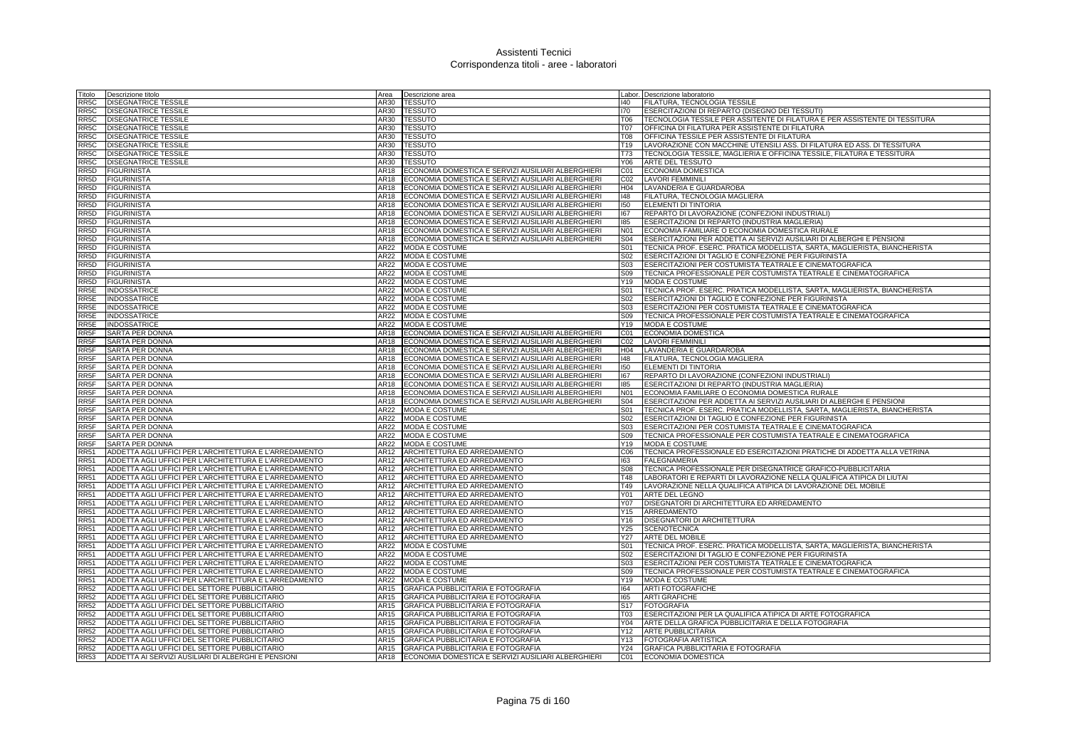| Titolo                    | Descrizione titolo                                     | Area         | Descrizione area                                                                                         |                 | Labor. Descrizione laboratorio                                             |
|---------------------------|--------------------------------------------------------|--------------|----------------------------------------------------------------------------------------------------------|-----------------|----------------------------------------------------------------------------|
| RR5C                      | DISEGNATRICE TESSILE                                   | AR30         | <b>TESSUTO</b>                                                                                           | 140             | FILATURA, TECNOLOGIA TESSILE                                               |
| RR5C                      | <b>DISEGNATRICE TESSILE</b>                            | AR30         | <b>TESSUTO</b>                                                                                           | 170             | ESERCITAZIONI DI REPARTO (DISEGNO DEI TESSUTI)                             |
| RR5C                      | <b>DISEGNATRICE TESSILE</b>                            | AR30         | <b>TESSUTO</b>                                                                                           | T06             | TECNOLOGIA TESSILE PER ASSITENTE DI FILATURA E PER ASSISTENTE DI TESSITURA |
| RR5C                      | <b>DISEGNATRICE TESSILE</b>                            | AR30         | <b>TESSUTO</b>                                                                                           | <b>T07</b>      | OFFICINA DI FILATURA PER ASSISTENTE DI FILATURA                            |
| RR5C                      | DISEGNATRICE TESSILE                                   | AR30         | <b>TESSUTO</b>                                                                                           | <b>T08</b>      | OFFICINA TESSILE PER ASSISTENTE DI FILATURA                                |
| RR5C                      | <b>DISEGNATRICE TESSILE</b>                            | AR30         | <b>TESSUTO</b>                                                                                           | T <sub>19</sub> | LAVORAZIONE CON MACCHINE UTENSILI ASS. DI FILATURA ED ASS. DI TESSITURA    |
| RR5C                      | DISEGNATRICE TESSILE                                   | AR30         | <b>TESSUTO</b>                                                                                           | T73             | TECNOLOGIA TESSILE, MAGLIERIA E OFFICINA TESSILE, FILATURA E TESSITURA     |
| RR <sub>5</sub> C         | <b>DISEGNATRICE TESSILE</b>                            | AR30         | TESSUTO                                                                                                  | Y06             | ARTE DEL TESSUTO                                                           |
| RR <sub>5</sub> D         | <b>FIGURINISTA</b>                                     | AR18         | ECONOMIA DOMESTICA E SERVIZI AUSILIARI ALBERGHIERI                                                       | CO1             | <b>ECONOMIA DOMESTICA</b>                                                  |
| RR <sub>5</sub> D         | <b>FIGURINISTA</b>                                     | <b>AR18</b>  | ECONOMIA DOMESTICA E SERVIZI AUSILIARI ALBERGHIERI                                                       | CO <sub>2</sub> | <b>LAVORI FEMMINILI</b>                                                    |
| RR5D                      | <b>FIGURINISTA</b>                                     | AR18         | ECONOMIA DOMESTICA E SERVIZI AUSILIARI ALBERGHIERI                                                       | H04             | LAVANDERIA E GUARDAROBA                                                    |
| RR5D                      | <b>FIGURINISTA</b>                                     | AR18         | ECONOMIA DOMESTICA E SERVIZI AUSILIARI ALBERGHIERI                                                       | 148             | FILATURA, TECNOLOGIA MAGLIERA                                              |
| RR5D                      | <b>FIGURINISTA</b>                                     | AR18         | ECONOMIA DOMESTICA E SERVIZI AUSILIARI ALBERGHIERI                                                       | 150             | ELEMENTI DI TINTORIA                                                       |
| RR5D                      | <b>FIGURINISTA</b>                                     | AR18         | ECONOMIA DOMESTICA E SERVIZI AUSILIARI ALBERGHIERI                                                       | 167             | REPARTO DI LAVORAZIONE (CONFEZIONI INDUSTRIALI)                            |
| RR5D                      | <b>FIGURINISTA</b>                                     | AR18         | ECONOMIA DOMESTICA E SERVIZI AUSILIARI ALBERGHIERI                                                       | 185             | ESERCITAZIONI DI REPARTO (INDUSTRIA MAGLIERIA)                             |
| RR5D                      | <b>FIGURINISTA</b>                                     | AR18         | ECONOMIA DOMESTICA E SERVIZI AUSILIARI ALBERGHIERI                                                       | N01             | ECONOMIA FAMILIARE O ECONOMIA DOMESTICA RURALE                             |
| RR5D                      | <b>FIGURINISTA</b>                                     | AR18         | ECONOMIA DOMESTICA E SERVIZI AUSILIARI ALBERGHIERI                                                       | S04             | ESERCITAZIONI PER ADDETTA AI SERVIZI AUSILIARI DI ALBERGHI E PENSIONI      |
| RR5D                      | <b>FIGURINISTA</b>                                     | AR22         | MODA E COSTUME                                                                                           | S01             | TECNICA PROF. ESERC. PRATICA MODELLISTA, SARTA, MAGLIERISTA, BIANCHERISTA  |
| RR5D                      | <b>FIGURINISTA</b>                                     | AR22         | MODA E COSTUME                                                                                           | S <sub>02</sub> | ESERCITAZIONI DI TAGLIO E CONFEZIONE PER FIGURINISTA                       |
| RR <sub>5</sub> D         | <b>FIGURINISTA</b>                                     | AR22         | <b>MODA E COSTUME</b>                                                                                    | S03             | ESERCITAZIONI PER COSTUMISTA TEATRALE E CINEMATOGRAFICA                    |
| RR <sub>5</sub> D         | <b>FIGURINISTA</b>                                     | AR22         | <b>MODA E COSTUME</b>                                                                                    | S <sub>09</sub> | TECNICA PROFESSIONALE PER COSTUMISTA TEATRALE E CINEMATOGRAFICA            |
| RR <sub>5</sub> D         | <b>FIGURINISTA</b>                                     | AR22         | MODA E COSTUME                                                                                           | Y19             | <b>MODA E COSTUME</b>                                                      |
| RR5E                      | INDOSSATRICE                                           | AR22         | MODA E COSTUME                                                                                           | S01             | TECNICA PROF. ESERC. PRATICA MODELLISTA, SARTA, MAGLIERISTA, BIANCHERISTA  |
| RR5E                      | INDOSSATRICE                                           | AR22         | MODA E COSTUME                                                                                           | S02             | ESERCITAZIONI DI TAGLIO E CONFEZIONE PER FIGURINISTA                       |
| RR5E                      | <b>INDOSSATRICE</b>                                    | AR22         | MODA E COSTUME                                                                                           | S03             | ESERCITAZIONI PER COSTUMISTA TEATRALE E CINEMATOGRAFICA                    |
| RR5E                      | <b>INDOSSATRICE</b>                                    | AR22         | <b>MODA E COSTUME</b>                                                                                    | S09             | TECNICA PROFESSIONALE PER COSTUMISTA TEATRALE E CINEMATOGRAFICA            |
| RR5E                      | <b>INDOSSATRICE</b>                                    | AR22         | MODA E COSTUME                                                                                           | Y19             | MODA E COSTUME                                                             |
| RR5F                      | SARTA PER DONNA                                        | AR18         | ECONOMIA DOMESTICA E SERVIZI AUSILIARI ALBERGHIERI                                                       | C01             | ECONOMIA DOMESTICA                                                         |
| RR <sub>5</sub> F         | SARTA PER DONNA                                        | AR18         | ECONOMIA DOMESTICA E SERVIZI AUSILIARI ALBERGHIERI                                                       | CO <sub>2</sub> | <b>LAVORI FEMMINILI</b>                                                    |
| RR <sub>5</sub> F         | <b>SARTA PER DONNA</b><br><b>SARTA PER DONNA</b>       | AR18<br>AR18 | ECONOMIA DOMESTICA E SERVIZI AUSILIARI ALBERGHIERI                                                       | H <sub>04</sub> | LAVANDERIA E GUARDAROBA<br>FILATURA, TECNOLOGIA MAGLIERA                   |
| RR5F<br>RR <sub>5</sub> F | <b>SARTA PER DONNA</b>                                 | AR18         | ECONOMIA DOMESTICA E SERVIZI AUSILIARI ALBERGHIERI<br>ECONOMIA DOMESTICA E SERVIZI AUSILIARI ALBERGHIERI | 148<br>150      | ELEMENTI DI TINTORIA                                                       |
| RR5F                      | <b>SARTA PER DONNA</b>                                 | AR18         | ECONOMIA DOMESTICA E SERVIZI AUSILIARI ALBERGHIERI                                                       | 167             | REPARTO DI LAVORAZIONE (CONFEZIONI INDUSTRIALI)                            |
| RR5F                      | SARTA PER DONNA                                        | AR18         | ECONOMIA DOMESTICA E SERVIZI AUSILIARI ALBERGHIERI                                                       | 185             | ESERCITAZIONI DI REPARTO (INDUSTRIA MAGLIERIA)                             |
| RR5F                      | <b>SARTA PER DONNA</b>                                 | AR18         | ECONOMIA DOMESTICA E SERVIZI AUSILIARI ALBERGHIERI                                                       | N01             | ECONOMIA FAMILIARE O ECONOMIA DOMESTICA RURALE                             |
| RR <sub>5</sub> F         | SARTA PER DONNA                                        | AR18         | ECONOMIA DOMESTICA E SERVIZI AUSILIARI ALBERGHIERI                                                       | <b>S04</b>      | ESERCITAZIONI PER ADDETTA AI SERVIZI AUSILIARI DI ALBERGHI E PENSIONI      |
| RR5F                      | <b>SARTA PER DONNA</b>                                 | AR22         | <b>MODA E COSTUME</b>                                                                                    | S01             | TECNICA PROF. ESERC. PRATICA MODELLISTA, SARTA, MAGLIERISTA, BIANCHERISTA  |
| RR5F                      | <b>SARTA PER DONNA</b>                                 | AR22         | MODA E COSTUME                                                                                           | <b>S02</b>      | ESERCITAZIONI DI TAGLIO E CONFEZIONE PER FIGURINISTA                       |
| RR <sub>5F</sub>          | SARTA PER DONNA                                        | AR22         | <b>MODA E COSTUME</b>                                                                                    | S03             | ESERCITAZIONI PER COSTUMISTA TEATRALE E CINEMATOGRAFICA                    |
| RR5F                      | SARTA PER DONNA                                        | AR22         | MODA E COSTUME                                                                                           | S09             | TECNICA PROFESSIONALE PER COSTUMISTA TEATRALE E CINEMATOGRAFICA            |
| RR <sub>5</sub> F         | SARTA PER DONNA                                        | AR22         | MODA E COSTUME                                                                                           | Y19             | <b>MODA E COSTUME</b>                                                      |
| <b>RR51</b>               | ADDETTA AGLI UFFICI PER L'ARCHITETTURA E L'ARREDAMENTO | AR12         | ARCHITETTURA ED ARREDAMENTO                                                                              | C06             | TECNICA PROFESSIONALE ED ESERCITAZIONI PRATICHE DI ADDETTA ALLA VETRINA    |
| <b>RR51</b>               | ADDETTA AGLI UFFICI PER L'ARCHITETTURA E L'ARREDAMENTO | AR12         | ARCHITETTURA ED ARREDAMENTO                                                                              | 163             | <b>FALEGNAMERIA</b>                                                        |
| <b>RR51</b>               | ADDETTA AGLI UFFICI PER L'ARCHITETTURA E L'ARREDAMENTO | AR12         | ARCHITETTURA ED ARREDAMENTO                                                                              | <b>S08</b>      | TECNICA PROFESSIONALE PER DISEGNATRICE GRAFICO-PUBBLICITARIA               |
| <b>RR51</b>               | ADDETTA AGLI UFFICI PER L'ARCHITETTURA E L'ARREDAMENTO | AR12         | ARCHITETTURA ED ARREDAMENTO                                                                              | <b>T48</b>      | LABORATORI E REPARTI DI LAVORAZIONE NELLA QUALIFICA ATIPICA DI LIUTAI      |
| <b>RR51</b>               | ADDETTA AGLI UFFICI PER L'ARCHITETTURA E L'ARREDAMENTO | AR12         | ARCHITETTURA ED ARREDAMENTO                                                                              | T49             | LAVORAZIONE NELLA QUALIFICA ATIPICA DI LAVORAZIONE DEL MOBILE              |
| <b>RR51</b>               | ADDETTA AGLI UFFICI PER L'ARCHITETTURA E L'ARREDAMENTO | AR12         | ARCHITETTURA ED ARREDAMENTO                                                                              | Y01             | ARTE DEL LEGNO                                                             |
| <b>RR51</b>               | ADDETTA AGLI UFFICI PER L'ARCHITETTURA E L'ARREDAMENTO | AR12         | ARCHITETTURA ED ARREDAMENTO                                                                              | Y07             | DISEGNATORI DI ARCHITETTURA ED ARREDAMENTO                                 |
| <b>RR51</b>               | ADDETTA AGLI UFFICI PER L'ARCHITETTURA E L'ARREDAMENTO | AR12         | ARCHITETTURA ED ARREDAMENTO                                                                              | Y15             | ARREDAMENTO                                                                |
| <b>RR51</b>               | ADDETTA AGLI UFFICI PER L'ARCHITETTURA E L'ARREDAMENTO | AR12         | ARCHITETTURA ED ARREDAMENTO                                                                              | Y16             | DISEGNATORI DI ARCHITETTURA                                                |
| <b>RR51</b>               | ADDETTA AGLI UFFICI PER L'ARCHITETTURA E L'ARREDAMENTO | AR12         | ARCHITETTURA ED ARREDAMENTO                                                                              | Y25             | <b>SCENOTECNICA</b>                                                        |
| <b>RR51</b>               | ADDETTA AGLI UFFICI PER L'ARCHITETTURA E L'ARREDAMENTO | AR12         | ARCHITETTURA ED ARREDAMENTO                                                                              | Y27             | <b>ARTE DEL MOBILE</b>                                                     |
| <b>RR51</b>               | ADDETTA AGLI UFFICI PER L'ARCHITETTURA E L'ARREDAMENTO | AR22         | <b>MODA E COSTUME</b>                                                                                    | S <sub>01</sub> | TECNICA PROF. ESERC. PRATICA MODELLISTA, SARTA, MAGLIERISTA, BIANCHERISTA  |
| <b>RR51</b>               | ADDETTA AGLI UFFICI PER L'ARCHITETTURA E L'ARREDAMENTO | AR22         | <b>MODA E COSTUME</b>                                                                                    | <b>S02</b>      | ESERCITAZIONI DI TAGLIO E CONFEZIONE PER FIGURINISTA                       |
| <b>RR51</b>               | ADDETTA AGLI UFFICI PER L'ARCHITETTURA E L'ARREDAMENTO | AR22         | <b>MODA E COSTUME</b>                                                                                    | S <sub>03</sub> | ESERCITAZIONI PER COSTUMISTA TEATRALE E CINEMATOGRAFICA                    |
| <b>RR51</b>               | ADDETTA AGLI UFFICI PER L'ARCHITETTURA E L'ARREDAMENTO | AR22         | MODA E COSTUME                                                                                           | S09             | TECNICA PROFESSIONALE PER COSTUMISTA TEATRALE E CINEMATOGRAFICA            |
| <b>RR51</b>               | ADDETTA AGLI UFFICI PER L'ARCHITETTURA E L'ARREDAMENTO | AR22         | MODA E COSTUME                                                                                           | Y19             | <b>MODA E COSTUME</b>                                                      |
| <b>RR52</b>               | ADDETTA AGLI UFFICI DEL SETTORE PUBBLICITARIO          | AR15         | GRAFICA PUBBLICITARIA E FOTOGRAFIA                                                                       | 164             | ARTI FOTOGRAFICHE                                                          |
| <b>RR52</b>               | ADDETTA AGLI UFFICI DEL SETTORE PUBBLICITARIO          | AR15         | GRAFICA PUBBLICITARIA E FOTOGRAFIA                                                                       | 165             | <b>ARTI GRAFICHE</b>                                                       |
| <b>RR52</b>               | ADDETTA AGLI UFFICI DEL SETTORE PUBBLICITARIO          | AR15         | GRAFICA PUBBLICITARIA E FOTOGRAFIA                                                                       | S <sub>17</sub> | <b>FOTOGRAFIA</b>                                                          |
| <b>RR52</b>               | ADDETTA AGLI UFFICI DEL SETTORE PUBBLICITARIO          | AR15         | <b>GRAFICA PUBBLICITARIA E FOTOGRAFIA</b>                                                                | <b>T03</b>      | ESERCITAZIONI PER LA QUALIFICA ATIPICA DI ARTE FOTOGRAFICA                 |
| <b>RR52</b>               | ADDETTA AGLI UFFICI DEL SETTORE PUBBLICITARIO          | AR15         | GRAFICA PUBBLICITARIA E FOTOGRAFIA                                                                       | Y04             | ARTE DELLA GRAFICA PUBBLICITARIA E DELLA FOTOGRAFIA                        |
| <b>RR52</b>               | ADDETTA AGLI UFFICI DEL SETTORE PUBBLICITARIO          | AR15         | GRAFICA PUBBLICITARIA E FOTOGRAFIA                                                                       | Y12             | ARTE PUBBLICITARIA                                                         |
| <b>RR52</b>               | ADDETTA AGLI UFFICI DEL SETTORE PUBBLICITARIO          | AR15         | <b>GRAFICA PUBBLICITARIA E FOTOGRAFIA</b>                                                                | Y13             | <b>FOTOGRAFIA ARTISTICA</b>                                                |
| <b>RR52</b>               | ADDETTA AGLI UFFICI DEL SETTORE PUBBLICITARIO          | AR15         | GRAFICA PUBBLICITARIA E FOTOGRAFIA                                                                       | Y24             | <b>GRAFICA PUBBLICITARIA E FOTOGRAFIA</b>                                  |
| <b>RR53</b>               | ADDETTA AI SERVIZI AUSILIARI DI ALBERGHI E PENSIONI    | AR18         | ECONOMIA DOMESTICA E SERVIZI AUSILIARI ALBERGHIERI                                                       | CO1             | <b>ECONOMIA DOMESTICA</b>                                                  |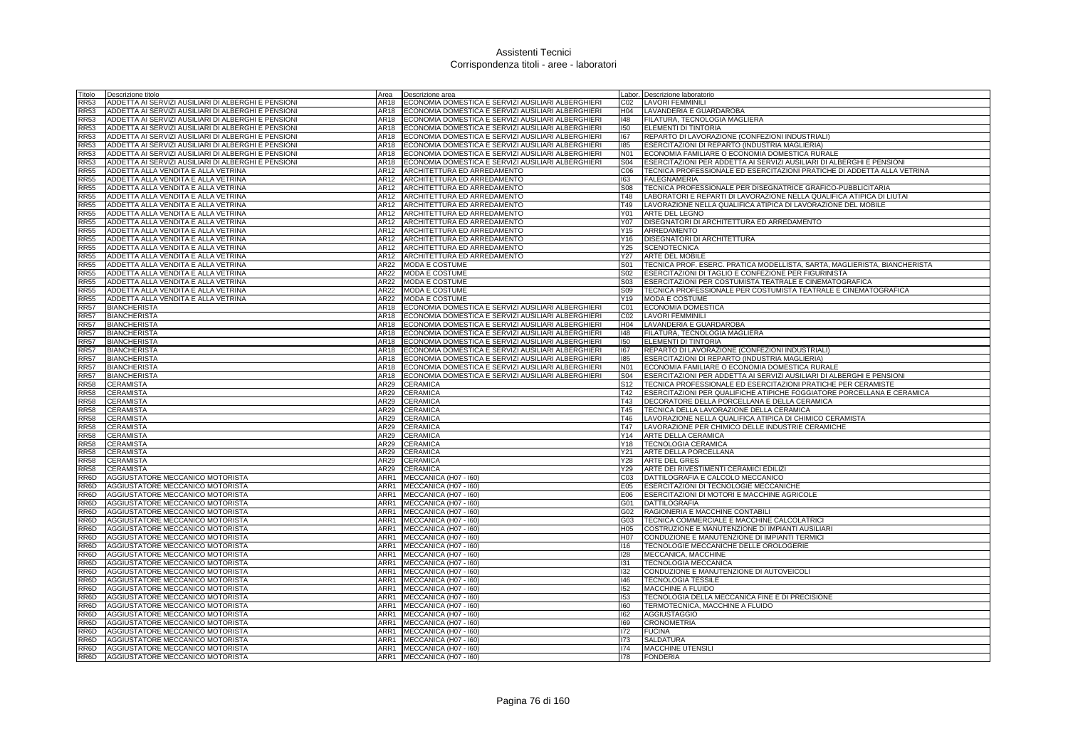| Titolo      | Descrizione titolo                                  | Area        | Descrizione area                                        |                  | Labor. Descrizione laboratorio                                            |
|-------------|-----------------------------------------------------|-------------|---------------------------------------------------------|------------------|---------------------------------------------------------------------------|
| RR53        | ADDETTA AI SERVIZI AUSILIARI DI ALBERGHI E PENSIONI | AR18        | ECONOMIA DOMESTICA E SERVIZI AUSILIARI ALBERGHIERI      | CO <sub>2</sub>  | <b>LAVORI FEMMINILI</b>                                                   |
| RR53        | ADDETTA AI SERVIZI AUSILIARI DI ALBERGHI E PENSIONI | AR18        | ECONOMIA DOMESTICA E SERVIZI AUSILIARI ALBERGHIERI      | H04              | LAVANDERIA E GUARDAROBA                                                   |
| <b>RR53</b> | ADDETTA AI SERVIZI AUSILIARI DI ALBERGHI E PENSIONI |             | AR18 ECONOMIA DOMESTICA E SERVIZI AUSILIARI ALBERGHIERI | 148              | FILATURA, TECNOLOGIA MAGLIERA                                             |
| RR53        | ADDETTA AI SERVIZI AUSILIARI DI ALBERGHI E PENSIONI | AR18        | ECONOMIA DOMESTICA E SERVIZI AUSILIARI ALBERGHIERI      | 150              | <b>ELEMENTI DI TINTORIA</b>                                               |
| <b>RR53</b> | ADDETTA AI SERVIZI AUSILIARI DI ALBERGHI E PENSIONI | AR18        | ECONOMIA DOMESTICA E SERVIZI AUSILIARI ALBERGHIERI      | 167              | REPARTO DI LAVORAZIONE (CONFEZIONI INDUSTRIALI)                           |
| RR53        | ADDETTA AI SERVIZI AUSILIARI DI ALBERGHI E PENSIONI | AR18        | ECONOMIA DOMESTICA E SERVIZI AUSILIARI ALBERGHIERI      | 185              | ESERCITAZIONI DI REPARTO (INDUSTRIA MAGLIERIA)                            |
| <b>RR53</b> | ADDETTA AI SERVIZI AUSILIARI DI ALBERGHI E PENSIONI | AR18        | ECONOMIA DOMESTICA E SERVIZI AUSILIARI ALBERGHIERI      | N <sub>01</sub>  | ECONOMIA FAMILIARE O ECONOMIA DOMESTICA RURALE                            |
| <b>RR53</b> | ADDETTA AI SERVIZI AUSILIARI DI ALBERGHI E PENSIONI | AR18        | ECONOMIA DOMESTICA E SERVIZI AUSILIARI ALBERGHIERI      | <b>S04</b>       | ESERCITAZIONI PER ADDETTA AI SERVIZI AUSILIARI DI ALBERGHI E PENSIONI     |
| <b>RR55</b> | ADDETTA ALLA VENDITA E ALLA VETRINA                 | AR12        | ARCHITETTURA ED ARREDAMENTO                             | C <sub>06</sub>  | TECNICA PROFESSIONALE ED ESERCITAZIONI PRATICHE DI ADDETTA ALLA VETRINA   |
| <b>RR55</b> | ADDETTA ALLA VENDITA E ALLA VETRINA                 | <b>AR12</b> | ARCHITETTURA ED ARREDAMENTO                             | 163              | <b>FALEGNAMERIA</b>                                                       |
| <b>RR55</b> | ADDETTA ALLA VENDITA E ALLA VETRINA                 | AR12        | ARCHITETTURA ED ARREDAMENTO                             | S08              | TECNICA PROFESSIONALE PER DISEGNATRICE GRAFICO-PUBBLICITARIA              |
| <b>RR55</b> | ADDETTA ALLA VENDITA E ALLA VETRINA                 | AR12        | ARCHITETTURA ED ARREDAMENTO                             | T48              | LABORATORI E REPARTI DI LAVORAZIONE NELLA QUALIFICA ATIPICA DI LIUTAI     |
| <b>RR55</b> | ADDETTA ALLA VENDITA E ALLA VETRINA                 | AR12        | ARCHITETTURA ED ARREDAMENTO                             | T49              | LAVORAZIONE NELLA QUALIFICA ATIPICA DI LAVORAZIONE DEL MOBILE             |
| <b>RR55</b> | ADDETTA ALLA VENDITA E ALLA VETRINA                 | AR12        | ARCHITETTURA ED ARREDAMENTO                             | Y01              | ARTE DEL LEGNO                                                            |
| RR55        | ADDETTA ALLA VENDITA E ALLA VETRINA                 | AR12        | ARCHITETTURA ED ARREDAMENTO                             | Y07              | DISEGNATORI DI ARCHITETTURA ED ARREDAMENTO                                |
| <b>RR55</b> | ADDETTA ALLA VENDITA E ALLA VETRINA                 | AR12        | ARCHITETTURA ED ARREDAMENTO                             | Y15              | ARREDAMENTO                                                               |
| <b>RR55</b> | ADDETTA ALLA VENDITA E ALLA VETRINA                 | AR12        | ARCHITETTURA ED ARREDAMENTO                             | Y16              | DISEGNATORI DI ARCHITETTURA                                               |
| <b>RR55</b> | ADDETTA ALLA VENDITA E ALLA VETRINA                 | AR12        | ARCHITETTURA ED ARREDAMENTO                             | Y25              | <b>SCENOTECNICA</b>                                                       |
| <b>RR55</b> | ADDETTA ALLA VENDITA E ALLA VETRINA                 | AR12        | ARCHITETTURA ED ARREDAMENTO                             | Y27              | <b>ARTE DEL MOBILE</b>                                                    |
| <b>RR55</b> | ADDETTA ALLA VENDITA E ALLA VETRINA                 | AR22        | <b>MODA E COSTUME</b>                                   | S <sub>01</sub>  | TECNICA PROF. ESERC. PRATICA MODELLISTA, SARTA, MAGLIERISTA, BIANCHERISTA |
| <b>RR55</b> | ADDETTA ALLA VENDITA E ALLA VETRINA                 | AR22        | <b>MODA E COSTUME</b>                                   | S <sub>02</sub>  | ESERCITAZIONI DI TAGLIO E CONFEZIONE PER FIGURINISTA                      |
| <b>RR55</b> | ADDETTA ALLA VENDITA E ALLA VETRINA                 | <b>AR22</b> | <b>MODA E COSTUME</b>                                   | S03              | ESERCITAZIONI PER COSTUMISTA TEATRALE E CINEMATOGRAFICA                   |
| <b>RR55</b> | ADDETTA ALLA VENDITA E ALLA VETRINA                 | AR22        | MODA E COSTUME                                          | <b>S09</b>       | TECNICA PROFESSIONALE PER COSTUMISTA TEATRALE E CINEMATOGRAFICA           |
| <b>RR55</b> | ADDETTA ALLA VENDITA E ALLA VETRINA                 | AR22        | MODA E COSTUME                                          | Y19              | MODA E COSTUME                                                            |
| <b>RR57</b> | <b>BIANCHERISTA</b>                                 | AR18        | ECONOMIA DOMESTICA E SERVIZI AUSILIARI ALBERGHIERI      | CO1              | ECONOMIA DOMESTICA                                                        |
| RR57        | <b>BIANCHERISTA</b>                                 | AR18        | ECONOMIA DOMESTICA E SERVIZI AUSILIARI ALBERGHIERI      | CO <sub>2</sub>  | <b>LAVORI FEMMINILI</b>                                                   |
| <b>RR57</b> | <b>BIANCHERISTA</b>                                 | AR18        | ECONOMIA DOMESTICA E SERVIZI AUSILIARI ALBERGHIERI      | H04              | LAVANDERIA E GUARDAROBA                                                   |
| <b>RR57</b> | <b>BIANCHERISTA</b>                                 | AR18        | ECONOMIA DOMESTICA E SERVIZI AUSILIARI ALBERGHIERI      | 148              | FILATURA, TECNOLOGIA MAGLIERA                                             |
| <b>RR57</b> | <b>BIANCHERISTA</b>                                 | AR18        | ECONOMIA DOMESTICA E SERVIZI AUSILIARI ALBERGHIERI      | 150              | ELEMENTI DI TINTORIA                                                      |
| <b>RR57</b> | <b>BIANCHERISTA</b>                                 | AR18        | ECONOMIA DOMESTICA E SERVIZI AUSILIARI ALBERGHIERI      | 167              | REPARTO DI LAVORAZIONE (CONFEZIONI INDUSTRIALI)                           |
| <b>RR57</b> | <b>BIANCHERISTA</b>                                 | AR18        | ECONOMIA DOMESTICA E SERVIZI AUSILIARI ALBERGHIERI      | 185              | ESERCITAZIONI DI REPARTO (INDUSTRIA MAGLIERIA)                            |
| <b>RR57</b> | <b>BIANCHERISTA</b>                                 | AR18        | ECONOMIA DOMESTICA E SERVIZI AUSILIARI ALBERGHIERI      | N <sub>0</sub> 1 | ECONOMIA FAMILIARE O ECONOMIA DOMESTICA RURALE                            |
| <b>RR57</b> | <b>BIANCHERISTA</b>                                 | AR18        | ECONOMIA DOMESTICA E SERVIZI AUSILIARI ALBERGHIERI      | S <sub>04</sub>  | ESERCITAZIONI PER ADDETTA AI SERVIZI AUSILIARI DI ALBERGHI E PENSIONI     |
| <b>RR58</b> | CERAMISTA                                           | AR29        | <b>CERAMICA</b>                                         | S <sub>12</sub>  | TECNICA PROFESSIONALE ED ESERCITAZIONI PRATICHE PER CERAMISTE             |
| RR58        | CERAMISTA                                           | AR29        | <b>CERAMICA</b>                                         | T42              | ESERCITAZIONI PER QUALIFICHE ATIPICHE FOGGIATORE PORCELLANA E CERAMICA    |
| <b>RR58</b> | CERAMISTA                                           | AR29        | <b>CERAMICA</b>                                         | T43              | DECORATORE DELLA PORCELLANA E DELLA CERAMICA                              |
| RR58        | <b>CERAMISTA</b>                                    | AR29        | <b>CERAMICA</b>                                         | T45              | TECNICA DELLA LAVORAZIONE DELLA CERAMICA                                  |
| <b>RR58</b> | CERAMISTA                                           | AR29        | <b>CERAMICA</b>                                         | T46              | LAVORAZIONE NELLA QUALIFICA ATIPICA DI CHIMICO CERAMISTA                  |
| <b>RR58</b> | CERAMISTA                                           | AR29        | CERAMICA                                                | T47              | LAVORAZIONE PER CHIMICO DELLE INDUSTRIE CERAMICHE                         |
| <b>RR58</b> | CERAMISTA                                           | AR29        | <b>CERAMICA</b>                                         | Y14              | ARTE DELLA CERAMICA                                                       |
| <b>RR58</b> | <b>CERAMISTA</b>                                    | AR29        | <b>CERAMICA</b>                                         | Y18              | <b>TECNOLOGIA CERAMICA</b>                                                |
| <b>RR58</b> | CERAMISTA                                           | AR29        | CERAMICA                                                | Y21              | ARTE DELLA PORCELLANA                                                     |
| <b>RR58</b> | <b>CERAMISTA</b>                                    | AR29        | <b>CERAMICA</b>                                         | Y28              | <b>ARTE DEL GRES</b>                                                      |
| <b>RR58</b> | <b>CERAMISTA</b>                                    | AR29        | <b>CERAMICA</b>                                         | Y29              | ARTE DEI RIVESTIMENTI CERAMICI EDILIZI                                    |
| RR6D        | AGGIUSTATORE MECCANICO MOTORISTA                    | ARR1        | MECCANICA (H07 - I60)                                   | C <sub>03</sub>  | DATTILOGRAFIA E CALCOLO MECCANICO                                         |
| RR6D        | AGGIUSTATORE MECCANICO MOTORISTA                    | ARR1        | MECCANICA (H07 - I60)                                   | E05              | <b>ESERCITAZIONI DI TECNOLOGIE MECCANICHE</b>                             |
| RR6D        | AGGIUSTATORE MECCANICO MOTORISTA                    |             | ARR1 MECCANICA (H07 - 160)                              | E06              | ESERCITAZIONI DI MOTORI E MACCHINE AGRICOLE                               |
| RR6D        | AGGIUSTATORE MECCANICO MOTORISTA                    | ARR1        | MECCANICA (H07 - I60)                                   | G01              | <b>DATTILOGRAFIA</b>                                                      |
| RR6D        | AGGIUSTATORE MECCANICO MOTORISTA                    | ARR1        | MECCANICA (H07 - I60)                                   | G02              | RAGIONERIA E MACCHINE CONTABILI                                           |
| RR6D        | AGGIUSTATORE MECCANICO MOTORISTA                    | ARR1        | MECCANICA (H07 - I60)                                   | G03              | TECNICA COMMERCIALE E MACCHINE CALCOLATRICI                               |
| RR6D        | AGGIUSTATORE MECCANICO MOTORISTA                    | ARR1        | MECCANICA (H07 - I60)                                   | H05              | COSTRUZIONE E MANUTENZIONE DI IMPIANTI AUSILIARI                          |
| RR6D        | AGGIUSTATORE MECCANICO MOTORISTA                    | ARR1        | MECCANICA (H07 - I60)                                   | H07              | CONDUZIONE E MANUTENZIONE DI IMPIANTI TERMICI                             |
| RR6D        | AGGIUSTATORE MECCANICO MOTORISTA                    | ARR1        | MECCANICA (H07 - I60)                                   | 116              | TECNOLOGIE MECCANICHE DELLE OROLOGERIE                                    |
| RR6D        | AGGIUSTATORE MECCANICO MOTORISTA                    | ARR1        | MECCANICA (H07 - 160)                                   | 128              | MECCANICA, MACCHINE                                                       |
| RR6D        | AGGIUSTATORE MECCANICO MOTORISTA                    |             | ARR1 MECCANICA (H07 - 160)                              | 131              | <b>TECNOLOGIA MECCANICA</b>                                               |
| RR6D        | AGGIUSTATORE MECCANICO MOTORISTA                    |             | ARR1 MECCANICA (H07 - 160)                              | 132              | CONDUZIONE E MANUTENZIONE DI AUTOVEICOLI                                  |
| RR6D        | AGGIUSTATORE MECCANICO MOTORISTA                    | ARR1        | MECCANICA (H07 - I60)                                   | 146              | <b>TECNOLOGIA TESSILE</b>                                                 |
| RR6D        | AGGIUSTATORE MECCANICO MOTORISTA                    | ARR1        | MECCANICA (H07 - I60)                                   | 152              | MACCHINE A FLUIDO                                                         |
| RR6D        | AGGIUSTATORE MECCANICO MOTORISTA                    | ARR1        | MECCANICA (H07 - I60)                                   | 153              | TECNOLOGIA DELLA MECCANICA FINE E DI PRECISIONE                           |
| RR6D        | AGGIUSTATORE MECCANICO MOTORISTA                    | ARR1        | MECCANICA (H07 - I60)                                   | 160              | TERMOTECNICA, MACCHINE A FLUIDO                                           |
| RR6D        | AGGIUSTATORE MECCANICO MOTORISTA                    | ARR1        | MECCANICA (H07 - I60)                                   | 162              | <b>AGGIUSTAGGIO</b>                                                       |
| RR6D        | AGGIUSTATORE MECCANICO MOTORISTA                    | ARR1        | MECCANICA (H07 - I60)                                   | 169              | <b>CRONOMETRIA</b>                                                        |
| RR6D        | AGGIUSTATORE MECCANICO MOTORISTA                    |             | ARR1 MECCANICA (H07 - I60)                              | 172              | <b>FUCINA</b>                                                             |
| RR6D        | AGGIUSTATORE MECCANICO MOTORISTA                    |             | ARR1 MECCANICA (H07 - 160)                              | 173              | <b>SALDATURA</b>                                                          |
| RR6D        | AGGIUSTATORE MECCANICO MOTORISTA                    |             | ARR1 MECCANICA (H07 - 160)                              | 174              | <b>MACCHINE UTENSILI</b>                                                  |
|             | RR6D AGGIUSTATORE MECCANICO MOTORISTA               |             | ARR1 MECCANICA (H07 - 160)                              | 178              | <b>FONDERIA</b>                                                           |
|             |                                                     |             |                                                         |                  |                                                                           |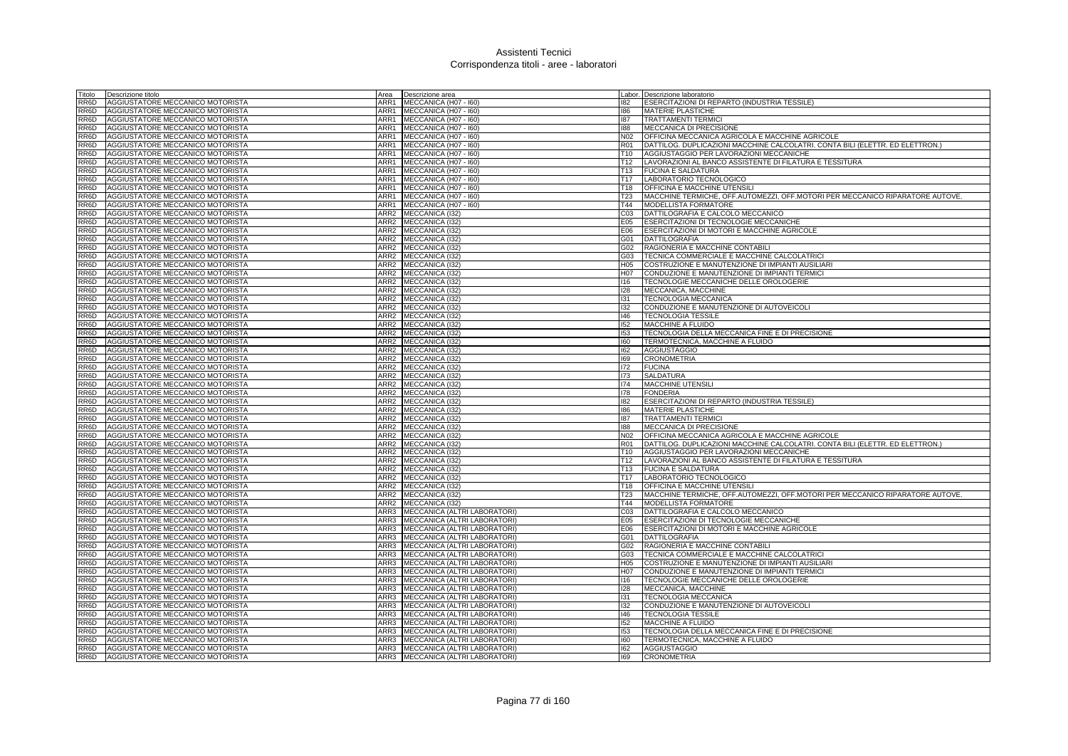| Titolo            | Descrizione titolo               |      | Area <b>Descrizione</b> area      |                  | Labor. Descrizione laboratorio                                                |
|-------------------|----------------------------------|------|-----------------------------------|------------------|-------------------------------------------------------------------------------|
| RR6D              | AGGIUSTATORE MECCANICO MOTORISTA |      | ARR1 MECCANICA (H07 - I60)        | 182              | ESERCITAZIONI DI REPARTO (INDUSTRIA TESSILE)                                  |
| RR6D              | AGGIUSTATORE MECCANICO MOTORISTA |      | ARR1 MECCANICA (H07 - 160)        | 186              | MATERIE PLASTICHE                                                             |
| RR6D              | AGGIUSTATORE MECCANICO MOTORISTA |      | ARR1 MECCANICA (H07 - I60)        | 187              | <b>TRATTAMENTI TERMICI</b>                                                    |
| RR6D              | AGGIUSTATORE MECCANICO MOTORISTA |      | ARR1 MECCANICA (H07 - 160)        | 188              | MECCANICA DI PRECISIONE                                                       |
| RR6D              | AGGIUSTATORE MECCANICO MOTORISTA |      | ARR1 MECCANICA (H07 - I60)        | N02              | OFFICINA MECCANICA AGRICOLA E MACCHINE AGRICOLE                               |
| RR6D              | AGGIUSTATORE MECCANICO MOTORISTA |      | ARR1 MECCANICA (H07 - 160)        | R01              | DATTILOG. DUPLICAZIONI MACCHINE CALCOLATRI. CONTA BILI (ELETTR. ED ELETTRON.) |
| RR6D              | AGGIUSTATORE MECCANICO MOTORISTA | ARR1 | MECCANICA (H07 - I60)             | T <sub>10</sub>  | AGGIUSTAGGIO PER LAVORAZIONI MECCANICHE                                       |
| RR6D              | AGGIUSTATORE MECCANICO MOTORISTA | ARR1 | MECCANICA (H07 - 160)             | T <sub>12</sub>  | LAVORAZIONI AL BANCO ASSISTENTE DI FILATURA E TESSITURA                       |
| RR6D              | AGGIUSTATORE MECCANICO MOTORISTA | ARR1 | MECCANICA (H07 - I60)             | T <sub>13</sub>  | <b>FUCINA E SALDATURA</b>                                                     |
| RR <sub>6</sub> D | AGGIUSTATORE MECCANICO MOTORISTA | ARR1 | MECCANICA (H07 - 160)             | T <sub>17</sub>  | LABORATORIO TECNOLOGICO                                                       |
| RR6D              | AGGIUSTATORE MECCANICO MOTORISTA |      | ARR1 MECCANICA (H07 - 160)        | T18              | <b>OFFICINA E MACCHINE UTENSIL</b>                                            |
| RR6D              | AGGIUSTATORE MECCANICO MOTORISTA |      | ARR1 MECCANICA (H07 - I60)        | T <sub>23</sub>  | MACCHINE TERMICHE, OFF.AUTOMEZZI, OFF.MOTORI PER MECCANICO RIPARATORE AUTOVE. |
| RR6D              | AGGIUSTATORE MECCANICO MOTORISTA |      | ARR1 MECCANICA (H07 - I60)        | T44              | MODELLISTA FORMATORE                                                          |
| RR6D              | AGGIUSTATORE MECCANICO MOTORISTA |      | ARR2 MECCANICA (I32)              | CO <sub>3</sub>  | DATTILOGRAFIA E CALCOLO MECCANICO                                             |
| RR6D              | AGGIUSTATORE MECCANICO MOTORISTA |      | ARR2 MECCANICA (I32)              | E05              | ESERCITAZIONI DI TECNOLOGIE MECCANICHE                                        |
| RR6D              | AGGIUSTATORE MECCANICO MOTORISTA |      | ARR2 MECCANICA (I32)              | E06              | ESERCITAZIONI DI MOTORI E MACCHINE AGRICOLE                                   |
| RR6D              | AGGIUSTATORE MECCANICO MOTORISTA |      | ARR2 MECCANICA (I32)              | G01              | DATTILOGRAFIA                                                                 |
| RR6D              | AGGIUSTATORE MECCANICO MOTORISTA |      | ARR2 MECCANICA (I32)              | G02              | RAGIONERIA E MACCHINE CONTABILI                                               |
| RR6D              | AGGIUSTATORE MECCANICO MOTORISTA |      | ARR2 MECCANICA (I32)              | G03              | TECNICA COMMERCIALE E MACCHINE CALCOLATRICI                                   |
| RR6D              | AGGIUSTATORE MECCANICO MOTORISTA |      | ARR2 MECCANICA (132)              | H05              | COSTRUZIONE E MANUTENZIONE DI IMPIANTI AUSILIARI                              |
| RR6D              | AGGIUSTATORE MECCANICO MOTORISTA |      | ARR2 MECCANICA (I32)              | H <sub>0</sub> 7 | CONDUZIONE E MANUTENZIONE DI IMPIANTI TERMICI                                 |
| RR6D              | AGGIUSTATORE MECCANICO MOTORISTA |      | ARR2 MECCANICA (I32)              | 116              | TECNOLOGIE MECCANICHE DELLE OROLOGERIE                                        |
| RR6D              | AGGIUSTATORE MECCANICO MOTORISTA |      | ARR2 MECCANICA (I32)              | 128              | MECCANICA, MACCHINE                                                           |
| RR6D              | AGGIUSTATORE MECCANICO MOTORISTA |      | ARR2 MECCANICA (I32)              | 131              | TECNOLOGIA MECCANICA                                                          |
| RR6D              | AGGIUSTATORE MECCANICO MOTORISTA |      | ARR2 MECCANICA (I32)              | 132              | CONDUZIONE E MANUTENZIONE DI AUTOVEICOLI                                      |
| RR6D              | AGGIUSTATORE MECCANICO MOTORISTA |      | ARR2 MECCANICA (I32)              | 146              | <b>TECNOLOGIA TESSILE</b>                                                     |
| RR6D              | AGGIUSTATORE MECCANICO MOTORISTA |      | ARR2 MECCANICA (I32)              | 152              | MACCHINE A FLUIDO                                                             |
| RR6D              | AGGIUSTATORE MECCANICO MOTORISTA |      | ARR2 MECCANICA (I32)              | 153              | TECNOLOGIA DELLA MECCANICA FINE E DI PRECISIONE                               |
| RR6D              | AGGIUSTATORE MECCANICO MOTORISTA |      | ARR2 MECCANICA (I32)              | 160              | TERMOTECNICA, MACCHINE A FLUIDO                                               |
| RR6D              | AGGIUSTATORE MECCANICO MOTORISTA |      | ARR2 MECCANICA (I32)              | 162              | <b>AGGIUSTAGGIO</b>                                                           |
| RR6D              | AGGIUSTATORE MECCANICO MOTORISTA |      | ARR2 MECCANICA (132)              | 169              | <b>CRONOMETRIA</b>                                                            |
| RR <sub>6</sub> D | AGGIUSTATORE MECCANICO MOTORISTA |      | ARR2 MECCANICA (132)              | 172              | <b>FUCINA</b>                                                                 |
| RR6D              | AGGIUSTATORE MECCANICO MOTORISTA |      | ARR2 MECCANICA (I32)              | 173              | <b>SALDATURA</b>                                                              |
| RR6D              | AGGIUSTATORE MECCANICO MOTORISTA |      | ARR2 MECCANICA (I32)              | 174              | MACCHINE UTENSILI                                                             |
| RR6D              | AGGIUSTATORE MECCANICO MOTORISTA |      | ARR2 MECCANICA (I32)              | 178              | <b>FONDERIA</b>                                                               |
| RR6D              | AGGIUSTATORE MECCANICO MOTORISTA |      | ARR2 MECCANICA (I32)              | 182              | ESERCITAZIONI DI REPARTO (INDUSTRIA TESSILE)                                  |
| RR6D              | AGGIUSTATORE MECCANICO MOTORISTA |      | ARR2 MECCANICA (I32)              | 186              | <b>MATERIE PLASTICHE</b>                                                      |
| RR6D              | AGGIUSTATORE MECCANICO MOTORISTA |      | ARR2 MECCANICA (I32)              | 187              | <b>TRATTAMENTI TERMICI</b>                                                    |
| RR6D              | AGGIUSTATORE MECCANICO MOTORISTA |      | ARR2 MECCANICA (I32)              | 188              | MECCANICA DI PRECISIONE                                                       |
| RR6D              | AGGIUSTATORE MECCANICO MOTORISTA |      | ARR2 MECCANICA (I32)              | N02              | OFFICINA MECCANICA AGRICOLA E MACCHINE AGRICOLE                               |
| RR6D              | AGGIUSTATORE MECCANICO MOTORISTA |      | ARR2 MECCANICA (I32)              | <b>R01</b>       | DATTILOG. DUPLICAZIONI MACCHINE CALCOLATRI. CONTA BILI (ELETTR. ED ELETTRON.) |
| RR6D              | AGGIUSTATORE MECCANICO MOTORISTA |      | ARR2 MECCANICA (I32)              | T <sub>10</sub>  | AGGIUSTAGGIO PER LAVORAZIONI MECCANICHE                                       |
| RR <sub>6</sub> D | AGGIUSTATORE MECCANICO MOTORISTA |      | ARR2 MECCANICA (I32)              | T <sub>12</sub>  | LAVORAZIONI AL BANCO ASSISTENTE DI FILATURA E TESSITURA                       |
| RR6D              | AGGIUSTATORE MECCANICO MOTORISTA |      | ARR2 MECCANICA (132)              | T13              | <b>FUCINA E SALDATURA</b>                                                     |
| RR6D              | AGGIUSTATORE MECCANICO MOTORISTA | ARR2 | MECCANICA (I32)                   | T <sub>17</sub>  | LABORATORIO TECNOLOGICO                                                       |
| RR6D              | AGGIUSTATORE MECCANICO MOTORISTA |      | ARR2 MECCANICA (I32)              | T18              | OFFICINA E MACCHINE UTENSILI                                                  |
| RR6D              | AGGIUSTATORE MECCANICO MOTORISTA |      | ARR2 MECCANICA (I32)              | T <sub>23</sub>  | MACCHINE TERMICHE, OFF.AUTOMEZZI, OFF.MOTORI PER MECCANICO RIPARATORE AUTOVE. |
| RR6D              | AGGIUSTATORE MECCANICO MOTORISTA |      | ARR2 MECCANICA (I32)              | T44              | <b>MODELLISTA FORMATORE</b>                                                   |
| RR6D              | AGGIUSTATORE MECCANICO MOTORISTA | ARR3 | MECCANICA (ALTRI LABORATORI)      | CO <sub>3</sub>  | DATTILOGRAFIA E CALCOLO MECCANICO                                             |
| RR6D              | AGGIUSTATORE MECCANICO MOTORISTA |      | ARR3 MECCANICA (ALTRI LABORATORI) | E05              | ESERCITAZIONI DI TECNOLOGIE MECCANICHE                                        |
| RR6D              | AGGIUSTATORE MECCANICO MOTORISTA |      | ARR3 MECCANICA (ALTRI LABORATORI) | E06              | ESERCITAZIONI DI MOTORI E MACCHINE AGRICOLE                                   |
| RR6D              | AGGIUSTATORE MECCANICO MOTORISTA |      | ARR3 MECCANICA (ALTRI LABORATORI) | G01              | DATTILOGRAFIA                                                                 |
| RR6D              | AGGIUSTATORE MECCANICO MOTORISTA | ARR3 | MECCANICA (ALTRI LABORATORI)      | G02              | RAGIONERIA E MACCHINE CONTABILI                                               |
| RR6D              | AGGIUSTATORE MECCANICO MOTORISTA |      | ARR3 MECCANICA (ALTRI LABORATORI) | G03              | TECNICA COMMERCIALE E MACCHINE CALCOLATRICI                                   |
| RR6D              | AGGIUSTATORE MECCANICO MOTORISTA |      | ARR3 MECCANICA (ALTRI LABORATORI) | H <sub>05</sub>  | COSTRUZIONE E MANUTENZIONE DI IMPIANTI AUSILIARI                              |
| RR6D              | AGGIUSTATORE MECCANICO MOTORISTA |      | ARR3 MECCANICA (ALTRI LABORATORI) | H07              | CONDUZIONE E MANUTENZIONE DI IMPIANTI TERMICI                                 |
| RR6D              | AGGIUSTATORE MECCANICO MOTORISTA |      | ARR3 MECCANICA (ALTRI LABORATORI) | 116              | TECNOLOGIE MECCANICHE DELLE OROLOGERIE                                        |
| RR6D              | AGGIUSTATORE MECCANICO MOTORISTA | ARR3 | MECCANICA (ALTRI LABORATORI)      | 128              | MECCANICA, MACCHINE                                                           |
| RR6D              | AGGIUSTATORE MECCANICO MOTORISTA | ARR3 | MECCANICA (ALTRI LABORATORI)      | 131              | <b>TECNOLOGIA MECCANICA</b>                                                   |
| RR6D              | AGGIUSTATORE MECCANICO MOTORISTA | ARR3 | MECCANICA (ALTRI LABORATORI)      | 132              | CONDUZIONE E MANUTENZIONE DI AUTOVEICOLI                                      |
| RR6D              | AGGIUSTATORE MECCANICO MOTORISTA | ARR3 | MECCANICA (ALTRI LABORATORI)      | 146              | <b>TECNOLOGIA TESSILE</b>                                                     |
| RR6D              | AGGIUSTATORE MECCANICO MOTORISTA | ARR3 | MECCANICA (ALTRI LABORATORI)      | 152              | MACCHINE A FLUIDO                                                             |
| RR6D              | AGGIUSTATORE MECCANICO MOTORISTA |      | ARR3 MECCANICA (ALTRI LABORATORI) | 153              | TECNOLOGIA DELLA MECCANICA FINE E DI PRECISIONE                               |
| RR6D              | AGGIUSTATORE MECCANICO MOTORISTA |      | ARR3 MECCANICA (ALTRI LABORATORI) | 160              | TERMOTECNICA, MACCHINE A FLUIDO                                               |
| RR <sub>6</sub> D | AGGIUSTATORE MECCANICO MOTORISTA |      | ARR3 MECCANICA (ALTRI LABORATORI) | 162              | <b>AGGIUSTAGGIO</b>                                                           |
| RR6D              | AGGIUSTATORE MECCANICO MOTORISTA |      | ARR3 MECCANICA (ALTRI LABORATORI) | 169              | <b>CRONOMETRIA</b>                                                            |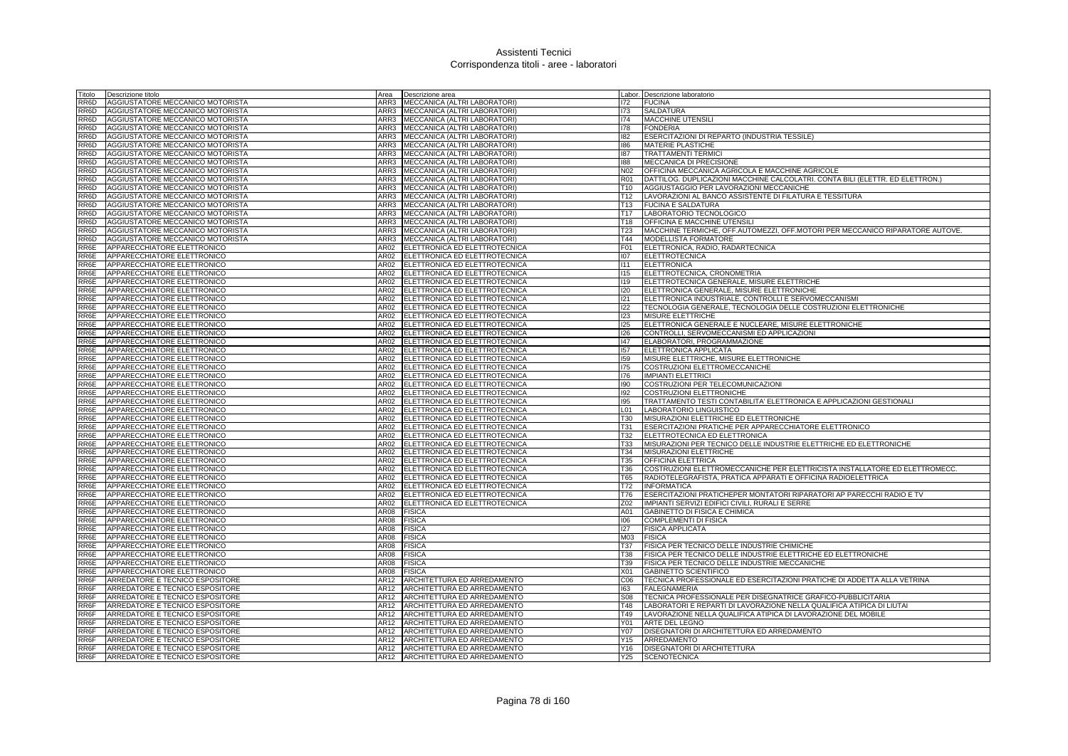| Titolo            | Descrizione titolo               |      | Area <b>Descrizione</b> area        |                 | Labor. Descrizione laboratorio                                                |
|-------------------|----------------------------------|------|-------------------------------------|-----------------|-------------------------------------------------------------------------------|
| RR6D              | AGGIUSTATORE MECCANICO MOTORISTA |      | ARR3   MECCANICA (ALTRI LABORATORI) | 172             | <b>FUCINA</b>                                                                 |
| RR6D              | AGGIUSTATORE MECCANICO MOTORISTA | ARR3 | MECCANICA (ALTRI LABORATORI)        | 173             | SALDATURA                                                                     |
| RR6D              | AGGIUSTATORE MECCANICO MOTORISTA |      | ARR3 MECCANICA (ALTRI LABORATORI)   | 174             | MACCHINE UTENSILI                                                             |
| RR6D              | AGGIUSTATORE MECCANICO MOTORISTA |      | ARR3 MECCANICA (ALTRI LABORATORI)   | 178             | <b>FONDERIA</b>                                                               |
| RR6D              | AGGIUSTATORE MECCANICO MOTORISTA |      | ARR3 MECCANICA (ALTRI LABORATORI)   | 182             | ESERCITAZIONI DI REPARTO (INDUSTRIA TESSILE)                                  |
| RR6D              | AGGIUSTATORE MECCANICO MOTORISTA | ARR3 | MECCANICA (ALTRI LABORATORI)        | 186             | MATERIE PLASTICHE                                                             |
| RR6D              | AGGIUSTATORE MECCANICO MOTORISTA | ARR3 | MECCANICA (ALTRI LABORATORI)        | 187             | <b>TRATTAMENTI TERMICI</b>                                                    |
| RR6D              | AGGIUSTATORE MECCANICO MOTORISTA | ARR3 | MECCANICA (ALTRI LABORATORI)        | 188             | MECCANICA DI PRECISIONE                                                       |
| RR6D              | AGGIUSTATORE MECCANICO MOTORISTA | ARR3 | MECCANICA (ALTRI LABORATORI)        | N02             | OFFICINA MECCANICA AGRICOLA E MACCHINE AGRICOLE                               |
| RR <sub>6</sub> D | AGGIUSTATORE MECCANICO MOTORISTA | ARR3 | MECCANICA (ALTRI LABORATORI)        | R01             | DATTILOG. DUPLICAZIONI MACCHINE CALCOLATRI. CONTA BILI (ELETTR. ED ELETTRON.) |
| RR6D              | AGGIUSTATORE MECCANICO MOTORISTA | ARR3 | MECCANICA (ALTRI LABORATORI)        | T <sub>10</sub> | AGGIUSTAGGIO PER LAVORAZIONI MECCANICHE                                       |
| RR6D              | AGGIUSTATORE MECCANICO MOTORISTA |      | ARR3 MECCANICA (ALTRI LABORATORI)   | T <sub>12</sub> | LAVORAZIONI AL BANCO ASSISTENTE DI FILATURA E TESSITURA                       |
| RR6D              | AGGIUSTATORE MECCANICO MOTORISTA |      | ARR3 MECCANICA (ALTRI LABORATORI)   | T13             | <b>FUCINA E SALDATURA</b>                                                     |
| RR6D              | AGGIUSTATORE MECCANICO MOTORISTA | ARR3 | MECCANICA (ALTRI LABORATORI)        | T17             | LABORATORIO TECNOLOGICO                                                       |
| RR6D              | AGGIUSTATORE MECCANICO MOTORISTA | ARR3 | MECCANICA (ALTRI LABORATORI)        | T18             | OFFICINA E MACCHINE UTENSIL                                                   |
| RR6D              | AGGIUSTATORE MECCANICO MOTORISTA | ARR3 | MECCANICA (ALTRI LABORATORI)        | <b>T23</b>      | MACCHINE TERMICHE, OFF.AUTOMEZZI, OFF.MOTORI PER MECCANICO RIPARATORE AUTOVE. |
| RR6D              | AGGIUSTATORE MECCANICO MOTORISTA |      | ARR3 MECCANICA (ALTRI LABORATORI)   | T44             | MODELLISTA FORMATORE                                                          |
| RR6E              | APPARECCHIATORE ELETTRONICO      | AR02 | ELETTRONICA ED ELETTROTECNICA       | F <sub>01</sub> | ELETTRONICA, RADIO, RADARTECNICA                                              |
|                   |                                  | AR02 |                                     | 107             |                                                                               |
| RR6E              | APPARECCHIATORE ELETTRONICO      | AR02 | ELETTRONICA ED ELETTROTECNICA       |                 | ELETTROTECNICA                                                                |
| RR6E              | APPARECCHIATORE ELETTRONICO      |      | ELETTRONICA ED ELETTROTECNICA       | 111<br>115      | <b>ELETTRONICA</b>                                                            |
| RR6E              | APPARECCHIATORE ELETTRONICO      |      | AR02 ELETTRONICA ED ELETTROTECNICA  |                 | ELETTROTECNICA, CRONOMETRIA                                                   |
| RR6E              | APPARECCHIATORE ELETTRONICO      |      | AR02 ELETTRONICA ED ELETTROTECNICA  | <b>I19</b>      | ELETTROTECNICA GENERALE, MISURE ELETTRICHE                                    |
| RR6E              | APPARECCHIATORE ELETTRONICO      |      | AR02 ELETTRONICA ED ELETTROTECNICA  | 120             | ELETTRONICA GENERALE, MISURE ELETTRONICHE                                     |
| RR6E              | APPARECCHIATORE ELETTRONICO      | AR02 | ELETTRONICA ED ELETTROTECNICA       | 121             | ELETTRONICA INDUSTRIALE, CONTROLLI E SERVOMECCANISMI                          |
| RR6E              | APPARECCHIATORE ELETTRONICO      |      | AR02 ELETTRONICA ED ELETTROTECNICA  | 122             | TECNOLOGIA GENERALE, TECNOLOGIA DELLE COSTRUZIONI ELETTRONICHE                |
| RR6E              | APPARECCHIATORE ELETTRONICO      |      | AR02 ELETTRONICA ED ELETTROTECNICA  | 123             | MISURE ELETTRICHE                                                             |
| RR6E              | APPARECCHIATORE ELETTRONICO      |      | AR02 ELETTRONICA ED ELETTROTECNICA  | 125             | ELETTRONICA GENERALE E NUCLEARE, MISURE ELETTRONICHE                          |
| RR6E              | APPARECCHIATORE ELETTRONICO      | AR02 | ELETTRONICA ED ELETTROTECNICA       | 126             | CONTROLLI, SERVOMECCANISMI ED APPLICAZIONI                                    |
| RR6E              | APPARECCHIATORE ELETTRONICO      | AR02 | ELETTRONICA ED ELETTROTECNICA       | 147             | ELABORATORI, PROGRAMMAZIONE                                                   |
| RR6E              | APPARECCHIATORE ELETTRONICO      |      | AR02 ELETTRONICA ED ELETTROTECNICA  | 157             | ELETTRONICA APPLICATA                                                         |
| RR6E              | APPARECCHIATORE ELETTRONICO      |      | AR02 ELETTRONICA ED ELETTROTECNICA  | 159             | MISURE ELETTRICHE, MISURE ELETTRONICHE                                        |
| RR6E              | APPARECCHIATORE ELETTRONICO      |      | AR02 ELETTRONICA ED ELETTROTECNICA  | 175             | COSTRUZIONI ELETTROMECCANICHE                                                 |
| RR6E              | APPARECCHIATORE ELETTRONICO      | AR02 | ELETTRONICA ED ELETTROTECNICA       | 176             | <b>IMPIANTI ELETTRICI</b>                                                     |
| RR6E              | APPARECCHIATORE ELETTRONICO      |      | AR02 ELETTRONICA ED ELETTROTECNICA  | 190             | COSTRUZIONI PER TELECOMUNICAZIONI                                             |
| RR6E              | APPARECCHIATORE ELETTRONICO      |      | AR02 ELETTRONICA ED ELETTROTECNICA  | 192             | COSTRUZIONI ELETTRONICHE                                                      |
| RR6E              | APPARECCHIATORE ELETTRONICO      | AR02 | ELETTRONICA ED ELETTROTECNICA       | 195             | TRATTAMENTO TESTI CONTABILITA' ELETTRONICA E APPLICAZIONI GESTIONALI          |
| RR6E              | APPARECCHIATORE ELETTRONICO      | AR02 | ELETTRONICA ED ELETTROTECNICA       | L01             | LABORATORIO LINGUISTICO                                                       |
| RR6E              | APPARECCHIATORE ELETTRONICO      |      | AR02 ELETTRONICA ED ELETTROTECNICA  | T30             | MISURAZIONI ELETTRICHE ED ELETTRONICHE                                        |
| RR6E              | APPARECCHIATORE ELETTRONICO      |      | AR02 ELETTRONICA ED ELETTROTECNICA  | T31             | ESERCITAZIONI PRATICHE PER APPARECCHIATORE ELETTRONICO                        |
| RR6E              | APPARECCHIATORE ELETTRONICO      | AR02 | ELETTRONICA ED ELETTROTECNICA       | T32             | ELETTROTECNICA ED ELETTRONICA                                                 |
| RR6E              | APPARECCHIATORE ELETTRONICO      | AR02 | ELETTRONICA ED ELETTROTECNICA       | <b>T33</b>      | MISURAZIONI PER TECNICO DELLE INDUSTRIE ELETTRICHE ED ELETTRONICHE            |
| RR6E              | APPARECCHIATORE ELETTRONICO      | AR02 | ELETTRONICA ED ELETTROTECNICA       | T34             | MISURAZIONI ELETTRICHE                                                        |
| RR6E              | APPARECCHIATORE ELETTRONICO      |      | AR02 ELETTRONICA ED ELETTROTECNICA  | <b>T35</b>      | OFFICINA ELETTRICA                                                            |
| RR6E              | APPARECCHIATORE ELETTRONICO      | AR02 | ELETTRONICA ED ELETTROTECNICA       | T36             | COSTRUZIONI ELETTROMECCANICHE PER ELETTRICISTA INSTALLATORE ED ELETTROMECC.   |
| RR6E              | APPARECCHIATORE ELETTRONICO      | AR02 | ELETTRONICA ED ELETTROTECNICA       | T65             | RADIOTELEGRAFISTA, PRATICA APPARATI E OFFICINA RADIOELETTRICA                 |
| RR6E              | APPARECCHIATORE ELETTRONICO      | AR02 | ELETTRONICA ED ELETTROTECNICA       | T72             | <b>INFORMATICA</b>                                                            |
| RR6E              | APPARECCHIATORE ELETTRONICO      |      | AR02 ELETTRONICA ED ELETTROTECNICA  | T76             | ESERCITAZIONI PRATICHEPER MONTATORI RIPARATORI AP PARECCHI RADIO E TV         |
| RR6E              | APPARECCHIATORE ELETTRONICO      |      | AR02 ELETTRONICA ED ELETTROTECNICA  | Z02             | IMPIANTI SERVIZI EDIFICI CIVILI, RURALI E SERRE                               |
| RR6E              | APPARECCHIATORE ELETTRONICO      | AR08 | <b>FISICA</b>                       | A01             | <b>GABINETTO DI FISICA E CHIMICA</b>                                          |
| RR6E              | APPARECCHIATORE ELETTRONICO      | AR08 | <b>FISICA</b>                       | 106             | <b>COMPLEMENTI DI FISICA</b>                                                  |
| RR6E              | APPARECCHIATORE ELETTRONICO      | AR08 | <b>FISICA</b>                       | 127             | <b>FISICA APPLICATA</b>                                                       |
| RR6E              | APPARECCHIATORE ELETTRONICO      | AR08 | <b>FISICA</b>                       | M <sub>03</sub> | <b>FISICA</b>                                                                 |
| RR6E              | APPARECCHIATORE ELETTRONICO      | AR08 | <b>FISICA</b>                       | <b>T37</b>      | FISICA PER TECNICO DELLE INDUSTRIE CHIMICHE                                   |
| RR6E              | APPARECCHIATORE ELETTRONICO      | AR08 | <b>FISICA</b>                       | <b>T38</b>      | FISICA PER TECNICO DELLE INDUSTRIE ELETTRICHE ED ELETTRONICHE                 |
| RR6E              | APPARECCHIATORE ELETTRONICO      | AR08 | <b>FISICA</b>                       | T39             | FISICA PER TECNICO DELLE INDUSTRIE MECCANICHE                                 |
| RR6E              | APPARECCHIATORE ELETTRONICO      | AR08 | <b>FISICA</b>                       | X01             | <b>GABINETTO SCIENTIFICO</b>                                                  |
| RR6F              | ARREDATORE E TECNICO ESPOSITORE  | AR12 | ARCHITETTURA ED ARREDAMENTO         | C <sub>06</sub> | TECNICA PROFESSIONALE ED ESERCITAZIONI PRATICHE DI ADDETTA ALLA VETRINA       |
| RR6F              | ARREDATORE E TECNICO ESPOSITORE  | AR12 | ARCHITETTURA ED ARREDAMENTO         | 163             | <b>FALEGNAMERIA</b>                                                           |
| RR6F              | ARREDATORE E TECNICO ESPOSITORE  | AR12 | ARCHITETTURA ED ARREDAMENTO         | <b>S08</b>      | TECNICA PROFESSIONALE PER DISEGNATRICE GRAFICO-PUBBLICITARIA                  |
| RR6F              | ARREDATORE E TECNICO ESPOSITORE  |      | AR12 ARCHITETTURA ED ARREDAMENTO    | T48             | LABORATORI E REPARTI DI LAVORAZIONE NELLA QUALIFICA ATIPICA DI LIUTAI         |
| RR6F              | ARREDATORE E TECNICO ESPOSITORE  | AR12 | ARCHITETTURA ED ARREDAMENTO         | T49             | LAVORAZIONE NELLA QUALIFICA ATIPICA DI LAVORAZIONE DEL MOBILE                 |
| RR6F              | ARREDATORE E TECNICO ESPOSITORE  | AR12 | ARCHITETTURA ED ARREDAMENTO         | Y01             | ARTE DEL LEGNO                                                                |
| RR6F              | ARREDATORE E TECNICO ESPOSITORE  | AR12 | ARCHITETTURA ED ARREDAMENTO         | Y07             | DISEGNATORI DI ARCHITETTURA ED ARREDAMENTO                                    |
| RR6F              | ARREDATORE E TECNICO ESPOSITORE  |      | AR12 ARCHITETTURA ED ARREDAMENTO    | Y15             | ARREDAMENTO                                                                   |
| RR6F              | ARREDATORE E TECNICO ESPOSITORE  |      | AR12 ARCHITETTURA ED ARREDAMENTO    | Y16             | <b>DISEGNATORI DI ARCHITETTURA</b>                                            |
| RR6F              | ARREDATORE E TECNICO ESPOSITORE  |      | AR12 ARCHITETTURA ED ARREDAMENTO    | Y25             | <b>SCENOTECNICA</b>                                                           |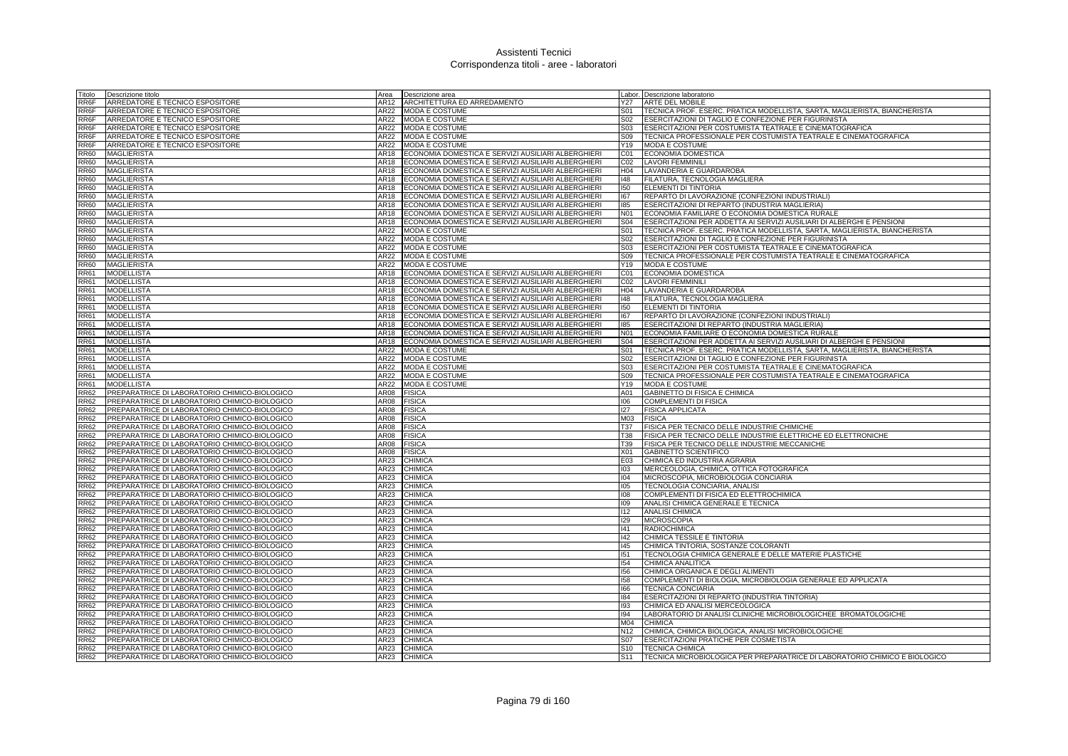| Titolo                     | Descrizione titolo                                                                             | Area         | Descrizione area                                                                                         |                 | Labor. Descrizione laboratorio                                                                   |
|----------------------------|------------------------------------------------------------------------------------------------|--------------|----------------------------------------------------------------------------------------------------------|-----------------|--------------------------------------------------------------------------------------------------|
| RR6F                       | ARREDATORE E TECNICO ESPOSITORE                                                                | AR12         | ARCHITETTURA ED ARREDAMENTO                                                                              | Y27             | ARTE DEL MOBILE                                                                                  |
| RR6F                       | ARREDATORE E TECNICO ESPOSITORE                                                                | AR22         | MODA E COSTUME                                                                                           | S01             | TECNICA PROF. ESERC. PRATICA MODELLISTA, SARTA, MAGLIERISTA, BIANCHERISTA                        |
| RR6F                       | ARREDATORE E TECNICO ESPOSITORE                                                                | AR22         | MODA E COSTUME                                                                                           | S02             | ESERCITAZIONI DI TAGLIO E CONFEZIONE PER FIGURINISTA                                             |
| RR6F                       | ARREDATORE E TECNICO ESPOSITORE                                                                | AR22         | <b>MODA E COSTUME</b>                                                                                    | S03             | ESERCITAZIONI PER COSTUMISTA TEATRALE E CINEMATOGRAFICA                                          |
| RR6F                       | ARREDATORE E TECNICO ESPOSITORE                                                                | AR22         | MODA E COSTUME                                                                                           | S09             | TECNICA PROFESSIONALE PER COSTUMISTA TEATRALE E CINEMATOGRAFICA                                  |
| RR6F                       | ARREDATORE E TECNICO ESPOSITORE                                                                | AR22         | <b>MODA E COSTUME</b>                                                                                    | Y19             | <b>MODA E COSTUME</b>                                                                            |
| <b>RR60</b>                | <b>MAGLIERISTA</b>                                                                             | AR18         | ECONOMIA DOMESTICA E SERVIZI AUSILIARI ALBERGHIERI                                                       | CO <sub>1</sub> | <b>ECONOMIA DOMESTICA</b>                                                                        |
| <b>RR60</b>                | <b>MAGLIERISTA</b>                                                                             | AR18         | ECONOMIA DOMESTICA E SERVIZI AUSILIARI ALBERGHIERI                                                       | CO <sub>2</sub> | <b>LAVORI FEMMINILI</b>                                                                          |
| <b>RR60</b>                | <b>MAGLIERISTA</b>                                                                             | AR18         | ECONOMIA DOMESTICA E SERVIZI AUSILIARI ALBERGHIERI                                                       | H04             | LAVANDERIA E GUARDAROBA                                                                          |
| <b>RR60</b>                | <b>MAGLIERISTA</b>                                                                             | AR18         | ECONOMIA DOMESTICA E SERVIZI AUSILIARI ALBERGHIERI                                                       | 148             | FILATURA, TECNOLOGIA MAGLIERA                                                                    |
| <b>RR60</b>                | <b>MAGLIERISTA</b>                                                                             | AR18         | ECONOMIA DOMESTICA E SERVIZI AUSILIARI ALBERGHIERI                                                       | 150             | ELEMENTI DI TINTORIA                                                                             |
| <b>RR60</b>                | <b>MAGLIERISTA</b>                                                                             | AR18         | ECONOMIA DOMESTICA E SERVIZI AUSILIARI ALBERGHIERI                                                       | 167             | REPARTO DI LAVORAZIONE (CONFEZIONI INDUSTRIALI)                                                  |
| <b>RR60</b>                | <b>MAGLIERISTA</b><br>MAGLIERISTA                                                              | AR18<br>AR18 | ECONOMIA DOMESTICA E SERVIZI AUSILIARI ALBERGHIERI<br>ECONOMIA DOMESTICA E SERVIZI AUSILIARI ALBERGHIERI | 185<br>N01      | ESERCITAZIONI DI REPARTO (INDUSTRIA MAGLIERIA)<br>ECONOMIA FAMILIARE O ECONOMIA DOMESTICA RURALE |
| <b>RR60</b><br><b>RR60</b> | <b>MAGLIERISTA</b>                                                                             | AR18         | ECONOMIA DOMESTICA E SERVIZI AUSILIARI ALBERGHIERI                                                       | <b>S04</b>      | ESERCITAZIONI PER ADDETTA AI SERVIZI AUSILIARI DI ALBERGHI E PENSIONI                            |
| <b>RR60</b>                | MAGLIERISTA                                                                                    | AR22         | MODA E COSTUME                                                                                           | <b>S01</b>      | TECNICA PROF. ESERC. PRATICA MODELLISTA, SARTA, MAGLIERISTA, BIANCHERISTA                        |
| <b>RR60</b>                | <b>MAGLIERISTA</b>                                                                             | AR22         | <b>MODA E COSTUME</b>                                                                                    | S02             | ESERCITAZIONI DI TAGLIO E CONFEZIONE PER FIGURINISTA                                             |
| <b>RR60</b>                | MAGLIERISTA                                                                                    | AR22         | MODA E COSTUME                                                                                           | S03             | ESERCITAZIONI PER COSTUMISTA TEATRALE E CINEMATOGRAFICA                                          |
| <b>RR60</b>                | <b>MAGLIERISTA</b>                                                                             | AR22         | <b>MODA E COSTUME</b>                                                                                    | S <sub>09</sub> | TECNICA PROFESSIONALE PER COSTUMISTA TEATRALE E CINEMATOGRAFICA                                  |
| <b>RR60</b>                | <b>MAGLIERISTA</b>                                                                             | AR22         | <b>MODA E COSTUME</b>                                                                                    | Y19             | <b>MODA E COSTUME</b>                                                                            |
| <b>RR61</b>                | <b>MODELLISTA</b>                                                                              | AR18         | ECONOMIA DOMESTICA E SERVIZI AUSILIARI ALBERGHIERI                                                       | CO1             | <b>ECONOMIA DOMESTICA</b>                                                                        |
| <b>RR61</b>                | <b>MODELLISTA</b>                                                                              | AR18         | ECONOMIA DOMESTICA E SERVIZI AUSILIARI ALBERGHIERI                                                       | CO <sub>2</sub> | <b>LAVORI FEMMINILI</b>                                                                          |
| <b>RR61</b>                | <b>MODELLISTA</b>                                                                              | AR18         | ECONOMIA DOMESTICA E SERVIZI AUSILIARI ALBERGHIERI                                                       | H04             | LAVANDERIA E GUARDAROBA                                                                          |
| <b>RR61</b>                | <b>MODELLISTA</b>                                                                              | AR18         | ECONOMIA DOMESTICA E SERVIZI AUSILIARI ALBERGHIERI                                                       | 148             | FILATURA, TECNOLOGIA MAGLIERA                                                                    |
| <b>RR61</b>                | <b>MODELLISTA</b>                                                                              | AR18         | ECONOMIA DOMESTICA E SERVIZI AUSILIARI ALBERGHIERI                                                       | 150             | ELEMENTI DI TINTORIA                                                                             |
| <b>RR61</b>                | <b>MODELLISTA</b>                                                                              | AR18         | ECONOMIA DOMESTICA E SERVIZI AUSILIARI ALBERGHIERI                                                       | 167             | REPARTO DI LAVORAZIONE (CONFEZIONI INDUSTRIALI)                                                  |
| <b>RR61</b>                | <b>MODELLISTA</b>                                                                              | AR18         | ECONOMIA DOMESTICA E SERVIZI AUSILIARI ALBERGHIERI                                                       | 185             | ESERCITAZIONI DI REPARTO (INDUSTRIA MAGLIERIA)                                                   |
| <b>RR61</b>                | <b>MODELLISTA</b>                                                                              | AR18         | ECONOMIA DOMESTICA E SERVIZI AUSILIARI ALBERGHIERI                                                       | N01             | ECONOMIA FAMILIARE O ECONOMIA DOMESTICA RURALE                                                   |
| <b>RR61</b>                | <b>MODELLISTA</b>                                                                              | AR18         | ECONOMIA DOMESTICA E SERVIZI AUSILIARI ALBERGHIERI                                                       | <b>S04</b>      | ESERCITAZIONI PER ADDETTA AI SERVIZI AUSILIARI DI ALBERGHI E PENSIONI                            |
| <b>RR61</b>                | <b>MODELLISTA</b>                                                                              | AR22         | <b>MODA E COSTUME</b>                                                                                    | S01             | TECNICA PROF. ESERC. PRATICA MODELLISTA, SARTA, MAGLIERISTA, BIANCHERISTA                        |
| <b>RR61</b>                | <b>MODELLISTA</b>                                                                              | AR22         | <b>MODA E COSTUME</b>                                                                                    | S <sub>02</sub> | ESERCITAZIONI DI TAGLIO E CONFEZIONE PER FIGURINISTA                                             |
| <b>RR61</b>                | <b>MODELLISTA</b>                                                                              | AR22         | <b>MODA E COSTUME</b>                                                                                    | S03             | ESERCITAZIONI PER COSTUMISTA TEATRALE E CINEMATOGRAFICA                                          |
| <b>RR61</b>                | <b>MODELLISTA</b>                                                                              | AR22         | MODA E COSTUME                                                                                           | S09             | TECNICA PROFESSIONALE PER COSTUMISTA TEATRALE E CINEMATOGRAFICA                                  |
| <b>RR61</b>                | <b>MODELLISTA</b>                                                                              | AR22         | MODA E COSTUME                                                                                           | Y19             | <b>MODA E COSTUME</b>                                                                            |
| <b>RR62</b>                | PREPARATRICE DI LABORATORIO CHIMICO-BIOLOGICO                                                  | AR08         | <b>FISICA</b>                                                                                            | A01             | GABINETTO DI FISICA E CHIMICA                                                                    |
| <b>RR62</b>                | PREPARATRICE DI LABORATORIO CHIMICO-BIOLOGICO<br>PREPARATRICE DI LABORATORIO CHIMICO-BIOLOGICO | AR08         | <b>FISICA</b>                                                                                            | 106<br>127      | COMPLEMENTI DI FISICA                                                                            |
| <b>RR62</b><br><b>RR62</b> | PREPARATRICE DI LABORATORIO CHIMICO-BIOLOGICO                                                  | AR08<br>AR08 | <b>FISICA</b><br><b>FISICA</b>                                                                           | M03             | <b>FISICA APPLICATA</b><br><b>FISICA</b>                                                         |
| <b>RR62</b>                | PREPARATRICE DI LABORATORIO CHIMICO-BIOLOGICO                                                  | AR08         | <b>FISICA</b>                                                                                            | <b>T37</b>      | FISICA PER TECNICO DELLE INDUSTRIE CHIMICHE                                                      |
| <b>RR62</b>                | PREPARATRICE DI LABORATORIO CHIMICO-BIOLOGICO                                                  | AR08         | <b>FISICA</b>                                                                                            | <b>T38</b>      | FISICA PER TECNICO DELLE INDUSTRIE ELETTRICHE ED ELETTRONICHE                                    |
| <b>RR62</b>                | PREPARATRICE DI LABORATORIO CHIMICO-BIOLOGICO                                                  | AR08         | <b>FISICA</b>                                                                                            | T39             | FISICA PER TECNICO DELLE INDUSTRIE MECCANICHE                                                    |
| <b>RR62</b>                | PREPARATRICE DI LABORATORIO CHIMICO-BIOLOGICO                                                  | AR08         | <b>FISICA</b>                                                                                            | X01             | <b>GABINETTO SCIENTIFICO</b>                                                                     |
| <b>RR62</b>                | PREPARATRICE DI LABORATORIO CHIMICO-BIOLOGICO                                                  | AR23         | <b>CHIMICA</b>                                                                                           | E03             | CHIMICA ED INDUSTRIA AGRARIA                                                                     |
| <b>RR62</b>                | PREPARATRICE DI LABORATORIO CHIMICO-BIOLOGICO                                                  | AR23         | CHIMICA                                                                                                  | 103             | MERCEOLOGIA, CHIMICA, OTTICA FOTOGRAFICA                                                         |
| <b>RR62</b>                | PREPARATRICE DI LABORATORIO CHIMICO-BIOLOGICO                                                  | AR23         | <b>CHIMICA</b>                                                                                           | 104             | MICROSCOPIA, MICROBIOLOGIA CONCIARIA                                                             |
| <b>RR62</b>                | PREPARATRICE DI LABORATORIO CHIMICO-BIOLOGICO                                                  | AR23         | <b>CHIMICA</b>                                                                                           | 105             | TECNOLOGIA CONCIARIA, ANALISI                                                                    |
| <b>RR62</b>                | PREPARATRICE DI LABORATORIO CHIMICO-BIOLOGICO                                                  | AR23         | <b>CHIMICA</b>                                                                                           | 108             | COMPLEMENTI DI FISICA ED ELETTROCHIMICA                                                          |
| <b>RR62</b>                | PREPARATRICE DI LABORATORIO CHIMICO-BIOLOGICO                                                  | AR23         | CHIMICA                                                                                                  | 109             | ANALISI CHIMICA GENERALE E TECNICA                                                               |
| <b>RR62</b>                | PREPARATRICE DI LABORATORIO CHIMICO-BIOLOGICO                                                  | AR23         | <b>CHIMICA</b>                                                                                           | 112             | <b>ANALISI CHIMICA</b>                                                                           |
| <b>RR62</b>                | PREPARATRICE DI LABORATORIO CHIMICO-BIOLOGICO                                                  | AR23         | <b>CHIMICA</b>                                                                                           | 129             | <b>MICROSCOPIA</b>                                                                               |
| <b>RR62</b>                | PREPARATRICE DI LABORATORIO CHIMICO-BIOLOGICO                                                  | AR23         | <b>CHIMICA</b>                                                                                           | 41              | <b>RADIOCHIMICA</b>                                                                              |
| <b>RR62</b>                | PREPARATRICE DI LABORATORIO CHIMICO-BIOLOGICO                                                  | AR23         | <b>CHIMICA</b>                                                                                           | 142             | CHIMICA TESSILE E TINTORIA                                                                       |
| <b>RR62</b>                | PREPARATRICE DI LABORATORIO CHIMICO-BIOLOGICO                                                  | AR23         | CHIMICA                                                                                                  | 145             | CHIMICA TINTORIA, SOSTANZE COLORANTI                                                             |
| <b>RR62</b>                | PREPARATRICE DI LABORATORIO CHIMICO-BIOLOGICO                                                  | AR23         | <b>CHIMICA</b>                                                                                           | 151             | TECNOLOGIA CHIMICA GENERALE E DELLE MATERIE PLASTICHE                                            |
| <b>RR62</b>                | PREPARATRICE DI LABORATORIO CHIMICO-BIOLOGICO                                                  | AR23         | <b>CHIMICA</b>                                                                                           | 154             | CHIMICA ANALITICA                                                                                |
| <b>RR62</b>                | PREPARATRICE DI LABORATORIO CHIMICO-BIOLOGICO                                                  | AR23         | <b>CHIMICA</b>                                                                                           | 156             | CHIMICA ORGANICA E DEGLI ALIMENTI                                                                |
| <b>RR62</b>                | PREPARATRICE DI LABORATORIO CHIMICO-BIOLOGICO<br>PREPARATRICE DI LABORATORIO CHIMICO-BIOLOGICO | AR23<br>AR23 | CHIMICA<br><b>CHIMICA</b>                                                                                | 158<br>166      | COMPLEMENTI DI BIOLOGIA, MICROBIOLOGIA GENERALE ED APPLICATA<br><b>TECNICA CONCIARIA</b>         |
| <b>RR62</b><br><b>RR62</b> | PREPARATRICE DI LABORATORIO CHIMICO-BIOLOGICO                                                  | AR23         | CHIMICA                                                                                                  | 184             | ESERCITAZIONI DI REPARTO (INDUSTRIA TINTORIA)                                                    |
| <b>RR62</b>                | PREPARATRICE DI LABORATORIO CHIMICO-BIOLOGICO                                                  | AR23         | CHIMICA                                                                                                  | 193             | CHIMICA ED ANALISI MERCEOLOGICA                                                                  |
| <b>RR62</b>                | PREPARATRICE DI LABORATORIO CHIMICO-BIOLOGICO                                                  | AR23         | CHIMICA                                                                                                  | 194             | LABORATORIO DI ANALISI CLINICHE MICROBIOLOGICHEE BROMATOLOGICHE                                  |
| <b>RR62</b>                | PREPARATRICE DI LABORATORIO CHIMICO-BIOLOGICO                                                  | AR23         | <b>CHIMICA</b>                                                                                           | M04             | <b>CHIMICA</b>                                                                                   |
| <b>RR62</b>                | PREPARATRICE DI LABORATORIO CHIMICO-BIOLOGICO                                                  | AR23         | <b>CHIMICA</b>                                                                                           | N <sub>12</sub> | CHIMICA, CHIMICA BIOLOGICA, ANALISI MICROBIOLOGICHE                                              |
| <b>RR62</b>                | PREPARATRICE DI LABORATORIO CHIMICO-BIOLOGICO                                                  | AR23         | <b>CHIMICA</b>                                                                                           | S <sub>07</sub> | ESERCITAZIONI PRATICHE PER COSMETISTA                                                            |
| <b>RR62</b>                | PREPARATRICE DI LABORATORIO CHIMICO-BIOLOGICO                                                  | AR23         | <b>CHIMICA</b>                                                                                           | S10             | <b>TECNICA CHIMICA</b>                                                                           |
| <b>RR62</b>                | PREPARATRICE DI LABORATORIO CHIMICO-BIOLOGICO                                                  | <b>AR23</b>  | <b>CHIMICA</b>                                                                                           | S11             | TECNICA MICROBIOLOGICA PER PREPARATRICE DI LABORATORIO CHIMICO E BIOLOGICO                       |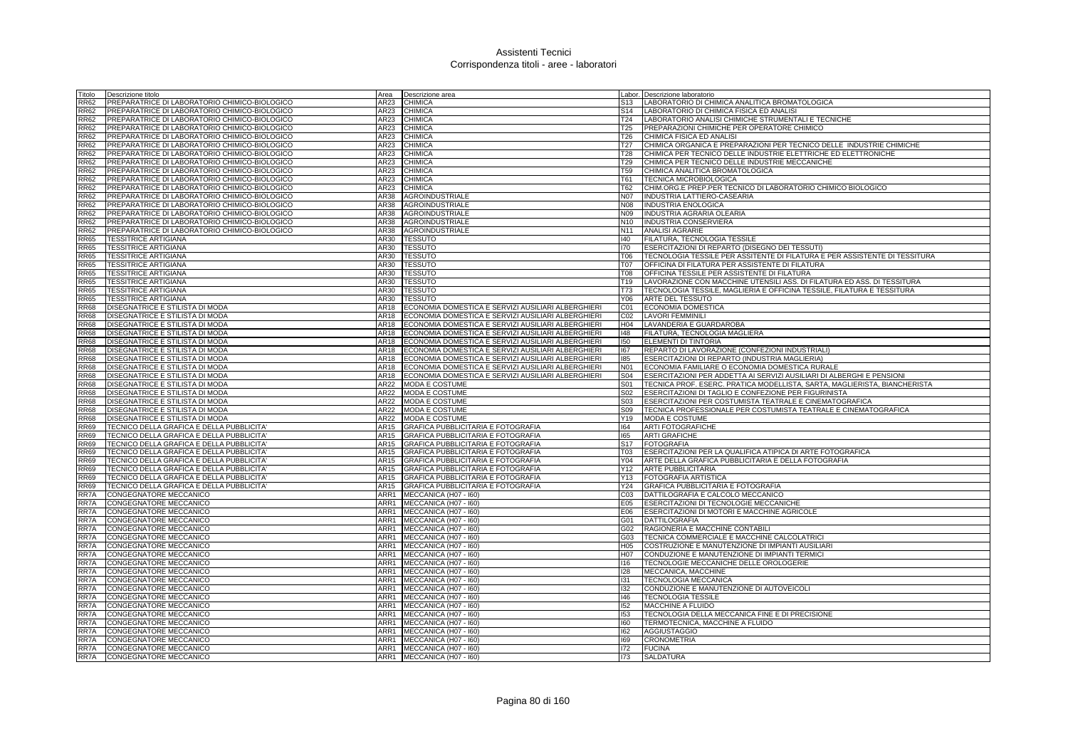| Titolo             | Descrizione titolo                                                                    | Area         | Descrizione area                                                                | Labor.          | Descrizione laboratorio                                                                                           |
|--------------------|---------------------------------------------------------------------------------------|--------------|---------------------------------------------------------------------------------|-----------------|-------------------------------------------------------------------------------------------------------------------|
| <b>RR62</b>        | PREPARATRICE DI LABORATORIO CHIMICO-BIOLOGICO                                         | AR23         | CHIMICA                                                                         | S13             | LABORATORIO DI CHIMICA ANALITICA BROMATOLOGICA                                                                    |
| <b>RR62</b>        | PREPARATRICE DI LABORATORIO CHIMICO-BIOLOGICO                                         | AR23         | <b>CHIMICA</b>                                                                  | S <sub>14</sub> | LABORATORIO DI CHIMICA FISICA ED ANALISI                                                                          |
| <b>RR62</b>        | PREPARATRICE DI LABORATORIO CHIMICO-BIOLOGICO                                         | AR23         | CHIMICA                                                                         | T24             | LABORATORIO ANALISI CHIMICHE STRUMENTALI E TECNICHE                                                               |
| <b>RR62</b>        | PREPARATRICE DI LABORATORIO CHIMICO-BIOLOGICO                                         | AR23         | CHIMICA                                                                         | T25             | PREPARAZIONI CHIMICHE PER OPERATORE CHIMICO                                                                       |
| <b>RR62</b>        | PREPARATRICE DI LABORATORIO CHIMICO-BIOLOGICO                                         | AR23         | CHIMICA                                                                         | T26             | CHIMICA FISICA ED ANALISI                                                                                         |
| <b>RR62</b>        | PREPARATRICE DI LABORATORIO CHIMICO-BIOLOGICO                                         | AR23         | CHIMICA                                                                         | T <sub>27</sub> | CHIMICA ORGANICA E PREPARAZIONI PER TECNICO DELLE INDUSTRIE CHIMICHE                                              |
| <b>RR62</b>        | PREPARATRICE DI LABORATORIO CHIMICO-BIOLOGICO                                         | AR23         | CHIMICA                                                                         | T <sub>28</sub> | CHIMICA PER TECNICO DELLE INDUSTRIE ELETTRICHE ED ELETTRONICHE                                                    |
| <b>RR62</b>        | PREPARATRICE DI LABORATORIO CHIMICO-BIOLOGICO                                         | AR23         | <b>CHIMICA</b>                                                                  | T29             | CHIMICA PER TECNICO DELLE INDUSTRIE MECCANICHE                                                                    |
| <b>RR62</b>        | PREPARATRICE DI LABORATORIO CHIMICO-BIOLOGICO                                         | AR23         | <b>CHIMICA</b>                                                                  | <b>T59</b>      | CHIMICA ANALITICA BROMATOLOGICA                                                                                   |
| <b>RR62</b>        | PREPARATRICE DI LABORATORIO CHIMICO-BIOLOGICO                                         | AR23         | <b>CHIMICA</b>                                                                  | T61             | <b>TECNICA MICROBIOLOGICA</b>                                                                                     |
| RR62               | PREPARATRICE DI LABORATORIO CHIMICO-BIOLOGICO                                         | AR23         | CHIMICA                                                                         | T62             | CHIM.ORG.E PREP.PER TECNICO DI LABORATORIO CHIMICO BIOLOGICO                                                      |
| RR62               | PREPARATRICE DI LABORATORIO CHIMICO-BIOLOGICO                                         | AR38         | <b>AGROINDUSTRIALE</b>                                                          | N07             | INDUSTRIA LATTIERO-CASEARIA                                                                                       |
| <b>RR62</b>        | PREPARATRICE DI LABORATORIO CHIMICO-BIOLOGICO                                         | AR38         | <b>AGROINDUSTRIALE</b>                                                          | N08             | <b>INDUSTRIA ENOLOGICA</b>                                                                                        |
| <b>RR62</b>        | PREPARATRICE DI LABORATORIO CHIMICO-BIOLOGICO                                         | AR38         | AGROINDUSTRIALE                                                                 | N09             | INDUSTRIA AGRARIA OLEARIA                                                                                         |
| RR62               | PREPARATRICE DI LABORATORIO CHIMICO-BIOLOGICO                                         | AR38         | AGROINDUSTRIALE                                                                 | N10             | INDUSTRIA CONSERVIERA                                                                                             |
| R62                | PREPARATRICE DI LABORATORIO CHIMICO-BIOLOGICO                                         | AR38         | <b>AGROINDUSTRIALE</b>                                                          | N11             | <b>ANALISI AGRARIE</b>                                                                                            |
| RR65               | <b>TESSITRICE ARTIGIANA</b>                                                           | AR30         | <b>TESSUTO</b>                                                                  | 140             | FILATURA, TECNOLOGIA TESSILE                                                                                      |
| <b>RR65</b>        | <b>TESSITRICE ARTIGIANA</b>                                                           | AR30         | <b>TESSUTO</b>                                                                  | 170             | ESERCITAZIONI DI REPARTO (DISEGNO DEI TESSUTI)                                                                    |
| <b>RR65</b>        | <b>TESSITRICE ARTIGIANA</b>                                                           | AR30         | <b>TESSUTO</b>                                                                  | T06             | TECNOLOGIA TESSILE PER ASSITENTE DI FILATURA E PER ASSISTENTE DI TESSITURA                                        |
| RR65               | <b>TESSITRICE ARTIGIANA</b>                                                           | AR30         | <b>TESSUTO</b>                                                                  | TN7             | OFFICINA DI FILATURA PER ASSISTENTE DI FILATURA                                                                   |
| <b>RR65</b>        | <b>TESSITRICE ARTIGIANA</b>                                                           | AR30         | <b>TESSUTO</b>                                                                  | T08             | OFFICINA TESSILE PER ASSISTENTE DI FILATURA                                                                       |
| <b>RR65</b>        | <b>TESSITRICE ARTIGIANA</b>                                                           | AR30         | <b>TESSUTO</b>                                                                  | T19             | LAVORAZIONE CON MACCHINE UTENSILI ASS. DI FILATURA ED ASS. DI TESSITURA                                           |
| <b>RR65</b>        | <b>TESSITRICE ARTIGIANA</b>                                                           | AR30         | <b>TESSUTO</b>                                                                  | T73             | TECNOLOGIA TESSILE, MAGLIERIA E OFFICINA TESSILE, FILATURA E TESSITURA                                            |
| RR65               | <b>TESSITRICE ARTIGIANA</b>                                                           | AR30         | <b>TESSUTO</b>                                                                  | Y06             | ARTE DEL TESSUTO                                                                                                  |
| <b>RR68</b>        | DISEGNATRICE E STILISTA DI MODA                                                       | AR18         | ECONOMIA DOMESTICA E SERVIZI AUSILIARI ALBERGHIERI                              | CO1             | ECONOMIA DOMESTICA                                                                                                |
| <b>RR68</b>        | DISEGNATRICE E STILISTA DI MODA                                                       | AR18         | ECONOMIA DOMESTICA E SERVIZI AUSILIARI ALBERGHIERI                              | CO <sub>2</sub> | <b>LAVORI FEMMINILI</b>                                                                                           |
| <b>RR68</b>        | DISEGNATRICE E STILISTA DI MODA                                                       | AR18         | ECONOMIA DOMESTICA E SERVIZI AUSILIARI ALBERGHIERI                              | H04             | LAVANDERIA E GUARDAROBA                                                                                           |
| <b>RR68</b>        | DISEGNATRICE E STILISTA DI MODA                                                       | AR18         | ECONOMIA DOMESTICA E SERVIZI AUSILIARI ALBERGHIERI                              | $ 48\rangle$    | FILATURA, TECNOLOGIA MAGLIERA                                                                                     |
| <b>R68</b>         | DISEGNATRICE E STILISTA DI MODA                                                       | AR18         | ECONOMIA DOMESTICA E SERVIZI AUSILIARI ALBERGHIERI                              | 150             | ELEMENTI DI TINTORIA                                                                                              |
| <b>RR68</b>        | DISEGNATRICE E STILISTA DI MODA                                                       | AR18         | ECONOMIA DOMESTICA E SERVIZI AUSILIARI ALBERGHIERI                              | 167             | REPARTO DI LAVORAZIONE (CONFEZIONI INDUSTRIALI)                                                                   |
| <b>RR68</b>        | DISEGNATRICE E STILISTA DI MODA                                                       | AR18         | ECONOMIA DOMESTICA E SERVIZI AUSILIARI ALBERGHIERI                              | 185             | ESERCITAZIONI DI REPARTO (INDUSTRIA MAGLIERIA)                                                                    |
| <b>RR68</b>        | DISEGNATRICE E STILISTA DI MODA                                                       | <b>AR18</b>  | ECONOMIA DOMESTICA E SERVIZI AUSILIARI ALBERGHIERI                              | N <sub>01</sub> | ECONOMIA FAMILIARE O ECONOMIA DOMESTICA RURALE                                                                    |
| <b>RR68</b>        | DISEGNATRICE E STILISTA DI MODA                                                       | AR18         | ECONOMIA DOMESTICA E SERVIZI AUSILIARI ALBERGHIERI                              | <b>S04</b>      | ESERCITAZIONI PER ADDETTA AI SERVIZI AUSILIARI DI ALBERGHI E PENSIONI                                             |
| RR68               | DISEGNATRICE E STILISTA DI MODA                                                       | AR22         | MODA E COSTUME                                                                  | S01             | TECNICA PROF. ESERC. PRATICA MODELLISTA, SARTA, MAGLIERISTA, BIANCHERISTA                                         |
| <b>RR68</b>        | DISEGNATRICE E STILISTA DI MODA                                                       | AR22         | <b>MODA E COSTUME</b>                                                           | S02             | ESERCITAZIONI DI TAGLIO E CONFEZIONE PER FIGURINISTA                                                              |
| <b>RR68</b>        | DISEGNATRICE E STILISTA DI MODA                                                       | AR22         | MODA E COSTUME                                                                  | S03             | ESERCITAZIONI PER COSTUMISTA TEATRALE E CINEMATOGRAFICA                                                           |
| RR68               | DISEGNATRICE E STILISTA DI MODA                                                       | AR22         | <b>MODA E COSTUME</b>                                                           | S09             | TECNICA PROFESSIONALE PER COSTUMISTA TEATRALE E CINEMATOGRAFICA                                                   |
| R68                | DISEGNATRICE E STILISTA DI MODA                                                       | AR22         | <b>MODA E COSTUME</b>                                                           | Y19             | MODA E COSTUME                                                                                                    |
| <b>RR69</b>        | TECNICO DELLA GRAFICA E DELLA PUBBLICITA                                              | AR15         | GRAFICA PUBBLICITARIA E FOTOGRAFIA                                              | 164             | <b>ARTI FOTOGRAFICHE</b>                                                                                          |
| <b>RR69</b>        | TECNICO DELLA GRAFICA E DELLA PUBBLICITA                                              | AR15         | GRAFICA PUBBLICITARIA E FOTOGRAFIA                                              | 165             | <b>ARTI GRAFICHE</b>                                                                                              |
| <b>RR69</b>        | TECNICO DELLA GRAFICA E DELLA PUBBLICITA'                                             | AR15         | GRAFICA PUBBLICITARIA E FOTOGRAFIA                                              | S <sub>17</sub> | <b>FOTOGRAFIA</b>                                                                                                 |
| <b>R69</b><br>RR69 | TECNICO DELLA GRAFICA E DELLA PUBBLICITA<br>TECNICO DELLA GRAFICA E DELLA PUBBLICITA  | AR15<br>AR15 | GRAFICA PUBBLICITARIA E FOTOGRAFIA<br><b>GRAFICA PUBBLICITARIA E FOTOGRAFIA</b> | T03<br>Y04      | ESERCITAZIONI PER LA QUALIFICA ATIPICA DI ARTE FOTOGRAFICA<br>ARTE DELLA GRAFICA PUBBLICITARIA E DELLA FOTOGRAFIA |
| RR69               |                                                                                       | AR15         | GRAFICA PUBBLICITARIA E FOTOGRAFIA                                              | Y12             |                                                                                                                   |
| RR69               | TECNICO DELLA GRAFICA E DELLA PUBBLICITA<br>TECNICO DELLA GRAFICA E DELLA PUBBLICITA' | AR15         | GRAFICA PUBBLICITARIA E FOTOGRAFIA                                              | Y13             | <b>ARTE PUBBLICITARIA</b><br>FOTOGRAFIA ARTISTICA                                                                 |
|                    |                                                                                       | AR15         |                                                                                 |                 | GRAFICA PUBBLICITARIA E FOTOGRAFIA                                                                                |
| RR69<br>RR7A       | TECNICO DELLA GRAFICA E DELLA PUBBLICITA'<br>CONGEGNATORE MECCANICO                   | ARR1         | GRAFICA PUBBLICITARIA E FOTOGRAFIA<br>MECCANICA (H07 - I60)                     | Y24<br>C03      | DATTILOGRAFIA E CALCOLO MECCANICO                                                                                 |
| RR7A               | CONGEGNATORE MECCANICO                                                                | ARR1         | MECCANICA (H07 - I60)                                                           | E05             | ESERCITAZIONI DI TECNOLOGIE MECCANICHE                                                                            |
| RR7A               | CONGEGNATORE MECCANICO                                                                | ARR1         | MECCANICA (H07 - I60)                                                           | E06             | ESERCITAZIONI DI MOTORI E MACCHINE AGRICOLE                                                                       |
| RR7A               | CONGEGNATORE MECCANICO                                                                | ARR1         | MECCANICA (H07 - I60)                                                           | G01             | <b>DATTILOGRAFIA</b>                                                                                              |
| RR7A               | CONGEGNATORE MECCANICO                                                                | ARR1         | MECCANICA (H07 - I60)                                                           | G02             | RAGIONERIA E MACCHINE CONTABILI                                                                                   |
| RR7A               | CONGEGNATORE MECCANICO                                                                | ARR1         | MECCANICA (H07 - I60)                                                           | G03             | TECNICA COMMERCIALE E MACCHINE CALCOLATRIC                                                                        |
| RR7A               | <b>CONGEGNATORE MECCANICO</b>                                                         | ARR1         | MECCANICA (H07 - I60)                                                           | H05             | COSTRUZIONE E MANUTENZIONE DI IMPIANTI AUSILIARI                                                                  |
| RR7A               | CONGEGNATORE MECCANICO                                                                | ARR1         | MECCANICA (H07 - 160)                                                           | H07             | CONDUZIONE E MANUTENZIONE DI IMPIANTI TERMICI                                                                     |
| RR7A               | CONGEGNATORE MECCANICO                                                                | ARR1         | MECCANICA (H07 - I60)                                                           | 116             | TECNOLOGIE MECCANICHE DELLE OROLOGERIE                                                                            |
| RR7A               | CONGEGNATORE MECCANICO                                                                | ARR1         | MECCANICA (H07 - I60)                                                           | 128             | MECCANICA, MACCHINE                                                                                               |
| RR7A               | CONGEGNATORE MECCANICO                                                                | ARR1         | MECCANICA (H07 - I60)                                                           | 131             | <b>TECNOLOGIA MECCANICA</b>                                                                                       |
| RR7A               | CONGEGNATORE MECCANICO                                                                | ARR1         | MECCANICA (H07 - 160)                                                           | 132             | CONDUZIONE E MANUTENZIONE DI AUTOVEICOLI                                                                          |
| RR7A               | CONGEGNATORE MECCANICO                                                                | ARR1         | MECCANICA (H07 - I60)                                                           | 146             | <b>TECNOLOGIA TESSILE</b>                                                                                         |
| RR7A               | CONGEGNATORE MECCANICO                                                                | ARR1         | MECCANICA (H07 - I60)                                                           | 152             | <b>MACCHINE A FLUIDO</b>                                                                                          |
| RR7A               | CONGEGNATORE MECCANICO                                                                | ARR1         | MECCANICA (H07 - I60)                                                           | 153             | TECNOLOGIA DELLA MECCANICA FINE E DI PRECISIONE                                                                   |
| RR7A               | CONGEGNATORE MECCANICO                                                                | ARR1         | MECCANICA (H07 - I60)                                                           | 160             | TERMOTECNICA, MACCHINE A FLUIDO                                                                                   |
| RR7A               | CONGEGNATORE MECCANICO                                                                | ARR1         | MECCANICA (H07 - I60)                                                           | 162             | <b>AGGIUSTAGGIO</b>                                                                                               |
| RR7A               | CONGEGNATORE MECCANICO                                                                | ARR1         | MECCANICA (H07 - I60)                                                           | 169             | <b>CRONOMETRIA</b>                                                                                                |
| RR7A               | CONGEGNATORE MECCANICO                                                                | ARR1         | MECCANICA (H07 - I60)                                                           | 172             | <b>FUCINA</b>                                                                                                     |
| RR7A               | CONGEGNATORE MECCANICO                                                                | ARR1         | MECCANICA (H07 - 160)                                                           | 173             | <b>SALDATURA</b>                                                                                                  |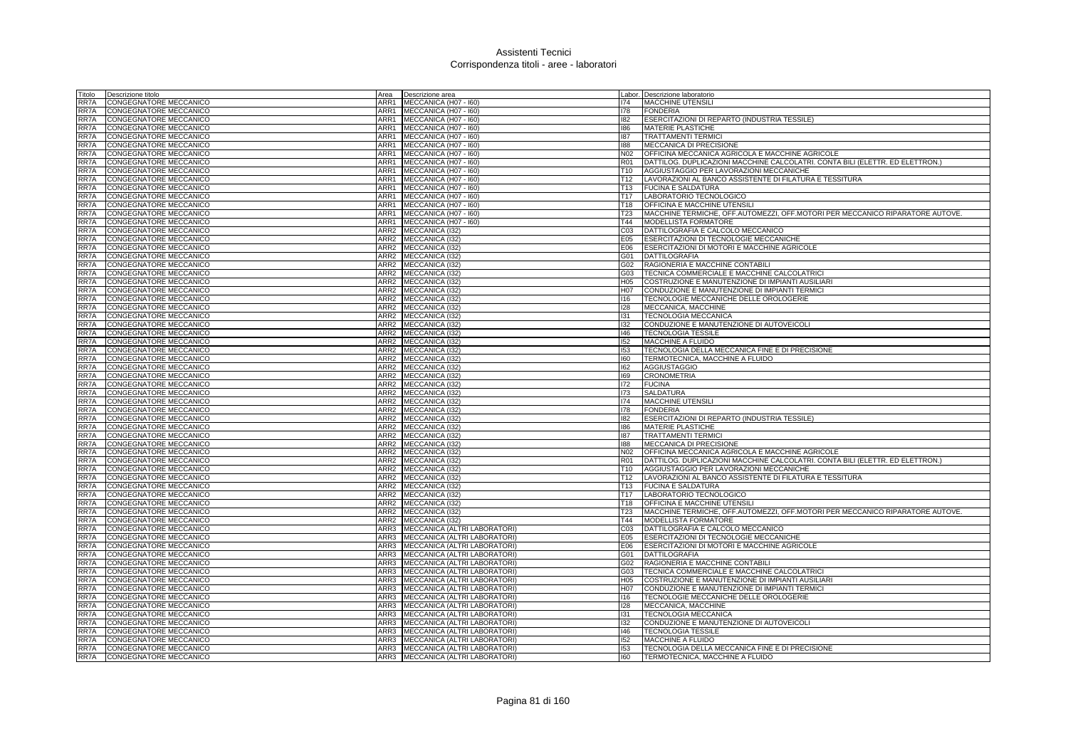| Titolo       | Descrizione titolo                               | Area                                 | Descrizione area                   |                 | Labor. Descrizione laboratorio                                                          |
|--------------|--------------------------------------------------|--------------------------------------|------------------------------------|-----------------|-----------------------------------------------------------------------------------------|
| RR7A         | CONGEGNATORE MECCANICO                           | ARR1                                 | MECCANICA (H07 - I60)              | 174             | <b>MACCHINE UTENSILI</b>                                                                |
| RR7A         | CONGEGNATORE MECCANICO                           | ARR1                                 | MECCANICA (H07 - I60)              | 178             | <b>FONDERIA</b>                                                                         |
| RR7A         | CONGEGNATORE MECCANICO                           | ARR1                                 | MECCANICA (H07 - I60)              | 182             | ESERCITAZIONI DI REPARTO (INDUSTRIA TESSILE)                                            |
| RR7A         | CONGEGNATORE MECCANICO                           |                                      | ARR1 MECCANICA (H07 - 160)         | 186             | MATERIE PLASTICHE                                                                       |
| RR7A         | CONGEGNATORE MECCANICO                           | ARR1                                 | MECCANICA (H07 - I60)              | 187             | <b>TRATTAMENTI TERMICI</b>                                                              |
| RR7A         | CONGEGNATORE MECCANICO                           | ARR1                                 | MECCANICA (H07 - I60)              | 188             | MECCANICA DI PRECISIONE                                                                 |
| RR7A         | CONGEGNATORE MECCANICO                           | ARR1                                 | MECCANICA (H07 - I60)              | N <sub>02</sub> | OFFICINA MECCANICA AGRICOLA E MACCHINE AGRICOLE                                         |
| RR7A         | CONGEGNATORE MECCANICO                           | ARR1                                 | MECCANICA (H07 - I60)              | <b>R01</b>      | DATTILOG. DUPLICAZIONI MACCHINE CALCOLATRI. CONTA BILI (ELETTR. ED ELETTRON.)           |
| RR7A         | <b>CONGEGNATORE MECCANICO</b>                    | ARR1                                 | MECCANICA (H07 - I60)              | T <sub>10</sub> | AGGIUSTAGGIO PER LAVORAZIONI MECCANICHE                                                 |
| RR7A         | <b>CONGEGNATORE MECCANICO</b>                    | ARR1                                 | MECCANICA (H07 - 160)              | T <sub>12</sub> | LAVORAZIONI AL BANCO ASSISTENTE DI FILATURA E TESSITURA                                 |
| RR7A         | CONGEGNATORE MECCANICO                           | ARR1                                 | MECCANICA (H07 - 160)              | T13             | <b>FUCINA E SALDATURA</b>                                                               |
| RR7A         | CONGEGNATORE MECCANICO                           |                                      | ARR1 MECCANICA (H07 - 160)         | T <sub>17</sub> | LABORATORIO TECNOLOGICO                                                                 |
| RR7A         | CONGEGNATORE MECCANICO                           |                                      | ARR1 MECCANICA (H07 - I60)         | T <sub>18</sub> | OFFICINA E MACCHINE UTENSILI                                                            |
| RR7A         | CONGEGNATORE MECCANICO                           | ARR1                                 | MECCANICA (H07 - I60)              | T <sub>23</sub> | MACCHINE TERMICHE, OFF.AUTOMEZZI, OFF.MOTORI PER MECCANICO RIPARATORE AUTOVE.           |
| RR7A         | CONGEGNATORE MECCANICO                           | ARR1                                 | MECCANICA (H07 - I60)              | T44             | MODELLISTA FORMATORE                                                                    |
| RR7A         | CONGEGNATORE MECCANICO                           | ARR2                                 | MECCANICA (132)                    | C <sub>03</sub> | DATTILOGRAFIA E CALCOLO MECCANICO                                                       |
| RR7A         | CONGEGNATORE MECCANICO                           | ARR2                                 | MECCANICA (I32)                    | E05             | ESERCITAZIONI DI TECNOLOGIE MECCANICHE                                                  |
| RR7A         | CONGEGNATORE MECCANICO                           | ARR2                                 | MECCANICA (I32)                    | E06             | ESERCITAZIONI DI MOTORI E MACCHINE AGRICOLE                                             |
| RR7A         | CONGEGNATORE MECCANICO                           | ARR2                                 | MECCANICA (I32)                    | G01             | DATTILOGRAFIA                                                                           |
| RR7A         | CONGEGNATORE MECCANICO                           |                                      | ARR2 MECCANICA (I32)               | G02             | RAGIONERIA E MACCHINE CONTABILI                                                         |
| RR7A         | CONGEGNATORE MECCANICO                           |                                      | ARR2 MECCANICA (132)               | G03             | TECNICA COMMERCIALE E MACCHINE CALCOLATRICI                                             |
| RR7A         | CONGEGNATORE MECCANICO                           |                                      | ARR2 MECCANICA (I32)               | H05             | COSTRUZIONE E MANUTENZIONE DI IMPIANTI AUSILIARI                                        |
| RR7A         | CONGEGNATORE MECCANICO                           | ARR <sub>2</sub>                     | MECCANICA (I32)                    | H07             | CONDUZIONE E MANUTENZIONE DI IMPIANTI TERMICI<br>TECNOLOGIE MECCANICHE DELLE OROLOGERIE |
| RR7A         | CONGEGNATORE MECCANICO                           | ARR2                                 | MECCANICA (I32)                    | 116             |                                                                                         |
| RR7A         | CONGEGNATORE MECCANICO                           | ARR <sub>2</sub>                     | MECCANICA (I32)                    | 128             | MECCANICA, MACCHINE                                                                     |
| RR7A         | CONGEGNATORE MECCANICO                           |                                      | ARR2 MECCANICA (I32)               | 131             | TECNOLOGIA MECCANICA                                                                    |
| RR7A         | CONGEGNATORE MECCANICO                           | ARR <sub>2</sub><br>ARR <sub>2</sub> | MECCANICA (I32)                    | 132             | CONDUZIONE E MANUTENZIONE DI AUTOVEICOLI                                                |
| RR7A         | CONGEGNATORE MECCANICO                           |                                      | MECCANICA (I32)                    | 146             | <b>TECNOLOGIA TESSILE</b>                                                               |
| RR7A         | CONGEGNATORE MECCANICO                           |                                      | ARR2 MECCANICA (132)               | 152             | <b>MACCHINE A FLUIDO</b>                                                                |
| RR7A<br>RR7A | CONGEGNATORE MECCANICO                           | ARR <sub>2</sub>                     | ARR2 MECCANICA (I32)               | 153<br>160      | TECNOLOGIA DELLA MECCANICA FINE E DI PRECISIONE<br>TERMOTECNICA, MACCHINE A FLUIDO      |
| RR7A         | CONGEGNATORE MECCANICO<br>CONGEGNATORE MECCANICO | ARR <sub>2</sub>                     | MECCANICA (I32)<br>MECCANICA (I32) | 162             | <b>AGGIUSTAGGIO</b>                                                                     |
| RR7A         | CONGEGNATORE MECCANICO                           | ARR <sub>2</sub>                     | MECCANICA (I32)                    | 169             | <b>CRONOMETRIA</b>                                                                      |
| RR7A         | CONGEGNATORE MECCANICO                           | ARR2                                 | MECCANICA (I32)                    | 172             | <b>FUCINA</b>                                                                           |
| RR7A         | CONGEGNATORE MECCANICO                           | ARR2                                 | MECCANICA (I32)                    | 173             | SALDATURA                                                                               |
| RR7A         | CONGEGNATORE MECCANICO                           | ARR <sub>2</sub>                     | MECCANICA (I32)                    | 174             | <b>MACCHINE UTENSILI</b>                                                                |
| RR7A         | CONGEGNATORE MECCANICO                           | ARR2                                 | MECCANICA (I32)                    | 178             | <b>FONDERIA</b>                                                                         |
| RR7A         | CONGEGNATORE MECCANICO                           | ARR2                                 | MECCANICA (I32)                    | 182             | ESERCITAZIONI DI REPARTO (INDUSTRIA TESSILE)                                            |
| RR7A         | CONGEGNATORE MECCANICO                           | ARR2                                 | MECCANICA (I32)                    | 186             | MATERIE PLASTICHE                                                                       |
| RR7A         | CONGEGNATORE MECCANICO                           | ARR <sub>2</sub>                     | MECCANICA (I32)                    | 187             | <b>TRATTAMENTI TERMICI</b>                                                              |
| RR7A         | CONGEGNATORE MECCANICO                           | ARR <sub>2</sub>                     | MECCANICA (I32)                    | 188             | MECCANICA DI PRECISIONE                                                                 |
| RR7A         | CONGEGNATORE MECCANICO                           | ARR <sub>2</sub>                     | MECCANICA (132)                    | N02             | OFFICINA MECCANICA AGRICOLA E MACCHINE AGRICOLE                                         |
| RR7A         | <b>CONGEGNATORE MECCANICO</b>                    | ARR2                                 | <b>MECCANICA (132)</b>             | R <sub>01</sub> | DATTILOG. DUPLICAZIONI MACCHINE CALCOLATRI. CONTA BILI (ELETTR. ED ELETTRON.)           |
| RR7A         | <b>CONGEGNATORE MECCANICO</b>                    | ARR2                                 | MECCANICA (I32)                    | T <sub>10</sub> | AGGIUSTAGGIO PER LAVORAZIONI MECCANICHE                                                 |
| RR7A         | CONGEGNATORE MECCANICO                           | ARR <sub>2</sub>                     | MECCANICA (I32)                    | T <sub>12</sub> | LAVORAZIONI AL BANCO ASSISTENTE DI FILATURA E TESSITURA                                 |
| RR7A         | CONGEGNATORE MECCANICO                           | ARR <sub>2</sub>                     | MECCANICA (I32)                    | T <sub>13</sub> | <b>FUCINA E SALDATURA</b>                                                               |
| RR7A         | CONGEGNATORE MECCANICO                           | ARR2                                 | MECCANICA (I32)                    | T <sub>17</sub> | LABORATORIO TECNOLOGICO                                                                 |
| RR7A         | CONGEGNATORE MECCANICO                           | ARR2                                 | MECCANICA (I32)                    | T18             | OFFICINA E MACCHINE UTENSIL                                                             |
| RR7A         | CONGEGNATORE MECCANICO                           | ARR <sub>2</sub>                     | MECCANICA (I32)                    | T <sub>23</sub> | MACCHINE TERMICHE, OFF.AUTOMEZZI, OFF.MOTORI PER MECCANICO RIPARATORE AUTOVE.           |
| RR7A         | CONGEGNATORE MECCANICO                           | ARR <sub>2</sub>                     | MECCANICA (I32)                    | T44             | MODELLISTA FORMATORE                                                                    |
| RR7A         | CONGEGNATORE MECCANICO                           | ARR3                                 | MECCANICA (ALTRI LABORATORI)       | CO <sub>3</sub> | DATTILOGRAFIA E CALCOLO MECCANICO                                                       |
| RR7A         | CONGEGNATORE MECCANICO                           | ARR3                                 | MECCANICA (ALTRI LABORATORI)       | E05             | ESERCITAZIONI DI TECNOLOGIE MECCANICHE                                                  |
| RR7A         | CONGEGNATORE MECCANICO                           | ARR3                                 | MECCANICA (ALTRI LABORATORI)       | E06             | ESERCITAZIONI DI MOTORI E MACCHINE AGRICOLE                                             |
| RR7A         | CONGEGNATORE MECCANICO                           | ARR3                                 | MECCANICA (ALTRI LABORATORI)       | G01             | DATTILOGRAFIA                                                                           |
| RR7A         | CONGEGNATORE MECCANICO                           | ARR3                                 | MECCANICA (ALTRI LABORATORI)       | G02             | RAGIONERIA E MACCHINE CONTABILI                                                         |
| RR7A         | CONGEGNATORE MECCANICO                           | ARR3                                 | MECCANICA (ALTRI LABORATORI)       | G03             | TECNICA COMMERCIALE E MACCHINE CALCOLATRICI                                             |
| RR7A         | CONGEGNATORE MECCANICO                           | ARR3                                 | MECCANICA (ALTRI LABORATORI)       | H <sub>05</sub> | COSTRUZIONE E MANUTENZIONE DI IMPIANTI AUSILIARI                                        |
| RR7A         | CONGEGNATORE MECCANICO                           | ARR3                                 | MECCANICA (ALTRI LABORATORI)       | H07             | CONDUZIONE E MANUTENZIONE DI IMPIANTI TERMICI                                           |
| RR7A         | CONGEGNATORE MECCANICO                           | ARR3                                 | MECCANICA (ALTRI LABORATORI)       | 116             | TECNOLOGIE MECCANICHE DELLE OROLOGERIE                                                  |
| RR7A         | CONGEGNATORE MECCANICO                           | ARR3                                 | MECCANICA (ALTRI LABORATORI)       | 128             | MECCANICA, MACCHINE                                                                     |
| RR7A         | CONGEGNATORE MECCANICO                           | ARR3                                 | MECCANICA (ALTRI LABORATORI)       | 131             | TECNOLOGIA MECCANICA                                                                    |
| RR7A         | CONGEGNATORE MECCANICO                           | ARR3                                 | MECCANICA (ALTRI LABORATORI)       | 132             | CONDUZIONE E MANUTENZIONE DI AUTOVEICOLI                                                |
| RR7A         | CONGEGNATORE MECCANICO                           | ARR3                                 | MECCANICA (ALTRI LABORATORI)       | 146             | <b>TECNOLOGIA TESSILE</b>                                                               |
| RR7A         | CONGEGNATORE MECCANICO                           | ARR3                                 | MECCANICA (ALTRI LABORATORI)       | 152             | MACCHINE A FLUIDO                                                                       |
| RR7A         | <b>CONGEGNATORE MECCANICO</b>                    |                                      | ARR3 MECCANICA (ALTRI LABORATORI)  | 153             | TECNOLOGIA DELLA MECCANICA FINE E DI PRECISIONE                                         |
| RR7A         | CONGEGNATORE MECCANICO                           |                                      | ARR3 MECCANICA (ALTRI LABORATORI)  | 160             | TERMOTECNICA, MACCHINE A FLUIDO                                                         |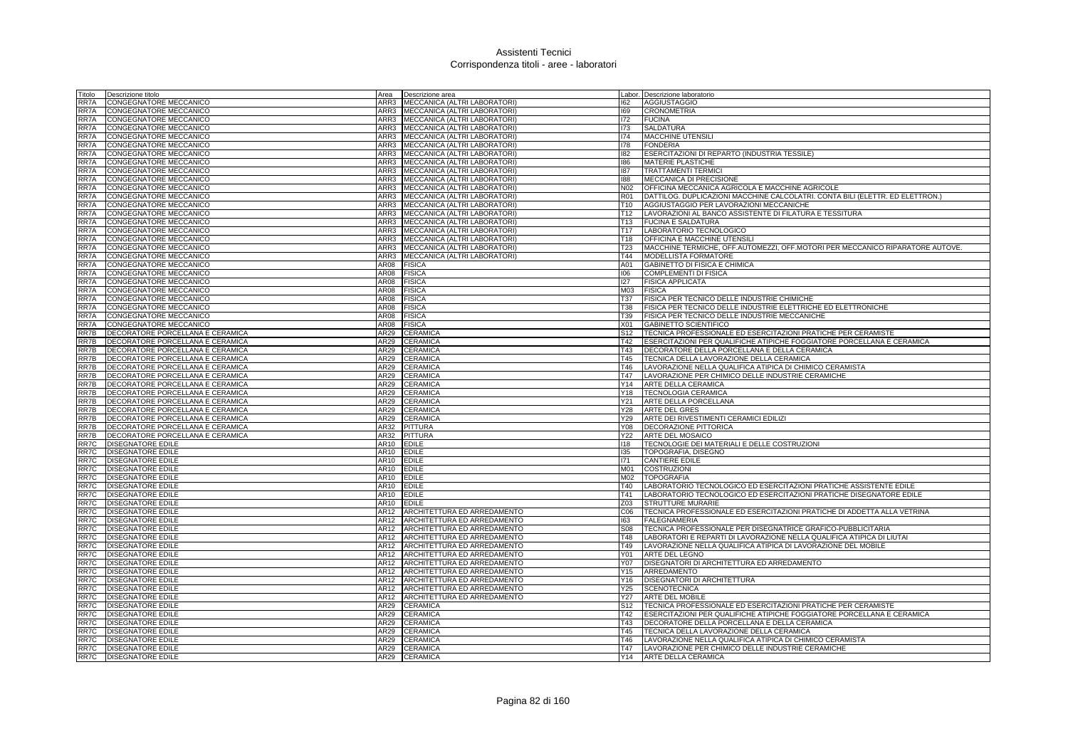| Titolo       | Descrizione titolo                                                   | Area             | Descrizione area                   |                 | Labor. Descrizione laboratorio                                                                  |
|--------------|----------------------------------------------------------------------|------------------|------------------------------------|-----------------|-------------------------------------------------------------------------------------------------|
| RR7A         | <b>CONGEGNATORE MECCANICO</b>                                        | ARR3             | MECCANICA (ALTRI LABORATORI)       | 162             | <b>AGGIUSTAGGIO</b>                                                                             |
| RR7A         | CONGEGNATORE MECCANICO                                               | ARR3             | MECCANICA (ALTRI LABORATORI)       | 169             | CRONOMETRIA                                                                                     |
| RR7A         | CONGEGNATORE MECCANICO                                               | ARR3             | MECCANICA (ALTRI LABORATORI)       | 172             | <b>FUCINA</b>                                                                                   |
| RR7A         | CONGEGNATORE MECCANICO                                               |                  | ARR3 MECCANICA (ALTRI LABORATORI)  | 173             | SALDATURA                                                                                       |
| RR7A         | CONGEGNATORE MECCANICO                                               | ARR3             | MECCANICA (ALTRI LABORATORI)       | 174             | <b>MACCHINE UTENSILI</b>                                                                        |
| RR7A         | CONGEGNATORE MECCANICO                                               | ARR3             | MECCANICA (ALTRI LABORATORI)       | 178             | <b>FONDERIA</b>                                                                                 |
| RR7A         | CONGEGNATORE MECCANICO                                               | ARR3             | MECCANICA (ALTRI LABORATORI)       | 182             | ESERCITAZIONI DI REPARTO (INDUSTRIA TESSILE)                                                    |
| RR7A         | CONGEGNATORE MECCANICO                                               | ARR3             | MECCANICA (ALTRI LABORATORI)       | 186             | <b>MATERIE PLASTICHE</b>                                                                        |
| RR7A         | CONGEGNATORE MECCANICO                                               | ARR3             | MECCANICA (ALTRI LABORATORI)       | 187             | <b>TRATTAMENTI TERMICI</b>                                                                      |
| RR7A         | <b>CONGEGNATORE MECCANICO</b>                                        | ARR3             | MECCANICA (ALTRI LABORATORI)       | 188             | MECCANICA DI PRECISIONE                                                                         |
| RR7A         | CONGEGNATORE MECCANICO                                               | ARR3             | MECCANICA (ALTRI LABORATORI)       | N02             | OFFICINA MECCANICA AGRICOLA E MACCHINE AGRICOLE                                                 |
| RR7A         | CONGEGNATORE MECCANICO                                               |                  | ARR3 MECCANICA (ALTRI LABORATORI)  | <b>R01</b>      | DATTILOG. DUPLICAZIONI MACCHINE CALCOLATRI. CONTA BILI (ELETTR. ED ELETTRON.)                   |
| RR7A         | CONGEGNATORE MECCANICO                                               |                  | ARR3 MECCANICA (ALTRI LABORATORI)  | T10             | AGGIUSTAGGIO PER LAVORAZIONI MECCANICHE                                                         |
| RR7A         | CONGEGNATORE MECCANICO                                               | ARR3             | MECCANICA (ALTRI LABORATORI)       | T <sub>12</sub> | LAVORAZIONI AL BANCO ASSISTENTE DI FILATURA E TESSITURA                                         |
| RR7A         | CONGEGNATORE MECCANICO                                               | ARR3             | MECCANICA (ALTRI LABORATORI)       | T <sub>13</sub> | <b>FUCINA E SALDATURA</b>                                                                       |
| RR7A         | CONGEGNATORE MECCANICO                                               | ARR3             | MECCANICA (ALTRI LABORATORI)       | T17             | LABORATORIO TECNOLOGICO                                                                         |
|              |                                                                      | ARR3             |                                    | T18             |                                                                                                 |
| RR7A         | CONGEGNATORE MECCANICO                                               |                  | MECCANICA (ALTRI LABORATORI)       |                 | OFFICINA E MACCHINE UTENSILI                                                                    |
| RR7A         | <b>CONGEGNATORE MECCANICO</b>                                        | ARR3             | MECCANICA (ALTRI LABORATORI)       | <b>T23</b>      | MACCHINE TERMICHE, OFF.AUTOMEZZI, OFF.MOTORI PER MECCANICO RIPARATORE AUTOVE.                   |
| RR7A         | CONGEGNATORE MECCANICO                                               | ARR3             | MECCANICA (ALTRI LABORATORI)       | T44             | MODELLISTA FORMATORE                                                                            |
| RR7A         | CONGEGNATORE MECCANICO                                               | AR08<br>AR08     | <b>FISICA</b>                      | A01<br>106      | GABINETTO DI FISICA E CHIMICA                                                                   |
| RR7A         | CONGEGNATORE MECCANICO                                               |                  | <b>FISICA</b>                      |                 | COMPLEMENTI DI FISICA                                                                           |
| RR7A         | CONGEGNATORE MECCANICO                                               | AR08             | <b>FISICA</b>                      | 127             | <b>FISICA APPLICATA</b>                                                                         |
| RR7A<br>RR7A | CONGEGNATORE MECCANICO                                               | AR08<br>AR08     | <b>FISICA</b><br><b>FISICA</b>     | M03<br>T37      | <b>FISICA</b>                                                                                   |
|              | CONGEGNATORE MECCANICO                                               |                  |                                    |                 | FISICA PER TECNICO DELLE INDUSTRIE CHIMICHE                                                     |
| RR7A         | CONGEGNATORE MECCANICO                                               | AR08             | <b>FISICA</b>                      | <b>T38</b>      | FISICA PER TECNICO DELLE INDUSTRIE ELETTRICHE ED ELETTRONICHE                                   |
| RR7A         | CONGEGNATORE MECCANICO                                               | AR <sub>08</sub> | <b>FISICA</b>                      | T39             | FISICA PER TECNICO DELLE INDUSTRIE MECCANICHE                                                   |
| RR7A         | CONGEGNATORE MECCANICO                                               | AR08             | <b>FISICA</b>                      | X01             | GABINETTO SCIENTIFICO                                                                           |
| RR7B         | DECORATORE PORCELLANA E CERAMICA                                     | AR29             | <b>CERAMICA</b>                    | S <sub>12</sub> | TECNICA PROFESSIONALE ED ESERCITAZIONI PRATICHE PER CERAMISTE                                   |
| RR7B         | <b>DECORATORE PORCELLANA E CERAMICA</b>                              | AR29<br>AR29     | <b>CERAMICA</b>                    | T42             | ESERCITAZIONI PER QUALIFICHE ATIPICHE FOGGIATORE PORCELLANA E CERAMICA                          |
| RR7B<br>RR7B | DECORATORE PORCELLANA E CERAMICA                                     | AR29             | <b>CERAMICA</b><br><b>CERAMICA</b> | T43<br>T45      | DECORATORE DELLA PORCELLANA E DELLA CERAMICA<br><b>TECNICA DELLA LAVORAZIONE DELLA CERAMICA</b> |
| RR7B         | DECORATORE PORCELLANA E CERAMICA<br>DECORATORE PORCELLANA E CERAMICA | AR29             | <b>CERAMICA</b>                    | T46             | LAVORAZIONE NELLA QUALIFICA ATIPICA DI CHIMICO CERAMISTA                                        |
| RR7B         | DECORATORE PORCELLANA E CERAMICA                                     | <b>AR29</b>      | CERAMICA                           | T47             | LAVORAZIONE PER CHIMICO DELLE INDUSTRIE CERAMICHE                                               |
| RR7B         | DECORATORE PORCELLANA E CERAMICA                                     | AR29             | CERAMICA                           | Y14             | ARTE DELLA CERAMICA                                                                             |
| RR7B         | DECORATORE PORCELLANA E CERAMICA                                     | AR29             | CERAMICA                           | Y18             | <b>TECNOLOGIA CERAMICA</b>                                                                      |
| RR7B         | DECORATORE PORCELLANA E CERAMICA                                     | AR29             | CERAMICA                           | Y21             | ARTE DELLA PORCELLANA                                                                           |
| RR7B         | DECORATORE PORCELLANA E CERAMICA                                     | AR29             | <b>CERAMICA</b>                    | Y28             | <b>ARTE DEL GRES</b>                                                                            |
| RR7B         | DECORATORE PORCELLANA E CERAMICA                                     | AR29             | <b>CERAMICA</b>                    | Y29             | ARTE DEI RIVESTIMENTI CERAMICI EDILIZI                                                          |
| RR7B         | DECORATORE PORCELLANA E CERAMICA                                     | AR32             | PITTURA                            | Y08             | DECORAZIONE PITTORICA                                                                           |
| RR7B         | DECORATORE PORCELLANA E CERAMICA                                     | AR32             | <b>PITTURA</b>                     | Y22             | ARTE DEL MOSAICO                                                                                |
| RR7C         | <b>DISEGNATORE EDILE</b>                                             | <b>AR10</b>      | <b>EDILE</b>                       | 118             | TECNOLOGIE DEI MATERIALI E DELLE COSTRUZIONI                                                    |
| RR7C         | DISEGNATORE EDILE                                                    | AR10             | <b>EDILE</b>                       | 135             | TOPOGRAFIA, DISEGNO                                                                             |
| RR7C         | <b>DISEGNATORE EDILE</b>                                             | AR10             | <b>EDILE</b>                       | 171             | <b>CANTIERE EDILE</b>                                                                           |
| RR7C         | <b>DISEGNATORE EDILE</b>                                             | AR10             | <b>EDILE</b>                       | M01             | <b>COSTRUZIONI</b>                                                                              |
| RR7C         | DISEGNATORE EDILE                                                    | AR10             | <b>EDILE</b>                       | M02             | <b>TOPOGRAFIA</b>                                                                               |
| RR7C         | <b>DISEGNATORE EDILE</b>                                             | AR10             | <b>EDILE</b>                       | T40             | LABORATORIO TECNOLOGICO ED ESERCITAZIONI PRATICHE ASSISTENTE EDILE                              |
| RR7C         | DISEGNATORE EDILE                                                    | AR10             | <b>EDILE</b>                       | T41             | LABORATORIO TECNOLOGICO ED ESERCITAZIONI PRATICHE DISEGNATORE EDILE                             |
| RR7C         | <b>DISEGNATORE EDILE</b>                                             | AR10             | <b>EDILE</b>                       | Z03             | <b>STRUTTURE MURARIE</b>                                                                        |
| RR7C         | DISEGNATORE EDILE                                                    | <b>AR12</b>      | ARCHITETTURA ED ARREDAMENTO        | C <sub>06</sub> | TECNICA PROFESSIONALE ED ESERCITAZIONI PRATICHE DI ADDETTA ALLA VETRINA                         |
| RR7C         | <b>DISEGNATORE EDILE</b>                                             | AR12             | ARCHITETTURA ED ARREDAMENTO        | 163             | <b>FALEGNAMERIA</b>                                                                             |
| RR7C         | DISEGNATORE EDILE                                                    | AR12             | ARCHITETTURA ED ARREDAMENTO        | <b>S08</b>      | TECNICA PROFESSIONALE PER DISEGNATRICE GRAFICO-PUBBLICITARIA                                    |
| RR7C         | <b>DISEGNATORE EDILE</b>                                             | AR12             | ARCHITETTURA ED ARREDAMENTO        | T48             | LABORATORI E REPARTI DI LAVORAZIONE NELLA QUALIFICA ATIPICA DI LIUTAI                           |
| RR7C         | <b>DISEGNATORE EDILE</b>                                             | AR12             | ARCHITETTURA ED ARREDAMENTO        | T49             | LAVORAZIONE NELLA QUALIFICA ATIPICA DI LAVORAZIONE DEL MOBILE                                   |
|              | RR7C <b>DISEGNATORE EDILE</b>                                        | AR12             | ARCHITETTURA ED ARREDAMENTO        | Y01             | ARTE DEL LEGNO                                                                                  |
| RR7C         | <b>DISEGNATORE EDILE</b>                                             | AR12             | ARCHITETTURA ED ARREDAMENTO        | Y07             | DISEGNATORI DI ARCHITETTURA ED ARREDAMENTO                                                      |
| RR7C         | DISEGNATORE EDILE                                                    | AR12             | ARCHITETTURA ED ARREDAMENTO        | Y15             | ARREDAMENTO                                                                                     |
| RR7C         | <b>DISEGNATORE EDILE</b>                                             | AR12             | ARCHITETTURA ED ARREDAMENTO        | Y16             | <b>DISEGNATORI DI ARCHITETTURA</b>                                                              |
| RR7C         | DISEGNATORE EDILE                                                    | AR12             | ARCHITETTURA ED ARREDAMENTO        | Y25             | <b>SCENOTECNICA</b>                                                                             |
| RR7C         | DISEGNATORE EDILE                                                    | AR12             | ARCHITETTURA ED ARREDAMENTO        | Y27             | ARTE DEL MOBILE                                                                                 |
| RR7C         | DISEGNATORE EDILE                                                    | AR29             | CERAMICA                           | S <sub>12</sub> | TECNICA PROFESSIONALE ED ESERCITAZIONI PRATICHE PER CERAMISTE                                   |
| RR7C         | <b>DISEGNATORE EDILE</b>                                             | AR29             | CERAMICA                           | T42             | ESERCITAZIONI PER QUALIFICHE ATIPICHE FOGGIATORE PORCELLANA E CERAMICA                          |
| RR7C         | <b>DISEGNATORE EDILE</b>                                             | AR29             | CERAMICA                           | T43             | DECORATORE DELLA PORCELLANA E DELLA CERAMICA                                                    |
| RR7C         | <b>DISEGNATORE EDILE</b>                                             | AR29             | <b>CERAMICA</b>                    | T45             | TECNICA DELLA LAVORAZIONE DELLA CERAMICA                                                        |
| RR7C         | <b>DISEGNATORE EDILE</b>                                             | AR29             | CERAMICA                           | T46             | LAVORAZIONE NELLA QUALIFICA ATIPICA DI CHIMICO CERAMISTA                                        |
|              | RR7C   DISEGNATORE EDILE                                             | AR29             | <b>CERAMICA</b>                    | T47             | LAVORAZIONE PER CHIMICO DELLE INDUSTRIE CERAMICHE                                               |
|              | RR7C DISEGNATORE EDILE                                               |                  | AR29 CERAMICA                      |                 | Y14 ARTE DELLA CERAMICA                                                                         |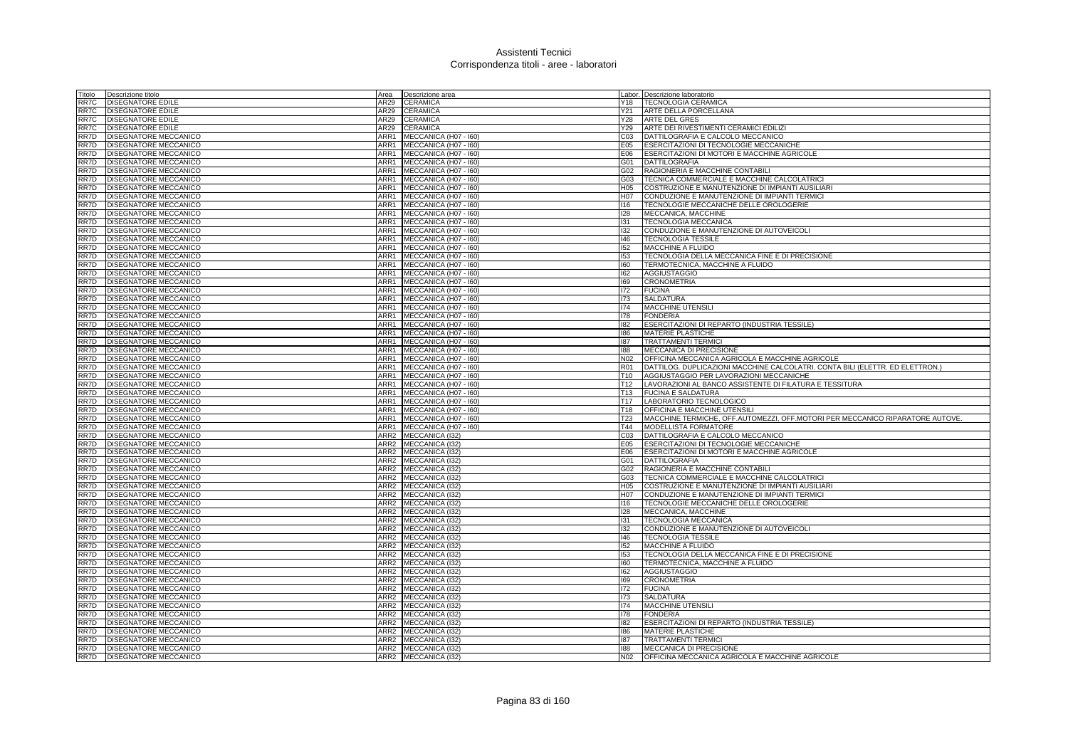| Titolo | Descrizione titolo                                         | Area             | Descrizione area                        |                        | Labor. Descrizione laboratorio                                                    |
|--------|------------------------------------------------------------|------------------|-----------------------------------------|------------------------|-----------------------------------------------------------------------------------|
| RR7C   | DISEGNATORE EDILE                                          | AR29             | <b>CERAMICA</b>                         |                        | Y18   TECNOLOGIA CERAMICA                                                         |
| RR7C   | <b>DISEGNATORE EDILE</b>                                   | AR29             | <b>CERAMICA</b>                         | Y21                    | ARTE DELLA PORCELLANA                                                             |
| RR7C   | <b>DISEGNATORE EDILE</b>                                   | AR29             | <b>CERAMICA</b>                         | Y28                    | <b>ARTE DEL GRES</b>                                                              |
| RR7C   | <b>DISEGNATORE EDILE</b>                                   | AR29             | <b>CERAMICA</b>                         |                        | Y29 ARTE DEI RIVESTIMENTI CERAMICI EDILIZI                                        |
| RR7D   | <b>DISEGNATORE MECCANICO</b>                               | ARR1             | MECCANICA (H07 - I60)                   | CO <sub>3</sub>        | DATTILOGRAFIA E CALCOLO MECCANICO                                                 |
| RR7D   | DISEGNATORE MECCANICC                                      | ARR1             | MECCANICA (H07 - I60)                   | E05                    | ESERCITAZIONI DI TECNOLOGIE MECCANICHE                                            |
| RR7D   | <b>DISEGNATORE MECCANICO</b>                               | ARR1             | MECCANICA (H07 - I60)                   | E06                    | ESERCITAZIONI DI MOTORI E MACCHINE AGRICOLE                                       |
| RR7D   | DISEGNATORE MECCANICO                                      | ARR1             | MECCANICA (H07 - I60)                   | G01                    | <b>DATTILOGRAFIA</b>                                                              |
| RR7D   | <b>DISEGNATORE MECCANICO</b>                               | ARR1             | MECCANICA (H07 - I60)                   | G02                    | RAGIONERIA E MACCHINE CONTABILI                                                   |
| RR7D   | DISEGNATORE MECCANICO                                      | ARR1             | MECCANICA (H07 - I60)                   | G03                    | TECNICA COMMERCIALE E MACCHINE CALCOLATRICI                                       |
| RR7D   | DISEGNATORE MECCANICO                                      | ARR1             | MECCANICA (H07 - I60)                   | H05                    | COSTRUZIONE E MANUTENZIONE DI IMPIANTI AUSILIARI                                  |
| RR7D   | DISEGNATORE MECCANICO                                      |                  | ARR1 MECCANICA (H07 - 160)              | H07                    | CONDUZIONE E MANUTENZIONE DI IMPIANTI TERMICI                                     |
| RR7D   | DISEGNATORE MECCANICO                                      | ARR1             | MECCANICA (H07 - I60)                   | 116                    | TECNOLOGIE MECCANICHE DELLE OROLOGERIE                                            |
| RR7D   | DISEGNATORE MECCANICO                                      | ARR1             | MECCANICA (H07 - I60)                   | 128                    | MECCANICA, MACCHINE                                                               |
| RR7D   | DISEGNATORE MECCANICO                                      | ARR1             | MECCANICA (H07 - I60)                   | 131                    | <b>TECNOLOGIA MECCANICA</b>                                                       |
| RR7D   | DISEGNATORE MECCANICO                                      | ARR1             | MECCANICA (H07 - I60)                   | 132                    | CONDUZIONE E MANUTENZIONE DI AUTOVEICOLI                                          |
| RR7D   | DISEGNATORE MECCANICO                                      | ARR1             | MECCANICA (H07 - I60)                   | 146                    | <b>TECNOLOGIA TESSILE</b>                                                         |
| RR7D   | DISEGNATORE MECCANICO                                      | ARR1             | MECCANICA (H07 - I60)                   | 152                    | MACCHINE A FLUIDO                                                                 |
| RR7D   | DISEGNATORE MECCANICO                                      | ARR1             | MECCANICA (H07 - I60)                   | 153                    | TECNOLOGIA DELLA MECCANICA FINE E DI PRECISIONE                                   |
| RR7D   | DISEGNATORE MECCANICO                                      |                  | ARR1 MECCANICA (H07 - 160)              | 160                    | TERMOTECNICA, MACCHINE A FLUIDO                                                   |
| RR7D   | <b>DISEGNATORE MECCANICO</b>                               | ARR1             | MECCANICA (H07 - I60)                   | 162                    | <b>AGGIUSTAGGIO</b>                                                               |
| RR7D   | DISEGNATORE MECCANICO                                      | ARR1             | MECCANICA (H07 - I60)                   | 169                    | <b>CRONOMETRIA</b>                                                                |
| RR7D   | DISEGNATORE MECCANICO                                      | ARR1             | MECCANICA (H07 - I60)                   | 172                    | <b>FUCINA</b>                                                                     |
| RR7D   | DISEGNATORE MECCANICO                                      | ARR1             | MECCANICA (H07 - I60)                   | 173                    | <b>SALDATURA</b>                                                                  |
| RR7D   | DISEGNATORE MECCANICO                                      | ARR1             | MECCANICA (H07 - I60)                   | 174                    | <b>MACCHINE UTENSILI</b>                                                          |
| RR7D   | DISEGNATORE MECCANICO                                      | ARR1             | MECCANICA (H07 - I60)                   | 178                    | <b>FONDERIA</b>                                                                   |
| RR7D   | DISEGNATORE MECCANICO                                      | ARR1             | MECCANICA (H07 - I60)                   | 182                    | ESERCITAZIONI DI REPARTO (INDUSTRIA TESSILE)                                      |
| RR7D   | DISEGNATORE MECCANICO                                      | ARR1             | MECCANICA (H07 - I60)                   | 186                    | <b>MATERIE PLASTICHE</b>                                                          |
| RR7D   | DISEGNATORE MECCANICO                                      | ARR1             | MECCANICA (H07 - I60)                   | 187                    | <b>TRATTAMENTI TERMICI</b>                                                        |
| RR7D   | DISEGNATORE MECCANICO                                      | ARR1             | MECCANICA (H07 - I60)                   | 188                    | MECCANICA DI PRECISIONE                                                           |
| RR7D   | DISEGNATORE MECCANICO                                      | ARR1             | MECCANICA (H07 - I60)                   | N <sub>02</sub>        | OFFICINA MECCANICA AGRICOLA E MACCHINE AGRICOLE                                   |
| RR7D   | DISEGNATORE MECCANICO                                      | ARR1             | MECCANICA (H07 - 160)                   | R <sub>01</sub>        | DATTILOG. DUPLICAZIONI MACCHINE CALCOLATRI. CONTA BILI (ELETTR. ED ELETTRON.)     |
| RR7D   | DISEGNATORE MECCANICO                                      | ARR1             | MECCANICA (H07 - I60)                   | T10                    | AGGIUSTAGGIO PER LAVORAZIONI MECCANICHE                                           |
| RR7D   | DISEGNATORE MECCANICO                                      | ARR1             | MECCANICA (H07 - I60)                   | T12                    | LAVORAZIONI AL BANCO ASSISTENTE DI FILATURA E TESSITURA                           |
| RR7D   | DISEGNATORE MECCANICO                                      | ARR1             | MECCANICA (H07 - I60)                   | T <sub>13</sub>        | <b>FUCINA E SALDATURA</b>                                                         |
| RR7D   | DISEGNATORE MECCANICO                                      | ARR1             | MECCANICA (H07 - I60)                   | T17                    | LABORATORIO TECNOLOGICO                                                           |
| RR7D   | DISEGNATORE MECCANICO                                      | ARR1             | MECCANICA (H07 - I60)                   | T18                    | OFFICINA E MACCHINE UTENSILI                                                      |
| RR7D   | DISEGNATORE MECCANICO                                      | ARR1             | MECCANICA (H07 - I60)                   | T23                    | MACCHINE TERMICHE, OFF.AUTOMEZZI, OFF.MOTORI PER MECCANICO RIPARATORE AUTOVE.     |
| RR7D   | DISEGNATORE MECCANICO                                      | ARR1             | MECCANICA (H07 - I60)                   | T44                    | <b>MODELLISTA FORMATORE</b>                                                       |
| RR7D   | DISEGNATORE MECCANICO                                      | ARR2             | MECCANICA (I32)                         | C <sub>03</sub>        | DATTILOGRAFIA E CALCOLO MECCANICO                                                 |
| RR7D   | DISEGNATORE MECCANICO                                      | ARR2             | MECCANICA (I32)                         | E05                    | ESERCITAZIONI DI TECNOLOGIE MECCANICHE                                            |
| RR7D   | DISEGNATORE MECCANICO                                      |                  | ARR2 MECCANICA (I32)                    | E06                    | ESERCITAZIONI DI MOTORI E MACCHINE AGRICOLE                                       |
| RR7D   | DISEGNATORE MECCANICO                                      | ARR2             | MECCANICA (I32)                         | G01                    | <b>DATTILOGRAFIA</b>                                                              |
| RR7D   | DISEGNATORE MECCANICO                                      | ARR2             | MECCANICA (I32)                         | G02                    | RAGIONERIA E MACCHINE CONTABILI                                                   |
| RR7D   | DISEGNATORE MECCANICO                                      | ARR2             | MECCANICA (I32)                         | G03                    | TECNICA COMMERCIALE E MACCHINE CALCOLATRICI                                       |
| RR7D   | <b>DISEGNATORE MECCANICO</b>                               |                  | ARR2 MECCANICA (I32)                    | H05                    | COSTRUZIONE E MANUTENZIONE DI IMPIANTI AUSILIARI                                  |
| RR7D   | DISEGNATORE MECCANICO                                      | ARR2             | MECCANICA (I32)                         | H07                    | CONDUZIONE E MANUTENZIONE DI IMPIANTI TERMICI                                     |
| RR7D   | DISEGNATORE MECCANICO                                      | ARR2             | MECCANICA (I32)                         | 116                    | TECNOLOGIE MECCANICHE DELLE OROLOGERIE                                            |
| RR7D   | <b>DISEGNATORE MECCANICO</b>                               | ARR2             | MECCANICA (I32)                         | 128                    | MECCANICA, MACCHINE                                                               |
| RR7D   | DISEGNATORE MECCANICO                                      | ARR2             | MECCANICA (I32)                         | 131                    | <b>TECNOLOGIA MECCANICA</b>                                                       |
| RR7D   | DISEGNATORE MECCANICO                                      | ARR2             | MECCANICA (I32)                         | 132                    | CONDUZIONE E MANUTENZIONE DI AUTOVEICOLI                                          |
| RR7D   | DISEGNATORE MECCANICO                                      | ARR2             | MECCANICA (I32)                         | 146                    | <b>TECNOLOGIA TESSILE</b>                                                         |
| RR7D   | DISEGNATORE MECCANICO                                      | ARR2             | <b>MECCANICA (I32)</b>                  | 152                    | MACCHINE A FLUIDO                                                                 |
| RR7D   | <b>DISEGNATORE MECCANICO</b>                               |                  | ARR2 MECCANICA (132)                    | 153                    | TECNOLOGIA DELLA MECCANICA FINE E DI PRECISIONE                                   |
| RR7D   | DISEGNATORE MECCANICO                                      | ARR2             | MECCANICA (I32)                         | 160                    | TERMOTECNICA, MACCHINE A FLUIDO                                                   |
| RR7D   | DISEGNATORE MECCANICO                                      | ARR2             | MECCANICA (132)                         | 162                    | <b>AGGIUSTAGGIO</b>                                                               |
| RR7D   | DISEGNATORE MECCANICO                                      | ARR <sub>2</sub> | MECCANICA (I32)                         | 169                    | <b>CRONOMETRIA</b>                                                                |
| RR7D   | DISEGNATORE MECCANICO                                      | ARR2             | MECCANICA (I32)                         | 172                    | <b>FUCINA</b>                                                                     |
| RR7D   | DISEGNATORE MECCANICO                                      | ARR2             | MECCANICA (I32)                         | 173                    | <b>SALDATURA</b>                                                                  |
| RR7D   | DISEGNATORE MECCANICO                                      | ARR2             | MECCANICA (132)                         | 174                    | <b>MACCHINE UTENSILI</b>                                                          |
| RR7D   | DISEGNATORE MECCANICO                                      | ARR <sub>2</sub> | MECCANICA (I32)                         | 178                    | <b>FONDERIA</b>                                                                   |
| RR7D   | DISEGNATORE MECCANICO                                      | ARR2             | MECCANICA (I32)                         | 182                    | ESERCITAZIONI DI REPARTO (INDUSTRIA TESSILE)                                      |
|        |                                                            | ARR2             | MECCANICA (I32)                         | 186                    | <b>MATERIE PLASTICHE</b>                                                          |
| RR7D   | DISEGNATORE MECCANICO                                      |                  |                                         |                        |                                                                                   |
| RR7D   | <b>DISEGNATORE MECCANICO</b>                               | ARR2             | MECCANICA (132)                         | 187                    | <b>TRATTAMENTI TERMIC</b>                                                         |
| RR7D   | <b>DISEGNATORE MECCANICO</b><br>RR7D DISEGNATORE MECCANICO | ARR2             | MECCANICA (132)<br>ARR2 MECCANICA (I32) | 188<br>N <sub>02</sub> | <b>MECCANICA DI PRECISIONE</b><br>OFFICINA MECCANICA AGRICOLA E MACCHINE AGRICOLE |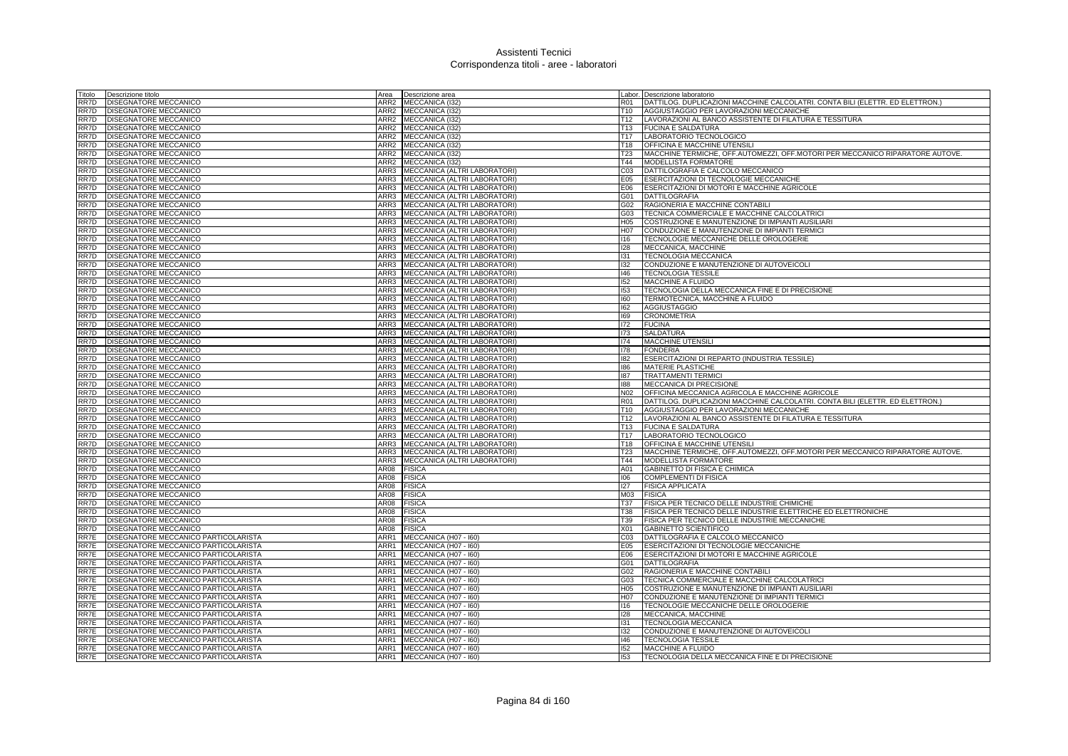| Titolo | Descrizione titolo                          |      | Area <b>Descrizione</b> area                             |                 | Labor. Descrizione laboratorio                                                |
|--------|---------------------------------------------|------|----------------------------------------------------------|-----------------|-------------------------------------------------------------------------------|
| RR7D   | DISEGNATORE MECCANICO                       |      | ARR2 MECCANICA (I32                                      | R01             | DATTILOG. DUPLICAZIONI MACCHINE CALCOLATRI. CONTA BILI (ELETTR. ED ELETTRON.) |
| RR7D   | DISEGNATORE MECCANICO                       |      | ARR2 MECCANICA (I32)                                     | T10             | AGGIUSTAGGIO PER LAVORAZIONI MECCANICHE                                       |
| RR7D   | DISEGNATORE MECCANICO                       |      | ARR2 MECCANICA (132)                                     | T <sub>12</sub> | LAVORAZIONI AL BANCO ASSISTENTE DI FILATURA E TESSITURA                       |
| RR7D   | DISEGNATORE MECCANICO                       |      | ARR2 MECCANICA (I32)                                     | T13             | <b>FUCINA E SALDATURA</b>                                                     |
| RR7D   | DISEGNATORE MECCANICO                       |      | ARR2 MECCANICA (I32)                                     | T17             | LABORATORIO TECNOLOGICO                                                       |
| RR7D   | DISEGNATORE MECCANICO                       |      | ARR2 MECCANICA (I32)                                     | T18             | OFFICINA E MACCHINE UTENSIL                                                   |
| RR7D   | <b>DISEGNATORE MECCANICO</b>                | ARR2 | MECCANICA (I32)                                          | <b>T23</b>      | MACCHINE TERMICHE, OFF.AUTOMEZZI, OFF.MOTORI PER MECCANICO RIPARATORE AUTOVE. |
| RR7D   | DISEGNATORE MECCANICO                       | ARR2 | MECCANICA (I32)                                          | T44             | MODELLISTA FORMATORE                                                          |
| RR7D   | DISEGNATORE MECCANICO                       | ARR3 | MECCANICA (ALTRI LABORATORI)                             | CO <sub>3</sub> | DATTILOGRAFIA E CALCOLO MECCANICO                                             |
| RR7D   | <b>DISEGNATORE MECCANICO</b>                | ARR3 | MECCANICA (ALTRI LABORATORI)                             | E05             | ESERCITAZIONI DI TECNOLOGIE MECCANICHE                                        |
| RR7D   | DISEGNATORE MECCANICO                       |      | ARR3 MECCANICA (ALTRI LABORATORI)                        | E06             | ESERCITAZIONI DI MOTORI E MACCHINE AGRICOLE                                   |
| RR7D   | DISEGNATORE MECCANICO                       |      | ARR3 MECCANICA (ALTRI LABORATORI)                        | G01             | <b>DATTILOGRAFIA</b>                                                          |
| RR7D   | DISEGNATORE MECCANICO                       |      | ARR3 MECCANICA (ALTRI LABORATORI)                        | G02             | RAGIONERIA E MACCHINE CONTABILI                                               |
| RR7D   | DISEGNATORE MECCANICO                       |      | ARR3 MECCANICA (ALTRI LABORATORI)                        | G03             | TECNICA COMMERCIALE E MACCHINE CALCOLATRICI                                   |
| RR7D   | DISEGNATORE MECCANICO                       | ARR3 | MECCANICA (ALTRI LABORATORI)                             | H <sub>05</sub> | COSTRUZIONE E MANUTENZIONE DI IMPIANTI AUSILIARI                              |
| RR7D   | DISEGNATORE MECCANICO                       |      | ARR3 MECCANICA (ALTRI LABORATORI)                        | H07             | CONDUZIONE E MANUTENZIONE DI IMPIANTI TERMICI                                 |
| RR7D   | DISEGNATORE MECCANICO                       |      | ARR3 MECCANICA (ALTRI LABORATORI)                        | 116             | TECNOLOGIE MECCANICHE DELLE OROLOGERIE                                        |
| RR7D   | DISEGNATORE MECCANICO                       | ARR3 | MECCANICA (ALTRI LABORATORI)                             | 128             | MECCANICA, MACCHINE                                                           |
| RR7D   | DISEGNATORE MECCANICO                       | ARR3 | MECCANICA (ALTRI LABORATORI)                             | 131             | TECNOLOGIA MECCANICA                                                          |
| RR7D   | DISEGNATORE MECCANICO                       |      | ARR3 MECCANICA (ALTRI LABORATORI)                        | 132             | CONDUZIONE E MANUTENZIONE DI AUTOVEICOLI                                      |
| RR7D   | DISEGNATORE MECCANICO                       |      | ARR3 MECCANICA (ALTRI LABORATORI)                        | 146             | <b>TECNOLOGIA TESSILE</b>                                                     |
| RR7D   | <b>DISEGNATORE MECCANICO</b>                |      | ARR3 MECCANICA (ALTRI LABORATORI)                        | 152             | MACCHINE A FLUIDO                                                             |
| RR7D   | DISEGNATORE MECCANICO                       | ARR3 | MECCANICA (ALTRI LABORATORI)                             | 153             | TECNOLOGIA DELLA MECCANICA FINE E DI PRECISIONE                               |
| RR7D   | DISEGNATORE MECCANICO                       | ARR3 | MECCANICA (ALTRI LABORATORI)                             | 160             | TERMOTECNICA, MACCHINE A FLUIDO                                               |
| RR7D   | DISEGNATORE MECCANICO                       |      | ARR3 MECCANICA (ALTRI LABORATORI)                        | 162             | AGGIUSTAGGIO                                                                  |
| RR7D   | <b>DISEGNATORE MECCANICO</b>                |      | ARR3 MECCANICA (ALTRI LABORATORI)                        | 169             | <b>CRONOMETRIA</b>                                                            |
| RR7D   | DISEGNATORE MECCANICO                       | ARR3 | MECCANICA (ALTRI LABORATORI)                             | 172             | <b>FUCINA</b>                                                                 |
| RR7D   | DISEGNATORE MECCANICO                       |      | ARR3 MECCANICA (ALTRI LABORATORI)                        | 173             | <b>SALDATURA</b>                                                              |
| RR7D   | DISEGNATORE MECCANICO                       |      | ARR3 MECCANICA (ALTRI LABORATORI)                        | 174             | MACCHINE UTENSILI                                                             |
| RR7D   | DISEGNATORE MECCANICO                       |      | ARR3 MECCANICA (ALTRI LABORATORI)                        | 178             | <b>FONDERIA</b>                                                               |
| RR7D   | DISEGNATORE MECCANICO                       |      | ARR3 MECCANICA (ALTRI LABORATORI)                        | 182             | ESERCITAZIONI DI REPARTO (INDUSTRIA TESSILE)                                  |
| RR7D   | DISEGNATORE MECCANICO                       | ARR3 | MECCANICA (ALTRI LABORATORI)                             | 186             | <b>MATERIE PLASTICHE</b>                                                      |
| RR7D   | DISEGNATORE MECCANICO                       | ARR3 | MECCANICA (ALTRI LABORATORI)                             | 187             | <b>TRATTAMENTI TERMICI</b>                                                    |
| RR7D   | DISEGNATORE MECCANICO                       | ARR3 | MECCANICA (ALTRI LABORATORI)                             | 188             | MECCANICA DI PRECISIONE                                                       |
| RR7D   | DISEGNATORE MECCANICO                       | ARR3 | MECCANICA (ALTRI LABORATORI)                             | N02             | OFFICINA MECCANICA AGRICOLA E MACCHINE AGRICOLE                               |
| RR7D   | DISEGNATORE MECCANICO                       | ARR3 | MECCANICA (ALTRI LABORATORI)                             | <b>R01</b>      | DATTILOG. DUPLICAZIONI MACCHINE CALCOLATRI. CONTA BILI (ELETTR. ED ELETTRON.) |
| RR7D   | DISEGNATORE MECCANICO                       | ARR3 | MECCANICA (ALTRI LABORATORI)                             | T <sub>10</sub> | AGGIUSTAGGIO PER LAVORAZIONI MECCANICHE                                       |
| RR7D   | DISEGNATORE MECCANICO                       |      | ARR3 MECCANICA (ALTRI LABORATORI)                        | T <sub>12</sub> | LAVORAZIONI AL BANCO ASSISTENTE DI FILATURA E TESSITURA                       |
| RR7D   | <b>DISEGNATORE MECCANICO</b>                | ARR3 | MECCANICA (ALTRI LABORATORI)                             | T <sub>13</sub> | <b>FUCINA E SALDATURA</b>                                                     |
| RR7D   | DISEGNATORE MECCANICO                       | ARR3 | MECCANICA (ALTRI LABORATORI)                             | T <sub>17</sub> | LABORATORIO TECNOLOGICO                                                       |
| RR7D   | DISEGNATORE MECCANICO                       | ARR3 | MECCANICA (ALTRI LABORATORI)                             | T18             | OFFICINA E MACCHINE UTENSIL                                                   |
| RR7D   | <b>DISEGNATORE MECCANICO</b>                | ARR3 | MECCANICA (ALTRI LABORATORI)                             | T <sub>23</sub> | MACCHINE TERMICHE, OFF.AUTOMEZZI, OFF.MOTORI PER MECCANICO RIPARATORE AUTOVE. |
| RR7D   | DISEGNATORE MECCANICO                       |      | ARR3   MECCANICA (ALTRI LABORATORI)                      | T44             | MODELLISTA FORMATORE                                                          |
| RR7D   | DISEGNATORE MECCANICO                       | AR08 | <b>FISICA</b>                                            | A01             | GABINETTO DI FISICA E CHIMICA                                                 |
| RR7D   | DISEGNATORE MECCANICO                       | AR08 | <b>FISICA</b>                                            | 106             | COMPLEMENTI DI FISICA                                                         |
| RR7D   | DISEGNATORE MECCANICO                       | AR08 | <b>FISICA</b>                                            | 127             | <b>FISICA APPLICATA</b>                                                       |
| RR7D   | DISEGNATORE MECCANICO                       | AR08 | <b>FISICA</b>                                            | M03             | <b>FISICA</b>                                                                 |
| RR7D   | DISEGNATORE MECCANICO                       | AR08 | <b>FISICA</b>                                            | T37             | FISICA PER TECNICO DELLE INDUSTRIE CHIMICHE                                   |
| RR7D   | DISEGNATORE MECCANICO                       | AR08 | <b>FISICA</b>                                            | <b>T38</b>      | FISICA PER TECNICO DELLE INDUSTRIE ELETTRICHE ED ELETTRONICHE                 |
| RR7D   | DISEGNATORE MECCANICO                       | AR08 | <b>FISICA</b>                                            | T39             | FISICA PER TECNICO DELLE INDUSTRIE MECCANICHE                                 |
| RR7D   | DISEGNATORE MECCANICO                       | 4R08 | <b>FISICA</b>                                            | X01             | <b>GABINETTO SCIENTIFICO</b>                                                  |
| RR7E   | DISEGNATORE MECCANICO PARTICOLARISTA        | ARR1 | MECCANICA (H07 - I60)                                    | CO <sub>3</sub> | DATTILOGRAFIA E CALCOLO MECCANICO                                             |
| RR7E   | DISEGNATORE MECCANICO PARTICOLARISTA        | ARR1 | MECCANICA (H07 - I60)                                    | E05             | ESERCITAZIONI DI TECNOLOGIE MECCANICHE                                        |
| RR7E   | DISEGNATORE MECCANICO PARTICOLARISTA        |      | ARR1 MECCANICA (H07 - 160)                               | E06             | ESERCITAZIONI DI MOTORI E MACCHINE AGRICOLE                                   |
| RR7E   | DISEGNATORE MECCANICO PARTICOLARISTA        |      | ARR1 MECCANICA (H07 - 160)                               | G01             | <b>DATTILOGRAFIA</b>                                                          |
| RR7E   | DISEGNATORE MECCANICO PARTICOLARISTA        |      | ARR1 MECCANICA (H07 - 160)                               | G02             | RAGIONERIA E MACCHINE CONTABILI                                               |
| RR7E   | DISEGNATORE MECCANICO PARTICOLARISTA        |      | ARR1 MECCANICA (H07 - 160)                               | G03             | TECNICA COMMERCIALE E MACCHINE CALCOLATRICI                                   |
| RR7E   | DISEGNATORE MECCANICO PARTICOLARISTA        |      | ARR1 MECCANICA (H07 - 160)                               | H <sub>05</sub> | COSTRUZIONE E MANUTENZIONE DI IMPIANTI AUSILIARI                              |
| RR7E   | DISEGNATORE MECCANICO PARTICOLARISTA        |      | ARR1 MECCANICA (H07 - 160)                               | <b>H07</b>      | CONDUZIONE E MANUTENZIONE DI IMPIANTI TERMICI                                 |
| RR7E   | DISEGNATORE MECCANICO PARTICOLARISTA        |      | ARR1 MECCANICA (H07 - 160)                               | 116             | TECNOLOGIE MECCANICHE DELLE OROLOGERIE                                        |
| RR7E   | DISEGNATORE MECCANICO PARTICOLARISTA        |      | ARR1 MECCANICA (H07 - 160)                               | 128             | MECCANICA, MACCHINE                                                           |
| RR7E   | DISEGNATORE MECCANICO PARTICOLARISTA        |      | ARR1 MECCANICA (H07 - 160)                               | 131             | TECNOLOGIA MECCANICA                                                          |
| RR7E   | DISEGNATORE MECCANICO PARTICOLARISTA        |      | ARR1 MECCANICA (H07 - 160)                               | 132             | CONDUZIONE E MANUTENZIONE DI AUTOVEICOLI                                      |
| RR7E   | DISEGNATORE MECCANICO PARTICOLARISTA        |      | ARR1 MECCANICA (H07 - 160)                               | 146             | <b>TECNOLOGIA TESSILE</b>                                                     |
| RR7E   | <b>DISEGNATORE MECCANICO PARTICOLARISTA</b> |      |                                                          | 152             | <b>MACCHINE A FLUIDO</b>                                                      |
| RR7E   | DISEGNATORE MECCANICO PARTICOLARISTA        |      | ARR1 MECCANICA (H07 - 160)<br>ARR1 MECCANICA (H07 - 160) | 153             | TECNOLOGIA DELLA MECCANICA FINE E DI PRECISIONE                               |
|        |                                             |      |                                                          |                 |                                                                               |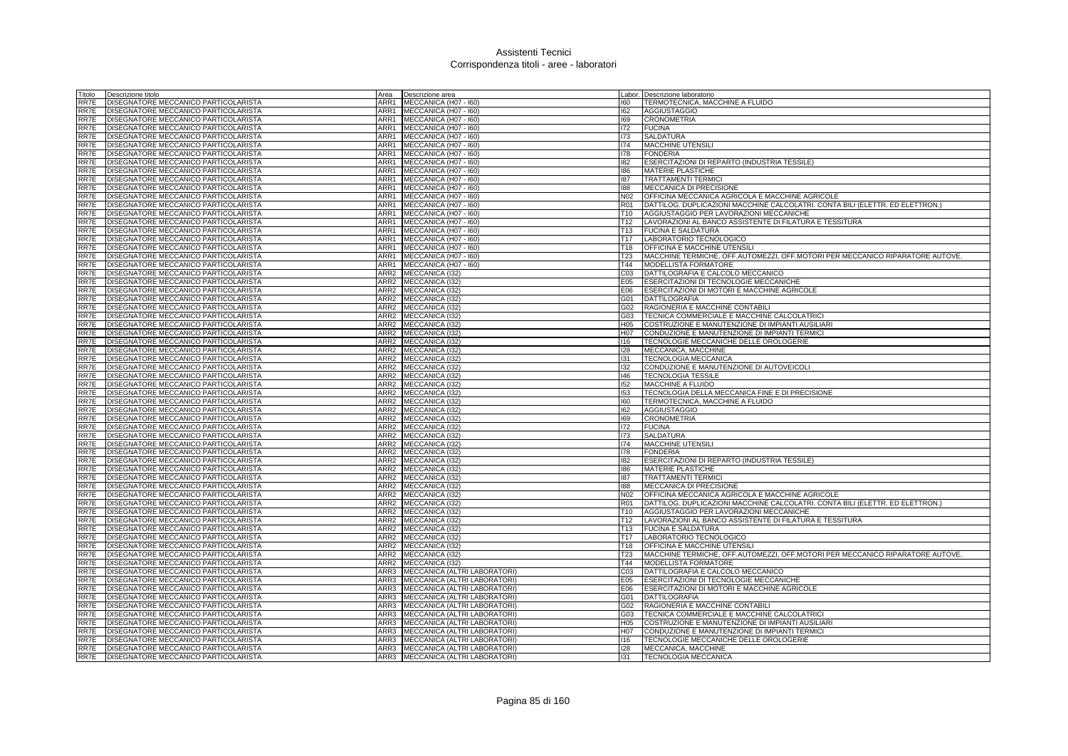| Fitolo       | Descrizione titolo                                                           | Area             | Descrizione area                             |                                     | Labor. Descrizione laboratorio                                                                           |
|--------------|------------------------------------------------------------------------------|------------------|----------------------------------------------|-------------------------------------|----------------------------------------------------------------------------------------------------------|
| RR7E         | DISEGNATORE MECCANICO PARTICOLARISTA                                         | ARR1             | MECCANICA (H07 - I60)                        | 160                                 | TERMOTECNICA, MACCHINE A FLUIDO                                                                          |
| RR7E         | DISEGNATORE MECCANICO PARTICOLARISTA                                         | ARR1             | MECCANICA (H07 - I60)                        | 162                                 | <b>AGGIUSTAGGIO</b>                                                                                      |
| RR7E         | DISEGNATORE MECCANICO PARTICOLARISTA                                         | ARR1             | MECCANICA (H07 - I60)                        | 169                                 | <b>CRONOMETRIA</b>                                                                                       |
| RR7E         | DISEGNATORE MECCANICO PARTICOLARISTA                                         | ARR1             | MECCANICA (H07 - 160)                        | 172                                 | <b>FUCINA</b>                                                                                            |
| RR7E         | DISEGNATORE MECCANICO PARTICOLARISTA                                         | ARR1             | MECCANICA (H07 - I60)                        | 173                                 | <b>SALDATURA</b>                                                                                         |
| RR7E         | DISEGNATORE MECCANICO PARTICOLARISTA                                         | ARR1             | MECCANICA (H07 - I60)                        | 174                                 | MACCHINE UTENSILI                                                                                        |
| RR7E         | DISEGNATORE MECCANICO PARTICOLARISTA                                         | ARR1             | MECCANICA (H07 - I60)                        | 178                                 | <b>FONDERIA</b>                                                                                          |
| RR7E         | DISEGNATORE MECCANICO PARTICOLARISTA                                         | ARR1             | MECCANICA (H07 - I60)                        | 182                                 | ESERCITAZIONI DI REPARTO (INDUSTRIA TESSILE)                                                             |
| RR7E         | DISEGNATORE MECCANICO PARTICOLARISTA                                         | ARR1             | MECCANICA (H07 - 160)                        | 186                                 | <b>MATERIE PLASTICHE</b>                                                                                 |
| RR7E         | DISEGNATORE MECCANICO PARTICOLARISTA                                         | ARR1             | MECCANICA (H07 - I60)                        | 187                                 | <b>TRATTAMENTI TERMIC</b>                                                                                |
| RR7E         | DISEGNATORE MECCANICO PARTICOLARISTA                                         | ARR1             | MECCANICA (H07 - I60)                        | 188                                 | MECCANICA DI PRECISIONE                                                                                  |
| RR7E         | DISEGNATORE MECCANICO PARTICOLARISTA                                         | ARR1             | MECCANICA (H07 - I60)                        | N02                                 | OFFICINA MECCANICA AGRICOLA E MACCHINE AGRICOLE                                                          |
| RR7E         | DISEGNATORE MECCANICO PARTICOLARISTA                                         | ARR1             | MECCANICA (H07 - I60)                        | <b>R01</b>                          | DATTILOG. DUPLICAZIONI MACCHINE CALCOLATRI. CONTA BILI (ELETTR. ED ELETTRON.)                            |
| RR7E         | DISEGNATORE MECCANICO PARTICOLARISTA                                         | ARR1             | MECCANICA (H07 - I60)                        | T <sub>10</sub>                     | AGGIUSTAGGIO PER LAVORAZIONI MECCANICHE                                                                  |
| RR7E         | DISEGNATORE MECCANICO PARTICOLARISTA                                         | ARR1             | MECCANICA (H07 - I60)                        | T12                                 | LAVORAZIONI AL BANCO ASSISTENTE DI FILATURA E TESSITURA                                                  |
| RR7E         | DISEGNATORE MECCANICO PARTICOLARISTA                                         | ARR1             | MECCANICA (H07 - I60)                        | T <sub>13</sub>                     | <b>FUCINA E SALDATURA</b>                                                                                |
|              |                                                                              | ARR1             |                                              | T <sub>17</sub>                     |                                                                                                          |
| RR7E         | DISEGNATORE MECCANICO PARTICOLARISTA                                         |                  | MECCANICA (H07 - I60)                        |                                     | LABORATORIO TECNOLOGICO                                                                                  |
| RR7E         | DISEGNATORE MECCANICO PARTICOLARISTA                                         | ARR1<br>ARR1     | MECCANICA (H07 - I60)                        | T18                                 | <b>OFFICINA E MACCHINE UTENSILI</b>                                                                      |
| RR7E         | DISEGNATORE MECCANICO PARTICOLARISTA                                         |                  | MECCANICA (H07 - I60)                        | T <sub>23</sub><br>T44              | MACCHINE TERMICHE, OFF.AUTOMEZZI, OFF.MOTORI PER MECCANICO RIPARATORE AUTOVE.                            |
| RR7E<br>RR7E | DISEGNATORE MECCANICO PARTICOLARISTA<br>DISEGNATORE MECCANICO PARTICOLARISTA | ARR1<br>ARR2     | MECCANICA (H07 - I60)                        | C03                                 | <b>MODELLISTA FORMATORE</b><br>DATTILOGRAFIA E CALCOLO MECCANICO                                         |
|              |                                                                              | ARR2             | MECCANICA (I32)                              |                                     |                                                                                                          |
| RR7E         | DISEGNATORE MECCANICO PARTICOLARISTA                                         |                  | MECCANICA (I32)                              | E05                                 | ESERCITAZIONI DI TECNOLOGIE MECCANICHE                                                                   |
| RR7E         | DISEGNATORE MECCANICO PARTICOLARISTA                                         | ARR2             | MECCANICA (I32)                              | E06                                 | ESERCITAZIONI DI MOTORI E MACCHINE AGRICOLE                                                              |
| RR7E         | DISEGNATORE MECCANICO PARTICOLARISTA                                         | ARR2             | MECCANICA (I32)                              | G01                                 | <b>DATTILOGRAFIA</b>                                                                                     |
| RR7E         | DISEGNATORE MECCANICO PARTICOLARISTA                                         |                  | ARR2 MECCANICA (I32)                         | G02                                 | RAGIONERIA E MACCHINE CONTABILI                                                                          |
| RR7E         | DISEGNATORE MECCANICO PARTICOLARISTA                                         |                  | ARR2 MECCANICA (I32)                         | G03                                 | TECNICA COMMERCIALE E MACCHINE CALCOLATRICI                                                              |
| RR7E         | DISEGNATORE MECCANICO PARTICOLARISTA<br>DISEGNATORE MECCANICO PARTICOLARISTA | ARR2<br>ARR2     | MECCANICA (I32)<br>MECCANICA (I32)           | H <sub>05</sub><br>H <sub>0</sub> 7 | <b>COSTRUZIONE E MANUTENZIONE DI IMPIANTI AUSILIARI</b><br>CONDUZIONE E MANUTENZIONE DI IMPIANTI TERMICI |
| RR7E<br>RR7E | DISEGNATORE MECCANICO PARTICOLARISTA                                         |                  |                                              | 116                                 |                                                                                                          |
| RR7E         | DISEGNATORE MECCANICO PARTICOLARISTA                                         |                  | ARR2 MECCANICA (I32)<br>ARR2 MECCANICA (I32) | 128                                 | TECNOLOGIE MECCANICHE DELLE OROLOGERIE<br>MECCANICA, MACCHINE                                            |
| RR7E         | <b>DISEGNATORE MECCANICO PARTICOLARISTA</b>                                  | ARR2             | MECCANICA (132)                              | 131                                 | <b>TECNOLOGIA MECCANICA</b>                                                                              |
| RR7E         | DISEGNATORE MECCANICO PARTICOLARISTA                                         | ARR <sub>2</sub> | MECCANICA (I32)                              | 132                                 | CONDUZIONE E MANUTENZIONE DI AUTOVEICOLI                                                                 |
| RR7E         | DISEGNATORE MECCANICO PARTICOLARISTA                                         | ARR2             | MECCANICA (I32)                              | 46                                  | <b>TECNOLOGIA TESSILE</b>                                                                                |
| RR7E         | DISEGNATORE MECCANICO PARTICOLARISTA                                         | ARR2             | MECCANICA (I32)                              | 152                                 | MACCHINE A FLUIDO                                                                                        |
| RR7E         | DISEGNATORE MECCANICO PARTICOLARISTA                                         |                  | ARR2 MECCANICA (I32)                         | 153                                 | TECNOLOGIA DELLA MECCANICA FINE E DI PRECISIONE                                                          |
| RR7E         | DISEGNATORE MECCANICO PARTICOLARISTA                                         | ARR <sub>2</sub> | MECCANICA (I32)                              | 160                                 | TERMOTECNICA, MACCHINE A FLUIDO                                                                          |
| RR7E         | DISEGNATORE MECCANICO PARTICOLARISTA                                         | ARR2             | MECCANICA (I32)                              | 162                                 | <b>AGGIUSTAGGIO</b>                                                                                      |
| RR7E         | DISEGNATORE MECCANICO PARTICOLARISTA                                         |                  | ARR2 MECCANICA (I32)                         | 169                                 | <b>CRONOMETRIA</b>                                                                                       |
| RR7E         | DISEGNATORE MECCANICO PARTICOLARISTA                                         | ARR2             | MECCANICA (I32)                              | 172                                 | <b>FUCINA</b>                                                                                            |
| RR7E         | DISEGNATORE MECCANICO PARTICOLARISTA                                         | ARR2             | MECCANICA (I32)                              | 173                                 | <b>SALDATURA</b>                                                                                         |
| RR7E         | DISEGNATORE MECCANICO PARTICOLARISTA                                         | ARR2             | MECCANICA (I32)                              | 174                                 | MACCHINE UTENSILI                                                                                        |
| RR7E         | DISEGNATORE MECCANICO PARTICOLARISTA                                         |                  | ARR2 MECCANICA (I32)                         | 178                                 | <b>FONDERIA</b>                                                                                          |
| RR7E         | DISEGNATORE MECCANICO PARTICOLARISTA                                         | ARR2             | MECCANICA (I32)                              | 182                                 | ESERCITAZIONI DI REPARTO (INDUSTRIA TESSILE)                                                             |
| RR7E         | DISEGNATORE MECCANICO PARTICOLARISTA                                         | ARR2             | MECCANICA (132)                              | 186                                 | <b>MATERIE PLASTICHE</b>                                                                                 |
| RR7E         | DISEGNATORE MECCANICO PARTICOLARISTA                                         | ARR <sub>2</sub> | MECCANICA (I32)                              | 187                                 | <b>TRATTAMENTI TERMICI</b>                                                                               |
| RR7E         | DISEGNATORE MECCANICO PARTICOLARISTA                                         | ARR2             | MECCANICA (I32)                              | 188                                 | MECCANICA DI PRECISIONE                                                                                  |
| RR7E         | DISEGNATORE MECCANICO PARTICOLARISTA                                         | ARR2             | MECCANICA (I32)                              | N <sub>02</sub>                     | OFFICINA MECCANICA AGRICOLA E MACCHINE AGRICOLE                                                          |
| RR7E         | DISEGNATORE MECCANICO PARTICOLARISTA                                         | ARR2             | MECCANICA (132)                              | <b>R01</b>                          | DATTILOG. DUPLICAZIONI MACCHINE CALCOLATRI. CONTA BILI (ELETTR. ED ELETTRON.)                            |
| RR7E         | DISEGNATORE MECCANICO PARTICOLARISTA                                         | ARR <sub>2</sub> | MECCANICA (I32)                              | T <sub>10</sub>                     | AGGIUSTAGGIO PER LAVORAZIONI MECCANICHE                                                                  |
| RR7E         | DISEGNATORE MECCANICO PARTICOLARISTA                                         | ARR <sub>2</sub> | MECCANICA (I32)                              | T <sub>12</sub>                     | LAVORAZIONI AL BANCO ASSISTENTE DI FILATURA E TESSITURA                                                  |
| RR7E         | DISEGNATORE MECCANICO PARTICOLARISTA                                         | ARR2             | MECCANICA (I32)                              | T <sub>13</sub>                     | <b>FUCINA E SALDATURA</b>                                                                                |
| RR7E         | DISEGNATORE MECCANICO PARTICOLARISTA                                         | ARR2             | MECCANICA (I32)                              | T17                                 | LABORATORIO TECNOLOGICO                                                                                  |
| RR7E         | DISEGNATORE MECCANICO PARTICOLARISTA                                         | ARR <sub>2</sub> | MECCANICA (I32)                              | T18                                 | OFFICINA E MACCHINE UTENSILI                                                                             |
| RR7E         | DISEGNATORE MECCANICO PARTICOLARISTA                                         | ARR2             | MECCANICA (I32)                              | <b>T23</b>                          | MACCHINE TERMICHE, OFF.AUTOMEZZI, OFF.MOTORI PER MECCANICO RIPARATORE AUTOVE.                            |
| RR7E         | DISEGNATORE MECCANICO PARTICOLARISTA                                         | ARR2             | MECCANICA (I32)                              | T44                                 | <b>MODELLISTA FORMATORE</b>                                                                              |
| RR7E         | DISEGNATORE MECCANICO PARTICOLARISTA                                         | ARR3             | MECCANICA (ALTRI LABORATORI)                 | CO <sub>3</sub>                     | DATTILOGRAFIA E CALCOLO MECCANICO                                                                        |
| RR7E         | DISEGNATORE MECCANICO PARTICOLARISTA                                         | ARR3             | MECCANICA (ALTRI LABORATORI)                 | E05                                 | <b>ESERCITAZIONI DI TECNOLOGIE MECCANICHE</b>                                                            |
| RR7E         | DISEGNATORE MECCANICO PARTICOLARISTA                                         | ARR3             | MECCANICA (ALTRI LABORATORI)                 | E06                                 | ESERCITAZIONI DI MOTORI E MACCHINE AGRICOLE                                                              |
| RR7E         | DISEGNATORE MECCANICO PARTICOLARISTA                                         | ARR3             | MECCANICA (ALTRI LABORATORI)                 | G01                                 | <b>DATTILOGRAFIA</b>                                                                                     |
| RR7E         | DISEGNATORE MECCANICO PARTICOLARISTA                                         | ARR3             | MECCANICA (ALTRI LABORATORI)                 | G02                                 | RAGIONERIA E MACCHINE CONTABILI                                                                          |
| RR7E         | DISEGNATORE MECCANICO PARTICOLARISTA                                         | ARR3             | MECCANICA (ALTRI LABORATORI)                 | G03                                 | TECNICA COMMERCIALE E MACCHINE CALCOLATRIC                                                               |
| RR7E         | DISEGNATORE MECCANICO PARTICOLARISTA                                         | ARR3             | MECCANICA (ALTRI LABORATORI)                 | H05                                 | COSTRUZIONE E MANUTENZIONE DI IMPIANTI AUSILIARI                                                         |
| RR7E         | DISEGNATORE MECCANICO PARTICOLARISTA                                         | ARR3             | MECCANICA (ALTRI LABORATORI)                 | H07                                 | CONDUZIONE E MANUTENZIONE DI IMPIANTI TERMICI                                                            |
| RR7E         | DISEGNATORE MECCANICO PARTICOLARISTA                                         | ARR3             | MECCANICA (ALTRI LABORATORI)                 | 116                                 | TECNOLOGIE MECCANICHE DELLE OROLOGERIE                                                                   |
| RR7E         | DISEGNATORE MECCANICO PARTICOLARISTA                                         | ARR3             | MECCANICA (ALTRI LABORATORI)                 | 128                                 | MECCANICA, MACCHINE                                                                                      |
| RR7E         | <b>DISEGNATORE MECCANICO PARTICOLARISTA</b>                                  |                  | ARR3 MECCANICA (ALTRI LABORATORI)            | 131                                 | <b>TECNOLOGIA MECCANICA</b>                                                                              |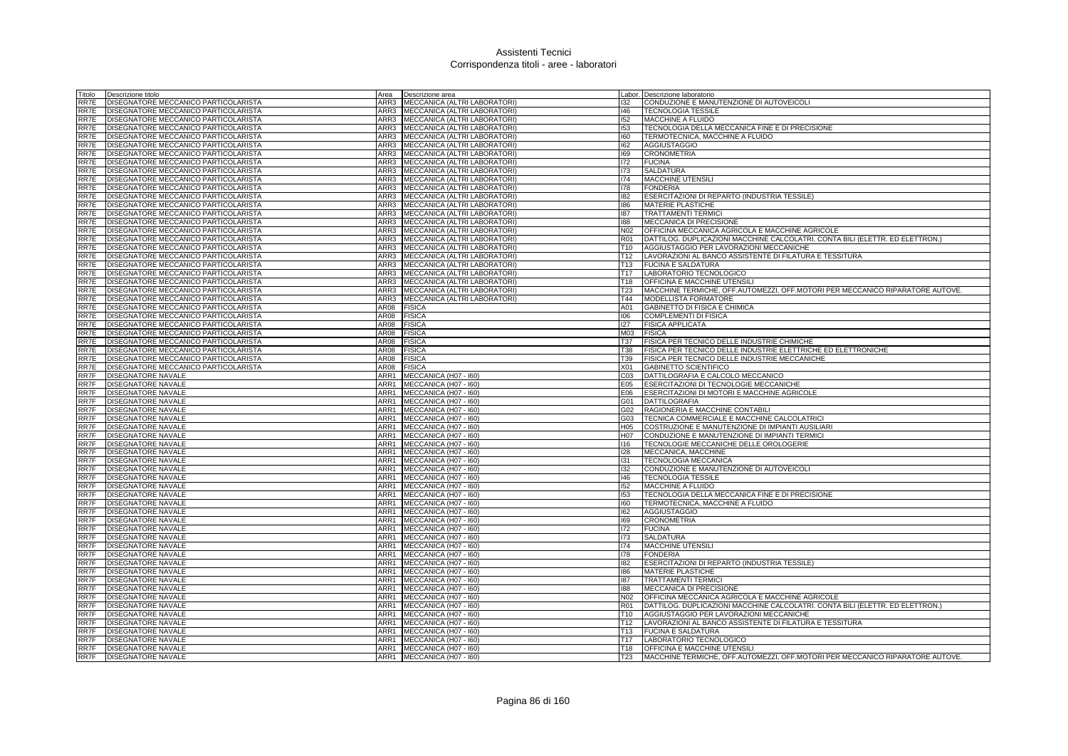| Fitolo       | Descrizione titolo                                                           | Area         | Descrizione area                  |                  | Labor. Descrizione laboratorio                                                |
|--------------|------------------------------------------------------------------------------|--------------|-----------------------------------|------------------|-------------------------------------------------------------------------------|
| RR7E         | DISEGNATORE MECCANICO PARTICOLARISTA                                         | ARR3         | MECCANICA (ALTRI LABORATORI)      | 132              | CONDUZIONE E MANUTENZIONE DI AUTOVEICOLI                                      |
| RR7E         | DISEGNATORE MECCANICO PARTICOLARISTA                                         | ARR3         | MECCANICA (ALTRI LABORATORI)      | 146              | <b>TECNOLOGIA TESSILE</b>                                                     |
| RR7E         | DISEGNATORE MECCANICO PARTICOLARISTA                                         |              | ARR3 MECCANICA (ALTRI LABORATORI) | 152              | MACCHINE A FLUIDO                                                             |
| RR7E         | DISEGNATORE MECCANICO PARTICOLARISTA                                         | ARR3         | MECCANICA (ALTRI LABORATORI)      | 153              | TECNOLOGIA DELLA MECCANICA FINE E DI PRECISIONE                               |
| RR7E         | DISEGNATORE MECCANICO PARTICOLARISTA                                         | ARR3         | MECCANICA (ALTRI LABORATORI)      | 160              | TERMOTECNICA, MACCHINE A FLUIDO                                               |
| RR7E         | DISEGNATORE MECCANICO PARTICOLARISTA                                         | ARR3         | MECCANICA (ALTRI LABORATORI)      | 162              | <b>AGGIUSTAGGIO</b>                                                           |
| RR7E         | DISEGNATORE MECCANICO PARTICOLARISTA                                         | ARR3         | MECCANICA (ALTRI LABORATORI)      | 169              | <b>CRONOMETRIA</b>                                                            |
| RR7E         | DISEGNATORE MECCANICO PARTICOLARISTA                                         | ARR3         | MECCANICA (ALTRI LABORATORI)      | 172              | <b>FUCINA</b>                                                                 |
| RR7E         | DISEGNATORE MECCANICO PARTICOLARISTA                                         | ARR3         | MECCANICA (ALTRI LABORATORI)      | 173              | <b>SALDATURA</b>                                                              |
| RR7E         | DISEGNATORE MECCANICO PARTICOLARISTA                                         | ARR3         | MECCANICA (ALTRI LABORATORI)      | 174              | MACCHINE UTENSILI                                                             |
| RR7E         | DISEGNATORE MECCANICO PARTICOLARISTA                                         | ARR3         | MECCANICA (ALTRI LABORATORI)      | 178              | <b>FONDERIA</b>                                                               |
| RR7E         | DISEGNATORE MECCANICO PARTICOLARISTA                                         | ARR3         | MECCANICA (ALTRI LABORATORI)      | 182              | ESERCITAZIONI DI REPARTO (INDUSTRIA TESSILE)                                  |
| RR7E         | DISEGNATORE MECCANICO PARTICOLARISTA                                         | ARR3         | MECCANICA (ALTRI LABORATORI)      | 186              | <b>MATERIE PLASTICHE</b>                                                      |
| RR7E         | DISEGNATORE MECCANICO PARTICOLARISTA                                         | ARR3         | MECCANICA (ALTRI LABORATORI)      | 187              | <b>TRATTAMENTI TERMIC</b>                                                     |
| RR7E         | DISEGNATORE MECCANICO PARTICOLARISTA                                         | ARR3         | MECCANICA (ALTRI LABORATORI)      | 188              | MECCANICA DI PRECISIONE                                                       |
| RR7E         | DISEGNATORE MECCANICO PARTICOLARISTA                                         | ARR3         | MECCANICA (ALTRI LABORATORI)      | N02              | OFFICINA MECCANICA AGRICOLA E MACCHINE AGRICOLE                               |
| RR7E         | DISEGNATORE MECCANICO PARTICOLARISTA                                         | ARR3         | MECCANICA (ALTRI LABORATORI)      | <b>R01</b>       | DATTILOG. DUPLICAZIONI MACCHINE CALCOLATRI. CONTA BILI (ELETTR. ED ELETTRON.) |
| RR7E         | DISEGNATORE MECCANICO PARTICOLARISTA                                         | ARR3         | MECCANICA (ALTRI LABORATORI)      | T <sub>10</sub>  | AGGIUSTAGGIO PER LAVORAZIONI MECCANICHE                                       |
| RR7E         | DISEGNATORE MECCANICO PARTICOLARISTA                                         | ARR3         | MECCANICA (ALTRI LABORATORI)      | T12              | LAVORAZIONI AL BANCO ASSISTENTE DI FILATURA E TESSITURA                       |
| RR7E         | DISEGNATORE MECCANICO PARTICOLARISTA                                         | ARR3         | MECCANICA (ALTRI LABORATORI)      | T <sub>13</sub>  | <b>FUCINA E SALDATURA</b>                                                     |
| RR7E         | DISEGNATORE MECCANICO PARTICOLARISTA                                         | ARR3         | MECCANICA (ALTRI LABORATORI)      | T <sub>17</sub>  | LABORATORIO TECNOLOGICO                                                       |
| RR7E         | DISEGNATORE MECCANICO PARTICOLARISTA                                         | ARR3         | MECCANICA (ALTRI LABORATORI)      | T18              | OFFICINA E MACCHINE UTENSIL                                                   |
| RR7E         | DISEGNATORE MECCANICO PARTICOLARISTA                                         | ARR3         | MECCANICA (ALTRI LABORATORI)      | T23              | MACCHINE TERMICHE, OFF.AUTOMEZZI, OFF.MOTORI PER MECCANICO RIPARATORE AUTOVE. |
| RR7E         | DISEGNATORE MECCANICO PARTICOLARISTA                                         | ARR3         | MECCANICA (ALTRI LABORATORI)      | T44              | <b>MODELLISTA FORMATORE</b>                                                   |
| RR7E         | DISEGNATORE MECCANICO PARTICOLARISTA                                         | AR08         | <b>FISICA</b>                     | A01              | GABINETTO DI FISICA E CHIMICA                                                 |
| RR7E         | DISEGNATORE MECCANICO PARTICOLARISTA                                         | AR08         | <b>FISICA</b>                     | 106              | COMPLEMENTI DI FISICA                                                         |
| RR7E<br>RR7E | DISEGNATORE MECCANICO PARTICOLARISTA<br>DISEGNATORE MECCANICO PARTICOLARISTA | AR08         | <b>FISICA</b><br><b>FISICA</b>    | 127<br>M03       | <b>FISICA APPLICATA</b>                                                       |
| RR7E         |                                                                              | AR08<br>AR08 |                                   | T37              | <b>FISICA</b>                                                                 |
|              | DISEGNATORE MECCANICO PARTICOLARISTA                                         | AR08         | <b>FISICA</b><br><b>FISICA</b>    | <b>T38</b>       | FISICA PER TECNICO DELLE INDUSTRIE CHIMICHE                                   |
| RR7E<br>RR7E | DISEGNATORE MECCANICO PARTICOLARISTA                                         | AR08         |                                   | T39              | FISICA PER TECNICO DELLE INDUSTRIE ELETTRICHE ED ELETTRONICHE                 |
| RR7E         | DISEGNATORE MECCANICO PARTICOLARISTA<br>DISEGNATORE MECCANICO PARTICOLARISTA | AR08         | <b>FISICA</b><br><b>FISICA</b>    | X01              | FISICA PER TECNICO DELLE INDUSTRIE MECCANICHE<br><b>GABINETTO SCIENTIFICO</b> |
| RR7F         | <b>DISEGNATORE NAVALE</b>                                                    | ARR1         | MECCANICA (H07 - I60)             | CO <sub>3</sub>  | DATTILOGRAFIA E CALCOLO MECCANICO                                             |
| RR7F         | <b>DISEGNATORE NAVALE</b>                                                    | ARR1         | MECCANICA (H07 - I60)             | E05              | <b>ESERCITAZIONI DI TECNOLOGIE MECCANICHE</b>                                 |
| RR7F         | <b>DISEGNATORE NAVALE</b>                                                    | ARR1         | MECCANICA (H07 - I60)             | E06              | ESERCITAZIONI DI MOTORI E MACCHINE AGRICOLE                                   |
| RR7F         | <b>DISEGNATORE NAVALE</b>                                                    | ARR1         | MECCANICA (H07 - I60)             | G01              | <b>DATTILOGRAFIA</b>                                                          |
| RR7F         | <b>DISEGNATORE NAVALE</b>                                                    | ARR1         | MECCANICA (H07 - 160)             | G02              | RAGIONERIA E MACCHINE CONTABILI                                               |
| RR7F         | <b>DISEGNATORE NAVALE</b>                                                    | ARR1         | MECCANICA (H07 - I60)             | G03              | TECNICA COMMERCIALE E MACCHINE CALCOLATRICI                                   |
| RR7F         | <b>DISEGNATORE NAVALE</b>                                                    | ARR1         | MECCANICA (H07 - I60)             | H <sub>05</sub>  | <b>COSTRUZIONE E MANUTENZIONE DI IMPIANTI AUSILIARI</b>                       |
| RR7F         | <b>DISEGNATORE NAVALE</b>                                                    | ARR1         | MECCANICA (H07 - I60)             | H <sub>0</sub> 7 | CONDUZIONE E MANUTENZIONE DI IMPIANTI TERMICI                                 |
| RR7F         | DISEGNATORE NAVALE                                                           | ARR1         | MECCANICA (H07 - I60)             | 116              | TECNOLOGIE MECCANICHE DELLE OROLOGERIE                                        |
| RR7F         | <b>DISEGNATORE NAVALE</b>                                                    | ARR1         | MECCANICA (H07 - I60)             | 128              | MECCANICA, MACCHINE                                                           |
| RR7F         | DISEGNATORE NAVALE                                                           | ARR1         | MECCANICA (H07 - I60)             | 131              | <b>TECNOLOGIA MECCANICA</b>                                                   |
| RR7F         | <b>DISEGNATORE NAVALE</b>                                                    | ARR1         | MECCANICA (H07 - I60)             | 132              | CONDUZIONE E MANUTENZIONE DI AUTOVEICOLI                                      |
| RR7F         | <b>DISEGNATORE NAVALE</b>                                                    | ARR1         | MECCANICA (H07 - I60)             | 146              | <b>TECNOLOGIA TESSILE</b>                                                     |
| RR7F         | <b>DISEGNATORE NAVALE</b>                                                    | ARR1         | MECCANICA (H07 - I60)             | 152              | MACCHINE A FLUIDO                                                             |
| RR7F         | DISEGNATORE NAVALE                                                           | ARR1         | MECCANICA (H07 - I60)             | 153              | TECNOLOGIA DELLA MECCANICA FINE E DI PRECISIONE                               |
| RR7F         | <b>DISEGNATORE NAVALE</b>                                                    | ARR1         | MECCANICA (H07 - I60)             | 160              | TERMOTECNICA, MACCHINE A FLUIDO                                               |
| RR7F         | DISEGNATORE NAVALE                                                           | ARR1         | MECCANICA (H07 - I60)             | 162              | <b>AGGIUSTAGGIO</b>                                                           |
| RR7F         | <b>DISEGNATORE NAVALE</b>                                                    | ARR1         | MECCANICA (H07 - I60)             | 169              | <b>CRONOMETRIA</b>                                                            |
| RR7F         | <b>DISEGNATORE NAVALE</b>                                                    | ARR1         | MECCANICA (H07 - I60)             | 172              | <b>FUCINA</b>                                                                 |
| RR7F         | <b>DISEGNATORE NAVALE</b>                                                    | ARR1         | MECCANICA (H07 - I60)             | 173              | <b>SALDATURA</b>                                                              |
| RR7F         | <b>DISEGNATORE NAVALE</b>                                                    | ARR1         | MECCANICA (H07 - I60)             | 174              | <b>MACCHINE UTENSILI</b>                                                      |
| RR7F         | DISEGNATORE NAVALE                                                           | ARR1         | MECCANICA (H07 - I60)             | 178              | <b>FONDERIA</b>                                                               |
| RR7F         | <b>DISEGNATORE NAVALE</b>                                                    | ARR1         | MECCANICA (H07 - I60)             | 182              | ESERCITAZIONI DI REPARTO (INDUSTRIA TESSILE)                                  |
| RR7F         | DISEGNATORE NAVALE                                                           | ARR1         | MECCANICA (H07 - I60)             | 186              | <b>MATERIE PLASTICHE</b>                                                      |
| RR7F         | DISEGNATORE NAVALE                                                           | ARR1         | MECCANICA (H07 - I60)             | 187              | <b>TRATTAMENTI TERMIC</b>                                                     |
| RR7F         | DISEGNATORE NAVALE                                                           | ARR1         | MECCANICA (H07 - I60)             | 188              | MECCANICA DI PRECISIONE                                                       |
| RR7F         | DISEGNATORE NAVALE                                                           | ARR1         | MECCANICA (H07 - I60)             | N02              | OFFICINA MECCANICA AGRICOLA E MACCHINE AGRICOLE                               |
| RR7F         | DISEGNATORE NAVALE                                                           | ARR1         | MECCANICA (H07 - I60)             | <b>R01</b>       | DATTILOG. DUPLICAZIONI MACCHINE CALCOLATRI. CONTA BILI (ELETTR. ED ELETTRON.) |
| RR7F         | <b>DISEGNATORE NAVALE</b>                                                    | ARR1         | MECCANICA (H07 - I60)             | T <sub>10</sub>  | AGGIUSTAGGIO PER LAVORAZIONI MECCANICHE                                       |
| RR7F         | <b>DISEGNATORE NAVALE</b>                                                    | ARR1         | MECCANICA (H07 - I60)             | T <sub>12</sub>  | LAVORAZIONI AL BANCO ASSISTENTE DI FILATURA E TESSITURA                       |
| RR7F         | DISEGNATORE NAVALE                                                           | ARR1         | MECCANICA (H07 - I60)             | T <sub>13</sub>  | <b>FUCINA E SALDATURA</b>                                                     |
| RR7F         | <b>DISEGNATORE NAVALE</b>                                                    | ARR1         | MECCANICA (H07 - 160)             | T <sub>17</sub>  | LABORATORIO TECNOLOGICO                                                       |
| RR7F         | <b>DISEGNATORE NAVALE</b>                                                    | ARR1         | MECCANICA (H07 - I60)             | T <sub>18</sub>  | <b>OFFICINA E MACCHINE UTENSILI</b>                                           |
| RR7F         | <b>DISEGNATORE NAVALE</b>                                                    |              | ARR1 MECCANICA (H07 - 160)        | T23              | MACCHINE TERMICHE, OFF AUTOMEZZI, OFF MOTORI PER MECCANICO RIPARATORE AUTOVE. |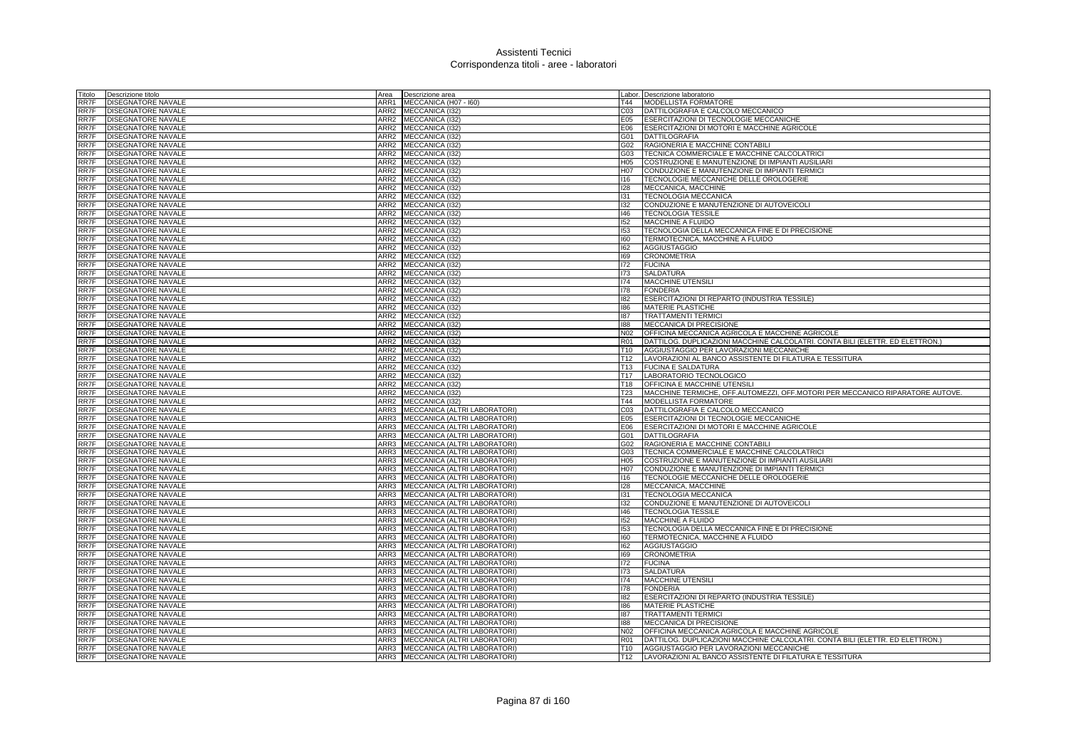| Titolo               | Descrizione titolo                                     | Area | Descrizione area                                                       |                                    | Labor. Descrizione laboratorio                                                                     |
|----------------------|--------------------------------------------------------|------|------------------------------------------------------------------------|------------------------------------|----------------------------------------------------------------------------------------------------|
| RR7F                 | DISEGNATORE NAVALE                                     | ARR1 | MECCANICA (H07 - I60)                                                  | T44                                | MODELLISTA FORMATORE                                                                               |
| RR7F                 | <b>DISEGNATORE NAVALE</b>                              | ARR2 | MECCANICA (I32)                                                        | CO <sub>3</sub>                    | DATTILOGRAFIA E CALCOLO MECCANICO                                                                  |
| RR7F                 | <b>DISEGNATORE NAVALE</b>                              |      | ARR2 MECCANICA (I32)                                                   | E05                                | ESERCITAZIONI DI TECNOLOGIE MECCANICHE                                                             |
| RR7F                 | <b>DISEGNATORE NAVALE</b>                              |      | ARR2 MECCANICA (I32)                                                   | E06                                | ESERCITAZIONI DI MOTORI E MACCHINE AGRICOLE                                                        |
| RR7F                 | <b>DISEGNATORE NAVALE</b>                              | ARR2 | MECCANICA (I32)                                                        | G01                                | <b>DATTILOGRAFIA</b>                                                                               |
| RR7F                 | <b>DISEGNATORE NAVALE</b>                              | ARR2 | MECCANICA (I32)                                                        | G02                                | RAGIONERIA E MACCHINE CONTABILI                                                                    |
| RR7F                 | DISEGNATORE NAVALE                                     | ARR2 | MECCANICA (I32)                                                        | G03                                | TECNICA COMMERCIALE E MACCHINE CALCOLATRICI                                                        |
| RR7F                 | <b>DISEGNATORE NAVALE</b>                              |      | ARR2 MECCANICA (I32)                                                   | H <sub>05</sub>                    | COSTRUZIONE E MANUTENZIONE DI IMPIANTI AUSILIARI                                                   |
| RR7F                 | <b>DISEGNATORE NAVALE</b>                              |      | ARR2 MECCANICA (I32)                                                   | H07                                | CONDUZIONE E MANUTENZIONE DI IMPIANTI TERMICI                                                      |
| RR7F                 | <b>DISEGNATORE NAVALE</b>                              | ARR2 | MECCANICA (I32)                                                        | 116                                | TECNOLOGIE MECCANICHE DELLE OROLOGERIE                                                             |
| RR7F                 | <b>DISEGNATORE NAVALE</b>                              | ARR2 | MECCANICA (I32)                                                        | 128                                | MECCANICA, MACCHINE                                                                                |
| RR7F                 | <b>DISEGNATORE NAVALE</b>                              |      | ARR2 MECCANICA (I32)                                                   | 131                                | <b>TECNOLOGIA MECCANICA</b>                                                                        |
| RR7F                 | <b>DISEGNATORE NAVALE</b>                              |      | ARR2 MECCANICA (I32)                                                   | 132                                | CONDUZIONE E MANUTENZIONE DI AUTOVEICOLI                                                           |
| RR7F                 |                                                        | ARR2 |                                                                        | 146                                |                                                                                                    |
|                      | <b>DISEGNATORE NAVALE</b>                              | ARR2 | MECCANICA (I32)<br>MECCANICA (I32)                                     | 152                                | <b>TECNOLOGIA TESSILE</b>                                                                          |
| RR7F                 | <b>DISEGNATORE NAVALE</b>                              |      |                                                                        | 153                                | MACCHINE A FLUIDO                                                                                  |
| RR7F                 | <b>DISEGNATORE NAVALE</b>                              | ARR2 | MECCANICA (I32)                                                        |                                    | TECNOLOGIA DELLA MECCANICA FINE E DI PRECISIONE                                                    |
| RR7F                 | <b>DISEGNATORE NAVALE</b>                              | ARR2 | MECCANICA (I32)                                                        | 160                                | TERMOTECNICA, MACCHINE A FLUIDO                                                                    |
| RR7F                 | <b>DISEGNATORE NAVALE</b>                              | ARR2 | MECCANICA (I32)                                                        | 162                                | <b>AGGIUSTAGGIO</b>                                                                                |
| RR7F                 | <b>DISEGNATORE NAVALE</b>                              | ARR2 | <b>MECCANICA (I32)</b>                                                 | 169                                | <b>CRONOMETRIA</b>                                                                                 |
| RR7F                 | <b>DISEGNATORE NAVALE</b>                              | ARR2 | MECCANICA (I32)                                                        | 172                                | <b>FUCINA</b>                                                                                      |
| RR7F                 | DISEGNATORE NAVALE                                     |      | ARR2 MECCANICA (I32)                                                   | 173                                | <b>SALDATURA</b>                                                                                   |
| RR7F                 | <b>DISEGNATORE NAVALE</b>                              |      | ARR2 MECCANICA (I32)                                                   | 174                                | MACCHINE UTENSILI                                                                                  |
| RR7F                 | <b>DISEGNATORE NAVALE</b>                              | ARR2 | MECCANICA (I32)                                                        | 178                                | <b>FONDERIA</b>                                                                                    |
| RR7F                 | DISEGNATORE NAVALE                                     | ARR2 | MECCANICA (I32)                                                        | 182                                | ESERCITAZIONI DI REPARTO (INDUSTRIA TESSILE)                                                       |
| RR7F                 | <b>DISEGNATORE NAVALE</b>                              | ARR2 | MECCANICA (I32)                                                        | 186                                | MATERIE PLASTICHE                                                                                  |
| RR7F                 | <b>DISEGNATORE NAVALE</b>                              |      | ARR2 MECCANICA (I32)                                                   | 187                                | <b>TRATTAMENTI TERMICI</b>                                                                         |
| RR7F                 | <b>DISEGNATORE NAVALE</b>                              | ARR2 | MECCANICA (132)                                                        | 188                                | MECCANICA DI PRECISIONE                                                                            |
| RR7F                 | <b>DISEGNATORE NAVALE</b>                              | ARR2 | MECCANICA (I32)                                                        | N02                                | OFFICINA MECCANICA AGRICOLA E MACCHINE AGRICOLE                                                    |
| RR7F                 | <b>DISEGNATORE NAVALE</b>                              |      | ARR2 MECCANICA (I32)                                                   | <b>R01</b>                         | DATTILOG. DUPLICAZIONI MACCHINE CALCOLATRI. CONTA BILI (ELETTR. ED ELETTRON.)                      |
| RR7F                 | <b>DISEGNATORE NAVALE</b>                              |      | ARR2 MECCANICA (I32)                                                   | T <sub>10</sub>                    | AGGIUSTAGGIO PER LAVORAZIONI MECCANICHE                                                            |
| RR7F                 | <b>DISEGNATORE NAVALE</b>                              | ARR2 | MECCANICA (I32)                                                        | T <sub>12</sub>                    | LAVORAZIONI AL BANCO ASSISTENTE DI FILATURA E TESSITURA                                            |
| RR7F                 | <b>DISEGNATORE NAVALE</b>                              | ARR2 | MECCANICA (132)                                                        | T13                                | <b>FUCINA E SALDATURA</b>                                                                          |
|                      |                                                        |      |                                                                        |                                    |                                                                                                    |
| RR7F                 | <b>DISEGNATORE NAVALE</b>                              |      |                                                                        | T17                                |                                                                                                    |
| RR7F                 | <b>DISEGNATORE NAVALE</b>                              |      | ARR2 MECCANICA (I32)                                                   | T18                                | LABORATORIO TECNOLOGICO<br><b>OFFICINA E MACCHINE UTENSILI</b>                                     |
| RR7F                 | <b>DISEGNATORE NAVALE</b>                              |      | ARR2 MECCANICA (I32)<br>ARR2 MECCANICA (I32)                           | <b>T23</b>                         | MACCHINE TERMICHE, OFF.AUTOMEZZI, OFF.MOTORI PER MECCANICO RIPARATORE AUTOVE.                      |
|                      |                                                        |      |                                                                        | T44                                | <b>MODELLISTA FORMATORE</b>                                                                        |
| RR7F                 | <b>DISEGNATORE NAVALE</b>                              |      | ARR2 MECCANICA (I32)                                                   |                                    |                                                                                                    |
| RR7F                 | <b>DISEGNATORE NAVALE</b>                              |      | ARR3 MECCANICA (ALTRI LABORATORI)                                      | CO <sub>3</sub>                    | DATTILOGRAFIA E CALCOLO MECCANICO                                                                  |
| RR7F                 | <b>DISEGNATORE NAVALE</b>                              |      | ARR3 MECCANICA (ALTRI LABORATORI)                                      | E05                                | <b>ESERCITAZIONI DI TECNOLOGIE MECCANICHE</b>                                                      |
| RR7F                 | <b>DISEGNATORE NAVALE</b>                              |      | ARR3 MECCANICA (ALTRI LABORATORI)                                      | E06                                | ESERCITAZIONI DI MOTORI E MACCHINE AGRICOLE                                                        |
| RR7F                 | <b>DISEGNATORE NAVALE</b>                              | ARR3 | MECCANICA (ALTRI LABORATORI)                                           | G01                                | <b>DATTILOGRAFIA</b>                                                                               |
| RR7F                 | <b>DISEGNATORE NAVALE</b>                              | ARR3 | MECCANICA (ALTRI LABORATORI)                                           | G02                                | RAGIONERIA E MACCHINE CONTABILI                                                                    |
| RR7F                 | <b>DISEGNATORE NAVALE</b>                              | ARR3 | MECCANICA (ALTRI LABORATORI)                                           | G03                                | TECNICA COMMERCIALE E MACCHINE CALCOLATRICI                                                        |
| RR7F                 | <b>DISEGNATORE NAVALE</b>                              |      | ARR3 MECCANICA (ALTRI LABORATORI)                                      | H <sub>05</sub>                    | COSTRUZIONE E MANUTENZIONE DI IMPIANTI AUSILIARI                                                   |
| RR7F                 | <b>DISEGNATORE NAVALE</b>                              | ARR3 | MECCANICA (ALTRI LABORATORI)                                           | H07                                | CONDUZIONE E MANUTENZIONE DI IMPIANTI TERMICI                                                      |
|                      | <b>DISEGNATORE NAVALE</b>                              | ARR3 | MECCANICA (ALTRI LABORATORI)                                           | 116                                | TECNOLOGIE MECCANICHE DELLE OROLOGERIE                                                             |
| RR7F<br>RR7F         | <b>DISEGNATORE NAVALE</b>                              | ARR3 | MECCANICA (ALTRI LABORATORI)                                           | 128                                | MECCANICA, MACCHINE                                                                                |
| RR7F                 | <b>DISEGNATORE NAVALE</b>                              |      | ARR3 MECCANICA (ALTRI LABORATORI)                                      | 131                                | <b>TECNOLOGIA MECCANICA</b>                                                                        |
|                      | DISEGNATORE NAVALE                                     | ARR3 | MECCANICA (ALTRI LABORATORI)                                           | 132                                | CONDUZIONE E MANUTENZIONE DI AUTOVEICOLI                                                           |
| RR7F<br>RR7F         | DISEGNATORE NAVALE                                     | ARR3 | MECCANICA (ALTRI LABORATORI)                                           | 146                                | <b>TECNOLOGIA TESSILE</b>                                                                          |
| RR7F                 | DISEGNATORE NAVALE                                     | ARR3 | MECCANICA (ALTRI LABORATORI)                                           | 152                                | MACCHINE A FLUIDO                                                                                  |
| RR7F                 | <b>DISEGNATORE NAVALE</b>                              | ARR3 | MECCANICA (ALTRI LABORATORI)                                           | 153                                | TECNOLOGIA DELLA MECCANICA FINE E DI PRECISIONE                                                    |
| RR7F                 | <b>DISEGNATORE NAVALE</b>                              | ARR3 | MECCANICA (ALTRI LABORATORI)                                           | 160                                | TERMOTECNICA, MACCHINE A FLUIDO                                                                    |
| RR7F                 | <b>DISEGNATORE NAVALE</b>                              | ARR3 | MECCANICA (ALTRI LABORATORI)                                           | 162                                | <b>AGGIUSTAGGIO</b>                                                                                |
| <b>RR7F</b>          | <b>DISEGNATORE NAVALE</b>                              | ARR3 | MECCANICA (ALTRI LABORATORI)                                           | 169                                | <b>CRONOMETRIA</b>                                                                                 |
| RR7F                 | <b>DISEGNATORE NAVALE</b>                              | ARR3 | MECCANICA (ALTRI LABORATORI)                                           | 172                                | <b>FUCINA</b>                                                                                      |
| RR7F                 | <b>DISEGNATORE NAVALE</b>                              | ARR3 | MECCANICA (ALTRI LABORATORI)                                           | 173                                | <b>SALDATURA</b>                                                                                   |
|                      | <b>DISEGNATORE NAVALE</b>                              | ARR3 | MECCANICA (ALTRI LABORATORI)                                           | 174                                | <b>MACCHINE UTENSIL</b>                                                                            |
|                      | <b>DISEGNATORE NAVALE</b>                              | ARR3 | MECCANICA (ALTRI LABORATORI)                                           | 178                                | <b>FONDERIA</b>                                                                                    |
| RR7F<br>RR7F<br>RR7F | <b>DISEGNATORE NAVALE</b>                              | ARR3 | MECCANICA (ALTRI LABORATORI)                                           | 182                                | ESERCITAZIONI DI REPARTO (INDUSTRIA TESSILE)                                                       |
| RR7F                 | <b>DISEGNATORE NAVALE</b>                              | ARR3 | MECCANICA (ALTRI LABORATORI)                                           | 186                                | MATERIE PLASTICHE                                                                                  |
| RR7F                 | <b>DISEGNATORE NAVALE</b>                              | ARR3 | MECCANICA (ALTRI LABORATORI)                                           | 187                                | <b>TRATTAMENTI TERMICI</b>                                                                         |
| RR7F                 | <b>DISEGNATORE NAVALE</b>                              | ARR3 | MECCANICA (ALTRI LABORATORI)                                           | 188                                | MECCANICA DI PRECISIONE                                                                            |
| RR7F                 | <b>DISEGNATORE NAVALE</b>                              | ARR3 | MECCANICA (ALTRI LABORATORI)                                           | N <sub>02</sub>                    | OFFICINA MECCANICA AGRICOLA E MACCHINE AGRICOLE                                                    |
| RR7F                 | <b>DISEGNATORE NAVALE</b>                              |      | ARR3 MECCANICA (ALTRI LABORATORI)                                      | <b>R01</b>                         | DATTILOG. DUPLICAZIONI MACCHINE CALCOLATRI. CONTA BILI (ELETTR. ED ELETTRON.)                      |
| RR7F<br>RR7F         | <b>DISEGNATORE NAVALE</b><br><b>DISEGNATORE NAVALE</b> |      | ARR3 MECCANICA (ALTRI LABORATORI)<br>ARR3 MECCANICA (ALTRI LABORATORI) | T <sub>10</sub><br>T <sub>12</sub> | AGGIUSTAGGIO PER LAVORAZIONI MECCANICHE<br>LAVORAZIONI AL BANCO ASSISTENTE DI FILATURA E TESSITURA |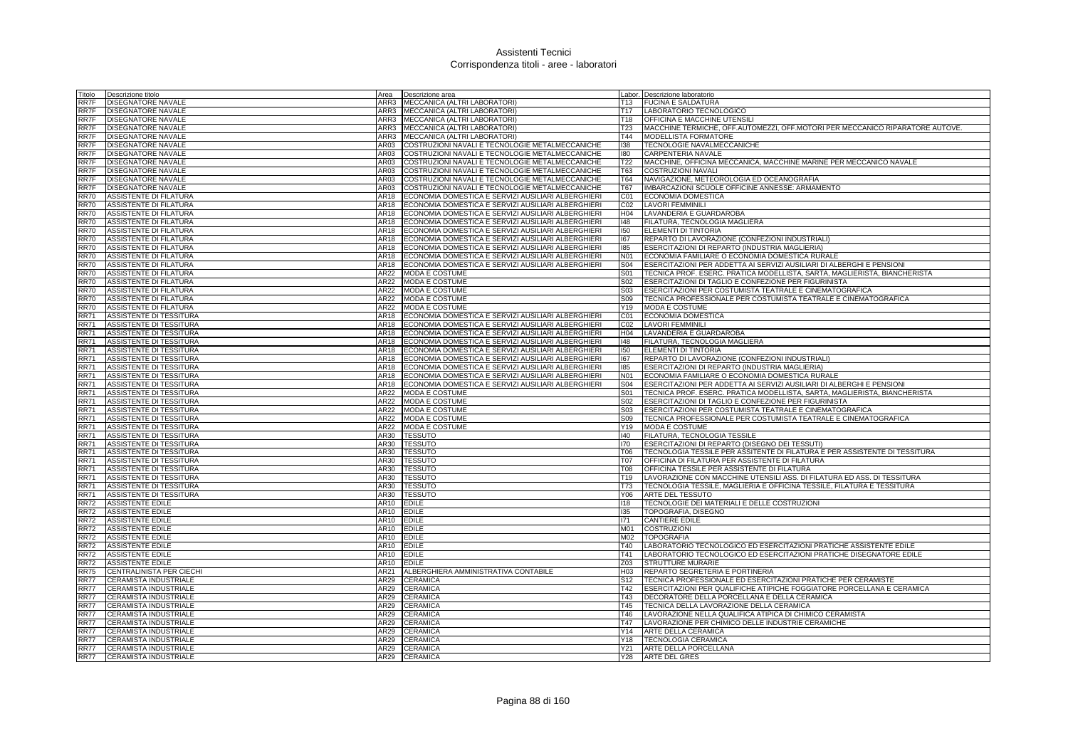| Titolo                     | Descrizione titolo                                 | Area                | Descrizione area                                                                                         |                          | Labor. Descrizione laboratorio                                                                   |
|----------------------------|----------------------------------------------------|---------------------|----------------------------------------------------------------------------------------------------------|--------------------------|--------------------------------------------------------------------------------------------------|
| RR7F                       | <b>DISEGNATORE NAVALE</b>                          | ARR3                | MECCANICA (ALTRI LABORATORI)                                                                             | T13                      | <b>FUCINA E SALDATURA</b>                                                                        |
| RR7F                       | DISEGNATORE NAVALE                                 |                     | ARR3 MECCANICA (ALTRI LABORATORI)                                                                        | T17                      | LABORATORIO TECNOLOGICO                                                                          |
| RR7F                       | DISEGNATORE NAVALE                                 |                     | ARR3 MECCANICA (ALTRI LABORATORI)                                                                        | T18                      | OFFICINA E MACCHINE UTENSILI                                                                     |
| RR7F                       | DISEGNATORE NAVALE                                 |                     | ARR3 MECCANICA (ALTRI LABORATORI)                                                                        | T23                      | MACCHINE TERMICHE, OFF.AUTOMEZZI, OFF.MOTORI PER MECCANICO RIPARATORE AUTOVE.                    |
| RR7F                       | DISEGNATORE NAVALE                                 |                     | ARR3 MECCANICA (ALTRI LABORATORI)                                                                        | T44                      | <b>MODELLISTA FORMATORE</b>                                                                      |
| RR7F                       | DISEGNATORE NAVALE                                 | AR03                | COSTRUZIONI NAVALI E TECNOLOGIE METALMECCANICHE                                                          | 138                      | TECNOLOGIE NAVALMECCANICHE                                                                       |
| RR7F                       | DISEGNATORE NAVALE                                 | AR03                | COSTRUZIONI NAVALI E TECNOLOGIE METALMECCANICHE                                                          | 180                      | CARPENTERIA NAVALE                                                                               |
| RR7F                       | DISEGNATORE NAVALE                                 | AR03                | COSTRUZIONI NAVALI E TECNOLOGIE METALMECCANICHE                                                          | T <sub>22</sub>          | MACCHINE, OFFICINA MECCANICA, MACCHINE MARINE PER MECCANICO NAVALE                               |
| RR7F                       | DISEGNATORE NAVALE                                 | AR03                | COSTRUZIONI NAVALI E TECNOLOGIE METALMECCANICHE                                                          | T63                      | <b>COSTRUZIONI NAVALI</b>                                                                        |
| RR7F                       | DISEGNATORE NAVALE                                 | AR03                | COSTRUZIONI NAVALI E TECNOLOGIE METALMECCANICHE                                                          | <b>T64</b><br><b>T67</b> | NAVIGAZIONE, METEOROLOGIA ED OCEANOGRAFIA                                                        |
| RR7F<br><b>RR70</b>        | <b>DISEGNATORE NAVALE</b>                          | AR03<br>AR18        | COSTRUZIONI NAVALI E TECNOLOGIE METALMECCANICHE<br>ECONOMIA DOMESTICA E SERVIZI AUSILIARI ALBERGHIERI    | CO <sub>1</sub>          | IMBARCAZIONI SCUOLE OFFICINE ANNESSE: ARMAMENTO<br><b>ECONOMIA DOMESTICA</b>                     |
| <b>RR70</b>                | ASSISTENTE DI FILATURA<br>ASSISTENTE DI FILATURA   | AR18                | ECONOMIA DOMESTICA E SERVIZI AUSILIARI ALBERGHIERI                                                       | CO <sub>2</sub>          | <b>LAVORI FEMMINILI</b>                                                                          |
| <b>RR70</b>                | ASSISTENTE DI FILATURA                             | AR18                | ECONOMIA DOMESTICA E SERVIZI AUSILIARI ALBERGHIERI                                                       | H04                      | LAVANDERIA E GUARDAROBA                                                                          |
| <b>RR70</b>                | ASSISTENTE DI FILATURA                             | AR18                | ECONOMIA DOMESTICA E SERVIZI AUSILIARI ALBERGHIERI                                                       | 148                      | FILATURA, TECNOLOGIA MAGLIERA                                                                    |
| <b>RR70</b>                | ASSISTENTE DI FILATURA                             | AR18                | ECONOMIA DOMESTICA E SERVIZI AUSILIARI ALBERGHIERI                                                       | 150                      | ELEMENTI DI TINTORIA                                                                             |
| <b>RR70</b>                | ASSISTENTE DI FILATURA                             | AR18                | ECONOMIA DOMESTICA E SERVIZI AUSILIARI ALBERGHIERI                                                       | 167                      | REPARTO DI LAVORAZIONE (CONFEZIONI INDUSTRIALI)                                                  |
| <b>RR70</b>                | ASSISTENTE DI FILATURA                             | AR18                | ECONOMIA DOMESTICA E SERVIZI AUSILIARI ALBERGHIERI                                                       | 185                      | ESERCITAZIONI DI REPARTO (INDUSTRIA MAGLIERIA)                                                   |
| <b>RR70</b>                | ASSISTENTE DI FILATURA                             | AR18                | ECONOMIA DOMESTICA E SERVIZI AUSILIARI ALBERGHIERI                                                       | N01                      | ECONOMIA FAMILIARE O ECONOMIA DOMESTICA RURALE                                                   |
| <b>RR70</b>                | ASSISTENTE DI FILATURA                             |                     | AR18 ECONOMIA DOMESTICA E SERVIZI AUSILIARI ALBERGHIERI                                                  | S04                      | ESERCITAZIONI PER ADDETTA AI SERVIZI AUSILIARI DI ALBERGHI E PENSIONI                            |
| <b>RR70</b>                | <b>ASSISTENTE DI FILATURA</b>                      | AR22                | <b>MODA E COSTUME</b>                                                                                    | S01                      | TECNICA PROF. ESERC. PRATICA MODELLISTA, SARTA, MAGLIERISTA, BIANCHERISTA                        |
| <b>RR70</b>                | ASSISTENTE DI FILATURA                             | AR22                | MODA E COSTUME                                                                                           | S <sub>02</sub>          | ESERCITAZIONI DI TAGLIO E CONFEZIONE PER FIGURINISTA                                             |
| <b>RR70</b>                | ASSISTENTE DI FILATURA                             | AR22                | <b>MODA E COSTUME</b>                                                                                    | S <sub>03</sub>          | ESERCITAZIONI PER COSTUMISTA TEATRALE E CINEMATOGRAFICA                                          |
| <b>RR70</b>                | ASSISTENTE DI FILATURA                             | AR22                | MODA E COSTUME                                                                                           | S09                      | TECNICA PROFESSIONALE PER COSTUMISTA TEATRALE E CINEMATOGRAFICA                                  |
| <b>RR70</b>                | ASSISTENTE DI FILATURA                             | AR22                | MODA E COSTUME                                                                                           | Y19                      | MODA E COSTUME                                                                                   |
| <b>RR71</b>                | ASSISTENTE DI TESSITURA                            | AR18                | ECONOMIA DOMESTICA E SERVIZI AUSILIARI ALBERGHIERI                                                       | C01                      | ECONOMIA DOMESTICA                                                                               |
| <b>RR71</b>                | ASSISTENTE DI TESSITURA                            | AR18                | ECONOMIA DOMESTICA E SERVIZI AUSILIARI ALBERGHIERI                                                       | CO <sub>2</sub>          | <b>LAVORI FEMMINILI</b>                                                                          |
| <b>RR71</b>                | ASSISTENTE DI TESSITURA                            | AR18                | ECONOMIA DOMESTICA E SERVIZI AUSILIARI ALBERGHIERI                                                       | H04                      | LAVANDERIA E GUARDAROBA                                                                          |
| <b>RR71</b>                | ASSISTENTE DI TESSITURA                            | AR18                | ECONOMIA DOMESTICA E SERVIZI AUSILIARI ALBERGHIERI                                                       | 148                      | FILATURA, TECNOLOGIA MAGLIERA                                                                    |
| <b>RR71</b>                | ASSISTENTE DI TESSITURA                            | AR18                | ECONOMIA DOMESTICA E SERVIZI AUSILIARI ALBERGHIERI                                                       | 150                      | ELEMENTI DI TINTORIA                                                                             |
| <b>RR71</b><br><b>RR71</b> | ASSISTENTE DI TESSITURA                            | AR18<br><b>AR18</b> | ECONOMIA DOMESTICA E SERVIZI AUSILIARI ALBERGHIERI                                                       | 167                      | REPARTO DI LAVORAZIONE (CONFEZIONI INDUSTRIALI)                                                  |
| <b>RR71</b>                | ASSISTENTE DI TESSITURA<br>ASSISTENTE DI TESSITURA | AR18                | ECONOMIA DOMESTICA E SERVIZI AUSILIARI ALBERGHIERI<br>ECONOMIA DOMESTICA E SERVIZI AUSILIARI ALBERGHIERI | 185<br>N01               | ESERCITAZIONI DI REPARTO (INDUSTRIA MAGLIERIA)<br>ECONOMIA FAMILIARE O ECONOMIA DOMESTICA RURALE |
| <b>RR71</b>                | ASSISTENTE DI TESSITURA                            | AR18                | ECONOMIA DOMESTICA E SERVIZI AUSILIARI ALBERGHIERI                                                       | <b>S04</b>               | ESERCITAZIONI PER ADDETTA AI SERVIZI AUSILIARI DI ALBERGHI E PENSIONI                            |
| <b>RR71</b>                | ASSISTENTE DI TESSITURA                            | AR22                | MODA E COSTUME                                                                                           | S01                      | TECNICA PROF. ESERC. PRATICA MODELLISTA, SARTA, MAGLIERISTA, BIANCHERISTA                        |
| <b>RR71</b>                | ASSISTENTE DI TESSITURA                            | AR22                | MODA E COSTUME                                                                                           | S <sub>02</sub>          | ESERCITAZIONI DI TAGLIO E CONFEZIONE PER FIGURINISTA                                             |
| <b>RR71</b>                | ASSISTENTE DI TESSITURA                            | AR22                | MODA E COSTUME                                                                                           | S <sub>03</sub>          | ESERCITAZIONI PER COSTUMISTA TEATRALE E CINEMATOGRAFICA                                          |
| <b>RR71</b>                | ASSISTENTE DI TESSITURA                            | AR22                | <b>MODA E COSTUME</b>                                                                                    | S09                      | TECNICA PROFESSIONALE PER COSTUMISTA TEATRALE E CINEMATOGRAFICA                                  |
| <b>RR71</b>                | ASSISTENTE DI TESSITURA                            | AR22                | MODA E COSTUME                                                                                           | Y19                      | MODA E COSTUME                                                                                   |
| <b>RR71</b>                | ASSISTENTE DI TESSITURA                            | AR30                | <b>TESSUTO</b>                                                                                           | $ 40\rangle$             | FILATURA, TECNOLOGIA TESSILE                                                                     |
| <b>RR71</b>                | ASSISTENTE DI TESSITURA                            | AR30                | <b>TESSUTO</b>                                                                                           | 170                      | ESERCITAZIONI DI REPARTO (DISEGNO DEI TESSUTI)                                                   |
| <b>RR71</b>                | ASSISTENTE DI TESSITURA                            | AR30                | <b>TESSUTO</b>                                                                                           | T06                      | TECNOLOGIA TESSILE PER ASSITENTE DI FILATURA E PER ASSISTENTE DI TESSITURA                       |
| <b>RR71</b>                | ASSISTENTE DI TESSITURA                            | AR30                | <b>TESSUTO</b>                                                                                           | T07                      | OFFICINA DI FILATURA PER ASSISTENTE DI FILATURA                                                  |
| <b>RR71</b>                | ASSISTENTE DI TESSITURA                            | AR30                | <b>TESSUTO</b>                                                                                           | <b>T08</b>               | OFFICINA TESSILE PER ASSISTENTE DI FILATURA                                                      |
| <b>RR71</b>                | ASSISTENTE DI TESSITURA                            | AR30                | <b>TESSUTO</b>                                                                                           | T19                      | LAVORAZIONE CON MACCHINE UTENSILI ASS. DI FILATURA ED ASS. DI TESSITURA                          |
| <b>RR71</b>                | ASSISTENTE DI TESSITURA                            | AR30                | <b>TESSUTO</b>                                                                                           | <b>T73</b>               | TECNOLOGIA TESSILE, MAGLIERIA E OFFICINA TESSILE, FILATURA E TESSITURA                           |
| <b>RR71</b>                | ASSISTENTE DI TESSITURA                            | AR30                | <b>TESSUTO</b>                                                                                           | Y06                      | ARTE DEL TESSUTO                                                                                 |
| <b>RR72</b>                | ASSISTENTE EDILE                                   | AR10                | <b>EDILE</b>                                                                                             | 118                      | TECNOLOGIE DEI MATERIALI E DELLE COSTRUZIONI                                                     |
| <b>RR72</b><br><b>RR72</b> | ASSISTENTE EDILE<br>ASSISTENTE EDILE               | AR10<br>AR10        | <b>EDILE</b><br><b>EDILE</b>                                                                             | 135<br>171               | TOPOGRAFIA, DISEGNO<br><b>CANTIERE EDILE</b>                                                     |
| <b>RR72</b>                | ASSISTENTE EDILE                                   | AR10 EDILE          |                                                                                                          | M01                      | <b>COSTRUZIONI</b>                                                                               |
| <b>RR72</b>                | ASSISTENTE EDILE                                   | AR10                | <b>EDILE</b>                                                                                             | M02                      | <b>TOPOGRAFIA</b>                                                                                |
| <b>RR72</b>                | <b>ASSISTENTE EDILE</b>                            | AR10                | <b>EDILE</b>                                                                                             | T40                      | LABORATORIO TECNOLOGICO ED ESERCITAZIONI PRATICHE ASSISTENTE EDILE                               |
| <b>RR72</b>                | <b>ASSISTENTE EDILE</b>                            | AR10                | <b>EDILE</b>                                                                                             | T41                      | LABORATORIO TECNOLOGICO ED ESERCITAZIONI PRATICHE DISEGNATORE EDILE                              |
| <b>RR72</b>                | ASSISTENTE EDILE                                   | AR10                | <b>EDILE</b>                                                                                             | Z03                      | <b>STRUTTURE MURARIE</b>                                                                         |
| RR75                       | CENTRALINISTA PER CIECHI                           | AR21                | ALBERGHIERA AMMINISTRATIVA CONTABILE                                                                     | H03                      | REPARTO SEGRETERIA E PORTINERIA                                                                  |
| RR77                       | CERAMISTA INDUSTRIALE                              | AR29                | <b>CERAMICA</b>                                                                                          | S <sub>12</sub>          | TECNICA PROFESSIONALE ED ESERCITAZIONI PRATICHE PER CERAMISTE                                    |
| <b>RR77</b>                | CERAMISTA INDUSTRIALE                              | AR29                | CERAMICA                                                                                                 | T42                      | ESERCITAZIONI PER QUALIFICHE ATIPICHE FOGGIATORE PORCELLANA E CERAMICA                           |
| <b>RR77</b>                | CERAMISTA INDUSTRIALE                              | AR29                | CERAMICA                                                                                                 | T43                      | DECORATORE DELLA PORCELLANA E DELLA CERAMICA                                                     |
| <b>RR77</b>                | CERAMISTA INDUSTRIALE                              | AR29                | CERAMICA                                                                                                 | T45                      | TECNICA DELLA LAVORAZIONE DELLA CERAMICA                                                         |
| <b>RR77</b>                | CERAMISTA INDUSTRIALE                              | AR29                | CERAMICA                                                                                                 | T46                      | LAVORAZIONE NELLA QUALIFICA ATIPICA DI CHIMICO CERAMISTA                                         |
| <b>RR77</b>                | CERAMISTA INDUSTRIALE                              | AR29                | CERAMICA                                                                                                 | T47                      | LAVORAZIONE PER CHIMICO DELLE INDUSTRIE CERAMICHE                                                |
| <b>RR77</b>                | CERAMISTA INDUSTRIALE                              | AR29                | CERAMICA                                                                                                 | Y14                      | ARTE DELLA CERAMICA                                                                              |
| <b>RR77</b>                | CERAMISTA INDUSTRIALE                              | AR29                | <b>CERAMICA</b>                                                                                          | Y18                      | <b>TECNOLOGIA CERAMICA</b>                                                                       |
| <b>RR77</b>                | CERAMISTA INDUSTRIALE                              |                     | AR29 CERAMICA                                                                                            | Y21                      | ARTE DELLA PORCELLANA                                                                            |
| RR77                       | CERAMISTA INDUSTRIALE                              |                     | AR29 CERAMICA                                                                                            | <b>Y28</b>               | <b>ARTE DEL GRES</b>                                                                             |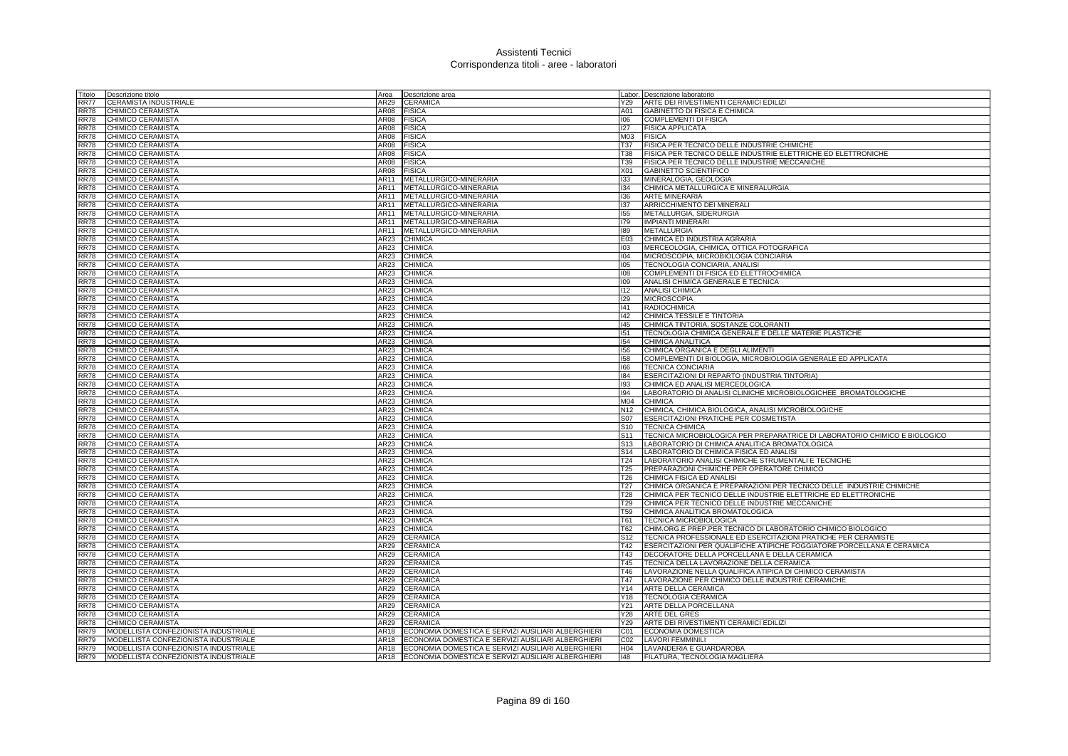| Titolo            | Descrizione titolo                   | Area | Descrizione area                                        |                 | Labor. Descrizione laboratorio                                             |
|-------------------|--------------------------------------|------|---------------------------------------------------------|-----------------|----------------------------------------------------------------------------|
| RR77              | CERAMISTA INDUSTRIALE                | AR29 | <b>CERAMICA</b>                                         | Y29             | ARTE DEI RIVESTIMENTI CERAMICI EDILIZI                                     |
| RR78              | CHIMICO CERAMISTA                    | AR08 | <b>FISICA</b>                                           | A01             | GABINETTO DI FISICA E CHIMICA                                              |
| <b>RR78</b>       | <b>CHIMICO CERAMISTA</b>             | AR08 | <b>FISICA</b>                                           | 106             | <b>COMPLEMENTI DI FISICA</b>                                               |
| RR78              | CHIMICO CERAMISTA                    | AR08 | <b>FISICA</b>                                           | 127             | <b>FISICA APPLICATA</b>                                                    |
| <b>RR78</b>       | CHIMICO CERAMISTA                    | AR08 | <b>FISICA</b>                                           | M03             | <b>FISICA</b>                                                              |
| <b>RR78</b>       | CHIMICO CERAMISTA                    | AR08 | <b>FISICA</b>                                           | <b>T37</b>      | FISICA PER TECNICO DELLE INDUSTRIE CHIMICHE                                |
| <b>RR78</b>       | CHIMICO CERAMISTA                    | AR08 | <b>FISICA</b>                                           | <b>T38</b>      | FISICA PER TECNICO DELLE INDUSTRIE ELETTRICHE ED ELETTRONICHE              |
| RR78              | CHIMICO CERAMISTA                    | AR08 | <b>FISICA</b>                                           | T39             | FISICA PER TECNICO DELLE INDUSTRIE MECCANICHE                              |
| <b>RR78</b>       | CHIMICO CERAMISTA                    | AR08 | <b>FISICA</b>                                           | X01             | <b>GABINETTO SCIENTIFICO</b>                                               |
| RR78              | CHIMICO CERAMISTA                    | AR11 | METALLURGICO-MINERARIA                                  | 133             | MINERALOGIA, GEOLOGIA                                                      |
| RR78              | CHIMICO CERAMISTA                    | AR11 | METALLURGICO-MINERARIA                                  | 134             | CHIMICA METALLURGICA E MINERALURGIA                                        |
| RR78              | CHIMICO CERAMISTA                    | AR11 | METALLURGICO-MINERARIA                                  | 136             | <b>ARTE MINERARIA</b>                                                      |
| <b>RR78</b>       | CHIMICO CERAMISTA                    | AR11 | METALLURGICO-MINERARIA                                  | 137             | ARRICCHIMENTO DEI MINERALI                                                 |
| <b>RR78</b>       | CHIMICO CERAMISTA                    | AR11 | METALLURGICO-MINERARIA                                  | 155             | METALLURGIA, SIDERURGIA                                                    |
| <b>RR78</b>       | CHIMICO CERAMISTA                    | AR11 | METALLURGICO-MINERARIA                                  | 179             | <b>IMPIANTI MINERARI</b>                                                   |
| <b>RR78</b>       | CHIMICO CERAMISTA                    | AR11 | METALLURGICO-MINERARIA                                  | 189             | <b>METALLURGIA</b>                                                         |
| <b>RR78</b>       | CHIMICO CERAMISTA                    | AR23 | <b>CHIMICA</b>                                          | E03             | CHIMICA ED INDUSTRIA AGRARIA                                               |
| <b>RR78</b>       | CHIMICO CERAMISTA                    | AR23 | <b>CHIMICA</b>                                          | 103             | MERCEOLOGIA, CHIMICA, OTTICA FOTOGRAFICA                                   |
| <b>RR78</b>       | CHIMICO CERAMISTA                    | AR23 | <b>CHIMICA</b>                                          | 104             | MICROSCOPIA, MICROBIOLOGIA CONCIARIA                                       |
| <b>RR78</b>       | CHIMICO CERAMISTA                    | AR23 | <b>CHIMICA</b>                                          | 105             | TECNOLOGIA CONCIARIA, ANALISI                                              |
| <b>RR78</b>       | CHIMICO CERAMISTA                    | AR23 | <b>CHIMICA</b>                                          | 108             | COMPLEMENTI DI FISICA ED ELETTROCHIMICA                                    |
| <b>RR78</b>       | CHIMICO CERAMISTA                    | AR23 | CHIMICA                                                 | 109             | ANALISI CHIMICA GENERALE E TECNICA                                         |
| <b>RR78</b>       | CHIMICO CERAMISTA                    | AR23 | CHIMICA                                                 | 112             | <b>ANALISI CHIMICA</b>                                                     |
| <b>RR78</b>       | CHIMICO CERAMISTA                    | AR23 | <b>CHIMICA</b>                                          | 129             | <b>MICROSCOPIA</b>                                                         |
| <b>RR78</b>       | CHIMICO CERAMISTA                    | AR23 | <b>CHIMICA</b>                                          | 141             | <b>RADIOCHIMICA</b>                                                        |
| <b>RR78</b>       | CHIMICO CERAMISTA                    | AR23 | CHIMICA                                                 | 142             | CHIMICA TESSILE E TINTORIA                                                 |
| <b>RR78</b>       | CHIMICO CERAMISTA                    | AR23 | CHIMICA                                                 | 145             | CHIMICA TINTORIA, SOSTANZE COLORANTI                                       |
| <b>RR78</b>       | CHIMICO CERAMISTA                    | AR23 | <b>CHIMICA</b>                                          | 151             | TECNOLOGIA CHIMICA GENERALE E DELLE MATERIE PLASTICHE                      |
| <b>RR78</b>       | CHIMICO CERAMISTA                    | AR23 | <b>CHIMICA</b>                                          | 154             | CHIMICA ANALITICA                                                          |
| RR78              | CHIMICO CERAMISTA                    | AR23 | CHIMICA                                                 | 156             | CHIMICA ORGANICA E DEGLI ALIMENTI                                          |
| <b>RR78</b>       | CHIMICO CERAMISTA                    | AR23 | <b>CHIMICA</b>                                          | 158             | COMPLEMENTI DI BIOLOGIA, MICROBIOLOGIA GENERALE ED APPLICATA               |
| <b>RR78</b>       | CHIMICO CERAMISTA                    | AR23 | <b>CHIMICA</b>                                          | 166             | <b>TECNICA CONCIARIA</b>                                                   |
| <b>RR78</b>       | CHIMICO CERAMISTA                    | AR23 | <b>CHIMICA</b>                                          | 184             | ESERCITAZIONI DI REPARTO (INDUSTRIA TINTORIA)                              |
| <b>RR78</b>       | CHIMICO CERAMISTA                    | AR23 | <b>CHIMICA</b>                                          | 193             | CHIMICA ED ANALISI MERCEOLOGICA                                            |
| <b>RR78</b>       | CHIMICO CERAMISTA                    | AR23 | CHIMICA                                                 | 194             | LABORATORIO DI ANALISI CLINICHE MICROBIOLOGICHEE BROMATOLOGICHE            |
| <b>RR78</b>       | CHIMICO CERAMISTA                    | AR23 | <b>CHIMICA</b>                                          | M04             | <b>CHIMICA</b>                                                             |
| <b>RR78</b>       | CHIMICO CERAMISTA                    | AR23 | <b>CHIMICA</b>                                          | N <sub>12</sub> | CHIMICA, CHIMICA BIOLOGICA, ANALISI MICROBIOLOGICHE                        |
| <b>RR78</b>       | CHIMICO CERAMISTA                    | AR23 | <b>CHIMICA</b>                                          | S07             | <b>ESERCITAZIONI PRATICHE PER COSMETISTA</b>                               |
| <b>RR78</b>       | CHIMICO CERAMISTA                    | AR23 | CHIMICA                                                 | S <sub>10</sub> | <b>TECNICA CHIMICA</b>                                                     |
| <b>RR78</b>       | CHIMICO CERAMISTA                    | AR23 | <b>CHIMICA</b>                                          | S <sub>11</sub> | TECNICA MICROBIOLOGICA PER PREPARATRICE DI LABORATORIO CHIMICO E BIOLOGICO |
| <b>RR78</b>       | CHIMICO CERAMISTA                    | AR23 | <b>CHIMICA</b>                                          | S <sub>13</sub> | LABORATORIO DI CHIMICA ANALITICA BROMATOLOGICA                             |
| <b>RR78</b>       | CHIMICO CERAMISTA                    | AR23 | CHIMICA                                                 | S <sub>14</sub> | LABORATORIO DI CHIMICA FISICA ED ANALISI                                   |
| <b>RR78</b>       | <b>CHIMICO CERAMISTA</b>             | AR23 | <b>CHIMICA</b>                                          | T24             | LABORATORIO ANALISI CHIMICHE STRUMENTALI E TECNICHE                        |
| <b>RR78</b>       | CHIMICO CERAMISTA                    | AR23 | <b>CHIMICA</b>                                          | T <sub>25</sub> | PREPARAZIONI CHIMICHE PER OPERATORE CHIMICO                                |
| <b>RR78</b>       | CHIMICO CERAMISTA                    | AR23 | <b>CHIMICA</b>                                          | T <sub>26</sub> | CHIMICA FISICA ED ANALISI                                                  |
| <b>RR78</b>       | CHIMICO CERAMISTA                    | AR23 | <b>CHIMICA</b>                                          | T <sub>27</sub> | CHIMICA ORGANICA E PREPARAZIONI PER TECNICO DELLE INDUSTRIE CHIMICHE       |
| <b>RR78</b>       | CHIMICO CERAMISTA                    | AR23 | <b>CHIMICA</b>                                          | <b>T28</b>      | CHIMICA PER TECNICO DELLE INDUSTRIE ELETTRICHE ED ELETTRONICHE             |
| <b>RR78</b>       | CHIMICO CERAMISTA                    | AR23 | <b>CHIMICA</b>                                          | T <sub>29</sub> | CHIMICA PER TECNICO DELLE INDUSTRIE MECCANICHE                             |
| <b>RR78</b>       | CHIMICO CERAMISTA                    | AR23 | <b>CHIMICA</b>                                          | T <sub>59</sub> | CHIMICA ANALITICA BROMATOLOGICA                                            |
| <b>RR78</b>       | CHIMICO CERAMISTA                    | AR23 | <b>CHIMICA</b>                                          | T61             | <b>TECNICA MICROBIOLOGICA</b>                                              |
| <b>RR78</b>       | CHIMICO CERAMISTA                    | AR23 | <b>CHIMICA</b>                                          | T62             | CHIM.ORG.E PREP.PER TECNICO DI LABORATORIO CHIMICO BIOLOGICO               |
| <b>RR78</b>       | CHIMICO CERAMISTA                    | AR29 | CERAMICA                                                | S <sub>12</sub> | TECNICA PROFESSIONALE ED ESERCITAZIONI PRATICHE PER CERAMISTE              |
| <b>RR78</b>       | CHIMICO CERAMISTA                    | AR29 | <b>CERAMICA</b>                                         | T42             | ESERCITAZIONI PER QUALIFICHE ATIPICHE FOGGIATORE PORCELLANA E CERAMICA     |
| <b>RR78</b>       | CHIMICO CERAMISTA                    | AR29 | <b>CERAMICA</b>                                         | T43             | DECORATORE DELLA PORCELLANA E DELLA CERAMICA                               |
| <b>RR78</b>       | CHIMICO CERAMISTA                    | AR29 | CERAMICA                                                | T45             | TECNICA DELLA LAVORAZIONE DELLA CERAMICA                                   |
| <b>RR78</b>       | CHIMICO CERAMISTA                    | AR29 | CERAMICA                                                | T46             | LAVORAZIONE NELLA QUALIFICA ATIPICA DI CHIMICO CERAMISTA                   |
| <b>RR78</b>       | CHIMICO CERAMISTA                    | AR29 | <b>CERAMICA</b>                                         | T47             | LAVORAZIONE PER CHIMICO DELLE INDUSTRIE CERAMICHE                          |
| <b>RR78</b>       | CHIMICO CERAMISTA                    | AR29 | <b>CERAMICA</b>                                         | Y14             | ARTE DELLA CERAMICA                                                        |
| <b>RR78</b>       | <b>CHIMICO CERAMISTA</b>             | AR29 | CERAMICA                                                |                 | Y18   TECNOLOGIA CERAMICA                                                  |
| <b>RR78</b>       | CHIMICO CERAMISTA                    | AR29 | CERAMICA                                                | Y21             | ARTE DELLA PORCELLANA                                                      |
| <b>RR78</b>       | CHIMICO CERAMISTA                    | AR29 | <b>CERAMICA</b>                                         | <b>Y28</b>      | <b>ARTE DEL GRES</b>                                                       |
| <b>RR78</b>       | CHIMICO CERAMISTA                    | AR29 | <b>CERAMICA</b>                                         | Y29             | ARTE DEI RIVESTIMENTI CERAMICI EDILIZI                                     |
| <b>RR79</b>       | MODELLISTA CONFEZIONISTA INDUSTRIALE | AR18 | ECONOMIA DOMESTICA E SERVIZI AUSILIARI ALBERGHIERI      | CO <sub>1</sub> | ECONOMIA DOMESTICA                                                         |
| <b>RR79</b>       | MODELLISTA CONFEZIONISTA INDUSTRIALE | AR18 | ECONOMIA DOMESTICA E SERVIZI AUSILIARI ALBERGHIERI      | CO <sub>2</sub> | <b>LAVORI FEMMINILI</b>                                                    |
| <b>RR79</b>       | MODELLISTA CONFEZIONISTA INDUSTRIALE | AR18 | ECONOMIA DOMESTICA E SERVIZI AUSILIARI ALBERGHIERI      | H <sub>04</sub> | LAVANDERIA E GUARDAROBA                                                    |
| $R\overline{R79}$ | MODELLISTA CONFEZIONISTA INDUSTRIALE |      | AR18 ECONOMIA DOMESTICA E SERVIZI AUSILIARI ALBERGHIERI | 148             | FILATURA, TECNOLOGIA MAGLIERA                                              |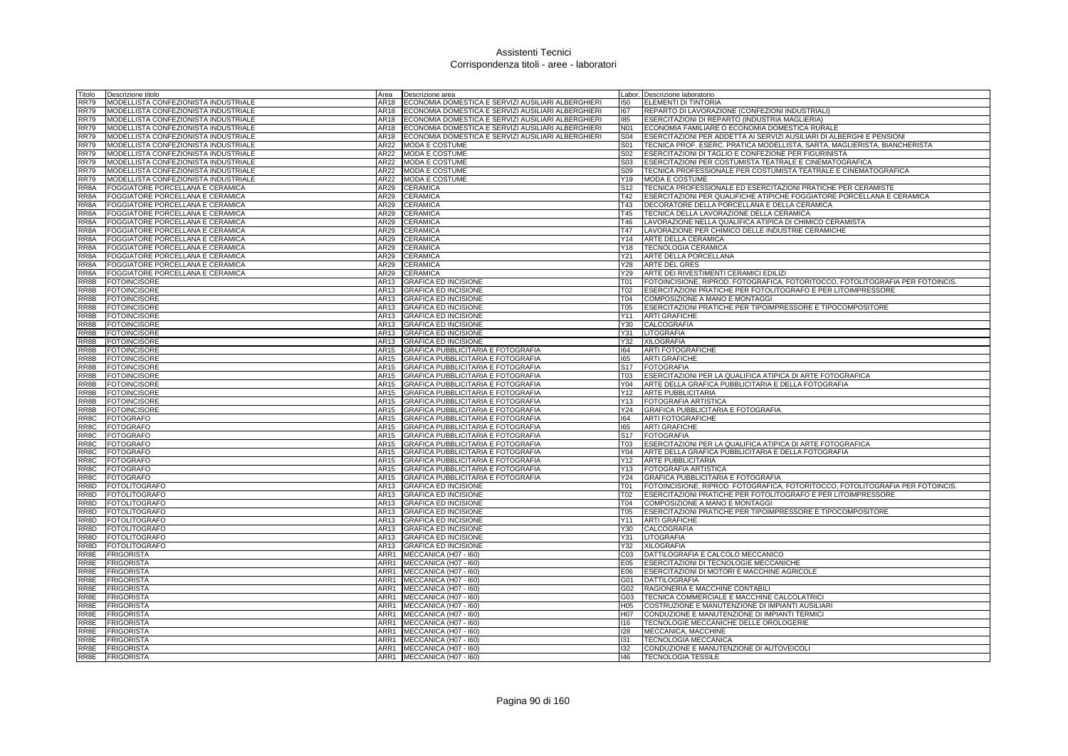| Titolo            | Descrizione titolo                                                   | Area         | Descrizione area                                           |                 | Labor. Descrizione laboratorio                                                 |
|-------------------|----------------------------------------------------------------------|--------------|------------------------------------------------------------|-----------------|--------------------------------------------------------------------------------|
| <b>RR79</b>       | MODELLISTA CONFEZIONISTA INDUSTRIALE                                 | AR18         | ECONOMIA DOMESTICA E SERVIZI AUSILIARI ALBERGHIERI         | 150             | ELEMENTI DI TINTORIA                                                           |
| <b>RR79</b>       | MODELLISTA CONFEZIONISTA INDUSTRIALE                                 | AR18         | ECONOMIA DOMESTICA E SERVIZI AUSILIARI ALBERGHIERI         | 167             | REPARTO DI LAVORAZIONE (CONFEZIONI INDUSTRIALI)                                |
| <b>RR79</b>       | MODELLISTA CONFEZIONISTA INDUSTRIALE                                 | AR18         | ECONOMIA DOMESTICA E SERVIZI AUSILIARI ALBERGHIERI         | 185             | ESERCITAZIONI DI REPARTO (INDUSTRIA MAGLIERIA)                                 |
| <b>RR79</b>       | MODELLISTA CONFEZIONISTA INDUSTRIALE                                 | AR18         | ECONOMIA DOMESTICA E SERVIZI AUSILIARI ALBERGHIERI         | N01             | ECONOMIA FAMILIARE O ECONOMIA DOMESTICA RURALE                                 |
| <b>RR79</b>       | MODELLISTA CONFEZIONISTA INDUSTRIALE                                 | AR18         | ECONOMIA DOMESTICA E SERVIZI AUSILIARI ALBERGHIERI         | <b>S04</b>      | ESERCITAZIONI PER ADDETTA AI SERVIZI AUSILIARI DI ALBERGHI E PENSIONI          |
| <b>RR79</b>       | MODELLISTA CONFEZIONISTA INDUSTRIALE                                 | AR22         | <b>MODA E COSTUME</b>                                      | S01             | TECNICA PROF. ESERC. PRATICA MODELLISTA, SARTA, MAGLIERISTA, BIANCHERISTA      |
| <b>RR79</b>       | MODELLISTA CONFEZIONISTA INDUSTRIALE                                 | AR22         | MODA E COSTUME                                             | S02             | ESERCITAZIONI DI TAGLIO E CONFEZIONE PER FIGURINISTA                           |
| <b>RR79</b>       | MODELLISTA CONFEZIONISTA INDUSTRIALE                                 | AR22         | <b>MODA E COSTUME</b>                                      | S <sub>03</sub> | ESERCITAZIONI PER COSTUMISTA TEATRALE E CINEMATOGRAFICA                        |
| <b>RR79</b>       | MODELLISTA CONFEZIONISTA INDUSTRIALE                                 | AR22         | <b>MODA E COSTUME</b>                                      | S <sub>09</sub> | TECNICA PROFESSIONALE PER COSTUMISTA TEATRALE E CINEMATOGRAFICA                |
| <b>RR79</b>       | MODELLISTA CONFEZIONISTA INDUSTRIALE                                 | AR22         | <b>MODA E COSTUME</b>                                      | Y19             | <b>MODA E COSTUME</b>                                                          |
| RR8A              | FOGGIATORE PORCELLANA E CERAMICA                                     | AR29         | <b>CERAMICA</b>                                            | S12             | TECNICA PROFESSIONALE ED ESERCITAZIONI PRATICHE PER CERAMISTE                  |
| RR8A              | FOGGIATORE PORCELLANA E CERAMICA                                     | AR29         | CERAMICA                                                   | T42             | ESERCITAZIONI PER QUALIFICHE ATIPICHE FOGGIATORE PORCELLANA E CERAMICA         |
| RR8A              | FOGGIATORE PORCELLANA E CERAMICA                                     | AR29         | <b>CERAMICA</b>                                            | T43             | DECORATORE DELLA PORCELLANA E DELLA CERAMICA                                   |
| RR8A              | FOGGIATORE PORCELLANA E CERAMICA                                     | AR29         | <b>CERAMICA</b>                                            | T45             | TECNICA DELLA LAVORAZIONE DELLA CERAMICA                                       |
| RR8A              | FOGGIATORE PORCELLANA E CERAMICA                                     | AR29         | CERAMICA                                                   | T46             | LAVORAZIONE NELLA QUALIFICA ATIPICA DI CHIMICO CERAMISTA                       |
| RR8A              | FOGGIATORE PORCELLANA E CERAMICA                                     | AR29         | CERAMICA                                                   | T47             | LAVORAZIONE PER CHIMICO DELLE INDUSTRIE CERAMICHE                              |
| RR8A              | FOGGIATORE PORCELLANA E CERAMICA                                     | AR29<br>AR29 | CERAMICA                                                   | Y14<br>Y18      | ARTE DELLA CERAMICA                                                            |
| RR8A<br>RR8A      | FOGGIATORE PORCELLANA E CERAMICA                                     | AR29         | CERAMICA                                                   | Y21             | <b>TECNOLOGIA CERAMICA</b>                                                     |
| RR8A              | FOGGIATORE PORCELLANA E CERAMICA<br>FOGGIATORE PORCELLANA E CERAMICA | AR29         | <b>CERAMICA</b><br>CERAMICA                                | Y28             | ARTE DELLA PORCELLANA<br><b>ARTE DEL GRES</b>                                  |
| RR8A              | FOGGIATORE PORCELLANA E CERAMICA                                     | AR29         | <b>CERAMICA</b>                                            | Y29             | ARTE DEI RIVESTIMENTI CERAMICI EDILIZI                                         |
| RR8B              | <b>FOTOINCISORE</b>                                                  | AR13         | <b>GRAFICA ED INCISIONE</b>                                | <b>T01</b>      | FOTOINCISIONE, RIPROD. FOTOGRAFICA, FOTORITOCCO, FOTOLITOGRAFIA PER FOTOINCIS  |
| RR8B              | <b>FOTOINCISORE</b>                                                  | AR13         | <b>GRAFICA ED INCISIONE</b>                                | T02             | ESERCITAZIONI PRATICHE PER FOTOLITOGRAFO E PER LITOIMPRESSORE                  |
| RR8B              | <b>FOTOINCISORE</b>                                                  | AR13         | <b>GRAFICA ED INCISIONE</b>                                | <b>T04</b>      | COMPOSIZIONE A MANO E MONTAGGI                                                 |
| RR8B              | <b>FOTOINCISORE</b>                                                  | AR13         | <b>GRAFICA ED INCISIONE</b>                                | <b>T05</b>      | ESERCITAZIONI PRATICHE PER TIPOIMPRESSORE E TIPOCOMPOSITORE                    |
| RR8B              | <b>FOTOINCISORE</b>                                                  | AR13         | <b>GRAFICA ED INCISIONE</b>                                | Y11             | <b>ARTI GRAFICHE</b>                                                           |
| RR8B              | <b>FOTOINCISORE</b>                                                  | AR13         | <b>GRAFICA ED INCISIONE</b>                                | Y30             | CALCOGRAFIA                                                                    |
| RR8B              | <b>FOTOINCISORE</b>                                                  | AR13         | <b>GRAFICA ED INCISIONE</b>                                | Y31             | LITOGRAFIA                                                                     |
| RR8B              | <b>FOTOINCISORE</b>                                                  | AR13         | <b>GRAFICA ED INCISIONE</b>                                | Y32             | <b>XILOGRAFIA</b>                                                              |
| RR8B              | <b>FOTOINCISORE</b>                                                  | AR15         | GRAFICA PUBBLICITARIA E FOTOGRAFIA                         | 164             | <b>ARTI FOTOGRAFICHE</b>                                                       |
| RR8B              | <b>FOTOINCISORE</b>                                                  | AR15         | GRAFICA PUBBLICITARIA E FOTOGRAFIA                         | 165             | <b>ARTI GRAFICHE</b>                                                           |
| RR8B              | <b>FOTOINCISORE</b>                                                  | AR15         | GRAFICA PUBBLICITARIA E FOTOGRAFIA                         | S17             | <b>FOTOGRAFIA</b>                                                              |
| RR8B              | <b>FOTOINCISORE</b>                                                  | AR15         | GRAFICA PUBBLICITARIA E FOTOGRAFIA                         | T03             | ESERCITAZIONI PER LA QUALIFICA ATIPICA DI ARTE FOTOGRAFICA                     |
| RR8B              | <b>FOTOINCISORE</b>                                                  | AR15         | GRAFICA PUBBLICITARIA E FOTOGRAFIA                         | Y04             | ARTE DELLA GRAFICA PUBBLICITARIA E DELLA FOTOGRAFIA                            |
| RR8B              | <b>FOTOINCISORE</b>                                                  | AR15         | <b>GRAFICA PUBBLICITARIA E FOTOGRAFIA</b>                  | Y12             | <b>ARTE PUBBLICITARIA</b>                                                      |
| RR8B              | <b>FOTOINCISORE</b>                                                  | AR15         | GRAFICA PUBBLICITARIA E FOTOGRAFIA                         | Y13             | FOTOGRAFIA ARTISTICA                                                           |
| RR8B              | <b>FOTOINCISORE</b>                                                  | AR15         | GRAFICA PUBBLICITARIA E FOTOGRAFIA                         | Y24             | GRAFICA PUBBLICITARIA E FOTOGRAFIA                                             |
| RR8C              | <b>FOTOGRAFO</b>                                                     | AR15         | GRAFICA PUBBLICITARIA E FOTOGRAFIA                         | 164             | <b>ARTI FOTOGRAFICHE</b>                                                       |
| RR8C              | <b>FOTOGRAFO</b>                                                     | AR15         | GRAFICA PUBBLICITARIA E FOTOGRAFIA                         | 165             | <b>ARTI GRAFICHE</b>                                                           |
| RR8C              | <b>FOTOGRAFO</b>                                                     | AR15         | <b>GRAFICA PUBBLICITARIA E FOTOGRAFIA</b>                  | S <sub>17</sub> | <b>FOTOGRAFIA</b>                                                              |
| RR8C              | <b>FOTOGRAFO</b>                                                     | AR15         | GRAFICA PUBBLICITARIA E FOTOGRAFIA                         | T03             | ESERCITAZIONI PER LA QUALIFICA ATIPICA DI ARTE FOTOGRAFICA                     |
| RR8C              | <b>FOTOGRAFO</b>                                                     | AR15         | GRAFICA PUBBLICITARIA E FOTOGRAFIA                         | Y04             | ARTE DELLA GRAFICA PUBBLICITARIA E DELLA FOTOGRAFIA                            |
| RR <sub>8</sub> C | <b>FOTOGRAFO</b>                                                     | AR15         | <b>GRAFICA PUBBLICITARIA E FOTOGRAFIA</b>                  |                 | Y12 ARTE PUBBLICITARIA                                                         |
| RR8C              | <b>FOTOGRAFO</b>                                                     | AR15         | GRAFICA PUBBLICITARIA E FOTOGRAFIA                         |                 | Y13 FOTOGRAFIA ARTISTICA                                                       |
| RR8C              | <b>FOTOGRAFO</b>                                                     | AR15         | GRAFICA PUBBLICITARIA E FOTOGRAFIA                         | Y24             | GRAFICA PUBBLICITARIA E FOTOGRAFIA                                             |
| RR8D              | <b>FOTOLITOGRAFO</b>                                                 | AR13         | <b>GRAFICA ED INCISIONE</b>                                | <b>T01</b>      | FOTOINCISIONE, RIPROD. FOTOGRAFICA, FOTORITOCCO, FOTOLITOGRAFIA PER FOTOINCIS. |
| RR8D              | <b>FOTOLITOGRAFO</b>                                                 | AR13         | <b>GRAFICA ED INCISIONE</b>                                | T <sub>02</sub> | ESERCITAZIONI PRATICHE PER FOTOLITOGRAFO E PER LITOIMPRESSORE                  |
| RR8D              | <b>FOTOLITOGRAFO</b>                                                 | AR13         | <b>GRAFICA ED INCISIONE</b>                                | <b>T04</b>      | COMPOSIZIONE A MANO E MONTAGGI                                                 |
| RR8D              | <b>FOTOLITOGRAFO</b>                                                 | AR13         | <b>GRAFICA ED INCISIONE</b>                                | <b>T05</b>      | ESERCITAZIONI PRATICHE PER TIPOIMPRESSORE E TIPOCOMPOSITORE                    |
| RR8D              | <b>FOTOLITOGRAFO</b>                                                 | AR13         | <b>GRAFICA ED INCISIONE</b>                                | Y11             | <b>ARTI GRAFICHE</b>                                                           |
| RR8D              | <b>FOTOLITOGRAFO</b>                                                 | AR13         | <b>GRAFICA ED INCISIONE</b>                                | Y30             | CALCOGRAFIA                                                                    |
| RR8D<br>RR8D      | <b>FOTOLITOGRAFO</b>                                                 | AR13<br>AR13 | <b>GRAFICA ED INCISIONE</b><br><b>GRAFICA ED INCISIONE</b> | Y31<br>Y32      | LITOGRAFIA<br><b>XILOGRAFIA</b>                                                |
| RR <sub>8E</sub>  | <b>FOTOLITOGRAFO</b><br><b>FRIGORISTA</b>                            | ARR1         | MECCANICA (H07 - 160)                                      | C <sub>03</sub> | DATTILOGRAFIA E CALCOLO MECCANICO                                              |
| RR8E              | <b>FRIGORISTA</b>                                                    | ARR1         | MECCANICA (H07 - I60)                                      | E05             | <b>ESERCITAZIONI DI TECNOLOGIE MECCANICHE</b>                                  |
| RR8E              | <b>FRIGORISTA</b>                                                    | ARR1         | MECCANICA (H07 - I60)                                      |                 | E06 ESERCITAZIONI DI MOTORI E MACCHINE AGRICOLE                                |
| RR8E              | <b>FRIGORISTA</b>                                                    | ARR1         | MECCANICA (H07 - I60)                                      | G01             | DATTILOGRAFIA                                                                  |
| RR8E              | <b>FRIGORISTA</b>                                                    | ARR1         | MECCANICA (H07 - I60)                                      | G02             | RAGIONERIA E MACCHINE CONTABILI                                                |
| RR8E              | <b>FRIGORISTA</b>                                                    | ARR1         | MECCANICA (H07 - I60)                                      | G03             | TECNICA COMMERCIALE E MACCHINE CALCOLATRICI                                    |
| RR8E              | <b>FRIGORISTA</b>                                                    | ARR1         | MECCANICA (H07 - I60)                                      | H05             | COSTRUZIONE E MANUTENZIONE DI IMPIANTI AUSILIARI                               |
| RR8E              | <b>FRIGORISTA</b>                                                    | ARR1         | MECCANICA (H07 - I60)                                      | H07             | CONDUZIONE E MANUTENZIONE DI IMPIANTI TERMICI                                  |
| RR8E              | <b>FRIGORISTA</b>                                                    | ARR1         | MECCANICA (H07 - I60)                                      | 116             | TECNOLOGIE MECCANICHE DELLE OROLOGERIE                                         |
| RR8E              | <b>FRIGORISTA</b>                                                    | ARR1         | MECCANICA (H07 - I60)                                      | 128             | MECCANICA, MACCHINE                                                            |
| RR8E              | <b>FRIGORISTA</b>                                                    | ARR1         | MECCANICA (H07 - I60)                                      | 131             | <b>TECNOLOGIA MECCANICA</b>                                                    |
| RR8E              | <b>FRIGORISTA</b>                                                    | ARR1         | MECCANICA (H07 - I60)                                      | 132             | CONDUZIONE E MANUTENZIONE DI AUTOVEICOLI                                       |
| RR8E              | <b>FRIGORISTA</b>                                                    | ARR1         | MECCANICA (H07 - I60)                                      | 146             | <b>TECNOLOGIA TESSILE</b>                                                      |
|                   |                                                                      |              |                                                            |                 |                                                                                |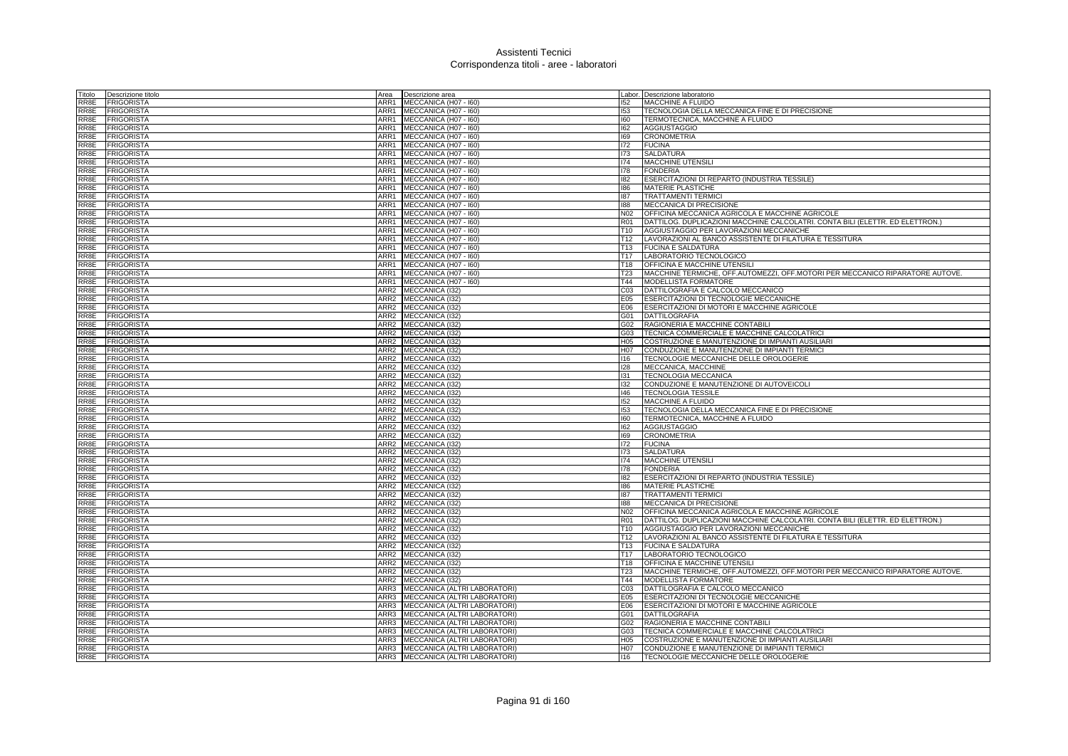|      | Titolo <b>Descrizione titolo</b>     | Descrizione area<br>Area                                       |                  | Labor. Descrizione laboratorio                                                                                                   |
|------|--------------------------------------|----------------------------------------------------------------|------------------|----------------------------------------------------------------------------------------------------------------------------------|
|      | RR8E FRIGORISTA                      | ARR1<br>MECCANICA (H07 - I60)                                  | 152              | MACCHINE A FLUIDO                                                                                                                |
|      | RR8E FRIGORISTA                      | ARR1<br>MECCANICA (H07 - 160)                                  | 153              | TECNOLOGIA DELLA MECCANICA FINE E DI PRECISIONE                                                                                  |
| RR8E | <b>FRIGORISTA</b>                    | ARR1 MECCANICA (H07 - 160)                                     | 160              | TERMOTECNICA, MACCHINE A FLUIDO                                                                                                  |
|      | RR8E FRIGORISTA                      | ARR1 MECCANICA (H07 - 160)                                     | 162              | <b>AGGIUSTAGGIO</b>                                                                                                              |
| RR8E | <b>FRIGORISTA</b>                    | ARR1<br>MECCANICA (H07 - I60)                                  | 169              | <b>CRONOMETRIA</b>                                                                                                               |
| RR8E | <b>FRIGORISTA</b>                    | ARR1<br>MECCANICA (H07 - 160)                                  | 172              | <b>FUCINA</b>                                                                                                                    |
| RR8E | <b>FRIGORISTA</b>                    | ARR1<br>MECCANICA (H07 - I60)                                  | 173              | <b>SALDATURA</b>                                                                                                                 |
|      | RR8E FRIGORISTA                      | ARR1 MECCANICA (H07 - 160)                                     | 174              | <b>MACCHINE UTENSILI</b>                                                                                                         |
|      | RR8E FRIGORISTA                      | ARR1<br>MECCANICA (H07 - I60)                                  | 178              | <b>FONDERIA</b>                                                                                                                  |
|      | RR8E FRIGORISTA                      | ARR1<br>MECCANICA (H07 - 160)                                  | 182              | ESERCITAZIONI DI REPARTO (INDUSTRIA TESSILE)                                                                                     |
|      | RR8E FRIGORISTA                      | ARR1 MECCANICA (H07 - 160)                                     | 186              | <b>MATERIE PLASTICHE</b>                                                                                                         |
| RR8E | <b>FRIGORISTA</b>                    | ARR1 MECCANICA (H07 - 160)                                     | 187              | <b>TRATTAMENTI TERMICI</b>                                                                                                       |
|      | RR8E FRIGORISTA                      | ARR1 MECCANICA (H07 - 160)                                     | 188              | MECCANICA DI PRECISIONE                                                                                                          |
| RR8E | <b>FRIGORISTA</b>                    | ARR1<br>MECCANICA (H07 - 160)                                  | N <sub>02</sub>  | OFFICINA MECCANICA AGRICOLA E MACCHINE AGRICOLE<br>DATTILOG. DUPLICAZIONI MACCHINE CALCOLATRI. CONTA BILI (ELETTR. ED ELETTRON.) |
| RR8E | RR8E FRIGORISTA<br><b>FRIGORISTA</b> | ARR1<br>MECCANICA (H07 - 160)<br>ARR1<br>MECCANICA (H07 - I60) | <b>R01</b>       | T10 AGGIUSTAGGIO PER LAVORAZIONI MECCANICHE                                                                                      |
|      | RR8E FRIGORISTA                      | ARR1 MECCANICA (H07 - 160)                                     |                  | T12  LAVORAZIONI AL BANCO ASSISTENTE DI FILATURA E TESSITURA                                                                     |
|      | RR8E FRIGORISTA                      | ARR1<br>MECCANICA (H07 - I60)                                  |                  | T13 FUCINA E SALDATURA                                                                                                           |
|      | RR8E FRIGORISTA                      | ARR1<br>MECCANICA (H07 - I60)                                  | T17              | LABORATORIO TECNOLOGICO                                                                                                          |
| RR8E | <b>FRIGORISTA</b>                    | ARR1<br>MECCANICA (H07 - I60)                                  | T18              | <b>OFFICINA E MACCHINE UTENSILI</b>                                                                                              |
| RR8E | <b>FRIGORISTA</b>                    | ARR1 MECCANICA (H07 - 160)                                     | T23              | MACCHINE TERMICHE, OFF.AUTOMEZZI, OFF.MOTORI PER MECCANICO RIPARATORE AUTOVE.                                                    |
| RR8E | <b>FRIGORISTA</b>                    | ARR1<br>MECCANICA (H07 - I60)                                  | T44              | MODELLISTA FORMATORE                                                                                                             |
| RR8E | <b>FRIGORISTA</b>                    | ARR <sub>2</sub><br>MECCANICA (I32)                            | C03              | DATTILOGRAFIA E CALCOLO MECCANICO                                                                                                |
| RR8E | <b>FRIGORISTA</b>                    | ARR2<br>MECCANICA (I32)                                        | E05              | ESERCITAZIONI DI TECNOLOGIE MECCANICHE                                                                                           |
| RR8E | <b>FRIGORISTA</b>                    | ARR2<br>MECCANICA (I32)                                        | E06              | ESERCITAZIONI DI MOTORI E MACCHINE AGRICOLE                                                                                      |
|      | RR8E FRIGORISTA                      | ARR2 MECCANICA (I32)                                           |                  | G01 DATTILOGRAFIA                                                                                                                |
|      | RR8E FRIGORISTA                      | ARR2<br>MECCANICA (I32)                                        | G02              | RAGIONERIA E MACCHINE CONTABILI                                                                                                  |
| RR8E | <b>FRIGORISTA</b>                    | MECCANICA (I32)<br>ARR2                                        | G03              | TECNICA COMMERCIALE E MACCHINE CALCOLATRICI                                                                                      |
| RR8E | <b>FRIGORISTA</b>                    | ARR2 MECCANICA (132)                                           | H05              | COSTRUZIONE E MANUTENZIONE DI IMPIANTI AUSILIARI                                                                                 |
|      | RR8E FRIGORISTA                      | ARR2 MECCANICA (I32)                                           | H07              | CONDUZIONE E MANUTENZIONE DI IMPIANTI TERMICI                                                                                    |
|      | RR8E FRIGORISTA                      | ARR <sub>2</sub><br>MECCANICA (132)                            | 116              | <b>TECNOLOGIE MECCANICHE DELLE OROLOGERIE</b>                                                                                    |
|      | RR8E FRIGORISTA                      | ARR2<br>MECCANICA (132)                                        | 128              | MECCANICA, MACCHINE                                                                                                              |
| RR8E | FRIGORISTA                           | ARR <sub>2</sub><br>MECCANICA (I32)                            | 131              | <b>TECNOLOGIA MECCANICA</b>                                                                                                      |
| RR8E | <b>FRIGORISTA</b>                    | ARR <sub>2</sub><br>MECCANICA (I32)                            | 132              | CONDUZIONE E MANUTENZIONE DI AUTOVEICOLI                                                                                         |
|      | RR8E FRIGORISTA                      | ARR2 MECCANICA (I32)                                           | 146              | <b>TECNOLOGIA TESSILE</b>                                                                                                        |
|      | RR8E FRIGORISTA                      | ARR <sub>2</sub><br>MECCANICA (I32)                            | 152              | MACCHINE A FLUIDO                                                                                                                |
|      | RR8E FRIGORISTA                      | ARR2<br>MECCANICA (I32)                                        | 153              | TECNOLOGIA DELLA MECCANICA FINE E DI PRECISIONE                                                                                  |
| RR8E | <b>FRIGORISTA</b>                    | ARR2 MECCANICA (132)                                           | 160              | TERMOTECNICA, MACCHINE A FLUIDO                                                                                                  |
|      | RR8E FRIGORISTA                      | ARR2 MECCANICA (I32)                                           | 162              | <b>AGGIUSTAGGIO</b>                                                                                                              |
| RR8E | <b>FRIGORISTA</b>                    | ARR <sub>2</sub><br>MECCANICA (I32)                            | 169              | <b>CRONOMETRIA</b>                                                                                                               |
|      | RR8E FRIGORISTA                      | ARR <sub>2</sub><br>MECCANICA (I32)                            | 172              | <b>FUCINA</b>                                                                                                                    |
| RR8E | <b>FRIGORISTA</b>                    | ARR <sub>2</sub><br>MECCANICA (I32)                            | 173              | <b>SALDATURA</b>                                                                                                                 |
| RR8E | <b>FRIGORISTA</b>                    | ARR <sub>2</sub><br>MECCANICA (I32)                            | 174              | <b>MACCHINE UTENSILI</b>                                                                                                         |
|      | RR8E FRIGORISTA                      | ARR2<br>MECCANICA (I32)                                        | 178              | <b>FONDERIA</b>                                                                                                                  |
| RR8E | <b>FRIGORISTA</b>                    | ARR <sub>2</sub><br>MECCANICA (I32)                            | 182              | ESERCITAZIONI DI REPARTO (INDUSTRIA TESSILE)                                                                                     |
|      | RR8E FRIGORISTA                      | ARR2<br>MECCANICA (I32)                                        | 186<br>187       | <b>MATERIE PLASTICHE</b><br><b>TRATTAMENTI TERMICI</b>                                                                           |
| RR8E | <b>FRIGORISTA</b>                    | MECCANICA (I32)<br>ARR2                                        |                  |                                                                                                                                  |
| RR8E | RR8E FRIGORISTA<br><b>FRIGORISTA</b> | ARR2 MECCANICA (I32)<br>ARR <sub>2</sub><br>MECCANICA (132)    | 188<br>N02       | MECCANICA DI PRECISIONE<br>OFFICINA MECCANICA AGRICOLA E MACCHINE AGRICOLE                                                       |
| RR8E | <b>FRIGORISTA</b>                    | MECCANICA (I32)<br>ARR2                                        | R <sub>01</sub>  | DATTILOG. DUPLICAZIONI MACCHINE CALCOLATRI. CONTA BILI (ELETTR. ED ELETTRON.)                                                    |
| RR8E | <b>FRIGORISTA</b>                    | ARR <sub>2</sub><br>MECCANICA (I32)                            | T10              | AGGIUSTAGGIO PER LAVORAZIONI MECCANICHE                                                                                          |
|      | RR8E FRIGORISTA                      | ARR2 MECCANICA (I32)                                           |                  | T12  LAVORAZIONI AL BANCO ASSISTENTE DI FILATURA E TESSITURA                                                                     |
|      | RR8E FRIGORISTA                      | ARR <sub>2</sub><br>MECCANICA (132)                            |                  | T13 FUCINA E SALDATURA                                                                                                           |
|      | RR8E FRIGORISTA                      | ARR <sub>2</sub><br>MECCANICA (I32)                            | T <sub>17</sub>  | LABORATORIO TECNOLOGICO                                                                                                          |
| RR8E | <b>FRIGORISTA</b>                    | ARR <sub>2</sub><br>MECCANICA (I32)                            | T18              | <b>OFFICINA E MACCHINE UTENSILI</b>                                                                                              |
| RR8E | <b>FRIGORISTA</b>                    | MECCANICA (I32)<br>ARR2                                        | T23              | MACCHINE TERMICHE, OFF.AUTOMEZZI, OFF.MOTORI PER MECCANICO RIPARATORE AUTOVE.                                                    |
|      | RR8E FRIGORISTA                      | ARR2<br>MECCANICA (I32)                                        |                  | T44 MODELLISTA FORMATORE                                                                                                         |
| RR8E | <b>FRIGORISTA</b>                    | ARR3<br>MECCANICA (ALTRI LABORATORI)                           | C03              | DATTILOGRAFIA E CALCOLO MECCANICO                                                                                                |
| RR8E | <b>FRIGORISTA</b>                    | ARR3<br>MECCANICA (ALTRI LABORATORI)                           | E05              | <b>ESERCITAZIONI DI TECNOLOGIE MECCANICHE</b>                                                                                    |
| RR8E | <b>FRIGORISTA</b>                    | ARR3<br>MECCANICA (ALTRI LABORATORI)                           | E06              | ESERCITAZIONI DI MOTORI E MACCHINE AGRICOLE                                                                                      |
|      | RR8E FRIGORISTA                      | ARR3<br>MECCANICA (ALTRI LABORATORI)                           |                  | G01 DATTILOGRAFIA                                                                                                                |
|      | RR8E FRIGORISTA                      | ARR3<br>MECCANICA (ALTRI LABORATORI)                           | G02              | RAGIONERIA E MACCHINE CONTABILI                                                                                                  |
|      | RR8E FRIGORISTA                      | MECCANICA (ALTRI LABORATORI)<br>ARR3                           | G03              | TECNICA COMMERCIALE E MACCHINE CALCOLATRICI                                                                                      |
| RR8E | <b>FRIGORISTA</b>                    | MECCANICA (ALTRI LABORATORI)<br>ARR3                           | H05              | <b>COSTRUZIONE E MANUTENZIONE DI IMPIANTI AUSILIARI</b>                                                                          |
| RR8E | <b>FRIGORISTA</b>                    | ARR3 MECCANICA (ALTRI LABORATORI)                              | H <sub>0</sub> 7 | CONDUZIONE E MANUTENZIONE DI IMPIANTI TERMICI                                                                                    |
|      | RR8E FRIGORISTA                      | ARR3<br>MECCANICA (ALTRI LABORATORI)                           | 116              | TECNOLOGIE MECCANICHE DELLE OROLOGERIE                                                                                           |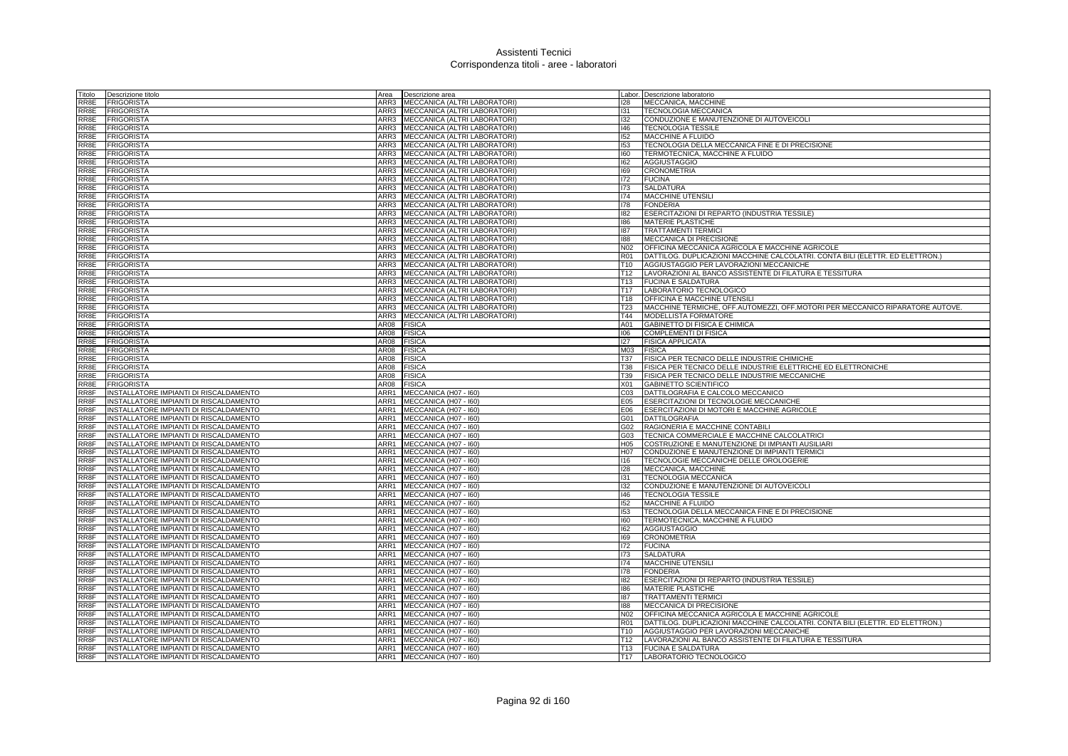| Titolo                    | Descrizione titolo                                                               | Area         | Descrizione area                               |                 | Labor. Descrizione laboratorio                                                                                           |
|---------------------------|----------------------------------------------------------------------------------|--------------|------------------------------------------------|-----------------|--------------------------------------------------------------------------------------------------------------------------|
| RR8E                      | <b>FRIGORISTA</b>                                                                |              | ARR3 MECCANICA (ALTRI LABORATORI)              | 128             | MECCANICA, MACCHINE                                                                                                      |
| RR8E                      | <b>FRIGORISTA</b>                                                                | ARR3         | MECCANICA (ALTRI LABORATORI)                   | 131             | <b>TECNOLOGIA MECCANICA</b>                                                                                              |
| RR8E                      | <b>FRIGORISTA</b>                                                                |              | ARR3 MECCANICA (ALTRI LABORATORI)              | 132             | CONDUZIONE E MANUTENZIONE DI AUTOVEICOLI                                                                                 |
| RR8E                      | <b>FRIGORISTA</b>                                                                |              | ARR3 MECCANICA (ALTRI LABORATORI)              | 146             | <b>TECNOLOGIA TESSILE</b>                                                                                                |
| RR8E                      | <b>FRIGORISTA</b>                                                                |              | ARR3 MECCANICA (ALTRI LABORATORI)              | 152             | <b>MACCHINE A FLUIDO</b>                                                                                                 |
| RR8E                      | <b>FRIGORISTA</b>                                                                | ARR3         | MECCANICA (ALTRI LABORATORI)                   | 153             | TECNOLOGIA DELLA MECCANICA FINE E DI PRECISIONE                                                                          |
| RR8E                      | <b>FRIGORISTA</b>                                                                | ARR3         | MECCANICA (ALTRI LABORATORI)                   | 160             | TERMOTECNICA, MACCHINE A FLUIDO                                                                                          |
| RR8E                      | <b>FRIGORISTA</b>                                                                | ARR3         | MECCANICA (ALTRI LABORATORI)                   | 162             | <b>AGGIUSTAGGIO</b>                                                                                                      |
| RR8E                      | <b>FRIGORISTA</b>                                                                | ARR3         | MECCANICA (ALTRI LABORATORI)                   | 169             | <b>CRONOMETRIA</b>                                                                                                       |
| RR8E                      | <b>FRIGORISTA</b>                                                                | ARR3         | MECCANICA (ALTRI LABORATORI)                   | 172             | <b>FUCINA</b>                                                                                                            |
| RR8E                      | <b>FRIGORISTA</b>                                                                | ARR3         | MECCANICA (ALTRI LABORATORI)                   | 173             | <b>SALDATURA</b>                                                                                                         |
| RR8E                      | <b>FRIGORISTA</b>                                                                |              | ARR3 MECCANICA (ALTRI LABORATORI)              | 174             | MACCHINE UTENSILI                                                                                                        |
| RR8E                      | <b>FRIGORISTA</b>                                                                |              | ARR3 MECCANICA (ALTRI LABORATORI)              | 178             | <b>FONDERIA</b>                                                                                                          |
| RR8E                      | <b>FRIGORISTA</b>                                                                | ARR3         | MECCANICA (ALTRI LABORATORI)                   | 182             | ESERCITAZIONI DI REPARTO (INDUSTRIA TESSILE)                                                                             |
| RR8E                      | <b>FRIGORISTA</b>                                                                | ARR3         | MECCANICA (ALTRI LABORATORI)                   | 186             | MATERIE PLASTICHE                                                                                                        |
| RR8E                      | <b>FRIGORISTA</b>                                                                | ARR3         | MECCANICA (ALTRI LABORATORI)                   | 187             | <b>TRATTAMENTI TERMIC</b>                                                                                                |
| RR8E                      | <b>FRIGORISTA</b>                                                                |              | ARR3 MECCANICA (ALTRI LABORATORI)              | 188             | MECCANICA DI PRECISIONE                                                                                                  |
| RR8E                      | <b>FRIGORISTA</b>                                                                | ARR3         | MECCANICA (ALTRI LABORATORI)                   | N02             | OFFICINA MECCANICA AGRICOLA E MACCHINE AGRICOLE                                                                          |
| RR8E                      | <b>FRIGORISTA</b>                                                                | ARR3         | MECCANICA (ALTRI LABORATORI)                   | <b>R01</b>      | DATTILOG. DUPLICAZIONI MACCHINE CALCOLATRI. CONTA BILI (ELETTR. ED ELETTRON.)                                            |
| RR8E                      | <b>FRIGORISTA</b>                                                                |              | ARR3 MECCANICA (ALTRI LABORATORI)              | T <sub>10</sub> | AGGIUSTAGGIO PER LAVORAZIONI MECCANICHE                                                                                  |
| RR8E                      | <b>FRIGORISTA</b>                                                                |              | ARR3 MECCANICA (ALTRI LABORATORI)              | T12             | LAVORAZIONI AL BANCO ASSISTENTE DI FILATURA E TESSITURA                                                                  |
| RR8E                      | <b>FRIGORISTA</b>                                                                | ARR3         | MECCANICA (ALTRI LABORATORI)                   | T <sub>13</sub> | <b>FUCINA E SALDATURA</b>                                                                                                |
| RR8E                      | <b>FRIGORISTA</b>                                                                | ARR3         | MECCANICA (ALTRI LABORATORI)                   | T <sub>17</sub> | LABORATORIO TECNOLOGICO                                                                                                  |
| RR8E                      | <b>FRIGORISTA</b>                                                                | ARR3         | MECCANICA (ALTRI LABORATORI)                   | T <sub>18</sub> | OFFICINA E MACCHINE UTENSILI                                                                                             |
| RR8E                      | <b>FRIGORISTA</b>                                                                | ARR3         | MECCANICA (ALTRI LABORATORI)                   | T23             | MACCHINE TERMICHE, OFF.AUTOMEZZI, OFF.MOTORI PER MECCANICO RIPARATORE AUTOVE.                                            |
| RR8E                      | <b>FRIGORISTA</b>                                                                | ARR3         | MECCANICA (ALTRI LABORATORI)                   | T44             | MODELLISTA FORMATORE                                                                                                     |
| RR8E                      | <b>FRIGORISTA</b>                                                                | AR08         | <b>FISICA</b>                                  | A01             | GABINETTO DI FISICA E CHIMICA                                                                                            |
| RR8E                      | <b>FRIGORISTA</b>                                                                | AR08         | <b>FISICA</b>                                  | 106             | <b>COMPLEMENTI DI FISICA</b>                                                                                             |
| RR8E                      | <b>FRIGORISTA</b>                                                                | AR08         | <b>FISICA</b>                                  | 127             | <b>FISICA APPLICATA</b>                                                                                                  |
| RR8E                      | FRIGORISTA                                                                       | AR08         | <b>FISICA</b>                                  | M03             | <b>FISICA</b>                                                                                                            |
| RR8E                      | <b>FRIGORISTA</b>                                                                | AR08         | <b>FISICA</b>                                  | T37             | <b>FISICA PER TECNICO DELLE INDUSTRIE CHIMICHE</b>                                                                       |
| RR8E                      | <b>FRIGORISTA</b>                                                                | AR08         | <b>FISICA</b>                                  | T38             | FISICA PER TECNICO DELLE INDUSTRIE ELETTRICHE ED ELETTRONICHE                                                            |
| RR8E                      | <b>FRIGORISTA</b>                                                                | AR08         | <b>FISICA</b>                                  | T39             | FISICA PER TECNICO DELLE INDUSTRIE MECCANICHE                                                                            |
| RR8E                      | <b>FRIGORISTA</b>                                                                | AR08         | <b>FISICA</b>                                  | X01             | <b>GABINETTO SCIENTIFICO</b>                                                                                             |
| RR8F                      | INSTALLATORE IMPIANTI DI RISCALDAMENTO                                           | ARR1         | MECCANICA (H07 - I60)                          | CO <sub>3</sub> | DATTILOGRAFIA E CALCOLO MECCANICO                                                                                        |
| RR8F                      | INSTALLATORE IMPIANTI DI RISCALDAMENTO                                           | ARR1         | MECCANICA (H07 - I60)                          | E05             | ESERCITAZIONI DI TECNOLOGIE MECCANICHE                                                                                   |
| RR8F                      | INSTALLATORE IMPIANTI DI RISCALDAMENTO                                           | ARR1         | MECCANICA (H07 - I60)                          | E06             | ESERCITAZIONI DI MOTORI E MACCHINE AGRICOLE                                                                              |
| RR8F                      | INSTALLATORE IMPIANTI DI RISCALDAMENTO                                           |              | ARR1 MECCANICA (H07 - 160)                     | G01             | <b>DATTILOGRAFIA</b>                                                                                                     |
| RR8F                      | INSTALLATORE IMPIANTI DI RISCALDAMENTO                                           | ARR1         | MECCANICA (H07 - I60)                          | G02             | RAGIONERIA E MACCHINE CONTABIL                                                                                           |
| RR8F                      | INSTALLATORE IMPIANTI DI RISCALDAMENTO                                           | ARR1         | MECCANICA (H07 - I60)                          | G03             | TECNICA COMMERCIALE E MACCHINE CALCOLATRICI                                                                              |
| RR8F                      | INSTALLATORE IMPIANTI DI RISCALDAMENTO                                           | ARR1         | MECCANICA (H07 - 160)                          | H05             | COSTRUZIONE E MANUTENZIONE DI IMPIANTI AUSILIARI                                                                         |
| RR8F                      | INSTALLATORE IMPIANTI DI RISCALDAMENTO                                           |              | ARR1 MECCANICA (H07 - 160)                     | H07             | CONDUZIONE E MANUTENZIONE DI IMPIANTI TERMICI                                                                            |
| RR8F                      | INSTALLATORE IMPIANTI DI RISCALDAMENTO                                           | ARR1         | MECCANICA (H07 - I60)                          | 116             | TECNOLOGIE MECCANICHE DELLE OROLOGERIE                                                                                   |
| RR8F                      | INSTALLATORE IMPIANTI DI RISCALDAMENTO                                           | ARR1         | MECCANICA (H07 - I60)                          | 128             | MECCANICA, MACCHINE                                                                                                      |
| RR8F                      | INSTALLATORE IMPIANTI DI RISCALDAMENTO                                           | ARR1         | MECCANICA (H07 - I60)                          | 131             | <b>TECNOLOGIA MECCANICA</b>                                                                                              |
| RR8F                      | INSTALLATORE IMPIANTI DI RISCALDAMENTO                                           |              | ARR1 MECCANICA (H07 - 160)                     | 132             | CONDUZIONE E MANUTENZIONE DI AUTOVEICOLI                                                                                 |
| RR8F                      | INSTALLATORE IMPIANTI DI RISCALDAMENTO                                           |              | ARR1 MECCANICA (H07 - 160)                     | 146             | <b>TECNOLOGIA TESSILE</b>                                                                                                |
| RR8F                      | INSTALLATORE IMPIANTI DI RISCALDAMENTO                                           | ARR1         | MECCANICA (H07 - 160)                          | 152             | MACCHINE A FLUIDO                                                                                                        |
| RR8F                      | INSTALLATORE IMPIANTI DI RISCALDAMENTO                                           | ARR1         | MECCANICA (H07 - I60)                          | 153             | TECNOLOGIA DELLA MECCANICA FINE E DI PRECISIONE                                                                          |
| RR8F                      | INSTALLATORE IMPIANTI DI RISCALDAMENTO                                           |              | ARR1 MECCANICA (H07 - 160)                     | 160             | TERMOTECNICA, MACCHINE A FLUIDO                                                                                          |
| RR8F                      | INSTALLATORE IMPIANTI DI RISCALDAMENTO                                           |              | ARR1 MECCANICA (H07 - 160)                     | 162             | <b>AGGIUSTAGGIO</b>                                                                                                      |
| RR8F                      | INSTALLATORE IMPIANTI DI RISCALDAMENTO                                           | ARR1         | MECCANICA (H07 - I60)                          | 169             | <b>CRONOMETRIA</b>                                                                                                       |
| RR8F<br>RR <sub>8</sub> F | INSTALLATORE IMPIANTI DI RISCALDAMENTO<br>INSTALLATORE IMPIANTI DI RISCALDAMENTO | ARR1         | MECCANICA (H07 - I60)                          | 172             | <b>FUCINA</b>                                                                                                            |
|                           |                                                                                  |              | ARR1 MECCANICA (H07 - 160)                     | 173             | <b>SALDATURA</b>                                                                                                         |
| RR8F<br>RR8F              | INSTALLATORE IMPIANTI DI RISCALDAMENTO                                           | ARR1<br>ARR1 | MECCANICA (H07 - I60)                          | 174             | <b>MACCHINE UTENSILI</b>                                                                                                 |
|                           | INSTALLATORE IMPIANTI DI RISCALDAMENTO                                           |              | MECCANICA (H07 - I60)                          | 178             | <b>FONDERIA</b>                                                                                                          |
| RR8F                      | INSTALLATORE IMPIANTI DI RISCALDAMENTO                                           | ARR1         | MECCANICA (H07 - I60)                          | 182<br>186      | ESERCITAZIONI DI REPARTO (INDUSTRIA TESSILE)                                                                             |
| RR8F<br>RR8F              | INSTALLATORE IMPIANTI DI RISCALDAMENTO                                           | ARR1<br>ARR1 | MECCANICA (H07 - I60)                          | 187             | <b>MATERIE PLASTICHE</b><br><b>TRATTAMENTI TERMIC</b>                                                                    |
| RR8F                      | INSTALLATORE IMPIANTI DI RISCALDAMENTO                                           | ARR1         | MECCANICA (H07 - I60)                          | 188             |                                                                                                                          |
| RR8F                      | INSTALLATORE IMPIANTI DI RISCALDAMENTO<br>INSTALLATORE IMPIANTI DI RISCALDAMENTO | ARR1         | MECCANICA (H07 - I60)                          | N <sub>02</sub> | MECCANICA DI PRECISIONE                                                                                                  |
| RR8F                      |                                                                                  | ARR1         | MECCANICA (H07 - I60)                          | <b>R01</b>      | OFFICINA MECCANICA AGRICOLA E MACCHINE AGRICOLE                                                                          |
| RR8F                      | INSTALLATORE IMPIANTI DI RISCALDAMENTO<br>INSTALLATORE IMPIANTI DI RISCALDAMENTO |              | MECCANICA (H07 - I60)                          | T <sub>10</sub> | DATTILOG. DUPLICAZIONI MACCHINE CALCOLATRI. CONTA BILI (ELETTR. ED ELETTRON.)<br>AGGIUSTAGGIO PER LAVORAZIONI MECCANICHE |
| RR8F                      |                                                                                  | ARR1         | ARR1 MECCANICA (H07 - 160)                     | T12             |                                                                                                                          |
| RR8F                      | INSTALLATORE IMPIANTI DI RISCALDAMENTO<br>INSTALLATORE IMPIANTI DI RISCALDAMENTO | ARR1         | MECCANICA (H07 - I60)<br>MECCANICA (H07 - 160) | T <sub>13</sub> | LAVORAZIONI AL BANCO ASSISTENTE DI FILATURA E TESSITURA<br><b>FUCINA E SALDATURA</b>                                     |
| RR8F                      | INSTALLATORE IMPIANTI DI RISCALDAMENTO                                           |              | ARR1 MECCANICA (H07 - 160)                     | T17             | LABORATORIO TECNOLOGICO                                                                                                  |
|                           |                                                                                  |              |                                                |                 |                                                                                                                          |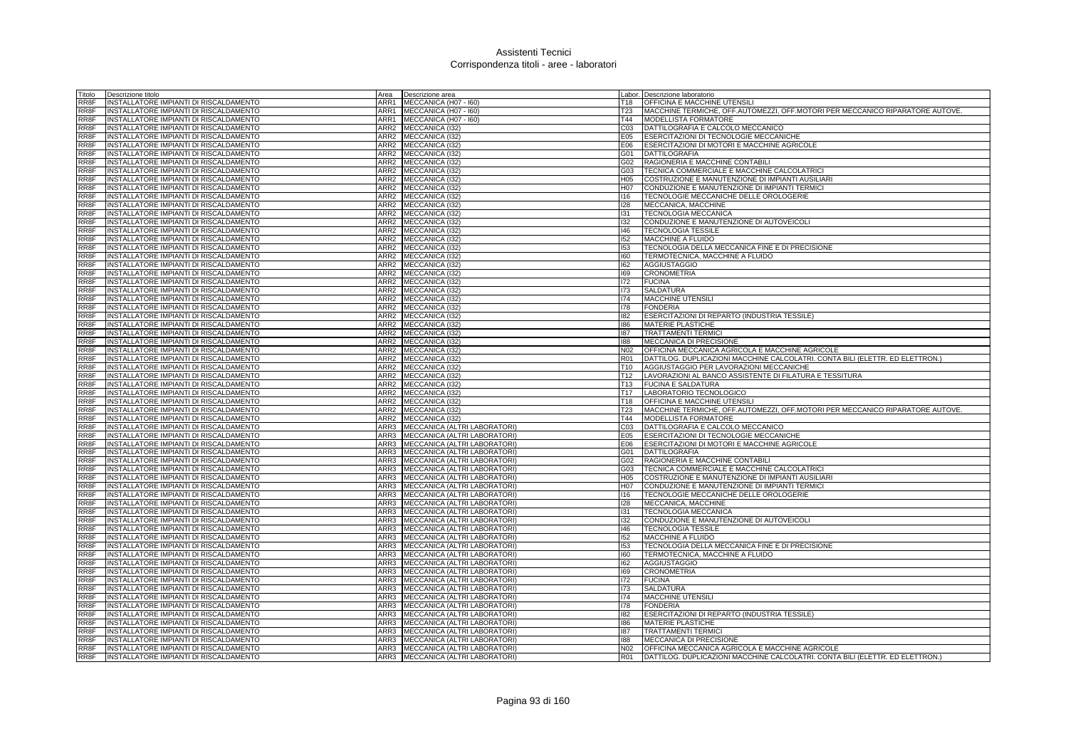| Titolo            | Descrizione titolo                                                               | Area             | Descrizione area                        |                 | Labor. Descrizione laboratorio                                                                                                   |
|-------------------|----------------------------------------------------------------------------------|------------------|-----------------------------------------|-----------------|----------------------------------------------------------------------------------------------------------------------------------|
| RR8F              | INSTALLATORE IMPIANTI DI RISCALDAMENTO                                           | ARR1             | MECCANICA (H07 - I60)                   | T18             | OFFICINA E MACCHINE UTENSILI                                                                                                     |
| RR8F              | INSTALLATORE IMPIANTI DI RISCALDAMENTO                                           | ARR1             | MECCANICA (H07 - I60)                   | <b>T23</b>      | MACCHINE TERMICHE, OFF.AUTOMEZZI, OFF.MOTORI PER MECCANICO RIPARATORE AUTOVE.                                                    |
| RR <sub>8</sub> F | INSTALLATORE IMPIANTI DI RISCALDAMENTO                                           | ARR1             | MECCANICA (H07 - I60)                   | T44             | <b>MODELLISTA FORMATORE</b>                                                                                                      |
| RR8F              | INSTALLATORE IMPIANTI DI RISCALDAMENTO                                           |                  | ARR2 MECCANICA (I32)                    | C <sub>03</sub> | DATTILOGRAFIA E CALCOLO MECCANICO                                                                                                |
| RR8F              | INSTALLATORE IMPIANTI DI RISCALDAMENTO                                           | ARR2             | MECCANICA (132)                         | E05             | ESERCITAZIONI DI TECNOLOGIE MECCANICHE                                                                                           |
| RR8F              | INSTALLATORE IMPIANTI DI RISCALDAMENTO                                           |                  | ARR2 MECCANICA (I32)                    | E06             | ESERCITAZIONI DI MOTORI E MACCHINE AGRICOLE                                                                                      |
| RR8F              | INSTALLATORE IMPIANTI DI RISCALDAMENTO                                           |                  | ARR2 MECCANICA (I32)                    | G01             | <b>DATTILOGRAFIA</b>                                                                                                             |
| RR8F              | INSTALLATORE IMPIANTI DI RISCALDAMENTO                                           | ARR2             | MECCANICA (I32)                         | G02             | RAGIONERIA E MACCHINE CONTABILI                                                                                                  |
| RR <sub>8</sub> F | INSTALLATORE IMPIANTI DI RISCALDAMENTO                                           | ARR <sub>2</sub> | MECCANICA (132)                         | G03             | TECNICA COMMERCIALE E MACCHINE CALCOLATRIC                                                                                       |
| RR <sub>8F</sub>  | INSTALLATORE IMPIANTI DI RISCALDAMENTO                                           | ARR <sub>2</sub> | MECCANICA (132)                         | H05             | COSTRUZIONE E MANUTENZIONE DI IMPIANTI AUSILIARI                                                                                 |
| RR8F              | INSTALLATORE IMPIANTI DI RISCALDAMENTO                                           |                  | ARR2 MECCANICA (I32)                    | H07             | CONDUZIONE E MANUTENZIONE DI IMPIANTI TERMICI                                                                                    |
| RR8F              | <b>INSTALLATORE IMPIANTI DI RISCALDAMENTO</b>                                    |                  | ARR2 MECCANICA (I32)                    | 116             | TECNOLOGIE MECCANICHE DELLE OROLOGERIE                                                                                           |
| RR8F              | INSTALLATORE IMPIANTI DI RISCALDAMENTO                                           |                  | ARR2 MECCANICA (I32)                    | 128             | MECCANICA, MACCHINE                                                                                                              |
| RR <sub>8</sub> F | INSTALLATORE IMPIANTI DI RISCALDAMENTO                                           | ARR <sub>2</sub> | MECCANICA (132)                         | 131             | <b>TECNOLOGIA MECCANICA</b>                                                                                                      |
| RR8F              | INSTALLATORE IMPIANTI DI RISCALDAMENTO                                           | ARR <sub>2</sub> | MECCANICA (I32)                         | 132             | CONDUZIONE E MANUTENZIONE DI AUTOVEICOLI                                                                                         |
| RR8F              | INSTALLATORE IMPIANTI DI RISCALDAMENTO                                           |                  | ARR2 MECCANICA (I32)                    | 146             | <b>TECNOLOGIA TESSILE</b>                                                                                                        |
| RR8F              | INSTALLATORE IMPIANTI DI RISCALDAMENTO                                           |                  | ARR2 MECCANICA (I32)                    | 152             | MACCHINE A FLUIDO                                                                                                                |
| RR8F              | INSTALLATORE IMPIANTI DI RISCALDAMENTO                                           |                  | ARR2 MECCANICA (I32)                    | 153             | TECNOLOGIA DELLA MECCANICA FINE E DI PRECISIONE                                                                                  |
| RR8F              | INSTALLATORE IMPIANTI DI RISCALDAMENTO                                           | ARR2             | MECCANICA (I32)                         | 160             | TERMOTECNICA, MACCHINE A FLUIDO                                                                                                  |
| RR <sub>8</sub> F | INSTALLATORE IMPIANTI DI RISCALDAMENTO                                           |                  | ARR2 MECCANICA (I32)                    | 162             | AGGIUSTAGGIO                                                                                                                     |
| RR <sub>8F</sub>  | INSTALLATORE IMPIANTI DI RISCALDAMENTO                                           |                  | ARR2 MECCANICA (I32)                    | 169             | <b>CRONOMETRIA</b>                                                                                                               |
| RR <sub>8F</sub>  | INSTALLATORE IMPIANTI DI RISCALDAMENTO                                           |                  | ARR2 MECCANICA (I32)                    | 172             | <b>FUCINA</b>                                                                                                                    |
| RR8F              | INSTALLATORE IMPIANTI DI RISCALDAMENTO                                           | ARR2             | MECCANICA (I32)                         | 173             | SALDATURA                                                                                                                        |
| RR8F              | INSTALLATORE IMPIANTI DI RISCALDAMENTO                                           |                  | ARR2 MECCANICA (I32)                    | 174             | MACCHINE UTENSILI                                                                                                                |
|                   |                                                                                  |                  |                                         |                 | <b>FONDERIA</b>                                                                                                                  |
| RR8F<br>RR8F      | INSTALLATORE IMPIANTI DI RISCALDAMENTO                                           |                  | ARR2 MECCANICA (I32)                    | 178             | ESERCITAZIONI DI REPARTO (INDUSTRIA TESSILE)                                                                                     |
| RR8F              | INSTALLATORE IMPIANTI DI RISCALDAMENTO<br>INSTALLATORE IMPIANTI DI RISCALDAMENTO | ARR2             | ARR2 MECCANICA (I32)<br>MECCANICA (I32) | 182<br>186      | MATERIE PLASTICHE                                                                                                                |
| RR <sub>8</sub> F | INSTALLATORE IMPIANTI DI RISCALDAMENTO                                           | ARR <sub>2</sub> | MECCANICA (I32)                         | 187             | <b>TRATTAMENTI TERMICI</b>                                                                                                       |
| RR <sub>8</sub> F | INSTALLATORE IMPIANTI DI RISCALDAMENTO                                           |                  | ARR2 MECCANICA (I32)                    | 881             | MECCANICA DI PRECISIONE                                                                                                          |
| RR8F              | INSTALLATORE IMPIANTI DI RISCALDAMENTO                                           |                  | ARR2 MECCANICA (I32)                    | N02             |                                                                                                                                  |
| RR <sub>8</sub> F | INSTALLATORE IMPIANTI DI RISCALDAMENTO                                           | ARR <sub>2</sub> | MECCANICA (I32)                         | <b>R01</b>      | OFFICINA MECCANICA AGRICOLA E MACCHINE AGRICOLE<br>DATTILOG. DUPLICAZIONI MACCHINE CALCOLATRI. CONTA BILI (ELETTR. ED ELETTRON.) |
| RR <sub>8F</sub>  | INSTALLATORE IMPIANTI DI RISCALDAMENTO                                           | ARR <sub>2</sub> | MECCANICA (I32)                         | T <sub>10</sub> | AGGIUSTAGGIO PER LAVORAZIONI MECCANICHE                                                                                          |
| RR <sub>8</sub> F | INSTALLATORE IMPIANTI DI RISCALDAMENTO                                           | ARR <sub>2</sub> | MECCANICA (I32)                         | T12             | LAVORAZIONI AL BANCO ASSISTENTE DI FILATURA E TESSITURA                                                                          |
| RR8F              | INSTALLATORE IMPIANTI DI RISCALDAMENTO                                           | ARR2             | MECCANICA (I32)                         | T <sub>13</sub> | <b>FUCINA E SALDATURA</b>                                                                                                        |
| RR8F              | INSTALLATORE IMPIANTI DI RISCALDAMENTO                                           | ARR2             | MECCANICA (I32)                         | T17             | LABORATORIO TECNOLOGICO                                                                                                          |
| RR8F              | INSTALLATORE IMPIANTI DI RISCALDAMENTO                                           | ARR <sub>2</sub> | MECCANICA (I32)                         | T18             | OFFICINA E MACCHINE UTENSILI                                                                                                     |
| RR <sub>8</sub> F | INSTALLATORE IMPIANTI DI RISCALDAMENTO                                           |                  | ARR2 MECCANICA (I32)                    | <b>T23</b>      | MACCHINE TERMICHE, OFF.AUTOMEZZI, OFF.MOTORI PER MECCANICO RIPARATORE AUTOVE.                                                    |
| RR8F              | INSTALLATORE IMPIANTI DI RISCALDAMENTO                                           |                  | ARR2 MECCANICA (I32)                    | T44             | MODELLISTA FORMATORE                                                                                                             |
| RR <sub>8F</sub>  | INSTALLATORE IMPIANTI DI RISCALDAMENTO                                           |                  | ARR3 MECCANICA (ALTRI LABORATORI)       | C03             | DATTILOGRAFIA E CALCOLO MECCANICO                                                                                                |
| RR8F              | INSTALLATORE IMPIANTI DI RISCALDAMENTO                                           | ARR3             | MECCANICA (ALTRI LABORATORI)            | E05             | ESERCITAZIONI DI TECNOLOGIE MECCANICHE                                                                                           |
| RR8F              | INSTALLATORE IMPIANTI DI RISCALDAMENTO                                           | ARR3             | MECCANICA (ALTRI LABORATORI)            | E06             | ESERCITAZIONI DI MOTORI E MACCHINE AGRICOLE                                                                                      |
| RR8F              | INSTALLATORE IMPIANTI DI RISCALDAMENTO                                           |                  | ARR3 MECCANICA (ALTRI LABORATORI)       | G01             | <b>DATTILOGRAFIA</b>                                                                                                             |
| RR8F              | INSTALLATORE IMPIANTI DI RISCALDAMENTO                                           | ARR3             | MECCANICA (ALTRI LABORATORI)            | G02             | RAGIONERIA E MACCHINE CONTABILI                                                                                                  |
| RR <sub>8</sub> F | INSTALLATORE IMPIANTI DI RISCALDAMENTO                                           | ARR3             | MECCANICA (ALTRI LABORATORI)            | G03             | TECNICA COMMERCIALE E MACCHINE CALCOLATRIC                                                                                       |
| RR8F              | INSTALLATORE IMPIANTI DI RISCALDAMENTO                                           | ARR3             | MECCANICA (ALTRI LABORATORI)            | H05             | COSTRUZIONE E MANUTENZIONE DI IMPIANTI AUSILIARI                                                                                 |
| RR <sub>8</sub> F | INSTALLATORE IMPIANTI DI RISCALDAMENTO                                           |                  | ARR3 MECCANICA (ALTRI LABORATORI)       | H07             | CONDUZIONE E MANUTENZIONE DI IMPIANTI TERMICI                                                                                    |
| RR8F              | INSTALLATORE IMPIANTI DI RISCALDAMENTO                                           | ARR3             | MECCANICA (ALTRI LABORATORI)            | 116             | TECNOLOGIE MECCANICHE DELLE OROLOGERIE                                                                                           |
| RR <sub>8</sub> F | INSTALLATORE IMPIANTI DI RISCALDAMENTO                                           | ARR3             | MECCANICA (ALTRI LABORATORI)            | 128             | MECCANICA, MACCHINE                                                                                                              |
| RR <sub>8</sub> F | INSTALLATORE IMPIANTI DI RISCALDAMENTO                                           | ARR3             | MECCANICA (ALTRI LABORATORI)            | 131             | TECNOLOGIA MECCANICA                                                                                                             |
| RR <sub>8</sub> F | INSTALLATORE IMPIANTI DI RISCALDAMENTO                                           | ARR3             | MECCANICA (ALTRI LABORATORI)            | 132             | CONDUZIONE E MANUTENZIONE DI AUTOVEICOLI                                                                                         |
| RR8F              | INSTALLATORE IMPIANTI DI RISCALDAMENTO                                           | ARR3             | MECCANICA (ALTRI LABORATORI)            | 146             | <b>TECNOLOGIA TESSILE</b>                                                                                                        |
| RR8F              | INSTALLATORE IMPIANTI DI RISCALDAMENTO                                           | ARR3             | MECCANICA (ALTRI LABORATORI)            | 152             | <b>MACCHINE A FLUIDO</b>                                                                                                         |
| RR8F              | INSTALLATORE IMPIANTI DI RISCALDAMENTO                                           | ARR3             | MECCANICA (ALTRI LABORATORI)            | 153             | TECNOLOGIA DELLA MECCANICA FINE E DI PRECISIONE                                                                                  |
| RR <sub>8F</sub>  | INSTALLATORE IMPIANTI DI RISCALDAMENTO                                           | ARR3             | MECCANICA (ALTRI LABORATORI)            | 160             | TERMOTECNICA, MACCHINE A FLUIDO                                                                                                  |
| RR <sub>8</sub> F | INSTALLATORE IMPIANTI DI RISCALDAMENTO                                           | ARR3             | MECCANICA (ALTRI LABORATORI)            | 162             | AGGIUSTAGGIO                                                                                                                     |
| RR8F              | INSTALLATORE IMPIANTI DI RISCALDAMENTO                                           | ARR3             | MECCANICA (ALTRI LABORATORI)            | 169             | <b>CRONOMETRIA</b>                                                                                                               |
| RR8F              | INSTALLATORE IMPIANTI DI RISCALDAMENTO                                           | ARR3             | MECCANICA (ALTRI LABORATORI)            | 172             | <b>FUCINA</b>                                                                                                                    |
| RR8F              | INSTALLATORE IMPIANTI DI RISCALDAMENTO                                           | ARR3             | MECCANICA (ALTRI LABORATORI)            | 173             | SALDATURA                                                                                                                        |
| RR8F              | INSTALLATORE IMPIANTI DI RISCALDAMENTO                                           |                  | ARR3 MECCANICA (ALTRI LABORATORI)       | 174             | MACCHINE UTENSILI                                                                                                                |
| RR8F              | INSTALLATORE IMPIANTI DI RISCALDAMENTO                                           | ARR3             | MECCANICA (ALTRI LABORATORI)            | 178             | <b>FONDERIA</b>                                                                                                                  |
| RR <sub>8</sub> F | INSTALLATORE IMPIANTI DI RISCALDAMENTO                                           | ARR3             | MECCANICA (ALTRI LABORATORI)            | 182             | ESERCITAZIONI DI REPARTO (INDUSTRIA TESSILE)                                                                                     |
| RR8F              | INSTALLATORE IMPIANTI DI RISCALDAMENTO                                           | ARR3             | MECCANICA (ALTRI LABORATORI)            | 186             | MATERIE PLASTICHE                                                                                                                |
| RR <sub>8F</sub>  | INSTALLATORE IMPIANTI DI RISCALDAMENTO                                           |                  | ARR3 MECCANICA (ALTRI LABORATORI)       | 187             | <b>TRATTAMENTI TERMICI</b>                                                                                                       |
| RR8F              | INSTALLATORE IMPIANTI DI RISCALDAMENTO                                           | ARR3             | MECCANICA (ALTRI LABORATORI)            | 881             | MECCANICA DI PRECISIONE                                                                                                          |
| RR8F              | INSTALLATORE IMPIANTI DI RISCALDAMENTO                                           |                  | ARR3 MECCANICA (ALTRI LABORATORI)       | N02             | OFFICINA MECCANICA AGRICOLA E MACCHINE AGRICOLE                                                                                  |
| RR8F              | INSTALLATORE IMPIANTI DI RISCALDAMENTO                                           |                  | ARR3 MECCANICA (ALTRI LABORATORI)       | <b>R01</b>      | DATTILOG. DUPLICAZIONI MACCHINE CALCOLATRI. CONTA BILI (ELETTR. ED ELETTRON.)                                                    |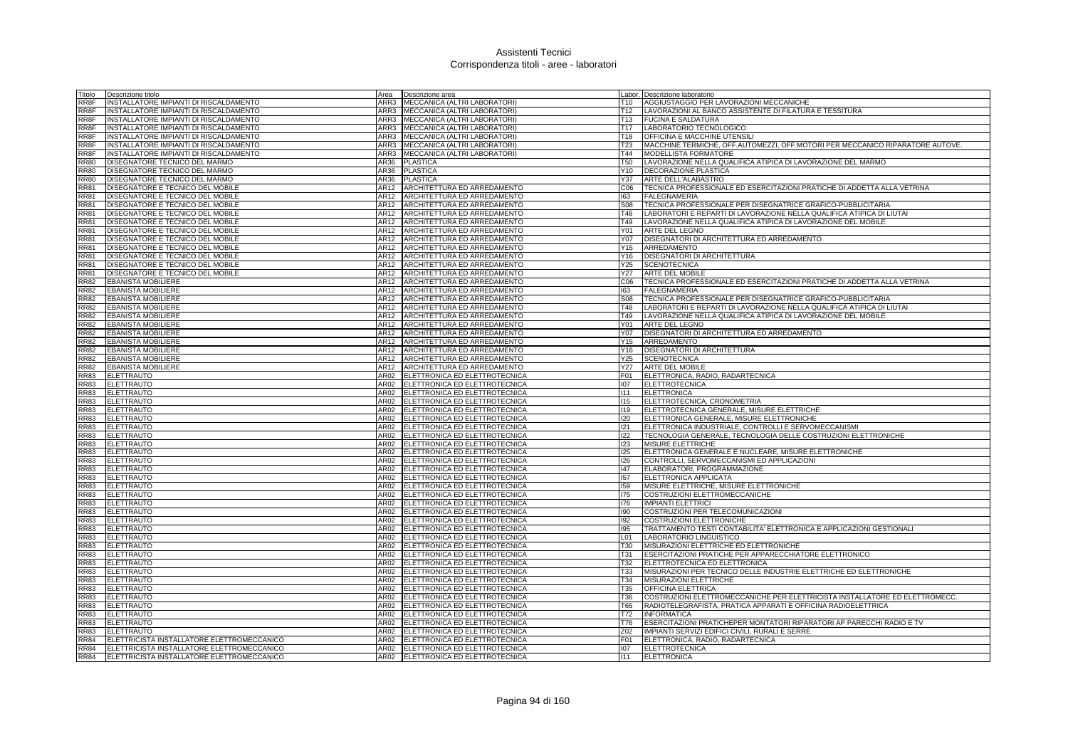| Titolo                     | Descrizione titolo                                     |                   | Area <b>Descrizione</b> area                                    |                 | Labor. Descrizione laboratorio                                                |
|----------------------------|--------------------------------------------------------|-------------------|-----------------------------------------------------------------|-----------------|-------------------------------------------------------------------------------|
| RR8F                       | INSTALLATORE IMPIANTI DI RISCALDAMENTO                 |                   | ARR3   MECCANICA (ALTRI LABORATORI)                             | T10             | AGGIUSTAGGIO PER LAVORAZIONI MECCANICHE                                       |
| RR8F                       | INSTALLATORE IMPIANTI DI RISCALDAMENTO                 |                   | ARR3 MECCANICA (ALTRI LABORATORI)                               | T12             | LAVORAZIONI AL BANCO ASSISTENTE DI FILATURA E TESSITURA                       |
| RR8F                       | INSTALLATORE IMPIANTI DI RISCALDAMENTO                 |                   | ARR3 MECCANICA (ALTRI LABORATORI)                               | T13             | <b>FUCINA E SALDATURA</b>                                                     |
| RR8F                       | INSTALLATORE IMPIANTI DI RISCALDAMENTO                 |                   | ARR3 MECCANICA (ALTRI LABORATORI)                               | T <sub>17</sub> | LABORATORIO TECNOLOGICO                                                       |
| RR8F                       | INSTALLATORE IMPIANTI DI RISCALDAMENTO                 |                   | ARR3 MECCANICA (ALTRI LABORATORI)                               | T18             | <b>OFFICINA E MACCHINE UTENSIL</b>                                            |
| RR8F                       | INSTALLATORE IMPIANTI DI RISCALDAMENTO                 | ARR3              | MECCANICA (ALTRI LABORATORI)                                    | T <sub>23</sub> | MACCHINE TERMICHE, OFF.AUTOMEZZI, OFF.MOTORI PER MECCANICO RIPARATORE AUTOVE. |
| RR8F                       | INSTALLATORE IMPIANTI DI RISCALDAMENTO                 | ARR3              | MECCANICA (ALTRI LABORATORI)                                    | T44             | MODELLISTA FORMATORE                                                          |
| <b>RR80</b>                | DISEGNATORE TECNICO DEL MARMO                          |                   | AR36 PLASTICA                                                   | <b>T50</b>      | LAVORAZIONE NELLA QUALIFICA ATIPICA DI LAVORAZIONE DEL MARMO                  |
| <b>RR80</b>                | DISEGNATORE TECNICO DEL MARMO                          | AR36              | <b>PLASTICA</b>                                                 | Y10             | DECORAZIONE PLASTICA                                                          |
| <b>RR80</b>                | DISEGNATORE TECNICO DEL MARMO                          | AR36              | <b>PLASTICA</b>                                                 | Y37             | ARTE DELL'ALABASTRO                                                           |
| <b>RR81</b>                | DISEGNATORE E TECNICO DEL MOBILE                       | AR12              | ARCHITETTURA ED ARREDAMENTO                                     | C <sub>06</sub> | TECNICA PROFESSIONALE ED ESERCITAZIONI PRATICHE DI ADDETTA ALLA VETRINA       |
| <b>RR81</b>                | DISEGNATORE E TECNICO DEL MOBILE                       |                   | AR12 ARCHITETTURA ED ARREDAMENTO                                | 163             | <b>FALEGNAMERIA</b>                                                           |
| <b>RR81</b>                | DISEGNATORE E TECNICO DEL MOBILE                       |                   | AR12 ARCHITETTURA ED ARREDAMENTO                                | <b>S08</b>      | TECNICA PROFESSIONALE PER DISEGNATRICE GRAFICO-PUBBLICITARIA                  |
| <b>RR81</b>                | DISEGNATORE E TECNICO DEL MOBILE                       |                   | AR12 ARCHITETTURA ED ARREDAMENTO                                | T48             | LABORATORI E REPARTI DI LAVORAZIONE NELLA QUALIFICA ATIPICA DI LIUTAI         |
| <b>RR81</b>                | DISEGNATORE E TECNICO DEL MOBILE                       | AR12              | ARCHITETTURA ED ARREDAMENTO                                     | T49             | LAVORAZIONE NELLA QUALIFICA ATIPICA DI LAVORAZIONE DEL MOBILE                 |
| <b>RR81</b>                | DISEGNATORE E TECNICO DEL MOBILE                       | AR12              | ARCHITETTURA ED ARREDAMENTO                                     | Y01             | <b>ARTE DEL LEGNO</b>                                                         |
| <b>RR81</b>                | DISEGNATORE E TECNICO DEL MOBILE                       | AR12              | ARCHITETTURA ED ARREDAMENTO                                     | Y07             | DISEGNATORI DI ARCHITETTURA ED ARREDAMENTO                                    |
| <b>RR81</b>                | DISEGNATORE E TECNICO DEL MOBILE                       | AR12              | ARCHITETTURA ED ARREDAMENTO                                     | Y15             | ARREDAMENTO                                                                   |
| <b>RR81</b>                | DISEGNATORE E TECNICO DEL MOBILE                       | AR12              | ARCHITETTURA ED ARREDAMENTO                                     | Y16             | DISEGNATORI DI ARCHITETTURA                                                   |
| <b>RR81</b>                | DISEGNATORE E TECNICO DEL MOBILE                       |                   | AR12 ARCHITETTURA ED ARREDAMENTO                                | Y25             | <b>SCENOTECNICA</b>                                                           |
| <b>RR81</b>                | DISEGNATORE E TECNICO DEL MOBILE                       |                   | AR12 ARCHITETTURA ED ARREDAMENTO                                | Y27             | <b>ARTE DEL MOBILE</b>                                                        |
| <b>RR82</b>                | <b>EBANISTA MOBILIERE</b>                              | AR12              | ARCHITETTURA ED ARREDAMENTO                                     | C <sub>06</sub> | TECNICA PROFESSIONALE ED ESERCITAZIONI PRATICHE DI ADDETTA ALLA VETRINA       |
| <b>RR82</b>                | <b>EBANISTA MOBILIERE</b>                              |                   | AR12 ARCHITETTURA ED ARREDAMENTO                                | 163             | <b>FALEGNAMERIA</b>                                                           |
| <b>RR82</b>                | <b>EBANISTA MOBILIERE</b>                              | AR12              | ARCHITETTURA ED ARREDAMENTO                                     | <b>S08</b>      | TECNICA PROFESSIONALE PER DISEGNATRICE GRAFICO-PUBBLICITARIA                  |
| <b>RR82</b>                | <b>EBANISTA MOBILIERE</b>                              |                   | AR12 ARCHITETTURA ED ARREDAMENTO                                | T48             | LABORATORI E REPARTI DI LAVORAZIONE NELLA QUALIFICA ATIPICA DI LIUTAI         |
| <b>RR82</b>                | <b>EBANISTA MOBILIERE</b>                              | AR12              | ARCHITETTURA ED ARREDAMENTO                                     | T49             | LAVORAZIONE NELLA QUALIFICA ATIPICA DI LAVORAZIONE DEL MOBILE                 |
| <b>RR82</b>                | <b>EBANISTA MOBILIERE</b>                              |                   | AR12 ARCHITETTURA ED ARREDAMENTO                                | Y01             | ARTE DEL LEGNO                                                                |
| <b>RR82</b>                | <b>EBANISTA MOBILIERE</b>                              | AR12              | ARCHITETTURA ED ARREDAMENTO                                     | Y07             | DISEGNATORI DI ARCHITETTURA ED ARREDAMENTO                                    |
| <b>RR82</b>                | <b>EBANISTA MOBILIERE</b>                              | AR12<br>AR12      | ARCHITETTURA ED ARREDAMENTO                                     | Y15             | ARREDAMENTO                                                                   |
| <b>RR82</b><br><b>RR82</b> | <b>EBANISTA MOBILIERE</b><br><b>EBANISTA MOBILIERE</b> |                   | ARCHITETTURA ED ARREDAMENTO                                     | Y16<br>Y25      | <b>DISEGNATORI DI ARCHITETTURA</b><br><b>SCENOTECNICA</b>                     |
| <b>RR82</b>                | <b>EBANISTA MOBILIERE</b>                              | AR12              | AR12 ARCHITETTURA ED ARREDAMENTO<br>ARCHITETTURA ED ARREDAMENTO | Y27             | <b>ARTE DEL MOBILE</b>                                                        |
| <b>RR83</b>                | <b>ELETTRAUTO</b>                                      | AR02              | ELETTRONICA ED ELETTROTECNICA                                   | F01             | ELETTRONICA, RADIO, RADARTECNICA                                              |
| <b>RR83</b>                | <b>ELETTRAUTO</b>                                      |                   | AR02 ELETTRONICA ED ELETTROTECNICA                              | 107             | <b>ELETTROTECNICA</b>                                                         |
| <b>RR83</b>                | <b>ELETTRAUTO</b>                                      | AR02              | ELETTRONICA ED ELETTROTECNICA                                   | 111             | ELETTRONICA                                                                   |
| <b>RR83</b>                | ELETTRAUTO                                             | AR02              | ELETTRONICA ED ELETTROTECNICA                                   | 115             | ELETTROTECNICA, CRONOMETRIA                                                   |
| <b>RR83</b>                | <b>ELETTRAUTO</b>                                      | AR02              | ELETTRONICA ED ELETTROTECNICA                                   | <b>I19</b>      | ELETTROTECNICA GENERALE, MISURE ELETTRICHE                                    |
| <b>RR83</b>                | <b>ELETTRAUTO</b>                                      | AR02              | ELETTRONICA ED ELETTROTECNICA                                   | 120             | ELETTRONICA GENERALE, MISURE ELETTRONICHE                                     |
| <b>RR83</b>                | ELETTRAUTO                                             | AR02              | ELETTRONICA ED ELETTROTECNICA                                   | 121             | ELETTRONICA INDUSTRIALE, CONTROLLI E SERVOMECCANISMI                          |
| <b>RR83</b>                | <b>ELETTRAUTO</b>                                      | AR02              | ELETTRONICA ED ELETTROTECNICA                                   | 122             | TECNOLOGIA GENERALE, TECNOLOGIA DELLE COSTRUZIONI ELETTRONICHE                |
| <b>RR83</b>                | ELETTRAUTO                                             | AR02              | ELETTRONICA ED ELETTROTECNICA                                   | 123             | MISURE ELETTRICHE                                                             |
| <b>RR83</b>                | <b>ELETTRAUTO</b>                                      | $\overline{AR02}$ | ELETTRONICA ED ELETTROTECNICA                                   | 125             | ELETTRONICA GENERALE E NUCLEARE, MISURE ELETTRONICHE                          |
| <b>RR83</b>                | <b>ELETTRAUTO</b>                                      |                   | AR02 ELETTRONICA ED ELETTROTECNICA                              | 126             | CONTROLLI, SERVOMECCANISMI ED APPLICAZIONI                                    |
| <b>RR83</b>                | <b>ELETTRAUTO</b>                                      | AR02              | ELETTRONICA ED ELETTROTECNICA                                   | 47              | ELABORATORI, PROGRAMMAZIONE                                                   |
| <b>RR83</b>                | ELETTRAUTO                                             | AR02              | ELETTRONICA ED ELETTROTECNICA                                   | 157             | ELETTRONICA APPLICATA                                                         |
| <b>RR83</b>                | <b>ELETTRAUTO</b>                                      |                   | AR02 ELETTRONICA ED ELETTROTECNICA                              | 159             | MISURE ELETTRICHE, MISURE ELETTRONICHE                                        |
| <b>RR83</b>                | <b>ELETTRAUTO</b>                                      |                   | AR02 ELETTRONICA ED ELETTROTECNICA                              | 175             | COSTRUZIONI ELETTROMECCANICHE                                                 |
| <b>RR83</b>                | <b>ELETTRAUTO</b>                                      |                   | AR02 ELETTRONICA ED ELETTROTECNICA                              | 176             | <b>IMPIANTI ELETTRICI</b>                                                     |
| <b>RR83</b>                | <b>ELETTRAUTO</b>                                      | AR02              | ELETTRONICA ED ELETTROTECNICA                                   | 190             | COSTRUZIONI PER TELECOMUNICAZIONI                                             |
| <b>RR83</b>                | <b>ELETTRAUTO</b>                                      | AR02              | ELETTRONICA ED ELETTROTECNICA                                   | 192             | COSTRUZIONI ELETTRONICHE                                                      |
| <b>RR83</b>                | <b>ELETTRAUTO</b>                                      |                   | AR02 ELETTRONICA ED ELETTROTECNICA                              | 195             | TRATTAMENTO TESTI CONTABILITA' ELETTRONICA E APPLICAZIONI GESTIONALI          |
| <b>RR83</b>                | <b>ELETTRAUTO</b>                                      | AR02              | ELETTRONICA ED ELETTROTECNICA                                   | L <sub>01</sub> | LABORATORIO LINGUISTICO                                                       |
| <b>RR83</b>                | <b>ELETTRAUTO</b>                                      | AR02              | ELETTRONICA ED ELETTROTECNICA                                   | T30             | MISURAZIONI ELETTRICHE ED ELETTRONICHE                                        |
| <b>RR83</b>                | <b>ELETTRAUTO</b>                                      |                   | AR02 ELETTRONICA ED ELETTROTECNICA                              | T31             | <b>ESERCITAZIONI PRATICHE PER APPARECCHIATORE ELETTRONICO</b>                 |
| <b>RR83</b>                | <b>ELETTRAUTO</b>                                      |                   | AR02 ELETTRONICA ED ELETTROTECNICA                              | T32             | ELETTROTECNICA ED ELETTRONICA                                                 |
| <b>RR83</b>                | <b>ELETTRAUTO</b>                                      |                   | AR02 ELETTRONICA ED ELETTROTECNICA                              | <b>T33</b>      | MISURAZIONI PER TECNICO DELLE INDUSTRIE ELETTRICHE ED ELETTRONICHE            |
| <b>RR83</b>                | <b>ELETTRAUTO</b>                                      |                   | AR02 ELETTRONICA ED ELETTROTECNICA                              | T34             | MISURAZIONI ELETTRICHE                                                        |
| <b>RR83</b>                | <b>ELETTRAUTO</b>                                      |                   | AR02 ELETTRONICA ED ELETTROTECNICA                              | T35             | OFFICINA ELETTRICA                                                            |
| <b>RR83</b>                | <b>ELETTRAUTO</b>                                      |                   | AR02 ELETTRONICA ED ELETTROTECNICA                              | T36             | COSTRUZIONI ELETTROMECCANICHE PER ELETTRICISTA INSTALLATORE ED ELETTROMECC.   |
| <b>RR83</b>                | <b>ELETTRAUTO</b>                                      |                   | AR02 ELETTRONICA ED ELETTROTECNICA                              | T65             | RADIOTELEGRAFISTA, PRATICA APPARATI E OFFICINA RADIOELETTRICA                 |
| <b>RR83</b>                | <b>ELETTRAUTO</b>                                      |                   | AR02 ELETTRONICA ED ELETTROTECNICA                              | T72             | <b>INFORMATICA</b>                                                            |
| <b>RR83</b>                | <b>ELETTRAUTO</b>                                      |                   | AR02 ELETTRONICA ED ELETTROTECNICA                              | T76             | ESERCITAZIONI PRATICHEPER MONTATORI RIPARATORI AP PARECCHI RADIO E TV         |
| <b>RR83</b>                | <b>ELETTRAUTO</b>                                      |                   | AR02 ELETTRONICA ED ELETTROTECNICA                              | Z02             | IMPIANTI SERVIZI EDIFICI CIVILI. RURALI E SERRE                               |
| <b>RR84</b>                | ELETTRICISTA INSTALLATORE ELETTROMECCANICO             |                   | AR02 ELETTRONICA ED ELETTROTECNICA                              | F01             | ELETTRONICA, RADIO, RADARTECNICA                                              |
| <b>RR84</b>                | ELETTRICISTA INSTALLATORE ELETTROMECCANICO             |                   | AR02 ELETTRONICA ED ELETTROTECNICA                              | 107             | <b>ELETTROTECNICA</b>                                                         |
| <b>RR84</b>                | ELETTRICISTA INSTALLATORE ELETTROMECCANICO             |                   | AR02 ELETTRONICA ED ELETTROTECNICA                              | 111             | ELETTRONICA                                                                   |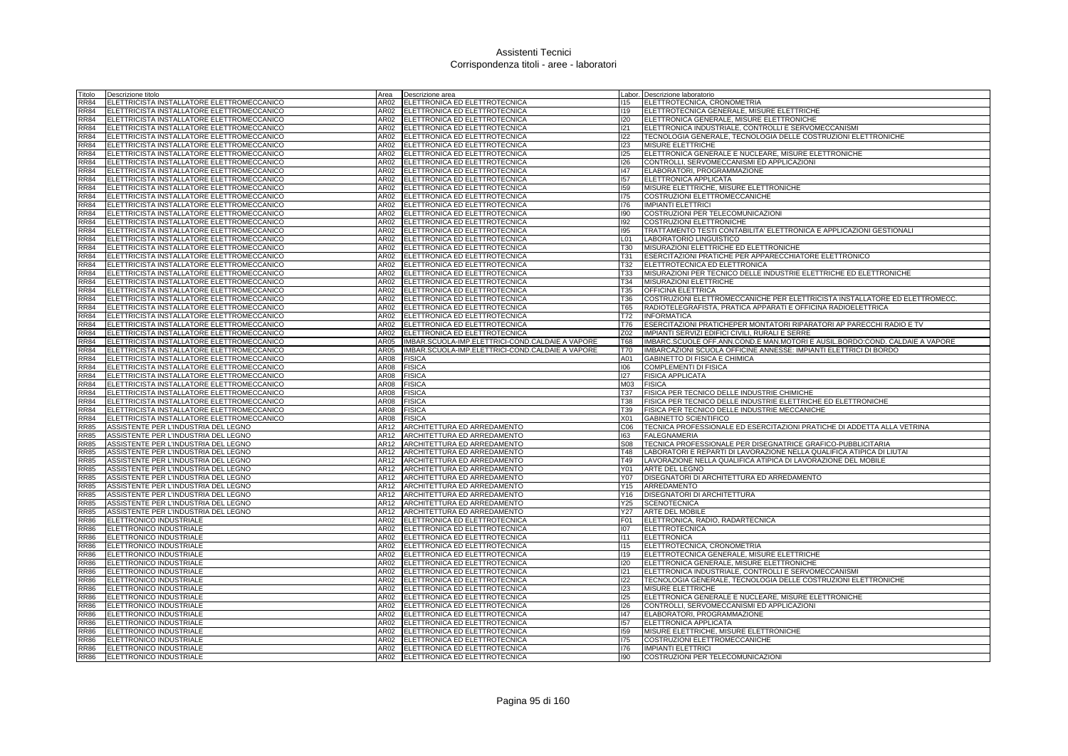| Titolo                     | Descrizione titolo                                                                       | Area             | Descrizione area                                               |                               | Labor. Descrizione laboratorio                                                  |
|----------------------------|------------------------------------------------------------------------------------------|------------------|----------------------------------------------------------------|-------------------------------|---------------------------------------------------------------------------------|
| <b>RR84</b>                | ELETTRICISTA INSTALLATORE ELETTROMECCANICO                                               | AR02             | ELETTRONICA ED ELETTROTECNICA                                  | 115                           | ELETTROTECNICA, CRONOMETRIA                                                     |
| <b>RR84</b>                | ELETTRICISTA INSTALLATORE ELETTROMECCANICO                                               | AR02             | ELETTRONICA ED ELETTROTECNICA                                  | 119                           | ELETTROTECNICA GENERALE, MISURE ELETTRICHE                                      |
| RR84                       | ELETTRICISTA INSTALLATORE ELETTROMECCANICO                                               | AR02             | ELETTRONICA ED ELETTROTECNICA                                  | 120                           | ELETTRONICA GENERALE, MISURE ELETTRONICHE                                       |
| RR84                       | ELETTRICISTA INSTALLATORE ELETTROMECCANICO                                               | AR02             | ELETTRONICA ED ELETTROTECNICA                                  | 121                           | ELETTRONICA INDUSTRIALE, CONTROLLI E SERVOMECCANISMI                            |
| <b>RR84</b>                | ELETTRICISTA INSTALLATORE ELETTROMECCANICO                                               | AR02             | ELETTRONICA ED ELETTROTECNICA                                  | 122                           | TECNOLOGIA GENERALE, TECNOLOGIA DELLE COSTRUZIONI ELETTRONICHE                  |
| <b>RR84</b>                | ELETTRICISTA INSTALLATORE ELETTROMECCANICO                                               | AR02             | ELETTRONICA ED ELETTROTECNICA                                  | 123                           | MISURE ELETTRICHE                                                               |
| RR84                       | ELETTRICISTA INSTALLATORE ELETTROMECCANICO                                               | AR02             | ELETTRONICA ED ELETTROTECNICA                                  | 125                           | ELETTRONICA GENERALE E NUCLEARE, MISURE ELETTRONICHE                            |
| RR84                       | ELETTRICISTA INSTALLATORE ELETTROMECCANICO                                               | AR02             | ELETTRONICA ED ELETTROTECNICA                                  | 126                           | CONTROLLI, SERVOMECCANISMI ED APPLICAZIONI                                      |
| <b>RR84</b>                | ELETTRICISTA INSTALLATORE ELETTROMECCANICO                                               | AR02             | ELETTRONICA ED ELETTROTECNICA                                  | 147                           | ELABORATORI, PROGRAMMAZIONE                                                     |
| <b>RR84</b>                | ELETTRICISTA INSTALLATORE ELETTROMECCANICO                                               | AR02             | ELETTRONICA ED ELETTROTECNICA                                  | 157                           | ELETTRONICA APPLICATA                                                           |
| <b>RR84</b>                | ELETTRICISTA INSTALLATORE ELETTROMECCANICO                                               | AR02             | ELETTRONICA ED ELETTROTECNICA                                  | 159                           | MISURE ELETTRICHE, MISURE ELETTRONICHE                                          |
| RR84                       | ELETTRICISTA INSTALLATORE ELETTROMECCANICO                                               | AR02             | ELETTRONICA ED ELETTROTECNICA                                  | 175                           | COSTRUZIONI ELETTROMECCANICHE                                                   |
| <b>RR84</b>                | ELETTRICISTA INSTALLATORE ELETTROMECCANICO                                               | AR02             | ELETTRONICA ED ELETTROTECNICA                                  | 176                           | <b>IMPIANTI ELETTRICI</b>                                                       |
| <b>RR84</b>                | ELETTRICISTA INSTALLATORE ELETTROMECCANICO                                               | AR02             | ELETTRONICA ED ELETTROTECNICA                                  | 190                           | COSTRUZIONI PER TELECOMUNICAZIONI                                               |
| <b>RR84</b>                | ELETTRICISTA INSTALLATORE ELETTROMECCANICO                                               | AR02             | ELETTRONICA ED ELETTROTECNICA                                  | 192                           | <b>COSTRUZIONI ELETTRONICHE</b>                                                 |
| RR84<br><b>RR84</b>        | ELETTRICISTA INSTALLATORE ELETTROMECCANICO                                               | AR02             | ELETTRONICA ED ELETTROTECNICA                                  | 195                           | TRATTAMENTO TESTI CONTABILITA' ELETTRONICA E APPLICAZIONI GESTIONALI            |
| <b>RR84</b>                | ELETTRICISTA INSTALLATORE ELETTROMECCANICO<br>ELETTRICISTA INSTALLATORE ELETTROMECCANICO | AR02<br>AR02     | ELETTRONICA ED ELETTROTECNICA<br>ELETTRONICA ED ELETTROTECNICA | L <sub>01</sub><br><b>T30</b> | LABORATORIO LINGUISTICO<br>MISURAZIONI ELETTRICHE ED ELETTRONICHE               |
| <b>RR84</b>                | ELETTRICISTA INSTALLATORE ELETTROMECCANICO                                               | AR02             | ELETTRONICA ED ELETTROTECNICA                                  | T31                           | ESERCITAZIONI PRATICHE PER APPARECCHIATORE ELETTRONICO                          |
| <b>RR84</b>                | ELETTRICISTA INSTALLATORE ELETTROMECCANICO                                               | AR02             | ELETTRONICA ED ELETTROTECNICA                                  | T32                           | ELETTROTECNICA ED ELETTRONICA                                                   |
| RR84                       | ELETTRICISTA INSTALLATORE ELETTROMECCANICO                                               | AR02             | ELETTRONICA ED ELETTROTECNICA                                  | T33                           | MISURAZIONI PER TECNICO DELLE INDUSTRIE ELETTRICHE ED ELETTRONICHE              |
| <b>RR84</b>                | ELETTRICISTA INSTALLATORE ELETTROMECCANICO                                               | AR02             | ELETTRONICA ED ELETTROTECNICA                                  | T34                           | MISURAZIONI ELETTRICHE                                                          |
| RR84                       | ELETTRICISTA INSTALLATORE ELETTROMECCANICO                                               | AR02             | ELETTRONICA ED ELETTROTECNICA                                  | T35                           | OFFICINA ELETTRICA                                                              |
| RR84                       | ELETTRICISTA INSTALLATORE ELETTROMECCANICO                                               | AR02             | ELETTRONICA ED ELETTROTECNICA                                  | T36                           | COSTRUZIONI ELETTROMECCANICHE PER ELETTRICISTA INSTALLATORE ED ELETTROMECC.     |
| RR84                       | ELETTRICISTA INSTALLATORE ELETTROMECCANICO                                               | AR02             | ELETTRONICA ED ELETTROTECNICA                                  | T65                           | RADIOTELEGRAFISTA, PRATICA APPARATI E OFFICINA RADIOELETTRICA                   |
| <b>RR84</b>                | ELETTRICISTA INSTALLATORE ELETTROMECCANICO                                               | AR02             | ELETTRONICA ED ELETTROTECNICA                                  | T72                           | <b>INFORMATICA</b>                                                              |
| <b>RR84</b>                | ELETTRICISTA INSTALLATORE ELETTROMECCANICO                                               | AR02             | ELETTRONICA ED ELETTROTECNICA                                  | T76                           | ESERCITAZIONI PRATICHEPER MONTATORI RIPARATORI AP PARECCHI RADIO E TV           |
| <b>RR84</b>                | ELETTRICISTA INSTALLATORE ELETTROMECCANICO                                               | AR02             | ELETTRONICA ED ELETTROTECNICA                                  | Z02                           | IMPIANTI SERVIZI EDIFICI CIVILI, RURALI E SERRE                                 |
| RR84                       | ELETTRICISTA INSTALLATORE ELETTROMECCANICO                                               | AR05             | IMBAR.SCUOLA-IMP.ELETTRICI-COND.CALDAIE A VAPORE               | <b>T68</b>                    | IMBARC.SCUOLE OFF.ANN.COND.E MAN.MOTORI E AUSIL.BORDO:COND. CALDAIE A VAPORE    |
| <b>RR84</b>                | ELETTRICISTA INSTALLATORE ELETTROMECCANICO                                               | AR05             | IMBAR.SCUOLA-IMP.ELETTRICI-COND.CALDAIE A VAPORE               | T70                           | IMBARCAZIONI SCUOLA OFFICINE ANNESSE: IMPIANTI ELETTRICI DI BORDO               |
| <b>RR84</b>                | ELETTRICISTA INSTALLATORE ELETTROMECCANICO                                               | AR08             | <b>FISICA</b>                                                  | A01                           | GABINETTO DI FISICA E CHIMICA                                                   |
| <b>RR84</b>                | ELETTRICISTA INSTALLATORE ELETTROMECCANICO                                               | AR08             | <b>FISICA</b>                                                  | 106                           | <b>COMPLEMENTI DI FISICA</b>                                                    |
| <b>RR84</b>                | ELETTRICISTA INSTALLATORE ELETTROMECCANICO                                               | AR08             | <b>FISICA</b>                                                  | 127                           | <b>FISICA APPLICATA</b>                                                         |
| <b>RR84</b>                | ELETTRICISTA INSTALLATORE ELETTROMECCANICO                                               | AR08             | <b>FISICA</b>                                                  | M03 FISICA                    |                                                                                 |
| <b>RR84</b>                | ELETTRICISTA INSTALLATORE ELETTROMECCANICO                                               | AR08             | <b>FISICA</b>                                                  | <b>T37</b>                    | FISICA PER TECNICO DELLE INDUSTRIE CHIMICHE                                     |
| <b>RR84</b>                | ELETTRICISTA INSTALLATORE ELETTROMECCANICO                                               | AR08             | <b>FISICA</b>                                                  | T38                           | FISICA PER TECNICO DELLE INDUSTRIE ELETTRICHE ED ELETTRONICHE                   |
| <b>RR84</b>                | ELETTRICISTA INSTALLATORE ELETTROMECCANICO                                               | AR08             | <b>FISICA</b>                                                  | T39                           | FISICA PER TECNICO DELLE INDUSTRIE MECCANICHE                                   |
| <b>RR84</b>                | ELETTRICISTA INSTALLATORE ELETTROMECCANICO                                               | AR08             | <b>FISICA</b>                                                  | X01                           | <b>GABINETTO SCIENTIFICO</b>                                                    |
| <b>RR85</b>                | ASSISTENTE PER L'INDUSTRIA DEL LEGNO                                                     | AR12             | ARCHITETTURA ED ARREDAMENTO                                    | C06                           | TECNICA PROFESSIONALE ED ESERCITAZIONI PRATICHE DI ADDETTA ALLA VETRINA         |
| <b>RR85</b>                | ASSISTENTE PER L'INDUSTRIA DEL LEGNO                                                     | AR12             | ARCHITETTURA ED ARREDAMENTO                                    | 163                           | <b>FALEGNAMERIA</b>                                                             |
| <b>RR85</b>                | ASSISTENTE PER L'INDUSTRIA DEL LEGNO                                                     | AR12             | ARCHITETTURA ED ARREDAMENTO                                    | <b>S08</b>                    | TECNICA PROFESSIONALE PER DISEGNATRICE GRAFICO-PUBBLICITARIA                    |
| <b>R</b> 85                | ASSISTENTE PER L'INDUSTRIA DEL LEGNO                                                     | AR12             | ARCHITETTURA ED ARREDAMENTO                                    | T48                           | LABORATORI E REPARTI DI LAVORAZIONE NELLA QUALIFICA ATIPICA DI LIUTAI           |
| <b>RR85</b><br><b>RR85</b> | ASSISTENTE PER L'INDUSTRIA DEL LEGNO                                                     | AR12             | ARCHITETTURA ED ARREDAMENTO                                    | T49<br>Y01                    | LAVORAZIONE NELLA QUALIFICA ATIPICA DI LAVORAZIONE DEL MOBILE<br>ARTE DEL LEGNO |
| <b>RR85</b>                | ASSISTENTE PER L'INDUSTRIA DEL LEGNO                                                     | AR12             | ARCHITETTURA ED ARREDAMENTO                                    |                               |                                                                                 |
|                            | ASSISTENTE PER L'INDUSTRIA DEL LEGNO                                                     | AR12             | ARCHITETTURA ED ARREDAMENTO<br>ARCHITETTURA ED ARREDAMENTO     | Y07<br>Y15                    | DISEGNATORI DI ARCHITETTURA ED ARREDAMENTO                                      |
| RR85<br>RR85               | ASSISTENTE PER L'INDUSTRIA DEL LEGNO<br>ASSISTENTE PER L'INDUSTRIA DEL LEGNO             | AR12<br>AR12     | ARCHITETTURA ED ARREDAMENTO                                    | Y16                           | ARREDAMENTO<br><b>DISEGNATORI DI ARCHITETTURA</b>                               |
| <b>RR85</b>                | ASSISTENTE PER L'INDUSTRIA DEL LEGNO                                                     | AR12             | ARCHITETTURA ED ARREDAMENTO                                    | Y25                           | <b>SCENOTECNICA</b>                                                             |
| <b>RR85</b>                | ASSISTENTE PER L'INDUSTRIA DEL LEGNO                                                     | AR12             | ARCHITETTURA ED ARREDAMENTO                                    | Y27                           | <b>ARTE DEL MOBILE</b>                                                          |
| <b>RR86</b>                | ELETTRONICO INDUSTRIALE                                                                  | AR02             | ELETTRONICA ED ELETTROTECNICA                                  | F01                           | ELETTRONICA, RADIO, RADARTECNICA                                                |
| RR86                       | ELETTRONICO INDUSTRIALE                                                                  | AR02             | ELETTRONICA ED ELETTROTECNICA                                  | 107                           | <b>ELETTROTECNICA</b>                                                           |
| <b>RR86</b>                | ELETTRONICO INDUSTRIALE                                                                  | AR02             | ELETTRONICA ED ELETTROTECNICA                                  | 1111                          | <b>ELETTRONICA</b>                                                              |
| <b>RR86</b>                | ELETTRONICO INDUSTRIALE                                                                  | AR02             | ELETTRONICA ED ELETTROTECNICA                                  | 115                           | ELETTROTECNICA, CRONOMETRIA                                                     |
| RR86                       | ELETTRONICO INDUSTRIALE                                                                  | AR02             | ELETTRONICA ED ELETTROTECNICA                                  | 119                           | ELETTROTECNICA GENERALE, MISURE ELETTRICHE                                      |
| R86                        | ELETTRONICO INDUSTRIALE                                                                  | AR02             | ELETTRONICA ED ELETTROTECNICA                                  | 120                           | ELETTRONICA GENERALE, MISURE ELETTRONICHE                                       |
| <b>RR86</b>                | ELETTRONICO INDUSTRIALE                                                                  | AR02             | ELETTRONICA ED ELETTROTECNICA                                  | 121                           | ELETTRONICA INDUSTRIALE, CONTROLLI E SERVOMECCANISMI                            |
| <b>RR86</b>                | ELETTRONICO INDUSTRIALE                                                                  | AR02             | ELETTRONICA ED ELETTROTECNICA                                  | 122                           | TECNOLOGIA GENERALE, TECNOLOGIA DELLE COSTRUZIONI ELETTRONICHE                  |
| <b>RR86</b>                | ELETTRONICO INDUSTRIALE                                                                  | AR02             | ELETTRONICA ED ELETTROTECNICA                                  | 123                           | <b>MISURE ELETTRICHE</b>                                                        |
| RR86                       | ELETTRONICO INDUSTRIALE                                                                  | AR02             | ELETTRONICA ED ELETTROTECNICA                                  | 125                           | ELETTRONICA GENERALE E NUCLEARE, MISURE ELETTRONICHE                            |
| <b>RR86</b>                | ELETTRONICO INDUSTRIALE                                                                  | AR02             | ELETTRONICA ED ELETTROTECNICA                                  | 126                           | CONTROLLI, SERVOMECCANISMI ED APPLICAZIONI                                      |
| <b>RR86</b>                | ELETTRONICO INDUSTRIALE                                                                  | AR02             | ELETTRONICA ED ELETTROTECNICA                                  | 147                           | ELABORATORI, PROGRAMMAZIONE                                                     |
| <b>RR86</b>                | ELETTRONICO INDUSTRIALE                                                                  | AR02             | ELETTRONICA ED ELETTROTECNICA                                  | 157                           | ELETTRONICA APPLICATA                                                           |
| RR86                       | ELETTRONICO INDUSTRIALE                                                                  | AR02             | ELETTRONICA ED ELETTROTECNICA                                  | 159                           | MISURE ELETTRICHE, MISURE ELETTRONICHE                                          |
| <b>RR86</b>                | ELETTRONICO INDUSTRIALE                                                                  | AR02             | ELETTRONICA ED ELETTROTECNICA                                  | 175                           | COSTRUZIONI ELETTROMECCANICHE                                                   |
| <b>RR86</b>                | ELETTRONICO INDUSTRIALE                                                                  | AR <sub>02</sub> | <b>ELETTRONICA ED ELETTROTECNICA</b>                           | 176                           | <b>IMPIANTI ELETTRICI</b>                                                       |
| <b>RR86</b>                | ELETTRONICO INDUSTRIALE                                                                  |                  | AR02 ELETTRONICA ED ELETTROTECNICA                             | 190                           | COSTRUZIONI PER TELECOMUNICAZIONI                                               |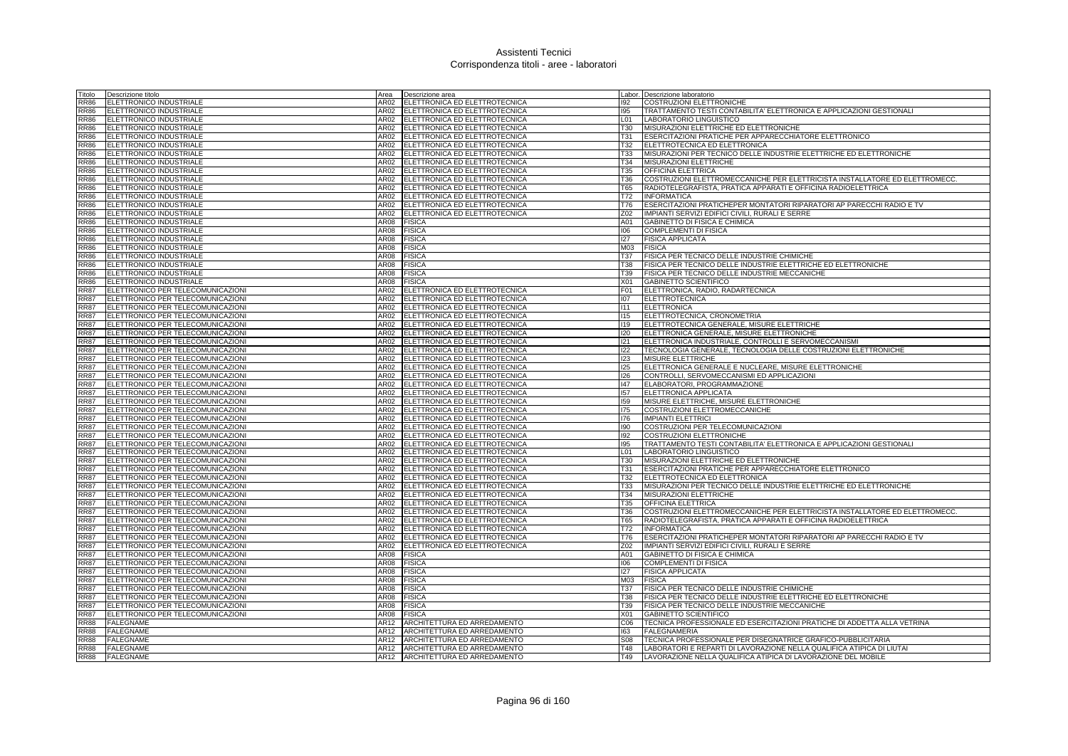| Fitolo      | Descrizione titolo                | Area             | Descrizione area                 |                 | Labor. Descrizione laboratorio                                              |
|-------------|-----------------------------------|------------------|----------------------------------|-----------------|-----------------------------------------------------------------------------|
| RR86        | <b>ELETTRONICO INDUSTRIALE</b>    | AR02             | ELETTRONICA ED ELETTROTECNICA    | 192             | <b>COSTRUZIONI ELETTRONICHE</b>                                             |
| RR86        | ELETTRONICO INDUSTRIALE           | AR02             | ELETTRONICA ED ELETTROTECNICA    | 195             | TRATTAMENTO TESTI CONTABILITA' ELETTRONICA E APPLICAZIONI GESTIONALI        |
| RR86        | <b>ELETTRONICO INDUSTRIALE</b>    | AR02             | ELETTRONICA ED ELETTROTECNICA    | L <sub>01</sub> | LABORATORIO LINGUISTICO                                                     |
| RR86        | ELETTRONICO INDUSTRIALE           | AR02             | ELETTRONICA ED ELETTROTECNICA    | T30             | MISURAZIONI ELETTRICHE ED ELETTRONICHE                                      |
| <b>RR86</b> | ELETTRONICO INDUSTRIALE           | AR02             | ELETTRONICA ED ELETTROTECNICA    | <b>T31</b>      | <b>ESERCITAZIONI PRATICHE PER APPARECCHIATORE ELETTRONICO</b>               |
| <b>RR86</b> | ELETTRONICO INDUSTRIALE           | AR02             | ELETTRONICA ED ELETTROTECNICA    | T32             | ELETTROTECNICA ED ELETTRONICA                                               |
| <b>RR86</b> | ELETTRONICO INDUSTRIALE           | AR02             | ELETTRONICA ED ELETTROTECNICA    | T33             | MISURAZIONI PER TECNICO DELLE INDUSTRIE ELETTRICHE ED ELETTRONICHE          |
| RR86        | ELETTRONICO INDUSTRIALE           | AR02             | ELETTRONICA ED ELETTROTECNICA    | T34             | MISURAZIONI ELETTRICHE                                                      |
| RR86        | ELETTRONICO INDUSTRIALE           | AR02             | ELETTRONICA ED ELETTROTECNICA    | T35             | <b>OFFICINA ELETTRICA</b>                                                   |
| <b>RR86</b> | <b>ELETTRONICO INDUSTRIALE</b>    | AR02             | ELETTRONICA ED ELETTROTECNICA    | T36             | COSTRUZIONI ELETTROMECCANICHE PER ELETTRICISTA INSTALLATORE ED ELETTROMECC. |
| <b>RR86</b> | ELETTRONICO INDUSTRIALE           | AR02             | ELETTRONICA ED ELETTROTECNICA    | <b>T65</b>      | RADIOTELEGRAFISTA, PRATICA APPARATI E OFFICINA RADIOELETTRICA               |
| RR86        | ELETTRONICO INDUSTRIALE           | AR02             | ELETTRONICA ED ELETTROTECNICA    | T72             | <b>INFORMATICA</b>                                                          |
| <b>RR86</b> | ELETTRONICO INDUSTRIALE           | AR02             | ELETTRONICA ED ELETTROTECNICA    | T76             | ESERCITAZIONI PRATICHEPER MONTATORI RIPARATORI AP PARECCHI RADIO E TV       |
| <b>RR86</b> | ELETTRONICO INDUSTRIALE           | AR02             | ELETTRONICA ED ELETTROTECNICA    | Z02             | IMPIANTI SERVIZI EDIFICI CIVILI, RURALI E SERRE                             |
| <b>RR86</b> | ELETTRONICO INDUSTRIALE           | AR08             | <b>FISICA</b>                    | A01             | GABINETTO DI FISICA E CHIMICA                                               |
| RR86        | ELETTRONICO INDUSTRIALE           | AR08             | <b>FISICA</b>                    | 106             | <b>COMPLEMENTI DI FISICA</b>                                                |
| RR86        | ELETTRONICO INDUSTRIALE           | AR08             | <b>FISICA</b>                    | 127             | <b>FISICA APPLICATA</b>                                                     |
| <b>RR86</b> | ELETTRONICO INDUSTRIALE           | AR08             | <b>FISICA</b>                    | M03             | <b>FISICA</b>                                                               |
| <b>RR86</b> | <b>ELETTRONICO INDUSTRIALE</b>    | AR08             | <b>FISICA</b>                    | <b>T37</b>      | FISICA PER TECNICO DELLE INDUSTRIE CHIMICHE                                 |
| RR86        | ELETTRONICO INDUSTRIALE           | AR08             | <b>FISICA</b>                    | <b>T38</b>      | FISICA PER TECNICO DELLE INDUSTRIE ELETTRICHE ED ELETTRONICHE               |
| RR86        | ELETTRONICO INDUSTRIALE           | AR <sub>08</sub> | <b>FISICA</b>                    | T39             | FISICA PER TECNICO DELLE INDUSTRIE MECCANICHE                               |
| <b>RR86</b> | ELETTRONICO INDUSTRIALE           | AR08             | <b>FISICA</b>                    | X01             | <b>GABINETTO SCIENTIFICO</b>                                                |
| <b>RR87</b> | ELETTRONICO PER TELECOMUNICAZIONI | AR02             | ELETTRONICA ED ELETTROTECNICA    | F01             | ELETTRONICA, RADIO, RADARTECNICA                                            |
| <b>RR87</b> | ELETTRONICO PER TELECOMUNICAZIONI | AR02             | ELETTRONICA ED ELETTROTECNICA    | 107             | <b>ELETTROTECNICA</b>                                                       |
| RR87        | ELETTRONICO PER TELECOMUNICAZIONI | AR02             | ELETTRONICA ED ELETTROTECNICA    | 111             | <b>ELETTRONICA</b>                                                          |
| RR87        | ELETTRONICO PER TELECOMUNICAZIONI | AR02             | ELETTRONICA ED ELETTROTECNICA    | 115             | ELETTROTECNICA, CRONOMETRIA                                                 |
| <b>RR87</b> | ELETTRONICO PER TELECOMUNICAZIONI | AR02             | ELETTRONICA ED ELETTROTECNICA    | 119             | ELETTROTECNICA GENERALE, MISURE ELETTRICHE                                  |
| <b>RR87</b> | ELETTRONICO PER TELECOMUNICAZIONI | AR02             | ELETTRONICA ED ELETTROTECNICA    | 120             | ELETTRONICA GENERALE, MISURE ELETTRONICHE                                   |
| <b>RR87</b> | ELETTRONICO PER TELECOMUNICAZIONI | AR02             | ELETTRONICA ED ELETTROTECNICA    | 121             | ELETTRONICA INDUSTRIALE, CONTROLLI E SERVOMECCANISMI                        |
| <b>RR87</b> | ELETTRONICO PER TELECOMUNICAZIONI | AR02             | ELETTRONICA ED ELETTROTECNICA    | 122             | TECNOLOGIA GENERALE, TECNOLOGIA DELLE COSTRUZIONI ELETTRONICHE              |
| <b>RR87</b> | ELETTRONICO PER TELECOMUNICAZIONI | AR02             | ELETTRONICA ED ELETTROTECNICA    | 123             | <b>MISURE ELETTRICHE</b>                                                    |
| <b>RR87</b> | ELETTRONICO PER TELECOMUNICAZIONI | AR02             | ELETTRONICA ED ELETTROTECNICA    | 125             | ELETTRONICA GENERALE E NUCLEARE, MISURE ELETTRONICHE                        |
| <b>RR87</b> | ELETTRONICO PER TELECOMUNICAZIONI | AR02             | ELETTRONICA ED ELETTROTECNICA    | 126             | CONTROLLI, SERVOMECCANISMI ED APPLICAZIONI                                  |
| <b>RR87</b> | ELETTRONICO PER TELECOMUNICAZIONI | AR02             | ELETTRONICA ED ELETTROTECNICA    | 147             | ELABORATORI, PROGRAMMAZIONE                                                 |
| <b>RR87</b> | ELETTRONICO PER TELECOMUNICAZIONI | AR02             | ELETTRONICA ED ELETTROTECNICA    | 157             | <b>ELETTRONICA APPLICATA</b>                                                |
| <b>RR87</b> | ELETTRONICO PER TELECOMUNICAZIONI | AR02             | ELETTRONICA ED ELETTROTECNICA    | 159             | MISURE ELETTRICHE, MISURE ELETTRONICHE                                      |
| <b>RR87</b> | ELETTRONICO PER TELECOMUNICAZIONI | AR02             | ELETTRONICA ED ELETTROTECNICA    | 175             | COSTRUZIONI ELETTROMECCANICHE                                               |
| <b>RR87</b> | ELETTRONICO PER TELECOMUNICAZIONI | AR02             | ELETTRONICA ED ELETTROTECNICA    | 176             | <b>IMPIANTI ELETTRICI</b>                                                   |
| <b>RR87</b> | ELETTRONICO PER TELECOMUNICAZIONI | AR02             | ELETTRONICA ED ELETTROTECNICA    | 190             | COSTRUZIONI PER TELECOMUNICAZIONI                                           |
| <b>RR87</b> | ELETTRONICO PER TELECOMUNICAZIONI | AR02             | ELETTRONICA ED ELETTROTECNICA    | 192             | <b>COSTRUZIONI ELETTRONICHE</b>                                             |
| <b>RR87</b> | ELETTRONICO PER TELECOMUNICAZIONI | AR02             | ELETTRONICA ED ELETTROTECNICA    | 195             | TRATTAMENTO TESTI CONTABILITA' ELETTRONICA E APPLICAZIONI GESTIONALI        |
| <b>RR87</b> | ELETTRONICO PER TELECOMUNICAZIONI | AR02             | ELETTRONICA ED ELETTROTECNICA    | L <sub>01</sub> | LABORATORIO LINGUISTICO                                                     |
| <b>RR87</b> | ELETTRONICO PER TELECOMUNICAZIONI | AR02             | ELETTRONICA ED ELETTROTECNICA    | <b>T30</b>      | MISURAZIONI ELETTRICHE ED ELETTRONICHE                                      |
| <b>RR87</b> | ELETTRONICO PER TELECOMUNICAZIONI | AR02             | ELETTRONICA ED ELETTROTECNICA    | <b>T31</b>      | ESERCITAZIONI PRATICHE PER APPARECCHIATORE ELETTRONICO                      |
| <b>RR87</b> | ELETTRONICO PER TELECOMUNICAZIONI | AR02             | ELETTRONICA ED ELETTROTECNICA    | T32             | ELETTROTECNICA ED ELETTRONICA                                               |
| RR87        | ELETTRONICO PER TELECOMUNICAZIONI | AR02             | ELETTRONICA ED ELETTROTECNICA    | <b>T33</b>      | MISURAZIONI PER TECNICO DELLE INDUSTRIE ELETTRICHE ED ELETTRONICHE          |
| <b>RR87</b> | ELETTRONICO PER TELECOMUNICAZIONI | AR02             | ELETTRONICA ED ELETTROTECNICA    | T34             | MISURAZIONI ELETTRICHE                                                      |
| <b>RR87</b> | ELETTRONICO PER TELECOMUNICAZIONI | AR02             | ELETTRONICA ED ELETTROTECNICA    | T35             | <b>OFFICINA ELETTRICA</b>                                                   |
| <b>RR87</b> | ELETTRONICO PER TELECOMUNICAZIONI | AR02             | ELETTRONICA ED ELETTROTECNICA    | T36             | COSTRUZIONI ELETTROMECCANICHE PER ELETTRICISTA INSTALLATORE ED ELETTROMECC. |
| <b>RR87</b> | ELETTRONICO PER TELECOMUNICAZIONI | AR02             | ELETTRONICA ED ELETTROTECNICA    | <b>T65</b>      | RADIOTELEGRAFISTA, PRATICA APPARATI E OFFICINA RADIOELETTRICA               |
| RR87        | ELETTRONICO PER TELECOMUNICAZIONI | AR02             | ELETTRONICA ED ELETTROTECNICA    | T72             | <b>INFORMATICA</b>                                                          |
| <b>RR87</b> | ELETTRONICO PER TELECOMUNICAZIONI | AR02             | ELETTRONICA ED ELETTROTECNICA    | T76             | ESERCITAZIONI PRATICHEPER MONTATORI RIPARATORI AP PARECCHI RADIO E TV       |
| <b>RR87</b> | ELETTRONICO PER TELECOMUNICAZIONI | AR02             | ELETTRONICA ED ELETTROTECNICA    | Z02             | IMPIANTI SERVIZI EDIFICI CIVILI, RURALI E SERRE                             |
| <b>RR87</b> | ELETTRONICO PER TELECOMUNICAZIONI | AR08             | <b>FISICA</b>                    | A01             | <b>GABINETTO DI FISICA E CHIMICA</b>                                        |
| <b>RR87</b> | ELETTRONICO PER TELECOMUNICAZIONI | AR08             | <b>FISICA</b>                    | 106             | <b>COMPLEMENTI DI FISICA</b>                                                |
| <b>RR87</b> | ELETTRONICO PER TELECOMUNICAZIONI | AR08             | <b>FISICA</b>                    | 127             | <b>FISICA APPLICATA</b>                                                     |
| <b>RR87</b> | ELETTRONICO PER TELECOMUNICAZIONI | AR08             | <b>FISICA</b>                    | M03             | <b>FISICA</b>                                                               |
| <b>RR87</b> | ELETTRONICO PER TELECOMUNICAZIONI | AR08             | <b>FISICA</b>                    | T37             | FISICA PER TECNICO DELLE INDUSTRIE CHIMICHE                                 |
| <b>RR87</b> | ELETTRONICO PER TELECOMUNICAZIONI | AR08             | <b>FISICA</b>                    | <b>T38</b>      | FISICA PER TECNICO DELLE INDUSTRIE ELETTRICHE ED ELETTRONICHE               |
| RR87        | ELETTRONICO PER TELECOMUNICAZIONI | AR08             | <b>FISICA</b>                    | T39             | FISICA PER TECNICO DELLE INDUSTRIE MECCANICHE                               |
| <b>RR87</b> | ELETTRONICO PER TELECOMUNICAZIONI | AR08             | <b>FISICA</b>                    | X01             | <b>GABINETTO SCIENTIFICO</b>                                                |
| <b>RR88</b> | <b>FALEGNAME</b>                  | AR12             | ARCHITETTURA ED ARREDAMENTO      | C <sub>06</sub> | TECNICA PROFESSIONALE ED ESERCITAZIONI PRATICHE DI ADDETTA ALLA VETRINA     |
| <b>RR88</b> | <b>FALEGNAME</b>                  | AR12             | ARCHITETTURA ED ARREDAMENTO      | 163             | <b>FALEGNAMERIA</b>                                                         |
| RR88        | <b>FALEGNAME</b>                  |                  | AR12 ARCHITETTURA ED ARREDAMENTO | <b>S08</b>      | TECNICA PROFESSIONALE PER DISEGNATRICE GRAFICO-PUBBLICITARIA                |
| RR88        | <b>FALEGNAME</b>                  | AR12             | ARCHITETTURA ED ARREDAMENTO      | T48             | LABORATORI E REPARTI DI LAVORAZIONE NELLA QUALIFICA ATIPICA DI LIUTAI       |
| <b>RR88</b> | <b>FALEGNAME</b>                  | AR12             | ARCHITETTURA ED ARREDAMENTO      | T49             | LAVORAZIONE NELLA QUALIFICA ATIPICA DI LAVORAZIONE DEL MOBILE               |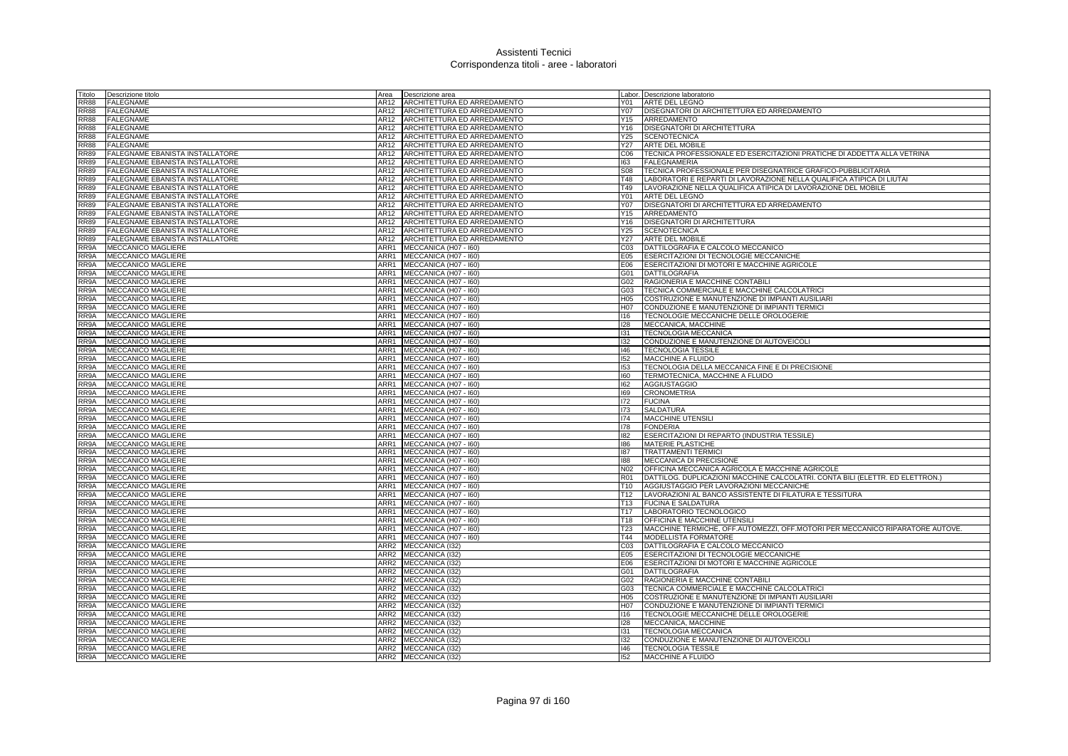| Titolo      | Descrizione titolo              | Area             | Descrizione area            |                  | Labor. Descrizione laboratorio                                                |
|-------------|---------------------------------|------------------|-----------------------------|------------------|-------------------------------------------------------------------------------|
| <b>RR88</b> | <b>FALEGNAME</b>                | AR12             | ARCHITETTURA ED ARREDAMENTO | Y01              | ARTE DEL LEGNO                                                                |
| <b>RR88</b> | <b>FALEGNAME</b>                | AR12             | ARCHITETTURA ED ARREDAMENTO | Y07              | DISEGNATORI DI ARCHITETTURA ED ARREDAMENTO                                    |
| <b>RR88</b> | <b>FALEGNAME</b>                | AR12             | ARCHITETTURA ED ARREDAMENTO | Y15              | ARREDAMENTO                                                                   |
| <b>RR88</b> | FALEGNAME                       | AR12             | ARCHITETTURA ED ARREDAMENTO | Y16              | <b>DISEGNATORI DI ARCHITETTURA</b>                                            |
| <b>RR88</b> | <b>FALEGNAME</b>                | AR12             | ARCHITETTURA ED ARREDAMENTO | Y25              | <b>SCENOTECNICA</b>                                                           |
| <b>RR88</b> | <b>FALEGNAME</b>                | AR12             | ARCHITETTURA ED ARREDAMENTO | Y27              | ARTE DEL MOBILE                                                               |
| <b>RR89</b> | FALEGNAME EBANISTA INSTALLATORE | AR12             | ARCHITETTURA ED ARREDAMENTO | C <sub>06</sub>  | TECNICA PROFESSIONALE ED ESERCITAZIONI PRATICHE DI ADDETTA ALLA VETRINA       |
| <b>RR89</b> | FALEGNAME EBANISTA INSTALLATORE | AR12             | ARCHITETTURA ED ARREDAMENTO | 163              | <b>FALEGNAMERIA</b>                                                           |
| <b>RR89</b> | FALEGNAME EBANISTA INSTALLATORE | AR12             | ARCHITETTURA ED ARREDAMENTO | S08              | TECNICA PROFESSIONALE PER DISEGNATRICE GRAFICO-PUBBLICITARIA                  |
| <b>RR89</b> | FALEGNAME EBANISTA INSTALLATORE | AR12             | ARCHITETTURA ED ARREDAMENTO | <b>T48</b>       | LABORATORI E REPARTI DI LAVORAZIONE NELLA QUALIFICA ATIPICA DI LIUTAI         |
| <b>RR89</b> | FALEGNAME EBANISTA INSTALLATORE | AR12             | ARCHITETTURA ED ARREDAMENTO | T49              | LAVORAZIONE NELLA QUALIFICA ATIPICA DI LAVORAZIONE DEL MOBILE                 |
| <b>RR89</b> | FALEGNAME EBANISTA INSTALLATORE | AR12             | ARCHITETTURA ED ARREDAMENTO | Y01              | ARTE DEL LEGNO                                                                |
| <b>RR89</b> | FALEGNAME EBANISTA INSTALLATORE | AR12             | ARCHITETTURA ED ARREDAMENTO | Y07              | DISEGNATORI DI ARCHITETTURA ED ARREDAMENTO                                    |
| <b>RR89</b> | FALEGNAME EBANISTA INSTALLATORE | AR12             | ARCHITETTURA ED ARREDAMENTO | Y15              | ARREDAMENTO                                                                   |
| <b>RR89</b> | FALEGNAME EBANISTA INSTALLATORE | AR12             | ARCHITETTURA ED ARREDAMENTO | Y16              | DISEGNATORI DI ARCHITETTURA                                                   |
| <b>RR89</b> | FALEGNAME EBANISTA INSTALLATORE | AR12             | ARCHITETTURA ED ARREDAMENTO | Y25              | <b>SCENOTECNICA</b>                                                           |
| <b>RR89</b> | FALEGNAME EBANISTA INSTALLATORE | AR12             | ARCHITETTURA ED ARREDAMENTO | Y27              | <b>ARTE DEL MOBILE</b>                                                        |
| RR9A        | MECCANICO MAGLIERE              | ARR1             | MECCANICA (H07 - I60)       | CO <sub>3</sub>  | DATTILOGRAFIA E CALCOLO MECCANICO                                             |
| RR9A        | MECCANICO MAGLIERE              | ARR1             | MECCANICA (H07 - I60)       | E05              | ESERCITAZIONI DI TECNOLOGIE MECCANICHE                                        |
| RR9A        | <b>MECCANICO MAGLIERE</b>       | ARR1             | MECCANICA (H07 - I60)       | E06              | ESERCITAZIONI DI MOTORI E MACCHINE AGRICOLE                                   |
| RR9A        | <b>MECCANICO MAGLIERE</b>       |                  | ARR1 MECCANICA (H07 - 160)  | G01              | DATTILOGRAFIA                                                                 |
| RR9A        | MECCANICO MAGLIERE              | ARR1             | MECCANICA (H07 - I60)       | G02              | RAGIONERIA E MACCHINE CONTABILI                                               |
| RR9A        | MECCANICO MAGLIERE              | ARR1             | MECCANICA (H07 - I60)       | G03              | TECNICA COMMERCIALE E MACCHINE CALCOLATRICI                                   |
| RR9A        | MECCANICO MAGLIERE              | ARR1             | MECCANICA (H07 - I60)       | H05              | COSTRUZIONE E MANUTENZIONE DI IMPIANTI AUSILIARI                              |
| RR9A        | <b>MECCANICO MAGLIERE</b>       | ARR1             | MECCANICA (H07 - I60)       | H <sub>0</sub> 7 | CONDUZIONE E MANUTENZIONE DI IMPIANTI TERMICI                                 |
| RR9A        | MECCANICO MAGLIERE              | ARR1             | MECCANICA (H07 - I60)       | 116              | TECNOLOGIE MECCANICHE DELLE OROLOGERIE                                        |
| RR9A        | MECCANICO MAGLIERE              | ARR1             | MECCANICA (H07 - I60)       | 128              | MECCANICA, MACCHINE                                                           |
| RR9A        | <b>MECCANICO MAGLIERE</b>       | ARR1             | MECCANICA (H07 - I60)       | 131              | <b>TECNOLOGIA MECCANICA</b>                                                   |
| RR9A        | MECCANICO MAGLIERE              | ARR1             | MECCANICA (H07 - 160)       | 132              | CONDUZIONE E MANUTENZIONE DI AUTOVEICOLI                                      |
| RR9A        | <b>MECCANICO MAGLIERE</b>       | ARR1             | MECCANICA (H07 - I60)       | 146              | <b>TECNOLOGIA TESSILE</b>                                                     |
| RR9A        | <b>MECCANICO MAGLIERE</b>       | ARR1             | MECCANICA (H07 - I60)       | 152              | MACCHINE A FLUIDO                                                             |
| RR9A        | <b>MECCANICO MAGLIERE</b>       | ARR1             | MECCANICA (H07 - 160)       | 153              | TECNOLOGIA DELLA MECCANICA FINE E DI PRECISIONE                               |
| RR9A        | MECCANICO MAGLIERE              | ARR1             | MECCANICA (H07 - I60)       | 160              | TERMOTECNICA, MACCHINE A FLUIDO                                               |
| RR9A        | <b>MECCANICO MAGLIERE</b>       | ARR1             | MECCANICA (H07 - I60)       | 162              | <b>AGGIUSTAGGIO</b>                                                           |
| RR9A        | <b>MECCANICO MAGLIERE</b>       | ARR1             | MECCANICA (H07 - I60)       | 169              | <b>CRONOMETRIA</b>                                                            |
| RR9A        | MECCANICO MAGLIERE              | ARR1             | MECCANICA (H07 - I60)       | 172              | <b>FUCINA</b>                                                                 |
| RR9A        | MECCANICO MAGLIERE              |                  | ARR1 MECCANICA (H07 - I60)  | 173              | <b>SALDATURA</b>                                                              |
| RR9A        | MECCANICO MAGLIERE              |                  | ARR1 MECCANICA (H07 - 160)  | 174              | MACCHINE UTENSILI                                                             |
| RR9A        | <b>MECCANICO MAGLIERE</b>       | ARR1             | MECCANICA (H07 - 160)       | 178              | <b>FONDERIA</b>                                                               |
| RR9A        | MECCANICO MAGLIERE              | ARR1             | MECCANICA (H07 - I60)       | 182              | ESERCITAZIONI DI REPARTO (INDUSTRIA TESSILE)                                  |
| RR9A        | MECCANICO MAGLIERE              | ARR1             | MECCANICA (H07 - I60)       | 186              | <b>MATERIE PLASTICHE</b>                                                      |
| RR9A        | <b>MECCANICO MAGLIERE</b>       | ARR1             | MECCANICA (H07 - I60)       | 187              | <b>TRATTAMENTI TERMIC</b>                                                     |
| RR9A        | <b>MECCANICO MAGLIERE</b>       | ARR1             | MECCANICA (H07 - 160)       | 188              | MECCANICA DI PRECISIONE                                                       |
| RR9A        | MECCANICO MAGLIERE              | ARR1             | MECCANICA (H07 - I60)       | N02              | OFFICINA MECCANICA AGRICOLA E MACCHINE AGRICOLE                               |
| RR9A        | MECCANICO MAGLIERE              | ARR1             | MECCANICA (H07 - I60)       | <b>R01</b>       | DATTILOG. DUPLICAZIONI MACCHINE CALCOLATRI. CONTA BILI (ELETTR. ED ELETTRON.) |
| RR9A        | <b>MECCANICO MAGLIERE</b>       | ARR1             | MECCANICA (H07 - I60)       | T <sub>10</sub>  | AGGIUSTAGGIO PER LAVORAZIONI MECCANICHE                                       |
| RR9A        | MECCANICO MAGLIERE              |                  | ARR1 MECCANICA (H07 - 160)  | T <sub>12</sub>  | LAVORAZIONI AL BANCO ASSISTENTE DI FILATURA E TESSITURA                       |
| RR9A        | MECCANICO MAGLIERE              | ARR1             | MECCANICA (H07 - I60)       | T13              | <b>FUCINA E SALDATURA</b>                                                     |
| RR9A        | MECCANICO MAGLIERE              | ARR1             | MECCANICA (H07 - I60)       | T17              | LABORATORIO TECNOLOGICO                                                       |
| RR9A        | MECCANICO MAGLIERE              | ARR1             | MECCANICA (H07 - I60)       | T18              | OFFICINA E MACCHINE UTENSILI                                                  |
| RR9A        | MECCANICO MAGLIERE              | ARR1             | MECCANICA (H07 - I60)       | T <sub>23</sub>  | MACCHINE TERMICHE, OFF.AUTOMEZZI, OFF.MOTORI PER MECCANICO RIPARATORE AUTOVE. |
| RR9A        | MECCANICO MAGLIERE              | ARR1             | MECCANICA (H07 - I60)       | T44              | <b>MODELLISTA FORMATORE</b>                                                   |
| RR9A        | <b>MECCANICO MAGLIERE</b>       | ARR <sub>2</sub> | MECCANICA (132)             | CO <sub>3</sub>  | DATTILOGRAFIA E CALCOLO MECCANICO                                             |
| RR9A        | <b>MECCANICO MAGLIERE</b>       | ARR2             | MECCANICA (I32)             | E05              | ESERCITAZIONI DI TECNOLOGIE MECCANICHE                                        |
| RR9A        | <b>MECCANICO MAGLIERE</b>       |                  | ARR2 MECCANICA (132)        | E06              | ESERCITAZIONI DI MOTORI E MACCHINE AGRICOLE                                   |
| RR9A        | MECCANICO MAGLIERE              |                  | ARR2 MECCANICA (I32)        | G01              | <b>DATTILOGRAFIA</b>                                                          |
| RR9A        | MECCANICO MAGLIERE              | ARR2             | MECCANICA (I32)             | G02              | RAGIONERIA E MACCHINE CONTABIL                                                |
| RR9A        | MECCANICO MAGLIERE              | ARR2             | MECCANICA (I32)             | G03              | TECNICA COMMERCIALE E MACCHINE CALCOLATRICI                                   |
| RR9A        | <b>MECCANICO MAGLIERE</b>       | ARR2             | MECCANICA (I32)             | H <sub>05</sub>  | COSTRUZIONE E MANUTENZIONE DI IMPIANTI AUSILIARI                              |
| RR9A        | MECCANICO MAGLIERE              |                  | ARR2 MECCANICA (I32)        | H <sub>0</sub> 7 | CONDUZIONE E MANUTENZIONE DI IMPIANTI TERMICI                                 |
| RR9A        | <b>MECCANICO MAGLIERE</b>       | ARR2             | MECCANICA (132)             | $ 116\rangle$    | TECNOLOGIE MECCANICHE DELLE OROLOGERIE                                        |
| RR9A        | MECCANICO MAGLIERE              | ARR <sub>2</sub> | MECCANICA (I32)             | 128              | MECCANICA, MACCHINE                                                           |
| RR9A        | MECCANICO MAGLIERE              |                  | ARR2 MECCANICA (132)        | 131              | <b>TECNOLOGIA MECCANICA</b>                                                   |
| RR9A        | <b>MECCANICO MAGLIERE</b>       | ARR2             | MECCANICA (I32)             | 132              | CONDUZIONE E MANUTENZIONE DI AUTOVEICOLI                                      |
| RR9A        | <b>MECCANICO MAGLIERE</b>       |                  | ARR2 MECCANICA (I32)        | 146              | <b>TECNOLOGIA TESSILE</b>                                                     |
| RR9A        | <b>MECCANICO MAGLIERE</b>       |                  | ARR2 MECCANICA (I32)        | 152              | MACCHINE A FLUIDO                                                             |
|             |                                 |                  |                             |                  |                                                                               |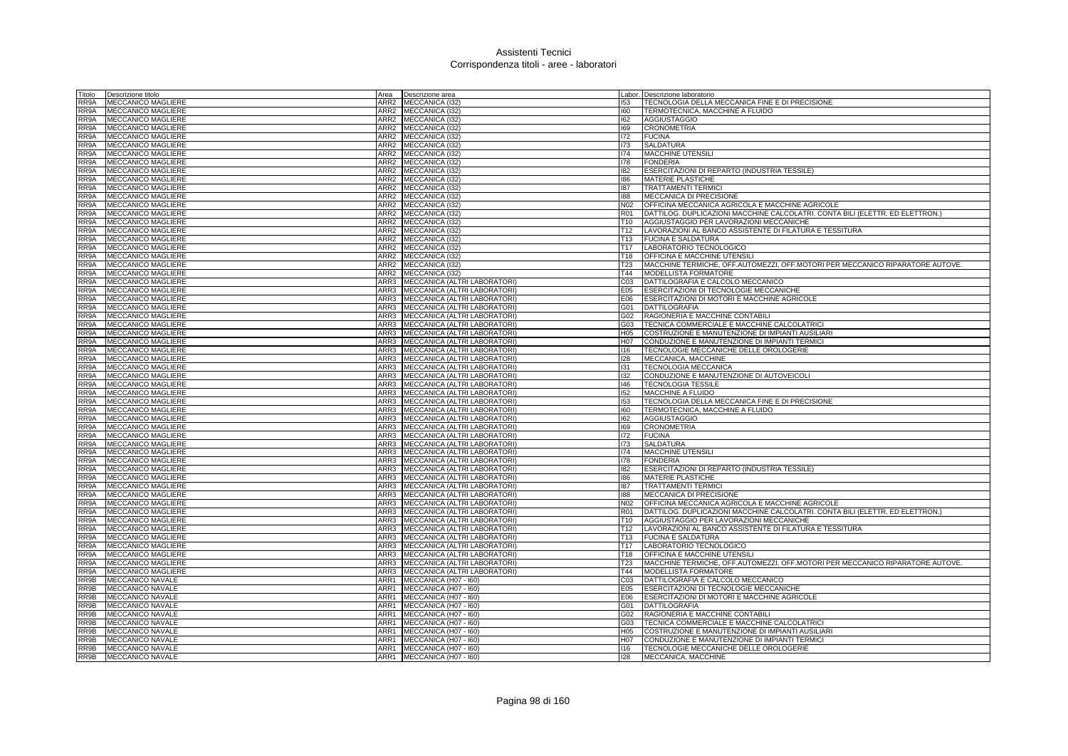| Titolo     | Descrizione titolo        | Area             | Descrizione area                  |                 | Labor. Descrizione laboratorio                                                |
|------------|---------------------------|------------------|-----------------------------------|-----------------|-------------------------------------------------------------------------------|
| RR9A       | <b>MECCANICO MAGLIERE</b> | ARR2             | MECCANICA (132)                   | 153             | TECNOLOGIA DELLA MECCANICA FINE E DI PRECISIONE                               |
| RR9A       | <b>MECCANICO MAGLIERE</b> | ARR <sub>2</sub> | MECCANICA (I32)                   | 160             | TERMOTECNICA, MACCHINE A FLUIDO                                               |
| RR9A       | <b>MECCANICO MAGLIERE</b> | ARR2             | MECCANICA (I32)                   | 162             | <b>AGGIUSTAGGIO</b>                                                           |
| RR9A       | <b>MECCANICO MAGLIERE</b> |                  | ARR2 MECCANICA (I32)              | 169             | <b>CRONOMETRIA</b>                                                            |
| RR9A       | <b>MECCANICO MAGLIERE</b> | ARR2             | MECCANICA (I32)                   | 172             | <b>FUCINA</b>                                                                 |
| RR9A       | <b>MECCANICO MAGLIERE</b> | ARR2             | MECCANICA (I32)                   | 173             | <b>SALDATURA</b>                                                              |
| RR9A       | <b>MECCANICO MAGLIERE</b> | ARR2             | MECCANICA (I32)                   | 174             | <b>MACCHINE UTENSILI</b>                                                      |
| RR9A       | <b>MECCANICO MAGLIERE</b> | ARR2             | MECCANICA (I32)                   | 178             | <b>FONDERIA</b>                                                               |
| RR9A       | <b>MECCANICO MAGLIERE</b> |                  | ARR2 MECCANICA (I32)              | 182             | ESERCITAZIONI DI REPARTO (INDUSTRIA TESSILE)                                  |
| RR9A       | <b>MECCANICO MAGLIERE</b> | ARR2             | MECCANICA (I32)                   | 186             | <b>MATERIE PLASTICHE</b>                                                      |
| RR9A       | <b>MECCANICO MAGLIERE</b> | ARR <sub>2</sub> | MECCANICA (I32)                   | 187             | <b>TRATTAMENTI TERMICI</b>                                                    |
| RR9A       | <b>MECCANICO MAGLIERE</b> | ARR2             | MECCANICA (I32)                   | 188             | MECCANICA DI PRECISIONE                                                       |
| <b>R9A</b> | <b>MECCANICO MAGLIERE</b> | ARR <sub>2</sub> | MECCANICA (I32)                   | N02             | OFFICINA MECCANICA AGRICOLA E MACCHINE AGRICOLE                               |
| RR9A       | <b>MECCANICO MAGLIERE</b> | ARR2             | MECCANICA (132)                   | <b>R01</b>      | DATTILOG. DUPLICAZIONI MACCHINE CALCOLATRI. CONTA BILI (ELETTR. ED ELETTRON.) |
| RR9A       | <b>MECCANICO MAGLIERE</b> | ARR <sub>2</sub> | <b>MECCANICA (I32)</b>            | T <sub>10</sub> | AGGIUSTAGGIO PER LAVORAZIONI MECCANICHE                                       |
|            |                           |                  |                                   |                 |                                                                               |
| RR9A       | <b>MECCANICO MAGLIERE</b> | ARR2             | MECCANICA (I32)                   | T <sub>12</sub> | LAVORAZIONI AL BANCO ASSISTENTE DI FILATURA E TESSITURA                       |
| RR9A       | <b>MECCANICO MAGLIERE</b> | ARR2             | MECCANICA (I32)                   | T13             | <b>FUCINA E SALDATURA</b>                                                     |
| RR9A       | <b>MECCANICO MAGLIERE</b> | ARR2             | MECCANICA (I32)                   | T17             | LABORATORIO TECNOLOGICO                                                       |
| RR9A       | <b>MECCANICO MAGLIERE</b> | ARR <sub>2</sub> | MECCANICA (I32)                   | T <sub>18</sub> | OFFICINA E MACCHINE UTENSILI                                                  |
| RR9A       | <b>MECCANICO MAGLIERE</b> | ARR <sub>2</sub> | MECCANICA (I32)                   | T <sub>23</sub> | MACCHINE TERMICHE, OFF.AUTOMEZZI, OFF.MOTORI PER MECCANICO RIPARATORE AUTOVE. |
| RR9A       | <b>MECCANICO MAGLIERE</b> | ARR2             | MECCANICA (I32)                   | T44             | <b>MODELLISTA FORMATORE</b>                                                   |
| RR9A       | MECCANICO MAGLIERE        |                  | ARR3 MECCANICA (ALTRI LABORATORI) | C <sub>03</sub> | DATTILOGRAFIA E CALCOLO MECCANICO                                             |
| RR9A       | <b>MECCANICO MAGLIERE</b> | ARR3             | MECCANICA (ALTRI LABORATORI)      | E05             | <b>ESERCITAZIONI DI TECNOLOGIE MECCANICHE</b>                                 |
| RR9A       | <b>MECCANICO MAGLIERE</b> | ARR3             | MECCANICA (ALTRI LABORATORI)      | E06             | ESERCITAZIONI DI MOTORI E MACCHINE AGRICOLE                                   |
| RR9A       | <b>MECCANICO MAGLIERE</b> | ARR3             | MECCANICA (ALTRI LABORATORI)      | G01             | <b>DATTILOGRAFIA</b>                                                          |
| RR9A       | <b>MECCANICO MAGLIERE</b> | ARR3             | MECCANICA (ALTRI LABORATORI)      | G02             | RAGIONERIA E MACCHINE CONTABILI                                               |
| RR9A       | <b>MECCANICO MAGLIERE</b> | ARR3             | MECCANICA (ALTRI LABORATORI       | G03             | TECNICA COMMERCIALE E MACCHINE CALCOLATRIC                                    |
| RR9A       | <b>MECCANICO MAGLIERE</b> | ARR3             | MECCANICA (ALTRI LABORATORI)      | H <sub>05</sub> | COSTRUZIONE E MANUTENZIONE DI IMPIANTI AUSILIARI                              |
| RR9A       | <b>MECCANICO MAGLIERE</b> | ARR3             | MECCANICA (ALTRI LABORATORI)      | H07             | CONDUZIONE E MANUTENZIONE DI IMPIANTI TERMICI                                 |
| RR9A       | <b>MECCANICO MAGLIERE</b> | ARR3             | MECCANICA (ALTRI LABORATORI)      | 116             | TECNOLOGIE MECCANICHE DELLE OROLOGERIE                                        |
| RR9A       | <b>MECCANICO MAGLIERE</b> | ARR3             | MECCANICA (ALTRI LABORATORI)      | 128             | MECCANICA, MACCHINE                                                           |
| RR9A       | <b>MECCANICO MAGLIERE</b> | ARR3             | MECCANICA (ALTRI LABORATORI)      | 131             | <b>TECNOLOGIA MECCANICA</b>                                                   |
| RR9A       | MECCANICO MAGLIERE        | ARR3             | MECCANICA (ALTRI LABORATORI)      | 132             | CONDUZIONE E MANUTENZIONE DI AUTOVEICOL                                       |
| RR9A       | <b>MECCANICO MAGLIERE</b> | ARR3             | MECCANICA (ALTRI LABORATORI)      | 146             | <b>TECNOLOGIA TESSILE</b>                                                     |
| RR9A       | <b>MECCANICO MAGLIERE</b> | ARR3             | MECCANICA (ALTRI LABORATORI)      | 152             | MACCHINE A FLUIDO                                                             |
| RR9A       | <b>MECCANICO MAGLIERE</b> | ARR3             | MECCANICA (ALTRI LABORATORI)      | 153             | TECNOLOGIA DELLA MECCANICA FINE E DI PRECISIONE                               |
| RR9A       | <b>MECCANICO MAGLIERE</b> | ARR3             | MECCANICA (ALTRI LABORATORI)      | 160             | TERMOTECNICA, MACCHINE A FLUIDO                                               |
| RR9A       | <b>MECCANICO MAGLIERE</b> | ARR3             | MECCANICA (ALTRI LABORATORI)      | 162             | AGGIUSTAGGIO                                                                  |
| RR9A       | MECCANICO MAGLIERE        | ARR3             | MECCANICA (ALTRI LABORATORI)      | 169             | <b>CRONOMETRIA</b>                                                            |
| RR9A       | <b>MECCANICO MAGLIERE</b> | ARR3             | MECCANICA (ALTRI LABORATORI)      | 172             | <b>FUCINA</b>                                                                 |
| RR9A       | <b>MECCANICO MAGLIERE</b> | ARR3             | MECCANICA (ALTRI LABORATORI)      | 173             | <b>SALDATURA</b>                                                              |
| RR9A       | <b>MECCANICO MAGLIERE</b> | ARR3             | MECCANICA (ALTRI LABORATORI)      | 174             | <b>MACCHINE UTENSILI</b>                                                      |
| RR9A       | <b>MECCANICO MAGLIERE</b> | ARR3             | MECCANICA (ALTRI LABORATORI)      | 178             | <b>FONDERIA</b>                                                               |
| RR9A       | <b>MECCANICO MAGLIERE</b> | ARR3             | MECCANICA (ALTRI LABORATORI)      | 182             | ESERCITAZIONI DI REPARTO (INDUSTRIA TESSILE)                                  |
| RR9A       | <b>MECCANICO MAGLIERE</b> | ARR3             | MECCANICA (ALTRI LABORATORI)      | 186             | <b>MATERIE PLASTICHE</b>                                                      |
| RR9A       | <b>MECCANICO MAGLIERE</b> | ARR3             | MECCANICA (ALTRI LABORATORI)      | 187             | <b>TRATTAMENTI TERMICI</b>                                                    |
| RR9A       | <b>MECCANICO MAGLIERE</b> | ARR3             | MECCANICA (ALTRI LABORATORI)      | 188             | MECCANICA DI PRECISIONE                                                       |
| RR9A       | <b>MECCANICO MAGLIERE</b> | ARR3             | MECCANICA (ALTRI LABORATORI)      | N <sub>02</sub> | OFFICINA MECCANICA AGRICOLA E MACCHINE AGRICOLE                               |
| RR9A       | <b>MECCANICO MAGLIERE</b> | ARR3             | MECCANICA (ALTRI LABORATORI)      | <b>R01</b>      | DATTILOG, DUPLICAZIONI MACCHINE CALCOLATRI, CONTA BILI (ELETTR, ED ELETTRON.) |
| RR9A       |                           | ARR3             |                                   | T10             |                                                                               |
|            | MECCANICO MAGLIERE        |                  | MECCANICA (ALTRI LABORATORI)      |                 | AGGIUSTAGGIO PER LAVORAZIONI MECCANICHE                                       |
| RR9A       | <b>MECCANICO MAGLIERE</b> | ARR3             | MECCANICA (ALTRI LABORATORI)      | T12             | LAVORAZIONI AL BANCO ASSISTENTE DI FILATURA E TESSITURA                       |
| RR9A       | <b>MECCANICO MAGLIERE</b> | ARR3             | MECCANICA (ALTRI LABORATORI)      | T <sub>13</sub> | <b>FUCINA E SALDATURA</b>                                                     |
| RR9A       | <b>MECCANICO MAGLIERE</b> | ARR3             | MECCANICA (ALTRI LABORATORI)      | T17             | LABORATORIO TECNOLOGICO                                                       |
| RR9A       | <b>MECCANICO MAGLIERE</b> | ARR3             | MECCANICA (ALTRI LABORATORI)      | T18             | OFFICINA E MACCHINE UTENSILI                                                  |
| RR9A       | <b>MECCANICO MAGLIERE</b> | ARR3             | MECCANICA (ALTRI LABORATORI)      | T23             | MACCHINE TERMICHE, OFF.AUTOMEZZI, OFF.MOTORI PER MECCANICO RIPARATORE AUTOVE. |
| RR9A       | <b>MECCANICO MAGLIERE</b> |                  | ARR3 MECCANICA (ALTRI LABORATORI) | T44             | <b>MODELLISTA FORMATORE</b>                                                   |
| RR9B       | <b>MECCANICO NAVALE</b>   | ARR1             | MECCANICA (H07 - I60)             | C03             | DATTILOGRAFIA E CALCOLO MECCANICO                                             |
| RR9B       | MECCANICO NAVALE          | ARR1             | MECCANICA (H07 - I60)             | E05             | ESERCITAZIONI DI TECNOLOGIE MECCANICHE                                        |
| RR9B       | <b>MECCANICO NAVALE</b>   | ARR1             | MECCANICA (H07 - I60)             | E06             | ESERCITAZIONI DI MOTORI E MACCHINE AGRICOLE                                   |
| RR9B       | <b>MECCANICO NAVALE</b>   | ARR1             | MECCANICA (H07 - I60)             | G01             | <b>DATTILOGRAFIA</b>                                                          |
| RR9B       | <b>MECCANICO NAVALE</b>   | ARR1             | MECCANICA (H07 - I60)             | G02             | RAGIONERIA E MACCHINE CONTABILI                                               |
| RR9B       | <b>MECCANICO NAVALE</b>   | ARR1             | MECCANICA (H07 - I60)             | G03             | TECNICA COMMERCIALE E MACCHINE CALCOLATRICI                                   |
| RR9B       | <b>MECCANICO NAVALE</b>   | ARR1             | MECCANICA (H07 - I60)             | H05             | COSTRUZIONE E MANUTENZIONE DI IMPIANTI AUSILIARI                              |
| RR9B       | <b>MECCANICO NAVALE</b>   | ARR1             | MECCANICA (H07 - 160)             | H <sub>07</sub> | CONDUZIONE E MANUTENZIONE DI IMPIANTI TERMICI                                 |
| RR9B       | <b>MECCANICO NAVALE</b>   |                  | ARR1 MECCANICA (H07 - 160)        | 116             | TECNOLOGIE MECCANICHE DELLE OROLOGERIE                                        |
| RR9B       | <b>MECCANICO NAVALE</b>   |                  | ARR1 MECCANICA (H07 - 160)        | 128             | MECCANICA, MACCHINE                                                           |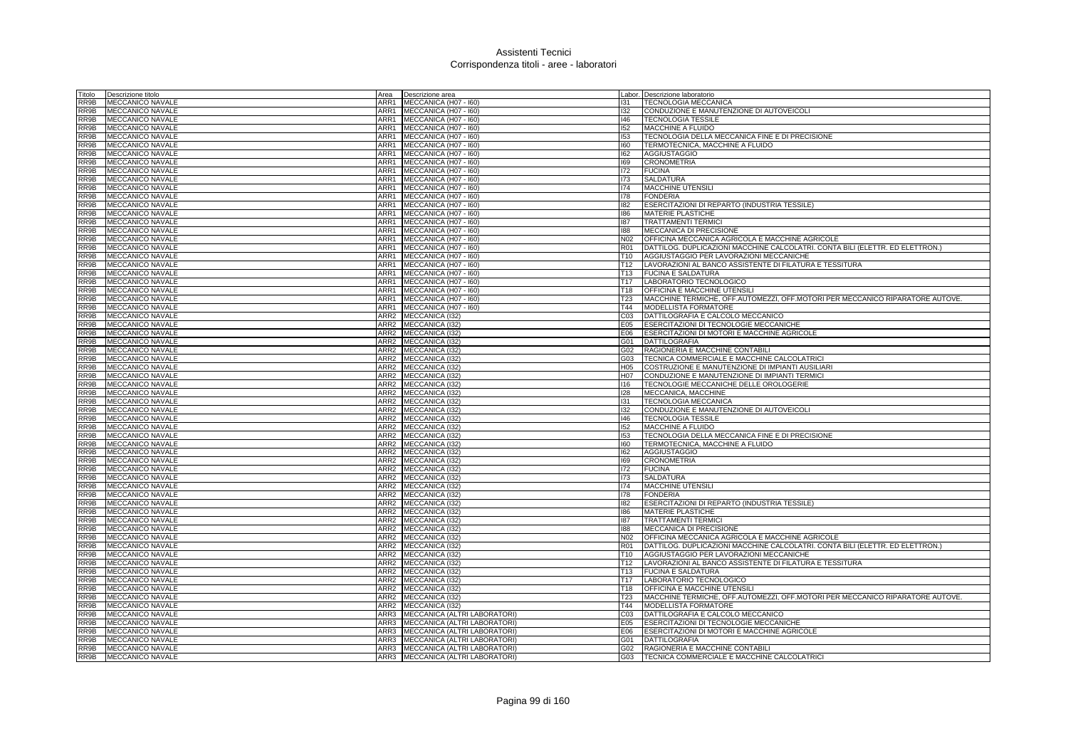| Titolo       | Descrizione titolo                          | Area             | Descrizione area                             |                        | Labor. Descrizione laboratorio                                                                    |
|--------------|---------------------------------------------|------------------|----------------------------------------------|------------------------|---------------------------------------------------------------------------------------------------|
| RR9B         | MECCANICO NAVALE                            | ARR1             | MECCANICA (H07 - 160)                        | 131                    | TECNOLOGIA MECCANICA                                                                              |
| RR9B         | <b>MECCANICO NAVALE</b>                     | ARR1             | MECCANICA (H07 - I60)                        | 132                    | CONDUZIONE E MANUTENZIONE DI AUTOVEICOLI                                                          |
| RR9B         | MECCANICO NAVALE                            |                  | ARR1 MECCANICA (H07 - 160)                   | 146                    | <b>TECNOLOGIA TESSILE</b>                                                                         |
| RR9B         | MECCANICO NAVALE                            |                  | ARR1 MECCANICA (H07 - I60)                   | 152                    | MACCHINE A FLUIDO                                                                                 |
| RR9B         | MECCANICO NAVALE                            | ARR1             | MECCANICA (H07 - I60)                        | 153                    | TECNOLOGIA DELLA MECCANICA FINE E DI PRECISIONE                                                   |
| RR9B         | MECCANICO NAVALE                            | ARR1             | MECCANICA (H07 - I60)                        | 160                    | TERMOTECNICA, MACCHINE A FLUIDO                                                                   |
| RR9B         | MECCANICO NAVALE                            |                  | ARR1 MECCANICA (H07 - 160)                   | 162                    | <b>AGGIUSTAGGIO</b>                                                                               |
| RR9B         | MECCANICO NAVALE                            | ARR1             | MECCANICA (H07 - I60)                        | 169                    | <b>CRONOMETRIA</b>                                                                                |
| RR9B         | <b>MECCANICO NAVALE</b>                     | ARR1             | MECCANICA (H07 - I60)                        | 172                    | <b>FUCINA</b>                                                                                     |
| RR9B         | <b>MECCANICO NAVALE</b>                     | ARR1             | MECCANICA (H07 - 160)                        | 173                    | <b>SALDATURA</b>                                                                                  |
| RR9B         | MECCANICO NAVALE                            | ARR1             | MECCANICA (H07 - I60)                        | 174                    | MACCHINE UTENSILI                                                                                 |
| RR9B         | MECCANICO NAVALE                            | ARR1             | MECCANICA (H07 - I60)                        | 178                    | <b>FONDERIA</b>                                                                                   |
| RR9B         | <b>MECCANICO NAVALE</b>                     | ARR1             | MECCANICA (H07 - I60)                        | 182                    | ESERCITAZIONI DI REPARTO (INDUSTRIA TESSILE)                                                      |
| RR9B         | MECCANICO NAVALE                            | ARR1             | MECCANICA (H07 - I60)                        | 186                    | <b>MATERIE PLASTICHE</b>                                                                          |
| RR9B         | MECCANICO NAVALE                            | ARR1             | MECCANICA (H07 - I60)                        | 187                    | <b>TRATTAMENTI TERMICI</b>                                                                        |
| RR9B         | MECCANICO NAVALE                            | ARR1             | MECCANICA (H07 - I60)                        | 188                    | MECCANICA DI PRECISIONE                                                                           |
| RR9B         | <b>MECCANICO NAVALE</b>                     | ARR1             | MECCANICA (H07 - I60)                        | N <sub>02</sub>        | OFFICINA MECCANICA AGRICOLA E MACCHINE AGRICOLE                                                   |
| RR9B         | <b>MECCANICO NAVALE</b>                     | ARR1             | MECCANICA (H07 - I60)                        | <b>R01</b>             | DATTILOG. DUPLICAZIONI MACCHINE CALCOLATRI. CONTA BILI (ELETTR. ED ELETTRON.)                     |
| RR9B         | <b>MECCANICO NAVALE</b>                     | ARR1             | MECCANICA (H07 - I60)                        | T <sub>10</sub>        | AGGIUSTAGGIO PER LAVORAZIONI MECCANICHE                                                           |
| RR9B         | MECCANICO NAVALE                            | ARR1             | MECCANICA (H07 - 160)                        | T <sub>12</sub>        | LAVORAZIONI AL BANCO ASSISTENTE DI FILATURA E TESSITURA                                           |
| RR9B         | <b>MECCANICO NAVALE</b>                     |                  | ARR1 MECCANICA (H07 - 160)                   | T13                    | <b>FUCINA E SALDATURA</b>                                                                         |
| RR9B         | MECCANICO NAVALE                            | ARR1             | MECCANICA (H07 - 160)                        | T17                    | LABORATORIO TECNOLOGICO                                                                           |
| RR9B         | MECCANICO NAVALE                            | ARR1             | MECCANICA (H07 - 160)                        | T18                    | OFFICINA E MACCHINE UTENSIL                                                                       |
| RR9B         | MECCANICO NAVALE                            |                  | ARR1 MECCANICA (H07 - 160)                   | <b>T23</b>             | MACCHINE TERMICHE, OFF.AUTOMEZZI, OFF.MOTORI PER MECCANICO RIPARATORE AUTOVE.                     |
| RR9B         | MECCANICO NAVALE                            |                  | ARR1 MECCANICA (H07 - 160)                   | T44                    | MODELLISTA FORMATORE                                                                              |
| RR9B         | MECCANICO NAVALE                            | ARR2             | MECCANICA (I32)                              | CO <sub>3</sub>        | DATTILOGRAFIA E CALCOLO MECCANICO                                                                 |
| RR9B         | MECCANICO NAVALE                            | ARR <sub>2</sub> | MECCANICA (I32)                              | E05                    | ESERCITAZIONI DI TECNOLOGIE MECCANICHE                                                            |
| RR9B         | <b>MECCANICO NAVALE</b>                     |                  | ARR2 MECCANICA (132)                         | E06                    | ESERCITAZIONI DI MOTORI E MACCHINE AGRICOLE                                                       |
| RR9B         | MECCANICO NAVALE                            |                  | ARR2 MECCANICA (I32)                         | G01                    | <b>DATTILOGRAFIA</b>                                                                              |
| RR9B         | MECCANICO NAVALE                            |                  | ARR2 MECCANICA (I32)                         | G02                    | RAGIONERIA E MACCHINE CONTABILI                                                                   |
| RR9B         | MECCANICO NAVALE                            | ARR2             | MECCANICA (I32)                              | G03                    | TECNICA COMMERCIALE E MACCHINE CALCOLATRIC                                                        |
| RR9B<br>RR9B | <b>MECCANICO NAVALE</b><br>MECCANICO NAVALE |                  | ARR2 MECCANICA (I32)<br>ARR2 MECCANICA (I32) | H <sub>05</sub><br>H07 | COSTRUZIONE E MANUTENZIONE DI IMPIANTI AUSILIARI<br>CONDUZIONE E MANUTENZIONE DI IMPIANTI TERMICI |
| RR9B         | MECCANICO NAVALE                            |                  | ARR2 MECCANICA (I32)                         | 116                    | TECNOLOGIE MECCANICHE DELLE OROLOGERIE                                                            |
| RR9B         | <b>MECCANICO NAVALE</b>                     |                  | ARR2 MECCANICA (I32)                         | 128                    | MECCANICA, MACCHINE                                                                               |
| RR9B         | <b>MECCANICO NAVALE</b>                     |                  | ARR2 MECCANICA (I32)                         | 131                    | <b>TECNOLOGIA MECCANICA</b>                                                                       |
| RR9B         | <b>MECCANICO NAVALE</b>                     |                  | ARR2 MECCANICA (132)                         | 132                    | CONDUZIONE E MANUTENZIONE DI AUTOVEICOLI                                                          |
| RR9B         | MECCANICO NAVALE                            |                  | ARR2 MECCANICA (I32)                         | 146                    | <b>TECNOLOGIA TESSILE</b>                                                                         |
| RR9B         | <b>MECCANICO NAVALE</b>                     |                  | ARR2 MECCANICA (I32)                         | 152                    | <b>MACCHINE A FLUIDO</b>                                                                          |
| RR9B         | MECCANICO NAVALE                            |                  | ARR2 MECCANICA (I32)                         | 153                    | TECNOLOGIA DELLA MECCANICA FINE E DI PRECISIONE                                                   |
| RR9B         | <b>MECCANICO NAVALE</b>                     |                  | ARR2 MECCANICA (I32)                         | 160                    | TERMOTECNICA, MACCHINE A FLUIDO                                                                   |
| RR9B         | MECCANICO NAVALE                            |                  | ARR2 MECCANICA (I32)                         | 162                    | <b>AGGIUSTAGGIO</b>                                                                               |
| RR9B         | <b>MECCANICO NAVALE</b>                     |                  | ARR2 MECCANICA (I32)                         | 169                    | <b>CRONOMETRIA</b>                                                                                |
| RR9B         | <b>MECCANICO NAVALE</b>                     | ARR2             | MECCANICA (I32)                              | 172                    | <b>FUCINA</b>                                                                                     |
| RR9B         | MECCANICO NAVALE                            |                  | ARR2 MECCANICA (I32)                         | 173                    | <b>SALDATURA</b>                                                                                  |
| RR9B         | MECCANICO NAVALE                            |                  | ARR2 MECCANICA (I32)                         | 174                    | <b>MACCHINE UTENSILI</b>                                                                          |
| RR9B         | MECCANICO NAVALE                            |                  | ARR2 MECCANICA (I32)                         | 178                    | <b>FONDERIA</b>                                                                                   |
| RR9B         | MECCANICO NAVALE                            | ARR2             | MECCANICA (I32)                              | 182                    | ESERCITAZIONI DI REPARTO (INDUSTRIA TESSILE)                                                      |
| RR9B         | MECCANICO NAVALE                            | ARR2             | MECCANICA (I32)                              | 186                    | MATERIE PLASTICHE                                                                                 |
| RR9B         | MECCANICO NAVALE                            |                  | ARR2 MECCANICA (I32)                         | 187                    | <b>TRATTAMENTI TERMIC</b>                                                                         |
| RR9B         | MECCANICO NAVALE                            |                  | ARR2 MECCANICA (I32)                         | 188                    | MECCANICA DI PRECISIONE                                                                           |
| RR9B         | MECCANICO NAVALE                            | ARR2             | MECCANICA (I32)                              | N02                    | OFFICINA MECCANICA AGRICOLA E MACCHINE AGRICOLE                                                   |
| RR9B         | MECCANICO NAVALE                            |                  | ARR2 MECCANICA (I32)                         | R01                    | DATTILOG. DUPLICAZIONI MACCHINE CALCOLATRI. CONTA BILI (ELETTR. ED ELETTRON.)                     |
| RR9B         | MECCANICO NAVALE                            |                  | ARR2 MECCANICA (132)                         | T <sub>10</sub>        | AGGIUSTAGGIO PER LAVORAZIONI MECCANICHE                                                           |
| RR9B         | MECCANICO NAVALE                            | ARR2             | MECCANICA (I32)                              | T <sub>12</sub>        | LAVORAZIONI AL BANCO ASSISTENTE DI FILATURA E TESSITURA                                           |
| RR9B         | <b>MECCANICO NAVALE</b>                     | ARR2             | MECCANICA (I32)                              | T <sub>13</sub>        | <b>FUCINA E SALDATURA</b>                                                                         |
| RR9B         | MECCANICO NAVALE                            | ARR2             | MECCANICA (I32)                              | T <sub>17</sub>        | LABORATORIO TECNOLOGICO                                                                           |
| RR9B         | MECCANICO NAVALE                            | ARR2             | MECCANICA (I32)                              | T <sub>18</sub>        | OFFICINA E MACCHINE UTENSILI                                                                      |
| RR9B         | MECCANICO NAVALE                            | ARR2             | MECCANICA (I32)                              | T <sub>23</sub>        | MACCHINE TERMICHE, OFF.AUTOMEZZI, OFF.MOTORI PER MECCANICO RIPARATORE AUTOVE.                     |
| RR9B         | <b>MECCANICO NAVALE</b>                     | ARR2             | MECCANICA (132)                              | T44                    | MODELLISTA FORMATORE                                                                              |
| RR9B         | <b>MECCANICO NAVALE</b>                     | ARR3             | MECCANICA (ALTRI LABORATORI)                 | CO <sub>3</sub>        | DATTILOGRAFIA E CALCOLO MECCANICO                                                                 |
| RR9B         | <b>MECCANICO NAVALE</b>                     |                  | ARR3 MECCANICA (ALTRI LABORATORI)            | E05                    | ESERCITAZIONI DI TECNOLOGIE MECCANICHE                                                            |
| RR9B         | MECCANICO NAVALE                            |                  | ARR3 MECCANICA (ALTRI LABORATORI)            | E06                    | ESERCITAZIONI DI MOTORI E MACCHINE AGRICOLE                                                       |
| RR9B         | MECCANICO NAVALE                            |                  | ARR3 MECCANICA (ALTRI LABORATORI)            | G01                    | <b>DATTILOGRAFIA</b>                                                                              |
| RR9B         | <b>MECCANICO NAVALE</b>                     |                  | ARR3 MECCANICA (ALTRI LABORATORI)            | G02                    | RAGIONERIA E MACCHINE CONTABILI                                                                   |
| RR9B         | <b>MECCANICO NAVALE</b>                     |                  | ARR3 MECCANICA (ALTRI LABORATORI)            | G03                    | TECNICA COMMERCIALE E MACCHINE CALCOLATRICI                                                       |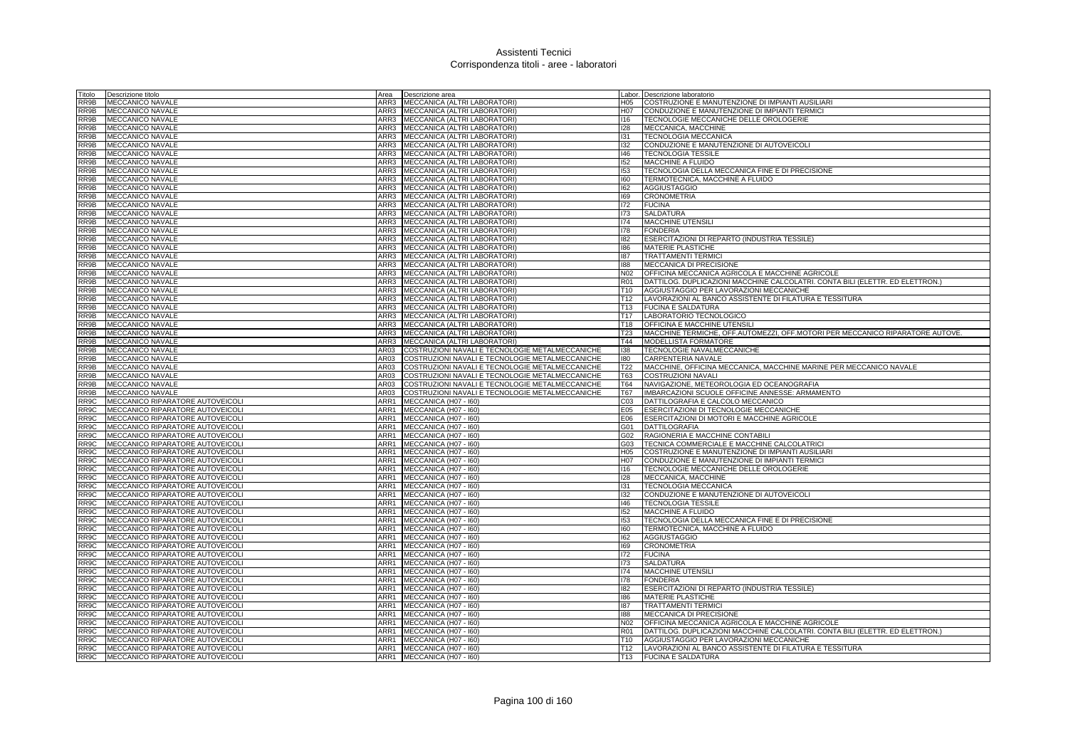| Titolo       | Descrizione titolo                                                   | Area         | Descrizione area                                             |                 | Labor. Descrizione laboratorio                                                |
|--------------|----------------------------------------------------------------------|--------------|--------------------------------------------------------------|-----------------|-------------------------------------------------------------------------------|
| RR9B         | MECCANICO NAVALE                                                     | ARR3         | MECCANICA (ALTRI LABORATORI)                                 | H05             | COSTRUZIONE E MANUTENZIONE DI IMPIANTI AUSILIARI                              |
| RR9B         | <b>MECCANICO NAVALE</b>                                              | ARR3         | MECCANICA (ALTRI LABORATORI)                                 | H07             | CONDUZIONE E MANUTENZIONE DI IMPIANTI TERMICI                                 |
| RR9B         | <b>MECCANICO NAVALE</b>                                              |              | ARR3 MECCANICA (ALTRI LABORATORI)                            | 116             | TECNOLOGIE MECCANICHE DELLE OROLOGERIE                                        |
| RR9B         | MECCANICO NAVALE                                                     |              | ARR3 MECCANICA (ALTRI LABORATORI)                            | 128             | MECCANICA, MACCHINE                                                           |
| RR9B         | <b>MECCANICO NAVALE</b>                                              | ARR3         | MECCANICA (ALTRI LABORATORI)                                 | 131             | <b>TECNOLOGIA MECCANICA</b>                                                   |
| RR9B         | <b>MECCANICO NAVALE</b>                                              | ARR3         | MECCANICA (ALTRI LABORATORI)                                 | 132             | CONDUZIONE E MANUTENZIONE DI AUTOVEICOLI                                      |
| RR9B         | MECCANICO NAVALE                                                     | ARR3         | MECCANICA (ALTRI LABORATORI)                                 | 146             | <b>TECNOLOGIA TESSILE</b>                                                     |
| RR9B         | <b>MECCANICO NAVALE</b>                                              | ARR3         | MECCANICA (ALTRI LABORATORI)                                 | 152             | MACCHINE A FLUIDO                                                             |
| RR9B         | <b>MECCANICO NAVALE</b>                                              | ARR3         | MECCANICA (ALTRI LABORATORI)                                 | 153             | TECNOLOGIA DELLA MECCANICA FINE E DI PRECISIONE                               |
| RR9B         | <b>MECCANICO NAVALE</b>                                              | ARR3         | MECCANICA (ALTRI LABORATORI)                                 | 160             | TERMOTECNICA, MACCHINE A FLUIDO                                               |
| RR9B         | MECCANICO NAVALE                                                     | ARR3         | MECCANICA (ALTRI LABORATORI)                                 | 162             | <b>AGGIUSTAGGIO</b>                                                           |
| RR9B         | <b>MECCANICO NAVALE</b>                                              |              | ARR3 MECCANICA (ALTRI LABORATORI)                            | 169             | <b>CRONOMETRIA</b>                                                            |
| RR9B         | <b>MECCANICO NAVALE</b>                                              | ARR3         | MECCANICA (ALTRI LABORATORI)                                 | 172             | <b>FUCINA</b>                                                                 |
| RR9B         | MECCANICO NAVALE                                                     | ARR3         | MECCANICA (ALTRI LABORATORI)                                 | 173             | SALDATURA                                                                     |
| RR9B         | MECCANICO NAVALE                                                     | ARR3<br>ARR3 | MECCANICA (ALTRI LABORATORI)                                 | 174<br>178      | MACCHINE UTENSILI                                                             |
| RR9B<br>RR9B | MECCANICO NAVALE                                                     | ARR3         | MECCANICA (ALTRI LABORATORI)<br>MECCANICA (ALTRI LABORATORI) |                 | <b>FONDERIA</b>                                                               |
| RR9B         | MECCANICO NAVALE<br><b>MECCANICO NAVALE</b>                          | ARR3         |                                                              | 182<br>186      | ESERCITAZIONI DI REPARTO (INDUSTRIA TESSILE)<br><b>MATERIE PLASTICHE</b>      |
| RR9B         | <b>MECCANICO NAVALE</b>                                              | ARR3         | MECCANICA (ALTRI LABORATORI)<br>MECCANICA (ALTRI LABORATORI) | 187             | <b>TRATTAMENTI TERMICI</b>                                                    |
| RR9B         | <b>MECCANICO NAVALE</b>                                              |              | ARR3 MECCANICA (ALTRI LABORATORI)                            | 188             | <b>MECCANICA DI PRECISIONE</b>                                                |
| RR9B         | <b>MECCANICO NAVALE</b>                                              |              | ARR3 MECCANICA (ALTRI LABORATORI)                            | N <sub>02</sub> | OFFICINA MECCANICA AGRICOLA E MACCHINE AGRICOLE                               |
| RR9B         | MECCANICO NAVALE                                                     | ARR3         | MECCANICA (ALTRI LABORATORI)                                 | R01             | DATTILOG. DUPLICAZIONI MACCHINE CALCOLATRI. CONTA BILI (ELETTR. ED ELETTRON.) |
| RR9B         | MECCANICO NAVALE                                                     | ARR3         | MECCANICA (ALTRI LABORATORI)                                 | T <sub>10</sub> | AGGIUSTAGGIO PER LAVORAZIONI MECCANICHE                                       |
| RR9B         | MECCANICO NAVALE                                                     | ARR3         | MECCANICA (ALTRI LABORATORI)                                 | T12             | LAVORAZIONI AL BANCO ASSISTENTE DI FILATURA E TESSITURA                       |
| RR9B         | MECCANICO NAVALE                                                     | ARR3         | MECCANICA (ALTRI LABORATORI)                                 | T <sub>13</sub> | <b>FUCINA E SALDATURA</b>                                                     |
| RR9B         | MECCANICO NAVALE                                                     | ARR3         | MECCANICA (ALTRI LABORATORI)                                 | T17             | LABORATORIO TECNOLOGICO                                                       |
| RR9B         | <b>MECCANICO NAVALE</b>                                              | ARR3         | MECCANICA (ALTRI LABORATORI)                                 | T18             | OFFICINA E MACCHINE UTENSILI                                                  |
| RR9B         | MECCANICO NAVALE                                                     | ARR3         | MECCANICA (ALTRI LABORATORI)                                 | T <sub>23</sub> | MACCHINE TERMICHE, OFF.AUTOMEZZI, OFF.MOTORI PER MECCANICO RIPARATORE AUTOVE. |
| RR9B         | MECCANICO NAVALE                                                     |              | ARR3 MECCANICA (ALTRI LABORATORI)                            | T44             | MODELLISTA FORMATORE                                                          |
| RR9B         | <b>MECCANICO NAVALE</b>                                              | AR03         | COSTRUZIONI NAVALI E TECNOLOGIE METALMECCANICHE              | 138             | TECNOLOGIE NAVALMECCANICHE                                                    |
| RR9B         | MECCANICO NAVALE                                                     | AR03         | COSTRUZIONI NAVALI E TECNOLOGIE METALMECCANICHE              | 180             | CARPENTERIA NAVALE                                                            |
| RR9B         | MECCANICO NAVALE                                                     | AR03         | COSTRUZIONI NAVALI E TECNOLOGIE METALMECCANICHE              | T <sub>22</sub> | MACCHINE, OFFICINA MECCANICA, MACCHINE MARINE PER MECCANICO NAVALE            |
| RR9B         | MECCANICO NAVALE                                                     | AR03         | COSTRUZIONI NAVALI E TECNOLOGIE METALMECCANICHE              | T63             | <b>COSTRUZIONI NAVALI</b>                                                     |
| RR9B         | MECCANICO NAVALE                                                     | AR03         | COSTRUZIONI NAVALI E TECNOLOGIE METALMECCANICHE              | T64             | NAVIGAZIONE, METEOROLOGIA ED OCEANOGRAFIA                                     |
| RR9B         | <b>MECCANICO NAVALE</b>                                              | AR03         | COSTRUZIONI NAVALI E TECNOLOGIE METALMECCANICHE              | T67             | IMBARCAZIONI SCUOLE OFFICINE ANNESSE: ARMAMENTO                               |
| RR9C         | MECCANICO RIPARATORE AUTOVEICOLI                                     | ARR1         | MECCANICA (H07 - I60)                                        | CO <sub>3</sub> | DATTILOGRAFIA E CALCOLO MECCANICO                                             |
| RR9C         | MECCANICO RIPARATORE AUTOVEICOLI                                     | ARR1         | MECCANICA (H07 - I60)                                        | E05             | ESERCITAZIONI DI TECNOLOGIE MECCANICHE                                        |
| RR9C         | MECCANICO RIPARATORE AUTOVEICOLI                                     | ARR1         | MECCANICA (H07 - I60)                                        | E06             | ESERCITAZIONI DI MOTORI E MACCHINE AGRICOLE                                   |
| RR9C         | MECCANICO RIPARATORE AUTOVEICOLI                                     | ARR1         | MECCANICA (H07 - I60)                                        | G01             | <b>DATTILOGRAFIA</b>                                                          |
| RR9C         | MECCANICO RIPARATORE AUTOVEICOLI                                     | ARR1         | MECCANICA (H07 - I60)                                        | G02             | RAGIONERIA E MACCHINE CONTABILI                                               |
| RR9C         | MECCANICO RIPARATORE AUTOVEICOLI                                     | ARR1         | MECCANICA (H07 - I60)                                        | G03             | TECNICA COMMERCIALE E MACCHINE CALCOLATRICI                                   |
| RR9C         | MECCANICO RIPARATORE AUTOVEICOLI                                     | ARR1         | MECCANICA (H07 - I60)                                        | H05             | COSTRUZIONE E MANUTENZIONE DI IMPIANTI AUSILIARI                              |
| RR9C         | MECCANICO RIPARATORE AUTOVEICOLI                                     | ARR1         | MECCANICA (H07 - I60)                                        | H07             | CONDUZIONE E MANUTENZIONE DI IMPIANTI TERMICI                                 |
| RR9C<br>RR9C | MECCANICO RIPARATORE AUTOVEICOLI                                     | ARR1<br>ARR1 | MECCANICA (H07 - I60)                                        | 116<br>128      | TECNOLOGIE MECCANICHE DELLE OROLOGERIE                                        |
| RR9C         | MECCANICO RIPARATORE AUTOVEICOLI<br>MECCANICO RIPARATORE AUTOVEICOLI |              | MECCANICA (H07 - 160)<br>ARR1 MECCANICA (H07 - I60)          | 131             | MECCANICA, MACCHINE<br><b>TECNOLOGIA MECCANICA</b>                            |
| RR9C         | MECCANICO RIPARATORE AUTOVEICOLI                                     |              | ARR1 MECCANICA (H07 - 160)                                   | 132             | CONDUZIONE E MANUTENZIONE DI AUTOVEICOLI                                      |
| RR9C         | MECCANICO RIPARATORE AUTOVEICOLI                                     | ARR1         | MECCANICA (H07 - I60)                                        | 146             | <b>TECNOLOGIA TESSILE</b>                                                     |
| RR9C         | MECCANICO RIPARATORE AUTOVEICOLI                                     | ARR1         | MECCANICA (H07 - I60)                                        | 152             | MACCHINE A FLUIDO                                                             |
| RR9C         | MECCANICO RIPARATORE AUTOVEICOLI                                     | ARR1         | MECCANICA (H07 - I60)                                        | 153             | TECNOLOGIA DELLA MECCANICA FINE E DI PRECISIONE                               |
| RR9C         | MECCANICO RIPARATORE AUTOVEICOLI                                     | ARR1         | MECCANICA (H07 - I60)                                        | 160             | TERMOTECNICA, MACCHINE A FLUIDO                                               |
| RR9C         | MECCANICO RIPARATORE AUTOVEICOLI                                     | ARR1         | MECCANICA (H07 - I60)                                        | 162             | AGGIUSTAGGIO                                                                  |
| RR9C         | MECCANICO RIPARATORE AUTOVEICOLI                                     | ARR1         | MECCANICA (H07 - I60)                                        | 169             | <b>CRONOMETRIA</b>                                                            |
| RR9C         | MECCANICO RIPARATORE AUTOVEICOLI                                     | ARR1         | MECCANICA (H07 - 160)                                        | 172             | <b>FUCINA</b>                                                                 |
| RR9C         | MECCANICO RIPARATORE AUTOVEICOLI                                     |              | ARR1 MECCANICA (H07 - 160)                                   | 173             | <b>SALDATURA</b>                                                              |
| RR9C         | MECCANICO RIPARATORE AUTOVEICOLI                                     |              | ARR1 MECCANICA (H07 - 160)                                   | 174             | MACCHINE UTENSILI                                                             |
| RR9C         | MECCANICO RIPARATORE AUTOVEICOLI                                     | ARR1         | MECCANICA (H07 - I60)                                        | 178             | <b>FONDERIA</b>                                                               |
| RR9C         | MECCANICO RIPARATORE AUTOVEICOLI                                     | ARR1         | MECCANICA (H07 - I60)                                        | 182             | ESERCITAZIONI DI REPARTO (INDUSTRIA TESSILE)                                  |
| RR9C         | MECCANICO RIPARATORE AUTOVEICOLI                                     | ARR1         | MECCANICA (H07 - I60)                                        | 186             | <b>MATERIE PLASTICHE</b>                                                      |
| RR9C         | MECCANICO RIPARATORE AUTOVEICOLI                                     | ARR1         | MECCANICA (H07 - I60)                                        | 187             | <b>TRATTAMENTI TERMICI</b>                                                    |
| RR9C         | MECCANICO RIPARATORE AUTOVEICOLI                                     | ARR1         | MECCANICA (H07 - 160)                                        | 188             | <b>MECCANICA DI PRECISIONE</b>                                                |
| RR9C         | MECCANICO RIPARATORE AUTOVEICOLI                                     | ARR1         | MECCANICA (H07 - 160)                                        | N <sub>02</sub> | OFFICINA MECCANICA AGRICOLA E MACCHINE AGRICOLE                               |
| RR9C         | MECCANICO RIPARATORE AUTOVEICOLI                                     |              | ARR1 MECCANICA (H07 - I60)                                   | R01             | DATTILOG. DUPLICAZIONI MACCHINE CALCOLATRI. CONTA BILI (ELETTR. ED ELETTRON.) |
| RR9C         | MECCANICO RIPARATORE AUTOVEICOLI                                     |              | ARR1 MECCANICA (H07 - 160)                                   | T <sub>10</sub> | AGGIUSTAGGIO PER LAVORAZIONI MECCANICHE                                       |
| RR9C         | MECCANICO RIPARATORE AUTOVEICOLI                                     |              | ARR1 MECCANICA (H07 - 160)                                   | T12             | LAVORAZIONI AL BANCO ASSISTENTE DI FILATURA E TESSITURA                       |
|              | RR9C MECCANICO RIPARATORE AUTOVEICOLI                                |              | ARR1 MECCANICA (H07 - 160)                                   | T <sub>13</sub> | <b>FUCINA E SALDATURA</b>                                                     |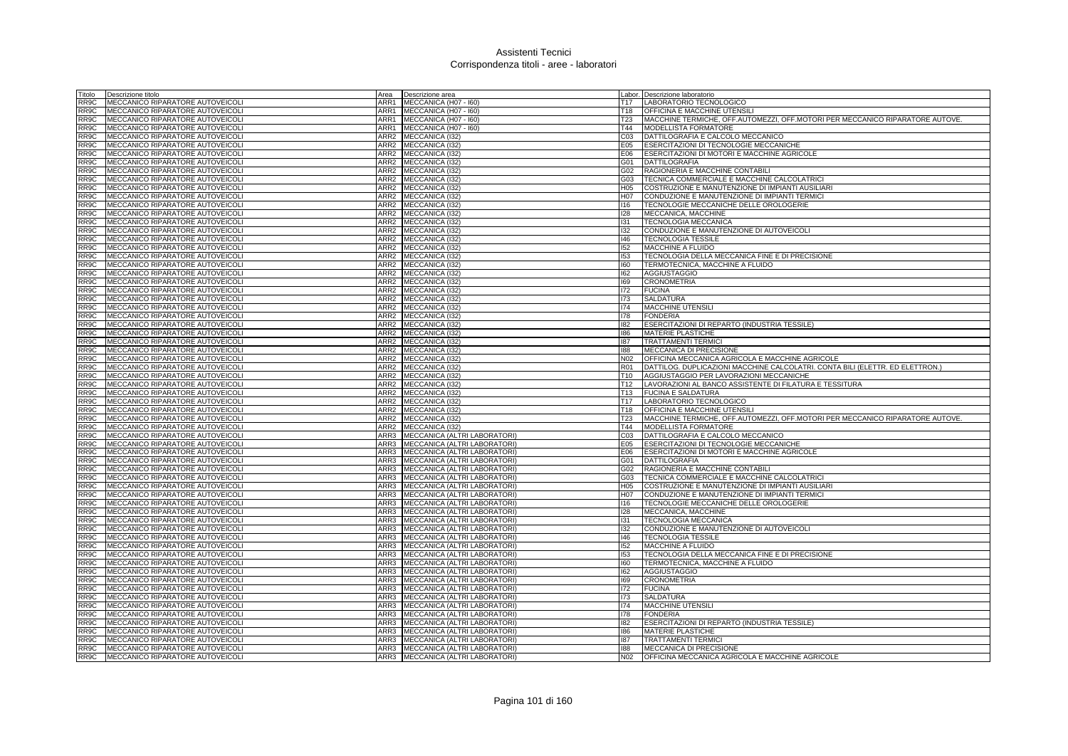| Titolo            | Descrizione titolo               | Area             | Descrizione area                     |                 | Labor. Descrizione laboratorio                                                |
|-------------------|----------------------------------|------------------|--------------------------------------|-----------------|-------------------------------------------------------------------------------|
| RR9C              | MECCANICO RIPARATORE AUTOVEICOLI | ARR1             | MECCANICA (H07 - I60)                |                 | T17 LABORATORIO TECNOLOGICO                                                   |
| RR9C              | MECCANICO RIPARATORE AUTOVEICOLI | ARR1             | MECCANICA (H07 - I60)                | T18             | OFFICINA E MACCHINE UTENSILI                                                  |
| RR9C              | MECCANICO RIPARATORE AUTOVEICOLI | ARR1             | MECCANICA (H07 - I60)                | <b>T23</b>      | MACCHINE TERMICHE, OFF.AUTOMEZZI, OFF.MOTORI PER MECCANICO RIPARATORE AUTOVE. |
| RR9C              | MECCANICO RIPARATORE AUTOVEICOLI |                  | ARR1 MECCANICA (H07 - 160)           | T44             | MODELLISTA FORMATORE                                                          |
| RR9C              | MECCANICO RIPARATORE AUTOVEICOLI | ARR2             | MECCANICA (I32)                      | CO <sub>3</sub> | DATTILOGRAFIA E CALCOLO MECCANICO                                             |
| RR9C              | MECCANICO RIPARATORE AUTOVEICOLI | ARR2             | MECCANICA (I32)                      | E05             | ESERCITAZIONI DI TECNOLOGIE MECCANICHE                                        |
| RR9C              | MECCANICO RIPARATORE AUTOVEICOLI | ARR2             | MECCANICA (I32)                      | E06             | ESERCITAZIONI DI MOTORI E MACCHINE AGRICOLE                                   |
| RR9C              | MECCANICO RIPARATORE AUTOVEICOLI |                  | ARR2 MECCANICA (I32)                 | G01             | <b>DATTILOGRAFIA</b>                                                          |
| RR9C              | MECCANICO RIPARATORE AUTOVEICOLI | ARR2             | MECCANICA (132)                      | G02             | RAGIONERIA E MACCHINE CONTABILI                                               |
| RR9C              | MECCANICO RIPARATORE AUTOVEICOLI | ARR2             | MECCANICA (I32)                      | G03             | TECNICA COMMERCIALE E MACCHINE CALCOLATRICI                                   |
| RR9C              | MECCANICO RIPARATORE AUTOVEICOLI |                  | ARR2 MECCANICA (I32)                 | H05             | COSTRUZIONE E MANUTENZIONE DI IMPIANTI AUSILIARI                              |
| RR9C              | MECCANICO RIPARATORE AUTOVEICOLI |                  | ARR2 MECCANICA (I32)                 | H07             | CONDUZIONE E MANUTENZIONE DI IMPIANTI TERMICI                                 |
| RR9C              | MECCANICO RIPARATORE AUTOVEICOLI |                  | ARR2 MECCANICA (I32)                 | 116             | TECNOLOGIE MECCANICHE DELLE OROLOGERIE                                        |
| RR9C              | MECCANICO RIPARATORE AUTOVEICOLI | ARR2             | MECCANICA (I32)                      | 128             | MECCANICA, MACCHINE                                                           |
| RR9C              | MECCANICO RIPARATORE AUTOVEICOLI | ARR2             | MECCANICA (I32)                      | 131             | <b>TECNOLOGIA MECCANICA</b>                                                   |
| RR9C              | MECCANICO RIPARATORE AUTOVEICOLI | ARR2             | MECCANICA (I32)                      | 132             | CONDUZIONE E MANUTENZIONE DI AUTOVEICOLI                                      |
| RR9C              | MECCANICO RIPARATORE AUTOVEICOLI | ARR2             | MECCANICA (I32)                      | 146             | <b>TECNOLOGIA TESSILE</b>                                                     |
| RR9C              | MECCANICO RIPARATORE AUTOVEICOLI | ARR2             | MECCANICA (I32)                      | 152             | MACCHINE A FLUIDO                                                             |
| RR9C              | MECCANICO RIPARATORE AUTOVEICOLI | ARR2             | MECCANICA (I32)                      | 153             | TECNOLOGIA DELLA MECCANICA FINE E DI PRECISIONE                               |
| RR9C              | MECCANICO RIPARATORE AUTOVEICOLI |                  | ARR2 MECCANICA (I32)                 | 160             | TERMOTECNICA, MACCHINE A FLUIDO                                               |
| RR <sub>9</sub> C | MECCANICO RIPARATORE AUTOVEICOLI |                  | ARR2 MECCANICA (I32)                 | 162             | <b>AGGIUSTAGGIO</b>                                                           |
| RR9C              | MECCANICO RIPARATORE AUTOVEICOLI | ARR2             | MECCANICA (I32)                      | 169             | <b>CRONOMETRIA</b>                                                            |
| RR9C              | MECCANICO RIPARATORE AUTOVEICOLI | ARR <sub>2</sub> | MECCANICA (I32)                      | 172             | <b>FUCINA</b>                                                                 |
| RR9C              | MECCANICO RIPARATORE AUTOVEICOLI | ARR2             | MECCANICA (I32)                      | 173             | <b>SALDATURA</b>                                                              |
| RR9C              | MECCANICO RIPARATORE AUTOVEICOLI | ARR2             | MECCANICA (I32)                      | 174             | <b>MACCHINE UTENSILI</b>                                                      |
| RR9C              | MECCANICO RIPARATORE AUTOVEICOLI | ARR2             | MECCANICA (I32)                      | 178             | <b>FONDERIA</b>                                                               |
| RR9C              | MECCANICO RIPARATORE AUTOVEICOLI | ARR <sub>2</sub> | MECCANICA (I32)                      | 182             | ESERCITAZIONI DI REPARTO (INDUSTRIA TESSILE)                                  |
| RR9C              | MECCANICO RIPARATORE AUTOVEICOLI | ARR2             | MECCANICA (I32)                      | 186             | <b>MATERIE PLASTICHE</b>                                                      |
| RR9C              | MECCANICO RIPARATORE AUTOVEICOLI | ARR2             | MECCANICA (I32)                      | 187             | <b>TRATTAMENTI TERMICI</b>                                                    |
| RR <sub>9</sub> C | MECCANICO RIPARATORE AUTOVEICOLI | ARR <sub>2</sub> | MECCANICA (I32)                      | 188             | MECCANICA DI PRECISIONE                                                       |
| RR9C              | MECCANICO RIPARATORE AUTOVEICOLI | ARR <sub>2</sub> | MECCANICA (I32)                      | N <sub>02</sub> | OFFICINA MECCANICA AGRICOLA E MACCHINE AGRICOLE                               |
| RR <sub>9</sub> C | MECCANICO RIPARATORE AUTOVEICOLI | ARR2             | MECCANICA (132)                      | R <sub>01</sub> | DATTILOG. DUPLICAZIONI MACCHINE CALCOLATRI. CONTA BILI (ELETTR. ED ELETTRON.) |
| RR9C              | MECCANICO RIPARATORE AUTOVEICOLI | ARR2             | MECCANICA (I32)                      | T10             | AGGIUSTAGGIO PER LAVORAZIONI MECCANICHE                                       |
| RR9C              | MECCANICO RIPARATORE AUTOVEICOLI | ARR2             | MECCANICA (I32)                      | T12             | LAVORAZIONI AL BANCO ASSISTENTE DI FILATURA E TESSITURA                       |
| RR9C              | MECCANICO RIPARATORE AUTOVEICOLI | ARR2             | MECCANICA (132)                      | T <sub>13</sub> | <b>FUCINA E SALDATURA</b>                                                     |
| RR9C              | MECCANICO RIPARATORE AUTOVEICOLI | ARR2             | MECCANICA (I32)                      | T17             | LABORATORIO TECNOLOGICO                                                       |
| RR9C              | MECCANICO RIPARATORE AUTOVEICOLI |                  | ARR2 MECCANICA (I32)                 | T18             | OFFICINA E MACCHINE UTENSILI                                                  |
| RR9C              | MECCANICO RIPARATORE AUTOVEICOLI |                  | ARR2 MECCANICA (I32)                 | <b>T23</b>      | MACCHINE TERMICHE, OFF.AUTOMEZZI, OFF.MOTORI PER MECCANICO RIPARATORE AUTOVE. |
| RR9C              | MECCANICO RIPARATORE AUTOVEICOLI | ARR2             | MECCANICA (132)                      | T44             | <b>MODELLISTA FORMATORE</b>                                                   |
| RR9C              | MECCANICO RIPARATORE AUTOVEICOLI | ARR3             | MECCANICA (ALTRI LABORATORI)         | C <sub>03</sub> | DATTILOGRAFIA E CALCOLO MECCANICO                                             |
| RR9C              | MECCANICO RIPARATORE AUTOVEICOLI | ARR3             | MECCANICA (ALTRI LABORATORI)         | E05             | ESERCITAZIONI DI TECNOLOGIE MECCANICHE                                        |
| RR9C              | MECCANICO RIPARATORE AUTOVEICOLI | ARR3             | MECCANICA (ALTRI LABORATORI)         | E06             | ESERCITAZIONI DI MOTORI E MACCHINE AGRICOLE                                   |
| RR9C              | MECCANICO RIPARATORE AUTOVEICOLI | ARR3             | MECCANICA (ALTRI LABORATORI)         | G01             | <b>DATTILOGRAFIA</b>                                                          |
| RR9C              | MECCANICO RIPARATORE AUTOVEICOLI | ARR3             | MECCANICA (ALTRI LABORATORI)         | G02             | RAGIONERIA E MACCHINE CONTABILI                                               |
| RR9C              | MECCANICO RIPARATORE AUTOVEICOLI | ARR3             | MECCANICA (ALTRI LABORATORI)         | G03             | TECNICA COMMERCIALE E MACCHINE CALCOLATRICI                                   |
| RR9C              | MECCANICO RIPARATORE AUTOVEICOLI |                  | ARR3 MECCANICA (ALTRI LABORATORI)    | H <sub>05</sub> | COSTRUZIONE E MANUTENZIONE DI IMPIANTI AUSILIARI                              |
| RR9C              | MECCANICO RIPARATORE AUTOVEICOLI | ARR3             | MECCANICA (ALTRI LABORATORI)         | H07             | CONDUZIONE E MANUTENZIONE DI IMPIANTI TERMICI                                 |
| RR9C              | MECCANICO RIPARATORE AUTOVEICOLI | ARR3             | MECCANICA (ALTRI LABORATORI)         | 116             | TECNOLOGIE MECCANICHE DELLE OROLOGERIE                                        |
| RR9C              | MECCANICO RIPARATORE AUTOVEICOLI | ARR3             | MECCANICA (ALTRI LABORATORI)         | 128             | MECCANICA, MACCHINE                                                           |
| RR9C              | MECCANICO RIPARATORE AUTOVEICOLI | ARR3             | MECCANICA (ALTRI LABORATORI)         | 131             | <b>TECNOLOGIA MECCANICA</b>                                                   |
| RR9C              | MECCANICO RIPARATORE AUTOVEICOLI | ARR3             | MECCANICA (ALTRI LABORATORI)         | 132             | CONDUZIONE E MANUTENZIONE DI AUTOVEICOLI                                      |
| RR9C              | MECCANICO RIPARATORE AUTOVEICOLI | ARR3             | MECCANICA (ALTRI LABORATORI)         | 146             | <b>TECNOLOGIA TESSILE</b>                                                     |
| RR9C              | MECCANICO RIPARATORE AUTOVEICOLI | ARR3             | MECCANICA (ALTRI LABORATORI)         | 152             | MACCHINE A FLUIDO                                                             |
| RR9C              | MECCANICO RIPARATORE AUTOVEICOLI | ARR3             | MECCANICA (ALTRI LABORATORI)         | 153             | TECNOLOGIA DELLA MECCANICA FINE E DI PRECISIONE                               |
| RR9C              | MECCANICO RIPARATORE AUTOVEICOLI | ARR3             | MECCANICA (ALTRI LABORATORI)         | 160             | TERMOTECNICA, MACCHINE A FLUIDO                                               |
| RR9C              | MECCANICO RIPARATORE AUTOVEICOLI | ARR3             | MECCANICA (ALTRI LABORATORI)         | 162             | <b>AGGIUSTAGGIO</b>                                                           |
| RR9C              | MECCANICO RIPARATORE AUTOVEICOLI | ARR3             | MECCANICA (ALTRI LABORATORI)         | 169             | <b>CRONOMETRIA</b>                                                            |
| RR9C              | MECCANICO RIPARATORE AUTOVEICOLI | ARR3             | MECCANICA (ALTRI LABORATORI)         | 172             | <b>FUCINA</b>                                                                 |
| RR9C              | MECCANICO RIPARATORE AUTOVEICOLI | ARR3             | MECCANICA (ALTRI LABORATORI)         | 173             | <b>SALDATURA</b>                                                              |
| RR9C              | MECCANICO RIPARATORE AUTOVEICOLI | ARR3             | MECCANICA (ALTRI LABORATORI)         | 174             | <b>MACCHINE UTENSILI</b>                                                      |
| RR9C              | MECCANICO RIPARATORE AUTOVEICOLI | ARR3             | MECCANICA (ALTRI LABORATORI)         | 178             | <b>FONDERIA</b>                                                               |
| RR9C              | MECCANICO RIPARATORE AUTOVEICOLI | ARR3             | MECCANICA (ALTRI LABORATORI)         | 182             | ESERCITAZIONI DI REPARTO (INDUSTRIA TESSILE)                                  |
| RR9C              | MECCANICO RIPARATORE AUTOVEICOLI | ARR3             | MECCANICA (ALTRI LABORATORI)         | 186             | <b>MATERIE PLASTICHE</b>                                                      |
| RR9C              | MECCANICO RIPARATORE AUTOVEICOLI | ARR3             | MECCANICA (ALTRI LABORATORI)         | 187             | <b>TRATTAMENTI TERMIC</b>                                                     |
| RR9C              | MECCANICO RIPARATORE AUTOVEICOLI | ARR3             | <b>IMECCANICA (ALTRI LABORATORI)</b> | 188             | <b>MECCANICA DI PRECISIONE</b>                                                |
| RR9C              | MECCANICO RIPARATORE AUTOVEICOLI |                  | ARR3 MECCANICA (ALTRI LABORATORI)    | <b>N02</b>      | OFFICINA MECCANICA AGRICOLA E MACCHINE AGRICOLE                               |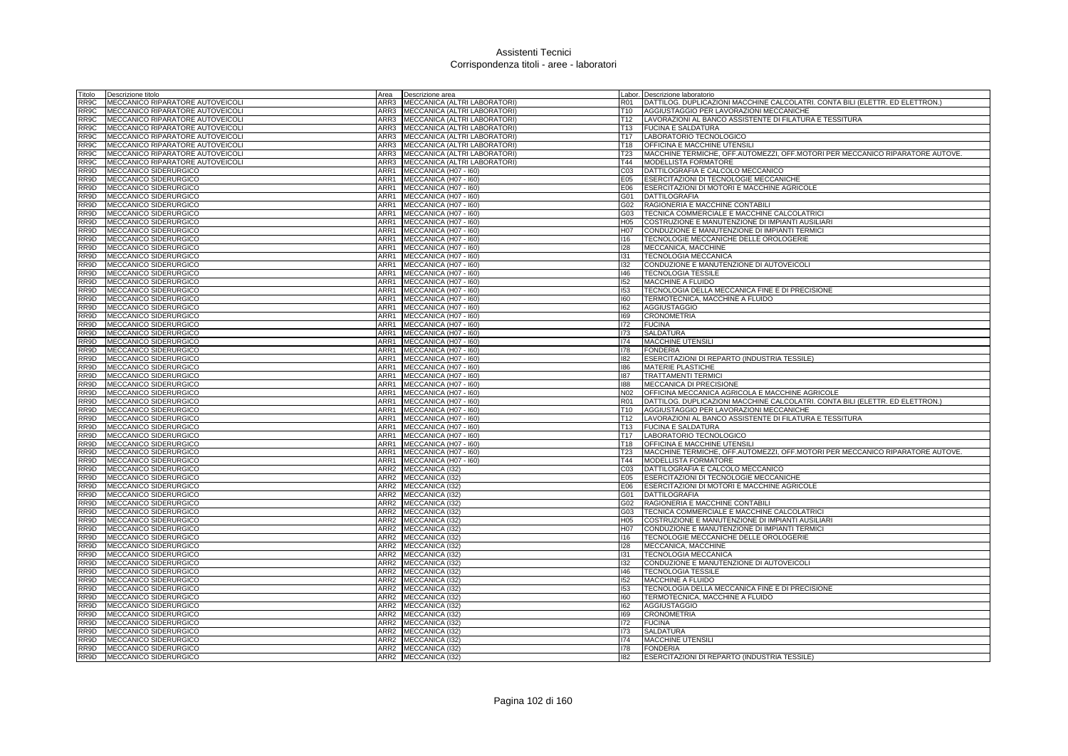| Titolo | Descrizione titolo               | Area             | Descrizione area                  |                  | Labor. Descrizione laboratorio                                                |
|--------|----------------------------------|------------------|-----------------------------------|------------------|-------------------------------------------------------------------------------|
| RR9C   | MECCANICO RIPARATORE AUTOVEICOLI | ARR3             | MECCANICA (ALTRI LABORATORI)      | <b>R01</b>       | DATTILOG. DUPLICAZIONI MACCHINE CALCOLATRI. CONTA BILI (ELETTR. ED ELETTRON.) |
| RR9C   | MECCANICO RIPARATORE AUTOVEICOLI | ARR3             | MECCANICA (ALTRI LABORATORI)      | T10              | AGGIUSTAGGIO PER LAVORAZIONI MECCANICHE                                       |
| RR9C   | MECCANICO RIPARATORE AUTOVEICOLI |                  | ARR3 MECCANICA (ALTRI LABORATORI) | T12              | LAVORAZIONI AL BANCO ASSISTENTE DI FILATURA E TESSITURA                       |
| RR9C   | MECCANICO RIPARATORE AUTOVEICOLI |                  | ARR3 MECCANICA (ALTRI LABORATORI) |                  | T13 FUCINA E SALDATURA                                                        |
| RR9C   | MECCANICO RIPARATORE AUTOVEICOLI |                  | ARR3 MECCANICA (ALTRI LABORATORI) | T <sub>17</sub>  | LABORATORIO TECNOLOGICO                                                       |
| RR9C   | MECCANICO RIPARATORE AUTOVEICOLI | ARR3             | MECCANICA (ALTRI LABORATORI)      | T18              | OFFICINA E MACCHINE UTENSIL                                                   |
| RR9C   | MECCANICO RIPARATORE AUTOVEICOLI | ARR3             | MECCANICA (ALTRI LABORATORI)      | <b>T23</b>       | MACCHINE TERMICHE, OFF.AUTOMEZZI, OFF.MOTORI PER MECCANICO RIPARATORE AUTOVE. |
| RR9C   | MECCANICO RIPARATORE AUTOVEICOLI | ARR3             | MECCANICA (ALTRI LABORATORI)      | T44              | MODELLISTA FORMATORE                                                          |
| RR9D   | MECCANICO SIDERURGICO            | ARR1             | MECCANICA (H07 - 160)             | CO <sub>3</sub>  | DATTILOGRAFIA E CALCOLO MECCANICO                                             |
| RR9D   | MECCANICO SIDERURGICO            | ARR1             | MECCANICA (H07 - I60)             | E05              | ESERCITAZIONI DI TECNOLOGIE MECCANICHE                                        |
| RR9D   | MECCANICO SIDERURGICO            | ARR1             | MECCANICA (H07 - I60)             | E06              | ESERCITAZIONI DI MOTORI E MACCHINE AGRICOLE                                   |
| RR9D   | MECCANICO SIDERURGICO            |                  | ARR1 MECCANICA (H07 - 160)        | G01              | <b>DATTILOGRAFIA</b>                                                          |
| RR9D   | MECCANICO SIDERURGICO            |                  | ARR1 MECCANICA (H07 - 160)        | G02              | RAGIONERIA E MACCHINE CONTABILI                                               |
| RR9D   | MECCANICO SIDERURGICO            | ARR1             | MECCANICA (H07 - I60)             | G03              | TECNICA COMMERCIALE E MACCHINE CALCOLATRICI                                   |
| RR9D   | MECCANICO SIDERURGICO            | ARR1             | MECCANICA (H07 - I60)             | H05              | COSTRUZIONE E MANUTENZIONE DI IMPIANTI AUSILIARI                              |
| RR9D   | MECCANICO SIDERURGICO            | ARR1             | MECCANICA (H07 - I60)             | H <sub>0</sub> 7 | CONDUZIONE E MANUTENZIONE DI IMPIANTI TERMICI                                 |
| RR9D   | MECCANICO SIDERURGICO            | ARR1             | MECCANICA (H07 - I60)             | 116              | TECNOLOGIE MECCANICHE DELLE OROLOGERIE                                        |
| RR9D   | MECCANICO SIDERURGICO            | ARR1             | MECCANICA (H07 - I60)             | 128              | MECCANICA, MACCHINE                                                           |
| RR9D   | MECCANICO SIDERURGICO            | ARR1             | MECCANICA (H07 - I60)             | 131              | <b>TECNOLOGIA MECCANICA</b>                                                   |
| RR9D   | <b>MECCANICO SIDERURGICO</b>     |                  | ARR1 MECCANICA (H07 - 160)        | 132              | CONDUZIONE E MANUTENZIONE DI AUTOVEICOLI                                      |
| RR9D   | MECCANICO SIDERURGICO            |                  | ARR1 MECCANICA (H07 - 160)        | 146              | <b>TECNOLOGIA TESSILE</b>                                                     |
| RR9D   | MECCANICO SIDERURGICO            | ARR1             | MECCANICA (H07 - I60)             | 152              | <b>MACCHINE A FLUIDO</b>                                                      |
| RR9D   | MECCANICO SIDERURGICO            | ARR1             | MECCANICA (H07 - I60)             | 153              | TECNOLOGIA DELLA MECCANICA FINE E DI PRECISIONE                               |
| RR9D   | MECCANICO SIDERURGICO            | ARR1             | MECCANICA (H07 - I60)             | 160              | TERMOTECNICA, MACCHINE A FLUIDO                                               |
| RR9D   | MECCANICO SIDERURGICO            | ARR1             | MECCANICA (H07 - I60)             | 162              | <b>AGGIUSTAGGIO</b>                                                           |
| RR9D   | MECCANICO SIDERURGICO            | ARR1             | MECCANICA (H07 - I60)             | 169              | <b>CRONOMETRIA</b>                                                            |
| RR9D   | MECCANICO SIDERURGICO            | ARR1             | MECCANICA (H07 - I60)             | 172              | <b>FUCINA</b>                                                                 |
| RR9D   | MECCANICO SIDERURGICO            | ARR1             | MECCANICA (H07 - I60)             | 173              | <b>SALDATURA</b>                                                              |
| RR9D   | MECCANICO SIDERURGICO            | ARR1             | MECCANICA (H07 - I60)             | 174              | <b>MACCHINE UTENSILI</b>                                                      |
| RR9D   | MECCANICO SIDERURGICO            | ARR1             | MECCANICA (H07 - I60)             | 178              | <b>FONDERIA</b>                                                               |
| RR9D   | MECCANICO SIDERURGICO            | ARR1             | MECCANICA (H07 - I60)             | 182              | ESERCITAZIONI DI REPARTO (INDUSTRIA TESSILE)                                  |
| RR9D   | MECCANICO SIDERURGICO            | ARR1             | MECCANICA (H07 - I60)             | 186              | <b>MATERIE PLASTICHE</b>                                                      |
| RR9D   | MECCANICO SIDERURGICO            | ARR1             | MECCANICA (H07 - I60)             | 187              | <b>TRATTAMENTI TERMICI</b>                                                    |
| RR9D   | MECCANICO SIDERURGICO            |                  | ARR1 MECCANICA (H07 - 160)        | 188              | MECCANICA DI PRECISIONE                                                       |
| RR9D   | MECCANICO SIDERURGICO            | ARR1             | MECCANICA (H07 - I60)             | N02              | OFFICINA MECCANICA AGRICOLA E MACCHINE AGRICOLE                               |
| RR9D   | MECCANICO SIDERURGICO            | ARR1             | MECCANICA (H07 - I60)             | <b>R01</b>       | DATTILOG. DUPLICAZIONI MACCHINE CALCOLATRI. CONTA BILI (ELETTR. ED ELETTRON.) |
| RR9D   | MECCANICO SIDERURGICO            |                  | ARR1 MECCANICA (H07 - 160)        | T <sub>10</sub>  | AGGIUSTAGGIO PER LAVORAZIONI MECCANICHE                                       |
| RR9D   | MECCANICO SIDERURGICO            |                  | ARR1 MECCANICA (H07 - 160)        | T <sub>12</sub>  | LAVORAZIONI AL BANCO ASSISTENTE DI FILATURA E TESSITURA                       |
| RR9D   | MECCANICO SIDERURGICO            | ARR1             | MECCANICA (H07 - I60)             | T13              | <b>FUCINA E SALDATURA</b>                                                     |
| RR9D   | MECCANICO SIDERURGICO            | ARR1             | MECCANICA (H07 - I60)             | T17              | LABORATORIO TECNOLOGICO                                                       |
| RR9D   | MECCANICO SIDERURGICO            | ARR1             | MECCANICA (H07 - I60)             | T18              | OFFICINA E MACCHINE UTENSILI                                                  |
| RR9D   | MECCANICO SIDERURGICO            |                  | ARR1 MECCANICA (H07 - 160)        | T <sub>23</sub>  | MACCHINE TERMICHE, OFF.AUTOMEZZI, OFF.MOTORI PER MECCANICO RIPARATORE AUTOVE. |
| RR9D   | MECCANICO SIDERURGICO            | ARR1             | MECCANICA (H07 - I60)             | T44              | <b>MODELLISTA FORMATORE</b>                                                   |
| RR9D   | MECCANICO SIDERURGICO            | ARR <sub>2</sub> | MECCANICA (I32)                   | CO <sub>3</sub>  | DATTILOGRAFIA E CALCOLO MECCANICO                                             |
| RR9D   | MECCANICO SIDERURGICO            | ARR2             | MECCANICA (I32)                   | E05              | <b>ESERCITAZIONI DI TECNOLOGIE MECCANICHE</b>                                 |
| RR9D   | MECCANICO SIDERURGICO            |                  | ARR2 MECCANICA (I32)              | E06              | ESERCITAZIONI DI MOTORI E MACCHINE AGRICOLE                                   |
| RR9D   | MECCANICO SIDERURGICO            |                  | ARR2 MECCANICA (I32)              | G01              | <b>DATTILOGRAFIA</b>                                                          |
| RR9D   | MECCANICO SIDERURGICO            | ARR <sub>2</sub> | MECCANICA (I32)                   | G02              | RAGIONERIA E MACCHINE CONTABILI                                               |
| RR9D   | MECCANICO SIDERURGICO            | ARR2             | MECCANICA (I32)                   | G03              | TECNICA COMMERCIALE E MACCHINE CALCOLATRICI                                   |
| RR9D   | MECCANICO SIDERURGICO            | ARR2             | MECCANICA (I32)                   | H <sub>05</sub>  | COSTRUZIONE E MANUTENZIONE DI IMPIANTI AUSILIARI                              |
| RR9D   | MECCANICO SIDERURGICO            |                  | ARR2 MECCANICA (I32)              | H07              | CONDUZIONE E MANUTENZIONE DI IMPIANTI TERMICI                                 |
| RR9D   | MECCANICO SIDERURGICO            | ARR <sub>2</sub> | MECCANICA (I32)                   | 116              | TECNOLOGIE MECCANICHE DELLE OROLOGERIE                                        |
| RR9D   | MECCANICO SIDERURGICO            | ARR2             | MECCANICA (I32)                   | 128              | MECCANICA, MACCHINE                                                           |
| RR9D   | MECCANICO SIDERURGICO            |                  | ARR2 MECCANICA (I32)              | 131              | <b>TECNOLOGIA MECCANICA</b>                                                   |
| RR9D   | MECCANICO SIDERURGICO            | ARR2             | MECCANICA (I32)                   | 132              | CONDUZIONE E MANUTENZIONE DI AUTOVEICOLI                                      |
| RR9D   | MECCANICO SIDERURGICO            | ARR2             | MECCANICA (132)                   | 146              | <b>TECNOLOGIA TESSILE</b>                                                     |
| RR9D   | MECCANICO SIDERURGICO            | ARR <sub>2</sub> | MECCANICA (I32)                   | 152              | MACCHINE A FLUIDO                                                             |
| RR9D   | MECCANICO SIDERURGICO            | ARR2             | MECCANICA (I32)                   | 153              | TECNOLOGIA DELLA MECCANICA FINE E DI PRECISIONE                               |
| RR9D   | MECCANICO SIDERURGICO            | ARR2             | MECCANICA (I32)                   | 160              | TERMOTECNICA, MACCHINE A FLUIDO                                               |
| RR9D   | MECCANICO SIDERURGICO            | ARR <sub>2</sub> | MECCANICA (I32)                   | 162              | <b>AGGIUSTAGGIO</b>                                                           |
| RR9D   | MECCANICO SIDERURGICO            | ARR <sub>2</sub> | MECCANICA (I32)                   | 169              | <b>CRONOMETRIA</b>                                                            |
| RR9D   | MECCANICO SIDERURGICO            | ARR2             | MECCANICA (I32)                   | 172              | <b>FUCINA</b>                                                                 |
| RR9D   | MECCANICO SIDERURGICO            | ARR2             | MECCANICA (I32)                   | 173              | <b>SALDATURA</b>                                                              |
| RR9D   | MECCANICO SIDERURGICO            | ARR2             | MECCANICA (132)                   | 174              | <b>MACCHINE UTENSILI</b>                                                      |
| RR9D   | <b>MECCANICO SIDERURGICO</b>     | ARR2             | MECCANICA (132)                   | 178              | <b>FONDERIA</b>                                                               |
| RR9D   | MECCANICO SIDERURGICO            |                  | ARR2 MECCANICA (I32)              | 182              | ESERCITAZIONI DI REPARTO (INDUSTRIA TESSILE)                                  |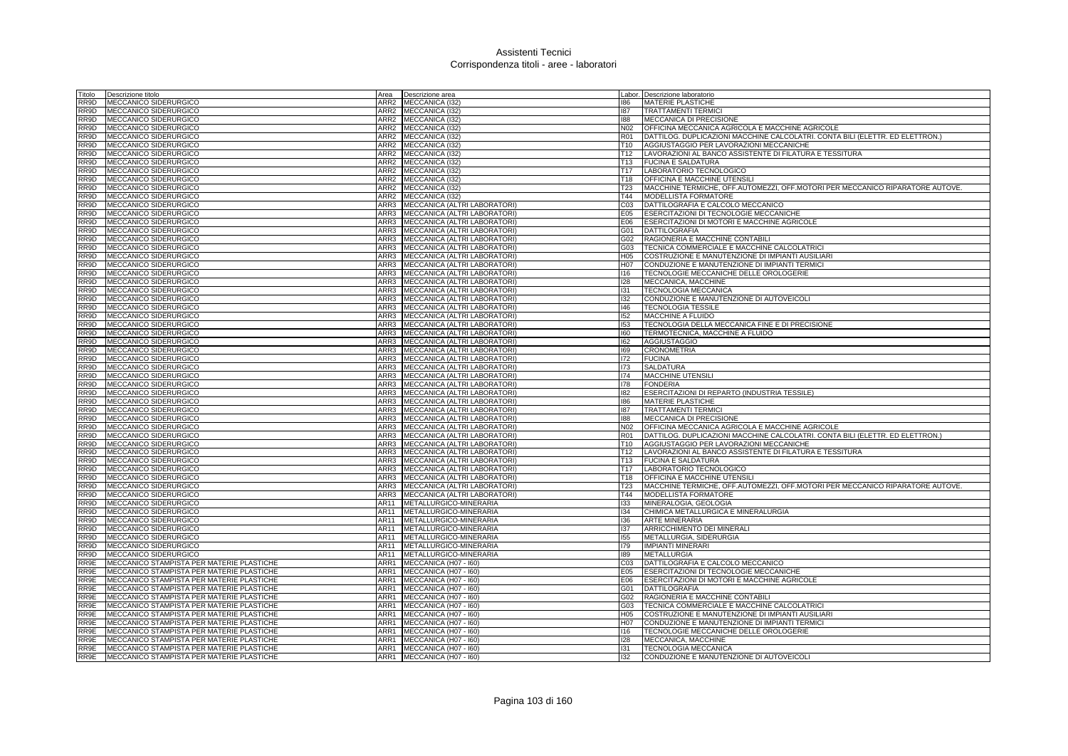| Titolo       | Descrizione titolo                             | Area             | Descrizione area                                             |                  | Labor. Descrizione laboratorio                                                |
|--------------|------------------------------------------------|------------------|--------------------------------------------------------------|------------------|-------------------------------------------------------------------------------|
| RR9D         | MECCANICO SIDERURGICO                          | ARR2             | MECCANICA (I32)                                              | 186              | <b>MATERIE PLASTICHE</b>                                                      |
| RR9D         | MECCANICO SIDERURGICO                          | ARR2             | MECCANICA (I32)                                              | 187              | <b>TRATTAMENTI TERMICI</b>                                                    |
| RR9D         | MECCANICO SIDERURGICO                          | ARR2             | MECCANICA (I32)                                              | 188              | MECCANICA DI PRECISIONE                                                       |
| RR9D         | MECCANICO SIDERURGICO                          | ARR2             | MECCANICA (132)                                              | N02              | OFFICINA MECCANICA AGRICOLA E MACCHINE AGRICOLE                               |
| RR9D         | MECCANICO SIDERURGICO                          | ARR2             | MECCANICA (I32)                                              | R01              | DATTILOG. DUPLICAZIONI MACCHINE CALCOLATRI. CONTA BILI (ELETTR. ED ELETTRON.) |
| RR9D         | MECCANICO SIDERURGICO                          | ARR2             | MECCANICA (I32)                                              | T10              | AGGIUSTAGGIO PER LAVORAZIONI MECCANICHE                                       |
| RR9D         | MECCANICO SIDERURGICO                          | ARR2             | MECCANICA (I32)                                              | T12              | LAVORAZIONI AL BANCO ASSISTENTE DI FILATURA E TESSITURA                       |
| RR9D         | MECCANICO SIDERURGICO                          | ARR2             | MECCANICA (I32)                                              | T <sub>13</sub>  | <b>FUCINA E SALDATURA</b>                                                     |
| RR9D         | MECCANICO SIDERURGICO                          | ARR2             | MECCANICA (I32)                                              | T <sub>17</sub>  | LABORATORIO TECNOLOGICO                                                       |
| RR9D         | MECCANICO SIDERURGICO                          | ARR2             | MECCANICA (132)                                              | T18              | <b>OFFICINA E MACCHINE UTENSILI</b>                                           |
| RR9D         | MECCANICO SIDERURGICO                          | ARR <sub>2</sub> | MECCANICA (I32)                                              | T23              | MACCHINE TERMICHE, OFF.AUTOMEZZI, OFF.MOTORI PER MECCANICO RIPARATORE AUTOVE. |
| RR9D         | MECCANICO SIDERURGICO                          | ARR2             | MECCANICA (I32)                                              | T44              | <b>MODELLISTA FORMATORE</b>                                                   |
| RR9D         | MECCANICO SIDERURGICO                          | ARR3             | MECCANICA (ALTRI LABORATORI)                                 | CO <sub>3</sub>  | DATTILOGRAFIA E CALCOLO MECCANICO                                             |
| RR9D         | MECCANICO SIDERURGICO                          | ARR3             | MECCANICA (ALTRI LABORATORI                                  | E05              | <b>ESERCITAZIONI DI TECNOLOGIE MECCANICHE</b>                                 |
| RR9D         | MECCANICO SIDERURGICO                          | ARR3             | MECCANICA (ALTRI LABORATORI)                                 | E06              | ESERCITAZIONI DI MOTORI E MACCHINE AGRICOLE                                   |
| RR9D         | MECCANICO SIDERURGICO                          | ARR3             | MECCANICA (ALTRI LABORATORI)                                 | G01              | <b>DATTILOGRAFIA</b>                                                          |
| RR9D         | MECCANICO SIDERURGICO                          | ARR3             | MECCANICA (ALTRI LABORATORI)                                 | G02              | RAGIONERIA E MACCHINE CONTABILI                                               |
| RR9D         | MECCANICO SIDERURGICO                          | ARR3             | MECCANICA (ALTRI LABORATORI)                                 | G03              | TECNICA COMMERCIALE E MACCHINE CALCOLATRICI                                   |
| RR9D         | MECCANICO SIDERURGICO                          | ARR3             | MECCANICA (ALTRI LABORATORI)                                 | H05              | COSTRUZIONE E MANUTENZIONE DI IMPIANTI AUSILIARI                              |
| RR9D         | MECCANICO SIDERURGICO                          | ARR3             | MECCANICA (ALTRI LABORATORI)                                 | H <sub>0</sub> 7 | CONDUZIONE E MANUTENZIONE DI IMPIANTI TERMICI                                 |
| RR9D         | MECCANICO SIDERURGICO                          | ARR3             | MECCANICA (ALTRI LABORATORI)                                 | 116              | TECNOLOGIE MECCANICHE DELLE OROLOGERIE                                        |
| RR9D         | MECCANICO SIDERURGICO                          | ARR3             | MECCANICA (ALTRI LABORATORI)                                 | 128              | MECCANICA, MACCHINE                                                           |
| RR9D         | MECCANICO SIDERURGICO                          | ARR3             | MECCANICA (ALTRI LABORATORI)                                 | 131              | <b>TECNOLOGIA MECCANICA</b>                                                   |
| RR9D         | MECCANICO SIDERURGICO                          | ARR3             | MECCANICA (ALTRI LABORATORI)                                 | 132              | CONDUZIONE E MANUTENZIONE DI AUTOVEICOLI                                      |
| RR9D         | MECCANICO SIDERURGICO                          | ARR3             | MECCANICA (ALTRI LABORATORI)                                 | 146              | <b>TECNOLOGIA TESSILE</b>                                                     |
| RR9D         | MECCANICO SIDERURGICO                          | ARR3             | MECCANICA (ALTRI LABORATORI)                                 | 152              | MACCHINE A FLUIDO                                                             |
| RR9D         |                                                | ARR3             | MECCANICA (ALTRI LABORATORI)                                 | 153              |                                                                               |
|              | MECCANICO SIDERURGICO                          | ARR3             |                                                              | 160              | TECNOLOGIA DELLA MECCANICA FINE E DI PRECISIONE                               |
| RR9D<br>RR9D | MECCANICO SIDERURGICO                          | ARR3             | MECCANICA (ALTRI LABORATORI)                                 | 162              | TERMOTECNICA, MACCHINE A FLUIDO                                               |
| RR9D         | MECCANICO SIDERURGICO                          | ARR3             | MECCANICA (ALTRI LABORATORI)                                 | 169              | AGGIUSTAGGIO                                                                  |
| RR9D         | MECCANICO SIDERURGICO<br>MECCANICO SIDERURGICO | ARR3             | MECCANICA (ALTRI LABORATORI)<br>MECCANICA (ALTRI LABORATORI) |                  | <b>CRONOMETRIA</b>                                                            |
| RR9D         | MECCANICO SIDERURGICO                          | ARR3             | MECCANICA (ALTRI LABORATORI)                                 | 172<br>173       | <b>FUCINA</b><br><b>SALDATURA</b>                                             |
| RR9D         | MECCANICO SIDERURGICO                          | ARR3             | MECCANICA (ALTRI LABORATORI)                                 | 174              | <b>MACCHINE UTENSILI</b>                                                      |
| RR9D         | MECCANICO SIDERURGICO                          | ARR3             | MECCANICA (ALTRI LABORATORI)                                 | 178              | <b>FONDERIA</b>                                                               |
| RR9D         | MECCANICO SIDERURGICO                          | ARR3             | MECCANICA (ALTRI LABORATORI)                                 | 182              | ESERCITAZIONI DI REPARTO (INDUSTRIA TESSILE)                                  |
| RR9D         | MECCANICO SIDERURGICO                          | ARR3             | MECCANICA (ALTRI LABORATORI)                                 | 186              | MATERIE PLASTICHE                                                             |
| RR9D         | MECCANICO SIDERURGICO                          | ARR3             | MECCANICA (ALTRI LABORATORI)                                 | 187              | <b>TRATTAMENTI TERMICI</b>                                                    |
| RR9D         | MECCANICO SIDERURGICO                          | ARR3             | MECCANICA (ALTRI LABORATORI)                                 | 188              | MECCANICA DI PRECISIONE                                                       |
| RR9D         | MECCANICO SIDERURGICO                          | ARR3             | MECCANICA (ALTRI LABORATORI)                                 | N02              | OFFICINA MECCANICA AGRICOLA E MACCHINE AGRICOLE                               |
| RR9D         | MECCANICO SIDERURGICO                          | ARR3             | MECCANICA (ALTRI LABORATORI)                                 | <b>R01</b>       | DATTILOG. DUPLICAZIONI MACCHINE CALCOLATRI. CONTA BILI (ELETTR. ED ELETTRON.) |
| RR9D         | MECCANICO SIDERURGICO                          | ARR3             | MECCANICA (ALTRI LABORATORI)                                 | T <sub>10</sub>  | AGGIUSTAGGIO PER LAVORAZIONI MECCANICHE                                       |
| RR9D         | MECCANICO SIDERURGICO                          | ARR3             | MECCANICA (ALTRI LABORATORI)                                 | T <sub>12</sub>  | LAVORAZIONI AL BANCO ASSISTENTE DI FILATURA E TESSITURA                       |
| RR9D         | MECCANICO SIDERURGICO                          | ARR3             | MECCANICA (ALTRI LABORATORI)                                 |                  | T13 FUCINA E SALDATURA                                                        |
| RR9D         | MECCANICO SIDERURGICO                          | ARR3             | MECCANICA (ALTRI LABORATORI)                                 | T17              | LABORATORIO TECNOLOGICO                                                       |
| RR9D         | MECCANICO SIDERURGICO                          | ARR3             | MECCANICA (ALTRI LABORATORI)                                 | T18              | OFFICINA E MACCHINE UTENSILI                                                  |
| RR9D         | MECCANICO SIDERURGICO                          | ARR3             | MECCANICA (ALTRI LABORATORI)                                 | <b>T23</b>       | MACCHINE TERMICHE, OFF.AUTOMEZZI, OFF.MOTORI PER MECCANICO RIPARATORE AUTOVE. |
| RR9D         | MECCANICO SIDERURGICO                          | ARR3             | MECCANICA (ALTRI LABORATORI)                                 | T44              | MODELLISTA FORMATORE                                                          |
| RR9D         | MECCANICO SIDERURGICO                          | AR11             | METALLURGICO-MINERARIA                                       | 133              | MINERALOGIA, GEOLOGIA                                                         |
| RR9D         | MECCANICO SIDERURGICO                          | AR11             | METALLURGICO-MINERARIA                                       | 134              | CHIMICA METALLURGICA E MINERALURGIA                                           |
| RR9D         | MECCANICO SIDERURGICO                          | AR11             | METALLURGICO-MINERARIA                                       | 136              | <b>ARTE MINERARIA</b>                                                         |
| RR9D         | MECCANICO SIDERURGICO                          | AR11             | METALLURGICO-MINERARIA                                       | 137              | ARRICCHIMENTO DEI MINERALI                                                    |
| RR9D         | MECCANICO SIDERURGICO                          | AR11             | METALLURGICO-MINERARIA                                       | 155              | METALLURGIA, SIDERURGIA                                                       |
| RR9D         | MECCANICO SIDERURGICO                          | AR11             | METALLURGICO-MINERARIA                                       | 179              | <b>IMPIANTI MINERARI</b>                                                      |
| RR9D         | MECCANICO SIDERURGICO                          | AR11             | METALLURGICO-MINERARIA                                       | 189              | <b>METALLURGIA</b>                                                            |
| RR9E         | MECCANICO STAMPISTA PER MATERIE PLASTICHE      | ARR1             | MECCANICA (H07 - I60)                                        | C <sub>03</sub>  | DATTILOGRAFIA E CALCOLO MECCANICO                                             |
| RR9E         | MECCANICO STAMPISTA PER MATERIE PLASTICHE      | ARR1             | MECCANICA (H07 - I60)                                        | E05              | ESERCITAZIONI DI TECNOLOGIE MECCANICHE                                        |
| RR9E         | MECCANICO STAMPISTA PER MATERIE PLASTICHE      | ARR1             | MECCANICA (H07 - I60)                                        | E06              | ESERCITAZIONI DI MOTORI E MACCHINE AGRICOLE                                   |
| RR9E         | MECCANICO STAMPISTA PER MATERIE PLASTICHE      | ARR1             | MECCANICA (H07 - I60)                                        | G01              | <b>DATTILOGRAFIA</b>                                                          |
| RR9E         | MECCANICO STAMPISTA PER MATERIE PLASTICHE      | ARR1             | MECCANICA (H07 - I60)                                        | G02              | RAGIONERIA E MACCHINE CONTABILI                                               |
| RR9E         | MECCANICO STAMPISTA PER MATERIE PLASTICHE      | ARR1             | MECCANICA (H07 - I60)                                        | G03              | TECNICA COMMERCIALE E MACCHINE CALCOLATRICI                                   |
| RR9E         | MECCANICO STAMPISTA PER MATERIE PLASTICHE      | ARR1             | MECCANICA (H07 - I60)                                        | H05              | COSTRUZIONE E MANUTENZIONE DI IMPIANTI AUSILIARI                              |
| RR9E         | MECCANICO STAMPISTA PER MATERIE PLASTICHE      | ARR1             | MECCANICA (H07 - I60)                                        | H07              | CONDUZIONE E MANUTENZIONE DI IMPIANTI TERMICI                                 |
| RR9E         | MECCANICO STAMPISTA PER MATERIE PLASTICHE      | ARR1             | MECCANICA (H07 - I60)                                        | 116              | TECNOLOGIE MECCANICHE DELLE OROLOGERIE                                        |
| RR9E         | MECCANICO STAMPISTA PER MATERIE PLASTICHE      | ARR1             | MECCANICA (H07 - I60)                                        | 128              | MECCANICA, MACCHINE                                                           |
| RR9E         | MECCANICO STAMPISTA PER MATERIE PLASTICHE      | ARR1             | MECCANICA (H07 - I60)                                        | 131              | <b>TECNOLOGIA MECCANICA</b>                                                   |
| RR9E         | MECCANICO STAMPISTA PER MATERIE PLASTICHE      | ARR1             | MECCANICA (H07 - I60)                                        | 132              | CONDUZIONE E MANUTENZIONE DI AUTOVEICOLI                                      |
|              |                                                |                  |                                                              |                  |                                                                               |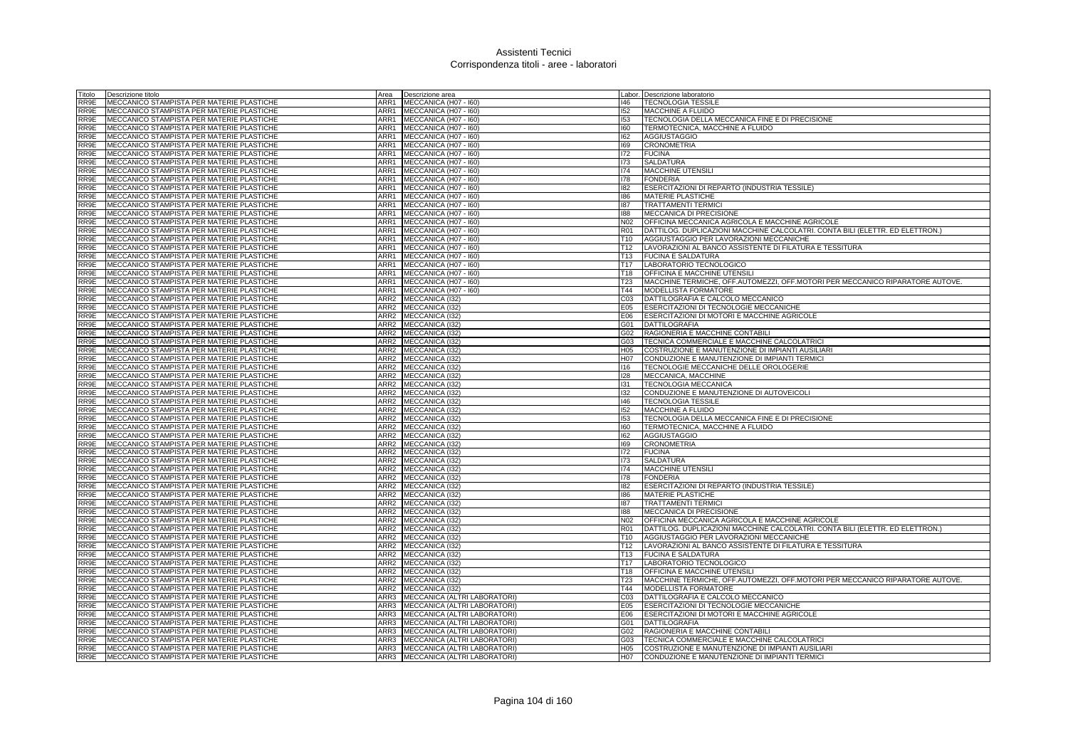| Titolo | Descrizione titolo                                | Area | Descrizione area                  |                 | Labor. Descrizione laboratorio                                                |
|--------|---------------------------------------------------|------|-----------------------------------|-----------------|-------------------------------------------------------------------------------|
| RR9E   | MECCANICO STAMPISTA PER MATERIE PLASTICHE         | ARR1 | MECCANICA (H07 - I60)             | 146             | <b>TECNOLOGIA TESSILE</b>                                                     |
| RR9E   | MECCANICO STAMPISTA PER MATERIE PLASTICHE         |      | ARR1 MECCANICA (H07 - 160)        | 152             | MACCHINE A FLUIDO                                                             |
| RR9E   | MECCANICO STAMPISTA PER MATERIE PLASTICHE         |      | ARR1 MECCANICA (H07 - I60)        | 153             | TECNOLOGIA DELLA MECCANICA FINE E DI PRECISIONE                               |
| RR9E   | MECCANICO STAMPISTA PER MATERIE PLASTICHE         |      | ARR1 MECCANICA (H07 - I60)        | 160             | TERMOTECNICA, MACCHINE A FLUIDO                                               |
| RR9E   | MECCANICO STAMPISTA PER MATERIE PLASTICHE         |      | ARR1 MECCANICA (H07 - 160)        | 162             | <b>AGGIUSTAGGIO</b>                                                           |
| RR9E   | MECCANICO STAMPISTA PER MATERIE PLASTICHE         | ARR1 | MECCANICA (H07 - I60)             | 169             | <b>CRONOMETRIA</b>                                                            |
| RR9E   | MECCANICO STAMPISTA PER MATERIE PLASTICHE         |      | ARR1 MECCANICA (H07 - I60)        | 172             | <b>FUCINA</b>                                                                 |
| RR9E   | MECCANICO STAMPISTA PER MATERIE PLASTICHE         | ARR1 | MECCANICA (H07 - I60)             | 173             | <b>SALDATURA</b>                                                              |
| RR9E   | <b>IMECCANICO STAMPISTA PER MATERIE PLASTICHE</b> | ARR1 | MECCANICA (H07 - I60)             | I74             | <b>MACCHINE UTENSILI</b>                                                      |
| RR9E   | MECCANICO STAMPISTA PER MATERIE PLASTICHE         | ARR1 | MECCANICA (H07 - 160)             | 178             | <b>FONDERIA</b>                                                               |
| RR9E   | MECCANICO STAMPISTA PER MATERIE PLASTICHE         | ARR1 | MECCANICA (H07 - I60)             | 182             | ESERCITAZIONI DI REPARTO (INDUSTRIA TESSILE)                                  |
| RR9E   | MECCANICO STAMPISTA PER MATERIE PLASTICHE         |      | ARR1 MECCANICA (H07 - 160)        | 186             | <b>MATERIE PLASTICHE</b>                                                      |
| RR9E   | MECCANICO STAMPISTA PER MATERIE PLASTICHE         |      | ARR1 MECCANICA (H07 - 160)        | 187             | <b>TRATTAMENTI TERMICI</b>                                                    |
| RR9E   | MECCANICO STAMPISTA PER MATERIE PLASTICHE         |      | ARR1 MECCANICA (H07 - 160)        | 188             | MECCANICA DI PRECISIONE                                                       |
| RR9E   | MECCANICO STAMPISTA PER MATERIE PLASTICHE         | ARR1 | MECCANICA (H07 - I60)             | N02             | OFFICINA MECCANICA AGRICOLA E MACCHINE AGRICOLE                               |
| RR9E   | MECCANICO STAMPISTA PER MATERIE PLASTICHE         |      | ARR1 MECCANICA (H07 - 160)        | <b>R01</b>      | DATTILOG. DUPLICAZIONI MACCHINE CALCOLATRI. CONTA BILI (ELETTR. ED ELETTRON.) |
| RR9E   | MECCANICO STAMPISTA PER MATERIE PLASTICHE         |      | ARR1 MECCANICA (H07 - I60)        |                 | T10 AGGIUSTAGGIO PER LAVORAZIONI MECCANICHE                                   |
| RR9E   | MECCANICO STAMPISTA PER MATERIE PLASTICHE         |      | ARR1 MECCANICA (H07 - 160)        | T <sub>12</sub> | LAVORAZIONI AL BANCO ASSISTENTE DI FILATURA E TESSITURA                       |
| RR9E   | MECCANICO STAMPISTA PER MATERIE PLASTICHE         |      | ARR1 MECCANICA (H07 - 160)        | T <sub>13</sub> | <b>FUCINA E SALDATURA</b>                                                     |
| RR9E   | <b>IMECCANICO STAMPISTA PER MATERIE PLASTICHE</b> |      | ARR1 MECCANICA (H07 - 160)        | T <sub>17</sub> | LABORATORIO TECNOLOGICO                                                       |
| RR9E   | MECCANICO STAMPISTA PER MATERIE PLASTICHE         |      | ARR1 MECCANICA (H07 - I60)        | T <sub>18</sub> | <b>OFFICINA E MACCHINE UTENSILI</b>                                           |
| RR9E   | MECCANICO STAMPISTA PER MATERIE PLASTICHE         | ARR1 | MECCANICA (H07 - I60)             | T <sub>23</sub> | MACCHINE TERMICHE, OFF.AUTOMEZZI, OFF.MOTORI PER MECCANICO RIPARATORE AUTOVE. |
| RR9E   | MECCANICO STAMPISTA PER MATERIE PLASTICHE         | ARR1 | MECCANICA (H07 - I60)             | T44             | MODELLISTA FORMATORE                                                          |
| RR9E   | MECCANICO STAMPISTA PER MATERIE PLASTICHE         | ARR2 | MECCANICA (I32)                   | C <sub>03</sub> | DATTILOGRAFIA E CALCOLO MECCANICO                                             |
| RR9E   | MECCANICO STAMPISTA PER MATERIE PLASTICHE         |      | ARR2 MECCANICA (I32)              | E05             | ESERCITAZIONI DI TECNOLOGIE MECCANICHE                                        |
| RR9E   | MECCANICO STAMPISTA PER MATERIE PLASTICHE         |      | ARR2 MECCANICA (I32)              | E06             | ESERCITAZIONI DI MOTORI E MACCHINE AGRICOLE                                   |
| RR9E   | MECCANICO STAMPISTA PER MATERIE PLASTICHE         |      | ARR2 MECCANICA (I32)              | G01             | <b>DATTILOGRAFIA</b>                                                          |
| RR9E   | MECCANICO STAMPISTA PER MATERIE PLASTICHE         |      | ARR2 MECCANICA (I32)              | G02             | RAGIONERIA E MACCHINE CONTABILI                                               |
| RR9E   | <b>IMECCANICO STAMPISTA PER MATERIE PLASTICHE</b> |      | ARR2 MECCANICA (I32)              | G03             | <b>TECNICA COMMERCIALE E MACCHINE CALCOLATRICI</b>                            |
| RR9E   | MECCANICO STAMPISTA PER MATERIE PLASTICHE         |      | ARR2 MECCANICA (I32)              | H05             | COSTRUZIONE E MANUTENZIONE DI IMPIANTI AUSILIARI                              |
| RR9E   | MECCANICO STAMPISTA PER MATERIE PLASTICHE         |      | ARR2 MECCANICA (I32)              | H07             | CONDUZIONE E MANUTENZIONE DI IMPIANTI TERMICI                                 |
| RR9E   | MECCANICO STAMPISTA PER MATERIE PLASTICHE         |      | ARR2 MECCANICA (I32)              | 116             | TECNOLOGIE MECCANICHE DELLE OROLOGERIE                                        |
| RR9E   | MECCANICO STAMPISTA PER MATERIE PLASTICHE         | ARR2 | MECCANICA (132)                   | 128             | MECCANICA, MACCHINE                                                           |
| RR9E   | MECCANICO STAMPISTA PER MATERIE PLASTICHE         |      | ARR2 MECCANICA (I32)              | 131             | <b>TECNOLOGIA MECCANICA</b>                                                   |
| RR9E   | MECCANICO STAMPISTA PER MATERIE PLASTICHE         | ARR2 | MECCANICA (I32)                   | 132             | CONDUZIONE E MANUTENZIONE DI AUTOVEICOLI                                      |
| RR9E   | MECCANICO STAMPISTA PER MATERIE PLASTICHE         | ARR2 | MECCANICA (I32)                   | 146             | <b>TECNOLOGIA TESSILE</b>                                                     |
| RR9E   | MECCANICO STAMPISTA PER MATERIE PLASTICHE         |      | ARR2 MECCANICA (I32)              | 152             | MACCHINE A FLUIDO                                                             |
| RR9E   | MECCANICO STAMPISTA PER MATERIE PLASTICHE         |      | ARR2 MECCANICA (I32)              | 153             | TECNOLOGIA DELLA MECCANICA FINE E DI PRECISIONE                               |
| RR9E   | MECCANICO STAMPISTA PER MATERIE PLASTICHE         |      | ARR2 MECCANICA (I32)              | 160             | TERMOTECNICA, MACCHINE A FLUIDO                                               |
| RR9E   | MECCANICO STAMPISTA PER MATERIE PLASTICHE         |      | ARR2 MECCANICA (I32)              | 162             | <b>AGGIUSTAGGIO</b>                                                           |
| RR9E   | MECCANICO STAMPISTA PER MATERIE PLASTICHE         | ARR2 | MECCANICA (I32)                   | 169             | <b>CRONOMETRIA</b>                                                            |
| RR9E   | MECCANICO STAMPISTA PER MATERIE PLASTICHE         |      | ARR2 MECCANICA (I32)              | 172             | <b>FUCINA</b>                                                                 |
| RR9E   | MECCANICO STAMPISTA PER MATERIE PLASTICHE         |      | ARR2 MECCANICA (I32)              | 173             | <b>SALDATURA</b>                                                              |
| RR9E   | MECCANICO STAMPISTA PER MATERIE PLASTICHE         | ARR2 | MECCANICA (132)                   | 174             | MACCHINE UTENSILI                                                             |
| RR9E   | MECCANICO STAMPISTA PER MATERIE PLASTICHE         | ARR2 | MECCANICA (I32)                   | 178             | <b>FONDERIA</b>                                                               |
| RR9E   | MECCANICO STAMPISTA PER MATERIE PLASTICHE         | ARR2 | MECCANICA (I32)                   | 182             | ESERCITAZIONI DI REPARTO (INDUSTRIA TESSILE)                                  |
| RR9E   | MECCANICO STAMPISTA PER MATERIE PLASTICHE         |      | ARR2 MECCANICA (I32)              | 186             | <b>MATERIE PLASTICHE</b>                                                      |
| RR9E   | MECCANICO STAMPISTA PER MATERIE PLASTICHE         |      | ARR2 MECCANICA (I32)              | 187             | <b>TRATTAMENTI TERMICI</b>                                                    |
| RR9E   | MECCANICO STAMPISTA PER MATERIE PLASTICHE         |      | ARR2 MECCANICA (I32)              | 188             | MECCANICA DI PRECISIONE                                                       |
| RR9E   | MECCANICO STAMPISTA PER MATERIE PLASTICHE         |      | ARR2 MECCANICA (I32)              | N02             | OFFICINA MECCANICA AGRICOLA E MACCHINE AGRICOLE                               |
| RR9E   | MECCANICO STAMPISTA PER MATERIE PLASTICHE         |      | ARR2 MECCANICA (I32)              | <b>R01</b>      | DATTILOG. DUPLICAZIONI MACCHINE CALCOLATRI. CONTA BILI (ELETTR. ED ELETTRON.) |
| RR9E   | MECCANICO STAMPISTA PER MATERIE PLASTICHE         |      | ARR2 MECCANICA (I32)              | T <sub>10</sub> | AGGIUSTAGGIO PER LAVORAZIONI MECCANICHE                                       |
| RR9E   | <b>IMECCANICO STAMPISTA PER MATERIE PLASTICHE</b> |      | ARR2 MECCANICA (I32)              | T <sub>12</sub> | LAVORAZIONI AL BANCO ASSISTENTE DI FILATURA E TESSITURA                       |
| RR9E   | MECCANICO STAMPISTA PER MATERIE PLASTICHE         | ARR2 | MECCANICA (I32)                   | T <sub>13</sub> | <b>FUCINA E SALDATURA</b>                                                     |
| RR9E   | MECCANICO STAMPISTA PER MATERIE PLASTICHE         |      | ARR2 MECCANICA (I32)              | T <sub>17</sub> | LABORATORIO TECNOLOGICO                                                       |
| RR9E   | MECCANICO STAMPISTA PER MATERIE PLASTICHE         |      | ARR2 MECCANICA (I32)              | T18             | <b>OFFICINA E MACCHINE UTENSILI</b>                                           |
| RR9E   | MECCANICO STAMPISTA PER MATERIE PLASTICHE         |      | ARR2 MECCANICA (I32)              | T23             | MACCHINE TERMICHE, OFF.AUTOMEZZI, OFF.MOTORI PER MECCANICO RIPARATORE AUTOVE. |
| RR9E   | MECCANICO STAMPISTA PER MATERIE PLASTICHE         | ARR2 | MECCANICA (I32)                   | T44             | MODELLISTA FORMATORE                                                          |
| RR9E   | MECCANICO STAMPISTA PER MATERIE PLASTICHE         | ARR3 | MECCANICA (ALTRI LABORATORI)      | C <sub>03</sub> | DATTILOGRAFIA E CALCOLO MECCANICO                                             |
| RR9E   | MECCANICO STAMPISTA PER MATERIE PLASTICHE         |      | ARR3 MECCANICA (ALTRI LABORATORI) | E05             | ESERCITAZIONI DI TECNOLOGIE MECCANICHE                                        |
| RR9E   | MECCANICO STAMPISTA PER MATERIE PLASTICHE         |      | ARR3 MECCANICA (ALTRI LABORATORI) | E06             | ESERCITAZIONI DI MOTORI E MACCHINE AGRICOLE                                   |
| RR9E   | MECCANICO STAMPISTA PER MATERIE PLASTICHE         |      | ARR3 MECCANICA (ALTRI LABORATORI) | G01             | <b>DATTILOGRAFIA</b>                                                          |
| RR9E   | MECCANICO STAMPISTA PER MATERIE PLASTICHE         |      | ARR3 MECCANICA (ALTRI LABORATORI) | G02             | RAGIONERIA E MACCHINE CONTABILI                                               |
| RR9E   | <b>IMECCANICO STAMPISTA PER MATERIE PLASTICHE</b> |      | ARR3 MECCANICA (ALTRI LABORATORI) | G03             | <b>TECNICA COMMERCIALE E MACCHINE CALCOLATRICI</b>                            |
| RR9E   | MECCANICO STAMPISTA PER MATERIE PLASTICHE         |      | ARR3 MECCANICA (ALTRI LABORATORI) | H <sub>05</sub> | COSTRUZIONE E MANUTENZIONE DI IMPIANTI AUSILIARI                              |
| RR9E   | MECCANICO STAMPISTA PER MATERIE PLASTICHE         |      | ARR3 MECCANICA (ALTRI LABORATORI) | H07             | CONDUZIONE E MANUTENZIONE DI IMPIANTI TERMICI                                 |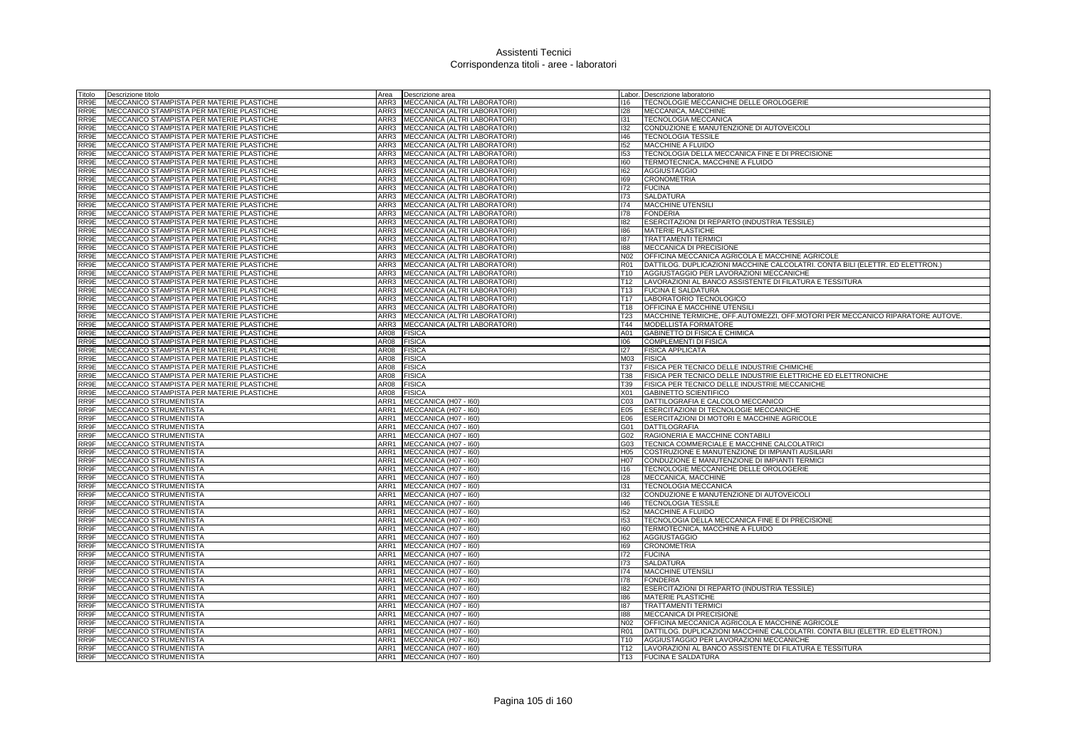| Titolo       | Descrizione titolo                                |              | Area Descrizione area                          |                  | Labor. Descrizione laboratorio                                                |
|--------------|---------------------------------------------------|--------------|------------------------------------------------|------------------|-------------------------------------------------------------------------------|
| RR9E         | MECCANICO STAMPISTA PER MATERIE PLASTICHE         | ARR3         | MECCANICA (ALTRI LABORATORI)                   | 116              | TECNOLOGIE MECCANICHE DELLE OROLOGERIE                                        |
| RR9E         | MECCANICO STAMPISTA PER MATERIE PLASTICHE         | ARR3         | MECCANICA (ALTRI LABORATORI)                   | 128              | MECCANICA, MACCHINE                                                           |
| RR9E         | MECCANICO STAMPISTA PER MATERIE PLASTICHE         | ARR3         | MECCANICA (ALTRI LABORATORI)                   | 131              | <b>TECNOLOGIA MECCANICA</b>                                                   |
| RR9E         | MECCANICO STAMPISTA PER MATERIE PLASTICHE         |              | ARR3 MECCANICA (ALTRI LABORATORI)              | 132              | CONDUZIONE E MANUTENZIONE DI AUTOVEICOLI                                      |
| RR9E         | MECCANICO STAMPISTA PER MATERIE PLASTICHE         | ARR3         | MECCANICA (ALTRI LABORATORI)                   | 146              | <b>TECNOLOGIA TESSILE</b>                                                     |
| RR9E         | MECCANICO STAMPISTA PER MATERIE PLASTICHE         | ARR3         | MECCANICA (ALTRI LABORATORI)                   | 152              | MACCHINE A FLUIDO                                                             |
| RR9E         | MECCANICO STAMPISTA PER MATERIE PLASTICHE         | ARR3         | MECCANICA (ALTRI LABORATORI)                   | 153              | TECNOLOGIA DELLA MECCANICA FINE E DI PRECISIONE                               |
| RR9E         | MECCANICO STAMPISTA PER MATERIE PLASTICHE         | ARR3         | MECCANICA (ALTRI LABORATORI)                   | 160              | TERMOTECNICA, MACCHINE A FLUIDO                                               |
| RR9E         | MECCANICO STAMPISTA PER MATERIE PLASTICHE         | ARR3         | MECCANICA (ALTRI LABORATORI)                   | 162              | <b>AGGIUSTAGGIO</b>                                                           |
| RR9E         | MECCANICO STAMPISTA PER MATERIE PLASTICHE         | ARR3         | MECCANICA (ALTRI LABORATORI)                   | 169              | <b>CRONOMETRIA</b>                                                            |
| RR9E         | MECCANICO STAMPISTA PER MATERIE PLASTICHE         | ARR3         | MECCANICA (ALTRI LABORATORI)                   | 172              | <b>FUCINA</b>                                                                 |
| RR9E         | MECCANICO STAMPISTA PER MATERIE PLASTICHE         |              | ARR3 MECCANICA (ALTRI LABORATORI)              | 173              | <b>SALDATURA</b>                                                              |
| RR9E         | MECCANICO STAMPISTA PER MATERIE PLASTICHE         |              | ARR3 MECCANICA (ALTRI LABORATORI)              | 174              | <b>MACCHINE UTENSILI</b>                                                      |
| RR9E         | <b>MECCANICO STAMPISTA PER MATERIE PLASTICHE</b>  | ARR3         | MECCANICA (ALTRI LABORATORI)                   | 178              | <b>FONDERIA</b>                                                               |
| RR9E         | MECCANICO STAMPISTA PER MATERIE PLASTICHE         | ARR3         | MECCANICA (ALTRI LABORATORI)                   | 182              | ESERCITAZIONI DI REPARTO (INDUSTRIA TESSILE)                                  |
| RR9E         | MECCANICO STAMPISTA PER MATERIE PLASTICHE         | ARR3         | MECCANICA (ALTRI LABORATORI)                   | 186              | MATERIE PLASTICHE                                                             |
| RR9E         | MECCANICO STAMPISTA PER MATERIE PLASTICHE         | ARR3         | MECCANICA (ALTRI LABORATORI)                   | 187              | <b>TRATTAMENTI TERMICI</b>                                                    |
| RR9E         | MECCANICO STAMPISTA PER MATERIE PLASTICHE         | ARR3         | MECCANICA (ALTRI LABORATORI)                   | 188              | MECCANICA DI PRECISIONE                                                       |
| RR9E         | MECCANICO STAMPISTA PER MATERIE PLASTICHE         | ARR3         | MECCANICA (ALTRI LABORATORI)                   | N02              | OFFICINA MECCANICA AGRICOLA E MACCHINE AGRICOLE                               |
| RR9E         | MECCANICO STAMPISTA PER MATERIE PLASTICHE         |              | ARR3 MECCANICA (ALTRI LABORATORI)              | <b>R01</b>       | DATTILOG. DUPLICAZIONI MACCHINE CALCOLATRI. CONTA BILI (ELETTR. ED ELETTRON.) |
| RR9E         | MECCANICO STAMPISTA PER MATERIE PLASTICHE         |              | ARR3 MECCANICA (ALTRI LABORATORI)              | T <sub>10</sub>  | AGGIUSTAGGIO PER LAVORAZIONI MECCANICHE                                       |
| RR9E         | MECCANICO STAMPISTA PER MATERIE PLASTICHE         |              | ARR3 MECCANICA (ALTRI LABORATORI)              | T <sub>12</sub>  | LAVORAZIONI AL BANCO ASSISTENTE DI FILATURA E TESSITURA                       |
| RR9E         | MECCANICO STAMPISTA PER MATERIE PLASTICHE         | ARR3         | MECCANICA (ALTRI LABORATORI)                   | T <sub>13</sub>  | <b>FUCINA E SALDATURA</b>                                                     |
| RR9E         | MECCANICO STAMPISTA PER MATERIE PLASTICHE         | ARR3         | MECCANICA (ALTRI LABORATORI)                   | T17              | LABORATORIO TECNOLOGICO                                                       |
| RR9E         | MECCANICO STAMPISTA PER MATERIE PLASTICHE         |              | ARR3 MECCANICA (ALTRI LABORATORI)              | T18              | OFFICINA E MACCHINE UTENSILI                                                  |
| RR9E         | MECCANICO STAMPISTA PER MATERIE PLASTICHE         | ARR3         | MECCANICA (ALTRI LABORATORI)                   | <b>T23</b>       | MACCHINE TERMICHE, OFF.AUTOMEZZI, OFF.MOTORI PER MECCANICO RIPARATORE AUTOVE. |
| RR9E         | MECCANICO STAMPISTA PER MATERIE PLASTICHE         | ARR3         | MECCANICA (ALTRI LABORATORI)                   | T44              | <b>MODELLISTA FORMATORE</b>                                                   |
| RR9E         | MECCANICO STAMPISTA PER MATERIE PLASTICHE         | AR08         | <b>FISICA</b>                                  | A01              | GABINETTO DI FISICA E CHIMICA                                                 |
| RR9E         | MECCANICO STAMPISTA PER MATERIE PLASTICHE         | AR08         | <b>FISICA</b>                                  | 106              | COMPLEMENTI DI FISICA                                                         |
| RR9E         | MECCANICO STAMPISTA PER MATERIE PLASTICHE         | AR08         | <b>FISICA</b>                                  | 127              | <b>FISICA APPLICATA</b>                                                       |
| RR9E         | <b>IMECCANICO STAMPISTA PER MATERIE PLASTICHE</b> | AR08         | <b>FISICA</b>                                  | M03              | <b>FISICA</b>                                                                 |
| RR9E         | MECCANICO STAMPISTA PER MATERIE PLASTICHE         | <b>AR08</b>  | <b>FISICA</b>                                  | T37              | FISICA PER TECNICO DELLE INDUSTRIE CHIMICHE                                   |
| RR9E         | MECCANICO STAMPISTA PER MATERIE PLASTICHE         | AR08         | <b>FISICA</b>                                  | T38              | FISICA PER TECNICO DELLE INDUSTRIE ELETTRICHE ED ELETTRONICHE                 |
| RR9E         | MECCANICO STAMPISTA PER MATERIE PLASTICHE         | AR08         | <b>FISICA</b>                                  | T39              | FISICA PER TECNICO DELLE INDUSTRIE MECCANICHE                                 |
| RR9E         | MECCANICO STAMPISTA PER MATERIE PLASTICHE         | AR08         | <b>FISICA</b>                                  | X01              | <b>GABINETTO SCIENTIFICO</b>                                                  |
| RR9F         | MECCANICO STRUMENTISTA                            | ARR1         | MECCANICA (H07 - I60)                          | C <sub>03</sub>  | DATTILOGRAFIA E CALCOLO MECCANICO                                             |
| RR9F         | MECCANICO STRUMENTISTA                            | ARR1         | MECCANICA (H07 - I60)                          | E05              | ESERCITAZIONI DI TECNOLOGIE MECCANICHE                                        |
| RR9F         | MECCANICO STRUMENTISTA                            |              | ARR1 MECCANICA (H07 - 160)                     | E06              | ESERCITAZIONI DI MOTORI E MACCHINE AGRICOLE                                   |
| RR9F         | MECCANICO STRUMENTISTA                            | ARR1         | MECCANICA (H07 - I60)                          | G01              | <b>DATTILOGRAFIA</b>                                                          |
| RR9F         | MECCANICO STRUMENTISTA                            | ARR1         | MECCANICA (H07 - I60)                          | G02              | RAGIONERIA E MACCHINE CONTABILI                                               |
| RR9F         | MECCANICO STRUMENTISTA                            | ARR1         | MECCANICA (H07 - I60)                          | G03              | TECNICA COMMERCIALE E MACCHINE CALCOLATRICI                                   |
| RR9F         | MECCANICO STRUMENTISTA                            | ARR1         | MECCANICA (H07 - I60)                          | H <sub>05</sub>  | COSTRUZIONE E MANUTENZIONE DI IMPIANTI AUSILIARI                              |
| RR9F         | MECCANICO STRUMENTISTA                            | ARR1         | MECCANICA (H07 - 160)                          | H <sub>0</sub> 7 | CONDUZIONE E MANUTENZIONE DI IMPIANTI TERMICI                                 |
| RR9F         | MECCANICO STRUMENTISTA                            | ARR1         | MECCANICA (H07 - I60)                          | 116              | TECNOLOGIE MECCANICHE DELLE OROLOGERIE                                        |
| RR9F         | MECCANICO STRUMENTISTA                            | ARR1         | MECCANICA (H07 - I60)                          | 128              | MECCANICA, MACCHINE                                                           |
| RR9F         | MECCANICO STRUMENTISTA                            | ARR1         | MECCANICA (H07 - I60)                          | 131              | <b>TECNOLOGIA MECCANICA</b>                                                   |
| RR9F         | MECCANICO STRUMENTISTA                            | ARR1         | MECCANICA (H07 - I60)                          | 132              | CONDUZIONE E MANUTENZIONE DI AUTOVEICOLI                                      |
| RR9F         | MECCANICO STRUMENTISTA                            | ARR1         | MECCANICA (H07 - I60)                          | 146              | <b>TECNOLOGIA TESSILE</b>                                                     |
| RR9F         | MECCANICO STRUMENTISTA                            | ARR1         | MECCANICA (H07 - I60)                          | 152              | MACCHINE A FLUIDO                                                             |
| RR9F         | MECCANICO STRUMENTISTA                            | ARR1         | MECCANICA (H07 - I60)                          | 153              | TECNOLOGIA DELLA MECCANICA FINE E DI PRECISIONE                               |
| RR9F         | MECCANICO STRUMENTISTA                            | ARR1         | MECCANICA (H07 - I60)                          | 160              | TERMOTECNICA, MACCHINE A FLUIDO                                               |
| RR9F         | MECCANICO STRUMENTISTA                            | ARR1         | MECCANICA (H07 - I60)                          | 162              | <b>AGGIUSTAGGIO</b>                                                           |
| RR9F         | MECCANICO STRUMENTISTA                            | ARR1         | MECCANICA (H07 - I60)                          | 169              | <b>CRONOMETRIA</b>                                                            |
| RR9F         | MECCANICO STRUMENTISTA                            | ARR1         | MECCANICA (H07 - 160)                          | 172              | <b>FUCINA</b>                                                                 |
| RR9F         | MECCANICO STRUMENTISTA                            | ARR1         | MECCANICA (H07 - I60)                          | 173              | <b>SALDATURA</b>                                                              |
| RR9F         | MECCANICO STRUMENTISTA                            | ARR1         | MECCANICA (H07 - I60)                          | 174              | MACCHINE UTENSILI                                                             |
| RR9F<br>RR9F | MECCANICO STRUMENTISTA<br>MECCANICO STRUMENTISTA  | ARR1<br>ARR1 | MECCANICA (H07 - I60)<br>MECCANICA (H07 - I60) | 178<br>182       | <b>FONDERIA</b><br>ESERCITAZIONI DI REPARTO (INDUSTRIA TESSILE)               |
| RR9F         | MECCANICO STRUMENTISTA                            | ARR1         | MECCANICA (H07 - I60)                          | 186              | <b>MATERIE PLASTICHE</b>                                                      |
| RR9F         | MECCANICO STRUMENTISTA                            | ARR1         | MECCANICA (H07 - I60)                          | 187              | <b>TRATTAMENTI TERMICI</b>                                                    |
| RR9F         | MECCANICO STRUMENTISTA                            | ARR1         | MECCANICA (H07 - I60)                          | 188              | <b>MECCANICA DI PRECISIONE</b>                                                |
| RR9F         | MECCANICO STRUMENTISTA                            | ARR1         | MECCANICA (H07 - I60)                          | N <sub>02</sub>  | OFFICINA MECCANICA AGRICOLA E MACCHINE AGRICOLE                               |
| RR9F         | MECCANICO STRUMENTISTA                            | ARR1         | MECCANICA (H07 - I60)                          | <b>R01</b>       | DATTILOG. DUPLICAZIONI MACCHINE CALCOLATRI. CONTA BILI (ELETTR. ED ELETTRON.) |
| RR9F         | <b>MECCANICO STRUMENTISTA</b>                     |              | ARR1 MECCANICA (H07 - 160)                     | T <sub>10</sub>  | AGGIUSTAGGIO PER LAVORAZIONI MECCANICHE                                       |
| RR9F         | MECCANICO STRUMENTISTA                            |              | ARR1 MECCANICA (H07 - 160)                     | T <sub>12</sub>  | LAVORAZIONI AL BANCO ASSISTENTE DI FILATURA E TESSITURA                       |
| RR9F         | MECCANICO STRUMENTISTA                            |              | ARR1 MECCANICA (H07 - 160)                     | T <sub>13</sub>  | <b>FUCINA E SALDATURA</b>                                                     |
|              |                                                   |              |                                                |                  |                                                                               |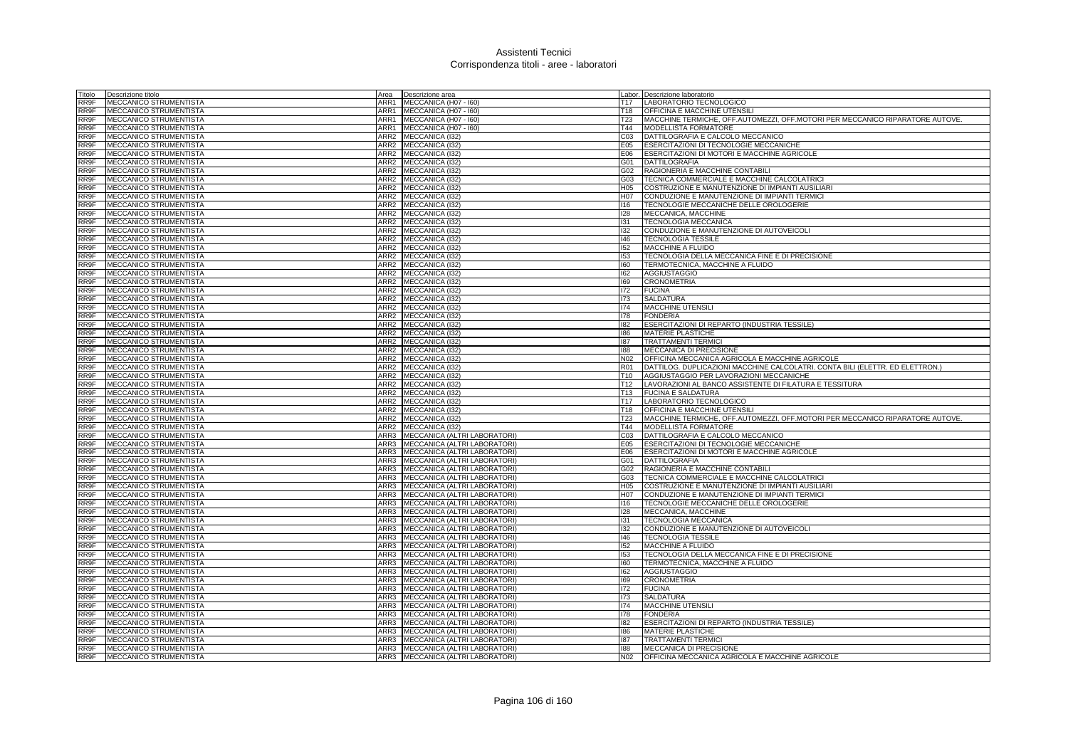| Titolo | Descrizione titolo             |                  | Area Descrizione area             |                 | Labor. Descrizione laboratorio                                                |
|--------|--------------------------------|------------------|-----------------------------------|-----------------|-------------------------------------------------------------------------------|
| RR9F   | MECCANICO STRUMENTISTA         |                  | ARR1 MECCANICA (H07 - 160)        |                 | T17   LABORATORIO TECNOLOGICO                                                 |
| RR9F   | MECCANICO STRUMENTISTA         |                  | ARR1 MECCANICA (H07 - 160)        | T18             | <b>OFFICINA E MACCHINE UTENSILI</b>                                           |
| RR9F   | MECCANICO STRUMENTISTA         |                  | ARR1 MECCANICA (H07 - 160)        | T23             | MACCHINE TERMICHE, OFF.AUTOMEZZI, OFF.MOTORI PER MECCANICO RIPARATORE AUTOVE. |
| RR9F   | MECCANICO STRUMENTISTA         |                  | ARR1 MECCANICA (H07 - 160)        | T44             | MODELLISTA FORMATORE                                                          |
| RR9F   | <b>MECCANICO STRUMENTISTA</b>  | ARR2             | MECCANICA (132)                   | CO <sub>3</sub> | DATTILOGRAFIA E CALCOLO MECCANICO                                             |
| RR9F   | MECCANICO STRUMENTISTA         |                  | ARR2 MECCANICA (I32)              | E05             | ESERCITAZIONI DI TECNOLOGIE MECCANICHE                                        |
| RR9F   | MECCANICO STRUMENTISTA         |                  | ARR2 MECCANICA (I32)              | E06             | ESERCITAZIONI DI MOTORI E MACCHINE AGRICOLE                                   |
| RR9F   | MECCANICO STRUMENTISTA         |                  | ARR2 MECCANICA (I32)              | G01             | DATTILOGRAFIA                                                                 |
| RR9F   | <b>MECCANICO STRUMENTISTA</b>  | ARR2             | MECCANICA (132)                   | G02             | RAGIONERIA E MACCHINE CONTABILI                                               |
| RR9F   | MECCANICO STRUMENTISTA         | ARR2             | MECCANICA (I32)                   | G03             | TECNICA COMMERCIALE E MACCHINE CALCOLATRICI                                   |
| RR9F   | MECCANICO STRUMENTISTA         |                  | ARR2 MECCANICA (I32)              | H05             | COSTRUZIONE E MANUTENZIONE DI IMPIANTI AUSILIARI                              |
| RR9F   | MECCANICO STRUMENTISTA         |                  | ARR2 MECCANICA (I32)              | H07             | CONDUZIONE E MANUTENZIONE DI IMPIANTI TERMICI                                 |
| RR9F   | MECCANICO STRUMENTISTA         |                  | ARR2 MECCANICA (I32)              | 116             | TECNOLOGIE MECCANICHE DELLE OROLOGERIE                                        |
| RR9F   | MECCANICO STRUMENTISTA         |                  | ARR2 MECCANICA (I32)              | 128             | MECCANICA, MACCHINE                                                           |
| RR9F   | <b>MECCANICO STRUMENTISTA</b>  |                  | ARR2 MECCANICA (I32)              | 131             | <b>TECNOLOGIA MECCANICA</b>                                                   |
| RR9F   | MECCANICO STRUMENTISTA         |                  | ARR2 MECCANICA (I32)              | 132             | CONDUZIONE E MANUTENZIONE DI AUTOVEICOLI                                      |
| RR9F   | MECCANICO STRUMENTISTA         |                  | ARR2 MECCANICA (I32)              | 146             | <b>TECNOLOGIA TESSILE</b>                                                     |
| RR9F   | MECCANICO STRUMENTISTA         |                  | ARR2 MECCANICA (I32)              | 152             | MACCHINE A FLUIDO                                                             |
| RR9F   | MECCANICO STRUMENTISTA         |                  | ARR2 MECCANICA (I32)              | 153             | TECNOLOGIA DELLA MECCANICA FINE E DI PRECISIONE                               |
| RR9F   | <b>MECCANICO STRUMENTISTA</b>  |                  | ARR2 MECCANICA (132)              | 160             | TERMOTECNICA, MACCHINE A FLUIDO                                               |
| RR9F   | MECCANICO STRUMENTISTA         |                  | ARR2 MECCANICA (I32)              | 162             | <b>AGGIUSTAGGIO</b>                                                           |
| RR9F   | MECCANICO STRUMENTISTA         | ARR2             | MECCANICA (I32)                   | 169             | <b>CRONOMETRIA</b>                                                            |
| RR9F   | MECCANICO STRUMENTISTA         | ARR2             | MECCANICA (I32)                   | 172             | <b>FUCINA</b>                                                                 |
| RR9F   | MECCANICO STRUMENTISTA         | ARR2             | MECCANICA (I32)                   | 173             | <b>SALDATURA</b>                                                              |
| RR9F   | MECCANICO STRUMENTISTA         | ARR2             | MECCANICA (I32)                   | 174             | <b>MACCHINE UTENSILI</b>                                                      |
| RR9F   | MECCANICO STRUMENTISTA         | ARR2             | MECCANICA (I32)                   | 178             | <b>FONDERIA</b>                                                               |
| RR9F   | MECCANICO STRUMENTISTA         | ARR <sub>2</sub> | <b>MECCANICA (I32)</b>            | 182             | ESERCITAZIONI DI REPARTO (INDUSTRIA TESSILE)                                  |
| RR9F   | MECCANICO STRUMENTISTA         |                  | ARR2 MECCANICA (I32)              | 186             | <b>MATERIE PLASTICHE</b>                                                      |
| RR9F   | MECCANICO STRUMENTISTA         |                  | ARR2 MECCANICA (I32)              | 187             | <b>TRATTAMENTI TERMICI</b>                                                    |
| RR9F   | MECCANICO STRUMENTISTA         | ARR2             | MECCANICA (132)                   | 188             | <b>MECCANICA DI PRECISIONE</b>                                                |
| RR9F   | MECCANICO STRUMENTISTA         | ARR <sub>2</sub> | MECCANICA (132)                   | N <sub>02</sub> | OFFICINA MECCANICA AGRICOLA E MACCHINE AGRICOLE                               |
| RR9F   | <b>MECCANICO STRUMENTISTA</b>  |                  | ARR2 MECCANICA (I32)              | R <sub>01</sub> | DATTILOG. DUPLICAZIONI MACCHINE CALCOLATRI. CONTA BILI (ELETTR. ED ELETTRON.) |
| RR9F   | MECCANICO STRUMENTISTA         | ARR2             | MECCANICA (I32)                   | T10             | AGGIUSTAGGIO PER LAVORAZIONI MECCANICHE                                       |
| RR9F   | MECCANICO STRUMENTISTA         |                  | ARR2 MECCANICA (I32)              | T <sub>12</sub> | LAVORAZIONI AL BANCO ASSISTENTE DI FILATURA E TESSITURA                       |
| RR9F   | MECCANICO STRUMENTISTA         |                  | ARR2 MECCANICA (I32)              |                 | T13 FUCINA E SALDATURA                                                        |
| RR9F   | MECCANICO STRUMENTISTA         |                  | ARR2 MECCANICA (I32)              | T17             | LABORATORIO TECNOLOGICO                                                       |
| RR9F   | MECCANICO STRUMENTISTA         |                  | ARR2 MECCANICA (I32)              | T18             | <b>OFFICINA E MACCHINE UTENSILI</b>                                           |
| RR9F   | MECCANICO STRUMENTISTA         |                  | ARR2 MECCANICA (I32)              | T23             | MACCHINE TERMICHE, OFF.AUTOMEZZI, OFF.MOTORI PER MECCANICO RIPARATORE AUTOVE. |
| RR9F   | MECCANICO STRUMENTISTA         |                  | ARR2 MECCANICA (I32)              | T44             | MODELLISTA FORMATORE                                                          |
| RR9F   | MECCANICO STRUMENTISTA         | ARR3             | MECCANICA (ALTRI LABORATORI)      | C <sub>03</sub> | DATTILOGRAFIA E CALCOLO MECCANICO                                             |
| RR9F   | MECCANICO STRUMENTISTA         | ARR3             | MECCANICA (ALTRI LABORATORI)      | E05             | ESERCITAZIONI DI TECNOLOGIE MECCANICHE                                        |
| RR9F   | MECCANICO STRUMENTISTA         |                  | ARR3 MECCANICA (ALTRI LABORATORI) | E06             | ESERCITAZIONI DI MOTORI E MACCHINE AGRICOLE                                   |
| RR9F   | MECCANICO STRUMENTISTA         | ARR3             | MECCANICA (ALTRI LABORATORI)      | G01             | <b>DATTILOGRAFIA</b>                                                          |
| RR9F   | MECCANICO STRUMENTISTA         | ARR3             | MECCANICA (ALTRI LABORATORI)      | G02             | RAGIONERIA E MACCHINE CONTABILI                                               |
| RR9F   | MECCANICO STRUMENTISTA         |                  | ARR3 MECCANICA (ALTRI LABORATORI) | G03             | TECNICA COMMERCIALE E MACCHINE CALCOLATRICI                                   |
| RR9F   | MECCANICO STRUMENTISTA         |                  | ARR3 MECCANICA (ALTRI LABORATORI) | H <sub>05</sub> | COSTRUZIONE E MANUTENZIONE DI IMPIANTI AUSILIARI                              |
| RR9F   | MECCANICO STRUMENTISTA         |                  | ARR3 MECCANICA (ALTRI LABORATORI) | H07             | CONDUZIONE E MANUTENZIONE DI IMPIANTI TERMICI                                 |
| RR9F   | MECCANICO STRUMENTISTA         | ARR3             | MECCANICA (ALTRI LABORATORI)      | 116             | TECNOLOGIE MECCANICHE DELLE OROLOGERIE                                        |
| RR9F   | <b>MECCANICO STRUMENTISTA</b>  | ARR3             | MECCANICA (ALTRI LABORATORI)      | 128             | MECCANICA, MACCHINE                                                           |
| RR9F   | MECCANICO STRUMENTISTA         |                  | ARR3 MECCANICA (ALTRI LABORATORI) | 131             | TECNOLOGIA MECCANICA                                                          |
| RR9F   | MECCANICO STRUMENTISTA         | ARR3             | MECCANICA (ALTRI LABORATORI)      | 132             | CONDUZIONE E MANUTENZIONE DI AUTOVEICOLI                                      |
| RR9F   | MECCANICO STRUMENTISTA         | ARR3             | MECCANICA (ALTRI LABORATORI)      | 146             | <b>TECNOLOGIA TESSILE</b>                                                     |
| RR9F   | MECCANICO STRUMENTISTA         | ARR3             | MECCANICA (ALTRI LABORATORI)      | 152             | MACCHINE A FLUIDO                                                             |
| RR9F   | MECCANICO STRUMENTISTA         | ARR3             | MECCANICA (ALTRI LABORATORI)      | 153             | TECNOLOGIA DELLA MECCANICA FINE E DI PRECISIONE                               |
| RR9F   | MECCANICO STRUMENTISTA         |                  | ARR3 MECCANICA (ALTRI LABORATORI) | 160             | TERMOTECNICA, MACCHINE A FLUIDO                                               |
| RR9F   | MECCANICO STRUMENTISTA         | ARR3             | MECCANICA (ALTRI LABORATORI)      | 162             | <b>AGGIUSTAGGIO</b>                                                           |
| RR9F   | MECCANICO STRUMENTISTA         | ARR3             | MECCANICA (ALTRI LABORATORI)      | 169             | <b>CRONOMETRIA</b>                                                            |
| RR9F   | MECCANICO STRUMENTISTA         | ARR3             | MECCANICA (ALTRI LABORATORI)      | 172             | <b>FUCINA</b>                                                                 |
| RR9F   | MECCANICO STRUMENTISTA         | ARR3             | MECCANICA (ALTRI LABORATORI)      | 173             | <b>SALDATURA</b>                                                              |
| RR9F   | MECCANICO STRUMENTISTA         | ARR3             | MECCANICA (ALTRI LABORATORI)      | 174             | <b>MACCHINE UTENSILI</b>                                                      |
| RR9F   | MECCANICO STRUMENTISTA         | ARR3             | MECCANICA (ALTRI LABORATORI)      | 178             | <b>FONDERIA</b>                                                               |
| RR9F   | MECCANICO STRUMENTISTA         |                  | ARR3 MECCANICA (ALTRI LABORATORI) | 182             | ESERCITAZIONI DI REPARTO (INDUSTRIA TESSILE)                                  |
| RR9F   | MECCANICO STRUMENTISTA         |                  | ARR3 MECCANICA (ALTRI LABORATORI) | 186             | <b>MATERIE PLASTICHE</b>                                                      |
| RR9F   | MECCANICO STRUMENTISTA         | ARR3             | MECCANICA (ALTRI LABORATORI)      | 187             | <b>TRATTAMENTI TERMICI</b>                                                    |
| RR9F   | <b>IMECCANICO STRUMENTISTA</b> | ARR3             | MECCANICA (ALTRI LABORATORI)      | 188             | <b>MECCANICA DI PRECISIONE</b>                                                |
| RR9F   | MECCANICO STRUMENTISTA         |                  | ARR3 MECCANICA (ALTRI LABORATORI) | N <sub>02</sub> | OFFICINA MECCANICA AGRICOLA E MACCHINE AGRICOLE                               |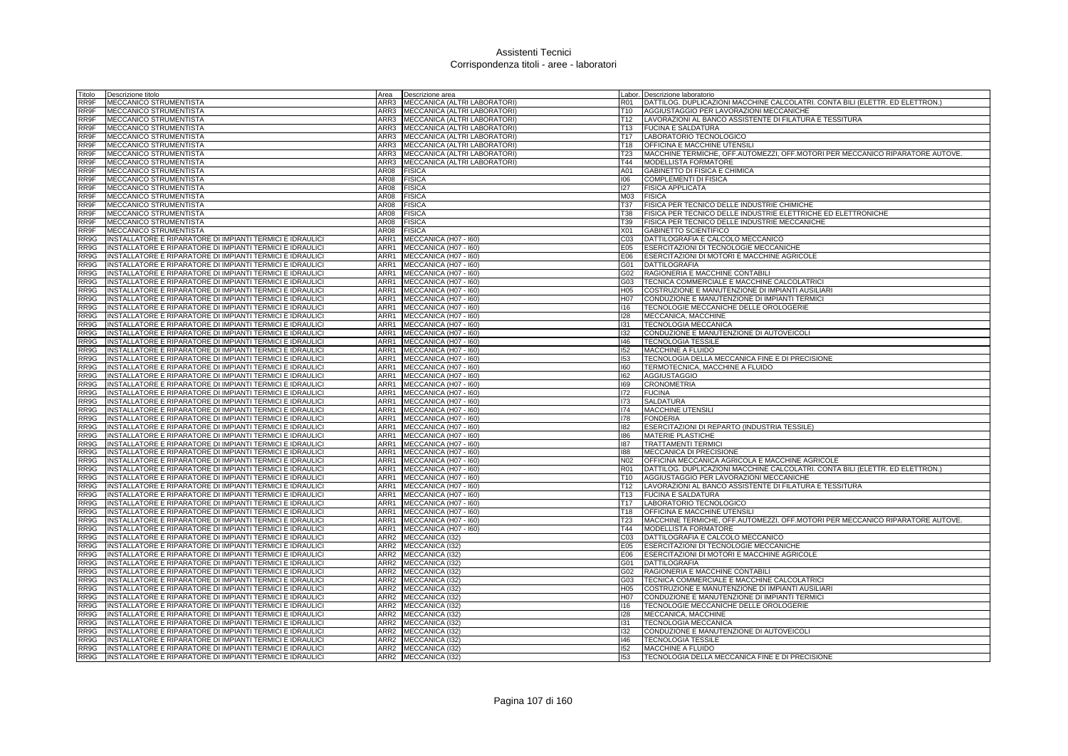| Titolo | Descrizione titolo                                        |      | Area <b>Descrizione</b> area        |                 | Labor. Descrizione laboratorio                                                |
|--------|-----------------------------------------------------------|------|-------------------------------------|-----------------|-------------------------------------------------------------------------------|
| RR9F   | MECCANICO STRUMENTISTA                                    |      | ARR3   MECCANICA (ALTRI LABORATORI) | R01             | DATTILOG. DUPLICAZIONI MACCHINE CALCOLATRI. CONTA BILI (ELETTR. ED ELETTRON.) |
| RR9F   | MECCANICO STRUMENTISTA                                    |      | ARR3 MECCANICA (ALTRI LABORATORI)   | T10             | AGGIUSTAGGIO PER LAVORAZIONI MECCANICHE                                       |
| RR9F   | MECCANICO STRUMENTISTA                                    |      | ARR3 MECCANICA (ALTRI LABORATORI)   | T12             | LAVORAZIONI AL BANCO ASSISTENTE DI FILATURA E TESSITURA                       |
| RR9F   | MECCANICO STRUMENTISTA                                    |      | ARR3 MECCANICA (ALTRI LABORATORI)   | T13             | <b>FUCINA E SALDATURA</b>                                                     |
| RR9F   | MECCANICO STRUMENTISTA                                    |      | ARR3 MECCANICA (ALTRI LABORATORI)   | T17             | LABORATORIO TECNOLOGICO                                                       |
| RR9F   | MECCANICO STRUMENTISTA                                    | ARR3 | MECCANICA (ALTRI LABORATORI)        | T18             | OFFICINA E MACCHINE UTENSIL                                                   |
| RR9F   | MECCANICO STRUMENTISTA                                    | ARR3 | MECCANICA (ALTRI LABORATORI)        | <b>T23</b>      | MACCHINE TERMICHE, OFF.AUTOMEZZI, OFF.MOTORI PER MECCANICO RIPARATORE AUTOVE. |
| RR9F   | MECCANICO STRUMENTISTA                                    |      | ARR3 MECCANICA (ALTRI LABORATORI)   | T44             | MODELLISTA FORMATORE                                                          |
| RR9F   | MECCANICO STRUMENTISTA                                    | 4R08 | <b>FISICA</b>                       | A01             | GABINETTO DI FISICA E CHIMICA                                                 |
| RR9F   | MECCANICO STRUMENTISTA                                    | AR08 | <b>FISICA</b>                       | 106             | COMPLEMENTI DI FISICA                                                         |
| RR9F   | <b>MECCANICO STRUMENTISTA</b>                             | AR08 | <b>FISICA</b>                       | 127             | <b>FISICA APPLICATA</b>                                                       |
| RR9F   | MECCANICO STRUMENTISTA                                    | AR08 | <b>FISICA</b>                       | M03             | <b>FISICA</b>                                                                 |
| RR9F   | MECCANICO STRUMENTISTA                                    | AR08 | <b>FISICA</b>                       | T37             | FISICA PER TECNICO DELLE INDUSTRIE CHIMICHE                                   |
| RR9F   | MECCANICO STRUMENTISTA                                    | AR08 | <b>FISICA</b>                       | T38             | FISICA PER TECNICO DELLE INDUSTRIE ELETTRICHE ED ELETTRONICHE                 |
| RR9F   | MECCANICO STRUMENTISTA                                    | AR08 | <b>FISICA</b>                       | T39             | FISICA PER TECNICO DELLE INDUSTRIE MECCANICHE                                 |
| RR9F   | MECCANICO STRUMENTISTA                                    | AR08 | <b>FISICA</b>                       | X01             | <b>GABINETTO SCIENTIFICO</b>                                                  |
| RR9G   | INSTALLATORE E RIPARATORE DI IMPIANTI TERMICI E IDRAULICI |      | ARR1 MECCANICA (H07 - I60)          | C <sub>03</sub> | DATTILOGRAFIA E CALCOLO MECCANICO                                             |
| RR9G   | INSTALLATORE E RIPARATORE DI IMPIANTI TERMICI E IDRAULICI |      | ARR1 MECCANICA (H07 - 160)          | E05             | ESERCITAZIONI DI TECNOLOGIE MECCANICHE                                        |
| RR9G   | INSTALLATORE E RIPARATORE DI IMPIANTI TERMICI E IDRAULICI |      | ARR1 MECCANICA (H07 - 160)          | E06             | ESERCITAZIONI DI MOTORI E MACCHINE AGRICOLE                                   |
| RR9G   | INSTALLATORE E RIPARATORE DI IMPIANTI TERMICI E IDRAULICI |      | ARR1 MECCANICA (H07 - 160)          | G01             | <b>DATTILOGRAFIA</b>                                                          |
| RR9G   | INSTALLATORE E RIPARATORE DI IMPIANTI TERMICI E IDRAULICI |      | ARR1 MECCANICA (H07 - 160)          | G02             | RAGIONERIA E MACCHINE CONTABILI                                               |
| RR9G   | INSTALLATORE E RIPARATORE DI IMPIANTI TERMICI E IDRAULICI | ARR1 | MECCANICA (H07 - I60)               | G03             | TECNICA COMMERCIALE E MACCHINE CALCOLATRIC                                    |
| RR9G   | INSTALLATORE E RIPARATORE DI IMPIANTI TERMICI E IDRAULICI | ARR1 | MECCANICA (H07 - I60)               | H05             | COSTRUZIONE E MANUTENZIONE DI IMPIANTI AUSILIARI                              |
| RR9G   | INSTALLATORE E RIPARATORE DI IMPIANTI TERMICI E IDRAULICI | ARR1 | MECCANICA (H07 - I60)               | <b>H07</b>      | CONDUZIONE E MANUTENZIONE DI IMPIANTI TERMICI                                 |
| RR9G   | NSTALLATORE E RIPARATORE DI IMPIANTI TERMICI E IDRAULICI  | ARR1 | MECCANICA (H07 - I60)               | 116             | TECNOLOGIE MECCANICHE DELLE OROLOGERIE                                        |
| RR9G   | INSTALLATORE E RIPARATORE DI IMPIANTI TERMICI E IDRAULICI | ARR1 | MECCANICA (H07 - I60)               | 128             | MECCANICA, MACCHINE                                                           |
| RR9G   | INSTALLATORE E RIPARATORE DI IMPIANTI TERMICI E IDRAULICI | ARR1 | MECCANICA (H07 - I60)               | 131             | <b>TECNOLOGIA MECCANICA</b>                                                   |
| RR9G   | INSTALLATORE E RIPARATORE DI IMPIANTI TERMICI E IDRAULICI |      | ARR1 MECCANICA (H07 - 160)          | 132             | CONDUZIONE E MANUTENZIONE DI AUTOVEICOLI                                      |
| RR9G   | NSTALLATORE E RIPARATORE DI IMPIANTI TERMICI E IDRAULICI  |      | ARR1 MECCANICA (H07 - 160)          | 146             | <b>TECNOLOGIA TESSILE</b>                                                     |
| RR9G   | INSTALLATORE E RIPARATORE DI IMPIANTI TERMICI E IDRAULICI | ARR1 | MECCANICA (H07 - I60)               | 152             | MACCHINE A FLUIDO                                                             |
| RR9G   | INSTALLATORE E RIPARATORE DI IMPIANTI TERMICI E IDRAULICI |      | ARR1 MECCANICA (H07 - 160)          | 153             | TECNOLOGIA DELLA MECCANICA FINE E DI PRECISIONE                               |
|        | INSTALLATORE E RIPARATORE DI IMPIANTI TERMICI E IDRAULICI |      | ARR1 MECCANICA (H07 - 160)          | 160             | TERMOTECNICA, MACCHINE A FLUIDO                                               |
| RR9G   |                                                           |      |                                     |                 |                                                                               |
| RR9G   | INSTALLATORE E RIPARATORE DI IMPIANTI TERMICI E IDRAULICI |      | ARR1 MECCANICA (H07 - 160)          | 162             | <b>AGGIUSTAGGIO</b>                                                           |
| RR9G   | INSTALLATORE E RIPARATORE DI IMPIANTI TERMICI E IDRAULICI |      | ARR1 MECCANICA (H07 - I60)          | 169             | <b>CRONOMETRIA</b>                                                            |
| RR9G   | INSTALLATORE E RIPARATORE DI IMPIANTI TERMICI E IDRAULICI |      | ARR1 MECCANICA (H07 - I60)          | 172             | <b>FUCINA</b>                                                                 |
| RR9G   | INSTALLATORE E RIPARATORE DI IMPIANTI TERMICI E IDRAULICI |      | ARR1 MECCANICA (H07 - 160)          | 173             | SALDATURA                                                                     |
| RR9G   | INSTALLATORE E RIPARATORE DI IMPIANTI TERMICI E IDRAULICI |      | ARR1 MECCANICA (H07 - I60)          | 174             | <b>MACCHINE UTENSILI</b>                                                      |
| RR9G   | INSTALLATORE E RIPARATORE DI IMPIANTI TERMICI E IDRAULICI |      | ARR1 MECCANICA (H07 - 160)          | 178             | <b>FONDERIA</b>                                                               |
| RR9G   | INSTALLATORE E RIPARATORE DI IMPIANTI TERMICI E IDRAULICI |      | ARR1 MECCANICA (H07 - I60)          | 182             | ESERCITAZIONI DI REPARTO (INDUSTRIA TESSILE)                                  |
| RR9G   | INSTALLATORE E RIPARATORE DI IMPIANTI TERMICI E IDRAULICI |      | ARR1 MECCANICA (H07 - 160)          | 186             | MATERIE PLASTICHE                                                             |
| RR9G   | INSTALLATORE E RIPARATORE DI IMPIANTI TERMICI E IDRAULICI |      | ARR1 MECCANICA (H07 - 160)          | 187             | <b>TRATTAMENTI TERMIC</b>                                                     |
| RR9G   | INSTALLATORE E RIPARATORE DI IMPIANTI TERMICI E IDRAULICI |      | ARR1 MECCANICA (H07 - 160)          | 188             | MECCANICA DI PRECISIONE                                                       |
| RR9G   | INSTALLATORE E RIPARATORE DI IMPIANTI TERMICI E IDRAULICI |      | ARR1 MECCANICA (H07 - I60)          | N02             | OFFICINA MECCANICA AGRICOLA E MACCHINE AGRICOLE                               |
| RR9G   | INSTALLATORE E RIPARATORE DI IMPIANTI TERMICI E IDRAULICI |      | ARR1 MECCANICA (H07 - 160)          | <b>R01</b>      | DATTILOG. DUPLICAZIONI MACCHINE CALCOLATRI. CONTA BILI (ELETTR. ED ELETTRON.) |
| RR9G   | INSTALLATORE E RIPARATORE DI IMPIANTI TERMICI E IDRAULICI |      | ARR1 MECCANICA (H07 - 160)          | T <sub>10</sub> | AGGIUSTAGGIO PER LAVORAZIONI MECCANICHE                                       |
| RR9G   | INSTALLATORE E RIPARATORE DI IMPIANTI TERMICI E IDRAULICI |      | ARR1 MECCANICA (H07 - 160)          | T <sub>12</sub> | LAVORAZIONI AL BANCO ASSISTENTE DI FILATURA E TESSITURA                       |
| RR9G   | INSTALLATORE E RIPARATORE DI IMPIANTI TERMICI E IDRAULICI |      | ARR1 MECCANICA (H07 - 160)          | T <sub>13</sub> | <b>FUCINA E SALDATURA</b>                                                     |
| RR9G   | INSTALLATORE E RIPARATORE DI IMPIANTI TERMICI E IDRAULICI |      | ARR1 MECCANICA (H07 - 160)          | T <sub>17</sub> | LABORATORIO TECNOLOGICO                                                       |
| RR9G   | INSTALLATORE E RIPARATORE DI IMPIANTI TERMICI E IDRAULICI |      | ARR1 MECCANICA (H07 - 160)          | T18             | OFFICINA E MACCHINE UTENSIL                                                   |
| RR9G   | INSTALLATORE E RIPARATORE DI IMPIANTI TERMICI E IDRAULICI |      | ARR1 MECCANICA (H07 - 160)          | T <sub>23</sub> | MACCHINE TERMICHE, OFF.AUTOMEZZI, OFF.MOTORI PER MECCANICO RIPARATORE AUTOVE. |
| RR9G   | INSTALLATORE E RIPARATORE DI IMPIANTI TERMICI E IDRAULICI |      | ARR1 MECCANICA (H07 - 160)          | T44             | MODELLISTA FORMATORE                                                          |
| RR9G   | INSTALLATORE E RIPARATORE DI IMPIANTI TERMICI E IDRAULICI |      | ARR2 MECCANICA (I32)                | CO <sub>3</sub> | DATTILOGRAFIA E CALCOLO MECCANICO                                             |
| RR9G   | INSTALLATORE E RIPARATORE DI IMPIANTI TERMICI E IDRAULICI |      | ARR2 MECCANICA (I32)                | E05             | ESERCITAZIONI DI TECNOLOGIE MECCANICHE                                        |
| RR9G   | INSTALLATORE E RIPARATORE DI IMPIANTI TERMICI E IDRAULICI |      | ARR2 MECCANICA (132)                | E06             | ESERCITAZIONI DI MOTORI E MACCHINE AGRICOLE                                   |
| RR9G   | INSTALLATORE E RIPARATORE DI IMPIANTI TERMICI E IDRAULICI |      | ARR2 MECCANICA (I32)                | G01             | <b>DATTILOGRAFIA</b>                                                          |
| RR9G   | INSTALLATORE E RIPARATORE DI IMPIANTI TERMICI E IDRAULICI |      | ARR2 MECCANICA (I32)                | G02             | RAGIONERIA E MACCHINE CONTABIL                                                |
| RR9G   | INSTALLATORE E RIPARATORE DI IMPIANTI TERMICI E IDRAULICI | ARR2 | MECCANICA (I32)                     | G03             | TECNICA COMMERCIALE E MACCHINE CALCOLATRICI                                   |
| RR9G   | INSTALLATORE E RIPARATORE DI IMPIANTI TERMICI E IDRAULICI | ARR2 | MECCANICA (132)                     | H <sub>05</sub> | COSTRUZIONE E MANUTENZIONE DI IMPIANTI AUSILIARI                              |
| RR9G   | NSTALLATORE E RIPARATORE DI IMPIANTI TERMICI E IDRAULICI  | ARR2 | MECCANICA (I32)                     | H07             | CONDUZIONE E MANUTENZIONE DI IMPIANTI TERMICI                                 |
| RR9G   | INSTALLATORE E RIPARATORE DI IMPIANTI TERMICI E IDRAULICI |      | ARR2 MECCANICA (I32)                | 116             | TECNOLOGIE MECCANICHE DELLE OROLOGERIE                                        |
| RR9G   | INSTALLATORE E RIPARATORE DI IMPIANTI TERMICI E IDRAULICI |      | ARR2 MECCANICA (I32)                | <b>I28</b>      | MECCANICA, MACCHINE                                                           |
| RR9G   | INSTALLATORE E RIPARATORE DI IMPIANTI TERMICI E IDRAULICI |      | ARR2 MECCANICA (I32)                | 131             | <b>TECNOLOGIA MECCANICA</b>                                                   |
| RR9G   | NSTALLATORE E RIPARATORE DI IMPIANTI TERMICI E IDRAULICI  |      | ARR2 MECCANICA (I32)                | 132             | CONDUZIONE E MANUTENZIONE DI AUTOVEICOLI                                      |
| RR9G   | NSTALLATORE E RIPARATORE DI IMPIANTI TERMICI E IDRAULICI  |      | ARR2 MECCANICA (I32)                | 146             | <b>TECNOLOGIA TESSILE</b>                                                     |
| RR9G   | INSTALLATORE E RIPARATORE DI IMPIANTI TERMICI E IDRAULICI |      | ARR2 MECCANICA (I32)                | 152             | <b>MACCHINE A FLUIDO</b>                                                      |
| RR9G   | INSTALLATORE E RIPARATORE DI IMPIANTI TERMICI E IDRAULICI |      | ARR2 MECCANICA (I32)                | 153             | TECNOLOGIA DELLA MECCANICA FINE E DI PRECISIONE                               |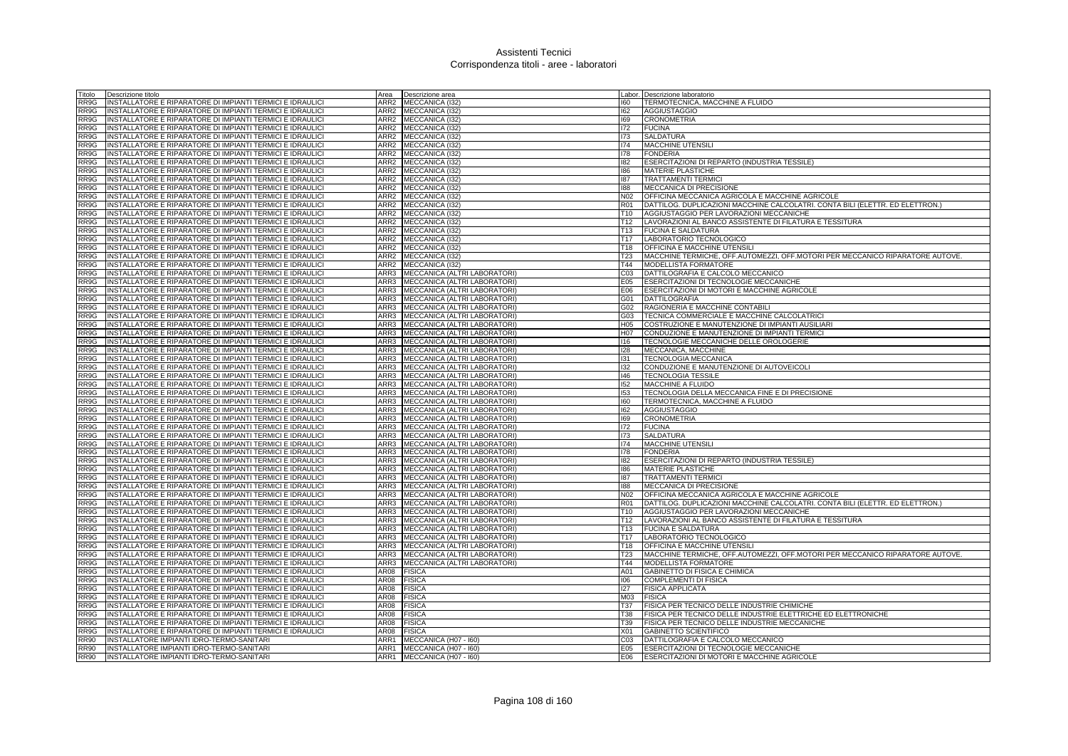| Fitolo      | Descrizione titolo                                        | Area             | Descrizione area             | Labor.          | Descrizione laboratorio                                                       |
|-------------|-----------------------------------------------------------|------------------|------------------------------|-----------------|-------------------------------------------------------------------------------|
| RR9G        | INSTALLATORE E RIPARATORE DI IMPIANTI TERMICI E IDRAULICI | ARR2             | MECCANICA (I32)              | 160             | TERMOTECNICA, MACCHINE A FLUIDO                                               |
| RR9G        | INSTALLATORE E RIPARATORE DI IMPIANTI TERMICI E IDRAULICI | ARR2             | MECCANICA (I32)              | 162             | <b>AGGIUSTAGGIO</b>                                                           |
| RR9G        | INSTALLATORE E RIPARATORE DI IMPIANTI TERMICI E IDRAULICI |                  | ARR2 MECCANICA (I32)         | 169             | <b>CRONOMETRIA</b>                                                            |
| RR9G        | INSTALLATORE E RIPARATORE DI IMPIANTI TERMICI E IDRAULICI | ARR2             | MECCANICA (I32)              | 172             | <b>FUCINA</b>                                                                 |
| RR9G        | INSTALLATORE E RIPARATORE DI IMPIANTI TERMICI E IDRAULICI | ARR <sub>2</sub> | MECCANICA (132)              | 173             | <b>SALDATURA</b>                                                              |
| RR9G        | INSTALLATORE E RIPARATORE DI IMPIANTI TERMICI E IDRAULICI | ARR <sub>2</sub> | MECCANICA (I32)              | 174             | <b>MACCHINE UTENSILI</b>                                                      |
| RR9G        | INSTALLATORE E RIPARATORE DI IMPIANTI TERMICI E IDRAULICI | ARR2             | MECCANICA (I32)              | 178             | <b>FONDERIA</b>                                                               |
| RR9G        | INSTALLATORE E RIPARATORE DI IMPIANTI TERMICI E IDRAULICI | ARR2             | MECCANICA (I32)              | 182             | ESERCITAZIONI DI REPARTO (INDUSTRIA TESSILE)                                  |
| RR9G        | INSTALLATORE E RIPARATORE DI IMPIANTI TERMICI E IDRAULICI | ARR <sub>2</sub> | MECCANICA (132)              | 186             | <b>MATERIE PLASTICHE</b>                                                      |
| RR9G        | INSTALLATORE E RIPARATORE DI IMPIANTI TERMICI E IDRAULICI | ARR <sub>2</sub> | <b>MECCANICA (I32)</b>       | 187             | <b>TRATTAMENTI TERMICI</b>                                                    |
| RR9G        | INSTALLATORE E RIPARATORE DI IMPIANTI TERMICI E IDRAULICI | ARR2             | MECCANICA (I32)              | 188             | <b>MECCANICA DI PRECISIONE</b>                                                |
| RR9G        | INSTALLATORE E RIPARATORE DI IMPIANTI TERMICI E IDRAULICI | ARR2             | MECCANICA (I32)              | N <sub>02</sub> | OFFICINA MECCANICA AGRICOLA E MACCHINE AGRICOLE                               |
|             |                                                           |                  |                              |                 |                                                                               |
| RR9G        | INSTALLATORE E RIPARATORE DI IMPIANTI TERMICI E IDRAULICI | ARR2             | MECCANICA (I32)              | <b>R01</b>      | DATTILOG. DUPLICAZIONI MACCHINE CALCOLATRI. CONTA BILI (ELETTR. ED ELETTRON.) |
| RR9G        | INSTALLATORE E RIPARATORE DI IMPIANTI TERMICI E IDRAULICI | ARR <sub>2</sub> | MECCANICA (I32)              | T <sub>10</sub> | AGGIUSTAGGIO PER LAVORAZIONI MECCANICHE                                       |
| RR9G        | INSTALLATORE E RIPARATORE DI IMPIANTI TERMICI E IDRAULICI | ARR2             | MECCANICA (I32)              | T12             | LAVORAZIONI AL BANCO ASSISTENTE DI FILATURA E TESSITURA                       |
| RR9G        | INSTALLATORE E RIPARATORE DI IMPIANTI TERMICI E IDRAULICI | ARR2             | MECCANICA (I32)              | T <sub>13</sub> | <b>FUCINA E SALDATURA</b>                                                     |
| RR9G        | INSTALLATORE E RIPARATORE DI IMPIANTI TERMICI E IDRAULICI | ARR2             | MECCANICA (I32)              | T <sub>17</sub> | LABORATORIO TECNOLOGICO                                                       |
| RR9G        | INSTALLATORE E RIPARATORE DI IMPIANTI TERMICI E IDRAULICI | ARR <sub>2</sub> | MECCANICA (I32)              | T <sub>18</sub> | OFFICINA E MACCHINE UTENSILI                                                  |
| RR9G        | INSTALLATORE E RIPARATORE DI IMPIANTI TERMICI E IDRAULICI | ARR <sub>2</sub> | MECCANICA (I32)              | T <sub>23</sub> | MACCHINE TERMICHE, OFF.AUTOMEZZI, OFF.MOTORI PER MECCANICO RIPARATORE AUTOVE. |
| RR9G        | INSTALLATORE E RIPARATORE DI IMPIANTI TERMICI E IDRAULICI | ARR2             | MECCANICA (132)              | T44             | <b>MODELLISTA FORMATORE</b>                                                   |
| RR9G        | INSTALLATORE E RIPARATORE DI IMPIANTI TERMICI E IDRAULICI | ARR3             | MECCANICA (ALTRI LABORATORI) | C <sub>03</sub> | DATTILOGRAFIA E CALCOLO MECCANICO                                             |
| RR9G        | INSTALLATORE E RIPARATORE DI IMPIANTI TERMICI E IDRAULICI | ARR3             | MECCANICA (ALTRI LABORATORI  | E05             | ESERCITAZIONI DI TECNOLOGIE MECCANICHE                                        |
| RR9G        | INSTALLATORE E RIPARATORE DI IMPIANTI TERMICI E IDRAULICI | ARR3             | MECCANICA (ALTRI LABORATORI) | E06             | ESERCITAZIONI DI MOTORI E MACCHINE AGRICOLE                                   |
| RR9G        | INSTALLATORE E RIPARATORE DI IMPIANTI TERMICI E IDRAULICI | ARR3             | MECCANICA (ALTRI LABORATORI) | G01             | <b>DATTILOGRAFIA</b>                                                          |
| RR9G        | INSTALLATORE E RIPARATORE DI IMPIANTI TERMICI E IDRAULICI | ARR3             | MECCANICA (ALTRI LABORATORI) | G02             | RAGIONERIA E MACCHINE CONTABILI                                               |
| RR9G        | INSTALLATORE E RIPARATORE DI IMPIANTI TERMICI E IDRAULICI | ARR3             | MECCANICA (ALTRI LABORATORI) | G03             | TECNICA COMMERCIALE E MACCHINE CALCOLATRIC                                    |
| RR9G        | INSTALLATORE E RIPARATORE DI IMPIANTI TERMICI E IDRAULICI | ARR3             | MECCANICA (ALTRI LABORATORI) | H <sub>05</sub> | COSTRUZIONE E MANUTENZIONE DI IMPIANTI AUSILIARI                              |
| RR9G        | INSTALLATORE E RIPARATORE DI IMPIANTI TERMICI E IDRAULICI | ARR3             | MECCANICA (ALTRI LABORATORI) | H07             | CONDUZIONE E MANUTENZIONE DI IMPIANTI TERMICI                                 |
| RR9G        | INSTALLATORE E RIPARATORE DI IMPIANTI TERMICI E IDRAULICI | ARR3             | MECCANICA (ALTRI LABORATORI) | 116             | TECNOLOGIE MECCANICHE DELLE OROLOGERIE                                        |
| RR9G        | INSTALLATORE E RIPARATORE DI IMPIANTI TERMICI E IDRAULICI | ARR3             |                              |                 |                                                                               |
|             |                                                           |                  | MECCANICA (ALTRI LABORATORI) | 128             | MECCANICA, MACCHINE                                                           |
| RR9G        | INSTALLATORE E RIPARATORE DI IMPIANTI TERMICI E IDRAULICI | ARR3             | MECCANICA (ALTRI LABORATORI) | 131             | <b>TECNOLOGIA MECCANICA</b>                                                   |
| RR9G        | INSTALLATORE E RIPARATORE DI IMPIANTI TERMICI E IDRAULICI | ARR3             | MECCANICA (ALTRI LABORATORI) | 132             | CONDUZIONE E MANUTENZIONE DI AUTOVEICOLI                                      |
| RR9G        | INSTALLATORE E RIPARATORE DI IMPIANTI TERMICI E IDRAULICI | ARR3             | MECCANICA (ALTRI LABORATORI) | 46              | <b>TECNOLOGIA TESSILE</b>                                                     |
| RR9G        | INSTALLATORE E RIPARATORE DI IMPIANTI TERMICI E IDRAULICI | ARR3             | MECCANICA (ALTRI LABORATORI) | 152             | MACCHINE A FLUIDO                                                             |
| RR9G        | INSTALLATORE E RIPARATORE DI IMPIANTI TERMICI E IDRAULICI | ARR3             | MECCANICA (ALTRI LABORATORI) | 153             | TECNOLOGIA DELLA MECCANICA FINE E DI PRECISIONE                               |
| RR9G        | INSTALLATORE E RIPARATORE DI IMPIANTI TERMICI E IDRAULICI | ARR3             | MECCANICA (ALTRI LABORATORI) | 160             | TERMOTECNICA, MACCHINE A FLUIDO                                               |
| RR9G        | INSTALLATORE E RIPARATORE DI IMPIANTI TERMICI E IDRAULICI | ARR3             | MECCANICA (ALTRI LABORATORI) | 162             | <b>AGGIUSTAGGIO</b>                                                           |
| RR9G        | INSTALLATORE E RIPARATORE DI IMPIANTI TERMICI E IDRAULICI | ARR3             | MECCANICA (ALTRI LABORATORI) | 169             | <b>CRONOMETRIA</b>                                                            |
| RR9G        | INSTALLATORE E RIPARATORE DI IMPIANTI TERMICI E IDRAULICI | ARR3             | MECCANICA (ALTRI LABORATORI) | 172             | <b>FUCINA</b>                                                                 |
| RR9G        | INSTALLATORE E RIPARATORE DI IMPIANTI TERMICI E IDRAULICI | ARR3             | MECCANICA (ALTRI LABORATORI) | 173             | <b>SALDATURA</b>                                                              |
| RR9G        | INSTALLATORE E RIPARATORE DI IMPIANTI TERMICI E IDRAULICI | ARR3             | MECCANICA (ALTRI LABORATORI) | 174             | <b>MACCHINE UTENSIL</b>                                                       |
| RR9G        | INSTALLATORE E RIPARATORE DI IMPIANTI TERMICI E IDRAULICI | ARR3             | MECCANICA (ALTRI LABORATORI) | 178             | <b>FONDERIA</b>                                                               |
| RR9G        | INSTALLATORE E RIPARATORE DI IMPIANTI TERMICI E IDRAULICI | ARR3             | MECCANICA (ALTRI LABORATORI) | 182             | ESERCITAZIONI DI REPARTO (INDUSTRIA TESSILE)                                  |
| RR9G        | INSTALLATORE E RIPARATORE DI IMPIANTI TERMICI E IDRAULICI | ARR3             | MECCANICA (ALTRI LABORATORI  | 186             | <b>MATERIE PLASTICHE</b>                                                      |
| RR9G        | INSTALLATORE E RIPARATORE DI IMPIANTI TERMICI E IDRAULICI | ARR3             | MECCANICA (ALTRI LABORATORI) | 187             | <b>TRATTAMENTI TERMICI</b>                                                    |
| RR9G        | INSTALLATORE E RIPARATORE DI IMPIANTI TERMICI E IDRAULICI | ARR3             | MECCANICA (ALTRI LABORATORI) | 188             | <b>MECCANICA DI PRECISIONE</b>                                                |
| RR9G        | INSTALLATORE E RIPARATORE DI IMPIANTI TERMICI E IDRAULICI | ARR3             | MECCANICA (ALTRI LABORATORI) | N02             | OFFICINA MECCANICA AGRICOLA E MACCHINE AGRICOLE                               |
| RR9G        | INSTALLATORE E RIPARATORE DI IMPIANTI TERMICI E IDRAULICI | ARR3             | MECCANICA (ALTRI LABORATORI) | <b>R01</b>      | DATTILOG. DUPLICAZIONI MACCHINE CALCOLATRI. CONTA BILI (ELETTR. ED ELETTRON.) |
| RR9G        | INSTALLATORE E RIPARATORE DI IMPIANTI TERMICI E IDRAULICI | ARR3             | MECCANICA (ALTRI LABORATORI) | T <sub>10</sub> | AGGIUSTAGGIO PER LAVORAZIONI MECCANICHE                                       |
| RR9G        | INSTALLATORE E RIPARATORE DI IMPIANTI TERMICI E IDRAULICI | ARR3             | MECCANICA (ALTRI LABORATORI) | T <sub>12</sub> | LAVORAZIONI AL BANCO ASSISTENTE DI FILATURA E TESSITURA                       |
| RR9G        | INSTALLATORE E RIPARATORE DI IMPIANTI TERMICI E IDRAULICI | ARR3             | MECCANICA (ALTRI LABORATORI) | T <sub>13</sub> | <b>FUCINA E SALDATURA</b>                                                     |
| RR9G        |                                                           | ARR3             |                              | T <sub>17</sub> |                                                                               |
|             | INSTALLATORE E RIPARATORE DI IMPIANTI TERMICI E IDRAULICI |                  | MECCANICA (ALTRI LABORATORI) |                 | LABORATORIO TECNOLOGICO                                                       |
| RR9G        | INSTALLATORE E RIPARATORE DI IMPIANTI TERMICI E IDRAULICI | ARR3             | MECCANICA (ALTRI LABORATORI) | T <sub>18</sub> | <b>OFFICINA E MACCHINE UTENSILI</b>                                           |
| RR9G        | INSTALLATORE E RIPARATORE DI IMPIANTI TERMICI E IDRAULICI | ARR3             | MECCANICA (ALTRI LABORATORI) | T <sub>23</sub> | MACCHINE TERMICHE, OFF.AUTOMEZZI, OFF.MOTORI PER MECCANICO RIPARATORE AUTOVE. |
| RR9G        | INSTALLATORE E RIPARATORE DI IMPIANTI TERMICI E IDRAULICI | ARR3             | MECCANICA (ALTRI LABORATORI) | T44             | <b>MODELLISTA FORMATORE</b>                                                   |
| RR9G        | INSTALLATORE E RIPARATORE DI IMPIANTI TERMICI E IDRAULICI | AR08             | <b>FISICA</b>                | A01             | GABINETTO DI FISICA E CHIMICA                                                 |
| RR9G        | INSTALLATORE E RIPARATORE DI IMPIANTI TERMICI E IDRAULIC  | AR08             | <b>FISICA</b>                | 106             | <b>COMPLEMENTI DI FISICA</b>                                                  |
| RR9G        | INSTALLATORE E RIPARATORE DI IMPIANTI TERMICI E IDRAULICI | AR08             | <b>FISICA</b>                | 127             | <b>FISICA APPLICATA</b>                                                       |
| RR9G        | INSTALLATORE E RIPARATORE DI IMPIANTI TERMICI E IDRAULICI | AR08             | <b>FISICA</b>                | M03             | <b>FISICA</b>                                                                 |
| RR9G        | INSTALLATORE E RIPARATORE DI IMPIANTI TERMICI E IDRAULICI | AR08             | <b>FISICA</b>                | T37             | FISICA PER TECNICO DELLE INDUSTRIE CHIMICHE                                   |
| RR9G        | INSTALLATORE E RIPARATORE DI IMPIANTI TERMICI E IDRAULICI | <b>AR08</b>      | <b>FISICA</b>                | <b>T38</b>      | FISICA PER TECNICO DELLE INDUSTRIE ELETTRICHE ED ELETTRONICHE                 |
| RR9G        | INSTALLATORE E RIPARATORE DI IMPIANTI TERMICI E IDRAULICI | AR08             | <b>FISICA</b>                | T39             | FISICA PER TECNICO DELLE INDUSTRIE MECCANICHE                                 |
| RR9G        | INSTALLATORE E RIPARATORE DI IMPIANTI TERMICI E IDRAULICI | AR08             | <b>FISICA</b>                | X01             | <b>GABINETTO SCIENTIFICO</b>                                                  |
| RR90        | INSTALLATORE IMPIANTI IDRO-TERMO-SANITARI                 | ARR1             | MECCANICA (H07 - I60)        | CO <sub>3</sub> | DATTILOGRAFIA E CALCOLO MECCANICO                                             |
| RR90        | INSTALLATORE IMPIANTI IDRO-TERMO-SANITARI                 |                  | ARR1 MECCANICA (H07 - 160)   | E05             | ESERCITAZIONI DI TECNOLOGIE MECCANICHE                                        |
| <b>RR90</b> | INSTALLATORE IMPIANTI IDRO-TERMO-SANITARI                 |                  | ARR1 MECCANICA (H07 - 160)   | E06             | ESERCITAZIONI DI MOTORI E MACCHINE AGRICOLE                                   |
|             |                                                           |                  |                              |                 |                                                                               |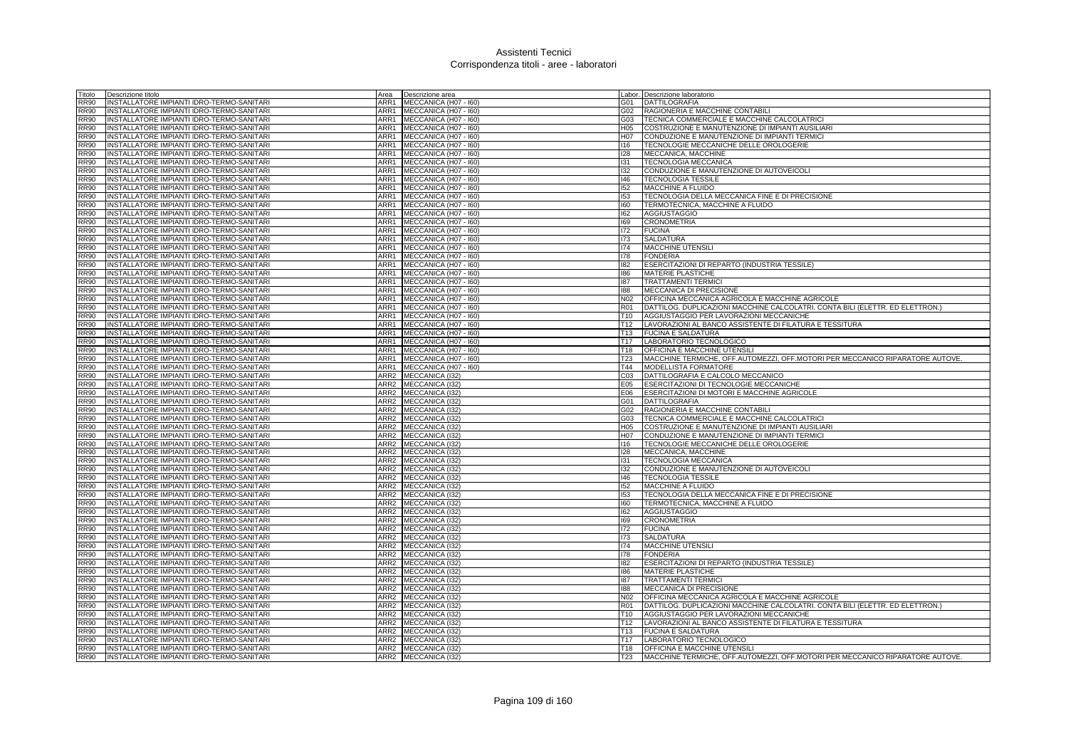| Titolo                     | Descrizione titolo                                                                     | Area             | Descrizione area                   |                  | Labor. Descrizione laboratorio                                                 |
|----------------------------|----------------------------------------------------------------------------------------|------------------|------------------------------------|------------------|--------------------------------------------------------------------------------|
| <b>RR90</b>                | INSTALLATORE IMPIANTI IDRO-TERMO-SANITARI                                              | ARR1             | MECCANICA (H07 - I60)              | G01              | DATTILOGRAFIA                                                                  |
| <b>RR90</b>                | INSTALLATORE IMPIANTI IDRO-TERMO-SANITARI                                              | ARR1             | MECCANICA (H07 - I60)              | G02              | RAGIONERIA E MACCHINE CONTABILI                                                |
| <b>RR90</b>                | INSTALLATORE IMPIANTI IDRO-TERMO-SANITARI                                              | ARR1             | MECCANICA (H07 - I60)              | G03              | TECNICA COMMERCIALE E MACCHINE CALCOLATRICI                                    |
| <b>RR90</b>                | INSTALLATORE IMPIANTI IDRO-TERMO-SANITARI                                              | ARR1             | MECCANICA (H07 - I60)              | H05              | COSTRUZIONE E MANUTENZIONE DI IMPIANTI AUSILIARI                               |
| <b>RR90</b>                | INSTALLATORE IMPIANTI IDRO-TERMO-SANITARI                                              | ARR1             | MECCANICA (H07 - I60)              | H07              | CONDUZIONE E MANUTENZIONE DI IMPIANTI TERMICI                                  |
| <b>RR90</b>                | INSTALLATORE IMPIANTI IDRO-TERMO-SANITARI                                              | ARR1             | MECCANICA (H07 - I60)              | 116              | TECNOLOGIE MECCANICHE DELLE OROLOGERIE                                         |
| <b>RR90</b>                | INSTALLATORE IMPIANTI IDRO-TERMO-SANITARI                                              | ARR1             | MECCANICA (H07 - I60)              | 128              | MECCANICA, MACCHINE                                                            |
| <b>RR90</b>                | INSTALLATORE IMPIANTI IDRO-TERMO-SANITARI                                              | ARR1             | MECCANICA (H07 - I60)              | 131              | <b>TECNOLOGIA MECCANICA</b>                                                    |
| <b>RR90</b>                | INSTALLATORE IMPIANTI IDRO-TERMO-SANITARI                                              | ARR1             | MECCANICA (H07 - I60)              | 132              | CONDUZIONE E MANUTENZIONE DI AUTOVEICOLI                                       |
| <b>RR90</b>                | INSTALLATORE IMPIANTI IDRO-TERMO-SANITARI                                              | ARR1             | MECCANICA (H07 - 160)              | 146              | <b>TECNOLOGIA TESSILE</b>                                                      |
| <b>RR90</b>                | INSTALLATORE IMPIANTI IDRO-TERMO-SANITARI                                              | ARR1             | MECCANICA (H07 - I60)              | 152              | MACCHINE A FLUIDO                                                              |
| <b>RR90</b>                | INSTALLATORE IMPIANTI IDRO-TERMO-SANITARI                                              | ARR1             | MECCANICA (H07 - I60)              | 153              | TECNOLOGIA DELLA MECCANICA FINE E DI PRECISIONE                                |
| <b>RR90</b>                | INSTALLATORE IMPIANTI IDRO-TERMO-SANITARI                                              | ARR1             | MECCANICA (H07 - I60)              | 160              | TERMOTECNICA, MACCHINE A FLUIDO                                                |
| <b>RR90</b>                | NSTALLATORE IMPIANTI IDRO-TERMO-SANITARI                                               | ARR1             | MECCANICA (H07 - I60)              | 162              | <b>AGGIUSTAGGIO</b>                                                            |
| <b>RR90</b>                | INSTALLATORE IMPIANTI IDRO-TERMO-SANITARI                                              | ARR1             | MECCANICA (H07 - I60)              | 169              | <b>CRONOMETRIA</b>                                                             |
| <b>RR90</b>                | NSTALLATORE IMPIANTI IDRO-TERMO-SANITARI                                               | ARR1             | MECCANICA (H07 - I60)              | 172              | <b>FUCINA</b>                                                                  |
| <b>RR90</b>                | INSTALLATORE IMPIANTI IDRO-TERMO-SANITARI                                              | ARR1             | MECCANICA (H07 - I60)              | 173              | <b>SALDATURA</b>                                                               |
| <b>RR90</b>                | INSTALLATORE IMPIANTI IDRO-TERMO-SANITARI                                              | ARR1             | MECCANICA (H07 - I60)              | 174              | MACCHINE UTENSILI                                                              |
| <b>RR90</b>                | INSTALLATORE IMPIANTI IDRO-TERMO-SANITARI                                              | ARR1             | MECCANICA (H07 - I60)              | 178              | <b>FONDERIA</b>                                                                |
| <b>RR90</b>                | NSTALLATORE IMPIANTI IDRO-TERMO-SANITARI                                               | ARR1             | MECCANICA (H07 - I60)              | 182              | ESERCITAZIONI DI REPARTO (INDUSTRIA TESSILE)                                   |
| <b>RR90</b>                | INSTALLATORE IMPIANTI IDRO-TERMO-SANITARI                                              | ARR1             | MECCANICA (H07 - 160)              | 186              | <b>MATERIE PLASTICHE</b>                                                       |
| <b>RR90</b>                | INSTALLATORE IMPIANTI IDRO-TERMO-SANITARI                                              | ARR1             | MECCANICA (H07 - I60)              | 187              | <b>TRATTAMENTI TERMICI</b>                                                     |
| <b>RR90</b>                | INSTALLATORE IMPIANTI IDRO-TERMO-SANITARI                                              | ARR1             | MECCANICA (H07 - I60)              | 188              | MECCANICA DI PRECISIONE                                                        |
| <b>RR90</b>                | INSTALLATORE IMPIANTI IDRO-TERMO-SANITARI                                              | ARR1             | MECCANICA (H07 - I60)              | N02              | OFFICINA MECCANICA AGRICOLA E MACCHINE AGRICOLE                                |
| <b>RR90</b>                | INSTALLATORE IMPIANTI IDRO-TERMO-SANITARI                                              | ARR1             | MECCANICA (H07 - I60)              | <b>R01</b>       | DATTILOG. DUPLICAZIONI MACCHINE CALCOLATRI. CONTA BILI (ELETTR. ED ELETTRON.)  |
| <b>RR90</b>                | INSTALLATORE IMPIANTI IDRO-TERMO-SANITARI                                              | ARR1             | MECCANICA (H07 - I60)              | T10              | AGGIUSTAGGIO PER LAVORAZIONI MECCANICHE                                        |
| <b>RR90</b>                | INSTALLATORE IMPIANTI IDRO-TERMO-SANITARI                                              | ARR1             | MECCANICA (H07 - I60)              | T <sub>12</sub>  | LAVORAZIONI AL BANCO ASSISTENTE DI FILATURA E TESSITURA                        |
| <b>RR90</b>                | INSTALLATORE IMPIANTI IDRO-TERMO-SANITARI                                              | ARR1             | MECCANICA (H07 - I60)              | T13              | <b>FUCINA E SALDATURA</b>                                                      |
| <b>RR90</b>                | INSTALLATORE IMPIANTI IDRO-TERMO-SANITARI                                              | ARR1             | MECCANICA (H07 - I60)              | T <sub>17</sub>  | LABORATORIO TECNOLOGICO                                                        |
| <b>RR90</b>                | INSTALLATORE IMPIANTI IDRO-TERMO-SANITARI                                              | ARR1             | MECCANICA (H07 - I60)              | T <sub>18</sub>  | OFFICINA E MACCHINE UTENSILI                                                   |
| <b>RR90</b>                | INSTALLATORE IMPIANTI IDRO-TERMO-SANITARI                                              | ARR1             | MECCANICA (H07 - I60)              | <b>T23</b>       | MACCHINE TERMICHE, OFF.AUTOMEZZI, OFF.MOTORI PER MECCANICO RIPARATORE AUTOVE.  |
| <b>RR90</b>                | INSTALLATORE IMPIANTI IDRO-TERMO-SANITARI                                              | ARR1             | MECCANICA (H07 - I60)              | T44              | MODELLISTA FORMATORE                                                           |
| <b>RR90</b>                | INSTALLATORE IMPIANTI IDRO-TERMO-SANITARI                                              | ARR2             | MECCANICA (I32)                    | CO <sub>3</sub>  | DATTILOGRAFIA E CALCOLO MECCANICO                                              |
| <b>RR90</b>                | INSTALLATORE IMPIANTI IDRO-TERMO-SANITARI                                              | ARR2             | MECCANICA (I32)                    | E05              | ESERCITAZIONI DI TECNOLOGIE MECCANICHE                                         |
| <b>RR90</b>                | INSTALLATORE IMPIANTI IDRO-TERMO-SANITARI                                              | ARR2             | MECCANICA (I32)                    | E06              | ESERCITAZIONI DI MOTORI E MACCHINE AGRICOLE                                    |
| <b>RR90</b>                | INSTALLATORE IMPIANTI IDRO-TERMO-SANITARI                                              | ARR2             | <b>MECCANICA (I32)</b>             | G01              | DATTILOGRAFIA                                                                  |
| <b>RR90</b><br><b>RR90</b> | INSTALLATORE IMPIANTI IDRO-TERMO-SANITARI<br>INSTALLATORE IMPIANTI IDRO-TERMO-SANITARI | ARR2             | ARR2 MECCANICA (I32)               | G02<br>G03       | RAGIONERIA E MACCHINE CONTABILI<br>TECNICA COMMERCIALE E MACCHINE CALCOLATRICI |
| <b>RR90</b>                | INSTALLATORE IMPIANTI IDRO-TERMO-SANITARI                                              | ARR2             | MECCANICA (I32)<br>MECCANICA (I32) | H <sub>05</sub>  | COSTRUZIONE E MANUTENZIONE DI IMPIANTI AUSILIARI                               |
| <b>RR90</b>                | INSTALLATORE IMPIANTI IDRO-TERMO-SANITARI                                              | ARR <sub>2</sub> | MECCANICA (I32)                    | H <sub>0</sub> 7 | CONDUZIONE E MANUTENZIONE DI IMPIANTI TERMICI                                  |
| <b>RR90</b>                | INSTALLATORE IMPIANTI IDRO-TERMO-SANITARI                                              | ARR2             | MECCANICA (I32)                    | 116              | TECNOLOGIE MECCANICHE DELLE OROLOGERIE                                         |
| <b>RR90</b>                | INSTALLATORE IMPIANTI IDRO-TERMO-SANITARI                                              | ARR2             | MECCANICA (I32)                    | 128              | MECCANICA, MACCHINE                                                            |
| <b>RR90</b>                | INSTALLATORE IMPIANTI IDRO-TERMO-SANITARI                                              | ARR2             | <b>MECCANICA (I32)</b>             | 131              | <b>TECNOLOGIA MECCANICA</b>                                                    |
| <b>RR90</b>                | INSTALLATORE IMPIANTI IDRO-TERMO-SANITARI                                              | ARR2             | MECCANICA (I32)                    | 132              | CONDUZIONE E MANUTENZIONE DI AUTOVEICOLI                                       |
| <b>RR90</b>                | INSTALLATORE IMPIANTI IDRO-TERMO-SANITARI                                              | ARR2             | MECCANICA (I32)                    | 146              | <b>TECNOLOGIA TESSILE</b>                                                      |
| <b>RR90</b>                | INSTALLATORE IMPIANTI IDRO-TERMO-SANITARI                                              |                  | ARR2 MECCANICA (I32)               | 152              | <b>MACCHINE A FLUIDO</b>                                                       |
| <b>RR90</b>                | INSTALLATORE IMPIANTI IDRO-TERMO-SANITARI                                              | ARR2             | MECCANICA (I32)                    | 153              | TECNOLOGIA DELLA MECCANICA FINE E DI PRECISIONE                                |
| <b>RR90</b>                | INSTALLATORE IMPIANTI IDRO-TERMO-SANITARI                                              | ARR2             | MECCANICA (I32)                    | 160              | TERMOTECNICA, MACCHINE A FLUIDO                                                |
| <b>RR90</b>                | INSTALLATORE IMPIANTI IDRO-TERMO-SANITARI                                              | ARR2             | MECCANICA (I32)                    | 162              | <b>AGGIUSTAGGIO</b>                                                            |
| <b>RR90</b>                | INSTALLATORE IMPIANTI IDRO-TERMO-SANITARI                                              | ARR2             | MECCANICA (I32)                    | 169              | <b>CRONOMETRIA</b>                                                             |
| <b>RR90</b>                | INSTALLATORE IMPIANTI IDRO-TERMO-SANITARI                                              | ARR2             | MECCANICA (I32)                    | 172              | <b>FUCINA</b>                                                                  |
| <b>RR90</b>                | INSTALLATORE IMPIANTI IDRO-TERMO-SANITARI                                              | ARR <sub>2</sub> | MECCANICA (I32)                    | 173              | <b>SALDATURA</b>                                                               |
| <b>RR90</b>                | INSTALLATORE IMPIANTI IDRO-TERMO-SANITARI                                              | ARR2             | MECCANICA (I32)                    | 174              | MACCHINE UTENSILI                                                              |
| <b>RR90</b>                | INSTALLATORE IMPIANTI IDRO-TERMO-SANITARI                                              |                  | ARR2 MECCANICA (132)               | 178              | <b>FONDERIA</b>                                                                |
| <b>RR90</b>                | INSTALLATORE IMPIANTI IDRO-TERMO-SANITARI                                              | ARR2             | MECCANICA (I32)                    | 182              | ESERCITAZIONI DI REPARTO (INDUSTRIA TESSILE)                                   |
| <b>RR90</b>                | INSTALLATORE IMPIANTI IDRO-TERMO-SANITARI                                              | ARR2             | MECCANICA (132)                    | 186              | <b>MATERIE PLASTICHE</b>                                                       |
| <b>RR90</b>                | INSTALLATORE IMPIANTI IDRO-TERMO-SANITARI                                              | ARR <sub>2</sub> | MECCANICA (I32)                    | 187              | <b>TRATTAMENTI TERMICI</b>                                                     |
| <b>RR90</b>                | INSTALLATORE IMPIANTI IDRO-TERMO-SANITARI                                              | ARR2             | MECCANICA (I32)                    | 188              | MECCANICA DI PRECISIONE                                                        |
| <b>RR90</b>                | NSTALLATORE IMPIANTI IDRO-TERMO-SANITARI                                               | ARR2             | MECCANICA (I32)                    | N <sub>02</sub>  | OFFICINA MECCANICA AGRICOLA E MACCHINE AGRICOLE                                |
| <b>RR90</b>                | INSTALLATORE IMPIANTI IDRO-TERMO-SANITARI                                              | ARR2             | MECCANICA (132)                    | <b>R01</b>       | DATTILOG. DUPLICAZIONI MACCHINE CALCOLATRI. CONTA BILI (ELETTR. ED ELETTRON.)  |
| <b>RR90</b>                | INSTALLATORE IMPIANTI IDRO-TERMO-SANITARI                                              | ARR <sub>2</sub> | MECCANICA (I32)                    | T <sub>10</sub>  | AGGIUSTAGGIO PER LAVORAZIONI MECCANICHE                                        |
| <b>RR90</b>                | INSTALLATORE IMPIANTI IDRO-TERMO-SANITARI                                              | ARR2             | MECCANICA (I32)                    | T <sub>12</sub>  | LAVORAZIONI AL BANCO ASSISTENTE DI FILATURA E TESSITURA                        |
| <b>RR90</b>                | NSTALLATORE IMPIANTI IDRO-TERMO-SANITARI                                               | ARR2             | MECCANICA (I32)                    | T <sub>13</sub>  | <b>FUCINA E SALDATURA</b>                                                      |
| <b>RR90</b>                | NSTALLATORE IMPIANTI IDRO-TERMO-SANITARI                                               | ARR2             | MECCANICA (132)                    | T <sub>17</sub>  | LABORATORIO TECNOLOGICO                                                        |
| <b>RR90</b>                | INSTALLATORE IMPIANTI IDRO-TERMO-SANITARI                                              | ARR2             | MECCANICA (132)                    | T <sub>18</sub>  | OFFICINA E MACCHINE UTENSILI                                                   |
| <b>RR90</b>                | INSTALLATORE IMPIANTI IDRO-TERMO-SANITARI                                              |                  | ARR2 MECCANICA (I32)               | T <sub>23</sub>  | MACCHINE TERMICHE, OFF AUTOMEZZI, OFF MOTORI PER MECCANICO RIPARATORE AUTOVE.  |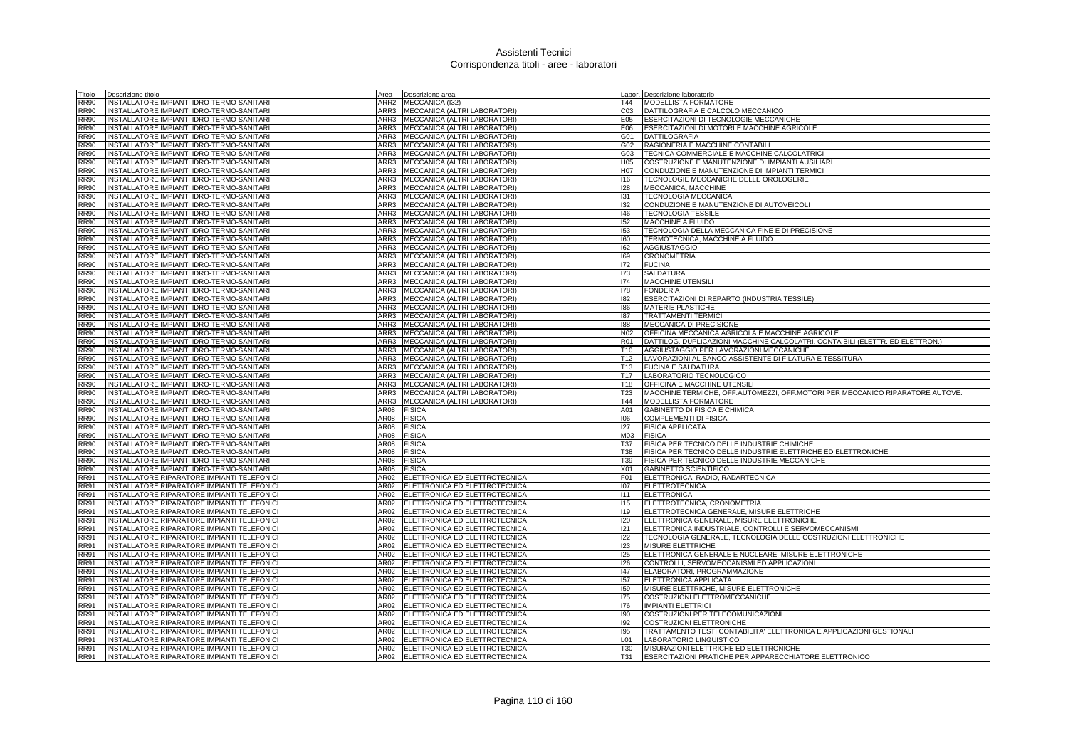| Titolo                     | Descrizione titolo                                                                         | Area         | Descrizione area                                               |                 | Labor. Descrizione laboratorio                                                |
|----------------------------|--------------------------------------------------------------------------------------------|--------------|----------------------------------------------------------------|-----------------|-------------------------------------------------------------------------------|
| <b>RR90</b>                | INSTALLATORE IMPIANTI IDRO-TERMO-SANITARI                                                  | ARR2         | MECCANICA (132)                                                | T44             | MODELLISTA FORMATORE                                                          |
| <b>RR90</b>                | INSTALLATORE IMPIANTI IDRO-TERMO-SANITARI                                                  | ARR3         | MECCANICA (ALTRI LABORATORI)                                   | CO <sub>3</sub> | DATTILOGRAFIA E CALCOLO MECCANICO                                             |
| <b>RR90</b>                | INSTALLATORE IMPIANTI IDRO-TERMO-SANITARI                                                  | ARR3         | MECCANICA (ALTRI LABORATORI)                                   | E05             | ESERCITAZIONI DI TECNOLOGIE MECCANICHE                                        |
| <b>RR90</b>                | INSTALLATORE IMPIANTI IDRO-TERMO-SANITARI                                                  |              | ARR3 MECCANICA (ALTRI LABORATORI)                              | E06             | ESERCITAZIONI DI MOTORI E MACCHINE AGRICOLE                                   |
| <b>RR90</b>                | INSTALLATORE IMPIANTI IDRO-TERMO-SANITARI                                                  | ARR3         | MECCANICA (ALTRI LABORATORI)                                   | G01             | <b>DATTILOGRAFIA</b>                                                          |
| <b>RR90</b>                | INSTALLATORE IMPIANTI IDRO-TERMO-SANITARI                                                  | ARR3         | MECCANICA (ALTRI LABORATORI)                                   | G02             | RAGIONERIA E MACCHINE CONTABILI                                               |
| <b>RR90</b>                | INSTALLATORE IMPIANTI IDRO-TERMO-SANITARI                                                  | ARR3         | MECCANICA (ALTRI LABORATORI)                                   | G03             | TECNICA COMMERCIALE E MACCHINE CALCOLATRICI                                   |
| <b>RR90</b>                | NSTALLATORE IMPIANTI IDRO-TERMO-SANITARI                                                   | ARR3         | MECCANICA (ALTRI LABORATORI)                                   | H05             | COSTRUZIONE E MANUTENZIONE DI IMPIANTI AUSILIARI                              |
| <b>RR90</b>                | INSTALLATORE IMPIANTI IDRO-TERMO-SANITARI                                                  | ARR3         | MECCANICA (ALTRI LABORATORI)                                   | H07             | CONDUZIONE E MANUTENZIONE DI IMPIANTI TERMICI                                 |
| <b>RR90</b>                | INSTALLATORE IMPIANTI IDRO-TERMO-SANITARI                                                  | ARR3         | MECCANICA (ALTRI LABORATORI)                                   | 116             | TECNOLOGIE MECCANICHE DELLE OROLOGERIE                                        |
| <b>RR90</b>                | INSTALLATORE IMPIANTI IDRO-TERMO-SANITARI                                                  | ARR3         | MECCANICA (ALTRI LABORATORI)                                   | 128             | MECCANICA, MACCHINE                                                           |
| <b>RR90</b>                | INSTALLATORE IMPIANTI IDRO-TERMO-SANITARI                                                  | ARR3         | MECCANICA (ALTRI LABORATORI)                                   | 131             | TECNOLOGIA MECCANICA                                                          |
| <b>RR90</b>                | INSTALLATORE IMPIANTI IDRO-TERMO-SANITARI                                                  | ARR3         | MECCANICA (ALTRI LABORATORI)                                   | 132             | CONDUZIONE E MANUTENZIONE DI AUTOVEICOLI                                      |
| <b>RR90</b>                | INSTALLATORE IMPIANTI IDRO-TERMO-SANITARI                                                  | ARR3         | MECCANICA (ALTRI LABORATORI)                                   | 146             | <b>TECNOLOGIA TESSILE</b>                                                     |
| <b>RR90</b>                | INSTALLATORE IMPIANTI IDRO-TERMO-SANITARI                                                  | ARR3         | MECCANICA (ALTRI LABORATORI)                                   | 152             | MACCHINE A FLUIDO                                                             |
| <b>RR90</b>                | INSTALLATORE IMPIANTI IDRO-TERMO-SANITARI                                                  | ARR3         | MECCANICA (ALTRI LABORATORI)                                   | 153             | TECNOLOGIA DELLA MECCANICA FINE E DI PRECISIONE                               |
| <b>RR90</b>                | INSTALLATORE IMPIANTI IDRO-TERMO-SANITARI                                                  | ARR3         | MECCANICA (ALTRI LABORATORI)                                   | 160             | TERMOTECNICA, MACCHINE A FLUIDO                                               |
| <b>RR90</b>                | INSTALLATORE IMPIANTI IDRO-TERMO-SANITARI                                                  | ARR3         | MECCANICA (ALTRI LABORATORI)                                   | 162             | <b>AGGIUSTAGGIO</b>                                                           |
| <b>RR90</b>                | INSTALLATORE IMPIANTI IDRO-TERMO-SANITARI                                                  | ARR3         | MECCANICA (ALTRI LABORATORI)                                   | 169             | <b>CRONOMETRIA</b>                                                            |
| <b>RR90</b>                | INSTALLATORE IMPIANTI IDRO-TERMO-SANITARI                                                  | ARR3         | MECCANICA (ALTRI LABORATORI)                                   | 172             | <b>FUCINA</b>                                                                 |
| <b>RR90</b>                | INSTALLATORE IMPIANTI IDRO-TERMO-SANITARI                                                  |              | ARR3 MECCANICA (ALTRI LABORATORI)                              | 173             | <b>SALDATURA</b>                                                              |
| <b>RR90</b>                | INSTALLATORE IMPIANTI IDRO-TERMO-SANITARI                                                  | ARR3         | MECCANICA (ALTRI LABORATORI)                                   | 174             | <b>MACCHINE UTENSILI</b>                                                      |
| <b>RR90</b>                | INSTALLATORE IMPIANTI IDRO-TERMO-SANITARI                                                  | ARR3         | MECCANICA (ALTRI LABORATORI)                                   | 178             | <b>FONDERIA</b>                                                               |
| <b>RR90</b>                | INSTALLATORE IMPIANTI IDRO-TERMO-SANITARI                                                  | ARR3         | MECCANICA (ALTRI LABORATORI)                                   | 182             | ESERCITAZIONI DI REPARTO (INDUSTRIA TESSILE)                                  |
| <b>RR90</b>                | INSTALLATORE IMPIANTI IDRO-TERMO-SANITARI                                                  | ARR3         | MECCANICA (ALTRI LABORATORI)                                   | 186             | MATERIE PLASTICHE                                                             |
| <b>RR90</b>                | INSTALLATORE IMPIANTI IDRO-TERMO-SANITARI                                                  | ARR3         | MECCANICA (ALTRI LABORATORI)                                   | 187             | <b>TRATTAMENTI TERMICI</b>                                                    |
| <b>RR90</b>                | INSTALLATORE IMPIANTI IDRO-TERMO-SANITARI                                                  | ARR3         | MECCANICA (ALTRI LABORATORI)                                   | 188             | MECCANICA DI PRECISIONE                                                       |
| <b>RR90</b>                | INSTALLATORE IMPIANTI IDRO-TERMO-SANITARI                                                  | ARR3         | MECCANICA (ALTRI LABORATORI)                                   | N02             | OFFICINA MECCANICA AGRICOLA E MACCHINE AGRICOLE                               |
| <b>RR90</b>                | INSTALLATORE IMPIANTI IDRO-TERMO-SANITARI                                                  | ARR3         | MECCANICA (ALTRI LABORATORI)                                   | <b>R01</b>      | DATTILOG. DUPLICAZIONI MACCHINE CALCOLATRI. CONTA BILI (ELETTR. ED ELETTRON.) |
| <b>RR90</b>                | INSTALLATORE IMPIANTI IDRO-TERMO-SANITARI                                                  | ARR3         | MECCANICA (ALTRI LABORATORI)                                   | T <sub>10</sub> | AGGIUSTAGGIO PER LAVORAZIONI MECCANICHE                                       |
| <b>RR90</b>                | INSTALLATORE IMPIANTI IDRO-TERMO-SANITARI                                                  | ARR3         | MECCANICA (ALTRI LABORATORI)                                   | T <sub>12</sub> | LAVORAZIONI AL BANCO ASSISTENTE DI FILATURA E TESSITURA                       |
| <b>RR90</b>                | INSTALLATORE IMPIANTI IDRO-TERMO-SANITARI                                                  | ARR3         | MECCANICA (ALTRI LABORATORI)                                   | T <sub>13</sub> | <b>FUCINA E SALDATURA</b>                                                     |
| <b>RR90</b>                | INSTALLATORE IMPIANTI IDRO-TERMO-SANITARI                                                  | ARR3         | MECCANICA (ALTRI LABORATORI)                                   | T17             | LABORATORIO TECNOLOGICO                                                       |
| <b>RR90</b>                | INSTALLATORE IMPIANTI IDRO-TERMO-SANITARI                                                  | ARR3         | MECCANICA (ALTRI LABORATORI)                                   | T18             | OFFICINA E MACCHINE UTENSILI                                                  |
| <b>RR90</b>                | INSTALLATORE IMPIANTI IDRO-TERMO-SANITARI                                                  | ARR3         | MECCANICA (ALTRI LABORATORI)                                   | <b>T23</b>      | MACCHINE TERMICHE, OFF.AUTOMEZZI, OFF.MOTORI PER MECCANICO RIPARATORE AUTOVE. |
| <b>RR90</b>                | INSTALLATORE IMPIANTI IDRO-TERMO-SANITARI                                                  | ARR3         | MECCANICA (ALTRI LABORATORI)                                   | T44             | MODELLISTA FORMATORE                                                          |
| <b>RR90</b>                | INSTALLATORE IMPIANTI IDRO-TERMO-SANITARI                                                  | AR08         | <b>FISICA</b>                                                  | A01             | GABINETTO DI FISICA E CHIMICA                                                 |
| <b>RR90</b>                | INSTALLATORE IMPIANTI IDRO-TERMO-SANITARI                                                  | AR08         | <b>FISICA</b>                                                  | 106             | <b>COMPLEMENTI DI FISICA</b>                                                  |
| <b>RR90</b>                | INSTALLATORE IMPIANTI IDRO-TERMO-SANITARI                                                  | AR08         | <b>FISICA</b>                                                  | 127             | <b>FISICA APPLICATA</b>                                                       |
| <b>RR90</b>                | INSTALLATORE IMPIANTI IDRO-TERMO-SANITARI                                                  | AR08         | <b>FISICA</b>                                                  | M03             | <b>FISICA</b>                                                                 |
| <b>RR90</b>                | INSTALLATORE IMPIANTI IDRO-TERMO-SANITARI                                                  | AR08         | <b>FISICA</b>                                                  | <b>T37</b>      | FISICA PER TECNICO DELLE INDUSTRIE CHIMICHE                                   |
| <b>RR90</b>                | INSTALLATORE IMPIANTI IDRO-TERMO-SANITARI                                                  | AR08         | <b>FISICA</b>                                                  | <b>T38</b>      | FISICA PER TECNICO DELLE INDUSTRIE ELETTRICHE ED ELETTRONICHE                 |
| <b>RR90</b>                | INSTALLATORE IMPIANTI IDRO-TERMO-SANITARI                                                  | AR08         | <b>FISICA</b>                                                  | T39             | FISICA PER TECNICO DELLE INDUSTRIE MECCANICHE                                 |
| <b>RR90</b>                | INSTALLATORE IMPIANTI IDRO-TERMO-SANITARI                                                  | AR08         | <b>FISICA</b>                                                  | X01             | <b>GABINETTO SCIENTIFICO</b>                                                  |
| <b>RR91</b>                | INSTALLATORE RIPARATORE IMPIANTI TELEFONICI                                                | AR02         | ELETTRONICA ED ELETTROTECNICA                                  | F01             | ELETTRONICA, RADIO, RADARTECNICA                                              |
| <b>RR91</b>                | INSTALLATORE RIPARATORE IMPIANTI TELEFONICI                                                | AR02         | ELETTRONICA ED ELETTROTECNICA                                  | 107             | <b>ELETTROTECNICA</b>                                                         |
| <b>RR91</b>                | INSTALLATORE RIPARATORE IMPIANTI TELEFONICI                                                | AR02         | ELETTRONICA ED ELETTROTECNICA                                  | 111             | <b>ELETTRONICA</b>                                                            |
| <b>RR91</b>                | INSTALLATORE RIPARATORE IMPIANTI TELEFONICI                                                | AR02         | ELETTRONICA ED ELETTROTECNICA                                  | 115             | ELETTROTECNICA, CRONOMETRIA                                                   |
| <b>RR91</b>                | INSTALLATORE RIPARATORE IMPIANTI TELEFONICI                                                | AR02         | ELETTRONICA ED ELETTROTECNICA                                  | 119             | ELETTROTECNICA GENERALE, MISURE ELETTRICHE                                    |
| <b>RR91</b>                | INSTALLATORE RIPARATORE IMPIANTI TELEFONICI                                                | AR02         | ELETTRONICA ED ELETTROTECNICA                                  | 120             | ELETTRONICA GENERALE, MISURE ELETTRONICHE                                     |
| <b>RR91</b>                | INSTALLATORE RIPARATORE IMPIANTI TELEFONICI                                                | AR02         | ELETTRONICA ED ELETTROTECNICA                                  | 121             | ELETTRONICA INDUSTRIALE, CONTROLLI E SERVOMECCANISMI                          |
| <b>RR91</b>                | INSTALLATORE RIPARATORE IMPIANTI TELEFONICI                                                | AR02         | ELETTRONICA ED ELETTROTECNICA                                  | 122             | TECNOLOGIA GENERALE, TECNOLOGIA DELLE COSTRUZIONI ELETTRONICHE                |
| <b>RR91</b><br><b>RR91</b> | INSTALLATORE RIPARATORE IMPIANTI TELEFONICI<br>INSTALLATORE RIPARATORE IMPIANTI TELEFONICI | AR02<br>AR02 | ELETTRONICA ED ELETTROTECNICA<br>ELETTRONICA ED ELETTROTECNICA | 123<br>125      | MISURE ELETTRICHE<br>ELETTRONICA GENERALE E NUCLEARE, MISURE ELETTRONICHE     |
| <b>RR91</b>                | INSTALLATORE RIPARATORE IMPIANTI TELEFONICI                                                | AR02         | ELETTRONICA ED ELETTROTECNICA                                  | 126             | CONTROLLI, SERVOMECCANISMI ED APPLICAZIONI                                    |
| <b>RR91</b>                | INSTALLATORE RIPARATORE IMPIANTI TELEFONICI                                                | AR02         | ELETTRONICA ED ELETTROTECNICA                                  | 147             | ELABORATORI, PROGRAMMAZIONE                                                   |
| <b>RR91</b>                | INSTALLATORE RIPARATORE IMPIANTI TELEFONICI                                                | AR02         | ELETTRONICA ED ELETTROTECNICA                                  | 157             | ELETTRONICA APPLICATA                                                         |
| <b>RR91</b>                | NSTALLATORE RIPARATORE IMPIANTI TELEFONICI                                                 | AR02         | ELETTRONICA ED ELETTROTECNICA                                  | 159             | MISURE ELETTRICHE, MISURE ELETTRONICHE                                        |
| <b>RR91</b>                | INSTALLATORE RIPARATORE IMPIANTI TELEFONICI                                                | AR02         | ELETTRONICA ED ELETTROTECNICA                                  | 175             | COSTRUZIONI ELETTROMECCANICHE                                                 |
| <b>RR91</b>                | NSTALLATORE RIPARATORE IMPIANTI TELEFONICI                                                 | AR02         | ELETTRONICA ED ELETTROTECNICA                                  | 176             | <b>IMPIANTI ELETTRICI</b>                                                     |
| <b>RR91</b>                | INSTALLATORE RIPARATORE IMPIANTI TELEFONICI                                                | AR02         | ELETTRONICA ED ELETTROTECNICA                                  | 190             | COSTRUZIONI PER TELECOMUNICAZIONI                                             |
| <b>RR91</b>                | INSTALLATORE RIPARATORE IMPIANTI TELEFONICI                                                | AR02         | ELETTRONICA ED ELETTROTECNICA                                  | 192             | COSTRUZIONI ELETTRONICHE                                                      |
| <b>RR91</b>                | INSTALLATORE RIPARATORE IMPIANTI TELEFONICI                                                | AR02         | ELETTRONICA ED ELETTROTECNICA                                  | 195             | TRATTAMENTO TESTI CONTABILITA' ELETTRONICA E APPLICAZIONI GESTIONALI          |
| <b>RR91</b>                | NSTALLATORE RIPARATORE IMPIANTI TELEFONICI                                                 | AR02         | ELETTRONICA ED ELETTROTECNICA                                  | 101             | LABORATORIO LINGUISTICO                                                       |
| <b>RR91</b>                | INSTALLATORE RIPARATORE IMPIANTI TELEFONICI                                                | AR02         | ELETTRONICA ED ELETTROTECNICA                                  | <b>T30</b>      | MISURAZIONI ELETTRICHE ED ELETTRONICHE                                        |
| <b>RR91</b>                | INSTALLATORE RIPARATORE IMPIANTI TELEFONICI                                                | AR02         | ELETTRONICA ED ELETTROTECNICA                                  | T31             | ESERCITAZIONI PRATICHE PER APPARECCHIATORE ELETTRONICO                        |
|                            |                                                                                            |              |                                                                |                 |                                                                               |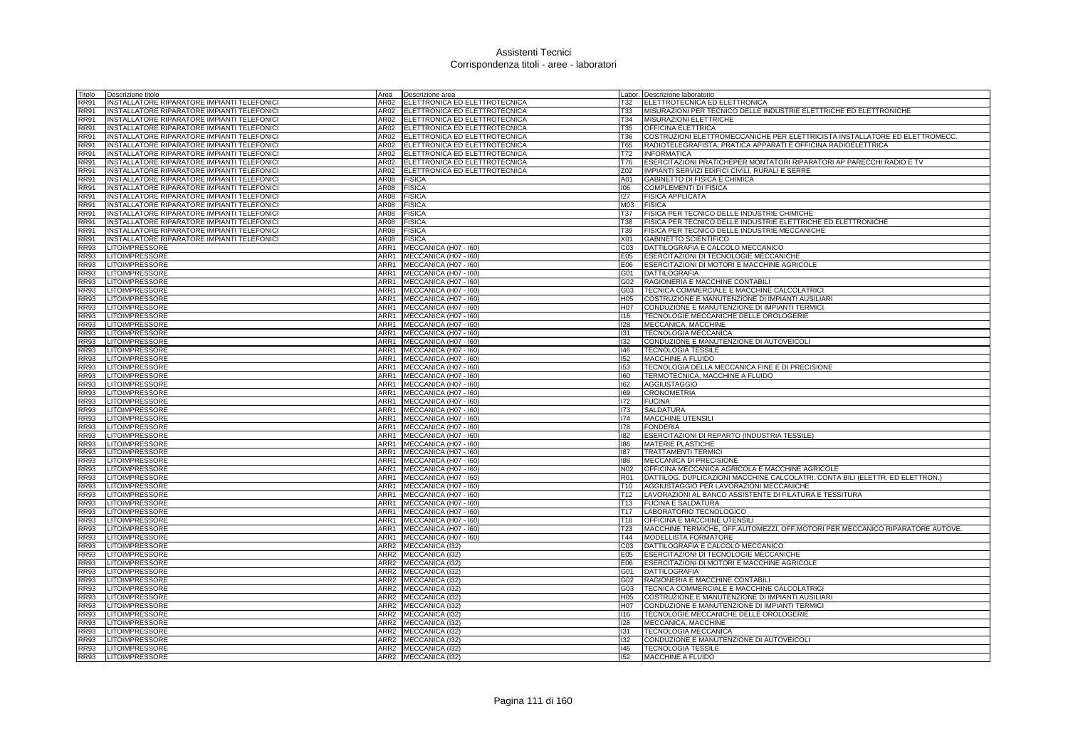| Titolo                     | Descrizione titolo                             | Area        | Descrizione area                                    |                 | Labor. Descrizione laboratorio                                                     |
|----------------------------|------------------------------------------------|-------------|-----------------------------------------------------|-----------------|------------------------------------------------------------------------------------|
| <b>RR91</b>                | INSTALLATORE RIPARATORE IMPIANTI TELEFONICI    | AR02        | ELETTRONICA ED ELETTROTECNICA                       | T32             | ELETTROTECNICA ED ELETTRONICA                                                      |
| <b>RR91</b>                | INSTALLATORE RIPARATORE IMPIANTI TELEFONICI    |             | AR02 ELETTRONICA ED ELETTROTECNICA                  | <b>T33</b>      | MISURAZIONI PER TECNICO DELLE INDUSTRIE ELETTRICHE ED ELETTRONICHE                 |
| <b>RR91</b>                | INSTALLATORE RIPARATORE IMPIANTI TELEFONICI    |             | AR02 ELETTRONICA ED ELETTROTECNICA                  | T34             | MISURAZIONI ELETTRICHE                                                             |
| <b>RR91</b>                | INSTALLATORE RIPARATORE IMPIANTI TELEFONICI    |             | AR02 ELETTRONICA ED ELETTROTECNICA                  | T35             | <b>OFFICINA ELETTRICA</b>                                                          |
| <b>RR91</b>                | INSTALLATORE RIPARATORE IMPIANTI TELEFONICI    |             | AR02 ELETTRONICA ED ELETTROTECNICA                  | T36             | COSTRUZIONI ELETTROMECCANICHE PER ELETTRICISTA INSTALLATORE ED ELETTROMECC         |
| <b>RR91</b>                | INSTALLATORE RIPARATORE IMPIANTI TELEFONICI    |             | AR02 ELETTRONICA ED ELETTROTECNICA                  | T65             | RADIOTELEGRAFISTA, PRATICA APPARATI E OFFICINA RADIOELETTRICA                      |
| <b>RR91</b>                | NSTALLATORE RIPARATORE IMPIANTI TELEFONICI     |             | AR02 ELETTRONICA ED ELETTROTECNICA                  | T72             | <b>INFORMATICA</b>                                                                 |
| <b>RR91</b>                | INSTALLATORE RIPARATORE IMPIANTI TELEFONICI    | AR02        | ELETTRONICA ED ELETTROTECNICA                       | T76             | ESERCITAZIONI PRATICHEPER MONTATORI RIPARATORI AP PARECCHI RADIO E TV              |
| <b>RR91</b>                | INSTALLATORE RIPARATORE IMPIANTI TELEFONICI    | AR02        | ELETTRONICA ED ELETTROTECNICA                       | Z02             | IMPIANTI SERVIZI EDIFICI CIVILI. RURALI E SERRE                                    |
| <b>RR91</b>                | INSTALLATORE RIPARATORE IMPIANTI TELEFONICI    | AR08 FISICA |                                                     | A01             | <b>GABINETTO DI FISICA E CHIMICA</b>                                               |
| <b>RR91</b>                | INSTALLATORE RIPARATORE IMPIANTI TELEFONICI    | 4R08        | <b>FISICA</b>                                       | 106             | <b>COMPLEMENTI DI FISICA</b>                                                       |
| <b>RR91</b>                | INSTALLATORE RIPARATORE IMPIANTI TELEFONICI    | AR08        | <b>FISICA</b>                                       | 127             | <b>FISICA APPLICATA</b>                                                            |
| <b>RR91</b>                | INSTALLATORE RIPARATORE IMPIANTI TELEFONICI    | AR08        | <b>FISICA</b>                                       | M03             | <b>FISICA</b>                                                                      |
| <b>RR91</b>                | INSTALLATORE RIPARATORE IMPIANTI TELEFONICI    | AR08        | <b>FISICA</b>                                       | <b>T37</b>      | FISICA PER TECNICO DELLE INDUSTRIE CHIMICHE                                        |
| <b>RR91</b>                | INSTALLATORE RIPARATORE IMPIANTI TELEFONICI    | AR08        | <b>FISICA</b>                                       | <b>T38</b>      | FISICA PER TECNICO DELLE INDUSTRIE ELETTRICHE ED ELETTRONICHE                      |
| <b>RR91</b>                | NSTALLATORE RIPARATORE IMPIANTI TELEFONICI     | AR08        | <b>FISICA</b>                                       | T39             | FISICA PER TECNICO DELLE INDUSTRIE MECCANICHE                                      |
| <b>RR91</b>                | INSTALLATORE RIPARATORE IMPIANTI TELEFONICI    | AR08        | <b>FISICA</b>                                       | X01             | <b>GABINETTO SCIENTIFICO</b>                                                       |
| <b>RR93</b>                | <b>LITOIMPRESSORE</b>                          | ARR1        | MECCANICA (H07 - I60)                               | CO <sub>3</sub> | DATTILOGRAFIA E CALCOLO MECCANICO                                                  |
| <b>RR93</b>                | <b>LITOIMPRESSORE</b>                          | ARR1        | MECCANICA (H07 - I60)                               | E05             | ESERCITAZIONI DI TECNOLOGIE MECCANICHE                                             |
| <b>RR93</b>                | <b>LITOIMPRESSORE</b>                          |             | ARR1 MECCANICA (H07 - 160)                          | E06             | ESERCITAZIONI DI MOTORI E MACCHINE AGRICOLE                                        |
| <b>RR93</b>                | <b>LITOIMPRESSORE</b>                          |             | ARR1 MECCANICA (H07 - 160)                          | G01             | <b>DATTILOGRAFIA</b>                                                               |
| <b>RR93</b>                | LITOIMPRESSORE                                 |             | ARR1 MECCANICA (H07 - 160)                          | G02             | RAGIONERIA E MACCHINE CONTABILI                                                    |
| <b>RR93</b>                | <b>LITOIMPRESSORE</b>                          | ARR1        | MECCANICA (H07 - I60)                               | G03             | TECNICA COMMERCIALE E MACCHINE CALCOLATRICI                                        |
| <b>RR93</b>                | LITOIMPRESSORE                                 |             | ARR1 MECCANICA (H07 - 160)                          | H <sub>05</sub> | COSTRUZIONE E MANUTENZIONE DI IMPIANTI AUSILIARI                                   |
| <b>RR93</b>                | <b>LITOIMPRESSORE</b>                          |             | ARR1 MECCANICA (H07 - 160)                          | H07             | CONDUZIONE E MANUTENZIONE DI IMPIANTI TERMICI                                      |
| <b>RR93</b>                | <b>LITOIMPRESSORE</b>                          | ARR1        | MECCANICA (H07 - I60)                               | 116             | TECNOLOGIE MECCANICHE DELLE OROLOGERIE                                             |
| <b>RR93</b>                | LITOIMPRESSORE                                 | ARR1        | MECCANICA (H07 - I60)                               | 128             | MECCANICA, MACCHINE                                                                |
| <b>RR93</b>                | <b>LITOIMPRESSORE</b>                          |             | ARR1 MECCANICA (H07 - I60)                          | 131             | <b>TECNOLOGIA MECCANICA</b>                                                        |
| <b>RR93</b>                | <b>LITOIMPRESSORE</b>                          |             | ARR1 MECCANICA (H07 - 160)                          | 132             | CONDUZIONE E MANUTENZIONE DI AUTOVEICOLI                                           |
| <b>RR93</b>                | LITOIMPRESSORE                                 | ARR1        | MECCANICA (H07 - I60)                               | 146             | <b>TECNOLOGIA TESSILE</b>                                                          |
| <b>RR93</b>                | <b>LITOIMPRESSORE</b><br><b>LITOIMPRESSORE</b> | ARR1        | MECCANICA (H07 - 160)                               | 152<br>153      | <b>MACCHINE A FLUIDO</b>                                                           |
| <b>RR93</b><br><b>RR93</b> |                                                |             | ARR1 MECCANICA (H07 - 160)                          | 160             | TECNOLOGIA DELLA MECCANICA FINE E DI PRECISIONE<br>TERMOTECNICA, MACCHINE A FLUIDO |
| <b>RR93</b>                | LITOIMPRESSORE<br><b>LITOIMPRESSORE</b>        |             | ARR1 MECCANICA (H07 - 160)                          | 162             | <b>AGGIUSTAGGIO</b>                                                                |
| <b>RR93</b>                | <b>LITOIMPRESSORE</b>                          | ARR1        | ARR1 MECCANICA (H07 - I60)<br>MECCANICA (H07 - 160) | 169             | <b>CRONOMETRIA</b>                                                                 |
| <b>RR93</b>                | LITOIMPRESSORE                                 |             | ARR1 MECCANICA (H07 - 160)                          | 172             | <b>FUCINA</b>                                                                      |
| <b>RR93</b>                | LITOIMPRESSORE                                 |             | ARR1 MECCANICA (H07 - I60)                          | 173             | <b>SALDATURA</b>                                                                   |
| <b>RR93</b>                | LITOIMPRESSORE                                 |             | ARR1 MECCANICA (H07 - 160)                          | 174             | MACCHINE UTENSILI                                                                  |
| <b>RR93</b>                | LITOIMPRESSORE                                 | ARR1        | MECCANICA (H07 - I60)                               | 178             | <b>FONDERIA</b>                                                                    |
| <b>RR93</b>                | <b>LITOIMPRESSORE</b>                          | ARR1        | MECCANICA (H07 - 160)                               | 182             | ESERCITAZIONI DI REPARTO (INDUSTRIA TESSILE)                                       |
| <b>RR93</b>                | <b>LITOIMPRESSORE</b>                          | ARR1        | MECCANICA (H07 - I60)                               | 186             | MATERIE PLASTICHE                                                                  |
| <b>RR93</b>                | <b>LITOIMPRESSORE</b>                          |             | ARR1 MECCANICA (H07 - 160)                          | 187             | <b>TRATTAMENTI TERMICI</b>                                                         |
| <b>RR93</b>                | <b>LITOIMPRESSORE</b>                          |             | ARR1 MECCANICA (H07 - 160)                          | 188             | MECCANICA DI PRECISIONE                                                            |
| <b>RR93</b>                | LITOIMPRESSORE                                 |             | ARR1 MECCANICA (H07 - 160)                          | N <sub>02</sub> | OFFICINA MECCANICA AGRICOLA E MACCHINE AGRICOLE                                    |
| <b>RR93</b>                | LITOIMPRESSORE                                 |             | ARR1 MECCANICA (H07 - 160)                          | R01             | DATTILOG. DUPLICAZIONI MACCHINE CALCOLATRI. CONTA BILI (ELETTR. ED ELETTRON.)      |
| <b>RR93</b>                | LITOIMPRESSORE                                 |             | ARR1 MECCANICA (H07 - I60)                          | T <sub>10</sub> | AGGIUSTAGGIO PER LAVORAZIONI MECCANICHE                                            |
| <b>RR93</b>                | LITOIMPRESSORE                                 |             | ARR1 MECCANICA (H07 - 160)                          | T <sub>12</sub> | LAVORAZIONI AL BANCO ASSISTENTE DI FILATURA E TESSITURA                            |
| <b>RR93</b>                | LITOIMPRESSORE                                 |             | ARR1 MECCANICA (H07 - I60)                          | T13             | <b>FUCINA E SALDATURA</b>                                                          |
| <b>RR93</b>                | <b>LITOIMPRESSORE</b>                          |             | ARR1 MECCANICA (H07 - 160)                          | T17             | LABORATORIO TECNOLOGICO                                                            |
| <b>RR93</b>                | <b>LITOIMPRESSORE</b>                          |             | ARR1 MECCANICA (H07 - 160)                          | T18             | OFFICINA E MACCHINE UTENSILI                                                       |
| <b>RR93</b>                | <b>LITOIMPRESSORE</b>                          |             | ARR1 MECCANICA (H07 - 160)                          | T <sub>23</sub> | MACCHINE TERMICHE, OFF AUTOMEZZI, OFF MOTORI PER MECCANICO RIPARATORE AUTOVE.      |
| <b>RR93</b>                | LITOIMPRESSORE                                 | ARR1        | MECCANICA (H07 - I60)                               | T44             | <b>MODELLISTA FORMATORE</b>                                                        |
| <b>RR93</b>                | <b>LITOIMPRESSORE</b>                          | ARR2        | MECCANICA (I32)                                     | CO <sub>3</sub> | DATTILOGRAFIA E CALCOLO MECCANICO                                                  |
| <b>RR93</b>                | <b>LITOIMPRESSORE</b>                          |             | ARR2 MECCANICA (I32)                                | E05             | <b>ESERCITAZIONI DI TECNOLOGIE MECCANICHE</b>                                      |
| <b>RR93</b>                | <b>LITOIMPRESSORE</b>                          |             | ARR2 MECCANICA (I32)                                | E06             | ESERCITAZIONI DI MOTORI E MACCHINE AGRICOLE                                        |
| <b>RR93</b>                | LITOIMPRESSORE                                 |             | ARR2 MECCANICA (I32)                                | G01             | <b>DATTILOGRAFIA</b>                                                               |
| <b>RR93</b>                | LITOIMPRESSORE                                 |             | ARR2 MECCANICA (I32)                                | G02             | RAGIONERIA E MACCHINE CONTABILI                                                    |
| <b>RR93</b>                | <b>LITOIMPRESSORE</b>                          |             | ARR2 MECCANICA (I32)                                | G03             | TECNICA COMMERCIALE E MACCHINE CALCOLATRICI                                        |
| <b>RR93</b>                | <b>LITOIMPRESSORE</b>                          |             | ARR2 MECCANICA (I32)                                | H <sub>05</sub> | COSTRUZIONE E MANUTENZIONE DI IMPIANTI AUSILIARI                                   |
| <b>RR93</b>                | <b>LITOIMPRESSORE</b>                          |             | ARR2 MECCANICA (I32)                                | H07             | CONDUZIONE E MANUTENZIONE DI IMPIANTI TERMICI                                      |
| <b>RR93</b>                | LITOIMPRESSORE                                 |             | ARR2 MECCANICA (132)                                | 116             | TECNOLOGIE MECCANICHE DELLE OROLOGERIE                                             |
| <b>RR93</b>                | <b>LITOIMPRESSORE</b>                          | ARR2        | MECCANICA (I32)                                     | 128             | MECCANICA, MACCHINE                                                                |
| <b>RR93</b>                | <b>LITOIMPRESSORE</b>                          |             | ARR2 MECCANICA (I32)                                | 131             | <b>TECNOLOGIA MECCANICA</b>                                                        |
| <b>RR93</b>                | <b>LITOIMPRESSORE</b>                          |             | ARR2 MECCANICA (I32)                                | 132             | CONDUZIONE E MANUTENZIONE DI AUTOVEICOLI                                           |
| <b>RR93</b>                | <b>LITOIMPRESSORE</b>                          |             | ARR2 MECCANICA (132)                                | 146             | <b>TECNOLOGIA TESSILE</b>                                                          |
| <b>RR93</b>                | <b>LITOIMPRESSORE</b>                          |             | ARR2 MECCANICA (I32)                                | 152             | MACCHINE A FLUIDO                                                                  |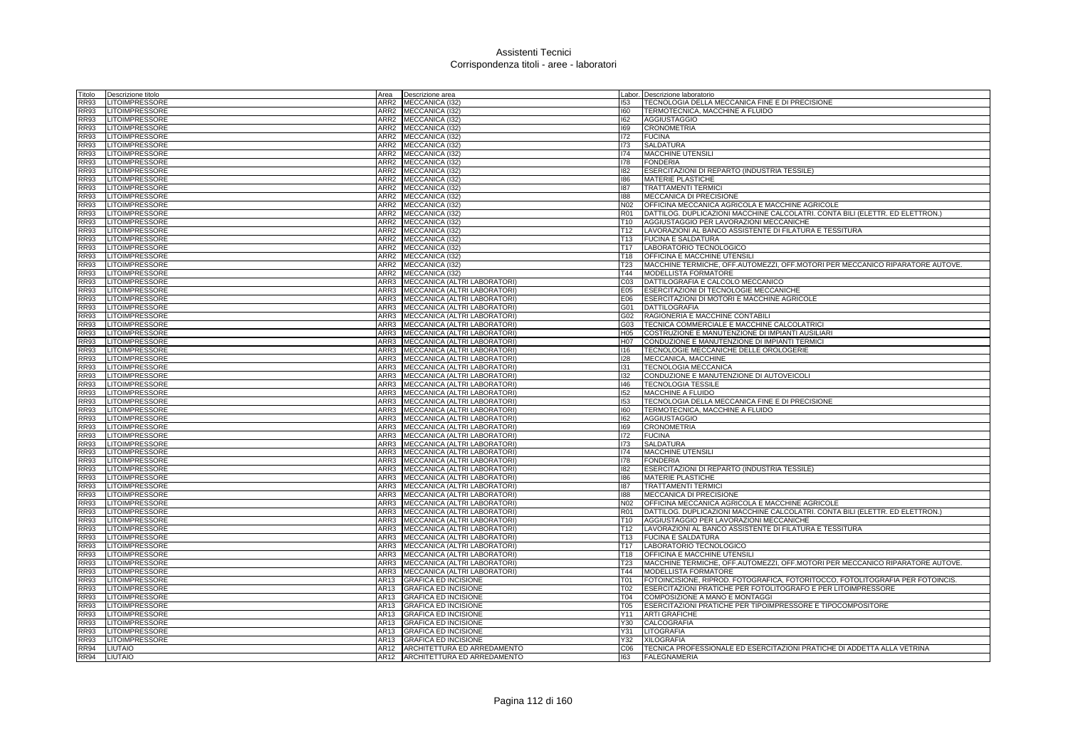| Titolo      | Descrizione titolo    | Area             | Descrizione area                  |                  | Labor. Descrizione laboratorio                                                 |
|-------------|-----------------------|------------------|-----------------------------------|------------------|--------------------------------------------------------------------------------|
| <b>RR93</b> | <b>LITOIMPRESSORE</b> | ARR <sub>2</sub> | <b>MECCANICA (I32</b>             | 153              | TECNOLOGIA DELLA MECCANICA FINE E DI PRECISIONE                                |
| <b>RR93</b> | <b>LITOIMPRESSORE</b> | ARR <sub>2</sub> | MECCANICA (I32)                   | 160              | TERMOTECNICA, MACCHINE A FLUIDO                                                |
| <b>RR93</b> | LITOIMPRESSORE        | ARR2             | MECCANICA (I32)                   | 162              | AGGIUSTAGGIO                                                                   |
| <b>RR93</b> | LITOIMPRESSORE        |                  | ARR2 MECCANICA (I32)              | 169              | <b>CRONOMETRIA</b>                                                             |
| <b>RR93</b> | LITOIMPRESSORE        | ARR2             | MECCANICA (I32)                   | 172              | <b>FUCINA</b>                                                                  |
| <b>RR93</b> | LITOIMPRESSORE        | ARR <sub>2</sub> | MECCANICA (I32)                   | 173              | SALDATURA                                                                      |
| <b>RR93</b> | <b>LITOIMPRESSORE</b> | ARR2             | MECCANICA (I32)                   | 174              | <b>MACCHINE UTENSILI</b>                                                       |
| <b>RR93</b> | LITOIMPRESSORE        | ARR <sub>2</sub> | MECCANICA (I32)                   | 178              | <b>FONDERIA</b>                                                                |
| RR93        | LITOIMPRESSORE        | ARR <sub>2</sub> | MECCANICA (132)                   | 182              | ESERCITAZIONI DI REPARTO (INDUSTRIA TESSILE)                                   |
| <b>RR93</b> | <b>LITOIMPRESSORE</b> | ARR <sub>2</sub> | MECCANICA (132)                   | 186              | MATERIE PLASTICHE                                                              |
| <b>RR93</b> | LITOIMPRESSORE        | ARR <sub>2</sub> | MECCANICA (I32)                   | 187              | TRATTAMENTI TERMICI                                                            |
| <b>RR93</b> | <b>LITOIMPRESSORE</b> |                  | ARR2 MECCANICA (I32)              | 188              | MECCANICA DI PRECISIONE                                                        |
| <b>RR93</b> | LITOIMPRESSORE        | ARR2             | MECCANICA (I32)                   | N <sub>02</sub>  | OFFICINA MECCANICA AGRICOLA E MACCHINE AGRICOLE                                |
| <b>RR93</b> | LITOIMPRESSORE        | ARR2             | MECCANICA (I32)                   | R01              | DATTILOG. DUPLICAZIONI MACCHINE CALCOLATRI. CONTA BILI (ELETTR. ED ELETTRON.)  |
| <b>RR93</b> | LITOIMPRESSORE        | ARR <sub>2</sub> | MECCANICA (I32)                   | T <sub>10</sub>  | AGGIUSTAGGIO PER LAVORAZIONI MECCANICHE                                        |
| <b>RR93</b> | LITOIMPRESSORE        | ARR <sub>2</sub> | MECCANICA (132)                   | T <sub>12</sub>  |                                                                                |
| <b>RR93</b> |                       | ARR <sub>2</sub> |                                   | T <sub>13</sub>  | LAVORAZIONI AL BANCO ASSISTENTE DI FILATURA E TESSITURA                        |
|             | LITOIMPRESSORE        |                  | MECCANICA (I32)                   |                  | <b>FUCINA E SALDATURA</b>                                                      |
| <b>RR93</b> | LITOIMPRESSORE        | ARR2             | MECCANICA (I32)                   | T <sub>17</sub>  | LABORATORIO TECNOLOGICO                                                        |
| <b>RR93</b> | <b>LITOIMPRESSORE</b> | ARR <sub>2</sub> | MECCANICA (I32)                   | T <sub>18</sub>  | OFFICINA E MACCHINE UTENSILI                                                   |
| <b>RR93</b> | LITOIMPRESSORE        | ARR <sub>2</sub> | MECCANICA (I32)                   | T <sub>23</sub>  | MACCHINE TERMICHE, OFF.AUTOMEZZI, OFF.MOTORI PER MECCANICO RIPARATORE AUTOVE.  |
| <b>RR93</b> | <b>LITOIMPRESSORE</b> | ARR2             | MECCANICA (132)                   | T44              | <b>MODELLISTA FORMATORE</b>                                                    |
| <b>RR93</b> | <b>LITOIMPRESSORE</b> |                  | ARR3 MECCANICA (ALTRI LABORATORI) | C <sub>03</sub>  | DATTILOGRAFIA E CALCOLO MECCANICO                                              |
| <b>RR93</b> | LITOIMPRESSORE        | ARR3             | MECCANICA (ALTRI LABORATORI)      | E05              | ESERCITAZIONI DI TECNOLOGIE MECCANICHE                                         |
| <b>RR93</b> | LITOIMPRESSORE        | ARR3             | MECCANICA (ALTRI LABORATORI)      | E06              | ESERCITAZIONI DI MOTORI E MACCHINE AGRICOLE                                    |
| <b>RR93</b> | <b>LITOIMPRESSORE</b> | ARR3             | MECCANICA (ALTRI LABORATORI)      | G01              | <b>DATTILOGRAFIA</b>                                                           |
| <b>RR93</b> | <b>LITOIMPRESSORE</b> | ARR3             | MECCANICA (ALTRI LABORATORI)      | G02              | RAGIONERIA E MACCHINE CONTABILI                                                |
| <b>RR93</b> | LITOIMPRESSORE        | ARR3             | MECCANICA (ALTRI LABORATORI)      | G03              | TECNICA COMMERCIALE E MACCHINE CALCOLATRIC                                     |
| <b>RR93</b> | LITOIMPRESSORE        | ARR3             | MECCANICA (ALTRI LABORATORI)      | H <sub>05</sub>  | COSTRUZIONE E MANUTENZIONE DI IMPIANTI AUSILIARI                               |
| <b>RR93</b> | <b>LITOIMPRESSORE</b> |                  | ARR3 MECCANICA (ALTRI LABORATORI) | H <sub>0</sub> 7 | CONDUZIONE E MANUTENZIONE DI IMPIANTI TERMICI                                  |
| <b>RR93</b> | LITOIMPRESSORE        |                  | ARR3 MECCANICA (ALTRI LABORATORI) | 116              | TECNOLOGIE MECCANICHE DELLE OROLOGERIE                                         |
| <b>RR93</b> | LITOIMPRESSORE        | ARR3             | MECCANICA (ALTRI LABORATORI)      | 128              | MECCANICA, MACCHINE                                                            |
| <b>RR93</b> | <b>LITOIMPRESSORE</b> | ARR3             | MECCANICA (ALTRI LABORATORI)      | 131              | TECNOLOGIA MECCANICA                                                           |
| <b>RR93</b> | <b>LITOIMPRESSORE</b> | ARR3             | MECCANICA (ALTRI LABORATORI)      | 132              | CONDUZIONE E MANUTENZIONE DI AUTOVEICOLI                                       |
| <b>RR93</b> | <b>LITOIMPRESSORE</b> | ARR3             | MECCANICA (ALTRI LABORATORI)      | 146              | <b>TECNOLOGIA TESSILE</b>                                                      |
| <b>RR93</b> | LITOIMPRESSORE        |                  | ARR3 MECCANICA (ALTRI LABORATORI) | 152              | MACCHINE A FLUIDO                                                              |
| <b>RR93</b> | <b>LITOIMPRESSORE</b> | ARR3             | MECCANICA (ALTRI LABORATORI)      | 153              | TECNOLOGIA DELLA MECCANICA FINE E DI PRECISIONE                                |
| <b>RR93</b> | <b>LITOIMPRESSORE</b> | ARR3             | MECCANICA (ALTRI LABORATORI)      | 160              | TERMOTECNICA, MACCHINE A FLUIDO                                                |
| <b>RR93</b> | <b>LITOIMPRESSORE</b> |                  | ARR3 MECCANICA (ALTRI LABORATORI) | 162              | <b>AGGIUSTAGGIO</b>                                                            |
| <b>RR93</b> | <b>LITOIMPRESSORE</b> |                  | ARR3 MECCANICA (ALTRI LABORATORI) | 169              | <b>CRONOMETRIA</b>                                                             |
| <b>RR93</b> | <b>LITOIMPRESSORE</b> | ARR3             | MECCANICA (ALTRI LABORATORI)      | 172              | <b>FUCINA</b>                                                                  |
| <b>RR93</b> | <b>LITOIMPRESSORE</b> | ARR3             | MECCANICA (ALTRI LABORATORI)      | 173              | <b>SALDATURA</b>                                                               |
| <b>RR93</b> | LITOIMPRESSORE        | ARR3             | MECCANICA (ALTRI LABORATORI)      | 174              | MACCHINE UTENSILI                                                              |
| <b>RR93</b> | <b>LITOIMPRESSORE</b> | ARR3             | MECCANICA (ALTRI LABORATORI)      | 178              | <b>FONDERIA</b>                                                                |
| <b>RR93</b> | LITOIMPRESSORE        | ARR3             | MECCANICA (ALTRI LABORATORI)      | 182              | ESERCITAZIONI DI REPARTO (INDUSTRIA TESSILE)                                   |
| <b>RR93</b> | LITOIMPRESSORE        | ARR3             | MECCANICA (ALTRI LABORATORI)      | 186              | <b>MATERIE PLASTICHE</b>                                                       |
| <b>RR93</b> | <b>LITOIMPRESSORE</b> | ARR3             | MECCANICA (ALTRI LABORATORI)      | 187              | <b>TRATTAMENTI TERMICI</b>                                                     |
| <b>RR93</b> | <b>LITOIMPRESSORE</b> |                  | ARR3 MECCANICA (ALTRI LABORATORI) | 188              | MECCANICA DI PRECISIONE                                                        |
| <b>RR93</b> | LITOIMPRESSORE        | ARR3             | MECCANICA (ALTRI LABORATORI)      | N02              | OFFICINA MECCANICA AGRICOLA E MACCHINE AGRICOLE                                |
| <b>RR93</b> | LITOIMPRESSORE        | ARR3             | MECCANICA (ALTRI LABORATORI)      | R01              | DATTILOG. DUPLICAZIONI MACCHINE CALCOLATRI. CONTA BILI (ELETTR. ED ELETTRON.)  |
| <b>RR93</b> | <b>LITOIMPRESSORE</b> | ARR3             | MECCANICA (ALTRI LABORATORI)      | T10              | AGGIUSTAGGIO PER LAVORAZIONI MECCANICHE                                        |
| <b>RR93</b> | <b>LITOIMPRESSORE</b> | ARR3             | MECCANICA (ALTRI LABORATORI)      | T <sub>12</sub>  | LAVORAZIONI AL BANCO ASSISTENTE DI FILATURA E TESSITURA                        |
| <b>RR93</b> | <b>LITOIMPRESSORE</b> | ARR3             | MECCANICA (ALTRI LABORATORI)      | T13              | <b>FUCINA E SALDATURA</b>                                                      |
| <b>RR93</b> | LITOIMPRESSORE        | ARR3             | MECCANICA (ALTRI LABORATORI)      | T <sub>17</sub>  | LABORATORIO TECNOLOGICO                                                        |
| <b>RR93</b> | <b>LITOIMPRESSORE</b> | ARR3             | MECCANICA (ALTRI LABORATORI)      | T <sub>18</sub>  | OFFICINA E MACCHINE UTENSILI                                                   |
| <b>RR93</b> | <b>LITOIMPRESSORE</b> | ARR3             | MECCANICA (ALTRI LABORATORI)      | T <sub>23</sub>  | MACCHINE TERMICHE, OFF.AUTOMEZZI, OFF.MOTORI PER MECCANICO RIPARATORE AUTOVE.  |
| <b>RR93</b> | LITOIMPRESSORE        | ARR3             | MECCANICA (ALTRI LABORATORI)      | T44              | MODELLISTA FORMATORE                                                           |
| <b>RR93</b> | LITOIMPRESSORE        | AR13             | <b>GRAFICA ED INCISIONE</b>       | T01              | FOTOINCISIONE, RIPROD. FOTOGRAFICA, FOTORITOCCO, FOTOLITOGRAFIA PER FOTOINCIS. |
| <b>RR93</b> | LITOIMPRESSORE        | AR13             | <b>GRAFICA ED INCISIONE</b>       | T02              | ESERCITAZIONI PRATICHE PER FOTOLITOGRAFO E PER LITOIMPRESSORE                  |
| <b>RR93</b> | LITOIMPRESSORE        | AR13             | <b>GRAFICA ED INCISIONE</b>       | T04              | COMPOSIZIONE A MANO E MONTAGGI                                                 |
| <b>RR93</b> | LITOIMPRESSORE        | AR13             | <b>GRAFICA ED INCISIONE</b>       | <b>T05</b>       | ESERCITAZIONI PRATICHE PER TIPOIMPRESSORE E TIPOCOMPOSITORE                    |
| <b>RR93</b> | LITOIMPRESSORE        | AR13             | GRAFICA ED INCISIONE              | Y11              | <b>ARTI GRAFICHE</b>                                                           |
| <b>RR93</b> | <b>LITOIMPRESSORE</b> | AR13             | <b>GRAFICA ED INCISIONE</b>       | Y30              | <b>CALCOGRAFIA</b>                                                             |
| <b>RR93</b> | LITOIMPRESSORE        | AR13             | <b>GRAFICA ED INCISIONE</b>       | Y31              | <b>LITOGRAFIA</b>                                                              |
| <b>RR93</b> | <b>LITOIMPRESSORE</b> | AR13             | <b>GRAFICA ED INCISIONE</b>       | Y32              | <b>XILOGRAFIA</b>                                                              |
| <b>RR94</b> | <b>LIUTAIO</b>        |                  | AR12 ARCHITETTURA ED ARREDAMENTO  | C <sub>06</sub>  | TECNICA PROFESSIONALE ED ESERCITAZIONI PRATICHE DI ADDETTA ALLA VETRINA        |
| <b>RR94</b> | LIUTAIO               |                  | AR12 ARCHITETTURA ED ARREDAMENTO  | 163              | <b>FALEGNAMERIA</b>                                                            |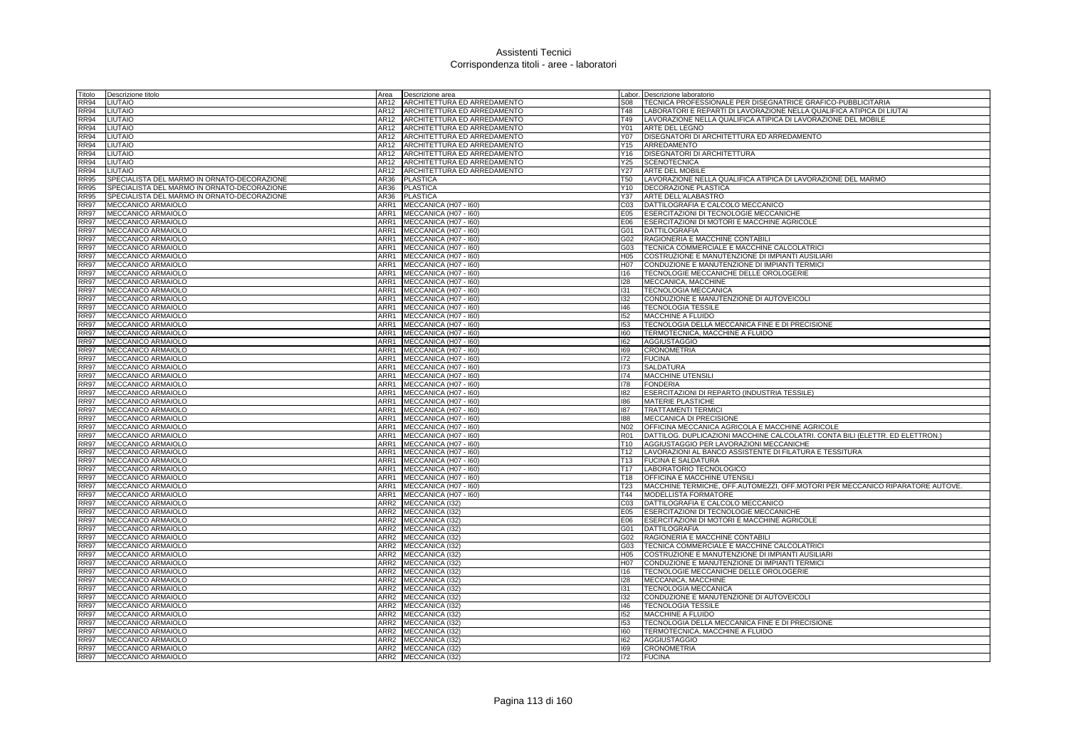| Titolo                     | Descrizione titolo                          | Area             | Descrizione area                               |                        | Labor. Descrizione laboratorio                                                                    |
|----------------------------|---------------------------------------------|------------------|------------------------------------------------|------------------------|---------------------------------------------------------------------------------------------------|
| <b>RR94</b>                | LIUTAIO                                     | AR12             | ARCHITETTURA ED ARREDAMENTO                    | <b>S08</b>             | TECNICA PROFESSIONALE PER DISEGNATRICE GRAFICO-PUBBLICITARIA                                      |
| <b>RR94</b>                | <b>LIUTAIO</b>                              | AR12             | ARCHITETTURA ED ARREDAMENTO                    | <b>T48</b>             | LABORATORI E REPARTI DI LAVORAZIONE NELLA QUALIFICA ATIPICA DI LIUTAI                             |
| <b>RR94</b>                | <b>LIUTAIO</b>                              | AR12             | ARCHITETTURA ED ARREDAMENTO                    | T49                    | LAVORAZIONE NELLA QUALIFICA ATIPICA DI LAVORAZIONE DEL MOBILE                                     |
| <b>RR94</b>                | <b>LIUTAIO</b>                              | AR12             | ARCHITETTURA ED ARREDAMENTO                    | Y01                    | ARTE DEL LEGNO                                                                                    |
| <b>RR94</b>                | LIUTAIO                                     | AR12             | ARCHITETTURA ED ARREDAMENTO                    | Y07                    | DISEGNATORI DI ARCHITETTURA ED ARREDAMENTO                                                        |
| <b>RR94</b>                | <b>LIUTAIO</b>                              | AR12             | ARCHITETTURA ED ARREDAMENTO                    | Y15                    | ARREDAMENTO                                                                                       |
| <b>RR94</b>                | LIUTAIO                                     | AR12             | ARCHITETTURA ED ARREDAMENTO                    | Y16                    | <b>DISEGNATORI DI ARCHITETTURA</b>                                                                |
| <b>RR94</b>                | <b>LIUTAIO</b>                              | AR12             | ARCHITETTURA ED ARREDAMENTO                    | Y25                    | <b>SCENOTECNICA</b>                                                                               |
| <b>RR94</b>                | <b>LIUTAIO</b>                              | AR12             | ARCHITETTURA ED ARREDAMENTO                    | Y27                    | <b>ARTE DEL MOBILE</b>                                                                            |
| <b>RR95</b>                | SPECIALISTA DEL MARMO IN ORNATO-DECORAZIONE | AR36             | <b>PLASTICA</b>                                | <b>T50</b>             | LAVORAZIONE NELLA QUALIFICA ATIPICA DI LAVORAZIONE DEL MARMO                                      |
| <b>RR95</b>                | SPECIALISTA DEL MARMO IN ORNATO-DECORAZIONE | AR36             | <b>PLASTICA</b>                                | Y10                    | DECORAZIONE PLASTICA                                                                              |
| <b>RR95</b>                | SPECIALISTA DEL MARMO IN ORNATO-DECORAZIONE | AR36             | <b>PLASTICA</b>                                | Y37                    | ARTE DELL'ALABASTRO                                                                               |
| <b>RR97</b>                | MECCANICO ARMAIOLO                          | ARR1<br>ARR1     | MECCANICA (H07 - I60)<br>MECCANICA (H07 - I60) | C <sub>03</sub>        | DATTILOGRAFIA E CALCOLO MECCANICO<br>ESERCITAZIONI DI TECNOLOGIE MECCANICHE                       |
| <b>RR97</b><br><b>RR97</b> | MECCANICO ARMAIOLO<br>MECCANICO ARMAIOLO    | ARR1             | MECCANICA (H07 - I60)                          | E05<br>E06             | ESERCITAZIONI DI MOTORI E MACCHINE AGRICOLE                                                       |
| <b>RR97</b>                | MECCANICO ARMAIOLO                          | ARR1             | MECCANICA (H07 - I60)                          | G01                    | DATTILOGRAFIA                                                                                     |
| <b>RR97</b>                | MECCANICO ARMAIOLO                          | ARR1             | MECCANICA (H07 - I60)                          | G02                    | RAGIONERIA E MACCHINE CONTABILI                                                                   |
| <b>RR97</b>                | MECCANICO ARMAIOLO                          | ARR1             | MECCANICA (H07 - I60)                          | G03                    | TECNICA COMMERCIALE E MACCHINE CALCOLATRICI                                                       |
| <b>RR97</b>                | MECCANICO ARMAIOLO                          | ARR1             | MECCANICA (H07 - I60)                          | H05                    | COSTRUZIONE E MANUTENZIONE DI IMPIANTI AUSILIARI                                                  |
| <b>RR97</b>                | <b>MECCANICO ARMAIOLO</b>                   |                  | ARR1 MECCANICA (H07 - 160)                     | H <sub>0</sub> 7       | CONDUZIONE E MANUTENZIONE DI IMPIANTI TERMICI                                                     |
| <b>RR97</b>                | MECCANICO ARMAIOLO                          |                  | ARR1 MECCANICA (H07 - 160)                     | 116                    | TECNOLOGIE MECCANICHE DELLE OROLOGERIE                                                            |
| <b>RR97</b>                | MECCANICO ARMAIOLO                          | ARR1             | MECCANICA (H07 - I60)                          | 128                    | MECCANICA, MACCHINE                                                                               |
| <b>RR97</b>                | MECCANICO ARMAIOLO                          | ARR1             | MECCANICA (H07 - I60)                          | 131                    | TECNOLOGIA MECCANICA                                                                              |
| <b>RR97</b>                | MECCANICO ARMAIOLO                          | ARR1             | MECCANICA (H07 - I60)                          | 132                    | CONDUZIONE E MANUTENZIONE DI AUTOVEICOLI                                                          |
| <b>RR97</b>                | MECCANICO ARMAIOLO                          | ARR1             | MECCANICA (H07 - I60)                          | 146                    | <b>TECNOLOGIA TESSILE</b>                                                                         |
| <b>RR97</b>                | MECCANICO ARMAIOLO                          | ARR1             | MECCANICA (H07 - I60)                          | 152                    | MACCHINE A FLUIDO                                                                                 |
| <b>RR97</b>                | MECCANICO ARMAIOLO                          | ARR1             | MECCANICA (H07 - I60)                          | 153                    | TECNOLOGIA DELLA MECCANICA FINE E DI PRECISIONE                                                   |
| <b>RR97</b>                | MECCANICO ARMAIOLO                          | ARR1             | MECCANICA (H07 - I60)                          | 160                    | TERMOTECNICA, MACCHINE A FLUIDO                                                                   |
| <b>RR97</b>                | MECCANICO ARMAIOLO                          |                  | ARR1 MECCANICA (H07 - 160)                     | 162                    | <b>AGGIUSTAGGIO</b>                                                                               |
| <b>RR97</b>                | MECCANICO ARMAIOLO                          | ARR1             | MECCANICA (H07 - I60)                          | 169                    | <b>CRONOMETRIA</b>                                                                                |
| <b>RR97</b>                | MECCANICO ARMAIOLO                          | ARR1             | MECCANICA (H07 - I60)                          | 172                    | <b>FUCINA</b>                                                                                     |
| <b>RR97</b>                | MECCANICO ARMAIOLO                          | ARR1             | MECCANICA (H07 - 160)                          | 173                    | <b>SALDATURA</b>                                                                                  |
| <b>RR97</b>                | MECCANICO ARMAIOLO                          | ARR1             | MECCANICA (H07 - I60)                          | 174                    | <b>MACCHINE UTENSILI</b>                                                                          |
| <b>RR97</b>                | MECCANICO ARMAIOLO                          | ARR1             | MECCANICA (H07 - I60)                          | 178                    | <b>FONDERIA</b><br>ESERCITAZIONI DI REPARTO (INDUSTRIA TESSILE)                                   |
| <b>RR97</b><br><b>RR97</b> | MECCANICO ARMAIOLO<br>MECCANICO ARMAIOLO    | ARR1<br>ARR1     | MECCANICA (H07 - I60)<br>MECCANICA (H07 - I60) | 182<br>186             | MATERIE PLASTICHE                                                                                 |
| <b>RR97</b>                | MECCANICO ARMAIOLO                          | ARR1             | MECCANICA (H07 - I60)                          | 187                    | <b>TRATTAMENTI TERMICI</b>                                                                        |
| <b>RR97</b>                | MECCANICO ARMAIOLO                          | ARR1             | MECCANICA (H07 - I60)                          | 188                    | MECCANICA DI PRECISIONE                                                                           |
| <b>RR97</b>                | MECCANICO ARMAIOLO                          | ARR1             | MECCANICA (H07 - I60)                          | N <sub>02</sub>        | OFFICINA MECCANICA AGRICOLA E MACCHINE AGRICOLE                                                   |
| <b>RR97</b>                | MECCANICO ARMAIOLO                          | ARR1             | MECCANICA (H07 - I60)                          | <b>R01</b>             | DATTILOG. DUPLICAZIONI MACCHINE CALCOLATRI. CONTA BILI (ELETTR. ED ELETTRON.)                     |
| <b>RR97</b>                | MECCANICO ARMAIOLO                          | ARR1             | MECCANICA (H07 - I60)                          | T10                    | AGGIUSTAGGIO PER LAVORAZIONI MECCANICHE                                                           |
| <b>RR97</b>                | MECCANICO ARMAIOLO                          | ARR1             | MECCANICA (H07 - I60)                          | T <sub>12</sub>        | LAVORAZIONI AL BANCO ASSISTENTE DI FILATURA E TESSITURA                                           |
| <b>RR97</b>                | MECCANICO ARMAIOLO                          | ARR1             | MECCANICA (H07 - I60)                          | T13                    | <b>FUCINA E SALDATURA</b>                                                                         |
| <b>RR97</b>                | MECCANICO ARMAIOLO                          | ARR1             | MECCANICA (H07 - I60)                          | T17                    | LABORATORIO TECNOLOGICO                                                                           |
| <b>RR97</b>                | MECCANICO ARMAIOLO                          | ARR1             | MECCANICA (H07 - I60)                          | T <sub>18</sub>        | OFFICINA E MACCHINE UTENSILI                                                                      |
| <b>RR97</b>                | MECCANICO ARMAIOLO                          | ARR1             | MECCANICA (H07 - I60)                          | T <sub>23</sub>        | MACCHINE TERMICHE, OFF.AUTOMEZZI, OFF.MOTORI PER MECCANICO RIPARATORE AUTOVE.                     |
| <b>RR97</b>                | MECCANICO ARMAIOLO                          |                  | ARR1 MECCANICA (H07 - 160)                     | T44                    | MODELLISTA FORMATORE                                                                              |
| <b>RR97</b>                | MECCANICO ARMAIOLO                          | ARR2             | MECCANICA (132)                                | CO <sub>3</sub>        | DATTILOGRAFIA E CALCOLO MECCANICO                                                                 |
| <b>RR97</b>                | MECCANICO ARMAIOLO                          | ARR <sub>2</sub> | MECCANICA (I32)                                | E05                    | ESERCITAZIONI DI TECNOLOGIE MECCANICHE                                                            |
| <b>RR97</b>                | MECCANICO ARMAIOLO                          | ARR2             | MECCANICA (I32)                                | E06                    | ESERCITAZIONI DI MOTORI E MACCHINE AGRICOLE                                                       |
| <b>RR97</b>                | MECCANICO ARMAIOLO                          | ARR2             | MECCANICA (I32)                                | G01                    | DATTILOGRAFIA                                                                                     |
| <b>RR97</b>                | MECCANICO ARMAIOLO                          | ARR2             | MECCANICA (I32)                                | G02                    | RAGIONERIA E MACCHINE CONTABILI                                                                   |
| <b>RR97</b>                | MECCANICO ARMAIOLO                          | ARR <sub>2</sub> | MECCANICA (I32)                                | G03                    | TECNICA COMMERCIALE E MACCHINE CALCOLATRICI                                                       |
| <b>RR97</b><br><b>RR97</b> | MECCANICO ARMAIOLO<br>MECCANICO ARMAIOLO    | ARR2             | ARR2 MECCANICA (I32)<br>MECCANICA (132)        | H <sub>05</sub><br>H07 | COSTRUZIONE E MANUTENZIONE DI IMPIANTI AUSILIARI<br>CONDUZIONE E MANUTENZIONE DI IMPIANTI TERMICI |
|                            | MECCANICO ARMAIOLO                          |                  | ARR2 MECCANICA (I32)                           | 116                    | TECNOLOGIE MECCANICHE DELLE OROLOGERIE                                                            |
| <b>RR97</b><br><b>RR97</b> | MECCANICO ARMAIOLO                          | ARR2             | MECCANICA (I32)                                | 128                    | MECCANICA, MACCHINE                                                                               |
| <b>RR97</b>                | MECCANICO ARMAIOLO                          | ARR2             | MECCANICA (I32)                                | 131                    | <b>TECNOLOGIA MECCANICA</b>                                                                       |
| <b>RR97</b>                | MECCANICO ARMAIOLO                          | ARR2             | MECCANICA (I32)                                | 132                    | CONDUZIONE E MANUTENZIONE DI AUTOVEICOLI                                                          |
| <b>RR97</b>                | MECCANICO ARMAIOLO                          |                  | ARR2 MECCANICA (I32)                           | 146                    | <b>TECNOLOGIA TESSILE</b>                                                                         |
| <b>RR97</b>                | MECCANICO ARMAIOLO                          | ARR2             | MECCANICA (132)                                | 152                    | <b>MACCHINE A FLUIDO</b>                                                                          |
| <b>RR97</b>                | MECCANICO ARMAIOLO                          | ARR <sub>2</sub> | MECCANICA (I32)                                | 153                    | TECNOLOGIA DELLA MECCANICA FINE E DI PRECISIONE                                                   |
| <b>RR97</b>                | MECCANICO ARMAIOLO                          |                  | ARR2 MECCANICA (132)                           | 160                    | TERMOTECNICA, MACCHINE A FLUIDO                                                                   |
| <b>RR97</b>                | MECCANICO ARMAIOLO                          |                  | ARR2 MECCANICA (132)                           | 162                    | <b>AGGIUSTAGGIO</b>                                                                               |
| <b>RR97</b>                | MECCANICO ARMAIOLO                          |                  | ARR2 MECCANICA (I32)                           | 169                    | <b>CRONOMETRIA</b>                                                                                |
| <b>RR97</b>                | <b>MECCANICO ARMAIOLO</b>                   |                  | ARR2 MECCANICA (132)                           | 172                    | <b>FUCINA</b>                                                                                     |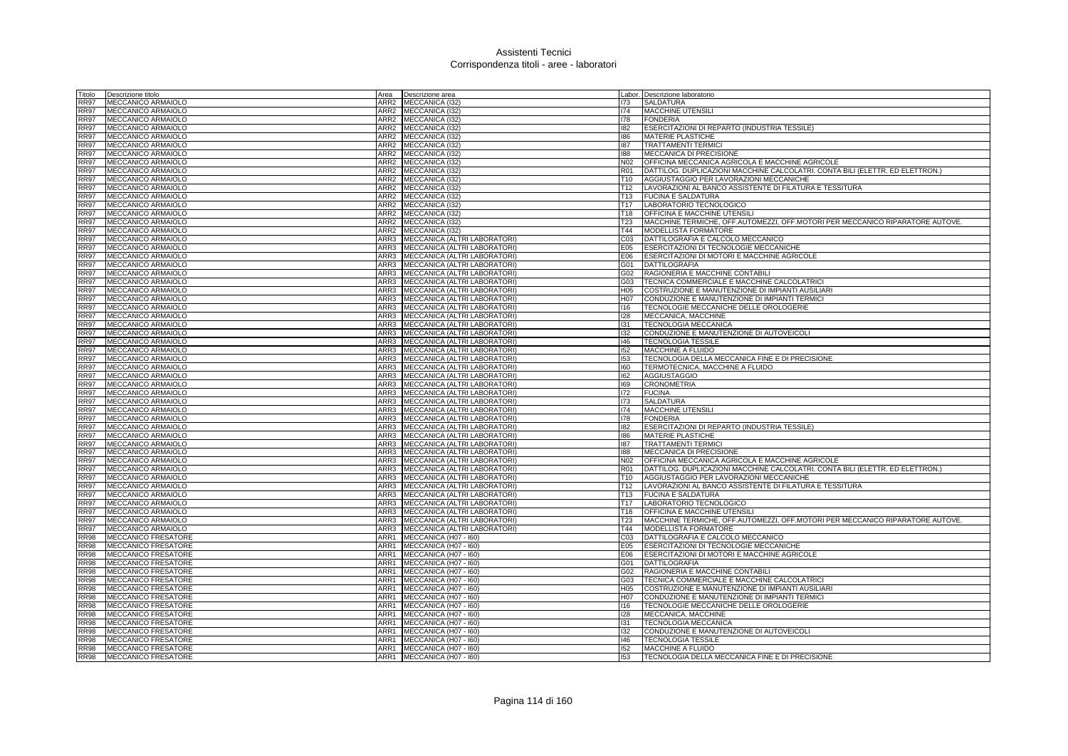| Titolo                     | Descrizione titolo                       | Area         | Descrizione area                                             |                 | Labor. Descrizione laboratorio                                                     |
|----------------------------|------------------------------------------|--------------|--------------------------------------------------------------|-----------------|------------------------------------------------------------------------------------|
| RR97                       | MECCANICO ARMAIOLO                       | ARR2         | MECCANICA (132)                                              | 173             | <b>SALDATURA</b>                                                                   |
| <b>RR97</b>                | MECCANICO ARMAIOLO                       |              | ARR2 MECCANICA (I32)                                         | 174             | MACCHINE UTENSILI                                                                  |
| RR97                       | MECCANICO ARMAIOLO                       | ARR2         | MECCANICA (132)                                              | 178             | <b>FONDERIA</b>                                                                    |
| RR97                       | MECCANICO ARMAIOLO                       |              | ARR2 MECCANICA (I32)                                         | 182             | ESERCITAZIONI DI REPARTO (INDUSTRIA TESSILE)                                       |
| <b>RR97</b>                | MECCANICO ARMAIOLO                       | ARR2         | MECCANICA (I32)                                              | 186             | <b>MATERIE PLASTICHE</b>                                                           |
| <b>RR97</b>                | MECCANICO ARMAIOLO                       | ARR2         | MECCANICA (I32)                                              | 187             | <b>TRATTAMENTI TERMICI</b>                                                         |
| <b>RR97</b>                | MECCANICO ARMAIOLO                       | ARR2         | MECCANICA (I32)                                              | 188             | MECCANICA DI PRECISIONE                                                            |
| RR97                       | MECCANICO ARMAIOLO                       |              | ARR2 MECCANICA (I32)                                         | N02             | OFFICINA MECCANICA AGRICOLA E MACCHINE AGRICOLE                                    |
| <b>RR97</b>                | MECCANICO ARMAIOLO                       | ARR2         | MECCANICA (I32)                                              | <b>R01</b>      | DATTILOG. DUPLICAZIONI MACCHINE CALCOLATRI. CONTA BILI (ELETTR. ED ELETTRON.)      |
| <b>RR97</b>                | MECCANICO ARMAIOLO                       | ARR2         | MECCANICA (I32)                                              | T <sub>10</sub> | AGGIUSTAGGIO PER LAVORAZIONI MECCANICHE                                            |
| <b>RR97</b>                | MECCANICO ARMAIOLO                       |              | ARR2 MECCANICA (I32)                                         | T <sub>12</sub> | LAVORAZIONI AL BANCO ASSISTENTE DI FILATURA E TESSITURA                            |
| <b>RR97</b>                | MECCANICO ARMAIOLO                       |              | ARR2 MECCANICA (I32)                                         | T <sub>13</sub> | <b>FUCINA E SALDATURA</b>                                                          |
| <b>RR97</b>                | MECCANICO ARMAIOLO                       |              | ARR2 MECCANICA (I32)                                         | T <sub>17</sub> | LABORATORIO TECNOLOGICO                                                            |
| <b>RR97</b>                | MECCANICO ARMAIOLO                       | ARR2         | MECCANICA (I32)                                              | T <sub>18</sub> | OFFICINA E MACCHINE UTENSILI                                                       |
| <b>RR97</b>                | MECCANICO ARMAIOLO                       | ARR2         | MECCANICA (I32)                                              | <b>T23</b>      | MACCHINE TERMICHE, OFF.AUTOMEZZI, OFF.MOTORI PER MECCANICO RIPARATORE AUTOVE.      |
| RR97                       | MECCANICO ARMAIOLO                       |              | ARR2 MECCANICA (I32)                                         | T44             | <b>MODELLISTA FORMATORE</b>                                                        |
| RR97                       | MECCANICO ARMAIOLO                       |              | ARR3 MECCANICA (ALTRI LABORATORI)                            | C <sub>03</sub> | DATTILOGRAFIA E CALCOLO MECCANICO                                                  |
| <b>RR97</b>                | MECCANICO ARMAIOLO                       | ARR3         | MECCANICA (ALTRI LABORATORI)                                 | E05             | ESERCITAZIONI DI TECNOLOGIE MECCANICHE                                             |
| <b>RR97</b>                | MECCANICO ARMAIOLO                       | ARR3         | MECCANICA (ALTRI LABORATORI)                                 | E06             | ESERCITAZIONI DI MOTORI E MACCHINE AGRICOLE                                        |
| RR97                       | MECCANICO ARMAIOLO                       |              | ARR3 MECCANICA (ALTRI LABORATORI)                            | G01             | <b>DATTILOGRAFIA</b>                                                               |
| <b>RR97</b>                | MECCANICO ARMAIOLO                       |              | ARR3 MECCANICA (ALTRI LABORATORI)                            | G02             | RAGIONERIA E MACCHINE CONTABILI                                                    |
| <b>RR97</b>                | MECCANICO ARMAIOLO                       | ARR3         | MECCANICA (ALTRI LABORATORI)                                 | G03             | TECNICA COMMERCIALE E MACCHINE CALCOLATRIC                                         |
| <b>RR97</b>                | MECCANICO ARMAIOLO                       | ARR3         | MECCANICA (ALTRI LABORATORI)                                 | H05             | COSTRUZIONE E MANUTENZIONE DI IMPIANTI AUSILIARI                                   |
| <b>RR97</b>                | MECCANICO ARMAIOLO                       | ARR3         | MECCANICA (ALTRI LABORATORI)                                 | H07             | CONDUZIONE E MANUTENZIONE DI IMPIANTI TERMICI                                      |
| <b>RR97</b>                | MECCANICO ARMAIOLO                       | ARR3         | MECCANICA (ALTRI LABORATORI)                                 | 116             | TECNOLOGIE MECCANICHE DELLE OROLOGERIE                                             |
| <b>RR97</b>                | MECCANICO ARMAIOLO                       | ARR3         | MECCANICA (ALTRI LABORATORI)                                 | 128             | MECCANICA, MACCHINE                                                                |
| <b>RR97</b>                | MECCANICO ARMAIOLO                       | ARR3         | MECCANICA (ALTRI LABORATORI)                                 | 131             | <b>TECNOLOGIA MECCANICA</b>                                                        |
| <b>RR97</b>                | MECCANICO ARMAIOLO                       | ARR3         | MECCANICA (ALTRI LABORATORI)                                 | 132             | CONDUZIONE E MANUTENZIONE DI AUTOVEICOLI                                           |
| <b>RR97</b>                | <b>MECCANICO ARMAIOLO</b>                | ARR3         | MECCANICA (ALTRI LABORATORI)                                 | 146             | <b>TECNOLOGIA TESSILE</b>                                                          |
| <b>RR97</b>                | MECCANICO ARMAIOLO                       | ARR3<br>ARR3 | <b>MECCANICA (ALTRI LABORATORI)</b>                          | 152             | <b>MACCHINE A FLUIDO</b>                                                           |
| <b>RR97</b><br><b>RR97</b> | MECCANICO ARMAIOLO<br>MECCANICO ARMAIOLO | ARR3         | MECCANICA (ALTRI LABORATORI)                                 | 153<br>160      | TECNOLOGIA DELLA MECCANICA FINE E DI PRECISIONE<br>TERMOTECNICA, MACCHINE A FLUIDO |
|                            |                                          |              | MECCANICA (ALTRI LABORATORI)                                 | 162             |                                                                                    |
| RR97                       | MECCANICO ARMAIOLO                       | ARR3         | MECCANICA (ALTRI LABORATORI)                                 | 169             | <b>AGGIUSTAGGIO</b>                                                                |
| RR97<br>RR97               | MECCANICO ARMAIOLO<br>MECCANICO ARMAIOLO | ARR3<br>ARR3 | MECCANICA (ALTRI LABORATORI)<br>MECCANICA (ALTRI LABORATORI) | 172             | <b>CRONOMETRIA</b><br><b>FUCINA</b>                                                |
| <b>RR97</b>                | MECCANICO ARMAIOLO                       | ARR3         | MECCANICA (ALTRI LABORATORI)                                 | 173             | <b>SALDATURA</b>                                                                   |
| <b>RR97</b>                | MECCANICO ARMAIOLO                       |              | ARR3 MECCANICA (ALTRI LABORATORI)                            | 174             | MACCHINE UTENSILI                                                                  |
| RR97                       | MECCANICO ARMAIOLO                       |              | ARR3 MECCANICA (ALTRI LABORATORI)                            | 178             | <b>FONDERIA</b>                                                                    |
| <b>RR97</b>                | MECCANICO ARMAIOLO                       | ARR3         | MECCANICA (ALTRI LABORATORI)                                 | 182             | ESERCITAZIONI DI REPARTO (INDUSTRIA TESSILE)                                       |
| <b>RR97</b>                | MECCANICO ARMAIOLO                       | ARR3         | MECCANICA (ALTRI LABORATORI)                                 | 186             | MATERIE PLASTICHE                                                                  |
| <b>RR97</b>                | MECCANICO ARMAIOLO                       | ARR3         | MECCANICA (ALTRI LABORATORI)                                 | 187             | <b>TRATTAMENTI TERMIC</b>                                                          |
| RR97                       | MECCANICO ARMAIOLO                       |              | ARR3 MECCANICA (ALTRI LABORATORI)                            | 188             | MECCANICA DI PRECISIONE                                                            |
| RR97                       | MECCANICO ARMAIOLO                       | ARR3         | MECCANICA (ALTRI LABORATORI)                                 | N02             | OFFICINA MECCANICA AGRICOLA E MACCHINE AGRICOLE                                    |
| <b>RR97</b>                | MECCANICO ARMAIOLO                       | ARR3         | MECCANICA (ALTRI LABORATORI)                                 | <b>R01</b>      | DATTILOG. DUPLICAZIONI MACCHINE CALCOLATRI. CONTA BILI (ELETTR. ED ELETTRON.)      |
| <b>RR97</b>                | MECCANICO ARMAIOLO                       | ARR3         | MECCANICA (ALTRI LABORATORI)                                 | T <sub>10</sub> | AGGIUSTAGGIO PER LAVORAZIONI MECCANICHE                                            |
| RR97                       | MECCANICO ARMAIOLO                       |              | ARR3 MECCANICA (ALTRI LABORATORI)                            | T <sub>12</sub> | LAVORAZIONI AL BANCO ASSISTENTE DI FILATURA E TESSITURA                            |
| RR97                       | MECCANICO ARMAIOLO                       | ARR3         | MECCANICA (ALTRI LABORATORI)                                 | T <sub>13</sub> | <b>FUCINA E SALDATURA</b>                                                          |
| <b>RR97</b>                | MECCANICO ARMAIOLO                       | ARR3         | MECCANICA (ALTRI LABORATORI)                                 | T <sub>17</sub> | LABORATORIO TECNOLOGICO                                                            |
| <b>RR97</b>                | <b>MECCANICO ARMAIOLO</b>                | ARR3         | MECCANICA (ALTRI LABORATORI)                                 | <b>T18</b>      | OFFICINA E MACCHINE UTENSILI                                                       |
| RR97                       | MECCANICO ARMAIOLO                       | ARR3         | MECCANICA (ALTRI LABORATORI)                                 | T <sub>23</sub> | MACCHINE TERMICHE, OFF.AUTOMEZZI, OFF.MOTORI PER MECCANICO RIPARATORE AUTOVE.      |
| RR97                       | MECCANICO ARMAIOLO                       | ARR3         | MECCANICA (ALTRI LABORATORI)                                 | T44             | <b>MODELLISTA FORMATORE</b>                                                        |
| <b>RR98</b>                | <b>MECCANICO FRESATORE</b>               | ARR1         | MECCANICA (H07 - I60)                                        | CO <sub>3</sub> | DATTILOGRAFIA E CALCOLO MECCANICO                                                  |
| <b>RR98</b>                | <b>MECCANICO FRESATORE</b>               | ARR1         | MECCANICA (H07 - I60)                                        | E05             | ESERCITAZIONI DI TECNOLOGIE MECCANICHE                                             |
| RR98                       | <b>MECCANICO FRESATORE</b>               | ARR1         | MECCANICA (H07 - I60)                                        | E06             | ESERCITAZIONI DI MOTORI E MACCHINE AGRICOLE                                        |
| <b>RR98</b>                | <b>MECCANICO FRESATORE</b>               | ARR1         | MECCANICA (H07 - I60)                                        | G01             | <b>DATTILOGRAFIA</b>                                                               |
| <b>RR98</b>                | MECCANICO FRESATORE                      | ARR1         | MECCANICA (H07 - I60)                                        | G02             | RAGIONERIA E MACCHINE CONTABILI                                                    |
| <b>RR98</b>                | MECCANICO FRESATORE                      | ARR1         | MECCANICA (H07 - I60)                                        | G03             | TECNICA COMMERCIALE E MACCHINE CALCOLATRICI                                        |
| <b>RR98</b>                | MECCANICO FRESATORE                      | ARR1         | MECCANICA (H07 - I60)                                        | H05             | COSTRUZIONE E MANUTENZIONE DI IMPIANTI AUSILIARI                                   |
| <b>RR98</b>                | <b>MECCANICO FRESATORE</b>               | ARR1         | MECCANICA (H07 - I60)                                        | H07             | CONDUZIONE E MANUTENZIONE DI IMPIANTI TERMICI                                      |
| <b>RR98</b>                | MECCANICO FRESATORE                      | ARR1         | MECCANICA (H07 - I60)                                        | 116             | TECNOLOGIE MECCANICHE DELLE OROLOGERIE                                             |
| <b>RR98</b>                | <b>MECCANICO FRESATORE</b>               | ARR1         | MECCANICA (H07 - I60)                                        | 128             | MECCANICA, MACCHINE                                                                |
| <b>RR98</b>                | MECCANICO FRESATORE                      | ARR1         | MECCANICA (H07 - I60)                                        | 131             | <b>TECNOLOGIA MECCANICA</b>                                                        |
| <b>RR98</b>                | MECCANICO FRESATORE                      | ARR1         | MECCANICA (H07 - I60)                                        | 132             | CONDUZIONE E MANUTENZIONE DI AUTOVEICOLI                                           |
| <b>RR98</b>                | MECCANICO FRESATORE                      | ARR1         | MECCANICA (H07 - I60)                                        | 146             | <b>TECNOLOGIA TESSILE</b>                                                          |
| <b>RR98</b>                | <b>MECCANICO FRESATORE</b>               | ARR1         | MECCANICA (H07 - I60)                                        | 152             | <b>MACCHINE A FLUIDO</b>                                                           |
| <b>RR98</b>                | MECCANICO FRESATORE                      |              | ARR1 MECCANICA (H07 - 160)                                   | 153             | TECNOLOGIA DELLA MECCANICA FINE E DI PRECISIONE                                    |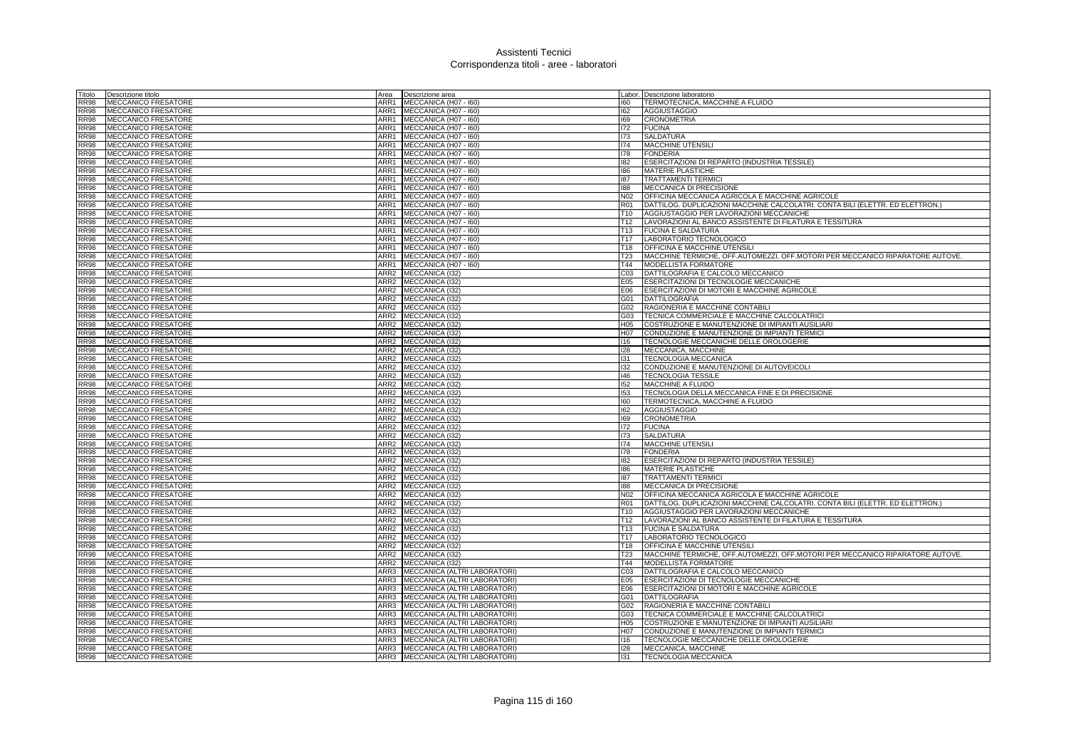| Titolo      | Descrizione titolo         | Area | Descrizione area                  |                 | Labor. Descrizione laboratorio                                                |
|-------------|----------------------------|------|-----------------------------------|-----------------|-------------------------------------------------------------------------------|
| <b>RR98</b> | MECCANICO FRESATORE        |      | ARR1 MECCANICA (H07 - I60)        | 160             | TERMOTECNICA, MACCHINE A FLUIDO                                               |
| <b>RR98</b> | <b>MECCANICO FRESATORE</b> |      | ARR1 MECCANICA (H07 - 160)        | 162             | <b>AGGIUSTAGGIO</b>                                                           |
| <b>RR98</b> | <b>MECCANICO FRESATORE</b> |      | ARR1 MECCANICA (H07 - 160)        | 169             | CRONOMETRIA                                                                   |
| <b>RR98</b> | MECCANICO FRESATORE        |      | ARR1 MECCANICA (H07 - 160)        | 172             | <b>FUCINA</b>                                                                 |
| <b>RR98</b> | MECCANICO FRESATORE        |      | ARR1 MECCANICA (H07 - I60)        | 173             | SALDATURA                                                                     |
| <b>RR98</b> | MECCANICO FRESATORE        |      | ARR1 MECCANICA (H07 - 160)        | 174             | <b>MACCHINE UTENSILI</b>                                                      |
| <b>RR98</b> | <b>MECCANICO FRESATORE</b> |      | ARR1 MECCANICA (H07 - 160)        | 178             | <b>FONDERIA</b>                                                               |
| <b>RR98</b> | MECCANICO FRESATORE        |      | ARR1 MECCANICA (H07 - 160)        | 182             | ESERCITAZIONI DI REPARTO (INDUSTRIA TESSILE)                                  |
| <b>RR98</b> | MECCANICO FRESATORE        |      | ARR1 MECCANICA (H07 - I60)        | 186             | MATERIE PLASTICHE                                                             |
| <b>RR98</b> | <b>MECCANICO FRESATORE</b> | ARR1 | MECCANICA (H07 - I60)             | 187             | <b>TRATTAMENTI TERMICI</b>                                                    |
| <b>RR98</b> | MECCANICO FRESATORE        | ARR1 | MECCANICA (H07 - 160)             | 188             | MECCANICA DI PRECISIONE                                                       |
| <b>RR98</b> | <b>MECCANICO FRESATORE</b> |      | ARR1 MECCANICA (H07 - I60)        | N02             | OFFICINA MECCANICA AGRICOLA E MACCHINE AGRICOLE                               |
| <b>RR98</b> | MECCANICO FRESATORE        |      | ARR1 MECCANICA (H07 - 160)        | <b>R01</b>      | DATTILOG. DUPLICAZIONI MACCHINE CALCOLATRI. CONTA BILI (ELETTR. ED ELETTRON.) |
| <b>RR98</b> |                            | ARR1 |                                   |                 |                                                                               |
|             | <b>MECCANICO FRESATORE</b> |      | MECCANICA (H07 - I60)             | T <sub>10</sub> | AGGIUSTAGGIO PER LAVORAZIONI MECCANICHE                                       |
| <b>RR98</b> | MECCANICO FRESATORE        | ARR1 | MECCANICA (H07 - 160)             | T12             | LAVORAZIONI AL BANCO ASSISTENTE DI FILATURA E TESSITURA                       |
| <b>RR98</b> | MECCANICO FRESATORE        | ARR1 | MECCANICA (H07 - I60)             | T <sub>13</sub> | <b>FUCINA E SALDATURA</b>                                                     |
| <b>RR98</b> | MECCANICO FRESATORE        | ARR1 | MECCANICA (H07 - I60)             | T <sub>17</sub> | LABORATORIO TECNOLOGICO                                                       |
| <b>RR98</b> | <b>MECCANICO FRESATORE</b> | ARR1 | MECCANICA (H07 - I60)             | T18             | OFFICINA E MACCHINE UTENSIL                                                   |
| <b>RR98</b> | <b>MECCANICO FRESATORE</b> |      | ARR1 MECCANICA (H07 - 160)        | T <sub>23</sub> | MACCHINE TERMICHE, OFF.AUTOMEZZI, OFF.MOTORI PER MECCANICO RIPARATORE AUTOVE. |
| <b>RR98</b> | <b>MECCANICO FRESATORE</b> |      | ARR1 MECCANICA (H07 - I60)        | T44             | MODELLISTA FORMATORE                                                          |
| <b>RR98</b> | <b>MECCANICO FRESATORE</b> |      | ARR2 MECCANICA (132)              | CO <sub>3</sub> | DATTILOGRAFIA E CALCOLO MECCANICO                                             |
| <b>RR98</b> | MECCANICO FRESATORE        |      | ARR2 MECCANICA (I32)              | E05             | ESERCITAZIONI DI TECNOLOGIE MECCANICHE                                        |
| <b>RR98</b> | <b>MECCANICO FRESATORE</b> |      | ARR2 MECCANICA (I32)              | E06             | ESERCITAZIONI DI MOTORI E MACCHINE AGRICOLE                                   |
| <b>RR98</b> | MECCANICO FRESATORE        |      | ARR2 MECCANICA (I32)              | G01             | DATTILOGRAFIA                                                                 |
| <b>RR98</b> | MECCANICO FRESATORE        |      | ARR2 MECCANICA (I32)              | G02             | RAGIONERIA E MACCHINE CONTABILI                                               |
| <b>RR98</b> | MECCANICO FRESATORE        |      | ARR2 MECCANICA (I32)              | G03             | TECNICA COMMERCIALE E MACCHINE CALCOLATRICI                                   |
| <b>RR98</b> | <b>MECCANICO FRESATORE</b> |      | ARR2 MECCANICA (I32)              | H <sub>05</sub> | COSTRUZIONE E MANUTENZIONE DI IMPIANTI AUSILIARI                              |
| <b>RR98</b> | MECCANICO FRESATORE        |      | ARR2 MECCANICA (I32)              | H07             | CONDUZIONE E MANUTENZIONE DI IMPIANTI TERMICI                                 |
| <b>RR98</b> | <b>MECCANICO FRESATORE</b> |      | ARR2 MECCANICA (132)              | 116             | TECNOLOGIE MECCANICHE DELLE OROLOGERIE                                        |
| <b>RR98</b> | <b>MECCANICO FRESATORE</b> |      | ARR2 MECCANICA (I32)              | 128             | MECCANICA, MACCHINE                                                           |
| <b>RR98</b> | <b>MECCANICO FRESATORE</b> |      | ARR2 MECCANICA (I32)              | 131             | <b>TECNOLOGIA MECCANICA</b>                                                   |
| <b>RR98</b> | <b>MECCANICO FRESATORE</b> |      | ARR2 MECCANICA (I32)              | 132             | CONDUZIONE E MANUTENZIONE DI AUTOVEICOLI                                      |
| <b>RR98</b> | <b>MECCANICO FRESATORE</b> |      | ARR2 MECCANICA (I32)              | 146             | <b>TECNOLOGIA TESSILE</b>                                                     |
| <b>RR98</b> | MECCANICO FRESATORE        |      | ARR2 MECCANICA (I32)              | 152             | MACCHINE A FLUIDO                                                             |
| <b>RR98</b> | MECCANICO FRESATORE        |      | ARR2 MECCANICA (I32)              | <b>I53</b>      | TECNOLOGIA DELLA MECCANICA FINE E DI PRECISIONE                               |
| <b>RR98</b> | MECCANICO FRESATORE        |      | ARR2 MECCANICA (I32)              | 160             | TERMOTECNICA, MACCHINE A FLUIDO                                               |
| <b>RR98</b> | <b>MECCANICO FRESATORE</b> |      | ARR2 MECCANICA (I32)              | 162             | <b>AGGIUSTAGGIO</b>                                                           |
| <b>RR98</b> | <b>MECCANICO FRESATORE</b> |      | ARR2 MECCANICA (132)              | 169             | <b>CRONOMETRIA</b>                                                            |
| <b>RR98</b> | <b>MECCANICO FRESATORE</b> |      |                                   | 172             | <b>FUCINA</b>                                                                 |
|             |                            |      | ARR2 MECCANICA (I32)              |                 | <b>SALDATURA</b>                                                              |
| <b>RR98</b> | MECCANICO FRESATORE        |      | ARR2 MECCANICA (I32)              | 173             |                                                                               |
| <b>RR98</b> | <b>MECCANICO FRESATORE</b> |      | ARR2 MECCANICA (I32)              | 174             | <b>MACCHINE UTENSILI</b>                                                      |
| <b>RR98</b> | MECCANICO FRESATORE        |      | ARR2 MECCANICA (I32)              | 178             | <b>FONDERIA</b>                                                               |
| <b>RR98</b> | <b>MECCANICO FRESATORE</b> |      | ARR2 MECCANICA (I32)              | 182             | ESERCITAZIONI DI REPARTO (INDUSTRIA TESSILE)                                  |
| <b>RR98</b> | MECCANICO FRESATORE        |      | ARR2 MECCANICA (I32)              | 186             | MATERIE PLASTICHE                                                             |
| <b>RR98</b> | MECCANICO FRESATORE        | ARR2 | MECCANICA (I32)                   | 187             | <b>TRATTAMENTI TERMICI</b>                                                    |
| <b>RR98</b> | MECCANICO FRESATORE        |      | ARR2 MECCANICA (I32)              | 188             | MECCANICA DI PRECISIONE                                                       |
| <b>RR98</b> | <b>MECCANICO FRESATORE</b> |      | ARR2 MECCANICA (I32)              | N02             | OFFICINA MECCANICA AGRICOLA E MACCHINE AGRICOLE                               |
| <b>RR98</b> | <b>MECCANICO FRESATORE</b> |      | ARR2 MECCANICA (I32)              | R01             | DATTILOG. DUPLICAZIONI MACCHINE CALCOLATRI. CONTA BILI (ELETTR. ED ELETTRON.) |
| <b>RR98</b> | MECCANICO FRESATORE        |      | ARR2 MECCANICA (I32)              | T <sub>10</sub> | AGGIUSTAGGIO PER LAVORAZIONI MECCANICHE                                       |
| <b>RR98</b> | <b>MECCANICO FRESATORE</b> |      | ARR2 MECCANICA (I32)              | T <sub>12</sub> | LAVORAZIONI AL BANCO ASSISTENTE DI FILATURA E TESSITURA                       |
| <b>RR98</b> | MECCANICO FRESATORE        |      | ARR2 MECCANICA (I32)              | T <sub>13</sub> | <b>FUCINA E SALDATURA</b>                                                     |
| <b>RR98</b> | <b>MECCANICO FRESATORE</b> |      | ARR2 MECCANICA (I32)              | T <sub>17</sub> | LABORATORIO TECNOLOGICO                                                       |
| <b>RR98</b> | MECCANICO FRESATORE        |      | ARR2 MECCANICA (I32)              | T <sub>18</sub> | OFFICINA E MACCHINE UTENSILI                                                  |
| <b>RR98</b> | <b>MECCANICO FRESATORE</b> |      | ARR2 MECCANICA (I32)              | <b>T23</b>      | MACCHINE TERMICHE, OFF.AUTOMEZZI, OFF.MOTORI PER MECCANICO RIPARATORE AUTOVE. |
| <b>RR98</b> | <b>MECCANICO FRESATORE</b> |      | ARR2 MECCANICA (132)              | T44             | <b>MODELLISTA FORMATORE</b>                                                   |
| <b>RR98</b> | MECCANICO FRESATORE        |      | ARR3 MECCANICA (ALTRI LABORATORI) | CO <sub>3</sub> | DATTILOGRAFIA E CALCOLO MECCANICO                                             |
| <b>RR98</b> | <b>MECCANICO FRESATORE</b> |      | ARR3 MECCANICA (ALTRI LABORATORI) | E05             | ESERCITAZIONI DI TECNOLOGIE MECCANICHE                                        |
| <b>RR98</b> | MECCANICO FRESATORE        | ARR3 | MECCANICA (ALTRI LABORATORI)      | E06             | ESERCITAZIONI DI MOTORI E MACCHINE AGRICOLE                                   |
| <b>RR98</b> | MECCANICO FRESATORE        | ARR3 | MECCANICA (ALTRI LABORATORI)      | G01             | <b>DATTILOGRAFIA</b>                                                          |
| <b>RR98</b> | <b>MECCANICO FRESATORE</b> | ARR3 | MECCANICA (ALTRI LABORATORI)      | G02             | RAGIONERIA E MACCHINE CONTABILI                                               |
| <b>RR98</b> | <b>MECCANICO FRESATORE</b> | ARR3 | MECCANICA (ALTRI LABORATORI)      | G03             | TECNICA COMMERCIALE E MACCHINE CALCOLATRIC                                    |
| <b>RR98</b> | <b>MECCANICO FRESATORE</b> | ARR3 | MECCANICA (ALTRI LABORATORI)      | H <sub>05</sub> | COSTRUZIONE E MANUTENZIONE DI IMPIANTI AUSILIARI                              |
| <b>RR98</b> | MECCANICO FRESATORE        |      | ARR3 MECCANICA (ALTRI LABORATORI) | H07             | CONDUZIONE E MANUTENZIONE DI IMPIANTI TERMICI                                 |
| <b>RR98</b> | MECCANICO FRESATORE        |      | ARR3 MECCANICA (ALTRI LABORATORI) | 116             | TECNOLOGIE MECCANICHE DELLE OROLOGERIE                                        |
| <b>RR98</b> | <b>MECCANICO FRESATORE</b> |      | ARR3 MECCANICA (ALTRI LABORATORI) | 128             | MECCANICA, MACCHINE                                                           |
| <b>RR98</b> | <b>MECCANICO FRESATORE</b> |      | ARR3 MECCANICA (ALTRI LABORATORI) | 131             | <b>TECNOLOGIA MECCANICA</b>                                                   |
|             |                            |      |                                   |                 |                                                                               |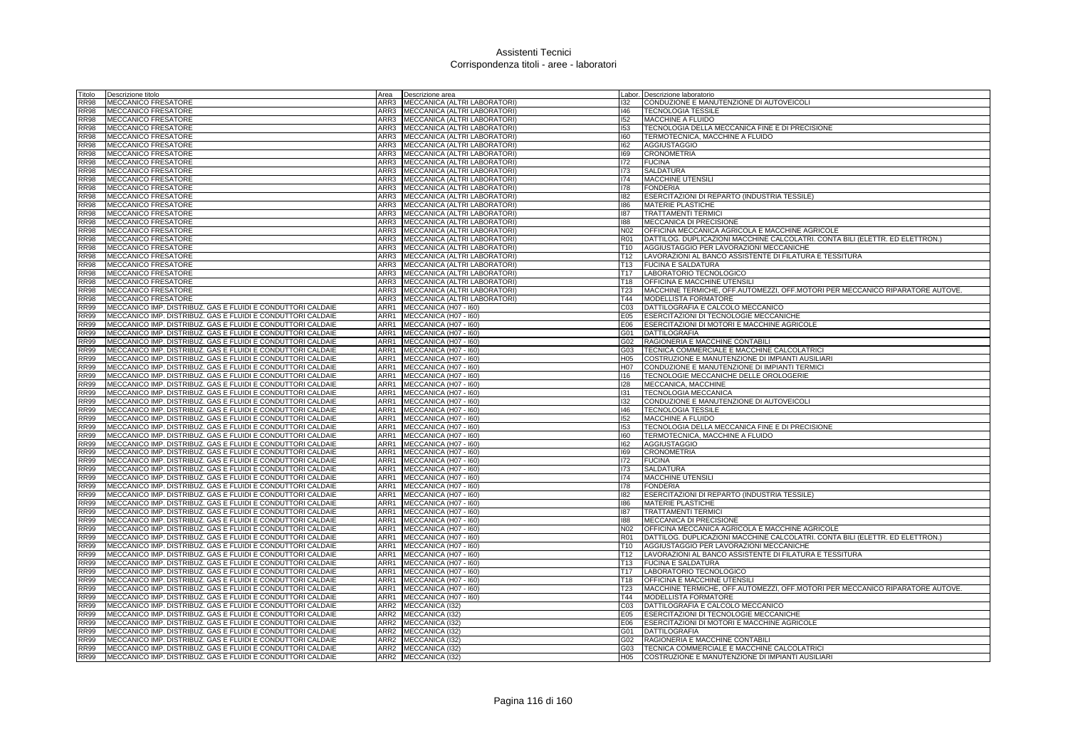| Fitolo                     | Descrizione titolo                                                                                                         | Area             | Descrizione area                                             |                               | Labor. Descrizione laboratorio                                                                                                   |
|----------------------------|----------------------------------------------------------------------------------------------------------------------------|------------------|--------------------------------------------------------------|-------------------------------|----------------------------------------------------------------------------------------------------------------------------------|
| <b>RR98</b>                | MECCANICO FRESATORE                                                                                                        | ARR3             | <b>MECCANICA (ALTRI LABORATORI)</b>                          | 132                           | CONDUZIONE E MANUTENZIONE DI AUTOVEICOLI                                                                                         |
| <b>RR98</b>                | <b>MECCANICO FRESATORE</b>                                                                                                 | ARR3             | MECCANICA (ALTRI LABORATORI)                                 | 146                           | <b>TECNOLOGIA TESSILE</b>                                                                                                        |
| <b>RR98</b>                | MECCANICO FRESATORE                                                                                                        | ARR3             | MECCANICA (ALTRI LABORATORI)                                 | 152                           | <b>MACCHINE A FLUIDO</b>                                                                                                         |
| <b>RR98</b>                | MECCANICO FRESATORE                                                                                                        | ARR3             | MECCANICA (ALTRI LABORATORI)                                 | 153                           | TECNOLOGIA DELLA MECCANICA FINE E DI PRECISIONE                                                                                  |
| <b>RR98</b>                | MECCANICO FRESATORE                                                                                                        | ARR3             | MECCANICA (ALTRI LABORATORI)                                 | 160                           | TERMOTECNICA, MACCHINE A FLUIDO                                                                                                  |
| <b>RR98</b>                | <b>MECCANICO FRESATORE</b>                                                                                                 | ARR3             | MECCANICA (ALTRI LABORATORI)                                 | 162                           | <b>AGGIUSTAGGIO</b>                                                                                                              |
| RR98                       | MECCANICO FRESATORE                                                                                                        | ARR3             | MECCANICA (ALTRI LABORATORI)                                 | 169                           | <b>CRONOMETRIA</b>                                                                                                               |
| RR98                       | <b>MECCANICO FRESATORE</b>                                                                                                 | ARR3             | MECCANICA (ALTRI LABORATORI)                                 | 172                           | <b>FUCINA</b>                                                                                                                    |
| <b>RR98</b>                | <b>MECCANICO FRESATORE</b>                                                                                                 | ARR3             | MECCANICA (ALTRI LABORATORI)                                 | 173                           | <b>SALDATURA</b>                                                                                                                 |
| <b>RR98</b>                | <b>MECCANICO FRESATORE</b>                                                                                                 | ARR3             | MECCANICA (ALTRI LABORATORI)                                 | 174                           | <b>MACCHINE UTENSILI</b>                                                                                                         |
| <b>RR98</b>                | MECCANICO FRESATORE                                                                                                        | ARR3             | MECCANICA (ALTRI LABORATORI)                                 | 178                           | <b>FONDERIA</b>                                                                                                                  |
| RR98                       | MECCANICO FRESATORE                                                                                                        | ARR3             | MECCANICA (ALTRI LABORATORI)                                 | 182                           | ESERCITAZIONI DI REPARTO (INDUSTRIA TESSILE)                                                                                     |
| <b>RR98</b>                | MECCANICO FRESATORE                                                                                                        | ARR3             | MECCANICA (ALTRI LABORATORI)                                 | 186                           | <b>MATERIE PLASTICHE</b>                                                                                                         |
| <b>RR98</b>                | MECCANICO FRESATORE                                                                                                        | ARR3             | MECCANICA (ALTRI LABORATORI)                                 | 187                           | <b>TRATTAMENTI TERMIC</b>                                                                                                        |
| <b>RR98</b><br><b>RR98</b> | MECCANICO FRESATORE                                                                                                        | ARR3<br>ARR3     | MECCANICA (ALTRI LABORATORI)                                 | 188<br>N02                    | MECCANICA DI PRECISIONE                                                                                                          |
| RR98                       | <b>MECCANICO FRESATORE</b><br>MECCANICO FRESATORE                                                                          | ARR3             | MECCANICA (ALTRI LABORATORI)<br>MECCANICA (ALTRI LABORATORI) |                               | OFFICINA MECCANICA AGRICOLA E MACCHINE AGRICOLE<br>DATTILOG. DUPLICAZIONI MACCHINE CALCOLATRI. CONTA BILI (ELETTR. ED ELETTRON.) |
| <b>RR98</b>                | <b>MECCANICO FRESATORE</b>                                                                                                 | ARR3             | MECCANICA (ALTRI LABORATORI)                                 | <b>R01</b><br>T <sub>10</sub> | AGGIUSTAGGIO PER LAVORAZIONI MECCANICHE                                                                                          |
| <b>RR98</b>                | <b>MECCANICO FRESATORE</b>                                                                                                 | ARR3             | MECCANICA (ALTRI LABORATORI)                                 | T12                           | LAVORAZIONI AL BANCO ASSISTENTE DI FILATURA E TESSITURA                                                                          |
| <b>RR98</b>                | MECCANICO FRESATORE                                                                                                        |                  | ARR3 MECCANICA (ALTRI LABORATORI)                            | T <sub>13</sub>               | <b>FUCINA E SALDATURA</b>                                                                                                        |
| <b>RR98</b>                | MECCANICO FRESATORE                                                                                                        | ARR3             | MECCANICA (ALTRI LABORATORI)                                 | T <sub>17</sub>               | LABORATORIO TECNOLOGICO                                                                                                          |
| <b>RR98</b>                | MECCANICO FRESATORE                                                                                                        | ARR3             | MECCANICA (ALTRI LABORATORI                                  | T <sub>18</sub>               | <b>OFFICINA E MACCHINE UTENSIL</b>                                                                                               |
| <b>RR98</b>                | MECCANICO FRESATORE                                                                                                        | ARR3             | MECCANICA (ALTRI LABORATORI)                                 | T <sub>23</sub>               | MACCHINE TERMICHE, OFF.AUTOMEZZI, OFF.MOTORI PER MECCANICO RIPARATORE AUTOVE.                                                    |
| <b>RR98</b>                | MECCANICO FRESATORE                                                                                                        | ARR3             | MECCANICA (ALTRI LABORATORI)                                 | T44                           | MODELLISTA FORMATORE                                                                                                             |
| RR99                       | MECCANICO IMP. DISTRIBUZ. GAS E FLUIDI E CONDUTTORI CALDAIE                                                                | ARR1             | MECCANICA (H07 - I60)                                        | C <sub>03</sub>               | DATTILOGRAFIA E CALCOLO MECCANICC                                                                                                |
| <b>RR99</b>                | MECCANICO IMP. DISTRIBUZ. GAS E FLUIDI E CONDUTTORI CALDAIE                                                                | ARR1             | MECCANICA (H07 - I60)                                        | E05                           | ESERCITAZIONI DI TECNOLOGIE MECCANICHE                                                                                           |
| <b>RR99</b>                | MECCANICO IMP. DISTRIBUZ. GAS E FLUIDI E CONDUTTORI CALDAIE                                                                | ARR1             | MECCANICA (H07 - I60)                                        | E06                           | ESERCITAZIONI DI MOTORI E MACCHINE AGRICOLE                                                                                      |
| <b>RR99</b>                | MECCANICO IMP. DISTRIBUZ. GAS E FLUIDI E CONDUTTORI CALDAIE                                                                | ARR1             | MECCANICA (H07 - I60)                                        | G01                           | <b>DATTILOGRAFIA</b>                                                                                                             |
| <b>RR99</b>                | MECCANICO IMP. DISTRIBUZ. GAS E FLUIDI E CONDUTTORI CALDAIE                                                                | ARR1             | MECCANICA (H07 - I60)                                        | G02                           | RAGIONERIA E MACCHINE CONTABILI                                                                                                  |
| <b>RR99</b>                | MECCANICO IMP. DISTRIBUZ. GAS E FLUIDI E CONDUTTORI CALDAIE                                                                | ARR1             | MECCANICA (H07 - I60)                                        | G03                           | TECNICA COMMERCIALE E MACCHINE CALCOLATRICI                                                                                      |
| <b>RR99</b>                | MECCANICO IMP. DISTRIBUZ. GAS E FLUIDI E CONDUTTORI CALDAIE                                                                | ARR1             | MECCANICA (H07 - I60)                                        | H <sub>05</sub>               | COSTRUZIONE E MANUTENZIONE DI IMPIANTI AUSILIARI                                                                                 |
| <b>RR99</b>                | MECCANICO IMP. DISTRIBUZ. GAS E FLUIDI E CONDUTTORI CALDAIE                                                                | ARR1             | MECCANICA (H07 - 160)                                        | H <sub>0</sub>                | CONDUZIONE E MANUTENZIONE DI IMPIANTI TERMICI                                                                                    |
| <b>RR99</b>                | MECCANICO IMP. DISTRIBUZ. GAS E FLUIDI E CONDUTTORI CALDAIE                                                                | ARR1             | MECCANICA (H07 - I60)                                        | 116                           | TECNOLOGIE MECCANICHE DELLE OROLOGERIE                                                                                           |
| <b>RR99</b>                | MECCANICO IMP. DISTRIBUZ. GAS E FLUIDI E CONDUTTORI CALDAIE                                                                | ARR1             | MECCANICA (H07 - I60)                                        | 128                           | MECCANICA, MACCHINE                                                                                                              |
| <b>RR99</b>                | MECCANICO IMP. DISTRIBUZ. GAS E FLUIDI E CONDUTTORI CALDAIE                                                                | ARR1             | MECCANICA (H07 - 160)                                        | 131                           | <b>TECNOLOGIA MECCANICA</b>                                                                                                      |
| <b>RR99</b>                | MECCANICO IMP. DISTRIBUZ. GAS E FLUIDI E CONDUTTORI CALDAIE                                                                | ARR1             | MECCANICA (H07 - I60)                                        | 132                           | CONDUZIONE E MANUTENZIONE DI AUTOVEICOLI                                                                                         |
| <b>RR99</b>                | MECCANICO IMP. DISTRIBUZ. GAS E FLUIDI E CONDUTTORI CALDAIE                                                                | ARR1             | MECCANICA (H07 - I60)                                        | 146                           | <b>TECNOLOGIA TESSILE</b>                                                                                                        |
| RR99                       | MECCANICO IMP. DISTRIBUZ. GAS E FLUIDI E CONDUTTORI CALDAIE                                                                | ARR1             | MECCANICA (H07 - I60)                                        | 152                           | <b>MACCHINE A FLUIDO</b>                                                                                                         |
| <b>RR99</b>                | MECCANICO IMP. DISTRIBUZ. GAS E FLUIDI E CONDUTTORI CALDAIE                                                                | ARR1             | MECCANICA (H07 - I60)                                        | 153                           | TECNOLOGIA DELLA MECCANICA FINE E DI PRECISIONE                                                                                  |
| <b>RR99</b>                | MECCANICO IMP. DISTRIBUZ. GAS E FLUIDI E CONDUTTORI CALDAIE                                                                | ARR1             | MECCANICA (H07 - I60)                                        | 160                           | TERMOTECNICA, MACCHINE A FLUIDO                                                                                                  |
| <b>RR99</b>                | MECCANICO IMP. DISTRIBUZ. GAS E FLUIDI E CONDUTTORI CALDAIE                                                                | ARR1             | MECCANICA (H07 - I60)                                        | 162                           | <b>AGGIUSTAGGIO</b>                                                                                                              |
| <b>RR99</b>                | MECCANICO IMP. DISTRIBUZ. GAS E FLUIDI E CONDUTTORI CALDAIE                                                                | ARR1             | MECCANICA (H07 - I60)                                        | 169                           | <b>CRONOMETRIA</b>                                                                                                               |
| RR99                       | MECCANICO IMP. DISTRIBUZ. GAS E FLUIDI E CONDUTTORI CALDAIE                                                                | ARR1             | MECCANICA (H07 - I60)                                        | 172                           | <b>FUCINA</b>                                                                                                                    |
| <b>RR99</b>                | MECCANICO IMP. DISTRIBUZ. GAS E FLUIDI E CONDUTTORI CALDAIE                                                                | ARR1             | MECCANICA (H07 - I60)                                        | 173                           | <b>SALDATURA</b>                                                                                                                 |
| <b>RR99</b>                | MECCANICO IMP. DISTRIBUZ. GAS E FLUIDI E CONDUTTORI CALDAIE                                                                | ARR1             | MECCANICA (H07 - I60)                                        | 174                           | MACCHINE UTENSILI                                                                                                                |
| RR99<br>RR99               | MECCANICO IMP. DISTRIBUZ. GAS E FLUIDI E CONDUTTORI CALDAIE                                                                | ARR1<br>ARR1     | MECCANICA (H07 - I60)                                        | 178<br>182                    | <b>FONDERIA</b>                                                                                                                  |
| <b>RR99</b>                | MECCANICO IMP. DISTRIBUZ. GAS E FLUIDI E CONDUTTORI CALDAIE<br>MECCANICO IMP. DISTRIBUZ. GAS E FLUIDI E CONDUTTORI CALDAIE | ARR1             | MECCANICA (H07 - I60)<br>MECCANICA (H07 - I60)               | 186                           | ESERCITAZIONI DI REPARTO (INDUSTRIA TESSILE)<br><b>MATERIE PLASTICHE</b>                                                         |
| <b>RR99</b>                | MECCANICO IMP. DISTRIBUZ. GAS E FLUIDI E CONDUTTORI CALDAIE                                                                | ARR1             | MECCANICA (H07 - I60)                                        | 187                           | <b>TRATTAMENTI TERMIC</b>                                                                                                        |
| <b>RR99</b>                | MECCANICO IMP. DISTRIBUZ. GAS E FLUIDI E CONDUTTORI CALDAIE                                                                | ARR1             | MECCANICA (H07 - I60)                                        | 188                           | MECCANICA DI PRECISIONE                                                                                                          |
| <b>RR99</b>                | MECCANICO IMP. DISTRIBUZ. GAS E FLUIDI E CONDUTTORI CALDAIE                                                                | ARR1             | MECCANICA (H07 - I60)                                        | N <sub>02</sub>               | OFFICINA MECCANICA AGRICOLA E MACCHINE AGRICOLE                                                                                  |
| <b>RR99</b>                | MECCANICO IMP. DISTRIBUZ. GAS E FLUIDI E CONDUTTORI CALDAIE                                                                | ARR1             | MECCANICA (H07 - I60)                                        | <b>R01</b>                    | DATTILOG. DUPLICAZIONI MACCHINE CALCOLATRI. CONTA BILI (ELETTR. ED ELETTRON.)                                                    |
| <b>RR99</b>                | MECCANICO IMP. DISTRIBUZ. GAS E FLUIDI E CONDUTTORI CALDAIE                                                                | ARR1             | MECCANICA (H07 - I60)                                        | T <sub>10</sub>               | AGGIUSTAGGIO PER LAVORAZIONI MECCANICHE                                                                                          |
| <b>RR99</b>                | MECCANICO IMP. DISTRIBUZ. GAS E FLUIDI E CONDUTTORI CALDAIE                                                                | ARR1             | MECCANICA (H07 - 160)                                        | T12                           | LAVORAZIONI AL BANCO ASSISTENTE DI FILATURA E TESSITURA                                                                          |
| RR99                       | MECCANICO IMP. DISTRIBUZ. GAS E FLUIDI E CONDUTTORI CALDAIE                                                                | ARR1             | MECCANICA (H07 - I60)                                        | <b>T13</b>                    | <b>FUCINA E SALDATURA</b>                                                                                                        |
| RR99                       | MECCANICO IMP. DISTRIBUZ. GAS E FLUIDI E CONDUTTORI CALDAIE                                                                | ARR1             | MECCANICA (H07 - I60)                                        | T <sub>17</sub>               | LABORATORIO TECNOLOGICO                                                                                                          |
| <b>RR99</b>                | MECCANICO IMP. DISTRIBUZ. GAS E FLUIDI E CONDUTTORI CALDAIE                                                                | ARR1             | MECCANICA (H07 - I60)                                        | T <sub>18</sub>               | <b>OFFICINA E MACCHINE UTENSIL</b>                                                                                               |
| <b>RR99</b>                | MECCANICO IMP. DISTRIBUZ. GAS E FLUIDI E CONDUTTORI CALDAIE                                                                | ARR1             | MECCANICA (H07 - I60)                                        | T23                           | MACCHINE TERMICHE, OFF.AUTOMEZZI, OFF.MOTORI PER MECCANICO RIPARATORE AUTOVE.                                                    |
| <b>RR99</b>                | MECCANICO IMP. DISTRIBUZ. GAS E FLUIDI E CONDUTTORI CALDAIE                                                                | ARR1             | MECCANICA (H07 - I60)                                        | T44                           | <b>MODELLISTA FORMATORE</b>                                                                                                      |
| R899                       | MECCANICO IMP. DISTRIBUZ. GAS E FLUIDI E CONDUTTORI CALDAIE                                                                | ARR2             | MECCANICA (I32)                                              | CO <sub>3</sub>               | DATTILOGRAFIA E CALCOLO MECCANICO                                                                                                |
| RR99                       | MECCANICO IMP. DISTRIBUZ. GAS E FLUIDI E CONDUTTORI CALDAIE                                                                | ARR2             | MECCANICA (132)                                              | E05                           | ESERCITAZIONI DI TECNOLOGIE MECCANICHE                                                                                           |
| <b>RR99</b>                | MECCANICO IMP. DISTRIBUZ. GAS E FLUIDI E CONDUTTORI CALDAIE                                                                | ARR <sub>2</sub> | MECCANICA (I32)                                              | E06                           | ESERCITAZIONI DI MOTORI E MACCHINE AGRICOLE                                                                                      |
| <b>RR99</b>                | MECCANICO IMP. DISTRIBUZ. GAS E FLUIDI E CONDUTTORI CALDAIE                                                                | ARR2             | MECCANICA (I32)                                              | G01                           | <b>DATTILOGRAFIA</b>                                                                                                             |
| RR99                       | MECCANICO IMP. DISTRIBUZ. GAS E FLUIDI E CONDUTTORI CALDAIE                                                                | ARR2             | MECCANICA (132)                                              | G02                           | RAGIONERIA E MACCHINE CONTABILI                                                                                                  |
| <b>RR99</b>                | MECCANICO IMP. DISTRIBUZ. GAS E FLUIDI E CONDUTTORI CALDAIE                                                                |                  | ARR2 MECCANICA (132)                                         | G03                           | TECNICA COMMERCIALE E MACCHINE CALCOLATRICI                                                                                      |
| <b>RR99</b>                | MECCANICO IMP. DISTRIBUZ. GAS E FLUIDI E CONDUTTORI CALDAIE                                                                |                  | ARR2 MECCANICA (I32)                                         | H <sub>05</sub>               | COSTRUZIONE E MANUTENZIONE DI IMPIANTI AUSILIARI                                                                                 |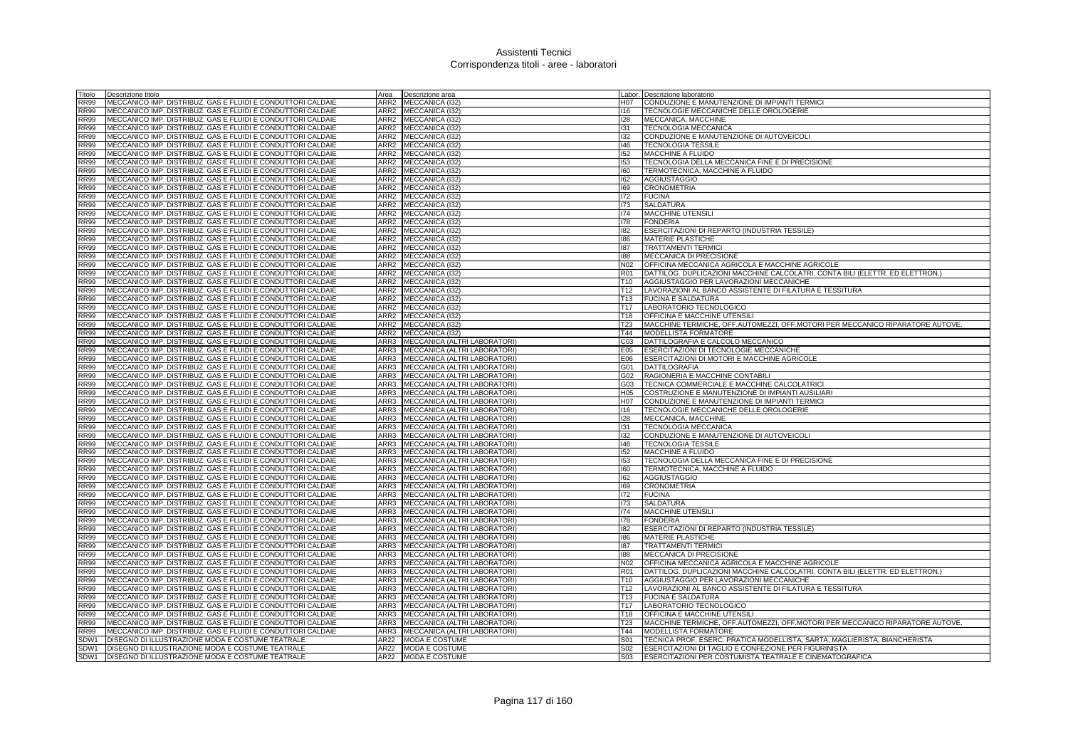| Titolo      | Descrizione titolo                                          | Area             | Descrizione area                  |                 | abor. Descrizione laboratorio                                                 |
|-------------|-------------------------------------------------------------|------------------|-----------------------------------|-----------------|-------------------------------------------------------------------------------|
| <b>RR99</b> | MECCANICO IMP. DISTRIBUZ. GAS E FLUIDI E CONDUTTORI CALDAIE |                  | ARR2 MECCANICA (132)              | H07             | CONDUZIONE E MANUTENZIONE DI IMPIANTI TERMICI                                 |
| <b>RR99</b> | MECCANICO IMP. DISTRIBUZ. GAS E FLUIDI E CONDUTTORI CALDAIE |                  | ARR2 MECCANICA (I32)              | 116             | TECNOLOGIE MECCANICHE DELLE OROLOGERIE                                        |
| <b>RR99</b> | MECCANICO IMP. DISTRIBUZ. GAS E FLUIDI E CONDUTTORI CALDAIE |                  | ARR2 MECCANICA (I32)              | 128             | MECCANICA, MACCHINE                                                           |
| <b>RR99</b> | MECCANICO IMP. DISTRIBUZ. GAS E FLUIDI E CONDUTTORI CALDAIE |                  | ARR2 MECCANICA (I32)              | 131             | <b>TECNOLOGIA MECCANICA</b>                                                   |
| <b>RR99</b> | MECCANICO IMP. DISTRIBUZ. GAS E FLUIDI E CONDUTTORI CALDAIE | ARR2             |                                   |                 |                                                                               |
|             |                                                             |                  | MECCANICA (132)                   | 132             | CONDUZIONE E MANUTENZIONE DI AUTOVEICOLI                                      |
| <b>RR99</b> | MECCANICO IMP. DISTRIBUZ. GAS E FLUIDI E CONDUTTORI CALDAIE |                  | ARR2 MECCANICA (I32)              | 146             | <b>TECNOLOGIA TESSILE</b>                                                     |
| <b>RR99</b> | MECCANICO IMP. DISTRIBUZ. GAS E FLUIDI E CONDUTTORI CALDAIE | ARR <sub>2</sub> | MECCANICA (I32)                   | 152             | MACCHINE A FLUIDO                                                             |
| <b>RR99</b> | MECCANICO IMP. DISTRIBUZ. GAS E FLUIDI E CONDUTTORI CALDAIE | ARR2             | MECCANICA (I32)                   | 153             | TECNOLOGIA DELLA MECCANICA FINE E DI PRECISIONE                               |
| <b>RR99</b> | MECCANICO IMP. DISTRIBUZ. GAS E FLUIDI E CONDUTTORI CALDAIE | ARR <sub>2</sub> | MECCANICA (132)                   | 160             | TERMOTECNICA, MACCHINE A FLUIDO                                               |
| <b>RR99</b> | MECCANICO IMP. DISTRIBUZ. GAS E FLUIDI E CONDUTTORI CALDAIE | ARR <sub>2</sub> | MECCANICA (132)                   | 162             | <b>AGGIUSTAGGIO</b>                                                           |
| <b>RR99</b> | MECCANICO IMP. DISTRIBUZ. GAS E FLUIDI E CONDUTTORI CALDAIE |                  | ARR2 MECCANICA (I32)              | 169             | <b>CRONOMETRIA</b>                                                            |
| <b>RR99</b> | MECCANICO IMP. DISTRIBUZ, GAS E FLUIDI E CONDUTTORI CALDAIE |                  | ARR2 MECCANICA (132)              | 172             | <b>FUCINA</b>                                                                 |
| <b>RR99</b> | MECCANICO IMP. DISTRIBUZ. GAS E FLUIDI E CONDUTTORI CALDAIE |                  | ARR2 MECCANICA (I32)              | 173             | <b>SALDATURA</b>                                                              |
| <b>RR99</b> | MECCANICO IMP. DISTRIBUZ, GAS E FLUIDI E CONDUTTORI CALDAIE | ARR <sub>2</sub> | MECCANICA (132)                   | 174             | <b>MACCHINE UTENSIL</b>                                                       |
|             |                                                             |                  |                                   |                 |                                                                               |
| <b>RR99</b> | MECCANICO IMP. DISTRIBUZ. GAS E FLUIDI E CONDUTTORI CALDAIE | ARR <sub>2</sub> | <b>MECCANICA (I32)</b>            | 178             | <b>FONDERIA</b>                                                               |
| <b>RR99</b> | MECCANICO IMP. DISTRIBUZ. GAS E FLUIDI E CONDUTTORI CALDAIE | ARR2             | MECCANICA (I32)                   | 182             | ESERCITAZIONI DI REPARTO (INDUSTRIA TESSILE)                                  |
| <b>RR99</b> | MECCANICO IMP. DISTRIBUZ. GAS E FLUIDI E CONDUTTORI CALDAIE |                  | ARR2 MECCANICA (I32)              | 186             | MATERIE PLASTICHE                                                             |
| <b>RR99</b> | MECCANICO IMP. DISTRIBUZ. GAS E FLUIDI E CONDUTTORI CALDAIE | ARR2             | MECCANICA (I32)                   | 187             | <b>TRATTAMENTI TERMIC</b>                                                     |
| <b>RR99</b> | MECCANICO IMP. DISTRIBUZ. GAS E FLUIDI E CONDUTTORI CALDAIE |                  | ARR2 MECCANICA (I32)              | 188             | MECCANICA DI PRECISIONE                                                       |
| <b>RR99</b> | MECCANICO IMP. DISTRIBUZ. GAS E FLUIDI E CONDUTTORI CALDAIE |                  | ARR2 MECCANICA (I32)              | N02             | OFFICINA MECCANICA AGRICOLA E MACCHINE AGRICOLE                               |
| <b>RR99</b> | MECCANICO IMP. DISTRIBUZ. GAS E FLUIDI E CONDUTTORI CALDAIE |                  | ARR2 MECCANICA (I32)              | R01             | DATTILOG. DUPLICAZIONI MACCHINE CALCOLATRI. CONTA BILI (ELETTR. ED ELETTRON.) |
| <b>RR99</b> | MECCANICO IMP. DISTRIBUZ. GAS E FLUIDI E CONDUTTORI CALDAIE |                  | ARR2 MECCANICA (I32)              | T10             | AGGIUSTAGGIO PER LAVORAZIONI MECCANICHE                                       |
| <b>RR99</b> | MECCANICO IMP. DISTRIBUZ. GAS E FLUIDI E CONDUTTORI CALDAIE | ARR <sub>2</sub> | MECCANICA (I32)                   | T <sub>12</sub> | LAVORAZIONI AL BANCO ASSISTENTE DI FILATURA E TESSITURA                       |
|             |                                                             |                  |                                   |                 |                                                                               |
| <b>RR99</b> | MECCANICO IMP. DISTRIBUZ. GAS E FLUIDI E CONDUTTORI CALDAIE | ARR2             | MECCANICA (I32)                   | T <sub>13</sub> | <b>FUCINA E SALDATURA</b>                                                     |
| <b>RR99</b> | MECCANICO IMP. DISTRIBUZ. GAS E FLUIDI E CONDUTTORI CALDAIE | ARR2             | MECCANICA (I32)                   | T <sub>17</sub> | LABORATORIO TECNOLOGICO                                                       |
| <b>RR99</b> | MECCANICO IMP. DISTRIBUZ. GAS E FLUIDI E CONDUTTORI CALDAIE |                  | ARR2 MECCANICA (I32)              | T18             | OFFICINA E MACCHINE UTENSILI                                                  |
| <b>RR99</b> | MECCANICO IMP. DISTRIBUZ. GAS E FLUIDI E CONDUTTORI CALDAIE | ARR <sub>2</sub> | MECCANICA (I32)                   | T <sub>23</sub> | MACCHINE TERMICHE, OFF.AUTOMEZZI, OFF.MOTORI PER MECCANICO RIPARATORE AUTOVE. |
| <b>RR99</b> | MECCANICO IMP. DISTRIBUZ. GAS E FLUIDI E CONDUTTORI CALDAIE |                  | ARR2 MECCANICA (I32)              | T44             | MODELLISTA FORMATORE                                                          |
| <b>RR99</b> | MECCANICO IMP. DISTRIBUZ, GAS E FLUIDI E CONDUTTORI CALDAIE |                  | ARR3 MECCANICA (ALTRI LABORATORI) | CO <sub>3</sub> | DATTILOGRAFIA E CALCOLO MECCANICO                                             |
| <b>RR99</b> | MECCANICO IMP. DISTRIBUZ. GAS E FLUIDI E CONDUTTORI CALDAIE |                  | ARR3 MECCANICA (ALTRI LABORATORI) | E05             | ESERCITAZIONI DI TECNOLOGIE MECCANICHE                                        |
| <b>RR99</b> | MECCANICO IMP. DISTRIBUZ, GAS E FLUIDI E CONDUTTORI CALDAIE | ARR3             | MECCANICA (ALTRI LABORATORI)      | E06             | ESERCITAZIONI DI MOTORI E MACCHINE AGRICOLE                                   |
| <b>RR99</b> | MECCANICO IMP. DISTRIBUZ. GAS E FLUIDI E CONDUTTORI CALDAIE | ARR3             | MECCANICA (ALTRI LABORATORI)      | G01             | <b>DATTILOGRAFIA</b>                                                          |
| <b>RR99</b> | MECCANICO IMP. DISTRIBUZ. GAS E FLUIDI E CONDUTTORI CALDAIE | ARR3             | MECCANICA (ALTRI LABORATORI)      | G02             | RAGIONERIA E MACCHINE CONTABILI                                               |
|             |                                                             |                  |                                   |                 |                                                                               |
| <b>RR99</b> | MECCANICO IMP. DISTRIBUZ. GAS E FLUIDI E CONDUTTORI CALDAIE | ARR3             | MECCANICA (ALTRI LABORATORI)      | G03             | TECNICA COMMERCIALE E MACCHINE CALCOLATRICI                                   |
| <b>RR99</b> | MECCANICO IMP. DISTRIBUZ. GAS E FLUIDI E CONDUTTORI CALDAIE | ARR3             | MECCANICA (ALTRI LABORATORI)      | H05             | COSTRUZIONE E MANUTENZIONE DI IMPIANTI AUSILIARI                              |
| <b>RR99</b> | MECCANICO IMP. DISTRIBUZ. GAS E FLUIDI E CONDUTTORI CALDAIE | ARR3             | MECCANICA (ALTRI LABORATORI)      | H07             | CONDUZIONE E MANUTENZIONE DI IMPIANTI TERMICI                                 |
| <b>RR99</b> | MECCANICO IMP. DISTRIBUZ. GAS E FLUIDI E CONDUTTORI CALDAIE |                  | ARR3 MECCANICA (ALTRI LABORATORI) | 116             | TECNOLOGIE MECCANICHE DELLE OROLOGERIE                                        |
| <b>RR99</b> | MECCANICO IMP. DISTRIBUZ. GAS E FLUIDI E CONDUTTORI CALDAIE |                  | ARR3 MECCANICA (ALTRI LABORATORI) | 128             | MECCANICA, MACCHINE                                                           |
| <b>RR99</b> | MECCANICO IMP. DISTRIBUZ. GAS E FLUIDI E CONDUTTORI CALDAIE |                  | ARR3 MECCANICA (ALTRI LABORATORI) | 131             | TECNOLOGIA MECCANICA                                                          |
| <b>RR99</b> | MECCANICO IMP. DISTRIBUZ. GAS E FLUIDI E CONDUTTORI CALDAIE | ARR3             | MECCANICA (ALTRI LABORATORI)      | 132             | CONDUZIONE E MANUTENZIONE DI AUTOVEICOLI                                      |
| <b>RR99</b> | MECCANICO IMP. DISTRIBUZ. GAS E FLUIDI E CONDUTTORI CALDAIE | ARR3             | MECCANICA (ALTRI LABORATORI)      | 146             | <b>TECNOLOGIA TESSILE</b>                                                     |
| <b>RR99</b> | MECCANICO IMP. DISTRIBUZ. GAS E FLUIDI E CONDUTTORI CALDAIE |                  | ARR3 MECCANICA (ALTRI LABORATORI) | 152             | <b>MACCHINE A FLUIDO</b>                                                      |
| <b>RR99</b> | MECCANICO IMP. DISTRIBUZ. GAS E FLUIDI E CONDUTTORI CALDAIE | ARR3             | MECCANICA (ALTRI LABORATORI)      | 153             | TECNOLOGIA DELLA MECCANICA FINE E DI PRECISIONE                               |
| <b>RR99</b> | MECCANICO IMP. DISTRIBUZ. GAS E FLUIDI E CONDUTTORI CALDAIE | ARR3             | MECCANICA (ALTRI LABORATORI)      | 160             | TERMOTECNICA, MACCHINE A FLUIDO                                               |
|             |                                                             | ARR3             |                                   |                 |                                                                               |
| <b>RR99</b> | MECCANICO IMP. DISTRIBUZ. GAS E FLUIDI E CONDUTTORI CALDAIE |                  | MECCANICA (ALTRI LABORATORI)      | 162             | <b>AGGIUSTAGGIO</b>                                                           |
| <b>RR99</b> | MECCANICO IMP. DISTRIBUZ. GAS E FLUIDI E CONDUTTORI CALDAIE |                  | ARR3 MECCANICA (ALTRI LABORATORI) | 169             | <b>CRONOMETRIA</b>                                                            |
| <b>RR99</b> | MECCANICO IMP. DISTRIBUZ. GAS E FLUIDI E CONDUTTORI CALDAIE | ARR3             | MECCANICA (ALTRI LABORATORI)      | 172             | <b>FUCINA</b>                                                                 |
| <b>RR99</b> | MECCANICO IMP. DISTRIBUZ. GAS E FLUIDI E CONDUTTORI CALDAIE | ARR3             | MECCANICA (ALTRI LABORATORI)      | 173             | <b>SALDATURA</b>                                                              |
| <b>RR99</b> | MECCANICO IMP. DISTRIBUZ. GAS E FLUIDI E CONDUTTORI CALDAIE | ARR3             | MECCANICA (ALTRI LABORATORI)      | 174             | <b>MACCHINE UTENSILI</b>                                                      |
| <b>RR99</b> | MECCANICO IMP. DISTRIBUZ. GAS E FLUIDI E CONDUTTORI CALDAIE | ARR3             | MECCANICA (ALTRI LABORATORI)      | 178             | <b>FONDERIA</b>                                                               |
| <b>RR99</b> | MECCANICO IMP. DISTRIBUZ. GAS E FLUIDI E CONDUTTORI CALDAIE | ARR3             | MECCANICA (ALTRI LABORATORI)      | 182             | ESERCITAZIONI DI REPARTO (INDUSTRIA TESSILE)                                  |
| <b>RR99</b> | MECCANICO IMP. DISTRIBUZ. GAS E FLUIDI E CONDUTTORI CALDAIE | ARR3             | MECCANICA (ALTRI LABORATORI)      | 186             | <b>MATERIE PLASTICHE</b>                                                      |
| <b>RR99</b> | MECCANICO IMP. DISTRIBUZ. GAS E FLUIDI E CONDUTTORI CALDAIE | ARR3             | MECCANICA (ALTRI LABORATORI)      | 187             | <b>TRATTAMENTI TERMICI</b>                                                    |
| <b>RR99</b> | MECCANICO IMP. DISTRIBUZ. GAS E FLUIDI E CONDUTTORI CALDAIE | ARR3             | MECCANICA (ALTRI LABORATORI)      | 188             | MECCANICA DI PRECISIONE                                                       |
| <b>RR99</b> | MECCANICO IMP. DISTRIBUZ. GAS E FLUIDI E CONDUTTORI CALDAIE |                  | ARR3 MECCANICA (ALTRI LABORATORI) | N02             | OFFICINA MECCANICA AGRICOLA E MACCHINE AGRICOLE                               |
| <b>RR99</b> |                                                             | ARR3             |                                   | R01             |                                                                               |
|             | MECCANICO IMP. DISTRIBUZ. GAS E FLUIDI E CONDUTTORI CALDAIE |                  | MECCANICA (ALTRI LABORATORI)      |                 | DATTILOG. DUPLICAZIONI MACCHINE CALCOLATRI. CONTA BILI (ELETTR. ED ELETTRON.) |
| <b>RR99</b> | MECCANICO IMP. DISTRIBUZ. GAS E FLUIDI E CONDUTTORI CALDAIE | ARR3             | MECCANICA (ALTRI LABORATORI)      | T <sub>10</sub> | AGGIUSTAGGIO PER LAVORAZIONI MECCANICHE                                       |
| <b>RR99</b> | MECCANICO IMP. DISTRIBUZ. GAS E FLUIDI E CONDUTTORI CALDAIE | ARR3             | MECCANICA (ALTRI LABORATORI)      | T12             | LAVORAZIONI AL BANCO ASSISTENTE DI FILATURA E TESSITURA                       |
| <b>RR99</b> | MECCANICO IMP. DISTRIBUZ. GAS E FLUIDI E CONDUTTORI CALDAIE |                  | ARR3 MECCANICA (ALTRI LABORATORI) | T13             | <b>FUCINA E SALDATURA</b>                                                     |
| <b>RR99</b> | MECCANICO IMP. DISTRIBUZ. GAS E FLUIDI E CONDUTTORI CALDAIE | ARR3             | MECCANICA (ALTRI LABORATORI)      | T <sub>17</sub> | LABORATORIO TECNOLOGICO                                                       |
| <b>RR99</b> | MECCANICO IMP. DISTRIBUZ. GAS E FLUIDI E CONDUTTORI CALDAIE | ARR3             | MECCANICA (ALTRI LABORATORI)      | T18             | OFFICINA E MACCHINE UTENSILI                                                  |
| <b>RR99</b> | MECCANICO IMP. DISTRIBUZ. GAS E FLUIDI E CONDUTTORI CALDAIE | ARR3             | MECCANICA (ALTRI LABORATORI)      | <b>T23</b>      | MACCHINE TERMICHE, OFF.AUTOMEZZI, OFF.MOTORI PER MECCANICO RIPARATORE AUTOVE. |
| <b>RR99</b> | MECCANICO IMP. DISTRIBUZ. GAS E FLUIDI E CONDUTTORI CALDAIE |                  | ARR3 MECCANICA (ALTRI LABORATORI) | T44             | <b>MODELLISTA FORMATORE</b>                                                   |
| SDW1        | DISEGNO DI ILLUSTRAZIONE MODA E COSTUME TEATRALE            | AR22             | <b>MODA E COSTUME</b>             | S <sub>01</sub> | TECNICA PROF. ESERC. PRATICA MODELLISTA, SARTA, MAGLIERISTA, BIANCHERISTA     |
| SDW1        | DISEGNO DI ILLUSTRAZIONE MODA E COSTUME TEATRALE            |                  | AR22 MODA E COSTUME               | S02             | ESERCITAZIONI DI TAGLIO E CONFEZIONE PER FIGURINISTA                          |
| SDW1        | DISEGNO DI ILLUSTRAZIONE MODA E COSTUME TEATRALE            |                  | AR22 MODA E COSTUME               | S03             | <b>ESERCITAZIONI PER COSTUMISTA TEATRALE E CINEMATOGRAFICA</b>                |
|             |                                                             |                  |                                   |                 |                                                                               |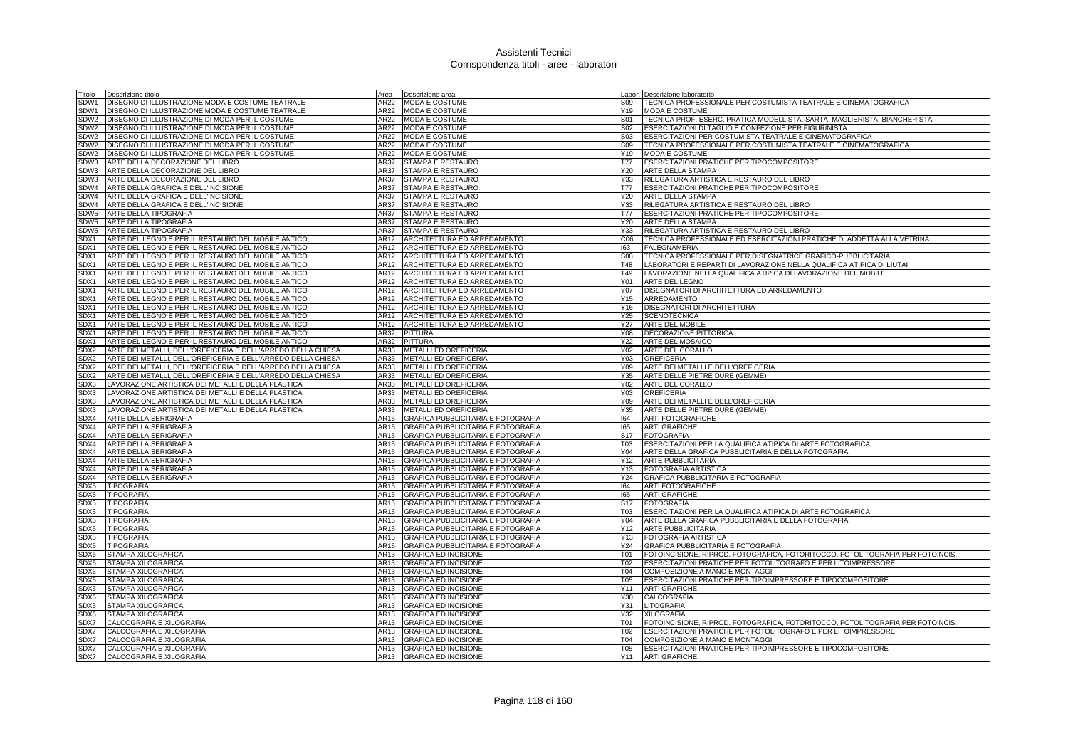| Titolo       | Descrizione titolo                                                | Area         | Descrizione area                                                         |                  | Labor. Descrizione laboratorio                                                 |
|--------------|-------------------------------------------------------------------|--------------|--------------------------------------------------------------------------|------------------|--------------------------------------------------------------------------------|
| SDW1         | DISEGNO DI ILLUSTRAZIONE MODA E COSTUME TEATRALE                  | AR22         | MODA E COSTUME                                                           | S <sub>09</sub>  | TECNICA PROFESSIONALE PER COSTUMISTA TEATRALE E CINEMATOGRAFICA                |
| SDW1         | DISEGNO DI ILLUSTRAZIONE MODA E COSTUME TEATRALE                  | AR22         | <b>MODA E COSTUME</b>                                                    | Y19              | <b>MODA E COSTUME</b>                                                          |
| SDW2         | DISEGNO DI ILLUSTRAZIONE DI MODA PER IL COSTUME                   | AR22         | MODA E COSTUME                                                           | S01              | TECNICA PROF. ESERC. PRATICA MODELLISTA, SARTA, MAGLIERISTA, BIANCHERISTA      |
| SDW2         | DISEGNO DI ILLUSTRAZIONE DI MODA PER IL COSTUME                   |              | AR22 MODA E COSTUME                                                      | S02              | ESERCITAZIONI DI TAGLIO E CONFEZIONE PER FIGURINISTA                           |
| SDW2         | DISEGNO DI ILLUSTRAZIONE DI MODA PER IL COSTUME                   | AR22         | MODA E COSTUME                                                           | S <sub>0</sub> 3 | ESERCITAZIONI PER COSTUMISTA TEATRALE E CINEMATOGRAFICA                        |
| SDW2         | DISEGNO DI ILLUSTRAZIONE DI MODA PER IL COSTUME                   | <b>AR22</b>  | MODA E COSTUME                                                           | S09              | TECNICA PROFESSIONALE PER COSTUMISTA TEATRALE E CINEMATOGRAFICA                |
| SDW2         | DISEGNO DI ILLUSTRAZIONE DI MODA PER IL COSTUME                   | AR22         | MODA E COSTUME                                                           | Y19              | MODA E COSTUME                                                                 |
|              | SDW3 ARTE DELLA DECORAZIONE DEL LIBRO                             | AR37         | STAMPA E RESTAURO                                                        | T77              | ESERCITAZIONI PRATICHE PER TIPOCOMPOSITORE                                     |
|              | SDW3 ARTE DELLA DECORAZIONE DEL LIBRO                             | AR37         | STAMPA E RESTAURO                                                        | Y20              | <b>ARTE DELLA STAMPA</b>                                                       |
|              | SDW3 ARTE DELLA DECORAZIONE DEL LIBRO                             | AR37         | STAMPA E RESTAURO                                                        | Y33              | RILEGATURA ARTISTICA E RESTAURO DEL LIBRO                                      |
|              | SDW4 ARTE DELLA GRAFICA E DELL'INCISIONE                          | AR37<br>AR37 | STAMPA E RESTAURO                                                        | <b>T77</b>       | ESERCITAZIONI PRATICHE PER TIPOCOMPOSITORE                                     |
|              | SDW4 ARTE DELLA GRAFICA E DELL'INCISIONE                          |              | STAMPA E RESTAURO                                                        | Y20              | ARTE DELLA STAMPA                                                              |
|              | SDW4 ARTE DELLA GRAFICA E DELL'INCISIONE                          | <b>AR37</b>  | STAMPA E RESTAURO                                                        | Y33              | RILEGATURA ARTISTICA E RESTAURO DEL LIBRO                                      |
|              | SDW5 ARTE DELLA TIPOGRAFIA                                        | AR37<br>AR37 | STAMPA E RESTAURO                                                        | T77              | ESERCITAZIONI PRATICHE PER TIPOCOMPOSITORE                                     |
|              | SDW5 ARTE DELLA TIPOGRAFIA<br>SDW5 ARTE DELLA TIPOGRAFIA          | AR37         | STAMPA E RESTAURO<br>STAMPA E RESTAURO                                   | Y20<br>Y33       | ARTE DELLA STAMPA<br>RILEGATURA ARTISTICA E RESTAURO DEL LIBRO                 |
|              | SDX1 ARTE DEL LEGNO E PER IL RESTAURO DEL MOBILE ANTICO           | AR12         | ARCHITETTURA ED ARREDAMENTO                                              | C06              | TECNICA PROFESSIONALE ED ESERCITAZIONI PRATICHE DI ADDETTA ALLA VETRINA        |
| SDX1         | ARTE DEL LEGNO E PER IL RESTAURO DEL MOBILE ANTICO                | AR12         | ARCHITETTURA ED ARREDAMENTO                                              | 163              | <b>FALEGNAMERIA</b>                                                            |
| SDX1         | ARTE DEL LEGNO E PER IL RESTAURO DEL MOBILE ANTICO                | AR12         | ARCHITETTURA ED ARREDAMENTO                                              | <b>S08</b>       | TECNICA PROFESSIONALE PER DISEGNATRICE GRAFICO-PUBBLICITARIA                   |
| SDX1         | ARTE DEL LEGNO E PER IL RESTAURO DEL MOBILE ANTICO                | AR12         | ARCHITETTURA ED ARREDAMENTO                                              | T48              | LABORATORI E REPARTI DI LAVORAZIONE NELLA QUALIFICA ATIPICA DI LIUTAI          |
| SDX1         | ARTE DEL LEGNO E PER IL RESTAURO DEL MOBILE ANTICO                | AR12         | ARCHITETTURA ED ARREDAMENTO                                              | T49              | LAVORAZIONE NELLA QUALIFICA ATIPICA DI LAVORAZIONE DEL MOBILE                  |
| SDX1         | ARTE DEL LEGNO E PER IL RESTAURO DEL MOBILE ANTICO                | AR12         | ARCHITETTURA ED ARREDAMENTO                                              | Y01              | <b>ARTE DEL LEGNO</b>                                                          |
| SDX1         | ARTE DEL LEGNO E PER IL RESTAURO DEL MOBILE ANTICO                | AR12         | ARCHITETTURA ED ARREDAMENTO                                              | Y07              | DISEGNATORI DI ARCHITETTURA ED ARREDAMENTO                                     |
| SDX1         | ARTE DEL LEGNO E PER IL RESTAURO DEL MOBILE ANTICO                | AR12         | ARCHITETTURA ED ARREDAMENTO                                              | Y15              | ARREDAMENTO                                                                    |
| SDX1         | ARTE DEL LEGNO E PER IL RESTAURO DEL MOBILE ANTICO                | AR12         | ARCHITETTURA ED ARREDAMENTO                                              | Y16              | DISEGNATORI DI ARCHITETTURA                                                    |
| SDX1         | ARTE DEL LEGNO E PER IL RESTAURO DEL MOBILE ANTICO                | AR12         | ARCHITETTURA ED ARREDAMENTO                                              | Y25              | <b>SCENOTECNICA</b>                                                            |
| SDX1         | ARTE DEL LEGNO E PER IL RESTAURO DEL MOBILE ANTICO                | AR12         | ARCHITETTURA ED ARREDAMENTO                                              | Y27              | ARTE DEL MOBILE                                                                |
| SDX1         | ARTE DEL LEGNO E PER IL RESTAURO DEL MOBILE ANTICO                | AR32         | <b>PITTURA</b>                                                           | Y08              | DECORAZIONE PITTORICA                                                          |
| SDX1         | ARTE DEL LEGNO E PER IL RESTAURO DEL MOBILE ANTICO                | AR32         | <b>PITTURA</b>                                                           | Y22              | ARTE DEL MOSAICO                                                               |
|              | SDX2 ARTE DEI METALLI, DELL'OREFICERIA E DELL'ARREDO DELLA CHIESA | AR33         | METALLI ED OREFICERIA                                                    | Y02              | ARTE DEL CORALLO                                                               |
| SDX2         | ARTE DEI METALLI, DELL'OREFICERIA E DELL'ARREDO DELLA CHIESA      | AR33         | <b>METALLI ED OREFICERIA</b>                                             | Y03              | <b>OREFICERIA</b>                                                              |
| SDX2         | ARTE DEI METALLI, DELL'OREFICERIA E DELL'ARREDO DELLA CHIESA      | AR33         | METALLI ED OREFICERIA                                                    | Y09              | ARTE DEI METALLI E DELL'OREFICERIA                                             |
| SDX2         | ARTE DEI METALLI, DELL'OREFICERIA E DELL'ARREDO DELLA CHIESA      | AR33         | METALLI ED OREFICERIA                                                    | Y35              | ARTE DELLE PIETRE DURE (GEMME)                                                 |
| SDX3         | LAVORAZIONE ARTISTICA DEI METALLI E DELLA PLASTICA                | AR33         | METALLI ED OREFICERIA                                                    | Y02              | ARTE DEL CORALLO                                                               |
| SDX3         | LAVORAZIONE ARTISTICA DEI METALLI E DELLA PLASTICA                | AR33         | METALLI ED OREFICERIA                                                    | Y03              | <b>OREFICERIA</b>                                                              |
| SDX3         | LAVORAZIONE ARTISTICA DEI METALLI E DELLA PLASTICA                | AR33         | METALLI ED OREFICERIA                                                    | Y09              | ARTE DEI METALLI E DELL'OREFICERIA                                             |
| SDX3         | LAVORAZIONE ARTISTICA DEI METALLI E DELLA PLASTICA                | AR33         | METALLI ED OREFICERIA                                                    | Y35              | ARTE DELLE PIETRE DURE (GEMME)                                                 |
| SDX4         | ARTE DELLA SERIGRAFIA                                             | AR15         | GRAFICA PUBBLICITARIA E FOTOGRAFIA                                       | 164              | ARTI FOTOGRAFICHE                                                              |
| SDX4         | <b>ARTE DELLA SERIGRAFIA</b>                                      | AR15         | <b>GRAFICA PUBBLICITARIA E FOTOGRAFIA</b>                                | 165              | <b>ARTI GRAFICHE</b>                                                           |
| SDX4         | <b>ARTE DELLA SERIGRAFIA</b>                                      | <b>AR15</b>  | <b>GRAFICA PUBBLICITARIA E FOTOGRAFIA</b>                                | S <sub>17</sub>  | <b>FOTOGRAFIA</b>                                                              |
| SDX4         | ARTE DELLA SERIGRAFIA                                             | AR15         | GRAFICA PUBBLICITARIA E FOTOGRAFIA                                       | T03              | ESERCITAZIONI PER LA QUALIFICA ATIPICA DI ARTE FOTOGRAFICA                     |
|              | SDX4 ARTE DELLA SERIGRAFIA                                        | AR15         | GRAFICA PUBBLICITARIA E FOTOGRAFIA                                       | Y04              | ARTE DELLA GRAFICA PUBBLICITARIA E DELLA FOTOGRAFIA                            |
| SDX4         | SDX4 ARTE DELLA SERIGRAFIA<br>ARTE DELLA SERIGRAFIA               | AR15<br>AR15 | GRAFICA PUBBLICITARIA E FOTOGRAFIA<br>GRAFICA PUBBLICITARIA E FOTOGRAFIA | Y13              | Y12 ARTE PUBBLICITARIA<br><b>FOTOGRAFIA ARTISTICA</b>                          |
|              | ARTE DELLA SERIGRAFIA                                             | AR15         | GRAFICA PUBBLICITARIA E FOTOGRAFIA                                       | Y24              | GRAFICA PUBBLICITARIA E FOTOGRAFIA                                             |
| SDX4<br>SDX5 | <b>TIPOGRAFIA</b>                                                 | AR15         | GRAFICA PUBBLICITARIA E FOTOGRAFIA                                       | 164              | <b>ARTI FOTOGRAFICHE</b>                                                       |
| SDX5         | <b>TIPOGRAFIA</b>                                                 | AR15         | GRAFICA PUBBLICITARIA E FOTOGRAFIA                                       | 165              | <b>ARTI GRAFICHE</b>                                                           |
| SDX5         | <b>TIPOGRAFIA</b>                                                 | AR15         | GRAFICA PUBBLICITARIA E FOTOGRAFIA                                       | S <sub>17</sub>  | <b>FOTOGRAFIA</b>                                                              |
| SDX5         | TIPOGRAFIA                                                        | AR15         | GRAFICA PUBBLICITARIA E FOTOGRAFIA                                       | T03              | ESERCITAZIONI PER LA QUALIFICA ATIPICA DI ARTE FOTOGRAFICA                     |
| SDX5         | <b>TIPOGRAFIA</b>                                                 | AR15         | GRAFICA PUBBLICITARIA E FOTOGRAFIA                                       | Y04              | ARTE DELLA GRAFICA PUBBLICITARIA E DELLA FOTOGRAFIA                            |
| SDX5         | TIPOGRAFIA                                                        | AR15         | GRAFICA PUBBLICITARIA E FOTOGRAFIA                                       | Y12              | <b>ARTE PUBBLICITARIA</b>                                                      |
| SDX5         | TIPOGRAFIA                                                        | AR15         | GRAFICA PUBBLICITARIA E FOTOGRAFIA                                       | Y13              | <b>FOTOGRAFIA ARTISTICA</b>                                                    |
| SDX5         | <b>TIPOGRAFIA</b>                                                 | <b>AR15</b>  | GRAFICA PUBBLICITARIA E FOTOGRAFIA                                       | Y24              | GRAFICA PUBBLICITARIA E FOTOGRAFIA                                             |
| SDX6         | STAMPA XILOGRAFICA                                                | AR13         | <b>GRAFICA ED INCISIONE</b>                                              | T01              | FOTOINCISIONE, RIPROD. FOTOGRAFICA, FOTORITOCCO, FOTOLITOGRAFIA PER FOTOINCIS. |
| SDX6         | STAMPA XILOGRAFICA                                                | AR13         | <b>GRAFICA ED INCISIONE</b>                                              | T <sub>02</sub>  | ESERCITAZIONI PRATICHE PER FOTOLITOGRAFO E PER LITOIMPRESSORE                  |
| SDX6         | STAMPA XILOGRAFICA                                                | AR13         | <b>GRAFICA ED INCISIONE</b>                                              | T04              | COMPOSIZIONE A MANO E MONTAGGI                                                 |
| SDX6         | STAMPA XILOGRAFICA                                                | AR13         | <b>GRAFICA ED INCISIONE</b>                                              | T05              | ESERCITAZIONI PRATICHE PER TIPOIMPRESSORE E TIPOCOMPOSITORE                    |
| SDX6         | STAMPA XILOGRAFICA                                                | AR13         | <b>GRAFICA ED INCISIONE</b>                                              | Y11              | <b>ARTI GRAFICHE</b>                                                           |
| SDX6         | STAMPA XILOGRAFICA                                                | AR13         | <b>GRAFICA ED INCISIONE</b>                                              | Y30              | CALCOGRAFIA                                                                    |
| SDX6         | STAMPA XILOGRAFICA                                                | AR13         | <b>GRAFICA ED INCISIONE</b>                                              | Y31              | LITOGRAFIA                                                                     |
| SDX6         | <b>STAMPA XILOGRAFICA</b>                                         | AR13         | GRAFICA ED INCISIONE                                                     | Y32              | <b>XILOGRAFIA</b>                                                              |
| SDX7         | CALCOGRAFIA E XILOGRAFIA                                          | AR13         | <b>GRAFICA ED INCISIONE</b>                                              | T01              | FOTOINCISIONE, RIPROD. FOTOGRAFICA, FOTORITOCCO, FOTOLITOGRAFIA PER FOTOINCIS. |
| SDX7         | CALCOGRAFIA E XILOGRAFIA                                          | AR13         | <b>GRAFICA ED INCISIONE</b>                                              | T02              | ESERCITAZIONI PRATICHE PER FOTOLITOGRAFO E PER LITOIMPRESSORE                  |
| SDX7         | CALCOGRAFIA E XILOGRAFIA                                          | AR13         | <b>GRAFICA ED INCISIONE</b>                                              | T <sub>04</sub>  | COMPOSIZIONE A MANO E MONTAGGI                                                 |
| SDX7         | CALCOGRAFIA E XILOGRAFIA                                          | AR13         | <b>GRAFICA ED INCISIONE</b>                                              | T05              | ESERCITAZIONI PRATICHE PER TIPOIMPRESSORE E TIPOCOMPOSITORE                    |
|              | SDX7 CALCOGRAFIA E XILOGRAFIA                                     |              | AR13 GRAFICA ED INCISIONE                                                | Y11              | <b>ARTI GRAFICHE</b>                                                           |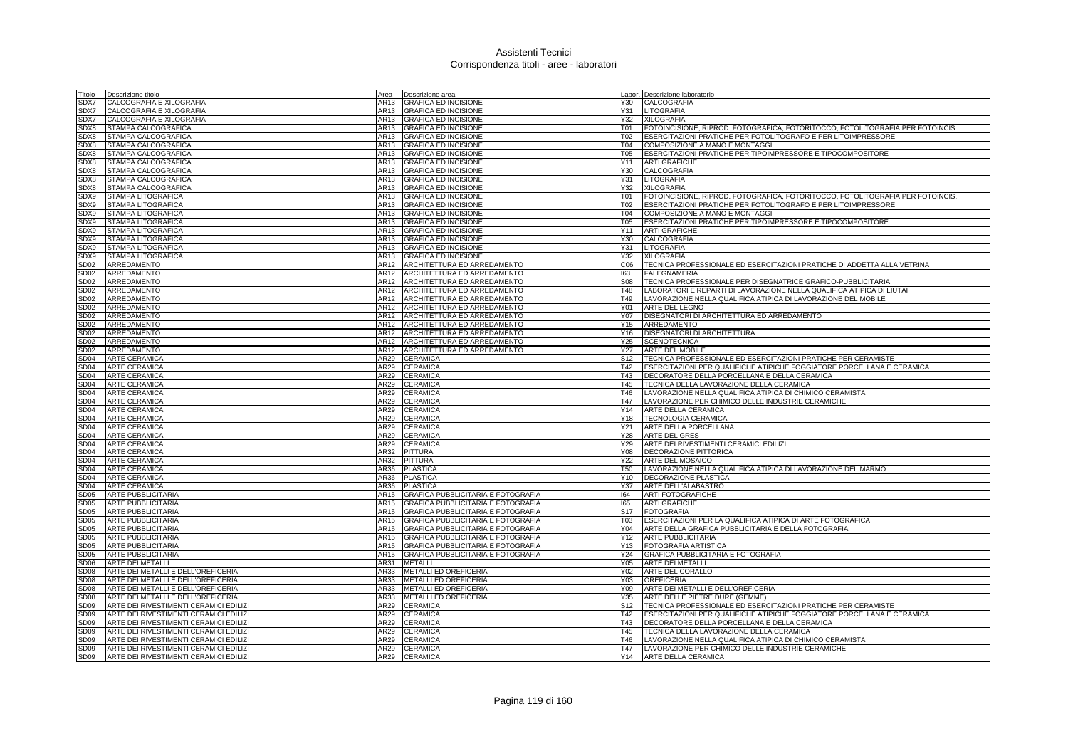| Titolo                          | Descrizione titolo                     | Area         | Descrizione area                                           |                 | Labor. Descrizione laboratorio                                                                                                                  |
|---------------------------------|----------------------------------------|--------------|------------------------------------------------------------|-----------------|-------------------------------------------------------------------------------------------------------------------------------------------------|
| SDX7                            | CALCOGRAFIA E XILOGRAFIA               | AR13         | <b>GRAFICA ED INCISIONE</b>                                | Y30             | CALCOGRAFIA                                                                                                                                     |
| SDX7                            | CALCOGRAFIA E XILOGRAFIA               | AR13         | <b>GRAFICA ED INCISIONE</b>                                | Y31             | LITOGRAFIA                                                                                                                                      |
| SDX7                            | CALCOGRAFIA E XILOGRAFIA               |              | AR13 GRAFICA ED INCISIONE                                  | Y32             | <b>XILOGRAFIA</b>                                                                                                                               |
| SDX8                            | STAMPA CALCOGRAFICA                    |              | AR13 GRAFICA ED INCISIONE                                  | <b>T01</b>      | FOTOINCISIONE, RIPROD. FOTOGRAFICA, FOTORITOCCO, FOTOLITOGRAFIA PER FOTOINCIS.                                                                  |
| SDX8                            | STAMPA CALCOGRAFICA                    |              | AR13 GRAFICA ED INCISIONE                                  | T02             | ESERCITAZIONI PRATICHE PER FOTOLITOGRAFO E PER LITOIMPRESSORE                                                                                   |
| SDX8                            | STAMPA CALCOGRAFICA                    | AR13         | <b>GRAFICA ED INCISIONE</b>                                | <b>T04</b>      | COMPOSIZIONE A MANO E MONTAGGI                                                                                                                  |
| SDX8                            | STAMPA CALCOGRAFICA                    | AR13         | <b>GRAFICA ED INCISIONE</b>                                | T05             | ESERCITAZIONI PRATICHE PER TIPOIMPRESSORE E TIPOCOMPOSITORE                                                                                     |
| SDX8                            | STAMPA CALCOGRAFICA                    | AR13         | <b>GRAFICA ED INCISIONE</b>                                |                 | Y11 ARTI GRAFICHE                                                                                                                               |
| SDX8                            | STAMPA CALCOGRAFICA                    | AR13         | <b>GRAFICA ED INCISIONE</b>                                | Y30             | CALCOGRAFIA                                                                                                                                     |
| SDX8                            | STAMPA CALCOGRAFICA                    | AR13         | <b>GRAFICA ED INCISIONE</b>                                | Y31             | <b>LITOGRAFIA</b>                                                                                                                               |
| SDX8                            | STAMPA CALCOGRAFICA                    | AR13         | <b>GRAFICA ED INCISIONE</b>                                | Y32             | <b>XILOGRAFIA</b>                                                                                                                               |
| SDX9                            | STAMPA LITOGRAFICA                     |              | AR13 GRAFICA ED INCISIONE                                  | T <sub>01</sub> | FOTOINCISIONE, RIPROD. FOTOGRAFICA, FOTORITOCCO, FOTOLITOGRAFIA PER FOTOINCIS.                                                                  |
| SDX9                            | STAMPA LITOGRAFICA                     |              | AR13 GRAFICA ED INCISIONE                                  | T <sub>02</sub> | ESERCITAZIONI PRATICHE PER FOTOLITOGRAFO E PER LITOIMPRESSORE                                                                                   |
| SDX9                            | STAMPA LITOGRAFICA                     |              | AR13 GRAFICA ED INCISIONE                                  | T04             | COMPOSIZIONE A MANO E MONTAGGI                                                                                                                  |
| SDX9                            | STAMPA LITOGRAFICA                     | AR13         | <b>GRAFICA ED INCISIONE</b>                                | <b>T05</b>      | ESERCITAZIONI PRATICHE PER TIPOIMPRESSORE E TIPOCOMPOSITORE                                                                                     |
| SDX9                            | STAMPA LITOGRAFICA                     | AR13         | <b>GRAFICA ED INCISIONE</b>                                | Y11             | <b>ARTI GRAFICHE</b>                                                                                                                            |
| SDX9                            | STAMPA LITOGRAFICA                     |              | AR13 GRAFICA ED INCISIONE                                  | Y30             | CALCOGRAFIA                                                                                                                                     |
| SDX9                            | STAMPA LITOGRAFICA                     | AR13         | <b>GRAFICA ED INCISIONE</b>                                | Y31             | LITOGRAFIA                                                                                                                                      |
| SDX9                            | STAMPA LITOGRAFICA                     | AR13         | <b>GRAFICA ED INCISIONE</b>                                | Y32             | <b>XILOGRAFIA</b>                                                                                                                               |
| SD <sub>02</sub>                | ARREDAMENTO                            | AR12         | ARCHITETTURA ED ARREDAMENTO                                | C06             | TECNICA PROFESSIONALE ED ESERCITAZIONI PRATICHE DI ADDETTA ALLA VETRINA                                                                         |
| SD <sub>02</sub>                | ARREDAMENTO                            |              | AR12 ARCHITETTURA ED ARREDAMENTO                           | 163             | <b>FALEGNAMERIA</b>                                                                                                                             |
| <b>SD02</b>                     | ARREDAMENTO                            |              | AR12 ARCHITETTURA ED ARREDAMENTO                           | <b>S08</b>      | TECNICA PROFESSIONALE PER DISEGNATRICE GRAFICO-PUBBLICITARIA                                                                                    |
| SD <sub>02</sub><br><b>SD02</b> | ARREDAMENTO<br>ARREDAMENTO             | AR12<br>AR12 | ARCHITETTURA ED ARREDAMENTO<br>ARCHITETTURA ED ARREDAMENTO | T48<br>T49      | LABORATORI E REPARTI DI LAVORAZIONE NELLA QUALIFICA ATIPICA DI LIUTAI<br>LAVORAZIONE NELLA QUALIFICA ATIPICA DI LAVORAZIONE DEL MOBILE          |
|                                 |                                        |              |                                                            |                 |                                                                                                                                                 |
| SD02                            | ARREDAMENTO                            | AR12         | ARCHITETTURA ED ARREDAMENTO                                | Y01             | ARTE DEL LEGNO                                                                                                                                  |
| SD <sub>02</sub>                | ARREDAMENTO                            | AR12         | ARCHITETTURA ED ARREDAMENTO                                |                 | Y07   DISEGNATORI DI ARCHITETTURA ED ARREDAMENTO<br>ARREDAMENTO                                                                                 |
| SD <sub>02</sub>                | ARREDAMENTO                            | AR12<br>AR12 | ARCHITETTURA ED ARREDAMENTO                                | Y15             |                                                                                                                                                 |
| SD02                            | ARREDAMENTO                            |              | ARCHITETTURA ED ARREDAMENTO                                | Y16             | DISEGNATORI DI ARCHITETTURA                                                                                                                     |
| SD02<br>SD <sub>02</sub>        | ARREDAMENTO<br>ARREDAMENTO             | AR12<br>AR12 | ARCHITETTURA ED ARREDAMENTO<br>ARCHITETTURA ED ARREDAMENTO | Y25<br>Y27      | <b>SCENOTECNICA</b><br>ARTE DEL MOBILE                                                                                                          |
| SD <sub>04</sub>                | <b>ARTE CERAMICA</b>                   | AR29         |                                                            | S <sub>12</sub> |                                                                                                                                                 |
| SD <sub>04</sub>                | <b>ARTE CERAMICA</b>                   | AR29         | <b>CERAMICA</b><br><b>CERAMICA</b>                         | T42             | TECNICA PROFESSIONALE ED ESERCITAZIONI PRATICHE PER CERAMISTE<br><b>IESERCITAZIONI PER QUALIFICHE ATIPICHE FOGGIATORE PORCELLANA E CERAMICA</b> |
| <b>SD04</b>                     | <b>ARTE CERAMICA</b>                   | AR29         | <b>CERAMICA</b>                                            | T43             | DECORATORE DELLA PORCELLANA E DELLA CERAMICA                                                                                                    |
| SD <sub>04</sub>                | <b>ARTE CERAMICA</b>                   | AR29         | <b>CERAMICA</b>                                            | T45             | TECNICA DELLA LAVORAZIONE DELLA CERAMICA                                                                                                        |
| SD <sub>04</sub>                | <b>ARTE CERAMICA</b>                   | AR29         | <b>CERAMICA</b>                                            | T46             | LAVORAZIONE NELLA QUALIFICA ATIPICA DI CHIMICO CERAMISTA                                                                                        |
| SD <sub>04</sub>                | <b>ARTE CERAMICA</b>                   | AR29         | <b>CERAMICA</b>                                            | T47             | LAVORAZIONE PER CHIMICO DELLE INDUSTRIE CERAMICHE                                                                                               |
| SD <sub>04</sub>                | <b>ARTE CERAMICA</b>                   | AR29         | <b>CERAMICA</b>                                            | Y14             | ARTE DELLA CERAMICA                                                                                                                             |
| SD <sub>04</sub>                | <b>ARTE CERAMICA</b>                   | AR29         | <b>CERAMICA</b>                                            | Y18             | <b>TECNOLOGIA CERAMICA</b>                                                                                                                      |
| SD <sub>04</sub>                | <b>ARTE CERAMICA</b>                   | AR29         | <b>CERAMICA</b>                                            | Y21             | ARTE DELLA PORCELLANA                                                                                                                           |
| SD <sub>04</sub>                | <b>ARTE CERAMICA</b>                   | AR29         | <b>CERAMICA</b>                                            | Y28             | <b>ARTE DEL GRES</b>                                                                                                                            |
| SD <sub>04</sub>                | <b>ARTE CERAMICA</b>                   | AR29         | <b>CERAMICA</b>                                            | Y29             | ARTE DEI RIVESTIMENTI CERAMICI EDILIZI                                                                                                          |
| SD <sub>04</sub>                | <b>ARTE CERAMICA</b>                   | AR32         | PITTURA                                                    | Y08             | DECORAZIONE PITTORICA                                                                                                                           |
| SD <sub>04</sub>                | <b>ARTE CERAMICA</b>                   | AR32         | <b>PITTURA</b>                                             | Y22             | <b>ARTE DEL MOSAICO</b>                                                                                                                         |
| SD <sub>04</sub>                | <b>ARTE CERAMICA</b>                   |              | AR36 PLASTICA                                              | <b>T50</b>      | LAVORAZIONE NELLA QUALIFICA ATIPICA DI LAVORAZIONE DEL MARMO                                                                                    |
| SD <sub>04</sub>                | <b>ARTE CERAMICA</b>                   | AR36         | <b>PLASTICA</b>                                            | Y10             | DECORAZIONE PLASTICA                                                                                                                            |
| SD <sub>04</sub>                | <b>ARTE CERAMICA</b>                   | AR36         | <b>PLASTICA</b>                                            | Y37             | ARTE DELL'ALABASTRO                                                                                                                             |
| SD <sub>05</sub>                | <b>ARTE PUBBLICITARIA</b>              | AR15         | GRAFICA PUBBLICITARIA E FOTOGRAFIA                         | 164             | <b>ARTI FOTOGRAFICHE</b>                                                                                                                        |
| SD <sub>05</sub>                | <b>ARTE PUBBLICITARIA</b>              | AR15         | GRAFICA PUBBLICITARIA E FOTOGRAFIA                         | 165             | <b>ARTI GRAFICHE</b>                                                                                                                            |
| SD <sub>05</sub>                | <b>ARTE PUBBLICITARIA</b>              | AR15         | <b>GRAFICA PUBBLICITARIA E FOTOGRAFIA</b>                  | S <sub>17</sub> | <b>FOTOGRAFIA</b>                                                                                                                               |
| SD <sub>05</sub>                | <b>ARTE PUBBLICITARIA</b>              | AR15         | GRAFICA PUBBLICITARIA E FOTOGRAFIA                         | T03             | ESERCITAZIONI PER LA QUALIFICA ATIPICA DI ARTE FOTOGRAFICA                                                                                      |
| SD <sub>05</sub>                | <b>ARTE PUBBLICITARIA</b>              | AR15         | GRAFICA PUBBLICITARIA E FOTOGRAFIA                         | Y04             | ARTE DELLA GRAFICA PUBBLICITARIA E DELLA FOTOGRAFIA                                                                                             |
| SD <sub>05</sub>                | <b>ARTE PUBBLICITARIA</b>              | AR15         | GRAFICA PUBBLICITARIA E FOTOGRAFIA                         | Y12             | <b>ARTE PUBBLICITARIA</b>                                                                                                                       |
| SD <sub>05</sub>                | <b>ARTE PUBBLICITARIA</b>              | AR15         | GRAFICA PUBBLICITARIA E FOTOGRAFIA                         |                 | Y13 FOTOGRAFIA ARTISTICA                                                                                                                        |
| <b>SD05</b>                     | <b>ARTE PUBBLICITARIA</b>              | AR15         | GRAFICA PUBBLICITARIA E FOTOGRAFIA                         | Y24             | <b>GRAFICA PUBBLICITARIA E FOTOGRAFIA</b>                                                                                                       |
| SD <sub>06</sub>                | <b>ARTE DEI METALLI</b>                | AR31         | <b>METALLI</b>                                             | Y05             | ARTE DEI METALLI                                                                                                                                |
| SD <sub>08</sub>                | ARTE DEI METALLI E DELL'OREFICERIA     | AR33         | METALLI ED OREFICERIA                                      | Y02             | ARTE DEL CORALLO                                                                                                                                |
| SD <sub>08</sub>                | ARTE DEI METALLI E DELL'OREFICERIA     |              | AR33 METALLI ED OREFICERIA                                 | Y <sub>03</sub> | <b>OREFICERIA</b>                                                                                                                               |
| SD <sub>08</sub>                | ARTE DEI METALLI E DELL'OREFICERIA     |              | AR33 METALLI ED OREFICERIA                                 | Y09             | ARTE DEI METALLI E DELL'OREFICERIA                                                                                                              |
| SD <sub>08</sub>                | ARTE DEI METALLI E DELL'OREFICERIA     | AR33         | METALLI ED OREFICERIA                                      | Y35             | ARTE DELLE PIETRE DURE (GEMME)                                                                                                                  |
| SD <sub>09</sub>                | ARTE DEI RIVESTIMENTI CERAMICI EDILIZI | AR29         | CERAMICA                                                   | S <sub>12</sub> | TECNICA PROFESSIONALE ED ESERCITAZIONI PRATICHE PER CERAMISTE                                                                                   |
| SD <sub>09</sub>                | ARTE DEI RIVESTIMENTI CERAMICI EDILIZI | AR29         | <b>CERAMICA</b>                                            | T42             | ESERCITAZIONI PER QUALIFICHE ATIPICHE FOGGIATORE PORCELLANA E CERAMICA                                                                          |
| SD <sub>09</sub>                | ARTE DEI RIVESTIMENTI CERAMICI EDILIZI | AR29         | <b>CERAMICA</b>                                            | T43             | DECORATORE DELLA PORCELLANA E DELLA CERAMICA                                                                                                    |
| SD <sub>09</sub>                | ARTE DEI RIVESTIMENTI CERAMICI EDILIZI | AR29         | <b>CERAMICA</b>                                            | T45             | TECNICA DELLA LAVORAZIONE DELLA CERAMICA                                                                                                        |
| SD <sub>09</sub>                | ARTE DEI RIVESTIMENTI CERAMICI EDILIZI | AR29         | <b>CERAMICA</b>                                            | T46             | LAVORAZIONE NELLA QUALIFICA ATIPICA DI CHIMICO CERAMISTA                                                                                        |
| SD <sub>09</sub>                | ARTE DEI RIVESTIMENTI CERAMICI EDILIZI |              | AR29 CERAMICA                                              | T47             | LAVORAZIONE PER CHIMICO DELLE INDUSTRIE CERAMICHE                                                                                               |
| SD <sub>09</sub>                | ARTE DEI RIVESTIMENTI CERAMICI EDILIZI |              | AR29 CERAMICA                                              |                 | Y14 ARTE DELLA CERAMICA                                                                                                                         |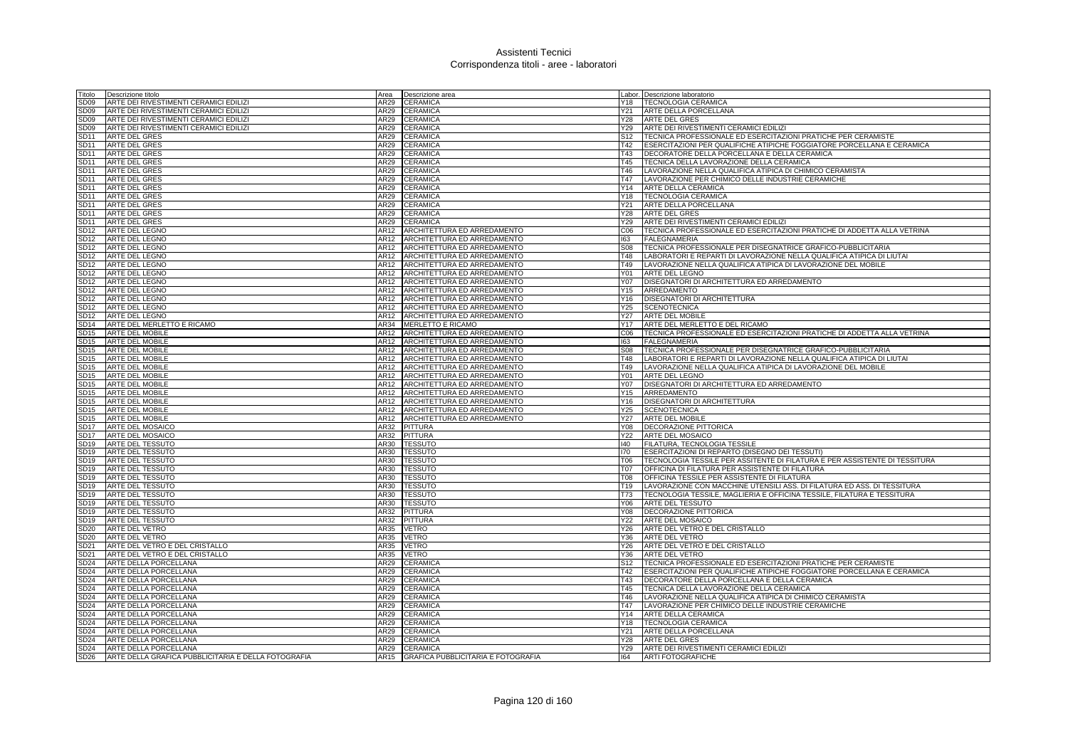| Titolo                               | Descrizione titolo                                  |              | Area <b>Descrizione</b> area                                    |                 | Labor. Descrizione laboratorio                                                  |
|--------------------------------------|-----------------------------------------------------|--------------|-----------------------------------------------------------------|-----------------|---------------------------------------------------------------------------------|
| SD <sub>09</sub>                     | ARTE DEI RIVESTIMENTI CERAMICI EDILIZI              | AR29         | <b>CERAMICA</b>                                                 |                 | Y18   TECNOLOGIA CERAMICA                                                       |
| SD <sub>09</sub>                     | ARTE DEI RIVESTIMENTI CERAMICI EDILIZI              | AR29         | <b>CERAMICA</b>                                                 | Y21             | ARTE DELLA PORCELLANA                                                           |
| SD <sub>09</sub>                     | ARTE DEI RIVESTIMENTI CERAMICI EDILIZI              | AR29         | <b>CERAMICA</b>                                                 | Y28             | <b>ARTE DEL GRES</b>                                                            |
| SD09                                 | ARTE DEI RIVESTIMENTI CERAMICI EDILIZI              | AR29         | <b>CERAMICA</b>                                                 |                 | Y29 ARTE DEI RIVESTIMENTI CERAMICI EDILIZI                                      |
| SD <sub>11</sub>                     | <b>ARTE DEL GRES</b>                                | AR29         | <b>CERAMICA</b>                                                 | S <sub>12</sub> | TECNICA PROFESSIONALE ED ESERCITAZIONI PRATICHE PER CERAMISTE                   |
| SD11                                 | ARTE DEL GRES                                       | AR29         | <b>CERAMICA</b>                                                 | T42             | ESERCITAZIONI PER QUALIFICHE ATIPICHE FOGGIATORE PORCELLANA E CERAMICA          |
| SD <sub>11</sub>                     | <b>ARTE DEL GRES</b>                                | AR29         | <b>CERAMICA</b>                                                 | T43             | DECORATORE DELLA PORCELLANA E DELLA CERAMICA                                    |
| SD <sub>11</sub>                     | ARTE DEL GRES                                       | AR29         | CERAMICA                                                        | T45             | TECNICA DELLA LAVORAZIONE DELLA CERAMICA                                        |
| SD <sub>11</sub>                     | <b>ARTE DEL GRES</b>                                | AR29         | <b>CERAMICA</b>                                                 | T46             | LAVORAZIONE NELLA QUALIFICA ATIPICA DI CHIMICO CERAMISTA                        |
| SD <sub>11</sub>                     | <b>ARTE DEL GRES</b>                                | AR29         | CERAMICA                                                        | T47             | LAVORAZIONE PER CHIMICO DELLE INDUSTRIE CERAMICHE                               |
| SD <sub>11</sub>                     | <b>ARTE DEL GRES</b>                                | AR29         | <b>CERAMICA</b>                                                 | Y14             | ARTE DELLA CERAMICA                                                             |
| SD <sub>11</sub>                     | <b>ARTE DEL GRES</b>                                | AR29         | <b>CERAMICA</b>                                                 |                 | Y18   TECNOLOGIA CERAMICA                                                       |
| SD11                                 | <b>ARTE DEL GRES</b>                                | AR29         | <b>CERAMICA</b>                                                 | Y21             | ARTE DELLA PORCELLANA                                                           |
| SD11                                 | <b>ARTE DEL GRES</b>                                | AR29         | <b>CERAMICA</b>                                                 | Y28             | <b>ARTE DEL GRES</b>                                                            |
| SD11                                 | <b>ARTE DEL GRES</b>                                | AR29         | <b>CERAMICA</b>                                                 | Y29             | ARTE DEI RIVESTIMENTI CERAMICI EDILIZI                                          |
| SD <sub>12</sub>                     | <b>ARTE DEL LEGNO</b>                               | AR12         | ARCHITETTURA ED ARREDAMENTO                                     | C06             | TECNICA PROFESSIONALE ED ESERCITAZIONI PRATICHE DI ADDETTA ALLA VETRINA         |
| SD <sub>12</sub>                     | <b>ARTE DEL LEGNO</b>                               | AR12         | ARCHITETTURA ED ARREDAMENTO                                     | 163             | <b>FALEGNAMERIA</b>                                                             |
| SD <sub>12</sub>                     | ARTE DEL LEGNO                                      | AR12         | ARCHITETTURA ED ARREDAMENTO                                     | <b>S08</b>      | TECNICA PROFESSIONALE PER DISEGNATRICE GRAFICO-PUBBLICITARIA                    |
| SD <sub>12</sub>                     | ARTE DEL LEGNO                                      | AR12         | ARCHITETTURA ED ARREDAMENTO                                     |                 | LABORATORI E REPARTI DI LAVORAZIONE NELLA QUALIFICA ATIPICA DI LIUTAI           |
|                                      |                                                     |              |                                                                 | T48             |                                                                                 |
| SD <sub>12</sub><br>SD12             | ARTE DEL LEGNO<br>ARTE DEL LEGNO                    | AR12         | ARCHITETTURA ED ARREDAMENTO<br>AR12 ARCHITETTURA ED ARREDAMENTO | T49<br>Y01 -    | LAVORAZIONE NELLA QUALIFICA ATIPICA DI LAVORAZIONE DEL MOBILE<br>ARTE DEL LEGNO |
|                                      |                                                     |              |                                                                 |                 |                                                                                 |
| SD <sub>12</sub>                     | <b>ARTE DEL LEGNO</b>                               | AR12         | ARCHITETTURA ED ARREDAMENTO                                     | Y07             | DISEGNATORI DI ARCHITETTURA ED ARREDAMENTO                                      |
| SD <sub>12</sub>                     | ARTE DEL LEGNO                                      | AR12         | ARCHITETTURA ED ARREDAMENTO                                     | Y15             | ARREDAMENTO                                                                     |
| SD12                                 | ARTE DEL LEGNO                                      | AR12         | ARCHITETTURA ED ARREDAMENTO                                     | Y16             | DISEGNATORI DI ARCHITETTURA                                                     |
| SD <sub>12</sub>                     | ARTE DEL LEGNO                                      | AR12         | ARCHITETTURA ED ARREDAMENTO                                     | Y25             | <b>SCENOTECNICA</b>                                                             |
| SD <sub>12</sub>                     | <b>ARTE DEL LEGNO</b>                               | AR12         | ARCHITETTURA ED ARREDAMENTO                                     | Y27             | <b>ARTE DEL MOBILE</b>                                                          |
| SD <sub>14</sub>                     | ARTE DEL MERLETTO E RICAMO                          | AR34         | <b>MERLETTO E RICAMO</b>                                        | Y17             | ARTE DEL MERLETTO E DEL RICAMO                                                  |
| SD <sub>15</sub>                     | <b>ARTE DEL MOBILE</b>                              | AR12         | ARCHITETTURA ED ARREDAMENTO                                     | CO6             | TECNICA PROFESSIONALE ED ESERCITAZIONI PRATICHE DI ADDETTA ALLA VETRINA         |
| SD <sub>15</sub>                     | <b>ARTE DEL MOBILE</b>                              |              | AR12 ARCHITETTURA ED ARREDAMENTO                                | 163             | <b>FALEGNAMERIA</b>                                                             |
| SD <sub>15</sub>                     | <b>ARTE DEL MOBILE</b>                              | AR12         | ARCHITETTURA ED ARREDAMENTO                                     | S08             | TECNICA PROFESSIONALE PER DISEGNATRICE GRAFICO-PUBBLICITARIA                    |
| SD <sub>15</sub>                     | <b>ARTE DEL MOBILE</b>                              | AR12         | ARCHITETTURA ED ARREDAMENTO                                     | T48             | LABORATORI E REPARTI DI LAVORAZIONE NELLA QUALIFICA ATIPICA DI LIUTAI           |
| SD <sub>15</sub><br>SD <sub>15</sub> | <b>ARTE DEL MOBILE</b>                              | AR12<br>AR12 | ARCHITETTURA ED ARREDAMENTO                                     | T49<br>Y01      | LAVORAZIONE NELLA QUALIFICA ATIPICA DI LAVORAZIONE DEL MOBILE                   |
|                                      | ARTE DEL MOBILE<br>SD15 ARTE DEL MOBILE             |              | ARCHITETTURA ED ARREDAMENTO<br>AR12 ARCHITETTURA ED ARREDAMENTO | Y07             | ARTE DEL LEGNO<br>DISEGNATORI DI ARCHITETTURA ED ARREDAMENTO                    |
| SD <sub>15</sub>                     |                                                     | AR12         |                                                                 | Y15             | ARREDAMENTO                                                                     |
| SD <sub>15</sub>                     | ARTE DEL MOBILE<br><b>ARTE DEL MOBILE</b>           | AR12         | ARCHITETTURA ED ARREDAMENTO<br>ARCHITETTURA ED ARREDAMENTO      | Y16             | DISEGNATORI DI ARCHITETTURA                                                     |
| SD <sub>15</sub>                     | <b>ARTE DEL MOBILE</b>                              | AR12         | ARCHITETTURA ED ARREDAMENTO                                     | Y25             | <b>SCENOTECNICA</b>                                                             |
|                                      | SD15 ARTE DEL MOBILE                                | AR12         | ARCHITETTURA ED ARREDAMENTO                                     | Y27             | <b>ARTE DEL MOBILE</b>                                                          |
| SD <sub>17</sub>                     | <b>ARTE DEL MOSAICO</b>                             | AR32         | <b>PITTURA</b>                                                  | Y08             | <b>DECORAZIONE PITTORICA</b>                                                    |
| SD <sub>17</sub>                     | <b>ARTE DEL MOSAICO</b>                             | AR32         | <b>PITTURA</b>                                                  | <b>Y22</b>      | <b>ARTE DEL MOSAICO</b>                                                         |
| SD <sub>19</sub>                     | <b>ARTE DEL TESSUTO</b>                             | AR30         | <b>TESSUTO</b>                                                  | 140             | FILATURA, TECNOLOGIA TESSILE                                                    |
|                                      | SD19 ARTE DEL TESSUTO                               | AR30         | <b>TESSUTO</b>                                                  | 170             | ESERCITAZIONI DI REPARTO (DISEGNO DEI TESSUTI)                                  |
| SD19                                 | <b>ARTE DEL TESSUTO</b>                             | AR30         | <b>TESSUTO</b>                                                  | T06             | TECNOLOGIA TESSILE PER ASSITENTE DI FILATURA E PER ASSISTENTE DI TESSITURA      |
| SD <sub>19</sub>                     | ARTE DEL TESSUTO                                    | AR30         | <b>TESSUTO</b>                                                  | <b>T07</b>      | OFFICINA DI FILATURA PER ASSISTENTE DI FILATURA                                 |
| SD <sub>19</sub>                     | <b>ARTE DEL TESSUTO</b>                             | AR30         | <b>TESSUTO</b>                                                  | <b>T08</b>      | OFFICINA TESSILE PER ASSISTENTE DI FILATURA                                     |
| SD19                                 | <b>ARTE DEL TESSUTO</b>                             | AR30         | <b>TESSUTO</b>                                                  | T19             | LAVORAZIONE CON MACCHINE UTENSILI ASS. DI FILATURA ED ASS. DI TESSITURA         |
| SD19                                 | <b>ARTE DEL TESSUTO</b>                             | AR30         | <b>TESSUTO</b>                                                  | T73             | TECNOLOGIA TESSILE, MAGLIERIA E OFFICINA TESSILE, FILATURA E TESSITURA          |
| SD <sub>19</sub>                     | ARTE DEL TESSUTO                                    | AR30         | <b>TESSUTO</b>                                                  | Y06             | <b>ARTE DEL TESSUTO</b>                                                         |
| SD19                                 | <b>ARTE DEL TESSUTO</b>                             | AR32         | <b>PITTURA</b>                                                  | Y08             | DECORAZIONE PITTORICA                                                           |
| SD <sub>19</sub>                     | ARTE DEL TESSUTO                                    | AR32         | <b>PITTURA</b>                                                  | Y22             | <b>ARTE DEL MOSAICO</b>                                                         |
| <b>SD20</b>                          | ARTE DEL VETRO                                      | AR35         | <b>VETRO</b>                                                    | Y26             | ARTE DEL VETRO E DEL CRISTALLO                                                  |
| <b>SD20</b>                          | ARTE DEL VETRO                                      | AR35         | <b>VETRO</b>                                                    | Y36             | <b>ARTE DEL VETRO</b>                                                           |
| <b>SD21</b>                          | ARTE DEL VETRO E DEL CRISTALLO                      | AR35         | <b>VETRO</b>                                                    | Y26             | ARTE DEL VETRO E DEL CRISTALLO                                                  |
| SD21                                 | ARTE DEL VETRO E DEL CRISTALLO                      | AR35         | VETRO                                                           | Y36             | <b>ARTE DEL VETRO</b>                                                           |
| <b>SD24</b>                          | ARTE DELLA PORCELLANA                               | AR29         | <b>CERAMICA</b>                                                 | S <sub>12</sub> | TECNICA PROFESSIONALE ED ESERCITAZIONI PRATICHE PER CERAMISTE                   |
| <b>SD24</b>                          | ARTE DELLA PORCELLANA                               | AR29         | <b>CERAMICA</b>                                                 | T42             | ESERCITAZIONI PER QUALIFICHE ATIPICHE FOGGIATORE PORCELLANA E CERAMICA          |
| <b>SD24</b>                          | ARTE DELLA PORCELLANA                               | AR29         | CERAMICA                                                        | T43             | DECORATORE DELLA PORCELLANA E DELLA CERAMICA                                    |
| <b>SD24</b>                          | ARTE DELLA PORCELLANA                               | AR29         | <b>CERAMICA</b>                                                 | T45             | TECNICA DELLA LAVORAZIONE DELLA CERAMICA                                        |
| <b>SD24</b>                          | ARTE DELLA PORCELLANA                               | AR29         | <b>CERAMICA</b>                                                 | T46             | LAVORAZIONE NELLA QUALIFICA ATIPICA DI CHIMICO CERAMISTA                        |
| <b>SD24</b>                          | ARTE DELLA PORCELLANA                               | AR29         | <b>CERAMICA</b>                                                 | T47             | LAVORAZIONE PER CHIMICO DELLE INDUSTRIE CERAMICHE                               |
| <b>SD24</b>                          | ARTE DELLA PORCELLANA                               | <b>AR29</b>  | <b>CERAMICA</b>                                                 | Y14             | ARTE DELLA CERAMICA                                                             |
| SD24                                 | ARTE DELLA PORCELLANA                               | AR29         | <b>CERAMICA</b>                                                 |                 | Y18   TECNOLOGIA CERAMICA                                                       |
| <b>SD24</b>                          | ARTE DELLA PORCELLANA                               |              | AR29 CERAMICA                                                   |                 | Y21 ARTE DELLA PORCELLANA                                                       |
| <b>SD24</b>                          | ARTE DELLA PORCELLANA                               |              | AR29 CERAMICA                                                   | Y28             | <b>ARTE DEL GRES</b>                                                            |
| <b>SD24</b>                          | ARTE DELLA PORCELLANA                               |              | AR29 CERAMICA                                                   | Y29             | ARTE DEI RIVESTIMENTI CERAMICI EDILIZI                                          |
| <b>SD26</b>                          | ARTE DELLA GRAFICA PUBBLICITARIA E DELLA FOTOGRAFIA |              | AR15 GRAFICA PUBBLICITARIA E FOTOGRAFIA                         | 164             | <b>ARTI FOTOGRAFICHE</b>                                                        |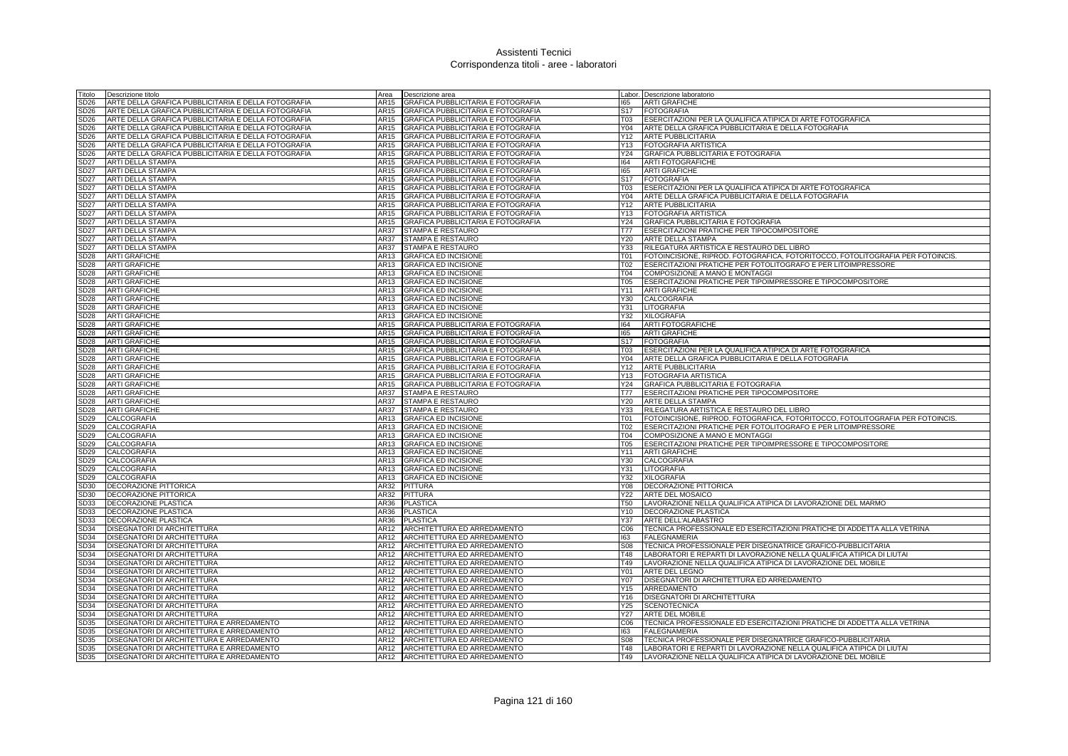| Titolo           | Descrizione titolo                                  | Area         | Descrizione area                                        |                 | Labor. Descrizione laboratorio                                                          |
|------------------|-----------------------------------------------------|--------------|---------------------------------------------------------|-----------------|-----------------------------------------------------------------------------------------|
| SD <sub>26</sub> | ARTE DELLA GRAFICA PUBBLICITARIA E DELLA FOTOGRAFIA | AR15         | GRAFICA PUBBLICITARIA E FOTOGRAFIA                      | 165             | <b>ARTI GRAFICHE</b>                                                                    |
| SD <sub>26</sub> | ARTE DELLA GRAFICA PUBBLICITARIA E DELLA FOTOGRAFIA | AR15         | GRAFICA PUBBLICITARIA E FOTOGRAFIA                      | S <sub>17</sub> | <b>FOTOGRAFIA</b>                                                                       |
| SD <sub>26</sub> | ARTE DELLA GRAFICA PUBBLICITARIA E DELLA FOTOGRAFIA | AR15         | GRAFICA PUBBLICITARIA E FOTOGRAFIA                      | T03             | ESERCITAZIONI PER LA QUALIFICA ATIPICA DI ARTE FOTOGRAFICA                              |
| SD <sub>26</sub> | ARTE DELLA GRAFICA PUBBLICITARIA E DELLA FOTOGRAFIA | AR15         | <b>GRAFICA PUBBLICITARIA E FOTOGRAFIA</b>               | Y04             | ARTE DELLA GRAFICA PUBBLICITARIA E DELLA FOTOGRAFIA                                     |
| SD <sub>26</sub> | ARTE DELLA GRAFICA PUBBLICITARIA E DELLA FOTOGRAFIA | AR15         | GRAFICA PUBBLICITARIA E FOTOGRAFIA                      | Y12             | <b>ARTE PUBBLICITARIA</b>                                                               |
| SD <sub>26</sub> | ARTE DELLA GRAFICA PUBBLICITARIA E DELLA FOTOGRAFIA | AR15         | GRAFICA PUBBLICITARIA E FOTOGRAFIA                      | Y13             | <b>FOTOGRAFIA ARTISTICA</b>                                                             |
| SD <sub>26</sub> | ARTE DELLA GRAFICA PUBBLICITARIA E DELLA FOTOGRAFIA | <b>AR15</b>  | GRAFICA PUBBLICITARIA E FOTOGRAFIA                      |                 | Y24 GRAFICA PUBBLICITARIA E FOTOGRAFIA                                                  |
| <b>SD27</b>      | ARTI DELLA STAMPA                                   | AR15         | <b>GRAFICA PUBBLICITARIA E FOTOGRAFIA</b>               | 164             | <b>ARTI FOTOGRAFICHE</b>                                                                |
| <b>SD27</b>      | <b>ARTI DELLA STAMPA</b>                            | <b>AR15</b>  | GRAFICA PUBBLICITARIA E FOTOGRAFIA                      | 165             | <b>ARTI GRAFICHE</b>                                                                    |
| <b>SD27</b>      | ARTI DELLA STAMPA                                   | AR15         | GRAFICA PUBBLICITARIA E FOTOGRAFIA                      | S <sub>17</sub> | <b>FOTOGRAFIA</b>                                                                       |
| SD27             | ARTI DELLA STAMPA                                   | AR15         | GRAFICA PUBBLICITARIA E FOTOGRAFIA                      | <b>T03</b>      | ESERCITAZIONI PER LA QUALIFICA ATIPICA DI ARTE FOTOGRAFICA                              |
| SD27             | ARTI DELLA STAMPA                                   | AR15         | GRAFICA PUBBLICITARIA E FOTOGRAFIA                      | Y04             | ARTE DELLA GRAFICA PUBBLICITARIA E DELLA FOTOGRAFIA                                     |
| SD27             | ARTI DELLA STAMPA                                   | AR15         | GRAFICA PUBBLICITARIA E FOTOGRAFIA                      | Y12             | ARTE PUBBLICITARIA                                                                      |
| SD27             | ARTI DELLA STAMPA                                   | AR15         | GRAFICA PUBBLICITARIA E FOTOGRAFIA                      | Y13             | <b>FOTOGRAFIA ARTISTICA</b>                                                             |
| SD27             | ARTI DELLA STAMPA                                   | AR15         | GRAFICA PUBBLICITARIA E FOTOGRAFIA                      | Y24             | GRAFICA PUBBLICITARIA E FOTOGRAFIA                                                      |
| SD27             | ARTI DELLA STAMPA                                   | AR37         | STAMPA E RESTAURO                                       | <b>T77</b>      | ESERCITAZIONI PRATICHE PER TIPOCOMPOSITORE                                              |
| <b>SD27</b>      | ARTI DELLA STAMPA                                   | AR37         | STAMPA E RESTAURO                                       | Y20             | ARTE DELLA STAMPA                                                                       |
| <b>SD27</b>      | <b>ARTI DELLA STAMPA</b>                            | <b>AR37</b>  | STAMPA E RESTAURO                                       | Y33             | RILEGATURA ARTISTICA E RESTAURO DEL LIBRO                                               |
| SD <sub>28</sub> | <b>ARTI GRAFICHE</b>                                | AR13         | <b>GRAFICA ED INCISIONE</b>                             | <b>T01</b>      | FOTOINCISIONE, RIPROD. FOTOGRAFICA, FOTORITOCCO, FOTOLITOGRAFIA PER FOTOINCIS.          |
| SD <sub>28</sub> | <b>ARTI GRAFICHE</b>                                | AR13         | <b>GRAFICA ED INCISIONE</b>                             | T <sub>02</sub> | ESERCITAZIONI PRATICHE PER FOTOLITOGRAFO E PER LITOIMPRESSORE                           |
| SD <sub>28</sub> | <b>ARTI GRAFICHE</b>                                | AR13         | <b>GRAFICA ED INCISIONE</b>                             | T04             | COMPOSIZIONE A MANO E MONTAGGI                                                          |
| SD28             | <b>ARTI GRAFICHE</b>                                | AR13         | <b>GRAFICA ED INCISIONE</b>                             | <b>T05</b>      | <b>ESERCITAZIONI PRATICHE PER TIPOIMPRESSORE E TIPOCOMPOSITORE</b>                      |
| SD28             | <b>ARTI GRAFICHE</b>                                | AR13         | <b>GRAFICA ED INCISIONE</b>                             | Y11             | <b>ARTI GRAFICHE</b>                                                                    |
| SD28             | <b>ARTI GRAFICHE</b>                                | AR13         | <b>GRAFICA ED INCISIONE</b>                             | Y30             | CALCOGRAFIA                                                                             |
| SD28             | <b>ARTI GRAFICHE</b>                                | AR13         | <b>GRAFICA ED INCISIONE</b>                             |                 | Y31 LITOGRAFIA                                                                          |
| <b>SD28</b>      | <b>ARTI GRAFICHE</b>                                | AR13         | <b>GRAFICA ED INCISIONE</b>                             | Y32             | <b>XILOGRAFIA</b>                                                                       |
| SD28             | <b>ARTI GRAFICHE</b>                                | AR15         | GRAFICA PUBBLICITARIA E FOTOGRAFIA                      | 164             | <b>ARTI FOTOGRAFICHE</b>                                                                |
| SD28             | <b>ARTI GRAFICHE</b>                                | AR15         | GRAFICA PUBBLICITARIA E FOTOGRAFIA                      | 165             | <b>ARTI GRAFICHE</b>                                                                    |
| SD <sub>28</sub> | <b>ARTI GRAFICHE</b>                                | AR15         | GRAFICA PUBBLICITARIA E FOTOGRAFIA                      | S <sub>17</sub> | <b>FOTOGRAFIA</b>                                                                       |
| SD28             | <b>ARTI GRAFICHE</b>                                | AR15         | GRAFICA PUBBLICITARIA E FOTOGRAFIA                      | T <sub>03</sub> | ESERCITAZIONI PER LA QUALIFICA ATIPICA DI ARTE FOTOGRAFICA                              |
| SD <sub>28</sub> | <b>ARTI GRAFICHE</b>                                | AR15         | GRAFICA PUBBLICITARIA E FOTOGRAFIA                      | Y04             | ARTE DELLA GRAFICA PUBBLICITARIA E DELLA FOTOGRAFIA                                     |
| <b>SD28</b>      | <b>ARTI GRAFICHE</b>                                | AR15         | GRAFICA PUBBLICITARIA E FOTOGRAFIA                      | Y12             | <b>ARTE PUBBLICITARIA</b>                                                               |
| SD28             | <b>ARTI GRAFICHE</b>                                | AR15<br>AR15 | GRAFICA PUBBLICITARIA E FOTOGRAFIA                      | Y13             | <b>FOTOGRAFIA ARTISTICA</b>                                                             |
| SD28<br>SD28     | <b>ARTI GRAFICHE</b><br><b>ARTI GRAFICHE</b>        | AR37         | GRAFICA PUBBLICITARIA E FOTOGRAFIA<br>STAMPA E RESTAURO | Y24<br>T77      | GRAFICA PUBBLICITARIA E FOTOGRAFIA<br><b>ESERCITAZIONI PRATICHE PER TIPOCOMPOSITORE</b> |
| SD28             | <b>ARTI GRAFICHE</b>                                | <b>AR37</b>  | STAMPA E RESTAURO                                       | Y20             | <b>ARTE DELLA STAMPA</b>                                                                |
| SD28             | <b>ARTI GRAFICHE</b>                                | AR37         | STAMPA E RESTAURO                                       | Y33             | RILEGATURA ARTISTICA E RESTAURO DEL LIBRO                                               |
| SD29             | CALCOGRAFIA                                         | AR13         | <b>GRAFICA ED INCISIONE</b>                             | <b>T01</b>      | FOTOINCISIONE, RIPROD. FOTOGRAFICA, FOTORITOCCO, FOTOLITOGRAFIA PER FOTOINCIS.          |
| SD <sub>29</sub> | CALCOGRAFIA                                         | AR13         | <b>GRAFICA ED INCISIONE</b>                             | T <sub>02</sub> | ESERCITAZIONI PRATICHE PER FOTOLITOGRAFO E PER LITOIMPRESSORE                           |
| SD <sub>29</sub> | CALCOGRAFIA                                         | AR13         | <b>GRAFICA ED INCISIONE</b>                             | T04             | COMPOSIZIONE A MANO E MONTAGGI                                                          |
| SD <sub>29</sub> | CALCOGRAFIA                                         | AR13         | <b>GRAFICA ED INCISIONE</b>                             | <b>T05</b>      | ESERCITAZIONI PRATICHE PER TIPOIMPRESSORE E TIPOCOMPOSITORE                             |
| SD <sub>29</sub> | CALCOGRAFIA                                         | AR13         | <b>GRAFICA ED INCISIONE</b>                             | Y11             | <b>ARTI GRAFICHE</b>                                                                    |
| SD <sub>29</sub> | CALCOGRAFIA                                         | AR13         | <b>GRAFICA ED INCISIONE</b>                             |                 | Y30 CALCOGRAFIA                                                                         |
| SD <sub>29</sub> | CALCOGRAFIA                                         | AR13         | <b>GRAFICA ED INCISIONE</b>                             | Y31             | LITOGRAFIA                                                                              |
| SD <sub>29</sub> | CALCOGRAFIA                                         | <b>AR13</b>  | <b>GRAFICA ED INCISIONE</b>                             | Y32             | <b>XILOGRAFIA</b>                                                                       |
| SD <sub>30</sub> | DECORAZIONE PITTORICA                               | AR32         | <b>PITTURA</b>                                          | Y08             | <b>DECORAZIONE PITTORICA</b>                                                            |
| SD <sub>30</sub> | DECORAZIONE PITTORICA                               | AR32         | <b>PITTURA</b>                                          | Y22             | ARTE DEL MOSAICO                                                                        |
| SD33             | DECORAZIONE PLASTICA                                | AR36         | <b>PLASTICA</b>                                         | <b>T50</b>      | LAVORAZIONE NELLA QUALIFICA ATIPICA DI LAVORAZIONE DEL MARMO                            |
| SD33             | DECORAZIONE PLASTICA                                | AR36         | <b>PLASTICA</b>                                         | Y10             | DECORAZIONE PLASTICA                                                                    |
| SD33             | DECORAZIONE PLASTICA                                | AR36         | <b>PLASTICA</b>                                         | Y37             | ARTE DELL'ALABASTRO                                                                     |
| SD34             | DISEGNATORI DI ARCHITETTURA                         | AR12         | ARCHITETTURA ED ARREDAMENTO                             | C <sub>06</sub> | TECNICA PROFESSIONALE ED ESERCITAZIONI PRATICHE DI ADDETTA ALLA VETRINA                 |
| SD34             | DISEGNATORI DI ARCHITETTURA                         | AR12         | ARCHITETTURA ED ARREDAMENTO                             | 163             | <b>FALEGNAMERIA</b>                                                                     |
| SD34             | DISEGNATORI DI ARCHITETTURA                         | AR12         | ARCHITETTURA ED ARREDAMENTO                             | S08             | TECNICA PROFESSIONALE PER DISEGNATRICE GRAFICO-PUBBLICITARIA                            |
| <b>SD34</b>      | <b>DISEGNATORI DI ARCHITETTURA</b>                  | AR12         | ARCHITETTURA ED ARREDAMENTO                             | T48             | LABORATORI E REPARTI DI LAVORAZIONE NELLA QUALIFICA ATIPICA DI LIUTAI                   |
| SD34             | DISEGNATORI DI ARCHITETTURA                         |              | AR12 ARCHITETTURA ED ARREDAMENTO                        | T49             | LAVORAZIONE NELLA QUALIFICA ATIPICA DI LAVORAZIONE DEL MOBILE                           |
| SD34             | DISEGNATORI DI ARCHITETTURA                         | AR12         | ARCHITETTURA ED ARREDAMENTO                             | Y01             | ARTE DEL LEGNO                                                                          |
| SD34             | DISEGNATORI DI ARCHITETTURA                         | AR12         | ARCHITETTURA ED ARREDAMENTO                             | Y07             | DISEGNATORI DI ARCHITETTURA ED ARREDAMENTO                                              |
| SD34             | DISEGNATORI DI ARCHITETTURA                         | AR12         | ARCHITETTURA ED ARREDAMENTO                             | Y15             | ARREDAMENTO                                                                             |
| SD34             | DISEGNATORI DI ARCHITETTURA                         | AR12         | ARCHITETTURA ED ARREDAMENTO                             | Y16             | DISEGNATORI DI ARCHITETTURA                                                             |
| SD34             | DISEGNATORI DI ARCHITETTURA                         | AR12         | ARCHITETTURA ED ARREDAMENTO                             | Y25             | <b>SCENOTECNICA</b>                                                                     |
| SD34             | DISEGNATORI DI ARCHITETTURA                         | AR12         | ARCHITETTURA ED ARREDAMENTO                             |                 | Y27 ARTE DEL MOBILE                                                                     |
| SD35             | DISEGNATORI DI ARCHITETTURA E ARREDAMENTO           | AR12         | ARCHITETTURA ED ARREDAMENTO                             | C <sub>06</sub> | TECNICA PROFESSIONALE ED ESERCITAZIONI PRATICHE DI ADDETTA ALLA VETRINA                 |
| SD35             | DISEGNATORI DI ARCHITETTURA E ARREDAMENTO           | AR12         | ARCHITETTURA ED ARREDAMENTO                             | 163             | <b>FALEGNAMERIA</b>                                                                     |
| SD <sub>35</sub> | DISEGNATORI DI ARCHITETTURA E ARREDAMENTO           | AR12         | <b>ARCHITETTURA ED ARREDAMENTO</b>                      | S <sub>08</sub> | TECNICA PROFESSIONALE PER DISEGNATRICE GRAFICO-PUBBLICITARIA                            |
| <b>SD35</b>      | DISEGNATORI DI ARCHITETTURA E ARREDAMENTO           | AR12         | ARCHITETTURA ED ARREDAMENTO                             | T48             | LABORATORI E REPARTI DI LAVORAZIONE NELLA QUALIFICA ATIPICA DI LIUTAI                   |
| SD35             | DISEGNATORI DI ARCHITETTURA E ARREDAMENTO           |              | AR12 ARCHITETTURA ED ARREDAMENTO                        | T49             | LAVORAZIONE NELLA QUALIFICA ATIPICA DI LAVORAZIONE DEL MOBILE                           |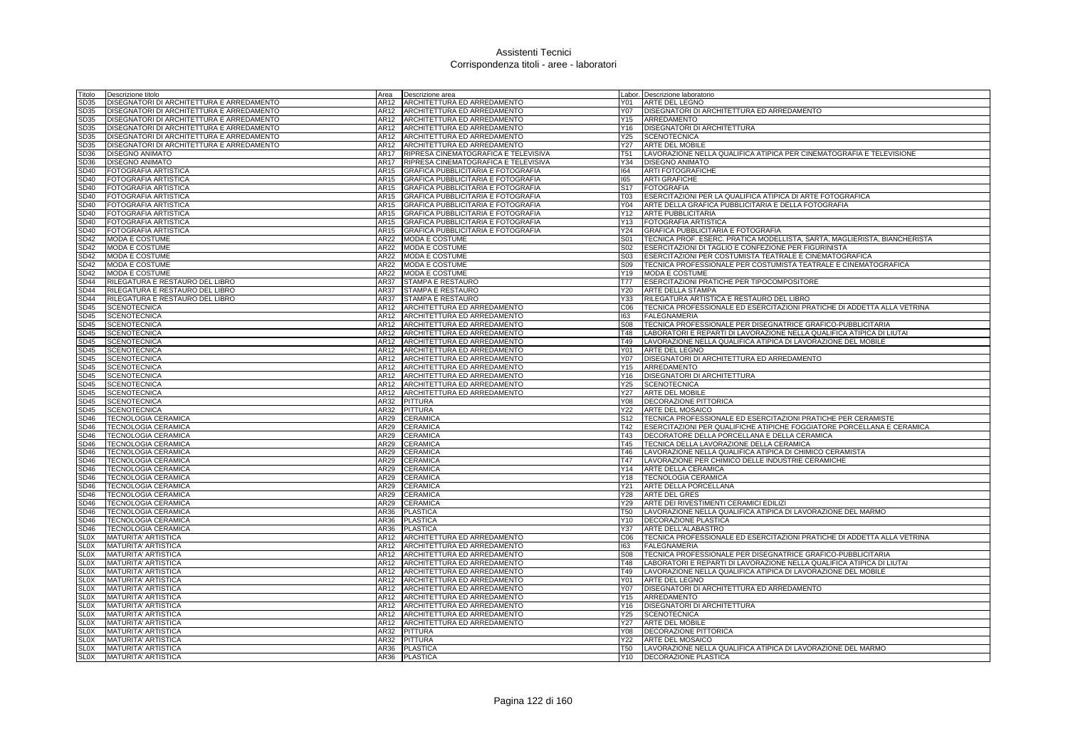| Titolo           | Descrizione titolo                        | Area        | Descrizione area                     |                 | Labor. Descrizione laboratorio                                            |
|------------------|-------------------------------------------|-------------|--------------------------------------|-----------------|---------------------------------------------------------------------------|
| SD35             | DISEGNATORI DI ARCHITETTURA E ARREDAMENTO | AR12        | ARCHITETTURA ED ARREDAMENTO          | Y01             | ARTE DEL LEGNO                                                            |
| SD35             | DISEGNATORI DI ARCHITETTURA E ARREDAMENTO | AR12        | ARCHITETTURA ED ARREDAMENTO          | Y07             | DISEGNATORI DI ARCHITETTURA ED ARREDAMENTO                                |
| SD35             | DISEGNATORI DI ARCHITETTURA E ARREDAMENTO | AR12        | ARCHITETTURA ED ARREDAMENTO          | Y15             | ARREDAMENTO                                                               |
| SD35             | DISEGNATORI DI ARCHITETTURA E ARREDAMENTO | AR12        | ARCHITETTURA ED ARREDAMENTO          | Y16             | <b>DISEGNATORI DI ARCHITETTURA</b>                                        |
| SD35             | DISEGNATORI DI ARCHITETTURA E ARREDAMENTO | AR12        | ARCHITETTURA ED ARREDAMENTO          | Y25             | <b>SCENOTECNICA</b>                                                       |
| SD35             | DISEGNATORI DI ARCHITETTURA E ARREDAMENTO | AR12        | ARCHITETTURA ED ARREDAMENTO          | Y <sub>27</sub> | <b>ARTE DEL MOBILE</b>                                                    |
| SD36             | <b>DISEGNO ANIMATO</b>                    | <b>AR17</b> | RIPRESA CINEMATOGRAFICA E TELEVISIVA | T <sub>51</sub> | LAVORAZIONE NELLA QUALIFICA ATIPICA PER CINEMATOGRAFIA E TELEVISIONE      |
| SD36             | <b>DISEGNO ANIMATO</b>                    | AR17        | RIPRESA CINEMATOGRAFICA E TELEVISIVA | Y34             | <b>DISEGNO ANIMATO</b>                                                    |
| SD40             | FOTOGRAFIA ARTISTICA                      | AR15        | GRAFICA PUBBLICITARIA E FOTOGRAFIA   | 164             | <b>ARTI FOTOGRAFICHE</b>                                                  |
| SD40             | <b>FOTOGRAFIA ARTISTICA</b>               | AR15        | GRAFICA PUBBLICITARIA E FOTOGRAFIA   | 165             | <b>ARTI GRAFICHE</b>                                                      |
| SD40             | <b>FOTOGRAFIA ARTISTICA</b>               | AR15        | GRAFICA PUBBLICITARIA E FOTOGRAFIA   | S <sub>17</sub> | <b>FOTOGRAFIA</b>                                                         |
| SD40             | <b>FOTOGRAFIA ARTISTICA</b>               | AR15        | GRAFICA PUBBLICITARIA E FOTOGRAFIA   | <b>T03</b>      | ESERCITAZIONI PER LA QUALIFICA ATIPICA DI ARTE FOTOGRAFICA                |
| SD40             | <b>FOTOGRAFIA ARTISTICA</b>               | AR15        | GRAFICA PUBBLICITARIA E FOTOGRAFIA   | Y04             | ARTE DELLA GRAFICA PUBBLICITARIA E DELLA FOTOGRAFIA                       |
| <b>SD40</b>      | FOTOGRAFIA ARTISTICA                      | AR15        | GRAFICA PUBBLICITARIA E FOTOGRAFIA   | Y12             | <b>ARTE PUBBLICITARIA</b>                                                 |
| SD40             | <b>FOTOGRAFIA ARTISTICA</b>               | AR15        | GRAFICA PUBBLICITARIA E FOTOGRAFIA   | Y13             | <b>FOTOGRAFIA ARTISTICA</b>                                               |
| SD40             | FOTOGRAFIA ARTISTICA                      | AR15        | GRAFICA PUBBLICITARIA E FOTOGRAFIA   | Y24             | GRAFICA PUBBLICITARIA E FOTOGRAFIA                                        |
| SD42             | <b>MODA E COSTUME</b>                     | AR22        | MODA E COSTUME                       | S01             | TECNICA PROF. ESERC. PRATICA MODELLISTA, SARTA, MAGLIERISTA, BIANCHERISTA |
| SD42             | <b>MODA E COSTUME</b>                     | AR22        | <b>MODA E COSTUME</b>                | S <sub>02</sub> | ESERCITAZIONI DI TAGLIO E CONFEZIONE PER FIGURINISTA                      |
| SD42             | MODA E COSTUME                            | AR22        | <b>MODA E COSTUME</b>                | S03             | <b>ESERCITAZIONI PER COSTUMISTA TEATRALE E CINEMATOGRAFICA</b>            |
| SD42             | <b>MODA E COSTUME</b>                     | AR22        | <b>MODA E COSTUME</b>                | S09             | TECNICA PROFESSIONALE PER COSTUMISTA TEATRALE E CINEMATOGRAFICA           |
| SD42             | <b>MODA E COSTUME</b>                     | AR22        | <b>MODA E COSTUME</b>                | Y19             | <b>IMODA E COSTUME</b>                                                    |
| <b>SD44</b>      | RILEGATURA E RESTAURO DEL LIBRO           | <b>AR37</b> | STAMPA E RESTAURO                    | <b>T77</b>      | ESERCITAZIONI PRATICHE PER TIPOCOMPOSITORE                                |
| SD44             | RILEGATURA E RESTAURO DEL LIBRO           | AR37        | STAMPA E RESTAURO                    | Y20             | ARTE DELLA STAMPA                                                         |
| SD44             | RILEGATURA E RESTAURO DEL LIBRO           | AR37        | STAMPA E RESTAURO                    | Y33             | RILEGATURA ARTISTICA E RESTAURO DEL LIBRO                                 |
| SD45             | <b>SCENOTECNICA</b>                       | AR12        | ARCHITETTURA ED ARREDAMENTO          | C <sub>06</sub> | TECNICA PROFESSIONALE ED ESERCITAZIONI PRATICHE DI ADDETTA ALLA VETRINA   |
| SD45             | <b>SCENOTECNICA</b>                       | AR12        | ARCHITETTURA ED ARREDAMENTO          | 163             | <b>FALEGNAMERIA</b>                                                       |
| <b>SD45</b>      | <b>SCENOTECNICA</b>                       | AR12        | ARCHITETTURA ED ARREDAMENTO          | <b>S08</b>      | TECNICA PROFESSIONALE PER DISEGNATRICE GRAFICO-PUBBLICITARIA              |
| SD45             | <b>SCENOTECNICA</b>                       | AR12        | ARCHITETTURA ED ARREDAMENTO          | <b>T48</b>      | LABORATORI E REPARTI DI LAVORAZIONE NELLA QUALIFICA ATIPICA DI LIUTAI     |
| <b>SD45</b>      | <b>SCENOTECNICA</b>                       | AR12        | ARCHITETTURA ED ARREDAMENTO          | T49             | LAVORAZIONE NELLA QUALIFICA ATIPICA DI LAVORAZIONE DEL MOBILE             |
| SD45             | <b>SCENOTECNICA</b>                       | AR12        | ARCHITETTURA ED ARREDAMENTO          | Y01             | ARTE DEL LEGNO                                                            |
| SD45             | <b>SCENOTECNICA</b>                       | AR12        | ARCHITETTURA ED ARREDAMENTO          | Y07             | DISEGNATORI DI ARCHITETTURA ED ARREDAMENTO                                |
| SD45             | <b>SCENOTECNICA</b>                       | AR12        | ARCHITETTURA ED ARREDAMENTO          | Y <sub>15</sub> | ARREDAMENTO                                                               |
| SD45             | <b>SCENOTECNICA</b>                       | AR12        | ARCHITETTURA ED ARREDAMENTO          | Y16             | <b>DISEGNATORI DI ARCHITETTURA</b>                                        |
| SD45             | <b>SCENOTECNICA</b>                       | AR12        | ARCHITETTURA ED ARREDAMENTO          | Y25             | <b>SCENOTECNICA</b>                                                       |
| SD45             | <b>SCENOTECNICA</b>                       | AR12        | ARCHITETTURA ED ARREDAMENTO          | Y27             | <b>ARTE DEL MOBILE</b>                                                    |
| <b>SD45</b>      | <b>SCENOTECNICA</b>                       | AR32        | <b>PITTURA</b>                       | <b>Y08</b>      | <b>DECORAZIONE PITTORICA</b>                                              |
| SD45             | <b>SCENOTECNICA</b>                       | AR32        | <b>PITTURA</b>                       | Y22             | ARTE DEL MOSAICO                                                          |
| SD46             | <b>TECNOLOGIA CERAMICA</b>                | AR29        | CERAMICA                             | S <sub>12</sub> | TECNICA PROFESSIONALE ED ESERCITAZIONI PRATICHE PER CERAMISTE             |
| SD46             | <b>TECNOLOGIA CERAMICA</b>                | AR29        | CERAMICA                             | T42             | ESERCITAZIONI PER QUALIFICHE ATIPICHE FOGGIATORE PORCELLANA E CERAMICA    |
| SD46             | <b>TECNOLOGIA CERAMICA</b>                | AR29        | CERAMICA                             | T43             | DECORATORE DELLA PORCELLANA E DELLA CERAMICA                              |
| SD46             | <b>TECNOLOGIA CERAMICA</b>                | AR29        | CERAMICA                             | T45             | TECNICA DELLA LAVORAZIONE DELLA CERAMICA                                  |
| SD46             | <b>TECNOLOGIA CERAMICA</b>                | AR29        | CERAMICA                             | T46             | LAVORAZIONE NELLA QUALIFICA ATIPICA DI CHIMICO CERAMISTA                  |
| SD46             | <b>TECNOLOGIA CERAMICA</b>                | AR29        | CERAMICA                             | T47             | LAVORAZIONE PER CHIMICO DELLE INDUSTRIE CERAMICHE                         |
| SD46             | <b>TECNOLOGIA CERAMICA</b>                | AR29        | CERAMICA                             | Y14             | ARTE DELLA CERAMICA                                                       |
| SD46             | <b>TECNOLOGIA CERAMICA</b>                | AR29        | CERAMICA                             | Y18             | <b>TECNOLOGIA CERAMICA</b>                                                |
| SD46             | <b>TECNOLOGIA CERAMICA</b>                | AR29        | CERAMICA                             | Y21             | ARTE DELLA PORCELLANA                                                     |
| SD46             | <b>TECNOLOGIA CERAMICA</b>                | AR29        | CERAMICA                             | Y28             | <b>ARTE DEL GRES</b>                                                      |
| SD <sub>46</sub> | TECNOLOGIA CERAMICA                       | AR29        | CERAMICA                             | Y29             | ARTE DEI RIVESTIMENTI CERAMICI EDILIZI                                    |
| SD <sub>46</sub> | <b>TECNOLOGIA CERAMICA</b>                | AR36        | <b>PLASTICA</b>                      | <b>T50</b>      | LAVORAZIONE NELLA QUALIFICA ATIPICA DI LAVORAZIONE DEL MARMO              |
| <b>SD46</b>      | <b>TECNOLOGIA CERAMICA</b>                | AR36        | <b>PLASTICA</b>                      | Y10             | DECORAZIONE PLASTICA                                                      |
| SD46             | <b>TECNOLOGIA CERAMICA</b>                | AR36        | <b>PLASTICA</b>                      | Y37             | ARTE DELL'ALABASTRO                                                       |
| <b>SLOX</b>      | <b>MATURITA' ARTISTICA</b>                | AR12        | ARCHITETTURA ED ARREDAMENTO          | C06             | TECNICA PROFESSIONALE ED ESERCITAZIONI PRATICHE DI ADDETTA ALLA VETRINA   |
| <b>SLOX</b>      | <b>MATURITA' ARTISTICA</b>                | AR12        | ARCHITETTURA ED ARREDAMENTO          | 163             | <b>FALEGNAMERIA</b>                                                       |
| <b>SLOX</b>      | <b>MATURITA' ARTISTICA</b>                | AR12        | ARCHITETTURA ED ARREDAMENTO          | <b>S08</b>      | TECNICA PROFESSIONALE PER DISEGNATRICE GRAFICO-PUBBLICITARIA              |
| <b>SLOX</b>      | <b>MATURITA' ARTISTICA</b>                | AR12        | ARCHITETTURA ED ARREDAMENTO          | <b>T48</b>      | LABORATORI E REPARTI DI LAVORAZIONE NELLA QUALIFICA ATIPICA DI LIUTAI     |
| <b>SLOX</b>      | <b>MATURITA' ARTISTICA</b>                | AR12        | ARCHITETTURA ED ARREDAMENTO          | T49             | LAVORAZIONE NELLA QUALIFICA ATIPICA DI LAVORAZIONE DEL MOBILE             |
| <b>SLOX</b>      | <b>MATURITA' ARTISTICA</b>                | AR12        | ARCHITETTURA ED ARREDAMENTO          | Y01             | ARTE DEL LEGNO                                                            |
| <b>SLOX</b>      | <b>MATURITA' ARTISTICA</b>                | AR12        | ARCHITETTURA ED ARREDAMENTO          | Y07             | DISEGNATORI DI ARCHITETTURA ED ARREDAMENTO                                |
| <b>SLOX</b>      | <b>MATURITA' ARTISTICA</b>                | AR12        | ARCHITETTURA ED ARREDAMENTO          | Y <sub>15</sub> | ARREDAMENTO                                                               |
| <b>SLOX</b>      | <b>MATURITA' ARTISTICA</b>                | AR12        | ARCHITETTURA ED ARREDAMENTO          | Y16             | <b>DISEGNATORI DI ARCHITETTURA</b>                                        |
| SLOX             | <b>MATURITA' ARTISTICA</b>                | AR12        | ARCHITETTURA ED ARREDAMENTO          | Y25             | <b>SCENOTECNICA</b>                                                       |
| <b>SLOX</b>      | <b>MATURITA' ARTISTICA</b>                | AR12        | ARCHITETTURA ED ARREDAMENTO          | Y27             | ARTE DEL MOBILE                                                           |
| <b>SLOX</b>      | <b>MATURITA' ARTISTICA</b>                | AR32        | <b>PITTURA</b>                       | <b>Y08</b>      | DECORAZIONE PITTORICA                                                     |
| <b>SLOX</b>      | <b>MATURITA' ARTISTICA</b>                | AR32        | PITTURA                              | Y22             | ARTE DEL MOSAICO                                                          |
| <b>SLOX</b>      | <b>MATURITA' ARTISTICA</b>                |             | AR36 PLASTICA                        | <b>T50</b>      | LAVORAZIONE NELLA QUALIFICA ATIPICA DI LAVORAZIONE DEL MARMO              |
| SL0X             | <b>MATURITA' ARTISTICA</b>                | AR36        | <b>PLASTICA</b>                      | Y10             | <b>DECORAZIONE PLASTICA</b>                                               |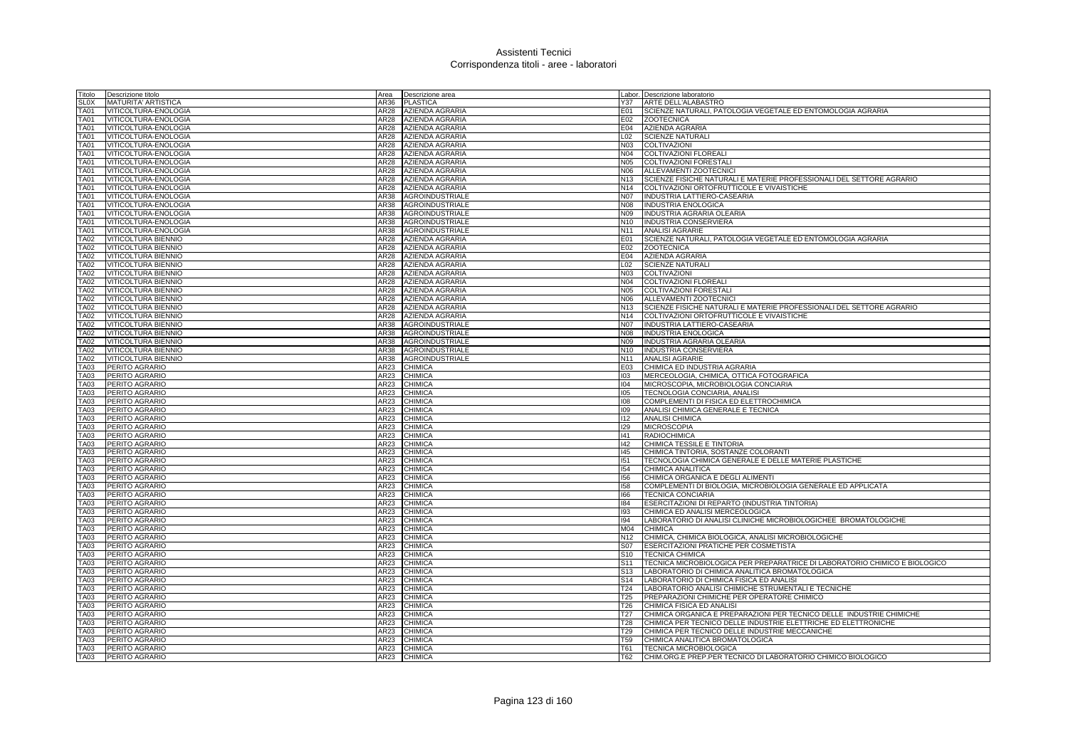| Titolo                     | Descrizione titolo<br>Area                       | Descrizione area       |                                    | Labor. Descrizione laboratorio                                             |
|----------------------------|--------------------------------------------------|------------------------|------------------------------------|----------------------------------------------------------------------------|
| <b>SLOX</b>                | AR36<br><b>MATURITA' ARTISTICA</b>               | <b>PLASTICA</b>        | Y37                                | ARTE DELL'ALABASTRO                                                        |
| TA01                       | AR28<br>VITICOLTURA-ENOLOGIA                     | AZIENDA AGRARIA        | E01                                | SCIENZE NATURALI, PATOLOGIA VEGETALE ED ENTOMOLOGIA AGRARIA                |
| TA01                       | AR28<br>VITICOLTURA-ENOLOGIA                     | AZIENDA AGRARIA        | E02                                | <b>ZOOTECNICA</b>                                                          |
| <b>TA01</b>                | VITICOLTURA-ENOLOGIA<br>AR28                     | AZIENDA AGRARIA        | E04                                | <b>AZIENDA AGRARIA</b>                                                     |
| TA01                       | VITICOLTURA-ENOLOGIA<br>AR28                     | AZIENDA AGRARIA        | L02                                | <b>SCIENZE NATURALI</b>                                                    |
| TA01                       | VITICOLTURA-ENOLOGIA<br>AR28                     | AZIENDA AGRARIA        | <b>N03</b>                         | COLTIVAZIONI                                                               |
| TA01                       | VITICOLTURA-ENOLOGIA<br>AR28                     | <b>AZIENDA AGRARIA</b> | N04                                | COLTIVAZIONI FLOREALI                                                      |
| TA01                       | AR28<br>VITICOLTURA-ENOLOGIA                     | AZIENDA AGRARIA        | <b>N05</b>                         | COLTIVAZIONI FORESTALI                                                     |
| TA01                       | VITICOLTURA-ENOLOGIA<br>AR28                     | AZIENDA AGRARIA        | N06                                | ALLEVAMENTI ZOOTECNICI                                                     |
| TA01                       | VITICOLTURA-ENOLOGIA<br><b>AR28</b>              | AZIENDA AGRARIA        | N <sub>13</sub>                    | SCIENZE FISICHE NATURALI E MATERIE PROFESSIONALI DEL SETTORE AGRARIO       |
| <b>TA01</b>                | VITICOLTURA-ENOLOGIA<br>AR28                     | <b>AZIENDA AGRARIA</b> | N <sub>14</sub>                    | COLTIVAZIONI ORTOFRUTTICOLE E VIVAISTICHE                                  |
| <b>FA01</b>                | VITICOLTURA-ENOLOGIA<br>AR38                     | <b>AGROINDUSTRIALE</b> | <b>N07</b>                         | INDUSTRIA LATTIERO-CASEARIA                                                |
| TA01                       | VITICOLTURA-ENOLOGIA<br>AR38                     | AGROINDUSTRIALE        | N08                                | <b>INDUSTRIA ENOLOGICA</b>                                                 |
| TA01                       | VITICOLTURA-ENOLOGIA<br>AR38                     | AGROINDUSTRIALE        | N09                                | INDUSTRIA AGRARIA OLEARIA                                                  |
| <b>TA01</b>                | VITICOLTURA-ENOLOGIA<br>AR38                     | AGROINDUSTRIALE        | N <sub>10</sub>                    | INDUSTRIA CONSERVIERA                                                      |
| <b>TA01</b>                | VITICOLTURA-ENOLOGIA<br>AR38                     | AGROINDUSTRIALE        | N <sub>11</sub>                    | <b>ANALISI AGRARIE</b>                                                     |
| <b>TA02</b>                | VITICOLTURA BIENNIO<br>AR28                      | AZIENDA AGRARIA        | E01                                | SCIENZE NATURALI, PATOLOGIA VEGETALE ED ENTOMOLOGIA AGRARIA                |
| <b>TA02</b>                | VITICOLTURA BIENNIO<br>AR28                      | AZIENDA AGRARIA        | E02                                | <b>ZOOTECNICA</b>                                                          |
|                            |                                                  |                        | E04                                |                                                                            |
| <b>TA02</b>                | <b>VITICOLTURA BIENNIO</b><br>AR28               | <b>AZIENDA AGRARIA</b> |                                    | AZIENDA AGRARIA                                                            |
| <b>FA02</b>                | VITICOLTURA BIENNIO<br>AR28                      | AZIENDA AGRARIA        | L02                                | <b>SCIENZE NATURALI</b>                                                    |
| <b>TA02</b>                | <b>VITICOLTURA BIENNIO</b><br>AR28               | AZIENDA AGRARIA        | <b>N03</b>                         | <b>COLTIVAZIONI</b>                                                        |
| <b>TA02</b>                | VITICOLTURA BIENNIO<br>AR28                      | <b>AZIENDA AGRARIA</b> | N04                                | <b>COLTIVAZIONI FLOREALI</b>                                               |
| <b>TA02</b>                | VITICOLTURA BIENNIO<br><b>AR28</b>               | AZIENDA AGRARIA        | <b>N05</b>                         | <b>COLTIVAZIONI FORESTALI</b>                                              |
| <b>TA02</b>                | VITICOLTURA BIENNIO<br>AR28                      | AZIENDA AGRARIA        | N06                                | ALLEVAMENTI ZOOTECNICI                                                     |
| <b>TA02</b>                | VITICOLTURA BIENNIO<br>AR28                      | <b>AZIENDA AGRARIA</b> | N <sub>13</sub>                    | SCIENZE FISICHE NATURALI E MATERIE PROFESSIONALI DEL SETTORE AGRARIO       |
| <b>TA02</b>                | VITICOLTURA BIENNIO<br>AR28                      | <b>AZIENDA AGRARIA</b> | N <sub>14</sub>                    | COLTIVAZIONI ORTOFRUTTICOLE E VIVAISTICHE                                  |
| <b>TA02</b>                | VITICOLTURA BIENNIO<br><b>AR38</b>               | <b>AGROINDUSTRIALE</b> | <b>N07</b>                         | <b>INDUSTRIA LATTIERO-CASEARIA</b>                                         |
| <b>TA02</b>                | <b>VITICOLTURA BIENNIO</b><br>AR38               | <b>AGROINDUSTRIALE</b> | <b>N08</b>                         | <b>INDUSTRIA ENOLOGICA</b>                                                 |
| <b>TA02</b>                | VITICOLTURA BIENNIO<br><b>AR38</b>               | <b>AGROINDUSTRIALE</b> | N09                                | INDUSTRIA AGRARIA OLEARIA                                                  |
| <b>TA02</b>                | <b>VITICOLTURA BIENNIO</b><br>AR38               | <b>AGROINDUSTRIALE</b> | N <sub>10</sub>                    | <b>INDUSTRIA CONSERVIERA</b>                                               |
| <b>TA02</b>                | VITICOLTURA BIENNIO<br><b>AR38</b>               | <b>AGROINDUSTRIALE</b> | N <sub>11</sub>                    | <b>ANALISI AGRARIE</b>                                                     |
| <b>TA03</b>                | PERITO AGRARIO<br>AR23                           | CHIMICA                | E03<br>103                         | CHIMICA ED INDUSTRIA AGRARIA                                               |
| <b>TA03</b>                | PERITO AGRARIO<br>AR23                           | CHIMICA                |                                    | MERCEOLOGIA, CHIMICA, OTTICA FOTOGRAFICA                                   |
| TA03                       | PERITO AGRARIO<br>AR23                           | CHIMICA                | 104                                | MICROSCOPIA, MICROBIOLOGIA CONCIARIA                                       |
| TA03<br><b>TA03</b>        | PERITO AGRARIC<br>AR23<br>AR23                   | CHIMICA<br>CHIMICA     | 105<br>108                         | TECNOLOGIA CONCIARIA, ANALISI                                              |
|                            | PERITO AGRARIO<br>AR23                           |                        |                                    | COMPLEMENTI DI FISICA ED ELETTROCHIMICA                                    |
| <b>TA03</b><br><b>TA03</b> | PERITO AGRARIO<br>PERITO AGRARIO<br>AR23         | CHIMICA<br>CHIMICA     | 109                                | ANALISI CHIMICA GENERALE E TECNICA<br><b>ANALISI CHIMICA</b>               |
| TA03                       | PERITO AGRARIO<br>AR23                           | CHIMICA                | 112<br>129                         | <b>MICROSCOPIA</b>                                                         |
| TA03                       | PERITO AGRARIO<br>AR23                           | CHIMICA                | 41                                 | <b>RADIOCHIMICA</b>                                                        |
| TA03                       | PERITO AGRARIO<br>AR23                           | CHIMICA                | 142                                | CHIMICA TESSILE E TINTORIA                                                 |
| <b>TA03</b>                | PERITO AGRARIO<br>AR23                           | CHIMICA                | 145                                | CHIMICA TINTORIA, SOSTANZE COLORANTI                                       |
| <b>TA03</b>                | PERITO AGRARIC<br>AR23                           | CHIMICA                | 151                                | TECNOLOGIA CHIMICA GENERALE E DELLE MATERIE PLASTICHE                      |
| TA03                       | PERITO AGRARIC<br>AR23                           | CHIMICA                | 154                                | CHIMICA ANALITICA                                                          |
| <b>TA03</b>                | PERITO AGRARIC<br>AR23                           |                        | 156                                | CHIMICA ORGANICA E DEGLI ALIMENTI                                          |
|                            |                                                  | CHIMICA                |                                    |                                                                            |
| <b>TA03</b>                | PERITO AGRARIC<br>AR23                           | CHIMICA                | 158                                | COMPLEMENTI DI BIOLOGIA, MICROBIOLOGIA GENERALE ED APPLICATA               |
| <b>TA03</b>                | PERITO AGRARIC<br>AR23                           | <b>CHIMICA</b>         | 166                                | <b>TECNICA CONCIARIA</b>                                                   |
| TA03                       | PERITO AGRARIC<br>AR23                           | CHIMICA                | 184                                | ESERCITAZIONI DI REPARTO (INDUSTRIA TINTORIA)                              |
| TA03                       | PERITO AGRARIO<br>AR23                           | CHIMICA                | 193                                | CHIMICA ED ANALISI MERCEOLOGICA                                            |
| <b>TA03</b>                | PERITO AGRARIC<br>AR23                           | CHIMICA                | 194                                | LABORATORIO DI ANALISI CLINICHE MICROBIOLOGICHEE BROMATOLOGICHE            |
| <b>TA03</b>                | PERITO AGRARIC<br>AR23<br>AR23                   | CHIMICA                | M04                                | <b>CHIMICA</b>                                                             |
| TA03                       | PERITO AGRARIC                                   | <b>CHIMICA</b>         | N <sub>12</sub>                    | CHIMICA, CHIMICA BIOLOGICA, ANALISI MICROBIOLOGICHE                        |
| <b>TA03</b>                | PERITO AGRARIC<br>AR23                           | CHIMICA                | S07                                | <b>ESERCITAZIONI PRATICHE PER COSMETISTA</b>                               |
| <b>TA03</b>                | PERITO AGRARIC<br>AR23                           | CHIMICA<br>CHIMICA     | S <sub>10</sub>                    | <b>TECNICA CHIMICA</b>                                                     |
| <b>TA03</b>                | PERITO AGRARIO<br><b>AR23</b>                    |                        | S11                                | TECNICA MICROBIOLOGICA PER PREPARATRICE DI LABORATORIO CHIMICO E BIOLOGICO |
| TA03                       | PERITO AGRARIO<br>AR23                           | CHIMICA                | S <sub>13</sub>                    | LABORATORIO DI CHIMICA ANALITICA BROMATOLOGICA                             |
| <b>TA03</b>                | <b>PERITO AGRARIO</b><br>AR23                    | CHIMICA                | S <sub>14</sub>                    | LABORATORIO DI CHIMICA FISICA ED ANALISI                                   |
| <b>TA03</b>                | <b>PERITO AGRARIO</b><br>AR23                    | CHIMICA                | T24                                | LABORATORIO ANALISI CHIMICHE STRUMENTALI E TECNICHE                        |
| <b>TA03</b>                | PERITO AGRARIO<br>AR23                           | CHIMICA                | T <sub>25</sub>                    | PREPARAZIONI CHIMICHE PER OPERATORE CHIMICO                                |
| TA03                       | PERITO AGRARIC<br>AR23                           | CHIMICA                | T <sub>26</sub>                    | CHIMICA FISICA ED ANALISI                                                  |
| <b>TA03</b>                | PERITO AGRARIC<br>AR23                           | CHIMICA                | T <sub>27</sub>                    | CHIMICA ORGANICA E PREPARAZIONI PER TECNICO DELLE INDUSTRIE CHIMICHE       |
| <b>TA03</b>                | PERITO AGRARIO<br>AR23                           | <b>CHIMICA</b>         | <b>T28</b>                         | CHIMICA PER TECNICO DELLE INDUSTRIE ELETTRICHE ED ELETTRONICHE             |
| <b>TA03</b>                | PERITO AGRARIO<br>AR23                           | CHIMICA                | T <sub>29</sub><br>T <sub>59</sub> | CHIMICA PER TECNICO DELLE INDUSTRIE MECCANICHE                             |
| TA03<br><b>TA03</b>        | PERITO AGRARIO<br>AR23<br>PERITO AGRARIO<br>AR23 | CHIMICA<br>CHIMICA     | T61                                | CHIMICA ANALITICA BROMATOLOGICA<br><b>TECNICA MICROBIOLOGICA</b>           |
| <b>TA03</b>                | AR23<br>PERITO AGRARIO                           | <b>CHIMICA</b>         | T62                                | CHIM.ORG.E PREP.PER TECNICO DI LABORATORIO CHIMICO BIOLOGICO               |
|                            |                                                  |                        |                                    |                                                                            |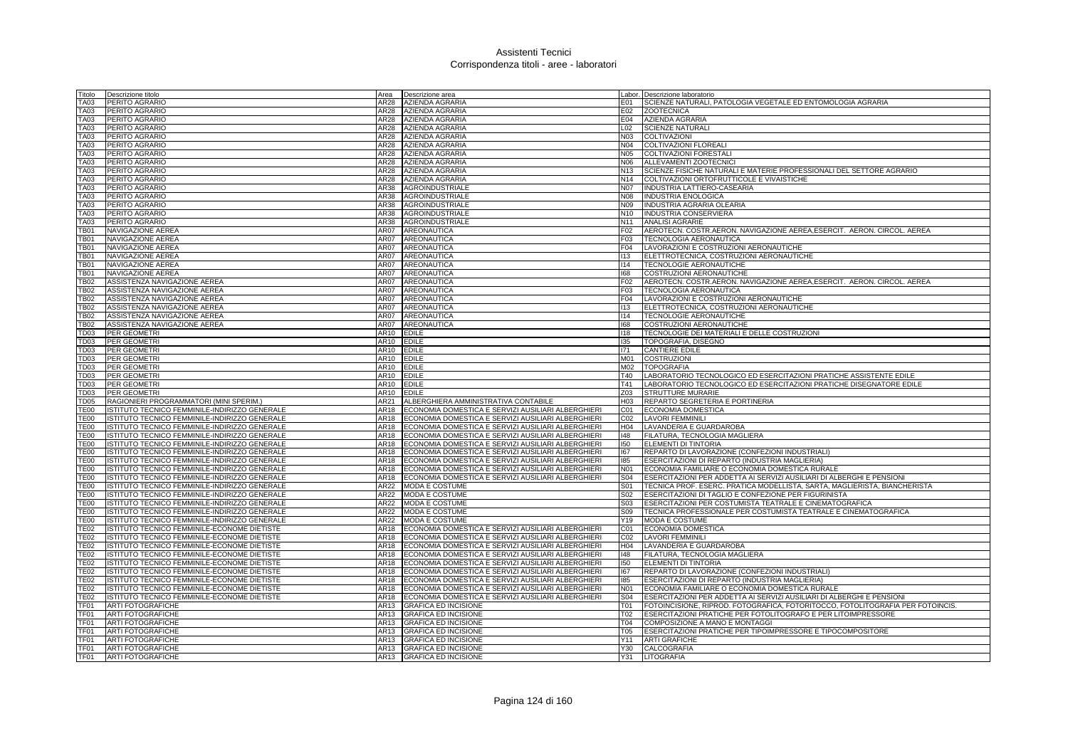| Titolo                     | Descrizione titolo                                   | Area         | Descrizione area                                           |                  | abor. Descrizione laboratorio                                                       |
|----------------------------|------------------------------------------------------|--------------|------------------------------------------------------------|------------------|-------------------------------------------------------------------------------------|
| TA03                       | PERITO AGRARIO                                       | AR28         | <b>AZIENDA AGRARIA</b>                                     | E01              | SCIENZE NATURALI, PATOLOGIA VEGETALE ED ENTOMOLOGIA AGRARIA                         |
| <b>TA03</b>                | PERITO AGRARIO                                       | AR28         | <b>AZIENDA AGRARIA</b>                                     | E02              | <b>ZOOTECNICA</b>                                                                   |
| TA03                       | PERITO AGRARIO                                       | AR28         | <b>AZIENDA AGRARIA</b>                                     | E04              | AZIENDA AGRARIA                                                                     |
| <b>TA03</b>                | PERITO AGRARIO                                       | AR28         | <b>AZIENDA AGRARIA</b>                                     | L02              | <b>SCIENZE NATURALI</b>                                                             |
| TA03                       | PERITO AGRARIO                                       | AR28         | AZIENDA AGRARIA                                            | N03              | <b>COLTIVAZIONI</b>                                                                 |
| <b>TA03</b>                | PERITO AGRARIO                                       | AR28         | <b>AZIENDA AGRARIA</b>                                     | N04              | <b>COLTIVAZIONI FLOREALI</b>                                                        |
| TA03                       | PERITO AGRARIO                                       | AR28         | AZIENDA AGRARIA                                            | N05              | COLTIVAZIONI FORESTAL                                                               |
| <b>TA03</b>                | PERITO AGRARIO                                       | AR28         | AZIENDA AGRARIA                                            | N06              | ALLEVAMENTI ZOOTECNICI                                                              |
| <b>TA03</b>                | PERITO AGRARIO                                       | AR28         | AZIENDA AGRARIA                                            | N13              | SCIENZE FISICHE NATURALI E MATERIE PROFESSIONALI DEL SETTORE AGRARIO                |
| <b>TA03</b>                | PERITO AGRARIO                                       | AR28         | AZIENDA AGRARIA                                            | N14              | COLTIVAZIONI ORTOFRUTTICOLE E VIVAISTICHE                                           |
| <b>TA03</b>                | PERITO AGRARIO                                       | AR38         | AGROINDUSTRIALE                                            | <b>N07</b>       | INDUSTRIA LATTIERO-CASEARIA                                                         |
| TA03                       | PERITO AGRARIO                                       | AR38         | <b>AGROINDUSTRIALE</b>                                     | N08              | <b>INDUSTRIA ENOLOGICA</b>                                                          |
| <b>TA03</b>                | PERITO AGRARIO                                       | AR38         | AGROINDUSTRIALE                                            | N09              | INDUSTRIA AGRARIA OLEARIA                                                           |
| <b>TA03</b>                | PERITO AGRARIO                                       | AR38         | <b>AGROINDUSTRIALE</b>                                     | N10              | INDUSTRIA CONSERVIERA                                                               |
| <b>TA03</b>                | PERITO AGRARIO                                       | AR38         | AGROINDUSTRIALE                                            | N <sub>11</sub>  | <b>ANALISI AGRARIE</b>                                                              |
| <b>TB01</b>                | NAVIGAZIONE AEREA                                    | AR07         | AREONAUTICA                                                | F02              | AEROTECN. COSTR.AERON. NAVIGAZIONE AEREA,ESERCIT. AERON. CIRCOL. AEREA              |
| <b>TB01</b>                | NAVIGAZIONE AEREA                                    | AR07         | AREONAUTICA                                                | F <sub>0</sub> 3 | TECNOLOGIA AERONAUTICA                                                              |
| <b>TB01</b>                | NAVIGAZIONE AEREA                                    | AR07         | <b>AREONAUTICA</b>                                         | F <sub>04</sub>  | LAVORAZIONI E COSTRUZIONI AERONAUTICHE                                              |
| <b>TB01</b>                | NAVIGAZIONE AEREA                                    | AR07         | AREONAUTICA                                                | 113              | ELETTROTECNICA, COSTRUZIONI AERONAUTICHE                                            |
| <b>TB01</b>                | <b>NAVIGAZIONE AEREA</b>                             | AR07         | AREONAUTICA                                                | 114              | TECNOLOGIE AERONAUTICHE                                                             |
| <b>TB01</b>                | <b>NAVIGAZIONE AEREA</b>                             | AR07         | AREONAUTICA                                                | 68               | COSTRUZIONI AERONAUTICHE                                                            |
| <b>TB02</b>                | ASSISTENZA NAVIGAZIONE AEREA                         | AR07         | AREONAUTICA                                                | F02              | AEROTECN. COSTR.AERON. NAVIGAZIONE AEREA, ESERCIT. AERON. CIRCOL. AEREA             |
| <b>TB02</b>                | ASSISTENZA NAVIGAZIONE AEREA                         | AR07         | <b>AREONAUTICA</b>                                         | F <sub>0</sub> 3 | <b>TECNOLOGIA AERONAUTICA</b>                                                       |
| TB02                       | ASSISTENZA NAVIGAZIONE AEREA                         | AR07         | AREONAUTICA                                                | F <sub>04</sub>  | LAVORAZIONI E COSTRUZIONI AERONAUTICHE                                              |
| <b>TB02</b>                | ASSISTENZA NAVIGAZIONE AEREA                         | AR07         | AREONAUTICA                                                | 113              | ELETTROTECNICA, COSTRUZIONI AERONAUTICHE                                            |
| <b>TB02</b>                | ASSISTENZA NAVIGAZIONE AEREA                         | AR07         | AREONAUTICA                                                | 114              | TECNOLOGIE AERONAUTICHE                                                             |
| <b>TB02</b>                | ASSISTENZA NAVIGAZIONE AEREA                         | AR07         | AREONAUTICA                                                | 168              | <b>COSTRUZIONI AERONAUTICHE</b>                                                     |
| TD <sub>03</sub>           | PER GEOMETRI                                         | AR10         | <b>EDILE</b>                                               | 118              | TECNOLOGIE DEI MATERIALI E DELLE COSTRUZIONI                                        |
| <b>TD03</b>                | PER GEOMETRI                                         | AR10         | <b>EDILE</b>                                               | 135              | TOPOGRAFIA, DISEGNO                                                                 |
| TD <sub>03</sub>           | PER GEOMETRI                                         | AR10         | <b>EDILE</b>                                               | 171              | <b>CANTIERE EDILE</b>                                                               |
| TD <sub>03</sub>           | PER GEOMETR                                          | AR10         | <b>EDILE</b>                                               | M01              | <b>COSTRUZION</b>                                                                   |
| TD <sub>03</sub>           | PER GEOMETR                                          | AR10         | <b>EDILE</b>                                               | M02              | <b>TOPOGRAFIA</b>                                                                   |
| <b>TD03</b>                | PER GEOMETRI                                         | AR10         | <b>EDILE</b>                                               | T40              | LABORATORIO TECNOLOGICO ED ESERCITAZIONI PRATICHE ASSISTENTE EDILE                  |
| TD <sub>03</sub>           | PER GEOMETRI                                         | AR10         | <b>EDILE</b>                                               | T41              | LABORATORIO TECNOLOGICO ED ESERCITAZIONI PRATICHE DISEGNATORE EDILE                 |
| <b>TD03</b>                | PER GEOMETRI                                         | AR10         | <b>EDILE</b>                                               | Z03              | STRUTTURE MURARIE                                                                   |
| TD <sub>05</sub>           | RAGIONIERI PROGRAMMATORI (MINI SPERIM.)              | AR21         | ALBERGHIERA AMMINISTRATIVA CONTABILE                       | H03              | <b>REPARTO SEGRETERIA E PORTINERIA</b>                                              |
| <b>TE00</b>                | ISTITUTO TECNICO FEMMINILE-INDIRIZZO GENERALE        | AR18         | ECONOMIA DOMESTICA E SERVIZI AUSILIARI ALBERGHIERI         | CO1              | <b>ECONOMIA DOMESTICA</b>                                                           |
| <b>TE00</b>                | ISTITUTO TECNICO FEMMINILE-INDIRIZZO GENERALE        | AR18         | ECONOMIA DOMESTICA E SERVIZI AUSILIARI ALBERGHIERI         | CO <sub>2</sub>  | <b>LAVORI FEMMINILI</b>                                                             |
| TE <sub>00</sub>           | ISTITUTO TECNICO FEMMINILE-INDIRIZZO GENERALE        | AR18         | ECONOMIA DOMESTICA E SERVIZI AUSILIARI ALBERGHIERI         | H <sub>04</sub>  | LAVANDERIA E GUARDAROBA                                                             |
| <b>TE00</b>                | ISTITUTO TECNICO FEMMINILE-INDIRIZZO GENERALE        | AR18         | ECONOMIA DOMESTICA E SERVIZI AUSILIARI ALBERGHIERI         | 148              | FILATURA, TECNOLOGIA MAGLIERA                                                       |
| TE <sub>00</sub>           | ISTITUTO TECNICO FEMMINILE-INDIRIZZO GENERALE        | AR18         | ECONOMIA DOMESTICA E SERVIZI AUSILIARI ALBERGHIERI         | 150              | ELEMENTI DI TINTORIA                                                                |
| <b>TE00</b>                | ISTITUTO TECNICO FEMMINILE-INDIRIZZO GENERALE        | AR18         | ECONOMIA DOMESTICA E SERVIZI AUSILIARI ALBERGHIERI         | 167              | REPARTO DI LAVORAZIONE (CONFEZIONI INDUSTRIALI)                                     |
| <b>TE00</b>                | ISTITUTO TECNICO FEMMINILE-INDIRIZZO GENERALE        | AR18         | ECONOMIA DOMESTICA E SERVIZI AUSILIARI ALBERGHIERI         | 185              | ESERCITAZIONI DI REPARTO (INDUSTRIA MAGLIERIA)                                      |
| <b>TE00</b>                | <b>ISTITUTO TECNICO FEMMINILE-INDIRIZZO GENERALE</b> | AR18         | ECONOMIA DOMESTICA E SERVIZI AUSILIARI ALBERGHIERI         | N01              | ECONOMIA FAMILIARE O ECONOMIA DOMESTICA RURALE                                      |
| <b>TE00</b>                | ISTITUTO TECNICO FEMMINILE-INDIRIZZO GENERALE        | AR18         | ECONOMIA DOMESTICA E SERVIZI AUSILIARI ALBERGHIERI         | <b>S04</b>       | ESERCITAZIONI PER ADDETTA AI SERVIZI AUSILIARI DI ALBERGHI E PENSIONI               |
| <b>TE00</b>                | ISTITUTO TECNICO FEMMINILE-INDIRIZZO GENERALE        | AR22         | <b>MODA E COSTUME</b>                                      | S01              | TECNICA PROF. ESERC. PRATICA MODELLISTA, SARTA, MAGLIERISTA, BIANCHERISTA           |
| <b>TE00</b>                | ISTITUTO TECNICO FEMMINILE-INDIRIZZO GENERALE        | AR22         | <b>MODA E COSTUME</b>                                      | S02              | ESERCITAZIONI DI TAGLIO E CONFEZIONE PER FIGURINISTA                                |
| <b>TE00</b>                | ISTITUTO TECNICO FEMMINILE-INDIRIZZO GENERALE        | AR22         | <b>MODA E COSTUME</b>                                      | S <sub>03</sub>  | <b>ESERCITAZIONI PER COSTUMISTA TEATRALE E CINEMATOGRAFICA</b>                      |
| <b>TE00</b>                | ISTITUTO TECNICO FEMMINILE-INDIRIZZO GENERALE        | AR22         | <b>MODA E COSTUME</b>                                      | S09              | TECNICA PROFESSIONALE PER COSTUMISTA TEATRALE E CINEMATOGRAFICA                     |
| <b>TE00</b>                | ISTITUTO TECNICO FEMMINILE-INDIRIZZO GENERALE        | AR22         | <b>MODA E COSTUME</b>                                      | Y19              | MODA E COSTUME                                                                      |
| <b>TE02</b>                | ISTITUTO TECNICO FEMMINILE-ECONOME DIETISTE          | AR18         | ECONOMIA DOMESTICA E SERVIZI AUSILIARI ALBERGHIERI         | C01              | ECONOMIA DOMESTICA                                                                  |
| <b>TE02</b>                | ISTITUTO TECNICO FEMMINILE-ECONOME DIETISTE          | AR18         | ECONOMIA DOMESTICA E SERVIZI AUSILIARI ALBERGHIERI         | C02              | <b>LAVORI FEMMINILI</b>                                                             |
| <b>TE02</b>                | ISTITUTO TECNICO FEMMINILE-ECONOME DIETISTE          | AR18         | ECONOMIA DOMESTICA E SERVIZI AUSILIARI ALBERGHIERI         | H <sub>04</sub>  | LAVANDERIA E GUARDAROBA                                                             |
| <b>TE02</b>                | <b>ISTITUTO TECNICO FEMMINILE-ECONOME DIETISTE</b>   | <b>AR18</b>  | ECONOMIA DOMESTICA E SERVIZI AUSILIARI ALBERGHIERI         | 48               | FILATURA, TECNOLOGIA MAGLIERA                                                       |
| <b>TE02</b>                | ISTITUTO TECNICO FEMMINILE-ECONOME DIETISTE          | AR18         | ECONOMIA DOMESTICA E SERVIZI AUSILIARI ALBERGHIERI         | 150              | <b>ELEMENTI DI TINTORIA</b>                                                         |
| <b>TE02</b>                | ISTITUTO TECNICO FEMMINILE-ECONOME DIETISTE          | AR18         | ECONOMIA DOMESTICA E SERVIZI AUSILIARI ALBERGHIERI         | 167              | REPARTO DI LAVORAZIONE (CONFEZIONI INDUSTRIALI)                                     |
| <b>TE02</b>                | ISTITUTO TECNICO FEMMINILE-ECONOME DIETISTE          | AR18         | ECONOMIA DOMESTICA E SERVIZI AUSILIARI ALBERGHIERI         | 185              | ESERCITAZIONI DI REPARTO (INDUSTRIA MAGLIERIA)                                      |
| <b>TE02</b><br><b>TE02</b> | ISTITUTO TECNICO FEMMINILE-ECONOME DIETISTE          | AR18         | ECONOMIA DOMESTICA E SERVIZI AUSILIARI ALBERGHIERI         | N01              | ECONOMIA FAMILIARE O ECONOMIA DOMESTICA RURALE                                      |
|                            | ISTITUTO TECNICO FEMMINILE-ECONOME DIETISTE          | AR18         | ECONOMIA DOMESTICA E SERVIZI AUSILIARI ALBERGHIERI         | <b>S04</b>       | ESERCITAZIONI PER ADDETTA AI SERVIZI AUSILIARI DI ALBERGHI E PENSIONI               |
| TF01<br>TF01               | <b>ARTI FOTOGRAFICHE</b>                             | AR13         | <b>GRAFICA ED INCISIONE</b>                                | T01<br>T02       | FOTOINCISIONE, RIPROD. FOTOGRAFICA, FOTORITOCCO, FOTOLITOGRAFIA PER FOTOINCIS       |
| TF01                       | <b>ARTI FOTOGRAFICHE</b>                             | AR13<br>AR13 | <b>GRAFICA ED INCISIONE</b>                                | <b>T04</b>       | ESERCITAZIONI PRATICHE PER FOTOLITOGRAFO E PER LITOIMPRESSORE                       |
| TF <sub>01</sub>           | <b>ARTI FOTOGRAFICHE</b>                             |              | <b>GRAFICA ED INCISIONE</b>                                | <b>T05</b>       | COMPOSIZIONE A MANO E MONTAGGI                                                      |
| TF <sub>01</sub>           | <b>ARTI FOTOGRAFICHE</b><br><b>ARTI FOTOGRAFICHE</b> | AR13<br>AR13 | <b>GRAFICA ED INCISIONE</b><br><b>GRAFICA ED INCISIONE</b> | Y11              | ESERCITAZIONI PRATICHE PER TIPOIMPRESSORE E TIPOCOMPOSITORE<br><b>ARTI GRAFICHE</b> |
| TF <sub>01</sub>           | <b>ARTI FOTOGRAFICHE</b>                             | AR13         | <b>GRAFICA ED INCISIONE</b>                                | Y30              | <b>CALCOGRAFIA</b>                                                                  |
| TF01                       | <b>ARTI FOTOGRAFICHE</b>                             |              | AR13 GRAFICA ED INCISIONE                                  |                  | Y31 LITOGRAFIA                                                                      |
|                            |                                                      |              |                                                            |                  |                                                                                     |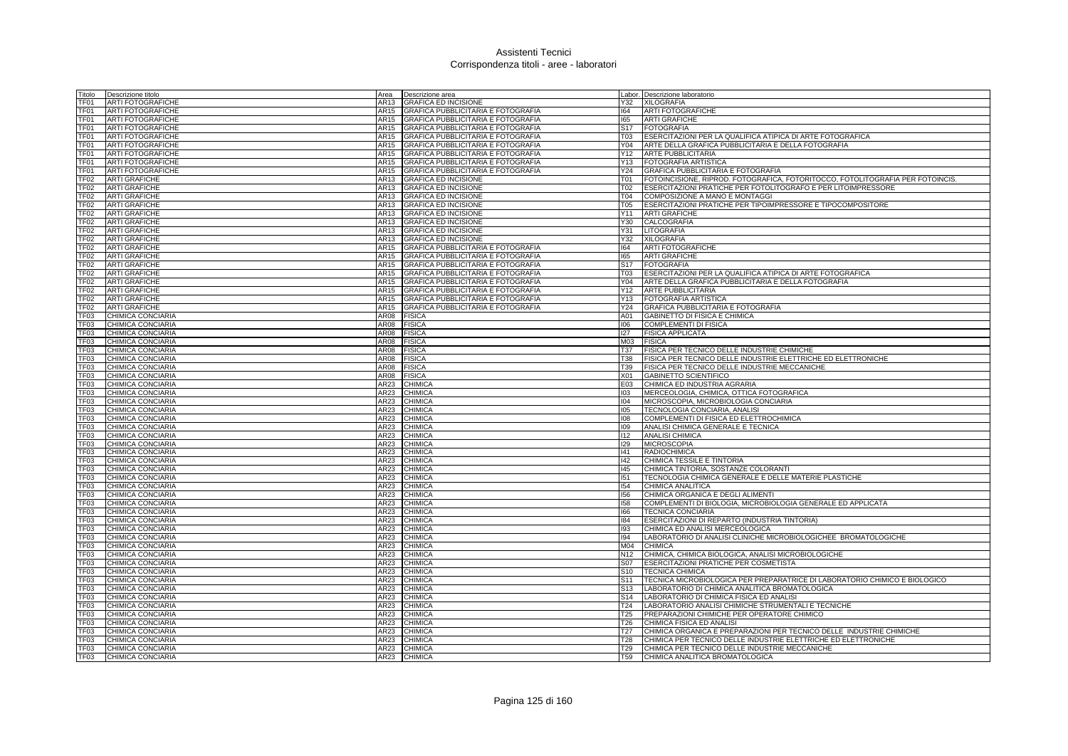| Fitolo           | Descrizione titolo                     | Area             | Descrizione area                          |                 | Labor. Descrizione laboratorio                                                 |
|------------------|----------------------------------------|------------------|-------------------------------------------|-----------------|--------------------------------------------------------------------------------|
| TF01             | <b>ARTI FOTOGRAFICHE</b>               | AR13             | <b>GRAFICA ED INCISIONE</b>               | Y32             | <b>XILOGRAFIA</b>                                                              |
| TF01             | <b>ARTI FOTOGRAFICHE</b>               | AR15             | GRAFICA PUBBLICITARIA E FOTOGRAFIA        | 164             | <b>ARTI FOTOGRAFICHE</b>                                                       |
| TF01             | <b>ARTI FOTOGRAFICHE</b>               | AR15             | GRAFICA PUBBLICITARIA E FOTOGRAFIA        | 165             | <b>ARTI GRAFICHE</b>                                                           |
| TF01             | <b>ARTI FOTOGRAFICHE</b>               | AR15             | GRAFICA PUBBLICITARIA E FOTOGRAFIA        | S <sub>17</sub> | <b>FOTOGRAFIA</b>                                                              |
| TF01             | <b>ARTI FOTOGRAFICHE</b>               | AR15             | GRAFICA PUBBLICITARIA E FOTOGRAFIA        | <b>T03</b>      | ESERCITAZIONI PER LA QUALIFICA ATIPICA DI ARTE FOTOGRAFICA                     |
| TF01             | <b>ARTI FOTOGRAFICHE</b>               | AR15             | GRAFICA PUBBLICITARIA E FOTOGRAFIA        | Y04             | ARTE DELLA GRAFICA PUBBLICITARIA E DELLA FOTOGRAFIA                            |
| TF01             | <b>ARTI FOTOGRAFICHE</b>               | AR15             | GRAFICA PUBBLICITARIA E FOTOGRAFIA        | Y12             | <b>ARTE PUBBLICITARIA</b>                                                      |
| TF01             | <b>ARTI FOTOGRAFICHE</b>               | AR15             | GRAFICA PUBBLICITARIA E FOTOGRAFIA        | Y13             | <b>FOTOGRAFIA ARTISTICA</b>                                                    |
| TF01             | <b>ARTI FOTOGRAFICHE</b>               | AR15             | GRAFICA PUBBLICITARIA E FOTOGRAFIA        | Y24             | GRAFICA PUBBLICITARIA E FOTOGRAFIA                                             |
| TF <sub>02</sub> | <b>ARTI GRAFICHE</b>                   | AR13             | <b>GRAFICA ED INCISIONE</b>               | T01             | FOTOINCISIONE, RIPROD. FOTOGRAFICA, FOTORITOCCO, FOTOLITOGRAFIA PER FOTOINCIS. |
| <b>TF02</b>      | <b>ARTI GRAFICHE</b>                   | AR13             | <b>GRAFICA ED INCISIONE</b>               | T02             | ESERCITAZIONI PRATICHE PER FOTOLITOGRAFO E PER LITOIMPRESSORE                  |
| <b>TF02</b>      | <b>ARTI GRAFICHE</b>                   | AR13             | <b>GRAFICA ED INCISIONE</b>               | T04             | COMPOSIZIONE A MANO E MONTAGGI                                                 |
| TF <sub>02</sub> | <b>ARTI GRAFICHE</b>                   | AR13             | <b>GRAFICA ED INCISIONE</b>               | <b>T05</b>      | ESERCITAZIONI PRATICHE PER TIPOIMPRESSORE E TIPOCOMPOSITORE                    |
| <b>TF02</b>      | <b>ARTI GRAFICHE</b>                   | AR13             | <b>GRAFICA ED INCISIONE</b>               | Y11             | <b>ARTI GRAFICHE</b>                                                           |
| <b>TF02</b>      | <b>ARTI GRAFICHE</b>                   | AR13             | <b>GRAFICA ED INCISIONE</b>               | Y30             | CALCOGRAFIA                                                                    |
| <b>TF02</b>      | <b>ARTI GRAFICHE</b>                   | AR13             | <b>GRAFICA ED INCISIONE</b>               | Y31             | LITOGRAFIA                                                                     |
| TF <sub>02</sub> | <b>ARTI GRAFICHE</b>                   | AR13             | <b>GRAFICA ED INCISIONE</b>               | Y32             | <b>XILOGRAFIA</b>                                                              |
| TF <sub>02</sub> | <b>ARTI GRAFICHE</b>                   | AR15             | GRAFICA PUBBLICITARIA E FOTOGRAFIA        | 164             | <b>ARTI FOTOGRAFICHE</b>                                                       |
| <b>TF02</b>      | <b>ARTI GRAFICHE</b>                   | AR15             | GRAFICA PUBBLICITARIA E FOTOGRAFIA        | 165             | <b>ARTI GRAFICHE</b>                                                           |
| TF <sub>02</sub> | <b>ARTI GRAFICHE</b>                   | AR15             | <b>GRAFICA PUBBLICITARIA E FOTOGRAFIA</b> | S <sub>17</sub> | <b>FOTOGRAFIA</b>                                                              |
| TF <sub>02</sub> | <b>ARTI GRAFICHE</b>                   | AR15             | <b>GRAFICA PUBBLICITARIA E FOTOGRAFIA</b> | T03             | ESERCITAZIONI PER LA QUALIFICA ATIPICA DI ARTE FOTOGRAFICA                     |
| TF <sub>02</sub> | <b>ARTI GRAFICHE</b>                   | AR15             | GRAFICA PUBBLICITARIA E FOTOGRAFIA        | Y04             | ARTE DELLA GRAFICA PUBBLICITARIA E DELLA FOTOGRAFIA                            |
| <b>TF02</b>      | <b>ARTI GRAFICHE</b>                   | AR15             | GRAFICA PUBBLICITARIA E FOTOGRAFIA        | Y12             | <b>ARTE PUBBLICITARIA</b>                                                      |
| TF02             | <b>ARTI GRAFICHE</b>                   | AR15             | GRAFICA PUBBLICITARIA E FOTOGRAFIA        | Y13             | <b>FOTOGRAFIA ARTISTICA</b>                                                    |
| TF02             | <b>ARTI GRAFICHE</b>                   | AR15             | GRAFICA PUBBLICITARIA E FOTOGRAFIA        | Y24             | GRAFICA PUBBLICITARIA E FOTOGRAFIA                                             |
| TF03             | CHIMICA CONCIARIA                      | AR08             | <b>FISICA</b>                             | A01             | GABINETTO DI FISICA E CHIMICA                                                  |
| TF03<br>TF03     | CHIMICA CONCIARIA<br>CHIMICA CONCIARIA | AR08             | <b>FISICA</b><br><b>FISICA</b>            | 106<br>127      | COMPLEMENTI DI FISICA<br><b>FISICA APPLICATA</b>                               |
| TF <sub>03</sub> |                                        | AR08<br>AR08     |                                           | M03             | <b>FISICA</b>                                                                  |
| TF <sub>03</sub> | CHIMICA CONCIARIA<br>CHIMICA CONCIARIA | AR08             | <b>FISICA</b><br><b>FISICA</b>            | <b>T37</b>      | FISICA PER TECNICO DELLE INDUSTRIE CHIMICHE                                    |
| TF <sub>03</sub> | CHIMICA CONCIARIA                      | AR08             | <b>FISICA</b>                             | <b>T38</b>      | FISICA PER TECNICO DELLE INDUSTRIE ELETTRICHE ED ELETTRONICHE                  |
| TF03             | CHIMICA CONCIARIA                      | AR08             | <b>FISICA</b>                             | T39             | FISICA PER TECNICO DELLE INDUSTRIE MECCANICHE                                  |
| TF03             | CHIMICA CONCIARIA                      | AR08             | <b>FISICA</b>                             | X01             | <b>GABINETTO SCIENTIFICO</b>                                                   |
| TF <sub>03</sub> | CHIMICA CONCIARIA                      | AR23             | CHIMICA                                   | E03             | CHIMICA ED INDUSTRIA AGRARIA                                                   |
| TF03             | CHIMICA CONCIARIA                      | AR23             | <b>CHIMICA</b>                            | 103             | MERCEOLOGIA, CHIMICA, OTTICA FOTOGRAFICA                                       |
| TF <sub>03</sub> | CHIMICA CONCIARIA                      | AR23             | CHIMICA                                   | 104             | MICROSCOPIA, MICROBIOLOGIA CONCIARIA                                           |
| TF03             | CHIMICA CONCIARIA                      | AR23             | <b>CHIMICA</b>                            | 105             | TECNOLOGIA CONCIARIA, ANALISI                                                  |
| TF <sub>03</sub> | CHIMICA CONCIARIA                      | AR23             | <b>CHIMICA</b>                            | 108             | COMPLEMENTI DI FISICA ED ELETTROCHIMICA                                        |
| TF <sub>03</sub> | CHIMICA CONCIARIA                      | AR23             | <b>CHIMICA</b>                            | 109             | ANALISI CHIMICA GENERALE E TECNICA                                             |
| TF <sub>03</sub> | CHIMICA CONCIARIA                      | AR23             | <b>CHIMICA</b>                            | 112             | <b>ANALISI CHIMICA</b>                                                         |
| TF03             | CHIMICA CONCIARIA                      | AR23             | <b>CHIMICA</b>                            | 129             | <b>MICROSCOPIA</b>                                                             |
| TF <sub>03</sub> | CHIMICA CONCIARIA                      | AR23             | <b>CHIMICA</b>                            | 41              | <b>RADIOCHIMICA</b>                                                            |
| TF03             | CHIMICA CONCIARIA                      | AR23             | <b>CHIMICA</b>                            | $ 42\rangle$    | CHIMICA TESSILE E TINTORIA                                                     |
| TF <sub>03</sub> | CHIMICA CONCIARIA                      | AR23             | <b>CHIMICA</b>                            | 145             | CHIMICA TINTORIA, SOSTANZE COLORANTI                                           |
| TF03             | CHIMICA CONCIARIA                      | AR23             | <b>CHIMICA</b>                            | 151             | TECNOLOGIA CHIMICA GENERALE E DELLE MATERIE PLASTICHE                          |
| TF03             | CHIMICA CONCIARIA                      | AR23             | <b>CHIMICA</b>                            | 154             | CHIMICA ANALITICA                                                              |
| TF03             | CHIMICA CONCIARIA                      | AR23             | CHIMICA                                   | 156             | CHIMICA ORGANICA E DEGLI ALIMENTI                                              |
| TF03             | CHIMICA CONCIARIA                      | AR23             | <b>CHIMICA</b>                            | 158             | COMPLEMENTI DI BIOLOGIA, MICROBIOLOGIA GENERALE ED APPLICATA                   |
| TF03             | CHIMICA CONCIARIA                      | AR23             | CHIMICA                                   | 166             | <b>TECNICA CONCIARIA</b>                                                       |
| TF03             | CHIMICA CONCIARIA                      | AR23             | <b>CHIMICA</b>                            | 184             | ESERCITAZIONI DI REPARTO (INDUSTRIA TINTORIA)                                  |
| TF03             | CHIMICA CONCIARIA                      | AR23             | CHIMICA                                   | 193             | CHIMICA ED ANALISI MERCEOLOGICA                                                |
| TF03             | CHIMICA CONCIARIA                      | AR23             | <b>CHIMICA</b>                            | 194             | LABORATORIO DI ANALISI CLINICHE MICROBIOLOGICHEE BROMATOLOGICHE                |
| TF03             | CHIMICA CONCIARIA                      | AR <sub>23</sub> | CHIMICA                                   | M04             | <b>CHIMICA</b>                                                                 |
| TF03             | CHIMICA CONCIARIA                      | AR23             | CHIMICA                                   | N <sub>12</sub> | CHIMICA, CHIMICA BIOLOGICA, ANALISI MICROBIOLOGICHE                            |
| TF <sub>03</sub> | CHIMICA CONCIARIA                      | AR23             | <b>CHIMICA</b>                            | S07             | ESERCITAZIONI PRATICHE PER COSMETISTA                                          |
| TF <sub>03</sub> | CHIMICA CONCIARIA                      | AR23             | CHIMICA                                   | S <sub>10</sub> | <b>TECNICA CHIMICA</b>                                                         |
| TF <sub>03</sub> | CHIMICA CONCIARIA                      | AR23             | <b>CHIMICA</b>                            | S <sub>11</sub> | TECNICA MICROBIOLOGICA PER PREPARATRICE DI LABORATORIO CHIMICO E BIOLOGICO     |
| TF03             | CHIMICA CONCIARIA                      | AR <sub>23</sub> | CHIMICA                                   | S <sub>13</sub> | LABORATORIO DI CHIMICA ANALITICA BROMATOLOGICA                                 |
| TF03             | CHIMICA CONCIARIA                      | AR23             | <b>CHIMICA</b>                            | S <sub>14</sub> | LABORATORIO DI CHIMICA FISICA ED ANALISI                                       |
| TF03             | CHIMICA CONCIARIA                      | AR23             | CHIMICA                                   | T24             | LABORATORIO ANALISI CHIMICHE STRUMENTALI E TECNICHE                            |
| TF <sub>03</sub> | CHIMICA CONCIARIA                      | AR23             | <b>CHIMICA</b>                            | <b>T25</b>      | PREPARAZIONI CHIMICHE PER OPERATORE CHIMICO                                    |
| TF03             | CHIMICA CONCIARIA                      | AR23             | <b>CHIMICA</b>                            | T <sub>26</sub> | CHIMICA FISICA ED ANALISI                                                      |
| TF <sub>03</sub> | CHIMICA CONCIARIA                      | AR23             | <b>CHIMICA</b>                            | T <sub>27</sub> | CHIMICA ORGANICA E PREPARAZIONI PER TECNICO DELLE INDUSTRIE CHIMICHE           |
| TF <sub>03</sub> | CHIMICA CONCIARIA                      | AR23             | CHIMICA                                   | T <sub>28</sub> | CHIMICA PER TECNICO DELLE INDUSTRIE ELETTRICHE ED ELETTRONICHE                 |
| TF <sub>03</sub> | CHIMICA CONCIARIA                      | AR23             | <b>CHIMICA</b>                            | T <sub>29</sub> | <b>ICHIMICA PER TECNICO DELLE INDUSTRIE MECCANICHE</b>                         |
| TF03             | CHIMICA CONCIARIA                      |                  | AR23 CHIMICA                              | <b>T59</b>      | CHIMICA ANALITICA BROMATOLOGICA                                                |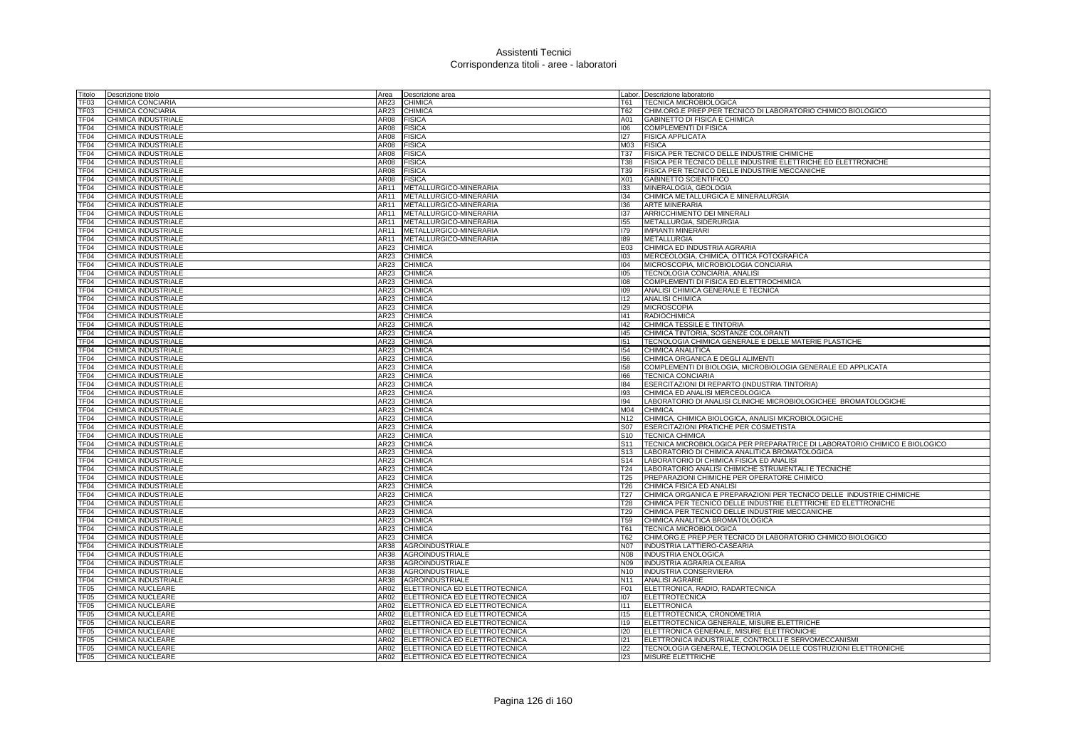| Fitolo                   | Descrizione titolo                         | Area         | Descrizione area              |                 | Labor. Descrizione laboratorio                                                   |
|--------------------------|--------------------------------------------|--------------|-------------------------------|-----------------|----------------------------------------------------------------------------------|
| TF03                     | CHIMICA CONCIARIA                          | AR23         | <b>CHIMICA</b>                | T61             | <b>TECNICA MICROBIOLOGICA</b>                                                    |
| TF03                     | CHIMICA CONCIARIA                          | AR23         | <b>CHIMICA</b>                | T62             | CHIM.ORG.E PREP.PER TECNICO DI LABORATORIO CHIMICO BIOLOGICO                     |
| TF04                     | CHIMICA INDUSTRIALE                        | AR08         | <b>FISICA</b>                 | A01             | GABINETTO DI FISICA E CHIMICA                                                    |
| TF04                     | CHIMICA INDUSTRIALE                        | AR08         | <b>FISICA</b>                 | 106             | COMPLEMENTI DI FISICA                                                            |
| TF04                     | CHIMICA INDUSTRIALE                        | AR08         | <b>FISICA</b>                 | 127             | <b>FISICA APPLICATA</b>                                                          |
| TF04                     | CHIMICA INDUSTRIALE                        | AR08         | <b>FISICA</b>                 | M03             | <b>FISICA</b>                                                                    |
| TF04                     | CHIMICA INDUSTRIALE                        | AR08         | <b>FISICA</b>                 | T37             | FISICA PER TECNICO DELLE INDUSTRIE CHIMICHE                                      |
| TF04                     | CHIMICA INDUSTRIALE                        | AR08         | <b>FISICA</b>                 | <b>T38</b>      | FISICA PER TECNICO DELLE INDUSTRIE ELETTRICHE ED ELETTRONICHE                    |
| TF <sub>04</sub>         | CHIMICA INDUSTRIALE                        | AR08         | FISICA                        | T39             | FISICA PER TECNICO DELLE INDUSTRIE MECCANICHE                                    |
| TF <sub>04</sub>         | <b>CHIMICA INDUSTRIALE</b>                 | AR08         | <b>FISICA</b>                 | X01             | <b>GABINETTO SCIENTIFICO</b>                                                     |
| TF <sub>04</sub>         | CHIMICA INDUSTRIALE                        | AR11         | METALLURGICO-MINERARIA        | 133             | MINERALOGIA, GEOLOGIA                                                            |
| TF04                     | CHIMICA INDUSTRIALE                        | AR11         | METALLURGICO-MINERARIA        | 134             | CHIMICA METALLURGICA E MINERALURGIA                                              |
| TF <sub>04</sub>         | CHIMICA INDUSTRIALE                        | <b>AR11</b>  | METALLURGICO-MINERARIA        | 136             | <b>ARTE MINERARIA</b>                                                            |
| TF <sub>04</sub>         | CHIMICA INDUSTRIALE                        | AR11         | METALLURGICO-MINERARIA        | 137             | ARRICCHIMENTO DEI MINERALI                                                       |
| TF <sub>04</sub>         | CHIMICA INDUSTRIALE                        | <b>AR11</b>  | METALLURGICO-MINERARIA        | 155             | METALLURGIA, SIDERURGIA                                                          |
| TF04                     | CHIMICA INDUSTRIALE                        | AR11         | METALLURGICO-MINERARIA        | 179             | <b>IMPIANTI MINERARI</b>                                                         |
| TF04                     | CHIMICA INDUSTRIALE                        | AR11         | METALLURGICO-MINERARIA        | 189             | <b>METALLURGIA</b>                                                               |
| TF04                     |                                            |              |                               |                 |                                                                                  |
|                          | CHIMICA INDUSTRIALE                        | AR23<br>AR23 | <b>CHIMICA</b>                | E03             | CHIMICA ED INDUSTRIA AGRARIA                                                     |
| TF04                     | CHIMICA INDUSTRIALE                        |              | CHIMICA                       | 103             | MERCEOLOGIA, CHIMICA, OTTICA FOTOGRAFICA                                         |
| TF04<br>TF <sub>04</sub> | CHIMICA INDUSTRIALE                        | AR23<br>AR23 | <b>CHIMICA</b>                | 104             | MICROSCOPIA, MICROBIOLOGIA CONCIARIA                                             |
|                          | CHIMICA INDUSTRIALE                        |              | <b>CHIMICA</b>                | 105             | TECNOLOGIA CONCIARIA, ANALISI                                                    |
| TF <sub>04</sub>         | CHIMICA INDUSTRIALE                        | AR23         | CHIMICA                       | 108             | COMPLEMENTI DI FISICA ED ELETTROCHIMICA                                          |
| TF04                     | CHIMICA INDUSTRIALE                        | AR23         | <b>CHIMICA</b>                | 109             | ANALISI CHIMICA GENERALE E TECNICA                                               |
| TF04                     | CHIMICA INDUSTRIALE                        | AR23         | CHIMICA                       | 112             | <b>ANALISI CHIMICA</b>                                                           |
| TF04                     | CHIMICA INDUSTRIALE                        | AR23         | <b>CHIMICA</b>                | 129             | <b>MICROSCOPIA</b>                                                               |
| TF <sub>04</sub>         | CHIMICA INDUSTRIALE                        | AR23         | CHIMICA                       | 141             | <b>RADIOCHIMICA</b>                                                              |
| TF <sub>04</sub>         | CHIMICA INDUSTRIALE                        | AR23         | CHIMICA                       | 142             | CHIMICA TESSILE E TINTORIA                                                       |
| TF <sub>04</sub>         | CHIMICA INDUSTRIALE                        | AR23         | CHIMICA                       | 145             | CHIMICA TINTORIA, SOSTANZE COLORANTI                                             |
| TF04                     | CHIMICA INDUSTRIALE                        | AR23         | <b>CHIMICA</b>                | 151             | TECNOLOGIA CHIMICA GENERALE E DELLE MATERIE PLASTICHE                            |
| TF <sub>04</sub>         | CHIMICA INDUSTRIALE                        | AR23         | <b>CHIMICA</b>                | 154             | CHIMICA ANALITICA                                                                |
| TF <sub>04</sub>         | CHIMICA INDUSTRIALE                        | AR23<br>AR23 | <b>CHIMICA</b>                | 156             | CHIMICA ORGANICA E DEGLI ALIMENTI                                                |
| TF04<br>TF <sub>04</sub> | CHIMICA INDUSTRIALE                        | AR23         | <b>CHIMICA</b>                | 158<br>166      | COMPLEMENTI DI BIOLOGIA, MICROBIOLOGIA GENERALE ED APPLICATA                     |
| TF04                     | CHIMICA INDUSTRIALE<br>CHIMICA INDUSTRIALE | AR23         | CHIMICA                       | 184             | <b>TECNICA CONCIARIA</b>                                                         |
| TF04                     | CHIMICA INDUSTRIALE                        |              | <b>CHIMICA</b><br>CHIMICA     | 193             | ESERCITAZIONI DI REPARTO (INDUSTRIA TINTORIA)<br>CHIMICA ED ANALISI MERCEOLOGICA |
| TF04                     | CHIMICA INDUSTRIALE                        | AR23<br>AR23 | <b>CHIMICA</b>                | 194             | LABORATORIO DI ANALISI CLINICHE MICROBIOLOGICHEE BROMATOLOGICHE                  |
| TF04                     | CHIMICA INDUSTRIALE                        | AR23         | CHIMICA                       | M04             | <b>CHIMICA</b>                                                                   |
| TF04                     | <b>CHIMICA INDUSTRIALE</b>                 | AR23         | <b>CHIMICA</b>                | N <sub>12</sub> | CHIMICA, CHIMICA BIOLOGICA, ANALISI MICROBIOLOGICHE                              |
| TF <sub>04</sub>         | CHIMICA INDUSTRIALE                        | AR23         | CHIMICA                       | S07             | ESERCITAZIONI PRATICHE PER COSMETISTA                                            |
| TF04                     | CHIMICA INDUSTRIALE                        | AR23         | <b>CHIMICA</b>                | S <sub>10</sub> | <b>TECNICA CHIMICA</b>                                                           |
| TF <sub>04</sub>         | CHIMICA INDUSTRIALE                        | AR23         | CHIMICA                       | S <sub>11</sub> | TECNICA MICROBIOLOGICA PER PREPARATRICE DI LABORATORIO CHIMICO E BIOLOGICO       |
| TF04                     | CHIMICA INDUSTRIALE                        | AR23         | <b>CHIMICA</b>                | S <sub>13</sub> | LABORATORIO DI CHIMICA ANALITICA BROMATOLOGICA                                   |
| TF <sub>04</sub>         | CHIMICA INDUSTRIALE                        | AR23         | <b>CHIMICA</b>                | S <sub>14</sub> | LABORATORIO DI CHIMICA FISICA ED ANALISI                                         |
| TF <sub>04</sub>         | CHIMICA INDUSTRIALE                        | AR23         | CHIMICA                       | T24             | LABORATORIO ANALISI CHIMICHE STRUMENTALI E TECNICHE                              |
| TF04                     | CHIMICA INDUSTRIALE                        | AR23         | CHIMICA                       | T <sub>25</sub> | PREPARAZIONI CHIMICHE PER OPERATORE CHIMICO                                      |
| TF04                     | CHIMICA INDUSTRIALE                        | AR23         | <b>CHIMICA</b>                | T <sub>26</sub> | CHIMICA FISICA ED ANALISI                                                        |
| TF04                     | CHIMICA INDUSTRIALE                        | AR23         | <b>CHIMICA</b>                | T <sub>27</sub> | CHIMICA ORGANICA E PREPARAZIONI PER TECNICO DELLE INDUSTRIE CHIMICHE             |
| TF <sub>04</sub>         | CHIMICA INDUSTRIALE                        | AR23         | CHIMICA                       | <b>T28</b>      | CHIMICA PER TECNICO DELLE INDUSTRIE ELETTRICHE ED ELETTRONICHE                   |
| TF <sub>04</sub>         | <b>CHIMICA INDUSTRIALE</b>                 | AR23         | CHIMICA                       | T29             | CHIMICA PER TECNICO DELLE INDUSTRIE MECCANICHE                                   |
| TF <sub>04</sub>         | CHIMICA INDUSTRIALE                        | AR23         | CHIMICA                       | <b>T59</b>      | CHIMICA ANALITICA BROMATOLOGICA                                                  |
| TF04                     | CHIMICA INDUSTRIALE                        | AR23         | CHIMICA                       | T61             | TECNICA MICROBIOLOGICA                                                           |
| TF04                     | CHIMICA INDUSTRIALE                        | AR23         | CHIMICA                       | T62             | CHIM.ORG.E PREP.PER TECNICO DI LABORATORIO CHIMICO BIOLOGICO                     |
| TF04                     | CHIMICA INDUSTRIALE                        | AR38         | <b>AGROINDUSTRIALE</b>        | <b>N07</b>      | INDUSTRIA LATTIERO-CASEARIA                                                      |
| TF <sub>04</sub>         | CHIMICA INDUSTRIALE                        | AR38         | <b>AGROINDUSTRIALE</b>        | <b>N08</b>      | <b>INDUSTRIA ENOLOGICA</b>                                                       |
| TF04                     | CHIMICA INDUSTRIALE                        | AR38         | <b>AGROINDUSTRIALE</b>        | N09             | <b>INDUSTRIA AGRARIA OLEARIA</b>                                                 |
| TF04                     | CHIMICA INDUSTRIALE                        | AR38         | <b>AGROINDUSTRIALE</b>        | N10             | INDUSTRIA CONSERVIERA                                                            |
| TF <sub>04</sub>         | <b>CHIMICA INDUSTRIALE</b>                 | AR38         | <b>AGROINDUSTRIALE</b>        | N <sub>11</sub> | <b>ANALISI AGRARIE</b>                                                           |
| <b>TF05</b>              | CHIMICA NUCLEARE                           | AR02         | ELETTRONICA ED ELETTROTECNICA | F01             | ELETTRONICA, RADIO, RADARTECNICA                                                 |
| TF05                     | CHIMICA NUCLEARE                           | AR02         | ELETTRONICA ED ELETTROTECNICA | 107             | <b>ELETTROTECNICA</b>                                                            |
| TF05                     | CHIMICA NUCLEARE                           | AR02         | ELETTRONICA ED ELETTROTECNICA | 1111            | <b>ELETTRONICA</b>                                                               |
| <b>TF05</b>              | CHIMICA NUCLEARE                           | AR02         | ELETTRONICA ED ELETTROTECNICA | 115             | ELETTROTECNICA, CRONOMETRIA                                                      |
| TF <sub>05</sub>         | CHIMICA NUCLEARE                           | AR02         | ELETTRONICA ED ELETTROTECNICA | 119             | ELETTROTECNICA GENERALE, MISURE ELETTRICHE                                       |
| TF <sub>05</sub>         | <b>CHIMICA NUCLEARE</b>                    | AR02         | ELETTRONICA ED ELETTROTECNICA | 120             | ELETTRONICA GENERALE, MISURE ELETTRONICHE                                        |
| TF <sub>05</sub>         | <b>CHIMICA NUCLEARE</b>                    | AR02         | ELETTRONICA ED ELETTROTECNICA | 121             | ELETTRONICA INDUSTRIALE, CONTROLLI E SERVOMECCANISMI                             |
| TF <sub>05</sub>         | <b>CHIMICA NUCLEARE</b>                    | AR02         | ELETTRONICA ED ELETTROTECNICA | 122             | TECNOLOGIA GENERALE, TECNOLOGIA DELLE COSTRUZIONI ELETTRONICHE                   |
| TF <sub>05</sub>         | <b>CHIMICA NUCLEARE</b>                    | AR02         | ELETTRONICA ED ELETTROTECNICA | 123             | MISURE ELETTRICHE                                                                |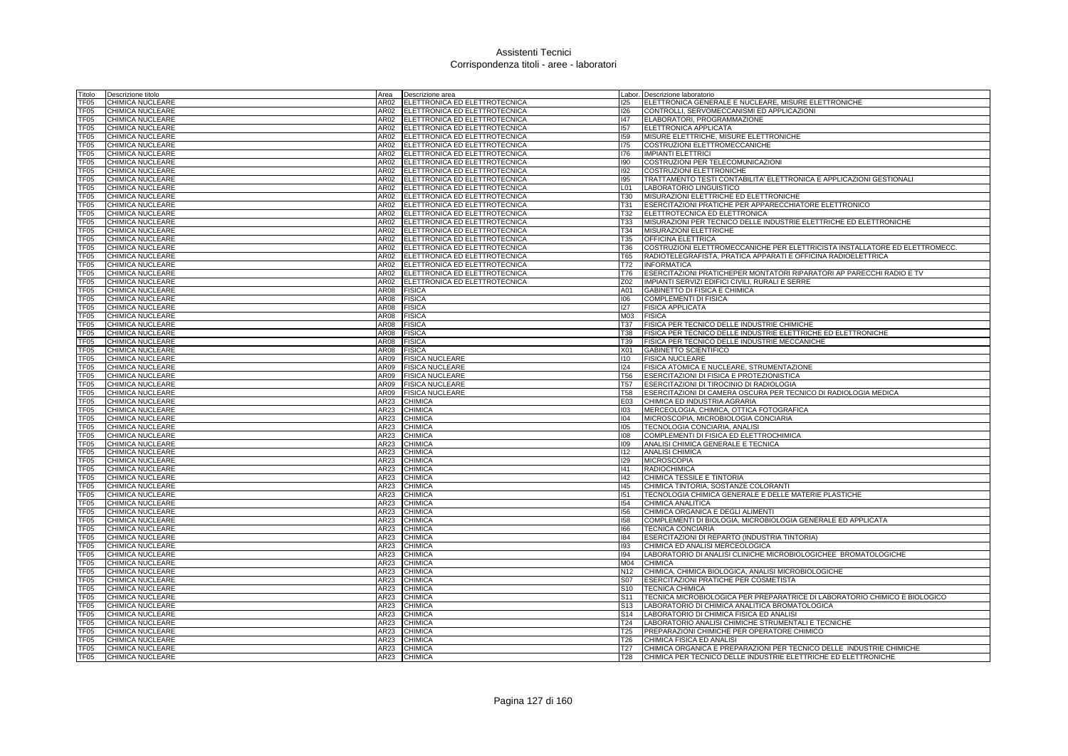| Titolo           | Descrizione titolo                          | Area        | Descrizione area                   |                 | Labor. Descrizione laboratorio                                              |
|------------------|---------------------------------------------|-------------|------------------------------------|-----------------|-----------------------------------------------------------------------------|
| TF05             | CHIMICA NUCLEARE                            | AR02        | ELETTRONICA ED ELETTROTECNICA      | 125             | ELETTRONICA GENERALE E NUCLEARE, MISURE ELETTRONICHE                        |
| TF05             | CHIMICA NUCLEARE                            | AR02        | ELETTRONICA ED ELETTROTECNICA      | 126             | CONTROLLI, SERVOMECCANISMI ED APPLICAZIONI                                  |
| TF05             | CHIMICA NUCLEARE                            | AR02        | ELETTRONICA ED ELETTROTECNICA      | 147             | ELABORATORI, PROGRAMMAZIONE                                                 |
| TF05             | CHIMICA NUCLEARE                            |             | AR02 ELETTRONICA ED ELETTROTECNICA | 157             | ELETTRONICA APPLICATA                                                       |
| TF <sub>05</sub> | CHIMICA NUCLEARE                            | AR02        | ELETTRONICA ED ELETTROTECNICA      | 159             | MISURE ELETTRICHE, MISURE ELETTRONICHE                                      |
| TF05             | CHIMICA NUCLEARE                            | AR02        | ELETTRONICA ED ELETTROTECNICA      | 175             | COSTRUZIONI ELETTROMECCANICHE                                               |
| TF05             | CHIMICA NUCLEARE                            | AR02        | ELETTRONICA ED ELETTROTECNICA      | 176             | <b>IMPIANTI ELETTRICI</b>                                                   |
| TF <sub>05</sub> | CHIMICA NUCLEARE                            | AR02        | ELETTRONICA ED ELETTROTECNICA      | 190             | COSTRUZIONI PER TELECOMUNICAZIONI                                           |
| TF05             | CHIMICA NUCLEARE                            | AR02        | ELETTRONICA ED ELETTROTECNICA      | 192             | <b>COSTRUZIONI ELETTRONICHE</b>                                             |
| TF05             | CHIMICA NUCLEARE                            | AR02        | ELETTRONICA ED ELETTROTECNICA      | 195             | TRATTAMENTO TESTI CONTABILITA' ELETTRONICA E APPLICAZIONI GESTIONALI        |
| TF <sub>05</sub> | CHIMICA NUCLEARE                            | AR02        | ELETTRONICA ED ELETTROTECNICA      | L01             | LABORATORIO LINGUISTICO                                                     |
| TF <sub>05</sub> | CHIMICA NUCLEARE                            | AR02        | ELETTRONICA ED ELETTROTECNICA      | T30             | MISURAZIONI ELETTRICHE ED ELETTRONICHE                                      |
| TF <sub>05</sub> | CHIMICA NUCLEARE                            | AR02        | ELETTRONICA ED ELETTROTECNICA      | T31             | ESERCITAZIONI PRATICHE PER APPARECCHIATORE ELETTRONICO                      |
| TF05             | CHIMICA NUCLEARE                            | AR02        | ELETTRONICA ED ELETTROTECNICA      | T32             | ELETTROTECNICA ED ELETTRONICA                                               |
| TF05             | CHIMICA NUCLEARE                            | AR02        | ELETTRONICA ED ELETTROTECNICA      | T33             | MISURAZIONI PER TECNICO DELLE INDUSTRIE ELETTRICHE ED ELETTRONICHE          |
| TF05             | CHIMICA NUCLEARE                            | AR02        | ELETTRONICA ED ELETTROTECNICA      | T34             | MISURAZIONI ELETTRICHE                                                      |
| TF05             | CHIMICA NUCLEARE                            | AR02        | ELETTRONICA ED ELETTROTECNICA      | T35             | OFFICINA ELETTRICA                                                          |
| TF05             | CHIMICA NUCLEARE                            | AR02        | ELETTRONICA ED ELETTROTECNICA      | T36             | COSTRUZIONI ELETTROMECCANICHE PER ELETTRICISTA INSTALLATORE ED ELETTROMECC. |
| TF <sub>05</sub> | CHIMICA NUCLEARE                            | AR02        | ELETTRONICA ED ELETTROTECNICA      | T65             | RADIOTELEGRAFISTA, PRATICA APPARATI E OFFICINA RADIOELETTRICA               |
| TF05             | <b>CHIMICA NUCLEARE</b>                     | AR02        | ELETTRONICA ED ELETTROTECNICA      | T72             | <b>INFORMATICA</b>                                                          |
| TF <sub>05</sub> | CHIMICA NUCLEARE                            | AR02        | ELETTRONICA ED ELETTROTECNICA      | T76             | ESERCITAZIONI PRATICHEPER MONTATORI RIPARATORI AP PARECCHI RADIO E TV       |
| TF <sub>05</sub> | CHIMICA NUCLEARE                            | AR02        | ELETTRONICA ED ELETTROTECNICA      | Z02             | IMPIANTI SERVIZI EDIFICI CIVILI, RURALI E SERRE                             |
| TF <sub>05</sub> | CHIMICA NUCLEARE                            | AR08        | <b>FISICA</b>                      | A01             | GABINETTO DI FISICA E CHIMICA                                               |
| TF05             | CHIMICA NUCLEARE                            | AR08        | <b>FISICA</b>                      | 106             | <b>COMPLEMENTI DI FISICA</b>                                                |
| TF <sub>05</sub> | CHIMICA NUCLEARE                            | AR08        | <b>FISICA</b>                      | 127             | <b>FISICA APPLICATA</b>                                                     |
| TF05             | <b>CHIMICA NUCLEARE</b>                     | AR08        | <b>FISICA</b>                      | M03             | <b>FISICA</b>                                                               |
| TF <sub>05</sub> | CHIMICA NUCLEARE                            | AR08        | <b>FISICA</b>                      | <b>T37</b>      | FISICA PER TECNICO DELLE INDUSTRIE CHIMICHE                                 |
| TF05             | CHIMICA NUCLEARE                            | AR08        | <b>FISICA</b>                      | <b>T38</b>      | FISICA PER TECNICO DELLE INDUSTRIE ELETTRICHE ED ELETTRONICHE               |
| TF <sub>05</sub> | CHIMICA NUCLEARE                            | AR08        | <b>FISICA</b>                      | T39             | FISICA PER TECNICO DELLE INDUSTRIE MECCANICHE                               |
| TF <sub>05</sub> | CHIMICA NUCLEARE                            | AR08        | <b>FISICA</b>                      | X01             | <b>GABINETTO SCIENTIFICO</b>                                                |
| TF <sub>05</sub> | CHIMICA NUCLEARE                            | AR09        | <b>FISICA NUCLEARE</b>             | 110             | <b>FISICA NUCLEARE</b>                                                      |
| TF <sub>05</sub> | CHIMICA NUCLEARE                            | AR09        | <b>FISICA NUCLEARE</b>             | 124             | FISICA ATOMICA E NUCLEARE, STRUMENTAZIONE                                   |
| TF05             | CHIMICA NUCLEARE                            | AR09        | <b>FISICA NUCLEARE</b>             | T <sub>56</sub> | ESERCITAZIONI DI FISICA E PROTEZIONISTICA                                   |
| TF05             | CHIMICA NUCLEARE                            | AR09        | <b>FISICA NUCLEARE</b>             | T57             | ESERCITAZIONI DI TIROCINIO DI RADIOLOGIA                                    |
| TF05             | CHIMICA NUCLEARE                            | AR09        | <b>FISICA NUCLEARE</b>             | <b>T58</b>      | ESERCITAZIONI DI CAMERA OSCURA PER TECNICO DI RADIOLOGIA MEDICA             |
| TF <sub>05</sub> | CHIMICA NUCLEARE                            | AR23        | <b>CHIMICA</b>                     | E03             | CHIMICA ED INDUSTRIA AGRARIA                                                |
| TF05             | CHIMICA NUCLEARE                            | AR23        | <b>CHIMICA</b>                     | 103             | MERCEOLOGIA, CHIMICA, OTTICA FOTOGRAFICA                                    |
| TF05             | CHIMICA NUCLEARE                            | AR23        | <b>CHIMICA</b>                     | 104             | MICROSCOPIA, MICROBIOLOGIA CONCIARIA                                        |
| TF <sub>05</sub> | CHIMICA NUCLEARE                            | AR23        | <b>CHIMICA</b>                     | 105             | TECNOLOGIA CONCIARIA, ANALISI                                               |
| TF <sub>05</sub> | CHIMICA NUCLEARE                            | <b>AR23</b> | <b>CHIMICA</b>                     | 108             | COMPLEMENTI DI FISICA ED ELETTROCHIMICA                                     |
| TF05             | CHIMICA NUCLEARE                            | AR23        | <b>CHIMICA</b>                     | 109             | ANALISI CHIMICA GENERALE E TECNICA                                          |
| TF05             | CHIMICA NUCLEARE                            | AR23        | <b>CHIMICA</b>                     | 112             | <b>ANALISI CHIMICA</b>                                                      |
| TF05             | <b>CHIMICA NUCLEARE</b>                     | AR23        | <b>CHIMICA</b>                     | 129             | <b>MICROSCOPIA</b>                                                          |
| TF05             | CHIMICA NUCLEARE                            | AR23        | <b>CHIMICA</b>                     | 41              | <b>RADIOCHIMICA</b>                                                         |
| TF <sub>05</sub> | CHIMICA NUCLEARE                            | AR23        | <b>CHIMICA</b>                     | 142             | CHIMICA TESSILE E TINTORIA                                                  |
| TF <sub>05</sub> | CHIMICA NUCLEARE                            | AR23        | <b>CHIMICA</b>                     | 145             | CHIMICA TINTORIA, SOSTANZE COLORANTI                                        |
| TF05             | CHIMICA NUCLEARE                            | AR23        | <b>CHIMICA</b>                     | 151             | TECNOLOGIA CHIMICA GENERALE E DELLE MATERIE PLASTICHE                       |
| TF <sub>05</sub> | <b>CHIMICA NUCLEARE</b>                     | AR23        | <b>CHIMICA</b>                     | 154             | CHIMICA ANALITICA                                                           |
| TF <sub>05</sub> | CHIMICA NUCLEARE                            | AR23        | <b>CHIMICA</b>                     | 156             | CHIMICA ORGANICA E DEGLI ALIMENTI                                           |
| TF05             | CHIMICA NUCLEARE                            | AR23        | <b>CHIMICA</b>                     | 158             | COMPLEMENTI DI BIOLOGIA, MICROBIOLOGIA GENERALE ED APPLICATA                |
| TF <sub>05</sub> | CHIMICA NUCLEARE                            | AR23        | <b>CHIMICA</b>                     | 166             | <b>TECNICA CONCIARIA</b>                                                    |
| TF <sub>05</sub> | <b>CHIMICA NUCLEARE</b>                     | AR23        | <b>CHIMICA</b>                     | 184             | ESERCITAZIONI DI REPARTO (INDUSTRIA TINTORIA)                               |
| TF <sub>05</sub> | CHIMICA NUCLEARE                            | AR23        | <b>CHIMICA</b>                     | 193             | CHIMICA ED ANALISI MERCEOLOGICA                                             |
| FF <sub>05</sub> | <b>CHIMICA NUCLEARE</b>                     | AR23        | <b>CHIMICA</b>                     | 194             | LABORATORIO DI ANALISI CLINICHE MICROBIOLOGICHEE BROMATOLOGICHE             |
| TF05             | <b>CHIMICA NUCLEARE</b>                     | <b>AR23</b> | <b>CHIMICA</b>                     | M <sub>04</sub> | <b>CHIMICA</b>                                                              |
| TF05             | CHIMICA NUCLEARE                            | AR23        | <b>CHIMICA</b>                     | N <sub>12</sub> | CHIMICA, CHIMICA BIOLOGICA, ANALISI MICROBIOLOGICHE                         |
| TF <sub>05</sub> | CHIMICA NUCLEARE                            | AR23        | <b>CHIMICA</b>                     | <b>S07</b>      | ESERCITAZIONI PRATICHE PER COSMETISTA                                       |
| TF05             | CHIMICA NUCLEARE                            | AR23        | <b>CHIMICA</b>                     | S <sub>10</sub> | <b>TECNICA CHIMICA</b>                                                      |
| TF05             |                                             | AR23        | <b>CHIMICA</b>                     | S <sub>11</sub> | TECNICA MICROBIOLOGICA PER PREPARATRICE DI LABORATORIO CHIMICO E BIOLOGICO  |
| TF05             | <b>CHIMICA NUCLEARE</b><br>CHIMICA NUCLEARE | AR23        | <b>CHIMICA</b>                     | S <sub>13</sub> | LABORATORIO DI CHIMICA ANALITICA BROMATOLOGICA                              |
|                  |                                             | <b>AR23</b> |                                    |                 |                                                                             |
| TF <sub>05</sub> | CHIMICA NUCLEARE                            |             | <b>CHIMICA</b>                     | S <sub>14</sub> | LABORATORIO DI CHIMICA FISICA ED ANALISI                                    |
| TF05             | CHIMICA NUCLEARE                            | AR23        | <b>CHIMICA</b>                     | T24             | LABORATORIO ANALISI CHIMICHE STRUMENTALI E TECNICHE                         |
| TF05             | CHIMICA NUCLEARE                            | AR23        | <b>CHIMICA</b>                     | T <sub>25</sub> | PREPARAZIONI CHIMICHE PER OPERATORE CHIMICO                                 |
| TF05             | CHIMICA NUCLEARE                            | AR23        | <b>CHIMICA</b>                     | T26             | CHIMICA FISICA ED ANALISI                                                   |
| TF <sub>05</sub> | <b>CHIMICA NUCLEARE</b>                     | AR23        | <b>CHIMICA</b>                     | T27             | CHIMICA ORGANICA E PREPARAZIONI PER TECNICO DELLE INDUSTRIE CHIMICHE        |
| TF05             | CHIMICA NUCLEARE                            | AR23        | <b>CHIMICA</b>                     | <b>T28</b>      | CHIMICA PER TECNICO DELLE INDUSTRIE ELETTRICHE ED ELETTRONICHE              |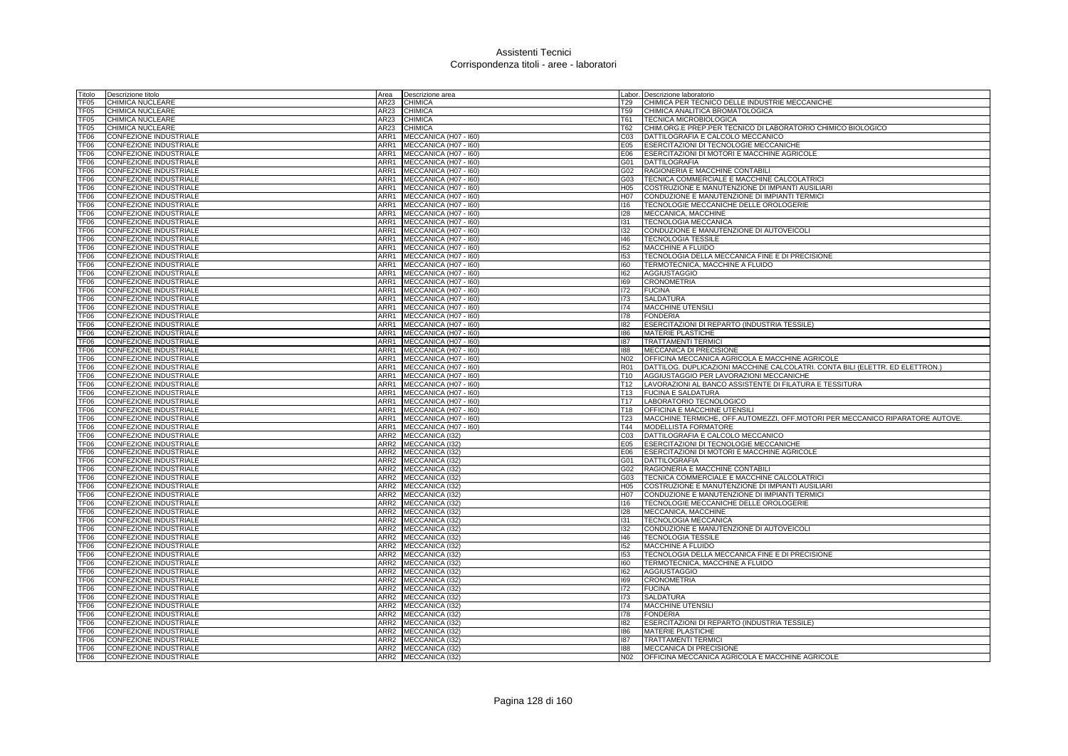| Titolo           | Descrizione titolo            | Area             | Descrizione area      |                 | Labor. Descrizione laboratorio                                                |
|------------------|-------------------------------|------------------|-----------------------|-----------------|-------------------------------------------------------------------------------|
| TF05             | CHIMICA NUCLEARE              | AR23             | <b>CHIMICA</b>        | T29             | CHIMICA PER TECNICO DELLE INDUSTRIE MECCANICHE                                |
| TF05             | CHIMICA NUCLEARE              | AR23             | <b>CHIMICA</b>        | T59             | CHIMICA ANALITICA BROMATOLOGICA                                               |
| TF05             | CHIMICA NUCLEARE              | AR23             | <b>CHIMICA</b>        | T61             | <b>TECNICA MICROBIOLOGICA</b>                                                 |
| TF05             | CHIMICA NUCLEARE              | AR23             | <b>CHIMICA</b>        | T62             | CHIM.ORG.E PREP.PER TECNICO DI LABORATORIO CHIMICO BIOLOGICO                  |
| TF06             | CONFEZIONE INDUSTRIALE        | ARR1             | MECCANICA (H07 - 160) | CO <sub>3</sub> | DATTILOGRAFIA E CALCOLO MECCANICO                                             |
| TF06             | CONFEZIONE INDUSTRIALE        | ARR1             | MECCANICA (H07 - I60) | E05             | ESERCITAZIONI DI TECNOLOGIE MECCANICHE                                        |
| TF06             | CONFEZIONE INDUSTRIALE        | ARR1             | MECCANICA (H07 - I60) | E06             | ESERCITAZIONI DI MOTORI E MACCHINE AGRICOLE                                   |
| TF06             | CONFEZIONE INDUSTRIALE        | ARR1             | MECCANICA (H07 - I60) | G01             | <b>DATTILOGRAFIA</b>                                                          |
| TF06             | CONFEZIONE INDUSTRIALE        | ARR1             | MECCANICA (H07 - 160) | G02             | RAGIONERIA E MACCHINE CONTABILI                                               |
| TF <sub>06</sub> | <b>CONFEZIONE INDUSTRIALE</b> | ARR1             | MECCANICA (H07 - I60) | G03             | TECNICA COMMERCIALE E MACCHINE CALCOLATRICI                                   |
| TF06             | CONFEZIONE INDUSTRIALE        | ARR1             | MECCANICA (H07 - I60) | H05             | COSTRUZIONE E MANUTENZIONE DI IMPIANTI AUSILIARI                              |
| TF <sub>06</sub> | <b>CONFEZIONE INDUSTRIALE</b> | ARR1             | MECCANICA (H07 - I60) | H07             | CONDUZIONE E MANUTENZIONE DI IMPIANTI TERMICI                                 |
| TF <sub>06</sub> | CONFEZIONE INDUSTRIALE        | ARR1             | MECCANICA (H07 - I60) | 116             | TECNOLOGIE MECCANICHE DELLE OROLOGERIE                                        |
| TF06             | CONFEZIONE INDUSTRIALE        | ARR1             | MECCANICA (H07 - I60) | 128             | MECCANICA, MACCHINE                                                           |
| TF06             | CONFEZIONE INDUSTRIALE        | ARR1             | MECCANICA (H07 - 160) | 131             | <b>TECNOLOGIA MECCANICA</b>                                                   |
| TF <sub>06</sub> | CONFEZIONE INDUSTRIALE        | ARR1             | MECCANICA (H07 - I60) | 132             | CONDUZIONE E MANUTENZIONE DI AUTOVEICOLI                                      |
| TF <sub>06</sub> | CONFEZIONE INDUSTRIALE        | ARR1             | MECCANICA (H07 - I60) | $ 46\rangle$    | <b>TECNOLOGIA TESSILE</b>                                                     |
| <b>TF06</b>      | CONFEZIONE INDUSTRIALE        | ARR1             | MECCANICA (H07 - I60) | 152             | MACCHINE A FLUIDO                                                             |
| TF06             | <b>CONFEZIONE INDUSTRIALE</b> | ARR1             | MECCANICA (H07 - I60) | 153             | TECNOLOGIA DELLA MECCANICA FINE E DI PRECISIONE                               |
| TF <sub>06</sub> | <b>CONFEZIONE INDUSTRIALE</b> | ARR1             | MECCANICA (H07 - I60) | 160             | <b>TERMOTECNICA, MACCHINE A FLUIDO</b>                                        |
| TF <sub>06</sub> | <b>CONFEZIONE INDUSTRIALE</b> | ARR1             | MECCANICA (H07 - 160) | 162             | <b>AGGIUSTAGGIO</b>                                                           |
| TF <sub>06</sub> | CONFEZIONE INDUSTRIALE        | ARR1             | MECCANICA (H07 - I60) | 169             | <b>CRONOMETRIA</b>                                                            |
| TF06             | CONFEZIONE INDUSTRIALE        | ARR1             | MECCANICA (H07 - 160) | 172             | <b>FUCINA</b>                                                                 |
| TF <sub>06</sub> | CONFEZIONE INDUSTRIALE        | ARR1             | MECCANICA (H07 - I60) | 173             | SALDATURA                                                                     |
| TF06             | <b>CONFEZIONE INDUSTRIALE</b> | ARR1             | MECCANICA (H07 - I60) | 174             | MACCHINE UTENSILI                                                             |
| TF06             | CONFEZIONE INDUSTRIALE        | ARR1             | MECCANICA (H07 - I60) | 178             | <b>FONDERIA</b>                                                               |
| TF06             | CONFEZIONE INDUSTRIALE        | ARR1             | MECCANICA (H07 - I60) | 182             | ESERCITAZIONI DI REPARTO (INDUSTRIA TESSILE)                                  |
| TF06             | CONFEZIONE INDUSTRIALE        | ARR1             | MECCANICA (H07 - I60) | 186             | <b>MATERIE PLASTICHE</b>                                                      |
| TF06             | CONFEZIONE INDUSTRIALE        | ARR1             | MECCANICA (H07 - I60) | 187             | <b>TRATTAMENTI TERMICI</b>                                                    |
| TF <sub>06</sub> | CONFEZIONE INDUSTRIALE        | ARR1             | MECCANICA (H07 - 160) | 188             | MECCANICA DI PRECISIONE                                                       |
| <b>TF06</b>      | CONFEZIONE INDUSTRIALE        | ARR1             | MECCANICA (H07 - I60) | N <sub>02</sub> | OFFICINA MECCANICA AGRICOLA E MACCHINE AGRICOLE                               |
| TF <sub>06</sub> | <b>CONFEZIONE INDUSTRIALE</b> | ARR1             | MECCANICA (H07 - 160) | R01             | DATTILOG. DUPLICAZIONI MACCHINE CALCOLATRI. CONTA BILI (ELETTR. ED ELETTRON.) |
| TF06             | CONFEZIONE INDUSTRIALE        | ARR1             | MECCANICA (H07 - I60) | T <sub>10</sub> | AGGIUSTAGGIO PER LAVORAZIONI MECCANICHE                                       |
| TF06             | CONFEZIONE INDUSTRIALE        | ARR1             | MECCANICA (H07 - I60) | T <sub>12</sub> | LAVORAZIONI AL BANCO ASSISTENTE DI FILATURA E TESSITURA                       |
| TF06             | CONFEZIONE INDUSTRIALE        | ARR1             | MECCANICA (H07 - 160) | T <sub>13</sub> | <b>FUCINA E SALDATURA</b>                                                     |
| TF <sub>06</sub> | CONFEZIONE INDUSTRIALE        | ARR1             | MECCANICA (H07 - I60) | T <sub>17</sub> | LABORATORIO TECNOLOGICO                                                       |
| TF06             | CONFEZIONE INDUSTRIALE        | ARR1             | MECCANICA (H07 - I60) | T18             | OFFICINA E MACCHINE UTENSILI                                                  |
| TF06             | CONFEZIONE INDUSTRIALE        | ARR1             | MECCANICA (H07 - I60) | T23             | MACCHINE TERMICHE, OFF.AUTOMEZZI, OFF.MOTORI PER MECCANICO RIPARATORE AUTOVE. |
| TF <sub>06</sub> | CONFEZIONE INDUSTRIALE        | ARR1             | MECCANICA (H07 - I60) | T44             | <b>MODELLISTA FORMATORE</b>                                                   |
| TF <sub>06</sub> | CONFEZIONE INDUSTRIALE        | ARR <sub>2</sub> | MECCANICA (I32)       | CO <sub>3</sub> | DATTILOGRAFIA E CALCOLO MECCANICO                                             |
| TF <sub>06</sub> | CONFEZIONE INDUSTRIALE        | ARR <sub>2</sub> | MECCANICA (I32)       | E05             | ESERCITAZIONI DI TECNOLOGIE MECCANICHE                                        |
| TF <sub>06</sub> | CONFEZIONE INDUSTRIALE        | ARR <sub>2</sub> | MECCANICA (I32)       | E06             | ESERCITAZIONI DI MOTORI E MACCHINE AGRICOLE                                   |
| TF <sub>06</sub> | <b>CONFEZIONE INDUSTRIALE</b> |                  | ARR2 MECCANICA (I32)  | G01             | <b>DATTILOGRAFIA</b>                                                          |
| TF06             | CONFEZIONE INDUSTRIALE        | ARR2             | MECCANICA (I32)       | G02             | RAGIONERIA E MACCHINE CONTABILI                                               |
| TF06             | CONFEZIONE INDUSTRIALE        |                  | ARR2 MECCANICA (I32)  | G03             | TECNICA COMMERCIALE E MACCHINE CALCOLATRICI                                   |
| TF06             | CONFEZIONE INDUSTRIALE        |                  | ARR2 MECCANICA (I32)  | H <sub>05</sub> | COSTRUZIONE E MANUTENZIONE DI IMPIANTI AUSILIARI                              |
| TF06             | CONFEZIONE INDUSTRIALE        |                  | ARR2 MECCANICA (I32)  |                 | H07 CONDUZIONE E MANUTENZIONE DI IMPIANTI TERMICI                             |
| TF06             | CONFEZIONE INDUSTRIALE        |                  | ARR2 MECCANICA (132)  | 116             | TECNOLOGIE MECCANICHE DELLE OROLOGERIE                                        |
| TF06             | CONFEZIONE INDUSTRIALE        |                  | ARR2 MECCANICA (I32)  | 128             | MECCANICA, MACCHINE                                                           |
| TF06             | CONFEZIONE INDUSTRIALE        |                  | ARR2 MECCANICA (I32)  | 131             | TECNOLOGIA MECCANICA                                                          |
| TF06             | CONFEZIONE INDUSTRIALE        |                  | ARR2 MECCANICA (I32)  | 132             | CONDUZIONE E MANUTENZIONE DI AUTOVEICOLI                                      |
| TF06             | CONFEZIONE INDUSTRIALE        | ARR2             | MECCANICA (132)       | 146             | <b>TECNOLOGIA TESSILE</b>                                                     |
| TF06             | CONFEZIONE INDUSTRIALE        |                  | ARR2 MECCANICA (I32)  | 152             | MACCHINE A FLUIDO                                                             |
| TF06             | <b>CONFEZIONE INDUSTRIALE</b> |                  | ARR2 MECCANICA (I32)  | 153             | TECNOLOGIA DELLA MECCANICA FINE E DI PRECISIONE                               |
| TF <sub>06</sub> | CONFEZIONE INDUSTRIALE        |                  | ARR2 MECCANICA (I32)  | 160             | TERMOTECNICA, MACCHINE A FLUIDO                                               |
| TF <sub>06</sub> | CONFEZIONE INDUSTRIALE        |                  | ARR2 MECCANICA (I32)  | 162             | <b>AGGIUSTAGGIO</b>                                                           |
| TF06             | CONFEZIONE INDUSTRIALE        | ARR <sub>2</sub> | MECCANICA (I32)       | 169             | <b>CRONOMETRIA</b>                                                            |
| TF06             | CONFEZIONE INDUSTRIALE        |                  | ARR2 MECCANICA (I32)  | 172             | <b>FUCINA</b>                                                                 |
| TF <sub>06</sub> | CONFEZIONE INDUSTRIALE        |                  | ARR2 MECCANICA (I32)  | 173             | <b>SALDATURA</b>                                                              |
| TF06             | CONFEZIONE INDUSTRIALE        |                  | ARR2 MECCANICA (I32)  | 174             | <b>MACCHINE UTENSILI</b>                                                      |
| TF06             | CONFEZIONE INDUSTRIALE        | ARR <sub>2</sub> | MECCANICA (I32)       | 178             | <b>FONDERIA</b>                                                               |
| TF06             | CONFEZIONE INDUSTRIALE        |                  | ARR2 MECCANICA (I32)  | 182             | ESERCITAZIONI DI REPARTO (INDUSTRIA TESSILE)                                  |
| FF <sub>06</sub> | <b>CONFEZIONE INDUSTRIALE</b> |                  | ARR2 MECCANICA (I32)  | 186             | <b>MATERIE PLASTICHE</b>                                                      |
| TF06             | CONFEZIONE INDUSTRIALE        |                  | ARR2 MECCANICA (I32)  | 187             | <b>TRATTAMENTI TERMICI</b>                                                    |
| TF <sub>06</sub> | <b>CONFEZIONE INDUSTRIALE</b> |                  | ARR2 MECCANICA (I32)  | 188             | MECCANICA DI PRECISIONE                                                       |
| TF06             | <b>CONFEZIONE INDUSTRIALE</b> |                  | ARR2 MECCANICA (I32)  | N <sub>02</sub> | OFFICINA MECCANICA AGRICOLA E MACCHINE AGRICOLE                               |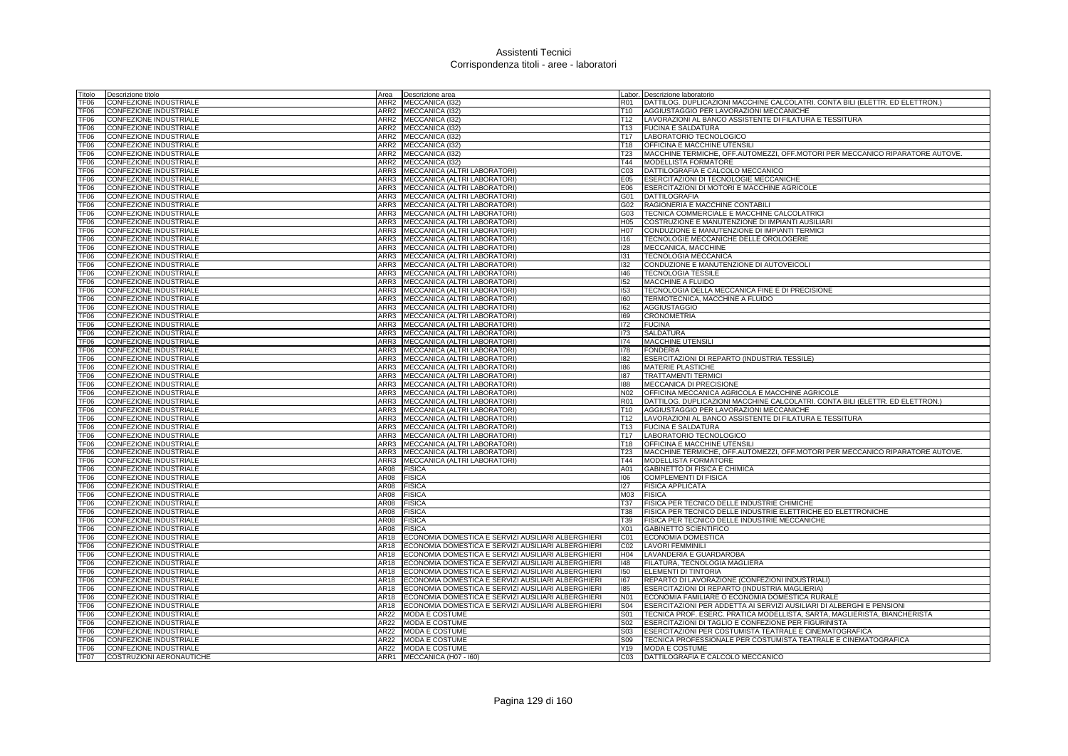| Titolo                   | Descrizione titolo            | Area             | Descrizione area                                   |                 | Labor. Descrizione laboratorio                                                        |
|--------------------------|-------------------------------|------------------|----------------------------------------------------|-----------------|---------------------------------------------------------------------------------------|
| TF06                     | CONFEZIONE INDUSTRIALE        | ARR <sub>2</sub> | MECCANICA (132)                                    | R01             | DATTILOG. DUPLICAZIONI MACCHINE CALCOLATRI. CONTA BILI (ELETTR. ED ELETTRON.)         |
| TF06                     | CONFEZIONE INDUSTRIALE        | ARR <sub>2</sub> | MECCANICA (I32)                                    | T <sub>10</sub> | AGGIUSTAGGIO PER LAVORAZIONI MECCANICHE                                               |
| TF06                     | CONFEZIONE INDUSTRIALE        | ARR2             | MECCANICA (132)                                    | T12             | LAVORAZIONI AL BANCO ASSISTENTE DI FILATURA E TESSITURA                               |
| TF06                     | CONFEZIONE INDUSTRIALE        | ARR <sub>2</sub> | MECCANICA (I32)                                    | T13             | <b>FUCINA E SALDATURA</b>                                                             |
| TF06                     | CONFEZIONE INDUSTRIALE        | ARR2             | MECCANICA (I32)                                    | T <sub>17</sub> | LABORATORIO TECNOLOGICO                                                               |
| TF06                     | CONFEZIONE INDUSTRIALE        | ARR <sub>2</sub> | MECCANICA (I32)                                    | T <sub>18</sub> | <b>OFFICINA E MACCHINE UTENSILI</b>                                                   |
| TF06                     | CONFEZIONE INDUSTRIALE        | ARR <sub>2</sub> | MECCANICA (I32)                                    | <b>T23</b>      | MACCHINE TERMICHE, OFF.AUTOMEZZI, OFF.MOTORI PER MECCANICO RIPARATORE AUTOVE.         |
| TF <sub>06</sub>         | CONFEZIONE INDUSTRIALE        | ARR <sub>2</sub> | MECCANICA (I32)                                    | T44             | MODELLISTA FORMATORE                                                                  |
| TF06                     | CONFEZIONE INDUSTRIALE        | ARR3             | MECCANICA (ALTRI LABORATORI)                       | C <sub>03</sub> | DATTILOGRAFIA E CALCOLO MECCANICO                                                     |
| TF06                     | CONFEZIONE INDUSTRIALE        | ARR3             | MECCANICA (ALTRI LABORATORI)                       | E05             | <b>ESERCITAZIONI DI TECNOLOGIE MECCANICHE</b>                                         |
| TF06                     | CONFEZIONE INDUSTRIALE        | ARR3             | MECCANICA (ALTRI LABORATORI)                       | E06             | ESERCITAZIONI DI MOTORI E MACCHINE AGRICOLE                                           |
| TF06                     | CONFEZIONE INDUSTRIALE        | ARR3             | MECCANICA (ALTRI LABORATORI)                       | G01             | <b>DATTILOGRAFIA</b>                                                                  |
|                          |                               | ARR3             |                                                    | G02             |                                                                                       |
| TF06                     | CONFEZIONE INDUSTRIALE        |                  | MECCANICA (ALTRI LABORATORI)                       |                 | RAGIONERIA E MACCHINE CONTABILI                                                       |
| TF <sub>06</sub>         | CONFEZIONE INDUSTRIALE        | ARR3             | MECCANICA (ALTRI LABORATORI)                       | G03             | TECNICA COMMERCIALE E MACCHINE CALCOLATRIC                                            |
| TF <sub>06</sub>         | CONFEZIONE INDUSTRIALE        | ARR3             | MECCANICA (ALTRI LABORATORI)                       | H <sub>05</sub> | COSTRUZIONE E MANUTENZIONE DI IMPIANTI AUSILIARI                                      |
| TF06                     | CONFEZIONE INDUSTRIALE        | ARR3             | MECCANICA (ALTRI LABORATORI)                       | H07             | CONDUZIONE E MANUTENZIONE DI IMPIANTI TERMICI                                         |
| TF <sub>06</sub>         | CONFEZIONE INDUSTRIALE        | ARR3             | MECCANICA (ALTRI LABORATORI)                       | 116             | TECNOLOGIE MECCANICHE DELLE OROLOGERIE                                                |
| TF <sub>06</sub>         | CONFEZIONE INDUSTRIALE        | ARR3             | MECCANICA (ALTRI LABORATORI)                       | 128             | MECCANICA, MACCHINE                                                                   |
| TF <sub>06</sub>         | CONFEZIONE INDUSTRIALE        | ARR3             | MECCANICA (ALTRI LABORATORI)                       | 131             | TECNOLOGIA MECCANICA                                                                  |
| TF <sub>06</sub>         | CONFEZIONE INDUSTRIALE        | ARR3             | MECCANICA (ALTRI LABORATORI)                       | 132             | CONDUZIONE E MANUTENZIONE DI AUTOVEICOLI                                              |
| FF <sub>06</sub>         | <b>CONFEZIONE INDUSTRIALE</b> | ARR3             | MECCANICA (ALTRI LABORATORI)                       | 146             | <b>TECNOLOGIA TESSILE</b>                                                             |
| TF06                     | <b>CONFEZIONE INDUSTRIALE</b> | ARR3             | MECCANICA (ALTRI LABORATORI)                       | 152             | MACCHINE A FLUIDO                                                                     |
| TF06                     | <b>CONFEZIONE INDUSTRIALE</b> | ARR3             | MECCANICA (ALTRI LABORATORI)                       | 153             | TECNOLOGIA DELLA MECCANICA FINE E DI PRECISIONE                                       |
| TF06                     | CONFEZIONE INDUSTRIALE        | ARR3             | MECCANICA (ALTRI LABORATORI)                       | 160             | TERMOTECNICA, MACCHINE A FLUIDO                                                       |
| TF06                     | CONFEZIONE INDUSTRIALE        | ARR3             | MECCANICA (ALTRI LABORATORI)                       | 162             | <b>AGGIUSTAGGIO</b>                                                                   |
| TF06                     | CONFEZIONE INDUSTRIALE        | ARR3             | MECCANICA (ALTRI LABORATORI)                       | 169             | <b>CRONOMETRIA</b>                                                                    |
| TF06                     | <b>CONFEZIONE INDUSTRIALE</b> | ARR3             | MECCANICA (ALTRI LABORATORI)                       | 172             | <b>FUCINA</b>                                                                         |
| TF06                     | CONFEZIONE INDUSTRIALE        | ARR3             | MECCANICA (ALTRI LABORATORI)                       | 173             | <b>SALDATURA</b>                                                                      |
| TF06                     | <b>CONFEZIONE INDUSTRIALE</b> | ARR3             | MECCANICA (ALTRI LABORATORI)                       | 174             | <b>MACCHINE UTENSILI</b>                                                              |
| TF06                     | CONFEZIONE INDUSTRIALE        | ARR3             | MECCANICA (ALTRI LABORATORI)                       | 178             | <b>FONDERIA</b>                                                                       |
| TF06                     | <b>CONFEZIONE INDUSTRIALE</b> | ARR3             | MECCANICA (ALTRI LABORATORI)                       | 182             | ESERCITAZIONI DI REPARTO (INDUSTRIA TESSILE)                                          |
| TF06                     | <b>CONFEZIONE INDUSTRIALE</b> | ARR3             | MECCANICA (ALTRI LABORATORI)                       | 186             | <b>MATERIE PLASTICHE</b>                                                              |
| TF06                     | CONFEZIONE INDUSTRIALE        | ARR3             | MECCANICA (ALTRI LABORATORI)                       | 187             | <b>TRATTAMENTI TERMICI</b>                                                            |
| TF <sub>06</sub>         | CONFEZIONE INDUSTRIALE        | ARR3             | MECCANICA (ALTRI LABORATORI)                       | 188             | MECCANICA DI PRECISIONE                                                               |
| TF06                     | CONFEZIONE INDUSTRIALE        | ARR3             | MECCANICA (ALTRI LABORATORI)                       | N02             | OFFICINA MECCANICA AGRICOLA E MACCHINE AGRICOLE                                       |
| TF06                     | CONFEZIONE INDUSTRIALE        | ARR3             | MECCANICA (ALTRI LABORATORI)                       | <b>R01</b>      | DATTILOG. DUPLICAZIONI MACCHINE CALCOLATRI. CONTA BILI (ELETTR. ED ELETTRON.)         |
| TF06                     | CONFEZIONE INDUSTRIALE        | ARR3             | MECCANICA (ALTRI LABORATORI)                       | T <sub>10</sub> | AGGIUSTAGGIO PER LAVORAZIONI MECCANICHE                                               |
| TF <sub>06</sub>         | <b>CONFEZIONE INDUSTRIALE</b> | ARR3             | MECCANICA (ALTRI LABORATORI)                       | T <sub>12</sub> | LAVORAZIONI AL BANCO ASSISTENTE DI FILATURA E TESSITURA                               |
| TF <sub>06</sub>         | CONFEZIONE INDUSTRIALE        | ARR3             | MECCANICA (ALTRI LABORATORI)                       | T <sub>13</sub> | <b>FUCINA E SALDATURA</b>                                                             |
| TF <sub>06</sub>         | <b>CONFEZIONE INDUSTRIALE</b> | ARR3             | MECCANICA (ALTRI LABORATORI)                       | T <sub>17</sub> | LABORATORIO TECNOLOGICO                                                               |
| TF06                     | CONFEZIONE INDUSTRIALE        | ARR3             | MECCANICA (ALTRI LABORATORI)                       | T <sub>18</sub> | OFFICINA E MACCHINE UTENSILI                                                          |
| TF <sub>06</sub>         | <b>CONFEZIONE INDUSTRIALE</b> | ARR3             | MECCANICA (ALTRI LABORATORI)                       | T <sub>23</sub> | <b>IMACCHINE TERMICHE, OFF.AUTOMEZZI, OFF.MOTORI PER MECCANICO RIPARATORE AUTOVE.</b> |
| TF <sub>06</sub>         | <b>CONFEZIONE INDUSTRIALE</b> | ARR3             | MECCANICA (ALTRI LABORATORI)                       | T44             | MODELLISTA FORMATORE                                                                  |
| TF <sub>06</sub>         | CONFEZIONE INDUSTRIALE        | AR08             | <b>FISICA</b>                                      | A01             | GABINETTO DI FISICA E CHIMICA                                                         |
| TF06                     | <b>CONFEZIONE INDUSTRIALE</b> | AR08             | <b>FISICA</b>                                      | 106             | <b>COMPLEMENTI DI FISICA</b>                                                          |
| TF <sub>06</sub>         | CONFEZIONE INDUSTRIALE        | AR08             | <b>FISICA</b>                                      | 127             | <b>FISICA APPLICATA</b>                                                               |
| TF06                     | CONFEZIONE INDUSTRIALE        | AR08             |                                                    | M03             | <b>FISICA</b>                                                                         |
| TF06                     | CONFEZIONE INDUSTRIALE        | AR08             | FISICA<br><b>FISICA</b>                            | <b>T37</b>      | FISICA PER TECNICO DELLE INDUSTRIE CHIMICHE                                           |
| TF06                     | CONFEZIONE INDUSTRIALE        | AR08             | <b>FISICA</b>                                      | <b>T38</b>      | FISICA PER TECNICO DELLE INDUSTRIE ELETTRICHE ED ELETTRONICHE                         |
|                          |                               |                  |                                                    |                 |                                                                                       |
| TF06<br>TF <sub>06</sub> | CONFEZIONE INDUSTRIALE        | AR08<br>AR08     | <b>FISICA</b>                                      | T39<br>X01      | FISICA PER TECNICO DELLE INDUSTRIE MECCANICHE                                         |
|                          | CONFEZIONE INDUSTRIALE        |                  | <b>FISICA</b>                                      |                 | <b>GABINETTO SCIENTIFICO</b>                                                          |
| TF06                     | CONFEZIONE INDUSTRIALE        | AR18             | ECONOMIA DOMESTICA E SERVIZI AUSILIARI ALBERGHIERI | C01             | <b>ECONOMIA DOMESTICA</b>                                                             |
| TF <sub>06</sub>         | CONFEZIONE INDUSTRIALE        | AR18             | ECONOMIA DOMESTICA E SERVIZI AUSILIARI ALBERGHIERI | CO <sub>2</sub> | <b>LAVORI FEMMINILI</b>                                                               |
| TF06                     | <b>CONFEZIONE INDUSTRIALE</b> | AR <sub>18</sub> | ECONOMIA DOMESTICA E SERVIZI AUSILIARI ALBERGHIERI | H <sub>04</sub> | LAVANDERIA E GUARDAROBA                                                               |
| TF06                     | CONFEZIONE INDUSTRIALE        | AR18             | ECONOMIA DOMESTICA E SERVIZI AUSILIARI ALBERGHIERI | 148             | FILATURA, TECNOLOGIA MAGLIERA                                                         |
| TF06                     | CONFEZIONE INDUSTRIALE        | AR18             | ECONOMIA DOMESTICA E SERVIZI AUSILIARI ALBERGHIERI | 150             | ELEMENTI DI TINTORIA                                                                  |
| TF06                     | CONFEZIONE INDUSTRIALE        | AR18             | ECONOMIA DOMESTICA E SERVIZI AUSILIARI ALBERGHIERI | 167             | REPARTO DI LAVORAZIONE (CONFEZIONI INDUSTRIALI)                                       |
| TF <sub>06</sub>         | CONFEZIONE INDUSTRIALE        | AR18             | ECONOMIA DOMESTICA E SERVIZI AUSILIARI ALBERGHIERI | 185             | ESERCITAZIONI DI REPARTO (INDUSTRIA MAGLIERIA)                                        |
| TF06                     | CONFEZIONE INDUSTRIALE        | AR18             | ECONOMIA DOMESTICA E SERVIZI AUSILIARI ALBERGHIERI | N01             | ECONOMIA FAMILIARE O ECONOMIA DOMESTICA RURALE                                        |
| TF06                     | CONFEZIONE INDUSTRIALE        | AR18             | ECONOMIA DOMESTICA E SERVIZI AUSILIARI ALBERGHIERI | S04             | ESERCITAZIONI PER ADDETTA AI SERVIZI AUSILIARI DI ALBERGHI E PENSIONI                 |
| TF <sub>06</sub>         | CONFEZIONE INDUSTRIALE        | AR22             | MODA E COSTUME                                     | S01             | TECNICA PROF. ESERC. PRATICA MODELLISTA, SARTA, MAGLIERISTA, BIANCHERISTA             |
| TF <sub>06</sub>         | CONFEZIONE INDUSTRIALE        | AR22             | MODA E COSTUME                                     | S02             | ESERCITAZIONI DI TAGLIO E CONFEZIONE PER FIGURINISTA                                  |
| TF <sub>06</sub>         | CONFEZIONE INDUSTRIALE        | AR22             | MODA E COSTUME                                     | S <sub>03</sub> | ESERCITAZIONI PER COSTUMISTA TEATRALE E CINEMATOGRAFICA                               |
| TF <sub>06</sub>         | CONFEZIONE INDUSTRIALE        | AR22             | <b>MODA E COSTUME</b>                              | S <sub>09</sub> | TECNICA PROFESSIONALE PER COSTUMISTA TEATRALE E CINEMATOGRAFICA                       |
| TF <sub>06</sub>         | <b>CONFEZIONE INDUSTRIALE</b> |                  | AR22 MODA E COSTUME                                | Y19             | MODA E COSTUME                                                                        |
| TF07                     | COSTRUZIONI AERONAUTICHE      |                  | ARR1 MECCANICA (H07 - 160)                         | CO <sub>3</sub> | DATTILOGRAFIA E CALCOLO MECCANICO                                                     |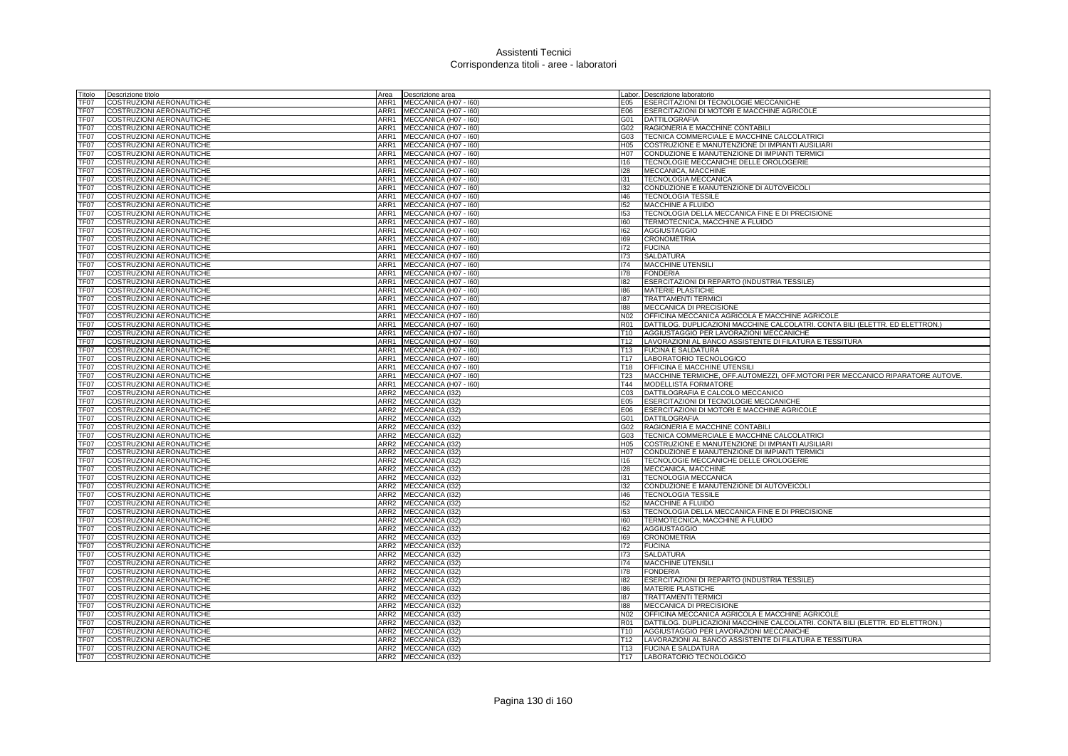| Titolo           | Descrizione titolo                                          | Area             | Descrizione area      |                 | Labor. Descrizione laboratorio                                                |
|------------------|-------------------------------------------------------------|------------------|-----------------------|-----------------|-------------------------------------------------------------------------------|
| TF07             | COSTRUZIONI AERONAUTICHE                                    | ARR1             | MECCANICA (H07 - I60) | E05             | ESERCITAZIONI DI TECNOLOGIE MECCANICHE                                        |
| TF07             | COSTRUZIONI AERONAUTICHE                                    | ARR1             | MECCANICA (H07 - I60) | E06             | ESERCITAZIONI DI MOTORI E MACCHINE AGRICOLE                                   |
| TF07             | COSTRUZIONI AERONAUTICHE                                    | ARR1             | MECCANICA (H07 - I60) | G01             | <b>DATTILOGRAFIA</b>                                                          |
| TF07             | COSTRUZIONI AERONAUTICHE                                    | ARR1             | MECCANICA (H07 - I60) | G02             | RAGIONERIA E MACCHINE CONTABILI                                               |
| TF07             | COSTRUZIONI AERONAUTICHE                                    | ARR1             | MECCANICA (H07 - 160) | G03             | TECNICA COMMERCIALE E MACCHINE CALCOLATRICI                                   |
| TF07             | COSTRUZIONI AERONAUTICHE                                    | ARR1             | MECCANICA (H07 - I60) | H05             | COSTRUZIONE E MANUTENZIONE DI IMPIANTI AUSILIARI                              |
| TF07             | COSTRUZIONI AERONAUTICHE                                    | ARR1             | MECCANICA (H07 - I60) | H07             | CONDUZIONE E MANUTENZIONE DI IMPIANTI TERMICI                                 |
| TF07             | COSTRUZIONI AERONAUTICHE                                    | ARR1             | MECCANICA (H07 - I60) | 116             | TECNOLOGIE MECCANICHE DELLE OROLOGERIE                                        |
| TF07             | COSTRUZIONI AERONAUTICHE                                    | ARR1             | MECCANICA (H07 - 160) | 128             | MECCANICA, MACCHINE                                                           |
| TF07             | COSTRUZIONI AERONAUTICHE                                    | ARR1             | MECCANICA (H07 - 160) | 131             | <b>TECNOLOGIA MECCANICA</b>                                                   |
| TF07             | COSTRUZIONI AERONAUTICHE                                    | ARR1             | MECCANICA (H07 - I60) | 132             | CONDUZIONE E MANUTENZIONE DI AUTOVEICOLI                                      |
| TF07             | COSTRUZIONI AERONAUTICHE                                    | ARR1             | MECCANICA (H07 - I60) | 146             | <b>TECNOLOGIA TESSILE</b>                                                     |
| TF <sub>07</sub> | COSTRUZIONI AERONAUTICHE                                    | ARR1             | MECCANICA (H07 - I60) | 152             | <b>MACCHINE A FLUIDO</b>                                                      |
| TF07             | <b>COSTRUZIONI AERONAUTICHE</b>                             | ARR1             | MECCANICA (H07 - I60) | 153             | TECNOLOGIA DELLA MECCANICA FINE E DI PRECISIONE                               |
| TF07             | COSTRUZIONI AERONAUTICHE                                    | ARR1             | MECCANICA (H07 - I60) | 160             | TERMOTECNICA, MACCHINE A FLUIDO                                               |
| TF <sub>07</sub> | COSTRUZIONI AERONAUTICHE                                    | ARR1             | MECCANICA (H07 - I60) | 162             | AGGIUSTAGGIO                                                                  |
| TF07             | COSTRUZIONI AERONAUTICHE                                    | ARR1             | MECCANICA (H07 - I60) | 169             | <b>CRONOMETRIA</b>                                                            |
| TF07             |                                                             | ARR1             |                       | 172             | <b>FUCINA</b>                                                                 |
|                  | COSTRUZIONI AERONAUTICHE                                    | ARR1             | MECCANICA (H07 - I60) | <b>I73</b>      |                                                                               |
| TF07             | COSTRUZIONI AERONAUTICHE                                    |                  | MECCANICA (H07 - I60) |                 | SALDATURA                                                                     |
| TF07<br>TF07     | COSTRUZIONI AERONAUTICHE<br><b>COSTRUZIONI AERONAUTICHE</b> | ARR1<br>ARR1     | MECCANICA (H07 - I60) | 174<br>178      | <b>MACCHINE UTENSILI</b><br><b>FONDERIA</b>                                   |
|                  |                                                             |                  | MECCANICA (H07 - I60) |                 |                                                                               |
| TF07             | COSTRUZIONI AERONAUTICHE                                    | ARR1             | MECCANICA (H07 - I60) | 182             | ESERCITAZIONI DI REPARTO (INDUSTRIA TESSILE)                                  |
| TF07             | COSTRUZIONI AERONAUTICHE                                    | ARR1             | MECCANICA (H07 - I60) | 186             | <b>MATERIE PLASTICHE</b>                                                      |
| TF07             | COSTRUZIONI AERONAUTICHE                                    | ARR1             | MECCANICA (H07 - I60) | 187             | <b>TRATTAMENTI TERMICI</b>                                                    |
| TF07             | COSTRUZIONI AERONAUTICHE                                    | ARR1             | MECCANICA (H07 - 160) | 188             | MECCANICA DI PRECISIONE                                                       |
| TF07             | COSTRUZIONI AERONAUTICHE                                    | ARR1             | MECCANICA (H07 - I60) | N02             | OFFICINA MECCANICA AGRICOLA E MACCHINE AGRICOLE                               |
| TF07             | COSTRUZIONI AERONAUTICHE                                    | ARR1             | MECCANICA (H07 - I60) | <b>R01</b>      | DATTILOG. DUPLICAZIONI MACCHINE CALCOLATRI. CONTA BILI (ELETTR. ED ELETTRON.) |
| TF07             | COSTRUZIONI AERONAUTICHE                                    | ARR1             | MECCANICA (H07 - I60) | T10             | AGGIUSTAGGIO PER LAVORAZIONI MECCANICHE                                       |
| TF07             | COSTRUZIONI AERONAUTICHE                                    | ARR1             | MECCANICA (H07 - I60) | T12             | LAVORAZIONI AL BANCO ASSISTENTE DI FILATURA E TESSITURA                       |
| TF <sub>07</sub> | COSTRUZIONI AERONAUTICHE                                    | ARR1             | MECCANICA (H07 - I60) | T13             | <b>FUCINA E SALDATURA</b>                                                     |
| TF <sub>07</sub> | <b>COSTRUZIONI AERONAUTICHE</b>                             | ARR1             | MECCANICA (H07 - I60) | T <sub>17</sub> | LABORATORIO TECNOLOGICO                                                       |
| TF07             | COSTRUZIONI AERONAUTICHE                                    | ARR1             | MECCANICA (H07 - 160) | <b>T18</b>      | <b>OFFICINA E MACCHINE UTENSILI</b>                                           |
| TF07             | COSTRUZIONI AERONAUTICHE                                    | ARR1             | MECCANICA (H07 - I60) | T <sub>23</sub> | MACCHINE TERMICHE, OFF.AUTOMEZZI, OFF.MOTORI PER MECCANICO RIPARATORE AUTOVE. |
| TF <sub>07</sub> | <b>COSTRUZIONI AERONAUTICHE</b>                             | ARR1             | MECCANICA (H07 - I60) | T44             | MODELLISTA FORMATORE                                                          |
| TF07             | <b>COSTRUZIONI AERONAUTICHE</b>                             | ARR2             | MECCANICA (I32)       | C <sub>03</sub> | DATTILOGRAFIA E CALCOLO MECCANICO                                             |
| TF07             | COSTRUZIONI AERONAUTICHE                                    | ARR <sub>2</sub> | MECCANICA (I32)       | E05             | ESERCITAZIONI DI TECNOLOGIE MECCANICHE                                        |
| TF07             | COSTRUZIONI AERONAUTICHE                                    |                  | ARR2 MECCANICA (I32)  | E06             | ESERCITAZIONI DI MOTORI E MACCHINE AGRICOLE                                   |
| TF07             | COSTRUZIONI AERONAUTICHE                                    |                  | ARR2 MECCANICA (I32)  | G01             | <b>DATTILOGRAFIA</b>                                                          |
| TF <sub>07</sub> | COSTRUZIONI AERONAUTICHE                                    |                  | ARR2 MECCANICA (I32)  | G02             | RAGIONERIA E MACCHINE CONTABILI                                               |
| TF07             | COSTRUZIONI AERONAUTICHE                                    | ARR <sub>2</sub> | MECCANICA (I32)       | G03             | TECNICA COMMERCIALE E MACCHINE CALCOLATRICI                                   |
| TF07             | COSTRUZIONI AERONAUTICHE                                    |                  | ARR2 MECCANICA (I32)  | H05             | COSTRUZIONE E MANUTENZIONE DI IMPIANTI AUSILIARI                              |
| TF07             | COSTRUZIONI AERONAUTICHE                                    |                  | ARR2 MECCANICA (I32)  | H07             | CONDUZIONE E MANUTENZIONE DI IMPIANTI TERMICI                                 |
| TF07             | COSTRUZIONI AERONAUTICHE                                    |                  | ARR2 MECCANICA (I32)  | 116             | TECNOLOGIE MECCANICHE DELLE OROLOGERIE                                        |
| TF07             | COSTRUZIONI AERONAUTICHE                                    | ARR2             | MECCANICA (132)       | 128             | MECCANICA, MACCHINE                                                           |
| TF07             | COSTRUZIONI AERONAUTICHE                                    | ARR <sub>2</sub> | MECCANICA (I32)       | 131             | <b>TECNOLOGIA MECCANICA</b>                                                   |
| TF07             | COSTRUZIONI AERONAUTICHE                                    |                  | ARR2 MECCANICA (I32)  | 132             | CONDUZIONE E MANUTENZIONE DI AUTOVEICOLI                                      |
| TF07             | COSTRUZIONI AERONAUTICHE                                    |                  | ARR2 MECCANICA (I32)  | 146             | <b>TECNOLOGIA TESSILE</b>                                                     |
| TF07             | COSTRUZIONI AERONAUTICHE                                    | ARR2             | MECCANICA (I32)       | 152             | <b>MACCHINE A FLUIDO</b>                                                      |
| TF07             | COSTRUZIONI AERONAUTICHE                                    | ARR2             | MECCANICA (I32)       | 153             | TECNOLOGIA DELLA MECCANICA FINE E DI PRECISIONE                               |
| TF07             | COSTRUZIONI AERONAUTICHE                                    |                  | ARR2 MECCANICA (I32)  | 160             | TERMOTECNICA, MACCHINE A FLUIDO                                               |
| TF07             | COSTRUZIONI AERONAUTICHE                                    |                  | ARR2 MECCANICA (I32)  | 162             | <b>AGGIUSTAGGIO</b>                                                           |
| TF07             | <b>COSTRUZIONI AERONAUTICHE</b>                             |                  | ARR2 MECCANICA (I32)  | 169             | <b>CRONOMETRIA</b>                                                            |
| TF07             | COSTRUZIONI AERONAUTICHE                                    | ARR <sub>2</sub> | MECCANICA (I32)       | 172             | <b>FUCINA</b>                                                                 |
| TF07             | COSTRUZIONI AERONAUTICHE                                    |                  | ARR2 MECCANICA (I32)  | 173             | <b>SALDATURA</b>                                                              |
| TF07             | COSTRUZIONI AERONAUTICHE                                    |                  | ARR2 MECCANICA (I32)  | 174             | <b>MACCHINE UTENSILI</b>                                                      |
| TF07             | COSTRUZIONI AERONAUTICHE                                    |                  | ARR2 MECCANICA (I32)  | 178             | <b>FONDERIA</b>                                                               |
| TF07             | COSTRUZIONI AERONAUTICHE                                    | ARR2             | MECCANICA (132)       | 182             | ESERCITAZIONI DI REPARTO (INDUSTRIA TESSILE)                                  |
| TF07             | COSTRUZIONI AERONAUTICHE                                    |                  | ARR2 MECCANICA (I32)  | 186             | <b>MATERIE PLASTICHE</b>                                                      |
| TF07             | COSTRUZIONI AERONAUTICHE                                    |                  |                       | 187             | <b>TRATTAMENTI TERMICI</b>                                                    |
| TF07             | COSTRUZIONI AERONAUTICHE                                    |                  | ARR2 MECCANICA (I32)  | 188             | MECCANICA DI PRECISIONE                                                       |
|                  |                                                             |                  | ARR2 MECCANICA (I32)  |                 |                                                                               |
| TF07             | COSTRUZIONI AERONAUTICHE                                    | ARR2             | MECCANICA (132)       | N <sub>02</sub> | OFFICINA MECCANICA AGRICOLA E MACCHINE AGRICOLE                               |
| TF <sub>07</sub> | COSTRUZIONI AERONAUTICHE                                    | ARR <sub>2</sub> | MECCANICA (I32)       | R <sub>01</sub> | DATTILOG. DUPLICAZIONI MACCHINE CALCOLATRI. CONTA BILI (ELETTR. ED ELETTRON.) |
| TF <sub>07</sub> | COSTRUZIONI AERONAUTICHE                                    |                  | ARR2 MECCANICA (I32)  | T10             | AGGIUSTAGGIO PER LAVORAZIONI MECCANICHE                                       |
| TF <sub>07</sub> | COSTRUZIONI AERONAUTICHE                                    |                  | ARR2 MECCANICA (I32)  | T <sub>12</sub> | LAVORAZIONI AL BANCO ASSISTENTE DI FILATURA E TESSITURA                       |
| TF07             | COSTRUZIONI AERONAUTICHE                                    |                  | ARR2 MECCANICA (I32)  | T13             | <b>FUCINA E SALDATURA</b>                                                     |
| TF07             | COSTRUZIONI AERONAUTICHE                                    |                  | ARR2 MECCANICA (I32)  |                 | T17 LABORATORIO TECNOLOGICO                                                   |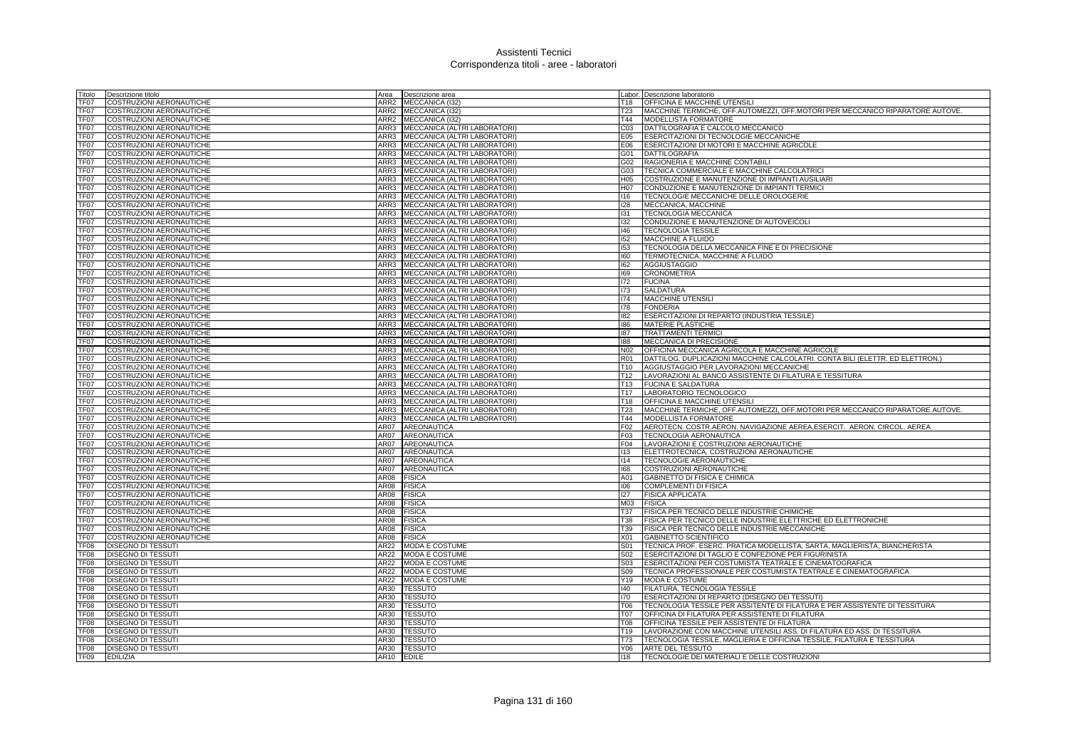| Titolo           | Descrizione titolo                                          | Area         | Descrizione area                                             |                 | Labor. Descrizione laboratorio                                                                                                    |
|------------------|-------------------------------------------------------------|--------------|--------------------------------------------------------------|-----------------|-----------------------------------------------------------------------------------------------------------------------------------|
| TF07             | COSTRUZIONI AERONAUTICHE                                    | ARR2         | MECCANICA (I32)                                              | T18             | OFFICINA E MACCHINE UTENSILI                                                                                                      |
| TF07             | COSTRUZIONI AERONAUTICHE                                    |              | ARR2 MECCANICA (I32)                                         | <b>T23</b>      | MACCHINE TERMICHE, OFF.AUTOMEZZI, OFF.MOTORI PER MECCANICO RIPARATORE AUTOVE.                                                     |
| TF07             | COSTRUZIONI AERONAUTICHE                                    |              | ARR2 MECCANICA (I32)                                         | T44             | MODELLISTA FORMATORE                                                                                                              |
| TF07             | COSTRUZIONI AERONAUTICHE                                    | ARR3         | MECCANICA (ALTRI LABORATORI)                                 | C <sub>03</sub> | DATTILOGRAFIA E CALCOLO MECCANICO                                                                                                 |
| TF07             | COSTRUZIONI AERONAUTICHE                                    | ARR3         | MECCANICA (ALTRI LABORATORI)                                 | E05             | ESERCITAZIONI DI TECNOLOGIE MECCANICHE                                                                                            |
| TF07             | COSTRUZIONI AERONAUTICHE                                    | ARR3         | MECCANICA (ALTRI LABORATORI)                                 | E06             | ESERCITAZIONI DI MOTORI E MACCHINE AGRICOLE                                                                                       |
| TF07             | COSTRUZIONI AERONAUTICHE                                    | ARR3         | MECCANICA (ALTRI LABORATORI)                                 | G01             | <b>DATTILOGRAFIA</b>                                                                                                              |
| TF07             | COSTRUZIONI AERONAUTICHE                                    | ARR3         | MECCANICA (ALTRI LABORATORI)                                 | G02             | RAGIONERIA E MACCHINE CONTABILI                                                                                                   |
| TF07             | COSTRUZIONI AERONAUTICHE                                    | ARR3         | MECCANICA (ALTRI LABORATORI)                                 | G03             | TECNICA COMMERCIALE E MACCHINE CALCOLATRICI                                                                                       |
| TF <sub>07</sub> | COSTRUZIONI AERONAUTICHE                                    | ARR3         | MECCANICA (ALTRI LABORATORI)                                 | H <sub>05</sub> | COSTRUZIONE E MANUTENZIONE DI IMPIANTI AUSILIARI                                                                                  |
| TF07             | COSTRUZIONI AERONAUTICHE                                    | ARR3         | MECCANICA (ALTRI LABORATORI)                                 | H07             | CONDUZIONE E MANUTENZIONE DI IMPIANTI TERMICI                                                                                     |
| TF07             | COSTRUZIONI AERONAUTICHE                                    | ARR3         | MECCANICA (ALTRI LABORATORI)                                 | 116             | TECNOLOGIE MECCANICHE DELLE OROLOGERIE                                                                                            |
| TF07             | COSTRUZIONI AERONAUTICHE                                    | ARR3         | MECCANICA (ALTRI LABORATORI)                                 | 128             | MECCANICA, MACCHINE                                                                                                               |
| TF07             | COSTRUZIONI AERONAUTICHE                                    | ARR3         | MECCANICA (ALTRI LABORATORI)                                 | 131             | TECNOLOGIA MECCANICA                                                                                                              |
| TF07             | COSTRUZIONI AERONAUTICHE                                    | ARR3         | MECCANICA (ALTRI LABORATORI)                                 | 132             | CONDUZIONE E MANUTENZIONE DI AUTOVEICOLI                                                                                          |
| TF07             | COSTRUZIONI AERONAUTICHE                                    | ARR3         | MECCANICA (ALTRI LABORATORI)                                 | 146             | <b>TECNOLOGIA TESSILE</b>                                                                                                         |
| TF07             | COSTRUZIONI AERONAUTICHE                                    | ARR3<br>ARR3 | MECCANICA (ALTRI LABORATORI)                                 | 152             | <b>MACCHINE A FLUIDO</b>                                                                                                          |
| TF07             | COSTRUZIONI AERONAUTICHE                                    | ARR3         | MECCANICA (ALTRI LABORATORI)                                 | 153<br>160      | TECNOLOGIA DELLA MECCANICA FINE E DI PRECISIONE                                                                                   |
| TF07<br>TF07     | COSTRUZIONI AERONAUTICHE<br><b>COSTRUZIONI AERONAUTICHE</b> | ARR3         | MECCANICA (ALTRI LABORATORI)<br>MECCANICA (ALTRI LABORATORI) | 162             | TERMOTECNICA, MACCHINE A FLUIDO<br><b>AGGIUSTAGGIO</b>                                                                            |
| TF07             | COSTRUZIONI AERONAUTICHE                                    | ARR3         | MECCANICA (ALTRI LABORATORI)                                 | 169             | <b>CRONOMETRIA</b>                                                                                                                |
| TF07             | COSTRUZIONI AERONAUTICHE                                    | ARR3         | MECCANICA (ALTRI LABORATORI)                                 | 172             | <b>FUCINA</b>                                                                                                                     |
| TF07             | COSTRUZIONI AERONAUTICHE                                    | ARR3         | MECCANICA (ALTRI LABORATORI)                                 | 173             | SALDATURA                                                                                                                         |
| TF07             | COSTRUZIONI AERONAUTICHE                                    | ARR3         | MECCANICA (ALTRI LABORATORI)                                 | 174             | <b>MACCHINE UTENSILI</b>                                                                                                          |
| TF07             | COSTRUZIONI AERONAUTICHE                                    |              | ARR3 MECCANICA (ALTRI LABORATORI)                            | 178             | <b>FONDERIA</b>                                                                                                                   |
| TF07             | COSTRUZIONI AERONAUTICHE                                    | ARR3         | MECCANICA (ALTRI LABORATORI)                                 | 182             | ESERCITAZIONI DI REPARTO (INDUSTRIA TESSILE)                                                                                      |
| TF07             | COSTRUZIONI AERONAUTICHE                                    | ARR3         | MECCANICA (ALTRI LABORATORI)                                 | 186             | <b>MATERIE PLASTICHE</b>                                                                                                          |
| TF07             | COSTRUZIONI AERONAUTICHE                                    |              | ARR3 MECCANICA (ALTRI LABORATORI)                            | 187             | <b>TRATTAMENTI TERMICI</b>                                                                                                        |
| TF07             | COSTRUZIONI AERONAUTICHE                                    |              | ARR3 MECCANICA (ALTRI LABORATORI)                            | 188             | MECCANICA DI PRECISIONE                                                                                                           |
| TF07             | COSTRUZIONI AERONAUTICHE                                    | ARR3         | MECCANICA (ALTRI LABORATORI)                                 | N <sub>02</sub> | OFFICINA MECCANICA AGRICOLA E MACCHINE AGRICOLE                                                                                   |
| TF07             | COSTRUZIONI AERONAUTICHE                                    | ARR3         | MECCANICA (ALTRI LABORATORI)                                 | <b>R01</b>      | DATTILOG. DUPLICAZIONI MACCHINE CALCOLATRI. CONTA BILI (ELETTR. ED ELETTRON.)                                                     |
| TF <sub>07</sub> | <b>COSTRUZIONI AERONAUTICHE</b>                             | ARR3         | MECCANICA (ALTRI LABORATORI)                                 | T <sub>10</sub> | AGGIUSTAGGIO PER LAVORAZIONI MECCANICHE                                                                                           |
| TF07             | COSTRUZIONI AERONAUTICHE                                    | ARR3         | MECCANICA (ALTRI LABORATORI)                                 | T <sub>12</sub> | LAVORAZIONI AL BANCO ASSISTENTE DI FILATURA E TESSITURA                                                                           |
| TF07             | COSTRUZIONI AERONAUTICHE                                    | ARR3         | MECCANICA (ALTRI LABORATORI)                                 |                 | T13 FUCINA E SALDATURA                                                                                                            |
| TF07             | COSTRUZIONI AERONAUTICHE                                    | ARR3         | MECCANICA (ALTRI LABORATORI)                                 | T <sub>17</sub> | LABORATORIO TECNOLOGICO                                                                                                           |
| TF07             | COSTRUZIONI AERONAUTICHE                                    | ARR3         | MECCANICA (ALTRI LABORATORI)                                 | T18             | OFFICINA E MACCHINE UTENSILI                                                                                                      |
| TF07             | COSTRUZIONI AERONAUTICHE                                    |              | ARR3 MECCANICA (ALTRI LABORATORI)                            | T <sub>23</sub> | <b>IMACCHINE TERMICHE, OFF, AUTOMEZZI, OFF, MOTORI PER MECCANICO RIPARATORE AUTOVE.</b>                                           |
| TF07             | COSTRUZIONI AERONAUTICHE                                    | ARR3         | MECCANICA (ALTRI LABORATORI)                                 | T44             | MODELLISTA FORMATORE                                                                                                              |
| TF07             | COSTRUZIONI AERONAUTICHE                                    | AR07         | <b>AREONAUTICA</b>                                           | F02             | AEROTECN, COSTR, AERON, NAVIGAZIONE AEREA, ESERCIT, AERON, CIRCOL, AEREA                                                          |
| TF07             | COSTRUZIONI AERONAUTICHE                                    | <b>AR07</b>  | AREONAUTICA                                                  | F03             | <b>TECNOLOGIA AERONAUTICA</b>                                                                                                     |
| TF07             | COSTRUZIONI AERONAUTICHE                                    | AR07         | AREONAUTICA                                                  | F <sub>04</sub> | LAVORAZIONI E COSTRUZIONI AERONAUTICHE                                                                                            |
| TF07             | COSTRUZIONI AERONAUTICHE                                    | AR07         | AREONAUTICA                                                  | 113             | ELETTROTECNICA, COSTRUZIONI AERONAUTICHE                                                                                          |
| TF07             | COSTRUZIONI AERONAUTICHE                                    | <b>AR07</b>  | AREONAUTICA                                                  | 114             | TECNOLOGIE AERONAUTICHE                                                                                                           |
| TF07             | COSTRUZIONI AERONAUTICHE                                    | <b>AR07</b>  | AREONAUTICA                                                  | 168             | COSTRUZIONI AERONAUTICHE                                                                                                          |
| TF07             | COSTRUZIONI AERONAUTICHE                                    | AR08         | <b>FISICA</b>                                                | A01             | GABINETTO DI FISICA E CHIMICA                                                                                                     |
| TF07             | COSTRUZIONI AERONAUTICHE                                    | AR08         | <b>FISICA</b>                                                | 106             | <b>COMPLEMENTI DI FISICA</b>                                                                                                      |
| TF07             | COSTRUZIONI AERONAUTICHE                                    | AR08         | <b>FISICA</b>                                                | 127             | <b>FISICA APPLICATA</b>                                                                                                           |
| TF07             | COSTRUZIONI AERONAUTICHE                                    | AR08         | <b>FISICA</b>                                                | M03             | <b>FISICA</b>                                                                                                                     |
| TF07             | COSTRUZIONI AERONAUTICHE                                    | AR08         | <b>FISICA</b>                                                | <b>T37</b>      | FISICA PER TECNICO DELLE INDUSTRIE CHIMICHE                                                                                       |
| TF07             | COSTRUZIONI AERONAUTICHE                                    | AR08         | <b>FISICA</b>                                                | <b>T38</b>      | FISICA PER TECNICO DELLE INDUSTRIE ELETTRICHE ED ELETTRONICHE                                                                     |
| TF07             | COSTRUZIONI AERONAUTICHE                                    | AR08         | <b>FISICA</b>                                                | T39             | FISICA PER TECNICO DELLE INDUSTRIE MECCANICHE                                                                                     |
| TF07             | COSTRUZIONI AERONAUTICHE<br><b>DISEGNO DI TESSUTI</b>       | AR08<br>AR22 | <b>FISICA</b>                                                | X01<br>S01      | GABINETTO SCIENTIFICO                                                                                                             |
| TF08             |                                                             |              | MODA E COSTUME                                               | S <sub>02</sub> | TECNICA PROF. ESERC. PRATICA MODELLISTA, SARTA, MAGLIERISTA, BIANCHERISTA<br>ESERCITAZIONI DI TAGLIO E CONFEZIONE PER FIGURINISTA |
| TF08<br>TF08     | <b>DISEGNO DI TESSUTI</b><br>DISEGNO DI TESSUTI             | AR22<br>AR22 | <b>MODA E COSTUME</b><br><b>MODA E COSTUME</b>               | S03             | ESERCITAZIONI PER COSTUMISTA TEATRALE E CINEMATOGRAFICA                                                                           |
| TF08             | <b>DISEGNO DI TESSUTI</b>                                   | AR22         | <b>MODA E COSTUME</b>                                        | S09             | TECNICA PROFESSIONALE PER COSTUMISTA TEATRALE E CINEMATOGRAFICA                                                                   |
| TF08             | DISEGNO DI TESSUTI                                          | AR22         | <b>MODA E COSTUME</b>                                        | Y19             | MODA E COSTUME                                                                                                                    |
| TF08             | <b>DISEGNO DI TESSUTI</b>                                   | AR30         | <b>TESSUTO</b>                                               | 140             | FILATURA, TECNOLOGIA TESSILE                                                                                                      |
| TF08             | DISEGNO DI TESSUTI                                          | AR30         | <b>TESSUTO</b>                                               | 170             | ESERCITAZIONI DI REPARTO (DISEGNO DEI TESSUTI)                                                                                    |
| TF08             | <b>DISEGNO DI TESSUTI</b>                                   | AR30         | <b>TESSUTO</b>                                               | T06             | TECNOLOGIA TESSILE PER ASSITENTE DI FILATURA E PER ASSISTENTE DI TESSITURA                                                        |
| TF08             | <b>DISEGNO DI TESSUTI</b>                                   | AR30         | <b>TESSUTO</b>                                               | <b>T07</b>      | OFFICINA DI FILATURA PER ASSISTENTE DI FILATURA                                                                                   |
| TF08             | <b>DISEGNO DI TESSUTI</b>                                   | AR30         | <b>TESSUTO</b>                                               | <b>T08</b>      | OFFICINA TESSILE PER ASSISTENTE DI FILATURA                                                                                       |
| TF08             | <b>DISEGNO DI TESSUTI</b>                                   | AR30         | <b>TESSUTO</b>                                               | T <sub>19</sub> | LAVORAZIONE CON MACCHINE UTENSILI ASS. DI FILATURA ED ASS. DI TESSITURA                                                           |
| TF08             | DISEGNO DI TESSUTI                                          | AR30         | <b>TESSUTO</b>                                               | T73             | TECNOLOGIA TESSILE, MAGLIERIA E OFFICINA TESSILE, FILATURA E TESSITURA                                                            |
| TF <sub>08</sub> | <b>DISEGNO DI TESSUTI</b>                                   | AR30         | <b>TESSUTO</b>                                               | Y06             | ARTE DEL TESSUTO                                                                                                                  |
| TF09             | <b>EDILIZIA</b>                                             | AR10         | <b>EDILE</b>                                                 | 118             | TECNOLOGIE DEI MATERIALI E DELLE COSTRUZIONI                                                                                      |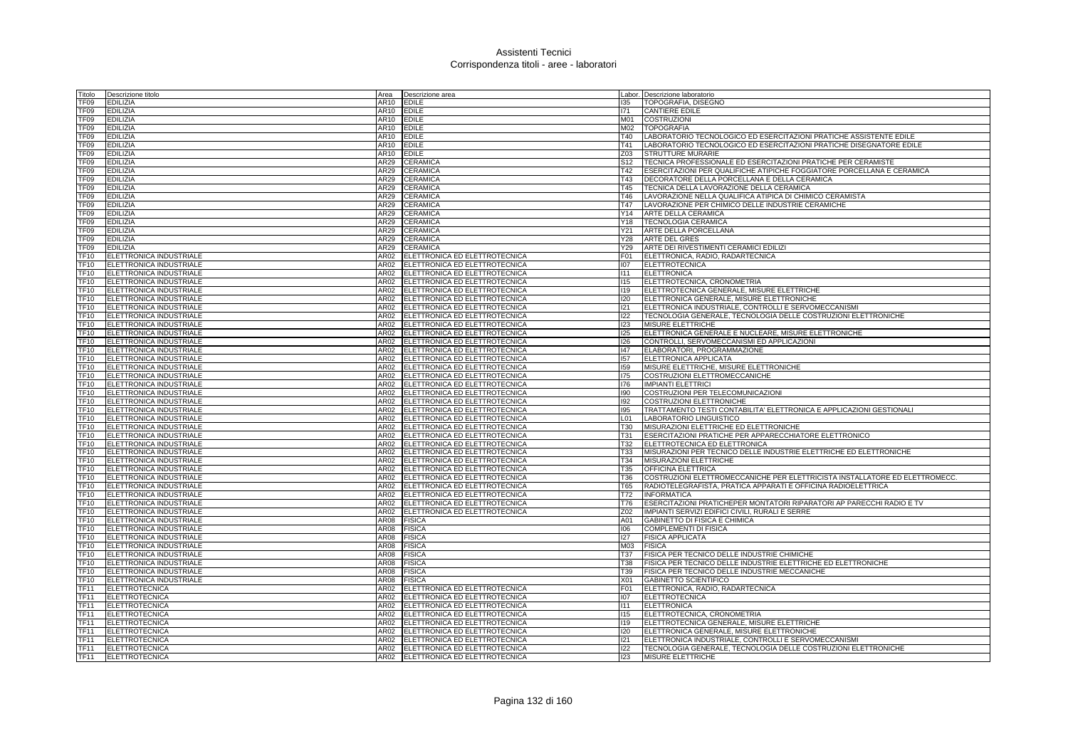| Titolo           | Descrizione titolo      | Area        | Descrizione area                   |                 | abor. Descrizione laboratorio                                               |
|------------------|-------------------------|-------------|------------------------------------|-----------------|-----------------------------------------------------------------------------|
| TF09             | EDILIZIA                | AR10        | <b>EDILE</b>                       | 135             | TOPOGRAFIA, DISEGNO                                                         |
| TF09             | EDILIZIA                | AR10        | <b>EDILE</b>                       | 171             | <b>CANTIERE EDILE</b>                                                       |
| TF09             | EDILIZIA                | AR10        | <b>EDILE</b>                       | M01             | <b>COSTRUZIONI</b>                                                          |
| FF <sub>09</sub> | EDILIZIA                | AR10        | <b>EDILE</b>                       | M02             | <b>TOPOGRAFIA</b>                                                           |
| TF09             | EDILIZIA                | AR10        | <b>EDILE</b>                       | T40             | LABORATORIO TECNOLOGICO ED ESERCITAZIONI PRATICHE ASSISTENTE EDILE          |
| TF09             | EDILIZIA                | AR10        | <b>EDILE</b>                       | T41             | LABORATORIO TECNOLOGICO ED ESERCITAZIONI PRATICHE DISEGNATORE EDILE         |
| TF09             | EDILIZIA                | AR10        | <b>EDILE</b>                       | Z03             | STRUTTURE MURARIE                                                           |
| FF <sub>09</sub> | EDILIZIA                | AR29        | CERAMICA                           | S <sub>12</sub> | TECNICA PROFESSIONALE ED ESERCITAZIONI PRATICHE PER CERAMISTE               |
| TF09             | <b>EDILIZIA</b>         | AR29        | CERAMICA                           | T42             | ESERCITAZIONI PER QUALIFICHE ATIPICHE FOGGIATORE PORCELLANA E CERAMICA      |
| TF <sub>09</sub> | EDILIZIA                | AR29        | CERAMICA                           | T43             | DECORATORE DELLA PORCELLANA E DELLA CERAMICA                                |
|                  | EDILIZIA                | <b>AR29</b> | CERAMICA                           | T <sub>45</sub> | TECNICA DELLA LAVORAZIONE DELLA CERAMICA                                    |
| TF09             |                         |             |                                    |                 |                                                                             |
| FF09             | EDILIZIA                | AR29        | <b>CERAMICA</b>                    | T46             | LAVORAZIONE NELLA QUALIFICA ATIPICA DI CHIMICO CERAMISTA                    |
| TF09             | EDILIZIA                | <b>AR29</b> | <b>CERAMICA</b>                    | T47             | LAVORAZIONE PER CHIMICO DELLE INDUSTRIE CERAMICHE                           |
| TF09             | EDILIZIA                | AR29        | <b>CERAMICA</b>                    | Y14             | ARTE DELLA CERAMICA                                                         |
| TF09             | EDILIZIA                | AR29        | CERAMICA                           | Y18             | <b>TECNOLOGIA CERAMICA</b>                                                  |
| TF09             | Edilizia                | AR29        | <b>CERAMICA</b>                    | Y21             | ARTE DELLA PORCELLANA                                                       |
| TF09             | EDILIZIA                | AR29        | <b>CERAMICA</b>                    | Y28             | <b>ARTE DEL GRES</b>                                                        |
| TF09             | EDILIZIA                | AR29        | <b>CERAMICA</b>                    | Y29             | ARTE DEI RIVESTIMENTI CERAMICI EDILIZI                                      |
| TF10             | ELETTRONICA INDUSTRIALE | AR02        | ELETTRONICA ED ELETTROTECNICA      | F01             | ELETTRONICA, RADIO, RADARTECNICA                                            |
| TF10             | ELETTRONICA INDUSTRIALE | AR02        | ELETTRONICA ED ELETTROTECNICA      | 107             | <b>ELETTROTECNICA</b>                                                       |
| TF10             | ELETTRONICA INDUSTRIALE | AR02        | ELETTRONICA ED ELETTROTECNICA      | 111             | <b>ELETTRONICA</b>                                                          |
| <b>TF10</b>      | ELETTRONICA INDUSTRIALE | <b>AR02</b> | ELETTRONICA ED ELETTROTECNICA      | 115             | ELETTROTECNICA, CRONOMETRIA                                                 |
| TF10             | ELETTRONICA INDUSTRIALE | AR02        | ELETTRONICA ED ELETTROTECNICA      | 119             | ELETTROTECNICA GENERALE, MISURE ELETTRICHE                                  |
| TF10             | ELETTRONICA INDUSTRIALE | <b>AR02</b> | ELETTRONICA ED ELETTROTECNICA      | 120             | ELETTRONICA GENERALE, MISURE ELETTRONICHE                                   |
| TF10             | ELETTRONICA INDUSTRIALE | AR02        | ELETTRONICA ED ELETTROTECNICA      | 121             | ELETTRONICA INDUSTRIALE, CONTROLLI E SERVOMECCANISMI                        |
| <b>TF10</b>      | ELETTRONICA INDUSTRIALE | AR02        | ELETTRONICA ED ELETTROTECNICA      | 122             | TECNOLOGIA GENERALE, TECNOLOGIA DELLE COSTRUZIONI ELETTRONICHE              |
| TF10             | ELETTRONICA INDUSTRIALE | AR02        | ELETTRONICA ED ELETTROTECNICA      | 123             | <b>MISURE ELETTRICHE</b>                                                    |
| TF10             | ELETTRONICA INDUSTRIALE | AR02        | ELETTRONICA ED ELETTROTECNICA      | 125             | ELETTRONICA GENERALE E NUCLEARE, MISURE ELETTRONICHE                        |
| TF10             | ELETTRONICA INDUSTRIALE | AR02        | ELETTRONICA ED ELETTROTECNICA      | 126             | CONTROLLI, SERVOMECCANISMI ED APPLICAZIONI                                  |
| TF10             | ELETTRONICA INDUSTRIALE | AR02        | ELETTRONICA ED ELETTROTECNICA      | 147             | ELABORATORI, PROGRAMMAZIONE                                                 |
| TF10             | ELETTRONICA INDUSTRIALE | AR02        | ELETTRONICA ED ELETTROTECNICA      | 157             | ELETTRONICA APPLICATA                                                       |
| <b>TF10</b>      | ELETTRONICA INDUSTRIALE | AR02        | ELETTRONICA ED ELETTROTECNICA      | 159             | MISURE ELETTRICHE, MISURE ELETTRONICHE                                      |
| <b>TF10</b>      | ELETTRONICA INDUSTRIALE | AR02        | ELETTRONICA ED ELETTROTECNICA      | 175             | COSTRUZIONI ELETTROMECCANICHE                                               |
| TF10             | ELETTRONICA INDUSTRIALE | AR02        | ELETTRONICA ED ELETTROTECNICA      | 176             | <b>IMPIANTI ELETTRICI</b>                                                   |
| TF10             | ELETTRONICA INDUSTRIALE | AR02        | ELETTRONICA ED ELETTROTECNICA      | 190             | COSTRUZIONI PER TELECOMUNICAZIONI                                           |
| TF10             | ELETTRONICA INDUSTRIALE | AR02        | ELETTRONICA ED ELETTROTECNICA      | 192             | <b>COSTRUZIONI ELETTRONICHE</b>                                             |
| TF10             | ELETTRONICA INDUSTRIALE | AR02        | ELETTRONICA ED ELETTROTECNICA      | 195             | TRATTAMENTO TESTI CONTABILITA' ELETTRONICA E APPLICAZIONI GESTIONALI        |
| TF10             | ELETTRONICA INDUSTRIALE | AR02        | ELETTRONICA ED ELETTROTECNICA      | L01             | LABORATORIO LINGUISTICO                                                     |
|                  |                         |             |                                    |                 |                                                                             |
| TF10             | ELETTRONICA INDUSTRIALE | <b>AR02</b> | ELETTRONICA ED ELETTROTECNICA      | T30             | MISURAZIONI ELETTRICHE ED ELETTRONICHE                                      |
| TF10             | ELETTRONICA INDUSTRIALE | AR02        | ELETTRONICA ED ELETTROTECNICA      | T31             | ESERCITAZIONI PRATICHE PER APPARECCHIATORE ELETTRONICO                      |
| TF10             | ELETTRONICA INDUSTRIALE | AR02        | ELETTRONICA ED ELETTROTECNICA      | T32             | ELETTROTECNICA ED ELETTRONICA                                               |
| TF10             | ELETTRONICA INDUSTRIALE | AR02        | ELETTRONICA ED ELETTROTECNICA      | T33             | MISURAZIONI PER TECNICO DELLE INDUSTRIE ELETTRICHE ED ELETTRONICHE          |
| TF10             | ELETTRONICA INDUSTRIALE | AR02        | ELETTRONICA ED ELETTROTECNICA      | T34             | MISURAZIONI ELETTRICHE                                                      |
| TF10             | ELETTRONICA INDUSTRIALE | AR02        | ELETTRONICA ED ELETTROTECNICA      | T35             | OFFICINA ELETTRICA                                                          |
| <b>TF10</b>      | ELETTRONICA INDUSTRIALE | AR02        | ELETTRONICA ED ELETTROTECNICA      | T36             | COSTRUZIONI ELETTROMECCANICHE PER ELETTRICISTA INSTALLATORE ED ELETTROMECC. |
| TF10             | ELETTRONICA INDUSTRIALE | AR02        | ELETTRONICA ED ELETTROTECNICA      | T65             | RADIOTELEGRAFISTA, PRATICA APPARATI E OFFICINA RADIOELETTRICA               |
| TF10             | ELETTRONICA INDUSTRIALE | AR02        | ELETTRONICA ED ELETTROTECNICA      | T72             | <b>INFORMATICA</b>                                                          |
| <b>TF10</b>      | ELETTRONICA INDUSTRIALE | <b>AR02</b> | ELETTRONICA ED ELETTROTECNICA      | T76             | ESERCITAZIONI PRATICHEPER MONTATORI RIPARATORI AP PARECCHI RADIO E TV       |
| <b>TF10</b>      | ELETTRONICA INDUSTRIALE | AR02        | ELETTRONICA ED ELETTROTECNICA      | Z02             | IMPIANTI SERVIZI EDIFICI CIVILI. RURALI E SERRE                             |
| <b>TF10</b>      | ELETTRONICA INDUSTRIALE | <b>AR08</b> | <b>FISICA</b>                      | A01             | GABINETTO DI FISICA E CHIMICA                                               |
| TF10             | ELETTRONICA INDUSTRIALE | AR08        | <b>FISICA</b>                      | 106             | <b>COMPLEMENTI DI FISICA</b>                                                |
| TF10             | ELETTRONICA INDUSTRIALE | AR08        | <b>FISICA</b>                      | 127             | <b>FISICA APPLICATA</b>                                                     |
| <b>TF10</b>      | ELETTRONICA INDUSTRIALE | AR08        | <b>FISICA</b>                      | M03             | <b>FISICA</b>                                                               |
| TF10             | ELETTRONICA INDUSTRIALE | AR08        | <b>FISICA</b>                      | T37             | FISICA PER TECNICO DELLE INDUSTRIE CHIMICHE                                 |
| TF10             | ELETTRONICA INDUSTRIALE | AR08        | <b>FISICA</b>                      | T38             | FISICA PER TECNICO DELLE INDUSTRIE ELETTRICHE ED ELETTRONICHE               |
| TF10             | ELETTRONICA INDUSTRIALE | AR08        | <b>FISICA</b>                      | T39             | FISICA PER TECNICO DELLE INDUSTRIE MECCANICHE                               |
| <b>TF10</b>      | ELETTRONICA INDUSTRIALE | AR08        | <b>FISICA</b>                      | X01             | <b>GABINETTO SCIENTIFICO</b>                                                |
| <b>TF11</b>      | <b>ELETTROTECNICA</b>   | AR02        | ELETTRONICA ED ELETTROTECNICA      | F01             | ELETTRONICA, RADIO, RADARTECNICA                                            |
| <b>TF11</b>      | <b>ELETTROTECNICA</b>   | AR02        | ELETTRONICA ED ELETTROTECNICA      | 107             | <b>ELETTROTECNICA</b>                                                       |
| <b>TF11</b>      | <b>ELETTROTECNICA</b>   | AR02        | ELETTRONICA ED ELETTROTECNICA      | 111             | <b>ELETTRONICA</b>                                                          |
| TF11             | ELETTROTECNICA          | AR02        | ELETTRONICA ED ELETTROTECNICA      | 115             | ELETTROTECNICA, CRONOMETRIA                                                 |
| <b>TF11</b>      | <b>ELETTROTECNICA</b>   | AR02        | ELETTRONICA ED ELETTROTECNICA      | 119             | ELETTROTECNICA GENERALE, MISURE ELETTRICHE                                  |
| TF11             | ELETTROTECNICA          | AR02        | ELETTRONICA ED ELETTROTECNICA      | 120             | ELETTRONICA GENERALE, MISURE ELETTRONICHE                                   |
| TF11             | <b>ELETTROTECNICA</b>   | AR02        | ELETTRONICA ED ELETTROTECNICA      | 121             | ELETTRONICA INDUSTRIALE, CONTROLLI E SERVOMECCANISMI                        |
| <b>TF11</b>      | <b>ELETTROTECNICA</b>   |             | AR02 ELETTRONICA ED ELETTROTECNICA | 122             | TECNOLOGIA GENERALE, TECNOLOGIA DELLE COSTRUZIONI ELETTRONICHE              |
| <b>TF11</b>      | ELETTROTECNICA          | AR02        | ELETTRONICA ED ELETTROTECNICA      | 123             | <b>MISURE ELETTRICHE</b>                                                    |
|                  |                         |             |                                    |                 |                                                                             |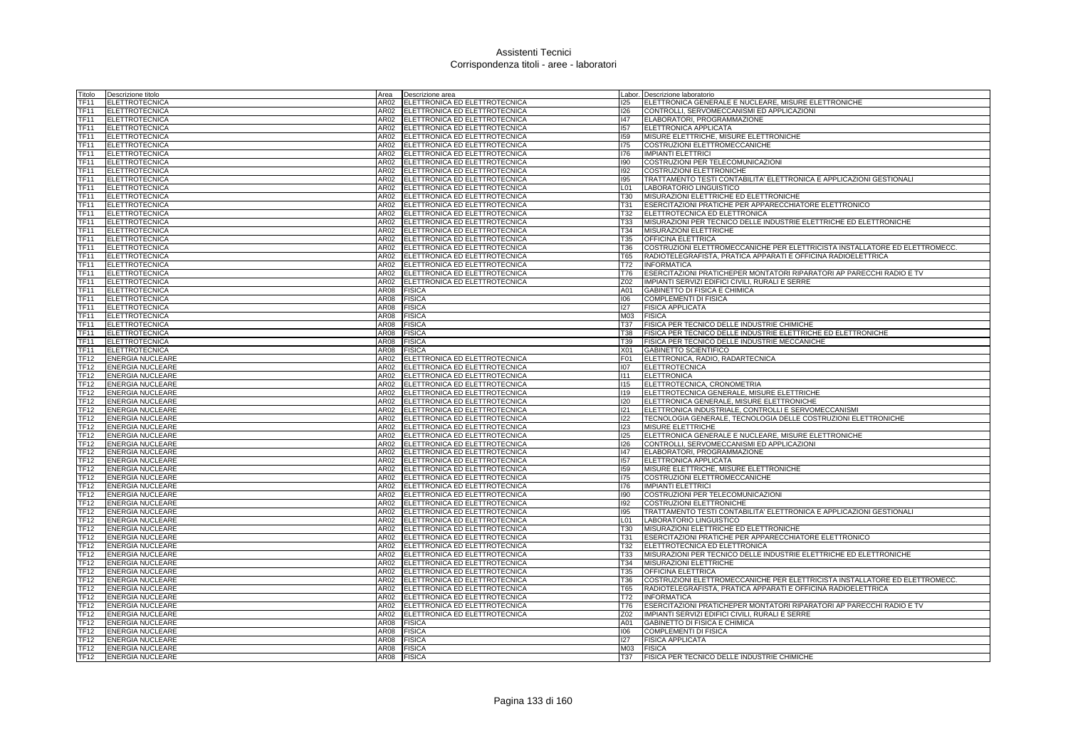| Titolo      | Descrizione titolo      | Area | Descrizione area                   |                 | Labor. Descrizione laboratorio                                              |
|-------------|-------------------------|------|------------------------------------|-----------------|-----------------------------------------------------------------------------|
| TF11        | <b>ELETTROTECNICA</b>   | AR02 | ELETTRONICA ED ELETTROTECNICA      | 125             | ELETTRONICA GENERALE E NUCLEARE, MISURE ELETTRONICHE                        |
| <b>TF11</b> | ELETTROTECNICA          | AR02 | ELETTRONICA ED ELETTROTECNICA      | 126             | CONTROLLI, SERVOMECCANISMI ED APPLICAZIONI                                  |
| TF11        | <b>ELETTROTECNICA</b>   | AR02 | ELETTRONICA ED ELETTROTECNICA      | 147             | ELABORATORI, PROGRAMMAZIONE                                                 |
| TF11        | <b>ELETTROTECNICA</b>   |      | AR02 ELETTRONICA ED ELETTROTECNICA | 157             | ELETTRONICA APPLICATA                                                       |
| TF11        | <b>ELETTROTECNICA</b>   | AR02 | ELETTRONICA ED ELETTROTECNICA      | 159             | MISURE ELETTRICHE, MISURE ELETTRONICHE                                      |
| <b>TF11</b> | ELETTROTECNICA          | AR02 | ELETTRONICA ED ELETTROTECNICA      | 175             | COSTRUZIONI ELETTROMECCANICHE                                               |
| TF11        | <b>ELETTROTECNICA</b>   | AR02 | ELETTRONICA ED ELETTROTECNICA      | 176             | <b>IMPIANTI ELETTRICI</b>                                                   |
| TF11        | ELETTROTECNICA          | AR02 | ELETTRONICA ED ELETTROTECNICA      | 190             | COSTRUZIONI PER TELECOMUNICAZIONI                                           |
| TF11        | ELETTROTECNICA          | AR02 | ELETTRONICA ED ELETTROTECNICA      | 192             | <b>COSTRUZIONI ELETTRONICHE</b>                                             |
| <b>TF11</b> | ELETTROTECNICA          | AR02 | ELETTRONICA ED ELETTROTECNICA      | 195             | TRATTAMENTO TESTI CONTABILITA' ELETTRONICA E APPLICAZIONI GESTIONALI        |
| TF11        | ELETTROTECNICA          | AR02 | ELETTRONICA ED ELETTROTECNICA      | L01             | LABORATORIO LINGUISTICO                                                     |
| <b>TF11</b> | <b>ELETTROTECNICA</b>   | AR02 | ELETTRONICA ED ELETTROTECNICA      | T30             | MISURAZIONI ELETTRICHE ED ELETTRONICHE                                      |
| <b>TF11</b> | <b>ELETTROTECNICA</b>   | AR02 | ELETTRONICA ED ELETTROTECNICA      | T31             | <b>ESERCITAZIONI PRATICHE PER APPARECCHIATORE ELETTRONICO</b>               |
| <b>TF11</b> | <b>ELETTROTECNICA</b>   | AR02 | ELETTRONICA ED ELETTROTECNICA      | T32             | ELETTROTECNICA ED ELETTRONICA                                               |
| <b>TF11</b> | ELETTROTECNICA          | AR02 | ELETTRONICA ED ELETTROTECNICA      | T33             | MISURAZIONI PER TECNICO DELLE INDUSTRIE ELETTRICHE ED ELETTRONICHE          |
| <b>TF11</b> | <b>ELETTROTECNICA</b>   | AR02 | ELETTRONICA ED ELETTROTECNICA      | T34             | MISURAZIONI ELETTRICHE                                                      |
| TF11        | <b>ELETTROTECNICA</b>   | AR02 | ELETTRONICA ED ELETTROTECNICA      | T35             | OFFICINA ELETTRICA                                                          |
| <b>TF11</b> | ELETTROTECNICA          | AR02 | ELETTRONICA ED ELETTROTECNICA      | T36             | COSTRUZIONI ELETTROMECCANICHE PER ELETTRICISTA INSTALLATORE ED ELETTROMECC. |
| <b>TF11</b> | ELETTROTECNICA          | AR02 | ELETTRONICA ED ELETTROTECNICA      | T65             | RADIOTELEGRAFISTA, PRATICA APPARATI E OFFICINA RADIOELETTRICA               |
| TF11        | <b>ELETTROTECNICA</b>   | AR02 | ELETTRONICA ED ELETTROTECNICA      | T72             | <b>INFORMATICA</b>                                                          |
| TF11        | <b>ELETTROTECNICA</b>   | AR02 | ELETTRONICA ED ELETTROTECNICA      | T76             | ESERCITAZIONI PRATICHEPER MONTATORI RIPARATORI AP PARECCHI RADIO E TV       |
| TF11        | ELETTROTECNICA          | AR02 | ELETTRONICA ED ELETTROTECNICA      | Z02             | IMPIANTI SERVIZI EDIFICI CIVILI, RURALI E SERRE                             |
| <b>TF11</b> | <b>ELETTROTECNICA</b>   | AR08 | <b>FISICA</b>                      | A01             | GABINETTO DI FISICA E CHIMICA                                               |
| <b>TF11</b> | ELETTROTECNICA          | AR08 | <b>FISICA</b>                      | 106             | <b>COMPLEMENTI DI FISICA</b>                                                |
| <b>TF11</b> | ELETTROTECNICA          | AR08 | <b>FISICA</b>                      | 127             | <b>FISICA APPLICATA</b>                                                     |
| TF11        | ELETTROTECNICA          | AR08 | <b>FISICA</b>                      | M03             | <b>FISICA</b>                                                               |
| <b>TF11</b> | <b>ELETTROTECNICA</b>   | AR08 | <b>FISICA</b>                      | <b>T37</b>      | FISICA PER TECNICO DELLE INDUSTRIE CHIMICHE                                 |
| <b>TF11</b> | ELETTROTECNICA          | AR08 | <b>FISICA</b>                      | T38             | FISICA PER TECNICO DELLE INDUSTRIE ELETTRICHE ED ELETTRONICHE               |
| <b>TF11</b> | <b>ELETTROTECNICA</b>   | AR08 | <b>FISICA</b>                      | T39             | FISICA PER TECNICO DELLE INDUSTRIE MECCANICHE                               |
| TF11        | <b>ELETTROTECNICA</b>   | AR08 | <b>FISICA</b>                      | X01             | GABINETTO SCIENTIFICO                                                       |
| <b>TF12</b> | <b>ENERGIA NUCLEARE</b> | AR02 | ELETTRONICA ED ELETTROTECNICA      | F01             | ELETTRONICA, RADIO, RADARTECNICA                                            |
| <b>TF12</b> | <b>ENERGIA NUCLEARE</b> | AR02 | ELETTRONICA ED ELETTROTECNICA      | 107             | <b>ELETTROTECNICA</b>                                                       |
| TF12        | <b>ENERGIA NUCLEARE</b> | AR02 | ELETTRONICA ED ELETTROTECNICA      | 1111            | <b>ELETTRONICA</b>                                                          |
| TF12        | <b>ENERGIA NUCLEARE</b> | AR02 | ELETTRONICA ED ELETTROTECNICA      | 115             | ELETTROTECNICA, CRONOMETRIA                                                 |
| TF12        | <b>ENERGIA NUCLEARE</b> | AR02 | ELETTRONICA ED ELETTROTECNICA      | 119             | ELETTROTECNICA GENERALE, MISURE ELETTRICHE                                  |
| TF12        | <b>ENERGIA NUCLEARE</b> | AR02 | ELETTRONICA ED ELETTROTECNICA      | 120             | ELETTRONICA GENERALE, MISURE ELETTRONICHE                                   |
| TF12        | <b>ENERGIA NUCLEARE</b> | AR02 | ELETTRONICA ED ELETTROTECNICA      | 121             | ELETTRONICA INDUSTRIALE, CONTROLLI E SERVOMECCANISMI                        |
| TF12        | <b>ENERGIA NUCLEARE</b> | AR02 | ELETTRONICA ED ELETTROTECNICA      | 122             | TECNOLOGIA GENERALE, TECNOLOGIA DELLE COSTRUZIONI ELETTRONICHE              |
| TF12        | <b>ENERGIA NUCLEARE</b> | AR02 | ELETTRONICA ED ELETTROTECNICA      | 123             | <b>MISURE ELETTRICHE</b>                                                    |
| <b>TF12</b> | <b>ENERGIA NUCLEARE</b> | AR02 | ELETTRONICA ED ELETTROTECNICA      | 125             | ELETTRONICA GENERALE E NUCLEARE, MISURE ELETTRONICHE                        |
| TF12        | <b>ENERGIA NUCLEARE</b> | AR02 | ELETTRONICA ED ELETTROTECNICA      | 126             | CONTROLLI, SERVOMECCANISMI ED APPLICAZIONI                                  |
| <b>TF12</b> | <b>ENERGIA NUCLEARE</b> | AR02 | ELETTRONICA ED ELETTROTECNICA      | 147             | ELABORATORI, PROGRAMMAZIONE                                                 |
| TF12        | ENERGIA NUCLEARE        | AR02 | ELETTRONICA ED ELETTROTECNICA      | 157             | ELETTRONICA APPLICATA                                                       |
| TF12        | <b>ENERGIA NUCLEARE</b> | AR02 | ELETTRONICA ED ELETTROTECNICA      | 159             | MISURE ELETTRICHE, MISURE ELETTRONICHE                                      |
| TF12        | ENERGIA NUCLEARE        | AR02 | ELETTRONICA ED ELETTROTECNICA      | 175             | COSTRUZIONI ELETTROMECCANICHE                                               |
| TF12        | <b>ENERGIA NUCLEARE</b> | AR02 | ELETTRONICA ED ELETTROTECNICA      | 176             | <b>IMPIANTI ELETTRICI</b>                                                   |
| TF12        | <b>ENERGIA NUCLEARE</b> | AR02 | ELETTRONICA ED ELETTROTECNICA      | 190             | COSTRUZIONI PER TELECOMUNICAZIONI                                           |
| TF12        | <b>ENERGIA NUCLEARE</b> | AR02 | ELETTRONICA ED ELETTROTECNICA      | 192             | COSTRUZIONI ELETTRONICHE                                                    |
| <b>TF12</b> | ENERGIA NUCLEARE        | AR02 | ELETTRONICA ED ELETTROTECNICA      | 195             | TRATTAMENTO TESTI CONTABILITA' ELETTRONICA E APPLICAZIONI GESTIONALI        |
| TF12        | <b>ENERGIA NUCLEARE</b> | AR02 | ELETTRONICA ED ELETTROTECNICA      | L <sub>01</sub> | LABORATORIO LINGUISTICO                                                     |
| TF12        | <b>ENERGIA NUCLEARE</b> | AR02 | ELETTRONICA ED ELETTROTECNICA      | <b>T30</b>      | MISURAZIONI ELETTRICHE ED ELETTRONICHE                                      |
| TF12        | <b>ENERGIA NUCLEARE</b> | AR02 | ELETTRONICA ED ELETTROTECNICA      | <b>T31</b>      | ESERCITAZIONI PRATICHE PER APPARECCHIATORE ELETTRONICO                      |
| <b>TF12</b> | <b>ENERGIA NUCLEARE</b> | AR02 | ELETTRONICA ED ELETTROTECNICA      | T32             | ELETTROTECNICA ED ELETTRONICA                                               |
| <b>TF12</b> | <b>ENERGIA NUCLEARE</b> | AR02 | ELETTRONICA ED ELETTROTECNICA      | <b>T33</b>      | MISURAZIONI PER TECNICO DELLE INDUSTRIE ELETTRICHE ED ELETTRONICHE          |
| TF12        | <b>ENERGIA NUCLEARE</b> | AR02 | ELETTRONICA ED ELETTROTECNICA      | <b>T34</b>      | MISURAZIONI ELETTRICHE                                                      |
| TF12        | <b>ENERGIA NUCLEARE</b> | AR02 | ELETTRONICA ED ELETTROTECNICA      | T35             | OFFICINA ELETTRICA                                                          |
| <b>TF12</b> | <b>ENERGIA NUCLEARE</b> | AR02 | ELETTRONICA ED ELETTROTECNICA      | T36             | COSTRUZIONI ELETTROMECCANICHE PER ELETTRICISTA INSTALLATORE ED ELETTROMECC. |
| TF12        | <b>ENERGIA NUCLEARE</b> | AR02 | ELETTRONICA ED ELETTROTECNICA      | T65             | RADIOTELEGRAFISTA, PRATICA APPARATI E OFFICINA RADIOELETTRICA               |
| TF12        | <b>ENERGIA NUCLEARE</b> | AR02 | ELETTRONICA ED ELETTROTECNICA      | T72             | <b>INFORMATICA</b>                                                          |
| TF12        | <b>ENERGIA NUCLEARE</b> | AR02 | ELETTRONICA ED ELETTROTECNICA      | T76             | ESERCITAZIONI PRATICHEPER MONTATORI RIPARATORI AP PARECCHI RADIO E TV       |
| <b>TF12</b> | <b>ENERGIA NUCLEARE</b> | AR02 | ELETTRONICA ED ELETTROTECNICA      | Z02             | IMPIANTI SERVIZI EDIFICI CIVILI. RURALI E SERRE                             |
| TF12        | <b>ENERGIA NUCLEARE</b> | AR08 | <b>FISICA</b>                      | A01             | <b>GABINETTO DI FISICA E CHIMICA</b>                                        |
| TF12        | <b>ENERGIA NUCLEARE</b> | AR08 | <b>FISICA</b>                      | 106             | <b>COMPLEMENTI DI FISICA</b>                                                |
| TF12        | <b>ENERGIA NUCLEARE</b> | AR08 | <b>FISICA</b>                      | 127             | <b>FISICA APPLICATA</b>                                                     |
| TF12        | <b>ENERGIA NUCLEARE</b> | AR08 | <b>FISICA</b>                      | M03             | <b>FISICA</b>                                                               |
| <b>TF12</b> | <b>ENERGIA NUCLEARE</b> | AR08 | <b>FISICA</b>                      | T37             | FISICA PER TECNICO DELLE INDUSTRIE CHIMICHE                                 |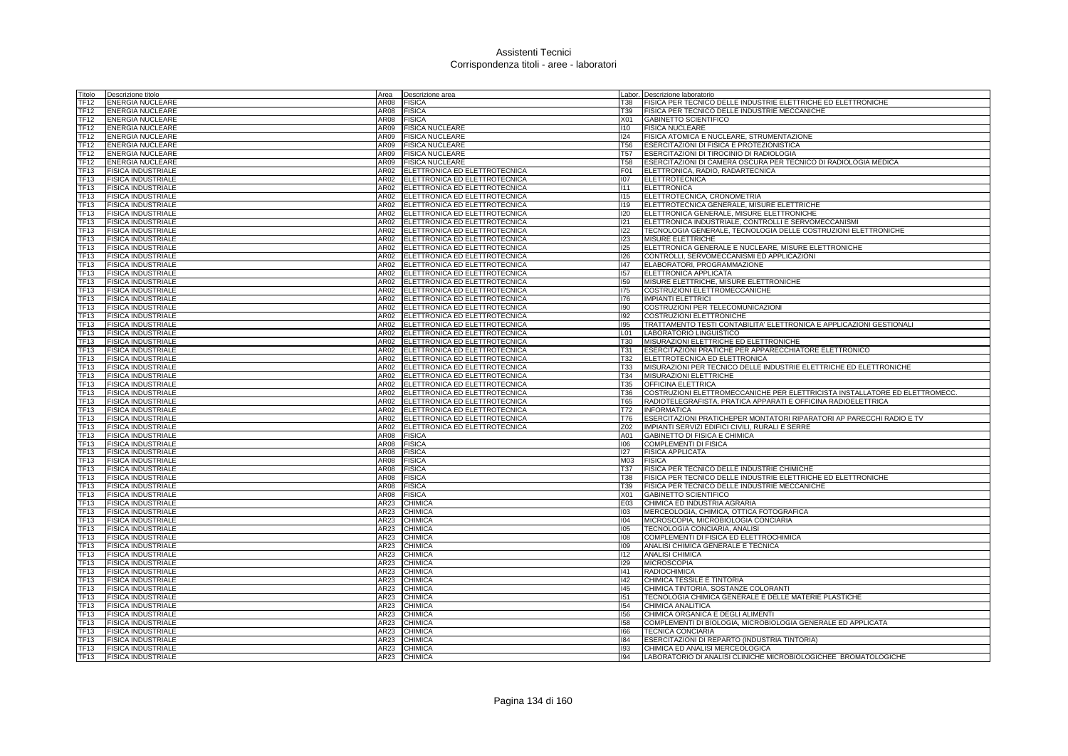| Fitolo                          | Descrizione titolo                                     | Area                | Descrizione area              |                 | Labor. Descrizione laboratorio                                                                     |
|---------------------------------|--------------------------------------------------------|---------------------|-------------------------------|-----------------|----------------------------------------------------------------------------------------------------|
| TF12                            | <b>ENERGIA NUCLEARE</b>                                | AR08                | <b>FISICA</b>                 | T38             | FISICA PER TECNICO DELLE INDUSTRIE ELETTRICHE ED ELETTRONICHE                                      |
| <b>TF12</b>                     | <b>ENERGIA NUCLEARE</b>                                | AR08                | <b>FISICA</b>                 | T39             | FISICA PER TECNICO DELLE INDUSTRIE MECCANICHE                                                      |
| TF12                            | <b>ENERGIA NUCLEARE</b>                                | AR08                | <b>FISICA</b>                 | X01             | GABINETTO SCIENTIFICO                                                                              |
| TF12                            | <b>ENERGIA NUCLEARE</b>                                | AR09                | <b>FISICA NUCLEARE</b>        | 110             | <b>FISICA NUCLEARE</b>                                                                             |
| TF12                            | <b>ENERGIA NUCLEARE</b>                                | AR09                | <b>FISICA NUCLEARE</b>        | 124             | FISICA ATOMICA E NUCLEARE, STRUMENTAZIONE                                                          |
| TF12                            | <b>ENERGIA NUCLEARE</b>                                | AR09                | <b>FISICA NUCLEARE</b>        | <b>T56</b>      | ESERCITAZIONI DI FISICA E PROTEZIONISTICA                                                          |
| TF12                            | <b>ENERGIA NUCLEARE</b>                                | AR09                | <b>FISICA NUCLEARE</b>        | T <sub>57</sub> | ESERCITAZIONI DI TIROCINIO DI RADIOLOGIA                                                           |
| TF12                            | <b>ENERGIA NUCLEARE</b>                                | AR09                | <b>FISICA NUCLEARE</b>        | <b>T58</b>      | ESERCITAZIONI DI CAMERA OSCURA PER TECNICO DI RADIOLOGIA MEDICA                                    |
| TF13                            | <b>FISICA INDUSTRIALE</b>                              | AR02                | ELETTRONICA ED ELETTROTECNICA | F01             | ELETTRONICA, RADIO, RADARTECNICA                                                                   |
| TF13                            | <b>FISICA INDUSTRIALE</b>                              | AR02                | ELETTRONICA ED ELETTROTECNICA | 107             | <b>ELETTROTECNICA</b>                                                                              |
| TF13                            | <b>FISICA INDUSTRIALE</b>                              | AR02                | ELETTRONICA ED ELETTROTECNICA | 111             | <b>ELETTRONICA</b>                                                                                 |
| TF13                            | <b>FISICA INDUSTRIALE</b>                              | AR02                | ELETTRONICA ED ELETTROTECNICA | 115             | ELETTROTECNICA, CRONOMETRIA                                                                        |
| TF13                            | <b>FISICA INDUSTRIALE</b>                              | AR02                | ELETTRONICA ED ELETTROTECNICA | 119             | ELETTROTECNICA GENERALE, MISURE ELETTRICHE                                                         |
| TF13                            | <b>FISICA INDUSTRIALE</b>                              | AR02                | ELETTRONICA ED ELETTROTECNICA | 120             | ELETTRONICA GENERALE, MISURE ELETTRONICHE                                                          |
| TF13                            | <b>FISICA INDUSTRIALE</b>                              | AR02                | ELETTRONICA ED ELETTROTECNICA | 121             | ELETTRONICA INDUSTRIALE, CONTROLLI E SERVOMECCANISMI                                               |
| TF13                            | <b>FISICA INDUSTRIALE</b>                              | AR02                | ELETTRONICA ED ELETTROTECNICA | 122             | TECNOLOGIA GENERALE, TECNOLOGIA DELLE COSTRUZIONI ELETTRONICHE                                     |
| TF13                            | <b>FISICA INDUSTRIALE</b>                              | AR02                | ELETTRONICA ED ELETTROTECNICA | 123             | MISURE ELETTRICHE                                                                                  |
| TF13                            | <b>FISICA INDUSTRIALE</b>                              | AR02                | ELETTRONICA ED ELETTROTECNICA | 125             | ELETTRONICA GENERALE E NUCLEARE, MISURE ELETTRONICHE                                               |
| <b>TF13</b>                     | <b>FISICA INDUSTRIALE</b>                              | AR02                | ELETTRONICA ED ELETTROTECNICA | 126             | CONTROLLI, SERVOMECCANISMI ED APPLICAZIONI                                                         |
| TF13                            | <b>FISICA INDUSTRIALE</b>                              | AR02                | ELETTRONICA ED ELETTROTECNICA | 147             | ELABORATORI, PROGRAMMAZIONE                                                                        |
| TF <sub>13</sub>                | <b>FISICA INDUSTRIALE</b>                              | AR02                | ELETTRONICA ED ELETTROTECNICA | 157             | ELETTRONICA APPLICATA                                                                              |
| TF <sub>13</sub>                | <b>FISICA INDUSTRIALE</b>                              | AR02                | ELETTRONICA ED ELETTROTECNICA | 159             | MISURE ELETTRICHE, MISURE ELETTRONICHE                                                             |
| TF13                            | <b>FISICA INDUSTRIALE</b>                              | AR02                | ELETTRONICA ED ELETTROTECNICA | 175             | COSTRUZIONI ELETTROMECCANICHE                                                                      |
| TF13                            | <b>FISICA INDUSTRIALE</b>                              | AR02                | ELETTRONICA ED ELETTROTECNICA | 176             | <b>IMPIANTI ELETTRICI</b>                                                                          |
| TF13                            | <b>FISICA INDUSTRIALE</b>                              | AR02                | ELETTRONICA ED ELETTROTECNICA | 190             | COSTRUZIONI PER TELECOMUNICAZIONI                                                                  |
| TF <sub>13</sub>                | <b>FISICA INDUSTRIALE</b>                              | AR02                | ELETTRONICA ED ELETTROTECNICA | 192             | <b>COSTRUZIONI ELETTRONICHE</b>                                                                    |
| TF <sub>13</sub>                | <b>FISICA INDUSTRIALE</b>                              | AR02                | ELETTRONICA ED ELETTROTECNICA | 195             | TRATTAMENTO TESTI CONTABILITA' ELETTRONICA E APPLICAZIONI GESTIONALI                               |
| <b>TF13</b>                     | <b>FISICA INDUSTRIALE</b>                              | AR02                | ELETTRONICA ED ELETTROTECNICA | L01             | LABORATORIO LINGUISTICO                                                                            |
| TF13                            | <b>FISICA INDUSTRIALE</b>                              | AR02                | ELETTRONICA ED ELETTROTECNICA | T30             | MISURAZIONI ELETTRICHE ED ELETTRONICHE                                                             |
| TF <sub>13</sub>                | <b>FISICA INDUSTRIALE</b>                              | AR02                | ELETTRONICA ED ELETTROTECNICA | T31             | ESERCITAZIONI PRATICHE PER APPARECCHIATORE ELETTRONICO                                             |
| TF <sub>13</sub>                | <b>FISICA INDUSTRIALE</b>                              | AR02                | ELETTRONICA ED ELETTROTECNICA | T32             | ELETTROTECNICA ED ELETTRONICA                                                                      |
| TF13                            | <b>FISICA INDUSTRIALE</b>                              | <b>AR02</b>         | ELETTRONICA ED ELETTROTECNICA | T33             | MISURAZIONI PER TECNICO DELLE INDUSTRIE ELETTRICHE ED ELETTRONICHE                                 |
| TF13                            | <b>FISICA INDUSTRIALE</b>                              | AR02                | ELETTRONICA ED ELETTROTECNICA | T34             | MISURAZIONI ELETTRICHE                                                                             |
| TF13                            | <b>FISICA INDUSTRIALE</b>                              | AR02                | ELETTRONICA ED ELETTROTECNICA | <b>T35</b>      | OFFICINA ELETTRICA                                                                                 |
| TF13                            | <b>FISICA INDUSTRIALE</b>                              | AR02                | ELETTRONICA ED ELETTROTECNICA | <b>T36</b>      | COSTRUZIONI ELETTROMECCANICHE PER ELETTRICISTA INSTALLATORE ED ELETTROMECC.                        |
| <b>TF13</b>                     | <b>FISICA INDUSTRIALE</b>                              | AR02                | ELETTRONICA ED ELETTROTECNICA | <b>T65</b>      | RADIOTELEGRAFISTA, PRATICA APPARATI E OFFICINA RADIOELETTRICA                                      |
| TF13                            | <b>FISICA INDUSTRIALE</b>                              | AR02                | ELETTRONICA ED ELETTROTECNICA | T72             | <b>INFORMATICA</b>                                                                                 |
| TF13                            | <b>FISICA INDUSTRIALE</b>                              | AR02                | ELETTRONICA ED ELETTROTECNICA | T76             | ESERCITAZIONI PRATICHEPER MONTATORI RIPARATORI AP PARECCHI RADIO E TV                              |
| TF13                            | <b>FISICA INDUSTRIALE</b>                              | AR02                | ELETTRONICA ED ELETTROTECNICA | Z02             | IMPIANTI SERVIZI EDIFICI CIVILI, RURALI E SERRE                                                    |
| TF13                            | <b>FISICA INDUSTRIALE</b>                              | AR08                | <b>FISICA</b>                 | A01             | GABINETTO DI FISICA E CHIMICA                                                                      |
| TF13                            | <b>FISICA INDUSTRIALE</b>                              | AR08                | <b>FISICA</b>                 | 106             | <b>COMPLEMENTI DI FISICA</b>                                                                       |
| TF13                            | <b>FISICA INDUSTRIALE</b>                              | AR08                | <b>FISICA</b>                 | 127             | <b>FISICA APPLICATA</b>                                                                            |
| TF13                            | <b>FISICA INDUSTRIALE</b>                              | AR08                | FISICA                        | M03             | <b>FISICA</b>                                                                                      |
| TF13                            | <b>FISICA INDUSTRIALE</b>                              | AR08                | <b>FISICA</b>                 | T37             | FISICA PER TECNICO DELLE INDUSTRIE CHIMICHE                                                        |
| TF13                            | <b>FISICA INDUSTRIALE</b>                              | AR08                | <b>FISICA</b>                 | T38             | FISICA PER TECNICO DELLE INDUSTRIE ELETTRICHE ED ELETTRONICHE                                      |
| <b>TF13</b>                     | <b>FISICA INDUSTRIALE</b>                              | AR08                | <b>FISICA</b>                 | T39             | FISICA PER TECNICO DELLE INDUSTRIE MECCANICHE                                                      |
| TF13                            | <b>FISICA INDUSTRIALE</b>                              | AR08                | <b>FISICA</b>                 | X01             | <b>GABINETTO SCIENTIFICO</b>                                                                       |
| TF13                            | <b>FISICA INDUSTRIALE</b>                              | AR23                | CHIMICA                       | E03             | CHIMICA ED INDUSTRIA AGRARIA                                                                       |
| TF13                            | <b>FISICA INDUSTRIALE</b>                              | AR23                | CHIMICA                       | 103             | MERCEOLOGIA, CHIMICA, OTTICA FOTOGRAFICA                                                           |
| TF13                            | <b>FISICA INDUSTRIALE</b>                              | AR23                | CHIMICA                       | 104             | MICROSCOPIA, MICROBIOLOGIA CONCIARIA                                                               |
| TF13                            | <b>FISICA INDUSTRIALE</b>                              | AR23                | CHIMICA                       | 105             | TECNOLOGIA CONCIARIA, ANALISI                                                                      |
| TF13                            | <b>FISICA INDUSTRIALE</b>                              | AR23                | CHIMICA                       | 108             | COMPLEMENTI DI FISICA ED ELETTROCHIMICA                                                            |
| TF13                            | <b>FISICA INDUSTRIALE</b>                              | AR23                | CHIMICA                       | 109             | ANALISI CHIMICA GENERALE E TECNICA                                                                 |
| TF13                            | <b>FISICA INDUSTRIALE</b>                              | AR23                | CHIMICA                       | 112             | <b>ANALISI CHIMICA</b>                                                                             |
| TF13                            | <b>FISICA INDUSTRIALE</b>                              | AR23                | CHIMICA                       | 129             | <b>MICROSCOPIA</b>                                                                                 |
| TF <sub>13</sub>                | <b>FISICA INDUSTRIALE</b>                              | AR23                | CHIMICA                       | 141             | <b>RADIOCHIMICA</b>                                                                                |
| TF13                            |                                                        |                     | CHIMICA                       | 142             | CHIMICA TESSILE E TINTORIA                                                                         |
|                                 |                                                        |                     |                               |                 |                                                                                                    |
|                                 | <b>FISICA INDUSTRIALE</b>                              | AR <sub>23</sub>    |                               |                 |                                                                                                    |
| TF13                            | <b>FISICA INDUSTRIALE</b>                              | AR23                | CHIMICA                       | 145             | CHIMICA TINTORIA, SOSTANZE COLORANTI                                                               |
| TF13                            | <b>FISICA INDUSTRIALE</b>                              | AR23                | CHIMICA                       | 151             | TECNOLOGIA CHIMICA GENERALE E DELLE MATERIE PLASTICHE                                              |
| TF13                            | <b>FISICA INDUSTRIALE</b>                              | AR23                | CHIMICA                       | 154             | CHIMICA ANALITICA                                                                                  |
| <b>TF13</b>                     | <b>FISICA INDUSTRIALE</b>                              | AR23                | CHIMICA                       | 156             | CHIMICA ORGANICA E DEGLI ALIMENTI                                                                  |
| <b>TF13</b>                     | <b>FISICA INDUSTRIALE</b>                              | AR23                | CHIMICA                       | 158             | COMPLEMENTI DI BIOLOGIA, MICROBIOLOGIA GENERALE ED APPLICATA                                       |
| TF13                            | <b>FISICA INDUSTRIALE</b>                              | AR23                | CHIMICA                       | 166             | <b>TECNICA CONCIARIA</b>                                                                           |
| TF <sub>13</sub>                | <b>FISICA INDUSTRIALE</b>                              | AR23                | CHIMICA                       | 184<br>193      | ESERCITAZIONI DI REPARTO (INDUSTRIA TINTORIA)                                                      |
| TF <sub>13</sub><br><b>TF13</b> | <b>FISICA INDUSTRIALE</b><br><b>FISICA INDUSTRIALE</b> | AR23<br><b>AR23</b> | CHIMICA<br>CHIMICA            | 94              | CHIMICA ED ANALISI MERCEOLOGICA<br>LABORATORIO DI ANALISI CLINICHE MICROBIOLOGICHEE BROMATOLOGICHE |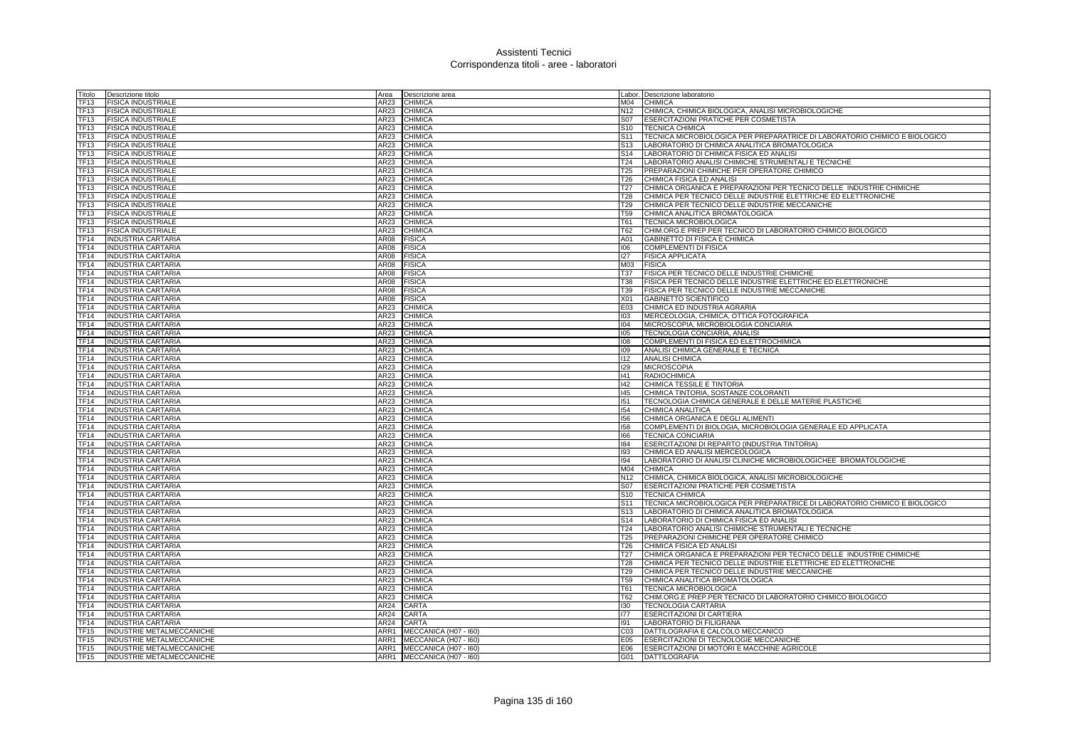| Titolo           | Descrizione titolo        | Area        | Descrizione area           |                 | Labor. Descrizione laboratorio                                             |
|------------------|---------------------------|-------------|----------------------------|-----------------|----------------------------------------------------------------------------|
| <b>TF13</b>      | FISICA INDUSTRIALE        | AR23        | <b>CHIMICA</b>             |                 | M04 CHIMICA                                                                |
| <b>TF13</b>      | <b>FISICA INDUSTRIALE</b> | AR23        | <b>CHIMICA</b>             | N12             | CHIMICA, CHIMICA BIOLOGICA, ANALISI MICROBIOLOGICHE                        |
| TF13             | <b>FISICA INDUSTRIALE</b> | AR23        | <b>CHIMICA</b>             | <b>S07</b>      | ESERCITAZIONI PRATICHE PER COSMETISTA                                      |
| TF13             | <b>FISICA INDUSTRIALE</b> | AR23        | <b>CHIMICA</b>             |                 | S10 TECNICA CHIMICA                                                        |
| TF13             | <b>FISICA INDUSTRIALE</b> | AR23        | <b>CHIMICA</b>             | S <sub>11</sub> | TECNICA MICROBIOLOGICA PER PREPARATRICE DI LABORATORIO CHIMICO E BIOLOGICO |
| TF13             | <b>FISICA INDUSTRIALE</b> | AR23        | <b>CHIMICA</b>             | S <sub>13</sub> | LABORATORIO DI CHIMICA ANALITICA BROMATOLOGICA                             |
| TF13             | <b>FISICA INDUSTRIALE</b> | AR23        | <b>CHIMICA</b>             | S14             | LABORATORIO DI CHIMICA FISICA ED ANALISI                                   |
| TF13             | <b>FISICA INDUSTRIALE</b> | AR23        | <b>CHIMICA</b>             | T24             | LABORATORIO ANALISI CHIMICHE STRUMENTALI E TECNICHE                        |
| TF13             | <b>FISICA INDUSTRIALE</b> | AR23        | <b>CHIMICA</b>             | T <sub>25</sub> | PREPARAZIONI CHIMICHE PER OPERATORE CHIMICO                                |
| TF <sub>13</sub> | <b>FISICA INDUSTRIALE</b> | AR23        | <b>CHIMICA</b>             | T26             | CHIMICA FISICA ED ANALISI                                                  |
| TF13             | <b>FISICA INDUSTRIALE</b> | AR23        | <b>CHIMICA</b>             | T <sub>27</sub> | CHIMICA ORGANICA E PREPARAZIONI PER TECNICO DELLE INDUSTRIE CHIMICHE       |
| <b>TF13</b>      |                           | AR23        | <b>CHIMICA</b>             | T28             |                                                                            |
|                  | <b>FISICA INDUSTRIALE</b> |             |                            |                 | CHIMICA PER TECNICO DELLE INDUSTRIE ELETTRICHE ED ELETTRONICHE             |
| TF13             | <b>FISICA INDUSTRIALE</b> | <b>AR23</b> | <b>CHIMICA</b>             | T29             | CHIMICA PER TECNICO DELLE INDUSTRIE MECCANICHE                             |
| TF13             | <b>FISICA INDUSTRIALE</b> | AR23        | <b>CHIMICA</b>             | T59             | CHIMICA ANALITICA BROMATOLOGICA                                            |
| TF13             | <b>FISICA INDUSTRIALE</b> | AR23        | <b>CHIMICA</b>             | T61             | <b>TECNICA MICROBIOLOGICA</b>                                              |
| TF13             | <b>FISICA INDUSTRIALE</b> | AR23        | <b>CHIMICA</b>             | T62             | CHIM.ORG.E PREP.PER TECNICO DI LABORATORIO CHIMICO BIOLOGICO               |
| TF14             | <b>INDUSTRIA CARTARIA</b> | AR08        | <b>FISICA</b>              | A01             | GABINETTO DI FISICA E CHIMICA                                              |
| TF14             | <b>INDUSTRIA CARTARIA</b> | AR08        | <b>FISICA</b>              | 106             | COMPLEMENTI DI FISICA                                                      |
| TF14             | <b>INDUSTRIA CARTARIA</b> | AR08        | <b>FISICA</b>              | 127             | <b>FISICA APPLICATA</b>                                                    |
| TF14             | <b>INDUSTRIA CARTARIA</b> | AR08        | <b>FISICA</b>              | M03             | <b>FISICA</b>                                                              |
| TF <sub>14</sub> | <b>INDUSTRIA CARTARIA</b> | AR08        | <b>FISICA</b>              | T37             | FISICA PER TECNICO DELLE INDUSTRIE CHIMICHE                                |
| TF <sub>14</sub> | <b>INDUSTRIA CARTARIA</b> | AR08        | <b>FISICA</b>              | T38             | FISICA PER TECNICO DELLE INDUSTRIE ELETTRICHE ED ELETTRONICHE              |
| <b>TF14</b>      | <b>INDUSTRIA CARTARIA</b> | AR08        | <b>FISICA</b>              | T39             | FISICA PER TECNICO DELLE INDUSTRIE MECCANICHE                              |
| <b>TF14</b>      | <b>INDUSTRIA CARTARIA</b> | <b>AR08</b> | <b>FISICA</b>              | X <sub>01</sub> | <b>GABINETTO SCIENTIFICO</b>                                               |
| TF14             | <b>INDUSTRIA CARTARIA</b> | AR23        | <b>CHIMICA</b>             | E03             | CHIMICA ED INDUSTRIA AGRARIA                                               |
| TF14             | <b>INDUSTRIA CARTARIA</b> | AR23        | <b>CHIMICA</b>             | 103             | MERCEOLOGIA, CHIMICA, OTTICA FOTOGRAFICA                                   |
| TF14             | <b>INDUSTRIA CARTARIA</b> | AR23        | <b>CHIMICA</b>             | 104             | MICROSCOPIA, MICROBIOLOGIA CONCIARIA                                       |
| TF14             | <b>INDUSTRIA CARTARIA</b> | AR23        | <b>CHIMICA</b>             | 105             | TECNOLOGIA CONCIARIA, ANALISI                                              |
| TF14             | <b>INDUSTRIA CARTARIA</b> | AR23        | <b>CHIMICA</b>             | 108             | COMPLEMENTI DI FISICA ED ELETTROCHIMICA                                    |
| TF14             | <b>INDUSTRIA CARTARIA</b> | AR23        | <b>CHIMICA</b>             | 109             | ANALISI CHIMICA GENERALE E TECNICA                                         |
| TF14             | <b>INDUSTRIA CARTARIA</b> | AR23        | <b>CHIMICA</b>             | 112             | <b>ANALISI CHIMICA</b>                                                     |
| TF14             | <b>INDUSTRIA CARTARIA</b> | AR23        | <b>CHIMICA</b>             | 129             | <b>MICROSCOPIA</b>                                                         |
| <b>TF14</b>      | <b>INDUSTRIA CARTARIA</b> | AR23        | <b>CHIMICA</b>             | 41              | <b>RADIOCHIMICA</b>                                                        |
| <b>TF14</b>      | <b>INDUSTRIA CARTARIA</b> | AR23        | <b>CHIMICA</b>             | 142             | CHIMICA TESSILE E TINTORIA                                                 |
| TF14             | <b>INDUSTRIA CARTARIA</b> | AR23        | <b>CHIMICA</b>             | 145             | CHIMICA TINTORIA, SOSTANZE COLORANTI                                       |
| <b>TF14</b>      | <b>INDUSTRIA CARTARIA</b> | AR23        | <b>CHIMICA</b>             | 151             | TECNOLOGIA CHIMICA GENERALE E DELLE MATERIE PLASTICHE                      |
| TF14             | <b>INDUSTRIA CARTARIA</b> | AR23        | <b>CHIMICA</b>             | 154             | CHIMICA ANALITICA                                                          |
| TF14             |                           | AR23        | <b>CHIMICA</b>             | 156             | CHIMICA ORGANICA E DEGLI ALIMENTI                                          |
|                  | <b>INDUSTRIA CARTARIA</b> |             |                            |                 |                                                                            |
| TF14             | <b>INDUSTRIA CARTARIA</b> | <b>AR23</b> | <b>CHIMICA</b>             | 158             | COMPLEMENTI DI BIOLOGIA, MICROBIOLOGIA GENERALE ED APPLICATA               |
| <b>TF14</b>      | <b>INDUSTRIA CARTARIA</b> | AR23        | <b>CHIMICA</b>             | 166             | <b>TECNICA CONCIARIA</b>                                                   |
| <b>TF14</b>      | <b>INDUSTRIA CARTARIA</b> | AR23        | CHIMICA                    | 184             | ESERCITAZIONI DI REPARTO (INDUSTRIA TINTORIA)                              |
| TF14             | <b>INDUSTRIA CARTARIA</b> | AR23        | <b>CHIMICA</b>             | 193             | CHIMICA ED ANALISI MERCEOLOGICA                                            |
| TF <sub>14</sub> | <b>INDUSTRIA CARTARIA</b> | AR23        | <b>CHIMICA</b>             | 194             | LABORATORIO DI ANALISI CLINICHE MICROBIOLOGICHEE BROMATOLOGICHE            |
| TF14             | <b>INDUSTRIA CARTARIA</b> | AR23        | <b>CHIMICA</b>             | M04             | <b>CHIMICA</b>                                                             |
| <b>TF14</b>      | <b>INDUSTRIA CARTARIA</b> | AR23        | <b>CHIMICA</b>             | N <sub>12</sub> | CHIMICA, CHIMICA BIOLOGICA, ANALISI MICROBIOLOGICHE                        |
| <b>TF14</b>      | <b>INDUSTRIA CARTARIA</b> | AR23        | <b>CHIMICA</b>             | S07             | ESERCITAZIONI PRATICHE PER COSMETISTA                                      |
| TF14             | <b>INDUSTRIA CARTARIA</b> | AR23        | <b>CHIMICA</b>             | S10             | <b>TECNICA CHIMICA</b>                                                     |
| TF14             | <b>INDUSTRIA CARTARIA</b> | AR23        | <b>CHIMICA</b>             | S11             | TECNICA MICROBIOLOGICA PER PREPARATRICE DI LABORATORIO CHIMICO E BIOLOGICO |
| <b>TF14</b>      | <b>INDUSTRIA CARTARIA</b> | AR23        | <b>CHIMICA</b>             | S <sub>13</sub> | LABORATORIO DI CHIMICA ANALITICA BROMATOLOGICA                             |
| <b>TF14</b>      | <b>INDUSTRIA CARTARIA</b> | <b>AR23</b> | <b>CHIMICA</b>             | S <sub>14</sub> | LABORATORIO DI CHIMICA FISICA ED ANALISI                                   |
| TF14             | <b>INDUSTRIA CARTARIA</b> | AR23        | <b>CHIMICA</b>             | T24             | LABORATORIO ANALISI CHIMICHE STRUMENTALI E TECNICHE                        |
| TF <sub>14</sub> | <b>INDUSTRIA CARTARIA</b> | AR23        | <b>CHIMICA</b>             | T <sub>25</sub> | PREPARAZIONI CHIMICHE PER OPERATORE CHIMICO                                |
| <b>TF14</b>      | <b>INDUSTRIA CARTARIA</b> | AR23        | <b>CHIMICA</b>             | <b>T26</b>      | CHIMICA FISICA ED ANALISI                                                  |
| TF14             | <b>INDUSTRIA CARTARIA</b> | AR23        | <b>CHIMICA</b>             | T27             | CHIMICA ORGANICA E PREPARAZIONI PER TECNICO DELLE INDUSTRIE CHIMICHE       |
| <b>TF14</b>      | <b>INDUSTRIA CARTARIA</b> | AR23        | <b>CHIMICA</b>             | T28             | CHIMICA PER TECNICO DELLE INDUSTRIE ELETTRICHE ED ELETTRONICHE             |
| TF14             | <b>INDUSTRIA CARTARIA</b> | AR23        | <b>CHIMICA</b>             | T29             | CHIMICA PER TECNICO DELLE INDUSTRIE MECCANICHE                             |
| TF14             | <b>INDUSTRIA CARTARIA</b> | AR23        | <b>CHIMICA</b>             | T59             | CHIMICA ANALITICA BROMATOLOGICA                                            |
| <b>TF14</b>      | <b>INDUSTRIA CARTARIA</b> | AR23        | CHIMICA                    | T61             | TECNICA MICROBIOLOGICA                                                     |
| <b>TF14</b>      | <b>INDUSTRIA CARTARIA</b> | AR23        | <b>CHIMICA</b>             | T62             | CHIM.ORG.E PREP.PER TECNICO DI LABORATORIO CHIMICO BIOLOGICO               |
| <b>TF14</b>      | <b>INDUSTRIA CARTARIA</b> | AR24        | <b>CARTA</b>               | 130             | <b>TECNOLOGIA CARTARIA</b>                                                 |
| TF14             | <b>INDUSTRIA CARTARIA</b> | AR24        | CARTA                      | 177             | <b>ESERCITAZIONI DI CARTIERA</b>                                           |
| <b>TF14</b>      | <b>INDUSTRIA CARTARIA</b> | AR24        | <b>CARTA</b>               | 191             | LABORATORIO DI FILIGRANA                                                   |
| <b>TF15</b>      | INDUSTRIE METALMECCANICHE | ARR1        | MECCANICA (H07 - I60)      | CO <sub>3</sub> | DATTILOGRAFIA E CALCOLO MECCANICO                                          |
| TF15             | INDUSTRIE METALMECCANICHE |             | ARR1 MECCANICA (H07 - 160) | E05             | <b>ESERCITAZIONI DI TECNOLOGIE MECCANICHE</b>                              |
| TF <sub>15</sub> | INDUSTRIE METALMECCANICHE |             | ARR1 MECCANICA (H07 - 160) | E06             | ESERCITAZIONI DI MOTORI E MACCHINE AGRICOLE                                |
| TF15             | INDUSTRIE METALMECCANICHE | ARR1        | MECCANICA (H07 - I60)      | G01             | <b>DATTILOGRAFIA</b>                                                       |
|                  |                           |             |                            |                 |                                                                            |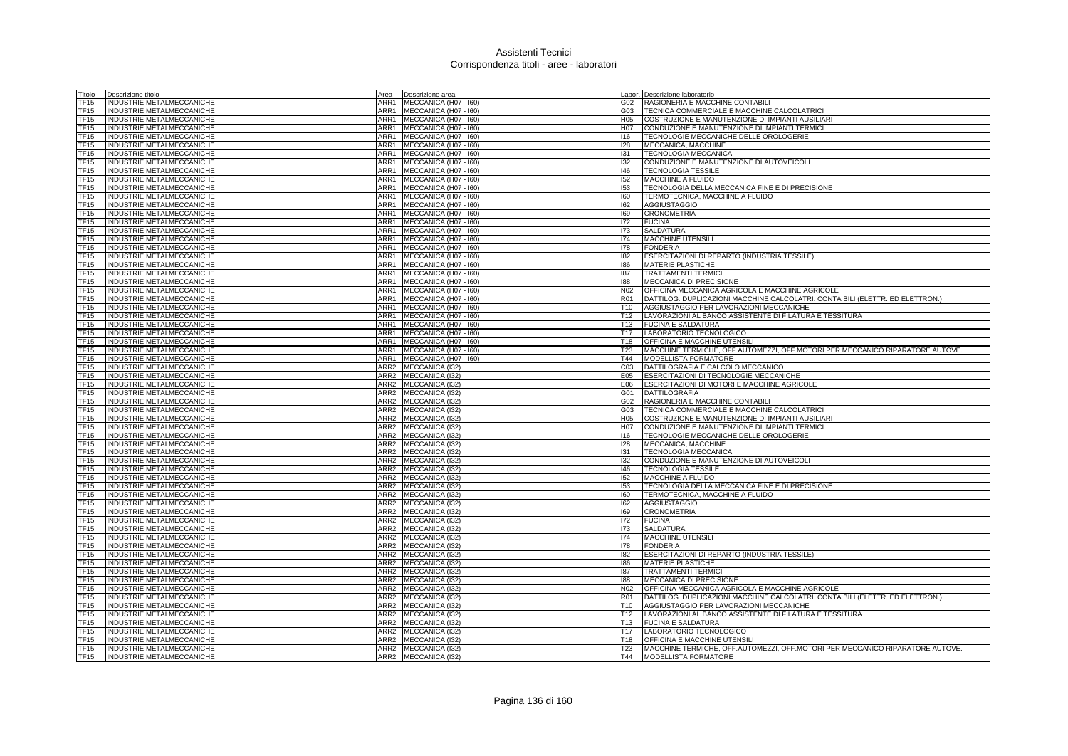| Titolo           | Descrizione titolo               | Area             | Descrizione area                   |                 | abor. Descrizione laboratorio                                                 |
|------------------|----------------------------------|------------------|------------------------------------|-----------------|-------------------------------------------------------------------------------|
| TF15             | INDUSTRIE METALMECCANICHE        | ARR1             | MECCANICA (H07 - I60)              | G02             | RAGIONERIA E MACCHINE CONTABILI                                               |
| <b>TF15</b>      | <b>INDUSTRIE METALMECCANICHE</b> | ARR1             | MECCANICA (H07 - I60)              | G03             | TECNICA COMMERCIALE E MACCHINE CALCOLATRICI                                   |
| TF15             | INDUSTRIE METALMECCANICHE        | ARR1             | MECCANICA (H07 - I60)              | H05             | COSTRUZIONE E MANUTENZIONE DI IMPIANTI AUSILIARI                              |
| TF15             | INDUSTRIE METALMECCANICHE        | ARR1             | MECCANICA (H07 - I60)              | H07             | CONDUZIONE E MANUTENZIONE DI IMPIANTI TERMICI                                 |
| TF15             | INDUSTRIE METALMECCANICHE        | ARR1             | MECCANICA (H07 - I60)              | 116             | TECNOLOGIE MECCANICHE DELLE OROLOGERIE                                        |
| TF15             | <b>INDUSTRIE METALMECCANICHE</b> | ARR1             | MECCANICA (H07 - I60)              | 128             | MECCANICA, MACCHINE                                                           |
| TF15             | INDUSTRIE METALMECCANICHE        | ARR1             | MECCANICA (H07 - I60)              | 131             | TECNOLOGIA MECCANICA                                                          |
| <b>TF15</b>      | INDUSTRIE METALMECCANICHE        | ARR1             | MECCANICA (H07 - I60)              | 132             | CONDUZIONE E MANUTENZIONE DI AUTOVEICOLI                                      |
| TF15             | INDUSTRIE METALMECCANICHE        | ARR1             | MECCANICA (H07 - I60)              | 146             | <b>TECNOLOGIA TESSILE</b>                                                     |
| TF <sub>15</sub> | INDUSTRIE METALMECCANICHE        | ARR1             | MECCANICA (H07 - 160)              | 152             | <b>MACCHINE A FLUIDO</b>                                                      |
| TF15             | INDUSTRIE METALMECCANICHE        | ARR1             | MECCANICA (H07 - I60)              | 153             | TECNOLOGIA DELLA MECCANICA FINE E DI PRECISIONE                               |
| <b>TF15</b>      | INDUSTRIE METALMECCANICHE        | ARR1             | MECCANICA (H07 - I60)              | 160             | TERMOTECNICA, MACCHINE A FLUIDO                                               |
| TF15             | INDUSTRIE METALMECCANICHE        | ARR1             | MECCANICA (H07 - I60)              | 162             | AGGIUSTAGGIO                                                                  |
| TF15             | INDUSTRIE METALMECCANICHE        | ARR1             | MECCANICA (H07 - I60)              | 169             | <b>CRONOMETRIA</b>                                                            |
| TF15             | <b>INDUSTRIE METALMECCANICHE</b> | ARR1             | MECCANICA (H07 - I60)              | 172             | <b>FUCINA</b>                                                                 |
| TF15             | INDUSTRIE METALMECCANICHE        | ARR1             | MECCANICA (H07 - 160)              | 173             | <b>SALDATURA</b>                                                              |
| TF15             | <b>INDUSTRIE METALMECCANICHE</b> | ARR1             | MECCANICA (H07 - 160)              | 174             | MACCHINE UTENSILI                                                             |
| TF15             | INDUSTRIE METALMECCANICHE        | ARR1             | MECCANICA (H07 - I60)              | 178             | <b>FONDERIA</b>                                                               |
|                  |                                  | ARR1             |                                    | 182             |                                                                               |
| TF15             | <b>INDUSTRIE METALMECCANICHE</b> |                  | MECCANICA (H07 - I60)              |                 | ESERCITAZIONI DI REPARTO (INDUSTRIA TESSILE)                                  |
| TF15<br>TF15     | INDUSTRIE METALMECCANICHE        | ARR1<br>ARR1     | MECCANICA (H07 - I60)              | 186<br>187      | <b>MATERIE PLASTICHE</b><br><b>TRATTAMENTI TERMICI</b>                        |
|                  | INDUSTRIE METALMECCANICHE        |                  | MECCANICA (H07 - I60)              |                 |                                                                               |
| TF15             | INDUSTRIE METALMECCANICHE        | ARR1             | MECCANICA (H07 - I60)              | 188             | <b>MECCANICA DI PRECISIONE</b>                                                |
| TF15             | INDUSTRIE METALMECCANICHE        | ARR1             | MECCANICA (H07 - I60)              | N02             | OFFICINA MECCANICA AGRICOLA E MACCHINE AGRICOLE                               |
| TF15             | <b>INDUSTRIE METALMECCANICHE</b> | ARR1             | MECCANICA (H07 - I60)              | R01             | DATTILOG. DUPLICAZIONI MACCHINE CALCOLATRI. CONTA BILI (ELETTR. ED ELETTRON.) |
| <b>TF15</b>      | INDUSTRIE METALMECCANICHE        | ARR1             | MECCANICA (H07 - I60)              | T <sub>10</sub> | AGGIUSTAGGIO PER LAVORAZIONI MECCANICHE                                       |
| TF15             | INDUSTRIE METALMECCANICHE        | ARR1             | MECCANICA (H07 - I60)              | T12             | LAVORAZIONI AL BANCO ASSISTENTE DI FILATURA E TESSITURA                       |
| TF15             | INDUSTRIE METALMECCANICHE        | ARR1             | MECCANICA (H07 - 160)              | T13             | <b>FUCINA E SALDATURA</b>                                                     |
| TF15             | INDUSTRIE METALMECCANICHE        | ARR1             | MECCANICA (H07 - 160)              | T <sub>17</sub> | LABORATORIO TECNOLOGICO                                                       |
| TF15             | INDUSTRIE METALMECCANICHE        | ARR1             | MECCANICA (H07 - I60)              | T18             | OFFICINA E MACCHINE UTENSILI                                                  |
| TF15             | INDUSTRIE METALMECCANICHE        | ARR1             | MECCANICA (H07 - I60)              | T23             | MACCHINE TERMICHE, OFF.AUTOMEZZI, OFF.MOTORI PER MECCANICO RIPARATORE AUTOVE. |
| TF15             | INDUSTRIE METALMECCANICHE        | ARR1             | MECCANICA (H07 - I60)              | T44             | MODELLISTA FORMATORE                                                          |
| TF15             | INDUSTRIE METALMECCANICHE        | ARR <sub>2</sub> | MECCANICA (I32)                    | C03             | DATTILOGRAFIA E CALCOLO MECCANICO                                             |
| TF15             | <b>INDUSTRIE METALMECCANICHE</b> | ARR2             | MECCANICA (I32)                    | E05             | ESERCITAZIONI DI TECNOLOGIE MECCANICHE                                        |
| TF15             | INDUSTRIE METALMECCANICHE        | ARR <sub>2</sub> | MECCANICA (132)                    | E06             | ESERCITAZIONI DI MOTORI E MACCHINE AGRICOLE                                   |
| TF15             | INDUSTRIE METALMECCANICHE        | ARR <sub>2</sub> | MECCANICA (I32)                    | G01             | <b>DATTILOGRAFIA</b>                                                          |
| TF15             | INDUSTRIE METALMECCANICHE        | ARR <sub>2</sub> | MECCANICA (I32)                    | G02             | RAGIONERIA E MACCHINE CONTABILI                                               |
| TF15             | INDUSTRIE METALMECCANICHE        | ARR <sub>2</sub> | MECCANICA (I32)                    | G03             | TECNICA COMMERCIALE E MACCHINE CALCOLATRICI                                   |
| <b>TF15</b>      | INDUSTRIE METALMECCANICHE        |                  | ARR2 MECCANICA (132)               | H05             | COSTRUZIONE E MANUTENZIONE DI IMPIANTI AUSILIARI                              |
| TF15             | INDUSTRIE METALMECCANICHE        |                  | ARR2 MECCANICA (I32)               | H07             | CONDUZIONE E MANUTENZIONE DI IMPIANTI TERMICI                                 |
| TF15             | INDUSTRIE METALMECCANICHE        | ARR2             | MECCANICA (I32)                    | 116             | TECNOLOGIE MECCANICHE DELLE OROLOGERIE                                        |
| TF15             | <b>INDUSTRIE METALMECCANICHE</b> | ARR2             | MECCANICA (I32)                    | 128             | MECCANICA, MACCHINE                                                           |
| TF15             | INDUSTRIE METALMECCANICHE        | ARR2             | MECCANICA (I32)                    | 131             | TECNOLOGIA MECCANICA                                                          |
| TF15             | INDUSTRIE METALMECCANICHE        | ARR2             | MECCANICA (I32)                    | 132             | CONDUZIONE E MANUTENZIONE DI AUTOVEICOLI                                      |
| TF15             | INDUSTRIE METALMECCANICHE        | ARR <sub>2</sub> | MECCANICA (I32)                    | 146             | <b>TECNOLOGIA TESSILE</b>                                                     |
| <b>TF15</b>      | INDUSTRIE METALMECCANICHE        | ARR <sub>2</sub> | MECCANICA (I32)                    | 152             | MACCHINE A FLUIDO                                                             |
| TF15             | INDUSTRIE METALMECCANICHE        | ARR2             | MECCANICA (I32)                    | 153             | TECNOLOGIA DELLA MECCANICA FINE E DI PRECISIONE                               |
| TF15             | INDUSTRIE METALMECCANICHE        |                  | ARR2 MECCANICA (I32)               | 160             | TERMOTECNICA, MACCHINE A FLUIDO                                               |
| TF <sub>15</sub> | INDUSTRIE METALMECCANICHE        |                  | ARR2 MECCANICA (I32)               | 162             | <b>AGGIUSTAGGIO</b>                                                           |
| <b>TF15</b>      | INDUSTRIE METALMECCANICHE        | ARR <sub>2</sub> | MECCANICA (132)                    | 169             | <b>CRONOMETRIA</b>                                                            |
| TF15             | <b>INDUSTRIE METALMECCANICHE</b> | ARR <sub>2</sub> | MECCANICA (132)                    | 172             | <b>FUCINA</b>                                                                 |
| TF15             | INDUSTRIE METALMECCANICHE        | ARR <sub>2</sub> | MECCANICA (I32)                    | 173             | <b>SALDATURA</b>                                                              |
| TF15             | INDUSTRIE METALMECCANICHE        | ARR <sub>2</sub> | MECCANICA (I32)                    | 174             | <b>MACCHINE UTENSILI</b>                                                      |
| <b>TF15</b>      | INDUSTRIE METALMECCANICHE        | ARR2             | MECCANICA (I32)                    | 178             | <b>FONDERIA</b>                                                               |
| TF15             | INDUSTRIE METALMECCANICHE        | ARR <sub>2</sub> | MECCANICA (I32)                    | 182             | ESERCITAZIONI DI REPARTO (INDUSTRIA TESSILE)                                  |
| TF15             | INDUSTRIE METALMECCANICHE        | ARR2             | MECCANICA (I32)                    | 186             | <b>MATERIE PLASTICHE</b>                                                      |
| TF15             | INDUSTRIE METALMECCANICHE        |                  | ARR2 MECCANICA (I32)               | 187             | <b>TRATTAMENTI TERMICI</b>                                                    |
| TF15             | <b>INDUSTRIE METALMECCANICHE</b> | ARR2             | MECCANICA (I32)                    | 188             | <b>MECCANICA DI PRECISIONE</b>                                                |
| TF15             | INDUSTRIE METALMECCANICHE        | ARR <sub>2</sub> | MECCANICA (132)                    | N02             | OFFICINA MECCANICA AGRICOLA E MACCHINE AGRICOLE                               |
| TF15             | INDUSTRIE METALMECCANICHE        | ARR2             | MECCANICA (132)                    | R01             | DATTILOG. DUPLICAZIONI MACCHINE CALCOLATRI. CONTA BILI (ELETTR. ED ELETTRON.) |
| TF15             | INDUSTRIE METALMECCANICHE        | ARR <sub>2</sub> |                                    | T <sub>10</sub> | AGGIUSTAGGIO PER LAVORAZIONI MECCANICHE                                       |
| TF15             | INDUSTRIE METALMECCANICHE        | ARR <sub>2</sub> | MECCANICA (I32)<br>MECCANICA (I32) | T12             | LAVORAZIONI AL BANCO ASSISTENTE DI FILATURA E TESSITURA                       |
|                  |                                  | ARR <sub>2</sub> |                                    | T13             |                                                                               |
| <b>TF15</b>      | INDUSTRIE METALMECCANICHE        |                  | MECCANICA (132)                    | T <sub>17</sub> | <b>FUCINA E SALDATURA</b>                                                     |
| TF15             | <b>INDUSTRIE METALMECCANICHE</b> | ARR <sub>2</sub> | MECCANICA (I32)                    | T <sub>18</sub> | LABORATORIO TECNOLOGICO                                                       |
| TF15             | INDUSTRIE METALMECCANICHE        |                  | ARR2 MECCANICA (132)               |                 | OFFICINA E MACCHINE UTENSILI                                                  |
| TF <sub>15</sub> | INDUSTRIE METALMECCANICHE        |                  | ARR2 MECCANICA (I32)               | T23             | MACCHINE TERMICHE, OFF.AUTOMEZZI, OFF.MOTORI PER MECCANICO RIPARATORE AUTOVE. |
| TF15             | INDUSTRIE METALMECCANICHE        |                  | ARR2 MECCANICA (I32)               | T44             | <b>MODELLISTA FORMATORE</b>                                                   |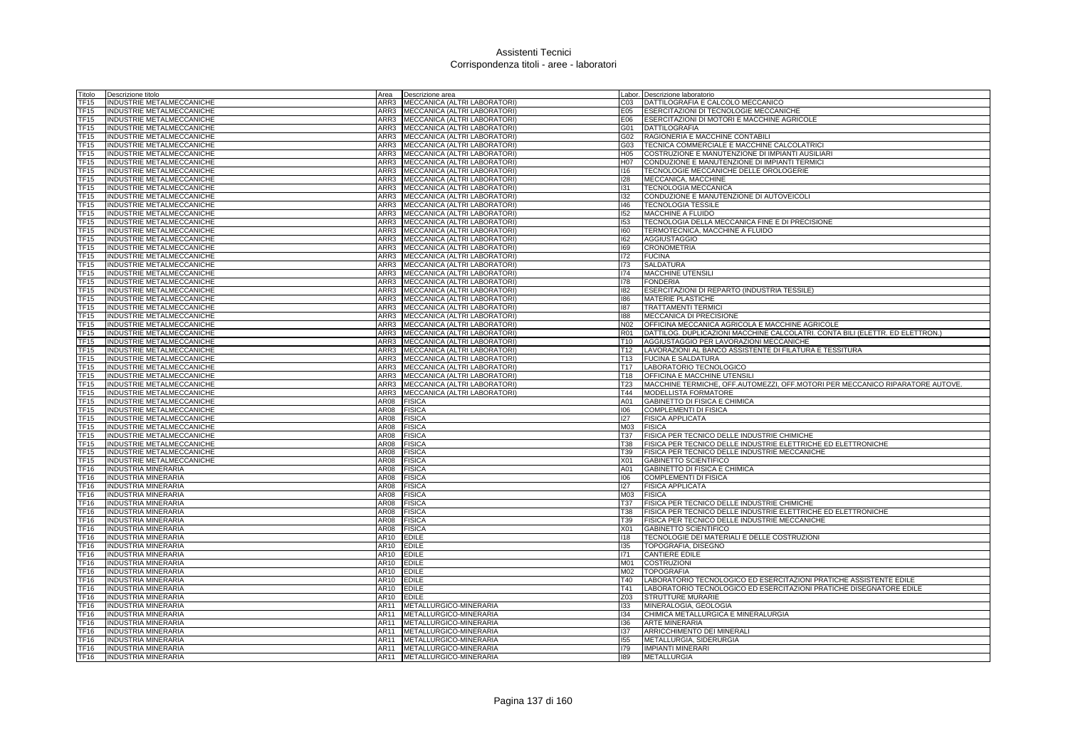| Titolo              | Descrizione titolo                                            |      | Area <b>Descrizione</b> area                                      |                               | Labor. Descrizione laboratorio                                                       |
|---------------------|---------------------------------------------------------------|------|-------------------------------------------------------------------|-------------------------------|--------------------------------------------------------------------------------------|
| TF15                | INDUSTRIE METALMECCANICHE                                     |      | ARR3 MECCANICA (ALTRI LABORATORI)                                 | C <sub>03</sub>               | DATTILOGRAFIA E CALCOLO MECCANICO                                                    |
| TF15                | INDUSTRIE METALMECCANICHE                                     |      | ARR3 MECCANICA (ALTRI LABORATORI)                                 | E05                           | ESERCITAZIONI DI TECNOLOGIE MECCANICHE                                               |
| TF15                | INDUSTRIE METALMECCANICHE                                     |      | ARR3 MECCANICA (ALTRI LABORATORI)                                 | E06                           | ESERCITAZIONI DI MOTORI E MACCHINE AGRICOLE                                          |
| TF15                | INDUSTRIE METALMECCANICHE                                     |      | ARR3 MECCANICA (ALTRI LABORATORI)                                 |                               | G01 DATTILOGRAFIA                                                                    |
| TF15                | INDUSTRIE METALMECCANICHE                                     |      | ARR3 MECCANICA (ALTRI LABORATORI)                                 | G02                           | RAGIONERIA E MACCHINE CONTABILI                                                      |
| TF15                | <b>INDUSTRIE METALMECCANICHE</b>                              |      | ARR3 MECCANICA (ALTRI LABORATORI)                                 | G03                           | TECNICA COMMERCIALE E MACCHINE CALCOLATRICI                                          |
| TF15                | INDUSTRIE METALMECCANICHE                                     |      | ARR3 MECCANICA (ALTRI LABORATORI)                                 | H <sub>05</sub>               | COSTRUZIONE E MANUTENZIONE DI IMPIANTI AUSILIARI                                     |
| TF15                | INDUSTRIE METALMECCANICHE                                     |      | ARR3 MECCANICA (ALTRI LABORATORI)                                 |                               | H07 CONDUZIONE E MANUTENZIONE DI IMPIANTI TERMICI                                    |
| TF15                | INDUSTRIE METALMECCANICHE                                     | ARR3 | MECCANICA (ALTRI LABORATORI)                                      | 116                           | TECNOLOGIE MECCANICHE DELLE OROLOGERIE                                               |
| TF15                | INDUSTRIE METALMECCANICHE                                     | ARR3 | MECCANICA (ALTRI LABORATORI)                                      | 128                           | MECCANICA, MACCHINE                                                                  |
| TF15                | INDUSTRIE METALMECCANICHE                                     |      | ARR3 MECCANICA (ALTRI LABORATORI)                                 | 131                           | <b>TECNOLOGIA MECCANICA</b>                                                          |
| TF15                | INDUSTRIE METALMECCANICHE                                     |      | ARR3 MECCANICA (ALTRI LABORATORI)                                 | 132                           | CONDUZIONE E MANUTENZIONE DI AUTOVEICOLI                                             |
| TF15                | INDUSTRIE METALMECCANICHE                                     |      | ARR3 MECCANICA (ALTRI LABORATORI)                                 | 146                           | <b>TECNOLOGIA TESSILE</b>                                                            |
| <b>TF15</b>         | INDUSTRIE METALMECCANICHE                                     | ARR3 | MECCANICA (ALTRI LABORATORI)                                      | 152                           | MACCHINE A FLUIDO                                                                    |
| TF15                | <b>INDUSTRIE METALMECCANICHE</b>                              |      | ARR3 MECCANICA (ALTRI LABORATORI)                                 | 153                           | TECNOLOGIA DELLA MECCANICA FINE E DI PRECISIONE                                      |
| TF15                | INDUSTRIE METALMECCANICHE                                     |      | ARR3 MECCANICA (ALTRI LABORATORI)                                 | 160                           | TERMOTECNICA, MACCHINE A FLUIDO                                                      |
| TF15                | INDUSTRIE METALMECCANICHE                                     |      | ARR3 MECCANICA (ALTRI LABORATORI)                                 | 162                           | <b>AGGIUSTAGGIO</b>                                                                  |
| <b>TF15</b>         | INDUSTRIE METALMECCANICHE                                     | ARR3 | MECCANICA (ALTRI LABORATORI)                                      | 169                           | <b>CRONOMETRIA</b>                                                                   |
| TF15                | INDUSTRIE METALMECCANICHE                                     |      | ARR3 MECCANICA (ALTRI LABORATORI)                                 | 172                           | <b>FUCINA</b>                                                                        |
| TF15                | INDUSTRIE METALMECCANICHE                                     |      | ARR3 MECCANICA (ALTRI LABORATORI)                                 | 173                           | <b>SALDATURA</b>                                                                     |
| TF15                | INDUSTRIE METALMECCANICHE                                     |      | ARR3 MECCANICA (ALTRI LABORATORI)                                 | 174                           | <b>MACCHINE UTENSILI</b>                                                             |
| TF <sub>15</sub>    | INDUSTRIE METALMECCANICHE                                     | ARR3 | MECCANICA (ALTRI LABORATORI)                                      | 178                           | <b>FONDERIA</b>                                                                      |
| <b>TF15</b>         | INDUSTRIE METALMECCANICHE                                     | ARR3 | MECCANICA (ALTRI LABORATORI)                                      | 182                           | ESERCITAZIONI DI REPARTO (INDUSTRIA TESSILE)                                         |
| TF15                | INDUSTRIE METALMECCANICHE                                     |      | ARR3 MECCANICA (ALTRI LABORATORI)                                 | 186                           | <b>MATERIE PLASTICHE</b>                                                             |
| TF15                | INDUSTRIE METALMECCANICHE                                     | ARR3 | MECCANICA (ALTRI LABORATORI)                                      | 187                           | <b>TRATTAMENTI TERMIC</b>                                                            |
| TF15                | INDUSTRIE METALMECCANICHE                                     | ARR3 | MECCANICA (ALTRI LABORATORI)                                      | 188                           | MECCANICA DI PRECISIONE                                                              |
| <b>TF15</b>         | INDUSTRIE METALMECCANICHE                                     | ARR3 | MECCANICA (ALTRI LABORATORI)                                      | N <sub>02</sub>               | OFFICINA MECCANICA AGRICOLA E MACCHINE AGRICOLE                                      |
| TF15<br><b>TF15</b> | INDUSTRIE METALMECCANICHE                                     | ARR3 | ARR3 MECCANICA (ALTRI LABORATORI)<br>MECCANICA (ALTRI LABORATORI) | <b>R01</b><br>T <sub>10</sub> | DATTILOG. DUPLICAZIONI MACCHINE CALCOLATRI. CONTA BILI (ELETTR. ED ELETTRON.)        |
| TF <sub>15</sub>    | INDUSTRIE METALMECCANICHE                                     | ARR3 |                                                                   |                               | AGGIUSTAGGIO PER LAVORAZIONI MECCANICHE                                              |
| TF <sub>15</sub>    | INDUSTRIE METALMECCANICHE<br><b>INDUSTRIE METALMECCANICHE</b> | ARR3 | MECCANICA (ALTRI LABORATORI)<br>MECCANICA (ALTRI LABORATORI)      | T12<br>T <sub>13</sub>        | LAVORAZIONI AL BANCO ASSISTENTE DI FILATURA E TESSITURA<br><b>FUCINA E SALDATURA</b> |
| TF <sub>15</sub>    | <b>INDUSTRIE METALMECCANICHE</b>                              |      | ARR3 MECCANICA (ALTRI LABORATORI)                                 | <b>T17</b>                    | LABORATORIO TECNOLOGICO                                                              |
| TF15                | INDUSTRIE METALMECCANICHE                                     | ARR3 | MECCANICA (ALTRI LABORATORI)                                      | T18                           | OFFICINA E MACCHINE UTENSILI                                                         |
| TF15                | INDUSTRIE METALMECCANICHE                                     |      | ARR3 MECCANICA (ALTRI LABORATORI)                                 | T23                           | MACCHINE TERMICHE, OFF.AUTOMEZZI, OFF.MOTORI PER MECCANICO RIPARATORE AUTOVE.        |
| TF15                | INDUSTRIE METALMECCANICHE                                     | ARR3 | MECCANICA (ALTRI LABORATORI)                                      | T44                           | <b>MODELLISTA FORMATORE</b>                                                          |
| TF15                | INDUSTRIE METALMECCANICHE                                     | AR08 | <b>FISICA</b>                                                     | A01                           | GABINETTO DI FISICA E CHIMICA                                                        |
| TF15                | INDUSTRIE METALMECCANICHE                                     | AR08 | <b>FISICA</b>                                                     | 106                           | <b>COMPLEMENTI DI FISICA</b>                                                         |
| TF15                | INDUSTRIE METALMECCANICHE                                     | AR08 | <b>FISICA</b>                                                     | 127                           | <b>FISICA APPLICATA</b>                                                              |
| TF15                | INDUSTRIE METALMECCANICHE                                     | AR08 | <b>FISICA</b>                                                     | M03                           | <b>FISICA</b>                                                                        |
| <b>TF15</b>         | <b>INDUSTRIE METALMECCANICHE</b>                              | AR08 | <b>FISICA</b>                                                     | T37                           | FISICA PER TECNICO DELLE INDUSTRIE CHIMICHE                                          |
| TF15                | INDUSTRIE METALMECCANICHE                                     | AR08 | <b>FISICA</b>                                                     | <b>T38</b>                    | FISICA PER TECNICO DELLE INDUSTRIE ELETTRICHE ED ELETTRONICHE                        |
| TF15                | INDUSTRIE METALMECCANICHE                                     | AR08 | <b>FISICA</b>                                                     | T39                           | FISICA PER TECNICO DELLE INDUSTRIE MECCANICHE                                        |
| TF15                | INDUSTRIE METALMECCANICHE                                     | AR08 | <b>FISICA</b>                                                     | X01                           | GABINETTO SCIENTIFICO                                                                |
| TF16                | <b>INDUSTRIA MINERARIA</b>                                    | AR08 | <b>FISICA</b>                                                     | A01                           | GABINETTO DI FISICA E CHIMICA                                                        |
| TF16                | INDUSTRIA MINERARIA                                           | AR08 | <b>FISICA</b>                                                     | 106                           | <b>COMPLEMENTI DI FISICA</b>                                                         |
| TF16                | <b>INDUSTRIA MINERARIA</b>                                    | AR08 | <b>FISICA</b>                                                     | 127                           | <b>FISICA APPLICATA</b>                                                              |
| TF16                | <b>INDUSTRIA MINERARIA</b>                                    | AR08 | <b>FISICA</b>                                                     | M03                           | <b>FISICA</b>                                                                        |
| <b>TF16</b>         | <b>INDUSTRIA MINERARIA</b>                                    | AR08 | <b>FISICA</b>                                                     | T37                           | FISICA PER TECNICO DELLE INDUSTRIE CHIMICHE                                          |
| TF16                | INDUSTRIA MINERARIA                                           | AR08 | <b>FISICA</b>                                                     | T38                           | FISICA PER TECNICO DELLE INDUSTRIE ELETTRICHE ED ELETTRONICHE                        |
| <b>TF16</b>         | <b>INDUSTRIA MINERARIA</b>                                    | AR08 | <b>FISICA</b>                                                     | T39                           | FISICA PER TECNICO DELLE INDUSTRIE MECCANICHE                                        |
| TF16                | <b>INDUSTRIA MINERARIA</b>                                    | AR08 | <b>FISICA</b>                                                     | X01                           | GABINETTO SCIENTIFICO                                                                |
| <b>TF16</b>         | <b>INDUSTRIA MINERARIA</b>                                    | AR10 | <b>EDILE</b>                                                      | 118                           | TECNOLOGIE DEI MATERIALI E DELLE COSTRUZIONI                                         |
| TF16                | <b>INDUSTRIA MINERARIA</b>                                    | AR10 | <b>EDILE</b>                                                      | 135                           | TOPOGRAFIA, DISEGNO                                                                  |
| TF16                | <b>INDUSTRIA MINERARIA</b>                                    | AR10 | <b>EDILE</b>                                                      | 171                           | <b>CANTIERE EDILE</b>                                                                |
| TF16                | <b>INDUSTRIA MINERARIA</b>                                    | AR10 | <b>EDILE</b>                                                      | M01                           | <b>COSTRUZIONI</b>                                                                   |
| TF16                | <b>INDUSTRIA MINERARIA</b>                                    | AR10 | <b>EDILE</b>                                                      | M02                           | <b>TOPOGRAFIA</b>                                                                    |
| <b>TF16</b>         | <b>INDUSTRIA MINERARIA</b>                                    | AR10 | <b>EDILE</b>                                                      | T40                           | LABORATORIO TECNOLOGICO ED ESERCITAZIONI PRATICHE ASSISTENTE EDILE                   |
| TF16                | <b>INDUSTRIA MINERARIA</b>                                    | AR10 | <b>EDILE</b>                                                      | T41                           | LABORATORIO TECNOLOGICO ED ESERCITAZIONI PRATICHE DISEGNATORE EDILE                  |
| TF16                | INDUSTRIA MINERARIA                                           | AR10 | <b>EDILE</b>                                                      | Z03                           | STRUTTURE MURARIE                                                                    |
| TF16                | INDUSTRIA MINERARIA                                           | AR11 | METALLURGICO-MINERARIA                                            | 133                           | MINERALOGIA, GEOLOGIA                                                                |
| TF16                | INDUSTRIA MINERARIA                                           | AR11 | METALLURGICO-MINERARIA                                            | 134                           | CHIMICA METALLURGICA E MINERALURGIA                                                  |
| TF16                | INDUSTRIA MINERARIA                                           | AR11 | METALLURGICO-MINERARIA                                            | 136                           | <b>ARTE MINERARIA</b>                                                                |
| TF16                | <b>INDUSTRIA MINERARIA</b>                                    | AR11 | METALLURGICO-MINERARIA                                            | 137                           | ARRICCHIMENTO DEI MINERALI                                                           |
| TF16                | NDUSTRIA MINERARIA                                            | AR11 | METALLURGICO-MINERARIA                                            | 155                           | METALLURGIA, SIDERURGIA                                                              |
| TF <sub>16</sub>    | INDUSTRIA MINERARIA                                           | AR11 | METALLURGICO-MINERARIA                                            | 179                           | <b>IMPIANTI MINERARI</b>                                                             |
| <b>TF16</b>         | <b>INDUSTRIA MINERARIA</b>                                    | AR11 | METALLURGICO-MINERARIA                                            | 189                           | <b>METALLURGIA</b>                                                                   |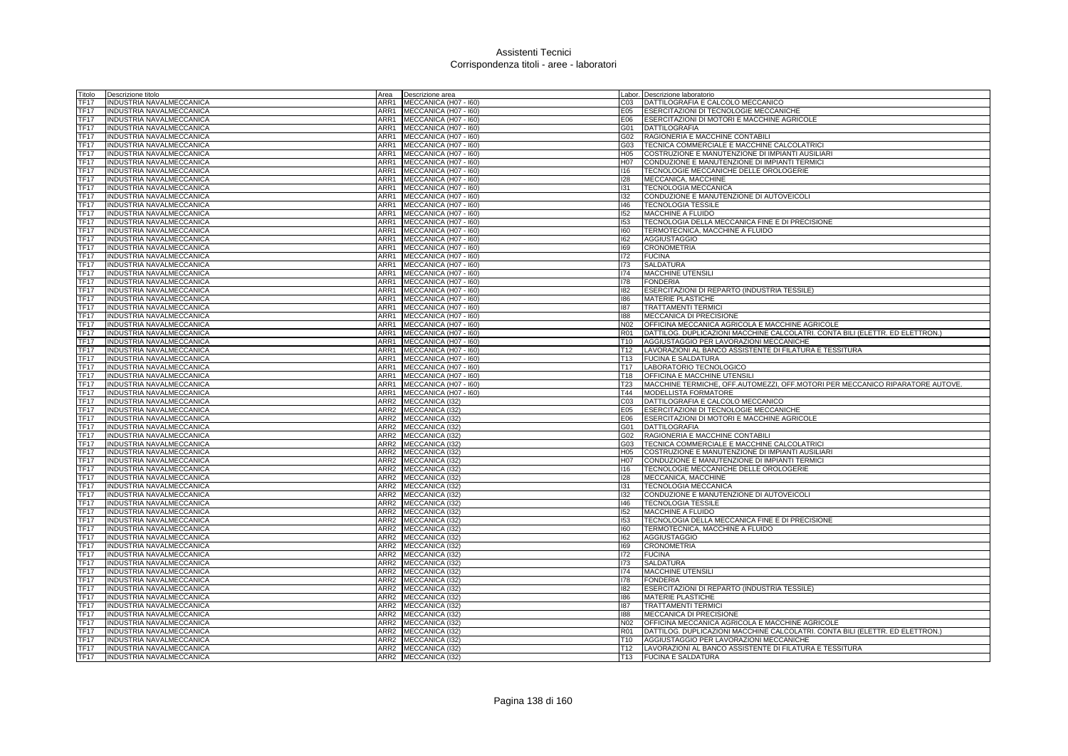| Titolo           | Descrizione titolo              | Area             | Descrizione area      |                  | abor. Descrizione laboratorio                                                 |
|------------------|---------------------------------|------------------|-----------------------|------------------|-------------------------------------------------------------------------------|
| TF17             | INDUSTRIA NAVALMECCANICA        | ARR1             | MECCANICA (H07 - I60) | 203              | DATTILOGRAFIA E CALCOLO MECCANICO                                             |
| <b>TF17</b>      | INDUSTRIA NAVALMECCANICA        | ARR1             | MECCANICA (H07 - I60) | E05              | ESERCITAZIONI DI TECNOLOGIE MECCANICHE                                        |
| <b>TF17</b>      | INDUSTRIA NAVALMECCANICA        | ARR1             | MECCANICA (H07 - I60) | E06              | ESERCITAZIONI DI MOTORI E MACCHINE AGRICOLE                                   |
| <b>TF17</b>      | INDUSTRIA NAVALMECCANICA        | ARR1             | MECCANICA (H07 - I60) | 301              | <b>DATTILOGRAFIA</b>                                                          |
| TF17             | INDUSTRIA NAVALMECCANICA        | ARR1             | MECCANICA (H07 - I60) | G02              | RAGIONERIA E MACCHINE CONTABILI                                               |
| <b>TF17</b>      | INDUSTRIA NAVALMECCANICA        | ARR1             | MECCANICA (H07 - I60) | G03              | TECNICA COMMERCIALE E MACCHINE CALCOLATRICI                                   |
| <b>TF17</b>      | INDUSTRIA NAVALMECCANICA        | ARR1             | MECCANICA (H07 - I60) | H05              | COSTRUZIONE E MANUTENZIONE DI IMPIANTI AUSILIARI                              |
| <b>TF17</b>      | INDUSTRIA NAVALMECCANICA        | ARR1             | MECCANICA (H07 - I60) | H07              | CONDUZIONE E MANUTENZIONE DI IMPIANTI TERMICI                                 |
| TF17             | INDUSTRIA NAVALMECCANICA        | ARR1             | MECCANICA (H07 - I60) | 116              |                                                                               |
|                  |                                 |                  |                       |                  | TECNOLOGIE MECCANICHE DELLE OROLOGERIE                                        |
| TF17             | INDUSTRIA NAVALMECCANICA        | ARR1             | MECCANICA (H07 - I60) | 128              | MECCANICA, MACCHINE                                                           |
| <b>TF17</b>      | INDUSTRIA NAVALMECCANICA        | ARR1             | MECCANICA (H07 - 160) | 131              | TECNOLOGIA MECCANICA                                                          |
| <b>TF17</b>      | INDUSTRIA NAVALMECCANICA        | ARR1             | MECCANICA (H07 - I60) | 132              | CONDUZIONE E MANUTENZIONE DI AUTOVEICOLI                                      |
| <b>TF17</b>      | <b>INDUSTRIA NAVALMECCANICA</b> | ARR1             | MECCANICA (H07 - I60) | 146              | <b>TECNOLOGIA TESSILE</b>                                                     |
| TF <sub>17</sub> | INDUSTRIA NAVALMECCANICA        | ARR1             | MECCANICA (H07 - I60) | 152              | <b>MACCHINE A FLUIDO</b>                                                      |
| TF <sub>17</sub> | INDUSTRIA NAVALMECCANICA        | ARR1             | MECCANICA (H07 - 160) | 153              | TECNOLOGIA DELLA MECCANICA FINE E DI PRECISIONE                               |
| <b>TF17</b>      | <b>INDUSTRIA NAVALMECCANICA</b> | ARR1             | MECCANICA (H07 - 160) | $\overline{160}$ | TERMOTECNICA, MACCHINE A FLUIDO                                               |
| TF17             | INDUSTRIA NAVALMECCANICA        | ARR1             | MECCANICA (H07 - 160) | 162              | AGGIUSTAGGIO                                                                  |
| TF17             | INDUSTRIA NAVALMECCANICA        | ARR1             | MECCANICA (H07 - I60) | 169              | <b>CRONOMETRIA</b>                                                            |
| <b>TF17</b>      | INDUSTRIA NAVALMECCANICA        | ARR1             | MECCANICA (H07 - 160) | 172              | <b>FUCINA</b>                                                                 |
| <b>TF17</b>      | INDUSTRIA NAVALMECCANICA        | ARR1             | MECCANICA (H07 - I60) | 173              | SALDATURA                                                                     |
| TF17             | INDUSTRIA NAVALMECCANICA        | ARR1             | MECCANICA (H07 - 160) | 174              | <b>MACCHINE UTENSILI</b>                                                      |
| <b>TF17</b>      | INDUSTRIA NAVALMECCANICA        | ARR1             | MECCANICA (H07 - I60) | 178              | <b>FONDERIA</b>                                                               |
| TF17             | INDUSTRIA NAVALMECCANICA        | ARR1             | MECCANICA (H07 - I60) | 182              | ESERCITAZIONI DI REPARTO (INDUSTRIA TESSILE)                                  |
| TF17             | INDUSTRIA NAVALMECCANICA        | ARR1             | MECCANICA (H07 - I60) | 186              | MATERIE PLASTICHE                                                             |
| <b>TF17</b>      | INDUSTRIA NAVALMECCANICA        | ARR1             | MECCANICA (H07 - I60) | 187              | <b>TRATTAMENTI TERMIC</b>                                                     |
| <b>TF17</b>      | INDUSTRIA NAVALMECCANICA        | ARR1             | MECCANICA (H07 - 160) | 881              | MECCANICA DI PRECISIONE                                                       |
|                  |                                 |                  |                       |                  |                                                                               |
| TF17             | INDUSTRIA NAVALMECCANICA        | ARR1             | MECCANICA (H07 - I60) | N02              | OFFICINA MECCANICA AGRICOLA E MACCHINE AGRICOLE                               |
| TF17             | NDUSTRIA NAVALMECCANICA         | ARR1             | MECCANICA (H07 - I60) | R01              | DATTILOG. DUPLICAZIONI MACCHINE CALCOLATRI. CONTA BILI (ELETTR. ED ELETTRON.) |
| <b>TF17</b>      | INDUSTRIA NAVALMECCANICA        | ARR1             | MECCANICA (H07 - I60) | T10              | AGGIUSTAGGIO PER LAVORAZIONI MECCANICHE                                       |
| <b>TF17</b>      | INDUSTRIA NAVALMECCANICA        | ARR1             | MECCANICA (H07 - I60) | T12              | LAVORAZIONI AL BANCO ASSISTENTE DI FILATURA E TESSITURA                       |
| TF <sub>17</sub> | INDUSTRIA NAVALMECCANICA        | ARR1             | MECCANICA (H07 - I60) | T13              | <b>FUCINA E SALDATURA</b>                                                     |
| TF <sub>17</sub> | INDUSTRIA NAVALMECCANICA        | ARR1             | MECCANICA (H07 - 160) | T17              | LABORATORIO TECNOLOGICO                                                       |
| <b>TF17</b>      | INDUSTRIA NAVALMECCANICA        | ARR1             | MECCANICA (H07 - 160) | T18              | OFFICINA E MACCHINE UTENSILI                                                  |
| TF17             | INDUSTRIA NAVALMECCANICA        | ARR1             | MECCANICA (H07 - I60) | T23              | MACCHINE TERMICHE, OFF.AUTOMEZZI, OFF.MOTORI PER MECCANICO RIPARATORE AUTOVE. |
| TF17             | INDUSTRIA NAVALMECCANICA        | ARR1             | MECCANICA (H07 - I60) | T44              | MODELLISTA FORMATORE                                                          |
| <b>TF17</b>      | INDUSTRIA NAVALMECCANICA        | ARR2             | MECCANICA (132)       | CO <sub>3</sub>  | DATTILOGRAFIA E CALCOLO MECCANICO                                             |
| <b>TF17</b>      | INDUSTRIA NAVALMECCANICA        | ARR <sub>2</sub> | MECCANICA (I32)       | E05              | ESERCITAZIONI DI TECNOLOGIE MECCANICHE                                        |
| TF17             | INDUSTRIA NAVALMECCANICA        | ARR2             | MECCANICA (I32)       | E06              | ESERCITAZIONI DI MOTORI E MACCHINE AGRICOLE                                   |
| <b>TF17</b>      | INDUSTRIA NAVALMECCANICA        |                  | ARR2 MECCANICA (I32)  | G01              | <b>DATTILOGRAFIA</b>                                                          |
| <b>TF17</b>      | INDUSTRIA NAVALMECCANICA        | ARR <sub>2</sub> | MECCANICA (132)       | G02              | RAGIONERIA E MACCHINE CONTABILI                                               |
| TF17             | INDUSTRIA NAVALMECCANICA        | ARR2             | MECCANICA (I32)       | G03              | TECNICA COMMERCIALE E MACCHINE CALCOLATRICI                                   |
| <b>TF17</b>      | INDUSTRIA NAVALMECCANICA        | ARR <sub>2</sub> | MECCANICA (I32)       | H05              | COSTRUZIONE E MANUTENZIONE DI IMPIANTI AUSILIARI                              |
| TF <sub>17</sub> | INDUSTRIA NAVALMECCANICA        |                  | ARR2 MECCANICA (I32)  | 107              | CONDUZIONE E MANUTENZIONE DI IMPIANTI TERMICI                                 |
| TF17             | INDUSTRIA NAVALMECCANICA        |                  | ARR2 MECCANICA (I32)  | 116              | TECNOLOGIE MECCANICHE DELLE OROLOGERIE                                        |
| <b>TF17</b>      | INDUSTRIA NAVALMECCANICA        | ARR <sub>2</sub> | MECCANICA (I32)       | 128              | MECCANICA, MACCHINE                                                           |
|                  |                                 |                  |                       |                  |                                                                               |
| <b>TF17</b>      | INDUSTRIA NAVALMECCANICA        | ARR <sub>2</sub> | MECCANICA (I32)       | 131              | TECNOLOGIA MECCANICA                                                          |
| <b>TF17</b>      | INDUSTRIA NAVALMECCANICA        |                  | ARR2 MECCANICA (132)  | 132              | CONDUZIONE E MANUTENZIONE DI AUTOVEICOLI                                      |
| TF17             | INDUSTRIA NAVALMECCANICA        |                  | ARR2 MECCANICA (I32)  | 146              | <b>TECNOLOGIA TESSILE</b>                                                     |
| <b>TF17</b>      | INDUSTRIA NAVALMECCANICA        | ARR <sub>2</sub> | MECCANICA (132)       | 152              | <b>MACCHINE A FLUIDO</b>                                                      |
| <b>TF17</b>      | INDUSTRIA NAVALMECCANICA        | ARR <sub>2</sub> | MECCANICA (I32)       | 153              | TECNOLOGIA DELLA MECCANICA FINE E DI PRECISIONE                               |
| TF17             | INDUSTRIA NAVALMECCANICA        | ARR2             | MECCANICA (I32)       | 160              | TERMOTECNICA, MACCHINE A FLUIDO                                               |
| TF17             | INDUSTRIA NAVALMECCANICA        |                  | ARR2 MECCANICA (I32)  | 162              | <b>AGGIUSTAGGIO</b>                                                           |
| <b>TF17</b>      | INDUSTRIA NAVALMECCANICA        | ARR2             | MECCANICA (132)       | 169              | <b>CRONOMETRIA</b>                                                            |
| <b>TF17</b>      | INDUSTRIA NAVALMECCANICA        | ARR <sub>2</sub> | MECCANICA (I32)       | 172              | <b>FUCINA</b>                                                                 |
| <b>TF17</b>      | INDUSTRIA NAVALMECCANICA        | ARR2             | MECCANICA (I32)       | 173              | <b>SALDATURA</b>                                                              |
| <b>TF17</b>      | INDUSTRIA NAVALMECCANICA        |                  | ARR2 MECCANICA (I32)  | 174              | MACCHINE UTENSILI                                                             |
| TF17             | INDUSTRIA NAVALMECCANICA        |                  | ARR2 MECCANICA (I32)  | 178              | <b>FONDERIA</b>                                                               |
| <b>TF17</b>      | INDUSTRIA NAVALMECCANICA        | ARR <sub>2</sub> | MECCANICA (132)       | 182              | ESERCITAZIONI DI REPARTO (INDUSTRIA TESSILE)                                  |
| <b>TF17</b>      | INDUSTRIA NAVALMECCANICA        | ARR2             | MECCANICA (132)       | 186              | <b>MATERIE PLASTICHE</b>                                                      |
| <b>TF17</b>      | INDUSTRIA NAVALMECCANICA        |                  | ARR2 MECCANICA (I32)  | 187              | <b>TRATTAMENTI TERMIC</b>                                                     |
| TF17             | INDUSTRIA NAVALMECCANICA        |                  | ARR2 MECCANICA (I32)  | 188              | MECCANICA DI PRECISIONE                                                       |
| <b>TF17</b>      | INDUSTRIA NAVALMECCANICA        | ARR <sub>2</sub> | MECCANICA (132)       | N02              | OFFICINA MECCANICA AGRICOLA E MACCHINE AGRICOLE                               |
|                  | INDUSTRIA NAVALMECCANICA        | ARR <sub>2</sub> | MECCANICA (I32)       | R01              | DATTILOG. DUPLICAZIONI MACCHINE CALCOLATRI. CONTA BILI (ELETTR. ED ELETTRON.) |
| <b>TF17</b>      |                                 |                  |                       |                  |                                                                               |
| <b>TF17</b>      | INDUSTRIA NAVALMECCANICA        |                  | ARR2 MECCANICA (132)  | T <sub>10</sub>  | AGGIUSTAGGIO PER LAVORAZIONI MECCANICHE                                       |
| <b>TF17</b>      | <b>INDUSTRIA NAVALMECCANICA</b> |                  | ARR2 MECCANICA (I32)  |                  | T12   LAVORAZIONI AL BANCO ASSISTENTE DI FILATURA E TESSITURA                 |
| <b>TF17</b>      | INDUSTRIA NAVALMECCANICA        |                  | ARR2 MECCANICA (I32)  |                  | T13 FUCINA E SALDATURA                                                        |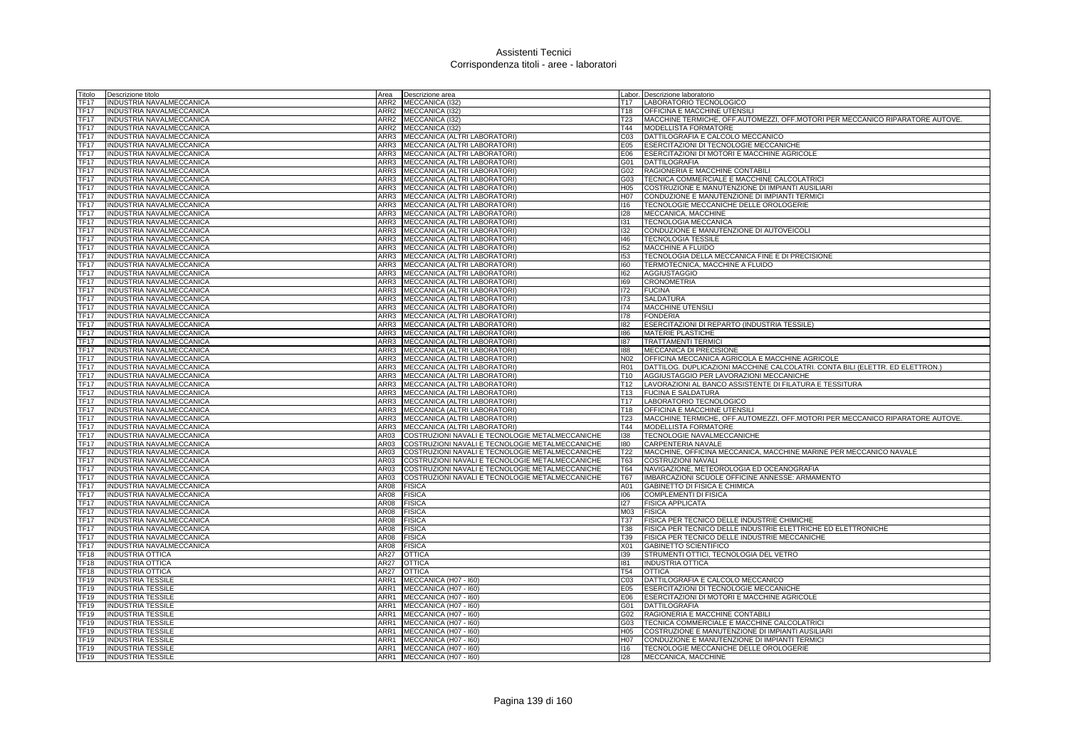| Titolo              | Descrizione titolo                                   | Area             | Descrizione area                                             |                                    | Labor. Descrizione laboratorio                                                |
|---------------------|------------------------------------------------------|------------------|--------------------------------------------------------------|------------------------------------|-------------------------------------------------------------------------------|
| <b>TF17</b>         | INDUSTRIA NAVALMECCANICA                             | ARR <sub>2</sub> | MECCANICA (I32)                                              | T <sub>17</sub>                    | LABORATORIO TECNOLOGICO                                                       |
| <b>TF17</b>         | INDUSTRIA NAVALMECCANICA                             |                  | ARR2 MECCANICA (I32)                                         | T <sub>18</sub>                    | OFFICINA E MACCHINE UTENSILI                                                  |
| <b>TF17</b>         | INDUSTRIA NAVALMECCANICA                             |                  | ARR2 MECCANICA (I32)                                         | T23                                | MACCHINE TERMICHE, OFF.AUTOMEZZI, OFF.MOTORI PER MECCANICO RIPARATORE AUTOVE. |
| TF17                | INDUSTRIA NAVALMECCANICA                             |                  | ARR2 MECCANICA (I32)                                         |                                    | T44 MODELLISTA FORMATORE                                                      |
| <b>TF17</b>         | INDUSTRIA NAVALMECCANICA                             |                  | ARR3 MECCANICA (ALTRI LABORATORI)                            | CO <sub>3</sub>                    | DATTILOGRAFIA E CALCOLO MECCANICO                                             |
| TF17                | NDUSTRIA NAVALMECCANICA                              |                  | ARR3 MECCANICA (ALTRI LABORATORI)                            | E05                                | ESERCITAZIONI DI TECNOLOGIE MECCANICHE                                        |
| <b>TF17</b>         | INDUSTRIA NAVALMECCANICA                             |                  | ARR3 MECCANICA (ALTRI LABORATORI)                            | E06                                | ESERCITAZIONI DI MOTORI E MACCHINE AGRICOLE                                   |
| TF17                | INDUSTRIA NAVALMECCANICA                             |                  | ARR3 MECCANICA (ALTRI LABORATORI)                            | G01                                | <b>DATTILOGRAFIA</b>                                                          |
| <b>TF17</b>         | INDUSTRIA NAVALMECCANICA                             | ARR3             | MECCANICA (ALTRI LABORATORI)                                 | G02                                | RAGIONERIA E MACCHINE CONTABILI                                               |
| <b>TF17</b>         | NDUSTRIA NAVALMECCANICA                              | ARR3             | MECCANICA (ALTRI LABORATORI)                                 | G03                                | TECNICA COMMERCIALE E MACCHINE CALCOLATRICI                                   |
| TF17                | INDUSTRIA NAVALMECCANICA                             |                  | ARR3 MECCANICA (ALTRI LABORATORI)                            | H05                                | COSTRUZIONE E MANUTENZIONE DI IMPIANTI AUSILIARI                              |
| <b>TF17</b>         | INDUSTRIA NAVALMECCANICA                             |                  | ARR3 MECCANICA (ALTRI LABORATORI)                            | H07                                | CONDUZIONE E MANUTENZIONE DI IMPIANTI TERMICI                                 |
| TF17                | INDUSTRIA NAVALMECCANICA                             |                  | ARR3 MECCANICA (ALTRI LABORATORI)                            | 116                                | TECNOLOGIE MECCANICHE DELLE OROLOGERIE                                        |
| <b>TF17</b>         | INDUSTRIA NAVALMECCANICA                             |                  | ARR3 MECCANICA (ALTRI LABORATORI)                            | 128                                | MECCANICA, MACCHINE                                                           |
| TF17                | INDUSTRIA NAVALMECCANICA                             |                  | ARR3 MECCANICA (ALTRI LABORATORI)                            | 131                                | TECNOLOGIA MECCANICA                                                          |
| <b>TF17</b>         | INDUSTRIA NAVALMECCANICA                             |                  | ARR3 MECCANICA (ALTRI LABORATORI)                            | 132                                | CONDUZIONE E MANUTENZIONE DI AUTOVEICOLI                                      |
| TF17                | INDUSTRIA NAVALMECCANICA                             |                  | ARR3 MECCANICA (ALTRI LABORATORI)                            | 146                                | <b>TECNOLOGIA TESSILE</b>                                                     |
| <b>TF17</b>         | INDUSTRIA NAVALMECCANICA                             | ARR3             | MECCANICA (ALTRI LABORATORI)                                 | 152                                | MACCHINE A FLUIDO                                                             |
| <b>TF17</b>         | INDUSTRIA NAVALMECCANICA                             |                  | ARR3 MECCANICA (ALTRI LABORATORI)                            | 153                                | TECNOLOGIA DELLA MECCANICA FINE E DI PRECISIONE                               |
| <b>TF17</b>         | INDUSTRIA NAVALMECCANICA                             |                  | ARR3 MECCANICA (ALTRI LABORATORI)                            | 160                                | TERMOTECNICA, MACCHINE A FLUIDO                                               |
| <b>TF17</b>         | INDUSTRIA NAVALMECCANICA                             |                  | ARR3 MECCANICA (ALTRI LABORATORI)                            | 162                                | <b>AGGIUSTAGGIO</b>                                                           |
| TF17                |                                                      |                  |                                                              |                                    |                                                                               |
|                     | INDUSTRIA NAVALMECCANICA                             | ARR3             | MECCANICA (ALTRI LABORATORI)                                 | 169                                | <b>CRONOMETRIA</b>                                                            |
| <b>TF17</b>         | INDUSTRIA NAVALMECCANICA                             | ARR3             | MECCANICA (ALTRI LABORATORI)                                 | 172                                | <b>FUCINA</b>                                                                 |
| <b>TF17</b>         | INDUSTRIA NAVALMECCANICA                             |                  | ARR3 MECCANICA (ALTRI LABORATORI)                            | 173                                | SALDATURA                                                                     |
| <b>TF17</b>         | INDUSTRIA NAVALMECCANICA                             |                  | ARR3 MECCANICA (ALTRI LABORATORI)                            | 174                                | <b>MACCHINE UTENSILI</b>                                                      |
| TF17                | INDUSTRIA NAVALMECCANICA                             |                  | ARR3 MECCANICA (ALTRI LABORATORI)                            | 178                                | <b>FONDERIA</b>                                                               |
| <b>TF17</b>         | INDUSTRIA NAVALMECCANICA                             | ARR3             | MECCANICA (ALTRI LABORATORI)                                 | 182                                | ESERCITAZIONI DI REPARTO (INDUSTRIA TESSILE)                                  |
| TF17                | INDUSTRIA NAVALMECCANICA                             |                  | ARR3 MECCANICA (ALTRI LABORATORI)                            | 186                                | <b>MATERIE PLASTICHE</b>                                                      |
| <b>TF17</b>         | INDUSTRIA NAVALMECCANICA                             |                  | ARR3 MECCANICA (ALTRI LABORATORI)                            | 187                                | <b>TRATTAMENTI TERMICI</b>                                                    |
| TF17                | INDUSTRIA NAVALMECCANICA                             |                  | ARR3 MECCANICA (ALTRI LABORATORI)                            | 188                                | MECCANICA DI PRECISIONE                                                       |
| <b>TF17</b>         | INDUSTRIA NAVALMECCANICA                             | ARR3             | MECCANICA (ALTRI LABORATORI)                                 | N <sub>02</sub><br>R <sub>01</sub> | OFFICINA MECCANICA AGRICOLA E MACCHINE AGRICOLE                               |
| <b>TF17</b><br>TF17 | INDUSTRIA NAVALMECCANICA                             | ARR3             | MECCANICA (ALTRI LABORATORI)                                 |                                    | DATTILOG. DUPLICAZIONI MACCHINE CALCOLATRI. CONTA BILI (ELETTR. ED ELETTRON.) |
| <b>TF17</b>         | INDUSTRIA NAVALMECCANICA                             | ARR3             | MECCANICA (ALTRI LABORATORI)                                 | T10<br>T12                         | AGGIUSTAGGIO PER LAVORAZIONI MECCANICHE                                       |
| TF17                | INDUSTRIA NAVALMECCANICA                             | ARR3             | ARR3 MECCANICA (ALTRI LABORATORI)                            |                                    | LAVORAZIONI AL BANCO ASSISTENTE DI FILATURA E TESSITURA                       |
| <b>TF17</b>         | INDUSTRIA NAVALMECCANICA<br>INDUSTRIA NAVALMECCANICA | ARR3             | MECCANICA (ALTRI LABORATORI)<br>MECCANICA (ALTRI LABORATORI) | T13<br><b>T17</b>                  | <b>FUCINA E SALDATURA</b><br>LABORATORIO TECNOLOGICO                          |
| TF17                | INDUSTRIA NAVALMECCANICA                             |                  | ARR3 MECCANICA (ALTRI LABORATORI)                            | T18                                | OFFICINA E MACCHINE UTENSILI                                                  |
| <b>TF17</b>         | INDUSTRIA NAVALMECCANICA                             |                  | ARR3 MECCANICA (ALTRI LABORATORI)                            | T23                                | MACCHINE TERMICHE, OFF.AUTOMEZZI, OFF.MOTORI PER MECCANICO RIPARATORE AUTOVE. |
| TF17                | INDUSTRIA NAVALMECCANICA                             |                  | ARR3 MECCANICA (ALTRI LABORATORI)                            | T44                                | MODELLISTA FORMATORE                                                          |
| <b>TF17</b>         | INDUSTRIA NAVALMECCANICA                             | AR03             | COSTRUZIONI NAVALI E TECNOLOGIE METALMECCANICHE              | 138                                | TECNOLOGIE NAVALMECCANICHE                                                    |
| TF17                | INDUSTRIA NAVALMECCANICA                             | AR03             | COSTRUZIONI NAVALI E TECNOLOGIE METALMECCANICHE              | 180                                | CARPENTERIA NAVALE                                                            |
| <b>TF17</b>         | INDUSTRIA NAVALMECCANICA                             | AR03             | COSTRUZIONI NAVALI E TECNOLOGIE METALMECCANICHE              | T22                                | MACCHINE, OFFICINA MECCANICA, MACCHINE MARINE PER MECCANICO NAVALE            |
| <b>TF17</b>         | INDUSTRIA NAVALMECCANICA                             | AR03             | COSTRUZIONI NAVALI E TECNOLOGIE METALMECCANICHE              | T63                                | <b>COSTRUZIONI NAVALI</b>                                                     |
| TF17                | INDUSTRIA NAVALMECCANICA                             | AR03             | COSTRUZIONI NAVALI E TECNOLOGIE METALMECCANICHE              | T64                                | NAVIGAZIONE, METEOROLOGIA ED OCEANOGRAFIA                                     |
| <b>TF17</b>         | INDUSTRIA NAVALMECCANICA                             | AR03             | COSTRUZIONI NAVALI E TECNOLOGIE METALMECCANICHE              | T67                                | IMBARCAZIONI SCUOLE OFFICINE ANNESSE: ARMAMENTO                               |
| TF17                | INDUSTRIA NAVALMECCANICA                             | AR08             | <b>FISICA</b>                                                | A01                                | GABINETTO DI FISICA E CHIMICA                                                 |
| <b>TF17</b>         | INDUSTRIA NAVALMECCANICA                             | AR08             | <b>FISICA</b>                                                | 106                                | <b>COMPLEMENTI DI FISICA</b>                                                  |
| TF17                | INDUSTRIA NAVALMECCANICA                             | AR08             | <b>FISICA</b>                                                | 127                                | <b>FISICA APPLICATA</b>                                                       |
| <b>TF17</b>         | INDUSTRIA NAVALMECCANICA                             | AR08             | <b>FISICA</b>                                                | M03                                | <b>FISICA</b>                                                                 |
| <b>TF17</b>         | INDUSTRIA NAVALMECCANICA                             | AR08             | <b>FISICA</b>                                                | T37                                | FISICA PER TECNICO DELLE INDUSTRIE CHIMICHE                                   |
| <b>TF17</b>         | INDUSTRIA NAVALMECCANICA                             | AR08             | <b>FISICA</b>                                                | T38                                | FISICA PER TECNICO DELLE INDUSTRIE ELETTRICHE ED ELETTRONICHE                 |
| TF17                | INDUSTRIA NAVALMECCANICA                             | AR08             | <b>FISICA</b>                                                | T39                                | FISICA PER TECNICO DELLE INDUSTRIE MECCANICHE                                 |
| <b>TF17</b>         | INDUSTRIA NAVALMECCANICA                             | AR08             | <b>FISICA</b>                                                | <b>X01</b>                         | <b>GABINETTO SCIENTIFICO</b>                                                  |
| TF <sub>18</sub>    | <b>INDUSTRIA OTTICA</b>                              | AR27             | <b>OTTICA</b>                                                | 139                                | STRUMENTI OTTICI, TECNOLOGIA DEL VETRO                                        |
| TF <sub>18</sub>    | <b>INDUSTRIA OTTICA</b>                              | AR27             | <b>OTTICA</b>                                                | 181                                | <b>INDUSTRIA OTTICA</b>                                                       |
| TF18                | <b>INDUSTRIA OTTICA</b>                              | AR27             | <b>OTTICA</b>                                                | <b>T54</b>                         | <b>OTTICA</b>                                                                 |
| TF19                | <b>INDUSTRIA TESSILE</b>                             | ARR1             | MECCANICA (H07 - I60)                                        | C <sub>03</sub>                    | DATTILOGRAFIA E CALCOLO MECCANICO                                             |
| <b>TF19</b>         | <b>INDUSTRIA TESSILE</b>                             | ARR1             | MECCANICA (H07 - I60)                                        | E05                                | <b>ESERCITAZIONI DI TECNOLOGIE MECCANICHE</b>                                 |
| TF19                | <b>INDUSTRIA TESSILE</b>                             | ARR1             | MECCANICA (H07 - I60)                                        | E06                                | ESERCITAZIONI DI MOTORI E MACCHINE AGRICOLE                                   |
| TF19                | <b>INDUSTRIA TESSILE</b>                             | ARR1             | MECCANICA (H07 - I60)                                        | G01                                | <b>DATTILOGRAFIA</b>                                                          |
| TF19                | <b>INDUSTRIA TESSILE</b>                             | ARR1             | MECCANICA (H07 - I60)                                        | G02                                | RAGIONERIA E MACCHINE CONTABILI                                               |
| <b>TF19</b>         | <b>INDUSTRIA TESSILE</b>                             | ARR1             | MECCANICA (H07 - I60)                                        | G03                                | TECNICA COMMERCIALE E MACCHINE CALCOLATRICI                                   |
| TF19                | <b>INDUSTRIA TESSILE</b>                             | ARR1             | MECCANICA (H07 - I60)                                        | H05                                | COSTRUZIONE E MANUTENZIONE DI IMPIANTI AUSILIARI                              |
| TF19                | <b>INDUSTRIA TESSILE</b>                             |                  | ARR1 MECCANICA (H07 - 160)                                   | H <sub>0</sub> 7                   | CONDUZIONE E MANUTENZIONE DI IMPIANTI TERMICI                                 |
| TF <sub>19</sub>    | <b>INDUSTRIA TESSILE</b>                             |                  | ARR1 MECCANICA (H07 - 160)                                   | 116                                | TECNOLOGIE MECCANICHE DELLE OROLOGERIE                                        |
| TF <sub>19</sub>    | <b>INDUSTRIA TESSILE</b>                             |                  | ARR1 MECCANICA (H07 - 160)                                   | 128                                | MECCANICA, MACCHINE                                                           |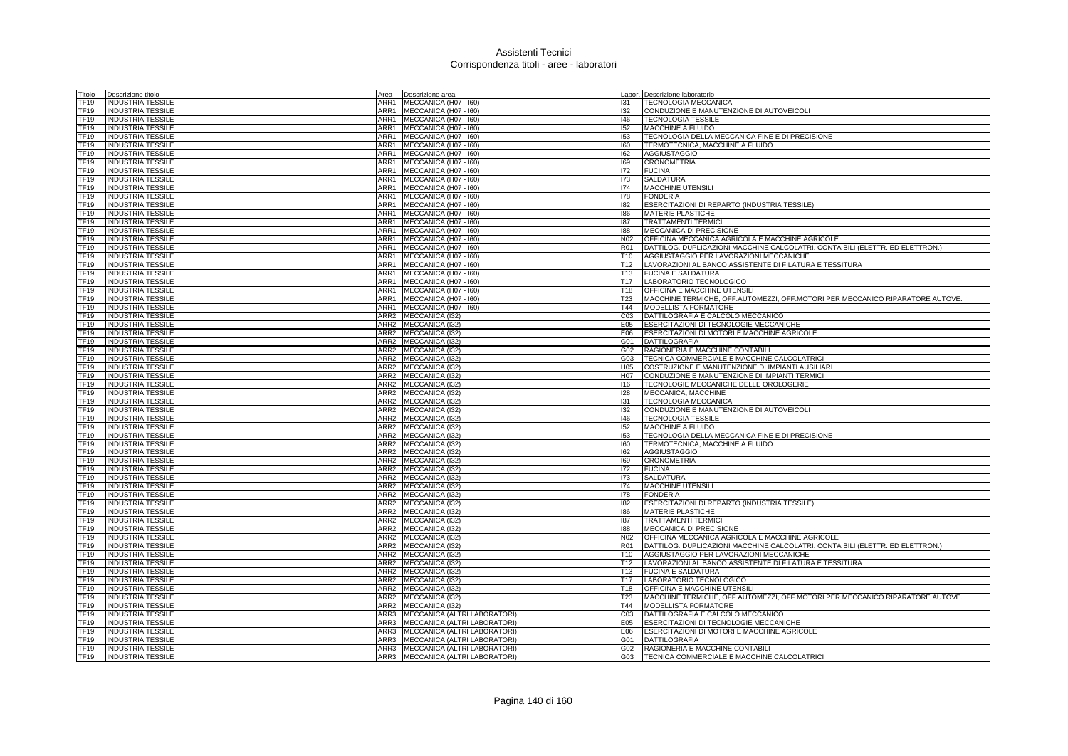| Titolo           | Descrizione titolo                                   | Area             | Descrizione area                  |                 | Labor. Descrizione laboratorio                                                |
|------------------|------------------------------------------------------|------------------|-----------------------------------|-----------------|-------------------------------------------------------------------------------|
| <b>TF19</b>      | INDUSTRIA TESSILE                                    | ARR1             | MECCANICA (H07 - I60)             | 131             | <b>TECNOLOGIA MECCANICA</b>                                                   |
| TF19             | <b>INDUSTRIA TESSILE</b>                             | ARR1             | MECCANICA (H07 - I60)             | 132             | CONDUZIONE E MANUTENZIONE DI AUTOVEICOLI                                      |
| TF19             | <b>INDUSTRIA TESSILE</b>                             | ARR1             | MECCANICA (H07 - I60)             | $ 46\rangle$    | <b>TECNOLOGIA TESSILE</b>                                                     |
| TF19             | <b>INDUSTRIA TESSILE</b>                             |                  | ARR1 MECCANICA (H07 - 160)        | 152             | MACCHINE A FLUIDO                                                             |
| TF19             | <b>INDUSTRIA TESSILE</b>                             | ARR1             | MECCANICA (H07 - I60)             | 153             | TECNOLOGIA DELLA MECCANICA FINE E DI PRECISIONE                               |
| TF19             | <b>INDUSTRIA TESSILE</b>                             | ARR1             | MECCANICA (H07 - I60)             | 160             | TERMOTECNICA, MACCHINE A FLUIDO                                               |
| TF19             | <b>INDUSTRIA TESSILE</b>                             | ARR1             | MECCANICA (H07 - I60)             | 162             | AGGIUSTAGGIO                                                                  |
| TF19             | <b>INDUSTRIA TESSILE</b>                             | ARR1             | MECCANICA (H07 - I60)             | 169             | <b>CRONOMETRIA</b>                                                            |
| TF19             | <b>INDUSTRIA TESSILE</b>                             | ARR1             | MECCANICA (H07 - 160)             | 172             | <b>FUCINA</b>                                                                 |
| TF19             | <b>INDUSTRIA TESSILE</b>                             | ARR1             | MECCANICA (H07 - I60)             | 173             | <b>SALDATURA</b>                                                              |
| TF19             | <b>INDUSTRIA TESSILE</b>                             | ARR1             | MECCANICA (H07 - 160)             | 174             | <b>MACCHINE UTENSILI</b>                                                      |
| <b>TF19</b>      | <b>INDUSTRIA TESSILE</b>                             |                  | ARR1 MECCANICA (H07 - 160)        | 178             | <b>FONDERIA</b>                                                               |
| TF <sub>19</sub> | <b>INDUSTRIA TESSILE</b>                             | ARR1             | MECCANICA (H07 - I60)             | 182             | ESERCITAZIONI DI REPARTO (INDUSTRIA TESSILE)                                  |
| <b>TF19</b>      | <b>INDUSTRIA TESSILE</b>                             | ARR1             | MECCANICA (H07 - I60)             | 186             | <b>MATERIE PLASTICHE</b>                                                      |
| <b>TF19</b>      | <b>INDUSTRIA TESSILE</b>                             | ARR1             | MECCANICA (H07 - I60)             | 187             | <b>TRATTAMENTI TERMICI</b>                                                    |
| <b>TF19</b>      | <b>INDUSTRIA TESSILE</b>                             | ARR1             | MECCANICA (H07 - I60)             | 188             | MECCANICA DI PRECISIONE                                                       |
| TF19             | <b>INDUSTRIA TESSILE</b>                             | ARR1             | MECCANICA (H07 - I60)             |                 | N02 OFFICINA MECCANICA AGRICOLA E MACCHINE AGRICOLE                           |
| <b>TF19</b>      | <b>INDUSTRIA TESSILE</b>                             | ARR1             | MECCANICA (H07 - I60)             | <b>R01</b>      | DATTILOG. DUPLICAZIONI MACCHINE CALCOLATRI. CONTA BILI (ELETTR. ED ELETTRON.) |
| TF19             | <b>INDUSTRIA TESSILE</b>                             | ARR1             | MECCANICA (H07 - I60)             | T10             | AGGIUSTAGGIO PER LAVORAZIONI MECCANICHE                                       |
| TF19             | <b>INDUSTRIA TESSILE</b>                             |                  | ARR1 MECCANICA (H07 - 160)        | T <sub>12</sub> | LAVORAZIONI AL BANCO ASSISTENTE DI FILATURA E TESSITURA                       |
| TF <sub>19</sub> | <b>INDUSTRIA TESSILE</b>                             | ARR1             | MECCANICA (H07 - 160)             | T13             | <b>FUCINA E SALDATURA</b>                                                     |
| TF <sub>19</sub> | <b>INDUSTRIA TESSILE</b>                             | ARR1             | MECCANICA (H07 - I60)             | T <sub>17</sub> | LABORATORIO TECNOLOGICO                                                       |
| <b>TF19</b>      | <b>INDUSTRIA TESSILE</b>                             | ARR1             | MECCANICA (H07 - I60)             | T <sub>18</sub> | OFFICINA E MACCHINE UTENSILI                                                  |
| <b>TF19</b>      | INDUSTRIA TESSILE                                    | ARR1             | MECCANICA (H07 - I60)             | T23             | MACCHINE TERMICHE, OFF.AUTOMEZZI, OFF.MOTORI PER MECCANICO RIPARATORE AUTOVE. |
| TF19             | <b>INDUSTRIA TESSILE</b>                             | ARR1             | MECCANICA (H07 - I60)             | T44             | MODELLISTA FORMATORE                                                          |
| TF <sub>19</sub> | <b>INDUSTRIA TESSILE</b>                             | ARR <sub>2</sub> | MECCANICA (132)                   | CO <sub>3</sub> | DATTILOGRAFIA E CALCOLO MECCANICO                                             |
| <b>TF19</b>      | <b>INDUSTRIA TESSILE</b>                             | ARR <sub>2</sub> | MECCANICA (I32)                   | E05             | ESERCITAZIONI DI TECNOLOGIE MECCANICHE                                        |
| TF <sub>19</sub> | <b>INDUSTRIA TESSILE</b>                             |                  | ARR2 MECCANICA (I32)              | E06             | ESERCITAZIONI DI MOTORI E MACCHINE AGRICOLE                                   |
| TF19             | <b>INDUSTRIA TESSILE</b>                             |                  | ARR2 MECCANICA (I32)              | G01             | <b>DATTILOGRAFIA</b>                                                          |
| TF <sub>19</sub> | <b>INDUSTRIA TESSILE</b>                             | ARR2             | MECCANICA (I32)                   | G02             | RAGIONERIA E MACCHINE CONTABILI                                               |
| <b>TF19</b>      | <b>INDUSTRIA TESSILE</b>                             |                  | ARR2 MECCANICA (I32)              | G03             | TECNICA COMMERCIALE E MACCHINE CALCOLATRICI                                   |
| TF <sub>19</sub> | <b>INDUSTRIA TESSILE</b>                             |                  | ARR2 MECCANICA (I32)              | H <sub>05</sub> | COSTRUZIONE E MANUTENZIONE DI IMPIANTI AUSILIARI                              |
| TF19             | <b>INDUSTRIA TESSILE</b>                             |                  | ARR2 MECCANICA (I32)              | H07             | CONDUZIONE E MANUTENZIONE DI IMPIANTI TERMICI                                 |
| TF19             | <b>INDUSTRIA TESSILE</b>                             |                  | ARR2 MECCANICA (I32)              | 116             | TECNOLOGIE MECCANICHE DELLE OROLOGERIE                                        |
| <b>TF19</b>      | <b>INDUSTRIA TESSILE</b>                             |                  | ARR2 MECCANICA (132)              | 128             | MECCANICA, MACCHINE                                                           |
| TF19             | <b>INDUSTRIA TESSILE</b>                             |                  | ARR2 MECCANICA (I32)              | 131             | <b>TECNOLOGIA MECCANICA</b>                                                   |
| TF19             | <b>INDUSTRIA TESSILE</b>                             |                  | ARR2 MECCANICA (I32)              | 132             | CONDUZIONE E MANUTENZIONE DI AUTOVEICOLI                                      |
| TF19             | <b>INDUSTRIA TESSILE</b>                             |                  | ARR2 MECCANICA (I32)              | 146             | <b>TECNOLOGIA TESSILE</b>                                                     |
| TF19             |                                                      |                  | ARR2 MECCANICA (132)              | 152             | <b>MACCHINE A FLUIDO</b>                                                      |
| <b>TF19</b>      | <b>INDUSTRIA TESSILE</b><br><b>INDUSTRIA TESSILE</b> |                  | ARR2 MECCANICA (I32)              | 153             | TECNOLOGIA DELLA MECCANICA FINE E DI PRECISIONE                               |
| TF19             |                                                      |                  |                                   | 160             |                                                                               |
|                  | <b>INDUSTRIA TESSILE</b>                             |                  | ARR2 MECCANICA (I32)              |                 | TERMOTECNICA, MACCHINE A FLUIDO                                               |
| TF19<br>TF19     | <b>INDUSTRIA TESSILE</b>                             |                  | ARR2 MECCANICA (I32)              | 162             | <b>AGGIUSTAGGIO</b>                                                           |
|                  | <b>INDUSTRIA TESSILE</b>                             | ARR <sub>2</sub> | ARR2 MECCANICA (132)              | 169<br>172      | <b>CRONOMETRIA</b><br><b>FUCINA</b>                                           |
| <b>TF19</b>      | <b>INDUSTRIA TESSILE</b>                             |                  | MECCANICA (I32)                   |                 |                                                                               |
| <b>TF19</b>      | <b>INDUSTRIA TESSILE</b>                             |                  | ARR2 MECCANICA (I32)              | 173             | <b>SALDATURA</b>                                                              |
| <b>TF19</b>      | <b>INDUSTRIA TESSILE</b>                             |                  | ARR2 MECCANICA (I32)              | 174             | <b>MACCHINE UTENSILI</b>                                                      |
| TF <sub>19</sub> | <b>INDUSTRIA TESSILE</b>                             |                  | ARR2 MECCANICA (I32)              | 178             | <b>FONDERIA</b>                                                               |
| <b>TF19</b>      | <b>INDUSTRIA TESSILE</b>                             | ARR <sub>2</sub> | MECCANICA (I32)                   | 182             | ESERCITAZIONI DI REPARTO (INDUSTRIA TESSILE)                                  |
| <b>TF19</b>      | <b>INDUSTRIA TESSILE</b>                             |                  | ARR2 MECCANICA (I32)              | 186             | <b>MATERIE PLASTICHE</b>                                                      |
| <b>TF19</b>      | <b>INDUSTRIA TESSILE</b>                             |                  | ARR2 MECCANICA (I32)              | 187             | <b>TRATTAMENTI TERMICI</b>                                                    |
| TF19             | <b>INDUSTRIA TESSILE</b>                             |                  | ARR2 MECCANICA (I32)              | 188             | MECCANICA DI PRECISIONE                                                       |
| <b>TF19</b>      | <b>INDUSTRIA TESSILE</b>                             | ARR <sub>2</sub> | MECCANICA (I32)                   | N <sub>02</sub> | OFFICINA MECCANICA AGRICOLA E MACCHINE AGRICOLE                               |
| <b>TF19</b>      | <b>INDUSTRIA TESSILE</b>                             |                  | ARR2 MECCANICA (I32)              | <b>R01</b>      | DATTILOG. DUPLICAZIONI MACCHINE CALCOLATRI. CONTA BILI (ELETTR. ED ELETTRON.) |
| TF19             | <b>INDUSTRIA TESSILE</b>                             |                  | ARR2 MECCANICA (I32)              | T10             | AGGIUSTAGGIO PER LAVORAZIONI MECCANICHE                                       |
| TF19             | <b>INDUSTRIA TESSILE</b>                             |                  | ARR2 MECCANICA (I32)              | T <sub>12</sub> | LAVORAZIONI AL BANCO ASSISTENTE DI FILATURA E TESSITURA                       |
| TF19             | <b>INDUSTRIA TESSILE</b>                             | ARR <sub>2</sub> | MECCANICA (132)                   | T <sub>13</sub> | <b>FUCINA E SALDATURA</b>                                                     |
| <b>TF19</b>      | <b>INDUSTRIA TESSILE</b>                             | ARR2             | MECCANICA (I32)                   | T <sub>17</sub> | LABORATORIO TECNOLOGICO                                                       |
| <b>TF19</b>      | INDUSTRIA TESSILE                                    |                  | ARR2 MECCANICA (I32)              | T18             | OFFICINA E MACCHINE UTENSILI                                                  |
| TF19             | <b>INDUSTRIA TESSILE</b>                             | ARR <sub>2</sub> | MECCANICA (I32)                   | T <sub>23</sub> | MACCHINE TERMICHE, OFF.AUTOMEZZI, OFF.MOTORI PER MECCANICO RIPARATORE AUTOVE. |
| TF19             | <b>INDUSTRIA TESSILE</b>                             | ARR2             | MECCANICA (132)                   | T44             | MODELLISTA FORMATORE                                                          |
| <b>TF19</b>      | <b>INDUSTRIA TESSILE</b>                             | ARR3             | MECCANICA (ALTRI LABORATORI)      | CO <sub>3</sub> | DATTILOGRAFIA E CALCOLO MECCANICO                                             |
| TF19             | <b>INDUSTRIA TESSILE</b>                             |                  | ARR3 MECCANICA (ALTRI LABORATORI) | E05             | ESERCITAZIONI DI TECNOLOGIE MECCANICHE                                        |
| TF19             | <b>INDUSTRIA TESSILE</b>                             |                  | ARR3 MECCANICA (ALTRI LABORATORI) | E06             | ESERCITAZIONI DI MOTORI E MACCHINE AGRICOLE                                   |
| TF <sub>19</sub> | <b>INDUSTRIA TESSILE</b>                             |                  | ARR3 MECCANICA (ALTRI LABORATORI) | G01             | <b>DATTILOGRAFIA</b>                                                          |
| TF <sub>19</sub> | <b>INDUSTRIA TESSILE</b>                             |                  | ARR3 MECCANICA (ALTRI LABORATORI) | G02             | RAGIONERIA E MACCHINE CONTABILI                                               |
| <b>TF19</b>      | <b>INDUSTRIA TESSILE</b>                             |                  | ARR3 MECCANICA (ALTRI LABORATORI) | G03             | TECNICA COMMERCIALE E MACCHINE CALCOLATRICI                                   |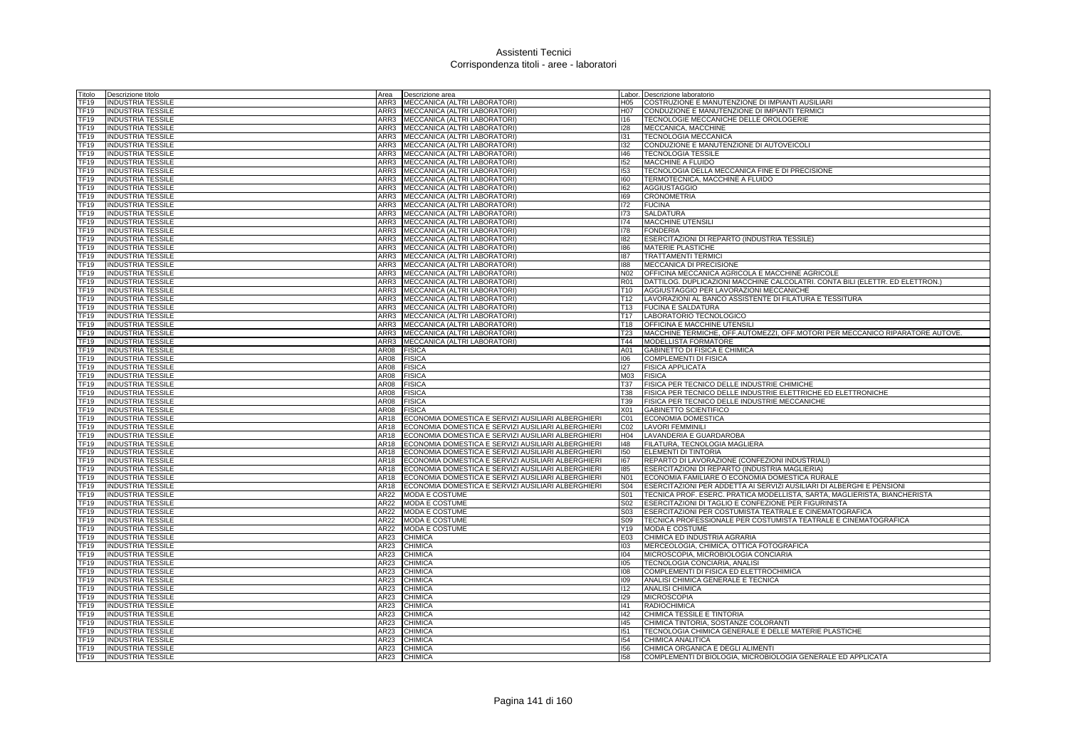| Titolo              | Descrizione titolo                            | Area         | Descrizione area                                                                                         |                        | Labor. Descrizione laboratorio                                                                   |
|---------------------|-----------------------------------------------|--------------|----------------------------------------------------------------------------------------------------------|------------------------|--------------------------------------------------------------------------------------------------|
| <b>TF19</b>         | INDUSTRIA TESSILE                             | ARR3         | MECCANICA (ALTRI LABORATORI)                                                                             | H05                    | COSTRUZIONE E MANUTENZIONE DI IMPIANTI AUSILIARI                                                 |
| <b>TF19</b>         | <b>INDUSTRIA TESSILE</b>                      |              | ARR3 MECCANICA (ALTRI LABORATORI)                                                                        | H07                    | CONDUZIONE E MANUTENZIONE DI IMPIANTI TERMICI                                                    |
| TF19                | <b>INDUSTRIA TESSILE</b>                      |              | ARR3 MECCANICA (ALTRI LABORATORI)                                                                        | 116                    | TECNOLOGIE MECCANICHE DELLE OROLOGERIE                                                           |
| TF19                | INDUSTRIA TESSILE                             |              | ARR3 MECCANICA (ALTRI LABORATORI)                                                                        | 128                    | MECCANICA, MACCHINE                                                                              |
| <b>TF19</b>         | <b>INDUSTRIA TESSILE</b>                      | ARR3         | MECCANICA (ALTRI LABORATORI)                                                                             | 131                    | <b>TECNOLOGIA MECCANICA</b>                                                                      |
| <b>TF19</b>         | <b>INDUSTRIA TESSILE</b>                      |              | ARR3 MECCANICA (ALTRI LABORATORI)                                                                        | 132                    | CONDUZIONE E MANUTENZIONE DI AUTOVEICOLI                                                         |
| <b>TF19</b>         | <b>INDUSTRIA TESSILE</b>                      |              | ARR3 MECCANICA (ALTRI LABORATORI)                                                                        | $ 46\rangle$           | <b>TECNOLOGIA TESSILE</b>                                                                        |
| TF19                | INDUSTRIA TESSILE                             | ARR3         | MECCANICA (ALTRI LABORATORI)                                                                             | 152                    | <b>MACCHINE A FLUIDO</b>                                                                         |
| <b>TF19</b>         | <b>INDUSTRIA TESSILE</b>                      | ARR3         | MECCANICA (ALTRI LABORATORI)                                                                             | 153                    | TECNOLOGIA DELLA MECCANICA FINE E DI PRECISIONE                                                  |
| TF <sub>19</sub>    | <b>INDUSTRIA TESSILE</b>                      |              | ARR3 MECCANICA (ALTRI LABORATORI)                                                                        | 160                    | TERMOTECNICA, MACCHINE A FLUIDO                                                                  |
| TF19                | <b>INDUSTRIA TESSILE</b>                      |              | ARR3 MECCANICA (ALTRI LABORATORI)                                                                        | 162                    | <b>AGGIUSTAGGIO</b>                                                                              |
| TF19                | <b>INDUSTRIA TESSILE</b>                      |              | ARR3 MECCANICA (ALTRI LABORATORI)                                                                        | 169                    | <b>CRONOMETRIA</b>                                                                               |
| TF19                | INDUSTRIA TESSILE                             | ARR3         | MECCANICA (ALTRI LABORATORI)                                                                             | 172                    | <b>FUCINA</b>                                                                                    |
| <b>TF19</b>         | <b>INDUSTRIA TESSILE</b>                      |              | ARR3 MECCANICA (ALTRI LABORATORI)                                                                        | 173                    | SALDATURA                                                                                        |
| TF19                | <b>INDUSTRIA TESSILE</b>                      |              | ARR3 MECCANICA (ALTRI LABORATORI)                                                                        | 174                    | <b>MACCHINE UTENSILI</b>                                                                         |
| TF19                | <b>INDUSTRIA TESSILE</b>                      | ARR3         | MECCANICA (ALTRI LABORATORI)                                                                             | 178                    | <b>FONDERIA</b>                                                                                  |
| TF19                | INDUSTRIA TESSILE                             | ARR3         | MECCANICA (ALTRI LABORATORI)                                                                             | 182                    | ESERCITAZIONI DI REPARTO (INDUSTRIA TESSILE)                                                     |
| TF19                | <b>INDUSTRIA TESSILE</b>                      | ARR3         | MECCANICA (ALTRI LABORATORI)                                                                             | 186                    | MATERIE PLASTICHE                                                                                |
| TF19                | <b>INDUSTRIA TESSILE</b>                      |              | ARR3 MECCANICA (ALTRI LABORATORI)                                                                        | 187                    | <b>TRATTAMENTI TERMICI</b>                                                                       |
| TF19                | <b>INDUSTRIA TESSILE</b>                      | ARR3         | MECCANICA (ALTRI LABORATORI)                                                                             | 188                    | <b>MECCANICA DI PRECISIONE</b>                                                                   |
| TF19                | <b>INDUSTRIA TESSILE</b>                      |              | ARR3 MECCANICA (ALTRI LABORATORI)                                                                        | N02                    | OFFICINA MECCANICA AGRICOLA E MACCHINE AGRICOLE                                                  |
| <b>TF19</b>         | <b>INDUSTRIA TESSILE</b>                      | ARR3         | MECCANICA (ALTRI LABORATORI)                                                                             | <b>R01</b>             | DATTILOG. DUPLICAZIONI MACCHINE CALCOLATRI. CONTA BILI (ELETTR. ED ELETTRON.)                    |
| TF19                | <b>INDUSTRIA TESSILE</b>                      | ARR3         | MECCANICA (ALTRI LABORATORI)                                                                             | T <sub>10</sub>        | AGGIUSTAGGIO PER LAVORAZIONI MECCANICHE                                                          |
| TF19                | <b>INDUSTRIA TESSILE</b>                      |              | ARR3 MECCANICA (ALTRI LABORATORI)                                                                        | T <sub>12</sub>        | LAVORAZIONI AL BANCO ASSISTENTE DI FILATURA E TESSITURA                                          |
| TF <sub>19</sub>    | <b>INDUSTRIA TESSILE</b>                      |              | ARR3 MECCANICA (ALTRI LABORATORI)                                                                        | T13                    | <b>FUCINA E SALDATURA</b>                                                                        |
| <b>TF19</b>         | <b>INDUSTRIA TESSILE</b>                      | ARR3         | MECCANICA (ALTRI LABORATORI)                                                                             | T <sub>17</sub>        | LABORATORIO TECNOLOGICO                                                                          |
| <b>TF19</b>         | <b>INDUSTRIA TESSILE</b>                      | ARR3         | MECCANICA (ALTRI LABORATORI)                                                                             | T <sub>18</sub>        | OFFICINA E MACCHINE UTENSILI                                                                     |
| TF19                | <b>INDUSTRIA TESSILE</b>                      | ARR3         | MECCANICA (ALTRI LABORATORI)                                                                             | T <sub>23</sub>        | MACCHINE TERMICHE, OFF AUTOMEZZI, OFF MOTORI PER MECCANICO RIPARATORE AUTOVE.                    |
| TF <sub>19</sub>    | <b>INDUSTRIA TESSILE</b>                      | ARR3         | MECCANICA (ALTRI LABORATORI)                                                                             | $\overline{T}44$       | MODELLISTA FORMATORE                                                                             |
| TF <sub>19</sub>    | <b>INDUSTRIA TESSILE</b>                      | AR08         | <b>FISICA</b>                                                                                            | A01                    | <b>GABINETTO DI FISICA E CHIMICA</b>                                                             |
| <b>TF19</b>         | <b>INDUSTRIA TESSILE</b>                      | <b>AR08</b>  | <b>FISICA</b>                                                                                            | 001                    | <b>COMPLEMENTI DI FISICA</b>                                                                     |
| <b>TF19</b>         | <b>INDUSTRIA TESSILE</b>                      | AR08         | <b>FISICA</b>                                                                                            | 127                    | <b>FISICA APPLICATA</b>                                                                          |
| TF19                | <b>INDUSTRIA TESSILE</b>                      | AR08         | <b>FISICA</b>                                                                                            | M <sub>03</sub>        | <b>FISICA</b>                                                                                    |
| TF19                | INDUSTRIA TESSILE                             | AR08         | <b>FISICA</b>                                                                                            | T37                    | FISICA PER TECNICO DELLE INDUSTRIE CHIMICHE                                                      |
| <b>TF19</b>         | <b>INDUSTRIA TESSILE</b>                      | AR08         | <b>FISICA</b>                                                                                            | <b>T38</b>             | FISICA PER TECNICO DELLE INDUSTRIE ELETTRICHE ED ELETTRONICHE                                    |
| <b>TF19</b>         | <b>INDUSTRIA TESSILE</b>                      | AR08         | <b>FISICA</b>                                                                                            | T <sub>39</sub>        | FISICA PER TECNICO DELLE INDUSTRIE MECCANICHE                                                    |
| TF19                |                                               | AR08         | <b>FISICA</b>                                                                                            | X01                    | GABINETTO SCIENTIFICO                                                                            |
| TF19                | <b>INDUSTRIA TESSILE</b>                      | AR18         |                                                                                                          | CO1                    | ECONOMIA DOMESTICA                                                                               |
| <b>TF19</b>         | INDUSTRIA TESSILE<br><b>INDUSTRIA TESSILE</b> | AR18         | ECONOMIA DOMESTICA E SERVIZI AUSILIARI ALBERGHIERI<br>ECONOMIA DOMESTICA E SERVIZI AUSILIARI ALBERGHIERI | CO <sub>2</sub>        | <b>LAVORI FEMMINILI</b>                                                                          |
| <b>TF19</b>         |                                               | AR18         |                                                                                                          | H <sub>04</sub>        | LAVANDERIA E GUARDAROBA                                                                          |
| <b>TF19</b>         | <b>INDUSTRIA TESSILE</b>                      | AR18         | ECONOMIA DOMESTICA E SERVIZI AUSILIARI ALBERGHIERI                                                       | 48                     |                                                                                                  |
| TF19                | <b>INDUSTRIA TESSILE</b>                      |              | ECONOMIA DOMESTICA E SERVIZI AUSILIARI ALBERGHIERI                                                       | 150                    | FILATURA, TECNOLOGIA MAGLIERA<br>ELEMENTI DI TINTORIA                                            |
| TF19                | INDUSTRIA TESSILE                             | AR18<br>AR18 | ECONOMIA DOMESTICA E SERVIZI AUSILIARI ALBERGHIERI                                                       | 167                    |                                                                                                  |
|                     | INDUSTRIA TESSILE                             |              | ECONOMIA DOMESTICA E SERVIZI AUSILIARI ALBERGHIERI                                                       |                        | REPARTO DI LAVORAZIONE (CONFEZIONI INDUSTRIALI)                                                  |
| <b>TF19</b><br>TF19 | <b>INDUSTRIA TESSILE</b>                      | AR18<br>AR18 | ECONOMIA DOMESTICA E SERVIZI AUSILIARI ALBERGHIERI                                                       | 185<br>N <sub>01</sub> | ESERCITAZIONI DI REPARTO (INDUSTRIA MAGLIERIA)<br>ECONOMIA FAMILIARE O ECONOMIA DOMESTICA RURALE |
|                     | <b>INDUSTRIA TESSILE</b>                      |              | ECONOMIA DOMESTICA E SERVIZI AUSILIARI ALBERGHIERI                                                       |                        |                                                                                                  |
| TF19                | <b>INDUSTRIA TESSILE</b>                      | AR18         | ECONOMIA DOMESTICA E SERVIZI AUSILIARI ALBERGHIERI                                                       | <b>S04</b>             | ESERCITAZIONI PER ADDETTA AI SERVIZI AUSILIARI DI ALBERGHI E PENSIONI                            |
| TF19                | INDUSTRIA TESSILE                             | AR22         | <b>MODA E COSTUME</b>                                                                                    | <b>S01</b>             | TECNICA PROF. ESERC. PRATICA MODELLISTA, SARTA, MAGLIERISTA, BIANCHERISTA                        |
| <b>TF19</b>         | <b>INDUSTRIA TESSILE</b>                      | AR22         | MODA E COSTUME                                                                                           | S02                    | ESERCITAZIONI DI TAGLIO E CONFEZIONE PER FIGURINISTA                                             |
| TF19                | <b>INDUSTRIA TESSILE</b>                      | AR22         | <b>MODA E COSTUME</b>                                                                                    | S03                    | ESERCITAZIONI PER COSTUMISTA TEATRALE E CINEMATOGRAFICA                                          |
| TF19                | <b>INDUSTRIA TESSILE</b>                      | AR22         | <b>MODA E COSTUME</b>                                                                                    | S09                    | TECNICA PROFESSIONALE PER COSTUMISTA TEATRALE E CINEMATOGRAFICA                                  |
| TF19                | INDUSTRIA TESSILE                             | AR22         | <b>MODA E COSTUME</b>                                                                                    | Y19                    | <b>MODA E COSTUME</b>                                                                            |
| TF19                | <b>INDUSTRIA TESSILE</b>                      | AR23         | <b>CHIMICA</b>                                                                                           | E03                    | CHIMICA ED INDUSTRIA AGRARIA                                                                     |
| TF19                | <b>INDUSTRIA TESSILE</b>                      | AR23         | <b>CHIMICA</b>                                                                                           | 103                    | MERCEOLOGIA, CHIMICA, OTTICA FOTOGRAFICA                                                         |
| TF19                | <b>INDUSTRIA TESSILE</b>                      | AR23         | <b>CHIMICA</b>                                                                                           | 104                    | MICROSCOPIA, MICROBIOLOGIA CONCIARIA                                                             |
| TF <sub>19</sub>    | <b>INDUSTRIA TESSILE</b>                      | AR23         | <b>CHIMICA</b>                                                                                           | 105                    | TECNOLOGIA CONCIARIA, ANALISI                                                                    |
| <b>TF19</b>         | <b>INDUSTRIA TESSILE</b>                      | AR23         | <b>CHIMICA</b>                                                                                           | 108                    | COMPLEMENTI DI FISICA ED ELETTROCHIMICA                                                          |
| <b>TF19</b>         | <b>INDUSTRIA TESSILE</b>                      | <b>AR23</b>  | <b>CHIMICA</b>                                                                                           | 109                    | ANALISI CHIMICA GENERALE E TECNICA                                                               |
| TF19                | <b>INDUSTRIA TESSILE</b>                      | AR23         | <b>CHIMICA</b>                                                                                           | 112                    | <b>ANALISI CHIMICA</b>                                                                           |
| TF <sub>19</sub>    | <b>INDUSTRIA TESSILE</b>                      | AR23         | <b>CHIMICA</b>                                                                                           | 129                    | <b>MICROSCOPIA</b>                                                                               |
| <b>TF19</b>         | <b>INDUSTRIA TESSILE</b>                      | AR23         | <b>CHIMICA</b>                                                                                           | 141                    | <b>RADIOCHIMICA</b>                                                                              |
| <b>TF19</b>         | <b>INDUSTRIA TESSILE</b>                      | <b>AR23</b>  | <b>CHIMICA</b>                                                                                           | 142                    | CHIMICA TESSILE E TINTORIA                                                                       |
| TF19                | <b>INDUSTRIA TESSILE</b>                      | AR23         | <b>CHIMICA</b>                                                                                           | 145                    | CHIMICA TINTORIA, SOSTANZE COLORANTI                                                             |
| TF19                | <b>INDUSTRIA TESSILE</b>                      | <b>AR23</b>  | <b>CHIMICA</b>                                                                                           | 151                    | TECNOLOGIA CHIMICA GENERALE E DELLE MATERIE PLASTICHE                                            |
| TF19                | <b>INDUSTRIA TESSILE</b>                      | AR23         | <b>CHIMICA</b>                                                                                           | 154                    | CHIMICA ANALITICA                                                                                |
| TF <sub>19</sub>    | <b>INDUSTRIA TESSILE</b>                      | AR23         | <b>CHIMICA</b>                                                                                           | 156                    | CHIMICA ORGANICA E DEGLI ALIMENTI                                                                |
| <b>TF19</b>         | <b>INDUSTRIA TESSILE</b>                      | AR23         | <b>CHIMICA</b>                                                                                           | 158                    | COMPLEMENTI DI BIOLOGIA, MICROBIOLOGIA GENERALE ED APPLICATA                                     |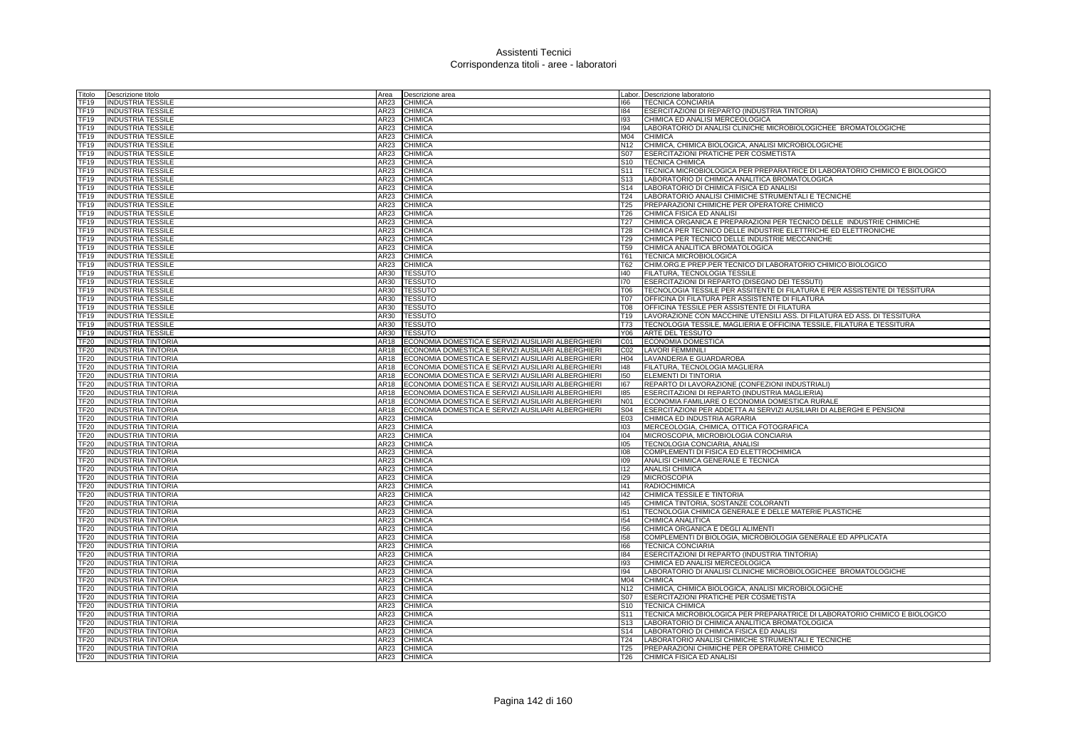| Fitolo           | Descrizione titolo        | Area        | Descrizione area                                   |                 | Labor. Descrizione laboratorio                                             |
|------------------|---------------------------|-------------|----------------------------------------------------|-----------------|----------------------------------------------------------------------------|
| TF19             | <b>INDUSTRIA TESSILE</b>  | AR23        | <b>CHIMICA</b>                                     | 166             | <b>TECNICA CONCIARIA</b>                                                   |
| TF19             | <b>INDUSTRIA TESSILE</b>  | AR23        | <b>CHIMICA</b>                                     | 184             | ESERCITAZIONI DI REPARTO (INDUSTRIA TINTORIA)                              |
| TF19             | <b>INDUSTRIA TESSILE</b>  | AR23        | <b>CHIMICA</b>                                     | 193             | CHIMICA ED ANALISI MERCEOLOGICA                                            |
| TF19             | <b>INDUSTRIA TESSILE</b>  | AR23        | <b>CHIMICA</b>                                     | 194             | LABORATORIO DI ANALISI CLINICHE MICROBIOLOGICHEE BROMATOLOGICHE            |
| TF19             | <b>INDUSTRIA TESSILE</b>  | AR23        | <b>CHIMICA</b>                                     | M04             | <b>CHIMICA</b>                                                             |
| TF19             | <b>INDUSTRIA TESSILE</b>  | AR23        | <b>CHIMICA</b>                                     | N <sub>12</sub> | CHIMICA, CHIMICA BIOLOGICA, ANALISI MICROBIOLOGICHE                        |
| TF19             | <b>INDUSTRIA TESSILE</b>  | AR23        | <b>CHIMICA</b>                                     | S07             | ESERCITAZIONI PRATICHE PER COSMETISTA                                      |
| TF19             | <b>INDUSTRIA TESSILE</b>  | AR23        | <b>CHIMICA</b>                                     | S <sub>10</sub> | <b>TECNICA CHIMICA</b>                                                     |
| <b>TF19</b>      | <b>INDUSTRIA TESSILE</b>  | AR23        | CHIMICA                                            | S <sub>11</sub> | TECNICA MICROBIOLOGICA PER PREPARATRICE DI LABORATORIO CHIMICO E BIOLOGICO |
| <b>TF19</b>      | <b>INDUSTRIA TESSILE</b>  | AR23        | <b>CHIMICA</b>                                     | S <sub>13</sub> | LABORATORIO DI CHIMICA ANALITICA BROMATOLOGICA                             |
| <b>TF19</b>      | <b>INDUSTRIA TESSILE</b>  | AR23        | <b>CHIMICA</b>                                     | S <sub>14</sub> | LABORATORIO DI CHIMICA FISICA ED ANALISI                                   |
|                  |                           |             |                                                    |                 |                                                                            |
| TF19             | <b>INDUSTRIA TESSILE</b>  | AR23        | <b>CHIMICA</b>                                     | T24             | LABORATORIO ANALISI CHIMICHE STRUMENTALI E TECNICHE                        |
| <b>TF19</b>      | <b>INDUSTRIA TESSILE</b>  | AR23        | <b>CHIMICA</b>                                     | T <sub>25</sub> | PREPARAZIONI CHIMICHE PER OPERATORE CHIMICO                                |
| <b>TF19</b>      | <b>INDUSTRIA TESSILE</b>  | AR23        | <b>CHIMICA</b>                                     | T26             | CHIMICA FISICA ED ANALISI                                                  |
| <b>TF19</b>      | <b>INDUSTRIA TESSILE</b>  | AR23        | CHIMICA                                            | T <sub>27</sub> | CHIMICA ORGANICA E PREPARAZIONI PER TECNICO DELLE INDUSTRIE CHIMICHE       |
| TF19             | <b>INDUSTRIA TESSILE</b>  | AR23        | <b>CHIMICA</b>                                     | T <sub>28</sub> | CHIMICA PER TECNICO DELLE INDUSTRIE ELETTRICHE ED ELETTRONICHE             |
| TF19             | <b>INDUSTRIA TESSILE</b>  | AR23        | <b>CHIMICA</b>                                     | T29             | CHIMICA PER TECNICO DELLE INDUSTRIE MECCANICHE                             |
| TF19             | <b>INDUSTRIA TESSILE</b>  | AR23        | <b>CHIMICA</b>                                     | T59             | CHIMICA ANALITICA BROMATOLOGICA                                            |
| TF19             | <b>INDUSTRIA TESSILE</b>  | AR23        | <b>CHIMICA</b>                                     | T61             | <b>TECNICA MICROBIOLOGICA</b>                                              |
| TF19             | <b>INDUSTRIA TESSILE</b>  | AR23        | <b>CHIMICA</b>                                     | T62             | CHIM.ORG.E PREP.PER TECNICO DI LABORATORIO CHIMICO BIOLOGICO               |
| TF19             | <b>INDUSTRIA TESSILE</b>  | AR30        | <b>TESSUTO</b>                                     | 140             | FILATURA, TECNOLOGIA TESSILE                                               |
| TF <sub>19</sub> | <b>INDUSTRIA TESSILE</b>  | AR30        | <b>TESSUTO</b>                                     | 170             | ESERCITAZIONI DI REPARTO (DISEGNO DEI TESSUTI)                             |
| <b>TF19</b>      | <b>INDUSTRIA TESSILE</b>  | AR30        | <b>TESSUTO</b>                                     | <b>T06</b>      | TECNOLOGIA TESSILE PER ASSITENTE DI FILATURA E PER ASSISTENTE DI TESSITURA |
| TF19             | <b>INDUSTRIA TESSILE</b>  | AR30        | <b>TESSUTO</b>                                     | <b>T07</b>      | OFFICINA DI FILATURA PER ASSISTENTE DI FILATURA                            |
| TF19             | <b>INDUSTRIA TESSILE</b>  | AR30        | <b>TESSUTO</b>                                     | <b>T08</b>      | OFFICINA TESSILE PER ASSISTENTE DI FILATURA                                |
| TF19             | <b>INDUSTRIA TESSILE</b>  | AR30        | <b>TESSUTO</b>                                     | T <sub>19</sub> | LAVORAZIONE CON MACCHINE UTENSILI ASS. DI FILATURA ED ASS. DI TESSITURA    |
| TF19             | <b>INDUSTRIA TESSILE</b>  | AR30        | <b>TESSUTO</b>                                     | <b>T73</b>      | TECNOLOGIA TESSILE, MAGLIERIA E OFFICINA TESSILE, FILATURA E TESSITURA     |
| TF19             | <b>INDUSTRIA TESSILE</b>  | AR30        | <b>TESSUTO</b>                                     | <b>Y06</b>      | ARTE DEL TESSUTO                                                           |
| TF20             | <b>INDUSTRIA TINTORIA</b> | AR18        | ECONOMIA DOMESTICA E SERVIZI AUSILIARI ALBERGHIERI | CO1             | <b>ECONOMIA DOMESTICA</b>                                                  |
| TF <sub>20</sub> | <b>INDUSTRIA TINTORIA</b> | AR18        | ECONOMIA DOMESTICA E SERVIZI AUSILIARI ALBERGHIERI | CO <sub>2</sub> | <b>LAVORI FEMMINILI</b>                                                    |
| <b>TF20</b>      | <b>INDUSTRIA TINTORIA</b> | AR18        | ECONOMIA DOMESTICA E SERVIZI AUSILIARI ALBERGHIERI | H <sub>04</sub> | LAVANDERIA E GUARDAROBA                                                    |
| TF <sub>20</sub> | <b>INDUSTRIA TINTORIA</b> | <b>AR18</b> | ECONOMIA DOMESTICA E SERVIZI AUSILIARI ALBERGHIERI | 148             | FILATURA, TECNOLOGIA MAGLIERA                                              |
|                  |                           | AR18        | ECONOMIA DOMESTICA E SERVIZI AUSILIARI ALBERGHIERI | 150             | <b>ELEMENTI DI TINTORIA</b>                                                |
| TF20<br>TF20     | <b>INDUSTRIA TINTORIA</b> | AR18        |                                                    | 167             |                                                                            |
|                  | <b>INDUSTRIA TINTORIA</b> |             | ECONOMIA DOMESTICA E SERVIZI AUSILIARI ALBERGHIERI |                 | REPARTO DI LAVORAZIONE (CONFEZIONI INDUSTRIALI)                            |
| TF20             | <b>INDUSTRIA TINTORIA</b> | AR18        | ECONOMIA DOMESTICA E SERVIZI AUSILIARI ALBERGHIERI | 185             | ESERCITAZIONI DI REPARTO (INDUSTRIA MAGLIERIA)                             |
| <b>TF20</b>      | <b>INDUSTRIA TINTORIA</b> | AR18        | ECONOMIA DOMESTICA E SERVIZI AUSILIARI ALBERGHIERI | <b>N01</b>      | ECONOMIA FAMILIARE O ECONOMIA DOMESTICA RURALE                             |
| <b>TF20</b>      | <b>INDUSTRIA TINTORIA</b> | AR18        | ECONOMIA DOMESTICA E SERVIZI AUSILIARI ALBERGHIERI | <b>S04</b>      | ESERCITAZIONI PER ADDETTA AI SERVIZI AUSILIARI DI ALBERGHI E PENSIONI      |
| TF20             | <b>INDUSTRIA TINTORIA</b> | AR23        | <b>CHIMICA</b>                                     | E03             | CHIMICA ED INDUSTRIA AGRARIA                                               |
| TF20             | <b>INDUSTRIA TINTORIA</b> | AR23        | <b>CHIMICA</b>                                     | 103             | MERCEOLOGIA, CHIMICA, OTTICA FOTOGRAFICA                                   |
| <b>TF20</b>      | <b>INDUSTRIA TINTORIA</b> | AR23        | <b>CHIMICA</b>                                     | 104             | MICROSCOPIA, MICROBIOLOGIA CONCIARIA                                       |
| <b>TF20</b>      | <b>INDUSTRIA TINTORIA</b> | AR23        | CHIMICA                                            | 105             | TECNOLOGIA CONCIARIA, ANALISI                                              |
| TF20             | <b>INDUSTRIA TINTORIA</b> | AR23        | <b>CHIMICA</b>                                     | 108             | COMPLEMENTI DI FISICA ED ELETTROCHIMICA                                    |
| TF <sub>20</sub> | <b>INDUSTRIA TINTORIA</b> | AR23        | <b>CHIMICA</b>                                     | 109             | ANALISI CHIMICA GENERALE E TECNICA                                         |
| TF20             | <b>INDUSTRIA TINTORIA</b> | AR23        | CHIMICA                                            | 112             | <b>ANALISI CHIMICA</b>                                                     |
| <b>TF20</b>      | <b>INDUSTRIA TINTORIA</b> | AR23        | CHIMICA                                            | 129             | <b>MICROSCOPIA</b>                                                         |
| <b>TF20</b>      | <b>INDUSTRIA TINTORIA</b> | AR23        | <b>CHIMICA</b>                                     | 141             | <b>RADIOCHIMICA</b>                                                        |
| TF20             | <b>INDUSTRIA TINTORIA</b> | AR23        | <b>CHIMICA</b>                                     | 142             | CHIMICA TESSILE E TINTORIA                                                 |
| <b>TF20</b>      | <b>INDUSTRIA TINTORIA</b> | AR23        | CHIMICA                                            | 145             | CHIMICA TINTORIA, SOSTANZE COLORANTI                                       |
| <b>TF20</b>      | <b>INDUSTRIA TINTORIA</b> | AR23        | <b>CHIMICA</b>                                     | 151             | TECNOLOGIA CHIMICA GENERALE E DELLE MATERIE PLASTICHE                      |
| TF20             | <b>INDUSTRIA TINTORIA</b> | AR23        | CHIMICA                                            | 154             | CHIMICA ANALITICA                                                          |
| TF20             | <b>INDUSTRIA TINTORIA</b> | AR23        | <b>CHIMICA</b>                                     | 156             | CHIMICA ORGANICA E DEGLI ALIMENTI                                          |
| TF20             | <b>INDUSTRIA TINTORIA</b> | AR23        | CHIMICA                                            | 158             | COMPLEMENTI DI BIOLOGIA, MICROBIOLOGIA GENERALE ED APPLICATA               |
| <b>TF20</b>      | <b>INDUSTRIA TINTORIA</b> | AR23        | <b>CHIMICA</b>                                     | 166             | <b>TECNICA CONCIARIA</b>                                                   |
| TF <sub>20</sub> | <b>INDUSTRIA TINTORIA</b> | AR23        | <b>CHIMICA</b>                                     | 184             | ESERCITAZIONI DI REPARTO (INDUSTRIA TINTORIA)                              |
| TF20             | <b>INDUSTRIA TINTORIA</b> | AR23        | <b>CHIMICA</b>                                     | 193             | CHIMICA ED ANALISI MERCEOLOGICA                                            |
| TF20             | <b>INDUSTRIA TINTORIA</b> | AR23        | <b>CHIMICA</b>                                     | 194             | LABORATORIO DI ANALISI CLINICHE MICROBIOLOGICHEE BROMATOLOGICHE            |
| <b>TF20</b>      | <b>INDUSTRIA TINTORIA</b> | AR23        | CHIMICA                                            | M04             | <b>CHIMICA</b>                                                             |
| <b>TF20</b>      | <b>INDUSTRIA TINTORIA</b> | AR23        | <b>CHIMICA</b>                                     | N <sub>12</sub> | CHIMICA, CHIMICA BIOLOGICA, ANALISI MICROBIOLOGICHE                        |
| <b>TF20</b>      | <b>INDUSTRIA TINTORIA</b> | AR23        | CHIMICA                                            | S07             | ESERCITAZIONI PRATICHE PER COSMETISTA                                      |
| TF20             | <b>INDUSTRIA TINTORIA</b> | AR23        | <b>CHIMICA</b>                                     | S <sub>10</sub> | <b>TECNICA CHIMICA</b>                                                     |
| TF20             |                           | AR23        | CHIMICA                                            | S <sub>11</sub> | TECNICA MICROBIOLOGICA PER PREPARATRICE DI LABORATORIO CHIMICO E BIOLOGICO |
|                  | <b>INDUSTRIA TINTORIA</b> | AR23        |                                                    | S <sub>13</sub> | LABORATORIO DI CHIMICA ANALITICA BROMATOLOGICA                             |
| <b>TF20</b>      | <b>INDUSTRIA TINTORIA</b> |             | <b>CHIMICA</b>                                     |                 |                                                                            |
| TF20             | <b>INDUSTRIA TINTORIA</b> | AR23        | <b>CHIMICA</b>                                     | S <sub>14</sub> | LABORATORIO DI CHIMICA FISICA ED ANALISI                                   |
| <b>FF20</b>      | <b>INDUSTRIA TINTORIA</b> | AR23        | <b>CHIMICA</b>                                     | T <sub>24</sub> | LABORATORIO ANALISI CHIMICHE STRUMENTALI E TECNICHE                        |
| TF <sub>20</sub> | <b>INDUSTRIA TINTORIA</b> | AR23        | <b>CHIMICA</b>                                     | T <sub>25</sub> | PREPARAZIONI CHIMICHE PER OPERATORE CHIMICO                                |
| TF <sub>20</sub> | <b>INDUSTRIA TINTORIA</b> | AR23        | CHIMICA                                            | T26             | CHIMICA FISICA ED ANALISI                                                  |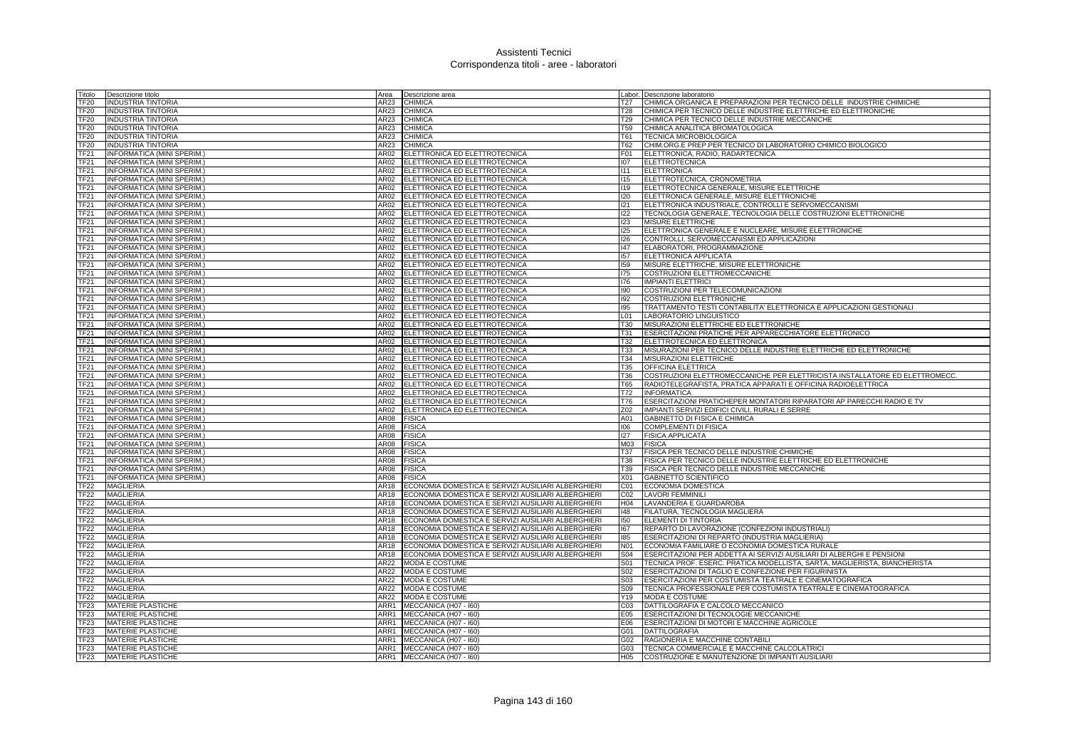| Fitolo           | Descrizione titolo                   | Area        | Descrizione area                                                                                         |                 | Labor. Descrizione laboratorio                                             |
|------------------|--------------------------------------|-------------|----------------------------------------------------------------------------------------------------------|-----------------|----------------------------------------------------------------------------|
| TF20             | <b>INDUSTRIA TINTORIA</b>            | AR23        | <b>CHIMICA</b>                                                                                           | T27             | CHIMICA ORGANICA E PREPARAZIONI PER TECNICO DELLE INDUSTRIE CHIMICHE       |
| TF20             | <b>INDUSTRIA TINTORIA</b>            | AR23        | <b>CHIMICA</b>                                                                                           | <b>T28</b>      | CHIMICA PER TECNICO DELLE INDUSTRIE ELETTRICHE ED ELETTRONICHE             |
| TF20             | <b>INDUSTRIA TINTORIA</b>            | AR23        | <b>CHIMICA</b>                                                                                           | T29             | CHIMICA PER TECNICO DELLE INDUSTRIE MECCANICHE                             |
| TF20             | <b>INDUSTRIA TINTORIA</b>            | AR23        | <b>CHIMICA</b>                                                                                           | <b>T59</b>      | CHIMICA ANALITICA BROMATOLOGICA                                            |
| <b>TF20</b>      | <b>INDUSTRIA TINTORIA</b>            | AR23        | <b>CHIMICA</b>                                                                                           | T61             | <b>TECNICA MICROBIOLOGICA</b>                                              |
| <b>TF20</b>      | <b>INDUSTRIA TINTORIA</b>            | AR23        | <b>CHIMICA</b>                                                                                           | <b>T62</b>      | CHIM.ORG.E PREP.PER TECNICO DI LABORATORIO CHIMICO BIOLOGICO               |
| TF21             | INFORMATICA (MINI SPERIM.)           | AR02        | ELETTRONICA ED ELETTROTECNICA                                                                            | F01             | ELETTRONICA, RADIO, RADARTECNICA                                           |
| TF21             | INFORMATICA (MINI SPERIM.            | AR02        | ELETTRONICA ED ELETTROTECNICA                                                                            | 107             | <b>ELETTROTECNICA</b>                                                      |
| TF21             | INFORMATICA (MINI SPERIM.            | AR02        | ELETTRONICA ED ELETTROTECNICA                                                                            | 1111            | <b>ELETTRONICA</b>                                                         |
| <b>TF21</b>      | INFORMATICA (MINI SPERIM.            | AR02        | ELETTRONICA ED ELETTROTECNICA                                                                            | 115             | ELETTROTECNICA, CRONOMETRIA                                                |
| <b>TF21</b>      | INFORMATICA (MINI SPERIM.            | AR02        | ELETTRONICA ED ELETTROTECNICA                                                                            | <b>I19</b>      | ELETTROTECNICA GENERALE, MISURE ELETTRICHE                                 |
| TF21             | INFORMATICA (MINI SPERIM.)           | AR02        | ELETTRONICA ED ELETTROTECNICA                                                                            | 120             | ELETTRONICA GENERALE, MISURE ELETTRONICHE                                  |
| TF <sub>21</sub> | INFORMATICA (MINI SPERIM.            | AR02        | ELETTRONICA ED ELETTROTECNICA                                                                            | 121             | ELETTRONICA INDUSTRIALE, CONTROLLI E SERVOMECCANISMI                       |
| <b>TF21</b>      |                                      |             |                                                                                                          |                 |                                                                            |
|                  | INFORMATICA (MINI SPERIM.            | AR02        | ELETTRONICA ED ELETTROTECNICA                                                                            | 122             | TECNOLOGIA GENERALE. TECNOLOGIA DELLE COSTRUZIONI ELETTRONICHE             |
| <b>TF21</b>      | INFORMATICA (MINI SPERIM.            | <b>AR02</b> | ELETTRONICA ED ELETTROTECNICA                                                                            | 123             | <b>MISURE ELETTRICHE</b>                                                   |
| TF21             | INFORMATICA (MINI SPERIM.)           | AR02        | ELETTRONICA ED ELETTROTECNICA                                                                            | 125             | ELETTRONICA GENERALE E NUCLEARE, MISURE ELETTRONICHE                       |
| TF21             | INFORMATICA (MINI SPERIM.            | AR02        | ELETTRONICA ED ELETTROTECNICA                                                                            | 126             | CONTROLLI, SERVOMECCANISMI ED APPLICAZIONI                                 |
| TF21             | INFORMATICA (MINI SPERIM.            | AR02        | ELETTRONICA ED ELETTROTECNICA                                                                            | 147             | ELABORATORI, PROGRAMMAZIONE                                                |
| TF21             | INFORMATICA (MINI SPERIM.            | AR02        | ELETTRONICA ED ELETTROTECNICA                                                                            | 157             | ELETTRONICA APPLICATA                                                      |
| TF21             | INFORMATICA (MINI SPERIM.)           | AR02        | ELETTRONICA ED ELETTROTECNICA                                                                            | 159             | MISURE ELETTRICHE, MISURE ELETTRONICHE                                     |
| FF21             | INFORMATICA (MINI SPERIM.)           | AR02        | ELETTRONICA ED ELETTROTECNICA                                                                            | 175             | COSTRUZIONI ELETTROMECCANICHE                                              |
| TF21             | INFORMATICA (MINI SPERIM.)           | AR02        | ELETTRONICA ED ELETTROTECNICA                                                                            | 176             | <b>IMPIANTI ELETTRICI</b>                                                  |
| TF21             | INFORMATICA (MINI SPERIM.)           | AR02        | ELETTRONICA ED ELETTROTECNICA                                                                            | 190             | COSTRUZIONI PER TELECOMUNICAZIONI                                          |
| TF21             | INFORMATICA (MINI SPERIM.            | AR02        | ELETTRONICA ED ELETTROTECNICA                                                                            | 192             | COSTRUZIONI ELETTRONICHE                                                   |
| TF21             | INFORMATICA (MINI SPERIM.)           | AR02        | ELETTRONICA ED ELETTROTECNICA                                                                            | 195             | TRATTAMENTO TESTI CONTABILITA' ELETTRONICA E APPLICAZIONI GESTIONALI       |
| TF21             | INFORMATICA (MINI SPERIM.)           | AR02        | ELETTRONICA ED ELETTROTECNICA                                                                            | L01             | LABORATORIO LINGUISTICO                                                    |
| TF21             | INFORMATICA (MINI SPERIM.)           | AR02        | ELETTRONICA ED ELETTROTECNICA                                                                            | <b>T30</b>      | MISURAZIONI ELETTRICHE ED ELETTRONICHE                                     |
| <b>TF21</b>      | INFORMATICA (MINI SPERIM.            | AR02        | ELETTRONICA ED ELETTROTECNICA                                                                            | T31             | ESERCITAZIONI PRATICHE PER APPARECCHIATORE ELETTRONICO                     |
| TF21             | INFORMATICA (MINI SPERIM.)           | AR02        | ELETTRONICA ED ELETTROTECNICA                                                                            | T32             | <b>IELETTROTECNICA ED ELETTRONICA</b>                                      |
| TF21             | INFORMATICA (MINI SPERIM.            | AR02        | ELETTRONICA ED ELETTROTECNICA                                                                            | T33             | MISURAZIONI PER TECNICO DELLE INDUSTRIE ELETTRICHE ED ELETTRONICHE         |
| <b>TF21</b>      | <b>INFORMATICA (MINI SPERIM.</b>     | AR02        | ELETTRONICA ED ELETTROTECNICA                                                                            | T34             | <b>MISURAZIONI ELETTRICHE</b>                                              |
| <b>TF21</b>      | INFORMATICA (MINI SPERIM.            | AR02        | ELETTRONICA ED ELETTROTECNICA                                                                            | <b>T35</b>      | <b>OFFICINA ELETTRICA</b>                                                  |
| TF <sub>21</sub> | INFORMATICA (MINI SPERIM.)           | <b>AR02</b> | ELETTRONICA ED ELETTROTECNICA                                                                            | <b>T36</b>      | COSTRUZIONI ELETTROMECCANICHE PER ELETTRICISTA INSTALLATORE ED ELETTROMECC |
| TF21             | INFORMATICA (MINI SPERIM.)           | AR02        | ELETTRONICA ED ELETTROTECNICA                                                                            | <b>T65</b>      | RADIOTELEGRAFISTA, PRATICA APPARATI E OFFICINA RADIOELETTRICA              |
| TF21             | INFORMATICA (MINI SPERIM.)           | AR02        | ELETTRONICA ED ELETTROTECNICA                                                                            | T72             | <b>INFORMATICA</b>                                                         |
| TF21             | INFORMATICA (MINI SPERIM.            | AR02        | ELETTRONICA ED ELETTROTECNICA                                                                            | <b>T76</b>      | ESERCITAZIONI PRATICHEPER MONTATORI RIPARATORI AP PARECCHI RADIO E TV      |
| TF21             | INFORMATICA (MINI SPERIM.            | AR02        | ELETTRONICA ED ELETTROTECNICA                                                                            | Z02             | IMPIANTI SERVIZI EDIFICI CIVILI, RURALI E SERRE                            |
| TF21             | INFORMATICA (MINI SPERIM.)           | AR08        | <b>FISICA</b>                                                                                            | A01             | GABINETTO DI FISICA E CHIMICA                                              |
| TF21             | INFORMATICA (MINI SPERIM.            | AR08        | <b>FISICA</b>                                                                                            | 106             | <b>COMPLEMENTI DI FISICA</b>                                               |
| TF21             | INFORMATICA (MINI SPERIM.)           | AR08        | <b>FISICA</b>                                                                                            | 127             | <b>FISICA APPLICATA</b>                                                    |
| TF21             | <b>INFORMATICA (MINI SPERIM.)</b>    | AR08        | <b>FISICA</b>                                                                                            | M <sub>03</sub> | <b>FISICA</b>                                                              |
| TF21             | INFORMATICA (MINI SPERIM.)           | AR08        | <b>FISICA</b>                                                                                            | <b>T37</b>      | FISICA PER TECNICO DELLE INDUSTRIE CHIMICHE                                |
| <b>TF21</b>      | INFORMATICA (MINI SPERIM.)           | AR08        | <b>FISICA</b>                                                                                            | <b>T38</b>      | FISICA PER TECNICO DELLE INDUSTRIE ELETTRICHE ED ELETTRONICHE              |
| TF21             | INFORMATICA (MINI SPERIM.            | AR08        | <b>FISICA</b>                                                                                            | T39             | FISICA PER TECNICO DELLE INDUSTRIE MECCANICHE                              |
| TF21             | INFORMATICA (MINI SPERIM.            | AR08        | <b>FISICA</b>                                                                                            | X01             | <b>GABINETTO SCIENTIFICO</b>                                               |
| <b>TF22</b>      | <b>MAGLIERIA</b>                     | AR18        | ECONOMIA DOMESTICA E SERVIZI AUSILIARI ALBERGHIERI                                                       | C01             | <b>ECONOMIA DOMESTICA</b>                                                  |
| <b>TF22</b>      | <b>MAGLIERIA</b>                     | AR18        | ECONOMIA DOMESTICA E SERVIZI AUSILIARI ALBERGHIERI                                                       | CO <sub>2</sub> | <b>LAVORI FEMMINILI</b>                                                    |
| TF <sub>22</sub> |                                      | AR18        |                                                                                                          | H <sub>04</sub> |                                                                            |
| TF <sub>22</sub> | <b>MAGLIERIA</b><br><b>MAGLIERIA</b> | AR18        | ECONOMIA DOMESTICA E SERVIZI AUSILIARI ALBERGHIERI<br>ECONOMIA DOMESTICA E SERVIZI AUSILIARI ALBERGHIERI | 148             | LAVANDERIA E GUARDAROBA<br>FILATURA, TECNOLOGIA MAGLIERA                   |
|                  |                                      |             |                                                                                                          | 150             | ELEMENTI DI TINTORIA                                                       |
| TF <sub>22</sub> | <b>MAGLIERIA</b>                     | AR18        | ECONOMIA DOMESTICA E SERVIZI AUSILIARI ALBERGHIERI                                                       |                 |                                                                            |
| TF22             | <b>MAGLIERIA</b>                     | AR18        | ECONOMIA DOMESTICA E SERVIZI AUSILIARI ALBERGHIERI                                                       | 167             | REPARTO DI LAVORAZIONE (CONFEZIONI INDUSTRIALI)                            |
| TF22             | <b>MAGLIERIA</b>                     | AR18        | ECONOMIA DOMESTICA E SERVIZI AUSILIARI ALBERGHIERI                                                       | 185             | ESERCITAZIONI DI REPARTO (INDUSTRIA MAGLIERIA)                             |
| <b>TF22</b>      | <b>MAGLIERIA</b>                     | AR18        | ECONOMIA DOMESTICA E SERVIZI AUSILIARI ALBERGHIERI                                                       | <b>N01</b>      | ECONOMIA FAMILIARE O ECONOMIA DOMESTICA RURALE                             |
| TF <sub>22</sub> | <b>MAGLIERIA</b>                     | AR18        | ECONOMIA DOMESTICA E SERVIZI AUSILIARI ALBERGHIERI                                                       | <b>S04</b>      | ESERCITAZIONI PER ADDETTA AI SERVIZI AUSILIARI DI ALBERGHI E PENSIONI      |
| TF22             | <b>MAGLIERIA</b>                     | AR22        | MODA E COSTUME                                                                                           | S01             | TECNICA PROF. ESERC. PRATICA MODELLISTA, SARTA, MAGLIERISTA, BIANCHERISTA  |
| TF22             | <b>MAGLIERIA</b>                     | AR22        | MODA E COSTUME                                                                                           | S02             | ESERCITAZIONI DI TAGLIO E CONFEZIONE PER FIGURINISTA                       |
| <b>TF22</b>      | <b>MAGLIERIA</b>                     | AR22        | <b>MODA E COSTUME</b>                                                                                    | S03             | ESERCITAZIONI PER COSTUMISTA TEATRALE E CINEMATOGRAFICA                    |
| <b>TF22</b>      | <b>MAGLIERIA</b>                     | AR22        | MODA E COSTUME                                                                                           | <b>S09</b>      | TECNICA PROFESSIONALE PER COSTUMISTA TEATRALE E CINEMATOGRAFICA            |
| TF22             | MAGLIERIA                            | AR22        | MODA E COSTUME                                                                                           | Y19             | <b>MODA E COSTUME</b>                                                      |
| TF23             | <b>MATERIE PLASTICHE</b>             | ARR1        | MECCANICA (H07 - I60)                                                                                    | CO <sub>3</sub> | DATTILOGRAFIA E CALCOLO MECCANICO                                          |
| TF23             | <b>MATERIE PLASTICHE</b>             | ARR1        | MECCANICA (H07 - I60)                                                                                    | E05             | ESERCITAZIONI DI TECNOLOGIE MECCANICHE                                     |
| TF23             | <b>MATERIE PLASTICHE</b>             | ARR1        | MECCANICA (H07 - I60)                                                                                    | E06             | ESERCITAZIONI DI MOTORI E MACCHINE AGRICOLE                                |
| TF23             | <b>MATERIE PLASTICHE</b>             | ARR1        | MECCANICA (H07 - I60)                                                                                    | G01             | <b>DATTILOGRAFIA</b>                                                       |
| <b>FF23</b>      | <b>MATERIE PLASTICHE</b>             | ARR1        | MECCANICA (H07 - I60)                                                                                    | G02             | RAGIONERIA E MACCHINE CONTABILI                                            |
| TF <sub>23</sub> | <b>MATERIE PLASTICHE</b>             |             | ARR1 MECCANICA (H07 - 160)                                                                               | G03             | TECNICA COMMERCIALE E MACCHINE CALCOLATRICI                                |
| TF <sub>23</sub> | <b>MATERIE PLASTICHE</b>             |             | ARR1 MECCANICA (H07 - 160)                                                                               |                 | H05 COSTRUZIONE E MANUTENZIONE DI IMPIANTI AUSILIARI                       |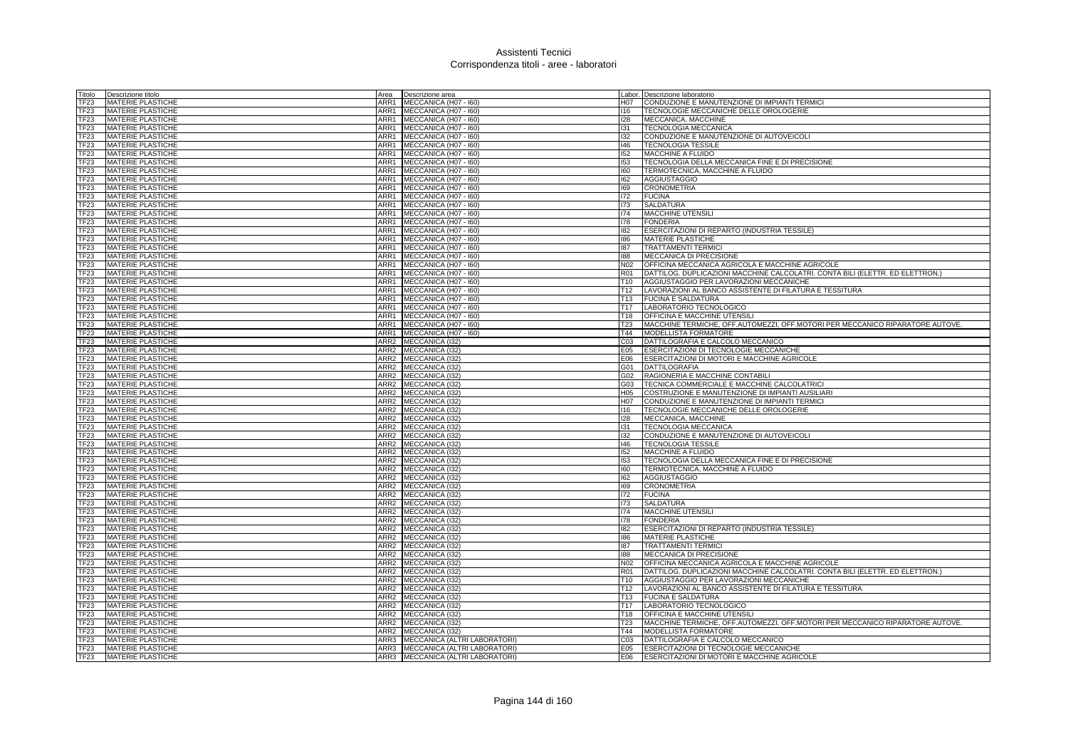| Titolo              | Descrizione titolo                            | Area             | Descrizione area                    |                 | abor. Descrizione laboratorio                                                 |
|---------------------|-----------------------------------------------|------------------|-------------------------------------|-----------------|-------------------------------------------------------------------------------|
| TF23                | <b>MATERIE PLASTICHE</b>                      | ARR1             | MECCANICA (H07 - I60)               | H07             | CONDUZIONE E MANUTENZIONE DI IMPIANTI TERMICI                                 |
| <b>TF23</b>         | <b>MATERIE PLASTICHE</b>                      | ARR1             | MECCANICA (H07 - I60)               | 116             | TECNOLOGIE MECCANICHE DELLE OROLOGERIE                                        |
| TF23                | <b>MATERIE PLASTICHE</b>                      | ARR1             | MECCANICA (H07 - I60)               | 128             | MECCANICA, MACCHINE                                                           |
| TF23                | <b>MATERIE PLASTICHE</b>                      | ARR1             | MECCANICA (H07 - I60)               | 131             | TECNOLOGIA MECCANICA                                                          |
| TF23                | <b>MATERIE PLASTICHE</b>                      | ARR1             | MECCANICA (H07 - 160)               | 132             | CONDUZIONE E MANUTENZIONE DI AUTOVEICOLI                                      |
| TF23                | MATERIE PLASTICHE                             | ARR1             | MECCANICA (H07 - I60)               | 146             | <b>TECNOLOGIA TESSILE</b>                                                     |
| TF23                | <b>MATERIE PLASTICHE</b>                      | ARR1             | MECCANICA (H07 - I60)               | 152             | MACCHINE A FLUIDO                                                             |
| TF23                | <b>MATERIE PLASTICHE</b>                      | ARR1             | MECCANICA (H07 - I60)               | 153             | TECNOLOGIA DELLA MECCANICA FINE E DI PRECISIONE                               |
| TF23                | <b>MATERIE PLASTICHE</b>                      | ARR1             | MECCANICA (H07 - I60)               | 160             | TERMOTECNICA, MACCHINE A FLUIDO                                               |
| TF <sub>23</sub>    | <b>MATERIE PLASTICHE</b>                      | ARR1             | MECCANICA (H07 - 160)               | 162             | <b>AGGIUSTAGGIO</b>                                                           |
| TF23                | <b>MATERIE PLASTICHE</b>                      | ARR1             | MECCANICA (H07 - I60)               | 169             | <b>CRONOMETRIA</b>                                                            |
| TF23                | <b>MATERIE PLASTICHE</b>                      | ARR1             | MECCANICA (H07 - I60)               | 172             | <b>FUCINA</b>                                                                 |
| TF23                | <b>MATERIE PLASTICHE</b>                      | ARR1             | MECCANICA (H07 - I60)               | 173             | <b>SALDATURA</b>                                                              |
| TF23                | <b>MATERIE PLASTICHE</b>                      | ARR1             | MECCANICA (H07 - I60)               | 174             | <b>MACCHINE UTENSIL</b>                                                       |
| TF23                | MATERIE PLASTICHE                             | ARR1             | MECCANICA (H07 - I60)               | 178             | <b>FONDERIA</b>                                                               |
| TF23                | <b>MATERIE PLASTICHE</b>                      | ARR1             | MECCANICA (H07 - I60)               | 182             | ESERCITAZIONI DI REPARTO (INDUSTRIA TESSILE)                                  |
| TF23                | MATERIE PLASTICHE                             | ARR1             | MECCANICA (H07 - 160)               | 186             | <b>MATERIE PLASTICHE</b>                                                      |
| TF23                | <b>MATERIE PLASTICHE</b>                      | ARR1             | MECCANICA (H07 - I60)               | 187             | <b>TRATTAMENTI TERMICI</b>                                                    |
| TF <sub>23</sub>    | <b>MATERIE PLASTICHE</b>                      | ARR1             | MECCANICA (H07 - I60)               | 881             | MECCANICA DI PRECISIONE                                                       |
| TF <sub>23</sub>    | <b>MATERIE PLASTICHE</b>                      | ARR1             | MECCANICA (H07 - I60)               | N02             | OFFICINA MECCANICA AGRICOLA E MACCHINE AGRICOLE                               |
| TF23                | <b>MATERIE PLASTICHE</b>                      | ARR1             | MECCANICA (H07 - 160)               | R01             | DATTILOG. DUPLICAZIONI MACCHINE CALCOLATRI. CONTA BILI (ELETTR. ED ELETTRON.) |
| TF <sub>23</sub>    | <b>MATERIE PLASTICHE</b>                      | ARR1             | MECCANICA (H07 - I60)               | T10             | AGGIUSTAGGIO PER LAVORAZIONI MECCANICHE                                       |
| TF23                | MATERIE PLASTICHE                             | ARR1             | MECCANICA (H07 - I60)               | T12             | LAVORAZIONI AL BANCO ASSISTENTE DI FILATURA E TESSITURA                       |
| TF23                | <b>MATERIE PLASTICHE</b>                      | ARR1             | MECCANICA (H07 - 160)               | T13             | <b>FUCINA E SALDATURA</b>                                                     |
| TF23                | <b>MATERIE PLASTICHE</b>                      | ARR1             | MECCANICA (H07 - 160)               | T17             | LABORATORIO TECNOLOGICO                                                       |
| TF23                | <b>MATERIE PLASTICHE</b>                      | ARR1             | MECCANICA (H07 - I60)               | T18             | OFFICINA E MACCHINE UTENSILI                                                  |
| TF23                | MATERIE PLASTICHE                             | ARR1             | MECCANICA (H07 - 160)               | T <sub>23</sub> | MACCHINE TERMICHE, OFF.AUTOMEZZI, OFF.MOTORI PER MECCANICO RIPARATORE AUTOVE. |
| TF <sub>23</sub>    | <b>MATERIE PLASTICHE</b>                      | ARR1<br>ARR2     | MECCANICA (H07 - I60)               | T44             | <b>MODELLISTA FORMATORE</b>                                                   |
| TF <sub>23</sub>    | <b>MATERIE PLASTICHE</b>                      | ARR2             | MECCANICA (132)                     | C03             | DATTILOGRAFIA E CALCOLO MECCANICO                                             |
| TF23                | <b>MATERIE PLASTICHE</b>                      |                  | MECCANICA (132)                     | E05             | ESERCITAZIONI DI TECNOLOGIE MECCANICHE                                        |
| TF23<br><b>TF23</b> | MATERIE PLASTICHE<br><b>MATERIE PLASTICHE</b> | ARR2<br>ARR2     | MECCANICA (I32)<br>MECCANICA (I32)  | E06<br>G01      | ESERCITAZIONI DI MOTORI E MACCHINE AGRICOLE<br><b>DATTILOGRAFIA</b>           |
| TF23                | <b>MATERIE PLASTICHE</b>                      | ARR2             | MECCANICA (I32)                     | 302             | RAGIONERIA E MACCHINE CONTABILI                                               |
| TF <sub>23</sub>    | <b>MATERIE PLASTICHE</b>                      | ARR2             | MECCANICA (I32)                     | G03             | TECNICA COMMERCIALE E MACCHINE CALCOLATRICI                                   |
| TF23                | <b>MATERIE PLASTICHE</b>                      | ARR <sub>2</sub> | MECCANICA (I32)                     | H05             | COSTRUZIONE E MANUTENZIONE DI IMPIANTI AUSILIARI                              |
| TF23                | <b>MATERIE PLASTICHE</b>                      | ARR <sub>2</sub> | MECCANICA (I32)                     | H07             | CONDUZIONE E MANUTENZIONE DI IMPIANTI TERMICI                                 |
| TF23                | <b>MATERIE PLASTICHE</b>                      | ARR <sub>2</sub> | MECCANICA (132)                     | 116             | TECNOLOGIE MECCANICHE DELLE OROLOGERIE                                        |
| TF <sub>23</sub>    | <b>MATERIE PLASTICHE</b>                      | ARR <sub>2</sub> | MECCANICA (I32)                     | 128             | MECCANICA, MACCHINE                                                           |
| TF23                | <b>MATERIE PLASTICHE</b>                      | ARR <sub>2</sub> | MECCANICA (132)                     | 131             | TECNOLOGIA MECCANICA                                                          |
| TF <sub>23</sub>    | <b>MATERIE PLASTICHE</b>                      | ARR <sub>2</sub> | MECCANICA (I32)                     | 132             | CONDUZIONE E MANUTENZIONE DI AUTOVEICOLI                                      |
| TF <sub>23</sub>    | <b>MATERIE PLASTICHE</b>                      | ARR <sub>2</sub> | MECCANICA (I32)                     | 146             | <b>TECNOLOGIA TESSILE</b>                                                     |
| TF <sub>23</sub>    | <b>MATERIE PLASTICHE</b>                      | ARR <sub>2</sub> | MECCANICA (I32)                     | 152             | <b>MACCHINE A FLUIDO</b>                                                      |
| TF <sub>23</sub>    | <b>MATERIE PLASTICHE</b>                      | ARR <sub>2</sub> | MECCANICA (132)                     | 153             | TECNOLOGIA DELLA MECCANICA FINE E DI PRECISIONE                               |
| TF23                | <b>MATERIE PLASTICHE</b>                      | ARR <sub>2</sub> | MECCANICA (I32)                     | 160             | TERMOTECNICA, MACCHINE A FLUIDO                                               |
| TF23                | <b>MATERIE PLASTICHE</b>                      | ARR <sub>2</sub> | MECCANICA (132)                     | 162             | AGGIUSTAGGIO                                                                  |
| TF23                | <b>MATERIE PLASTICHE</b>                      | ARR <sub>2</sub> | MECCANICA (132)                     | 169             | <b>CRONOMETRIA</b>                                                            |
| TF23                | <b>MATERIE PLASTICHE</b>                      | ARR2             | MECCANICA (I32)                     | 172             | <b>FUCINA</b>                                                                 |
| TF23                | MATERIE PLASTICHE                             | ARR <sub>2</sub> | MECCANICA (I32)                     | 173             | <b>SALDATURA</b>                                                              |
| TF23                | MATERIE PLASTICHE                             | ARR2             | MECCANICA (132)                     | 174             | <b>MACCHINE UTENSILI</b>                                                      |
| TF23                | <b>MATERIE PLASTICHE</b>                      | ARR <sub>2</sub> | MECCANICA (132)                     | 178             | <b>FONDERIA</b>                                                               |
| TF23                | <b>MATERIE PLASTICHE</b>                      | ARR <sub>2</sub> | MECCANICA (I32)                     | 182             | ESERCITAZIONI DI REPARTO (INDUSTRIA TESSILE)                                  |
| TF23                | <b>MATERIE PLASTICHE</b>                      | ARR <sub>2</sub> | MECCANICA (I32)                     | 186             | MATERIE PLASTICHE                                                             |
| TF23                | <b>MATERIE PLASTICHE</b>                      | ARR <sub>2</sub> | MECCANICA (I32)                     | 187             | <b>TRATTAMENTI TERMICI</b>                                                    |
| TF23                | <b>MATERIE PLASTICHE</b>                      | ARR2             | MECCANICA (I32)                     | 188             | MECCANICA DI PRECISIONE                                                       |
| TF <sub>23</sub>    | <b>MATERIE PLASTICHE</b>                      | ARR2             | MECCANICA (132)                     | N02             | OFFICINA MECCANICA AGRICOLA E MACCHINE AGRICOLE                               |
| TF23                | <b>MATERIE PLASTICHE</b>                      | ARR <sub>2</sub> | MECCANICA (132)                     | R01             | DATTILOG. DUPLICAZIONI MACCHINE CALCOLATRI. CONTA BILI (ELETTR. ED ELETTRON.) |
| TF23                | MATERIE PLASTICHE                             | ARR <sub>2</sub> | MECCANICA (I32)                     | T <sub>10</sub> | AGGIUSTAGGIO PER LAVORAZIONI MECCANICHE                                       |
| TF23                | <b>MATERIE PLASTICHE</b>                      | ARR <sub>2</sub> | MECCANICA (132)                     | T <sub>12</sub> | LAVORAZIONI AL BANCO ASSISTENTE DI FILATURA E TESSITURA                       |
| TF <sub>23</sub>    | <b>MATERIE PLASTICHE</b>                      | ARR <sub>2</sub> | MECCANICA (I32)                     | T <sub>13</sub> | <b>FUCINA E SALDATURA</b>                                                     |
| TF23                | <b>MATERIE PLASTICHE</b>                      | ARR2             | MECCANICA (132)                     | T <sub>17</sub> | LABORATORIO TECNOLOGICO                                                       |
| TF23                | <b>MATERIE PLASTICHE</b>                      | ARR <sub>2</sub> | MECCANICA (I32)                     | T <sub>18</sub> | OFFICINA E MACCHINE UTENSILI                                                  |
| TF23                | <b>MATERIE PLASTICHE</b>                      | ARR <sub>2</sub> | MECCANICA (I32)                     | T23             | MACCHINE TERMICHE, OFF.AUTOMEZZI, OFF.MOTORI PER MECCANICO RIPARATORE AUTOVE. |
| TF <sub>23</sub>    | <b>MATERIE PLASTICHE</b>                      | ARR <sub>2</sub> | MECCANICA (132)                     | T44             | MODELLISTA FORMATORE                                                          |
| TF23                | MATERIE PLASTICHE                             | ARR3             | MECCANICA (ALTRI LABORATORI)        | C03             | DATTILOGRAFIA E CALCOLO MECCANICO                                             |
| TF <sub>23</sub>    | <b>MATERIE PLASTICHE</b>                      | ARR3             | <b>MECCANICA (ALTRI LABORATORI)</b> | E05             | ESERCITAZIONI DI TECNOLOGIE MECCANICHE                                        |
| TF <sub>23</sub>    | <b>MATERIE PLASTICHE</b>                      |                  | ARR3 MECCANICA (ALTRI LABORATORI)   | E06             | ESERCITAZIONI DI MOTORI E MACCHINE AGRICOLE                                   |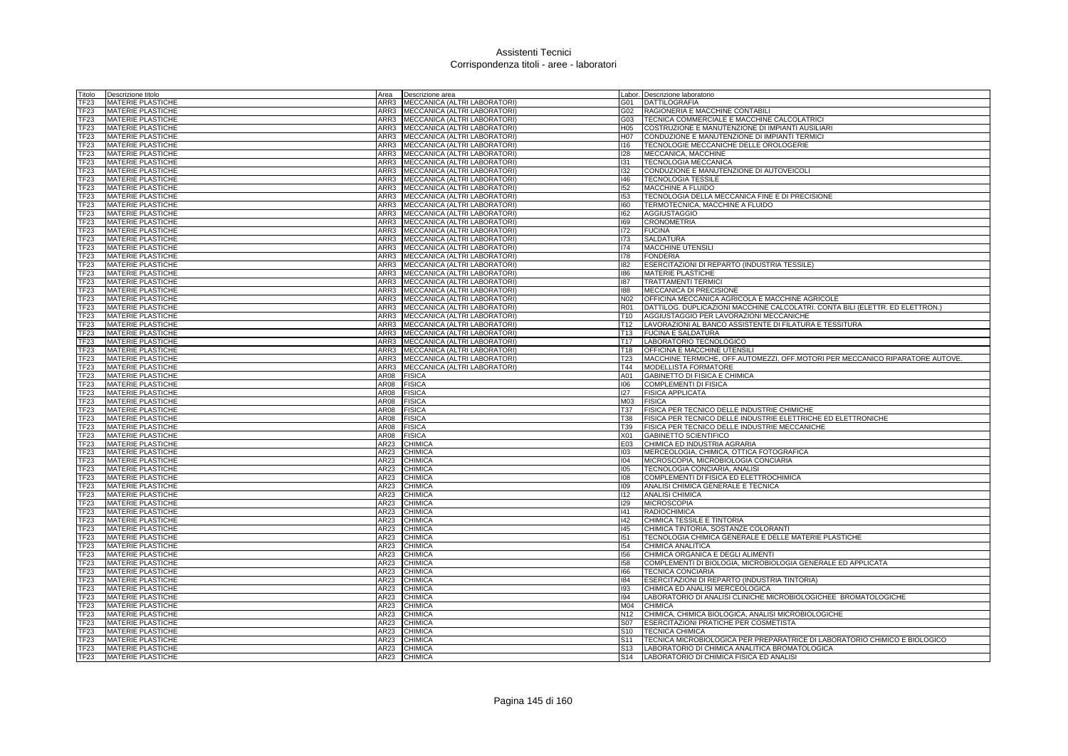| Fitolo           | Descrizione titolo<br>Area              | Descrizione area                    |                 | abor. Descrizione laboratorio                                                 |
|------------------|-----------------------------------------|-------------------------------------|-----------------|-------------------------------------------------------------------------------|
| TF23             | <b>MATERIE PLASTICHE</b><br>ARR3        | MECCANICA (ALTRI LABORATORI)        | 301             | <b>DATTILOGRAFIA</b>                                                          |
| TF23             | <b>MATERIE PLASTICHE</b><br>ARR3        | MECCANICA (ALTRI LABORATORI)        | G02             | RAGIONERIA E MACCHINE CONTABILI                                               |
| TF23             | <b>MATERIE PLASTICHE</b><br>ARR3        | MECCANICA (ALTRI LABORATORI)        | 303             | TECNICA COMMERCIALE E MACCHINE CALCOLATRICI                                   |
| TF23             | <b>MATERIE PLASTICHE</b><br>ARR3        | MECCANICA (ALTRI LABORATORI)        | H05             | COSTRUZIONE E MANUTENZIONE DI IMPIANTI AUSILIARI                              |
| TF23             | <b>MATERIE PLASTICHE</b><br>ARR3        | MECCANICA (ALTRI LABORATORI)        | H07             | CONDUZIONE E MANUTENZIONE DI IMPIANTI TERMICI                                 |
| TF23             | <b>MATERIE PLASTICHE</b><br>ARR3        | MECCANICA (ALTRI LABORATORI)        | 116             | TECNOLOGIE MECCANICHE DELLE OROLOGERIE                                        |
| TF23             | <b>MATERIE PLASTICHE</b><br>ARR3        | MECCANICA (ALTRI LABORATORI)        | 128             | MECCANICA, MACCHINE                                                           |
| TF23             | <b>MATERIE PLASTICHE</b><br>ARR3        | MECCANICA (ALTRI LABORATORI)        | 131             | TECNOLOGIA MECCANICA                                                          |
| TF23             | <b>MATERIE PLASTICHE</b><br>ARR3        | MECCANICA (ALTRI LABORATORI)        | 132             | CONDUZIONE E MANUTENZIONE DI AUTOVEICOLI                                      |
| TF <sub>23</sub> | <b>MATERIE PLASTICHE</b><br>ARR3        | MECCANICA (ALTRI LABORATORI)        | 146             | <b>TECNOLOGIA TESSILE</b>                                                     |
| TF23             | MATERIE PLASTICHE<br>ARR3               | MECCANICA (ALTRI LABORATORI)        | 152             | MACCHINE A FLUIDO                                                             |
| TF23             | <b>MATERIE PLASTICHE</b><br>ARR3        | MECCANICA (ALTRI LABORATORI)        | 153             | TECNOLOGIA DELLA MECCANICA FINE E DI PRECISIONE                               |
| TF <sub>23</sub> | ARR3<br><b>MATERIE PLASTICHE</b>        | MECCANICA (ALTRI LABORATORI)        | 160             | TERMOTECNICA, MACCHINE A FLUIDO                                               |
| TF23             | <b>MATERIE PLASTICHE</b><br>ARR3        | MECCANICA (ALTRI LABORATORI)        | 162             | AGGIUSTAGGIO                                                                  |
| TF23             | <b>MATERIE PLASTICHE</b><br>ARR3        | MECCANICA (ALTRI LABORATORI)        | 169             | <b>CRONOMETRIA</b>                                                            |
| TF23             | ARR3                                    |                                     | 172             | <b>FUCINA</b>                                                                 |
|                  | <b>MATERIE PLASTICHE</b><br>ARR3        | MECCANICA (ALTRI LABORATORI)        |                 |                                                                               |
| TF23             | <b>MATERIE PLASTICHE</b>                | MECCANICA (ALTRI LABORATORI)        | 173             | <b>SALDATURA</b>                                                              |
| TF23             | <b>MATERIE PLASTICHE</b><br>ARR3        | MECCANICA (ALTRI LABORATORI)        | 174             | MACCHINE UTENSILI                                                             |
| TF23             | <b>MATERIE PLASTICHE</b><br>ARR3        | MECCANICA (ALTRI LABORATORI)        | 178             | <b>FONDERIA</b>                                                               |
| TF23             | <b>MATERIE PLASTICHE</b><br>ARR3        | <b>MECCANICA (ALTRI LABORATORI)</b> | 182             | ESERCITAZIONI DI REPARTO (INDUSTRIA TESSILE)                                  |
| TF <sub>23</sub> | <b>MATERIE PLASTICHE</b><br>ARR3        | MECCANICA (ALTRI LABORATORI)        | 186             | <b>MATERIE PLASTICHE</b>                                                      |
| TF23             | MATERIE PLASTICHE<br>ARR3               | MECCANICA (ALTRI LABORATORI)        | 187             | <b>TRATTAMENTI TERMICI</b>                                                    |
| TF23             | <b>MATERIE PLASTICHE</b><br>ARR3        | MECCANICA (ALTRI LABORATORI)        | 881             | MECCANICA DI PRECISIONE                                                       |
| TF23             | <b>MATERIE PLASTICHE</b><br>ARR3        | MECCANICA (ALTRI LABORATORI)        | N02             | OFFICINA MECCANICA AGRICOLA E MACCHINE AGRICOLE                               |
| TF23             | <b>MATERIE PLASTICHE</b><br>ARR3        | MECCANICA (ALTRI LABORATORI)        | R01             | DATTILOG. DUPLICAZIONI MACCHINE CALCOLATRI. CONTA BILI (ELETTR. ED ELETTRON.) |
| TF23             | <b>MATERIE PLASTICHE</b><br>ARR3        | MECCANICA (ALTRI LABORATORI)        | T10             | AGGIUSTAGGIO PER LAVORAZIONI MECCANICHE                                       |
| TF23             | <b>MATERIE PLASTICHE</b><br>ARR3        | MECCANICA (ALTRI LABORATORI)        | T12             | LAVORAZIONI AL BANCO ASSISTENTE DI FILATURA E TESSITURA                       |
| TF23             | <b>MATERIE PLASTICHE</b><br>ARR3        | MECCANICA (ALTRI LABORATORI)        | T13             | <b>FUCINA E SALDATURA</b>                                                     |
| TF23             | <b>MATERIE PLASTICHE</b><br>ARR3        | MECCANICA (ALTRI LABORATORI)        | T17             | LABORATORIO TECNOLOGICO                                                       |
| TF23             | ARR3<br><b>MATERIE PLASTICHE</b>        | MECCANICA (ALTRI LABORATORI)        | T18             | OFFICINA E MACCHINE UTENSILI                                                  |
| <b>TF23</b>      | <b>MATERIE PLASTICHE</b><br>ARR3        | MECCANICA (ALTRI LABORATORI)        | T23             | MACCHINE TERMICHE, OFF.AUTOMEZZI, OFF.MOTORI PER MECCANICO RIPARATORE AUTOVE. |
| TF <sub>23</sub> | <b>MATERIE PLASTICHE</b><br>ARR3        | MECCANICA (ALTRI LABORATORI)        | T44             | MODELLISTA FORMATORE                                                          |
| TF23             | <b>MATERIE PLASTICHE</b><br>AR08        | <b>FISICA</b>                       | A01             | GABINETTO DI FISICA E CHIMICA                                                 |
| TF23             | <b>MATERIE PLASTICHE</b><br>AR08        | <b>FISICA</b>                       | 106             | COMPLEMENTI DI FISICA                                                         |
| TF23             | <b>MATERIE PLASTICHE</b><br>AR08        | <b>FISICA</b>                       | 127             | <b>FISICA APPLICATA</b>                                                       |
| TF23             | <b>MATERIE PLASTICHE</b><br>AR08        | <b>FISICA</b>                       | M <sub>03</sub> | <b>FISICA</b>                                                                 |
| TF23             | <b>MATERIE PLASTICHE</b><br>AR08        | <b>FISICA</b>                       | T37             | FISICA PER TECNICO DELLE INDUSTRIE CHIMICHE                                   |
| <b>FF23</b>      | <b>MATERIE PLASTICHE</b><br>AR08        | <b>FISICA</b>                       | T38             | FISICA PER TECNICO DELLE INDUSTRIE ELETTRICHE ED ELETTRONICHE                 |
| TF23             | <b>MATERIE PLASTICHE</b><br>AR08        | <b>FISICA</b>                       | T39             | FISICA PER TECNICO DELLE INDUSTRIE MECCANICHE                                 |
| TF <sub>23</sub> | <b>MATERIE PLASTICHE</b><br><b>AR08</b> | <b>FISICA</b>                       | X01             | <b>GABINETTO SCIENTIFICO</b>                                                  |
| TF23             | MATERIE PLASTICHE<br>AR23               | CHIMICA                             | E03             | CHIMICA ED INDUSTRIA AGRARIA                                                  |
| TF23             | MATERIE PLASTICHE<br>AR23               | CHIMICA                             | 103             | MERCEOLOGIA, CHIMICA, OTTICA FOTOGRAFICA                                      |
| TF <sub>23</sub> | AR23<br><b>MATERIE PLASTICHE</b>        | CHIMICA                             | 104             | MICROSCOPIA, MICROBIOLOGIA CONCIARIA                                          |
| TF23             | <b>MATERIE PLASTICHE</b><br>AR23        | CHIMICA                             | 105             | TECNOLOGIA CONCIARIA, ANALISI                                                 |
| TF23             | <b>MATERIE PLASTICHE</b><br>AR23        | CHIMICA                             | 108             | COMPLEMENTI DI FISICA ED ELETTROCHIMICA                                       |
| TF23             | <b>MATERIE PLASTICHE</b><br>AR23        | <b>CHIMICA</b>                      | 109             | ANALISI CHIMICA GENERALE E TECNICA                                            |
| TF23             | <b>MATERIE PLASTICHE</b><br>AR23        | CHIMICA                             | 112             | <b>ANALISI CHIMICA</b>                                                        |
| <b>TF23</b>      | MATERIE PLASTICHE<br>AR23               | CHIMICA                             | 129             | <b>MICROSCOPIA</b>                                                            |
| TF23             | MATERIE PLASTICHE<br>AR23               | CHIMICA                             | 41              | <b>RADIOCHIMICA</b>                                                           |
| TF23             | <b>MATERIE PLASTICHE</b><br>AR23        | CHIMICA                             | 142             | CHIMICA TESSILE E TINTORIA                                                    |
| TF23             | AR23<br><b>MATERIE PLASTICHE</b>        | CHIMICA                             | 145             | CHIMICA TINTORIA, SOSTANZE COLORANTI                                          |
| TF23             | <b>MATERIE PLASTICHE</b><br>AR23        | CHIMICA                             | 151             | TECNOLOGIA CHIMICA GENERALE E DELLE MATERIE PLASTICHE                         |
| TF <sub>23</sub> | <b>MATERIE PLASTICHE</b><br>AR23        | CHIMICA                             | 154             | CHIMICA ANALITICA                                                             |
| TF <sub>23</sub> | <b>MATERIE PLASTICHE</b><br>AR23        | <b>CHIMICA</b>                      | 156             | CHIMICA ORGANICA E DEGLI ALIMENTI                                             |
| TF23             | <b>MATERIE PLASTICHE</b><br>AR23        | CHIMICA                             | 158             | COMPLEMENTI DI BIOLOGIA, MICROBIOLOGIA GENERALE ED APPLICATA                  |
| TF23             | AR23<br><b>MATERIE PLASTICHE</b>        | CHIMICA                             | 166             | <b>TECNICA CONCIARIA</b>                                                      |
| TF23             | <b>MATERIE PLASTICHE</b><br>AR23        | CHIMICA                             | 184             | ESERCITAZIONI DI REPARTO (INDUSTRIA TINTORIA)                                 |
| TF23             | MATERIE PLASTICHE<br>AR23               | CHIMICA                             | 193             | CHIMICA ED ANALISI MERCEOLOGICA                                               |
| TF23             | <b>MATERIE PLASTICHE</b><br>AR23        | CHIMICA                             | 194             | LABORATORIO DI ANALISI CLINICHE MICROBIOLOGICHEE BROMATOLOGICHE               |
| TF23             | <b>MATERIE PLASTICHE</b><br>AR23        | CHIMICA                             | M04             | <b>CHIMICA</b>                                                                |
| TF23             | <b>MATERIE PLASTICHE</b><br>AR23        | CHIMICA                             | N12             | CHIMICA, CHIMICA BIOLOGICA, ANALISI MICROBIOLOGICHE                           |
| TF23             | <b>MATERIE PLASTICHE</b><br>AR23        | CHIMICA                             | S07             | ESERCITAZIONI PRATICHE PER COSMETISTA                                         |
| TF23             | <b>MATERIE PLASTICHE</b><br>AR23        | CHIMICA                             | S10             | <b>TECNICA CHIMICA</b>                                                        |
| <b>FF23</b>      | <b>MATERIE PLASTICHE</b><br>AR23        | CHIMICA                             | S <sub>11</sub> | TECNICA MICROBIOLOGICA PER PREPARATRICE DI LABORATORIO CHIMICO E BIOLOGICO    |
| TF <sub>23</sub> | <b>MATERIE PLASTICHE</b><br>AR23        | CHIMICA                             | S13             | LABORATORIO DI CHIMICA ANALITICA BROMATOLOGICA                                |
| TF23             | <b>MATERIE PLASTICHE</b><br>AR23        | <b>CHIMICA</b>                      | S <sub>14</sub> | LABORATORIO DI CHIMICA FISICA ED ANALISI                                      |
|                  |                                         |                                     |                 |                                                                               |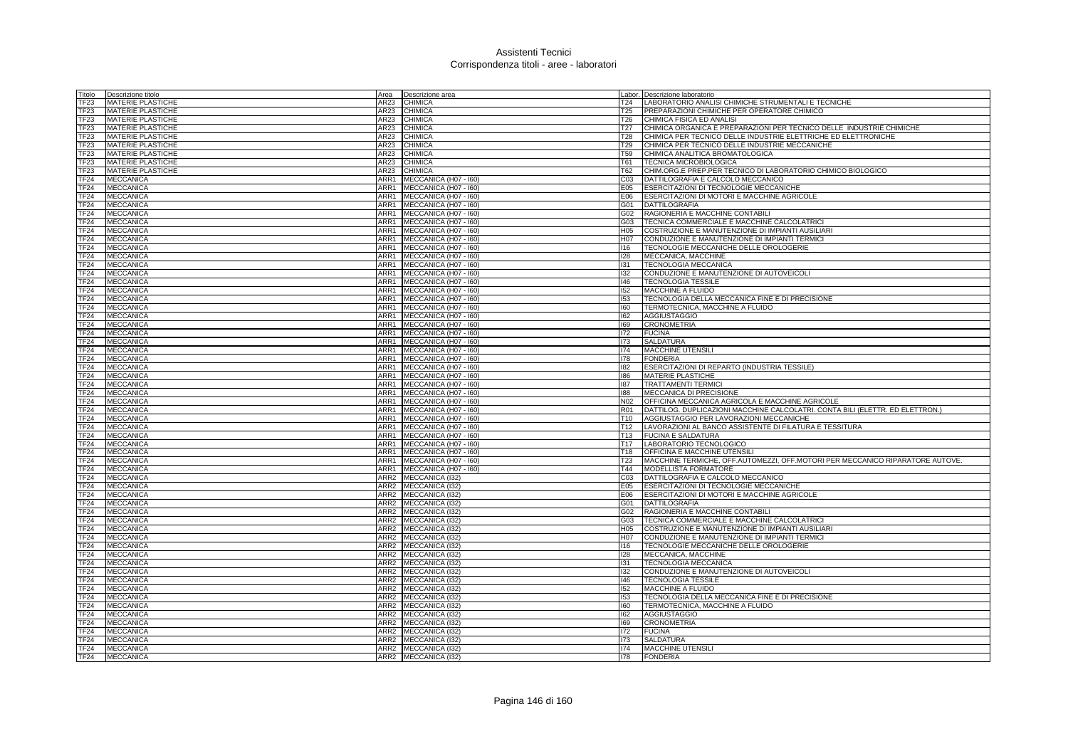| Fitolo           | Descrizione titolo<br>Area           | Descrizione area      |                 | Labor. Descrizione laboratorio                                                |
|------------------|--------------------------------------|-----------------------|-----------------|-------------------------------------------------------------------------------|
| TF23             | <b>MATERIE PLASTICHE</b><br>AR23     | <b>CHIMICA</b>        | T24             | LABORATORIO ANALISI CHIMICHE STRUMENTALI E TECNICHE                           |
| TF23             | AR23<br><b>MATERIE PLASTICHE</b>     | CHIMICA               | T25             | PREPARAZIONI CHIMICHE PER OPERATORE CHIMICO                                   |
| TF23             | <b>MATERIE PLASTICHE</b><br>AR23     | <b>CHIMICA</b>        | T26             | CHIMICA FISICA ED ANALISI                                                     |
| TF23             | MATERIE PLASTICHE<br>AR23            | <b>CHIMICA</b>        | T27             | CHIMICA ORGANICA E PREPARAZIONI PER TECNICO DELLE INDUSTRIE CHIMICHE          |
| TF23             | <b>MATERIE PLASTICHE</b><br>AR23     | CHIMICA               | T28             | CHIMICA PER TECNICO DELLE INDUSTRIE ELETTRICHE ED ELETTRONICHE                |
| TF23             | <b>MATERIE PLASTICHE</b><br>AR23     | CHIMICA               | T29             | CHIMICA PER TECNICO DELLE INDUSTRIE MECCANICHE                                |
| TF23             | <b>MATERIE PLASTICHE</b><br>AR23     | CHIMICA               | <b>T59</b>      | CHIMICA ANALITICA BROMATOLOGICA                                               |
| TF23             | <b>MATERIE PLASTICHE</b><br>AR23     | CHIMICA               | T61             | TECNICA MICROBIOLOGICA                                                        |
| TF23             | <b>MATERIE PLASTICHE</b><br>AR23     | CHIMICA               | T62             | CHIM.ORG.E PREP.PER TECNICO DI LABORATORIO CHIMICO BIOLOGICO                  |
| TF <sub>24</sub> | <b>MECCANICA</b><br>ARR1             | MECCANICA (H07 - 160) | C03             | DATTILOGRAFIA E CALCOLO MECCANICO                                             |
| <b>TF24</b>      | <b>MECCANICA</b><br>ARR1             | MECCANICA (H07 - I60) | E05             | ESERCITAZIONI DI TECNOLOGIE MECCANICHE                                        |
| <b>TF24</b>      | <b>MECCANICA</b><br>ARR1             | MECCANICA (H07 - I60) | E06             | ESERCITAZIONI DI MOTORI E MACCHINE AGRICOLE                                   |
| TF <sub>24</sub> | <b>MECCANICA</b><br>ARR1             | MECCANICA (H07 - I60) | G01             | <b>DATTILOGRAFIA</b>                                                          |
| TF <sub>24</sub> | <b>MECCANICA</b><br>ARR1             | MECCANICA (H07 - I60) | G02             | RAGIONERIA E MACCHINE CONTABILI                                               |
| <b>TF24</b>      | <b>MECCANICA</b><br>ARR1             | MECCANICA (H07 - I60) | G03             | TECNICA COMMERCIALE E MACCHINE CALCOLATRICI                                   |
| <b>TF24</b>      | <b>MECCANICA</b><br>ARR1             | MECCANICA (H07 - I60) | H05             | COSTRUZIONE E MANUTENZIONE DI IMPIANTI AUSILIARI                              |
| TF24             | <b>MECCANICA</b><br>ARR1             | MECCANICA (H07 - I60) | H07             | CONDUZIONE E MANUTENZIONE DI IMPIANTI TERMICI                                 |
| TF24             | <b>MECCANICA</b><br>ARR1             | MECCANICA (H07 - I60) | 116             | TECNOLOGIE MECCANICHE DELLE OROLOGERIE                                        |
| TF <sub>24</sub> | <b>MECCANICA</b><br>ARR1             | MECCANICA (H07 - I60) | 128             | MECCANICA, MACCHINE                                                           |
| <b>TF24</b>      | <b>MECCANICA</b><br>ARR1             | MECCANICA (H07 - 160) | 131             | TECNOLOGIA MECCANICA                                                          |
| TF <sub>24</sub> | <b>MECCANICA</b><br>ARR1             | MECCANICA (H07 - 160) | 132             | CONDUZIONE E MANUTENZIONE DI AUTOVEICOLI                                      |
| TF <sub>24</sub> | <b>MECCANICA</b><br>ARR1             | MECCANICA (H07 - I60) | 146             | <b>TECNOLOGIA TESSILE</b>                                                     |
| TF24             | <b>MECCANICA</b><br>ARR1             | MECCANICA (H07 - I60) | 152             | MACCHINE A FLUIDO                                                             |
| TF24             | <b>MECCANICA</b><br>ARR1             | MECCANICA (H07 - I60) | 153             | TECNOLOGIA DELLA MECCANICA FINE E DI PRECISIONE                               |
| TF24             | <b>MECCANICA</b><br>ARR1             | MECCANICA (H07 - 160) | 160             | TERMOTECNICA, MACCHINE A FLUIDO                                               |
| TF24             | <b>MECCANICA</b><br>ARR1             | MECCANICA (H07 - I60) | 162             | <b>AGGIUSTAGGIO</b>                                                           |
| <b>TF24</b>      | <b>MECCANICA</b><br>ARR1             | MECCANICA (H07 - 160) | 169             | <b>CRONOMETRIA</b>                                                            |
| <b>TF24</b>      | <b>MECCANICA</b><br>ARR1             | MECCANICA (H07 - 160) | 172             | <b>FUCINA</b>                                                                 |
| TF24             | <b>MECCANICA</b><br>ARR1             | MECCANICA (H07 - I60) | 173             | <b>SALDATURA</b>                                                              |
| TF24             | <b>MECCANICA</b><br>ARR1             | MECCANICA (H07 - I60) | 174             | MACCHINE UTENSILI                                                             |
| <b>TF24</b>      | <b>MECCANICA</b><br>ARR1             | MECCANICA (H07 - I60) | 178             | <b>FONDERIA</b>                                                               |
| TF <sub>24</sub> | <b>MECCANICA</b><br>ARR1             | MECCANICA (H07 - 160) | 182             | ESERCITAZIONI DI REPARTO (INDUSTRIA TESSILE)                                  |
| <b>TF24</b>      | <b>MECCANICA</b><br>ARR1             | MECCANICA (H07 - I60) | 186             | <b>MATERIE PLASTICHE</b>                                                      |
| <b>TF24</b>      | <b>MECCANICA</b><br>ARR1             | MECCANICA (H07 - I60) | 187             | <b>TRATTAMENTI TERMICI</b>                                                    |
| <b>TF24</b>      | <b>MECCANICA</b><br>ARR1             | MECCANICA (H07 - I60) | 188             | MECCANICA DI PRECISIONE                                                       |
| <b>TF24</b>      | <b>MECCANICA</b><br>ARR1             | MECCANICA (H07 - I60) | N02             | OFFICINA MECCANICA AGRICOLA E MACCHINE AGRICOLE                               |
| TF24             | <b>MECCANICA</b><br>ARR1             | MECCANICA (H07 - I60) | R01             | DATTILOG. DUPLICAZIONI MACCHINE CALCOLATRI. CONTA BILI (ELETTR. ED ELETTRON.) |
| <b>TF24</b>      | <b>MECCANICA</b><br>ARR1             | MECCANICA (H07 - I60) | T <sub>10</sub> | AGGIUSTAGGIO PER LAVORAZIONI MECCANICHE                                       |
| TF <sub>24</sub> | <b>MECCANICA</b><br>ARR1             | MECCANICA (H07 - I60) | T12             | LAVORAZIONI AL BANCO ASSISTENTE DI FILATURA E TESSITURA                       |
| <b>TF24</b>      | <b>MECCANICA</b><br>ARR1             | MECCANICA (H07 - I60) | T <sub>13</sub> | <b>FUCINA E SALDATURA</b>                                                     |
| <b>TF24</b>      | <b>MECCANICA</b><br>ARR1             | MECCANICA (H07 - I60) | T <sub>17</sub> | LABORATORIO TECNOLOGICO                                                       |
| TF24             | <b>MECCANICA</b><br>ARR1             | MECCANICA (H07 - I60) | T <sub>18</sub> | OFFICINA E MACCHINE UTENSILI                                                  |
| TF24             | <b>MECCANICA</b><br>ARR1             | MECCANICA (H07 - 160) | T23             | MACCHINE TERMICHE, OFF.AUTOMEZZI, OFF.MOTORI PER MECCANICO RIPARATORE AUTOVE. |
| TF <sub>24</sub> | <b>MECCANICA</b><br>ARR1             | MECCANICA (H07 - I60) | T44             | MODELLISTA FORMATORE                                                          |
| TF24             | <b>MECCANICA</b><br>ARR2             | MECCANICA (I32)       | C03             | DATTILOGRAFIA E CALCOLO MECCANICO                                             |
| TF24             | <b>MECCANICA</b><br>ARR2             | MECCANICA (I32)       | E05             | ESERCITAZIONI DI TECNOLOGIE MECCANICHE                                        |
| TF24             | <b>MECCANICA</b>                     | ARR2 MECCANICA (I32)  | E06             | ESERCITAZIONI DI MOTORI E MACCHINE AGRICOLE                                   |
| <b>TF24</b>      | <b>MECCANICA</b><br>ARR2             | MECCANICA (132)       | G01             | <b>DATTILOGRAFIA</b>                                                          |
| TF24             | <b>MECCANICA</b><br>ARR2             | MECCANICA (132)       | G02             | RAGIONERIA E MACCHINE CONTABILI                                               |
| <b>TF24</b>      | <b>MECCANICA</b><br>ARR2             | MECCANICA (132)       | G03             | TECNICA COMMERCIALE E MACCHINE CALCOLATRICI                                   |
| TF24             | <b>MECCANICA</b><br>ARR2             | MECCANICA (I32)       | H05             | COSTRUZIONE E MANUTENZIONE DI IMPIANTI AUSILIARI                              |
| TF24             | <b>MECCANICA</b><br>ARR2             | MECCANICA (132)       | H07             | CONDUZIONE E MANUTENZIONE DI IMPIANTI TERMICI                                 |
| <b>TF24</b>      | <b>MECCANICA</b><br>ARR <sub>2</sub> | MECCANICA (I32)       | 116             | TECNOLOGIE MECCANICHE DELLE OROLOGERIE                                        |
| TF <sub>24</sub> | <b>MECCANICA</b>                     | ARR2 MECCANICA (I32)  | 128             | MECCANICA, MACCHINE                                                           |
| TF24             | <b>MECCANICA</b>                     | ARR2 MECCANICA (I32)  | 131             | <b>TECNOLOGIA MECCANICA</b>                                                   |
| TF <sub>24</sub> | ARR <sub>2</sub><br><b>MECCANICA</b> | MECCANICA (I32)       | 132             | CONDUZIONE E MANUTENZIONE DI AUTOVEICOLI                                      |
| <b>TF24</b>      | <b>MECCANICA</b><br>ARR <sub>2</sub> | MECCANICA (132)       | 146             | <b>TECNOLOGIA TESSILE</b>                                                     |
| <b>TF24</b>      | <b>MECCANICA</b><br>ARR2             | MECCANICA (I32)       | 152             | MACCHINE A FLUIDO                                                             |
| TF24             | <b>MECCANICA</b><br>ARR <sub>2</sub> | MECCANICA (I32)       | 153             | TECNOLOGIA DELLA MECCANICA FINE E DI PRECISIONE                               |
| TF <sub>24</sub> | <b>MECCANICA</b>                     | ARR2 MECCANICA (I32)  | 160             | TERMOTECNICA, MACCHINE A FLUIDO                                               |
| <b>TF24</b>      | <b>MECCANICA</b><br>ARR <sub>2</sub> | MECCANICA (132)       | 162             | <b>AGGIUSTAGGIO</b>                                                           |
| TF <sub>24</sub> | <b>MECCANICA</b><br>ARR <sub>2</sub> | MECCANICA (I32)       | 169             | <b>CRONOMETRIA</b>                                                            |
| TF24             | <b>MECCANICA</b>                     | ARR2 MECCANICA (132)  | 172             | <b>FUCINA</b>                                                                 |
| TF24             | <b>MECCANICA</b>                     | ARR2 MECCANICA (I32)  | 173             | <b>SALDATURA</b>                                                              |
| TF24             | <b>MECCANICA</b>                     | ARR2 MECCANICA (I32)  | 174             | <b>MACCHINE UTENSILI</b>                                                      |
| <b>TF24</b>      | <b>MECCANICA</b>                     | ARR2 MECCANICA (I32)  | 178             | <b>FONDERIA</b>                                                               |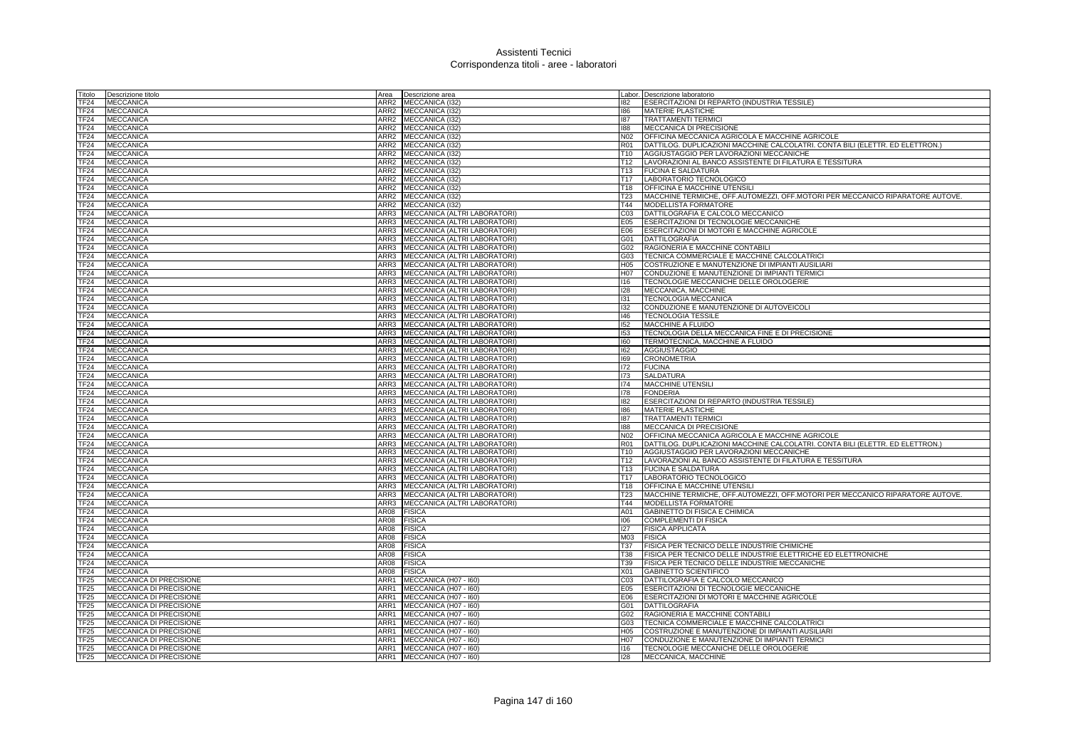| Titolo                   | Descrizione titolo                                               | Area | Descrizione area                                         |                  | Labor. Descrizione laboratorio                                                |
|--------------------------|------------------------------------------------------------------|------|----------------------------------------------------------|------------------|-------------------------------------------------------------------------------|
| <b>TF24</b>              | <b>MECCANICA</b>                                                 |      | ARR2 MECCANICA (I32                                      | 182              | ESERCITAZIONI DI REPARTO (INDUSTRIA TESSILE)                                  |
| <b>TF24</b>              | <b>MECCANICA</b>                                                 |      | ARR2 MECCANICA (132)                                     | 186              | MATERIE PLASTICHE                                                             |
| <b>TF24</b>              | <b>MECCANICA</b>                                                 |      | ARR2 MECCANICA (I32)                                     | 187              | <b>TRATTAMENTI TERMICI</b>                                                    |
| <b>TF24</b>              | <b>MECCANICA</b>                                                 |      | ARR2 MECCANICA (I32)                                     | 188              | MECCANICA DI PRECISIONE                                                       |
| <b>TF24</b>              | <b>MECCANICA</b>                                                 |      | ARR2 MECCANICA (I32)                                     | N02              | OFFICINA MECCANICA AGRICOLA E MACCHINE AGRICOLE                               |
| <b>TF24</b>              | <b>MECCANICA</b>                                                 |      | ARR2 MECCANICA (I32)                                     | <b>R01</b>       | DATTILOG. DUPLICAZIONI MACCHINE CALCOLATRI. CONTA BILI (ELETTR. ED ELETTRON.) |
| <b>TF24</b>              | <b>MECCANICA</b>                                                 |      | ARR2 MECCANICA (I32)                                     | T10              | AGGIUSTAGGIO PER LAVORAZIONI MECCANICHE                                       |
| <b>TF24</b>              | <b>MECCANICA</b>                                                 |      | ARR2 MECCANICA (I32)                                     | T <sub>12</sub>  | LAVORAZIONI AL BANCO ASSISTENTE DI FILATURA E TESSITURA                       |
| TF <sub>24</sub>         | <b>MECCANICA</b>                                                 |      | ARR2 MECCANICA (I32)                                     | T <sub>13</sub>  | <b>FUCINA E SALDATURA</b>                                                     |
| TF <sub>24</sub>         | <b>MECCANICA</b>                                                 |      | ARR2 MECCANICA (I32)                                     | T <sub>17</sub>  | LABORATORIO TECNOLOGICO                                                       |
| <b>TF24</b>              | <b>MECCANICA</b>                                                 |      | ARR2 MECCANICA (I32)                                     | T18              | OFFICINA E MACCHINE UTENSILI                                                  |
| TF <sub>24</sub>         | <b>MECCANICA</b>                                                 |      | ARR2 MECCANICA (I32)                                     | T <sub>23</sub>  | MACCHINE TERMICHE, OFF.AUTOMEZZI, OFF.MOTORI PER MECCANICO RIPARATORE AUTOVE. |
| TF <sub>24</sub>         | <b>MECCANICA</b>                                                 |      | ARR2 MECCANICA (I32)                                     | T44              | MODELLISTA FORMATORE                                                          |
| TF <sub>24</sub>         | <b>MECCANICA</b>                                                 |      | ARR3 MECCANICA (ALTRI LABORATORI)                        | CO <sub>3</sub>  | DATTILOGRAFIA E CALCOLO MECCANICO                                             |
| TF <sub>24</sub>         | <b>MECCANICA</b>                                                 |      | ARR3 MECCANICA (ALTRI LABORATORI)                        | E05              | ESERCITAZIONI DI TECNOLOGIE MECCANICHE                                        |
| TF <sub>24</sub>         | <b>MECCANICA</b>                                                 |      | ARR3 MECCANICA (ALTRI LABORATORI)                        | E06              | ESERCITAZIONI DI MOTORI E MACCHINE AGRICOLE                                   |
| <b>TF24</b>              | <b>MECCANICA</b>                                                 |      | ARR3 MECCANICA (ALTRI LABORATORI)                        | G01              | <b>DATTILOGRAFIA</b>                                                          |
| TF <sub>24</sub>         | <b>MECCANICA</b>                                                 |      | ARR3 MECCANICA (ALTRI LABORATORI)                        | G02              | RAGIONERIA E MACCHINE CONTABILI                                               |
| <b>TF24</b>              | <b>MECCANICA</b>                                                 |      | ARR3 MECCANICA (ALTRI LABORATORI)                        | G03              | TECNICA COMMERCIALE E MACCHINE CALCOLATRICI                                   |
| TF <sub>24</sub>         | <b>MECCANICA</b>                                                 |      | ARR3 MECCANICA (ALTRI LABORATORI)                        | H <sub>05</sub>  | COSTRUZIONE E MANUTENZIONE DI IMPIANTI AUSILIARI                              |
| <b>TF24</b>              | <b>MECCANICA</b>                                                 |      | ARR3 MECCANICA (ALTRI LABORATORI)                        | H <sub>0</sub> 7 | CONDUZIONE E MANUTENZIONE DI IMPIANTI TERMICI                                 |
| <b>TF24</b>              | <b>MECCANICA</b>                                                 |      | ARR3 MECCANICA (ALTRI LABORATORI)                        | 116              | TECNOLOGIE MECCANICHE DELLE OROLOGERIE                                        |
| TF <sub>24</sub>         | <b>MECCANICA</b>                                                 |      | ARR3 MECCANICA (ALTRI LABORATORI)                        | 128              | MECCANICA, MACCHINE                                                           |
| TF <sub>24</sub>         | <b>MECCANICA</b>                                                 | ARR3 | MECCANICA (ALTRI LABORATORI)                             | 131              | <b>TECNOLOGIA MECCANICA</b>                                                   |
| <b>TF24</b>              | <b>MECCANICA</b>                                                 | ARR3 | MECCANICA (ALTRI LABORATORI)                             | 132              | CONDUZIONE E MANUTENZIONE DI AUTOVEICOLI                                      |
| <b>TF24</b>              | <b>MECCANICA</b>                                                 |      | ARR3 MECCANICA (ALTRI LABORATORI)                        | 146              | <b>TECNOLOGIA TESSILE</b>                                                     |
| TF <sub>24</sub>         | <b>MECCANICA</b>                                                 |      | ARR3 MECCANICA (ALTRI LABORATORI)                        | 152              | MACCHINE A FLUIDO                                                             |
| TF <sub>24</sub>         | <b>MECCANICA</b>                                                 | ARR3 | MECCANICA (ALTRI LABORATORI)                             | 153              | TECNOLOGIA DELLA MECCANICA FINE E DI PRECISIONE                               |
| TF <sub>24</sub>         | <b>MECCANICA</b>                                                 |      | ARR3 MECCANICA (ALTRI LABORATORI)                        | 160              | TERMOTECNICA, MACCHINE A FLUIDO                                               |
| <b>TF24</b>              | <b>MECCANICA</b>                                                 |      | ARR3 MECCANICA (ALTRI LABORATORI)                        | 162              | <b>AGGIUSTAGGIO</b>                                                           |
| <b>TF24</b>              | <b>MECCANICA</b>                                                 |      | ARR3 MECCANICA (ALTRI LABORATORI)                        | 169              | <b>CRONOMETRIA</b>                                                            |
| <b>TF24</b>              | <b>MECCANICA</b>                                                 |      | ARR3 MECCANICA (ALTRI LABORATORI)                        | 172              | <b>FUCINA</b>                                                                 |
| TF <sub>24</sub>         | <b>MECCANICA</b>                                                 | ARR3 | MECCANICA (ALTRI LABORATORI)                             | 173              | <b>SALDATURA</b>                                                              |
| TF <sub>24</sub>         | <b>MECCANICA</b>                                                 | ARR3 | MECCANICA (ALTRI LABORATORI)                             | 174              | MACCHINE UTENSILI                                                             |
| TF <sub>24</sub>         | <b>MECCANICA</b>                                                 | ARR3 | MECCANICA (ALTRI LABORATORI)                             | 178              | <b>FONDERIA</b>                                                               |
| <b>TF24</b>              | <b>MECCANICA</b>                                                 | ARR3 | MECCANICA (ALTRI LABORATORI)                             | 182              | ESERCITAZIONI DI REPARTO (INDUSTRIA TESSILE)                                  |
| TF <sub>24</sub>         | <b>MECCANICA</b>                                                 | ARR3 | MECCANICA (ALTRI LABORATORI)                             | 186              | MATERIE PLASTICHE                                                             |
|                          |                                                                  |      |                                                          | 187              | <b>TRATTAMENTI TERMICI</b>                                                    |
| TF <sub>24</sub>         | <b>MECCANICA</b>                                                 | ARR3 | MECCANICA (ALTRI LABORATORI)                             |                  |                                                                               |
| <b>TF24</b>              | <b>MECCANICA</b>                                                 | ARR3 | MECCANICA (ALTRI LABORATORI)                             | 188              | MECCANICA DI PRECISIONE                                                       |
| TF <sub>24</sub>         | <b>MECCANICA</b>                                                 |      | ARR3 MECCANICA (ALTRI LABORATORI)                        | N02              | OFFICINA MECCANICA AGRICOLA E MACCHINE AGRICOLE                               |
| TF <sub>24</sub>         | <b>MECCANICA</b>                                                 | ARR3 | MECCANICA (ALTRI LABORATORI)                             | R <sub>01</sub>  | DATTILOG. DUPLICAZIONI MACCHINE CALCOLATRI. CONTA BILI (ELETTR. ED ELETTRON.) |
| <b>TF24</b>              | <b>MECCANICA</b>                                                 |      | ARR3 MECCANICA (ALTRI LABORATORI)                        | T10              | AGGIUSTAGGIO PER LAVORAZIONI MECCANICHE                                       |
| TF <sub>24</sub>         | MECCANICA                                                        |      | ARR3 MECCANICA (ALTRI LABORATORI)                        | T <sub>12</sub>  | LAVORAZIONI AL BANCO ASSISTENTE DI FILATURA E TESSITURA                       |
| <b>TF24</b>              | <b>MECCANICA</b>                                                 |      | ARR3 MECCANICA (ALTRI LABORATORI)                        | T <sub>13</sub>  | <b>FUCINA E SALDATURA</b>                                                     |
| TF <sub>24</sub>         | <b>MECCANICA</b>                                                 |      | ARR3 MECCANICA (ALTRI LABORATORI)                        | T17              | LABORATORIO TECNOLOGICO                                                       |
| TF <sub>24</sub>         | <b>MECCANICA</b>                                                 | ARR3 | MECCANICA (ALTRI LABORATORI)                             | T18              | OFFICINA E MACCHINE UTENSILI                                                  |
| TF24                     | <b>MECCANICA</b>                                                 |      | ARR3 MECCANICA (ALTRI LABORATORI)                        | T <sub>23</sub>  | MACCHINE TERMICHE, OFF.AUTOMEZZI, OFF.MOTORI PER MECCANICO RIPARATORE AUTOVE. |
| <b>TF24</b>              | <b>MECCANICA</b>                                                 | ARR3 | MECCANICA (ALTRI LABORATORI)                             | T44              | MODELLISTA FORMATORE                                                          |
| TF <sub>24</sub>         | <b>MECCANICA</b>                                                 | AR08 | <b>FISICA</b>                                            | A01              | GABINETTO DI FISICA E CHIMICA                                                 |
| TF <sub>24</sub>         | <b>MECCANICA</b>                                                 | AR08 | <b>FISICA</b>                                            | 106              | <b>COMPLEMENTI DI FISICA</b>                                                  |
| TF <sub>24</sub>         | <b>MECCANICA</b>                                                 | AR08 | <b>FISICA</b>                                            | 127              | <b>FISICA APPLICATA</b>                                                       |
| TF <sub>24</sub>         | <b>MECCANICA</b>                                                 | AR08 | <b>FISICA</b>                                            | M <sub>03</sub>  | <b>FISICA</b>                                                                 |
| TF <sub>24</sub>         | <b>MECCANICA</b>                                                 | AR08 | <b>FISICA</b>                                            | T37              | FISICA PER TECNICO DELLE INDUSTRIE CHIMICHE                                   |
| <b>TF24</b>              | <b>MECCANICA</b>                                                 | AR08 | <b>FISICA</b>                                            | <b>T38</b>       | FISICA PER TECNICO DELLE INDUSTRIE ELETTRICHE ED ELETTRONICHE                 |
| <b>TF24</b>              | <b>MECCANICA</b>                                                 | AR08 | <b>FISICA</b>                                            | T39              | FISICA PER TECNICO DELLE INDUSTRIE MECCANICHE                                 |
| <b>TF24</b>              | <b>MECCANICA</b>                                                 | 4R08 | <b>FISICA</b>                                            | X01              | GABINETTO SCIENTIFICO                                                         |
| TF <sub>25</sub>         | MECCANICA DI PRECISIONE                                          | ARR1 | MECCANICA (H07 - I60)                                    | C <sub>03</sub>  | DATTILOGRAFIA E CALCOLO MECCANICO                                             |
| <b>TF25</b>              | MECCANICA DI PRECISIONE                                          | ARR1 | MECCANICA (H07 - I60)                                    | E05              | ESERCITAZIONI DI TECNOLOGIE MECCANICHE                                        |
| TF <sub>25</sub>         | MECCANICA DI PRECISIONE                                          | ARR1 | MECCANICA (H07 - 160)                                    | E06              | ESERCITAZIONI DI MOTORI E MACCHINE AGRICOLE                                   |
| <b>TF25</b>              | MECCANICA DI PRECISIONE                                          | ARR1 | MECCANICA (H07 - I60)                                    | G01              | <b>DATTILOGRAFIA</b>                                                          |
| <b>TF25</b>              | MECCANICA DI PRECISIONE                                          | ARR1 | MECCANICA (H07 - I60)                                    | G02              | RAGIONERIA E MACCHINE CONTABILI                                               |
| <b>TF25</b>              | MECCANICA DI PRECISIONE                                          | ARR1 | MECCANICA (H07 - I60)                                    | G03              | TECNICA COMMERCIALE E MACCHINE CALCOLATRIC                                    |
| <b>TF25</b>              | MECCANICA DI PRECISIONE                                          | ARR1 | MECCANICA (H07 - I60)                                    | H <sub>05</sub>  | COSTRUZIONE E MANUTENZIONE DI IMPIANTI AUSILIARI                              |
| <b>TF25</b>              | MECCANICA DI PRECISIONE                                          |      | ARR1 MECCANICA (H07 - 160)                               | H <sub>07</sub>  | CONDUZIONE E MANUTENZIONE DI IMPIANTI TERMICI                                 |
| TF <sub>25</sub><br>TF25 | <b>MECCANICA DI PRECISIONE</b><br><b>MECCANICA DI PRECISIONE</b> |      | ARR1 MECCANICA (H07 - I60)<br>ARR1 MECCANICA (H07 - 160) | 116<br>128       | TECNOLOGIE MECCANICHE DELLE OROLOGERIE<br>MECCANICA, MACCHINE                 |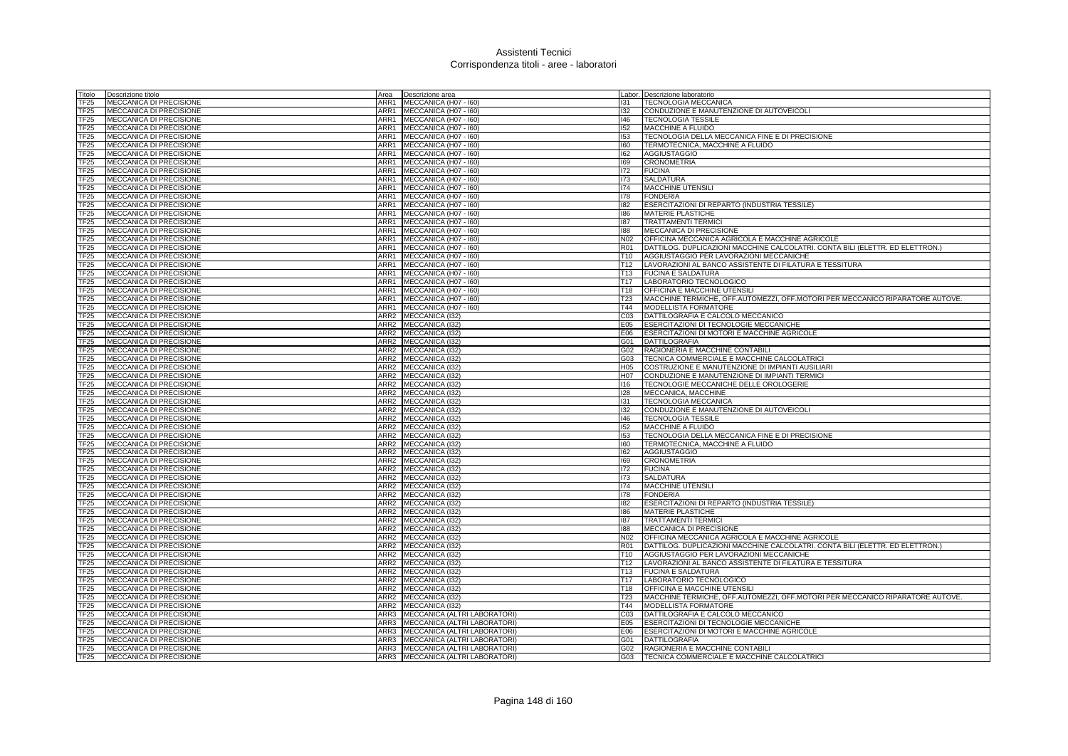| Titolo              | Descrizione titolo                                        | Area             | Descrizione area                             |                        | Labor. Descrizione laboratorio                                                                    |
|---------------------|-----------------------------------------------------------|------------------|----------------------------------------------|------------------------|---------------------------------------------------------------------------------------------------|
| TF25                | MECCANICA DI PRECISIONE                                   | ARR1             | MECCANICA (H07 - I60)                        | 131                    | TECNOLOGIA MECCANICA                                                                              |
| <b>TF25</b>         | <b>MECCANICA DI PRECISIONE</b>                            | ARR1             | MECCANICA (H07 - I60)                        | 132                    | CONDUZIONE E MANUTENZIONE DI AUTOVEICOLI                                                          |
| TF25                | MECCANICA DI PRECISIONE                                   | ARR1             | MECCANICA (H07 - I60)                        | 146                    | <b>TECNOLOGIA TESSILE</b>                                                                         |
| TF25                | MECCANICA DI PRECISIONE                                   | ARR1             | MECCANICA (H07 - I60)                        | 152                    | <b>MACCHINE A FLUIDO</b>                                                                          |
| TF25                | MECCANICA DI PRECISIONE                                   | ARR1             | MECCANICA (H07 - I60)                        | 153                    | TECNOLOGIA DELLA MECCANICA FINE E DI PRECISIONE                                                   |
| TF25                | MECCANICA DI PRECISIONE                                   | ARR1             | MECCANICA (H07 - I60)                        | 160                    | TERMOTECNICA, MACCHINE A FLUIDO                                                                   |
| TF25                | MECCANICA DI PRECISIONE                                   | ARR1             | MECCANICA (H07 - 160)                        | 162                    | <b>AGGIUSTAGGIO</b>                                                                               |
| TF25                | MECCANICA DI PRECISIONE                                   | ARR1             | MECCANICA (H07 - I60)                        | 169                    | <b>CRONOMETRIA</b>                                                                                |
| TF25                | MECCANICA DI PRECISIONE                                   | ARR1             | MECCANICA (H07 - I60)                        | 172                    | <b>FUCINA</b>                                                                                     |
| TF <sub>25</sub>    | MECCANICA DI PRECISIONE                                   | ARR1             | MECCANICA (H07 - 160)                        | 173                    | <b>SALDATURA</b>                                                                                  |
| TF25                | MECCANICA DI PRECISIONE                                   | ARR1             | MECCANICA (H07 - I60)                        | 174                    | <b>MACCHINE UTENSILI</b>                                                                          |
| TF25                | MECCANICA DI PRECISIONE                                   | ARR1             | MECCANICA (H07 - I60)                        | 178                    | <b>FONDERIA</b>                                                                                   |
| TF25                | MECCANICA DI PRECISIONE                                   | ARR1             | MECCANICA (H07 - I60)                        | 182                    | ESERCITAZIONI DI REPARTO (INDUSTRIA TESSILE)                                                      |
| TF25                | MECCANICA DI PRECISIONE                                   | ARR1             | MECCANICA (H07 - I60)                        | 186                    | MATERIE PLASTICHE                                                                                 |
| TF25                | MECCANICA DI PRECISIONE                                   | ARR1             | MECCANICA (H07 - I60)                        | 187                    | <b>TRATTAMENTI TERMICI</b>                                                                        |
| TF25                | MECCANICA DI PRECISIONE                                   | ARR1             | MECCANICA (H07 - I60)                        | 188                    | MECCANICA DI PRECISIONE                                                                           |
| TF25                | MECCANICA DI PRECISIONE                                   | ARR1             | MECCANICA (H07 - 160)                        | N <sub>02</sub>        | OFFICINA MECCANICA AGRICOLA E MACCHINE AGRICOLE                                                   |
| TF25                | <b>MECCANICA DI PRECISIONE</b>                            | ARR1             | MECCANICA (H07 - I60)                        | R <sub>01</sub>        | DATTILOG. DUPLICAZIONI MACCHINE CALCOLATRI. CONTA BILI (ELETTR. ED ELETTRON.)                     |
| TF <sub>25</sub>    | <b>MECCANICA DI PRECISIONE</b>                            | ARR1             | MECCANICA (H07 - I60)                        | T <sub>10</sub>        | AGGIUSTAGGIO PER LAVORAZIONI MECCANICHE                                                           |
| TF25                | <b>MECCANICA DI PRECISIONE</b>                            | ARR1             | MECCANICA (H07 - I60)                        | T <sub>12</sub>        | LAVORAZIONI AL BANCO ASSISTENTE DI FILATURA E TESSITURA                                           |
| TF25                | MECCANICA DI PRECISIONE                                   | ARR1             | MECCANICA (H07 - 160)                        | T13                    | <b>FUCINA E SALDATURA</b>                                                                         |
| TF25                | MECCANICA DI PRECISIONE                                   | ARR1             | MECCANICA (H07 - I60)                        | T17                    | LABORATORIO TECNOLOGICO                                                                           |
| TF25                | MECCANICA DI PRECISIONE                                   | ARR1             | MECCANICA (H07 - I60)                        | T18                    | OFFICINA E MACCHINE UTENSILI                                                                      |
| TF25                | MECCANICA DI PRECISIONE                                   | ARR1             | MECCANICA (H07 - I60)                        | T23                    | MACCHINE TERMICHE, OFF.AUTOMEZZI, OFF.MOTORI PER MECCANICO RIPARATORE AUTOVE.                     |
| TF25                | MECCANICA DI PRECISIONE                                   | ARR1             | MECCANICA (H07 - I60)                        | T44                    | MODELLISTA FORMATORE                                                                              |
| TF25                | MECCANICA DI PRECISIONE                                   | ARR2             | MECCANICA (132)                              | C <sub>03</sub>        | DATTILOGRAFIA E CALCOLO MECCANICO                                                                 |
| TF25                | MECCANICA DI PRECISIONE                                   |                  | ARR2 MECCANICA (I32)                         | E05                    | ESERCITAZIONI DI TECNOLOGIE MECCANICHE                                                            |
| TF25                | MECCANICA DI PRECISIONE                                   |                  | ARR2 MECCANICA (I32)                         | E06                    | ESERCITAZIONI DI MOTORI E MACCHINE AGRICOLE                                                       |
| TF25                | MECCANICA DI PRECISIONE                                   |                  | ARR2 MECCANICA (I32)                         |                        | G01 DATTILOGRAFIA                                                                                 |
| TF25                | MECCANICA DI PRECISIONE                                   | ARR2             | MECCANICA (132)                              | G02                    | RAGIONERIA E MACCHINE CONTABILI                                                                   |
| TF25                | MECCANICA DI PRECISIONE                                   |                  | ARR2 MECCANICA (I32)                         | G03                    | TECNICA COMMERCIALE E MACCHINE CALCOLATRICI                                                       |
| TF25<br><b>TF25</b> | <b>MECCANICA DI PRECISIONE</b><br>MECCANICA DI PRECISIONE |                  | ARR2 MECCANICA (I32)<br>ARR2 MECCANICA (I32) | H <sub>05</sub><br>H07 | COSTRUZIONE E MANUTENZIONE DI IMPIANTI AUSILIARI<br>CONDUZIONE E MANUTENZIONE DI IMPIANTI TERMICI |
| TF25                | MECCANICA DI PRECISIONE                                   |                  | ARR2 MECCANICA (I32)                         | 116                    | TECNOLOGIE MECCANICHE DELLE OROLOGERIE                                                            |
| TF25                | MECCANICA DI PRECISIONE                                   | ARR <sub>2</sub> | MECCANICA (I32)                              | 128                    | MECCANICA, MACCHINE                                                                               |
| TF25                | <b>MECCANICA DI PRECISIONE</b>                            |                  | ARR2 MECCANICA (I32)                         | 131                    | TECNOLOGIA MECCANICA                                                                              |
| TF <sub>25</sub>    | <b>MECCANICA DI PRECISIONE</b>                            |                  | ARR2 MECCANICA (I32)                         | 132                    | CONDUZIONE E MANUTENZIONE DI AUTOVEICOLI                                                          |
| TF <sub>25</sub>    | <b>MECCANICA DI PRECISIONE</b>                            |                  | ARR2 MECCANICA (I32)                         | 146                    | <b>TECNOLOGIA TESSILE</b>                                                                         |
| <b>TF25</b>         | MECCANICA DI PRECISIONE                                   |                  | ARR2 MECCANICA (I32)                         | 152                    | <b>MACCHINE A FLUIDO</b>                                                                          |
| TF25                | MECCANICA DI PRECISIONE                                   |                  | ARR2 MECCANICA (I32)                         | 153                    | TECNOLOGIA DELLA MECCANICA FINE E DI PRECISIONE                                                   |
| <b>TF25</b>         | <b>MECCANICA DI PRECISIONE</b>                            |                  | ARR2 MECCANICA (I32)                         | 160                    | TERMOTECNICA, MACCHINE A FLUIDO                                                                   |
| TF <sub>25</sub>    | <b>MECCANICA DI PRECISIONE</b>                            |                  | ARR2 MECCANICA (I32)                         | 162                    | <b>AGGIUSTAGGIO</b>                                                                               |
| TF25                | MECCANICA DI PRECISIONE                                   |                  | ARR2 MECCANICA (132)                         | 169                    | <b>CRONOMETRIA</b>                                                                                |
| TF25                | MECCANICA DI PRECISIONE                                   | ARR <sub>2</sub> | MECCANICA (I32)                              | 172                    | <b>FUCINA</b>                                                                                     |
| TF25                | MECCANICA DI PRECISIONE                                   |                  | ARR2 MECCANICA (I32)                         | 173                    | <b>SALDATURA</b>                                                                                  |
| TF25                | <b>MECCANICA DI PRECISIONE</b>                            |                  | ARR2 MECCANICA (I32)                         | 174                    | <b>MACCHINE UTENSILI</b>                                                                          |
| TF25                | MECCANICA DI PRECISIONE                                   |                  | ARR2 MECCANICA (I32)                         | 178                    | <b>FONDERIA</b>                                                                                   |
| TF25                | <b>MECCANICA DI PRECISIONE</b>                            | ARR <sub>2</sub> | MECCANICA (I32)                              | 182                    | ESERCITAZIONI DI REPARTO (INDUSTRIA TESSILE)                                                      |
| TF25                | MECCANICA DI PRECISIONE                                   |                  | ARR2 MECCANICA (I32)                         | 186                    | MATERIE PLASTICHE                                                                                 |
| TF25                | <b>MECCANICA DI PRECISIONE</b>                            |                  | ARR2 MECCANICA (I32)                         | 187                    | <b>TRATTAMENTI TERMICI</b>                                                                        |
| TF25                | <b>MECCANICA DI PRECISIONE</b>                            |                  | ARR2 MECCANICA (I32)                         | 188                    | MECCANICA DI PRECISIONE                                                                           |
| TF25                | MECCANICA DI PRECISIONE                                   | ARR <sub>2</sub> | MECCANICA (I32)                              | N <sub>02</sub>        | OFFICINA MECCANICA AGRICOLA E MACCHINE AGRICOLE                                                   |
| TF25                | MECCANICA DI PRECISIONE                                   |                  | ARR2 MECCANICA (I32)                         | R01                    | DATTILOG. DUPLICAZIONI MACCHINE CALCOLATRI. CONTA BILI (ELETTR. ED ELETTRON.)                     |
| FF25                | <b>MECCANICA DI PRECISIONE</b>                            |                  | ARR2 MECCANICA (I32)                         | T10                    | AGGIUSTAGGIO PER LAVORAZIONI MECCANICHE                                                           |
| TF25                | MECCANICA DI PRECISIONE                                   |                  | ARR2 MECCANICA (I32)                         | T <sub>12</sub>        | LAVORAZIONI AL BANCO ASSISTENTE DI FILATURA E TESSITURA                                           |
| TF25                | MECCANICA DI PRECISIONE                                   | ARR2             | MECCANICA (132)                              | T <sub>13</sub>        | <b>FUCINA E SALDATURA</b>                                                                         |
| TF25                | MECCANICA DI PRECISIONE                                   |                  | ARR2 MECCANICA (I32)                         | T <sub>17</sub>        | LABORATORIO TECNOLOGICO                                                                           |
| TF25                | MECCANICA DI PRECISIONE                                   |                  | ARR2 MECCANICA (I32)                         | T18                    | OFFICINA E MACCHINE UTENSILI                                                                      |
| TF25                | MECCANICA DI PRECISIONE                                   | ARR <sub>2</sub> | MECCANICA (I32)                              | T <sub>23</sub>        | MACCHINE TERMICHE, OFF.AUTOMEZZI, OFF.MOTORI PER MECCANICO RIPARATORE AUTOVE.                     |
| TF25                | MECCANICA DI PRECISIONE                                   | ARR2             | MECCANICA (132)                              | T44                    | <b>MODELLISTA FORMATORE</b>                                                                       |
| TF25                | MECCANICA DI PRECISIONE                                   | ARR3             | MECCANICA (ALTRI LABORATORI)                 | CO <sub>3</sub>        | DATTILOGRAFIA E CALCOLO MECCANICO                                                                 |
| TF25                | MECCANICA DI PRECISIONE                                   |                  | ARR3 MECCANICA (ALTRI LABORATORI)            | E05                    | ESERCITAZIONI DI TECNOLOGIE MECCANICHE                                                            |
| TF <sub>25</sub>    | MECCANICA DI PRECISIONE                                   |                  | ARR3 MECCANICA (ALTRI LABORATORI)            | E06                    | ESERCITAZIONI DI MOTORI E MACCHINE AGRICOLE                                                       |
| <b>TF25</b>         | MECCANICA DI PRECISIONE                                   |                  | ARR3 MECCANICA (ALTRI LABORATORI)            | G01                    | <b>DATTILOGRAFIA</b>                                                                              |
| TF <sub>25</sub>    | <b>MECCANICA DI PRECISIONE</b>                            |                  | ARR3 <b>IMECCANICA (ALTRI LABORATORI)</b>    | G02                    | RAGIONERIA E MACCHINE CONTABILI                                                                   |
| TF <sub>25</sub>    | MECCANICA DI PRECISIONE                                   |                  | ARR3 MECCANICA (ALTRI LABORATORI)            | G03                    | TECNICA COMMERCIALE E MACCHINE CALCOLATRICI                                                       |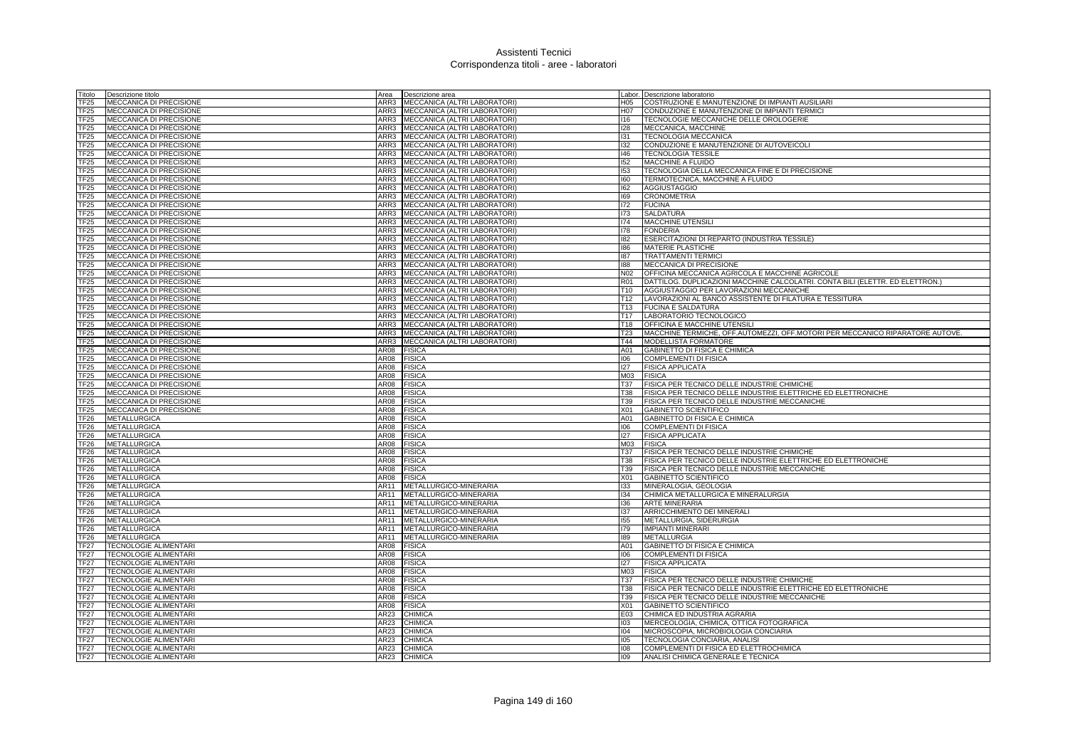| Titolo           | Descrizione titolo                                 | Area         | Descrizione area                                             |                                    | Labor. Descrizione laboratorio                                                                                |
|------------------|----------------------------------------------------|--------------|--------------------------------------------------------------|------------------------------------|---------------------------------------------------------------------------------------------------------------|
| TF25             | MECCANICA DI PRECISIONE                            | ARR3         | MECCANICA (ALTRI LABORATORI)                                 | H05                                | COSTRUZIONE E MANUTENZIONE DI IMPIANTI AUSILIARI                                                              |
| TF25             | MECCANICA DI PRECISIONE                            | ARR3         | MECCANICA (ALTRI LABORATORI)                                 | H07                                | CONDUZIONE E MANUTENZIONE DI IMPIANTI TERMICI                                                                 |
| TF25             | MECCANICA DI PRECISIONE                            | ARR3         | MECCANICA (ALTRI LABORATORI)                                 | 116                                | TECNOLOGIE MECCANICHE DELLE OROLOGERIE                                                                        |
| TF25             | MECCANICA DI PRECISIONE                            | ARR3         | MECCANICA (ALTRI LABORATORI)                                 | 128                                | MECCANICA, MACCHINE                                                                                           |
| TF25             | MECCANICA DI PRECISIONE                            | ARR3         | MECCANICA (ALTRI LABORATORI)                                 | 131                                | <b>TECNOLOGIA MECCANICA</b>                                                                                   |
| TF25             | MECCANICA DI PRECISIONE                            |              | ARR3 MECCANICA (ALTRI LABORATORI)                            | 132                                | CONDUZIONE E MANUTENZIONE DI AUTOVEICOLI                                                                      |
| TF25             | MECCANICA DI PRECISIONE                            | ARR3         | MECCANICA (ALTRI LABORATORI)                                 | 146                                | <b>TECNOLOGIA TESSILE</b>                                                                                     |
| TF25             | MECCANICA DI PRECISIONE                            | ARR3         | MECCANICA (ALTRI LABORATORI)                                 | 152                                | <b>MACCHINE A FLUIDO</b>                                                                                      |
| <b>TF25</b>      | <b>MECCANICA DI PRECISIONE</b>                     | ARR3         | MECCANICA (ALTRI LABORATORI)                                 | 153                                | TECNOLOGIA DELLA MECCANICA FINE E DI PRECISIONE                                                               |
| TF <sub>25</sub> | MECCANICA DI PRECISIONE                            |              | ARR3 MECCANICA (ALTRI LABORATORI)                            | 160                                | TERMOTECNICA, MACCHINE A FLUIDO                                                                               |
| TF25             | MECCANICA DI PRECISIONE                            |              | ARR3 MECCANICA (ALTRI LABORATORI)                            | 162                                | AGGIUSTAGGIO                                                                                                  |
| TF25             | MECCANICA DI PRECISIONE                            |              | ARR3 MECCANICA (ALTRI LABORATORI)                            | 169                                | <b>CRONOMETRIA</b>                                                                                            |
| TF25             | MECCANICA DI PRECISIONE                            | ARR3         | MECCANICA (ALTRI LABORATORI)                                 | 172                                | <b>FUCINA</b>                                                                                                 |
| TF25             | MECCANICA DI PRECISIONE                            | ARR3         | MECCANICA (ALTRI LABORATORI)                                 | 173                                | SALDATURA                                                                                                     |
| TF25             | MECCANICA DI PRECISIONE                            | ARR3         | MECCANICA (ALTRI LABORATORI)                                 | 174                                | <b>MACCHINE UTENSILI</b>                                                                                      |
| <b>TF25</b>      | MECCANICA DI PRECISIONE                            |              | ARR3 MECCANICA (ALTRI LABORATORI)                            | 178                                | <b>FONDERIA</b>                                                                                               |
| TF25             | MECCANICA DI PRECISIONE                            | ARR3         | MECCANICA (ALTRI LABORATORI)                                 | 182                                | ESERCITAZIONI DI REPARTO (INDUSTRIA TESSILE)                                                                  |
| TF25             | MECCANICA DI PRECISIONE                            | ARR3         | MECCANICA (ALTRI LABORATORI)                                 | 186                                | MATERIE PLASTICHE                                                                                             |
| <b>TF25</b>      | MECCANICA DI PRECISIONE                            |              | ARR3 MECCANICA (ALTRI LABORATORI)                            | 187                                | <b>TRATTAMENTI TERMICI</b>                                                                                    |
| TF25             | <b>MECCANICA DI PRECISIONE</b>                     | ARR3         | MECCANICA (ALTRI LABORATORI)                                 | 188                                | MECCANICA DI PRECISIONE                                                                                       |
| TF25             | MECCANICA DI PRECISIONE                            |              | ARR3 MECCANICA (ALTRI LABORATORI)                            | N02                                | OFFICINA MECCANICA AGRICOLA E MACCHINE AGRICOLE                                                               |
| TF25             | MECCANICA DI PRECISIONE                            | ARR3         | MECCANICA (ALTRI LABORATORI)                                 | <b>R01</b>                         | DATTILOG. DUPLICAZIONI MACCHINE CALCOLATRI. CONTA BILI (ELETTR. ED ELETTRON.)                                 |
| TF25             | MECCANICA DI PRECISIONE                            | ARR3         | MECCANICA (ALTRI LABORATORI)                                 | T10                                | AGGIUSTAGGIO PER LAVORAZIONI MECCANICHE                                                                       |
| TF25             | MECCANICA DI PRECISIONE                            | ARR3         | MECCANICA (ALTRI LABORATORI)                                 | T12                                | LAVORAZIONI AL BANCO ASSISTENTE DI FILATURA E TESSITURA                                                       |
| TF25             | MECCANICA DI PRECISIONE                            | ARR3         | MECCANICA (ALTRI LABORATORI)                                 | T13                                | <b>FUCINA E SALDATURA</b>                                                                                     |
| TF25             | MECCANICA DI PRECISIONE                            | ARR3<br>ARR3 | MECCANICA (ALTRI LABORATORI)                                 | T <sub>17</sub><br>T <sub>18</sub> | LABORATORIO TECNOLOGICO                                                                                       |
| TF25<br>TF25     | MECCANICA DI PRECISIONE                            | ARR3         | MECCANICA (ALTRI LABORATORI)<br>MECCANICA (ALTRI LABORATORI) | T <sub>23</sub>                    | OFFICINA E MACCHINE UTENSILI<br>MACCHINE TERMICHE, OFF.AUTOMEZZI, OFF.MOTORI PER MECCANICO RIPARATORE AUTOVE. |
| TF <sub>25</sub> | MECCANICA DI PRECISIONE<br>MECCANICA DI PRECISIONE | ARR3         | MECCANICA (ALTRI LABORATORI)                                 | T44                                | MODELLISTA FORMATORE                                                                                          |
| TF25             | <b>MECCANICA DI PRECISIONE</b>                     | AR08         | <b>FISICA</b>                                                | A01                                | GABINETTO DI FISICA E CHIMICA                                                                                 |
| <b>TF25</b>      | <b>MECCANICA DI PRECISIONE</b>                     | AR08         | <b>FISICA</b>                                                | 001                                | <b>COMPLEMENTI DI FISICA</b>                                                                                  |
| TF25             | <b>MECCANICA DI PRECISIONE</b>                     | <b>AR08</b>  | <b>FISICA</b>                                                | 127                                | <b>FISICA APPLICATA</b>                                                                                       |
| TF25             | MECCANICA DI PRECISIONE                            | AR08         | <b>FISICA</b>                                                | M03                                | <b>FISICA</b>                                                                                                 |
| TF25             | MECCANICA DI PRECISIONE                            | AR08         | <b>FISICA</b>                                                | T37                                | FISICA PER TECNICO DELLE INDUSTRIE CHIMICHE                                                                   |
| TF25             | MECCANICA DI PRECISIONE                            | AR08         | <b>FISICA</b>                                                | <b>T38</b>                         | FISICA PER TECNICO DELLE INDUSTRIE ELETTRICHE ED ELETTRONICHE                                                 |
| TF25             | MECCANICA DI PRECISIONE                            | AR08         | <b>FISICA</b>                                                | T39                                | FISICA PER TECNICO DELLE INDUSTRIE MECCANICHE                                                                 |
| TF25             | MECCANICA DI PRECISIONE                            | AR08         | <b>FISICA</b>                                                | X01                                | <b>GABINETTO SCIENTIFICO</b>                                                                                  |
| TF <sub>26</sub> | <b>METALLURGICA</b>                                | AR08         | <b>FISICA</b>                                                | A01                                | GABINETTO DI FISICA E CHIMICA                                                                                 |
| TF26             | METALLURGICA                                       | AR08         | <b>FISICA</b>                                                | 106                                | <b>COMPLEMENTI DI FISICA</b>                                                                                  |
| TF26             | METALLURGICA                                       | AR08         | <b>FISICA</b>                                                | 127                                | <b>FISICA APPLICATA</b>                                                                                       |
| TF26             | METALLURGICA                                       | AR08         | <b>FISICA</b>                                                | M03                                | <b>FISICA</b>                                                                                                 |
| TF <sub>26</sub> | <b>METALLURGICA</b>                                | AR08         | <b>FISICA</b>                                                | T37                                | FISICA PER TECNICO DELLE INDUSTRIE CHIMICHE                                                                   |
| TF <sub>26</sub> | METALLURGICA                                       | AR08         | <b>FISICA</b>                                                | T38                                | FISICA PER TECNICO DELLE INDUSTRIE ELETTRICHE ED ELETTRONICHE                                                 |
| TF26             | METALLURGICA                                       | AR08         | <b>FISICA</b>                                                | T39                                | FISICA PER TECNICO DELLE INDUSTRIE MECCANICHE                                                                 |
| TF26             | METALLURGICA                                       | AR08         | <b>FISICA</b>                                                | X01                                | GABINETTO SCIENTIFICO                                                                                         |
| TF26             | METALLURGICA                                       | AR11         | METALLURGICO-MINERARIA                                       | 133                                | MINERALOGIA, GEOLOGIA                                                                                         |
| TF26             | METALLURGICA                                       | AR11         | METALLURGICO-MINERARIA                                       | 134                                | CHIMICA METALLURGICA E MINERALURGIA                                                                           |
| TF26             | METALLURGICA                                       | AR11         | METALLURGICO-MINERARIA                                       | 136                                | <b>ARTE MINERARIA</b>                                                                                         |
| TF26             | METALLURGICA                                       | AR11         | METALLURGICO-MINERARIA                                       | 137                                | ARRICCHIMENTO DEI MINERALI                                                                                    |
| TF26             | METALLURGICA                                       | AR11         | METALLURGICO-MINERARIA                                       | 155                                | METALLURGIA, SIDERURGIA                                                                                       |
| TF <sub>26</sub> | <b>METALLURGICA</b>                                | AR11         | METALLURGICO-MINERARIA                                       | 179                                | <b>IMPIANTI MINERARI</b>                                                                                      |
| TF26             | METALLURGICA                                       | AR11         | METALLURGICO-MINERARIA                                       | 189                                | <b>METALLURGIA</b>                                                                                            |
| <b>TF27</b>      | <b>TECNOLOGIE ALIMENTARI</b>                       | AR08         | <b>FISICA</b>                                                | A01                                | GABINETTO DI FISICA E CHIMICA                                                                                 |
| TF27             | <b>TECNOLOGIE ALIMENTARI</b>                       | <b>AR08</b>  | <b>FISICA</b>                                                | 106                                | <b>COMPLEMENTI DI FISICA</b>                                                                                  |
| <b>TF27</b>      | <b>TECNOLOGIE ALIMENTARI</b>                       | AR08         | <b>FISICA</b>                                                | 127                                | <b>FISICA APPLICATA</b>                                                                                       |
| TF27             | TECNOLOGIE ALIMENTARI                              | AR08         | <b>FISICA</b>                                                | M03                                | <b>FISICA</b>                                                                                                 |
| TF27             | <b>TECNOLOGIE ALIMENTARI</b>                       | AR08         | <b>FISICA</b>                                                | <b>T37</b>                         | FISICA PER TECNICO DELLE INDUSTRIE CHIMICHE                                                                   |
| TF27             | TECNOLOGIE ALIMENTARI                              | AR08         | <b>FISICA</b>                                                | T38                                | FISICA PER TECNICO DELLE INDUSTRIE ELETTRICHE ED ELETTRONICHE                                                 |
| TF27             | TECNOLOGIE ALIMENTARI                              | AR08         | <b>FISICA</b>                                                | T39                                | FISICA PER TECNICO DELLE INDUSTRIE MECCANICHE                                                                 |
| TF27             | TECNOLOGIE ALIMENTARI                              | AR08         | <b>FISICA</b>                                                | X01                                | GABINETTO SCIENTIFICO                                                                                         |
| TF27             | TECNOLOGIE ALIMENTARI                              | AR23         | <b>CHIMICA</b>                                               | E <sub>03</sub>                    | CHIMICA ED INDUSTRIA AGRARIA                                                                                  |
| <b>TF27</b>      | <b>TECNOLOGIE ALIMENTARI</b>                       | AR23         | CHIMICA                                                      | 103                                | MERCEOLOGIA, CHIMICA, OTTICA FOTOGRAFICA                                                                      |
| <b>TF27</b>      | <b>TECNOLOGIE ALIMENTARI</b>                       | AR23         | <b>CHIMICA</b>                                               | 104                                | MICROSCOPIA, MICROBIOLOGIA CONCIARIA                                                                          |
| <b>TF27</b>      | <b>TECNOLOGIE ALIMENTARI</b>                       | AR23         | <b>CHIMICA</b>                                               | $105 -$                            | TECNOLOGIA CONCIARIA, ANALISI                                                                                 |
| TF27             | <b>TECNOLOGIE ALIMENTARI</b>                       | AR23         | <b>CHIMICA</b>                                               | 108                                | COMPLEMENTI DI FISICA ED ELETTROCHIMICA                                                                       |
| TF27             | <b>TECNOLOGIE ALIMENTARI</b>                       | AR23         | <b>CHIMICA</b>                                               | 109                                | ANALISI CHIMICA GENERALE E TECNICA                                                                            |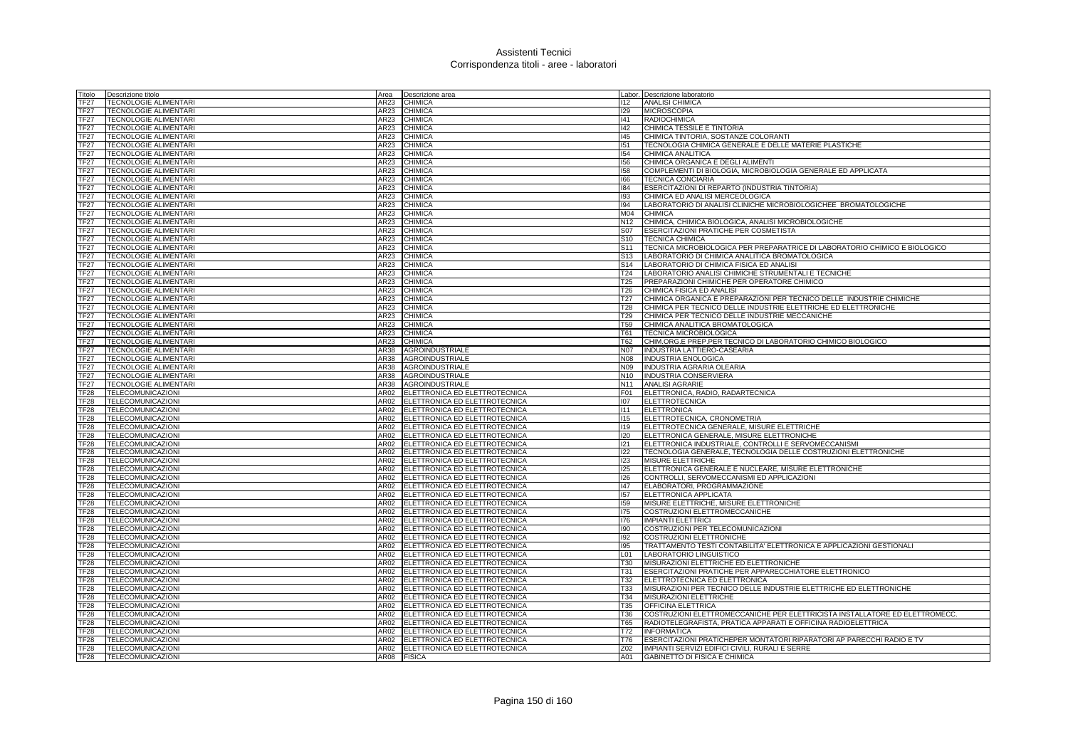| Titolo                               | Descrizione titolo                                           | Area         | Descrizione area                   |                 | abor. Descrizione laboratorio                                              |
|--------------------------------------|--------------------------------------------------------------|--------------|------------------------------------|-----------------|----------------------------------------------------------------------------|
| <b>TF27</b>                          | <b>TECNOLOGIE ALIMENTARI</b>                                 | AR23         | <b>CHIMICA</b>                     | 112             | <b>ANALISI CHIMICA</b>                                                     |
| TF27                                 | <b>TECNOLOGIE ALIMENTARI</b>                                 | AR23         | <b>CHIMICA</b>                     | 129             | <b>MICROSCOPIA</b>                                                         |
| <b>TF27</b>                          | <b>TECNOLOGIE ALIMENTARI</b>                                 | AR23         | <b>CHIMICA</b>                     | 141             | <b>RADIOCHIMICA</b>                                                        |
| TF27                                 | <b>TECNOLOGIE ALIMENTARI</b>                                 | AR23         | <b>CHIMICA</b>                     | 142             | CHIMICA TESSILE E TINTORIA                                                 |
| TF27                                 | <b>TECNOLOGIE ALIMENTARI</b>                                 | AR23         | <b>CHIMICA</b>                     | 145             | CHIMICA TINTORIA, SOSTANZE COLORANTI                                       |
| <b>TF27</b>                          | TECNOLOGIE ALIMENTARI                                        | AR23         | <b>CHIMICA</b>                     | 151             | TECNOLOGIA CHIMICA GENERALE E DELLE MATERIE PLASTICHE                      |
| TF27                                 | <b>TECNOLOGIE ALIMENTARI</b>                                 | AR23         | <b>CHIMICA</b>                     | 154             | CHIMICA ANALITICA                                                          |
| TF27                                 | TECNOLOGIE ALIMENTARI                                        | AR23         | <b>CHIMICA</b>                     | 156             | CHIMICA ORGANICA E DEGLI ALIMENTI                                          |
| <b>TF27</b>                          |                                                              | AR23         |                                    |                 | COMPLEMENTI DI BIOLOGIA, MICROBIOLOGIA GENERALE ED APPLICATA               |
| <b>TF27</b>                          | <b>TECNOLOGIE ALIMENTARI</b><br><b>TECNOLOGIE ALIMENTARI</b> | AR23         | <b>CHIMICA</b><br><b>CHIMICA</b>   | 158<br>166      | <b>TECNICA CONCIARIA</b>                                                   |
| <b>TF27</b>                          | <b>TECNOLOGIE ALIMENTARI</b>                                 |              | <b>CHIMICA</b>                     | 184             | ESERCITAZIONI DI REPARTO (INDUSTRIA TINTORIA)                              |
|                                      |                                                              | AR23         |                                    |                 |                                                                            |
| <b>TF27</b>                          | <b>TECNOLOGIE ALIMENTARI</b>                                 | AR23         | <b>CHIMICA</b>                     | 193             | CHIMICA ED ANALISI MERCEOLOGICA                                            |
| <b>TF27</b>                          | <b>TECNOLOGIE ALIMENTARI</b>                                 | <b>AR23</b>  | <b>CHIMICA</b>                     | 194             | LABORATORIO DI ANALISI CLINICHE MICROBIOLOGICHEE BROMATOLOGICHE            |
| <b>TF27</b>                          | <b>TECNOLOGIE ALIMENTARI</b>                                 | AR23         | <b>CHIMICA</b>                     | M04             | <b>CHIMICA</b>                                                             |
| <b>TF27</b>                          | <b>TECNOLOGIE ALIMENTARI</b>                                 | <b>AR23</b>  | <b>CHIMICA</b>                     | N12             | CHIMICA, CHIMICA BIOLOGICA, ANALISI MICROBIOLOGICHE                        |
| <b>TF27</b>                          | TECNOLOGIE ALIMENTARI                                        | AR23         | <b>CHIMICA</b>                     | <b>S07</b>      | ESERCITAZIONI PRATICHE PER COSMETISTA                                      |
| <b>TF27</b>                          | TECNOLOGIE ALIMENTARI                                        | AR23         | <b>CHIMICA</b>                     | S10             | <b>TECNICA CHIMICA</b>                                                     |
| <b>TF27</b>                          | <b>TECNOLOGIE ALIMENTARI</b>                                 | AR23         | <b>CHIMICA</b>                     | S <sub>11</sub> | TECNICA MICROBIOLOGICA PER PREPARATRICE DI LABORATORIO CHIMICO E BIOLOGICO |
| TF27                                 | TECNOLOGIE ALIMENTARI                                        | AR23         | <b>CHIMICA</b>                     | S <sub>13</sub> | LABORATORIO DI CHIMICA ANALITICA BROMATOLOGICA                             |
| <b>TF27</b>                          | <b>TECNOLOGIE ALIMENTARI</b>                                 | AR23         | <b>CHIMICA</b>                     | S <sub>14</sub> | LABORATORIO DI CHIMICA FISICA ED ANALISI                                   |
| <b>TF27</b>                          | <b>TECNOLOGIE ALIMENTARI</b>                                 | AR23         | <b>CHIMICA</b>                     | T24             | LABORATORIO ANALISI CHIMICHE STRUMENTALI E TECNICHE                        |
| <b>TF27</b>                          | <b>TECNOLOGIE ALIMENTARI</b>                                 | AR23         | <b>CHIMICA</b>                     | T25             | PREPARAZIONI CHIMICHE PER OPERATORE CHIMICO                                |
| <b>TF27</b>                          | <b>TECNOLOGIE ALIMENTARI</b>                                 | AR23         | <b>CHIMICA</b>                     | T26             | CHIMICA FISICA ED ANALISI                                                  |
| <b>TF27</b>                          | TECNOLOGIE ALIMENTARI                                        | AR23         | <b>CHIMICA</b>                     | T <sub>27</sub> | CHIMICA ORGANICA E PREPARAZIONI PER TECNICO DELLE INDUSTRIE CHIMICHE       |
| <b>TF27</b>                          | <b>TECNOLOGIE ALIMENTARI</b>                                 | AR23         | <b>CHIMICA</b>                     | T28             | CHIMICA PER TECNICO DELLE INDUSTRIE ELETTRICHE ED ELETTRONICHE             |
| <b>TF27</b>                          | <b>TECNOLOGIE ALIMENTARI</b>                                 | AR23         | <b>CHIMICA</b>                     | T <sub>29</sub> | CHIMICA PER TECNICO DELLE INDUSTRIE MECCANICHE                             |
| <b>TF27</b>                          | <b>TECNOLOGIE ALIMENTARI</b>                                 | AR23         | <b>CHIMICA</b>                     | T <sub>59</sub> | CHIMICA ANALITICA BROMATOLOGICA                                            |
| <b>TF27</b>                          | <b>TECNOLOGIE ALIMENTARI</b>                                 | AR23         | <b>CHIMICA</b>                     | T61             | <b>TECNICA MICROBIOLOGICA</b>                                              |
| <b>TF27</b>                          | <b>TECNOLOGIE ALIMENTARI</b>                                 | AR23         | <b>CHIMICA</b>                     | T62             | CHIM.ORG.E PREP.PER TECNICO DI LABORATORIO CHIMICO BIOLOGICO               |
| <b>TF27</b>                          | <b>TECNOLOGIE ALIMENTARI</b>                                 | <b>AR38</b>  | <b>AGROINDUSTRIALE</b>             | N07             | INDUSTRIA LATTIERO-CASEARIA                                                |
| <b>TF27</b>                          | <b>TECNOLOGIE ALIMENTARI</b>                                 | AR38         | <b>AGROINDUSTRIALE</b>             | N08             | <b>INDUSTRIA ENOLOGICA</b>                                                 |
| TF27                                 | <b>TECNOLOGIE ALIMENTARI</b>                                 | AR38         | <b>AGROINDUSTRIALE</b>             | N09             | <b>INDUSTRIA AGRARIA OLEARIA</b>                                           |
| TF <sub>27</sub>                     | <b>TECNOLOGIE ALIMENTARI</b>                                 | <b>AR38</b>  | AGROINDUSTRIALE                    | N <sub>10</sub> | INDUSTRIA CONSERVIERA                                                      |
| <b>TF27</b>                          | <b>TECNOLOGIE ALIMENTARI</b>                                 | AR38         | <b>AGROINDUSTRIALE</b>             | N11             | <b>ANALISI AGRARIE</b>                                                     |
| TF28                                 |                                                              | AR02         |                                    | F01             | ELETTRONICA, RADIO, RADARTECNICA                                           |
|                                      | TELECOMUNICAZIONI                                            | AR02         | ELETTRONICA ED ELETTROTECNICA      | 107             | <b>ELETTROTECNICA</b>                                                      |
| TF <sub>28</sub>                     | TELECOMUNICAZIONI                                            |              | ELETTRONICA ED ELETTROTECNICA      |                 |                                                                            |
| TF <sub>28</sub>                     | <b>TELECOMUNICAZIONI</b>                                     | AR02         | ELETTRONICA ED ELETTROTECNICA      | 111             | <b>ELETTRONICA</b>                                                         |
| <b>TF28</b>                          | TELECOMUNICAZIONI                                            | AR02         | ELETTRONICA ED ELETTROTECNICA      | 115             | ELETTROTECNICA, CRONOMETRIA                                                |
| TF <sub>28</sub>                     | <b>TELECOMUNICAZIONI</b>                                     | AR02         | ELETTRONICA ED ELETTROTECNICA      | 119             | ELETTROTECNICA GENERALE, MISURE ELETTRICHE                                 |
| <b>TF28</b>                          | <b>TELECOMUNICAZIONI</b>                                     | AR02         | ELETTRONICA ED ELETTROTECNICA      | 120             | ELETTRONICA GENERALE, MISURE ELETTRONICHE                                  |
| TF <sub>28</sub>                     | <b>TELECOMUNICAZIONI</b>                                     | AR02         | ELETTRONICA ED ELETTROTECNICA      | 121             | ELETTRONICA INDUSTRIALE, CONTROLLI E SERVOMECCANISMI                       |
| TF <sub>28</sub>                     | <b>TELECOMUNICAZIONI</b>                                     | AR02         | ELETTRONICA ED ELETTROTECNICA      | 122             | TECNOLOGIA GENERALE, TECNOLOGIA DELLE COSTRUZIONI ELETTRONICHE             |
| TF <sub>28</sub>                     | <b>TELECOMUNICAZIONI</b>                                     | AR02         | ELETTRONICA ED ELETTROTECNICA      | 123             | <b>MISURE ELETTRICHE</b>                                                   |
| TF <sub>28</sub>                     | TELECOMUNICAZIONI                                            | AR02         | ELETTRONICA ED ELETTROTECNICA      | 125             | ELETTRONICA GENERALE E NUCLEARE, MISURE ELETTRONICHE                       |
| TF <sub>28</sub>                     | TELECOMUNICAZIONI                                            | AR02         | ELETTRONICA ED ELETTROTECNICA      | 126             | CONTROLLI, SERVOMECCANISMI ED APPLICAZIONI                                 |
| TF28                                 | TELECOMUNICAZIONI                                            | AR02         | ELETTRONICA ED ELETTROTECNICA      | 147             | ELABORATORI, PROGRAMMAZIONE                                                |
| TF28                                 | TELECOMUNICAZIONI                                            | AR02         | ELETTRONICA ED ELETTROTECNICA      | 157             | ELETTRONICA APPLICATA                                                      |
| TF <sub>28</sub>                     | TELECOMUNICAZIONI                                            | AR02         | ELETTRONICA ED ELETTROTECNICA      | 159             | MISURE ELETTRICHE, MISURE ELETTRONICHE                                     |
| TF <sub>28</sub>                     | <b>TELECOMUNICAZIONI</b>                                     | AR02         | ELETTRONICA ED ELETTROTECNICA      | 175             | COSTRUZIONI ELETTROMECCANICHE                                              |
| TF <sub>28</sub>                     | TELECOMUNICAZIONI                                            | AR02         | ELETTRONICA ED ELETTROTECNICA      | 176             | <b>IMPIANTI ELETTRICI</b>                                                  |
| TF <sub>28</sub>                     | <b>TELECOMUNICAZIONI</b>                                     | AR02         | ELETTRONICA ED ELETTROTECNICA      | 190             | COSTRUZIONI PER TELECOMUNICAZIONI                                          |
| TF <sub>28</sub>                     | TELECOMUNICAZIONI                                            | AR02         | ELETTRONICA ED ELETTROTECNICA      | 192             | COSTRUZIONI ELETTRONICHE                                                   |
| <b>TF28</b>                          | TELECOMUNICAZIONI                                            | AR02         | ELETTRONICA ED ELETTROTECNICA      | 195             | TRATTAMENTO TESTI CONTABILITA' ELETTRONICA E APPLICAZIONI GESTIONALI       |
| TF <sub>28</sub>                     | <b>TELECOMUNICAZIONI</b>                                     | AR02         | ELETTRONICA ED ELETTROTECNICA      | L01             | LABORATORIO LINGUISTICO                                                    |
| TF <sub>28</sub>                     | TELECOMUNICAZIONI                                            | AR02         | ELETTRONICA ED ELETTROTECNICA      | <b>T30</b>      | MISURAZIONI ELETTRICHE ED ELETTRONICHE                                     |
| <b>TF28</b>                          | <b>TELECOMUNICAZIONI</b>                                     | AR02         | ELETTRONICA ED ELETTROTECNICA      | T31             | ESERCITAZIONI PRATICHE PER APPARECCHIATORE ELETTRONICO                     |
| <b>TF28</b>                          | TELECOMUNICAZIONI                                            | AR02         | ELETTRONICA ED ELETTROTECNICA      | T32             | ELETTROTECNICA ED ELETTRONICA                                              |
| <b>TF28</b>                          | TELECOMUNICAZIONI                                            | AR02         | ELETTRONICA ED ELETTROTECNICA      | <b>T33</b>      | MISURAZIONI PER TECNICO DELLE INDUSTRIE ELETTRICHE ED ELETTRONICHE         |
| TF28                                 | TELECOMUNICAZIONI                                            | AR02         | ELETTRONICA ED ELETTROTECNICA      | T34             | MISURAZIONI ELETTRICHE                                                     |
| TF28                                 | <b>TELECOMUNICAZIONI</b>                                     | AR02         | ELETTRONICA ED ELETTROTECNICA      | <b>T35</b>      | OFFICINA ELETTRICA                                                         |
| TF28                                 | TELECOMUNICAZIONI                                            | AR02         | ELETTRONICA ED ELETTROTECNICA      | <b>T36</b>      | COSTRUZIONI ELETTROMECCANICHE PER ELETTRICISTA INSTALLATORE ED ELETTROMECC |
| TF <sub>28</sub>                     | TELECOMUNICAZIONI                                            | AR02         | ELETTRONICA ED ELETTROTECNICA      | <b>T65</b>      | RADIOTELEGRAFISTA, PRATICA APPARATI E OFFICINA RADIOELETTRICA              |
|                                      |                                                              |              |                                    | T72             |                                                                            |
| TF <sub>28</sub>                     | TELECOMUNICAZIONI                                            | AR02<br>AR02 | ELETTRONICA ED ELETTROTECNICA      | T76             | <b>INFORMATICA</b>                                                         |
| TF <sub>28</sub><br>TF <sub>28</sub> | <b>TELECOMUNICAZIONI</b>                                     |              | ELETTRONICA ED ELETTROTECNICA      |                 | ESERCITAZIONI PRATICHEPER MONTATORI RIPARATORI AP PARECCHI RADIO E TV      |
|                                      | <b>TELECOMUNICAZIONI</b>                                     |              | AR02 ELETTRONICA ED ELETTROTECNICA | Z02             | IMPIANTI SERVIZI EDIFICI CIVILI, RURALI E SERRE                            |
| TF28                                 | <b>TELECOMUNICAZIONI</b>                                     | AR08         | <b>FISICA</b>                      | A01             | GABINETTO DI FISICA E CHIMICA                                              |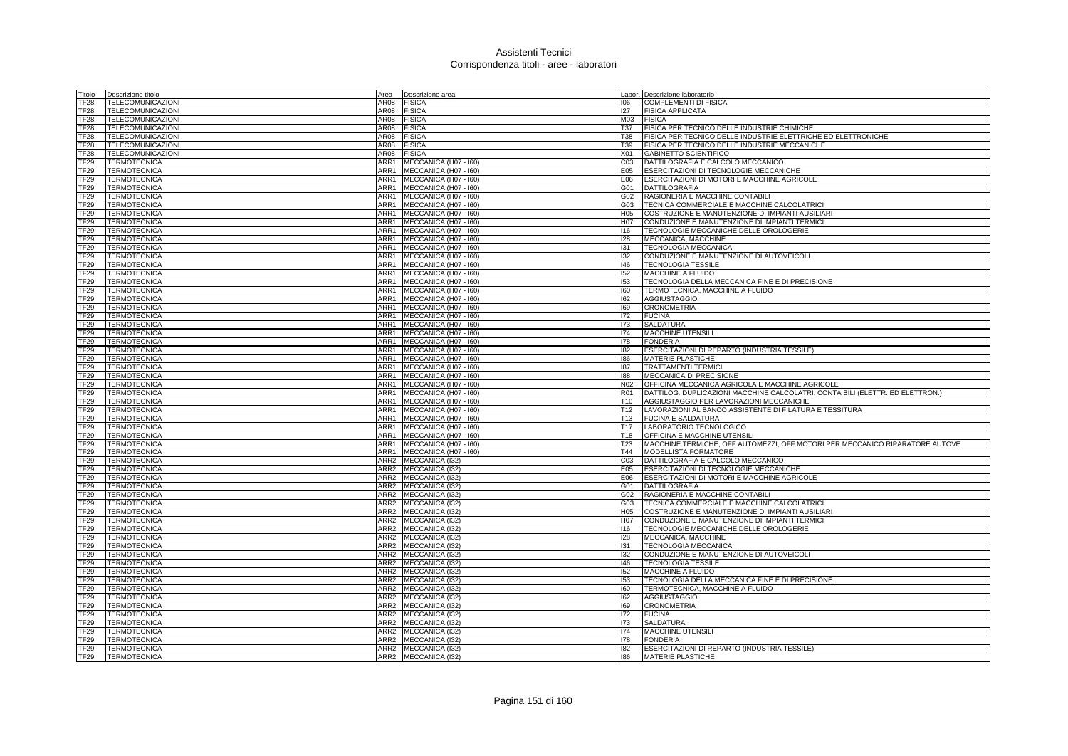| Titolo                    | Descrizione titolo       | Area             | Descrizione area           |                 | Labor. Descrizione laboratorio                                                |
|---------------------------|--------------------------|------------------|----------------------------|-----------------|-------------------------------------------------------------------------------|
| <b>TF28</b>               | TELECOMUNICAZIONI        | AR08             | <b>FISICA</b>              | 106             | COMPLEMENTI DI FISICA                                                         |
| TF <sub>28</sub>          | TELECOMUNICAZIONI        | AR08             | <b>FISICA</b>              | 127             | <b>FISICA APPLICATA</b>                                                       |
| TF <sub>28</sub>          | <b>TELECOMUNICAZIONI</b> | AR08             | <b>FISICA</b>              | M03             | <b>FISICA</b>                                                                 |
| <b>TF28</b>               | TELECOMUNICAZIONI        | AR08             | <b>FISICA</b>              | T37             | FISICA PER TECNICO DELLE INDUSTRIE CHIMICHE                                   |
| <b>TF28</b>               | TELECOMUNICAZIONI        | AR08             | <b>FISICA</b>              | <b>T38</b>      | FISICA PER TECNICO DELLE INDUSTRIE ELETTRICHE ED ELETTRONICHE                 |
| TF <sub>28</sub>          | TELECOMUNICAZIONI        | AR08             | <b>FISICA</b>              | T39             | FISICA PER TECNICO DELLE INDUSTRIE MECCANICHE                                 |
| $\overline{\text{TF}}$ 28 | <b>TELECOMUNICAZIONI</b> | AR08             | <b>FISICA</b>              | X01             | <b>GABINETTO SCIENTIFICO</b>                                                  |
| <b>TF29</b>               | <b>TERMOTECNICA</b>      | ARR1             | MECCANICA (H07 - I60)      | CO <sub>3</sub> | DATTILOGRAFIA E CALCOLO MECCANICO                                             |
| TF <sub>29</sub>          | <b>TERMOTECNICA</b>      | ARR1             | MECCANICA (H07 - I60)      | E <sub>05</sub> | ESERCITAZIONI DI TECNOLOGIE MECCANICHE                                        |
| TF <sub>29</sub>          | <b>TERMOTECNICA</b>      | ARR1             | MECCANICA (H07 - 160)      | E06             | ESERCITAZIONI DI MOTORI E MACCHINE AGRICOLE                                   |
| TF <sub>29</sub>          | <b>TERMOTECNICA</b>      | ARR1             | MECCANICA (H07 - 160)      | G01             | <b>DATTILOGRAFIA</b>                                                          |
| <b>TF29</b>               | <b>TERMOTECNICA</b>      |                  | ARR1 MECCANICA (H07 - 160) | G02             | RAGIONERIA E MACCHINE CONTABILI                                               |
| TF <sub>29</sub>          | <b>TERMOTECNICA</b>      |                  | ARR1 MECCANICA (H07 - 160) |                 | G03 TECNICA COMMERCIALE E MACCHINE CALCOLATRICI                               |
| TF29                      | <b>TERMOTECNICA</b>      | ARR1             | MECCANICA (H07 - I60)      | H <sub>05</sub> | <b>COSTRUZIONE E MANUTENZIONE DI IMPIANTI AUSILIARI</b>                       |
| TF <sub>29</sub>          | <b>TERMOTECNICA</b>      | ARR1             | MECCANICA (H07 - I60)      | H07             | CONDUZIONE E MANUTENZIONE DI IMPIANTI TERMICI                                 |
| TF <sub>29</sub>          | TERMOTECNICA             | ARR1             | MECCANICA (H07 - I60)      | 116             | TECNOLOGIE MECCANICHE DELLE OROLOGERIE                                        |
| TF <sub>29</sub>          | TERMOTECNICA             | ARR1             | MECCANICA (H07 - 160)      | 128             | MECCANICA, MACCHINE                                                           |
| TF29                      | TERMOTECNICA             | ARR1             | MECCANICA (H07 - I60)      | 131             | <b>TECNOLOGIA MECCANICA</b>                                                   |
| TF <sub>29</sub>          | <b>TERMOTECNICA</b>      | ARR1             | MECCANICA (H07 - I60)      | 132             | CONDUZIONE E MANUTENZIONE DI AUTOVEICOLI                                      |
| TF29                      | <b>TERMOTECNICA</b>      |                  | ARR1 MECCANICA (H07 - 160) | $ 46\rangle$    | <b>TECNOLOGIA TESSILE</b>                                                     |
| TF <sub>29</sub>          | TERMOTECNICA             |                  | ARR1 MECCANICA (H07 - I60) | 152             | <b>MACCHINE A FLUIDO</b>                                                      |
| TF <sub>29</sub>          | <b>TERMOTECNICA</b>      |                  | ARR1 MECCANICA (H07 - 160) | 153             | TECNOLOGIA DELLA MECCANICA FINE E DI PRECISIONE                               |
| <b>TF29</b>               | <b>TERMOTECNICA</b>      |                  | ARR1 MECCANICA (H07 - 160) | 160             | <b>TERMOTECNICA, MACCHINE A FLUIDO</b>                                        |
| TF <sub>29</sub>          | <b>TERMOTECNICA</b>      | ARR1             | MECCANICA (H07 - I60)      | 162             | <b>AGGIUSTAGGIO</b>                                                           |
| <b>TF29</b>               | <b>TERMOTECNICA</b>      |                  | ARR1 MECCANICA (H07 - 160) | 169             | <b>CRONOMETRIA</b>                                                            |
| TF29                      | <b>TERMOTECNICA</b>      |                  | ARR1 MECCANICA (H07 - 160) | 172             | <b>FUCINA</b>                                                                 |
| <b>TF29</b>               | <b>TERMOTECNICA</b>      | ARR1             | MECCANICA (H07 - I60)      | 173             | <b>SALDATURA</b>                                                              |
| TF <sub>29</sub>          | <b>TERMOTECNICA</b>      |                  | ARR1 MECCANICA (H07 - 160) | 174             | <b>MACCHINE UTENSILI</b>                                                      |
| <b>TF29</b>               | <b>TERMOTECNICA</b>      |                  | ARR1 MECCANICA (H07 - 160) | 178             | <b>FONDERIA</b>                                                               |
| TF29                      | <b>TERMOTECNICA</b>      |                  | ARR1 MECCANICA (H07 - 160) | 182             | ESERCITAZIONI DI REPARTO (INDUSTRIA TESSILE)                                  |
| TF29                      | <b>TERMOTECNICA</b>      | ARR1             | MECCANICA (H07 - I60)      | 186             | <b>MATERIE PLASTICHE</b>                                                      |
| TF <sub>29</sub>          | <b>TERMOTECNICA</b>      | ARR1             | MECCANICA (H07 - 160)      | 187             | <b>TRATTAMENTI TERMICI</b>                                                    |
| TF29                      | TERMOTECNICA             | ARR1             | MECCANICA (H07 - I60)      | 188             | <b>MECCANICA DI PRECISIONE</b>                                                |
| <b>TF29</b>               | <b>TERMOTECNICA</b>      | ARR1             | MECCANICA (H07 - 160)      | N <sub>02</sub> | OFFICINA MECCANICA AGRICOLA E MACCHINE AGRICOLE                               |
| TF <sub>29</sub>          | TERMOTECNICA             |                  | ARR1 MECCANICA (H07 - 160) | <b>R01</b>      | DATTILOG. DUPLICAZIONI MACCHINE CALCOLATRI. CONTA BILI (ELETTR. ED ELETTRON.) |
| <b>TF29</b>               | <b>TERMOTECNICA</b>      | ARR1             | MECCANICA (H07 - 160)      | T <sub>10</sub> | AGGIUSTAGGIO PER LAVORAZIONI MECCANICHE                                       |
| TF29                      | <b>TERMOTECNICA</b>      |                  | ARR1 MECCANICA (H07 - 160) | T12             | LAVORAZIONI AL BANCO ASSISTENTE DI FILATURA E TESSITURA                       |
| <b>TF29</b>               | <b>TERMOTECNICA</b>      |                  | ARR1 MECCANICA (H07 - 160) | T <sub>13</sub> | <b>FUCINA E SALDATURA</b>                                                     |
| TF <sub>29</sub>          | <b>TERMOTECNICA</b>      |                  | ARR1 MECCANICA (H07 - 160) | T17             | LABORATORIO TECNOLOGICO                                                       |
| TF <sub>29</sub>          | <b>TERMOTECNICA</b>      |                  | ARR1 MECCANICA (H07 - 160) | T18             | OFFICINA E MACCHINE UTENSILI                                                  |
| TF <sub>29</sub>          | <b>TERMOTECNICA</b>      | ARR1             | MECCANICA (H07 - I60)      | T <sub>23</sub> | MACCHINE TERMICHE, OFF.AUTOMEZZI, OFF.MOTORI PER MECCANICO RIPARATORE AUTOVE. |
| <b>TF29</b>               | <b>TERMOTECNICA</b>      |                  | ARR1 MECCANICA (H07 - 160) | T44             | <b>MODELLISTA FORMATORE</b>                                                   |
| TF <sub>29</sub>          | <b>TERMOTECNICA</b>      | ARR2             | MECCANICA (I32)            | C <sub>03</sub> | DATTILOGRAFIA E CALCOLO MECCANICO                                             |
| <b>TF29</b>               | <b>TERMOTECNICA</b>      | ARR2             | MECCANICA (I32)            | E05             | <b>ESERCITAZIONI DI TECNOLOGIE MECCANICHE</b>                                 |
| TF <sub>29</sub>          | <b>TERMOTECNICA</b>      | ARR <sub>2</sub> | MECCANICA (I32)            | E06             | ESERCITAZIONI DI MOTORI E MACCHINE AGRICOLE                                   |
| TF <sub>29</sub>          | <b>TERMOTECNICA</b>      |                  | ARR2 MECCANICA (I32)       | G01             | <b>DATTILOGRAFIA</b>                                                          |
| TF <sub>29</sub>          | <b>TERMOTECNICA</b>      | ARR2             | MECCANICA (I32)            | G02             | RAGIONERIA E MACCHINE CONTABILI                                               |
| TF <sub>29</sub>          | <b>TERMOTECNICA</b>      | ARR2             | MECCANICA (132)            | G03             | TECNICA COMMERCIALE E MACCHINE CALCOLATRICI                                   |
| TF <sub>29</sub>          | <b>TERMOTECNICA</b>      | ARR <sub>2</sub> | MECCANICA (I32)            | H <sub>05</sub> | COSTRUZIONE E MANUTENZIONE DI IMPIANTI AUSILIARI                              |
| TF <sub>29</sub>          | <b>TERMOTECNICA</b>      | ARR2             | MECCANICA (I32)            | H07             | CONDUZIONE E MANUTENZIONE DI IMPIANTI TERMICI                                 |
| <b>TF29</b>               | <b>TERMOTECNICA</b>      |                  | ARR2 MECCANICA (I32)       | 116             | TECNOLOGIE MECCANICHE DELLE OROLOGERIE                                        |
| TF <sub>29</sub>          | TERMOTECNICA             | ARR2             | MECCANICA (I32)            | 128             | MECCANICA, MACCHINE                                                           |
| <b>TF29</b>               | <b>TERMOTECNICA</b>      | ARR2             | MECCANICA (I32)            | 131             | TECNOLOGIA MECCANICA                                                          |
| TF <sub>29</sub>          | <b>TERMOTECNICA</b>      |                  | ARR2 MECCANICA (I32)       | 132             | CONDUZIONE E MANUTENZIONE DI AUTOVEICOLI                                      |
| TF <sub>29</sub>          | <b>TERMOTECNICA</b>      |                  | ARR2 MECCANICA (I32)       | $ 46\rangle$    | <b>TECNOLOGIA TESSILE</b>                                                     |
| <b>TF29</b>               | TERMOTECNICA             |                  | ARR2 MECCANICA (I32)       | 152             | MACCHINE A FLUIDO                                                             |
| <b>TF29</b>               | <b>TERMOTECNICA</b>      | ARR2             | MECCANICA (132)            | 153             | TECNOLOGIA DELLA MECCANICA FINE E DI PRECISIONE                               |
| <b>TF29</b>               | <b>TERMOTECNICA</b>      | ARR <sub>2</sub> | MECCANICA (I32)            | 160             | TERMOTECNICA, MACCHINE A FLUIDO                                               |
| TF29                      | <b>TERMOTECNICA</b>      | ARR <sub>2</sub> | MECCANICA (I32)            | 162             | <b>AGGIUSTAGGIO</b>                                                           |
| <b>TF29</b>               | <b>TERMOTECNICA</b>      | ARR2             | MECCANICA (I32)            | 169             | <b>CRONOMETRIA</b>                                                            |
| <b>TF29</b>               | TERMOTECNICA             | ARR2             | MECCANICA (132)            | 172             | <b>FUCINA</b>                                                                 |
| <b>TF29</b>               | <b>TERMOTECNICA</b>      | ARR <sub>2</sub> | MECCANICA (I32)            | 173             | <b>SALDATURA</b>                                                              |
| TF <sub>29</sub>          | <b>TERMOTECNICA</b>      |                  | ARR2 MECCANICA (I32)       | 174             | MACCHINE UTENSILI                                                             |
| <b>TF29</b>               | <b>TERMOTECNICA</b>      |                  | ARR2 MECCANICA (132)       | 178             | <b>FONDERIA</b>                                                               |
| TF <sub>29</sub>          | <b>TERMOTECNICA</b>      |                  | ARR2 MECCANICA (I32)       | 182             | ESERCITAZIONI DI REPARTO (INDUSTRIA TESSILE)                                  |
| TF29                      | <b>TERMOTECNICA</b>      |                  | ARR2 MECCANICA (I32)       | 186             | <b>MATERIE PLASTICHE</b>                                                      |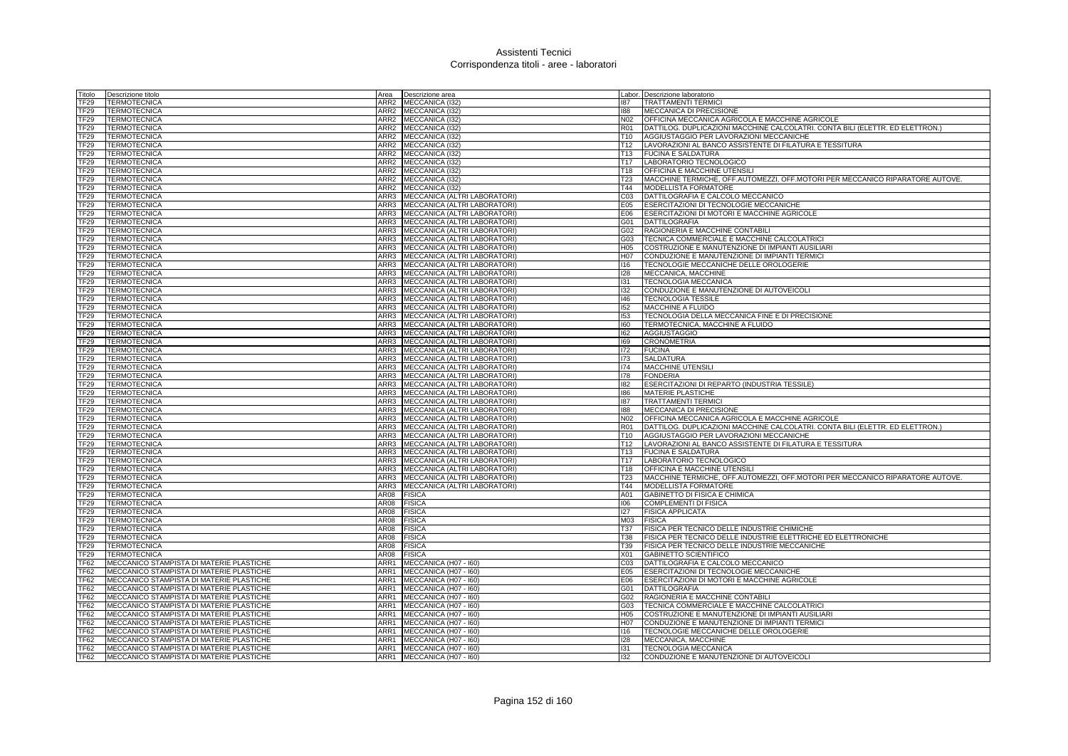| Titolo           | Descrizione titolo                       | Area             | Descrizione area                  |                 | Labor. Descrizione laboratorio                                                |
|------------------|------------------------------------------|------------------|-----------------------------------|-----------------|-------------------------------------------------------------------------------|
| TF29             | TERMOTECNICA                             | ARR2             | MECCANICA (132)                   | 187             | <b>TRATTAMENTI TERMIC</b>                                                     |
| TF29             | <b>TERMOTECNICA</b>                      | ARR <sub>2</sub> | MECCANICA (I32)                   | 188             | <b>MECCANICA DI PRECISIONE</b>                                                |
| TF29             | <b>TERMOTECNICA</b>                      |                  | ARR2 MECCANICA (I32)              | N02             | OFFICINA MECCANICA AGRICOLA E MACCHINE AGRICOLE                               |
| TF29             | <b>TERMOTECNICA</b>                      |                  | ARR2 MECCANICA (I32)              | R01             | DATTILOG. DUPLICAZIONI MACCHINE CALCOLATRI. CONTA BILI (ELETTR. ED ELETTRON.) |
| TF29             | <b>TERMOTECNICA</b>                      |                  | ARR2 MECCANICA (I32)              | T10             | AGGIUSTAGGIO PER LAVORAZIONI MECCANICHE                                       |
| TF29             | <b>TERMOTECNICA</b>                      | ARR2             | MECCANICA (I32)                   | T12             | LAVORAZIONI AL BANCO ASSISTENTE DI FILATURA E TESSITURA                       |
| TF29             | <b>TERMOTECNICA</b>                      |                  | ARR2 MECCANICA (I32)              | T13             | <b>FUCINA E SALDATURA</b>                                                     |
| TF29             | <b>TERMOTECNICA</b>                      |                  | ARR2 MECCANICA (I32)              | T <sub>17</sub> | LABORATORIO TECNOLOGICO                                                       |
| TF <sub>29</sub> | <b>TERMOTECNICA</b>                      |                  | ARR2 MECCANICA (I32)              | T18             | OFFICINA E MACCHINE UTENSILI                                                  |
| TF29             | <b>TERMOTECNICA</b>                      | ARR2             | MECCANICA (132)                   | T23             | MACCHINE TERMICHE, OFF.AUTOMEZZI, OFF.MOTORI PER MECCANICO RIPARATORE AUTOVE. |
| TF29             | <b>TERMOTECNICA</b>                      | ARR2             | MECCANICA (I32)                   | T44             | MODELLISTA FORMATORE                                                          |
| TF29             | <b>TERMOTECNICA</b>                      |                  | ARR3 MECCANICA (ALTRI LABORATORI) | CO <sub>3</sub> | DATTILOGRAFIA E CALCOLO MECCANICO                                             |
| TF29             | <b>TERMOTECNICA</b>                      | ARR3             | MECCANICA (ALTRI LABORATORI)      | E05             | ESERCITAZIONI DI TECNOLOGIE MECCANICHE                                        |
| TF29             | <b>TERMOTECNICA</b>                      | ARR3             | MECCANICA (ALTRI LABORATORI)      | E <sub>06</sub> | ESERCITAZIONI DI MOTORI E MACCHINE AGRICOLE                                   |
| TF29             | <b>TERMOTECNICA</b>                      | ARR3             | MECCANICA (ALTRI LABORATORI)      | G01             | <b>DATTILOGRAFIA</b>                                                          |
| TF29             | <b>TERMOTECNICA</b>                      |                  | ARR3 MECCANICA (ALTRI LABORATORI) | G02             | RAGIONERIA E MACCHINE CONTABILI                                               |
| TF29             | <b>TERMOTECNICA</b>                      | ARR3             | MECCANICA (ALTRI LABORATORI)      | G03             | TECNICA COMMERCIALE E MACCHINE CALCOLATRICI                                   |
| TF29             | <b>TERMOTECNICA</b>                      | ARR3             | MECCANICA (ALTRI LABORATORI)      | H <sub>05</sub> | COSTRUZIONE E MANUTENZIONE DI IMPIANTI AUSILIARI                              |
| TF29             | <b>TERMOTECNICA</b>                      | ARR3             | MECCANICA (ALTRI LABORATORI)      | H <sub>07</sub> | CONDUZIONE E MANUTENZIONE DI IMPIANTI TERMICI                                 |
| TF <sub>29</sub> | <b>TERMOTECNICA</b>                      |                  | ARR3 MECCANICA (ALTRI LABORATORI) | 116             | TECNOLOGIE MECCANICHE DELLE OROLOGERIE                                        |
| TF29             | <b>TERMOTECNICA</b>                      |                  | ARR3 MECCANICA (ALTRI LABORATORI) | 128             | MECCANICA, MACCHINE                                                           |
| TF <sub>29</sub> | <b>TERMOTECNICA</b>                      |                  | ARR3 MECCANICA (ALTRI LABORATORI) | 131             | <b>TECNOLOGIA MECCANICA</b>                                                   |
| TF29             | <b>TERMOTECNICA</b>                      | ARR3             | MECCANICA (ALTRI LABORATORI)      | 132             | CONDUZIONE E MANUTENZIONE DI AUTOVEICOLI                                      |
| TF29             | <b>TERMOTECNICA</b>                      | ARR3             | MECCANICA (ALTRI LABORATORI)      | 146             | <b>TECNOLOGIA TESSILE</b>                                                     |
| TF29             | <b>TERMOTECNICA</b>                      | ARR3             | MECCANICA (ALTRI LABORATORI)      | 152             | <b>MACCHINE A FLUIDO</b>                                                      |
| TF29             | <b>TERMOTECNICA</b>                      |                  | ARR3 MECCANICA (ALTRI LABORATORI) | 153             | TECNOLOGIA DELLA MECCANICA FINE E DI PRECISIONE                               |
| TF29             | <b>TERMOTECNICA</b>                      | ARR3             | MECCANICA (ALTRI LABORATORI)      | 160             | TERMOTECNICA, MACCHINE A FLUIDO                                               |
| TF29             | <b>TERMOTECNICA</b>                      |                  | ARR3 MECCANICA (ALTRI LABORATORI) | 162             | <b>AGGIUSTAGGIO</b>                                                           |
| TF29             | <b>TERMOTECNICA</b>                      |                  | ARR3 MECCANICA (ALTRI LABORATORI) | 169             | <b>CRONOMETRIA</b>                                                            |
| TF29             | <b>TERMOTECNICA</b>                      |                  | ARR3 MECCANICA (ALTRI LABORATORI) | 172             | <b>FUCINA</b>                                                                 |
| TF29             | <b>TERMOTECNICA</b>                      | ARR3             | MECCANICA (ALTRI LABORATORI)      | 173             | <b>SALDATURA</b>                                                              |
| TF29             | <b>TERMOTECNICA</b>                      | ARR3             | MECCANICA (ALTRI LABORATORI)      | 174             | <b>MACCHINE UTENSILI</b>                                                      |
| TF29             | <b>TERMOTECNICA</b>                      | ARR3             | MECCANICA (ALTRI LABORATORI)      | 178             | <b>FONDERIA</b>                                                               |
| TF29             | <b>TERMOTECNICA</b>                      |                  | ARR3 MECCANICA (ALTRI LABORATORI) | 182             | ESERCITAZIONI DI REPARTO (INDUSTRIA TESSILE)                                  |
| TF <sub>29</sub> | <b>TERMOTECNICA</b>                      |                  | ARR3 MECCANICA (ALTRI LABORATORI) | 186             | <b>MATERIE PLASTICHE</b>                                                      |
| TF29             | <b>TERMOTECNICA</b>                      | ARR3             | MECCANICA (ALTRI LABORATORI)      | 187             | <b>TRATTAMENTI TERMICI</b>                                                    |
| TF29             | <b>TERMOTECNICA</b>                      | ARR3             | MECCANICA (ALTRI LABORATORI)      | 188             | MECCANICA DI PRECISIONE                                                       |
| TF29             | <b>TERMOTECNICA</b>                      |                  | ARR3 MECCANICA (ALTRI LABORATORI) | N <sub>02</sub> | OFFICINA MECCANICA AGRICOLA E MACCHINE AGRICOLE                               |
| TF <sub>29</sub> | <b>TERMOTECNICA</b>                      |                  | ARR3 MECCANICA (ALTRI LABORATORI) | <b>R01</b>      | DATTILOG. DUPLICAZIONI MACCHINE CALCOLATRI. CONTA BILI (ELETTR. ED ELETTRON.) |
| TF29             | <b>TERMOTECNICA</b>                      | ARR3             | MECCANICA (ALTRI LABORATORI)      | T <sub>10</sub> | AGGIUSTAGGIO PER LAVORAZIONI MECCANICHE                                       |
| TF29             | <b>TERMOTECNICA</b>                      | ARR3             | MECCANICA (ALTRI LABORATORI)      | T <sub>12</sub> | LAVORAZIONI AL BANCO ASSISTENTE DI FILATURA E TESSITURA                       |
| TF29             | <b>TERMOTECNICA</b>                      |                  | ARR3 MECCANICA (ALTRI LABORATORI) | T13             | <b>FUCINA E SALDATURA</b>                                                     |
| TF <sub>29</sub> | <b>TERMOTECNICA</b>                      | ARR3             | MECCANICA (ALTRI LABORATORI)      | T <sub>17</sub> | LABORATORIO TECNOLOGICO                                                       |
| TF <sub>29</sub> | <b>TERMOTECNICA</b>                      | ARR3             | MECCANICA (ALTRI LABORATORI)      | T18             | OFFICINA E MACCHINE UTENSILI                                                  |
| TF29             | <b>TERMOTECNICA</b>                      | ARR3             | MECCANICA (ALTRI LABORATORI)      | <b>T23</b>      | MACCHINE TERMICHE, OFF.AUTOMEZZI, OFF.MOTORI PER MECCANICO RIPARATORE AUTOVE. |
| TF29             | <b>TERMOTECNICA</b>                      | ARR3             | MECCANICA (ALTRI LABORATORI)      | T44             | <b>MODELLISTA FORMATORE</b>                                                   |
| TF29             | <b>TERMOTECNICA</b>                      | AR08             | <b>FISICA</b>                     | A01             | GABINETTO DI FISICA E CHIMICA                                                 |
| TF29             | TERMOTECNICA                             | AR08             | <b>FISICA</b>                     | 106             | <b>COMPLEMENTI DI FISICA</b>                                                  |
| TF29             | <b>TERMOTECNICA</b>                      | AR08             | <b>FISICA</b>                     | 127             | <b>FISICA APPLICATA</b>                                                       |
| TF29             | <b>TERMOTECNICA</b>                      | AR08             | <b>FISICA</b>                     | M03             | <b>FISICA</b>                                                                 |
| TF29             | <b>TERMOTECNICA</b>                      | AR08             | <b>FISICA</b>                     | T37             | FISICA PER TECNICO DELLE INDUSTRIE CHIMICHE                                   |
| TF <sub>29</sub> | <b>TERMOTECNICA</b>                      | AR08             | <b>FISICA</b>                     | T38             | FISICA PER TECNICO DELLE INDUSTRIE ELETTRICHE ED ELETTRONICHE                 |
| <b>TF29</b>      | <b>TERMOTECNICA</b>                      | AR08             | <b>FISICA</b>                     | T39             | FISICA PER TECNICO DELLE INDUSTRIE MECCANICHE                                 |
| TF29             | <b>TERMOTECNICA</b>                      | <b>AR08</b>      | <b>FISICA</b>                     | X01             | <b>GABINETTO SCIENTIFICO</b>                                                  |
| <b>TF62</b>      | MECCANICO STAMPISTA DI MATERIE PLASTICHE | ARR1             | MECCANICA (H07 - I60)             | CO <sub>3</sub> | DATTILOGRAFIA E CALCOLO MECCANICO                                             |
| TF62             | MECCANICO STAMPISTA DI MATERIE PLASTICHE | ARR1             | MECCANICA (H07 - I60)             | E05             | ESERCITAZIONI DI TECNOLOGIE MECCANICHE                                        |
| <b>TF62</b>      | MECCANICO STAMPISTA DI MATERIE PLASTICHE | ARR1             | MECCANICA (H07 - I60)             | E06             | ESERCITAZIONI DI MOTORI E MACCHINE AGRICOLE                                   |
| <b>TF62</b>      | MECCANICO STAMPISTA DI MATERIE PLASTICHE | ARR1             | MECCANICA (H07 - I60)             | G01             | <b>DATTILOGRAFIA</b>                                                          |
| <b>TF62</b>      | MECCANICO STAMPISTA DI MATERIE PLASTICHE | ARR1             | MECCANICA (H07 - I60)             | G02             | RAGIONERIA E MACCHINE CONTABILI                                               |
| TF62             | MECCANICO STAMPISTA DI MATERIE PLASTICHE | ARR1             | MECCANICA (H07 - I60)             | G03             | TECNICA COMMERCIALE E MACCHINE CALCOLATRICI                                   |
| <b>TF62</b>      | MECCANICO STAMPISTA DI MATERIE PLASTICHE | ARR1             | MECCANICA (H07 - I60)             | H <sub>05</sub> | COSTRUZIONE E MANUTENZIONE DI IMPIANTI AUSILIARI                              |
| <b>TF62</b>      | MECCANICO STAMPISTA DI MATERIE PLASTICHE | ARR1             | MECCANICA (H07 - I60)             | H <sub>07</sub> | CONDUZIONE E MANUTENZIONE DI IMPIANTI TERMICI                                 |
| TF62             | MECCANICO STAMPISTA DI MATERIE PLASTICHE | ARR1             | MECCANICA (H07 - I60)             | 116             | TECNOLOGIE MECCANICHE DELLE OROLOGERIE                                        |
| <b>TF62</b>      | MECCANICO STAMPISTA DI MATERIE PLASTICHE | ARR1             | MECCANICA (H07 - I60)             | 128             | MECCANICA, MACCHINE                                                           |
| TF62             | MECCANICO STAMPISTA DI MATERIE PLASTICHE |                  | ARR1 MECCANICA (H07 - 160)        | 131             | <b>TECNOLOGIA MECCANICA</b>                                                   |
| TF62             | MECCANICO STAMPISTA DI MATERIE PLASTICHE |                  | ARR1 MECCANICA (H07 - 160)        | 132             | CONDUZIONE E MANUTENZIONE DI AUTOVEICOLI                                      |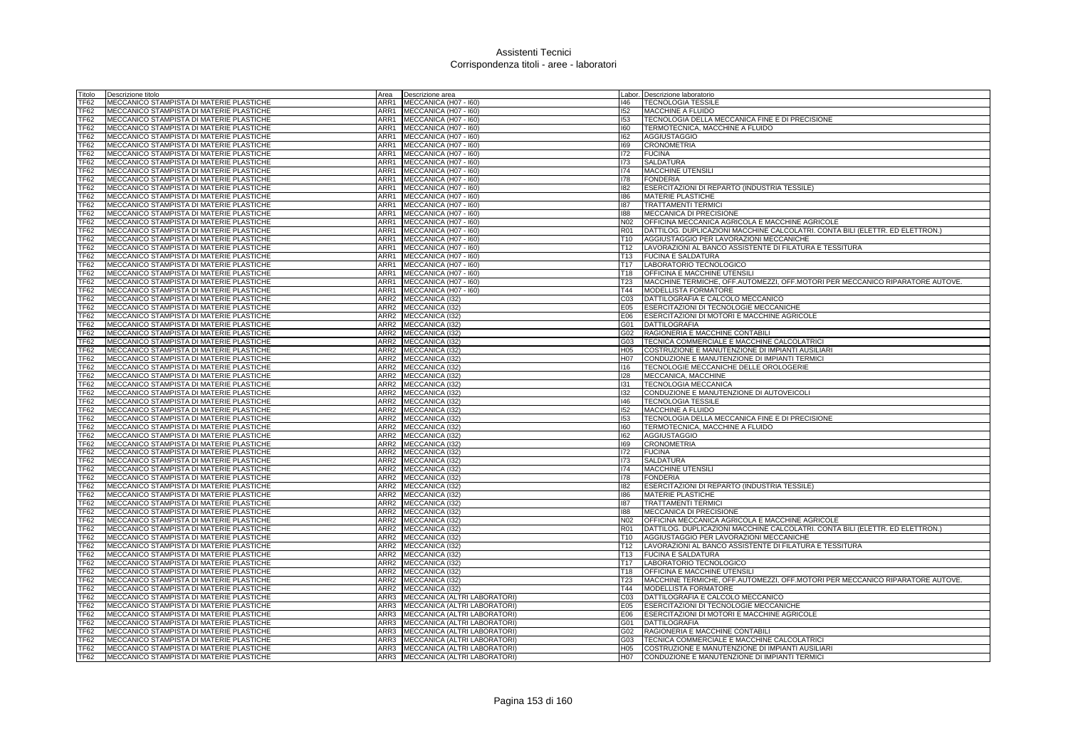| Titolo                          | Descrizione titolo                                                                   | Area                         | Descrizione area                  |                 | Labor. Descrizione laboratorio                                                |
|---------------------------------|--------------------------------------------------------------------------------------|------------------------------|-----------------------------------|-----------------|-------------------------------------------------------------------------------|
| <b>TF62</b>                     | MECCANICO STAMPISTA DI MATERIE PLASTICHE                                             | ARR1                         | MECCANICA (H07 - 160)             | 146             | <b>TECNOLOGIA TESSILE</b>                                                     |
| <b>TF62</b>                     | MECCANICO STAMPISTA DI MATERIE PLASTICHE                                             | ARR1                         | MECCANICA (H07 - 160)             | 152             | MACCHINE A FLUIDO                                                             |
| TF <sub>62</sub>                | MECCANICO STAMPISTA DI MATERIE PLASTICHE                                             | ARR1                         | MECCANICA (H07 - 160)             | 153             | TECNOLOGIA DELLA MECCANICA FINE E DI PRECISIONE                               |
| <b>TF62</b>                     | MECCANICO STAMPISTA DI MATERIE PLASTICHE                                             |                              | ARR1 MECCANICA (H07 - 160)        | 160             | TERMOTECNICA, MACCHINE A FLUIDO                                               |
| TF62                            | MECCANICO STAMPISTA DI MATERIE PLASTICHE                                             | ARR1                         | MECCANICA (H07 - I60)             | 162             | <b>AGGIUSTAGGIO</b>                                                           |
| <b>TF62</b>                     | MECCANICO STAMPISTA DI MATERIE PLASTICHE                                             | ARR1                         | MECCANICA (H07 - 160)             | 169             | <b>CRONOMETRIA</b>                                                            |
| TF62                            | MECCANICO STAMPISTA DI MATERIE PLASTICHE                                             | ARR1                         | MECCANICA (H07 - 160)             | 172             | <b>FUCINA</b>                                                                 |
| <b>TF62</b>                     | MECCANICO STAMPISTA DI MATERIE PLASTICHE                                             | ARR1                         | MECCANICA (H07 - 160)             | 173             | <b>SALDATURA</b>                                                              |
| TF62                            | MECCANICO STAMPISTA DI MATERIE PLASTICHE                                             | ARR1                         | MECCANICA (H07 - 160)             | 174             | MACCHINE UTENSIL                                                              |
| TF62                            | MECCANICO STAMPISTA DI MATERIE PLASTICHE                                             | ARR1                         | MECCANICA (H07 - 160)             | 178             | <b>FONDERIA</b>                                                               |
| TF62                            | MECCANICO STAMPISTA DI MATERIE PLASTICHE                                             |                              | ARR1 MECCANICA (H07 - 160)        | 182             | ESERCITAZIONI DI REPARTO (INDUSTRIA TESSILE)                                  |
| <b>TF62</b>                     | MECCANICO STAMPISTA DI MATERIE PLASTICHE                                             |                              | ARR1 MECCANICA (H07 - 160)        | 186             | <b>MATERIE PLASTICHE</b>                                                      |
| <b>TF62</b>                     | MECCANICO STAMPISTA DI MATERIE PLASTICHE                                             |                              | ARR1 MECCANICA (H07 - 160)        | 187             | <b>TRATTAMENTI TERMICI</b>                                                    |
| TF <sub>62</sub>                | MECCANICO STAMPISTA DI MATERIE PLASTICHE                                             | ARR1                         | MECCANICA (H07 - I60)             | 188             | MECCANICA DI PRECISIONE                                                       |
| TF62                            | MECCANICO STAMPISTA DI MATERIE PLASTICHE                                             | ARR1                         | MECCANICA (H07 - 160)             | N02             | OFFICINA MECCANICA AGRICOLA E MACCHINE AGRICOLE                               |
| TF <sub>62</sub>                | MECCANICO STAMPISTA DI MATERIE PLASTICHE                                             | ARR1                         | MECCANICA (H07 - 160)             | <b>R01</b>      | DATTILOG. DUPLICAZIONI MACCHINE CALCOLATRI. CONTA BILI (ELETTR. ED ELETTRON.) |
| <b>TF62</b>                     | MECCANICO STAMPISTA DI MATERIE PLASTICHE                                             | ARR1                         |                                   | T10             | AGGIUSTAGGIO PER LAVORAZIONI MECCANICHE                                       |
| TF62                            |                                                                                      |                              | MECCANICA (H07 - 160)             |                 |                                                                               |
|                                 | MECCANICO STAMPISTA DI MATERIE PLASTICHE                                             | ARR1                         | MECCANICA (H07 - I60)             | T12             | LAVORAZIONI AL BANCO ASSISTENTE DI FILATURA E TESSITURA                       |
| <b>TF62</b>                     | MECCANICO STAMPISTA DI MATERIE PLASTICHE                                             |                              | ARR1 MECCANICA (H07 - 160)        | T <sub>13</sub> | <b>FUCINA E SALDATURA</b>                                                     |
| <b>TF62</b>                     | MECCANICO STAMPISTA DI MATERIE PLASTICHE                                             |                              | ARR1 MECCANICA (H07 - 160)        | T <sub>17</sub> | LABORATORIO TECNOLOGICO                                                       |
| TF62                            | MECCANICO STAMPISTA DI MATERIE PLASTICHE                                             |                              | ARR1 MECCANICA (H07 - 160)        | T18             | OFFICINA E MACCHINE UTENSILI                                                  |
| TF62                            | MECCANICO STAMPISTA DI MATERIE PLASTICHE                                             |                              | ARR1 MECCANICA (H07 - 160)        | T23             | MACCHINE TERMICHE, OFF.AUTOMEZZI, OFF.MOTORI PER MECCANICO RIPARATORE AUTOVE. |
| TF62                            | MECCANICO STAMPISTA DI MATERIE PLASTICHE                                             |                              | ARR1 MECCANICA (H07 - 160)        | T44             | MODELLISTA FORMATORE                                                          |
| <b>TF62</b>                     | MECCANICO STAMPISTA DI MATERIE PLASTICHE                                             | ARR2                         | MECCANICA (I32)                   | C03             | DATTILOGRAFIA E CALCOLO MECCANICO                                             |
| <b>TF62</b>                     | MECCANICO STAMPISTA DI MATERIE PLASTICHE                                             | ARR2 MECCANICA (I32)         |                                   | E05             | ESERCITAZIONI DI TECNOLOGIE MECCANICHE                                        |
| <b>TF62</b>                     | MECCANICO STAMPISTA DI MATERIE PLASTICHE                                             | ARR2 MECCANICA (I32)         |                                   | E06             | ESERCITAZIONI DI MOTORI E MACCHINE AGRICOLE                                   |
| <b>TF62</b>                     | MECCANICO STAMPISTA DI MATERIE PLASTICHE                                             | ARR2 MECCANICA (I32)         |                                   | G01             | <b>DATTILOGRAFIA</b>                                                          |
| TF62                            | MECCANICO STAMPISTA DI MATERIE PLASTICHE                                             | ARR2 MECCANICA (I32)         |                                   | G02             | RAGIONERIA E MACCHINE CONTABILI                                               |
| <b>TF62</b>                     | MECCANICO STAMPISTA DI MATERIE PLASTICHE                                             | ARR2 MECCANICA (I32)         |                                   | G03             | TECNICA COMMERCIALE E MACCHINE CALCOLATRICI                                   |
| <b>TF62</b>                     | MECCANICO STAMPISTA DI MATERIE PLASTICHE                                             | ARR2 MECCANICA (I32)         |                                   | H05             | COSTRUZIONE E MANUTENZIONE DI IMPIANTI AUSILIARI                              |
| <b>TF62</b>                     | MECCANICO STAMPISTA DI MATERIE PLASTICHE                                             | ARR2 MECCANICA (132)         |                                   | H07             | CONDUZIONE E MANUTENZIONE DI IMPIANTI TERMICI                                 |
| TF62                            | MECCANICO STAMPISTA DI MATERIE PLASTICHE                                             | ARR2 MECCANICA (I32)         |                                   | 116             | TECNOLOGIE MECCANICHE DELLE OROLOGERIE                                        |
| TF <sub>62</sub>                | MECCANICO STAMPISTA DI MATERIE PLASTICHE                                             | ARR2 MECCANICA (I32)         |                                   | 128             | MECCANICA, MACCHINE                                                           |
| <b>TF62</b>                     | MECCANICO STAMPISTA DI MATERIE PLASTICHE                                             | ARR2 MECCANICA (I32)         |                                   | 131             | <b>TECNOLOGIA MECCANICA</b>                                                   |
| TF62                            | MECCANICO STAMPISTA DI MATERIE PLASTICHE                                             | ARR2 MECCANICA (I32)         |                                   | 132             | CONDUZIONE E MANUTENZIONE DI AUTOVEICOLI                                      |
| <b>TF62</b>                     | MECCANICO STAMPISTA DI MATERIE PLASTICHE                                             | ARR2 MECCANICA (I32)         |                                   | 146             | <b>TECNOLOGIA TESSILE</b>                                                     |
| TF <sub>62</sub>                | MECCANICO STAMPISTA DI MATERIE PLASTICHE                                             | ARR2 MECCANICA (I32)         |                                   | 152             | MACCHINE A FLUIDO                                                             |
| <b>TF62</b>                     | MECCANICO STAMPISTA DI MATERIE PLASTICHE                                             | ARR2 MECCANICA (I32)         |                                   | 153             | TECNOLOGIA DELLA MECCANICA FINE E DI PRECISIONE                               |
| <b>TF62</b>                     | MECCANICO STAMPISTA DI MATERIE PLASTICHE                                             | ARR2 MECCANICA (I32)         |                                   | 160             | TERMOTECNICA, MACCHINE A FLUIDO                                               |
| TF62                            | MECCANICO STAMPISTA DI MATERIE PLASTICHE                                             | ARR2 MECCANICA (I32)         |                                   | 162             | <b>AGGIUSTAGGIO</b>                                                           |
| TF62                            | MECCANICO STAMPISTA DI MATERIE PLASTICHE                                             | ARR2 MECCANICA (I32)         |                                   | 169             | <b>CRONOMETRIA</b>                                                            |
| <b>TF62</b><br>TF <sub>62</sub> | MECCANICO STAMPISTA DI MATERIE PLASTICHE<br>MECCANICO STAMPISTA DI MATERIE PLASTICHE | ARR2 MECCANICA (I32)         |                                   | 172<br>173      | <b>FUCINA</b><br><b>SALDATURA</b>                                             |
| TF62                            | MECCANICO STAMPISTA DI MATERIE PLASTICHE                                             | ARR2 MECCANICA (I32)<br>ARR2 | MECCANICA (I32)                   | 174             | <b>MACCHINE UTENSILI</b>                                                      |
|                                 |                                                                                      | ARR <sub>2</sub>             |                                   | 178             |                                                                               |
| <b>TF62</b>                     | MECCANICO STAMPISTA DI MATERIE PLASTICHE                                             |                              | MECCANICA (I32)                   |                 | <b>FONDERIA</b>                                                               |
| TF62                            | MECCANICO STAMPISTA DI MATERIE PLASTICHE                                             | ARR2 MECCANICA (I32)         |                                   | 182             | ESERCITAZIONI DI REPARTO (INDUSTRIA TESSILE)                                  |
| <b>TF62</b>                     | MECCANICO STAMPISTA DI MATERIE PLASTICHE                                             | ARR2                         | MECCANICA (I32)                   | 186             | MATERIE PLASTICHE                                                             |
| TF <sub>62</sub>                | MECCANICO STAMPISTA DI MATERIE PLASTICHE                                             | ARR2                         | MECCANICA (I32)                   | 187             | <b>TRATTAMENTI TERMIC</b>                                                     |
| TF62                            | MECCANICO STAMPISTA DI MATERIE PLASTICHE                                             | ARR <sub>2</sub>             | MECCANICA (I32)                   | 188             | MECCANICA DI PRECISIONE                                                       |
| TF62                            | MECCANICO STAMPISTA DI MATERIE PLASTICHE                                             | ARR2                         | MECCANICA (I32)                   | N02             | OFFICINA MECCANICA AGRICOLA E MACCHINE AGRICOLE                               |
| <b>TF62</b>                     | MECCANICO STAMPISTA DI MATERIE PLASTICHE                                             | ARR2                         | MECCANICA (I32)                   | R01             | DATTILOG. DUPLICAZIONI MACCHINE CALCOLATRI. CONTA BILI (ELETTR. ED ELETTRON.) |
| TF62                            | MECCANICO STAMPISTA DI MATERIE PLASTICHE                                             | ARR2 MECCANICA (I32)         |                                   | T10             | AGGIUSTAGGIO PER LAVORAZIONI MECCANICHE                                       |
| <b>TF62</b>                     | MECCANICO STAMPISTA DI MATERIE PLASTICHE                                             | ARR2 MECCANICA (I32)         |                                   | T <sub>12</sub> | LAVORAZIONI AL BANCO ASSISTENTE DI FILATURA E TESSITURA                       |
| <b>TF62</b>                     | MECCANICO STAMPISTA DI MATERIE PLASTICHE                                             | ARR2 MECCANICA (I32)         |                                   | T <sub>13</sub> | <b>FUCINA E SALDATURA</b>                                                     |
| <b>TF62</b>                     | MECCANICO STAMPISTA DI MATERIE PLASTICHE                                             | ARR2 MECCANICA (I32)         |                                   | T <sub>17</sub> | LABORATORIO TECNOLOGICO                                                       |
| <b>TF62</b>                     | MECCANICO STAMPISTA DI MATERIE PLASTICHE                                             | ARR2 MECCANICA (I32)         |                                   | T18             | OFFICINA E MACCHINE UTENSILI                                                  |
| TF62                            | MECCANICO STAMPISTA DI MATERIE PLASTICHE                                             | ARR2 MECCANICA (I32)         |                                   | T23             | MACCHINE TERMICHE, OFF.AUTOMEZZI, OFF.MOTORI PER MECCANICO RIPARATORE AUTOVE. |
| <b>TF62</b>                     | MECCANICO STAMPISTA DI MATERIE PLASTICHE                                             | ARR2                         | MECCANICA (I32)                   | T44             | MODELLISTA FORMATORE                                                          |
| TF62                            | MECCANICO STAMPISTA DI MATERIE PLASTICHE                                             | ARR3                         | MECCANICA (ALTRI LABORATORI)      | CO <sub>3</sub> | DATTILOGRAFIA E CALCOLO MECCANICO                                             |
| <b>TF62</b>                     | MECCANICO STAMPISTA DI MATERIE PLASTICHE                                             | ARR3                         | MECCANICA (ALTRI LABORATORI)      | E05             | ESERCITAZIONI DI TECNOLOGIE MECCANICHE                                        |
| TF62                            | MECCANICO STAMPISTA DI MATERIE PLASTICHE                                             | ARR3                         | MECCANICA (ALTRI LABORATORI)      | E06             | ESERCITAZIONI DI MOTORI E MACCHINE AGRICOLE                                   |
| <b>TF62</b>                     | MECCANICO STAMPISTA DI MATERIE PLASTICHE                                             | ARR3                         | MECCANICA (ALTRI LABORATORI)      | G01             | <b>DATTILOGRAFIA</b>                                                          |
| TF <sub>62</sub>                | MECCANICO STAMPISTA DI MATERIE PLASTICHE                                             |                              | ARR3 MECCANICA (ALTRI LABORATORI) | G02             | RAGIONERIA E MACCHINE CONTABILI                                               |
| <b>TF62</b>                     | MECCANICO STAMPISTA DI MATERIE PLASTICHE                                             | ARR3                         | MECCANICA (ALTRI LABORATORI)      | G03             | TECNICA COMMERCIALE E MACCHINE CALCOLATRICI                                   |
| TF62                            | MECCANICO STAMPISTA DI MATERIE PLASTICHE                                             |                              | ARR3 MECCANICA (ALTRI LABORATORI) | H05             | COSTRUZIONE E MANUTENZIONE DI IMPIANTI AUSILIARI                              |
| TF62                            | MECCANICO STAMPISTA DI MATERIE PLASTICHE                                             |                              | ARR3 MECCANICA (ALTRI LABORATORI) | H07             | CONDUZIONE E MANUTENZIONE DI IMPIANTI TERMICI                                 |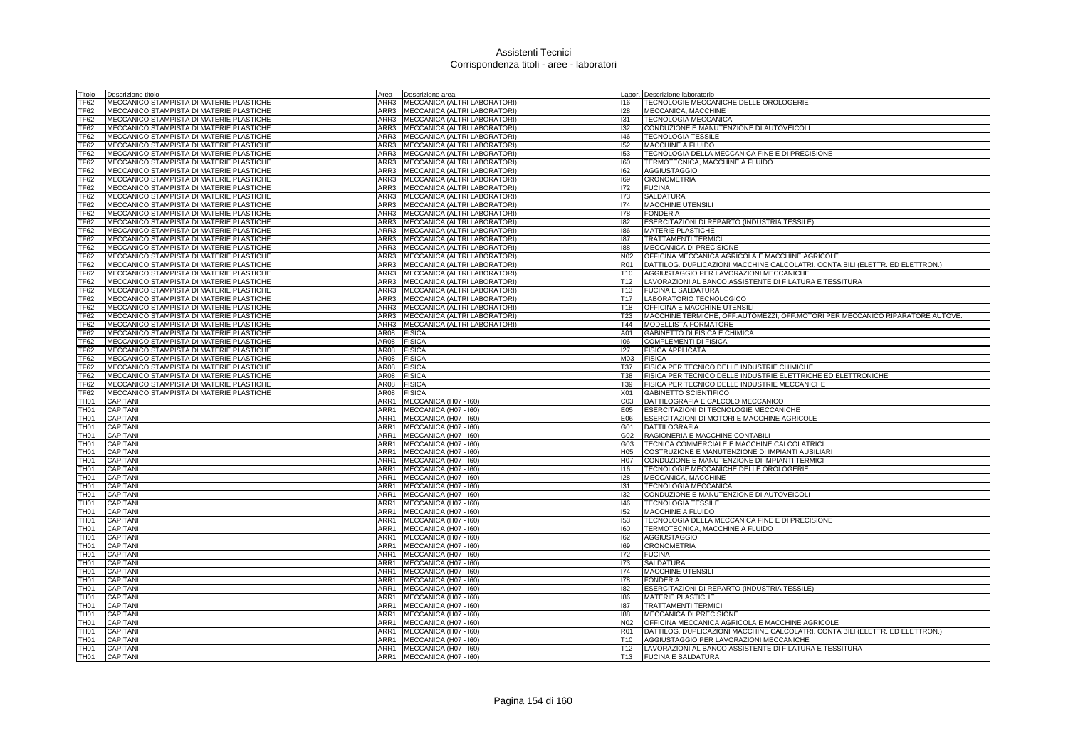| Titolo           | Descrizione titolo                              | Area        | Descrizione area                  |                  | Labor. Descrizione laboratorio                                                |
|------------------|-------------------------------------------------|-------------|-----------------------------------|------------------|-------------------------------------------------------------------------------|
| TF62             | MECCANICO STAMPISTA DI MATERIE PLASTICHE        | ARR3        | MECCANICA (ALTRI LABORATORI)      | 116              | TECNOLOGIE MECCANICHE DELLE OROLOGERIE                                        |
| <b>TF62</b>      | MECCANICO STAMPISTA DI MATERIE PLASTICHE        | ARR3        | MECCANICA (ALTRI LABORATORI)      | 128              | MECCANICA, MACCHINE                                                           |
| TF62             | MECCANICO STAMPISTA DI MATERIE PLASTICHE        | ARR3        | MECCANICA (ALTRI LABORATORI)      | 131              | <b>TECNOLOGIA MECCANICA</b>                                                   |
| TF62             | MECCANICO STAMPISTA DI MATERIE PLASTICHE        |             | ARR3 MECCANICA (ALTRI LABORATORI) | 132              | CONDUZIONE E MANUTENZIONE DI AUTOVEICOLI                                      |
| <b>TF62</b>      | MECCANICO STAMPISTA DI MATERIE PLASTICHE        | ARR3        | MECCANICA (ALTRI LABORATORI)      | 146              | <b>TECNOLOGIA TESSILE</b>                                                     |
| TF62             | MECCANICO STAMPISTA DI MATERIE PLASTICHE        | ARR3        | MECCANICA (ALTRI LABORATORI)      | 152              | MACCHINE A FLUIDO                                                             |
| TF62             | MECCANICO STAMPISTA DI MATERIE PLASTICHE        | ARR3        | MECCANICA (ALTRI LABORATORI)      | 153              | TECNOLOGIA DELLA MECCANICA FINE E DI PRECISIONE                               |
| TF62             | MECCANICO STAMPISTA DI MATERIE PLASTICHE        | ARR3        | MECCANICA (ALTRI LABORATORI)      | 160              | TERMOTECNICA, MACCHINE A FLUIDO                                               |
| <b>TF62</b>      | MECCANICO STAMPISTA DI MATERIE PLASTICHE        | ARR3        | MECCANICA (ALTRI LABORATORI)      | 162              | <b>AGGIUSTAGGIO</b>                                                           |
| TF62             | MECCANICO STAMPISTA DI MATERIE PLASTICHE        | ARR3        | MECCANICA (ALTRI LABORATORI)      | 169              | <b>CRONOMETRIA</b>                                                            |
| TF62             | MECCANICO STAMPISTA DI MATERIE PLASTICHE        | ARR3        | MECCANICA (ALTRI LABORATORI)      | 172              | <b>FUCINA</b>                                                                 |
| <b>TF62</b>      | MECCANICO STAMPISTA DI MATERIE PLASTICHE        |             | ARR3 MECCANICA (ALTRI LABORATORI) | 173              | <b>SALDATURA</b>                                                              |
| TF62             | MECCANICO STAMPISTA DI MATERIE PLASTICHE        |             | ARR3 MECCANICA (ALTRI LABORATORI) | 174              | <b>MACCHINE UTENSILI</b>                                                      |
| <b>TF62</b>      | MECCANICO STAMPISTA DI MATERIE PLASTICHE        | ARR3        | MECCANICA (ALTRI LABORATORI)      | 178              | <b>FONDERIA</b>                                                               |
| <b>TF62</b>      | MECCANICO STAMPISTA DI MATERIE PLASTICHE        | ARR3        | MECCANICA (ALTRI LABORATORI)      | 182              | ESERCITAZIONI DI REPARTO (INDUSTRIA TESSILE)                                  |
| TF62             | MECCANICO STAMPISTA DI MATERIE PLASTICHE        | ARR3        | MECCANICA (ALTRI LABORATORI)      | 186              | <b>MATERIE PLASTICHE</b>                                                      |
| TF62             | MECCANICO STAMPISTA DI MATERIE PLASTICHE        | ARR3        | MECCANICA (ALTRI LABORATORI)      | 187              | <b>TRATTAMENTI TERMICI</b>                                                    |
| <b>TF62</b>      | MECCANICO STAMPISTA DI MATERIE PLASTICHE        | ARR3        | MECCANICA (ALTRI LABORATORI)      | 188              | MECCANICA DI PRECISIONE                                                       |
| <b>TF62</b>      | MECCANICO STAMPISTA DI MATERIE PLASTICHE        | ARR3        | MECCANICA (ALTRI LABORATORI)      | N02              | OFFICINA MECCANICA AGRICOLA E MACCHINE AGRICOLE                               |
| TF62             | <b>MECCANICO STAMPISTA DI MATERIE PLASTICHE</b> |             | ARR3 MECCANICA (ALTRI LABORATORI) | <b>R01</b>       | DATTILOG, DUPLICAZIONI MACCHINE CALCOLATRI, CONTA BILI (ELETTR, ED ELETTRON.) |
| TF62             | MECCANICO STAMPISTA DI MATERIE PLASTICHE        | ARR3        | MECCANICA (ALTRI LABORATORI)      | T10              | AGGIUSTAGGIO PER LAVORAZIONI MECCANICHE                                       |
| <b>TF62</b>      | MECCANICO STAMPISTA DI MATERIE PLASTICHE        | ARR3        | MECCANICA (ALTRI LABORATORI)      | T <sub>12</sub>  | LAVORAZIONI AL BANCO ASSISTENTE DI FILATURA E TESSITURA                       |
| <b>TF62</b>      | MECCANICO STAMPISTA DI MATERIE PLASTICHE        | ARR3        | MECCANICA (ALTRI LABORATORI)      | T <sub>13</sub>  | <b>FUCINA E SALDATURA</b>                                                     |
| <b>TF62</b>      | MECCANICO STAMPISTA DI MATERIE PLASTICHE        | ARR3        | MECCANICA (ALTRI LABORATORI)      | T <sub>17</sub>  | LABORATORIO TECNOLOGICO                                                       |
| <b>TF62</b>      | MECCANICO STAMPISTA DI MATERIE PLASTICHE        | ARR3        | MECCANICA (ALTRI LABORATORI)      | T <sub>18</sub>  | OFFICINA E MACCHINE UTENSILI                                                  |
| TF <sub>62</sub> | MECCANICO STAMPISTA DI MATERIE PLASTICHE        | ARR3        | MECCANICA (ALTRI LABORATORI)      | T <sub>23</sub>  | MACCHINE TERMICHE, OFF.AUTOMEZZI, OFF.MOTORI PER MECCANICO RIPARATORE AUTOVE. |
| <b>TF62</b>      | MECCANICO STAMPISTA DI MATERIE PLASTICHE        | ARR3        | MECCANICA (ALTRI LABORATORI)      | T44              | MODELLISTA FORMATORE                                                          |
| <b>TF62</b>      | MECCANICO STAMPISTA DI MATERIE PLASTICHE        | AR08        | <b>FISICA</b>                     | A01              | GABINETTO DI FISICA E CHIMICA                                                 |
| <b>TF62</b>      | MECCANICO STAMPISTA DI MATERIE PLASTICHE        | AR08        | <b>FISICA</b>                     | 00 <sub>6</sub>  | <b>COMPLEMENTI DI FISICA</b>                                                  |
| TF <sub>62</sub> | MECCANICO STAMPISTA DI MATERIE PLASTICHE        | AR08        | <b>FISICA</b>                     | 127              | <b>FISICA APPLICATA</b>                                                       |
| TF <sub>62</sub> | MECCANICO STAMPISTA DI MATERIE PLASTICHE        | AR08        | <b>FISICA</b>                     | M <sub>0.3</sub> | <b>FISICA</b>                                                                 |
| TF62             | MECCANICO STAMPISTA DI MATERIE PLASTICHE        | <b>AR08</b> | <b>FISICA</b>                     | T37              | FISICA PER TECNICO DELLE INDUSTRIE CHIMICHE                                   |
| TF62             | MECCANICO STAMPISTA DI MATERIE PLASTICHE        | AR08        | <b>FISICA</b>                     | <b>T38</b>       | FISICA PER TECNICO DELLE INDUSTRIE ELETTRICHE ED ELETTRONICHE                 |
| TF62             | MECCANICO STAMPISTA DI MATERIE PLASTICHE        | AR08        | <b>FISICA</b>                     | T39              | FISICA PER TECNICO DELLE INDUSTRIE MECCANICHE                                 |
| <b>TF62</b>      | MECCANICO STAMPISTA DI MATERIE PLASTICHE        | AR08        | <b>FISICA</b>                     | X01              | <b>GABINETTO SCIENTIFICO</b>                                                  |
| TH01             | <b>CAPITANI</b>                                 | ARR1        | MECCANICA (H07 - I60)             | CO <sub>3</sub>  | DATTILOGRAFIA E CALCOLO MECCANICO                                             |
| TH01             | <b>CAPITANI</b>                                 | ARR1        | MECCANICA (H07 - I60)             | E05              | ESERCITAZIONI DI TECNOLOGIE MECCANICHE                                        |
| TH01             | <b>CAPITANI</b>                                 | ARR1        | MECCANICA (H07 - I60)             | E06              | ESERCITAZIONI DI MOTORI E MACCHINE AGRICOLE                                   |
| TH01             | <b>CAPITANI</b>                                 | ARR1        | MECCANICA (H07 - I60)             | G01              | <b>DATTILOGRAFIA</b>                                                          |
| TH01             | <b>CAPITAN</b>                                  | ARR1        | MECCANICA (H07 - I60)             | G02              | RAGIONERIA E MACCHINE CONTABILI                                               |
| TH01             | CAPITANI                                        | ARR1        | MECCANICA (H07 - I60)             | G03              | TECNICA COMMERCIALE E MACCHINE CALCOLATRICI                                   |
| TH01             | <b>CAPITANI</b>                                 | ARR1        | MECCANICA (H07 - I60)             | H05              | COSTRUZIONE E MANUTENZIONE DI IMPIANTI AUSILIARI                              |
| TH01             | <b>CAPITAN</b>                                  | ARR1        | MECCANICA (H07 - I60)             | H07              | CONDUZIONE E MANUTENZIONE DI IMPIANTI TERMICI                                 |
| TH <sub>01</sub> | CAPITANI                                        | ARR1        | MECCANICA (H07 - I60)             | 116              | TECNOLOGIE MECCANICHE DELLE OROLOGERIE                                        |
| TH01             | CAPITANI                                        | ARR1        | MECCANICA (H07 - 160)             | 128              | MECCANICA, MACCHINE                                                           |
| FH01             | <b>CAPITANI</b>                                 | ARR1        | MECCANICA (H07 - I60)             | 131              | TECNOLOGIA MECCANICA                                                          |
| TH01             | CAPITANI                                        | ARR1        | MECCANICA (H07 - I60)             | 132              | CONDUZIONE E MANUTENZIONE DI AUTOVEICOLI                                      |
| <b>TH01</b>      | <b>CAPITANI</b>                                 | ARR1        | MECCANICA (H07 - I60)             | 146              | <b>TECNOLOGIA TESSILE</b>                                                     |
| TH01             | CAPITAN                                         | ARR1        | MECCANICA (H07 - I60)             | 152              | MACCHINE A FLUIDO                                                             |
| TH01             | CAPITANI                                        | ARR1        | MECCANICA (H07 - I60)             | 153              | TECNOLOGIA DELLA MECCANICA FINE E DI PRECISIONE                               |
| TH01             | <b>CAPITANI</b>                                 | ARR1        | MECCANICA (H07 - I60)             | 160              | TERMOTECNICA, MACCHINE A FLUIDO                                               |
| TH01             | <b>CAPITANI</b>                                 | ARR1        | MECCANICA (H07 - I60)             | 162              | <b>AGGIUSTAGGIO</b>                                                           |
| TH01             | <b>CAPITAN</b>                                  | ARR1        | MECCANICA (H07 - I60)             | 169              | <b>CRONOMETRIA</b>                                                            |
| FH01             | <b>CAPITANI</b>                                 | ARR1        | MECCANICA (H07 - I60)             | 172              | <b>FUCINA</b>                                                                 |
| FH <sub>01</sub> | CAPITANI                                        | ARR1        | MECCANICA (H07 - I60)             | 173              | <b>SALDATURA</b>                                                              |
| <b>TH01</b>      | CAPITAN                                         | ARR1        | MECCANICA (H07 - I60)             | 174              | <b>MACCHINE UTENSILI</b>                                                      |
| TH01             | <b>CAPITAN</b>                                  | ARR1        | MECCANICA (H07 - I60)             | 178              | <b>FONDERIA</b>                                                               |
| <b>TH01</b>      | CAPITANI                                        | ARR1        | MECCANICA (H07 - I60)             | 182              | ESERCITAZIONI DI REPARTO (INDUSTRIA TESSILE)                                  |
| FH <sub>01</sub> | CAPITAN                                         | ARR1        | MECCANICA (H07 - I60)             | 186              | <b>MATERIE PLASTICHE</b>                                                      |
| TH01             | CAPITAN                                         | ARR1        | MECCANICA (H07 - I60)             | 187              | <b>TRATTAMENTI TERMICI</b>                                                    |
| <b>TH01</b>      | <b>CAPITAN</b>                                  | ARR1        | MECCANICA (H07 - I60)             | 188              | MECCANICA DI PRECISIONE                                                       |
| TH01             | <b>CAPITANI</b>                                 | ARR1        | MECCANICA (H07 - I60)             | N <sub>02</sub>  | OFFICINA MECCANICA AGRICOLA E MACCHINE AGRICOLE                               |
| FH <sub>01</sub> | CAPITANI                                        | ARR1        | MECCANICA (H07 - I60)             | R <sub>01</sub>  | DATTILOG. DUPLICAZIONI MACCHINE CALCOLATRI. CONTA BILI (ELETTR. ED ELETTRON.) |
| TH01             | CAPITAN                                         | ARR1        | MECCANICA (H07 - I60)             | T <sub>10</sub>  | AGGIUSTAGGIO PER LAVORAZIONI MECCANICHE                                       |
| TH <sub>01</sub> | <b>CAPITAN</b>                                  | ARR1        | MECCANICA (H07 - I60)             | T12              | LAVORAZIONI AL BANCO ASSISTENTE DI FILATURA E TESSITURA                       |
| <b>TH01</b>      | <b>CAPITAN</b>                                  |             | ARR1 MECCANICA (H07 - 160)        | T13              | <b>FUCINA E SALDATURA</b>                                                     |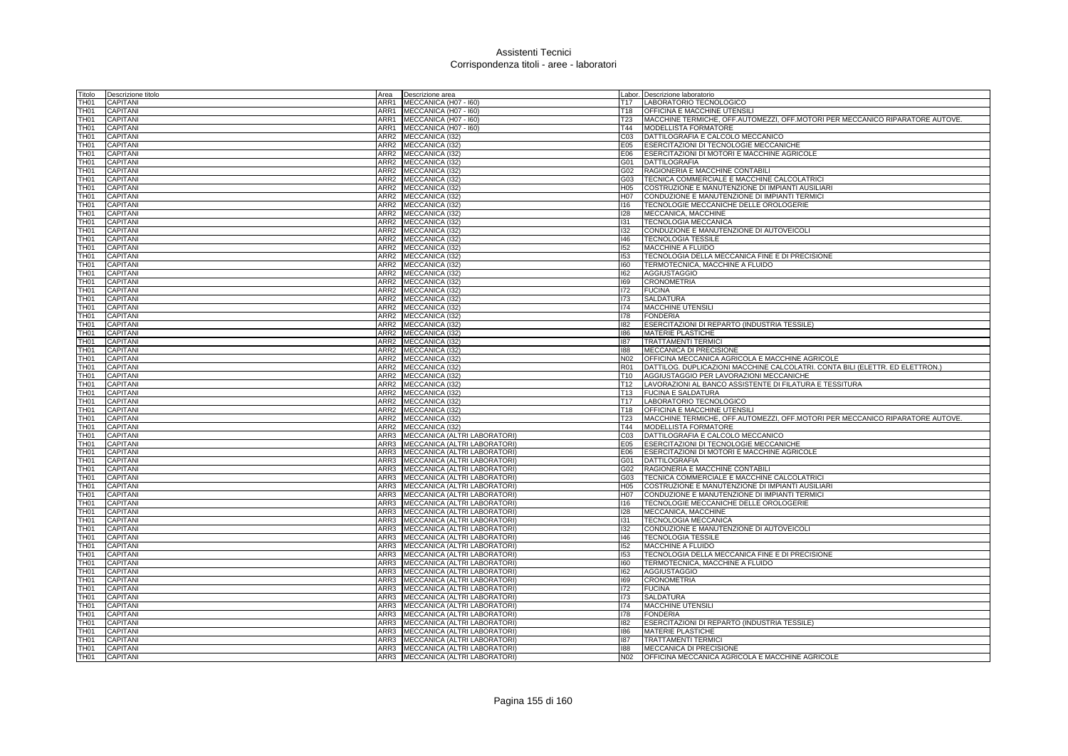| Titolo                               | Descrizione titolo                 |                  | Area <b>Descrizione</b> area                                      |                 | Labor. Descrizione laboratorio                                                 |
|--------------------------------------|------------------------------------|------------------|-------------------------------------------------------------------|-----------------|--------------------------------------------------------------------------------|
| TH <sub>01</sub>                     | CAPITANI                           |                  | ARR1 MECCANICA (H07 - 160)                                        |                 | T17 LABORATORIO TECNOLOGICO                                                    |
| TH <sub>01</sub>                     | CAPITANI                           |                  | ARR1 MECCANICA (H07 - 160)                                        | T18             | <b>OFFICINA E MACCHINE UTENSIL</b>                                             |
| TH <sub>01</sub>                     | CAPITANI                           |                  | ARR1 MECCANICA (H07 - 160)                                        | T23             | MACCHINE TERMICHE, OFF.AUTOMEZZI, OFF.MOTORI PER MECCANICO RIPARATORE AUTOVE.  |
| TH <sub>01</sub>                     | CAPITANI                           |                  | ARR1 MECCANICA (H07 - I60)                                        | T44             | MODELLISTA FORMATORE                                                           |
| TH <sub>01</sub>                     | CAPITANI                           |                  | ARR2 MECCANICA (132)                                              | CO <sub>3</sub> | DATTILOGRAFIA E CALCOLO MECCANICO                                              |
| TH <sub>01</sub>                     | CAPITANI                           | ARR2             | MECCANICA (I32)                                                   | E05             | ESERCITAZIONI DI TECNOLOGIE MECCANICHE                                         |
| TH <sub>01</sub>                     | CAPITANI                           |                  | ARR2 MECCANICA (I32)                                              | E06             | ESERCITAZIONI DI MOTORI E MACCHINE AGRICOLE                                    |
| <b>TH01</b>                          | CAPITANI                           |                  | ARR2 MECCANICA (I32)                                              | G01             | <b>DATTILOGRAFIA</b>                                                           |
| TH <sub>01</sub>                     | CAPITANI                           |                  | ARR2 MECCANICA (132)                                              | G02             | RAGIONERIA E MACCHINE CONTABILI                                                |
| TH <sub>01</sub>                     | CAPITANI                           |                  | ARR2 MECCANICA (I32)                                              |                 | G03   TECNICA COMMERCIALE E MACCHINE CALCOLATRICI                              |
| TH <sub>01</sub>                     | CAPITANI                           |                  | ARR2 MECCANICA (I32)                                              | H <sub>05</sub> | COSTRUZIONE E MANUTENZIONE DI IMPIANTI AUSILIARI                               |
| <b>TH01</b>                          | <b>CAPITANI</b>                    |                  | ARR2 MECCANICA (I32)                                              | H07             | CONDUZIONE E MANUTENZIONE DI IMPIANTI TERMICI                                  |
| <b>TH01</b>                          | CAPITANI                           |                  | ARR2 MECCANICA (I32)                                              | 116             | TECNOLOGIE MECCANICHE DELLE OROLOGERIE                                         |
| TH <sub>01</sub>                     | CAPITANI                           | ARR <sub>2</sub> | MECCANICA (I32)                                                   | 128             | MECCANICA, MACCHINE                                                            |
| TH <sub>01</sub>                     | CAPITANI                           | ARR2             | MECCANICA (I32)                                                   | 131             | <b>TECNOLOGIA MECCANICA</b>                                                    |
| <b>TH01</b>                          | CAPITANI                           |                  | ARR2 MECCANICA (I32)                                              | 132             | CONDUZIONE E MANUTENZIONE DI AUTOVEICOLI                                       |
| <b>TH01</b>                          | CAPITANI                           |                  | ARR2 MECCANICA (I32)                                              | 146             | <b>TECNOLOGIA TESSILE</b>                                                      |
| <b>TH01</b>                          | CAPITANI                           |                  | ARR2 MECCANICA (I32)                                              | 152             | MACCHINE A FLUIDO                                                              |
| TH <sub>01</sub>                     | CAPITANI                           |                  | ARR2 MECCANICA (I32)                                              | 153             | TECNOLOGIA DELLA MECCANICA FINE E DI PRECISIONE                                |
| TH <sub>01</sub>                     | <b>CAPITANI</b>                    |                  | ARR2 MECCANICA (I32)                                              | 160             | TERMOTECNICA, MACCHINE A FLUIDO                                                |
| TH <sub>01</sub>                     | <b>CAPITANI</b>                    |                  | ARR2 MECCANICA (132)                                              | 162             | <b>AGGIUSTAGGIO</b>                                                            |
| TH <sub>01</sub>                     | CAPITANI                           |                  | ARR2 MECCANICA (132)                                              | 169             | <b>CRONOMETRIA</b>                                                             |
| TH <sub>01</sub>                     | CAPITANI                           |                  | ARR2 MECCANICA (I32)                                              | 172             | <b>FUCINA</b>                                                                  |
| TH <sub>01</sub>                     | CAPITANI                           |                  | ARR2 MECCANICA (I32)                                              | 173             | <b>SALDATURA</b>                                                               |
| <b>TH01</b>                          | CAPITANI                           |                  | ARR2 MECCANICA (I32)                                              | 174             | MACCHINE UTENSILI                                                              |
| TH <sub>01</sub>                     | CAPITANI                           |                  | ARR2 MECCANICA (132)                                              | 178             | <b>FONDERIA</b>                                                                |
| TH <sub>01</sub>                     | CAPITANI                           |                  | ARR2 MECCANICA (I32)                                              | 182             | ESERCITAZIONI DI REPARTO (INDUSTRIA TESSILE)                                   |
| <b>TH01</b>                          | CAPITANI                           |                  | ARR2 MECCANICA (I32)                                              | 186             | MATERIE PLASTICHE                                                              |
| <b>TH01</b>                          | CAPITANI                           |                  | ARR2 MECCANICA (I32)                                              | 187             | <b>TRATTAMENTI TERMICI</b>                                                     |
| TH <sub>01</sub>                     | CAPITANI                           |                  | ARR2 MECCANICA (I32)                                              | 188             | MECCANICA DI PRECISIONE                                                        |
| TH <sub>01</sub>                     | CAPITANI                           |                  | ARR2 MECCANICA (I32)                                              | N02             | OFFICINA MECCANICA AGRICOLA E MACCHINE AGRICOLE                                |
| TH <sub>01</sub>                     | <b>CAPITANI</b>                    |                  | ARR2 MECCANICA (I32)                                              | <b>R01</b>      | DATTILOG. DUPLICAZIONI MACCHINE CALCOLATRI. CONTA BILI (ELETTR. ED ELETTRON.)  |
| <b>TH01</b>                          | CAPITANI                           |                  | ARR2 MECCANICA (I32)                                              | T <sub>10</sub> | AGGIUSTAGGIO PER LAVORAZIONI MECCANICHE                                        |
| <b>TH01</b>                          | <b>CAPITANI</b>                    |                  | ARR2 MECCANICA (I32)                                              |                 | T12  LAVORAZIONI AL BANCO ASSISTENTE DI FILATURA E TESSITURA                   |
| <b>TH01</b>                          | CAPITANI                           |                  | ARR2 MECCANICA (I32)                                              |                 | T13 FUCINA E SALDATURA                                                         |
| <b>TH01</b>                          | <b>CAPITANI</b>                    |                  | ARR2 MECCANICA (I32)                                              | T <sub>17</sub> | LABORATORIO TECNOLOGICO                                                        |
| <b>TH01</b>                          | <b>CAPITANI</b>                    |                  | ARR2 MECCANICA (132)                                              | T18             | <b>OFFICINA E MACCHINE UTENSILI</b>                                            |
| <b>TH01</b>                          | <b>CAPITANI</b>                    |                  | ARR2 MECCANICA (I32)                                              | T23             | MACCHINE TERMICHE, OFF.AUTOMEZZI, OFF.MOTORI PER MECCANICO RIPARATORE AUTOVE.  |
| TH <sub>01</sub>                     | CAPITANI                           |                  | ARR2 MECCANICA (I32)                                              | T44             | <b>MODELLISTA FORMATORE</b>                                                    |
| <b>TH01</b>                          | <b>CAPITANI</b>                    | ARR3             | MECCANICA (ALTRI LABORATORI)                                      | C <sub>03</sub> | DATTILOGRAFIA E CALCOLO MECCANICO                                              |
| <b>TH01</b>                          | CAPITANI                           |                  | ARR3 MECCANICA (ALTRI LABORATORI)                                 | E05             | ESERCITAZIONI DI TECNOLOGIE MECCANICHE                                         |
| TH <sub>01</sub><br>TH <sub>01</sub> | <b>CAPITANI</b><br><b>CAPITANI</b> |                  | ARR3 MECCANICA (ALTRI LABORATORI)                                 |                 | E06 ESERCITAZIONI DI MOTORI E MACCHINE AGRICOLE<br>G01 DATTILOGRAFIA           |
| TH <sub>01</sub>                     |                                    | ARR3             | ARR3 MECCANICA (ALTRI LABORATORI)                                 | G02             |                                                                                |
| <b>TH01</b>                          | CAPITANI<br><b>CAPITANI</b>        |                  | MECCANICA (ALTRI LABORATORI)<br>ARR3 MECCANICA (ALTRI LABORATORI) | G03             | RAGIONERIA E MACCHINE CONTABILI<br>TECNICA COMMERCIALE E MACCHINE CALCOLATRICI |
| TH <sub>01</sub>                     | CAPITANI                           |                  | ARR3 MECCANICA (ALTRI LABORATORI)                                 | H <sub>05</sub> | COSTRUZIONE E MANUTENZIONE DI IMPIANTI AUSILIARI                               |
| <b>TH01</b>                          | <b>CAPITANI</b>                    | ARR3             | MECCANICA (ALTRI LABORATORI)                                      | H07             | CONDUZIONE E MANUTENZIONE DI IMPIANTI TERMICI                                  |
| <b>TH01</b>                          | CAPITANI                           | ARR3             | MECCANICA (ALTRI LABORATORI)                                      | 116             | TECNOLOGIE MECCANICHE DELLE OROLOGERIE                                         |
| <b>TH01</b>                          | CAPITANI                           | ARR3             | MECCANICA (ALTRI LABORATORI)                                      | 128             | MECCANICA, MACCHINE                                                            |
| TH <sub>01</sub>                     | CAPITANI                           | ARR3             | MECCANICA (ALTRI LABORATORI)                                      | 131             | <b>TECNOLOGIA MECCANICA</b>                                                    |
| <b>TH01</b>                          | <b>CAPITANI</b>                    | ARR3             | MECCANICA (ALTRI LABORATORI)                                      | 132             | CONDUZIONE E MANUTENZIONE DI AUTOVEICOLI                                       |
| TH <sub>01</sub>                     | <b>CAPITANI</b>                    | ARR3             | MECCANICA (ALTRI LABORATORI)                                      | 146             | <b>TECNOLOGIA TESSILE</b>                                                      |
| TH <sub>01</sub>                     | <b>CAPITANI</b>                    |                  | ARR3 MECCANICA (ALTRI LABORATORI)                                 | 152             | MACCHINE A FLUIDO                                                              |
| TH <sub>01</sub>                     | CAPITANI                           |                  | ARR3 MECCANICA (ALTRI LABORATORI)                                 | 153             | TECNOLOGIA DELLA MECCANICA FINE E DI PRECISIONE                                |
| <b>TH01</b>                          | <b>CAPITANI</b>                    |                  | ARR3 MECCANICA (ALTRI LABORATORI)                                 | 160             | TERMOTECNICA, MACCHINE A FLUIDO                                                |
| TH <sub>01</sub>                     | <b>CAPITANI</b>                    | ARR3             | MECCANICA (ALTRI LABORATORI)                                      | 162             | <b>AGGIUSTAGGIO</b>                                                            |
| <b>TH01</b>                          | <b>CAPITANI</b>                    | ARR3             | MECCANICA (ALTRI LABORATORI)                                      | 169             | <b>CRONOMETRIA</b>                                                             |
| <b>TH01</b>                          | <b>CAPITANI</b>                    |                  | ARR3 MECCANICA (ALTRI LABORATORI)                                 | 172             | <b>FUCINA</b>                                                                  |
| TH <sub>01</sub>                     | <b>CAPITANI</b>                    |                  | ARR3 MECCANICA (ALTRI LABORATORI)                                 | 173             | <b>SALDATURA</b>                                                               |
| <b>TH01</b>                          | <b>CAPITANI</b>                    |                  | ARR3 MECCANICA (ALTRI LABORATORI)                                 | 174             | MACCHINE UTENSILI                                                              |
| TH <sub>01</sub>                     | <b>CAPITANI</b>                    |                  | ARR3 MECCANICA (ALTRI LABORATORI)                                 | 178             | <b>FONDERIA</b>                                                                |
| <b>TH01</b>                          | <b>CAPITANI</b>                    |                  | ARR3 MECCANICA (ALTRI LABORATORI)                                 | 182             | ESERCITAZIONI DI REPARTO (INDUSTRIA TESSILE)                                   |
| TH <sub>01</sub>                     | <b>CAPITANI</b>                    |                  | ARR3 MECCANICA (ALTRI LABORATORI)                                 | 186             | MATERIE PLASTICHE                                                              |
| TH <sub>01</sub>                     | <b>CAPITANI</b>                    |                  | ARR3 MECCANICA (ALTRI LABORATORI)                                 | 187             | <b>TRATTAMENTI TERMIC</b>                                                      |
| <b>TH01</b>                          | <b>CAPITANI</b>                    |                  | ARR3 MECCANICA (ALTRI LABORATORI)                                 | 188             | MECCANICA DI PRECISIONE                                                        |
| TH <sub>01</sub>                     | CAPITANI                           |                  | ARR3 MECCANICA (ALTRI LABORATORI)                                 | N <sub>02</sub> | OFFICINA MECCANICA AGRICOLA E MACCHINE AGRICOLE                                |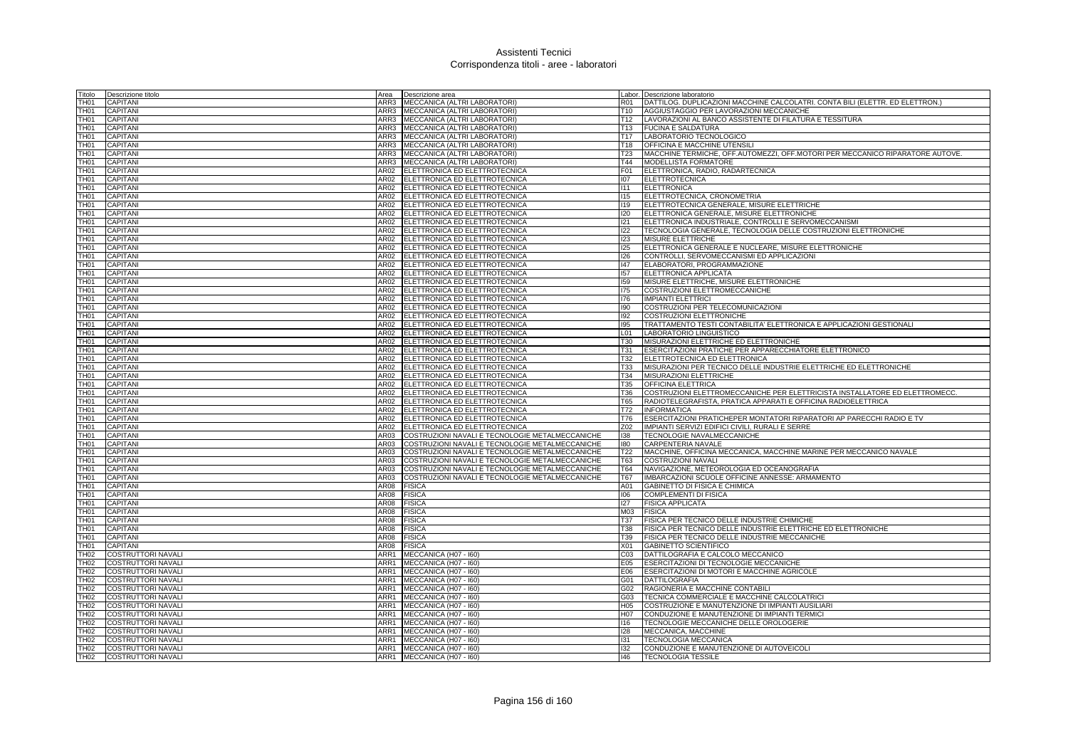| Titolo                                            | Descrizione titolo                                     |      | Area <b>Descrizione</b> area                             |                 | Labor. Descrizione laboratorio                                                |
|---------------------------------------------------|--------------------------------------------------------|------|----------------------------------------------------------|-----------------|-------------------------------------------------------------------------------|
| TH <sub>01</sub>                                  | <b>CAPITANI</b>                                        |      | ARR3   MECCANICA (ALTRI LABORATORI)                      | R01             | DATTILOG. DUPLICAZIONI MACCHINE CALCOLATRI. CONTA BILI (ELETTR. ED ELETTRON.) |
| TH <sub>01</sub>                                  | CAPITANI                                               |      | ARR3 MECCANICA (ALTRI LABORATORI)                        | T10             | AGGIUSTAGGIO PER LAVORAZIONI MECCANICHE                                       |
| <b>TH01</b>                                       | CAPITANI                                               |      | ARR3 MECCANICA (ALTRI LABORATORI)                        | T <sub>12</sub> | LAVORAZIONI AL BANCO ASSISTENTE DI FILATURA E TESSITURA                       |
| <b>TH01</b>                                       | CAPITANI                                               |      | ARR3 MECCANICA (ALTRI LABORATORI)                        | T <sub>13</sub> | <b>FUCINA E SALDATURA</b>                                                     |
| <b>TH01</b>                                       | CAPITANI                                               |      | ARR3 MECCANICA (ALTRI LABORATORI)                        | T <sub>17</sub> | LABORATORIO TECNOLOGICO                                                       |
| <b>TH01</b>                                       | CAPITANI                                               | ARR3 | MECCANICA (ALTRI LABORATORI)                             | T18             | OFFICINA E MACCHINE UTENSIL                                                   |
| <b>TH01</b>                                       | CAPITANI                                               | ARR3 | MECCANICA (ALTRI LABORATORI)                             | T <sub>23</sub> | MACCHINE TERMICHE, OFF.AUTOMEZZI, OFF.MOTORI PER MECCANICO RIPARATORE AUTOVE. |
| TH <sub>01</sub>                                  | CAPITANI                                               | ARR3 | MECCANICA (ALTRI LABORATORI)                             | T44             | MODELLISTA FORMATORE                                                          |
| TH <sub>01</sub>                                  | CAPITANI                                               | AR02 | ELETTRONICA ED ELETTROTECNICA                            | F01             | ELETTRONICA, RADIO, RADARTECNICA                                              |
| TH <sub>01</sub>                                  | <b>CAPITANI</b>                                        | AR02 | ELETTRONICA ED ELETTROTECNICA                            | 107             | <b>ELETTROTECNICA</b>                                                         |
| <b>TH01</b>                                       | <b>CAPITANI</b>                                        | AR02 | ELETTRONICA ED ELETTROTECNICA                            | 111             | <b>ELETTRONICA</b>                                                            |
| TH <sub>01</sub>                                  | CAPITANI                                               |      | AR02 ELETTRONICA ED ELETTROTECNICA                       | 115             | ELETTROTECNICA, CRONOMETRIA                                                   |
| TH <sub>01</sub>                                  | <b>CAPITANI</b>                                        |      | AR02 ELETTRONICA ED ELETTROTECNICA                       | <b>I19</b>      | ELETTROTECNICA GENERALE, MISURE ELETTRICHE                                    |
| TH <sub>01</sub>                                  | CAPITANI                                               |      | AR02 ELETTRONICA ED ELETTROTECNICA                       | 120             | ELETTRONICA GENERALE, MISURE ELETTRONICHE                                     |
| <b>TH01</b>                                       | CAPITANI                                               | AR02 | ELETTRONICA ED ELETTROTECNICA                            | 121             | ELETTRONICA INDUSTRIALE, CONTROLLI E SERVOMECCANISMI                          |
| <b>TH01</b>                                       | CAPITANI                                               |      | AR02 ELETTRONICA ED ELETTROTECNICA                       | 122             | TECNOLOGIA GENERALE, TECNOLOGIA DELLE COSTRUZIONI ELETTRONICHE                |
| TH <sub>01</sub>                                  | CAPITANI                                               |      | AR02 ELETTRONICA ED ELETTROTECNICA                       | 123             | MISURE ELETTRICHE                                                             |
| <b>TH01</b>                                       | CAPITANI                                               | AR02 | ELETTRONICA ED ELETTROTECNICA                            | 125             | ELETTRONICA GENERALE E NUCLEARE, MISURE ELETTRONICHE                          |
| <b>TH01</b>                                       | CAPITANI                                               | AR02 | ELETTRONICA ED ELETTROTECNICA                            | 126             | CONTROLLI, SERVOMECCANISMI ED APPLICAZIONI                                    |
| <b>TH01</b>                                       | CAPITANI                                               |      | AR02 ELETTRONICA ED ELETTROTECNICA                       | 147             | ELABORATORI, PROGRAMMAZIONE                                                   |
| <b>TH01</b>                                       | CAPITANI                                               |      | AR02 ELETTRONICA ED ELETTROTECNICA                       | 157             | ELETTRONICA APPLICATA                                                         |
| TH <sub>01</sub>                                  | <b>CAPITANI</b>                                        |      | AR02 ELETTRONICA ED ELETTROTECNICA                       | 159             | MISURE ELETTRICHE, MISURE ELETTRONICHE                                        |
| TH <sub>01</sub>                                  | CAPITANI                                               |      |                                                          | 175             | <b>COSTRUZIONI ELETTROMECCANICHE</b>                                          |
|                                                   |                                                        |      | AR02 ELETTRONICA ED ELETTROTECNICA                       |                 |                                                                               |
| <b>TH01</b>                                       | <b>CAPITANI</b>                                        |      | AR02 ELETTRONICA ED ELETTROTECNICA                       | 176<br>190      | <b>IMPIANTI ELETTRICI</b>                                                     |
| TH <sub>01</sub>                                  | CAPITANI                                               |      | AR02 ELETTRONICA ED ELETTROTECNICA                       |                 | COSTRUZIONI PER TELECOMUNICAZIONI                                             |
| TH <sub>01</sub>                                  | <b>CAPITANI</b>                                        |      | AR02 ELETTRONICA ED ELETTROTECNICA                       | 192             | COSTRUZIONI ELETTRONICHE                                                      |
| <b>TH01</b>                                       | <b>CAPITANI</b>                                        |      | AR02 ELETTRONICA ED ELETTROTECNICA                       | 195             | TRATTAMENTO TESTI CONTABILITA' ELETTRONICA E APPLICAZIONI GESTIONALI          |
| <b>TH01</b>                                       | CAPITANI                                               |      | AR02 ELETTRONICA ED ELETTROTECNICA                       | L <sub>01</sub> | LABORATORIO LINGUISTICO                                                       |
| <b>TH01</b>                                       | <b>CAPITANI</b>                                        |      | AR02 ELETTRONICA ED ELETTROTECNICA                       | T30             | MISURAZIONI ELETTRICHE ED ELETTRONICHE                                        |
| <b>TH01</b>                                       | CAPITANI                                               |      | AR02 ELETTRONICA ED ELETTROTECNICA                       | T31             | ESERCITAZIONI PRATICHE PER APPARECCHIATORE ELETTRONICO                        |
| <b>TH01</b>                                       | CAPITANI                                               |      | AR02 ELETTRONICA ED ELETTROTECNICA                       | T32             | ELETTROTECNICA ED ELETTRONICA                                                 |
| TH <sub>01</sub>                                  | <b>CAPITANI</b>                                        |      | AR02 ELETTRONICA ED ELETTROTECNICA                       | <b>T33</b>      | MISURAZIONI PER TECNICO DELLE INDUSTRIE ELETTRICHE ED ELETTRONICHE            |
| <b>TH01</b>                                       | <b>CAPITANI</b>                                        |      | AR02 ELETTRONICA ED ELETTROTECNICA                       | T34             | MISURAZIONI ELETTRICHE                                                        |
| TH <sub>01</sub>                                  | CAPITANI                                               |      | AR02 ELETTRONICA ED ELETTROTECNICA                       | T35             | <b>OFFICINA ELETTRICA</b>                                                     |
| TH <sub>01</sub>                                  | <b>CAPITANI</b>                                        |      | AR02 ELETTRONICA ED ELETTROTECNICA                       | T36             | COSTRUZIONI ELETTROMECCANICHE PER ELETTRICISTA INSTALLATORE ED ELETTROMECC.   |
| TH <sub>01</sub>                                  | CAPITANI                                               |      | AR02 ELETTRONICA ED ELETTROTECNICA                       | T65             | RADIOTELEGRAFISTA, PRATICA APPARATI E OFFICINA RADIOELETTRICA                 |
| <b>TH01</b>                                       | <b>CAPITANI</b>                                        |      | AR02 ELETTRONICA ED ELETTROTECNICA                       | <b>T72</b>      | <b>INFORMATICA</b>                                                            |
| TH <sub>01</sub>                                  | CAPITANI                                               |      | AR02 ELETTRONICA ED ELETTROTECNICA                       | T76             | ESERCITAZIONI PRATICHEPER MONTATORI RIPARATORI AP PARECCHI RADIO E TV         |
| TH <sub>01</sub>                                  | <b>CAPITANI</b>                                        |      | AR02 ELETTRONICA ED ELETTROTECNICA                       | Z02             | IMPIANTI SERVIZI EDIFICI CIVILI, RURALI E SERRE                               |
| <b>TH01</b>                                       | CAPITANI                                               | AR03 | COSTRUZIONI NAVALI E TECNOLOGIE METALMECCANICHE          | 138             | TECNOLOGIE NAVALMECCANICHE                                                    |
| <b>TH01</b>                                       | CAPITANI                                               | AR03 | COSTRUZIONI NAVALI E TECNOLOGIE METALMECCANICHE          | 180             | CARPENTERIA NAVALE                                                            |
| <b>TH01</b>                                       | CAPITANI                                               | AR03 | COSTRUZIONI NAVALI E TECNOLOGIE METALMECCANICHE          | T22             | MACCHINE, OFFICINA MECCANICA, MACCHINE MARINE PER MECCANICO NAVALE            |
| TH <sub>01</sub>                                  | CAPITANI                                               | AR03 | COSTRUZIONI NAVALI E TECNOLOGIE METALMECCANICHE          | T63             | COSTRUZIONI NAVALI                                                            |
| TH <sub>01</sub>                                  | CAPITANI                                               | AR03 | COSTRUZIONI NAVALI E TECNOLOGIE METALMECCANICHE          | T64             | NAVIGAZIONE, METEOROLOGIA ED OCEANOGRAFIA                                     |
| TH <sub>01</sub>                                  | CAPITANI                                               | AR03 | COSTRUZIONI NAVALI E TECNOLOGIE METALMECCANICHE          | <b>T67</b>      | IMBARCAZIONI SCUOLE OFFICINE ANNESSE: ARMAMENTO                               |
| <b>TH01</b>                                       | <b>CAPITANI</b>                                        | AR08 | <b>FISICA</b>                                            | A01             | GABINETTO DI FISICA E CHIMICA                                                 |
| <b>TH01</b>                                       | CAPITANI                                               | AR08 | <b>FISICA</b>                                            | 106             | <b>COMPLEMENTI DI FISICA</b>                                                  |
| TH <sub>01</sub>                                  | CAPITANI                                               | AR08 | <b>FISICA</b>                                            | 127             | <b>FISICA APPLICATA</b>                                                       |
| TH <sub>01</sub>                                  | CAPITANI                                               | AR08 | <b>FISICA</b>                                            | M03             | <b>FISICA</b>                                                                 |
| <b>TH01</b>                                       | <b>CAPITANI</b>                                        | AR08 | <b>FISICA</b>                                            | <b>T37</b>      | FISICA PER TECNICO DELLE INDUSTRIE CHIMICHE                                   |
| <b>TH01</b>                                       | CAPITANI                                               | AR08 | <b>FISICA</b>                                            | <b>T38</b>      | FISICA PER TECNICO DELLE INDUSTRIE ELETTRICHE ED ELETTRONICHE                 |
| TH <sub>01</sub>                                  | <b>CAPITANI</b>                                        | AR08 | <b>FISICA</b>                                            | T39             | FISICA PER TECNICO DELLE INDUSTRIE MECCANICHE                                 |
| <b>TH01</b>                                       | CAPITANI                                               | AR08 | <b>FISICA</b>                                            | X01             | <b>GABINETTO SCIENTIFICO</b>                                                  |
| TH <sub>02</sub>                                  | <b>COSTRUTTORI NAVALI</b>                              | ARR1 | MECCANICA (H07 - I60)                                    | CO <sub>3</sub> | DATTILOGRAFIA E CALCOLO MECCANICO                                             |
| <b>TH02</b>                                       | <b>COSTRUTTORI NAVALI</b>                              | ARR1 | MECCANICA (H07 - I60)                                    | E05             | ESERCITAZIONI DI TECNOLOGIE MECCANICHE                                        |
| <b>TH02</b>                                       | COSTRUTTORI NAVALI                                     |      | ARR1 MECCANICA (H07 - 160)                               | E06             | ESERCITAZIONI DI MOTORI E MACCHINE AGRICOLE                                   |
| <b>TH02</b>                                       | <b>COSTRUTTORI NAVALI</b>                              |      | ARR1 MECCANICA (H07 - 160)                               | G01             | <b>DATTILOGRAFIA</b>                                                          |
| <b>TH02</b>                                       | <b>COSTRUTTORI NAVALI</b>                              |      | ARR1 MECCANICA (H07 - 160)                               | G02             | RAGIONERIA E MACCHINE CONTABILI                                               |
| <b>TH02</b>                                       | COSTRUTTORI NAVALI                                     |      | ARR1 MECCANICA (H07 - 160)                               | G03             | TECNICA COMMERCIALE E MACCHINE CALCOLATRICI                                   |
| <b>TH02</b>                                       | COSTRUTTORI NAVALI                                     |      | ARR1 MECCANICA (H07 - 160)                               | H <sub>05</sub> | COSTRUZIONE E MANUTENZIONE DI IMPIANTI AUSILIARI                              |
|                                                   |                                                        |      | ARR1 MECCANICA (H07 - I60)                               | <b>H07</b>      | CONDUZIONE E MANUTENZIONE DI IMPIANTI TERMICI                                 |
|                                                   | <b>COSTRUTTORI NAVALI</b>                              |      |                                                          |                 |                                                                               |
|                                                   | <b>COSTRUTTORI NAVALI</b>                              |      | ARR1 MECCANICA (H07 - 160)                               | 116             | TECNOLOGIE MECCANICHE DELLE OROLOGERIE                                        |
|                                                   | <b>COSTRUTTORI NAVALI</b>                              |      | ARR1 MECCANICA (H07 - 160)                               | 128             | MECCANICA, MACCHINE                                                           |
| TH02<br><b>TH02</b><br><b>TH02</b><br><b>TH02</b> | <b>COSTRUTTORI NAVALI</b>                              |      | ARR1 MECCANICA (H07 - 160)                               | 131             | <b>TECNOLOGIA MECCANICA</b>                                                   |
| TH <sub>02</sub><br>TH02                          | <b>COSTRUTTORI NAVALI</b><br><b>COSTRUTTORI NAVALI</b> |      | ARR1 MECCANICA (H07 - 160)<br>ARR1 MECCANICA (H07 - I60) | 132<br>146      | CONDUZIONE E MANUTENZIONE DI AUTOVEICOLI<br><b>TECNOLOGIA TESSILE</b>         |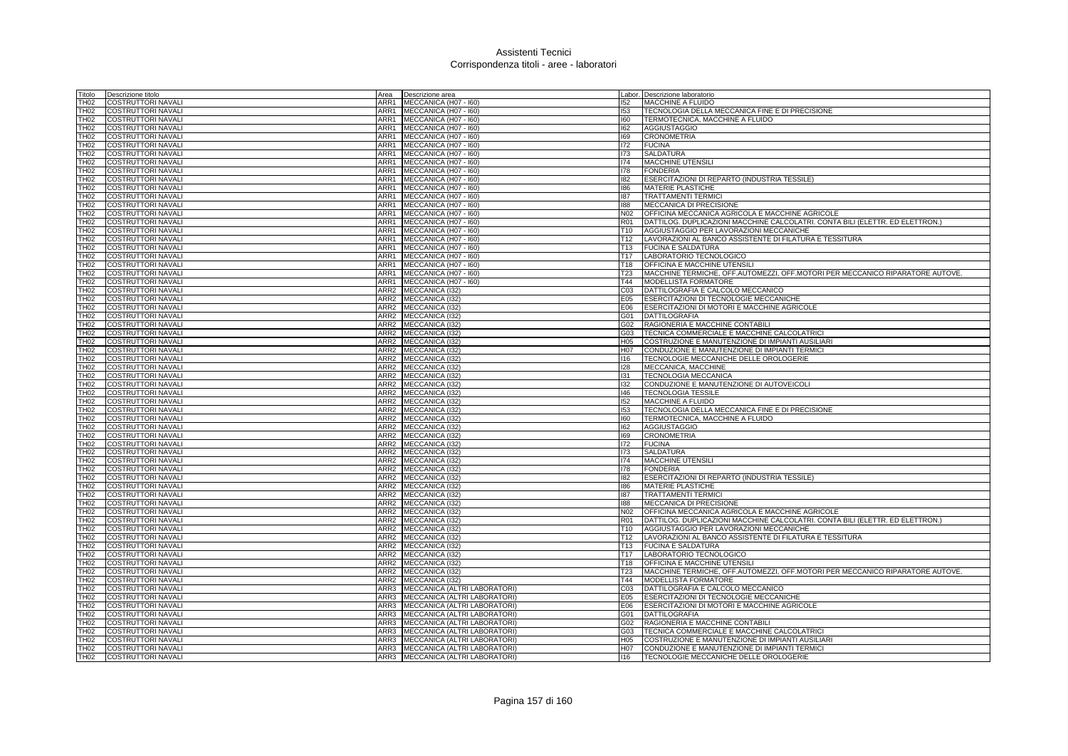| Titolo                   | Descrizione titolo<br>Area                                        | Descrizione area                          |                 | Labor. Descrizione laboratorio                                                |
|--------------------------|-------------------------------------------------------------------|-------------------------------------------|-----------------|-------------------------------------------------------------------------------|
| TH02                     | COSTRUTTORI NAVALI<br>ARR1                                        | MECCANICA (H07 - I60)                     | 152             | <b>MACCHINE A FLUIDO</b>                                                      |
| TH02                     | COSTRUTTORI NAVALI<br>ARR1                                        | MECCANICA (H07 - I60)                     | 153             | TECNOLOGIA DELLA MECCANICA FINE E DI PRECISIONE                               |
| TH02                     | <b>COSTRUTTORI NAVALI</b><br>ARR1                                 | MECCANICA (H07 - I60)                     | 160             | TERMOTECNICA, MACCHINE A FLUIDO                                               |
| TH02                     | <b>COSTRUTTORI NAVALI</b><br>ARR1                                 | MECCANICA (H07 - I60)                     | 162             | <b>AGGIUSTAGGIO</b>                                                           |
| TH02                     | <b>COSTRUTTORI NAVALI</b><br>ARR1                                 | MECCANICA (H07 - I60)                     | 169             | <b>CRONOMETRIA</b>                                                            |
| TH02                     | <b>COSTRUTTORI NAVALI</b><br>ARR1                                 | MECCANICA (H07 - I60)                     | 172             | <b>FUCINA</b>                                                                 |
| TH02                     | <b>COSTRUTTORI NAVALI</b><br>ARR1                                 | MECCANICA (H07 - I60)                     | 173             | <b>SALDATURA</b>                                                              |
| FH <sub>02</sub>         | COSTRUTTORI NAVALI<br>ARR1                                        | MECCANICA (H07 - I60)                     | 174             | MACCHINE UTENSILI                                                             |
| TH02                     | COSTRUTTORI NAVALI<br>ARR1                                        | MECCANICA (H07 - 160)                     | 178             | <b>FONDERIA</b>                                                               |
| TH02                     | <b>COSTRUTTORI NAVALI</b><br>ARR1                                 | MECCANICA (H07 - 160)                     | 182             | ESERCITAZIONI DI REPARTO (INDUSTRIA TESSILE)                                  |
| TH02                     | <b>COSTRUTTORI NAVALI</b><br>ARR1                                 | MECCANICA (H07 - I60)                     | 186             | <b>MATERIE PLASTICHE</b>                                                      |
| TH02                     | <b>COSTRUTTORI NAVALI</b><br>ARR1                                 | MECCANICA (H07 - I60)                     | 187             | <b>TRATTAMENTI TERMICI</b>                                                    |
| THO2                     | <b>COSTRUTTORI NAVALI</b><br>ARR1                                 | MECCANICA (H07 - I60)                     | 188             | MECCANICA DI PRECISIONE                                                       |
| TH02                     | <b>COSTRUTTORI NAVALI</b><br>ARR1                                 | MECCANICA (H07 - I60)                     | N <sub>02</sub> | OFFICINA MECCANICA AGRICOLA E MACCHINE AGRICOLE                               |
| TH02                     | <b>COSTRUTTORI NAVALI</b><br>ARR1                                 | MECCANICA (H07 - I60)                     | R <sub>01</sub> | DATTILOG. DUPLICAZIONI MACCHINE CALCOLATRI. CONTA BILI (ELETTR. ED ELETTRON.) |
| TH02                     | COSTRUTTORI NAVALI<br>ARR1                                        | MECCANICA (H07 - I60)                     | T10             | AGGIUSTAGGIO PER LAVORAZIONI MECCANICHE                                       |
| TH02                     | <b>COSTRUTTORI NAVALI</b><br>ARR1                                 |                                           | T <sub>12</sub> | LAVORAZIONI AL BANCO ASSISTENTE DI FILATURA E TESSITURA                       |
| TH02                     |                                                                   | MECCANICA (H07 - 160)                     |                 | T13 FUCINA E SALDATURA                                                        |
|                          | <b>COSTRUTTORI NAVALI</b><br>ARR1<br>ARR1                         | MECCANICA (H07 - I60)                     | <b>T17</b>      |                                                                               |
| TH02                     | <b>COSTRUTTORI NAVALI</b>                                         | MECCANICA (H07 - I60)                     |                 | LABORATORIO TECNOLOGICO                                                       |
| TH02                     | <b>COSTRUTTORI NAVALI</b><br>ARR1                                 | MECCANICA (H07 - I60)                     | T <sub>18</sub> | <b>OFFICINA E MACCHINE UTENSILI</b>                                           |
| TH02                     | <b>COSTRUTTORI NAVALI</b><br>ARR1                                 | MECCANICA (H07 - I60)                     | <b>T23</b>      | MACCHINE TERMICHE, OFF.AUTOMEZZI, OFF.MOTORI PER MECCANICO RIPARATORE AUTOVE. |
| FH02                     | COSTRUTTORI NAVALI<br>ARR1                                        | MECCANICA (H07 - I60)                     | T44             | MODELLISTA FORMATORE                                                          |
| TH02                     | <b>COSTRUTTORI NAVALI</b><br>ARR <sub>2</sub>                     | MECCANICA (I32)                           | CO <sub>3</sub> | DATTILOGRAFIA E CALCOLO MECCANICO                                             |
| TH02                     | COSTRUTTORI NAVALI<br>ARR2                                        | MECCANICA (132)                           | E05             | ESERCITAZIONI DI TECNOLOGIE MECCANICHE                                        |
| TH02                     | <b>COSTRUTTORI NAVALI</b><br>ARR <sub>2</sub>                     | MECCANICA (I32)                           | E06             | ESERCITAZIONI DI MOTORI E MACCHINE AGRICOLE                                   |
| TH02                     | <b>COSTRUTTORI NAVALI</b><br>ARR <sub>2</sub>                     | MECCANICA (I32)                           | G01             | <b>DATTILOGRAFIA</b>                                                          |
| TH02                     | <b>COSTRUTTORI NAVALI</b><br>ARR <sub>2</sub>                     | MECCANICA (I32)                           | G02             | RAGIONERIA E MACCHINE CONTABILI                                               |
| TH02                     | <b>COSTRUTTORI NAVALI</b><br>ARR <sub>2</sub>                     | MECCANICA (I32)                           | G03             | TECNICA COMMERCIALE E MACCHINE CALCOLATRICI                                   |
| TH02                     | <b>COSTRUTTORI NAVALI</b>                                         | ARR2 MECCANICA (I32)                      | H05             | COSTRUZIONE E MANUTENZIONE DI IMPIANTI AUSILIARI                              |
| TH02                     | <b>COSTRUTTORI NAVALI</b><br>ARR <sub>2</sub>                     | MECCANICA (I32)                           | H07             | CONDUZIONE E MANUTENZIONE DI IMPIANTI TERMICI                                 |
| TH02                     | <b>COSTRUTTORI NAVALI</b><br>ARR <sub>2</sub><br>ARR <sub>2</sub> | MECCANICA (132)                           | 116<br>128      | TECNOLOGIE MECCANICHE DELLE OROLOGERIE                                        |
| TH <sub>02</sub><br>THO2 | <b>COSTRUTTORI NAVALI</b><br><b>COSTRUTTORI NAVALI</b><br>ARR2    | <b>MECCANICA (132)</b><br>MECCANICA (I32) | 131             | MECCANICA, MACCHINE<br>TECNOLOGIA MECCANICA                                   |
| TH02                     | COSTRUTTORI NAVALI<br>ARR2                                        | MECCANICA (I32)                           | 132             | CONDUZIONE E MANUTENZIONE DI AUTOVEICOLI                                      |
| TH02                     | COSTRUTTORI NAVALI<br>ARR <sub>2</sub>                            | MECCANICA (I32)                           | 146             | <b>TECNOLOGIA TESSILE</b>                                                     |
| TH02                     | <b>COSTRUTTORI NAVALI</b><br>ARR <sub>2</sub>                     | MECCANICA (I32)                           | 152             | MACCHINE A FLUIDO                                                             |
| TH02                     | COSTRUTTORI NAVALI<br>ARR <sub>2</sub>                            | MECCANICA (132)                           | 153             | TECNOLOGIA DELLA MECCANICA FINE E DI PRECISIONE                               |
| TH02                     | <b>COSTRUTTORI NAVALI</b><br>ARR2                                 | MECCANICA (I32)                           | 160             | TERMOTECNICA, MACCHINE A FLUIDO                                               |
| TH02                     | <b>COSTRUTTORI NAVALI</b><br>ARR <sub>2</sub>                     | MECCANICA (I32)                           | 162             | <b>AGGIUSTAGGIO</b>                                                           |
| TH02                     | <b>COSTRUTTORI NAVALI</b><br>ARR2                                 | MECCANICA (I32)                           | 169             | <b>CRONOMETRIA</b>                                                            |
| TH02                     | COSTRUTTORI NAVALI<br>ARR <sub>2</sub>                            | MECCANICA (I32)                           | 172             | <b>FUCINA</b>                                                                 |
| TH02                     | <b>COSTRUTTORI NAVALI</b><br>ARR2                                 | MECCANICA (I32)                           | 173             | <b>SALDATURA</b>                                                              |
| TH <sub>02</sub>         | <b>COSTRUTTORI NAVALI</b><br>ARR2                                 | MECCANICA (132)                           | 174             | <b>MACCHINE UTENSILI</b>                                                      |
| THO2                     | COSTRUTTORI NAVALI<br>ARR2                                        | MECCANICA (I32)                           | 178             | <b>FONDERIA</b>                                                               |
| TH02                     | <b>COSTRUTTORI NAVALI</b><br>ARR <sub>2</sub>                     | MECCANICA (I32)                           | 182             | ESERCITAZIONI DI REPARTO (INDUSTRIA TESSILE)                                  |
| THO2                     | COSTRUTTORI NAVALI<br>ARR2                                        | MECCANICA (I32)                           | 186             | <b>MATERIE PLASTICHE</b>                                                      |
| FH <sub>02</sub>         | <b>COSTRUTTORI NAVALI</b><br>ARR <sub>2</sub>                     | MECCANICA (132)                           | 187             | <b>TRATTAMENTI TERMICI</b>                                                    |
| THO2                     | COSTRUTTORI NAVALI<br>ARR2                                        | MECCANICA (132)                           | 188             | MECCANICA DI PRECISIONE                                                       |
| <b>TH02</b>              | <b>COSTRUTTORI NAVALI</b><br>ARR <sub>2</sub>                     | <b>MECCANICA (I32)</b>                    | N <sub>02</sub> | OFFICINA MECCANICA AGRICOLA E MACCHINE AGRICOLE                               |
| THO2                     | <b>COSTRUTTORI NAVALI</b><br>ARR2                                 | MECCANICA (I32)                           | R <sub>01</sub> | DATTILOG. DUPLICAZIONI MACCHINE CALCOLATRI. CONTA BILI (ELETTR. ED ELETTRON.) |
| TH02                     | <b>COSTRUTTORI NAVALI</b><br>ARR2                                 | MECCANICA (I32)                           | T10             | AGGIUSTAGGIO PER LAVORAZIONI MECCANICHE                                       |
| TH02                     | COSTRUTTORI NAVALI<br>ARR <sub>2</sub>                            | MECCANICA (I32)                           | T <sub>12</sub> | LAVORAZIONI AL BANCO ASSISTENTE DI FILATURA E TESSITURA                       |
| TH02                     | COSTRUTTORI NAVALI<br>ARR <sub>2</sub>                            | MECCANICA (I32)                           | T <sub>13</sub> | <b>FUCINA E SALDATURA</b>                                                     |
| TH <sub>02</sub>         | <b>COSTRUTTORI NAVALI</b><br>ARR <sub>2</sub>                     | MECCANICA (132)                           | T <sub>17</sub> | LABORATORIO TECNOLOGICO                                                       |
| TH02                     | <b>COSTRUTTORI NAVALI</b><br>ARR <sub>2</sub>                     | MECCANICA (I32)                           | T <sub>18</sub> | <b>OFFICINA E MACCHINE UTENSILI</b>                                           |
| <b>FH02</b>              | <b>COSTRUTTORI NAVALI</b><br>ARR2                                 | MECCANICA (132)                           | T <sub>23</sub> | MACCHINE TERMICHE, OFF.AUTOMEZZI, OFF.MOTORI PER MECCANICO RIPARATORE AUTOVE. |
| TH02                     | <b>COSTRUTTORI NAVALI</b><br>ARR2                                 | MECCANICA (132)                           | T44             | MODELLISTA FORMATORE                                                          |
| TH02                     | <b>COSTRUTTORI NAVALI</b><br>ARR3                                 | MECCANICA (ALTRI LABORATORI)              | C <sub>03</sub> | DATTILOGRAFIA E CALCOLO MECCANICO                                             |
| TH02                     | COSTRUTTORI NAVALI<br>ARR3                                        | MECCANICA (ALTRI LABORATORI)              | E05             | ESERCITAZIONI DI TECNOLOGIE MECCANICHE                                        |
| FH02                     | COSTRUTTORI NAVALI<br>ARR3                                        | MECCANICA (ALTRI LABORATORI)              | E06             | ESERCITAZIONI DI MOTORI E MACCHINE AGRICOLE                                   |
| TH02                     | COSTRUTTORI NAVALI<br>ARR3                                        | MECCANICA (ALTRI LABORATORI)              | G01             | DATTILOGRAFIA                                                                 |
| TH02                     | <b>COSTRUTTORI NAVALI</b><br>ARR3                                 | MECCANICA (ALTRI LABORATORI)              | G02             | RAGIONERIA E MACCHINE CONTABILI                                               |
| TH02                     | COSTRUTTORI NAVALI<br>ARR3                                        | MECCANICA (ALTRI LABORATORI)              | G03             | TECNICA COMMERCIALE E MACCHINE CALCOLATRICI                                   |
| FH <sub>02</sub>         | <b>COSTRUTTORI NAVALI</b><br>ARR3                                 | MECCANICA (ALTRI LABORATORI)              | H05             | COSTRUZIONE E MANUTENZIONE DI IMPIANTI AUSILIARI                              |
| TH02                     | <b>COSTRUTTORI NAVALI</b>                                         | ARR3 MECCANICA (ALTRI LABORATORI)         | H07             | CONDUZIONE E MANUTENZIONE DI IMPIANTI TERMICI                                 |
| TH02                     | <b>COSTRUTTORI NAVALI</b>                                         | ARR3 MECCANICA (ALTRI LABORATORI)         | 116             | TECNOLOGIE MECCANICHE DELLE OROLOGERIE                                        |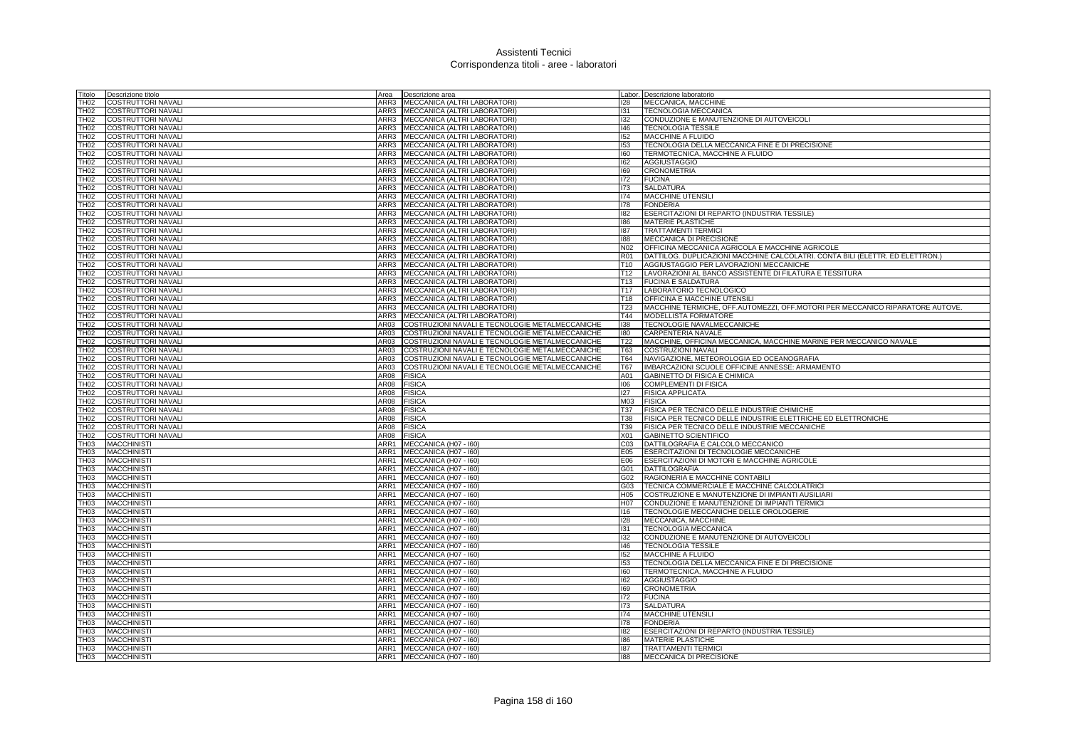| Titolo           | Descrizione titolo        |      | Area <b>Descrizione</b> area                    |                 | Labor. Descrizione laboratorio                                                |
|------------------|---------------------------|------|-------------------------------------------------|-----------------|-------------------------------------------------------------------------------|
| <b>TH02</b>      | <b>COSTRUTTORI NAVALI</b> | ARR3 | MECCANICA (ALTRI LABORATORI)                    | 128             | MECCANICA, MACCHINE                                                           |
| TH <sub>02</sub> | <b>COSTRUTTORI NAVALI</b> | ARR3 | MECCANICA (ALTRI LABORATORI)                    | 131             | TECNOLOGIA MECCANICA                                                          |
| TH02             | <b>COSTRUTTORI NAVALI</b> |      | ARR3 MECCANICA (ALTRI LABORATORI)               | 132             | CONDUZIONE E MANUTENZIONE DI AUTOVEICOLI                                      |
| TH02             | <b>COSTRUTTORI NAVALI</b> |      | ARR3 MECCANICA (ALTRI LABORATORI)               | 146             | <b>TECNOLOGIA TESSILE</b>                                                     |
| <b>TH02</b>      | <b>COSTRUTTORI NAVALI</b> | ARR3 | MECCANICA (ALTRI LABORATORI)                    | 152             | <b>MACCHINE A FLUIDO</b>                                                      |
| <b>TH02</b>      | COSTRUTTORI NAVALI        | ARR3 | MECCANICA (ALTRI LABORATORI)                    | 153             | TECNOLOGIA DELLA MECCANICA FINE E DI PRECISIONE                               |
| TH02             | <b>COSTRUTTORI NAVALI</b> | ARR3 | MECCANICA (ALTRI LABORATORI)                    | 160             | TERMOTECNICA, MACCHINE A FLUIDO                                               |
| TH02             | COSTRUTTORI NAVALI        | ARR3 | MECCANICA (ALTRI LABORATORI)                    | 162             | <b>AGGIUSTAGGIO</b>                                                           |
| <b>TH02</b>      | <b>COSTRUTTORI NAVALI</b> | ARR3 | MECCANICA (ALTRI LABORATORI)                    | 169             | <b>CRONOMETRIA</b>                                                            |
| TH02             | <b>COSTRUTTORI NAVALI</b> | ARR3 | MECCANICA (ALTRI LABORATORI)                    | 172             | <b>FUCINA</b>                                                                 |
| TH02             | <b>COSTRUTTORI NAVALI</b> | ARR3 | MECCANICA (ALTRI LABORATORI)                    | 173             | <b>SALDATURA</b>                                                              |
| <b>TH02</b>      | <b>COSTRUTTORI NAVALI</b> |      | ARR3 MECCANICA (ALTRI LABORATORI)               | 174             | MACCHINE UTENSILI                                                             |
| <b>TH02</b>      | <b>COSTRUTTORI NAVALI</b> | ARR3 | MECCANICA (ALTRI LABORATORI)                    | 178             | <b>FONDERIA</b>                                                               |
| TH <sub>02</sub> | COSTRUTTORI NAVALI        | ARR3 | MECCANICA (ALTRI LABORATORI)                    | 182             | ESERCITAZIONI DI REPARTO (INDUSTRIA TESSILE)                                  |
| <b>TH02</b>      | COSTRUTTORI NAVALI        | ARR3 | MECCANICA (ALTRI LABORATORI)                    | 186             | MATERIE PLASTICHE                                                             |
| <b>TH02</b>      | COSTRUTTORI NAVALI        | ARR3 | MECCANICA (ALTRI LABORATORI)                    | 187             | <b>TRATTAMENTI TERMIC</b>                                                     |
| <b>TH02</b>      | <b>COSTRUTTORI NAVALI</b> | ARR3 | MECCANICA (ALTRI LABORATORI)                    | 188             | MECCANICA DI PRECISIONE                                                       |
| TH <sub>02</sub> | COSTRUTTORI NAVALI        | ARR3 | MECCANICA (ALTRI LABORATORI)                    | N02             | OFFICINA MECCANICA AGRICOLA E MACCHINE AGRICOLE                               |
| TH02             | <b>COSTRUTTORI NAVALI</b> | ARR3 | MECCANICA (ALTRI LABORATORI)                    | <b>R01</b>      | DATTILOG. DUPLICAZIONI MACCHINE CALCOLATRI. CONTA BILI (ELETTR. ED ELETTRON.) |
| <b>TH02</b>      | <b>COSTRUTTORI NAVALI</b> |      | ARR3 MECCANICA (ALTRI LABORATORI)               | T <sub>10</sub> | AGGIUSTAGGIO PER LAVORAZIONI MECCANICHE                                       |
| TH02             | <b>COSTRUTTORI NAVALI</b> | ARR3 | MECCANICA (ALTRI LABORATORI)                    | T12             | LAVORAZIONI AL BANCO ASSISTENTE DI FILATURA E TESSITURA                       |
| <b>TH02</b>      | <b>COSTRUTTORI NAVALI</b> | ARR3 | MECCANICA (ALTRI LABORATORI)                    | T13             | <b>FUCINA E SALDATURA</b>                                                     |
| <b>TH02</b>      | COSTRUTTORI NAVALI        | ARR3 | MECCANICA (ALTRI LABORATORI)                    | T17             | LABORATORIO TECNOLOGICO                                                       |
| TH <sub>02</sub> | COSTRUTTORI NAVALI        | ARR3 | MECCANICA (ALTRI LABORATORI)                    | T18             | OFFICINA E MACCHINE UTENSILI                                                  |
| TH02             | COSTRUTTORI NAVALI        | ARR3 | MECCANICA (ALTRI LABORATORI)                    | <b>T23</b>      | MACCHINE TERMICHE, OFF.AUTOMEZZI, OFF.MOTORI PER MECCANICO RIPARATORE AUTOVE. |
| <b>TH02</b>      | <b>COSTRUTTORI NAVALI</b> | ARR3 | MECCANICA (ALTRI LABORATORI)                    | T44             | MODELLISTA FORMATORE                                                          |
| <b>TH02</b>      | <b>COSTRUTTORI NAVALI</b> | AR03 | COSTRUZIONI NAVALI E TECNOLOGIE METALMECCANICHE | 138             | TECNOLOGIE NAVALMECCANICHE                                                    |
| TH02             | <b>COSTRUTTORI NAVALI</b> | AR03 | COSTRUZIONI NAVALI E TECNOLOGIE METALMECCANICHE | 180             | CARPENTERIA NAVALE                                                            |
| TH02             | <b>COSTRUTTORI NAVALI</b> | AR03 | COSTRUZIONI NAVALI E TECNOLOGIE METALMECCANICHE | T22             | MACCHINE, OFFICINA MECCANICA, MACCHINE MARINE PER MECCANICO NAVALE            |
| <b>TH02</b>      | <b>COSTRUTTORI NAVALI</b> | AR03 | COSTRUZIONI NAVALI E TECNOLOGIE METALMECCANICHE | T63             | <b>COSTRUZIONI NAVALI</b>                                                     |
| <b>TH02</b>      | COSTRUTTORI NAVALI        | AR03 | COSTRUZIONI NAVALI E TECNOLOGIE METALMECCANICHE | <b>T64</b>      | NAVIGAZIONE, METEOROLOGIA ED OCEANOGRAFIA                                     |
| TH02             | <b>COSTRUTTORI NAVALI</b> | AR03 | COSTRUZIONI NAVALI E TECNOLOGIE METALMECCANICHE | T67             | IMBARCAZIONI SCUOLE OFFICINE ANNESSE: ARMAMENTO                               |
| <b>TH02</b>      | COSTRUTTORI NAVALI        | AR08 | <b>FISICA</b>                                   | A01             | GABINETTO DI FISICA E CHIMICA                                                 |
| <b>TH02</b>      | <b>COSTRUTTORI NAVALI</b> | AR08 | <b>FISICA</b>                                   | 106             | <b>COMPLEMENTI DI FISICA</b>                                                  |
| <b>TH02</b>      | <b>COSTRUTTORI NAVALI</b> | AR08 | <b>FISICA</b>                                   | 127             | <b>FISICA APPLICATA</b>                                                       |
| TH02             | <b>COSTRUTTORI NAVALI</b> | AR08 | <b>FISICA</b>                                   | M03             | <b>FISICA</b>                                                                 |
| TH02             | <b>COSTRUTTORI NAVALI</b> | AR08 | <b>FISICA</b>                                   | <b>T37</b>      | FISICA PER TECNICO DELLE INDUSTRIE CHIMICHE                                   |
| <b>TH02</b>      | <b>COSTRUTTORI NAVALI</b> | AR08 | <b>FISICA</b>                                   | <b>T38</b>      | FISICA PER TECNICO DELLE INDUSTRIE ELETTRICHE ED ELETTRONICHE                 |
| <b>TH02</b>      | COSTRUTTORI NAVALI        | AR08 | <b>FISICA</b>                                   | T39             | FISICA PER TECNICO DELLE INDUSTRIE MECCANICHE                                 |
| <b>TH02</b>      | COSTRUTTORI NAVALI        | AR08 | <b>FISICA</b>                                   | X01             | GABINETTO SCIENTIFICO                                                         |
| TH03             | <b>MACCHINISTI</b>        | ARR1 | MECCANICA (H07 - I60)                           | C <sub>03</sub> | DATTILOGRAFIA E CALCOLO MECCANICO                                             |
| TH03             | <b>MACCHINISTI</b>        | ARR1 | MECCANICA (H07 - I60)                           | E05             | <b>ESERCITAZIONI DI TECNOLOGIE MECCANICHE</b>                                 |
| TH <sub>03</sub> | <b>MACCHINIST</b>         | ARR1 | MECCANICA (H07 - I60)                           | E06             | ESERCITAZIONI DI MOTORI E MACCHINE AGRICOLE                                   |
| TH <sub>03</sub> | <b>MACCHINISTI</b>        | ARR1 | MECCANICA (H07 - I60)                           | G01             | <b>DATTILOGRAFIA</b>                                                          |
| TH <sub>03</sub> | <b>MACCHINISTI</b>        |      | ARR1 MECCANICA (H07 - 160)                      | G02             | RAGIONERIA E MACCHINE CONTABILI                                               |
| TH <sub>03</sub> | <b>MACCHINISTI</b>        |      | ARR1 MECCANICA (H07 - 160)                      | G03             | TECNICA COMMERCIALE E MACCHINE CALCOLATRICI                                   |
| <b>TH03</b>      | <b>MACCHINIST</b>         | ARR1 | MECCANICA (H07 - I60)                           | H <sub>05</sub> | COSTRUZIONE E MANUTENZIONE DI IMPIANTI AUSILIARI                              |
| TH <sub>03</sub> | <b>MACCHINIST</b>         | ARR1 | MECCANICA (H07 - I60)                           | H07             | CONDUZIONE E MANUTENZIONE DI IMPIANTI TERMICI                                 |
| TH <sub>03</sub> | <b>MACCHINISTI</b>        | ARR1 | MECCANICA (H07 - I60)                           | 116             | TECNOLOGIE MECCANICHE DELLE OROLOGERIE                                        |
| TH <sub>03</sub> | <b>MACCHINISTI</b>        | ARR1 | MECCANICA (H07 - I60)                           | 128             | MECCANICA, MACCHINE                                                           |
| <b>TH03</b>      | <b>MACCHINIST</b>         | ARR1 | MECCANICA (H07 - I60)                           | 131             | <b>TECNOLOGIA MECCANICA</b>                                                   |
| TH <sub>03</sub> | <b>MACCHINIST</b>         | ARR1 | MECCANICA (H07 - I60)                           | 132             | CONDUZIONE E MANUTENZIONE DI AUTOVEICOLI                                      |
| TH <sub>03</sub> | <b>MACCHINISTI</b>        |      | ARR1 MECCANICA (H07 - 160)                      | 146             | <b>TECNOLOGIA TESSILE</b>                                                     |
| TH03             | <b>MACCHINISTI</b>        |      | ARR1 MECCANICA (H07 - I60)                      | 152             | MACCHINE A FLUIDO                                                             |
| <b>TH03</b>      | <b>MACCHINIST</b>         | ARR1 | MECCANICA (H07 - I60)                           | 153             | TECNOLOGIA DELLA MECCANICA FINE E DI PRECISIONE                               |
| TH <sub>03</sub> | <b>MACCHINISTI</b>        | ARR1 | MECCANICA (H07 - I60)                           | 160             | TERMOTECNICA, MACCHINE A FLUIDO                                               |
| TH <sub>03</sub> | <b>MACCHINISTI</b>        | ARR1 | MECCANICA (H07 - I60)                           | 162             | <b>AGGIUSTAGGIO</b>                                                           |
| TH03             | <b>MACCHINIST</b>         | ARR1 | MECCANICA (H07 - I60)                           | 169             | <b>CRONOMETRIA</b>                                                            |
| TH <sub>03</sub> | <b>MACCHINIST</b>         | ARR1 | MECCANICA (H07 - I60)                           | 172             | <b>FUCINA</b>                                                                 |
| TH <sub>03</sub> | <b>MACCHINISTI</b>        | ARR1 | MECCANICA (H07 - I60)                           | 173             | <b>SALDATURA</b>                                                              |
| TH03             | <b>MACCHINISTI</b>        | ARR1 | MECCANICA (H07 - I60)                           | 174             | <b>MACCHINE UTENSILI</b>                                                      |
| TH03             | <b>MACCHINISTI</b>        |      | ARR1 MECCANICA (H07 - 160)                      | 178             | <b>FONDERIA</b>                                                               |
| TH <sub>03</sub> | <b>MACCHINIST</b>         | ARR1 | MECCANICA (H07 - I60)                           | 182             | ESERCITAZIONI DI REPARTO (INDUSTRIA TESSILE)                                  |
| TH <sub>03</sub> | <b>MACCHINISTI</b>        | ARR1 | MECCANICA (H07 - I60)                           | 186             | <b>MATERIE PLASTICHE</b>                                                      |
| TH <sub>03</sub> | <b>MACCHINISTI</b>        |      | ARR1 MECCANICA (H07 - 160)                      | 187             | <b>TRATTAMENTI TERMICI</b>                                                    |
| TH <sub>03</sub> | <b>MACCHINISTI</b>        |      | ARR1 MECCANICA (H07 - 160)                      | 188             | MECCANICA DI PRECISIONE                                                       |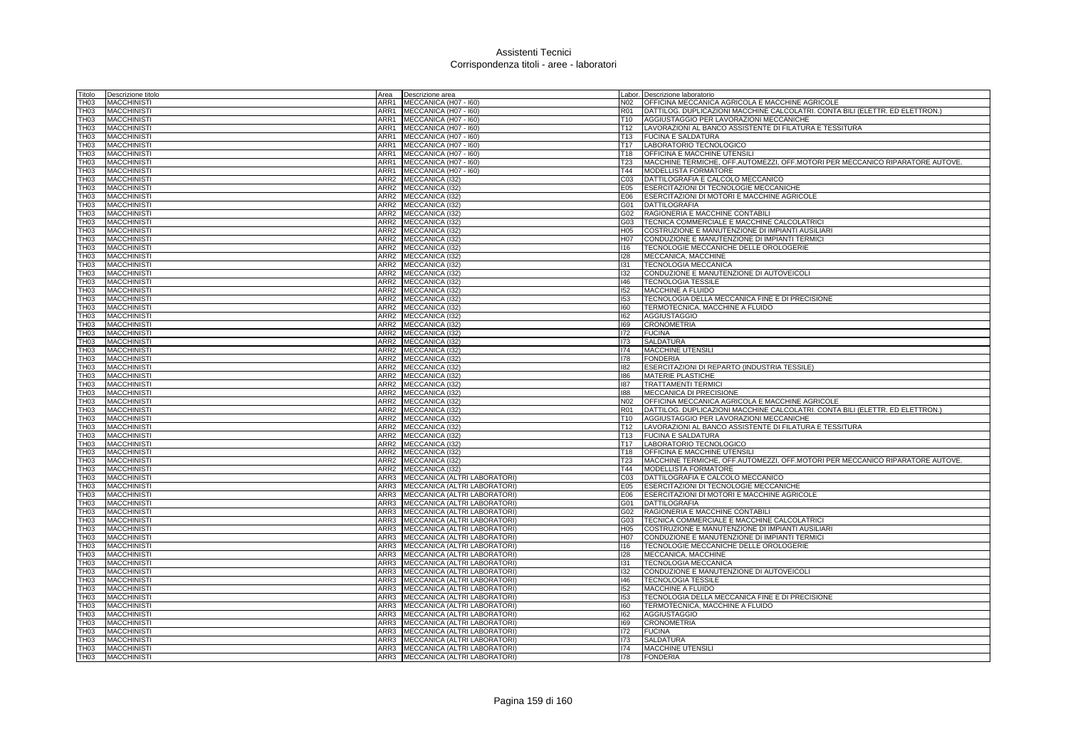| Titolo           | Descrizione titolo                       | Area                     | Descrizione area                                                  |                        | Labor. Descrizione laboratorio                                                        |
|------------------|------------------------------------------|--------------------------|-------------------------------------------------------------------|------------------------|---------------------------------------------------------------------------------------|
| ТН0З             | <b>MACCHINIST</b>                        | ARR1                     | MECCANICA (H07 - I60)                                             | N02                    | OFFICINA MECCANICA AGRICOLA E MACCHINE AGRICOLE                                       |
| TH03             | <b>MACCHINISTI</b>                       | ARR1                     | MECCANICA (H07 - I60)                                             | <b>R01</b>             | DATTILOG. DUPLICAZIONI MACCHINE CALCOLATRI. CONTA BILI (ELETTR. ED ELETTRON.)         |
| TH03             | <b>MACCHINISTI</b>                       | ARR1                     | MECCANICA (H07 - I60)                                             | T10                    | AGGIUSTAGGIO PER LAVORAZIONI MECCANICHE                                               |
| TH03             | <b>MACCHINISTI</b>                       | ARR1                     | MECCANICA (H07 - I60)                                             | T <sub>12</sub>        | LAVORAZIONI AL BANCO ASSISTENTE DI FILATURA E TESSITURA                               |
| TH03             | <b>MACCHINIST</b>                        | ARR1                     | MECCANICA (H07 - I60)                                             | T13                    | <b>FUCINA E SALDATURA</b>                                                             |
| TH03             | <b>MACCHINISTI</b>                       | ARR1                     | MECCANICA (H07 - I60)                                             | T <sub>17</sub>        | LABORATORIO TECNOLOGICO                                                               |
| TH03             | <b>MACCHINISTI</b>                       | ARR1                     | MECCANICA (H07 - I60)                                             | T18                    | OFFICINA E MACCHINE UTENSILI                                                          |
| TH03             | <b>MACCHINISTI</b>                       | ARR1                     | MECCANICA (H07 - I60)                                             | T <sub>23</sub>        | MACCHINE TERMICHE, OFF AUTOMEZZI, OFF MOTORI PER MECCANICO RIPARATORE AUTOVE.         |
| TH03             | <b>MACCHINIST</b>                        | ARR1                     | MECCANICA (H07 - I60)                                             | T44                    | MODELLISTA FORMATORE                                                                  |
| TH03             | <b>MACCHINIST</b>                        | ARR2                     | MECCANICA (132)                                                   | CO <sub>3</sub>        | DATTILOGRAFIA E CALCOLO MECCANICO                                                     |
| TH03             | <b>MACCHINISTI</b>                       |                          | ARR2 MECCANICA (I32)                                              | E05                    | ESERCITAZIONI DI TECNOLOGIE MECCANICHE                                                |
| тноз             | <b>MACCHINISTI</b>                       | ARR2                     | MECCANICA (132)                                                   | E06                    | ESERCITAZIONI DI MOTORI E MACCHINE AGRICOLE                                           |
| TH03             | <b>MACCHINISTI</b>                       |                          | ARR2 MECCANICA (I32)                                              | G01                    | DATTILOGRAFIA                                                                         |
| TH <sub>03</sub> | <b>MACCHINISTI</b>                       | ARR2                     | MECCANICA (I32)                                                   | G02                    | RAGIONERIA E MACCHINE CONTABILI                                                       |
| TH <sub>03</sub> | <b>MACCHINIST</b>                        | ARR2                     | MECCANICA (I32)                                                   | G03                    | TECNICA COMMERCIALE E MACCHINE CALCOLATRIC                                            |
| тноз             | <b>MACCHINISTI</b>                       | ARR2                     | MECCANICA (I32)                                                   | H05                    | COSTRUZIONE E MANUTENZIONE DI IMPIANTI AUSILIARI                                      |
| TH03             | <b>MACCHINIST</b>                        |                          | ARR2 MECCANICA (I32)                                              | H07                    | CONDUZIONE E MANUTENZIONE DI IMPIANTI TERMICI                                         |
| TH03             | <b>MACCHINIST</b>                        | ARR2                     | MECCANICA (I32)                                                   | 116                    | TECNOLOGIE MECCANICHE DELLE OROLOGERIE                                                |
| TH03             | <b>MACCHINISTI</b>                       |                          | ARR2 MECCANICA (I32)                                              | 128                    | MECCANICA, MACCHINE                                                                   |
| тноз             | <b>MACCHINISTI</b>                       | ARR2                     | MECCANICA (132)                                                   | 131                    | <b>TECNOLOGIA MECCANICA</b>                                                           |
| TH03             | <b>MACCHINISTI</b>                       |                          | ARR2 MECCANICA (132)                                              | 132                    | CONDUZIONE E MANUTENZIONE DI AUTOVEICOLI                                              |
| TH03             | <b>MACCHINIST</b>                        |                          | ARR2 MECCANICA (I32)                                              | 146                    | <b>TECNOLOGIA TESSILE</b>                                                             |
| TH03             | <b>MACCHINISTI</b>                       | ARR2                     | MECCANICA (I32)                                                   | 152                    | MACCHINE A FLUIDO                                                                     |
| TH03             | <b>MACCHINIST</b>                        | ARR2                     | MECCANICA (I32)                                                   | 153                    | TECNOLOGIA DELLA MECCANICA FINE E DI PRECISIONE                                       |
| TH03             | <b>MACCHINISTI</b>                       |                          | ARR2 MECCANICA (I32)                                              | 160                    | TERMOTECNICA, MACCHINE A FLUIDO                                                       |
| TH03             | <b>MACCHINISTI</b>                       |                          | ARR2 MECCANICA (I32)                                              | 162                    | <b>AGGIUSTAGGIO</b>                                                                   |
| TH03             | <b>MACCHINISTI</b>                       |                          | ARR2 MECCANICA (I32)                                              | 169                    | <b>CRONOMETRIA</b>                                                                    |
| TH03             | <b>MACCHINISTI</b>                       |                          | ARR2 MECCANICA (I32)                                              | 172                    | <b>FUCINA</b>                                                                         |
| TH03             | <b>MACCHINISTI</b>                       |                          | ARR2 MECCANICA (I32)                                              | 173                    | <b>SALDATURA</b>                                                                      |
| TH03             | <b>MACCHINISTI</b>                       |                          | ARR2 MECCANICA (I32)                                              | 174                    | <b>MACCHINE UTENSILI</b>                                                              |
| TH <sub>03</sub> | <b>MACCHINISTI</b>                       | ARR2                     | MECCANICA (132)                                                   | 178                    | <b>FONDERIA</b>                                                                       |
| TH <sub>03</sub> | <b>MACCHINIST</b>                        | ARR2                     | MECCANICA (I32)                                                   | 182                    | ESERCITAZIONI DI REPARTO (INDUSTRIA TESSILE)                                          |
| TH03             | <b>MACCHINISTI</b>                       | ARR2                     | MECCANICA (I32)                                                   | 186                    | <b>MATERIE PLASTICHE</b>                                                              |
| TH03             | <b>MACCHINIST</b>                        |                          | ARR2 MECCANICA (I32)                                              | 187                    | <b>TRATTAMENTI TERMIC</b>                                                             |
| TH03             | <b>MACCHINIST</b>                        | ARR2                     | MECCANICA (132)                                                   | 188                    | MECCANICA DI PRECISIONE                                                               |
| TH03             | <b>MACCHINIST</b>                        | ARR2                     | MECCANICA (I32)                                                   | N02                    | OFFICINA MECCANICA AGRICOLA E MACCHINE AGRICOLE                                       |
| TH <sub>03</sub> | <b>MACCHINISTI</b>                       | ARR2                     | MECCANICA (I32)                                                   | <b>R01</b>             | DATTILOG. DUPLICAZIONI MACCHINE CALCOLATRI. CONTA BILI (ELETTR. ED ELETTRON.)         |
| TH03             | <b>MACCHINISTI</b>                       |                          | ARR2 MECCANICA (I32)                                              | T <sub>10</sub>        | AGGIUSTAGGIO PER LAVORAZIONI MECCANICHE                                               |
| TH <sub>03</sub> | <b>MACCHINIST</b>                        | ARR2                     | MECCANICA (I32)                                                   | T <sub>12</sub>        | LAVORAZIONI AL BANCO ASSISTENTE DI FILATURA E TESSITURA                               |
| TH <sub>03</sub> | <b>MACCHINIST</b>                        | ARR2                     | MECCANICA (I32)                                                   | T <sub>13</sub>        | <b>FUCINA E SALDATURA</b>                                                             |
| TH03             | <b>MACCHINISTI</b>                       | ARR2                     | MECCANICA (I32)                                                   | T <sub>17</sub>        | LABORATORIO TECNOLOGICO                                                               |
| TH03             | <b>MACCHINIST</b>                        |                          | ARR2 MECCANICA (I32)                                              | T <sub>18</sub>        | OFFICINA E MACCHINE UTENSILI                                                          |
| TH03             | <b>MACCHINIST</b>                        |                          | ARR2 MECCANICA (I32)                                              | T <sub>23</sub>        | MACCHINE TERMICHE, OFF.AUTOMEZZI, OFF.MOTORI PER MECCANICO RIPARATORE AUTOVE.         |
| TH03<br>TH03     | <b>MACCHINISTI</b><br><b>MACCHINISTI</b> | ARR <sub>2</sub><br>ARR3 | MECCANICA (132)<br>MECCANICA (ALTRI LABORATORI)                   | T44<br>CO <sub>3</sub> | <b>MODELLISTA FORMATORE</b><br>DATTILOGRAFIA E CALCOLO MECCANICO                      |
|                  |                                          |                          |                                                                   |                        |                                                                                       |
| TH03<br>TH03     | <b>MACCHINISTI</b><br><b>MACCHINISTI</b> | ARR3                     | ARR3 MECCANICA (ALTRI LABORATORI)<br>MECCANICA (ALTRI LABORATORI) | E05<br>E06             | ESERCITAZIONI DI TECNOLOGIE MECCANICHE<br>ESERCITAZIONI DI MOTORI E MACCHINE AGRICOLE |
| TH03             | <b>MACCHINISTI</b>                       | ARR3                     | MECCANICA (ALTRI LABORATORI)                                      | G01                    | <b>DATTILOGRAFIA</b>                                                                  |
| TH03             | <b>MACCHINIST</b>                        | ARR3                     | MECCANICA (ALTRI LABORATORI                                       | G02                    | RAGIONERIA E MACCHINE CONTABILI                                                       |
| TH03             | <b>MACCHINISTI</b>                       | ARR3                     | MECCANICA (ALTRI LABORATORI)                                      | G03                    | TECNICA COMMERCIALE E MACCHINE CALCOLATRICI                                           |
| TH03             | <b>MACCHINIST</b>                        | ARR3                     | MECCANICA (ALTRI LABORATORI)                                      | H05                    | COSTRUZIONE E MANUTENZIONE DI IMPIANTI AUSILIARI                                      |
| TH <sub>03</sub> | <b>MACCHINISTI</b>                       | ARR3                     | MECCANICA (ALTRI LABORATORI)                                      | H07                    | CONDUZIONE E MANUTENZIONE DI IMPIANTI TERMICI                                         |
| TH03             | <b>MACCHINIST</b>                        | ARR3                     | MECCANICA (ALTRI LABORATORI                                       | 116                    | TECNOLOGIE MECCANICHE DELLE OROLOGERIE                                                |
| TH03             | <b>MACCHINISTI</b>                       | ARR3                     | MECCANICA (ALTRI LABORATORI)                                      | 128                    | MECCANICA, MACCHINE                                                                   |
| <b>FH03</b>      | <b>MACCHINISTI</b>                       | ARR3                     | MECCANICA (ALTRI LABORATORI)                                      | 131                    | <b>TECNOLOGIA MECCANICA</b>                                                           |
| TH03             | <b>MACCHINIST</b>                        | ARR3                     | MECCANICA (ALTRI LABORATORI)                                      | 132                    | CONDUZIONE E MANUTENZIONE DI AUTOVEICOLI                                              |
| TH <sub>03</sub> | <b>MACCHINIST</b>                        | ARR3                     | <b>MECCANICA (ALTRI LABORATORI)</b>                               | 146                    | <b>TECNOLOGIA TESSILE</b>                                                             |
| TH03             | <b>MACCHINISTI</b>                       | ARR3                     | MECCANICA (ALTRI LABORATORI)                                      | 152                    | MACCHINE A FLUIDO                                                                     |
| TH <sub>03</sub> | <b>MACCHINIST</b>                        | ARR3                     | MECCANICA (ALTRI LABORATORI)                                      | 153                    | TECNOLOGIA DELLA MECCANICA FINE E DI PRECISIONE                                       |
| TH <sub>03</sub> | <b>MACCHINIST</b>                        | ARR3                     | MECCANICA (ALTRI LABORATORI)                                      | 160                    | TERMOTECNICA, MACCHINE A FLUIDO                                                       |
| TH03             | <b>MACCHINISTI</b>                       | ARR3                     | MECCANICA (ALTRI LABORATORI)                                      | 162                    | <b>AGGIUSTAGGIO</b>                                                                   |
| TH03             | <b>MACCHINISTI</b>                       | ARR3                     | MECCANICA (ALTRI LABORATORI)                                      | 169                    | <b>CRONOMETRIA</b>                                                                    |
| <b>FH03</b>      | <b>MACCHINISTI</b>                       | ARR3                     | MECCANICA (ALTRI LABORATORI)                                      | 172                    | <b>FUCINA</b>                                                                         |
| TH03             | <b>MACCHINIST</b>                        | ARR3                     | MECCANICA (ALTRI LABORATORI)                                      | 173                    | <b>SALDATURA</b>                                                                      |
| TH <sub>03</sub> | <b>MACCHINIST</b>                        | ARR3                     | <b>MECCANICA (ALTRI LABORATORI)</b>                               | 174                    | <b>MACCHINE UTENSIL</b>                                                               |
| TH <sub>03</sub> | <b>MACCHINIST</b>                        |                          | ARR3 MECCANICA (ALTRI LABORATORI)                                 | 178                    | <b>FONDERIA</b>                                                                       |